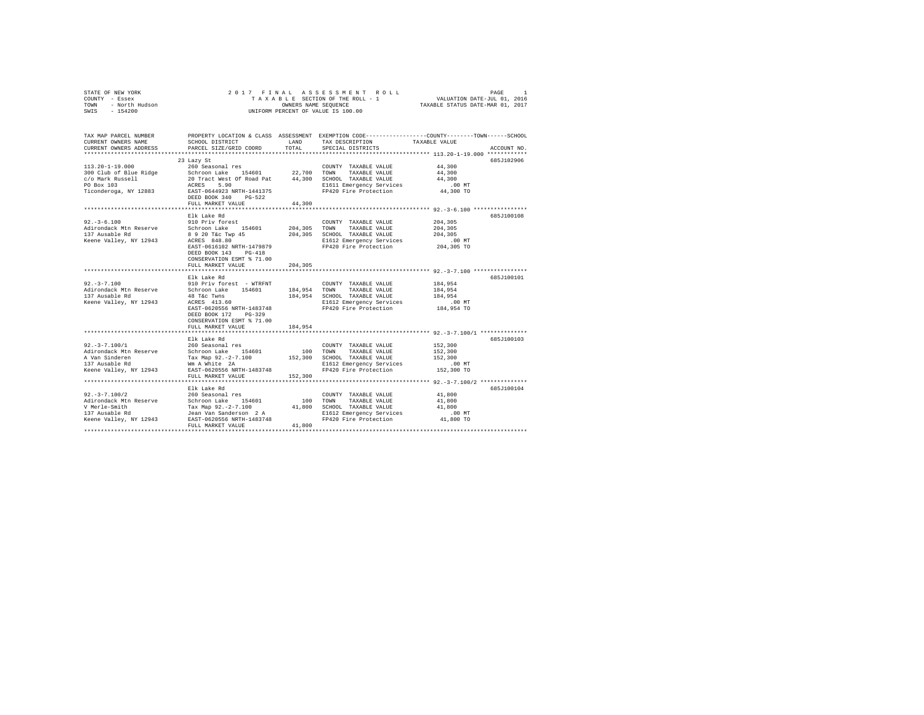| OF NEW YORK<br>7 - Essex<br>- North Hudson<br>- 154200<br>STATE OF NEW YORK<br>COUNTY - Essex | 2017 FINAL                                                                                     |         | ASSESSMENT ROLL<br>TAXABLE SECTION OF THE ROLL - 1 | PAGE<br>1<br>VALUATION DATE-JUL 01, 2016                                                                         |  |  |  |  |
|-----------------------------------------------------------------------------------------------|------------------------------------------------------------------------------------------------|---------|----------------------------------------------------|------------------------------------------------------------------------------------------------------------------|--|--|--|--|
| TOWN<br>SWIS                                                                                  | TAXABLE STATUS DATE-MAR 01, 2017<br>OWNERS NAME SEQUENCE<br>UNIFORM PERCENT OF VALUE IS 100.00 |         |                                                    |                                                                                                                  |  |  |  |  |
|                                                                                               |                                                                                                |         |                                                    |                                                                                                                  |  |  |  |  |
| TAX MAP PARCEL NUMBER<br>CURRENT OWNERS NAME                                                  | SCHOOL DISTRICT                                                                                | LAND    | TAX DESCRIPTION                                    | PROPERTY LOCATION & CLASS ASSESSMENT EXEMPTION CODE----------------COUNTY-------TOWN-----SCHOOL<br>TAXABLE VALUE |  |  |  |  |
| CURRENT OWNERS ADDRESS                                                                        | PARCEL SIZE/GRID COORD                                                                         | TOTAL   | SPECIAL DISTRICTS                                  | ACCOUNT NO.                                                                                                      |  |  |  |  |
|                                                                                               |                                                                                                |         |                                                    |                                                                                                                  |  |  |  |  |
|                                                                                               | 23 Lazy St                                                                                     |         |                                                    | 685J102906                                                                                                       |  |  |  |  |
| $113.20 - 1 - 19.000$                                                                         | 260 Seasonal res                                                                               |         | COUNTY TAXABLE VALUE                               | 44,300                                                                                                           |  |  |  |  |
| 300 Club of Blue Ridge                                                                        | Schroon Lake 154601                                                                            | 22,700  | TOWN<br>TAXABLE VALUE                              | 44,300                                                                                                           |  |  |  |  |
| c/o Mark Russell<br>PO Box 103                                                                | 20 Tract West Of Road Pat<br>ACRES 5.90                                                        |         | 44,300 SCHOOL TAXABLE VALUE                        | 44,300                                                                                                           |  |  |  |  |
| Ticonderoga, NY 12883                                                                         | EAST-0644923 NRTH-1441375                                                                      |         | E1611 Emergency Services<br>FP420 Fire Protection  | .00 MT<br>44,300 TO                                                                                              |  |  |  |  |
|                                                                                               | DEED BOOK 340<br>$PG-522$                                                                      |         |                                                    |                                                                                                                  |  |  |  |  |
|                                                                                               | FULL MARKET VALUE                                                                              | 44,300  |                                                    |                                                                                                                  |  |  |  |  |
|                                                                                               |                                                                                                |         |                                                    |                                                                                                                  |  |  |  |  |
|                                                                                               | Elk Lake Rd                                                                                    |         |                                                    | 685J100108                                                                                                       |  |  |  |  |
| $92. -3 - 6.100$                                                                              | 910 Priv forest                                                                                |         | COUNTY TAXABLE VALUE                               | 204,305                                                                                                          |  |  |  |  |
| Adirondack Mtn Reserve                                                                        | Schroon Lake 154601                                                                            | 204,305 | TOWN<br>TAXABLE VALUE                              | 204,305                                                                                                          |  |  |  |  |
| 137 Ausable Rd                                                                                | 8 9 20 T&c Twp 45                                                                              | 204,305 | SCHOOL TAXABLE VALUE                               | 204,305                                                                                                          |  |  |  |  |
| Keene Valley, NY 12943                                                                        | ACRES 848.80<br>EAST-0616102 NRTH-1479879                                                      |         | E1612 Emergency Services<br>FP420 Fire Protection  | $.00$ MT<br>204,305 TO                                                                                           |  |  |  |  |
|                                                                                               | DEED BOOK 143<br>$PG-418$                                                                      |         |                                                    |                                                                                                                  |  |  |  |  |
|                                                                                               | CONSERVATION ESMT % 71.00                                                                      |         |                                                    |                                                                                                                  |  |  |  |  |
|                                                                                               | FULL MARKET VALUE                                                                              | 204,305 |                                                    |                                                                                                                  |  |  |  |  |
|                                                                                               |                                                                                                |         |                                                    |                                                                                                                  |  |  |  |  |
|                                                                                               | Elk Lake Rd                                                                                    |         |                                                    | 685J100101                                                                                                       |  |  |  |  |
| $92. -3 - 7.100$                                                                              | 910 Priv forest - WTRFNT                                                                       |         | COUNTY TAXABLE VALUE                               | 184,954                                                                                                          |  |  |  |  |
| Adirondack Mtn Reserve                                                                        | Schroon Lake 154601                                                                            | 184,954 | TOWN<br>TAXABLE VALUE                              | 184,954                                                                                                          |  |  |  |  |
| 137 Ausable Rd<br>Keene Valley, NY 12943                                                      | 48 T&c Twns<br>ACRES 413.60                                                                    | 184,954 | SCHOOL TAXABLE VALUE<br>E1612 Emergency Services   | 184,954<br>$.00$ MT                                                                                              |  |  |  |  |
|                                                                                               | EAST-0620556 NRTH-1483748                                                                      |         | FP420 Fire Protection                              | 184,954 TO                                                                                                       |  |  |  |  |
|                                                                                               | DEED BOOK 172 PG-329                                                                           |         |                                                    |                                                                                                                  |  |  |  |  |
|                                                                                               | CONSERVATION ESMT % 71.00                                                                      |         |                                                    |                                                                                                                  |  |  |  |  |
|                                                                                               | FULL MARKET VALUE                                                                              | 184,954 |                                                    |                                                                                                                  |  |  |  |  |
|                                                                                               | **********************                                                                         |         |                                                    |                                                                                                                  |  |  |  |  |
|                                                                                               | Elk Lake Rd                                                                                    |         |                                                    | 685J100103                                                                                                       |  |  |  |  |
| $92. -3 - 7.100/1$                                                                            | 260 Seasonal res                                                                               | 100     | COUNTY TAXABLE VALUE<br>TOWN                       | 152,300                                                                                                          |  |  |  |  |
| Adirondack Mtn Reserve<br>A Van Sinderen                                                      | Schroon Lake 154601<br>Tax Map 92.-2-7.100                                                     | 152,300 | TAXABLE VALUE<br>SCHOOL TAXABLE VALUE              | 152,300<br>152,300                                                                                               |  |  |  |  |
| 137 Ausable Rd                                                                                | Wm A White 2A                                                                                  |         | E1612 Emergency Services                           | .00MT                                                                                                            |  |  |  |  |
| Keene Valley, NY 12943                                                                        | EAST-0620556 NRTH-1483748                                                                      |         | FP420 Fire Protection                              | 152,300 TO                                                                                                       |  |  |  |  |
|                                                                                               | FULL MARKET VALUE                                                                              | 152,300 |                                                    |                                                                                                                  |  |  |  |  |
|                                                                                               | ***********************                                                                        |         |                                                    | ****************************** 92.-3-7.100/2 **************                                                      |  |  |  |  |
|                                                                                               | Elk Lake Rd                                                                                    |         |                                                    | 685J100104                                                                                                       |  |  |  |  |
| $92. -3 - 7.100/2$                                                                            | 260 Seasonal res                                                                               |         | COUNTY TAXABLE VALUE                               | 41,800                                                                                                           |  |  |  |  |
| Adirondack Mtn Reserve                                                                        | Schroon Lake 154601                                                                            | 100     | TOWN<br>TAXABLE VALUE                              | 41,800                                                                                                           |  |  |  |  |
| V Merle-Smith<br>137 Ausable Rd                                                               | Tax Map 92.-2-7.100<br>Jean Van Sanderson 2 A                                                  | 41,800  | SCHOOL TAXABLE VALUE<br>E1612 Emergency Services   | 41,800<br>.00MT                                                                                                  |  |  |  |  |
| Keene Valley, NY 12943                                                                        | EAST-0620556 NRTH-1483748                                                                      |         | FP420 Fire Protection                              | 41,800 TO                                                                                                        |  |  |  |  |
|                                                                                               | FULL MARKET VALUE                                                                              | 41,800  |                                                    |                                                                                                                  |  |  |  |  |
|                                                                                               |                                                                                                |         |                                                    |                                                                                                                  |  |  |  |  |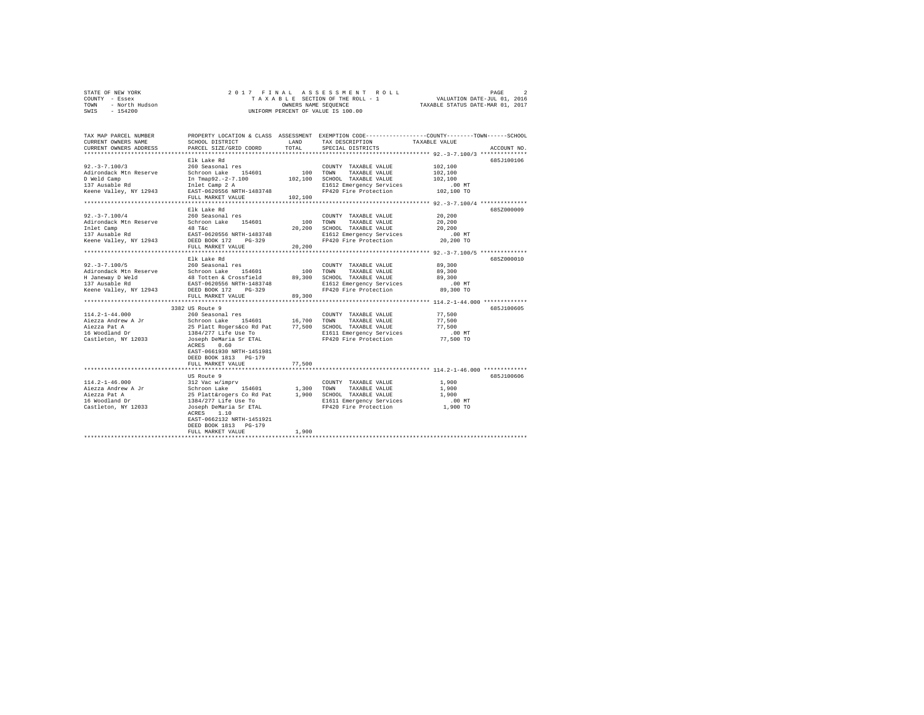| STATE OF NEW YORK      | 2017 FINAL ASSESSMENT ROLL         | PAGE                             |
|------------------------|------------------------------------|----------------------------------|
| COUNTY - Essex         | TAXABLE SECTION OF THE ROLL - 1    | VALUATION DATE-JUL 01, 2016      |
| TOWN<br>- North Hudson | OWNERS NAME SEOUENCE               | TAXABLE STATUS DATE-MAR 01, 2017 |
| SWIS - 154200          | UNIFORM PERCENT OF VALUE IS 100.00 |                                  |

| TAX MAP PARCEL NUMBER<br>CURRENT OWNERS NAME<br>CURRENT OWNERS ADDRESS | SCHOOL DISTRICT<br>PARCEL SIZE/GRID COORD  | LAND<br>TOTAL. | TAX DESCRIPTION<br>SPECIAL DISTRICTS | PROPERTY LOCATION & CLASS ASSESSMENT EXEMPTION CODE----------------COUNTY-------TOWN-----SCHOOL<br>TAXABLE VALUE<br>ACCOUNT NO. |
|------------------------------------------------------------------------|--------------------------------------------|----------------|--------------------------------------|---------------------------------------------------------------------------------------------------------------------------------|
|                                                                        |                                            |                |                                      |                                                                                                                                 |
|                                                                        | Elk Lake Rd                                |                |                                      | 685J100106                                                                                                                      |
| $92. -3 -7.100/3$                                                      | 260 Seasonal res                           |                | COUNTY TAXABLE VALUE                 | 102,100                                                                                                                         |
| Adirondack Mtn Reserve                                                 | Schroon Lake<br>154601                     | 100            | TOWN<br>TAXABLE VALUE                | 102,100                                                                                                                         |
| D Weld Camp                                                            | In Tmap92.-2-7.100                         | 102,100        | SCHOOL TAXABLE VALUE                 | 102,100                                                                                                                         |
| 137 Ausable Rd                                                         | Inlet Camp 2 A                             |                | E1612 Emergency Services             | $.00$ MT                                                                                                                        |
| Keene Valley, NY 12943                                                 | EAST-0620556 NRTH-1483748                  |                | FP420 Fire Protection                | 102,100 TO                                                                                                                      |
|                                                                        | FULL MARKET VALUE                          | 102,100        |                                      |                                                                                                                                 |
|                                                                        | Elk Lake Rd                                |                |                                      |                                                                                                                                 |
|                                                                        |                                            |                |                                      | 685Z000009                                                                                                                      |
| $92. - 3 - 7.100/4$                                                    | 260 Seasonal res                           |                | COUNTY TAXABLE VALUE                 | 20,200                                                                                                                          |
| Adirondack Mtn Reserve                                                 | Schroon Lake<br>154601                     | 100            | TOWN<br>TAXABLE VALUE                | 20,200                                                                                                                          |
| Inlet Camp                                                             | 48 T&C                                     | 20,200         | SCHOOL TAXABLE VALUE                 | 20,200                                                                                                                          |
| 137 Ausable Rd                                                         | EAST-0620556 NRTH-1483748                  |                | E1612 Emergency Services             | $.00$ MT                                                                                                                        |
| Keene Valley, NY 12943                                                 | DEED BOOK 172<br>$PG-329$                  | 20,200         | FP420 Fire Protection                | 20,200 TO                                                                                                                       |
|                                                                        | FULL MARKET VALUE<br>********************* |                |                                      | *********************************** 92.-3-7.100/5 **************                                                                |
|                                                                        | Elk Lake Rd                                |                |                                      | 685Z000010                                                                                                                      |
| $92. - 3 - 7.100/5$                                                    | 260 Seasonal res                           |                | COUNTY TAXABLE VALUE                 | 89,300                                                                                                                          |
| Adirondack Mtn Reserve                                                 | Schroon Lake 154601                        | 100            | TOWN<br>TAXABLE VALUE                | 89,300                                                                                                                          |
| H Janeway D Weld                                                       | 48 Totten & Crossfield                     | 89,300         | SCHOOL TAXABLE VALUE                 | 89,300                                                                                                                          |
| 137 Ausable Rd                                                         | EAST-0620556 NRTH-1483748                  |                | E1612 Emergency Services             | .00MT                                                                                                                           |
| Keene Valley, NY 12943                                                 | DEED BOOK 172<br>$PG-329$                  |                | FP420 Fire Protection                | 89,300 TO                                                                                                                       |
|                                                                        | FULL MARKET VALUE                          | 89,300         |                                      |                                                                                                                                 |
| **********************                                                 | ***************************                |                |                                      |                                                                                                                                 |
|                                                                        | 3382 US Route 9                            |                |                                      | 685J100605                                                                                                                      |
| $114.2 - 1 - 44.000$                                                   | 260 Seasonal res                           |                | COUNTY TAXABLE VALUE                 | 77.500                                                                                                                          |
| Aiezza Andrew A Jr                                                     | Schroon Lake 154601                        | 16,700         | TOWN<br>TAXABLE VALUE                | 77,500                                                                                                                          |
| Aiezza Pat A                                                           | 25 Platt Rogers&co Rd Pat                  | 77,500         | SCHOOL TAXABLE VALUE                 | 77.500                                                                                                                          |
| 16 Woodland Dr                                                         | 1384/277 Life Use To                       |                | E1611 Emergency Services             | $.00$ MT                                                                                                                        |
| Castleton, NY 12033                                                    | Joseph DeMaria Sr ETAL                     |                | FP420 Fire Protection                | 77,500 TO                                                                                                                       |
|                                                                        | 0.60<br>ACRES                              |                |                                      |                                                                                                                                 |
|                                                                        | EAST-0661930 NRTH-1451981                  |                |                                      |                                                                                                                                 |
|                                                                        | DEED BOOK 1813 PG-179                      |                |                                      |                                                                                                                                 |
|                                                                        | FULL MARKET VALUE                          | 77.500         |                                      |                                                                                                                                 |
|                                                                        |                                            |                |                                      | **** 114.2-1-46.000 *********                                                                                                   |
|                                                                        | US Route 9                                 |                |                                      | 685J100606                                                                                                                      |
| $114.2 - 1 - 46.000$                                                   | 312 Vac w/imprv                            |                | COUNTY TAXABLE VALUE                 | 1,900                                                                                                                           |
| Aiezza Andrew A Jr                                                     | Schroon Lake<br>154601                     | 1,300          | TAXABLE VALUE<br>TOWN                | 1,900                                                                                                                           |
| Aiezza Pat A                                                           | 25 Platt&rogers Co Rd Pat                  | 1,900          | SCHOOL TAXABLE VALUE                 | 1,900                                                                                                                           |
| 16 Woodland Dr                                                         | 1384/277 Life Use To                       |                | E1611 Emergency Services             | $.00$ MT                                                                                                                        |
| Castleton, NY 12033                                                    | Joseph DeMaria Sr ETAL                     |                | FP420 Fire Protection                | 1,900 TO                                                                                                                        |
|                                                                        | ACRES<br>1.10                              |                |                                      |                                                                                                                                 |
|                                                                        | EAST-0662132 NRTH-1451921                  |                |                                      |                                                                                                                                 |
|                                                                        | DEED BOOK 1813 PG-179                      |                |                                      |                                                                                                                                 |
|                                                                        | FULL MARKET VALUE                          | 1,900          |                                      |                                                                                                                                 |
|                                                                        |                                            |                |                                      |                                                                                                                                 |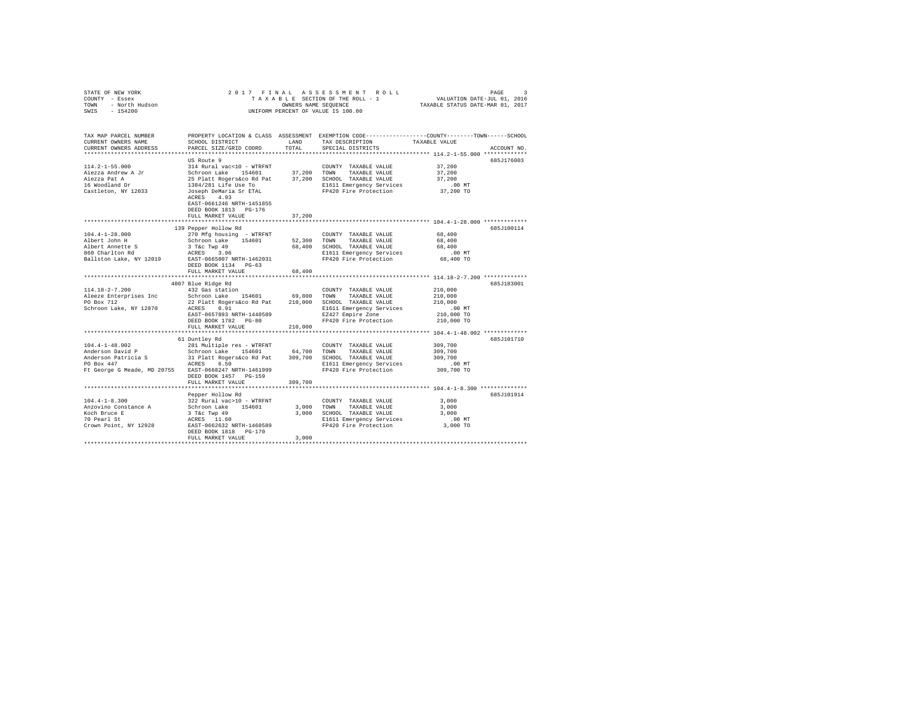| STATE OF NEW YORK<br>COUNTY - Essex<br>TOWN - North Hudson<br>SWIS - 154200                                                            | UNIFORM PERCENT OF VALUE IS 100.00                                                                                                                                                                                 |               | 2017 FINAL ASSESSMENT ROLL<br>OWNERS NAME SEQUENCE                                                                                       | PAGE<br>TAXABLE STATUS DATE-MAR 01, 2017                                                                                        | -2 |
|----------------------------------------------------------------------------------------------------------------------------------------|--------------------------------------------------------------------------------------------------------------------------------------------------------------------------------------------------------------------|---------------|------------------------------------------------------------------------------------------------------------------------------------------|---------------------------------------------------------------------------------------------------------------------------------|----|
| TAX MAP PARCEL NUMBER<br>CURRENT OWNERS NAME<br>CURRENT OWNERS ADDRESS                                                                 | SCHOOL DISTRICT<br>PARCEL SIZE/GRID COORD                                                                                                                                                                          | LAND<br>TOTAL | TAX DESCRIPTION<br>SPECIAL DISTRICTS                                                                                                     | PROPERTY LOCATION & CLASS ASSESSMENT EXEMPTION CODE---------------COUNTY-------TOWN------SCHOOL<br>TAXABLE VALUE<br>ACCOUNT NO. |    |
|                                                                                                                                        |                                                                                                                                                                                                                    |               |                                                                                                                                          |                                                                                                                                 |    |
| 114.2-1-55.000<br>Aiezza Andrew A Jr<br>Aiezza Pat A<br>16 Woodland Dr                                                                 | US Route 9<br>314 Rural vac<10 - WTRFNT<br>Schroon Lake 154601 37,200 TOWN TAXABLE VALUE<br>25 Platt Rogers&co Rd Pat 37,200 SCHOOL TAXABLE VALUE<br>1384/281 Life Use To                                          |               | COUNTY TAXABLE VALUE<br>E1611 Emergency Services                                                                                         | 685J176003<br>37,200<br>37,200<br>37,200<br>$.00$ MT                                                                            |    |
| Castleton, NY 12033                                                                                                                    | Joseph DeMaria Sr ETAL<br>ACRES 4.93<br>EAST-0661246 NRTH-1451855<br>DEED BOOK 1813 PG-176<br>FULL MARKET VALUE                                                                                                    | 37,200        | FP420 Fire Protection                                                                                                                    | 37,200 TO                                                                                                                       |    |
|                                                                                                                                        | 139 Pepper Hollow Rd                                                                                                                                                                                               |               |                                                                                                                                          | 685J100114                                                                                                                      |    |
| $104.4 - 1 - 28.000$<br>Albert John H<br>Albert Annette S<br>860 Charlton Rd<br>Ballston Lake, NY 12019                                | 270 Mfg housing - WTRFNT<br>Schroon Lake 154601<br>3 T&C Twp 49<br>ACRES 3.96<br>EAST-0665007 NRTH-1462031                                                                                                         |               | COUNTY TAXABLE VALUE<br>52,300 TOWN<br>TAXABLE VALUE<br>68,400 SCHOOL TAXABLE VALUE<br>E1611 Emergency Services<br>FP420 Fire Protection | 68,400<br>68,400<br>68,400<br>$.00$ MT<br>68,400 TO                                                                             |    |
|                                                                                                                                        | DEED BOOK 1134    PG-63<br>FULL MARKET VALUE                                                                                                                                                                       | 68,400        |                                                                                                                                          |                                                                                                                                 |    |
|                                                                                                                                        | 4007 Blue Ridge Rd                                                                                                                                                                                                 |               |                                                                                                                                          | 685J183001                                                                                                                      |    |
| 114.18-2-7.200<br>Aleeze Enterprises Inc<br>PO Box 712<br>Schroon Lake, NY 12870                                                       | 432 Gas station<br>Schroon Lake 154601 69,800 TOWN TAXABLE VALUE<br>22 Platt Rogers&co Rd Pat 210,000 SCHOOL TAXABLE VALUE<br>ACRES 0.91<br>EAST-0657893 NRTH-1440589<br>DEED BOOK 1782 PG-80<br>FULL MARKET VALUE | 210,000       | COUNTY TAXABLE VALUE<br>E1611 Emergency Services<br>EZ427 Empire Zone<br>FP420 Fire Protection                                           | 210,000<br>210,000<br>210,000<br>$.00$ MT<br>210,000 TO<br>210,000 TO                                                           |    |
|                                                                                                                                        |                                                                                                                                                                                                                    |               |                                                                                                                                          |                                                                                                                                 |    |
| $104.4 - 1 - 48.002$<br>Anderson David P<br>Anderson Patricia S<br>PO Box 447<br>Ft George G Meade, MD 20755 EAST-0668247 NRTH-1461999 | 61 Duntley Rd<br>281 Multiple res - WTRFNT<br>Schroon Lake 154601 64,700 TOWN TAXABLE VALUE<br>31 Platt Rogers&co Rd Pat 309,700 SCHOOL TAXABLE VALUE<br>ACRES 6.50<br>DEED BOOK 1457 PG-159<br>FULL MARKET VALUE  | 309,700       | COUNTY TAXABLE VALUE<br>309,700 SCHOOL TAXABLE VALUE<br>E1611 Emergency Services<br>FP420 Fire Protection                                | 685J101710<br>309,700<br>309,700<br>309,700<br>$.00$ MT<br>309,700 TO                                                           |    |
|                                                                                                                                        | Pepper Hollow Rd                                                                                                                                                                                                   |               |                                                                                                                                          | 685J101914                                                                                                                      |    |
| $104.4 - 1 - 8.300$<br>Anzovino Constance A<br>Koch Bruce E<br>70 Pearl St<br>Crown Point, NY 12928                                    | 322 Rural vac>10 - WTRFNT<br>Schroon Lake 154601<br>3 T&c Twp 49<br>ACRES 11.60<br>EAST-0662632 NRTH-1460589<br>DEED BOOK 1818 PG-170<br>FULL MARKET VALUE                                                         | 3,000         | COUNTY TAXABLE VALUE<br>3,000 TOWN TAXABLE VALUE<br>3,000 SCHOOL TAXABLE VALUE<br>E1611 Emergency Services<br>FP420 Fire Protection      | 3,000<br>3.000<br>3,000<br>$.00$ MT<br>3,000 TO                                                                                 |    |
|                                                                                                                                        |                                                                                                                                                                                                                    |               |                                                                                                                                          |                                                                                                                                 |    |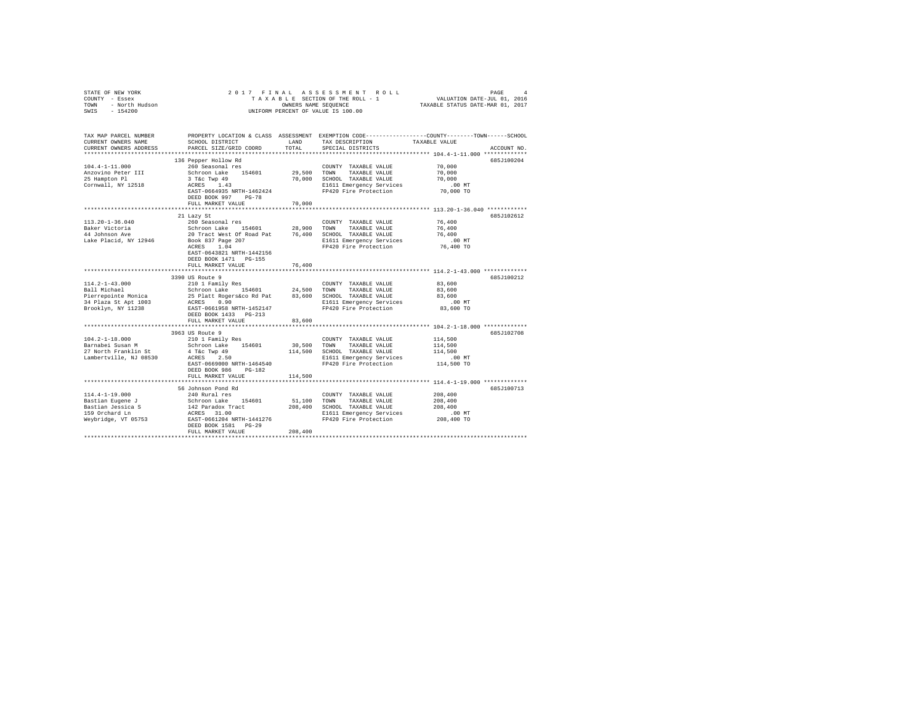| STATE OF NEW YORK<br>COUNTY - Essex<br>TOWN - North Hudson<br>SWIS - 154200 | 2017 FINAL ASSESSMENT ROLL<br>UNIFORM PERCENT OF VALUE IS 100.00                                                                                                                                | PAGE<br>T A X A B L E SECTION OF THE ROLL - 1 VALUATION DATE-JUL 01, 2016<br>TAXABLE STATUS DATE-MAR 01, 2017 |                                                                                      |                                                                                                                  |             |
|-----------------------------------------------------------------------------|-------------------------------------------------------------------------------------------------------------------------------------------------------------------------------------------------|---------------------------------------------------------------------------------------------------------------|--------------------------------------------------------------------------------------|------------------------------------------------------------------------------------------------------------------|-------------|
| TAX MAP PARCEL NUMBER<br>CURRENT OWNERS NAME                                | SCHOOL DISTRICT                                                                                                                                                                                 | LAND                                                                                                          | TAX DESCRIPTION                                                                      | PROPERTY LOCATION & CLASS ASSESSMENT EXEMPTION CODE---------------COUNTY-------TOWN------SCHOOL<br>TAXABLE VALUE |             |
| CURRENT OWNERS ADDRESS                                                      | PARCEL SIZE/GRID COORD                                                                                                                                                                          | TOTAL                                                                                                         | SPECIAL DISTRICTS                                                                    |                                                                                                                  | ACCOUNT NO. |
|                                                                             |                                                                                                                                                                                                 |                                                                                                               |                                                                                      |                                                                                                                  | 685J100204  |
| $104.4 - 1 - 11.000$                                                        | 136 Pepper Hollow Rd<br>260 Seasonal res                                                                                                                                                        |                                                                                                               | COUNTY TAXABLE VALUE                                                                 | 70,000                                                                                                           |             |
| Anzovino Peter III                                                          | Schroon Lake 154601                                                                                                                                                                             |                                                                                                               |                                                                                      | 70,000                                                                                                           |             |
| 25 Hampton Pl                                                               | 3 T&C Twp 49                                                                                                                                                                                    |                                                                                                               | 29,500 TOWN TAXABLE VALUE<br>70,000 SCHOOL TAXABLE VALUE<br>E1611 Emergency Services | 70,000                                                                                                           |             |
| Cornwall, NY 12518                                                          | ACRES 1.43                                                                                                                                                                                      |                                                                                                               | E1611 Emergency Services                                                             | $.00$ MT                                                                                                         |             |
|                                                                             | EAST-0664935 NRTH-1462424                                                                                                                                                                       |                                                                                                               | FP420 Fire Protection                                                                | 70,000 TO                                                                                                        |             |
|                                                                             | DEED BOOK 997 PG-78                                                                                                                                                                             |                                                                                                               |                                                                                      |                                                                                                                  |             |
|                                                                             | FULL MARKET VALUE                                                                                                                                                                               | 70,000                                                                                                        |                                                                                      |                                                                                                                  |             |
|                                                                             |                                                                                                                                                                                                 |                                                                                                               |                                                                                      |                                                                                                                  |             |
|                                                                             | 21 Lazy St                                                                                                                                                                                      |                                                                                                               |                                                                                      |                                                                                                                  | 685J102612  |
| 113.20-1-36.040                                                             | 260 Seasonal res                                                                                                                                                                                |                                                                                                               | COUNTY TAXABLE VALUE                                                                 | 76,400                                                                                                           |             |
| Baker Victoria                                                              |                                                                                                                                                                                                 |                                                                                                               |                                                                                      | 76,400                                                                                                           |             |
| 44 Johnson Ave<br>Lake Placid, NY 12946                                     |                                                                                                                                                                                                 |                                                                                                               |                                                                                      | 76,400<br>$.00$ MT                                                                                               |             |
|                                                                             | -- Constant The Hotel Constant Taxable Value<br>20 Tract West Of Road Pat 76,400 SCHOOL TAXABLE VALUE<br>Book 837 Page 207 Bill Emergency Services<br>ETAL ELES Track RIEL Engineering Services |                                                                                                               | E1611 Emergency Services<br>FP420 Fire Protection                                    | 76,400 TO                                                                                                        |             |
|                                                                             | EAST-0643821 NRTH-1442156                                                                                                                                                                       |                                                                                                               |                                                                                      |                                                                                                                  |             |
|                                                                             | DEED BOOK 1471 PG-155                                                                                                                                                                           |                                                                                                               |                                                                                      |                                                                                                                  |             |
|                                                                             | FULL MARKET VALUE                                                                                                                                                                               | 76,400                                                                                                        |                                                                                      |                                                                                                                  |             |
|                                                                             |                                                                                                                                                                                                 |                                                                                                               |                                                                                      |                                                                                                                  |             |
|                                                                             | 3390 US Route 9                                                                                                                                                                                 |                                                                                                               |                                                                                      |                                                                                                                  | 6857100212  |
| $114.2 - 1 - 43.000$                                                        | 210 1 Family Res                                                                                                                                                                                |                                                                                                               | COUNTY TAXABLE VALUE                                                                 | 83,600                                                                                                           |             |
| Ball Michael                                                                | 210 I ramily Res = 24,500 TOWN TAAABLE VALUE<br>Schroon Lake 154601 24,500 TOWN TAXABLE VALUE<br>25 Platt Rogers&co Rd Pat = 83,600 SCHOOL TAXABLE VALUE                                        |                                                                                                               |                                                                                      | 83,600                                                                                                           |             |
| Pierrepointe Monica                                                         |                                                                                                                                                                                                 |                                                                                                               |                                                                                      | 83,600                                                                                                           |             |
| 34 Plaza St Apt 1003                                                        | ACRES 0.90                                                                                                                                                                                      |                                                                                                               | E1611 Emergency Services                                                             | $.00$ MT                                                                                                         |             |
| Brooklyn, NY 11238                                                          | EAST-0661958 NRTH-1452147                                                                                                                                                                       |                                                                                                               | FP420 Fire Protection                                                                | 83,600 TO                                                                                                        |             |
|                                                                             | DEED BOOK 1433   PG-213<br>FULL MARKET VALUE                                                                                                                                                    |                                                                                                               |                                                                                      |                                                                                                                  |             |
|                                                                             |                                                                                                                                                                                                 | 83,600                                                                                                        |                                                                                      |                                                                                                                  |             |
|                                                                             | 3963 US Route 9                                                                                                                                                                                 |                                                                                                               |                                                                                      |                                                                                                                  | 685J102708  |
| $104.2 - 1 - 18.000$                                                        | 210 1 Family Res                                                                                                                                                                                |                                                                                                               | COUNTY TAXABLE VALUE                                                                 | 114,500                                                                                                          |             |
| Barnabei Susan M                                                            |                                                                                                                                                                                                 |                                                                                                               |                                                                                      | 114,500                                                                                                          |             |
| 27 North Franklin St                                                        |                                                                                                                                                                                                 |                                                                                                               |                                                                                      | 114,500                                                                                                          |             |
| Lambertville, NJ 08530                                                      | ACRES 2.50                                                                                                                                                                                      |                                                                                                               | E1611 Emergency Services                                                             | .00 MT                                                                                                           |             |
|                                                                             | EAST-0669000 NRTH-1464540                                                                                                                                                                       |                                                                                                               | FP420 Fire Protection                                                                | 114,500 TO                                                                                                       |             |
|                                                                             | DEED BOOK 986 PG-182                                                                                                                                                                            |                                                                                                               |                                                                                      |                                                                                                                  |             |
|                                                                             | FULL MARKET VALUE                                                                                                                                                                               | 114,500                                                                                                       |                                                                                      |                                                                                                                  |             |
|                                                                             |                                                                                                                                                                                                 |                                                                                                               |                                                                                      |                                                                                                                  |             |
|                                                                             | 56 Johnson Pond Rd                                                                                                                                                                              |                                                                                                               |                                                                                      |                                                                                                                  | 685J100713  |
| $114.4 - 1 - 19.000$                                                        | 240 Rural res                                                                                                                                                                                   |                                                                                                               | COUNTY TAXABLE VALUE                                                                 | 208,400                                                                                                          |             |
| Bastian Eugene J                                                            | Schroon Lake 154601 51,100 TOWN                                                                                                                                                                 |                                                                                                               | TAXABLE VALUE                                                                        | 208,400                                                                                                          |             |
| Bastian Jessica S                                                           | 142 Paradox Tract                                                                                                                                                                               |                                                                                                               | 208,400 SCHOOL TAXABLE VALUE                                                         | 208,400                                                                                                          |             |
| 159 Orchard Ln                                                              | ACRES 31.00<br>EAST-0661204 NRTH-1441276                                                                                                                                                        |                                                                                                               | E1611 Emergency Services<br>FP420 Fire Protection                                    | $.00$ MT<br>208,400 TO                                                                                           |             |
| Weybridge, VT 05753                                                         | DEED BOOK 1581 PG-29                                                                                                                                                                            |                                                                                                               |                                                                                      |                                                                                                                  |             |
|                                                                             | FULL MARKET VALUE                                                                                                                                                                               | 208,400                                                                                                       |                                                                                      |                                                                                                                  |             |
|                                                                             |                                                                                                                                                                                                 |                                                                                                               |                                                                                      |                                                                                                                  |             |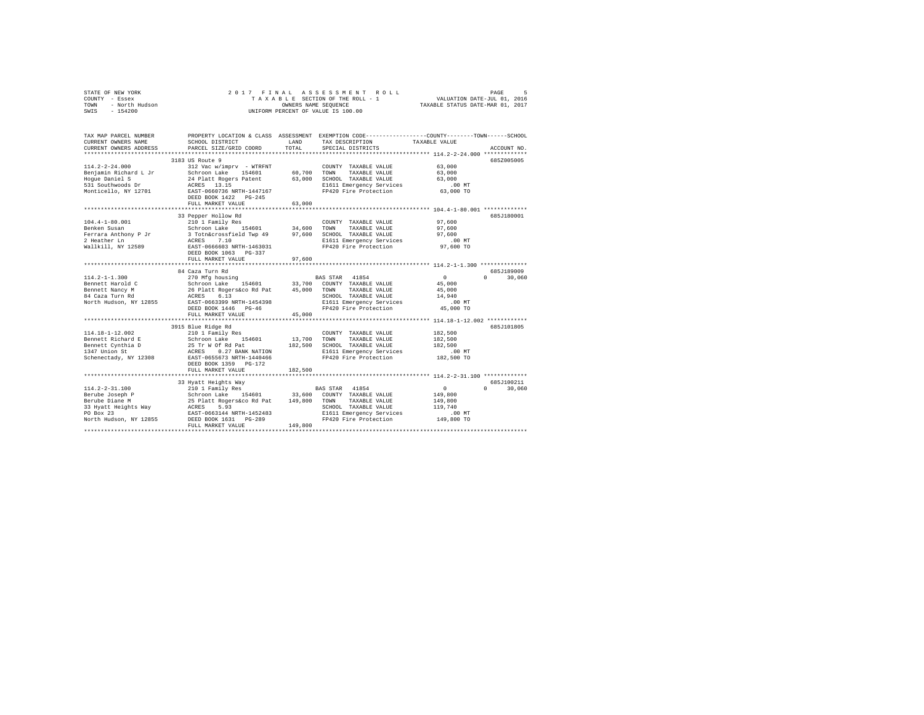| STATE OF NEW YORK<br>COUNTY - Essex<br>Y - Essex<br>- North Hudson<br>TOWN<br>SWIS - 154200 | 2017 FINAL ASSESSMENT ROLL<br>PAGE<br>5<br>T A X A B L E SECTION OF THE ROLL - 1<br>OWNERS NAME SEQUENCE<br>VALUATION DATE-JUL 01, 2016<br>OWNERS NAME SEQUENCE<br>TAXABLE STATUS DATE-MAR 01, 2017<br>UNIFORM PERCENT OF VALUE IS 100.00 |                  |                                                                                                                                         |                                        |                    |  |  |  |  |
|---------------------------------------------------------------------------------------------|-------------------------------------------------------------------------------------------------------------------------------------------------------------------------------------------------------------------------------------------|------------------|-----------------------------------------------------------------------------------------------------------------------------------------|----------------------------------------|--------------------|--|--|--|--|
| TAX MAP PARCEL NUMBER<br>CURRENT OWNERS NAME<br>CURRENT OWNERS ADDRESS                      | SCHOOL DISTRICT<br>PARCEL SIZE/GRID COORD                                                                                                                                                                                                 | LAND<br>TOTAL    | PROPERTY LOCATION & CLASS ASSESSMENT EXEMPTION CODE---------------COUNTY-------TOWN------SCHOOL<br>TAX DESCRIPTION<br>SPECIAL DISTRICTS | TAXABLE VALUE                          | ACCOUNT NO.        |  |  |  |  |
|                                                                                             |                                                                                                                                                                                                                                           |                  |                                                                                                                                         |                                        |                    |  |  |  |  |
|                                                                                             | 3183 US Route 9                                                                                                                                                                                                                           |                  |                                                                                                                                         |                                        | 685Z005005         |  |  |  |  |
| $114.2 - 2 - 24.000$<br>Benjamin Richard L Jr<br>Hoque Daniel S<br>531 Southwoods Dr        | 312 Vac w/imprv - WTRFNT<br>Schroon Lake 154601<br>24 Platt Rogers Patent<br>ACRES 13.15                                                                                                                                                  | 60,700<br>63,000 | COUNTY TAXABLE VALUE<br>TOWN<br>TAXABLE VALUE<br>SCHOOL TAXABLE VALUE<br>E1611 Emergency Services                                       | 63,000<br>63,000<br>63,000<br>$.00$ MT |                    |  |  |  |  |
| Monticello, NY 12701                                                                        | EAST-0660736 NRTH-1447167<br>DEED BOOK 1422 PG-245                                                                                                                                                                                        |                  | FP420 Fire Protection                                                                                                                   | 63,000 TO                              |                    |  |  |  |  |
|                                                                                             | FULL MARKET VALUE                                                                                                                                                                                                                         | 63,000           |                                                                                                                                         |                                        |                    |  |  |  |  |
|                                                                                             | 33 Pepper Hollow Rd                                                                                                                                                                                                                       |                  |                                                                                                                                         |                                        | 685J180001         |  |  |  |  |
| $104.4 - 1 - 80.001$<br>Benken Susan                                                        | 210 1 Family Res<br>Schroon Lake 154601 34,600                                                                                                                                                                                            |                  | COUNTY TAXABLE VALUE<br>TOWN<br>TAXABLE VALUE                                                                                           | 97.600<br>97,600                       |                    |  |  |  |  |
| Ferrara Anthony P Jr<br>2 Heather Ln                                                        | 3 Totn&crossfield Twp 49 97,600<br>ACRES 7.10                                                                                                                                                                                             |                  | SCHOOL TAXABLE VALUE<br>E1611 Emergency Services                                                                                        | 97.600<br>.00MT<br>97,600 TO           |                    |  |  |  |  |
| Wallkill, NY 12589                                                                          | EAST-0666603 NRTH-1463031<br>DEED BOOK 1063 PG-337<br>FULL MARKET VALUE                                                                                                                                                                   | 97,600           | FP420 Fire Protection                                                                                                                   |                                        |                    |  |  |  |  |
|                                                                                             | **************************                                                                                                                                                                                                                |                  |                                                                                                                                         |                                        |                    |  |  |  |  |
|                                                                                             | 84 Caza Turn Rd                                                                                                                                                                                                                           |                  |                                                                                                                                         |                                        | 685J189009         |  |  |  |  |
| $114.2 - 1 - 1.300$                                                                         | 270 Mfg housing                                                                                                                                                                                                                           |                  | BAS STAR 41854                                                                                                                          | $\sim$ 0                               | $0 \t30.060$       |  |  |  |  |
| Bennett Harold C                                                                            | Schroon Lake 154601 33,700 COUNTY TAXABLE VALUE                                                                                                                                                                                           |                  |                                                                                                                                         | 45,000                                 |                    |  |  |  |  |
| Bennett Nancy M<br>84 Caza Turn Rd                                                          | 26 Platt Rogers&co Rd Pat 45,000 TOWN TAXABLE VALUE                                                                                                                                                                                       |                  |                                                                                                                                         | 45,000                                 |                    |  |  |  |  |
|                                                                                             | ACRES 6.13                                                                                                                                                                                                                                |                  | SCHOOL TAXABLE VALUE                                                                                                                    | 14,940                                 |                    |  |  |  |  |
| North Hudson, NY 12855                                                                      | EAST-0663399 NRTH-1454398                                                                                                                                                                                                                 |                  | E1611 Emergency Services<br>FP420 Fire Protection                                                                                       | .00 MT                                 |                    |  |  |  |  |
|                                                                                             | DEED BOOK 1446 PG-46<br>FULL MARKET VALUE                                                                                                                                                                                                 |                  |                                                                                                                                         | 45,000 TO                              |                    |  |  |  |  |
|                                                                                             |                                                                                                                                                                                                                                           | 45,000           |                                                                                                                                         |                                        |                    |  |  |  |  |
|                                                                                             | 3915 Blue Ridge Rd                                                                                                                                                                                                                        |                  |                                                                                                                                         |                                        | 685J101805         |  |  |  |  |
| 114.18-1-12.002                                                                             | 210 1 Family Res                                                                                                                                                                                                                          |                  | COUNTY TAXABLE VALUE                                                                                                                    | 182,500                                |                    |  |  |  |  |
| Bennett Richard E                                                                           | Schroon Lake 154601                                                                                                                                                                                                                       | 13,700           | TOWN TAXABLE VALUE                                                                                                                      | 182,500                                |                    |  |  |  |  |
| Bennett Cynthia D                                                                           | 25 Tr W Of Rd Pat                                                                                                                                                                                                                         | 182,500          | SCHOOL TAXABLE VALUE                                                                                                                    | 182,500                                |                    |  |  |  |  |
| 1347 Union St                                                                               | ACRES 0.27 BANK NATION                                                                                                                                                                                                                    |                  | E1611 Emergency Services                                                                                                                | $.00$ MT                               |                    |  |  |  |  |
| Schenectady, NY 12308                                                                       | EAST-0655673 NRTH-1440466<br>DEED BOOK 1359 PG-172<br>FULL MARKET VALUE                                                                                                                                                                   | 182,500          | FP420 Fire Protection                                                                                                                   | 182,500 TO                             |                    |  |  |  |  |
|                                                                                             |                                                                                                                                                                                                                                           |                  |                                                                                                                                         |                                        |                    |  |  |  |  |
|                                                                                             | 33 Hyatt Heights Way                                                                                                                                                                                                                      |                  |                                                                                                                                         |                                        | 685J100211         |  |  |  |  |
| $114.2 - 2 - 31.100$                                                                        | 210 1 Family Res                                                                                                                                                                                                                          |                  | BAS STAR 41854                                                                                                                          | $\sim$ 0                               | 30,060<br>$\Omega$ |  |  |  |  |
| Berube Joseph P                                                                             | Schroon Lake 154601 33,600 COUNTY TAXABLE VALUE                                                                                                                                                                                           |                  |                                                                                                                                         | 149,800                                |                    |  |  |  |  |
| Berube Diane M                                                                              | 25 Platt Rogers&co Rd Pat 149,800                                                                                                                                                                                                         |                  | TOWN TAXABLE VALUE                                                                                                                      | 149,800                                |                    |  |  |  |  |
| 33 Hyatt Heights Way                                                                        | ACRES 5.93                                                                                                                                                                                                                                |                  | SCHOOL TAXABLE VALUE                                                                                                                    | 119,740                                |                    |  |  |  |  |
| PO Box 23                                                                                   | EAST-0663144 NRTH-1452483                                                                                                                                                                                                                 |                  | E1611 Emergency Services                                                                                                                | $.00$ MT                               |                    |  |  |  |  |
| North Hudson, NY 12855                                                                      | DEED BOOK 1631    PG-289                                                                                                                                                                                                                  |                  | FP420 Fire Protection                                                                                                                   | 149,800 TO                             |                    |  |  |  |  |
|                                                                                             | FULL MARKET VALUE                                                                                                                                                                                                                         | 149,800          |                                                                                                                                         |                                        |                    |  |  |  |  |
|                                                                                             |                                                                                                                                                                                                                                           |                  |                                                                                                                                         |                                        |                    |  |  |  |  |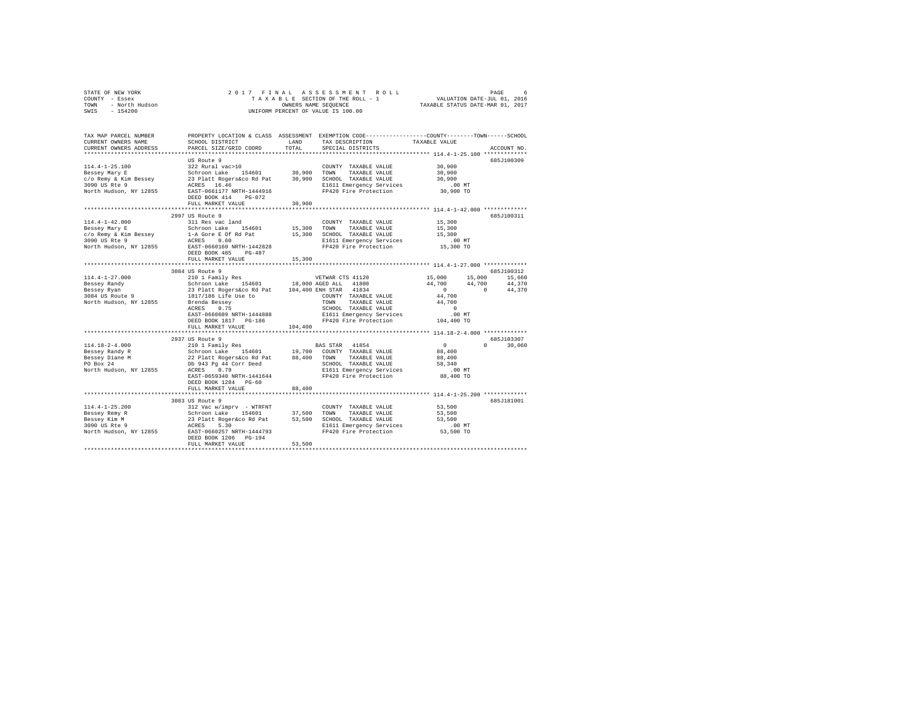| - 6                              |
|----------------------------------|
| VALUATION DATE-JUL 01, 2016      |
| TAXABLE STATUS DATE-MAR 01, 2017 |
|                                  |
|                                  |
|                                  |
|                                  |

| TAX MAP PARCEL NUMBER                         |                                                                                                                                                                                                                                |              | PROPERTY LOCATION & CLASS ASSESSMENT EXEMPTION CODE----------------COUNTY-------TOWN------SCHOOL |                  |                                                                                                                          |
|-----------------------------------------------|--------------------------------------------------------------------------------------------------------------------------------------------------------------------------------------------------------------------------------|--------------|--------------------------------------------------------------------------------------------------|------------------|--------------------------------------------------------------------------------------------------------------------------|
| CURRENT OWNERS NAME                           | SCHOOL DISTRICT                                                                                                                                                                                                                | <b>T.AND</b> | TAX DESCRIPTION TAXABLE VALUE                                                                    |                  |                                                                                                                          |
| CURRENT OWNERS ADDRESS                        | PARCEL SIZE/GRID COORD                                                                                                                                                                                                         | TOTAL        | SPECIAL DISTRICTS                                                                                |                  | ACCOUNT NO.                                                                                                              |
|                                               |                                                                                                                                                                                                                                |              |                                                                                                  |                  |                                                                                                                          |
|                                               | US Route 9                                                                                                                                                                                                                     |              |                                                                                                  |                  | 685J100309                                                                                                               |
| $114.4 - 1 - 25.100$                          | 322 Rural vac>10                                                                                                                                                                                                               |              | COUNTY TAXABLE VALUE                                                                             | 30,900           |                                                                                                                          |
| Bessey Mary E                                 | ${\tt Schroon\,\, Lake} \qquad {\tt 154601} \qquad {\tt 30,900} \qquad {\tt TOWN} \qquad {\tt TAXABLE\,\, VALUE}$<br>Schroon Lake 154601 30,900 TOWN TALABLE VALUE<br>23 Platt Rogers&co Rd Pat 30,900 SCHOOL TAXABLE VALUE    |              |                                                                                                  | 30,900           |                                                                                                                          |
| c/o Remy & Kim Bessey                         |                                                                                                                                                                                                                                |              |                                                                                                  | 30,900           |                                                                                                                          |
| 3090 US Rte 9                                 | ACRES 16.46                                                                                                                                                                                                                    |              | E1611 Emergency Services<br>FP420 Fire Protection                                                | MT.<br>30,900 TO |                                                                                                                          |
| North Hudson, NY 12855                        | EAST-0661177 NRTH-1444916                                                                                                                                                                                                      |              |                                                                                                  |                  |                                                                                                                          |
|                                               | DEED BOOK 414 PG-072                                                                                                                                                                                                           |              |                                                                                                  |                  |                                                                                                                          |
|                                               | FULL MARKET VALUE                                                                                                                                                                                                              | 30,900       |                                                                                                  |                  |                                                                                                                          |
|                                               |                                                                                                                                                                                                                                |              |                                                                                                  |                  | 6857100311                                                                                                               |
| $114.4 - 1 - 42.000$                          | 2997 US Route 9<br>311 Res vac land                                                                                                                                                                                            |              | COUNTY TAXABLE VALUE                                                                             | 15,300           |                                                                                                                          |
|                                               |                                                                                                                                                                                                                                |              |                                                                                                  | 15,300           |                                                                                                                          |
|                                               | Bessey Mary E<br>C/o Remy & Kim Bessey<br>1-A Gore E Of Rd Pat                                                                                                                                                                 |              | 15,300 TOWN TAXABLE VALUE<br>15,300 SCHOOL TAXABLE VALUE                                         | 15,300           |                                                                                                                          |
|                                               |                                                                                                                                                                                                                                |              |                                                                                                  |                  |                                                                                                                          |
|                                               |                                                                                                                                                                                                                                |              | E1611 Emergency Services .00 MT<br>FP420 Fire Protection .05,300 TO                              |                  |                                                                                                                          |
|                                               | DEED BOOK 485 PG-487                                                                                                                                                                                                           |              |                                                                                                  |                  |                                                                                                                          |
|                                               | FULL MARKET VALUE                                                                                                                                                                                                              | 15,300       |                                                                                                  |                  |                                                                                                                          |
|                                               |                                                                                                                                                                                                                                |              |                                                                                                  |                  |                                                                                                                          |
|                                               | 3084 US Route 9                                                                                                                                                                                                                |              |                                                                                                  |                  | 685J100312                                                                                                               |
| $114.4 - 1 - 27.000$                          |                                                                                                                                                                                                                                |              |                                                                                                  |                  |                                                                                                                          |
| Bessey Randy                                  |                                                                                                                                                                                                                                |              |                                                                                                  |                  |                                                                                                                          |
| Bessey Ryan<br>Bessey Ryan<br>3084 US Route 9 | 23 Platt Rogers&co Rd Pat 104,400 ENH STAR 41834                                                                                                                                                                               |              |                                                                                                  |                  | $\begin{array}{cccc} 44\,, 700 & \quad & 44\,, 700 & \quad & 44\,, 370 \\ 0 & \quad & 0 & \quad & 44\,, 370 \end{array}$ |
|                                               | 1817/186 Life Use to                                                                                                                                                                                                           |              | COUNTY TAXABLE VALUE<br>TOWN TAXABLE VALUE                                                       | 44,700           |                                                                                                                          |
| North Hudson, NY 12855                        | Brenda Bessey<br>ACRES       0.75                                                                                                                                                                                              |              |                                                                                                  | 44,700           |                                                                                                                          |
|                                               |                                                                                                                                                                                                                                |              | TOWN TAXABLE VALUE<br>SCHOOL TAXABLE VALUE                                                       | $\sim$ 0         |                                                                                                                          |
|                                               | EAST-0660609 NRTH-1444888                                                                                                                                                                                                      |              | E1611 Emergency Services .00 MT<br>FP420 Fire Protection .04,400 TO                              |                  |                                                                                                                          |
|                                               | DEED BOOK 1817 PG-186                                                                                                                                                                                                          |              |                                                                                                  |                  |                                                                                                                          |
|                                               | FULL MARKET VALUE                                                                                                                                                                                                              | 104,400      |                                                                                                  |                  |                                                                                                                          |
|                                               | *************************                                                                                                                                                                                                      |              |                                                                                                  |                  |                                                                                                                          |
|                                               | 2937 US Route 9                                                                                                                                                                                                                |              |                                                                                                  | $\sim$ 0         | 685J103307<br>$\Omega$                                                                                                   |
| $114.18 - 2 - 4.000$<br>Bessey Randy R        |                                                                                                                                                                                                                                |              |                                                                                                  | 88,400           | 30,060                                                                                                                   |
|                                               | 22 Platt Rogers&co Rd Pat 88,400 TOWN TAXABLE VALUE                                                                                                                                                                            |              |                                                                                                  | 88,400           |                                                                                                                          |
| Bessey Diane M<br>PO Box 24                   | Db 943 Pg 44 Corr Deed                                                                                                                                                                                                         |              | SCHOOL TAXABLE VALUE                                                                             | 58,340           |                                                                                                                          |
| North Hudson, NY 12855                        | ACRES 0.79                                                                                                                                                                                                                     |              |                                                                                                  |                  |                                                                                                                          |
|                                               | EAST-0659340 NRTH-1441644                                                                                                                                                                                                      |              | E1611 Emergency Services .00 MT<br>FP420 Fire Protection .08,400 TO                              |                  |                                                                                                                          |
|                                               | DEED BOOK 1284 PG-60                                                                                                                                                                                                           |              |                                                                                                  |                  |                                                                                                                          |
|                                               | FULL MARKET VALUE                                                                                                                                                                                                              | 88,400       |                                                                                                  |                  |                                                                                                                          |
|                                               |                                                                                                                                                                                                                                |              |                                                                                                  |                  |                                                                                                                          |
|                                               | 3083 US Route 9                                                                                                                                                                                                                |              |                                                                                                  |                  | 6857181001                                                                                                               |
| $114.4 - 1 - 25.200$                          | $\begin{tabular}{lllllllllllll} 312\text{ Vac } \text{w}/\text{imprv} & - \text{WTRENT} & & \text{COUNTY} & \text{TAXABLE VALUE} \\ Schroon \text{ Lake} & 154601 & 37,500 & \text{TOWN} & \text{TAXABLE VALUE} \end{tabular}$ |              | COUNTY TAXABLE VALUE 53,500                                                                      |                  |                                                                                                                          |
|                                               |                                                                                                                                                                                                                                |              |                                                                                                  |                  |                                                                                                                          |
|                                               |                                                                                                                                                                                                                                |              |                                                                                                  |                  |                                                                                                                          |
|                                               |                                                                                                                                                                                                                                |              |                                                                                                  |                  |                                                                                                                          |
|                                               | North Hudson, NY 12855 EAST-0660257 NRTH-1444793                                                                                                                                                                               |              | FP420 Fire Protection                                                                            | 53,500 TO        |                                                                                                                          |
|                                               | DEED BOOK 1206 PG-194                                                                                                                                                                                                          |              |                                                                                                  |                  |                                                                                                                          |
|                                               | FULL MARKET VALUE                                                                                                                                                                                                              | 53,500       |                                                                                                  |                  |                                                                                                                          |
|                                               |                                                                                                                                                                                                                                |              |                                                                                                  |                  |                                                                                                                          |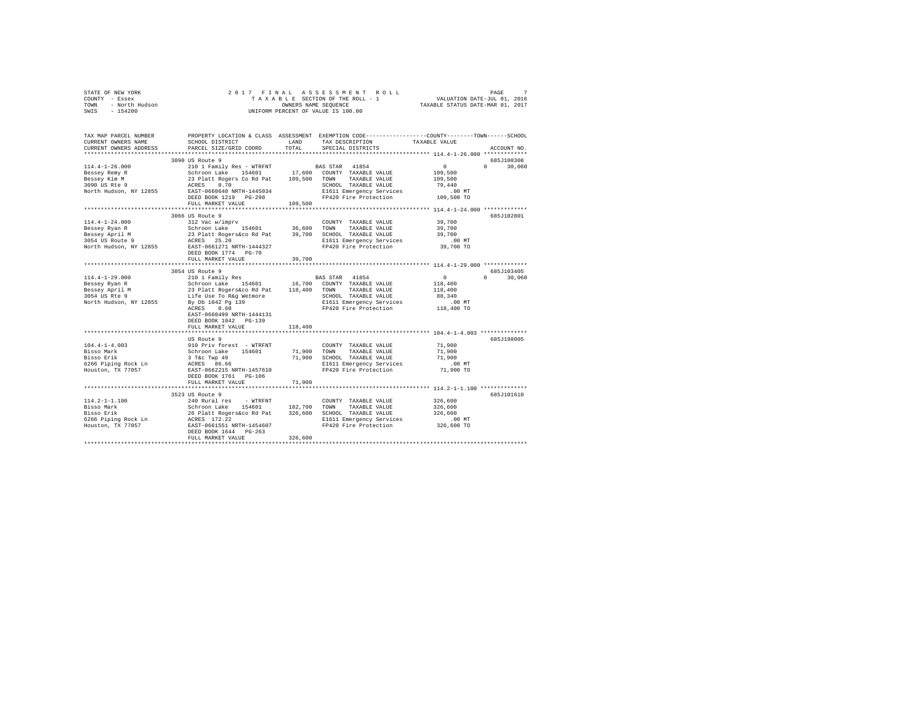|                                                                                                                                                                                                                           |                           |               | 2017 FINAL ASSESSMENT ROLL<br>TRINAL ASSESSMENT ROLL PAGE 7<br>TAXABLE SECTION OF THE ROLL - 1 VALUATION DATE-JUL 01, 2016<br>ONNERS NAME SEQUENCE 7 TAXABLE STATUS DATE-MAR 01, 2017                                       |                      | PAGE         |
|---------------------------------------------------------------------------------------------------------------------------------------------------------------------------------------------------------------------------|---------------------------|---------------|-----------------------------------------------------------------------------------------------------------------------------------------------------------------------------------------------------------------------------|----------------------|--------------|
| TAX MAP PARCEL NUMBER PROPERTY LOCATION & CLASS ASSESSMENT EXEMPTION CODE---------------COUNTY-------TOWN------SCHOOL<br>CURRENT OWNERS NAME SCHOOL DISTRICT LAND TAX DESCRIPTION TAXABLE VALUE<br>CURRENT OWNERS ADDRESS | PARCEL SIZE/GRID COORD    | TOTAL         | ${\tt TAX} \hbox{\ \tt DESCRIPITION} \hbox{\tt TAXABLE} \hbox{\ \tt VALUE}$<br>SPECIAL DISTRICTS                                                                                                                            |                      | ACCOUNT NO.  |
|                                                                                                                                                                                                                           | 3090 US Route 9           |               |                                                                                                                                                                                                                             |                      | 685J100308   |
|                                                                                                                                                                                                                           |                           |               |                                                                                                                                                                                                                             |                      | $0 \t30.060$ |
|                                                                                                                                                                                                                           |                           |               |                                                                                                                                                                                                                             |                      |              |
|                                                                                                                                                                                                                           |                           |               |                                                                                                                                                                                                                             |                      |              |
|                                                                                                                                                                                                                           |                           |               |                                                                                                                                                                                                                             |                      |              |
|                                                                                                                                                                                                                           |                           |               |                                                                                                                                                                                                                             |                      |              |
|                                                                                                                                                                                                                           | FULL MARKET VALUE         | 109,500       |                                                                                                                                                                                                                             |                      |              |
|                                                                                                                                                                                                                           |                           |               |                                                                                                                                                                                                                             |                      |              |
|                                                                                                                                                                                                                           | 3066 US Route 9           |               |                                                                                                                                                                                                                             |                      | 685J102801   |
|                                                                                                                                                                                                                           |                           |               |                                                                                                                                                                                                                             |                      |              |
|                                                                                                                                                                                                                           |                           |               |                                                                                                                                                                                                                             |                      |              |
|                                                                                                                                                                                                                           |                           |               |                                                                                                                                                                                                                             |                      |              |
|                                                                                                                                                                                                                           |                           |               |                                                                                                                                                                                                                             |                      |              |
|                                                                                                                                                                                                                           | DEED BOOK 1774 PG-70      |               |                                                                                                                                                                                                                             |                      |              |
|                                                                                                                                                                                                                           | FULL MARKET VALUE         | 39,700        |                                                                                                                                                                                                                             |                      |              |
|                                                                                                                                                                                                                           |                           |               |                                                                                                                                                                                                                             |                      |              |
|                                                                                                                                                                                                                           | 3054 US Route 9           |               |                                                                                                                                                                                                                             |                      | 685J103405   |
|                                                                                                                                                                                                                           |                           |               |                                                                                                                                                                                                                             |                      | $0 \t30.060$ |
|                                                                                                                                                                                                                           |                           |               |                                                                                                                                                                                                                             |                      |              |
|                                                                                                                                                                                                                           |                           |               |                                                                                                                                                                                                                             |                      |              |
|                                                                                                                                                                                                                           |                           |               |                                                                                                                                                                                                                             |                      |              |
|                                                                                                                                                                                                                           |                           |               |                                                                                                                                                                                                                             |                      |              |
|                                                                                                                                                                                                                           | EAST-0660499 NRTH-1444131 |               |                                                                                                                                                                                                                             |                      |              |
|                                                                                                                                                                                                                           | DEED BOOK 1042 PG-139     |               |                                                                                                                                                                                                                             |                      |              |
|                                                                                                                                                                                                                           | FULL MARKET VALUE         | 118,400       |                                                                                                                                                                                                                             |                      |              |
|                                                                                                                                                                                                                           | ************************* | ************* | ***************************** 104.4-1-4.003 **************                                                                                                                                                                  |                      |              |
| $104.4 - 1 - 4.003$                                                                                                                                                                                                       | US Route 9                |               |                                                                                                                                                                                                                             |                      | 685J198005   |
|                                                                                                                                                                                                                           |                           |               |                                                                                                                                                                                                                             |                      |              |
| Bisso Mark<br>Bisso Erik                                                                                                                                                                                                  |                           |               |                                                                                                                                                                                                                             |                      |              |
| 6266 Piping Rock Ln<br>Houston, TX 77057                                                                                                                                                                                  |                           |               |                                                                                                                                                                                                                             |                      |              |
|                                                                                                                                                                                                                           |                           |               |                                                                                                                                                                                                                             |                      |              |
|                                                                                                                                                                                                                           | DEED BOOK 1761 PG-106     |               |                                                                                                                                                                                                                             |                      |              |
|                                                                                                                                                                                                                           | FULL MARKET VALUE         | 71,900        |                                                                                                                                                                                                                             |                      |              |
|                                                                                                                                                                                                                           |                           |               |                                                                                                                                                                                                                             |                      |              |
| $114.2 - 1 - 1.100$                                                                                                                                                                                                       | 3523 US Route 9           |               | COUNTY TAXABLE VALUE 326,600                                                                                                                                                                                                |                      | 685J101610   |
|                                                                                                                                                                                                                           |                           |               |                                                                                                                                                                                                                             | 326,600              |              |
| Bisso Mark<br>Bisso Erik                                                                                                                                                                                                  |                           |               |                                                                                                                                                                                                                             | 326,600              |              |
| 6266 Piping Rock Ln<br>Houston, TX 77057                                                                                                                                                                                  |                           |               |                                                                                                                                                                                                                             |                      |              |
|                                                                                                                                                                                                                           |                           |               | 240. Nural res - WTRFNT<br>Schroon Lake 154601 182,700 TOWN TAXABLE VALUE<br>26 Platt Rogers 6co Rd Pat 326,600 SCHOOL TAXABLE VALUE<br>ACRES 172.22<br>ACRES 172.22<br>EAST-0661551 NRTH-1454607 201611 Emergency Services | 00 MT.<br>326,600 TO |              |
|                                                                                                                                                                                                                           | DEED BOOK 1644 PG-263     |               |                                                                                                                                                                                                                             |                      |              |
|                                                                                                                                                                                                                           | FULL MARKET VALUE         | 326,600       |                                                                                                                                                                                                                             |                      |              |
|                                                                                                                                                                                                                           |                           |               |                                                                                                                                                                                                                             |                      |              |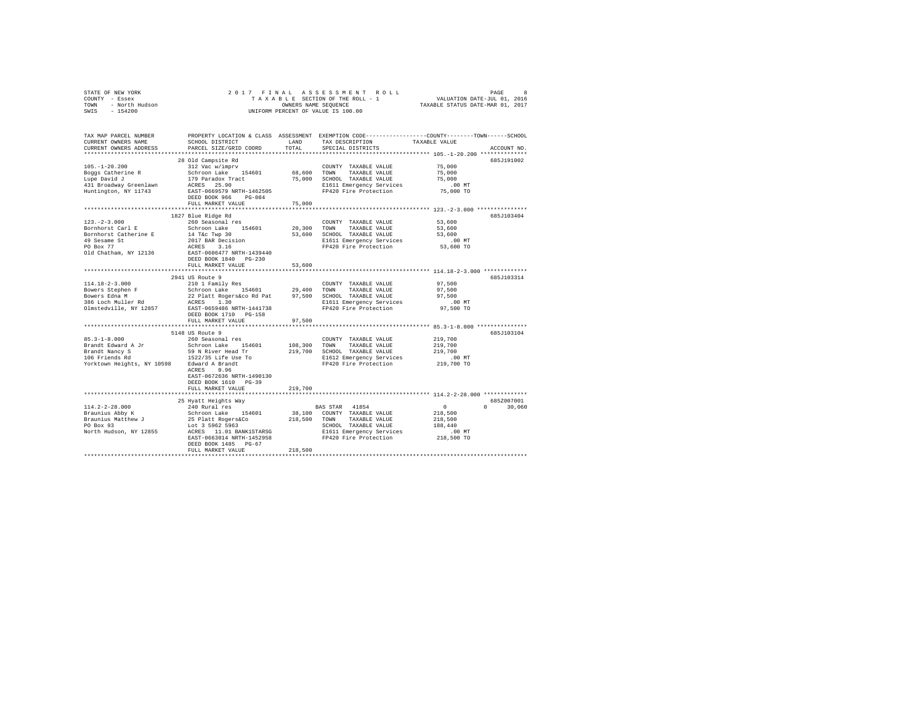| STATE OF NEW YORK<br>COUNTY - Essex<br>TOWN - North Hudson<br>SWIS - 154200 |                                                                                                                                             |              | 2017 FINAL ASSESSMENT ROLL<br>OWNERS NAME SEQUENCE<br>UNIFORM PERCENT OF VALUE IS 100.00                                                              | TAXABLE STATUS DATE-MAR 01, 2017 | PAGE<br>8                   |
|-----------------------------------------------------------------------------|---------------------------------------------------------------------------------------------------------------------------------------------|--------------|-------------------------------------------------------------------------------------------------------------------------------------------------------|----------------------------------|-----------------------------|
| TAX MAP PARCEL NUMBER<br>CURRENT OWNERS NAME<br>CURRENT OWNERS ADDRESS      | SCHOOL DISTRICT LAND<br>PARCEL SIZE/GRID COORD                                                                                              | TOTAL        | PROPERTY LOCATION & CLASS ASSESSMENT EXEMPTION CODE---------------COUNTY-------TOWN------SCHOOL<br>TAX DESCRIPTION TAXABLE VALUE<br>SPECIAL DISTRICTS |                                  | ACCOUNT NO.                 |
|                                                                             |                                                                                                                                             |              |                                                                                                                                                       |                                  |                             |
|                                                                             | 28 Old Campsite Rd                                                                                                                          |              |                                                                                                                                                       |                                  | 685.7191002                 |
| $105. - 1 - 20.200$                                                         | 312 Vac w/imprv<br>Schroon Lake 154601                                                                                                      | 68,600 TOWN  | COUNTY TAXABLE VALUE<br>TAXABLE VALUE                                                                                                                 | 75,000<br>75,000                 |                             |
| Boggs Catherine R<br>Lupe David J                                           |                                                                                                                                             |              | 75,000 SCHOOL TAXABLE VALUE                                                                                                                           | 75,000                           |                             |
| 431 Broadway Greenlawn                                                      | 179 Paradox Tract<br>ACRES 25.90                                                                                                            |              | E1611 Emergency Services                                                                                                                              | $.00$ MT                         |                             |
| Huntington, NY 11743                                                        | EAST-0669579 NRTH-1462505<br>DEED BOOK 966 PG-084                                                                                           |              | FP420 Fire Protection                                                                                                                                 | 75,000 TO                        |                             |
|                                                                             | FULL MARKET VALUE                                                                                                                           | 75,000       |                                                                                                                                                       |                                  |                             |
|                                                                             |                                                                                                                                             |              |                                                                                                                                                       |                                  |                             |
| $123. - 2 - 3.000$                                                          | 1827 Blue Ridge Rd<br>260 Seasonal res                                                                                                      |              | COUNTY TAXABLE VALUE                                                                                                                                  | 53,600                           | 685J103404                  |
| Bornhorst Carl E                                                            | Schroon Lake 154601                                                                                                                         |              | 20,300 TOWN TAXABLE VALUE                                                                                                                             | 53,600                           |                             |
| Bornhorst Catherine E                                                       | 14 T&C Twp 30                                                                                                                               |              | 53,600 SCHOOL TAXABLE VALUE                                                                                                                           | 53,600                           |                             |
| 49 Sesame St<br>PO Box 77                                                   | 2017 BAR Decision<br>ACRES 3.16                                                                                                             |              | E1611 Emergency Services                                                                                                                              | $.00$ MT                         |                             |
|                                                                             |                                                                                                                                             |              | FP420 Fire Protection 53,600 TO                                                                                                                       |                                  |                             |
| Old Chatham, NY 12136                                                       | EAST-0606477 NRTH-1439440                                                                                                                   |              |                                                                                                                                                       |                                  |                             |
|                                                                             | DEED BOOK 1840 PG-230<br>FULL MARKET VALUE                                                                                                  | 53,600       |                                                                                                                                                       |                                  |                             |
|                                                                             |                                                                                                                                             | ***********  | **************************** 114.18-2-3.000 *************                                                                                             |                                  |                             |
|                                                                             | 2941 US Route 9                                                                                                                             |              |                                                                                                                                                       |                                  | 685J103314                  |
| 114.18-2-3.000                                                              | 210 1 Family Res                                                                                                                            |              | COUNTY TAXABLE VALUE                                                                                                                                  | 97,500                           |                             |
| Bowers Stephen F                                                            | 29,400 TOWN TAXABLE VALUE<br>22 Platt Rogers&co Rd Pat 97,500 SCHOOL TAXABLE VALUE<br>22 Platt Rogers&co Rd Pat 97,500 SCHOOL TAXABLE VALUE |              |                                                                                                                                                       | 97.500                           |                             |
| Bowers Edna M<br>386 Loch Muller Rd                                         | ACRES 1.30                                                                                                                                  |              |                                                                                                                                                       | 97.500<br>$.00$ MT               |                             |
| Olmstedville, NY 12857                                                      | EAST-0659486 NRTH-1441738                                                                                                                   |              | E1611 Emergency Services<br>FP420 Fire Protection                                                                                                     | 97,500 TO                        |                             |
|                                                                             | DEED BOOK 1710 PG-158                                                                                                                       |              |                                                                                                                                                       |                                  |                             |
|                                                                             | FULL MARKET VALUE                                                                                                                           | 97,500       |                                                                                                                                                       |                                  |                             |
|                                                                             | 5148 US Route 9                                                                                                                             |              |                                                                                                                                                       |                                  | 685J103104                  |
| $85.3 - 1 - 8.000$                                                          | 260 Seasonal res                                                                                                                            |              | COUNTY TAXABLE VALUE                                                                                                                                  | 219,700                          |                             |
|                                                                             | Schroon Lake 154601                                                                                                                         |              | 108,300 TOWN TAXABLE VALUE                                                                                                                            | 219,700                          |                             |
|                                                                             | 59 N River Head Tr                                                                                                                          |              | 219,700 SCHOOL TAXABLE VALUE                                                                                                                          | 219,700                          |                             |
|                                                                             |                                                                                                                                             |              | E1612 Emergency Services                                                                                                                              | $.00$ MT                         |                             |
| Yorktown Heights, NY 10598 Edward A Brandt                                  | ACRES 0.96                                                                                                                                  |              | FP420 Fire Protection                                                                                                                                 | 219,700 TO                       |                             |
|                                                                             | EAST-0672636 NRTH-1490130                                                                                                                   |              |                                                                                                                                                       |                                  |                             |
|                                                                             | DEED BOOK 1610 PG-39                                                                                                                        |              |                                                                                                                                                       |                                  |                             |
|                                                                             | FULL MARKET VALUE                                                                                                                           | 219,700      |                                                                                                                                                       |                                  |                             |
|                                                                             |                                                                                                                                             |              |                                                                                                                                                       |                                  |                             |
| $114.2 - 2 - 28.000$                                                        | 25 Hyatt Heights Way<br>240 Rural res                                                                                                       |              |                                                                                                                                                       | $\mathbf{0}$                     | 685Z007001<br>$0 \t 30.060$ |
| Braunius Abby K                                                             | Schroon Lake 154601                                                                                                                         |              | BAS STAR 41854<br>38,100 COUNTY TAXABLE VALUE                                                                                                         | 218,500                          |                             |
|                                                                             |                                                                                                                                             | 218,500 TOWN | TAXABLE VALUE                                                                                                                                         | 218,500                          |                             |
| Braunius Matthew J<br>PO Box 93                                             | 25 Platt Rogers&Co<br>Lot 3 5962 5963                                                                                                       |              | SCHOOL TAXABLE VALUE                                                                                                                                  | 188,440                          |                             |
| North Hudson, NY 12855                                                      | ACRES 11.01 BANK1STARSG                                                                                                                     |              | E1611 Emergency Services<br>FP420 Fire Protection                                                                                                     | .00 MT                           |                             |
|                                                                             | EAST-0663014 NRTH-1452958                                                                                                                   |              |                                                                                                                                                       | 218,500 TO                       |                             |
|                                                                             | DEED BOOK 1485 PG-67<br>FULL MARKET VALUE                                                                                                   | 218,500      |                                                                                                                                                       |                                  |                             |
|                                                                             |                                                                                                                                             |              |                                                                                                                                                       |                                  |                             |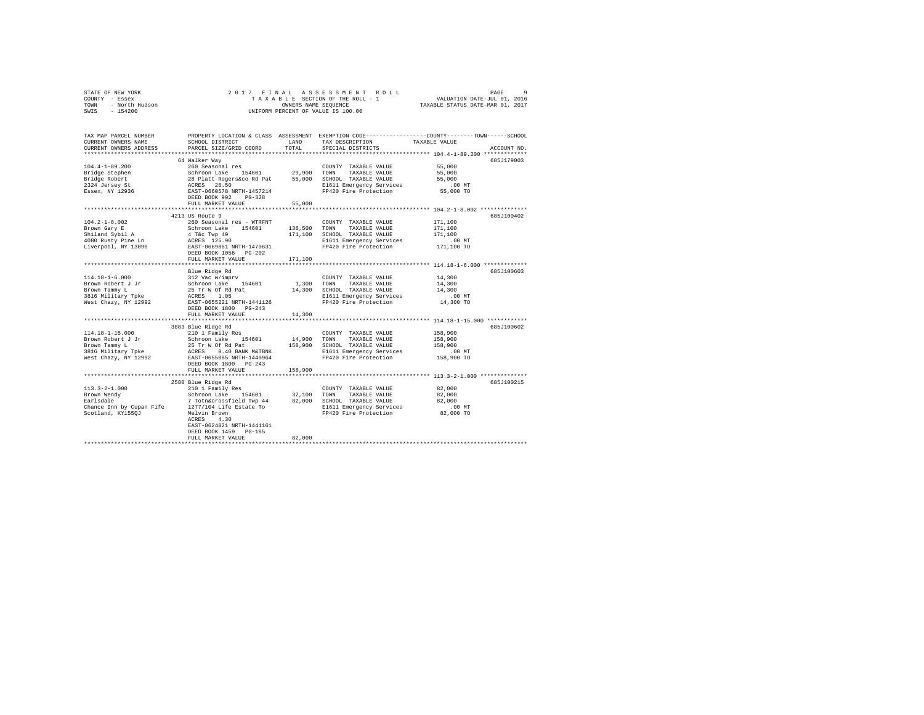|                | STATE OF NEW YORK |  |  |  |  | 2017 FINAL ASSESSMENT ROLL                               | PAGE                        | $\alpha$ |
|----------------|-------------------|--|--|--|--|----------------------------------------------------------|-----------------------------|----------|
| COUNTY - Essex |                   |  |  |  |  | TAXABLE SECTION OF THE ROLL - 1                          | VALUATION DATE-JUL 01, 2016 |          |
| TOWN           | - North Hudson    |  |  |  |  | TAXABLE STATUS DATE-MAR 01, 2017<br>OWNERS NAME SEOUENCE |                             |          |
| SWIS           | $-154200$         |  |  |  |  | UNIFORM PERCENT OF VALUE IS 100.00                       |                             |          |

| TAX MAP PARCEL NUMBER<br>CURRENT OWNERS NAME<br>CURRENT OWNERS ADDRESS | SCHOOL DISTRICT<br>PARCEL SIZE/GRID COORD                                                                                                                                                                                                                                                     | LAND<br>TOTAL | TAX DESCRIPTION<br>SPECIAL DISTRICTS                                | PROPERTY LOCATION & CLASS ASSESSMENT EXEMPTION CODE---------------COUNTY-------TOWN-----SCHOOL<br>TAXABLE VALUE<br>ACCOUNT NO. |
|------------------------------------------------------------------------|-----------------------------------------------------------------------------------------------------------------------------------------------------------------------------------------------------------------------------------------------------------------------------------------------|---------------|---------------------------------------------------------------------|--------------------------------------------------------------------------------------------------------------------------------|
|                                                                        |                                                                                                                                                                                                                                                                                               |               |                                                                     |                                                                                                                                |
|                                                                        | 64 Walker Way                                                                                                                                                                                                                                                                                 |               |                                                                     | 685J179003                                                                                                                     |
| $104.4 - 1 - 89.200$                                                   | 260 Seasonal res                                                                                                                                                                                                                                                                              |               | COUNTY TAXABLE VALUE 55,000                                         |                                                                                                                                |
|                                                                        |                                                                                                                                                                                                                                                                                               |               |                                                                     | 55,000                                                                                                                         |
|                                                                        |                                                                                                                                                                                                                                                                                               |               |                                                                     | 55,000                                                                                                                         |
|                                                                        |                                                                                                                                                                                                                                                                                               |               | E1611 Emergency Services                                            | $.00$ MT                                                                                                                       |
|                                                                        | Bridge Stephen – Schroom Lake 154601 – 29,900 TOWN TAXABLE VALUE<br>2304 Jersey St – 28 Platt Rogers&co Rd Pat – 55,000 SCHOOL TAXABLE VALUE<br>2324 Jersey St – ACRES 26.50 – 2021 – 2021<br>2324 Jersey St – ACRES 26.50 – 2021<br>2524<br>DEED BOOK 992 PG-328                             |               | FP420 Fire Protection                                               | 55,000 TO                                                                                                                      |
|                                                                        | FULL MARKET VALUE                                                                                                                                                                                                                                                                             | 55,000        |                                                                     |                                                                                                                                |
|                                                                        |                                                                                                                                                                                                                                                                                               |               |                                                                     |                                                                                                                                |
|                                                                        | 4213 US Route 9                                                                                                                                                                                                                                                                               |               |                                                                     | 685J100402                                                                                                                     |
| $104.2 - 1 - 8.002$                                                    | 260 Seasonal res - WTRFNT                                                                                                                                                                                                                                                                     |               | COUNTY TAXABLE VALUE                                                | 171,100                                                                                                                        |
|                                                                        |                                                                                                                                                                                                                                                                                               | 136,500       | TAXABLE VALUE<br>TOWN                                               | 171,100                                                                                                                        |
|                                                                        |                                                                                                                                                                                                                                                                                               | 171,100       | SCHOOL TAXABLE VALUE                                                | 171,100                                                                                                                        |
|                                                                        |                                                                                                                                                                                                                                                                                               |               | E1611 Emergency Services                                            | $.00$ MT<br>00 MT.<br>171,100 TO                                                                                               |
|                                                                        | notical control of the scheme of the scheme of the scheme of the scheme of the scheme of the scheme of the scheme of the scheme of the scheme of the scheme of the scheme of the scheme of the scheme of the scheme of the sch                                                                |               | FP420 Fire Protection                                               |                                                                                                                                |
|                                                                        |                                                                                                                                                                                                                                                                                               |               |                                                                     |                                                                                                                                |
|                                                                        | FULL MARKET VALUE                                                                                                                                                                                                                                                                             | 171,100       |                                                                     |                                                                                                                                |
|                                                                        |                                                                                                                                                                                                                                                                                               |               |                                                                     |                                                                                                                                |
|                                                                        | Blue Ridge Rd                                                                                                                                                                                                                                                                                 |               |                                                                     | 685J100603                                                                                                                     |
|                                                                        |                                                                                                                                                                                                                                                                                               |               | COUNTY TAXABLE VALUE                                                | 14,300                                                                                                                         |
|                                                                        |                                                                                                                                                                                                                                                                                               | 1,300 TOWN    | TAXABLE VALUE                                                       | 14,300                                                                                                                         |
|                                                                        |                                                                                                                                                                                                                                                                                               |               | 14,300 SCHOOL TAXABLE VALUE                                         | 14,300                                                                                                                         |
|                                                                        |                                                                                                                                                                                                                                                                                               |               | E1611 Emergency Services                                            | $.00$ MT                                                                                                                       |
|                                                                        |                                                                                                                                                                                                                                                                                               |               | FP420 Fire Protection                                               | 14,300 TO                                                                                                                      |
|                                                                        | DEED BOOK 1800 PG-243                                                                                                                                                                                                                                                                         |               |                                                                     |                                                                                                                                |
|                                                                        | FULL MARKET VALUE                                                                                                                                                                                                                                                                             | 14,300        |                                                                     |                                                                                                                                |
|                                                                        | *************************                                                                                                                                                                                                                                                                     |               |                                                                     | ************* 114.18-1-15.000 ***********                                                                                      |
|                                                                        | 3883 Blue Ridge Rd                                                                                                                                                                                                                                                                            |               |                                                                     | 685J100602                                                                                                                     |
|                                                                        |                                                                                                                                                                                                                                                                                               |               | COUNTY TAXABLE VALUE                                                | 158,900                                                                                                                        |
|                                                                        |                                                                                                                                                                                                                                                                                               | 14,900 TOWN   | TAXABLE VALUE                                                       | 158,900                                                                                                                        |
|                                                                        |                                                                                                                                                                                                                                                                                               |               | 158,900 SCHOOL TAXABLE VALUE                                        | 158,900                                                                                                                        |
|                                                                        |                                                                                                                                                                                                                                                                                               |               | E1611 Emergency Services                                            | .00 MT                                                                                                                         |
|                                                                        |                                                                                                                                                                                                                                                                                               |               | FP420 Fire Protection                                               | 158,900 TO                                                                                                                     |
|                                                                        | DEED BOOK 1800 PG-243                                                                                                                                                                                                                                                                         |               |                                                                     |                                                                                                                                |
|                                                                        | FULL MARKET VALUE                                                                                                                                                                                                                                                                             | 158,900       |                                                                     |                                                                                                                                |
|                                                                        |                                                                                                                                                                                                                                                                                               |               |                                                                     |                                                                                                                                |
|                                                                        | 2580 Blue Ridge Rd                                                                                                                                                                                                                                                                            |               |                                                                     | 685J100215                                                                                                                     |
|                                                                        |                                                                                                                                                                                                                                                                                               |               |                                                                     | 82,000                                                                                                                         |
|                                                                        |                                                                                                                                                                                                                                                                                               |               |                                                                     | 82,000                                                                                                                         |
|                                                                        |                                                                                                                                                                                                                                                                                               |               |                                                                     | 82,000                                                                                                                         |
|                                                                        | $\begin{tabular}{lcl} 11.3.-9-1.000 & 210 1 Fam1ly Res \\ 11.3--2-1.000 & 210 1 Fam1ly Res \\ 12.3--2.100 & 210 1 Fam1ly Res \\ 13.3--2.100 & 22.100 & 2.100 & 2.100 & 2.100 \\ 14.30 & 2.100 & 2.100 & 2.100 & 2.100 \\ 15.30 & 2.100 & 2.100 & 2.100 & 2.100 \\ 16.30 & 2.100 & 2.100 & 2.$ |               | E1611 Emergency Services .00 MT<br>FP420 Fire Protection  82,000 TO |                                                                                                                                |
|                                                                        | ACRES<br>4.30                                                                                                                                                                                                                                                                                 |               |                                                                     |                                                                                                                                |
|                                                                        | EAST-0624821 NRTH-1441161                                                                                                                                                                                                                                                                     |               |                                                                     |                                                                                                                                |
|                                                                        | DEED BOOK 1459 PG-185                                                                                                                                                                                                                                                                         |               |                                                                     |                                                                                                                                |
|                                                                        | FULL MARKET VALUE                                                                                                                                                                                                                                                                             | 82,000        |                                                                     |                                                                                                                                |
|                                                                        |                                                                                                                                                                                                                                                                                               |               |                                                                     |                                                                                                                                |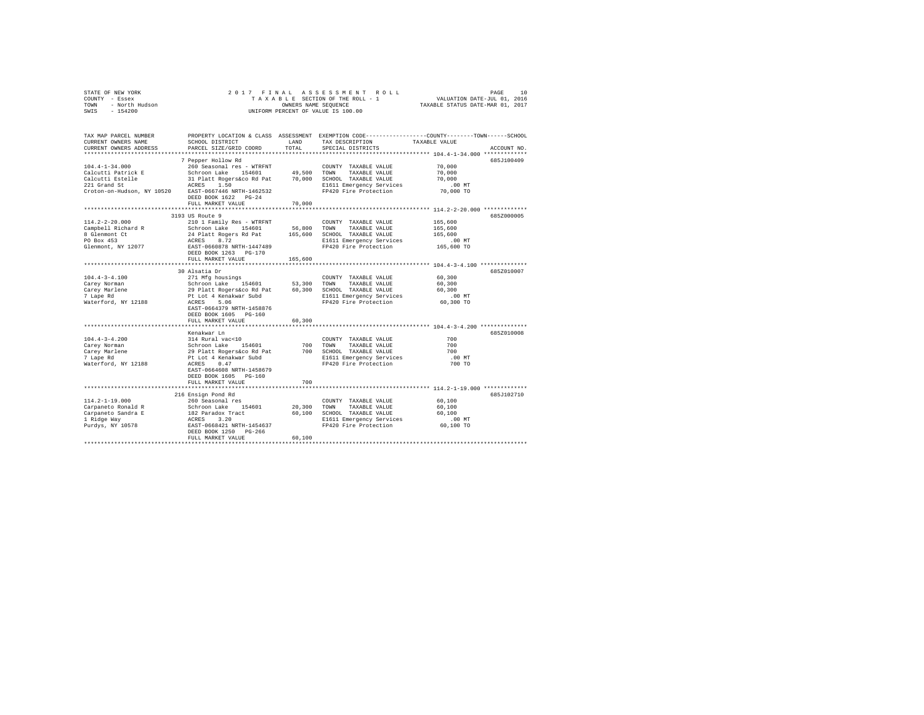|                | STATE OF NEW YORK |  |  |  |  |                                    |  |                                 | 2017 FINAL ASSESSMENT ROLL |                                  |                             | PAGE | 10 |
|----------------|-------------------|--|--|--|--|------------------------------------|--|---------------------------------|----------------------------|----------------------------------|-----------------------------|------|----|
| COUNTY - Essex |                   |  |  |  |  |                                    |  | TAXABLE SECTION OF THE ROLL - 1 |                            |                                  | VALUATION DATE-JUL 01, 2016 |      |    |
| TOWN           | - North Hudson    |  |  |  |  | OWNERS NAME SEOUENCE               |  |                                 |                            | TAXABLE STATUS DATE-MAR 01, 2017 |                             |      |    |
| SWIS           | - 154200          |  |  |  |  | UNIFORM PERCENT OF VALUE IS 100.00 |  |                                 |                            |                                  |                             |      |    |

| TAX MAP PARCEL NUMBER<br>CURRENT OWNERS NAME         | SCHOOL DISTRICT                                                       | LAND             | TAX DESCRIPTION                               | PROPERTY LOCATION & CLASS ASSESSMENT EXEMPTION CODE---------------COUNTY-------TOWN-----SCHOOL<br>TAXABLE VALUE |
|------------------------------------------------------|-----------------------------------------------------------------------|------------------|-----------------------------------------------|-----------------------------------------------------------------------------------------------------------------|
| CURRENT OWNERS ADDRESS<br>**********************     | PARCEL SIZE/GRID COORD                                                | TOTAL            | SPECIAL DISTRICTS                             | ACCOUNT NO.                                                                                                     |
|                                                      | 7 Pepper Hollow Rd                                                    |                  |                                               | 685J100409                                                                                                      |
| $104.4 - 1 - 34.000$                                 | 260 Seasonal res - WTRFNT                                             |                  | COUNTY TAXABLE VALUE                          | 70,000                                                                                                          |
| Calcutti Patrick E                                   | Schroon Lake<br>154601                                                | 49.500           | TOWN<br>TAXABLE VALUE                         | 70,000                                                                                                          |
| Calcutti Estelle                                     | 31 Platt Rogers&co Rd Pat                                             | 70,000           | SCHOOL TAXABLE VALUE                          | 70,000                                                                                                          |
| 221 Grand St                                         | ACRES 1.50                                                            |                  | E1611 Emergency Services                      | $.00$ MT                                                                                                        |
| Croton-on-Hudson, NY 10520 EAST-0667446 NRTH-1462532 |                                                                       |                  | FP420 Fire Protection                         | 70,000 TO                                                                                                       |
|                                                      | DEED BOOK 1622 PG-24                                                  |                  |                                               |                                                                                                                 |
|                                                      | FULL MARKET VALUE                                                     | 70,000           |                                               |                                                                                                                 |
|                                                      |                                                                       |                  |                                               |                                                                                                                 |
|                                                      | 3193 US Route 9                                                       |                  |                                               | 685Z000005                                                                                                      |
| $114.2 - 2 - 20.000$                                 | 210 1 Family Res - WTRFNT                                             |                  | COUNTY TAXABLE VALUE                          | 165,600                                                                                                         |
| Campbell Richard R                                   | Schroon Lake 154601                                                   | 56,800           | TOWN<br>TAXABLE VALUE                         | 165,600                                                                                                         |
| 8 Glenmont Ct                                        |                                                                       | 165,600          | SCHOOL TAXABLE VALUE                          | 165,600                                                                                                         |
| PO Box 453                                           | 24 Platt Rogers Rd Pat<br>ACRES     8.72<br>EAST-0660878 NRTH-1447489 |                  | E1611 Emergency Services                      | .00MT                                                                                                           |
| Glenmont, NY 12077                                   |                                                                       |                  | FP420 Fire Protection                         | 165,600 TO                                                                                                      |
|                                                      | DEED BOOK 1263 PG-170                                                 |                  |                                               |                                                                                                                 |
|                                                      | FULL MARKET VALUE                                                     | 165,600          |                                               |                                                                                                                 |
|                                                      |                                                                       |                  |                                               | *********************** 104.4-3-4.100 **************                                                            |
|                                                      | 30 Alsatia Dr                                                         |                  |                                               | 685Z010007                                                                                                      |
| $104.4 - 3 - 4.100$                                  | 271 Mfg housings                                                      |                  | COUNTY TAXABLE VALUE                          | 60,300                                                                                                          |
| Carey Norman<br>Carey Marlene                        | Schroon Lake<br>154601<br>29 Platt Rogers&co Rd Pat                   | 53,300<br>60,300 | TOWN<br>TAXABLE VALUE<br>SCHOOL TAXABLE VALUE | 60,300<br>60,300                                                                                                |
| 7 Lape Rd                                            | Pt Lot 4 Kenakwar Subd                                                |                  | E1611 Emergency Services                      | .00 MT                                                                                                          |
| Waterford, NY 12188                                  | ACRES<br>5.06                                                         |                  | FP420 Fire Protection                         | 60,300 TO                                                                                                       |
|                                                      | EAST-0664379 NRTH-1458876                                             |                  |                                               |                                                                                                                 |
|                                                      | DEED BOOK 1605 PG-160                                                 |                  |                                               |                                                                                                                 |
|                                                      | FULL MARKET VALUE                                                     | 60,300           |                                               |                                                                                                                 |
|                                                      |                                                                       |                  |                                               |                                                                                                                 |
|                                                      | Kenakwar Ln                                                           |                  |                                               | 685Z010008                                                                                                      |
| $104.4 - 3 - 4.200$                                  | 314 Rural vac<10                                                      |                  | COUNTY TAXABLE VALUE                          | 700                                                                                                             |
| Carey Norman                                         | Schroon Lake<br>154601                                                | 700              | TOWN<br>TAXABLE VALUE                         | 700                                                                                                             |
| Carey Marlene                                        | 29 Platt Rogers&co Rd Pat                                             | 700              | SCHOOL TAXABLE VALUE                          | 700                                                                                                             |
| 7 Lape Rd                                            | Pt Lot 4 Kenakwar Subd                                                |                  | E1611 Emergency Services                      | $.00$ MT                                                                                                        |
| Waterford, NY 12188                                  | 0.47<br>ACRES                                                         |                  | FP420 Fire Protection                         | 700 TO                                                                                                          |
|                                                      | EAST-0664608 NRTH-1458679                                             |                  |                                               |                                                                                                                 |
|                                                      | DEED BOOK 1605 PG-160                                                 |                  |                                               |                                                                                                                 |
|                                                      | FULL MARKET VALUE                                                     | 700              |                                               |                                                                                                                 |
|                                                      |                                                                       |                  |                                               |                                                                                                                 |
|                                                      | 216 Ensign Pond Rd                                                    |                  |                                               | 685J102710                                                                                                      |
| $114.2 - 1 - 19.000$                                 | 260 Seasonal res                                                      |                  | COUNTY TAXABLE VALUE                          | 60,100                                                                                                          |
| Carpaneto Ronald R                                   | Schroon Lake 154601                                                   | 20,300           | TOWN<br>TAXABLE VALUE                         | 60,100                                                                                                          |
| Carpaneto Sandra E                                   |                                                                       | 60,100           | SCHOOL TAXABLE VALUE                          | 60,100                                                                                                          |
| 1 Ridge Way                                          | 182 Paradox Tract<br>ACRES 3.20<br>EAST-0668421 NRTH-1454637          |                  | E1611 Emergency Services                      | $.00$ MT                                                                                                        |
| Purdys, NY 10578                                     | DEED BOOK 1250<br>$PG-266$                                            |                  | FP420 Fire Protection                         | 60,100 TO                                                                                                       |
|                                                      | FULL MARKET VALUE                                                     | 60,100           |                                               |                                                                                                                 |
|                                                      |                                                                       |                  |                                               |                                                                                                                 |
|                                                      |                                                                       |                  |                                               |                                                                                                                 |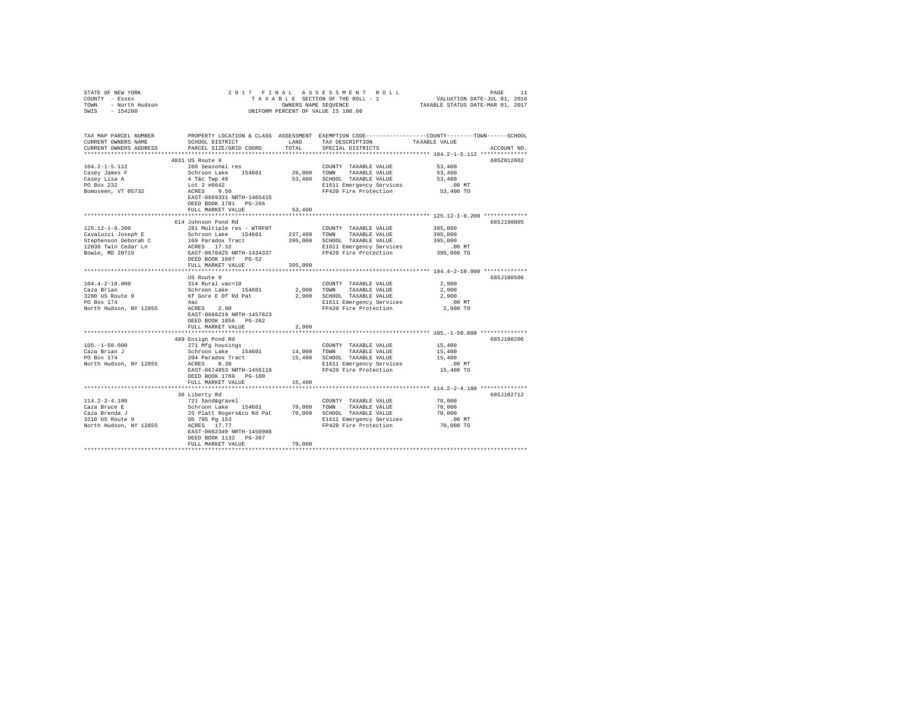| STATE OF NEW YORK<br>COUNTY - Essex<br>TOWN - North Hudson<br>SWIS - 154200                                               |                                                                                                                                              |                     | 2017 FINAL ASSESSMENT ROLL<br>TAXABLE SECTION OF THE ROLL - 1 WALUATION DATE-JUL 01, 2016<br>ONNERS NAME SECTION OF THE ROLL - 1 WALUATION DATE-JUL 01, 2016<br>TAXABLE STATUS DATE-MAR 01 2017<br>UNIFORM PERCENT OF VALUE IS 100.00 |                   |             |
|---------------------------------------------------------------------------------------------------------------------------|----------------------------------------------------------------------------------------------------------------------------------------------|---------------------|---------------------------------------------------------------------------------------------------------------------------------------------------------------------------------------------------------------------------------------|-------------------|-------------|
| TAX MAP PARCEL NUMBER<br>CURRENT OWNERS NAME<br>CURRENT OWNERS ADDRESS                                                    | PROPERTY LOCATION & CLASS ASSESSMENT EXEMPTION CODE---------------COUNTY-------TOWN------SCHOOL<br>SCHOOL DISTRICT<br>PARCEL SIZE/GRID COORD | LAND<br>TOTAL       | TAX DESCRIPTION TAXABLE VALUE<br>SPECIAL DISTRICTS                                                                                                                                                                                    |                   | ACCOUNT NO. |
|                                                                                                                           |                                                                                                                                              |                     |                                                                                                                                                                                                                                       |                   |             |
| $104.2 - 1 - 5.112$                                                                                                       | 4031 US Route 9<br>260 Seasonal res                                                                                                          |                     |                                                                                                                                                                                                                                       | 53,400            | 685Z012002  |
| Casey James F                                                                                                             |                                                                                                                                              | 26,000 TOWN         | COUNTY TAXABLE VALUE<br>TAXABLE VALUE                                                                                                                                                                                                 | 53,400            |             |
|                                                                                                                           |                                                                                                                                              |                     | 53,400 SCHOOL TAXABLE VALUE                                                                                                                                                                                                           | 53,400            |             |
| Casey Lisa A<br>PO Box 232                                                                                                |                                                                                                                                              |                     |                                                                                                                                                                                                                                       | $.00$ MT          |             |
| Bomoseen, VT 05732                                                                                                        |                                                                                                                                              |                     | E1611 Emergency Services<br>FP420 Fire Protection                                                                                                                                                                                     | 53,400 TO         |             |
|                                                                                                                           | Schroon Lake 154601<br>4 T&c Twp 49<br>Lot 2 #6642<br>ACRES 9.50<br>RAST-0669331 NRTH-1465415<br>DEED BOOK 1781 PG-266                       |                     |                                                                                                                                                                                                                                       |                   |             |
|                                                                                                                           | FULL MARKET VALUE                                                                                                                            | 53,400              |                                                                                                                                                                                                                                       |                   |             |
|                                                                                                                           |                                                                                                                                              |                     |                                                                                                                                                                                                                                       |                   | 685J190005  |
| 125.12-1-8.200                                                                                                            | 614 Johnson Pond Rd<br>281 Multiple res - WTRFNT                                                                                             |                     | COUNTY TAXABLE VALUE                                                                                                                                                                                                                  | 395,000           |             |
|                                                                                                                           |                                                                                                                                              |                     |                                                                                                                                                                                                                                       | 395,000           |             |
|                                                                                                                           |                                                                                                                                              |                     |                                                                                                                                                                                                                                       | 395,000           |             |
|                                                                                                                           |                                                                                                                                              |                     |                                                                                                                                                                                                                                       | .00 MT            |             |
|                                                                                                                           |                                                                                                                                              |                     | E1611 Emergency Services<br>FP420 Fire Protection                                                                                                                                                                                     | 395,000 TO        |             |
|                                                                                                                           | DEED BOOK 1607 PG-52                                                                                                                         |                     |                                                                                                                                                                                                                                       |                   |             |
|                                                                                                                           | FULL MARKET VALUE                                                                                                                            | 395,000             |                                                                                                                                                                                                                                       |                   |             |
|                                                                                                                           |                                                                                                                                              |                     |                                                                                                                                                                                                                                       |                   |             |
|                                                                                                                           | US Route 9                                                                                                                                   |                     |                                                                                                                                                                                                                                       |                   | 685J100506  |
|                                                                                                                           |                                                                                                                                              | COUNT<br>2,900 TOWN | COUNTY TAXABLE VALUE                                                                                                                                                                                                                  | 2,900             |             |
|                                                                                                                           |                                                                                                                                              |                     | TAXABLE VALUE                                                                                                                                                                                                                         | 2,900             |             |
| 104.4-2-10.000<br>Caza Brian Schroon Lake 154601<br>Schroon Lake 154601<br>PO Box 174<br>PO Box 174<br>PO Box 174<br>Alac |                                                                                                                                              |                     | 2,900 SCHOOL TAXABLE VALUE                                                                                                                                                                                                            | 2,900             |             |
| North Hudson, NY 12855 ACRES 2.90                                                                                         |                                                                                                                                              |                     | E1611 Emergency Services<br>FP420 Fire Protection                                                                                                                                                                                     | .00MT<br>2,900 TO |             |
|                                                                                                                           | EAST-0666219 NRTH-1457823                                                                                                                    |                     |                                                                                                                                                                                                                                       |                   |             |
|                                                                                                                           | DEED BOOK 1856 PG-262                                                                                                                        |                     |                                                                                                                                                                                                                                       |                   |             |
|                                                                                                                           | FULL MARKET VALUE                                                                                                                            | 2,900               |                                                                                                                                                                                                                                       |                   |             |
|                                                                                                                           |                                                                                                                                              |                     |                                                                                                                                                                                                                                       |                   |             |
|                                                                                                                           | 489 Ensign Pond Rd                                                                                                                           |                     |                                                                                                                                                                                                                                       |                   | 685J100206  |
| $105. -1 - 50.000$                                                                                                        | 271 Mfg housings                                                                                                                             |                     | COUNTY TAXABLE VALUE                                                                                                                                                                                                                  | 15,400            |             |
| Caza Brian J<br>PO Box 174                                                                                                |                                                                                                                                              |                     |                                                                                                                                                                                                                                       | 15,400            |             |
|                                                                                                                           | Schroon Lake $154601$ $14,000$ TOWN TAXABLE VALUE $204$ Paradox Tract $15,400$ SCHOOL TAXABLE VALUE $200$                                    |                     |                                                                                                                                                                                                                                       | 15,400            |             |
| North Hudson, NY 12855                                                                                                    | ACRES 0.30                                                                                                                                   |                     | E1611 Emergency Services<br>FP420 Fire Protection                                                                                                                                                                                     | .00 MT            |             |
|                                                                                                                           | EAST-0674853 NRTH-1456119                                                                                                                    |                     |                                                                                                                                                                                                                                       | 15,400 TO         |             |
|                                                                                                                           | DEED BOOK 1769 PG-100<br>FULL MARKET VALUE                                                                                                   | 15,400              |                                                                                                                                                                                                                                       |                   |             |
|                                                                                                                           |                                                                                                                                              |                     |                                                                                                                                                                                                                                       |                   |             |
|                                                                                                                           | 36 Liberty Rd                                                                                                                                |                     |                                                                                                                                                                                                                                       |                   | 685J102712  |
| $114.2 - 2 - 4.100$                                                                                                       |                                                                                                                                              |                     |                                                                                                                                                                                                                                       |                   |             |
| Caza Bruce E                                                                                                              |                                                                                                                                              |                     |                                                                                                                                                                                                                                       |                   |             |
|                                                                                                                           |                                                                                                                                              |                     |                                                                                                                                                                                                                                       |                   |             |
| Caza Brenda J<br>3210 US Route 9                                                                                          |                                                                                                                                              |                     |                                                                                                                                                                                                                                       |                   |             |
| North Hudson, NY 12855                                                                                                    | ACRES 17.77                                                                                                                                  |                     |                                                                                                                                                                                                                                       |                   |             |
|                                                                                                                           |                                                                                                                                              |                     |                                                                                                                                                                                                                                       |                   |             |
|                                                                                                                           | DEED BOOK 1132 PG-307                                                                                                                        |                     |                                                                                                                                                                                                                                       |                   |             |
|                                                                                                                           | FULL MARKET VALUE                                                                                                                            | 70,000              |                                                                                                                                                                                                                                       |                   |             |
|                                                                                                                           |                                                                                                                                              |                     |                                                                                                                                                                                                                                       |                   |             |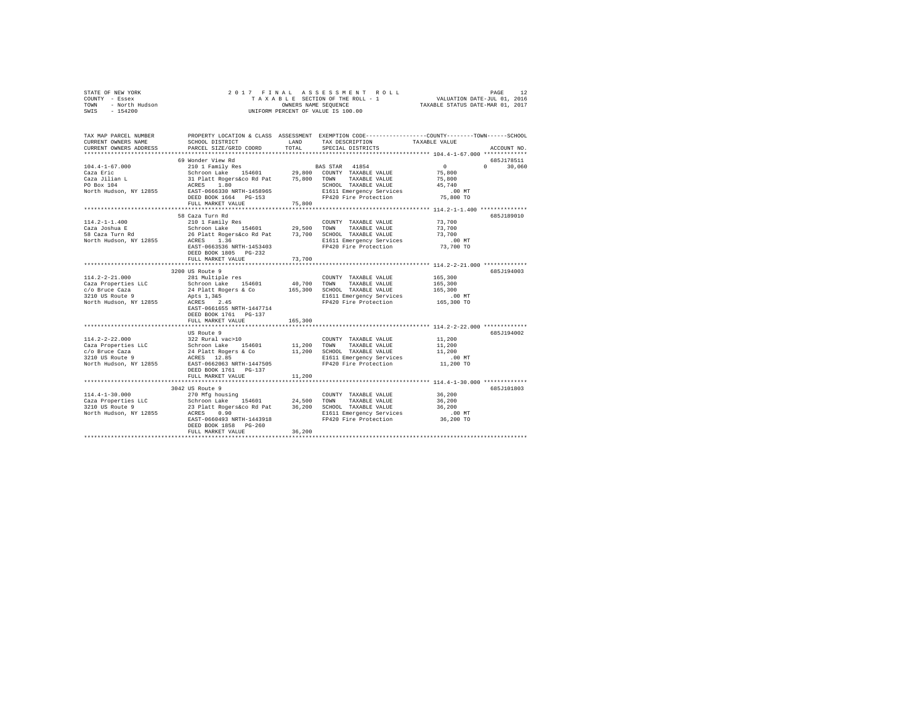|      | STATE OF NEW YORK |  | 2017 FINAL ASSESSMENT ROLL         | PAGE                             |  |
|------|-------------------|--|------------------------------------|----------------------------------|--|
|      | COUNTY - Essex    |  | TAXABLE SECTION OF THE ROLL - 1    | VALUATION DATE-JUL 01, 2016      |  |
| TOWN | - North Hudson    |  | OWNERS NAME SEOUENCE               | TAXABLE STATUS DATE-MAR 01, 2017 |  |
| SWIS | $-154200$         |  | UNIFORM PERCENT OF VALUE IS 100.00 |                                  |  |

| TAX MAP PARCEL NUMBER<br>CURRENT OWNERS NAME<br>CURRENT OWNERS ADDRESS                                                                                                                                                                | SCHOOL DISTRICT<br>PARCEL SIZE/GRID COORD                                                                                                 | LAND<br>TOTAL | TAX DESCRIPTION<br>SPECIAL DISTRICTS                                                                  | PROPERTY LOCATION & CLASS ASSESSMENT EXEMPTION CODE----------------COUNTY-------TOWN------SCHOOL<br>TAXABLE VALUE<br>ACCOUNT NO. |
|---------------------------------------------------------------------------------------------------------------------------------------------------------------------------------------------------------------------------------------|-------------------------------------------------------------------------------------------------------------------------------------------|---------------|-------------------------------------------------------------------------------------------------------|----------------------------------------------------------------------------------------------------------------------------------|
|                                                                                                                                                                                                                                       |                                                                                                                                           |               |                                                                                                       |                                                                                                                                  |
|                                                                                                                                                                                                                                       | 69 Wonder View Rd                                                                                                                         |               |                                                                                                       | 685J178511                                                                                                                       |
| $104.4 - 1 - 67.000$                                                                                                                                                                                                                  |                                                                                                                                           |               | 210 1 Family Res BAS STAR 41854                                                                       | $\sim$ 0<br>$0 \qquad \qquad$<br>30,060                                                                                          |
| Caza Eric                                                                                                                                                                                                                             |                                                                                                                                           |               |                                                                                                       | 75,800                                                                                                                           |
| Caza Jilian L<br>PO Box 104                                                                                                                                                                                                           | Schroon Lake 154601 29,800 COUNTY TAXABLE VALUE<br>31 Platt Rogerskoo Rd Pat 75,800 TOWN TAXABLE VALUE<br>ACRES 1.80 SCHOOL TAXABLE VALUE |               |                                                                                                       | 75,800                                                                                                                           |
|                                                                                                                                                                                                                                       |                                                                                                                                           |               | SCHOOL TAXABLE VALUE 45,740<br>E1611 Emergency Services .00 MT                                        |                                                                                                                                  |
| North Hudson, NY 12855 EAST-0666330 NRTH-1458965                                                                                                                                                                                      |                                                                                                                                           |               |                                                                                                       |                                                                                                                                  |
|                                                                                                                                                                                                                                       | DEED BOOK 1664 PG-153                                                                                                                     |               | FP420 Fire Protection                                                                                 | 75,800 TO                                                                                                                        |
|                                                                                                                                                                                                                                       | FULL MARKET VALUE                                                                                                                         | 75,800        |                                                                                                       |                                                                                                                                  |
|                                                                                                                                                                                                                                       | 58 Caza Turn Rd                                                                                                                           |               |                                                                                                       | 685J189010                                                                                                                       |
| $114.2 - 1 - 1.400$                                                                                                                                                                                                                   | 210 1 Family Res                                                                                                                          |               | COUNTY TAXABLE VALUE                                                                                  | 73,700                                                                                                                           |
|                                                                                                                                                                                                                                       |                                                                                                                                           |               |                                                                                                       | 73,700                                                                                                                           |
|                                                                                                                                                                                                                                       |                                                                                                                                           |               |                                                                                                       | 73,700                                                                                                                           |
| Carly - Communicate Schroom Lake 154601 29,500 TOWN TAXABLE VALUE<br>158 Cara Turn Rd – 26 Platt Rogerskoo Rd Pat – 73,700 SCHroom TAXABLE VALUE<br>North Hudson, NY 12855 – ACRES 1.36 – 1.6 – 1.6 – 1.611 Emergency Services        |                                                                                                                                           |               | SCHOOL TAXABLE VALUE 73,700<br>E1611 Emergency Services 6.00 MT                                       |                                                                                                                                  |
|                                                                                                                                                                                                                                       |                                                                                                                                           |               | EAST-0663536 NRTH-1453403 FP420 Fire Protection                                                       | 73,700 TO                                                                                                                        |
|                                                                                                                                                                                                                                       | DEED BOOK 1805 PG-232                                                                                                                     |               |                                                                                                       |                                                                                                                                  |
|                                                                                                                                                                                                                                       | FULL MARKET VALUE                                                                                                                         | 73,700        |                                                                                                       |                                                                                                                                  |
|                                                                                                                                                                                                                                       |                                                                                                                                           |               |                                                                                                       |                                                                                                                                  |
|                                                                                                                                                                                                                                       | 3200 US Route 9                                                                                                                           |               |                                                                                                       | 685J194003                                                                                                                       |
| $114.2 - 2 - 21.000$                                                                                                                                                                                                                  |                                                                                                                                           |               |                                                                                                       | 165,300                                                                                                                          |
| Caza Properties LLC                                                                                                                                                                                                                   |                                                                                                                                           |               |                                                                                                       | 165,300                                                                                                                          |
| c/o Bruce Caza                                                                                                                                                                                                                        |                                                                                                                                           |               |                                                                                                       | 165,300                                                                                                                          |
| 3210 US Route 9                                                                                                                                                                                                                       |                                                                                                                                           |               | E1611 Emergency Services .00 MT<br>FP420 Fire Protection  165,300 TO                                  |                                                                                                                                  |
| North Hudson, NY 12855 ACRES 2.45                                                                                                                                                                                                     |                                                                                                                                           |               |                                                                                                       |                                                                                                                                  |
|                                                                                                                                                                                                                                       | EAST-0661655 NRTH-1447714                                                                                                                 |               |                                                                                                       |                                                                                                                                  |
|                                                                                                                                                                                                                                       | DEED BOOK 1761 PG-137                                                                                                                     |               |                                                                                                       |                                                                                                                                  |
|                                                                                                                                                                                                                                       | FULL MARKET VALUE                                                                                                                         | 165,300       |                                                                                                       | ********************************** 114.2-2-22.000 **************                                                                 |
|                                                                                                                                                                                                                                       | US Route 9                                                                                                                                |               |                                                                                                       | 685J194002                                                                                                                       |
|                                                                                                                                                                                                                                       |                                                                                                                                           |               |                                                                                                       |                                                                                                                                  |
|                                                                                                                                                                                                                                       |                                                                                                                                           |               |                                                                                                       |                                                                                                                                  |
|                                                                                                                                                                                                                                       |                                                                                                                                           |               |                                                                                                       |                                                                                                                                  |
|                                                                                                                                                                                                                                       |                                                                                                                                           |               |                                                                                                       | $.00$ MT                                                                                                                         |
| North Hudson, NY 12855 EAST-0662063 NRTH-1447505                                                                                                                                                                                      |                                                                                                                                           |               | FP420 Fire Protection 11,200 TO                                                                       |                                                                                                                                  |
|                                                                                                                                                                                                                                       | DEED BOOK 1761 PG-137                                                                                                                     |               |                                                                                                       |                                                                                                                                  |
|                                                                                                                                                                                                                                       | FULL MARKET VALUE                                                                                                                         | 11,200        |                                                                                                       |                                                                                                                                  |
|                                                                                                                                                                                                                                       |                                                                                                                                           |               |                                                                                                       |                                                                                                                                  |
|                                                                                                                                                                                                                                       | 3042 US Route 9                                                                                                                           |               |                                                                                                       | 685J101803                                                                                                                       |
|                                                                                                                                                                                                                                       |                                                                                                                                           |               |                                                                                                       | 36,200                                                                                                                           |
|                                                                                                                                                                                                                                       |                                                                                                                                           |               | TAXABLE VALUE                                                                                         | 36,200                                                                                                                           |
| 114.4-1-30.000<br>Caza Properties LLC 270 Mfg housing<br>2310 US Route 9<br>23 Platt Rogers and Caza Properties LLC Schroon Lake 154601<br>23 Platt Rogers and 24,500 SCHOOL TAXABLE VALUE<br>23 Platt Communication Platt Properties |                                                                                                                                           |               | 10mm - -----<br>SCHOOL TAXABLE VALUE 30,400<br>E1611 Emergency Services 10 MT<br>Charaction 36,200 TO |                                                                                                                                  |
| North Hudson, NY 12855 ACRES 0.90                                                                                                                                                                                                     | EAST-0660493 NRTH-1443918                                                                                                                 |               | FP420 Fire Protection                                                                                 |                                                                                                                                  |
|                                                                                                                                                                                                                                       | DEED BOOK 1858 PG-260                                                                                                                     |               |                                                                                                       |                                                                                                                                  |
|                                                                                                                                                                                                                                       | FULL MARKET VALUE                                                                                                                         | 36,200        |                                                                                                       |                                                                                                                                  |
|                                                                                                                                                                                                                                       |                                                                                                                                           |               |                                                                                                       |                                                                                                                                  |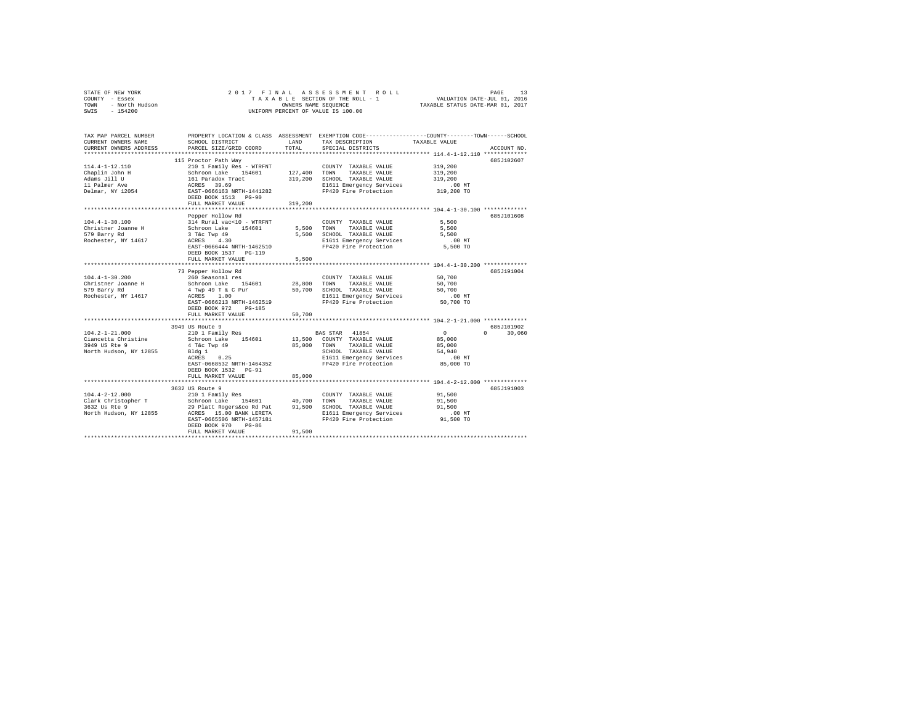|                | STATE OF NEW YORK |  |  |  |  | 2017 FINAL ASSESSMENT ROLL         | PAGE                             |  |
|----------------|-------------------|--|--|--|--|------------------------------------|----------------------------------|--|
| COUNTY - Essex |                   |  |  |  |  | TAXABLE SECTION OF THE ROLL - 1    | VALUATION DATE-JUL 01, 2016      |  |
| TOWN           | - North Hudson    |  |  |  |  | OWNERS NAME SEOUENCE               | TAXABLE STATUS DATE-MAR 01, 2017 |  |
| SWIS           | $-154200$         |  |  |  |  | UNIFORM PERCENT OF VALUE IS 100.00 |                                  |  |

| TAX MAP PARCEL NUMBER<br>CURRENT OWNERS NAME<br>CURRENT OWNERS ADDRESS                                                                                                                                                                                                                                                                                                                                           | SCHOOL DISTRICT<br>PARCEL SIZE/GRID COORD                                                                                                                | LAND<br>TOTAL              | TAX DESCRIPTION<br>SPECIAL DISTRICTS                                                                                                        | PROPERTY LOCATION & CLASS ASSESSMENT EXEMPTION CODE----------------COUNTY-------TOWN-----SCHOOL<br>TAXABLE VALUE<br>ACCOUNT NO. |  |
|------------------------------------------------------------------------------------------------------------------------------------------------------------------------------------------------------------------------------------------------------------------------------------------------------------------------------------------------------------------------------------------------------------------|----------------------------------------------------------------------------------------------------------------------------------------------------------|----------------------------|---------------------------------------------------------------------------------------------------------------------------------------------|---------------------------------------------------------------------------------------------------------------------------------|--|
|                                                                                                                                                                                                                                                                                                                                                                                                                  | 115 Proctor Path Way                                                                                                                                     |                            |                                                                                                                                             | 685J102607                                                                                                                      |  |
| 114.4-1-12.110<br>Chaplin John H<br>Adams Jill U<br>11 Palmer Ave<br>Delmar, NY 12054                                                                                                                                                                                                                                                                                                                            | Schroon Lake 154601<br>161 Paradox Tract<br>ACRES 39.69<br>84 EAST-0666163 NRTH-1441282<br>DEED BOOK 1513 PG-90                                          | 319,200                    | COUNTY TAXABLE VALUE<br>319,200 SCHOOL TAXABLE VALUE<br>E1611 Emergency Services<br>FP420 Fire Protection                                   | 319,200<br>319,200<br>319,200<br>$.00$ MT<br>00 MT.<br>319,200 TO                                                               |  |
|                                                                                                                                                                                                                                                                                                                                                                                                                  | FULL MARKET VALUE                                                                                                                                        |                            |                                                                                                                                             |                                                                                                                                 |  |
| $104.4 - 1 - 30.100$<br>Christner Joanne H<br>579 Barry Rd<br>Rochester, NY 14617                                                                                                                                                                                                                                                                                                                                | Pepper Hollow Rd<br>314 Rural vac<10 - WTRFNT<br>Schroon Lake 154601<br>3 T&C Twp 49<br>ACRES 4.30<br>EAST-0666444 NRTH-1462510<br>DEED BOOK 1537 PG-119 | 5,500 TOWN                 | COUNTY TAXABLE VALUE<br>TAXABLE VALUE<br>5,500 SCHOOL TAXABLE VALUE<br>E1611 Emergency Services<br>FP420 Fire Protection                    | 685J101608<br>5,500<br>5,500<br>5,500<br>$.00$ MT<br>5,500 TO                                                                   |  |
|                                                                                                                                                                                                                                                                                                                                                                                                                  | FULL MARKET VALUE                                                                                                                                        | 5,500                      |                                                                                                                                             |                                                                                                                                 |  |
|                                                                                                                                                                                                                                                                                                                                                                                                                  | 73 Pepper Hollow Rd                                                                                                                                      |                            |                                                                                                                                             | 685J191004                                                                                                                      |  |
| $104.4 - 1 - 30.200$<br>Christner Joanne H<br>579 Barry Rd<br>Rochester, NY 14617                                                                                                                                                                                                                                                                                                                                | 260 Seasonal res<br>Schroon Lake 154601<br>4 Twp 49 T & C Pur<br>ACRES 1.00<br>EAST-0666213 NRTH-1462519<br>DEED BOOK 972 PG-185<br>FULL MARKET VALUE    | 28,800<br>50,700<br>50,700 | COUNTY TAXABLE VALUE<br>TOWN<br>TAXABLE VALUE<br>SCHOOL TAXABLE VALUE<br>E1611 Emergency Services .00 MT<br>FP420 Fire Protection 50,700 TO | 50,700<br>50,700<br>50,700                                                                                                      |  |
|                                                                                                                                                                                                                                                                                                                                                                                                                  |                                                                                                                                                          |                            |                                                                                                                                             |                                                                                                                                 |  |
| $104.2 - 1 - 21.000$<br>Ciancetta Christine Schroon Lake 154601 13,500 COUNTY TAXABLE VALUE<br>3949 US Rte 9<br>North Hudson, NY 12855 Bldg 1                                                                                                                                                                                                                                                                    | 3949 US Route 9<br>210 1 Family Res<br>4 T&c Twp 49<br>0.25<br>ACRES<br>EAST-0668532 NRTH-1464352<br>DEED BOOK 1532    PG-91                             |                            | BAS STAR 41854<br>85,000 TOWN TAXABLE VALUE<br>SCHOOL TAXABLE VALUE<br>E1611 Emergency Services<br>FP420 Fire Protection 85,000 TO          | 685J101902<br>$\sim$ 0<br>$0 \t 30,060$<br>85,000<br>85,000<br>54,940<br>$.00$ MT                                               |  |
|                                                                                                                                                                                                                                                                                                                                                                                                                  | FULL MARKET VALUE                                                                                                                                        | 85,000                     |                                                                                                                                             |                                                                                                                                 |  |
| 104.4-2-12.000 – 210 1 Family Res (2000) – 2000 – 2000 (2001)<br>2012 – Christopher T – Schroon Lake – 154601 – 2000 – 2000 – 2000 – 2000 – 3000 – 3000 – 3000 – 3000 – 3000 –<br>2012 – 2012 – 2012 – 2012 – 2012 – 2012 – 3000 – 3<br>a and the distribution of the control of the control of the control of the control of the control of the contr<br>Morth Hudson, NY 12855 ACRES 15.00 BANK LERETTA (1457) | 3632 US Route 9                                                                                                                                          |                            | E1611 Emergency Services                                                                                                                    | 685J191003<br>91,500<br>91,500<br>91,500<br>$.00$ MT                                                                            |  |
|                                                                                                                                                                                                                                                                                                                                                                                                                  | EAST-0665506 NRTH-1457181<br>DEED BOOK 970<br>$PG-86$<br>FULL MARKET VALUE                                                                               | 91,500                     | FP420 Fire Protection                                                                                                                       | 91,500 TO                                                                                                                       |  |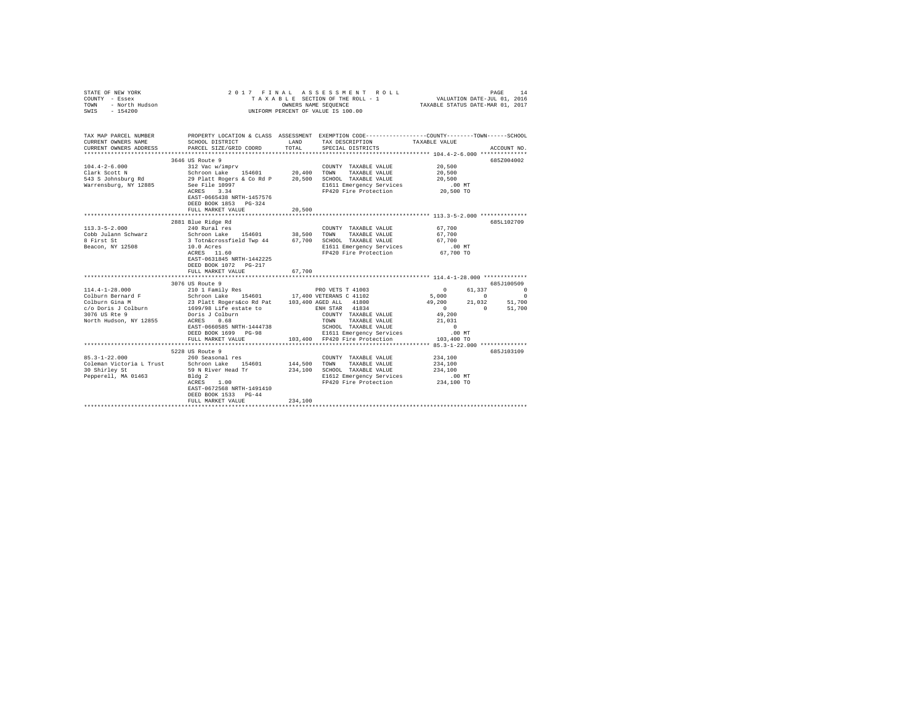| STATE OF NEW YORK<br>COUNTY - Essex<br>TOWN - North Hudson<br>SWIS - 154200                                                   | 2017 FINAL ASSESSMENT ROLL<br>PAGE<br>14<br>TAXABLE SECTION OF THE ROLL - 1 VALUATION DATE-JUL 01, 2016<br>TAXABLE STATUS DATE-MAR 01, 2017<br>OWNERS NAME SEQUENCE<br>UNIFORM PERCENT OF VALUE IS 100.00                                                                                  |         |                                                                                                                                                    |                                                                                                                                                                                                                                                                         |          |  |  |  |  |  |  |
|-------------------------------------------------------------------------------------------------------------------------------|--------------------------------------------------------------------------------------------------------------------------------------------------------------------------------------------------------------------------------------------------------------------------------------------|---------|----------------------------------------------------------------------------------------------------------------------------------------------------|-------------------------------------------------------------------------------------------------------------------------------------------------------------------------------------------------------------------------------------------------------------------------|----------|--|--|--|--|--|--|
| TAX MAP PARCEL NUMBER<br>CURRENT OWNERS NAME<br>CURRENT OWNERS ADDRESS                                                        | <b>EXAMPLE AND</b><br>SCHOOL DISTRICT<br>PARCEL SIZE/GRID COORD                                                                                                                                                                                                                            | TOTAL   | TAX DESCRIPTION TAXABLE VALUE<br>SPECIAL DISTRICTS                                                                                                 | PROPERTY LOCATION & CLASS ASSESSMENT EXEMPTION CODE---------------COUNTY-------TOWN------SCHOOL<br>ACCOUNT NO.                                                                                                                                                          |          |  |  |  |  |  |  |
| $104.4 - 2 - 6.000$<br>Clark Scott N                                                                                          | 3646 US Route 9<br>EAST-0665438 NRTH-1457576<br>DEED BOOK 1853 PG-324<br>FULL MARKET VALUE                                                                                                                                                                                                 | 20,500  | E1611 Emergency Services<br>FP420 Fire Protection                                                                                                  | 685Z004002<br>20,500<br>20,500<br>20,500<br>$.00$ MT<br>20,500 TO                                                                                                                                                                                                       |          |  |  |  |  |  |  |
| $113.3 - 5 - 2.000$<br>Cobb Julann Schwarz<br>8 First St<br>Beacon, NY 12508                                                  | 2881 Blue Ridge Rd<br>240 Rural res<br>Schroon Lake 154601 38,500 TOWN TAXABLE VALUE<br>3 Totn&crossfield Twp 44 67,700 SCHOOL TAXABLE VALUE<br>$10.0$ Acres<br>10.0 Acres<br>ACRES 11.60<br>EAST-0631845 NRTH-1442225<br>DEED BOOK 1072    PG-217<br>FULL MARKET VALUE                    | 67,700  | COUNTY TAXABLE VALUE<br>E1611 Emergency Services<br>FP420 Fire Protection                                                                          | 685L102709<br>67,700<br>67,700<br>67.700<br>$.00$ MT<br>67,700 TO                                                                                                                                                                                                       |          |  |  |  |  |  |  |
| $114.4 - 1 - 28.000$<br>Colburn Bernard F<br>Colburn Gina M<br>c/o Doris J Colburn<br>3076 US Rte 9<br>North Hudson, NY 12855 | 3076 US Route 9<br>210 1 Family Res<br>Schroon Lake 154601 17,400 VETERANS C 41102<br>23 Platt Rogers&co Rd Pat 103,400 AGED ALL 41800<br>1699/98 Life estate to ENH STAR 41834<br>Doris J Colburn<br>ACRES 0.68<br>EAST-0660585 NRTH-1444738<br>DEED BOOK 1699 PG-98<br>FULL MARKET VALUE |         | COUNTY TAXABLE VALUE<br>TOWN     TAXABLE VALUE<br>SCHOOL   TAXABLE VALUE<br>E1611 Emergency Services<br>103,400 FP420 Fire Protection              | 685.T100509<br>$\sim$ 0<br>61,337<br>$\begin{array}{ccc} 5\, , \, 0\, 0\, 0 & 0 & 0 \\ 4\, 9\, , \, 2\, 0\, 0 & 2\, 1\, , \, 0\, 3\, 2 & 5\, 1\, , \, 7\, 0\, 0 \end{array}$<br>$\sim$ 0.000 $\sim$<br>0 51,700<br>49,200<br>21,031<br>$\sim$ 0<br>.00 MT<br>103,400 TO | $\Omega$ |  |  |  |  |  |  |
| $85.3 - 1 - 22.000$<br>Coleman Victoria L Trust Schroon Lake 154601<br>30 Shirley St<br>Pepperell, MA 01463                   | 5228 US Route 9<br>260 Seasonal res<br>59 N River Head Tr<br>Bldg 2<br>ACRES 1.00<br>EAST-0672568 NRTH-1491410<br>DEED BOOK 1533 PG-44<br>FULL MARKET VALUE                                                                                                                                | 234,100 | COUNTY TAXABLE VALUE<br>144,500 TOWN TAXABLE VALUE<br>234.100 SCHOOL TAXABLE VALUE<br>E1612 Emergency Services<br>FP420 Fire Protection 234,100 TO | 685J103109<br>234,100<br>234,100<br>234,100<br>$.00$ MT                                                                                                                                                                                                                 |          |  |  |  |  |  |  |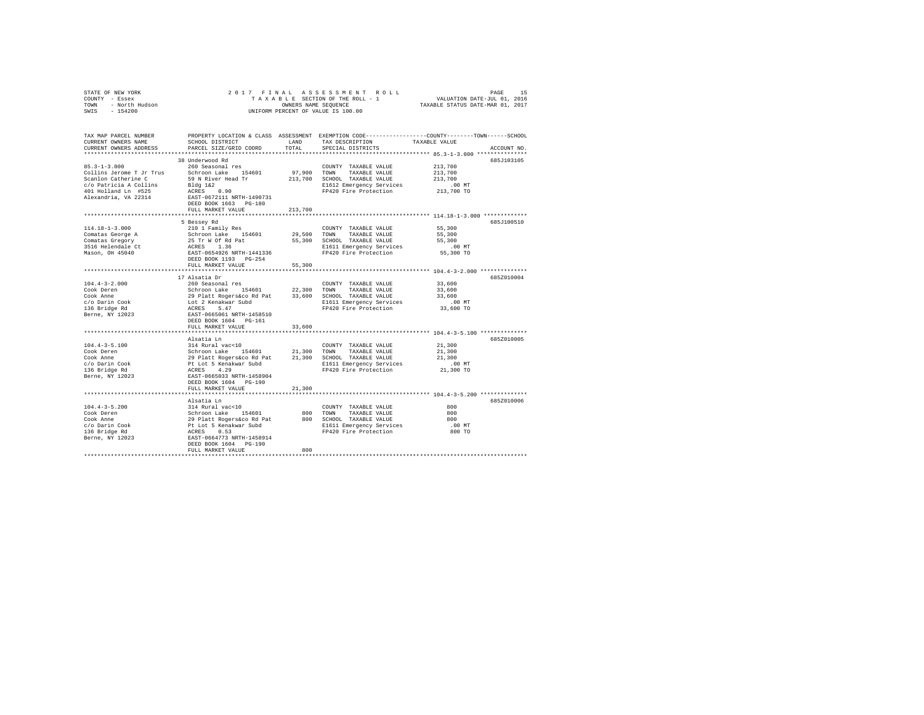| 2017 FINAL ASSESSMENT ROLL<br>STATE OF NEW YORK<br>COUNTY - Essex<br>TOWN - North Hudson<br>SWIS - 154200<br>UNIFORM PERCENT OF VALUE IS 100.00 |                                                                                                                                                                                                                                        |                          |                                                                                                                                                                                                                     |                                                                                                                |  |  |  |  |  |  |
|-------------------------------------------------------------------------------------------------------------------------------------------------|----------------------------------------------------------------------------------------------------------------------------------------------------------------------------------------------------------------------------------------|--------------------------|---------------------------------------------------------------------------------------------------------------------------------------------------------------------------------------------------------------------|----------------------------------------------------------------------------------------------------------------|--|--|--|--|--|--|
| TAX MAP PARCEL NUMBER<br>CURRENT OWNERS NAME<br>CURRENT OWNERS ADDRESS                                                                          | PARCEL SIZE/GRID COORD                                                                                                                                                                                                                 | TOTAL                    | SCHOOL DISTRICT $\begin{array}{ccc}\n\text{LAND} & \text{TAX} & \text{DESCRIPITION} \\ \text{PADOPT} & \text{CTP} & \text{COPD} & \text{SDPCH} & \text{SDPCH} & \text{SPPSTAP} \\ \end{array}$<br>SPECIAL DISTRICTS | PROPERTY LOCATION & CLASS ASSESSMENT EXEMPTION CODE---------------COUNTY-------TOWN------SCHOOL<br>ACCOUNT NO. |  |  |  |  |  |  |
| $85.3 - 1 - 3.000$<br>Collins Jerome T Jr Trus Schroon Lake 154601<br>Scanlon Catherine C                                                       | 38 Underwood Rd<br>260 Seasonal res<br>59 N River Head Tr<br>DEED BOOK 1663 PG-180<br>FULL MARKET VALUE                                                                                                                                | $97,900$ TOWN<br>213,700 | COUNTY TAXABLE VALUE<br>TAXABLE VALUE<br>213,700 SCHOOL TAXABLE VALUE<br>E1612 Emergency Services<br>FP420 Fire Protection                                                                                          | 685J103105<br>213,700<br>213,700<br>213,700<br>$.00$ MT<br>213,700 TO                                          |  |  |  |  |  |  |
| 114.18-1-3.000<br>Comatas George A<br>Comatas Gregory<br>3516 Helendale Ct<br>Mason, OH 45040                                                   | 5 Bessey Rd<br>210 1 Family Res<br>Schroon Lake 154601<br>25 Tr W Of Rd Pat<br>ACRES 1.36<br>EAST-0654926 NRTH-1441336<br>DEED BOOK 1193 PG-254<br>FULL MARKET VALUE                                                                   | 55,300                   | COUNTY TAXABLE VALUE 55,300<br>29.500 TOWN TAXABLE VALUE<br>55,300 SCHOOL TAXABLE VALUE<br>E1611 Emergency Services<br>FP420 Fire Protection                                                                        | 685J100510<br>55,300<br>55,300<br>00 MT.<br>55,300 TO                                                          |  |  |  |  |  |  |
| $104.4 - 3 - 2.000$<br>Cook Deren<br>Cook Anne<br>c/o Darin Cook<br>136 Bridge Rd<br>Berne, NY 12023                                            | 17 Alsatia Dr<br>260 Seasonal res<br>DEED BOOK 1604 PG-161<br>FULL MARKET VALUE                                                                                                                                                        | 33,600                   | COUNTY TAXABLE VALUE<br>E1611 Emergency Services<br>FP420 Fire Protection                                                                                                                                           | 685Z010004<br>33,600<br>33,600<br>33,600<br>$.00$ MT<br>uu mr.<br>33,600 TO                                    |  |  |  |  |  |  |
| $104.4 - 3 - 5.100$                                                                                                                             | Alsatia Ln<br>314 Rural vac<10<br>DEED BOOK 1604 PG-190<br>FULL MARKET VALUE                                                                                                                                                           | 21,300                   | COUNTY TAXABLE VALUE<br>E1611 Emergency Services<br>FP420 Fire Protection                                                                                                                                           | 685Z010005<br>21,300<br>21,300<br>21,300<br>$.00$ MT<br>21,300 TO                                              |  |  |  |  |  |  |
| $104.4 - 3 - 5.200$<br>Cook Deren<br>Cook Anne<br>c/o Darin Cook<br>136 Bridge Rd<br>Berne, NY 12023                                            | Alsatia Ln<br>XIV Rural vac<10<br>314 Rural vac<10<br>Schroon Lake 154601<br>29 Platt Rogers&co Rd Pat<br>Pt Lot 5 Kenakwar Subd<br>APPE 0 12<br>ACRES 0.53<br>EAST-0664773 NRTH-1458914<br>DEED BOOK 1604 PG-190<br>FULL MARKET VALUE | 800                      | COUNTY TAXABLE VALUE<br>800 TOWN TAXABLE VALUE<br>800 SCHOOL TAXABLE VALUE<br>E1611 Emergency Services<br>FP420 Fire Protection                                                                                     | 685Z010006<br>800<br>800<br>800<br>$.00$ MT<br>800 TO                                                          |  |  |  |  |  |  |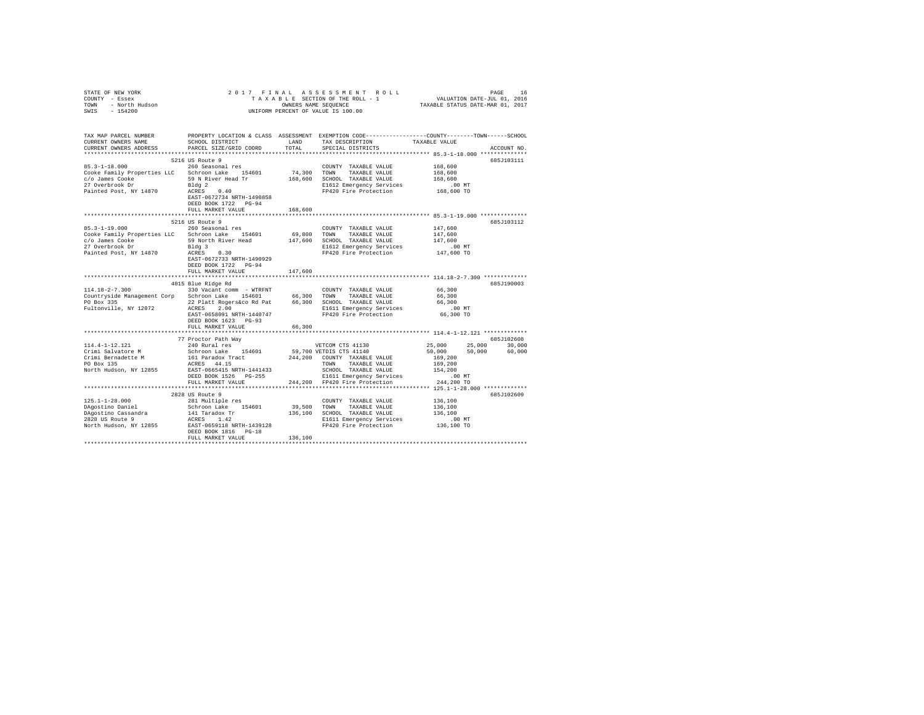| STATE OF NEW YORK<br>COUNTY - Essex<br>TOWN - North Hudson<br>SWIS - 154200                                                                                                             |                                                                                                                                                              |         | 2017 FINAL ASSESSMENT ROLL<br>TAXABLE SECTION OF THE ROLL - 1<br>VALUATION DATES NAME SEQUENCE STATUS DATE-ULL 01, 2016<br>UNIFORM PERCENT OF VALUE IS 100.00 |                                                                                                     | PAGE<br>16  |
|-----------------------------------------------------------------------------------------------------------------------------------------------------------------------------------------|--------------------------------------------------------------------------------------------------------------------------------------------------------------|---------|---------------------------------------------------------------------------------------------------------------------------------------------------------------|-----------------------------------------------------------------------------------------------------|-------------|
| TAX MAP PARCEL NUMBER PROPERTY LOCATION & CLASS ASSESSMENT EXEMPTION CODE--------------COUNTY-------TOWN-----SCHOOL<br>CURRENT OWNERS NAME<br>CURRENT OWNERS ADDRESS                    | SCHOOL DISTRICT LAND<br>PARCEL SIZE/GRID COORD                                                                                                               | TOTAL   | TAX DESCRIPTION<br>SPECIAL DISTRICTS                                                                                                                          | TAXABLE VALUE                                                                                       | ACCOUNT NO. |
|                                                                                                                                                                                         |                                                                                                                                                              |         |                                                                                                                                                               | ***************** 85.3-1-18.000 ***************                                                     |             |
| 85.3-1-18.000 260 Seasonal res<br>Cooke Family Properties LLC Schroon Lake 154601                                                                                                       | 5216 US Route 9<br>Bldg 2<br>ACRES 0.40                                                                                                                      |         | COUNTY TAXABLE VALUE<br>74,300 TOWN TAXABLE VALUE<br>E1612 Emergency Services<br>FP420 Fire Protection                                                        | 168,600<br>168,600<br>168,600<br>.00 MT                                                             | 685J103111  |
| Painted Post, NY 14870                                                                                                                                                                  | EAST-0672734 NRTH-1490858<br>DEED BOOK 1722 PG-94<br>FULL MARKET VALUE                                                                                       | 168,600 |                                                                                                                                                               | 168,600 TO                                                                                          |             |
|                                                                                                                                                                                         |                                                                                                                                                              |         |                                                                                                                                                               |                                                                                                     |             |
| $85.3 - 1 - 19.000$<br>Cooke Family Properties LLC Schroon Lake 154601<br>c/o James Cooke 59 North River Head 147,600 SCHOOL TAXABLE VALUE<br>27 Overbrook Dr<br>Painted Post, NY 14870 | 5216 US Route 9<br>260 Seasonal res<br>Bldg 3<br>ACRES 0.30<br>EAST-0672733 NRTH-1490929<br>DEED BOOK 1722 PG-94                                             |         | COUNTY TAXABLE VALUE<br>69,800 TOWN TAXABLE VALUE<br>E1612 Emergency Services<br>FP420 Fire Protection                                                        | 147,600<br>147,600<br>147,600<br>.00 MT<br>147,600 TO                                               | 685J103112  |
|                                                                                                                                                                                         | FULL MARKET VALUE                                                                                                                                            | 147,600 |                                                                                                                                                               |                                                                                                     |             |
|                                                                                                                                                                                         |                                                                                                                                                              |         |                                                                                                                                                               |                                                                                                     |             |
|                                                                                                                                                                                         | 4015 Blue Ridge Rd                                                                                                                                           |         |                                                                                                                                                               |                                                                                                     | 685J190003  |
|                                                                                                                                                                                         | EAST-0658091 NRTH-1440747<br>DEED BOOK 1623 PG-93                                                                                                            |         | E1611 Emergency Services<br>FP420 Fire Protection                                                                                                             | 66,300<br>66,300<br>66,300<br>$.00$ MT<br>66,300 TO                                                 |             |
|                                                                                                                                                                                         | FULL MARKET VALUE                                                                                                                                            | 66,300  |                                                                                                                                                               |                                                                                                     |             |
|                                                                                                                                                                                         |                                                                                                                                                              |         |                                                                                                                                                               |                                                                                                     |             |
| 114.4-1-12.121                                                                                                                                                                          | 77 Proctor Path Way<br>240 Rural res                                                                                                                         |         |                                                                                                                                                               |                                                                                                     | 685J102608  |
| Crimi Salvatore M<br>Crimi Bernadette M<br>PO Box 135<br>North Hudson, NY 12855 EAST-0665415 NRTH-1441433                                                                               | Schroon Lake 154601 59,700 VETDIS CTS 41140<br>161 Paradox Tract 244,200 COUNTY TAXABLE VALUE<br>ACRES 44.15 200 TOWN TAXABLE VALUE<br>DEED BOOK 1526 PG-255 |         | VETCOM CTS 41130<br>TOWN TAXABLE VALUE<br>SCHOOL TAXABLE VALUE<br>E1611 Emergency Services<br>244,200 FP420 Fire Protection                                   | $25,000$ $25,000$ $30,000$<br>$50,000$ $50,000$ $60,000$<br>169,200<br>169,200<br>154,200<br>.00 MT |             |
|                                                                                                                                                                                         | FULL MARKET VALUE                                                                                                                                            |         |                                                                                                                                                               | 244,200 TO                                                                                          |             |
|                                                                                                                                                                                         |                                                                                                                                                              |         |                                                                                                                                                               |                                                                                                     |             |
| 125.1-1-28.000                                                                                                                                                                          | 2828 US Route 9<br>281 Multiple res                                                                                                                          |         | COUNTY TAXABLE VALUE                                                                                                                                          | 136,100                                                                                             | 685J102609  |
| DAgostino Daniel                                                                                                                                                                        | Schroon Lake 154601 39,500 TOWN TAXABLE VALUE                                                                                                                |         |                                                                                                                                                               | 136,100                                                                                             |             |
|                                                                                                                                                                                         |                                                                                                                                                              |         | 136,100 SCHOOL TAXABLE VALUE                                                                                                                                  | 136.100                                                                                             |             |
|                                                                                                                                                                                         | DEED BOOK 1816 PG-18<br>FULL MARKET VALUE                                                                                                                    | 136,100 | E1611 Emergency Services<br>FP420 Fire Protection                                                                                                             | 00 MT.<br>136,100 TO                                                                                |             |
|                                                                                                                                                                                         |                                                                                                                                                              |         |                                                                                                                                                               |                                                                                                     |             |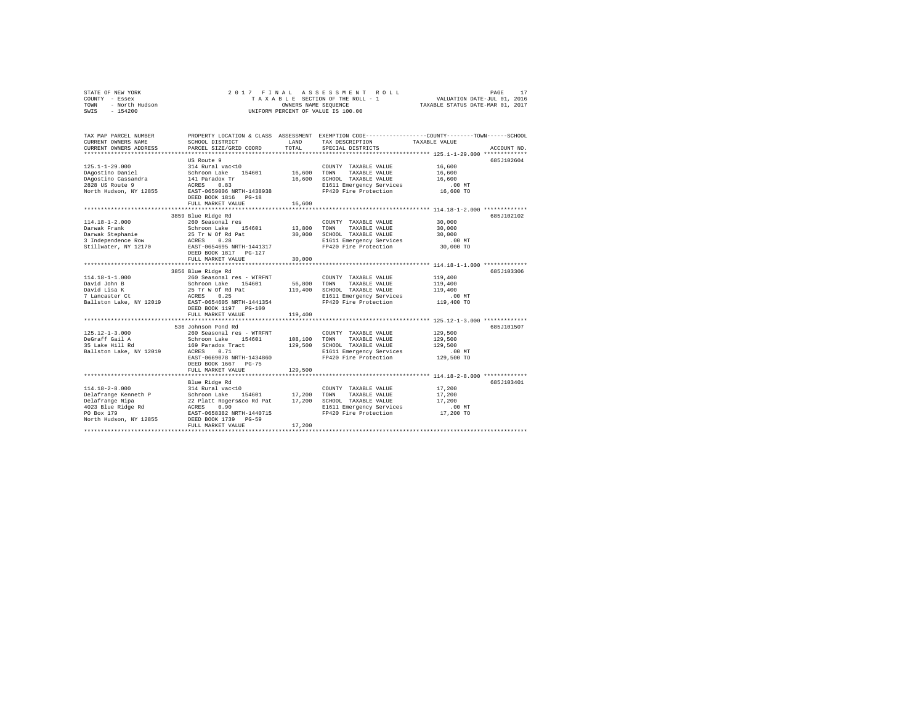| STATE OF NEW YORK |                |  |  | 2017 FINAL ASSESSMENT ROLL         | PAGE                             | 17 |
|-------------------|----------------|--|--|------------------------------------|----------------------------------|----|
| COUNTY - Essex    |                |  |  | TAXABLE SECTION OF THE ROLL - 1    | VALUATION DATE-JUL 01, 2016      |    |
| TOWN              | - North Hudson |  |  | OWNERS NAME SEOUENCE               | TAXABLE STATUS DATE-MAR 01, 2017 |    |
| SWIS              | $-154200$      |  |  | UNIFORM PERCENT OF VALUE IS 100.00 |                                  |    |

| TAX MAP PARCEL NUMBER<br>CURRENT OWNERS NAME<br>CURRENT OWNERS ADDRESS                                                        | SCHOOL DISTRICT<br>PARCEL SIZE/GRID COORD                                                                                                                                                                        | LAND<br>TOTAL                     | TAX DESCRIPTION<br>SPECIAL DISTRICTS                                                                                           | PROPERTY LOCATION & CLASS ASSESSMENT EXEMPTION CODE----------------COUNTY-------TOWN-----SCHOOL<br>TAXABLE VALUE<br>ACCOUNT NO. |
|-------------------------------------------------------------------------------------------------------------------------------|------------------------------------------------------------------------------------------------------------------------------------------------------------------------------------------------------------------|-----------------------------------|--------------------------------------------------------------------------------------------------------------------------------|---------------------------------------------------------------------------------------------------------------------------------|
| $125.1 - 1 - 29.000$<br>DAgostino Daniel<br>DAgostino Cassandra<br>2828 US Route 9<br>North Hudson, NY 12855                  | US Route 9<br>314 Rural vac<10<br>Schroon Lake 154601<br>141 Paradox Tr<br>0.83<br>ACRES<br>EAST-0659006 NRTH-1438938<br>DEED BOOK 1816 PG-18<br>FULL MARKET VALUE<br>*********************************          | 16,600<br>16,600<br>16,600        | COUNTY TAXABLE VALUE<br>TOWN<br>TAXABLE VALUE<br>SCHOOL TAXABLE VALUE<br>E1611 Emergency Services<br>FP420 Fire Protection     | 685J102604<br>16,600<br>16,600<br>16,600<br>$.00$ MT<br>16,600 TO                                                               |
| $114.18 - 1 - 2.000$<br>Darwak Frank<br>Darwak Stephanie<br>3 Independence Row<br>Stillwater, NY 12170                        | 3859 Blue Ridge Rd<br>260 Seasonal res<br>Schroon Lake 154601<br>25 Tr W Of Rd Pat<br>ACRES 0.28<br>EAST-0654695 NRTH-1441317<br>DEED BOOK 1817 PG-127<br>FULL MARKET VALUE                                      | 30,000<br>30,000                  | COUNTY TAXABLE VALUE<br>13,800 TOWN TAXABLE VALUE<br>SCHOOL TAXABLE VALUE<br>E1611 Emergency Services<br>FP420 Fire Protection | 685J102102<br>30,000<br>30,000<br>30,000<br>$.00$ MT<br>30,000 TO                                                               |
| $114.18 - 1 - 1.000$<br>David John B<br>David Lisa K<br>7 Lancaster Ct<br>Ballston Lake, NY 12019                             | 3856 Blue Ridge Rd<br>260 Seasonal res - WTRFNT<br>260 Seasonal res - WTRF:<br>Schroon Lake 154601<br>25 Tr W Of Rd Pat<br>ACRES 0.25<br>EAST-0654605 NRTH-1441354<br>DEED BOOK 1197 PG-100<br>FULL MARKET VALUE | 56,800 TOWN<br>119,400<br>119,400 | COUNTY TAXABLE VALUE<br>TAXABLE VALUE<br>SCHOOL TAXABLE VALUE<br>E1611 Emergency Services<br>FP420 Fire Protection             | 685J103306<br>119,400<br>119,400<br>119,400<br>$.00$ MT<br>119,400 TO                                                           |
| $125.12 - 1 - 3.000$<br>DeGraff Gail A<br>35 Lake Hill Rd<br>Ballston Lake, NY 12019                                          | 536 Johnson Pond Rd<br>260 Seasonal res - WTRFNT<br>Schroon Lake 154601<br>169 Paradox Tract<br>0.71<br>ACRES<br>EAST-0669078 NRTH-1434860<br>DEED BOOK 1667 PG-75<br>FULL MARKET VALUE                          | 108,100<br>129,500<br>129,500     | COUNTY TAXABLE VALUE<br>TOWN<br>TAXABLE VALUE<br>SCHOOL TAXABLE VALUE<br>E1611 Emergency Services<br>FP420 Fire Protection     | 685J101507<br>129,500<br>129,500<br>129,500<br>$.00$ MT<br>129,500 TO                                                           |
| $114.18 - 2 - 8.000$<br>Delafrange Kenneth P<br>Delafrange Nipa<br>4023 Blue Ridge Rd<br>PO Box 179<br>North Hudson, NY 12855 | Blue Ridge Rd<br>314 Rural vac<10<br>Schroon Lake 154601<br>22 Platt Rogers&co Rd Pat<br>ACRES 0.90<br>EAST-0658382 P<br>EAST-0658382 NRTH-1440715<br>DEED BOOK 1739 PG-59<br>FULL MARKET VALUE                  | 17,200<br>17,200<br>17,200        | COUNTY TAXABLE VALUE<br>TOWN<br>TAXABLE VALUE<br>SCHOOL TAXABLE VALUE<br>E1611 Emergency Services<br>FP420 Fire Protection     | 685J103401<br>17,200<br>17,200<br>17,200<br>.00 MT<br>17,200 TO                                                                 |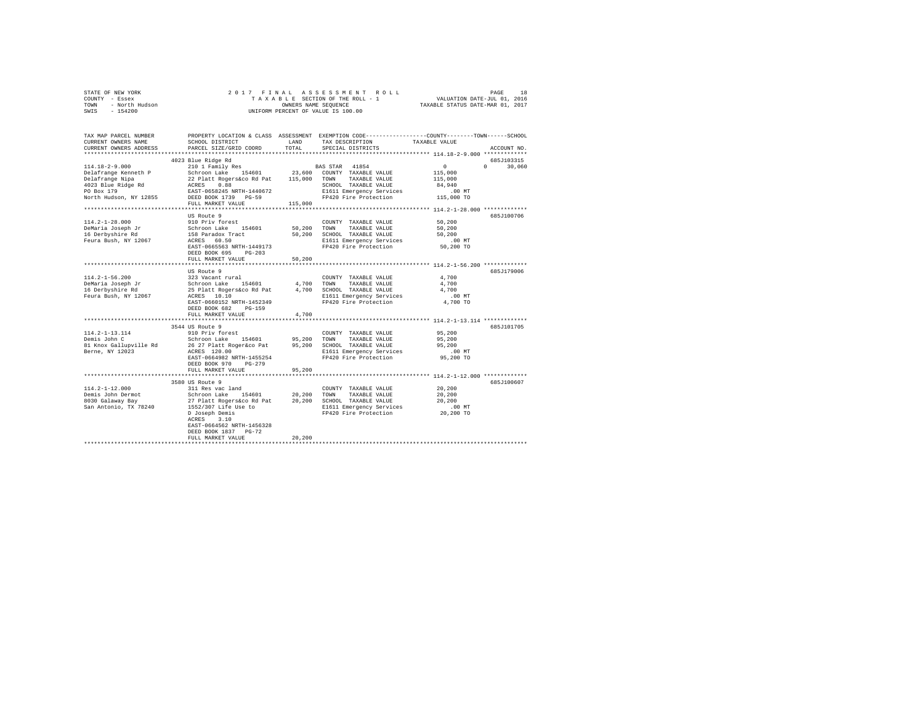|                | STATE OF NEW YORK |  |  |  |  | 2017 FINAL ASSESSMENT ROLL         |                                  | PAGE | 18 |
|----------------|-------------------|--|--|--|--|------------------------------------|----------------------------------|------|----|
| COUNTY - Essex |                   |  |  |  |  | TAXABLE SECTION OF THE ROLL - 1    | VALUATION DATE-JUL 01, 2016      |      |    |
| TOWN           | - North Hudson    |  |  |  |  | OWNERS NAME SEOUENCE               | TAXABLE STATUS DATE-MAR 01, 2017 |      |    |
| SWIS - 154200  |                   |  |  |  |  | UNIFORM PERCENT OF VALUE IS 100.00 |                                  |      |    |

| TAX MAP PARCEL NUMBER<br>CURRENT OWNERS NAME | PROPERTY LOCATION & CLASS ASSESSMENT EXEMPTION CODE----------------COUNTY-------TOWN-----SCHOOL<br>SCHOOL DISTRICT | LAND    | TAX DESCRIPTION                                   | TAXABLE VALUE        |                                 |
|----------------------------------------------|--------------------------------------------------------------------------------------------------------------------|---------|---------------------------------------------------|----------------------|---------------------------------|
| CURRENT OWNERS ADDRESS                       | PARCEL SIZE/GRID COORD                                                                                             | TOTAL   | SPECIAL DISTRICTS                                 |                      | ACCOUNT NO.                     |
|                                              | 4023 Blue Ridge Rd                                                                                                 |         |                                                   |                      | 685J103315                      |
| $114.18 - 2 - 9.000$                         | 210 1 Family Res                                                                                                   |         | BAS STAR 41854                                    | $\sim$ 0             | $\Omega$ and $\Omega$<br>30,060 |
|                                              |                                                                                                                    |         |                                                   | 115,000              |                                 |
|                                              |                                                                                                                    |         |                                                   | 115,000              |                                 |
|                                              |                                                                                                                    |         |                                                   | 84,940               |                                 |
|                                              |                                                                                                                    |         | E1611 Emergency Services                          | .00MT                |                                 |
|                                              |                                                                                                                    |         | FP420 Fire Protection                             | 115,000 TO           |                                 |
|                                              | FULL MARKET VALUE<br>*********************************                                                             | 115,000 |                                                   |                      |                                 |
|                                              | US Route 9                                                                                                         |         |                                                   |                      | 685J100706                      |
| $114.2 - 1 - 28.000$                         | 910 Priv forest                                                                                                    |         | COUNTY TAXABLE VALUE                              | 50,200               |                                 |
| DeMaria Joseph Jr                            |                                                                                                                    | 50,200  | TOWN<br>TAXABLE VALUE                             | 50,200               |                                 |
| 16 Derbyshire Rd                             | Schroon Lake 154601<br>158 Paradox Tract                                                                           | 50,200  | SCHOOL TAXABLE VALUE                              | 50,200               |                                 |
| Feura Bush, NY 12067                         | ACRES 60.50                                                                                                        |         | E1611 Emergency Services                          | .00MT                |                                 |
|                                              | EAST-0665563 NRTH-1449173                                                                                          |         | FP420 Fire Protection                             | 50,200 TO            |                                 |
|                                              | DEED BOOK 695<br>$PG-203$                                                                                          |         |                                                   |                      |                                 |
|                                              | FULL MARKET VALUE                                                                                                  | 50,200  |                                                   |                      |                                 |
|                                              |                                                                                                                    |         |                                                   |                      |                                 |
|                                              | US Route 9                                                                                                         |         |                                                   |                      | 685J179006                      |
| $114.2 - 1 - 56.200$                         | 323 Vacant rural                                                                                                   |         | COUNTY TAXABLE VALUE                              | 4,700                |                                 |
| DeMaria Joseph Jr                            | Schroon Lake 154601<br>25 Platt Rogers&co Rd Pat                                                                   | 4,700   | TOWN<br>TAXABLE VALUE                             | 4,700                |                                 |
| 16 Derbyshire Rd                             |                                                                                                                    |         | 4,700 SCHOOL TAXABLE VALUE                        | 4,700                |                                 |
| Feura Bush, NY 12067                         | ACRES 10.10<br>EAST-0660152 NRTH-1452349                                                                           |         | E1611 Emergency Services<br>FP420 Fire Protection | $.00$ MT<br>4,700 TO |                                 |
|                                              | DEED BOOK 682<br>PG-159                                                                                            |         |                                                   |                      |                                 |
|                                              | FULL MARKET VALUE                                                                                                  | 4,700   |                                                   |                      |                                 |
|                                              |                                                                                                                    |         |                                                   |                      |                                 |
|                                              | 3544 US Route 9                                                                                                    |         |                                                   |                      | 685J101705                      |
| $114.2 - 1 - 13.114$                         | 910 Priv forest                                                                                                    |         | COUNTY TAXABLE VALUE                              | 95,200               |                                 |
| Demis John C                                 | Schroon Lake 154601 95,200 TOWN                                                                                    |         | TAXABLE VALUE                                     | 95,200               |                                 |
| 81 Knox Gallupville Rd                       | 26 27 Platt Roger&co Pat 95, 200 SCHOOL TAXABLE VALUE                                                              |         |                                                   | 95,200               |                                 |
| Berne, NY 12023                              | ACRES 120.00                                                                                                       |         | E1611 Emergency Services                          | $.00$ MT             |                                 |
|                                              | EAST-0664982 NRTH-1455254                                                                                          |         | FP420 Fire Protection                             | 95,200 TO            |                                 |
|                                              | DEED BOOK 970<br>PG-279                                                                                            |         |                                                   |                      |                                 |
|                                              | FULL MARKET VALUE                                                                                                  | 95,200  |                                                   |                      |                                 |
|                                              |                                                                                                                    |         |                                                   |                      |                                 |
|                                              | 3580 US Route 9                                                                                                    |         |                                                   |                      | 685J100607                      |
| $114.2 - 1 - 12.000$<br>Demis John Dermot    | 311 Res vac land<br>Schroon Lake 154601 20,200                                                                     |         | COUNTY TAXABLE VALUE                              | 20,200<br>20,200     |                                 |
| 8030 Galaway Bay                             |                                                                                                                    |         | TAXABLE VALUE<br>TOWN                             | 20,200               |                                 |
| San Antonio, TX 78240                        |                                                                                                                    |         | E1611 Emergency Services                          | $.00$ MT             |                                 |
|                                              | D Joseph Demis                                                                                                     |         | FP420 Fire Protection                             | 20,200 TO            |                                 |
|                                              | 3.10<br>ACRES                                                                                                      |         |                                                   |                      |                                 |
|                                              | EAST-0664562 NRTH-1456328                                                                                          |         |                                                   |                      |                                 |
|                                              | DEED BOOK 1837 PG-72                                                                                               |         |                                                   |                      |                                 |
|                                              | FULL MARKET VALUE                                                                                                  | 20,200  |                                                   |                      |                                 |
|                                              |                                                                                                                    |         |                                                   |                      |                                 |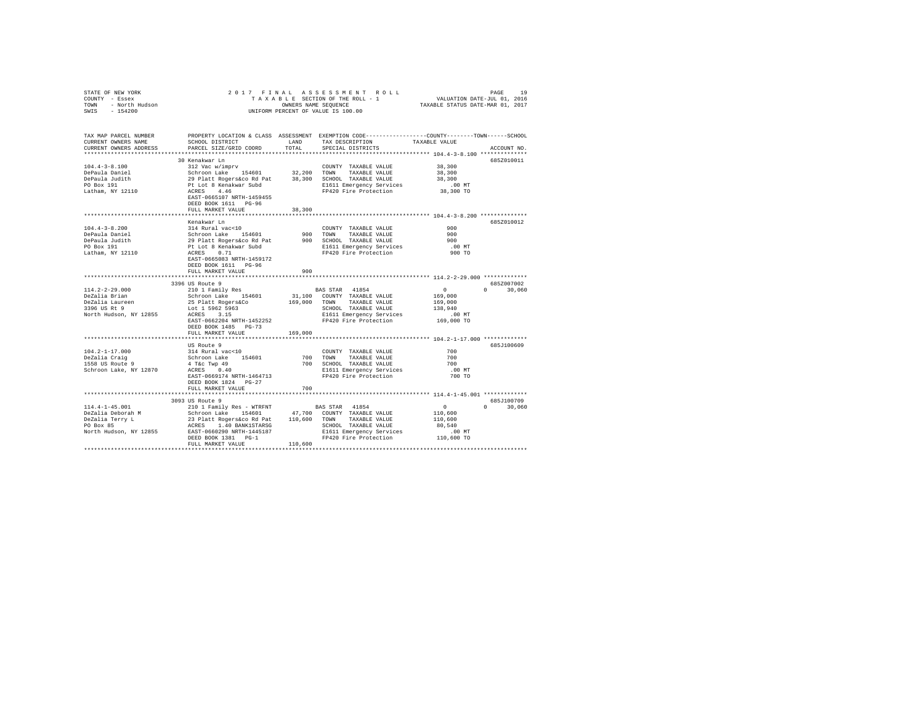| STATE OF NEW YORK<br>COUNTY - Essex<br>TOWN - North Hudson<br>SWIS - 154200                                                                                                                                                                                                                                                                                                 | $\verb RAEB  = \verb RAEB  = \verb RAEB  = \verb SAEB  = \verb SAEB  = \verb SAEB  = \verb SAEB  = \verb SAEB  = \verb SAEB  = \verb MAEB  = \verb SAEB  = \verb MAEB  = \verb MAEB  = \verb MAEB  = \verb MAEB  = \verb MAEB  = \verb MAEB  = \verb MAEB  = \verb MAEB  = \verb MAEB  = \verb MAEB  = \verb MAEB  = \verb MAEB  = \verb MAEB  = \verb MAEB  = \verb MAEB  = \verb MAEB  = \verb MAEB  = \verb MAEB  = \verb MAEB  = \verb MAEB  = \verb $ |               | 2017 FINAL ASSESSMENT ROLL                                                                        |                      |              |
|-----------------------------------------------------------------------------------------------------------------------------------------------------------------------------------------------------------------------------------------------------------------------------------------------------------------------------------------------------------------------------|------------------------------------------------------------------------------------------------------------------------------------------------------------------------------------------------------------------------------------------------------------------------------------------------------------------------------------------------------------------------------------------------------------------------------------------------------------|---------------|---------------------------------------------------------------------------------------------------|----------------------|--------------|
| TAX MAP PARCEL NUMBER<br>CURRENT OWNERS NAME<br>CURRENT OWNERS ADDRESS                                                                                                                                                                                                                                                                                                      | PROPERTY LOCATION & CLASS ASSESSMENT EXEMPTION CODE---------------COUNTY-------TOWN------SCHOOL<br>SCHOOL DISTRICT<br>PARCEL SIZE/GRID COORD                                                                                                                                                                                                                                                                                                               | LAND<br>TOTAL | TAX DESCRIPTION TAXABLE VALUE SPECIAL DISTRICTS                                                   |                      | ACCOUNT NO.  |
|                                                                                                                                                                                                                                                                                                                                                                             |                                                                                                                                                                                                                                                                                                                                                                                                                                                            |               |                                                                                                   |                      |              |
|                                                                                                                                                                                                                                                                                                                                                                             |                                                                                                                                                                                                                                                                                                                                                                                                                                                            |               |                                                                                                   |                      | 685Z010011   |
|                                                                                                                                                                                                                                                                                                                                                                             |                                                                                                                                                                                                                                                                                                                                                                                                                                                            |               |                                                                                                   |                      |              |
|                                                                                                                                                                                                                                                                                                                                                                             |                                                                                                                                                                                                                                                                                                                                                                                                                                                            |               |                                                                                                   |                      |              |
|                                                                                                                                                                                                                                                                                                                                                                             |                                                                                                                                                                                                                                                                                                                                                                                                                                                            |               |                                                                                                   |                      |              |
|                                                                                                                                                                                                                                                                                                                                                                             |                                                                                                                                                                                                                                                                                                                                                                                                                                                            |               |                                                                                                   |                      |              |
|                                                                                                                                                                                                                                                                                                                                                                             | DEED BOOK 1611 PG-96                                                                                                                                                                                                                                                                                                                                                                                                                                       |               |                                                                                                   |                      |              |
|                                                                                                                                                                                                                                                                                                                                                                             | FULL MARKET VALUE                                                                                                                                                                                                                                                                                                                                                                                                                                          | 38,300        |                                                                                                   |                      |              |
|                                                                                                                                                                                                                                                                                                                                                                             |                                                                                                                                                                                                                                                                                                                                                                                                                                                            |               |                                                                                                   |                      |              |
|                                                                                                                                                                                                                                                                                                                                                                             | Kenakwar Ln                                                                                                                                                                                                                                                                                                                                                                                                                                                |               |                                                                                                   |                      | 685Z010012   |
| $104.4 - 3 - 8.200$                                                                                                                                                                                                                                                                                                                                                         | 314 Rural vac<10                                                                                                                                                                                                                                                                                                                                                                                                                                           |               | COUNTY TAXABLE VALUE                                                                              | 900                  |              |
| CONTRAINED POPALLE TRANSPORTED AND TOWN TAXABLE VALUE 50<br>DePaula Joniel 1990 - 29 Plant Rogers for BOLOU TOWN TAXABLE VALUE 5000<br>DePaula Joniel 29 Plant Rogers of Party of BOLOU TRANSPORTED 1990<br>PO Box 191 PL LOC 8 Ke                                                                                                                                          |                                                                                                                                                                                                                                                                                                                                                                                                                                                            |               |                                                                                                   |                      |              |
|                                                                                                                                                                                                                                                                                                                                                                             |                                                                                                                                                                                                                                                                                                                                                                                                                                                            |               |                                                                                                   |                      |              |
|                                                                                                                                                                                                                                                                                                                                                                             |                                                                                                                                                                                                                                                                                                                                                                                                                                                            |               |                                                                                                   |                      |              |
|                                                                                                                                                                                                                                                                                                                                                                             | EAST-0665083 NRTH-1459172<br>DEED BOOK 1611 PG-96                                                                                                                                                                                                                                                                                                                                                                                                          |               |                                                                                                   |                      |              |
|                                                                                                                                                                                                                                                                                                                                                                             | FULL MARKET VALUE                                                                                                                                                                                                                                                                                                                                                                                                                                          | 900           |                                                                                                   |                      |              |
|                                                                                                                                                                                                                                                                                                                                                                             |                                                                                                                                                                                                                                                                                                                                                                                                                                                            |               |                                                                                                   |                      | 685Z007002   |
| $114.2 - 2 - 29.000$                                                                                                                                                                                                                                                                                                                                                        |                                                                                                                                                                                                                                                                                                                                                                                                                                                            |               |                                                                                                   | $\sim$ 0             | $0 \t30.060$ |
| DeZalia Brian                                                                                                                                                                                                                                                                                                                                                               |                                                                                                                                                                                                                                                                                                                                                                                                                                                            |               | BAS STAR 41854<br>31,100 COUNTY TAXABLE VALUE                                                     | 169,000              |              |
|                                                                                                                                                                                                                                                                                                                                                                             |                                                                                                                                                                                                                                                                                                                                                                                                                                                            |               | 169,000 TOWN TAXABLE VALUE                                                                        | 169,000              |              |
| DeZalia Laureen<br>3396 US Rt 9                                                                                                                                                                                                                                                                                                                                             |                                                                                                                                                                                                                                                                                                                                                                                                                                                            |               |                                                                                                   |                      |              |
| North Hudson, NY 12855                                                                                                                                                                                                                                                                                                                                                      |                                                                                                                                                                                                                                                                                                                                                                                                                                                            |               |                                                                                                   |                      |              |
|                                                                                                                                                                                                                                                                                                                                                                             | May Noute 9<br>2010 I Family Res<br>2010 I Family Res<br>25 Platt Rogers&Co<br>102 I States<br>103 November 2011<br>RAST-0662204 NFTH-145000<br>EAST-0662204 NRTH-1452252<br>DEED BOOK 1485 PG-73                                                                                                                                                                                                                                                          |               | SCHOOL TAXABLE VALUE 199,000<br>E1611 Emergency Services 138,940<br>FP420 Fire Protection 169,000 | 00 MT.<br>169,000 TO |              |
|                                                                                                                                                                                                                                                                                                                                                                             | FULL MARKET VALUE                                                                                                                                                                                                                                                                                                                                                                                                                                          | 169,000       |                                                                                                   |                      |              |
|                                                                                                                                                                                                                                                                                                                                                                             |                                                                                                                                                                                                                                                                                                                                                                                                                                                            |               |                                                                                                   |                      |              |
|                                                                                                                                                                                                                                                                                                                                                                             | US Route 9                                                                                                                                                                                                                                                                                                                                                                                                                                                 |               |                                                                                                   |                      | 685J100609   |
| 104.2-1-17.000<br>DeZalia Craig<br>1558 US Route 9                                                                                                                                                                                                                                                                                                                          | Notice to the country TAXABLE VALUE<br>Schroon Lake 154601 700 TOWN TAXABLE VALUE<br>4 T&C Twp 49 700 SCHOOL TAXABLE VALUE<br>4 T&C 0.40 700 SCHOOL TAXABLE VALUE<br>ACRES 0.40 1.1.1 Energency Services                                                                                                                                                                                                                                                   |               | COUNTY TAXABLE VALUE<br>TOWN TAXABLE VALUE                                                        | 700<br>700           |              |
|                                                                                                                                                                                                                                                                                                                                                                             |                                                                                                                                                                                                                                                                                                                                                                                                                                                            |               |                                                                                                   | 700                  |              |
| Schroon Lake, NY 12870                                                                                                                                                                                                                                                                                                                                                      |                                                                                                                                                                                                                                                                                                                                                                                                                                                            |               |                                                                                                   | $.00$ MT             |              |
|                                                                                                                                                                                                                                                                                                                                                                             | EAST-0669174 NRTH-1464713                                                                                                                                                                                                                                                                                                                                                                                                                                  |               | E1611 Emergency Services<br>FP420 Fire Protection                                                 | 700 TO               |              |
|                                                                                                                                                                                                                                                                                                                                                                             | DEED BOOK 1824 PG-27                                                                                                                                                                                                                                                                                                                                                                                                                                       |               |                                                                                                   |                      |              |
|                                                                                                                                                                                                                                                                                                                                                                             | FULL MARKET VALUE                                                                                                                                                                                                                                                                                                                                                                                                                                          | 700           |                                                                                                   |                      |              |
|                                                                                                                                                                                                                                                                                                                                                                             |                                                                                                                                                                                                                                                                                                                                                                                                                                                            |               |                                                                                                   |                      |              |
|                                                                                                                                                                                                                                                                                                                                                                             | 3093 US Route 9                                                                                                                                                                                                                                                                                                                                                                                                                                            |               |                                                                                                   |                      | 685J100709   |
| $[104.4-1-45.001] \begin{tabular}{lcccc} \texttt{3093} & \texttt{3093} & \texttt{5001} & \texttt{5001} & \texttt{5001} & \texttt{101} & \texttt{101} & \texttt{101} & \texttt{102} & \texttt{103} & \texttt{104} & \texttt{105} & \texttt{106} & \texttt{107} & \texttt{108} & \texttt{108} & \texttt{108} & \texttt{109} & \texttt{109} & \texttt{109} & \texttt{109} & \$ |                                                                                                                                                                                                                                                                                                                                                                                                                                                            |               |                                                                                                   | $\sim$ 0             | $0 \t30,060$ |
|                                                                                                                                                                                                                                                                                                                                                                             |                                                                                                                                                                                                                                                                                                                                                                                                                                                            |               |                                                                                                   | 110,600              |              |
|                                                                                                                                                                                                                                                                                                                                                                             |                                                                                                                                                                                                                                                                                                                                                                                                                                                            |               |                                                                                                   | 110,600              |              |
|                                                                                                                                                                                                                                                                                                                                                                             |                                                                                                                                                                                                                                                                                                                                                                                                                                                            |               |                                                                                                   | 80,540               |              |
|                                                                                                                                                                                                                                                                                                                                                                             |                                                                                                                                                                                                                                                                                                                                                                                                                                                            |               |                                                                                                   | .00 MT<br>110,600 TO |              |
|                                                                                                                                                                                                                                                                                                                                                                             |                                                                                                                                                                                                                                                                                                                                                                                                                                                            |               |                                                                                                   |                      |              |
|                                                                                                                                                                                                                                                                                                                                                                             | FULL MARKET VALUE 110,600                                                                                                                                                                                                                                                                                                                                                                                                                                  |               |                                                                                                   |                      |              |
|                                                                                                                                                                                                                                                                                                                                                                             |                                                                                                                                                                                                                                                                                                                                                                                                                                                            |               |                                                                                                   |                      |              |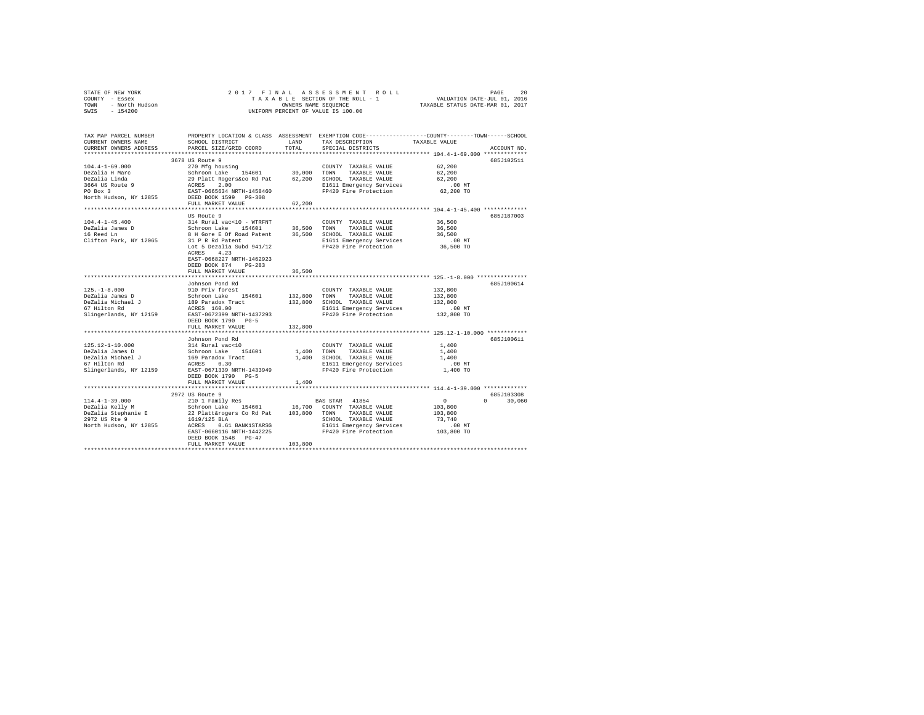|                | STATE OF NEW YORK |  |  |  |  | 2017 FINAL ASSESSMENT ROLL         | PAGE                             | 20 |
|----------------|-------------------|--|--|--|--|------------------------------------|----------------------------------|----|
| COUNTY - Essex |                   |  |  |  |  | TAXABLE SECTION OF THE ROLL - 1    | VALUATION DATE-JUL 01, 2016      |    |
| TOWN           | - North Hudson    |  |  |  |  | OWNERS NAME SEOUENCE               | TAXABLE STATUS DATE-MAR 01, 2017 |    |
| SWIS           | $-154200$         |  |  |  |  | UNIFORM PERCENT OF VALUE IS 100.00 |                                  |    |

| TAX MAP PARCEL NUMBER<br>CURRENT OWNERS NAME<br>CURRENT OWNERS ADDRESS | SCHOOL DISTRICT<br>PARCEL SIZE/GRID COORD                                                               | LAND<br>TOTAL | TAX DESCRIPTION<br>SPECIAL DISTRICTS              | PROPERTY LOCATION & CLASS ASSESSMENT EXEMPTION CODE---------------COUNTY-------TOWN-----SCHOOL<br>TAXABLE VALUE<br>ACCOUNT NO. |
|------------------------------------------------------------------------|---------------------------------------------------------------------------------------------------------|---------------|---------------------------------------------------|--------------------------------------------------------------------------------------------------------------------------------|
| **********************                                                 |                                                                                                         |               |                                                   |                                                                                                                                |
|                                                                        | 3678 US Route 9                                                                                         |               |                                                   | 685J102511                                                                                                                     |
| $104.4 - 1 - 69.000$                                                   | 270 Mfg housing                                                                                         |               | COUNTY TAXABLE VALUE                              | 62,200                                                                                                                         |
| DeZalia H Marc                                                         | Schroon Lake 154601                                                                                     | 30,000 TOWN   | TAXABLE VALUE                                     | 62,200                                                                                                                         |
| DeZalia Linda                                                          |                                                                                                         |               | 62.200 SCHOOL TAXABLE VALUE                       | 62,200                                                                                                                         |
| 3664 US Route 9                                                        | 29 Platt Rogers&co Rd Pat<br>ACRES 2.00                                                                 |               | E1611 Emergency Services                          | $.00$ MT                                                                                                                       |
| PO Box 3                                                               |                                                                                                         |               | FP420 Fire Protection                             | 62,200 TO                                                                                                                      |
| North Hudson, NY 12855                                                 | EAST-0665634 NRTH-1458460<br>DEED BOOK 1599 PG-308                                                      |               |                                                   |                                                                                                                                |
|                                                                        | FULL MARKET VALUE                                                                                       | 62,200        |                                                   |                                                                                                                                |
|                                                                        |                                                                                                         |               |                                                   |                                                                                                                                |
|                                                                        | US Route 9                                                                                              |               |                                                   | 685J187003                                                                                                                     |
| $104.4 - 1 - 45.400$                                                   | 314 Rural vac<10 - WTRFNT                                                                               |               | COUNTY TAXABLE VALUE                              | 36,500                                                                                                                         |
| DeZalia James D                                                        | Schroon Lake 154601                                                                                     | 36,500 TOWN   | TAXABLE VALUE                                     | 36,500                                                                                                                         |
| 16 Reed Ln                                                             | 8 H Gore E Of Road Patent 36,500<br>31 P R Rd Patent                                                    |               | SCHOOL TAXABLE VALUE                              | 36,500                                                                                                                         |
| Clifton Park, NY 12065                                                 |                                                                                                         |               | E1611 Emergency Services                          | .00 MT                                                                                                                         |
|                                                                        | Lot 5 Dezalia Subd 941/12                                                                               |               | FP420 Fire Protection                             | 36,500 TO                                                                                                                      |
|                                                                        | 4.23<br>ACRES                                                                                           |               |                                                   |                                                                                                                                |
|                                                                        | EAST-0668227 NRTH-1462923                                                                               |               |                                                   |                                                                                                                                |
|                                                                        | DEED BOOK 874<br>$PG-283$                                                                               |               |                                                   |                                                                                                                                |
|                                                                        | FULL MARKET VALUE                                                                                       | 36,500        |                                                   |                                                                                                                                |
|                                                                        |                                                                                                         |               |                                                   |                                                                                                                                |
|                                                                        | Johnson Pond Rd                                                                                         |               |                                                   | 685J100614                                                                                                                     |
| $125. - 1 - 8.000$                                                     | 910 Priv forest                                                                                         |               | COUNTY TAXABLE VALUE                              | 132,800                                                                                                                        |
| DeZalia James D                                                        | Schroon Lake 154601<br>189 Paradox Tract                                                                | 132,800       | TOWN<br>TAXABLE VALUE                             | 132,800                                                                                                                        |
| DeZalia Michael J                                                      |                                                                                                         | 132,800       | SCHOOL TAXABLE VALUE                              | 132,800                                                                                                                        |
| 67 Hilton Rd                                                           | ACRES 160.00<br>EAST-0672399 NRTH-1437293                                                               |               | E1611 Emergency Services                          | .00MT                                                                                                                          |
| Slingerlands, NY 12159                                                 |                                                                                                         |               | FP420 Fire Protection                             | 132,800 TO                                                                                                                     |
|                                                                        | DEED BOOK 1790<br>$PG-5$                                                                                |               |                                                   |                                                                                                                                |
|                                                                        | FULL MARKET VALUE                                                                                       | 132,800       |                                                   |                                                                                                                                |
|                                                                        |                                                                                                         |               |                                                   |                                                                                                                                |
|                                                                        | Johnson Pond Rd                                                                                         |               |                                                   | 685J100611                                                                                                                     |
| $125.12 - 1 - 10.000$                                                  |                                                                                                         |               | COUNTY TAXABLE VALUE                              | 1,400                                                                                                                          |
| DeZalia James D                                                        |                                                                                                         | 1,400         | TOWN<br>TAXABLE VALUE                             | 1,400                                                                                                                          |
| DeZalia Michael J                                                      |                                                                                                         |               | 1,400 SCHOOL TAXABLE VALUE                        | 1,400                                                                                                                          |
| 67 Hilton Rd                                                           | 314 Rural vac<10<br>Schroon Lake 154601<br>169 Paradox Tract<br>ACRES 0.30<br>RAST-0671339 NRTH-1433949 |               | E1611 Emergency Services<br>FP420 Fire Protection | .00 MT<br>1,400 TO                                                                                                             |
| Slingerlands, NY 12159                                                 |                                                                                                         |               |                                                   |                                                                                                                                |
|                                                                        | DEED BOOK 1790 PG-5<br>FULL MARKET VALUE                                                                | 1,400         |                                                   |                                                                                                                                |
|                                                                        |                                                                                                         |               |                                                   |                                                                                                                                |
|                                                                        | 2972 US Route 9                                                                                         |               |                                                   | 685J103308                                                                                                                     |
| $114.4 - 1 - 39.000$                                                   | 210 1 Family Res                                                                                        |               | BAS STAR 41854                                    | $\sim$ 0<br>30,060<br>$\Omega$                                                                                                 |
| DeZalia Kelly M                                                        |                                                                                                         |               | COUNTY TAXABLE VALUE                              | 103,800                                                                                                                        |
| DeZalia Stephanie E                                                    | Schroon Lake 154601 16,700<br>22 Platt&rogers Co Rd Pat 103,800                                         |               | TOWN TAXABLE VALUE                                | 103,800                                                                                                                        |
| 2972 US Rte 9                                                          | 1619/125 BLA                                                                                            |               | SCHOOL TAXABLE VALUE                              | 73,740                                                                                                                         |
| North Hudson, NY 12855                                                 | ACRES<br>0.61 BANK1STARSG                                                                               |               | E1611 Emergency Services                          | .00MT                                                                                                                          |
|                                                                        | EAST-0660116 NRTH-1442225                                                                               |               | FP420 Fire Protection                             | 103,800 TO                                                                                                                     |
|                                                                        | DEED BOOK 1548 PG-47                                                                                    |               |                                                   |                                                                                                                                |
|                                                                        | FULL MARKET VALUE                                                                                       | 103,800       |                                                   |                                                                                                                                |
|                                                                        |                                                                                                         |               |                                                   |                                                                                                                                |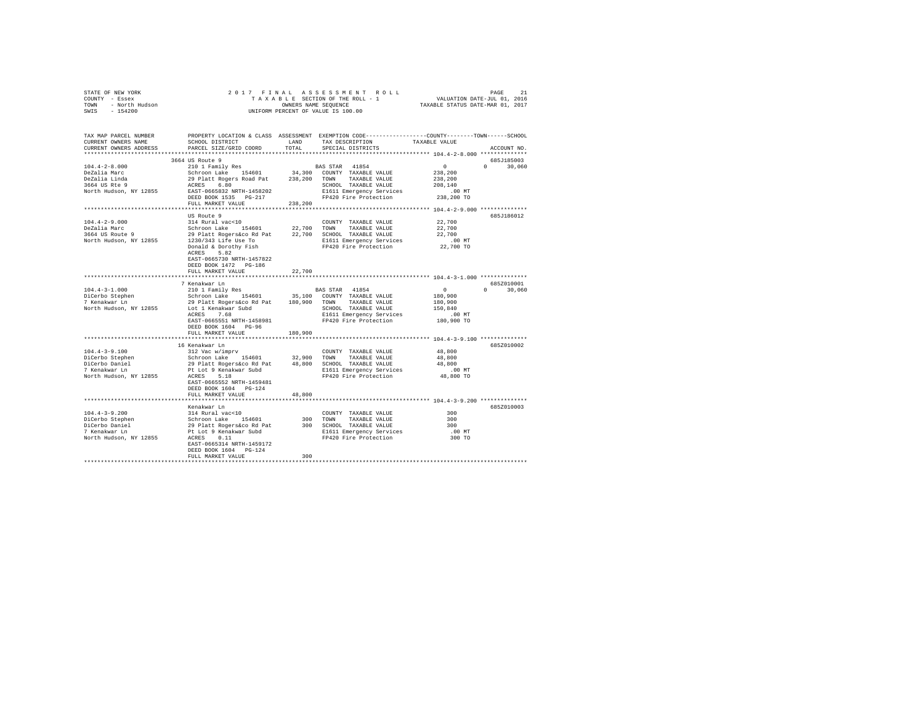| STATE OF NEW YORK      | 2017 FINAL ASSESSMENT ROLL         | 21<br>PAGE                       |
|------------------------|------------------------------------|----------------------------------|
| COUNTY<br>- Essex      | TAXABLE SECTION OF THE ROLL - 1    | VALUATION DATE-JUL 01, 2016      |
| - North Hudson<br>TOWN | OWNERS NAME SEOUENCE               | TAXABLE STATUS DATE-MAR 01, 2017 |
| $-154200$<br>SWIS      | UNIFORM PERCENT OF VALUE IS 100.00 |                                  |

| TAX MAP PARCEL NUMBER<br>CURRENT OWNERS NAME | SCHOOL DISTRICT                                                                                        | LAND    | PROPERTY LOCATION & CLASS ASSESSMENT EXEMPTION CODE---------------COUNTY-------TOWN-----SCHOOL<br>TAX DESCRIPTION | TAXABLE VALUE  |                                 |
|----------------------------------------------|--------------------------------------------------------------------------------------------------------|---------|-------------------------------------------------------------------------------------------------------------------|----------------|---------------------------------|
| CURRENT OWNERS ADDRESS                       | PARCEL SIZE/GRID COORD                                                                                 | TOTAL   | SPECIAL DISTRICTS                                                                                                 |                | ACCOUNT NO.                     |
|                                              | 3664 US Route 9                                                                                        |         |                                                                                                                   |                | 685J185003                      |
| $104.4 - 2 - 8.000$                          | 210 1 Family Res                                                                                       |         | <b>BAS STAR 41854</b>                                                                                             | $\sim$ 0       | $\Omega$<br>30,060              |
| DeZalia Marc                                 |                                                                                                        |         | 34,300 COUNTY TAXABLE VALUE                                                                                       | 238,200        |                                 |
| DeZalia Linda                                | Schroon Lake 154601<br>29 Platt Rogers Road Pat                                                        |         | 238,200 TOWN TAXABLE VALUE                                                                                        | 238,200        |                                 |
| 3664 US Rte 9                                | ACRES 6.80                                                                                             |         | SCHOOL TAXABLE VALUE                                                                                              | 208,140        |                                 |
| North Hudson, NY 12855                       | EAST-0665832 NRTH-1458202                                                                              |         | E1611 Emergency Services                                                                                          | $.00$ MT       |                                 |
|                                              | DEED BOOK 1535 PG-217                                                                                  |         | FP420 Fire Protection                                                                                             |                |                                 |
|                                              |                                                                                                        |         |                                                                                                                   | 238,200 TO     |                                 |
|                                              | FULL MARKET VALUE                                                                                      | 238,200 |                                                                                                                   |                |                                 |
|                                              |                                                                                                        |         |                                                                                                                   |                |                                 |
|                                              | US Route 9                                                                                             |         |                                                                                                                   |                | 685J186012                      |
| $104.4 - 2 - 9.000$                          | 314 Rural vac<10                                                                                       |         | COUNTY TAXABLE VALUE                                                                                              | 22,700         |                                 |
| DeZalia Marc                                 | Schroon Lake 154601                                                                                    |         | 22,700 TOWN TAXABLE VALUE                                                                                         | 22,700         |                                 |
| 3664 US Route 9                              | 29 Platt Rogers&co Rd Pat 22,700 SCHOOL TAXABLE VALUE<br>1230/343 Life Use To B1611 Emergency Services |         |                                                                                                                   | 22,700         |                                 |
| North Hudson, NY 12855                       |                                                                                                        |         |                                                                                                                   | $.00$ MT       |                                 |
|                                              | Donald & Dorothy Fish                                                                                  |         | FP420 Fire Protection                                                                                             | 22,700 TO      |                                 |
|                                              | ACRES<br>5.82                                                                                          |         |                                                                                                                   |                |                                 |
|                                              | EAST-0665730 NRTH-1457822                                                                              |         |                                                                                                                   |                |                                 |
|                                              | DEED BOOK 1472 PG-186                                                                                  |         |                                                                                                                   |                |                                 |
|                                              | FULL MARKET VALUE                                                                                      | 22,700  |                                                                                                                   |                |                                 |
|                                              |                                                                                                        |         |                                                                                                                   |                |                                 |
|                                              | 7 Kenakwar Ln                                                                                          |         |                                                                                                                   |                | 685Z010001                      |
| $104.4 - 3 - 1.000$                          | 210 1 Family Res                                                                                       |         | BAS STAR 41854                                                                                                    | $\overline{0}$ | $\Omega$ and $\Omega$<br>30,060 |
|                                              | Schroon Lake 154601                                                                                    |         | 35,100 COUNTY TAXABLE VALUE                                                                                       | 180,900        |                                 |
| DiCerbo Stephen<br>7 Kenakwar Ln             | 29 Platt Rogers&co Rd Pat 180,900 TOWN TAXABLE VALUE                                                   |         |                                                                                                                   | 180,900        |                                 |
| North Hudson, NY 12855                       | Lot 1 Kenakwar Subd                                                                                    |         | SCHOOL TAXABLE VALUE                                                                                              | 150,840        |                                 |
|                                              |                                                                                                        |         |                                                                                                                   |                |                                 |
|                                              | ACRES 7.68                                                                                             |         | E1611 Emergency Services                                                                                          | $.00$ MT       |                                 |
|                                              | EAST-0665551 NRTH-1458981                                                                              |         | FP420 Fire Protection                                                                                             | 180,900 TO     |                                 |
|                                              | DEED BOOK 1604 PG-96                                                                                   |         |                                                                                                                   |                |                                 |
|                                              | FULL MARKET VALUE                                                                                      | 180,900 |                                                                                                                   |                |                                 |
|                                              |                                                                                                        |         |                                                                                                                   |                |                                 |
|                                              | 16 Kenakwar Ln                                                                                         |         |                                                                                                                   |                | 685Z010002                      |
| $104.4 - 3 - 9.100$                          | 312 Vac w/imprv                                                                                        |         | COUNTY TAXABLE VALUE                                                                                              | 48,800         |                                 |
| DiCerbo Stephen                              | Schroon Lake 154601                                                                                    | 32,900  | TOWN TAXABLE VALUE                                                                                                | 48,800         |                                 |
| DiCerbo Daniel<br>7 Kenakwar In              | 29 Platt Rogers&co Rd Pat 48,800                                                                       |         | SCHOOL TAXABLE VALUE                                                                                              | 48,800         |                                 |
| 7 Kenakwar Ln                                | Pt Lot 9 Kenakwar Subd                                                                                 |         | E1611 Emergency Services                                                                                          | $.00$ MT       |                                 |
| North Hudson, NY 12855                       | ACRES 5.18                                                                                             |         | FP420 Fire Protection                                                                                             | 48,800 TO      |                                 |
|                                              | EAST-0665552 NRTH-1459481                                                                              |         |                                                                                                                   |                |                                 |
|                                              | DEED BOOK 1604 PG-124                                                                                  |         |                                                                                                                   |                |                                 |
|                                              | FULL MARKET VALUE                                                                                      | 48,800  |                                                                                                                   |                |                                 |
|                                              |                                                                                                        |         |                                                                                                                   |                |                                 |
|                                              | Kenakwar Ln                                                                                            |         |                                                                                                                   |                | 685Z010003                      |
| $104.4 - 3 - 9.200$                          | 314 Rural vac<10                                                                                       |         | COUNTY TAXABLE VALUE                                                                                              | 300            |                                 |
| DiCerbo Stephen                              | Schroon Lake<br>Schroon Lake 154601<br>29 Platt Rogers&co Rd Pat<br>Pt Lot 9 Kenakwar Subd             |         | 300 TOWN<br>TAXABLE VALUE                                                                                         | 300            |                                 |
| DiCerbo Daniel                               |                                                                                                        |         | 300 SCHOOL TAXABLE VALUE                                                                                          | 300            |                                 |
| 7 Kenakwar Ln                                |                                                                                                        |         | E1611 Emergency Services                                                                                          | $.00$ MT       |                                 |
| North Hudson, NY 12855                       | ACRES 0.11                                                                                             |         | FP420 Fire Protection                                                                                             | 300 TO         |                                 |
|                                              | EAST-0665314 NRTH-1459172                                                                              |         |                                                                                                                   |                |                                 |
|                                              | DEED BOOK 1604 PG-124                                                                                  |         |                                                                                                                   |                |                                 |
|                                              |                                                                                                        | 300     |                                                                                                                   |                |                                 |
|                                              | FULL MARKET VALUE                                                                                      |         |                                                                                                                   |                |                                 |
|                                              |                                                                                                        |         |                                                                                                                   |                |                                 |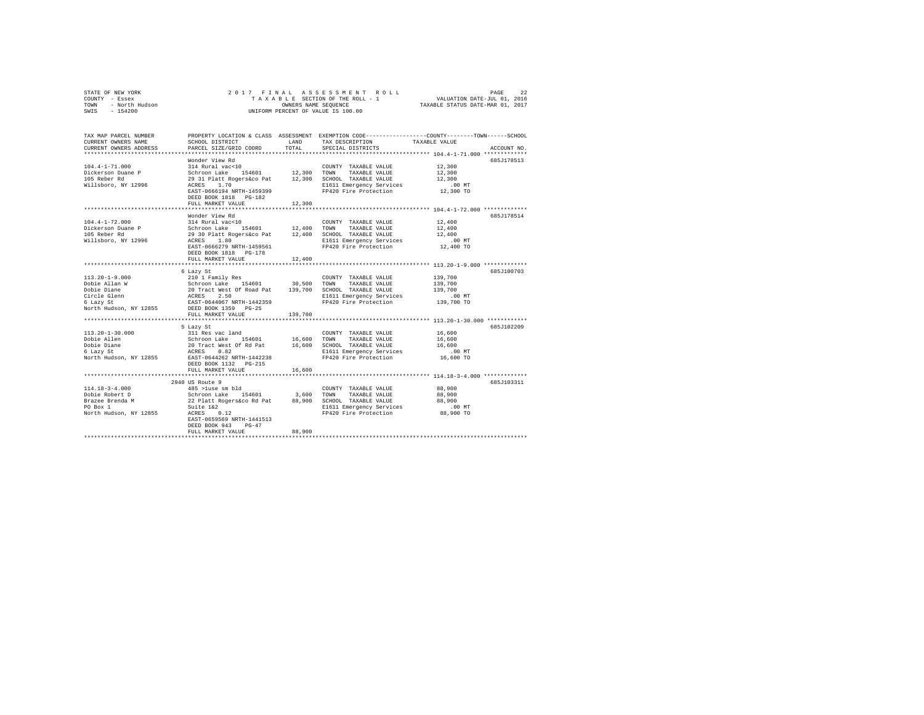| STATE OF NEW YORK |                |  |  | 2017 FINAL ASSESSMENT ROLL         |  |                                  | PAGE                        | 22 |
|-------------------|----------------|--|--|------------------------------------|--|----------------------------------|-----------------------------|----|
| COUNTY - Essex    |                |  |  | TAXABLE SECTION OF THE ROLL - 1    |  |                                  | VALUATION DATE-JUL 01, 2016 |    |
| TOWN              | - North Hudson |  |  | OWNERS NAME SEOUENCE               |  | TAXABLE STATUS DATE-MAR 01, 2017 |                             |    |
| $-154200$<br>SWIS |                |  |  | UNIFORM PERCENT OF VALUE IS 100.00 |  |                                  |                             |    |

| TAX MAP PARCEL NUMBER<br>CURRENT OWNERS NAME<br>CURRENT OWNERS ADDRESS                                      | SCHOOL DISTRICT<br>PARCEL SIZE/GRID COORD                                                                                                                                                                                             | <b>T.AND</b><br>TOTAL | TAX DESCRIPTION<br>SPECIAL DISTRICTS                                                                                       | PROPERTY LOCATION & CLASS ASSESSMENT EXEMPTION CODE---------------COUNTY-------TOWN-----SCHOOL<br>TAXABLE VALUE                                              | ACCOUNT NO. |
|-------------------------------------------------------------------------------------------------------------|---------------------------------------------------------------------------------------------------------------------------------------------------------------------------------------------------------------------------------------|-----------------------|----------------------------------------------------------------------------------------------------------------------------|--------------------------------------------------------------------------------------------------------------------------------------------------------------|-------------|
| $104.4 - 1 - 71.000$<br>Dickerson Duane P<br>105 Reber Rd<br>Willsboro, NY 12996                            | Wonder View Rd<br>314 Rural vac<10<br>154601 12,300 TOWN<br>Schroon Lake<br>29 31 Platt Rogers&co Pat<br>ACRES<br>1.70<br>EAST-0666194 NRTH-1459399<br>DEED BOOK 1818 PG-182<br>FULL MARKET VALUE                                     | 12,300<br>********    | COUNTY TAXABLE VALUE<br>TAXABLE VALUE<br>12,300 SCHOOL TAXABLE VALUE<br>E1611 Emergency Services<br>FP420 Fire Protection  | 12,300<br>12,300<br>12,300<br>$.00$ MT<br>12,300 TO<br>************************ 104.4-1-72.000 ************                                                  | 685J178513  |
| $104.4 - 1 - 72.000$<br>Dickerson Duane P<br>105 Reber Rd<br>Willsboro, NY 12996                            | Wonder View Rd<br>314 Rural vac<10<br>Schroon Lake 154601<br>29 30 Platt Rogers&co Pat 12,400 SCHOOL TAXABLE VALUE<br>29 30<br>ACRES<br>1.80<br>EAST-0666279 NRTH-1459561<br>DEED BOOK 1818 PG-178<br>FULL MARKET VALUE               | 12,400 TOWN<br>12,400 | COUNTY TAXABLE VALUE<br>TAXABLE VALUE<br>E1611 Emergency Services<br>FP420 Fire Protection                                 | 12,400<br>12,400<br>12,400<br>.00 MT<br>12,400 TO                                                                                                            | 685.T178514 |
| $113.20 - 1 - 9.000$<br>Dobie Allan W<br>Dobie Diane<br>Circle Glenn<br>6 Lazy St<br>North Hudson, NY 12855 | 6 Lazy St<br>$210$ 1 Family Res<br>Schroon Lake 154601 30,500<br>20 Tract West Of Road Pat 139,700<br>ACRES 2.50<br>RAST-0644067 NRTH-1442359<br>DEED BOOK 1359 PG-25<br>FULL MARKET VALUE                                            | 30,500<br>139,700     | COUNTY TAXABLE VALUE<br>TOWN<br>TAXABLE VALUE<br>SCHOOL TAXABLE VALUE<br>E1611 Emergency Services<br>FP420 Fire Protection | 139,700<br>139,700<br>139,700<br>.00 MT<br>139,700 TO                                                                                                        | 685J100703  |
| $113.20 - 1 - 30.000$<br>Dobie Allen<br>Dobie Diane<br>6 Lazy St<br>North Hudson, NY 12855                  | 5 Lazy St<br>311 Res vac land<br>Schroon Lake 154601 16,600 TOWN<br>20 Tract West Of Rd Pat 16,600 SCHOC<br>ACRES 0.82 E1611<br>EAST-0644262 NRTH-1442238<br>DEED BOOK 1132   PG-215<br>FULL MARKET VALUE<br>************************ | 16,600                | COUNTY TAXABLE VALUE<br>TAXABLE VALUE<br>16,600 SCHOOL TAXABLE VALUE<br>E1611 Emergency Services<br>FP420 Fire Protection  | *********************** 113.20-1-30.000 ************<br>16,600<br>16,600<br>16,600<br>$.00$ MT<br>16,600 TO<br>***************** 114.18-3-4.000 ************ | 685J102209  |
| $114.18 - 3 - 4.000$<br>Dobie Robert D<br>Brazee Brenda M<br>PO Box 1<br>North Hudson, NY 12855             | 2940 US Route 9<br>485 >luse sm bld<br>Schroon Lake 154601<br>22 Platt Rogers&co Rd Pat 88,900 SCHOOL TAXABLE VALUE<br>Suite 1&2<br>ACRES 0.12<br>EAST-0659569 NRTH-1441513<br>DEED BOOK 943<br>$PG-47$<br>FULL MARKET VALUE          | 88,900                | COUNTY TAXABLE VALUE<br>3,600 TOWN<br>TAXABLE VALUE<br>E1611 Emergency Services<br>FP420 Fire Protection                   | 88,900<br>88,900<br>88,900<br>$.00$ MT<br>88,900 TO                                                                                                          | 685J103311  |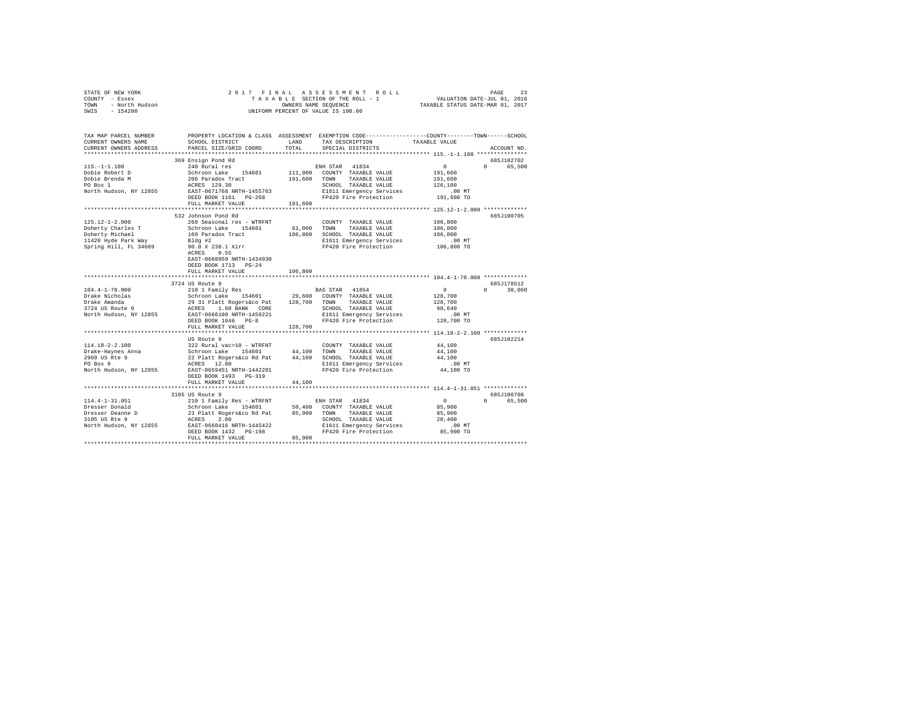|      | STATE OF NEW YORK | 2017 FINAL ASSESSMENT ROLL         | 23<br>PAGE                       |
|------|-------------------|------------------------------------|----------------------------------|
|      | COUNTY - Essex    | TAXABLE SECTION OF THE ROLL - 1    | VALUATION DATE-JUL 01, 2016      |
| TOWN | - North Hudson    | OWNERS NAME SEOUENCE               | TAXABLE STATUS DATE-MAR 01, 2017 |
| SWIS | $-154200$         | UNIFORM PERCENT OF VALUE IS 100.00 |                                  |

| TAX MAP PARCEL NUMBER<br>CURRENT OWNERS NAME       | SCHOOL DISTRICT                                                                                                                                                                                                                             | LAND    | TAX DESCRIPTION                                                                            | PROPERTY LOCATION & CLASS ASSESSMENT EXEMPTION CODE----------------COUNTY-------TOWN-----SCHOOL<br>TAXABLE VALUE |               |
|----------------------------------------------------|---------------------------------------------------------------------------------------------------------------------------------------------------------------------------------------------------------------------------------------------|---------|--------------------------------------------------------------------------------------------|------------------------------------------------------------------------------------------------------------------|---------------|
| CURRENT OWNERS ADDRESS<br>************************ | PARCEL SIZE/GRID COORD                                                                                                                                                                                                                      | TOTAL   | SPECIAL DISTRICTS                                                                          |                                                                                                                  | ACCOUNT NO.   |
|                                                    | 369 Ensign Pond Rd                                                                                                                                                                                                                          |         |                                                                                            |                                                                                                                  | 6857102702    |
|                                                    | 115.-1-1.100<br>2008 Paragu Poul Au Real (1946)<br>2009 Paragu Poble Brenda M<br>2006 Paradox Tract 194601<br>2009 Paragu Politics (1946)<br>2009 Paragu PO POWS TAXABLE VALUE<br>2009 POR 1 ACRES 129.30<br>2019 PORT 111,900 TOWN TAXABLE |         |                                                                                            | $\sim$<br>$\Omega$                                                                                               | 65,500        |
|                                                    |                                                                                                                                                                                                                                             |         |                                                                                            | 191,600                                                                                                          |               |
|                                                    |                                                                                                                                                                                                                                             |         |                                                                                            | 191,600                                                                                                          |               |
|                                                    |                                                                                                                                                                                                                                             |         |                                                                                            | 126,100                                                                                                          |               |
|                                                    |                                                                                                                                                                                                                                             |         |                                                                                            | $.00$ MT                                                                                                         |               |
|                                                    |                                                                                                                                                                                                                                             |         |                                                                                            | 191,600 TO                                                                                                       |               |
|                                                    | FULL MARKET VALUE                                                                                                                                                                                                                           | 191,600 |                                                                                            |                                                                                                                  |               |
|                                                    |                                                                                                                                                                                                                                             |         |                                                                                            |                                                                                                                  |               |
|                                                    | 532 Johnson Pond Rd                                                                                                                                                                                                                         |         |                                                                                            |                                                                                                                  | 685J100705    |
| 125.12-1-2.000                                     | 260 Seasonal res - WTRFNT                                                                                                                                                                                                                   |         | COUNTY TAXABLE VALUE                                                                       | 106,800                                                                                                          |               |
|                                                    |                                                                                                                                                                                                                                             |         | 61,000 TOWN TAXABLE VALUE                                                                  | 106,800                                                                                                          |               |
|                                                    |                                                                                                                                                                                                                                             |         | 106,800 SCHOOL TAXABLE VALUE                                                               | 106,800                                                                                                          |               |
|                                                    |                                                                                                                                                                                                                                             |         |                                                                                            |                                                                                                                  |               |
|                                                    |                                                                                                                                                                                                                                             |         | E1611 Emergency Services .00 MT<br>FP420 Fire Protection .06,800 TO                        |                                                                                                                  |               |
|                                                    |                                                                                                                                                                                                                                             |         |                                                                                            |                                                                                                                  |               |
|                                                    | ACRES 0.55                                                                                                                                                                                                                                  |         |                                                                                            |                                                                                                                  |               |
|                                                    | EAST-0668959 NRTH-1434930                                                                                                                                                                                                                   |         |                                                                                            |                                                                                                                  |               |
|                                                    | DEED BOOK 1713 PG-24                                                                                                                                                                                                                        |         |                                                                                            |                                                                                                                  |               |
|                                                    | FULL MARKET VALUE                                                                                                                                                                                                                           | 106,800 |                                                                                            |                                                                                                                  |               |
|                                                    | 3724 US Route 9                                                                                                                                                                                                                             |         |                                                                                            |                                                                                                                  | 685J178512    |
|                                                    |                                                                                                                                                                                                                                             |         |                                                                                            | $\sim$ 0                                                                                                         |               |
|                                                    |                                                                                                                                                                                                                                             |         |                                                                                            | 128,700                                                                                                          | $0 \t 30,060$ |
|                                                    |                                                                                                                                                                                                                                             |         |                                                                                            |                                                                                                                  |               |
|                                                    |                                                                                                                                                                                                                                             |         |                                                                                            | 128,700                                                                                                          |               |
|                                                    |                                                                                                                                                                                                                                             |         |                                                                                            |                                                                                                                  |               |
|                                                    |                                                                                                                                                                                                                                             |         |                                                                                            |                                                                                                                  |               |
|                                                    | DEED BOOK 1846 PG-8                                                                                                                                                                                                                         |         | SCHOOL TAXABLE VALUE<br>E1611 Emergency Services 00 MT<br>PP420 Fire Protection 128,700 TO |                                                                                                                  |               |
|                                                    | FULL MARKET VALUE                                                                                                                                                                                                                           |         |                                                                                            |                                                                                                                  |               |
|                                                    |                                                                                                                                                                                                                                             |         |                                                                                            |                                                                                                                  |               |
|                                                    |                                                                                                                                                                                                                                             |         |                                                                                            |                                                                                                                  | 685J102214    |
|                                                    |                                                                                                                                                                                                                                             |         |                                                                                            | 44,100<br>44,100                                                                                                 |               |
|                                                    |                                                                                                                                                                                                                                             |         |                                                                                            | 44,100                                                                                                           |               |
|                                                    |                                                                                                                                                                                                                                             |         |                                                                                            |                                                                                                                  |               |
|                                                    |                                                                                                                                                                                                                                             |         | E1611 Emergency Services<br>FP420 Fire Protection                                          | $.00$ MT<br>ساس.<br>44,100 TO                                                                                    |               |
|                                                    | DEED BOOK 1493 PG-319                                                                                                                                                                                                                       |         |                                                                                            |                                                                                                                  |               |
|                                                    | FULL MARKET VALUE                                                                                                                                                                                                                           |         |                                                                                            |                                                                                                                  |               |
|                                                    |                                                                                                                                                                                                                                             | 44,100  |                                                                                            |                                                                                                                  |               |
|                                                    | 3105 US Route 9                                                                                                                                                                                                                             |         |                                                                                            |                                                                                                                  | 685J100708    |
|                                                    |                                                                                                                                                                                                                                             |         |                                                                                            | $\sim$ 0                                                                                                         |               |
| 114.4-1-31.051                                     |                                                                                                                                                                                                                                             |         |                                                                                            | 85,900                                                                                                           | 0 65,500      |
| Dresser Donald                                     |                                                                                                                                                                                                                                             |         |                                                                                            |                                                                                                                  |               |
| Dresser Deanne D<br>3105 US Rte 9                  |                                                                                                                                                                                                                                             |         | SCHOOL TAXABLE VALUE                                                                       | 85,900                                                                                                           |               |
|                                                    |                                                                                                                                                                                                                                             |         |                                                                                            | 20,400                                                                                                           |               |
| North Hudson, NY 12855                             | 210 1 Family Res - WTRFNT<br>School Lake 154601 50,400 COUNTY TAXABLE VALUE<br>23 Platt Rogersáco Rd Pat 85,900 TOWN TAXABLE VALUE<br>23 Platt Rogersáco Rd Pat 85,900 TOWN TAXABLE VALUE<br>REST 0560416 NRTH-1445422 E1611 Emergency      |         | E1611 Emergency Services 6.00 MT<br>FP420 Fire Protection 85,900 TO                        |                                                                                                                  |               |
|                                                    | FULL MARKET VALUE                                                                                                                                                                                                                           | 85,900  |                                                                                            |                                                                                                                  |               |
|                                                    |                                                                                                                                                                                                                                             |         |                                                                                            |                                                                                                                  |               |
|                                                    |                                                                                                                                                                                                                                             |         |                                                                                            |                                                                                                                  |               |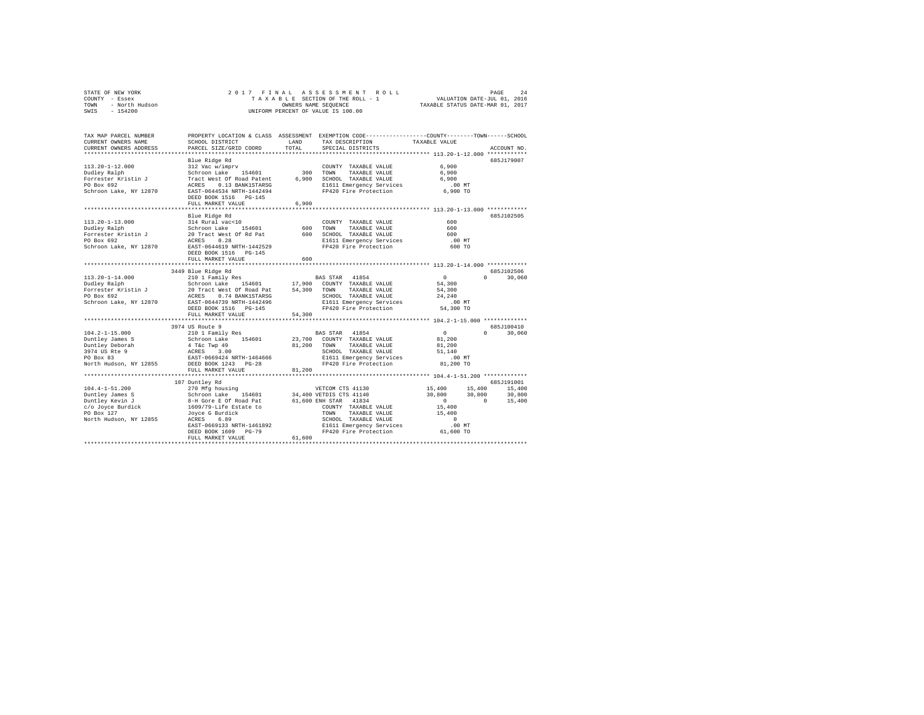|      | STATE OF NEW YORK |  |  | 2017 FINAL ASSESSMENT ROLL         | 2.4<br>PAGE                      |  |
|------|-------------------|--|--|------------------------------------|----------------------------------|--|
|      | COUNTY - Essex    |  |  | TAXABLE SECTION OF THE ROLL - 1    | VALUATION DATE-JUL 01, 2016      |  |
| TOWN | - North Hudson    |  |  | OWNERS NAME SEOUENCE               | TAXABLE STATUS DATE-MAR 01, 2017 |  |
| SWIS | - 154200          |  |  | UNIFORM PERCENT OF VALUE IS 100.00 |                                  |  |

| TAX MAP PARCEL NUMBER<br>CURRENT OWNERS NAME     | SCHOOL DISTRICT                                     | LAND   | PROPERTY LOCATION & CLASS ASSESSMENT EXEMPTION CODE---------------COUNTY-------TOWN-----SCHOOL<br>TAX DESCRIPTION | TAXABLE VALUE          |             |
|--------------------------------------------------|-----------------------------------------------------|--------|-------------------------------------------------------------------------------------------------------------------|------------------------|-------------|
| CURRENT OWNERS ADDRESS<br>********************** | PARCEL SIZE/GRID COORD<br>************************* | TOTAL  | SPECIAL DISTRICTS                                                                                                 |                        | ACCOUNT NO. |
|                                                  |                                                     |        |                                                                                                                   |                        |             |
| $113.20 - 1 - 12.000$                            | Blue Ridge Rd<br>312 Vac w/imprv                    |        | COUNTY TAXABLE VALUE                                                                                              | 6,900                  | 685J179007  |
|                                                  | Schroon Lake<br>154601                              |        | 300 TOWN<br>TAXABLE VALUE                                                                                         | 6,900                  |             |
| Dudley Ralph<br>Forrester Kristin J              | Tract West Of Road Patent                           | 6,900  | SCHOOL TAXABLE VALUE                                                                                              | 6,900                  |             |
| PO Box 692                                       | ACRES<br>0.13 BANK1STARSG                           |        | E1611 Emergency Services                                                                                          | $.00$ MT               |             |
| Schroon Lake, NY 12870                           | EAST-0644534 NRTH-1442494                           |        | FP420 Fire Protection                                                                                             | 6,900 TO               |             |
|                                                  | DEED BOOK 1516 PG-145                               |        |                                                                                                                   |                        |             |
|                                                  | FULL MARKET VALUE                                   | 6,900  |                                                                                                                   |                        |             |
|                                                  |                                                     |        |                                                                                                                   |                        |             |
|                                                  | Blue Ridge Rd                                       |        |                                                                                                                   |                        | 685J102505  |
| $113.20 - 1 - 13.000$                            | 314 Rural vac<10                                    |        | COUNTY TAXABLE VALUE                                                                                              | 600                    |             |
| Dudley Ralph                                     | 154601<br>Schroon Lake                              | 600    | TOWN<br>TAXABLE VALUE                                                                                             | 600                    |             |
| Forrester Kristin J                              | 20 Tract West Of Rd Pat                             | 600    | SCHOOL TAXABLE VALUE                                                                                              | 600                    |             |
| PO Box 692                                       | 0.28<br>ACRES                                       |        | E1611 Emergency Services                                                                                          | .00 MT                 |             |
| Schroon Lake, NY 12870                           | EAST-0644619 NRTH-1442529                           |        | FP420 Fire Protection                                                                                             | 600 TO                 |             |
|                                                  | DEED BOOK 1516 PG-145                               |        |                                                                                                                   |                        |             |
|                                                  | FULL MARKET VALUE                                   | 600    |                                                                                                                   |                        |             |
|                                                  |                                                     |        |                                                                                                                   |                        |             |
|                                                  | 3449 Blue Ridge Rd                                  |        |                                                                                                                   |                        | 685J102506  |
| $113.20 - 1 - 14.000$                            | 210 1 Family Res                                    |        | BAS STAR 41854                                                                                                    | $\circ$<br>$\Omega$    | 30,060      |
| Dudley Ralph                                     | Schroon Lake<br>154601                              |        | 17,900 COUNTY TAXABLE VALUE                                                                                       | 54,300                 |             |
| Forrester Kristin J                              | 20 Tract West Of Road Pat                           | 54,300 | TOWN<br>TAXABLE VALUE                                                                                             | 54,300                 |             |
| PO Box 692                                       | ACRES<br>0.74 BANK1STARSG                           |        | SCHOOL TAXABLE VALUE                                                                                              | 24,240                 |             |
| Schroon Lake, NY 12870                           | EAST-0644739 NRTH-1442496                           |        | E1611 Emergency Services                                                                                          | .00 MT                 |             |
|                                                  | DEED BOOK 1516 PG-145                               |        | FP420 Fire Protection                                                                                             | 54,300 TO              |             |
|                                                  | FULL MARKET VALUE                                   | 54,300 |                                                                                                                   |                        |             |
|                                                  | *************************                           |        |                                                                                                                   |                        |             |
|                                                  | 3974 US Route 9                                     |        |                                                                                                                   |                        | 685J100410  |
| $104.2 - 1 - 15.000$                             | 210 1 Family Res                                    |        | BAS STAR 41854                                                                                                    | $^{\circ}$<br>$\Omega$ | 30,060      |
| Duntley James S                                  | Schroon Lake<br>154601                              | 23,700 | COUNTY TAXABLE VALUE                                                                                              | 81,200                 |             |
| Duntley Deborah<br>3974 US Rte 9                 | 4 T&C Twp 49<br>ACRES                               | 81,200 | TOWN<br>TAXABLE VALUE<br>SCHOOL TAXABLE VALUE                                                                     | 81,200<br>51,140       |             |
| PO Box 83                                        | 3.00<br>EAST-0669424 NRTH-1464666                   |        |                                                                                                                   | $.00$ MT               |             |
| North Hudson, NY 12855                           | DEED BOOK 1243 PG-28                                |        | E1611 Emergency Services<br>FP420 Fire Protection                                                                 | 81,200 TO              |             |
|                                                  | FULL MARKET VALUE                                   | 81,200 |                                                                                                                   |                        |             |
|                                                  | *************************                           |        |                                                                                                                   |                        |             |
|                                                  | 107 Duntley Rd                                      |        |                                                                                                                   |                        | 685J191001  |
| $104.4 - 1 - 51.200$                             | 270 Mfg housing                                     |        | VETCOM CTS 41130                                                                                                  | 15,400<br>15,400       | 15,400      |
| Duntley James S                                  | 154601<br>Schroon Lake                              |        | 34,400 VETDIS CTS 41140                                                                                           | 30,800<br>30,800       | 30,800      |
| Duntley Kevin J                                  | 8-H Gore E Of Road Pat                              |        | 61,600 ENH STAR 41834                                                                                             | $\circ$<br>$\Omega$    | 15,400      |
| c/o Joyce Burdick                                | 1609/79-Life Estate to                              |        | COUNTY TAXABLE VALUE                                                                                              | 15,400                 |             |
| PO Box 127                                       | Joyce G Burdick                                     |        | TOWN<br>TAXABLE VALUE                                                                                             | 15,400                 |             |
| North Hudson, NY 12855                           | 6.89<br>ACRES                                       |        | SCHOOL TAXABLE VALUE                                                                                              | $\Omega$               |             |
|                                                  | EAST-0669133 NRTH-1461892                           |        | E1611 Emergency Services                                                                                          | .00MT                  |             |
|                                                  | DEED BOOK 1609<br>$PG-79$                           |        | FP420 Fire Protection                                                                                             | 61,600 TO              |             |
|                                                  | FULL MARKET VALUE                                   | 61,600 |                                                                                                                   |                        |             |
|                                                  |                                                     |        |                                                                                                                   |                        |             |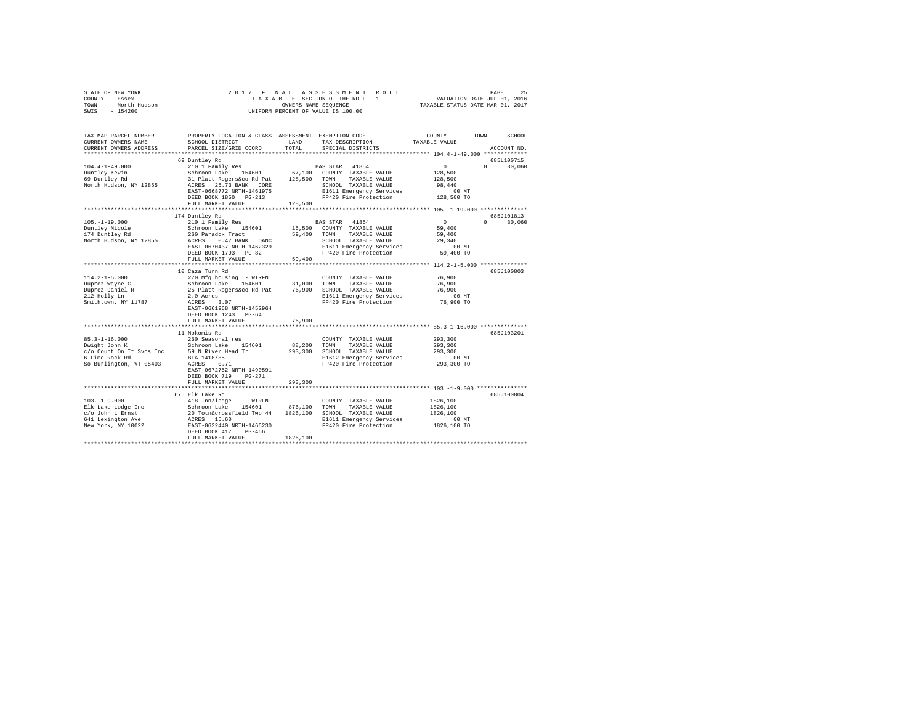| TOWN<br>- North Hudson<br>SWIS<br>$-154200$ |                                                                                  | OWNERS NAME SEQUENCE<br>UNIFORM PERCENT OF VALUE IS 100.00 | TAXABLE STATUS DATE-MAR 01, 2017                                                                |                                                    |                                 |
|---------------------------------------------|----------------------------------------------------------------------------------|------------------------------------------------------------|-------------------------------------------------------------------------------------------------|----------------------------------------------------|---------------------------------|
|                                             |                                                                                  |                                                            |                                                                                                 |                                                    |                                 |
| TAX MAP PARCEL NUMBER                       |                                                                                  |                                                            | PROPERTY LOCATION & CLASS ASSESSMENT EXEMPTION CODE---------------COUNTY-------TOWN------SCHOOL |                                                    |                                 |
| CURRENT OWNERS NAME                         | SCHOOL DISTRICT                                                                  | LAND                                                       | TAX DESCRIPTION                                                                                 | TAXABLE VALUE                                      |                                 |
| CURRENT OWNERS ADDRESS                      | PARCEL SIZE/GRID COORD                                                           | TOTAL                                                      | SPECIAL DISTRICTS                                                                               |                                                    | ACCOUNT NO.                     |
|                                             |                                                                                  |                                                            |                                                                                                 |                                                    |                                 |
|                                             | 69 Duntley Rd                                                                    |                                                            |                                                                                                 |                                                    | 685L100715                      |
| $104.4 - 1 - 49.000$                        | 210 1 Family Res                                                                 |                                                            | BAS STAR 41854                                                                                  | $\Omega$                                           | $\Omega$ and $\Omega$<br>30,060 |
| Duntley Kevin<br>69 Duntley Rd              | Schroon Lake 154601                                                              |                                                            | 67,100 COUNTY TAXABLE VALUE                                                                     | 128,500                                            |                                 |
|                                             | 31 Platt Rogers&co Rd Pat                                                        | 128,500 TOWN                                               | TAXABLE VALUE                                                                                   | 128,500                                            |                                 |
| North Hudson, NY 12855                      | ACRES 25.73 BANK CORE                                                            |                                                            | SCHOOL TAXABLE VALUE                                                                            | 98,440                                             |                                 |
|                                             | EAST-0668772 NRTH-1461975                                                        |                                                            | E1611 Emergency Services                                                                        | $.00$ MT<br>128,500 TO                             |                                 |
|                                             | DEED BOOK 1850 PG-213<br>FULL MARKET VALUE                                       | 128,500                                                    | FP420 Fire Protection                                                                           |                                                    |                                 |
|                                             |                                                                                  | ******************                                         |                                                                                                 | ********************* 105.-1-19.000 ************** |                                 |
|                                             | 174 Duntley Rd                                                                   |                                                            |                                                                                                 |                                                    | 685J101813                      |
| $105. - 1 - 19.000$                         | 210 1 Family Res                                                                 |                                                            | BAS STAR 41854                                                                                  | $\Omega$                                           | $\Omega$ and $\Omega$<br>30,060 |
| Duntley Nicole                              | Schroon Lake 154601                                                              |                                                            | 15,500 COUNTY TAXABLE VALUE                                                                     | 59,400                                             |                                 |
| 174 Duntley Rd                              | 260 Paradox Tract                                                                | 59,400                                                     | TOWN TAXABLE VALUE                                                                              | 59,400                                             |                                 |
| North Hudson, NY 12855                      | ACRES 0.47 BANK LOANC                                                            |                                                            | SCHOOL TAXABLE VALUE                                                                            | 29,340                                             |                                 |
|                                             | EAST-0670437 NRTH-1462329                                                        |                                                            | E1611 Emergency Services                                                                        | $.00$ MT                                           |                                 |
|                                             | DEED BOOK 1793 PG-82                                                             |                                                            | FP420 Fire Protection                                                                           | 59,400 TO                                          |                                 |
|                                             | FULL MARKET VALUE                                                                | 59,400                                                     |                                                                                                 |                                                    |                                 |
|                                             | ******************************                                                   |                                                            |                                                                                                 |                                                    |                                 |
|                                             | 10 Caza Turn Rd                                                                  |                                                            |                                                                                                 |                                                    | 685J100803                      |
| $114.2 - 1 - 5.000$                         | 270 Mfg housing - WTRFNT                                                         |                                                            | COUNTY TAXABLE VALUE                                                                            | 76,900                                             |                                 |
| Duprez Wayne C                              | Schroon Lake 154601 31,000                                                       |                                                            | TOWN<br>TAXABLE VALUE                                                                           | 76,900                                             |                                 |
| Duprez Daniel R<br>212 Holly Ln             | 25 Platt Rogers&co Rd Pat 76,900 SCHOOL TAXABLE VALUE                            |                                                            |                                                                                                 | 76,900                                             |                                 |
|                                             | 2.0 Acres                                                                        |                                                            | E1611 Emergency Services                                                                        | $.00$ MT                                           |                                 |
| Smithtown, NY 11787                         | ACRES<br>3.07                                                                    |                                                            | FP420 Fire Protection                                                                           | 76,900 TO                                          |                                 |
|                                             | EAST-0661968 NRTH-1452964                                                        |                                                            |                                                                                                 |                                                    |                                 |
|                                             | DEED BOOK 1243 PG-64                                                             |                                                            |                                                                                                 |                                                    |                                 |
|                                             | FULL MARKET VALUE                                                                | 76,900                                                     |                                                                                                 |                                                    |                                 |
|                                             | ************************                                                         |                                                            |                                                                                                 |                                                    |                                 |
|                                             | 11 Nokomis Rd                                                                    |                                                            |                                                                                                 |                                                    | 685J103201                      |
| 85.3-1-16.000<br>Dwight John K              | 260 Seasonal res                                                                 |                                                            | COUNTY TAXABLE VALUE                                                                            | 293,300                                            |                                 |
|                                             | Schroon Lake 154601                                                              | 88,200                                                     | TOWN<br>TAXABLE VALUE                                                                           | 293,300                                            |                                 |
| c/o Count On It Svcs Inc                    | 59 N River Head Tr                                                               | 293,300                                                    | SCHOOL TAXABLE VALUE                                                                            | 293,300                                            |                                 |
| 6 Lime Rock Rd                              | BLA 1418/85<br>ACRES 0.71                                                        |                                                            | E1612 Emergency Services                                                                        | $.00$ MT                                           |                                 |
| So Burlington, VT 05403                     |                                                                                  |                                                            | FP420 Fire Protection                                                                           | 293,300 TO                                         |                                 |
|                                             | EAST-0672752 NRTH-1490591                                                        |                                                            |                                                                                                 |                                                    |                                 |
|                                             | DEED BOOK 719 PG-271<br>FULL MARKET VALUE                                        | 293,300                                                    |                                                                                                 |                                                    |                                 |
|                                             |                                                                                  |                                                            |                                                                                                 | ************ 103.-1-9.000 ***************          |                                 |
|                                             | 675 Elk Lake Rd                                                                  |                                                            |                                                                                                 |                                                    | 685J100804                      |
| $103. -1 - 9.000$                           | 418 Inn/lodge - WTRFNT                                                           |                                                            | COUNTY TAXABLE VALUE                                                                            | 1826,100                                           |                                 |
| Elk Lake Lodge Inc                          |                                                                                  |                                                            | TOWN<br>TAXABLE VALUE                                                                           | 1826,100                                           |                                 |
| c/o John L Ernst                            | Schroon Lake 154601 876,100<br>20 Totn&crossfield Twp 44 1826,100<br>ACRES 15.60 |                                                            | SCHOOL TAXABLE VALUE                                                                            | 1826,100                                           |                                 |
| 641 Lexington Ave                           |                                                                                  |                                                            | E1611 Emergency Services                                                                        | $.00$ MT                                           |                                 |
| New York, NY 10022                          | EAST-0632440 NRTH-1466230                                                        |                                                            | FP420 Fire Protection                                                                           | 1826,100 TO                                        |                                 |
|                                             | DEED BOOK 417 PG-466                                                             |                                                            |                                                                                                 |                                                    |                                 |
|                                             | FULL MARKET VALUE                                                                | 1826,100                                                   |                                                                                                 |                                                    |                                 |
|                                             |                                                                                  |                                                            |                                                                                                 |                                                    |                                 |

STATE OF NEW YORK 2 0 1 7 F I N A L A S S E S S M E N T R O L L PAGE 25 COUNTY - Essex T A X A B L E SECTION OF THE ROLL - 1 VALUATION DATE-JUL 01, 2016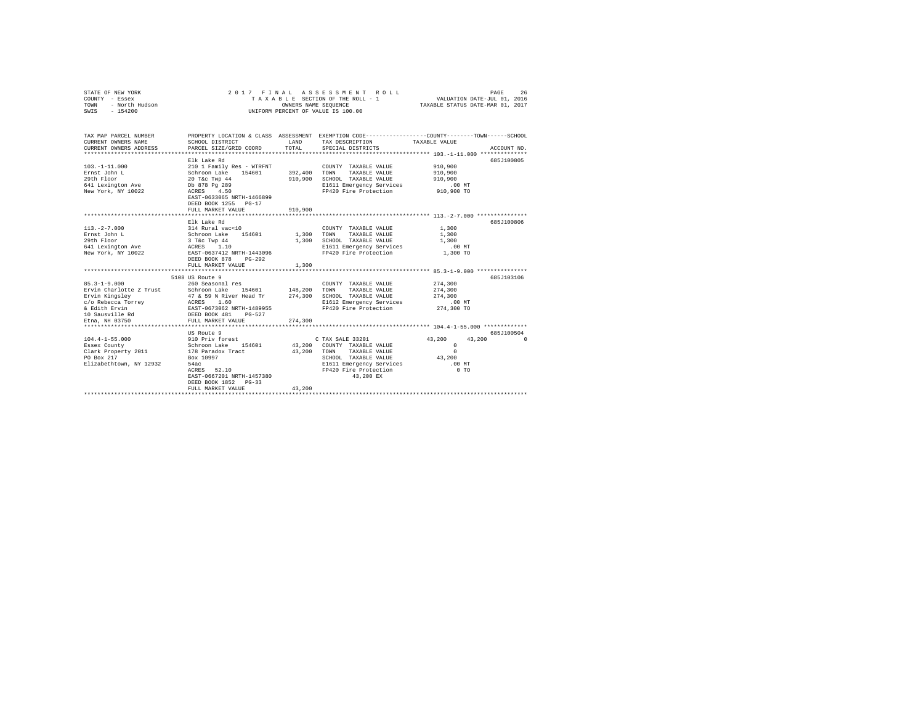| STATE OF NEW YORK<br>COUNTY - Essex<br>- North Hudson<br>TOWN<br>SWIS<br>$-154200$                                        |                                                                                                                                                                          | OWNERS NAME SEQUENCE | 2017 FINAL ASSESSMENT ROLL<br>TAXABLE SECTION OF THE ROLL - 1<br>UNIFORM PERCENT OF VALUE IS 100.00                                                         | VALUATION DATE-JUL 01, 2016<br>TAXABLE STATUS DATE-MAR 01, 2017          | PAGE<br>26                        |
|---------------------------------------------------------------------------------------------------------------------------|--------------------------------------------------------------------------------------------------------------------------------------------------------------------------|----------------------|-------------------------------------------------------------------------------------------------------------------------------------------------------------|--------------------------------------------------------------------------|-----------------------------------|
| TAX MAP PARCEL NUMBER<br>CURRENT OWNERS NAME<br>CURRENT OWNERS ADDRESS                                                    | SCHOOL DISTRICT<br>PARCEL SIZE/GRID COORD                                                                                                                                | LAND<br>TOTAL        | PROPERTY LOCATION & CLASS ASSESSMENT EXEMPTION CODE---------------COUNTY-------TOWN-----SCHOOL<br>TAX DESCRIPTION<br>SPECIAL DISTRICTS                      | TAXABLE VALUE<br>********************* 103.-1-11.000 **************      | ACCOUNT NO.                       |
| $103. -1 - 11.000$<br>Ernst John L<br>29th Floor<br>641 Lexington Ave<br>New York, NY 10022                               | Elk Lake Rd<br>210 1 Family Res - WTRFNT<br>Schroon Lake 154601<br>$20$ T&c Twp $44$<br>Db 878 Pg 289<br>ACRES 4.50<br>EAST-0633065 NRTH-1466899<br>DEED BOOK 1255 PG-17 | 392,400<br>910,900   | COUNTY TAXABLE VALUE<br>TAXABLE VALUE<br>TOWN<br>SCHOOL TAXABLE VALUE<br>E1611 Emergency Services<br>FP420 Fire Protection                                  | 910,900<br>910,900<br>910,900<br>$.00$ MT<br>910,900 TO                  | 685J100805                        |
|                                                                                                                           | FULL MARKET VALUE<br>.                                                                                                                                                   | 910,900              | *************************** 113.-2-7.000 ***************                                                                                                    |                                                                          |                                   |
| $113. -2 - 7.000$<br>Ernst John L<br>29th Floor<br>641 Lexington Ave<br>New York, NY 10022                                | Elk Lake Rd<br>314 Rural vac<10<br>Schroon Lake 154601<br>3 T&C Twp 44<br>ACRES 1.10<br>EAST-0637412 NRTH-1443096<br>DEED BOOK 878 PG-292                                | 1,300<br>1,300       | COUNTY TAXABLE VALUE<br>TOWN<br>TAXABLE VALUE<br>SCHOOL TAXABLE VALUE<br>E1611 Emergency Services<br>FP420 Fire Protection                                  | 1,300<br>1,300<br>1,300<br>$.00$ MT<br>1,300 TO                          | 685.7100806                       |
|                                                                                                                           | FULL MARKET VALUE                                                                                                                                                        | 1,300                |                                                                                                                                                             |                                                                          |                                   |
| $85.3 - 1 - 9.000$<br>Ervin Charlotte Z Trust<br>Ervin Kingsley<br>c/o Rebecca Torrey<br>& Edith Ervin<br>10 Sausville Rd | 5108 US Route 9<br>260 Seasonal res<br>Schroon Lake 154601<br>47 & 59 N River Head Tr<br>ACRES 1.60<br>EAST-0673062 NRTH-1489955<br>DEED BOOK 481<br>$PG-527$            | 148,200<br>274,300   | COUNTY TAXABLE VALUE<br>TOWN<br>TAXABLE VALUE<br>SCHOOL TAXABLE VALUE<br>E1612 Emergency Services<br>FP420 Fire Protection                                  | 274,300<br>274,300<br>274,300<br>.00 MT<br>274,300 TO                    | 685J103106                        |
| Etna, NH 03750                                                                                                            | FULL MARKET VALUE                                                                                                                                                        | 274,300              |                                                                                                                                                             |                                                                          |                                   |
|                                                                                                                           |                                                                                                                                                                          |                      |                                                                                                                                                             |                                                                          |                                   |
| $104.4 - 1 - 55.000$<br>Essex County<br>Clark Property 2011<br>PO Box 217<br>Elizabethtown, NY 12932                      | US Route 9<br>910 Priv forest<br>Schroon Lake 154601<br>178 Paradox Tract<br>Box 10997<br>54ac<br>ACRES 52.10<br>EAST-0667201 NRTH-1457380<br>DEED BOOK 1852 PG-33       | 43,200<br>43,200     | C TAX SALE 33201<br>COUNTY TAXABLE VALUE<br>TOWN<br>TAXABLE VALUE<br>SCHOOL TAXABLE VALUE<br>E1611 Emergency Services<br>FP420 Fire Protection<br>43,200 EX | 43,200<br>$^{\circ}$<br>$\Omega$<br>43,200<br>$.00$ MT<br>0 <sub>T</sub> | 685.7100504<br>43,200<br>$\Omega$ |
|                                                                                                                           | FULL MARKET VALUE                                                                                                                                                        | 43,200               |                                                                                                                                                             |                                                                          |                                   |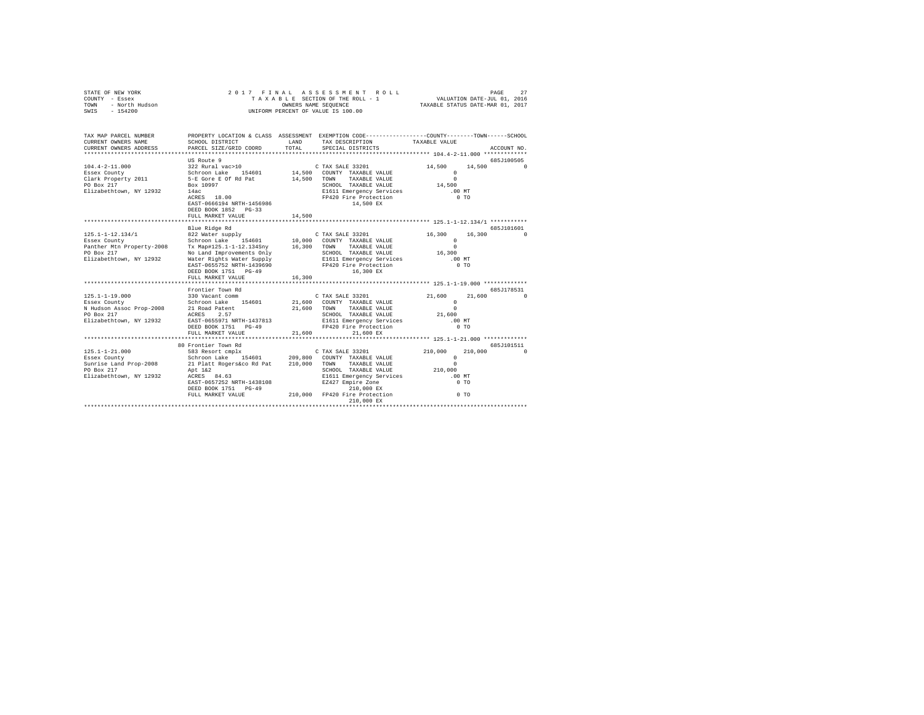| STATE OF NEW YORK<br>COUNTY - Essex<br>TOWN - North Hudson<br>SWIS - 154200 |                                                                                                                                                                                                                                                                                                                                                                                     |        | 2017 FINAL ASSESSMENT ROLL<br>PAGE 27<br>TAXABLE SECTION OF THE ROLL - 1 VALUATION DATE-JUL 01, 2016<br>OWNERS NAME SEQUENCE<br>UNIFORM PERCENT OF VALUE IS 100.00 | TAXABLE STATUS DATE-MAR 01, 2017 | PAGE<br>27          |
|-----------------------------------------------------------------------------|-------------------------------------------------------------------------------------------------------------------------------------------------------------------------------------------------------------------------------------------------------------------------------------------------------------------------------------------------------------------------------------|--------|--------------------------------------------------------------------------------------------------------------------------------------------------------------------|----------------------------------|---------------------|
| TAX MAP PARCEL NUMBER                                                       |                                                                                                                                                                                                                                                                                                                                                                                     |        | PROPERTY LOCATION & CLASS ASSESSMENT EXEMPTION CODE---------------COUNTY-------TOWN------SCHOOL                                                                    |                                  |                     |
| CURRENT OWNERS NAME<br>CURRENT OWNERS ADDRESS                               | SCHOOL DISTRICT<br>PARCEL SIZE/GRID COORD                                                                                                                                                                                                                                                                                                                                           | TOTAL  | LAND TAX DESCRIPTION TAXABLE VALUE<br>SPECIAL DISTRICTS                                                                                                            |                                  | ACCOUNT NO.         |
|                                                                             |                                                                                                                                                                                                                                                                                                                                                                                     |        |                                                                                                                                                                    |                                  |                     |
|                                                                             | US Route 9                                                                                                                                                                                                                                                                                                                                                                          |        |                                                                                                                                                                    |                                  | 685J100505          |
|                                                                             | $\texttt{104.4-2-11.000} \begin{array}{c} 0.95 \text{ N} \texttt{0.50} \\ 0.22 \text{ R} \texttt{1.4} \\ \texttt{10.60} \texttt{14.500} \end{array} \quad \begin{array}{c} 0.74 \text{N} \text{ S} \texttt{1.81} \\ 0.74 \text{N} \text{ S} \\ 0.74 \text{N} \text{ S} \\ 0.74 \text{N} \text{ S} \\ 0.74 \text{N} \text{ S} \\ 0.74 \text{N} \text{ S} \\ 0.74 \text{N} \text{ S}$ |        |                                                                                                                                                                    | 14.500 14.500 0                  |                     |
|                                                                             |                                                                                                                                                                                                                                                                                                                                                                                     |        |                                                                                                                                                                    | $\sim$ 0                         |                     |
|                                                                             |                                                                                                                                                                                                                                                                                                                                                                                     |        |                                                                                                                                                                    | $\Omega$                         |                     |
| PO Box 217                                                                  |                                                                                                                                                                                                                                                                                                                                                                                     |        |                                                                                                                                                                    |                                  |                     |
| Elizabethtown, NY 12932 14ac                                                |                                                                                                                                                                                                                                                                                                                                                                                     |        |                                                                                                                                                                    | $.00$ MT                         |                     |
|                                                                             |                                                                                                                                                                                                                                                                                                                                                                                     |        |                                                                                                                                                                    | $0$ TO                           |                     |
|                                                                             | EAST-0666194 NRTH-1456986                                                                                                                                                                                                                                                                                                                                                           |        | 14,500 EX                                                                                                                                                          |                                  |                     |
|                                                                             | DEED BOOK 1852 PG-33<br>FULL MARKET VALUE                                                                                                                                                                                                                                                                                                                                           | 14,500 |                                                                                                                                                                    |                                  |                     |
|                                                                             |                                                                                                                                                                                                                                                                                                                                                                                     |        |                                                                                                                                                                    |                                  |                     |
|                                                                             | Blue Ridge Rd                                                                                                                                                                                                                                                                                                                                                                       |        |                                                                                                                                                                    |                                  | 685J101601          |
|                                                                             |                                                                                                                                                                                                                                                                                                                                                                                     |        |                                                                                                                                                                    |                                  | 16.300 0            |
|                                                                             |                                                                                                                                                                                                                                                                                                                                                                                     |        |                                                                                                                                                                    |                                  |                     |
|                                                                             |                                                                                                                                                                                                                                                                                                                                                                                     |        |                                                                                                                                                                    |                                  |                     |
|                                                                             |                                                                                                                                                                                                                                                                                                                                                                                     |        |                                                                                                                                                                    |                                  |                     |
|                                                                             |                                                                                                                                                                                                                                                                                                                                                                                     |        |                                                                                                                                                                    |                                  |                     |
|                                                                             |                                                                                                                                                                                                                                                                                                                                                                                     |        |                                                                                                                                                                    |                                  |                     |
|                                                                             | DEED BOOK 1751 PG-49                                                                                                                                                                                                                                                                                                                                                                |        | 16,300 EX                                                                                                                                                          |                                  |                     |
|                                                                             | FULL MARKET VALUE                                                                                                                                                                                                                                                                                                                                                                   | 16,300 |                                                                                                                                                                    |                                  |                     |
|                                                                             |                                                                                                                                                                                                                                                                                                                                                                                     |        |                                                                                                                                                                    |                                  | 685J178531          |
|                                                                             |                                                                                                                                                                                                                                                                                                                                                                                     |        |                                                                                                                                                                    |                                  | 21.600 0            |
|                                                                             |                                                                                                                                                                                                                                                                                                                                                                                     |        |                                                                                                                                                                    |                                  |                     |
|                                                                             |                                                                                                                                                                                                                                                                                                                                                                                     |        |                                                                                                                                                                    |                                  |                     |
|                                                                             |                                                                                                                                                                                                                                                                                                                                                                                     |        |                                                                                                                                                                    |                                  |                     |
|                                                                             |                                                                                                                                                                                                                                                                                                                                                                                     |        |                                                                                                                                                                    |                                  |                     |
|                                                                             |                                                                                                                                                                                                                                                                                                                                                                                     |        |                                                                                                                                                                    |                                  |                     |
|                                                                             | FULL MARKET VALUE                                                                                                                                                                                                                                                                                                                                                                   | 21,600 | 21,600 EX                                                                                                                                                          |                                  |                     |
|                                                                             |                                                                                                                                                                                                                                                                                                                                                                                     |        |                                                                                                                                                                    |                                  |                     |
|                                                                             | 80 Frontier Town Rd                                                                                                                                                                                                                                                                                                                                                                 |        |                                                                                                                                                                    |                                  | 685J101511          |
| $125.1 - 1 - 21.000$                                                        |                                                                                                                                                                                                                                                                                                                                                                                     |        |                                                                                                                                                                    | 210,000<br>$\Omega$              | 210,000<br>$\Omega$ |
| Essex County                                                                |                                                                                                                                                                                                                                                                                                                                                                                     |        |                                                                                                                                                                    | $\Omega$                         |                     |
|                                                                             | Sunrise Land Prop-2008 21 Platt Rogers 200 MM 2000 TOWN TAXABLE VALUE<br>PO Box 217 210,000 TOWN TAXABLE VALUE<br>Elizabethrown, NY 12932 ACRES 84.63 2000 ECHOL TAXABLE VALUE                                                                                                                                                                                                      |        |                                                                                                                                                                    | 210,000                          |                     |
|                                                                             |                                                                                                                                                                                                                                                                                                                                                                                     |        | SCHOOL TAXABLE VALUE<br>E1611 Emergency Services<br>EZ427 Empire Zone                                                                                              | $.00$ MT                         |                     |
|                                                                             | EAST-0657252 NRTH-1438108                                                                                                                                                                                                                                                                                                                                                           |        |                                                                                                                                                                    | $0$ TO                           |                     |
|                                                                             |                                                                                                                                                                                                                                                                                                                                                                                     |        |                                                                                                                                                                    |                                  |                     |
|                                                                             | DEED BOOK 1751   PG-49   210,000   PDED BOOK 1751   PG-49   210,000   PP420   Pire Protection                                                                                                                                                                                                                                                                                       |        |                                                                                                                                                                    | $0$ TO                           |                     |
|                                                                             |                                                                                                                                                                                                                                                                                                                                                                                     |        | 210,000 EX                                                                                                                                                         |                                  |                     |
|                                                                             |                                                                                                                                                                                                                                                                                                                                                                                     |        |                                                                                                                                                                    |                                  |                     |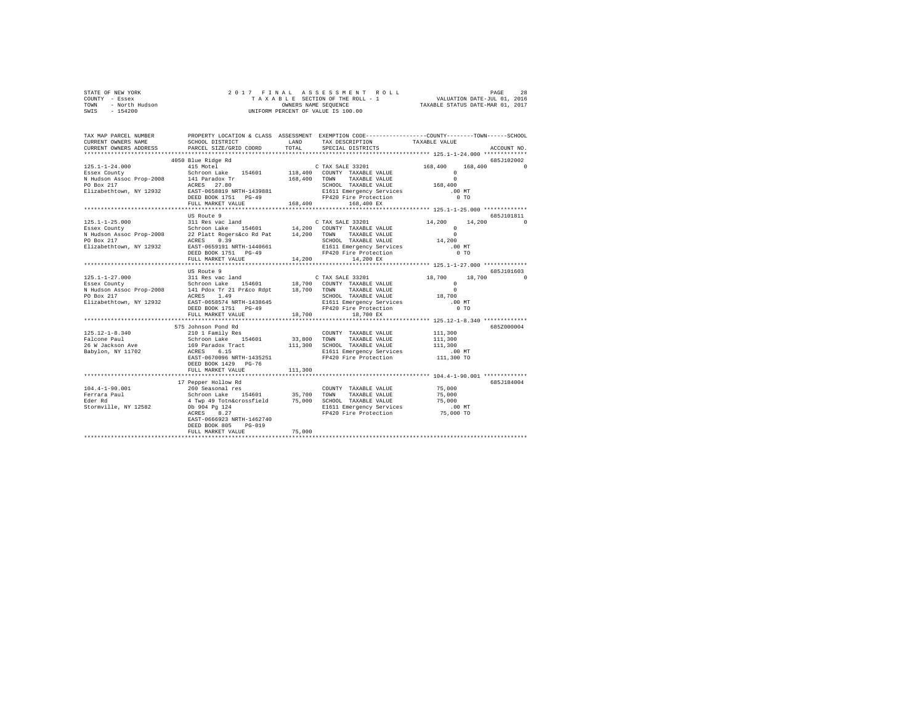| STATE OF NEW YORK |                |  |  |                      |                                    | 2017 FINAL ASSESSMENT ROLL |                                  | PAGE                        | 28 |
|-------------------|----------------|--|--|----------------------|------------------------------------|----------------------------|----------------------------------|-----------------------------|----|
| COUNTY - Essex    |                |  |  |                      | TAXABLE SECTION OF THE ROLL - 1    |                            |                                  | VALUATION DATE-JUL 01, 2016 |    |
| TOWN              | - North Hudson |  |  | OWNERS NAME SEOUENCE |                                    |                            | TAXABLE STATUS DATE-MAR 01, 2017 |                             |    |
| SWIS<br>$-154200$ |                |  |  |                      | UNIFORM PERCENT OF VALUE IS 100.00 |                            |                                  |                             |    |

| TAX MAP PARCEL NUMBER<br>CURRENT OWNERS NAME | SCHOOL DISTRICT                                                                                                                                                                                                                                           | LAND<br>TOTAL | PROPERTY LOCATION & CLASS ASSESSMENT EXEMPTION CODE---------------COUNTY-------TOWN-----SCHOOL<br>TAX DESCRIPTION | TAXABLE VALUE                                               |                      |
|----------------------------------------------|-----------------------------------------------------------------------------------------------------------------------------------------------------------------------------------------------------------------------------------------------------------|---------------|-------------------------------------------------------------------------------------------------------------------|-------------------------------------------------------------|----------------------|
| CURRENT OWNERS ADDRESS                       | PARCEL SIZE/GRID COORD                                                                                                                                                                                                                                    |               | SPECIAL DISTRICTS                                                                                                 |                                                             | ACCOUNT NO.          |
|                                              |                                                                                                                                                                                                                                                           |               |                                                                                                                   |                                                             | 685J102002           |
|                                              |                                                                                                                                                                                                                                                           |               |                                                                                                                   | 168,400 168,400 0                                           |                      |
|                                              |                                                                                                                                                                                                                                                           |               |                                                                                                                   | $^{\circ}$                                                  |                      |
|                                              |                                                                                                                                                                                                                                                           |               |                                                                                                                   | $\Omega$                                                    |                      |
|                                              |                                                                                                                                                                                                                                                           |               | SCHOOL TAXABLE VALUE $168,400$                                                                                    |                                                             |                      |
|                                              |                                                                                                                                                                                                                                                           |               |                                                                                                                   | .00 MT                                                      |                      |
|                                              | DEED BOOK 1751 PG-49                                                                                                                                                                                                                                      |               | SCHOOL TAAABLE VALUE<br>El611 Emergency Services<br>PP420 Fire Protection<br>--                                   | $0$ TO                                                      |                      |
|                                              | FULL MARKET VALUE                                                                                                                                                                                                                                         | 168,400       |                                                                                                                   |                                                             |                      |
|                                              |                                                                                                                                                                                                                                                           |               |                                                                                                                   |                                                             |                      |
|                                              | US Route 9<br>125.1-1-25.000<br>Essex County Computer School School School School (2008)<br>Essex County TAXABLE VALUE<br>22 Platt Rogers&co Rd Pat 14,200 TOWN TAXABLE VALUE<br>Plack 217<br>Plack 217<br>Plack 217<br>SCHOOL TAXABLE VALUE<br>Plack 217 |               |                                                                                                                   |                                                             | 685J101811           |
|                                              |                                                                                                                                                                                                                                                           |               |                                                                                                                   | 14,200<br>14,200                                            |                      |
|                                              |                                                                                                                                                                                                                                                           |               |                                                                                                                   | $\Omega$                                                    |                      |
|                                              |                                                                                                                                                                                                                                                           |               | SCHOOL TAXABLE VALUE                                                                                              | $\begin{smallmatrix}&&&0\\&&14\end{smallmatrix}$            |                      |
|                                              |                                                                                                                                                                                                                                                           |               |                                                                                                                   |                                                             |                      |
| Elizabethtown, NY 12932                      |                                                                                                                                                                                                                                                           |               |                                                                                                                   | .00 MT<br>$0$ TO                                            |                      |
|                                              | FULL MARKET VALUE                                                                                                                                                                                                                                         |               | 14,200 14,200 EX                                                                                                  |                                                             |                      |
|                                              |                                                                                                                                                                                                                                                           |               |                                                                                                                   | ****************************** 125.1-1-27.000 ************* |                      |
|                                              | US Route 9                                                                                                                                                                                                                                                |               |                                                                                                                   |                                                             | 685J101603           |
| $125.1 - 1 - 27.000$                         |                                                                                                                                                                                                                                                           |               |                                                                                                                   | 18,700                                                      | 18,700<br>$^{\circ}$ |
|                                              |                                                                                                                                                                                                                                                           |               |                                                                                                                   | $\Omega$                                                    |                      |
|                                              |                                                                                                                                                                                                                                                           |               |                                                                                                                   |                                                             |                      |
|                                              |                                                                                                                                                                                                                                                           |               |                                                                                                                   | $\begin{smallmatrix}&&0\\&&18\\18&700\end{smallmatrix}$     |                      |
|                                              |                                                                                                                                                                                                                                                           |               |                                                                                                                   |                                                             |                      |
|                                              |                                                                                                                                                                                                                                                           |               |                                                                                                                   |                                                             |                      |
|                                              | FULL MARKET VALUE                                                                                                                                                                                                                                         | 18,700        | 18,700 EX                                                                                                         |                                                             |                      |
|                                              |                                                                                                                                                                                                                                                           |               |                                                                                                                   |                                                             |                      |
|                                              | 575 Johnson Pond Rd                                                                                                                                                                                                                                       |               |                                                                                                                   |                                                             | 685Z000004           |
|                                              |                                                                                                                                                                                                                                                           |               |                                                                                                                   |                                                             |                      |
|                                              |                                                                                                                                                                                                                                                           |               |                                                                                                                   |                                                             |                      |
|                                              |                                                                                                                                                                                                                                                           |               |                                                                                                                   |                                                             |                      |
|                                              | 125.12-1-8.340<br>Family Res (11,300 TOUNTY TAXABLE VALUE 111,300<br>Family Res (11,300 TOWN TAXABLE VALUE 111,300<br>26 WI School Ress (11,300 SCHOOL TAXABLE VALUE 111,300<br>Babylon, NY 11702 ACRES (15)<br>Rahylon, NY 11702 ACRES                   |               |                                                                                                                   | 00 MT.<br>111,300 TO                                        |                      |
|                                              | EAST-0670096 NRTH-1435251                                                                                                                                                                                                                                 |               | FP420 Fire Protection                                                                                             |                                                             |                      |
|                                              | DEED BOOK 1429 PG-76                                                                                                                                                                                                                                      |               |                                                                                                                   |                                                             |                      |
|                                              | FULL MARKET VALUE<br>************************                                                                                                                                                                                                             | 111,300       |                                                                                                                   | *************** 104.4-1-90.001 *************                |                      |
|                                              | 17 Pepper Hollow Rd                                                                                                                                                                                                                                       |               |                                                                                                                   |                                                             | 685J184004           |
| $104.4 - 1 - 90.001$                         |                                                                                                                                                                                                                                                           |               |                                                                                                                   |                                                             |                      |
| Ferrara Paul                                 |                                                                                                                                                                                                                                                           |               |                                                                                                                   |                                                             |                      |
| Eder Rd                                      |                                                                                                                                                                                                                                                           |               |                                                                                                                   |                                                             |                      |
| Stormville, NY 12582                         |                                                                                                                                                                                                                                                           |               |                                                                                                                   |                                                             |                      |
|                                              |                                                                                                                                                                                                                                                           |               |                                                                                                                   |                                                             |                      |
|                                              | EAST-0666923 NRTH-1462740                                                                                                                                                                                                                                 |               |                                                                                                                   |                                                             |                      |
|                                              | DEED BOOK 805<br>$PG-019$                                                                                                                                                                                                                                 |               |                                                                                                                   |                                                             |                      |
|                                              | FULL MARKET VALUE                                                                                                                                                                                                                                         | 75,000        |                                                                                                                   |                                                             |                      |
|                                              |                                                                                                                                                                                                                                                           |               |                                                                                                                   |                                                             |                      |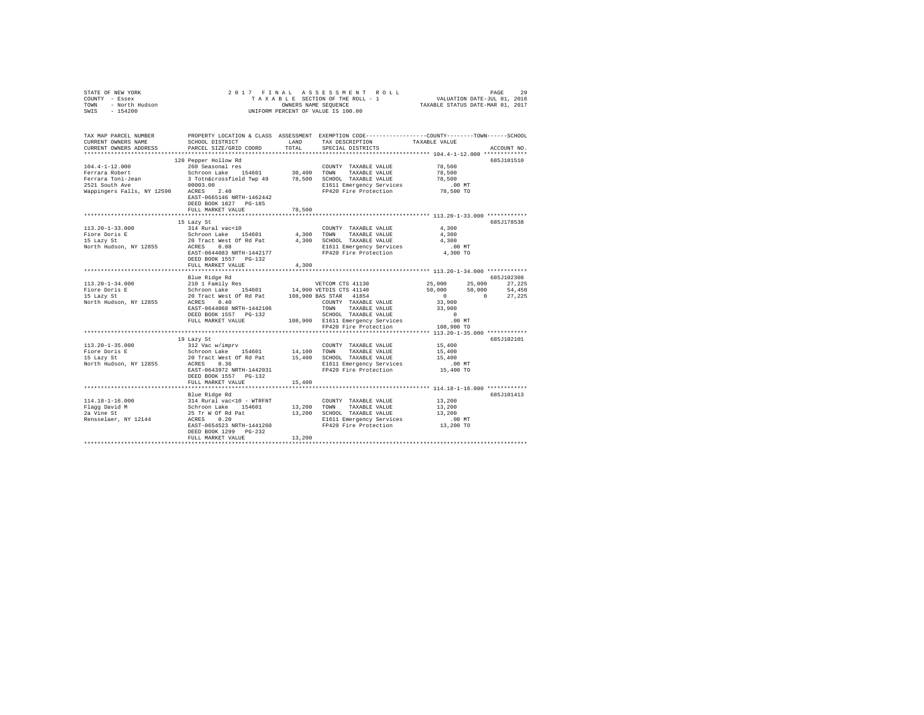| STATE OF NEW YORK $\begin{array}{cccc} \angle & \cup & \bot \\ \text{COUNT} & - \text{Ease} & \\ \text{TONN} & - \text{Moch} & \text{Hudson} \\ & & \wedge & \\ & & \wedge & \\ & & & \wedge & \\ \end{array}$                                                                                                                               |                                                    |        | 2017 FINAL ASSESSMENT ROLL<br>PAGE 29 PAGE 21 PAGE 22<br>TA X A B L E SECTION OF THE ROLL - 1 VALUATION DATE-JUL 01, 2016<br>ONNERS NAME SEQUENCE 4 TAXABLE STATUS DATE-MAR 01, 2017<br>UNIFORM PERCENT OF VALUE IS 100.00 |                      | PAGE<br>29  |
|----------------------------------------------------------------------------------------------------------------------------------------------------------------------------------------------------------------------------------------------------------------------------------------------------------------------------------------------|----------------------------------------------------|--------|----------------------------------------------------------------------------------------------------------------------------------------------------------------------------------------------------------------------------|----------------------|-------------|
| TAX MAP PARCEL NUMBER<br>CURRENT OWNERS NAME<br>CURRENT OWNERS ADDRESS                                                                                                                                                                                                                                                                       | PARCEL SIZE/GRID COORD                             | TOTAL  | PROPERTY LOCATION & CLASS ASSESSMENT EXEMPTION CODE----------------COUNTY-------TOWN------SCHOOL<br>SCHOOL DISTRICT                        LAND        TAX DESCRIPTION                  TAXABLE VALUE<br>SPECIAL DISTRICTS |                      | ACCOUNT NO. |
|                                                                                                                                                                                                                                                                                                                                              | 120 Pepper Hollow Rd                               |        |                                                                                                                                                                                                                            |                      | 685J101510  |
|                                                                                                                                                                                                                                                                                                                                              |                                                    |        |                                                                                                                                                                                                                            | 78,500               |             |
|                                                                                                                                                                                                                                                                                                                                              |                                                    |        |                                                                                                                                                                                                                            | 78,500               |             |
|                                                                                                                                                                                                                                                                                                                                              |                                                    |        |                                                                                                                                                                                                                            | 78,500               |             |
|                                                                                                                                                                                                                                                                                                                                              |                                                    |        |                                                                                                                                                                                                                            | 00 MT.<br>78,500 TO  |             |
|                                                                                                                                                                                                                                                                                                                                              | EAST-0665146 NRTH-1462442<br>DEED BOOK 1827 PG-185 |        |                                                                                                                                                                                                                            |                      |             |
|                                                                                                                                                                                                                                                                                                                                              | FULL MARKET VALUE                                  | 78,500 |                                                                                                                                                                                                                            |                      |             |
|                                                                                                                                                                                                                                                                                                                                              |                                                    |        |                                                                                                                                                                                                                            |                      | 685.T178538 |
| $113.20 - 1 - 33.000$                                                                                                                                                                                                                                                                                                                        | 15 Lazy St<br>314 Rural vac<10                     |        | COUNTY TAXABLE VALUE 4,300                                                                                                                                                                                                 |                      |             |
|                                                                                                                                                                                                                                                                                                                                              |                                                    |        |                                                                                                                                                                                                                            | 4,300                |             |
| Fiore Doris E<br>15 Lagy St 20 Tract West 0f Rd Pai = 4,300 TOWN TAXABLE VALUE<br>15 Lagy St 20 RTACK 200 ROLL RD SCHOOL TAXABLE VALUE<br>North Hudson, NY 12855 2CRES 0.08 2001                                                                                                                                                             |                                                    |        |                                                                                                                                                                                                                            | 4,300                |             |
|                                                                                                                                                                                                                                                                                                                                              |                                                    |        |                                                                                                                                                                                                                            |                      |             |
|                                                                                                                                                                                                                                                                                                                                              |                                                    |        |                                                                                                                                                                                                                            | 00 MT.<br>4,300 TO   |             |
|                                                                                                                                                                                                                                                                                                                                              | DEED BOOK 1557 PG-132                              |        |                                                                                                                                                                                                                            |                      |             |
|                                                                                                                                                                                                                                                                                                                                              | FULL MARKET VALUE                                  | 4,300  |                                                                                                                                                                                                                            |                      |             |
|                                                                                                                                                                                                                                                                                                                                              |                                                    |        |                                                                                                                                                                                                                            |                      |             |
|                                                                                                                                                                                                                                                                                                                                              | Blue Ridge Rd                                      |        |                                                                                                                                                                                                                            |                      | 685J102308  |
|                                                                                                                                                                                                                                                                                                                                              |                                                    |        |                                                                                                                                                                                                                            |                      |             |
|                                                                                                                                                                                                                                                                                                                                              |                                                    |        |                                                                                                                                                                                                                            |                      |             |
|                                                                                                                                                                                                                                                                                                                                              |                                                    |        |                                                                                                                                                                                                                            |                      |             |
|                                                                                                                                                                                                                                                                                                                                              |                                                    |        |                                                                                                                                                                                                                            |                      |             |
|                                                                                                                                                                                                                                                                                                                                              |                                                    |        |                                                                                                                                                                                                                            |                      |             |
|                                                                                                                                                                                                                                                                                                                                              |                                                    |        |                                                                                                                                                                                                                            |                      |             |
|                                                                                                                                                                                                                                                                                                                                              |                                                    |        |                                                                                                                                                                                                                            |                      |             |
|                                                                                                                                                                                                                                                                                                                                              | 19 Lazy St                                         |        |                                                                                                                                                                                                                            |                      | 685J102101  |
|                                                                                                                                                                                                                                                                                                                                              |                                                    |        |                                                                                                                                                                                                                            | 15,400               |             |
|                                                                                                                                                                                                                                                                                                                                              |                                                    |        |                                                                                                                                                                                                                            | 15,400               |             |
|                                                                                                                                                                                                                                                                                                                                              |                                                    |        |                                                                                                                                                                                                                            | 15,400               |             |
|                                                                                                                                                                                                                                                                                                                                              |                                                    |        |                                                                                                                                                                                                                            | .00 MT.<br>15,400 TO |             |
|                                                                                                                                                                                                                                                                                                                                              | EAST-0643972 NRTH-1442031                          |        | FP420 Fire Protection                                                                                                                                                                                                      |                      |             |
|                                                                                                                                                                                                                                                                                                                                              | DEED BOOK 1557 PG-132                              |        |                                                                                                                                                                                                                            |                      |             |
|                                                                                                                                                                                                                                                                                                                                              | FULL MARKET VALUE                                  | 15,400 |                                                                                                                                                                                                                            |                      |             |
|                                                                                                                                                                                                                                                                                                                                              | Blue Ridge Rd                                      |        |                                                                                                                                                                                                                            |                      | 685J101413  |
| $\begin{tabular}{lcccc} 114.18-1-16.000 & 314 Rural vac<10 - WTRENT & 13,200Flag David M & Schron LMR & 154601 & 13,200 TONNT Y TXABLE VALUE & 13,2002a Vine St & 15,2002a Vine St & 25 Tr W OF Rd Pat & 13,200 TONABLE VALUE & 13,200Resselaer, NY 12144 & ACRES & 0.20 & 13,200Resselaer, NY 12144 & ACRES & 0.200ESAST-0654523 NRTH-1441$ |                                                    |        |                                                                                                                                                                                                                            |                      |             |
|                                                                                                                                                                                                                                                                                                                                              |                                                    |        |                                                                                                                                                                                                                            |                      |             |
|                                                                                                                                                                                                                                                                                                                                              |                                                    |        |                                                                                                                                                                                                                            |                      |             |
|                                                                                                                                                                                                                                                                                                                                              |                                                    |        |                                                                                                                                                                                                                            |                      |             |
|                                                                                                                                                                                                                                                                                                                                              |                                                    |        |                                                                                                                                                                                                                            |                      |             |
|                                                                                                                                                                                                                                                                                                                                              | DEED BOOK 1299 PG-232<br>FULL MARKET VALUE         | 13,200 |                                                                                                                                                                                                                            |                      |             |
|                                                                                                                                                                                                                                                                                                                                              |                                                    |        |                                                                                                                                                                                                                            |                      |             |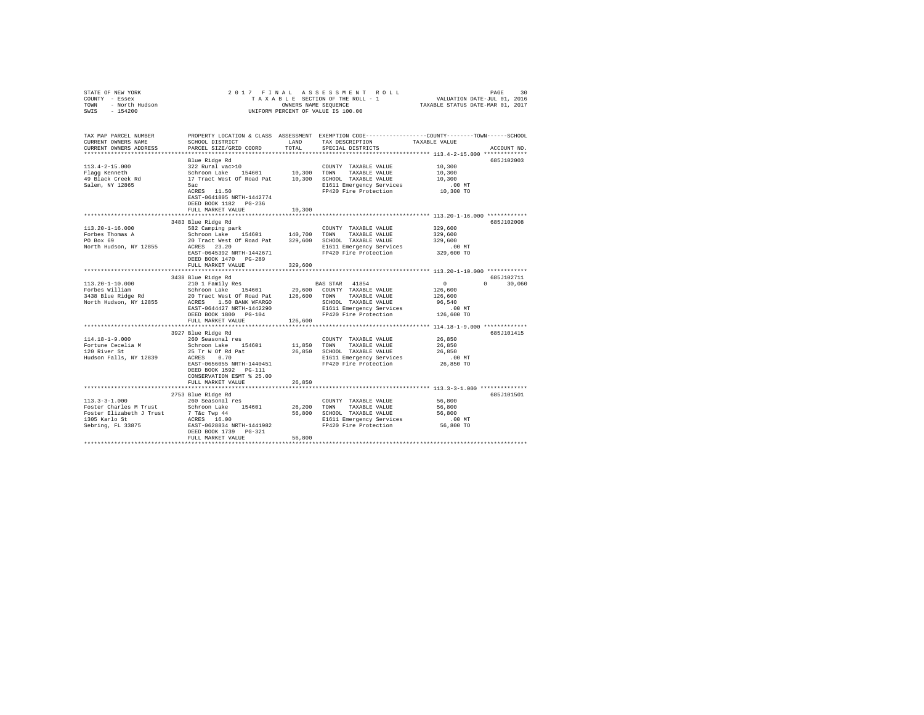| TAX MAP PARCEL NUMBER PROPERTY LOCATION & CLASS ASSESSMENT EXEMPTION CODE---------------COUNTY-------TOWN------SCHOOL<br>CURRENT OWNERS NAME SCHOOL DISTRICT LAND TAX DESCRIPTION TAXABLE VALUE<br>LAND TAX DESCRIPTION TAXABLE VALUE<br>CURRENT OWNERS ADDRESS PARCEL SIZE/GRID COORD<br>TOTAL<br>SPECIAL DISTRICTS<br>ACCOUNT NO.<br>Blue Ridge Rd<br>685J102003<br>10,300<br>10,300 |
|----------------------------------------------------------------------------------------------------------------------------------------------------------------------------------------------------------------------------------------------------------------------------------------------------------------------------------------------------------------------------------------|
|                                                                                                                                                                                                                                                                                                                                                                                        |
|                                                                                                                                                                                                                                                                                                                                                                                        |
|                                                                                                                                                                                                                                                                                                                                                                                        |
|                                                                                                                                                                                                                                                                                                                                                                                        |
| 10,300                                                                                                                                                                                                                                                                                                                                                                                 |
| 5ac<br>ACRES 11.50<br>00 MT.<br>10,300 TO                                                                                                                                                                                                                                                                                                                                              |
| FP420 Fire Protection                                                                                                                                                                                                                                                                                                                                                                  |
| EAST-0641805 NRTH-1442774                                                                                                                                                                                                                                                                                                                                                              |
| DEED BOOK 1182    PG-236                                                                                                                                                                                                                                                                                                                                                               |
| FULL MARKET VALUE<br>10,300                                                                                                                                                                                                                                                                                                                                                            |
| 3483 Blue Ridge Rd<br>685J102008                                                                                                                                                                                                                                                                                                                                                       |
| $113.20 - 1 - 16.000$<br>COUNTY TAXABLE VALUE 329,600                                                                                                                                                                                                                                                                                                                                  |
| 329,600                                                                                                                                                                                                                                                                                                                                                                                |
| Forbes Thomas A<br>PO Box 69<br>329,600                                                                                                                                                                                                                                                                                                                                                |
| 582 Camping park<br>Schroon Lake 154601 140,700 TOWN TAXABLE VALUE<br>20 Tract West of Road Pat 329,600 SCHOOL TAXABLE VALUE<br>20 Tract West of Road Pat 329,600 SCHOOL TAXABLE VALUE<br>21611 Emergency Services<br>21611 Emergency S<br>North Hudson, NY 12855 ACRES 23.20<br>00 MT.<br>329,600 TO                                                                                  |
|                                                                                                                                                                                                                                                                                                                                                                                        |
| DEED BOOK 1470 PG-289                                                                                                                                                                                                                                                                                                                                                                  |
| FULL MARKET VALUE 329,600                                                                                                                                                                                                                                                                                                                                                              |
|                                                                                                                                                                                                                                                                                                                                                                                        |
| 3438 Blue Ridge Rd<br>685J102711                                                                                                                                                                                                                                                                                                                                                       |
| $0 \t30,060$                                                                                                                                                                                                                                                                                                                                                                           |
|                                                                                                                                                                                                                                                                                                                                                                                        |
|                                                                                                                                                                                                                                                                                                                                                                                        |
|                                                                                                                                                                                                                                                                                                                                                                                        |
|                                                                                                                                                                                                                                                                                                                                                                                        |
|                                                                                                                                                                                                                                                                                                                                                                                        |
|                                                                                                                                                                                                                                                                                                                                                                                        |
| 3927 Blue Ridge Rd<br>685J101415                                                                                                                                                                                                                                                                                                                                                       |
| 260 Seasonal res<br>COUNTY TAXABLE VALUE 26,850<br>$114.18 - 1 - 9.000$                                                                                                                                                                                                                                                                                                                |
| 11,850 TOWN TAXABLE VALUE<br>Schroon Lake 154601<br>26,850<br>Fortune Cecelia M<br>120 River St                                                                                                                                                                                                                                                                                        |
|                                                                                                                                                                                                                                                                                                                                                                                        |
|                                                                                                                                                                                                                                                                                                                                                                                        |
| DEED BOOK 1592    PG-111                                                                                                                                                                                                                                                                                                                                                               |
| CONSERVATION ESMT % 25.00                                                                                                                                                                                                                                                                                                                                                              |
| 26,850<br>FULL MARKET VALUE                                                                                                                                                                                                                                                                                                                                                            |
|                                                                                                                                                                                                                                                                                                                                                                                        |
| 2753 Blue Ridge Rd<br>685J101501                                                                                                                                                                                                                                                                                                                                                       |
| $113.3 - 3 - 1.000$<br>260 Seasonal res<br>56,800                                                                                                                                                                                                                                                                                                                                      |
| 56,800                                                                                                                                                                                                                                                                                                                                                                                 |
| 56,800                                                                                                                                                                                                                                                                                                                                                                                 |
|                                                                                                                                                                                                                                                                                                                                                                                        |
|                                                                                                                                                                                                                                                                                                                                                                                        |
| DEED BOOK 1739 PG-321<br>56,800<br>FULL MARKET VALUE                                                                                                                                                                                                                                                                                                                                   |
|                                                                                                                                                                                                                                                                                                                                                                                        |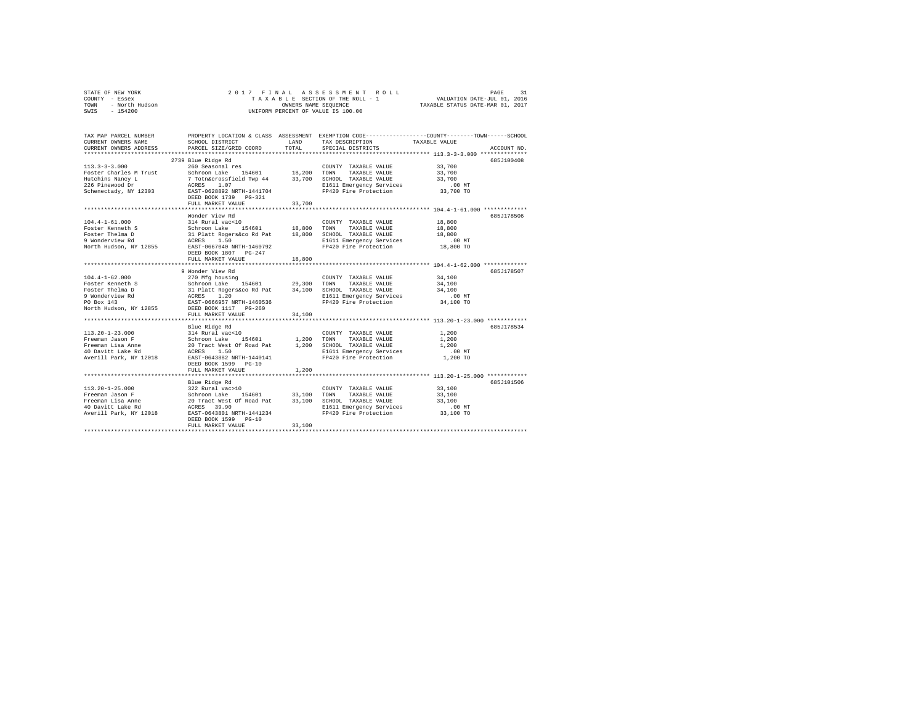|                | STATE OF NEW YORK |  |  |  |  | 2017 FINAL ASSESSMENT ROLL         | PAGE                             |  |
|----------------|-------------------|--|--|--|--|------------------------------------|----------------------------------|--|
| COUNTY - Essex |                   |  |  |  |  | TAXABLE SECTION OF THE ROLL - 1    | VALUATION DATE-JUL 01, 2016      |  |
| TOWN           | - North Hudson    |  |  |  |  | OWNERS NAME SEOUENCE               | TAXABLE STATUS DATE-MAR 01, 2017 |  |
| SWIS           | $-154200$         |  |  |  |  | UNIFORM PERCENT OF VALUE IS 100.00 |                                  |  |

| TAX MAP PARCEL NUMBER<br>CURRENT OWNERS NAME<br>CURRENT OWNERS ADDRESS<br>*************************                    | SCHOOL DISTRICT<br>PARCEL SIZE/GRID COORD                                                                                                                                                                                                          | <b>T.AND</b><br>TOTAL      | PROPERTY LOCATION & CLASS ASSESSMENT EXEMPTION CODE----------------COUNTY-------TOWN------SCHOOL<br>TAX DESCRIPTION<br>SPECIAL DISTRICTS                                             | TAXABLE VALUE                                                                               | ACCOUNT NO. |
|------------------------------------------------------------------------------------------------------------------------|----------------------------------------------------------------------------------------------------------------------------------------------------------------------------------------------------------------------------------------------------|----------------------------|--------------------------------------------------------------------------------------------------------------------------------------------------------------------------------------|---------------------------------------------------------------------------------------------|-------------|
| $113.3 - 3 - 3.000$<br>Foster Charles M Trust<br>Hutchins Nancy L<br>226 Pinewood Dr<br>Schenectady, NY 12303          | 2739 Blue Ridge Rd<br>260 Seasonal res<br>154601 18,200 TOWN<br>Schroon Lake<br>7 Totn&crossfield Twp 44 33,700 SCHOOL TAXABLE VALUE<br>1.07<br>ACRES<br>EAST-0628892 NRTH-1441704<br>DEED BOOK 1739<br>$PG-321$<br>FULL MARKET VALUE              | 33,700                     | COUNTY TAXABLE VALUE<br>TAXABLE VALUE<br>E1611 Emergency Services<br>FP420 Fire Protection                                                                                           | 33,700<br>33,700<br>33,700<br>$.00$ MT<br>33,700 TO                                         | 685J100408  |
| $104.4 - 1 - 61.000$<br>Foster Kenneth S<br>Foster Thelma D<br>9 Wonderview Rd<br>North Hudson, NY 12855               | Wonder View Rd<br>314 Rural vac<10<br>Schroon Lake 154601 18,800<br>31 Platt Rogers&co Rd Pat<br>ACRES<br>1.50<br>EAST-0667040 NRTH-1460792<br>DEED BOOK 1807 PG-247<br>FULL MARKET VALUE                                                          | 18,800                     | COUNTY TAXABLE VALUE<br>TOWN<br>TAXABLE VALUE<br>18,800 SCHOOL TAXABLE VALUE<br>E1611 Emergency Services<br>FP420 Fire Protection                                                    | 18,800<br>18,800<br>18,800<br>$.00$ MT<br>18,800 TO<br>*********** 104.4-1-62.000 ********* | 6857178506  |
| $104.4 - 1 - 62.000$<br>Foster Kenneth S<br>Foster Thelma D<br>9 Wonderview Rd<br>PO Box 143<br>North Hudson, NY 12855 | 9 Wonder View Rd<br>270 Mfg housing<br>Schroon Lake 154601<br>31 Platt Rogers&co Rd Pat 34,100 SCHOOL TAXABLE VALUE<br>ACRES 1.20 B1611 Emergency Services<br>EAST-0666957 NRTH-1460536<br>DEED BOOK 1117 PG-260                                   | 29,300                     | COUNTY TAXABLE VALUE<br>TOWN<br>TAXABLE VALUE<br>E1611 Emergency Services<br>FP420 Fire Protection                                                                                   | 34,100<br>34,100<br>34,100<br>$.00$ MT<br>34,100 TO                                         | 685J178507  |
| $113.20 - 1 - 23.000$<br>Freeman Jason F<br>Freeman Lisa Anne<br>40 Davitt Lake Rd<br>Averill Park, NY 12018           | FULL MARKET VALUE<br>Blue Ridge Rd<br>314 Rural vac<10<br>154601 1.200 TOWN<br>Schroon Lake<br>20 Tract West Of Road Pat<br>1.50<br>ACRES<br>EAST-0643882 NRTH-1440141<br>DEED BOOK 1599 PG-10<br>FULL MARKET VALUE<br>*************************** | 34,100<br>1,200<br>1,200   | COUNTY TAXABLE VALUE<br>TAXABLE VALUE<br>SCHOOL TAXABLE VALUE<br>E1611 Emergency Services<br>FP420 Fire Protection<br>********************************** 113.20-1-25.000 *********** | 1,200<br>1,200<br>1,200<br>$.00$ MT<br>1,200 TO                                             | 685.T178534 |
| $113.20 - 1 - 25.000$<br>Freeman Jason F<br>Freeman Lisa Anne<br>40 Davitt Lake Rd<br>Averill Park, NY 12018           | Blue Ridge Rd<br>322 Rural vac>10<br>154601<br>Schroon Lake<br>20 Tract West Of Road Pat<br>ACRES 39.90<br>EAST-0643801 NRTH-1441234<br>DEED BOOK 1599 PG-10<br>FULL MARKET VALUE                                                                  | 33,100<br>33,100<br>33,100 | COUNTY TAXABLE VALUE<br>TAXABLE VALUE<br>TOWN<br>SCHOOL TAXABLE VALUE<br>E1611 Emergency Services<br>FP420 Fire Protection                                                           | 33,100<br>33,100<br>33,100<br>$.00$ MT<br>33,100 TO                                         | 685J101506  |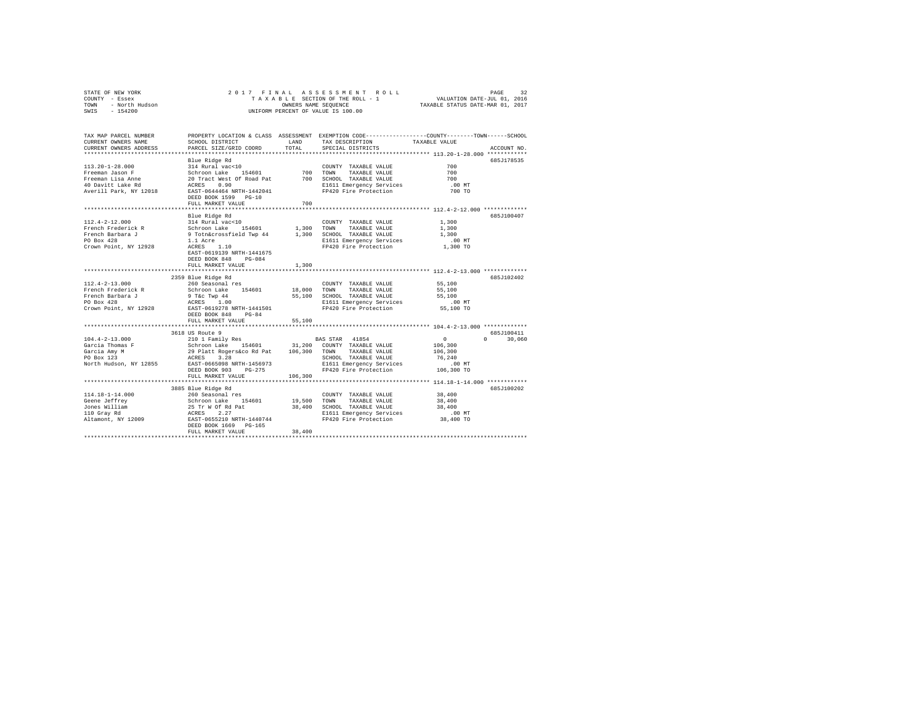| COUNTY - Essex<br>TOWN<br>- North Hudson<br>SWIS<br>$-154200$                                                |                                                                                                                                                                                                                                        | OWNERS NAME SEOUENCE       | TAXABLE SECTION OF THE ROLL - 1 VALUATION DATE-JUL 01, 2016<br>UNIFORM PERCENT OF VALUE IS 100.00                                       | TAXABLE STATUS DATE-MAR 01, 2017                                         |                              |
|--------------------------------------------------------------------------------------------------------------|----------------------------------------------------------------------------------------------------------------------------------------------------------------------------------------------------------------------------------------|----------------------------|-----------------------------------------------------------------------------------------------------------------------------------------|--------------------------------------------------------------------------|------------------------------|
| TAX MAP PARCEL NUMBER<br>CURRENT OWNERS NAME<br>CURRENT OWNERS ADDRESS<br>***********************            | SCHOOL DISTRICT<br>PARCEL SIZE/GRID COORD                                                                                                                                                                                              | LAND<br>TOTAL              | PROPERTY LOCATION & CLASS ASSESSMENT EXEMPTION CODE---------------COUNTY-------TOWN------SCHOOL<br>TAX DESCRIPTION<br>SPECIAL DISTRICTS | TAXABLE VALUE<br>************************** 113.20-1-28.000 ************ | ACCOUNT NO.                  |
| $113.20 - 1 - 28.000$<br>Freeman Jason F<br>Freeman Lisa Anne<br>40 Davitt Lake Rd<br>Averill Park, NY 12018 | Blue Ridge Rd<br>314 Rural vac<10<br>Schroon Lake 154601<br>20 Tract West Of Road Pat<br>ACRES 0.90<br>EAST-0644464 NRTH-1442041                                                                                                       | 700                        | COUNTY TAXABLE VALUE<br>TOWN<br>TAXABLE VALUE<br>700 SCHOOL TAXABLE VALUE<br>E1611 Emergency Services<br>FP420 Fire Protection          | 700<br>700<br>700<br>$.00$ MT<br>700 TO                                  | 685J178535                   |
|                                                                                                              | DEED BOOK 1599 PG-10<br>FULL MARKET VALUE                                                                                                                                                                                              | 700                        |                                                                                                                                         |                                                                          |                              |
| $112.4 - 2 - 12.000$<br>French Frederick R<br>French Barbara J<br>PO Box 428<br>Crown Point, NY 12928        | Blue Ridge Rd<br>314 Rural vac<10<br>Schroon Lake 154601<br>9 Totn&crossfield Twp 44<br>1.1 Acre<br>$ACRES$ 1.10<br>EAST-0619139 NRTH-1441675<br>DEED BOOK 848 PG-084                                                                  |                            | COUNTY TAXABLE VALUE<br>1,300 TOWN<br>TAXABLE VALUE<br>1,300 SCHOOL TAXABLE VALUE<br>E1611 Emergency Services<br>FP420 Fire Protection  | 1,300<br>1,300<br>1,300<br>$.00$ MT<br>1,300 TO                          | 685J100407                   |
|                                                                                                              | FULL MARKET VALUE                                                                                                                                                                                                                      | 1,300                      |                                                                                                                                         |                                                                          |                              |
| $112.4 - 2 - 13.000$<br>French Frederick R<br>French Barbara J<br>PO Box 428<br>Crown Point, NY 12928        | 2359 Blue Ridge Rd<br>260 Seasonal res<br>Schroon Lake 154601<br>9 T&C Twp 44<br>ACRES 1.00<br>EAST-0619278 NRTH-1441501<br>DEED BOOK 848 PG-84<br>FULL MARKET VALUE                                                                   | 18,000<br>55,100           | COUNTY TAXABLE VALUE<br>TOWN<br>TAXABLE VALUE<br>55,100 SCHOOL TAXABLE VALUE<br>E1611 Emergency Services<br>FP420 Fire Protection       | 55,100<br>55,100<br>55,100<br>$.00$ MT<br>55,100 TO                      | 685J102402                   |
|                                                                                                              |                                                                                                                                                                                                                                        |                            |                                                                                                                                         |                                                                          |                              |
| $104.4 - 2 - 13.000$<br>Garcia Thomas F<br>Garcia Amy M<br>PO Box 123<br>North Hudson, NY 12855              | 3618 US Route 9<br>210 1 Family Res<br>Schroon Lake 154601 31,200 COUNTY TAXABLE VALUE<br>29 Platt Rogers&co Rd Pat 106,300 TOWN TAXABLE VALUE<br>ACRES 3.28<br>EAST-0665098 NRTH-1456973<br>DEED BOOK 903 PG-275<br>FULL MARKET VALUE | 106,300                    | BAS STAR 41854<br>SCHOOL TAXABLE VALUE<br>E1611 Emergency Services<br>FP420 Fire Protection                                             | $\sim$ 0<br>106,300<br>106,300<br>76,240<br>$.00$ MT<br>106,300 TO       | 685.7100411<br>$0 \t 30,060$ |
|                                                                                                              |                                                                                                                                                                                                                                        |                            |                                                                                                                                         |                                                                          |                              |
| $114.18 - 1 - 14.000$<br>Geene Jeffrey<br>Jones William<br>110 Gray Rd<br>Altamont, NY 12009                 | 3885 Blue Ridge Rd<br>260 Seasonal res<br>Schroon Lake 154601<br>25 Tr W Of Rd Pat<br>ACRES 2.27<br>EAST-0655210 NRTH-1440744<br>DEED BOOK 1669 PG-165<br>FULL MARKET VALUE                                                            | 19,500<br>38,400<br>38,400 | COUNTY TAXABLE VALUE<br>TOWN<br>TAXABLE VALUE<br>SCHOOL TAXABLE VALUE<br>E1611 Emergency Services<br>FP420 Fire Protection              | 38,400<br>38,400<br>38,400<br>$.00$ MT<br>38,400 TO                      | 685J100202                   |

STATE OF NEW YORK 2 0 1 7 F I N A L A S S E S S M E N T R O L L PAGE 32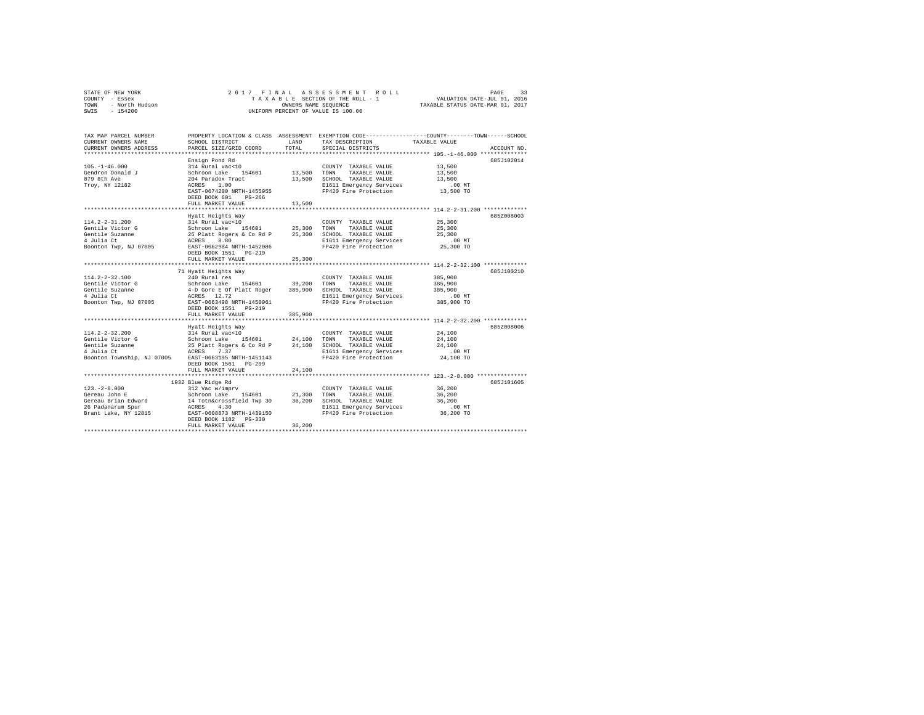|      | STATE OF NEW YORK | 2017 FINAL ASSESSMENT ROLL         | 33<br>PAGE                       |
|------|-------------------|------------------------------------|----------------------------------|
|      | COUNTY - Essex    | TAXABLE SECTION OF THE ROLL - 1    | VALUATION DATE-JUL 01, 2016      |
| TOWN | - North Hudson    | OWNERS NAME SEOUENCE               | TAXABLE STATUS DATE-MAR 01, 2017 |
| SWIS | $-154200$         | UNIFORM PERCENT OF VALUE IS 100.00 |                                  |

| TAX MAP PARCEL NUMBER<br>CURRENT OWNERS NAME<br>CURRENT OWNERS ADDRESS                                  | PROPERTY LOCATION & CLASS ASSESSMENT EXEMPTION CODE----------------COUNTY-------TOWN------SCHOOL<br>SCHOOL DISTRICT<br>PARCEL SIZE/GRID COORD                                                     | LAND<br>TOTAL              | TAX DESCRIPTION<br>SPECIAL DISTRICTS                                                                                       | TAXABLE VALUE                                                                                   | ACCOUNT NO. |
|---------------------------------------------------------------------------------------------------------|---------------------------------------------------------------------------------------------------------------------------------------------------------------------------------------------------|----------------------------|----------------------------------------------------------------------------------------------------------------------------|-------------------------------------------------------------------------------------------------|-------------|
| $105. - 1 - 46.000$<br>Gendron Donald J<br>879 8th Ave<br>Troy, NY 12182                                | Ensign Pond Rd<br>314 Rural vac<10<br>Schroon Lake<br>154601<br>204 Paradox Tract<br>1.00<br>ACRES<br>EAST-0674200 NRTH-1455955<br>DEED BOOK 601<br>$PG-266$<br>FULL MARKET VALUE                 | 13,500<br>13,500<br>13,500 | COUNTY TAXABLE VALUE<br>TOWN<br>TAXABLE VALUE<br>SCHOOL TAXABLE VALUE<br>E1611 Emergency Services<br>FP420 Fire Protection | 13,500<br>13,500<br>13,500<br>$.00$ MT<br>13,500 TO                                             | 685J102014  |
| $114.2 - 2 - 31.200$<br>Gentile Victor G<br>Gentile Suzanne<br>4 Julia Ct<br>Boonton Twp. NJ 07005      | Hyatt Heights Way<br>314 Rural vac<10<br>Schroon Lake 154601 25,300<br>25 Platt Rogers & Co Rd P<br>ACRES<br>8.80<br>EAST-0662984 NRTH-1452086<br>DEED BOOK 1551 PG-219<br>FULL MARKET VALUE<br>. | 25,300<br>25,300           | COUNTY TAXABLE VALUE<br>TOWN<br>TAXABLE VALUE<br>SCHOOL TAXABLE VALUE<br>E1611 Emergency Services<br>FP420 Fire Protection | 25,300<br>25,300<br>25,300<br>$.00$ MT<br>25,300 TO                                             | 6857008003  |
| $114.2 - 2 - 32.100$<br>Gentile Victor G<br>Gentile Suzanne<br>4 Julia Ct<br>Boonton Twp, NJ 07005      | 71 Hyatt Heights Way<br>240 Rural res<br>Schroon Lake 154601<br>4-D Gore E Of Platt Roger<br>ACRES 12.72<br>EAST-0663498 NRTH-1450961<br>DEED BOOK 1551 PG-219                                    | 39,200<br>385,900          | COUNTY TAXABLE VALUE<br>TOWN<br>TAXABLE VALUE<br>SCHOOL TAXABLE VALUE<br>E1611 Emergency Services<br>FP420 Fire Protection | ********** 114.2-2-32.100 **********<br>385,900<br>385,900<br>385,900<br>$.00$ MT<br>385,900 TO | 685J100210  |
|                                                                                                         | FULL MARKET VALUE                                                                                                                                                                                 | 385,900                    |                                                                                                                            |                                                                                                 |             |
| $114.2 - 2 - 32.200$<br>Gentile Victor G<br>Gentile Suzanne<br>4 Julia Ct<br>Boonton Township, NJ 07005 | Hyatt Heights Way<br>314 Rural vac<10<br>Schroon Lake 154601 24,100<br>25 Platt Rogers & Co Rd P<br>ACRES<br>7.37<br>EAST-0663195 NRTH-1451143<br>DEED BOOK 1561 PG-299<br>FULL MARKET VALUE      | 24,100<br>24,100           | COUNTY TAXABLE VALUE<br>TOWN<br>TAXABLE VALUE<br>SCHOOL TAXABLE VALUE<br>E1611 Emergency Services<br>FP420 Fire Protection | 24,100<br>24,100<br>24,100<br>$.00$ MT<br>24,100 TO                                             | 685Z008006  |
|                                                                                                         | **************************************<br>1932 Blue Ridge Rd                                                                                                                                      |                            |                                                                                                                            | ********************************* 123.-2-8.000 **************                                   | 685J101605  |
| $123. - 2 - 8.000$<br>Gereau John E<br>Gereau Brian Edward<br>26 Padanarum Spur<br>Brant Lake, NY 12815 | 312 Vac w/imprv<br>Schroon Lake 154601<br>14 Totn&crossfield Twp 30<br>ACRES 4.30<br>EAST-0608873 NRTH-1439150<br>DEED BOOK 1182 PG-330<br>FULL MARKET VALUE                                      | 21,300<br>36,200<br>36,200 | COUNTY TAXABLE VALUE<br>TAXABLE VALUE<br>TOWN<br>SCHOOL TAXABLE VALUE<br>E1611 Emergency Services<br>FP420 Fire Protection | 36,200<br>36,200<br>36,200<br>.00 MT<br>36,200 TO                                               |             |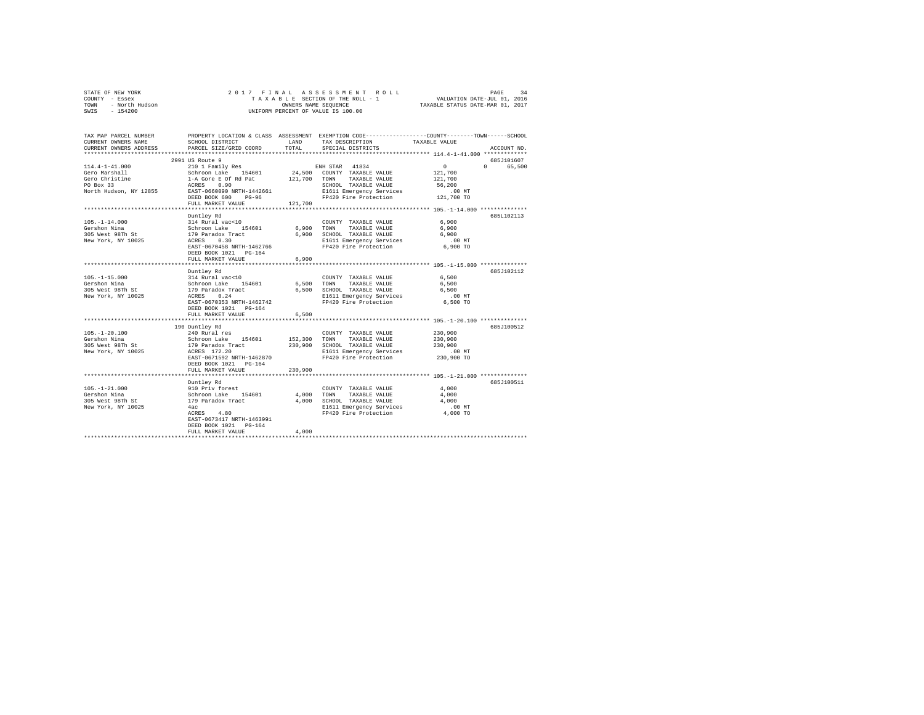|                | STATE OF NEW YORK |  |  |  |  | 2017 FINAL ASSESSMENT ROLL         | PAGE                             | 34 |
|----------------|-------------------|--|--|--|--|------------------------------------|----------------------------------|----|
| COUNTY - Essex |                   |  |  |  |  | TAXABLE SECTION OF THE ROLL - 1    | VALUATION DATE-JUL 01, 2016      |    |
| TOWN           | - North Hudson    |  |  |  |  | OWNERS NAME SEOUENCE               | TAXABLE STATUS DATE-MAR 01, 2017 |    |
| SWIS           | $-154200$         |  |  |  |  | UNIFORM PERCENT OF VALUE IS 100.00 |                                  |    |

| TAX MAP PARCEL NUMBER<br>CURRENT OWNERS NAME<br>CURRENT OWNERS ADDRESS | SCHOOL DISTRICT<br>PARCEL SIZE/GRID COORD                                                                              | LAND<br>TOTAL | PROPERTY LOCATION & CLASS ASSESSMENT EXEMPTION CODE---------------COUNTY-------TOWN-----SCHOOL<br>TAX DESCRIPTION<br>SPECIAL DISTRICTS | TAXABLE VALUE                         | ACCOUNT NO. |
|------------------------------------------------------------------------|------------------------------------------------------------------------------------------------------------------------|---------------|----------------------------------------------------------------------------------------------------------------------------------------|---------------------------------------|-------------|
|                                                                        |                                                                                                                        |               |                                                                                                                                        |                                       |             |
|                                                                        | 2991 US Route 9                                                                                                        |               |                                                                                                                                        |                                       | 685J101607  |
| 114.4-1-41.000                                                         | 210 1 Family Res ENH STAR 41834                                                                                        |               |                                                                                                                                        | $\sim$ 0                              | 0 65,500    |
| Gero Marshall                                                          |                                                                                                                        |               | 24,500 COUNTY TAXABLE VALUE<br>121,700 TOWN TAXABLE VALUE                                                                              | 121,700                               |             |
| Gero Christine                                                         |                                                                                                                        |               |                                                                                                                                        | 121,700                               |             |
| PO Box 33                                                              | Schroon Lake 154601<br>1-A Gore E Of Rd Pat<br>ACRES 0.90<br>EAST-0660090 NRTH-1442661                                 |               | SCHOOL TAXABLE VALUE                                                                                                                   | 56,200                                |             |
| North Hudson, NY 12855                                                 | $PG-96$<br>DEED BOOK 600                                                                                               |               | E1611 Emergency Services .00 MT<br>FP420 Fire Protection .01 121,700 TO                                                                |                                       |             |
|                                                                        | FULL MARKET VALUE                                                                                                      | 121,700       |                                                                                                                                        |                                       |             |
|                                                                        |                                                                                                                        |               |                                                                                                                                        |                                       |             |
|                                                                        | Duntley Rd                                                                                                             |               |                                                                                                                                        |                                       | 685L102113  |
| $105. - 1 - 14.000$                                                    | 11 -12, 12, 12, 13, 14 Rural vac<10<br>Schroon Lake 154601 6,900 TOWN<br>179 Paradox Tract 6,900 SCHOO 1<br>ACRES 0.30 |               | COUNTY TAXABLE VALUE                                                                                                                   | 6,900                                 |             |
| Gershon Nina                                                           |                                                                                                                        |               | TAXABLE VALUE                                                                                                                          | 6,900                                 |             |
| 305 West 98Th St                                                       |                                                                                                                        |               | 6,900 SCHOOL TAXABLE VALUE                                                                                                             | 6,900                                 |             |
| New York, NY 10025                                                     |                                                                                                                        |               | E1611 Emergency Services                                                                                                               | $.00$ MT                              |             |
|                                                                        | EAST-0670458 NRTH-1462766                                                                                              |               | FP420 Fire Protection                                                                                                                  | 6,900 TO                              |             |
|                                                                        |                                                                                                                        |               |                                                                                                                                        |                                       |             |
|                                                                        | FULL MARKET VALUE                                                                                                      | 6,900         |                                                                                                                                        |                                       |             |
|                                                                        | Duntley Rd                                                                                                             |               |                                                                                                                                        |                                       | 685J102112  |
| $105. - 1 - 15.000$                                                    |                                                                                                                        |               | COUNTY TAXABLE VALUE                                                                                                                   | 6,500                                 |             |
| Gershon Nina                                                           |                                                                                                                        | 6,500 TOWN    | TAXABLE VALUE                                                                                                                          | 6,500                                 |             |
| ---------------<br>305 West 98Th St                                    | 314 Rural vac<10<br>Schroon Lake 154601<br>179 Paradox Tract<br>ACRES 0.24                                             | 6,500         | SCHOOL TAXABLE VALUE                                                                                                                   | 6,500                                 |             |
| New York, NY 10025                                                     |                                                                                                                        |               | E1611 Emergency Services<br>FP420 Fire Protection                                                                                      | $.00$ MT                              |             |
|                                                                        | EAST-0670353 NRTH-1462742                                                                                              |               |                                                                                                                                        | 6,500 TO                              |             |
|                                                                        | DEED BOOK 1021 PG-164                                                                                                  |               |                                                                                                                                        |                                       |             |
|                                                                        | FULL MARKET VALUE                                                                                                      | 6.500         |                                                                                                                                        |                                       |             |
|                                                                        |                                                                                                                        |               |                                                                                                                                        |                                       |             |
|                                                                        | 190 Duntley Rd                                                                                                         |               |                                                                                                                                        | 230,900                               | 685J100512  |
| $105. - 1 - 20.100$<br>Gershon Nina                                    | 240 Rural res                                                                                                          |               | COUNTY TAXABLE VALUE<br>TOWN TAXABLE VALUE                                                                                             | 230,900                               |             |
| 305 West 98Th St                                                       | 210 154601 154601 152,300<br>Schroon Lake 154601 152,300<br>179 Paradox Tract 230,900                                  |               | 230,900 SCHOOL TAXABLE VALUE                                                                                                           | 230,900                               |             |
| New York, NY 10025                                                     | ACRES 172.20                                                                                                           |               | E1611 Emergency Services                                                                                                               |                                       |             |
|                                                                        | EAST-0671592 NRTH-1462870                                                                                              |               | FP420 Fire Protection                                                                                                                  | 00 MT.<br>230,900 TO                  |             |
|                                                                        | DEED BOOK 1021 PG-164                                                                                                  |               |                                                                                                                                        |                                       |             |
|                                                                        | FULL MARKET VALUE                                                                                                      | 230,900       |                                                                                                                                        |                                       |             |
|                                                                        |                                                                                                                        |               |                                                                                                                                        | ********** 105.-1-21.000 ************ |             |
|                                                                        | Duntley Rd                                                                                                             |               |                                                                                                                                        |                                       | 685J100511  |
| $105. - 1 - 21.000$                                                    |                                                                                                                        |               | COUNTY TAXABLE VALUE                                                                                                                   | 4,000                                 |             |
| Gershon Nina<br>Gershon wind<br>305 West 98Th St                       | 910 Priv forest<br>Schroon Lake     154601<br>179 Paradox Tract<br>4ac                                                 |               | 4,000 TOWN TAXABLE VALUE<br>4,000 SCHOOL TAXABLE VALUE                                                                                 | 4,000<br>4,000                        |             |
| New York, NY 10025                                                     |                                                                                                                        |               | E1611 Emergency Services                                                                                                               | .00 MT                                |             |
|                                                                        | ACRES 4.80                                                                                                             |               | FP420 Fire Protection 4,000 TO                                                                                                         |                                       |             |
|                                                                        | EAST-0673417 NRTH-1463991                                                                                              |               |                                                                                                                                        |                                       |             |
|                                                                        | DEED BOOK 1021 PG-164                                                                                                  |               |                                                                                                                                        |                                       |             |
|                                                                        | FULL MARKET VALUE                                                                                                      | 4,000         |                                                                                                                                        |                                       |             |
|                                                                        | *****************************                                                                                          |               |                                                                                                                                        |                                       |             |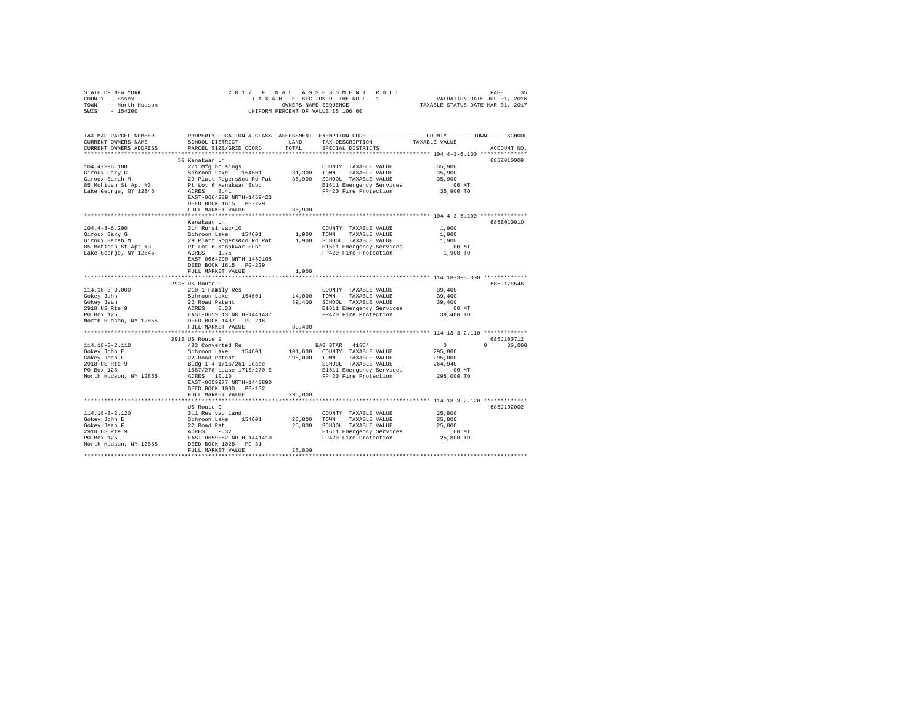| STATE OF NEW YORK<br>COUNTY - Essex<br>TOWN<br>- North Hudson<br>SWIS - 154200 |                                                                  |             | 2017 FINAL ASSESSMENT ROLL<br>OWNERS NAME SEQUENCE<br>UNIFORM PERCENT OF VALUE IS 100.00                                                | TAXABLE STATUS DATE-MAR 01, 2017           | PAGE<br>35    |
|--------------------------------------------------------------------------------|------------------------------------------------------------------|-------------|-----------------------------------------------------------------------------------------------------------------------------------------|--------------------------------------------|---------------|
| TAX MAP PARCEL NUMBER<br>CURRENT OWNERS NAME<br>CURRENT OWNERS ADDRESS         | SCHOOL DISTRICT LAND<br>PARCEL SIZE/GRID COORD                   | TOTAL       | PROPERTY LOCATION & CLASS ASSESSMENT EXEMPTION CODE---------------COUNTY-------TOWN------SCHOOL<br>TAX DESCRIPTION<br>SPECIAL DISTRICTS | TAXABLE VALUE                              | ACCOUNT NO.   |
|                                                                                |                                                                  |             |                                                                                                                                         |                                            |               |
| $104.4 - 3 - 6.100$                                                            | 58 Kenakwar Ln<br>271 Mfg housings                               |             | COUNTY TAXABLE VALUE                                                                                                                    | 35,900                                     | 6852010009    |
| Giroux Gary G                                                                  | Schroon Lake 154601 31,300 TOWN                                  |             | TAXABLE VALUE                                                                                                                           | 35,900                                     |               |
| Giroux Sarah M                                                                 | 29 Platt Rogers&co Rd Pat                                        |             | 35,900 SCHOOL TAXABLE VALUE                                                                                                             | 35,900                                     |               |
| 85 Mohican St Apt #3                                                           | Pt Lot 6 Kenakwar Subd                                           |             | E1611 Emergency Services                                                                                                                | $.00$ MT                                   |               |
| Lake George, NY 12845                                                          | ACRES 3.41<br>EAST-0664289 NRTH-1459423<br>DEED BOOK 1615 PG-229 |             | FP420 Fire Protection                                                                                                                   | 35,900 TO                                  |               |
|                                                                                | FULL MARKET VALUE                                                | 35,900      |                                                                                                                                         |                                            |               |
|                                                                                | Kenakwar Ln                                                      |             |                                                                                                                                         |                                            | 685Z010010    |
| $104.4 - 3 - 6.200$                                                            | 314 Rural vac<10                                                 |             | COUNTY TAXABLE VALUE                                                                                                                    | 1,900                                      |               |
| Giroux Gary G                                                                  |                                                                  |             | 1,900 TOWN<br>TAXABLE VALUE                                                                                                             | 1,900                                      |               |
| Giroux Sarah M                                                                 | Schroon Lake 154601<br>29 Platt Rogers&co Rd Pat                 |             | 1,900 SCHOOL TAXABLE VALUE                                                                                                              | 1,900                                      |               |
| 85 Mohican St Apt #3                                                           | Pt Lot 6 Kenakwar Subd                                           |             | E1611 Emergency Services                                                                                                                | $.00$ MT                                   |               |
| Lake George, NY 12845                                                          | ACRES 1.75<br>EAST-0664290 NRTH-1459105                          |             | FP420 Fire Protection                                                                                                                   | 1,900 TO                                   |               |
|                                                                                | DEED BOOK 1615 PG-229                                            |             |                                                                                                                                         |                                            |               |
|                                                                                | FULL MARKET VALUE                                                | 1,900       |                                                                                                                                         |                                            |               |
|                                                                                |                                                                  |             | *********************************** 114.18-3-3.000 *************                                                                        |                                            |               |
|                                                                                | 2936 US Route 9                                                  |             |                                                                                                                                         |                                            | 685J178546    |
| $114.18 - 3 - 3.000$<br>Gokey John                                             | 210 1 Family Res<br>Schroon Lake 154601                          | 14,000 TOWN | COUNTY TAXABLE VALUE<br>TAXABLE VALUE                                                                                                   | 39,400<br>39,400                           |               |
| Gokey Jean                                                                     |                                                                  |             | 39,400 SCHOOL TAXABLE VALUE                                                                                                             | 39,400                                     |               |
| 2918 US Rte 9                                                                  | 22 Road Patent<br>ACRES 0.30                                     |             | E1611 Emergency Services                                                                                                                | $.00$ MT                                   |               |
| PO Box 125                                                                     | EAST-0659513 NRTH-1441437                                        |             | FP420 Fire Protection                                                                                                                   | 39,400 TO                                  |               |
| North Hudson, NY 12855                                                         | DEED BOOK 1437 PG-216                                            |             |                                                                                                                                         |                                            |               |
|                                                                                | FULL MARKET VALUE                                                | 39,400      |                                                                                                                                         |                                            |               |
|                                                                                | 2918 US Route 9                                                  |             |                                                                                                                                         |                                            | 685J100712    |
| $114.18 - 3 - 2.110$                                                           | 483 Converted Re                                                 |             | BAS STAR 41854                                                                                                                          | $\sim$ 0                                   | $0 \t 30.060$ |
| Gokey John E                                                                   | Schroon Lake 154601                                              |             | 101,600 COUNTY TAXABLE VALUE                                                                                                            | 295,000                                    |               |
| Gokey Jean F                                                                   | 22 Road Patent                                                   |             | 295,000 TOWN TAXABLE VALUE                                                                                                              | 295,000                                    |               |
| 2918 US Rte 9                                                                  | Bldg 1-4 1715/261 Lease                                          |             | SCHOOL TAXABLE VALUE                                                                                                                    | 264,940                                    |               |
| PO Box 125                                                                     | 1587/278 Lease 1715/270 E<br>ACRES 10.10                         |             | E1611 Emergency Services<br>FP420 Fire Protection                                                                                       | $.00$ MT<br>295,000 TO                     |               |
| North Hudson, NY 12855                                                         | EAST-0659977 NRTH-1440890                                        |             |                                                                                                                                         |                                            |               |
|                                                                                | DEED BOOK 1000 PG-132                                            |             |                                                                                                                                         |                                            |               |
|                                                                                | FULL MARKET VALUE                                                | 295,000     |                                                                                                                                         |                                            |               |
|                                                                                | *****************                                                |             |                                                                                                                                         | ************* 114.18-3-2.120 ************* |               |
|                                                                                | US Route 9                                                       |             |                                                                                                                                         |                                            | 6857192002    |
| $114.18 - 3 - 2.120$<br>Gokey John E                                           | 311 Res vac land<br>Schroon Lake 154601                          |             | COUNTY TAXABLE VALUE<br>25,800 TOWN<br>TAXABLE VALUE                                                                                    | 25,800<br>25,800                           |               |
| Gokey Jean F                                                                   | 22 Road Pat                                                      |             | 25,800 SCHOOL TAXABLE VALUE                                                                                                             | 25,800                                     |               |
|                                                                                | ACRES 9.32                                                       |             | E1611 Emergency Services                                                                                                                | $.00$ MT                                   |               |
| 2918 US Rte 9<br>PO Box 125                                                    | EAST-0659862 NRTH-1441410                                        |             | FP420 Fire Protection                                                                                                                   | 25,800 TO                                  |               |
| North Hudson, NY 12855                                                         | DEED BOOK 1028 PG-31                                             |             |                                                                                                                                         |                                            |               |
|                                                                                | FULL MARKET VALUE                                                | 25,800      |                                                                                                                                         |                                            |               |
|                                                                                |                                                                  |             |                                                                                                                                         |                                            |               |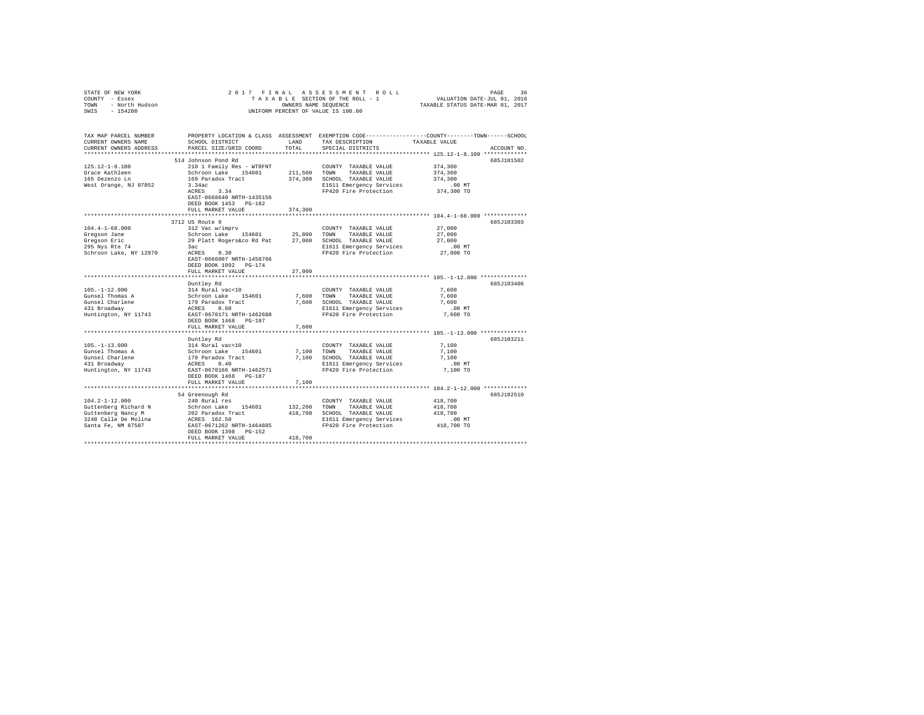| STATE OF NEW YORK<br>COUNTY - Essex<br>TOWN - North Hudson<br>SWIS - 154200 | 2017 FINAL ASSESSMENT ROLL<br>36<br>PAGE<br>TAXABLE SECTION OF THE ROLL - 1<br>VALUATION DATE-JUL 01, 2016<br>OWNERS NAME SEQUENCE<br>TAXABLE STATUS DATE-MAR 01, 2017<br>UNIFORM PERCENT OF VALUE IS 100.00 |               |                                                                                                                                         |               |             |  |  |  |  |
|-----------------------------------------------------------------------------|--------------------------------------------------------------------------------------------------------------------------------------------------------------------------------------------------------------|---------------|-----------------------------------------------------------------------------------------------------------------------------------------|---------------|-------------|--|--|--|--|
| TAX MAP PARCEL NUMBER<br>CURRENT OWNERS NAME<br>CURRENT OWNERS ADDRESS      | SCHOOL DISTRICT<br>PARCEL SIZE/GRID COORD                                                                                                                                                                    | LAND<br>TOTAL | PROPERTY LOCATION & CLASS ASSESSMENT EXEMPTION CODE---------------COUNTY-------TOWN------SCHOOL<br>TAX DESCRIPTION<br>SPECIAL DISTRICTS | TAXABLE VALUE | ACCOUNT NO. |  |  |  |  |
|                                                                             |                                                                                                                                                                                                              |               |                                                                                                                                         |               |             |  |  |  |  |
|                                                                             | 514 Johnson Pond Rd                                                                                                                                                                                          |               |                                                                                                                                         |               | 685J101502  |  |  |  |  |
| $125.12 - 1 - 8.100$                                                        | 210 1 Family Res - WTRFNT                                                                                                                                                                                    |               | COUNTY TAXABLE VALUE                                                                                                                    | 374,300       |             |  |  |  |  |
| Grace Kathleen                                                              | Schroon Lake 154601                                                                                                                                                                                          |               | 211,500 TOWN<br>TAXABLE VALUE                                                                                                           | 374,300       |             |  |  |  |  |
| 165 Dezenzo Ln                                                              | 169 Paradox Tract                                                                                                                                                                                            |               | 374,300 SCHOOL TAXABLE VALUE                                                                                                            | 374,300       |             |  |  |  |  |
| West Orange, NJ 07052                                                       | 3.34ac                                                                                                                                                                                                       |               | E1611 Emergency Services                                                                                                                | .00MT         |             |  |  |  |  |
|                                                                             | ACRES 3.34                                                                                                                                                                                                   |               | FP420 Fire Protection                                                                                                                   | 374,300 TO    |             |  |  |  |  |
|                                                                             | EAST-0668640 NRTH-1435156<br>DEED BOOK 1453 PG-182                                                                                                                                                           |               |                                                                                                                                         |               |             |  |  |  |  |
|                                                                             | FULL MARKET VALUE                                                                                                                                                                                            | 374,300       |                                                                                                                                         |               |             |  |  |  |  |
|                                                                             |                                                                                                                                                                                                              |               |                                                                                                                                         |               |             |  |  |  |  |
|                                                                             | 3712 US Route 9                                                                                                                                                                                              |               |                                                                                                                                         |               | 685J103303  |  |  |  |  |
| $104.4 - 1 - 68.000$                                                        | 312 Vac w/imprv                                                                                                                                                                                              |               | COUNTY TAXABLE VALUE                                                                                                                    | 27,000        |             |  |  |  |  |
| Gregson Jane                                                                | Schroon Lake 154601                                                                                                                                                                                          | 25,800 TOWN   | TAXABLE VALUE                                                                                                                           | 27,000        |             |  |  |  |  |
| Gregson Eric                                                                | 29 Platt Rogers&co Rd Pat 27,000 SCHOOL TAXABLE VALUE                                                                                                                                                        |               |                                                                                                                                         | 27,000        |             |  |  |  |  |
| 295 Nys Rte 74                                                              | 3ac                                                                                                                                                                                                          |               | E1611 Emergency Services                                                                                                                | $.00$ MT      |             |  |  |  |  |
| Schroon Lake, NY 12870                                                      | $ACRES$ 9.30                                                                                                                                                                                                 |               | FP420 Fire Protection                                                                                                                   | 27,000 TO     |             |  |  |  |  |
|                                                                             | EAST-0666007 NRTH-1458766                                                                                                                                                                                    |               |                                                                                                                                         |               |             |  |  |  |  |
|                                                                             | DEED BOOK 1092 PG-174                                                                                                                                                                                        |               |                                                                                                                                         |               |             |  |  |  |  |
|                                                                             | FULL MARKET VALUE                                                                                                                                                                                            | 27,000        |                                                                                                                                         |               |             |  |  |  |  |
|                                                                             |                                                                                                                                                                                                              |               |                                                                                                                                         |               |             |  |  |  |  |
|                                                                             | Duntley Rd                                                                                                                                                                                                   |               |                                                                                                                                         |               | 685J103406  |  |  |  |  |
| $105. - 1 - 12.000$                                                         | 314 Rural vac<10                                                                                                                                                                                             |               | COUNTY TAXABLE VALUE                                                                                                                    | 7.600         |             |  |  |  |  |
| Gunsel Thomas A                                                             | Schroon Lake 154601                                                                                                                                                                                          |               | 7,600 TOWN TAXABLE VALUE                                                                                                                | 7.600         |             |  |  |  |  |
| Gunsel Charlene                                                             | 179 Paradox Tract<br>ACRES 0.60                                                                                                                                                                              |               | 7,600 SCHOOL TAXABLE VALUE                                                                                                              | 7.600         |             |  |  |  |  |
| 431 Broadway                                                                |                                                                                                                                                                                                              |               | E1611 Emergency Services                                                                                                                | $.00$ MT      |             |  |  |  |  |
| Huntington, NY 11743                                                        | EAST-0670171 NRTH-1462688                                                                                                                                                                                    |               | FP420 Fire Protection                                                                                                                   | 7,600 TO      |             |  |  |  |  |
|                                                                             | DEED BOOK 1468 PG-187<br>FULL MARKET VALUE                                                                                                                                                                   | 7.600         |                                                                                                                                         |               |             |  |  |  |  |
|                                                                             |                                                                                                                                                                                                              |               |                                                                                                                                         |               |             |  |  |  |  |
|                                                                             | Duntley Rd                                                                                                                                                                                                   |               |                                                                                                                                         |               | 685J103211  |  |  |  |  |
| $105. - 1 - 13.000$                                                         | 314 Rural vac<10                                                                                                                                                                                             |               | COUNTY TAXABLE VALUE                                                                                                                    | 7,100         |             |  |  |  |  |
| Gunsel Thomas A                                                             | Schroon Lake 154601                                                                                                                                                                                          | 7,100 TOWN    | TAXABLE VALUE                                                                                                                           | 7,100         |             |  |  |  |  |
| Gunsel Charlene                                                             |                                                                                                                                                                                                              |               | 7,100 SCHOOL TAXABLE VALUE                                                                                                              | 7.100         |             |  |  |  |  |
| 431 Broadway                                                                | 179 Paradox Tract<br>ACRES 0.40                                                                                                                                                                              |               | E1611 Emergency Services                                                                                                                | $.00$ MT      |             |  |  |  |  |
| Huntington, NY 11743                                                        | EAST-0670166 NRTH-1462571                                                                                                                                                                                    |               | FP420 Fire Protection                                                                                                                   | 7,100 TO      |             |  |  |  |  |
|                                                                             | DEED BOOK 1468 PG-187                                                                                                                                                                                        |               |                                                                                                                                         |               |             |  |  |  |  |
|                                                                             | FULL MARKET VALUE                                                                                                                                                                                            | 7,100         |                                                                                                                                         |               |             |  |  |  |  |
|                                                                             |                                                                                                                                                                                                              |               |                                                                                                                                         |               |             |  |  |  |  |
|                                                                             | 54 Greenough Rd                                                                                                                                                                                              |               |                                                                                                                                         |               | 685J102510  |  |  |  |  |
| $104.2 - 1 - 12.000$                                                        | 240 Rural res                                                                                                                                                                                                |               | COUNTY TAXABLE VALUE                                                                                                                    | 418,700       |             |  |  |  |  |
| Guttenberg Richard N                                                        | Schroon Lake 154601                                                                                                                                                                                          |               | 132,200 TOWN TAXABLE VALUE                                                                                                              | 418,700       |             |  |  |  |  |
| Guttenberg Nancy M                                                          | 202 Paradox Tract                                                                                                                                                                                            |               | 418,700 SCHOOL TAXABLE VALUE                                                                                                            | 418,700       |             |  |  |  |  |
| 3248 Calle De Molina                                                        | ACRES 102.50                                                                                                                                                                                                 |               | E1611 Emergency Services                                                                                                                | $.00$ MT      |             |  |  |  |  |
| Santa Fe, NM 87507                                                          | EAST-0671262 NRTH-1464885                                                                                                                                                                                    |               | FP420 Fire Protection                                                                                                                   | 418,700 TO    |             |  |  |  |  |
|                                                                             | DEED BOOK 1398 PG-152                                                                                                                                                                                        |               |                                                                                                                                         |               |             |  |  |  |  |
|                                                                             | FULL MARKET VALUE                                                                                                                                                                                            | 418,700       |                                                                                                                                         |               |             |  |  |  |  |
|                                                                             |                                                                                                                                                                                                              |               |                                                                                                                                         |               |             |  |  |  |  |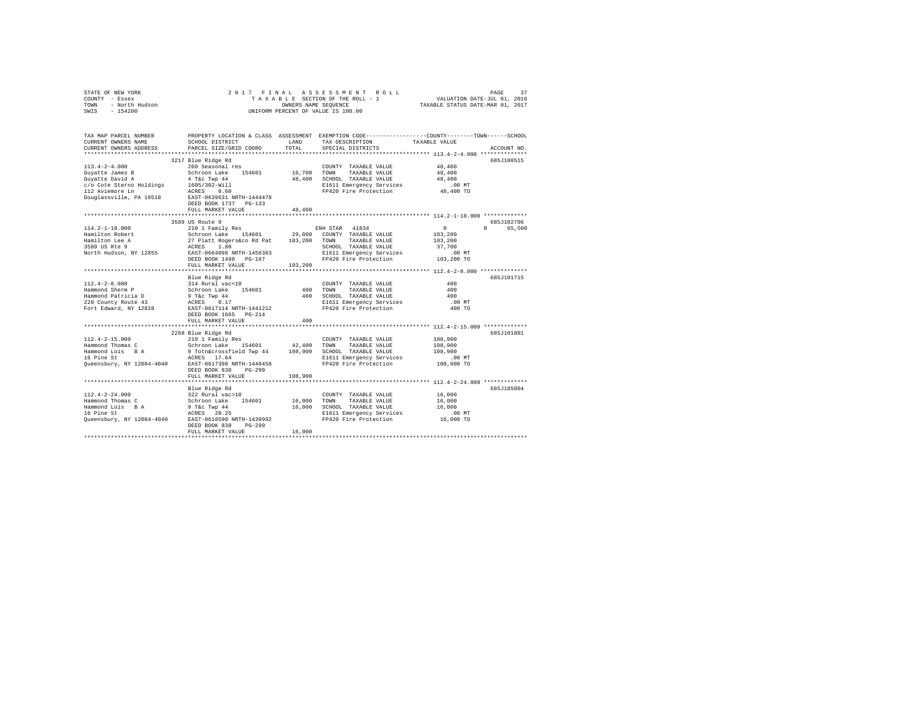| STATE OF NEW YORK<br>COUNTY - Essex<br>TOWN - North Hudson<br>SWIS - 154200 |                                                                                                        |         | 2017 FINAL ASSESSMENT ROLL<br>OWNERS NAME SEQUENCE<br>UNIFORM PERCENT OF VALUE IS 100.00        |                                                   | PAGE<br>37  |
|-----------------------------------------------------------------------------|--------------------------------------------------------------------------------------------------------|---------|-------------------------------------------------------------------------------------------------|---------------------------------------------------|-------------|
| TAX MAP PARCEL NUMBER                                                       |                                                                                                        |         | PROPERTY LOCATION & CLASS ASSESSMENT EXEMPTION CODE---------------COUNTY-------TOWN------SCHOOL |                                                   |             |
| CURRENT OWNERS NAME                                                         | SCHOOL DISTRICT                                                                                        | LAND    | TAX DESCRIPTION                                                                                 | TAXABLE VALUE                                     |             |
| CURRENT OWNERS ADDRESS                                                      | PARCEL SIZE/GRID COORD                                                                                 | TOTAL   | SPECIAL DISTRICTS                                                                               |                                                   | ACCOUNT NO. |
|                                                                             | 3217 Blue Ridge Rd                                                                                     |         |                                                                                                 |                                                   | 685J100515  |
| $113.4 - 2 - 4.000$                                                         | 260 Seasonal res                                                                                       |         | COUNTY TAXABLE VALUE                                                                            | 48,400                                            |             |
|                                                                             |                                                                                                        |         | 16,700 TOWN TAXABLE VALUE                                                                       | 48,400                                            |             |
|                                                                             |                                                                                                        |         | 48,400 SCHOOL TAXABLE VALUE                                                                     | 48,400                                            |             |
|                                                                             |                                                                                                        |         | E1611 Emergency Services                                                                        | $.00$ MT                                          |             |
|                                                                             |                                                                                                        |         | FP420 Fire Protection                                                                           | 48,400 TO                                         |             |
|                                                                             |                                                                                                        |         |                                                                                                 |                                                   |             |
|                                                                             | DEED BOOK 1737 PG-133                                                                                  |         |                                                                                                 |                                                   |             |
|                                                                             | FULL MARKET VALUE                                                                                      | 48,400  |                                                                                                 |                                                   |             |
|                                                                             | 3589 US Route 9                                                                                        |         |                                                                                                 | ******************** 114.2-1-10.000 ************* | 685J102706  |
| $114.2 - 1 - 10.000$                                                        |                                                                                                        |         |                                                                                                 | $\sim$ 0                                          | 0 65,500    |
| Hamilton Robert                                                             |                                                                                                        |         |                                                                                                 | 103,200                                           |             |
|                                                                             | 27 Platt Rogers&co Rd Pat 103,200 TOWN                                                                 |         | TAXABLE VALUE                                                                                   | 103,200                                           |             |
| Hamilton Lee A<br>3589 US Rte 9                                             |                                                                                                        |         | SCHOOL TAXABLE VALUE                                                                            | 37,700                                            |             |
| North Hudson, NY 12855                                                      | ACRES 1.80<br>RCRES 1.80<br>RAST-0664098 NRTH-1456363<br>EAST-0664098 NRTH-1456363                     |         | E1611 Emergency Services<br>FP420 Fire Protection                                               | $.00$ MT                                          |             |
|                                                                             | DEED BOOK 1498 PG-167                                                                                  |         |                                                                                                 | 103,200 TO                                        |             |
|                                                                             | FULL MARKET VALUE                                                                                      | 103,200 |                                                                                                 |                                                   |             |
|                                                                             |                                                                                                        |         |                                                                                                 |                                                   |             |
|                                                                             | Blue Ridge Rd                                                                                          |         |                                                                                                 |                                                   | 685.T101715 |
| $112.4 - 2 - 8.000$                                                         | 314 Rural vac<10                                                                                       |         | COUNTY TAXABLE VALUE                                                                            | 400<br>400                                        |             |
| Hammond Sherm P<br>Hammond Patricia D                                       | Schroon Lake 154601<br>9 T&c Twp 44<br>ACRES 0.17                                                      |         | 400 TOWN TAXABLE VALUE<br>400 SCHOOL TAXABLE VALUE                                              | 400                                               |             |
| 220 County Route 43                                                         |                                                                                                        |         |                                                                                                 | .00MT                                             |             |
| Fort Edward, NY 12828                                                       | EAST-0617114 NRTH-1441212                                                                              |         | E1611 Emergency Services<br>FP420 Fire Protection                                               | 400 TO                                            |             |
|                                                                             | DEED BOOK 1665 PG-214                                                                                  |         |                                                                                                 |                                                   |             |
|                                                                             | FULL MARKET VALUE                                                                                      | 400     |                                                                                                 |                                                   |             |
|                                                                             |                                                                                                        |         |                                                                                                 |                                                   |             |
|                                                                             | 2268 Blue Ridge Rd                                                                                     |         |                                                                                                 |                                                   | 685J101801  |
| $112.4 - 2 - 15.000$                                                        | 210 1 Family Res                                                                                       |         | COUNTY TAXABLE VALUE                                                                            | 108,900                                           |             |
| Hammond Thomas C                                                            | Schroon Lake 154601 42,400 TOWN TAXABLE VALUE<br>9 Totn&crossfield Twp 44 108,900 SCHOOL TAXABLE VALUE |         |                                                                                                 | 108,900                                           |             |
| Hammond Lois BA                                                             |                                                                                                        |         |                                                                                                 | 108,900                                           |             |
| 16 Pine St                                                                  | ACRES 17.64                                                                                            |         | E1611 Emergency Services                                                                        | .00 MT                                            |             |
| Queensbury, NY 12804-4040 EAST-0617398 NRTH-1440458                         | DEED BOOK 830 PG-299                                                                                   |         | FP420 Fire Protection                                                                           | 108,900 TO                                        |             |
|                                                                             | FULL MARKET VALUE                                                                                      | 108,900 |                                                                                                 |                                                   |             |
|                                                                             |                                                                                                        |         |                                                                                                 |                                                   |             |
|                                                                             | Blue Ridge Rd                                                                                          |         |                                                                                                 |                                                   | 685J185004  |
| $112.4 - 2 - 24.000$                                                        | 322 Rural vac>10                                                                                       |         | COUNTY TAXABLE VALUE                                                                            | 16,000                                            |             |
| Hammond Thomas C                                                            | Schroon Lake 154601 16,000 TOWN                                                                        |         | TAXABLE VALUE                                                                                   | 16,000                                            |             |
| Hammond Lois B A                                                            |                                                                                                        |         | 16,000 SCHOOL TAXABLE VALUE                                                                     | 16,000                                            |             |
| 16 Pine St                                                                  | 9 T&C Twp 44<br>ACRES 20.25                                                                            |         | E1611 Emergency Services<br>FP420 Fire Protection                                               | $.00$ MT                                          |             |
| Queensbury, NY 12804-4040 EAST-0618590 NRTH-1439992                         |                                                                                                        |         |                                                                                                 | 16,000 TO                                         |             |
|                                                                             | DEED BOOK 830 PG-299                                                                                   |         |                                                                                                 |                                                   |             |
|                                                                             | FULL MARKET VALUE                                                                                      | 16,000  |                                                                                                 |                                                   |             |
|                                                                             |                                                                                                        |         |                                                                                                 |                                                   |             |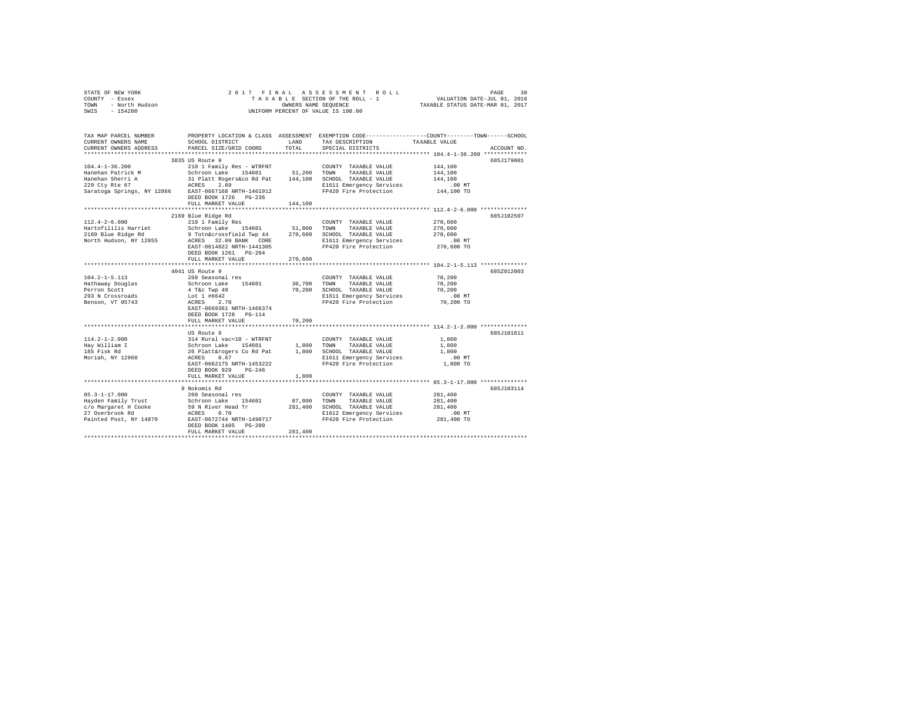| STATE OF NEW YORK<br>COUNTY - Essex         | 2017 FINAL                                        |                      | ASSESSMENT ROLL<br>TAXABLE SECTION OF THE ROLL - 1 | PAGE<br>38<br>VALUATION DATE-JUL 01, 2016                                                      |
|---------------------------------------------|---------------------------------------------------|----------------------|----------------------------------------------------|------------------------------------------------------------------------------------------------|
| - North Hudson<br>TOWN                      |                                                   | OWNERS NAME SEQUENCE |                                                    | TAXABLE STATUS DATE-MAR 01, 2017                                                               |
| SWIS<br>$-154200$                           |                                                   |                      | UNIFORM PERCENT OF VALUE IS 100.00                 |                                                                                                |
|                                             |                                                   |                      |                                                    |                                                                                                |
| TAX MAP PARCEL NUMBER                       |                                                   |                      |                                                    | PROPERTY LOCATION & CLASS ASSESSMENT EXEMPTION CODE---------------COUNTY-------TOWN-----SCHOOL |
| CURRENT OWNERS NAME                         | SCHOOL DISTRICT                                   | LAND                 | TAX DESCRIPTION                                    | TAXABLE VALUE                                                                                  |
| CURRENT OWNERS ADDRESS                      | PARCEL SIZE/GRID COORD                            | TOTAL                | SPECIAL DISTRICTS                                  | ACCOUNT NO.                                                                                    |
|                                             |                                                   |                      |                                                    |                                                                                                |
|                                             | 3835 US Route 9                                   |                      |                                                    | 685J179001                                                                                     |
| $104.4 - 1 - 36.200$                        | 210 1 Family Res - WTRFNT                         |                      | COUNTY TAXABLE VALUE                               | 144,100                                                                                        |
| Hanehan Patrick M                           | Schroon Lake 154601                               | 51,200               | TOWN<br>TAXABLE VALUE                              | 144,100                                                                                        |
| Hanehan Sherri A                            | 31 Platt Rogers&co Rd Pat                         | 144,100              | SCHOOL TAXABLE VALUE                               | 144,100                                                                                        |
| 229 Cty Rte 67                              | 2.89<br>ACRES                                     |                      | E1611 Emergency Services                           | .00MT                                                                                          |
| Saratoga Springs, NY 12866                  | EAST-0667168 NRTH-1461912                         |                      | FP420 Fire Protection                              | 144,100 TO                                                                                     |
|                                             | DEED BOOK 1726 PG-236                             |                      |                                                    |                                                                                                |
|                                             | FULL MARKET VALUE                                 | 144,100              |                                                    |                                                                                                |
|                                             | ************************                          | ***********          |                                                    | ************************ 112.4-2-6.000 **************                                          |
|                                             | 2169 Blue Ridge Rd                                |                      |                                                    | 685J102507                                                                                     |
| $112.4 - 2 - 6.000$                         | 210 1 Family Res                                  |                      | COUNTY TAXABLE VALUE                               | 270,600                                                                                        |
| Hartofililis Harriet                        | Schroon Lake 154601                               | 51,800               | TOWN<br>TAXABLE VALUE                              | 270,600                                                                                        |
| 2169 Blue Ridge Rd                          | 9 Totn&crossfield Twp 44                          | 270,600              | SCHOOL TAXABLE VALUE                               | 270,600                                                                                        |
| North Hudson, NY 12855                      | ACRES 32.09 BANK CORE                             |                      | E1611 Emergency Services                           | $.00$ MT                                                                                       |
|                                             | EAST-0614022 NRTH-1441305                         |                      | FP420 Fire Protection                              | 270,600 TO                                                                                     |
|                                             | DEED BOOK 1261 PG-204                             |                      |                                                    |                                                                                                |
|                                             | FULL MARKET VALUE<br>**************************** | 270,600              |                                                    |                                                                                                |
|                                             | 4041 US Route 9                                   |                      |                                                    | 685Z012003                                                                                     |
| $104.2 - 1 - 5.113$                         | 260 Seasonal res                                  |                      | COUNTY TAXABLE VALUE                               | 70,200                                                                                         |
| Hathaway Douglas                            | Schroon Lake<br>154601                            | 30,700               | TOWN<br>TAXABLE VALUE                              | 70,200                                                                                         |
| Perron Scott                                | 4 T&c Twp 49                                      | 70,200               | SCHOOL TAXABLE VALUE                               | 70,200                                                                                         |
| 293 N Crossroads                            | Lot 1 #6642                                       |                      | E1611 Emergency Services                           | $.00$ MT                                                                                       |
| Benson, VT 05743                            | ACRES 2.70                                        |                      | FP420 Fire Protection                              | 70,200 TO                                                                                      |
|                                             | EAST-0669361 NRTH-1466374                         |                      |                                                    |                                                                                                |
|                                             | DEED BOOK 1728 PG-114                             |                      |                                                    |                                                                                                |
|                                             | FULL MARKET VALUE                                 | 70,200               |                                                    |                                                                                                |
|                                             |                                                   |                      |                                                    |                                                                                                |
|                                             | US Route 9                                        |                      |                                                    | 685J101611                                                                                     |
| $114.2 - 1 - 2.000$                         | 314 Rural vac<10 - WTRFNT                         |                      | COUNTY TAXABLE VALUE                               | 1,800                                                                                          |
| Hay William I                               | Schroon Lake 154601                               | 1,800                | TAXABLE VALUE<br>TOWN                              | 1,800                                                                                          |
| 185 Fisk Rd                                 | 26 Platt&rogers Co Rd Pat                         | 1,800                | SCHOOL TAXABLE VALUE                               | 1,800                                                                                          |
| Moriah, NY 12960                            | 0.67<br>ACRES                                     |                      | E1611 Emergency Services                           | .00 MT                                                                                         |
|                                             | EAST-0662175 NRTH-1453222                         |                      | FP420 Fire Protection                              | 1,800 TO                                                                                       |
|                                             | DEED BOOK 929<br>$PG-246$                         |                      |                                                    |                                                                                                |
|                                             | FULL MARKET VALUE                                 | 1,800                |                                                    |                                                                                                |
|                                             |                                                   |                      |                                                    | ************************************ 85.3-1-17.000 **************                              |
|                                             | 9 Nokomis Rd                                      |                      |                                                    | 685J103114                                                                                     |
| $85.3 - 1 - 17.000$                         | 260 Seasonal res                                  |                      | COUNTY TAXABLE VALUE                               | 281,400                                                                                        |
| Hayden Family Trust<br>c/o Margaret H Cooke | Schroon Lake<br>154601<br>59 N River Head Tr      | 87,800<br>281,400    | TOWN<br>TAXABLE VALUE<br>SCHOOL TAXABLE VALUE      | 281,400<br>281,400                                                                             |
| 27 Overbrook Rd                             | ACRES 0.70                                        |                      | E1612 Emergency Services                           | $.00$ MT                                                                                       |
| Painted Post, NY 14870                      | EAST-0672744 NRTH-1490717                         |                      | FP420 Fire Protection                              | 281,400 TO                                                                                     |
|                                             | DEED BOOK 1405 PG-200                             |                      |                                                    |                                                                                                |
|                                             | FULL MARKET VALUE                                 | 281,400              |                                                    |                                                                                                |
|                                             |                                                   |                      |                                                    |                                                                                                |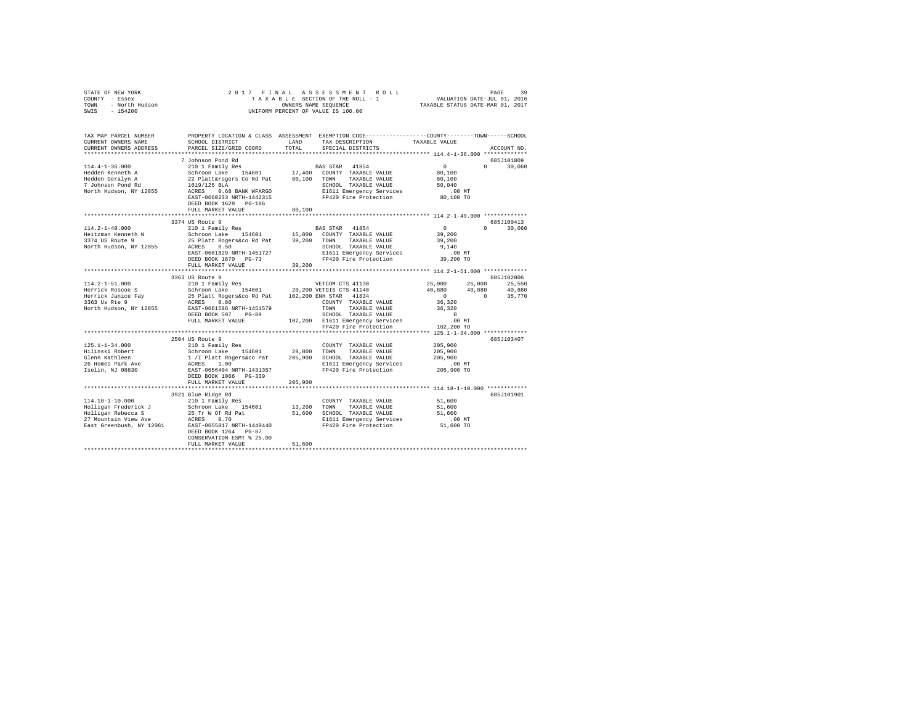| COUNTY - Essex<br>TOWN - North Hudson |                                                                                                                                                                                                                                                                                                                                                                              | OWNERS NAME SEQUENCE |                                                                                                                                                                                                 |                                                                                                                                                                        |                            |
|---------------------------------------|------------------------------------------------------------------------------------------------------------------------------------------------------------------------------------------------------------------------------------------------------------------------------------------------------------------------------------------------------------------------------|----------------------|-------------------------------------------------------------------------------------------------------------------------------------------------------------------------------------------------|------------------------------------------------------------------------------------------------------------------------------------------------------------------------|----------------------------|
| SWIS - 154200                         |                                                                                                                                                                                                                                                                                                                                                                              |                      | UNIFORM PERCENT OF VALUE IS 100.00                                                                                                                                                              |                                                                                                                                                                        |                            |
| CURRENT OWNERS ADDRESS                | PARCEL SIZE/GRID COORD                                                                                                                                                                                                                                                                                                                                                       |                      | TOTAL SPECIAL DISTRICTS                                                                                                                                                                         |                                                                                                                                                                        | ACCOUNT NO.                |
|                                       |                                                                                                                                                                                                                                                                                                                                                                              |                      |                                                                                                                                                                                                 |                                                                                                                                                                        |                            |
|                                       | 7 Johnson Pond Rd                                                                                                                                                                                                                                                                                                                                                            |                      |                                                                                                                                                                                                 |                                                                                                                                                                        | 685J101809                 |
|                                       |                                                                                                                                                                                                                                                                                                                                                                              |                      |                                                                                                                                                                                                 |                                                                                                                                                                        | $0 \t 30.060$              |
|                                       |                                                                                                                                                                                                                                                                                                                                                                              |                      |                                                                                                                                                                                                 |                                                                                                                                                                        |                            |
|                                       |                                                                                                                                                                                                                                                                                                                                                                              |                      |                                                                                                                                                                                                 |                                                                                                                                                                        |                            |
|                                       |                                                                                                                                                                                                                                                                                                                                                                              |                      |                                                                                                                                                                                                 |                                                                                                                                                                        |                            |
|                                       | DEED BOOK 1629 PG-186                                                                                                                                                                                                                                                                                                                                                        |                      |                                                                                                                                                                                                 |                                                                                                                                                                        |                            |
|                                       | FULL MARKET VALUE                                                                                                                                                                                                                                                                                                                                                            | 80,100               |                                                                                                                                                                                                 |                                                                                                                                                                        |                            |
|                                       |                                                                                                                                                                                                                                                                                                                                                                              |                      |                                                                                                                                                                                                 |                                                                                                                                                                        |                            |
|                                       | 3374 US Route 9                                                                                                                                                                                                                                                                                                                                                              |                      |                                                                                                                                                                                                 | $\sim$ 0                                                                                                                                                               | 685J100413<br>$0 \t30.060$ |
| $114.2 - 1 - 49.000$                  | 210 1 Family Res                                                                                                                                                                                                                                                                                                                                                             |                      | BAS STAR 41854                                                                                                                                                                                  | 39,200                                                                                                                                                                 |                            |
|                                       |                                                                                                                                                                                                                                                                                                                                                                              |                      |                                                                                                                                                                                                 | 39,200                                                                                                                                                                 |                            |
|                                       |                                                                                                                                                                                                                                                                                                                                                                              |                      | SCHOOL TAXABLE VALUE<br>E1611 Emanuer                                                                                                                                                           | 9,140                                                                                                                                                                  |                            |
|                                       | Example 154601 15,800 COUNTY TAXABLE VALUE<br>3374 US Route 9 25 Platt Rogers 60 Pat 39,200 TOWN TAXABLE VALUE<br>3374 US Route 9 25 Platt Rogers 60 Pat 39,200 TOWN TAXABLE VALUE<br>3374 US Route 9 25 Platt Rogers 60 Pat 39,200 TOW                                                                                                                                      |                      |                                                                                                                                                                                                 |                                                                                                                                                                        |                            |
|                                       | DEED BOOK 1670 PG-73                                                                                                                                                                                                                                                                                                                                                         |                      | E1611 Emergency Services .00 MT<br>FP420 Fire Protection 39,200 TO                                                                                                                              |                                                                                                                                                                        |                            |
|                                       | FULL MARKET VALUE                                                                                                                                                                                                                                                                                                                                                            | 39,200               |                                                                                                                                                                                                 |                                                                                                                                                                        |                            |
|                                       | ***************************                                                                                                                                                                                                                                                                                                                                                  |                      |                                                                                                                                                                                                 |                                                                                                                                                                        |                            |
|                                       |                                                                                                                                                                                                                                                                                                                                                                              |                      |                                                                                                                                                                                                 |                                                                                                                                                                        | 685J102006                 |
|                                       |                                                                                                                                                                                                                                                                                                                                                                              |                      |                                                                                                                                                                                                 |                                                                                                                                                                        |                            |
|                                       |                                                                                                                                                                                                                                                                                                                                                                              |                      |                                                                                                                                                                                                 | $\begin{array}{cccc} 25\,,000 & \quad & 25\,,000 & \quad & 25\,,550 \\ 40\,,880 & \quad & 40\,,880 & \quad & 40\,,880 \\ 0 & \quad & 0 & \quad & 35\,,770 \end{array}$ |                            |
|                                       |                                                                                                                                                                                                                                                                                                                                                                              |                      |                                                                                                                                                                                                 |                                                                                                                                                                        |                            |
|                                       |                                                                                                                                                                                                                                                                                                                                                                              |                      |                                                                                                                                                                                                 |                                                                                                                                                                        |                            |
|                                       |                                                                                                                                                                                                                                                                                                                                                                              |                      |                                                                                                                                                                                                 |                                                                                                                                                                        |                            |
|                                       | $\begin{tabular}{l c c c c c} \hline \texttt{114.2--1-51.000} & \texttt{3363 US Route 9} & \texttt{VETCOM CTS 41130} \\ \hline \texttt{114.2--1-51.000} & \texttt{3163 US Route 9} & \texttt{20,200 ETDB CTS 41140} & \texttt{40,880} & \texttt{40,001} \\ \texttt{Herrick Rosce } & \texttt{Schron LRc} & \texttt{154601} & \texttt{20,200 ETDB CTS 41140} & \texttt{40,88$ |                      |                                                                                                                                                                                                 |                                                                                                                                                                        |                            |
|                                       |                                                                                                                                                                                                                                                                                                                                                                              |                      |                                                                                                                                                                                                 |                                                                                                                                                                        |                            |
|                                       | 2504 US Route 9                                                                                                                                                                                                                                                                                                                                                              |                      |                                                                                                                                                                                                 |                                                                                                                                                                        | 685J103407                 |
|                                       |                                                                                                                                                                                                                                                                                                                                                                              |                      |                                                                                                                                                                                                 |                                                                                                                                                                        |                            |
|                                       |                                                                                                                                                                                                                                                                                                                                                                              |                      | $\begin{tabular}{lllllllllll} \multicolumn{2}{c}{\textbf{COUNTY}} & \textbf{TXABLE VALUE} & & & 205,900 \\ \multicolumn{2}{c}{\textbf{TOWN}} & \textbf{TXABLE VALUE} & & 205,900 \end{tabular}$ |                                                                                                                                                                        |                            |
|                                       |                                                                                                                                                                                                                                                                                                                                                                              |                      |                                                                                                                                                                                                 | 205,900                                                                                                                                                                |                            |
|                                       |                                                                                                                                                                                                                                                                                                                                                                              |                      |                                                                                                                                                                                                 | .00 MT                                                                                                                                                                 |                            |
|                                       |                                                                                                                                                                                                                                                                                                                                                                              |                      |                                                                                                                                                                                                 | 205,900 TO                                                                                                                                                             |                            |
|                                       | FULL MARKET VALUE                                                                                                                                                                                                                                                                                                                                                            | 205,900              |                                                                                                                                                                                                 |                                                                                                                                                                        |                            |
|                                       |                                                                                                                                                                                                                                                                                                                                                                              |                      |                                                                                                                                                                                                 |                                                                                                                                                                        |                            |
|                                       | 3921 Blue Ridge Rd                                                                                                                                                                                                                                                                                                                                                           |                      |                                                                                                                                                                                                 |                                                                                                                                                                        | 685J101901                 |
|                                       |                                                                                                                                                                                                                                                                                                                                                                              |                      | COUNTY TAXABLE VALUE                                                                                                                                                                            | 51,600                                                                                                                                                                 |                            |
|                                       |                                                                                                                                                                                                                                                                                                                                                                              |                      |                                                                                                                                                                                                 |                                                                                                                                                                        |                            |
|                                       |                                                                                                                                                                                                                                                                                                                                                                              |                      |                                                                                                                                                                                                 |                                                                                                                                                                        |                            |
|                                       |                                                                                                                                                                                                                                                                                                                                                                              |                      | 13,200 COMM INXABLE VALUE<br>51,600 SCHOOL TAXABLE VALUE<br>51,600 SCHOOL TAXABLE VALUE<br>EIGIL Emergency Services<br>FP420 Fire Protection 51,600 TO                                          |                                                                                                                                                                        |                            |
|                                       | 114.18-1-10.000<br>Holligan Frederick J and 1 Family Res<br>Holligan Frederick J Schroon Lake 154601<br>27 Mountain View Ave ACRSS 0.70<br>27 Mountain View Ave ACRSS 0.70<br>EAST-0655817 NRTH-1440440<br>EAST-0655817 NRTH-1440440<br>EAS                                                                                                                                  |                      |                                                                                                                                                                                                 |                                                                                                                                                                        |                            |
|                                       | CONSERVATION ESMT % 25.00                                                                                                                                                                                                                                                                                                                                                    |                      |                                                                                                                                                                                                 |                                                                                                                                                                        |                            |
|                                       | FULL MARKET VALUE                                                                                                                                                                                                                                                                                                                                                            | 51,600               |                                                                                                                                                                                                 |                                                                                                                                                                        |                            |
|                                       |                                                                                                                                                                                                                                                                                                                                                                              |                      |                                                                                                                                                                                                 |                                                                                                                                                                        |                            |

STATE OF NEW YORK 2017 FINAL ASSESSMENT ROLL PAGE 39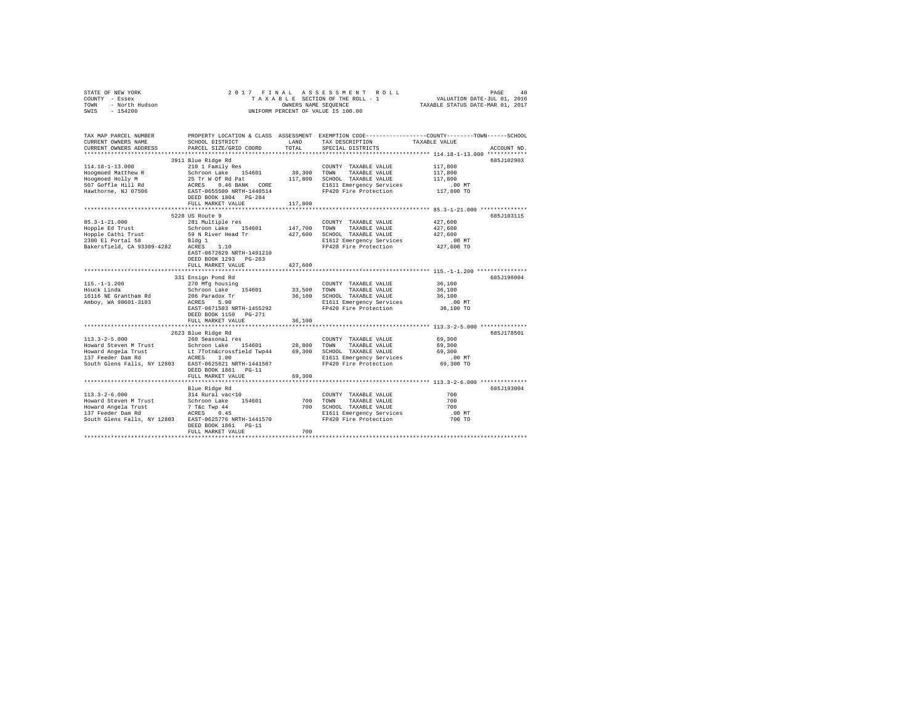| STATE OF NEW YORK<br>COUNTY - Essex<br>- North Hudson<br>TOWN<br>SWIS<br>$-154200$ | 2017 FINAL                                         | OWNERS NAME SEQUENCE | ASSESSMENT ROLL<br>TAXABLE SECTION OF THE ROLL - 1<br>UNIFORM PERCENT OF VALUE IS 100.00 | PAGE<br>VALUATION DATE-JUL 01, 2016<br>TAXABLE STATUS DATE-MAR 01, 2017                        | 40 |
|------------------------------------------------------------------------------------|----------------------------------------------------|----------------------|------------------------------------------------------------------------------------------|------------------------------------------------------------------------------------------------|----|
|                                                                                    |                                                    |                      |                                                                                          |                                                                                                |    |
| TAX MAP PARCEL NUMBER                                                              |                                                    |                      |                                                                                          | PROPERTY LOCATION & CLASS ASSESSMENT EXEMPTION CODE---------------COUNTY-------TOWN-----SCHOOL |    |
| CURRENT OWNERS NAME                                                                | SCHOOL DISTRICT                                    | LAND                 | TAX DESCRIPTION                                                                          | TAXABLE VALUE                                                                                  |    |
| CURRENT OWNERS ADDRESS                                                             | PARCEL SIZE/GRID COORD                             | TOTAL                | SPECIAL DISTRICTS                                                                        | ACCOUNT NO.                                                                                    |    |
|                                                                                    |                                                    |                      |                                                                                          |                                                                                                |    |
|                                                                                    | 3911 Blue Ridge Rd                                 |                      |                                                                                          | 685J102903                                                                                     |    |
| $114.18 - 1 - 13.000$                                                              | 210 1 Family Res                                   |                      | COUNTY TAXABLE VALUE                                                                     | 117,800                                                                                        |    |
| Hoogmoed Matthew R                                                                 | Schroon Lake 154601                                | 39,300               | TOWN<br>TAXABLE VALUE                                                                    | 117,800                                                                                        |    |
| Hoogmoed Holly M                                                                   | 25 Tr W Of Rd Pat                                  | 117,800              | SCHOOL TAXABLE VALUE                                                                     | 117,800                                                                                        |    |
| 507 Goffle Hill Rd                                                                 | ACRES 0.46 BANK CORE                               |                      | E1611 Emergency Services                                                                 | $.00$ MT                                                                                       |    |
| Hawthorne, NJ 07506                                                                | EAST-0655500 NRTH-1440514<br>DEED BOOK 1804 PG-284 |                      | FP420 Fire Protection                                                                    | 117,800 TO                                                                                     |    |
|                                                                                    | FULL MARKET VALUE                                  |                      |                                                                                          |                                                                                                |    |
|                                                                                    | ****************************                       | 117,800              |                                                                                          |                                                                                                |    |
|                                                                                    | 5228 US Route 9                                    |                      |                                                                                          | 685J103115                                                                                     |    |
| $85.3 - 1 - 21.000$                                                                | 281 Multiple res                                   |                      | COUNTY TAXABLE VALUE                                                                     | 427,600                                                                                        |    |
| Hopple Ed Trust                                                                    | Schroon Lake 154601                                | 147,700              | TOWN<br>TAXABLE VALUE                                                                    | 427,600                                                                                        |    |
| Hopple Cathi Trust                                                                 | 59 N River Head Tr                                 | 427,600              | SCHOOL TAXABLE VALUE                                                                     | 427,600                                                                                        |    |
| 2300 El Portal 58                                                                  | Bldg 1                                             |                      | E1612 Emergency Services                                                                 | $.00$ MT                                                                                       |    |
| Bakersfield, CA 93309-4282                                                         | ACRES<br>1.10                                      |                      | FP420 Fire Protection                                                                    | 427,600 TO                                                                                     |    |
|                                                                                    | EAST-0672629 NRTH-1491210                          |                      |                                                                                          |                                                                                                |    |
|                                                                                    | DEED BOOK 1293 PG-263                              |                      |                                                                                          |                                                                                                |    |
|                                                                                    | FULL MARKET VALUE                                  | 427.600              |                                                                                          |                                                                                                |    |
|                                                                                    |                                                    |                      |                                                                                          |                                                                                                |    |
|                                                                                    | 331 Ensign Pond Rd                                 |                      |                                                                                          | 685J198004                                                                                     |    |
| $115. - 1 - 1.200$                                                                 | 270 Mfg housing                                    |                      | COUNTY TAXABLE VALUE                                                                     | 36,100                                                                                         |    |
| Houck Linda                                                                        | Schroon Lake 154601                                | 33,500               | TAXABLE VALUE<br>TOWN                                                                    | 36,100                                                                                         |    |
| 16116 NE Grantham Rd                                                               | 206 Paradox Tr                                     | 36,100               | SCHOOL TAXABLE VALUE                                                                     | 36,100                                                                                         |    |
| Amboy, WA 98601-3103                                                               | ACRES 5.90                                         |                      | E1611 Emergency Services                                                                 | .00MT                                                                                          |    |
|                                                                                    | EAST-0671503 NRTH-1455292                          |                      | FP420 Fire Protection                                                                    | 36,100 TO                                                                                      |    |
|                                                                                    | DEED BOOK 1150 PG-271                              |                      |                                                                                          |                                                                                                |    |
|                                                                                    | FULL MARKET VALUE                                  | 36,100               |                                                                                          |                                                                                                |    |
|                                                                                    |                                                    |                      |                                                                                          |                                                                                                |    |
|                                                                                    | 2623 Blue Ridge Rd                                 |                      |                                                                                          | 685J178501                                                                                     |    |
| $113.3 - 2 - 5.000$                                                                | 260 Seasonal res                                   |                      | COUNTY TAXABLE VALUE                                                                     | 69,300                                                                                         |    |
| Howard Steven M Trust                                                              | Schroon Lake 154601                                | 28,800               | TAXABLE VALUE<br>TOWN                                                                    | 69,300                                                                                         |    |
| Howard Angela Trust                                                                | Lt 7Totn&crossfield Twp44 69,300                   |                      | SCHOOL TAXABLE VALUE                                                                     | 69,300                                                                                         |    |
| 137 Feeder Dam Rd                                                                  | ACRES 1.00                                         |                      | E1611 Emergency Services                                                                 | $.00$ MT                                                                                       |    |
| South Glens Falls, NY 12803 EAST-0625621 NRTH-1441567                              |                                                    |                      | FP420 Fire Protection                                                                    | 69,300 TO                                                                                      |    |
|                                                                                    | DEED BOOK 1861 PG-11                               |                      |                                                                                          |                                                                                                |    |
|                                                                                    | FULL MARKET VALUE                                  | 69,300               |                                                                                          |                                                                                                |    |
|                                                                                    | Blue Ridge Rd                                      |                      |                                                                                          | 685J193004                                                                                     |    |
| $113.3 - 2 - 6.000$                                                                | 314 Rural vac<10                                   |                      | COUNTY TAXABLE VALUE                                                                     | 700                                                                                            |    |
| Howard Steven M Trust                                                              | Schroon Lake 154601                                | 700                  | TOWN<br>TAXABLE VALUE                                                                    | 700                                                                                            |    |
| Howard Angela Trust                                                                |                                                    | 700                  | SCHOOL TAXABLE VALUE                                                                     | 700                                                                                            |    |
| 137 Feeder Dam Rd                                                                  | 7 T&C Twp 44<br>ACRES 0.45                         |                      | E1611 Emergency Services                                                                 | $.00$ MT                                                                                       |    |
| South Glens Falls, NY 12803 EAST-0625776 NRTH-1441570                              |                                                    |                      | FP420 Fire Protection                                                                    | 700 TO                                                                                         |    |
|                                                                                    | DEED BOOK 1861 PG-11                               |                      |                                                                                          |                                                                                                |    |
|                                                                                    | FULL MARKET VALUE                                  | 700                  |                                                                                          |                                                                                                |    |
|                                                                                    |                                                    |                      |                                                                                          |                                                                                                |    |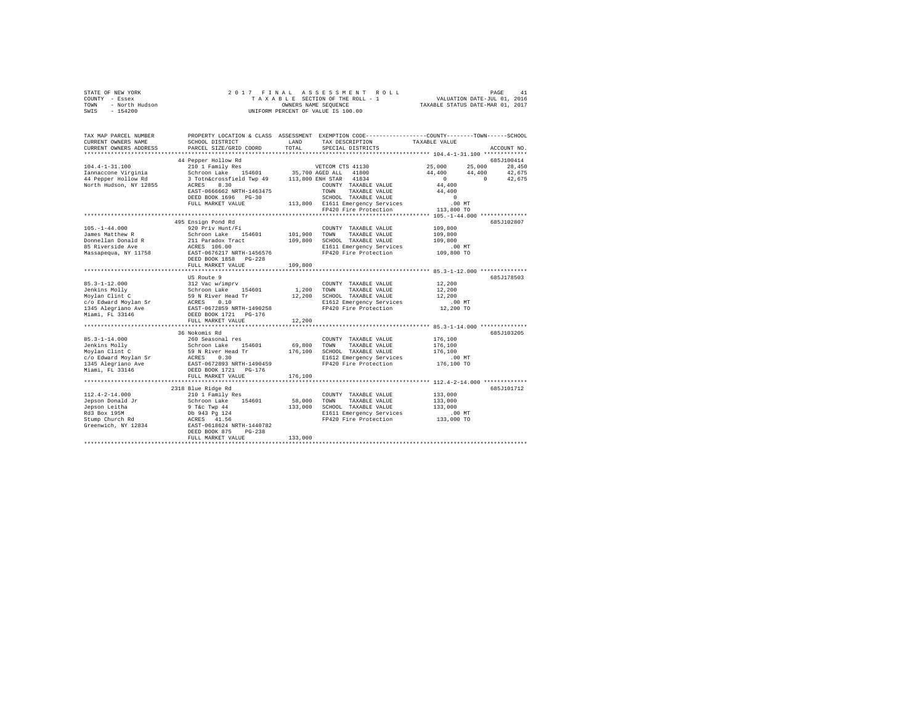| PROPERTY LOCATION & CLASS ASSESSMENT EXEMPTION CODE---------------COUNTY-------TOWN------SCHOOL<br>TAX MAP PARCEL NUMBER<br>TAX DESCRIPTION<br>TAXABLE VALUE<br>LAND<br>CURRENT OWNERS NAME<br>SCHOOL DISTRICT<br>TOTAL<br>CURRENT OWNERS ADDRESS<br>PARCEL SIZE/GRID COORD<br>SPECIAL DISTRICTS<br>ACCOUNT NO.<br>************************<br>44 Pepper Hollow Rd<br>685J100414<br>210 1 Family Res<br>25,000<br>25,000<br>$104.4 - 1 - 31.100$<br>VETCOM CTS 41130<br>28,450<br>Schroon Lake 154601<br>Schroon Lake 154601 35,700 AGED ALL 41800<br>3 Totn&crossfield Twp 49 113,800 ENH STAR 41834<br>44,400<br>42,675<br>Iannaccone Virginia<br>44,400<br>44 Pepper Hollow Rd<br>$\sim$ 0<br>$\sim$ 0<br>42,675<br>North Hudson, NY 12855<br>ACRES 8.30<br>COUNTY TAXABLE VALUE<br>44,400<br>EAST-0666662 NRTH-1463475<br>TOWN<br>TAXABLE VALUE<br>44,400<br>SCHOOL TAXABLE VALUE<br>DEED BOOK 1696 PG-30<br>$\sim$ 0<br>113,800 E1611 Emergency Services<br>.00MT<br>FULL MARKET VALUE<br>FP420 Fire Protection<br>113,800 TO<br>495 Ensign Pond Rd<br>685J102807<br>$105. - 1 - 44.000$<br>920 Priv Hunt/Fi<br>109,800<br>COUNTY TAXABLE VALUE<br>James Matthew R<br>Schroon Lake 154601<br>211 Paradox Tract<br>ACRES 106.00<br>101,900<br>TOWN<br>109,800<br>TAXABLE VALUE<br>Donnellan Donald R<br>109,800 SCHOOL TAXABLE VALUE<br>109,800<br>85 Riverside Ave<br>E1611 Emergency Services<br>$.00$ MT<br>FP420 Fire Protection<br>EAST-0676217 NRTH-1456576<br>Massapequa, NY 11758<br>109,800 TO<br>DEED BOOK 1858 PG-228<br>109,800<br>FULL MARKET VALUE<br>US Route 9<br>685J178503<br>$[32.3-1-12.000] \put(0,0){\line(0,1)}{3.12\ {\rm{VaC}}\ {\rm{W}}}\put(0,0){\line(0,1)}{3.12\ {\rm{VaC}}\ {\rm{W}}}\put(0,0){\line(0,1)}{3.12\ {\rm{VaC}}\ {\rm{W}}}\put(0,0){\line(0,1)}{3.12\ {\rm{VaC}}\ {\rm{W}}}\put(0,0){\line(0,1)}{3.12\ {\rm{VaC}}\ {\rm{W}}}\put(0,0){\line(0,1)}{3.12\ {\rm{VaC}}\ {\rm{W}}}\put(0,0){\line(0,1$<br>12,200<br>COUNTY TAXABLE VALUE<br>12,200<br>1,200<br>TOWN<br>TAXABLE VALUE<br>12,200 SCHOOL TAXABLE VALUE<br>12,200<br>E1612 Emergency Services<br>$.00$ MT<br>FP420 Fire Protection<br>12,200 TO<br>Miami, FL 33146<br>DEED BOOK 1721 PG-176<br>12,200<br>FULL MARKET VALUE<br>****************************<br>**************************** 85.3-1-14.000 **************<br>36 Nokomis Rd<br>685J103205<br>$85.3 - 1 - 14.000$<br>176,100<br>260 Seasonal res<br>COUNTY TAXABLE VALUE<br>69,800<br>Jenkins Molly<br>Schroon Lake 154601<br>59 N River Head Tr<br>ACRES 0.30<br>TAXABLE VALUE<br>176,100<br>TOWN<br>Moylan Clint C<br>176,100<br>176,100<br>SCHOOL TAXABLE VALUE<br>c/o Edward Moylan Sr<br>1345 Alegriano Ave<br>ACRES 0.30<br>EAST-0672893 NRTH-1490459<br>E1612 Emergency Services<br>$.00$ MT<br>FP420 Fire Protection<br>176,100 TO<br>Miami, FL 33146<br>FULL MARKET VALUE<br>176,100<br>*************************<br>**************************** 112.4-2-14.000 *************<br>2318 Blue Ridge Rd<br>685J101712<br>$112.4 - 2 - 14.000$<br>210 1 Family Res<br>133,000<br>COUNTY TAXABLE VALUE<br>58,000<br>Jepson Donald Jr<br>Schroon Lake 154601<br>9 T&C Twp 44<br>Db 943 Pg 124<br>SERST-0618624 NRTH-1440782<br>EAST-0618624 NRTH-1440782<br>TOWN<br>TAXABLE VALUE<br>133,000<br>Jepson Leitha<br>133,000<br>SCHOOL TAXABLE VALUE<br>133,000<br>Rd3 Box 195M<br>E1611 Emergency Services .00 MT<br>FP420 Fire Protection .00 TO<br>Stump Church Rd<br>Greenwich, NY 12834<br>DEED BOOK 875<br>$PG-238$<br>133,000<br>FULL MARKET VALUE | STATE OF NEW YORK<br>COUNTY - Essex<br>- North Hudson<br>TOWN<br>$-154200$<br>SWIS | 2017 FINAL | ASSESSMENT<br>ROLL<br>TAXABLE SECTION OF THE ROLL - 1<br>OWNERS NAME SEQUENCE<br>UNIFORM PERCENT OF VALUE IS 100.00 | PAGE 41<br>VALUATION DATE-JUL 01, 2016<br>TAXABLE STATUS DATE-MAR 01, 2017 |  |
|---------------------------------------------------------------------------------------------------------------------------------------------------------------------------------------------------------------------------------------------------------------------------------------------------------------------------------------------------------------------------------------------------------------------------------------------------------------------------------------------------------------------------------------------------------------------------------------------------------------------------------------------------------------------------------------------------------------------------------------------------------------------------------------------------------------------------------------------------------------------------------------------------------------------------------------------------------------------------------------------------------------------------------------------------------------------------------------------------------------------------------------------------------------------------------------------------------------------------------------------------------------------------------------------------------------------------------------------------------------------------------------------------------------------------------------------------------------------------------------------------------------------------------------------------------------------------------------------------------------------------------------------------------------------------------------------------------------------------------------------------------------------------------------------------------------------------------------------------------------------------------------------------------------------------------------------------------------------------------------------------------------------------------------------------------------------------------------------------------------------------------------------------------------------------------------------------------------------------------------------------------------------------------------------------------------------------------------------------------------------------------------------------------------------------------------------------------------------------------------------------------------------------------------------------------------------------------------------------------------------------------------------------------------------------------------------------------------------------------------------------------------------------------------------------------------------------------------------------------------------------------------------------------------------------------------------------------------------------------------------------------------------------------------------------------------------------------------------------------------------------------------------------------------------------------------------------------------------------------------------------------------------------------------------------------------------------------------------------------------------------------------------------------------------------------------------------------------------------------------------------------------------------|------------------------------------------------------------------------------------|------------|---------------------------------------------------------------------------------------------------------------------|----------------------------------------------------------------------------|--|
|                                                                                                                                                                                                                                                                                                                                                                                                                                                                                                                                                                                                                                                                                                                                                                                                                                                                                                                                                                                                                                                                                                                                                                                                                                                                                                                                                                                                                                                                                                                                                                                                                                                                                                                                                                                                                                                                                                                                                                                                                                                                                                                                                                                                                                                                                                                                                                                                                                                                                                                                                                                                                                                                                                                                                                                                                                                                                                                                                                                                                                                                                                                                                                                                                                                                                                                                                                                                                                                                                                                           |                                                                                    |            |                                                                                                                     |                                                                            |  |
|                                                                                                                                                                                                                                                                                                                                                                                                                                                                                                                                                                                                                                                                                                                                                                                                                                                                                                                                                                                                                                                                                                                                                                                                                                                                                                                                                                                                                                                                                                                                                                                                                                                                                                                                                                                                                                                                                                                                                                                                                                                                                                                                                                                                                                                                                                                                                                                                                                                                                                                                                                                                                                                                                                                                                                                                                                                                                                                                                                                                                                                                                                                                                                                                                                                                                                                                                                                                                                                                                                                           |                                                                                    |            |                                                                                                                     |                                                                            |  |
|                                                                                                                                                                                                                                                                                                                                                                                                                                                                                                                                                                                                                                                                                                                                                                                                                                                                                                                                                                                                                                                                                                                                                                                                                                                                                                                                                                                                                                                                                                                                                                                                                                                                                                                                                                                                                                                                                                                                                                                                                                                                                                                                                                                                                                                                                                                                                                                                                                                                                                                                                                                                                                                                                                                                                                                                                                                                                                                                                                                                                                                                                                                                                                                                                                                                                                                                                                                                                                                                                                                           |                                                                                    |            |                                                                                                                     |                                                                            |  |
|                                                                                                                                                                                                                                                                                                                                                                                                                                                                                                                                                                                                                                                                                                                                                                                                                                                                                                                                                                                                                                                                                                                                                                                                                                                                                                                                                                                                                                                                                                                                                                                                                                                                                                                                                                                                                                                                                                                                                                                                                                                                                                                                                                                                                                                                                                                                                                                                                                                                                                                                                                                                                                                                                                                                                                                                                                                                                                                                                                                                                                                                                                                                                                                                                                                                                                                                                                                                                                                                                                                           |                                                                                    |            |                                                                                                                     |                                                                            |  |
|                                                                                                                                                                                                                                                                                                                                                                                                                                                                                                                                                                                                                                                                                                                                                                                                                                                                                                                                                                                                                                                                                                                                                                                                                                                                                                                                                                                                                                                                                                                                                                                                                                                                                                                                                                                                                                                                                                                                                                                                                                                                                                                                                                                                                                                                                                                                                                                                                                                                                                                                                                                                                                                                                                                                                                                                                                                                                                                                                                                                                                                                                                                                                                                                                                                                                                                                                                                                                                                                                                                           |                                                                                    |            |                                                                                                                     |                                                                            |  |
|                                                                                                                                                                                                                                                                                                                                                                                                                                                                                                                                                                                                                                                                                                                                                                                                                                                                                                                                                                                                                                                                                                                                                                                                                                                                                                                                                                                                                                                                                                                                                                                                                                                                                                                                                                                                                                                                                                                                                                                                                                                                                                                                                                                                                                                                                                                                                                                                                                                                                                                                                                                                                                                                                                                                                                                                                                                                                                                                                                                                                                                                                                                                                                                                                                                                                                                                                                                                                                                                                                                           |                                                                                    |            |                                                                                                                     |                                                                            |  |
|                                                                                                                                                                                                                                                                                                                                                                                                                                                                                                                                                                                                                                                                                                                                                                                                                                                                                                                                                                                                                                                                                                                                                                                                                                                                                                                                                                                                                                                                                                                                                                                                                                                                                                                                                                                                                                                                                                                                                                                                                                                                                                                                                                                                                                                                                                                                                                                                                                                                                                                                                                                                                                                                                                                                                                                                                                                                                                                                                                                                                                                                                                                                                                                                                                                                                                                                                                                                                                                                                                                           |                                                                                    |            |                                                                                                                     |                                                                            |  |
|                                                                                                                                                                                                                                                                                                                                                                                                                                                                                                                                                                                                                                                                                                                                                                                                                                                                                                                                                                                                                                                                                                                                                                                                                                                                                                                                                                                                                                                                                                                                                                                                                                                                                                                                                                                                                                                                                                                                                                                                                                                                                                                                                                                                                                                                                                                                                                                                                                                                                                                                                                                                                                                                                                                                                                                                                                                                                                                                                                                                                                                                                                                                                                                                                                                                                                                                                                                                                                                                                                                           |                                                                                    |            |                                                                                                                     |                                                                            |  |
|                                                                                                                                                                                                                                                                                                                                                                                                                                                                                                                                                                                                                                                                                                                                                                                                                                                                                                                                                                                                                                                                                                                                                                                                                                                                                                                                                                                                                                                                                                                                                                                                                                                                                                                                                                                                                                                                                                                                                                                                                                                                                                                                                                                                                                                                                                                                                                                                                                                                                                                                                                                                                                                                                                                                                                                                                                                                                                                                                                                                                                                                                                                                                                                                                                                                                                                                                                                                                                                                                                                           |                                                                                    |            |                                                                                                                     |                                                                            |  |
|                                                                                                                                                                                                                                                                                                                                                                                                                                                                                                                                                                                                                                                                                                                                                                                                                                                                                                                                                                                                                                                                                                                                                                                                                                                                                                                                                                                                                                                                                                                                                                                                                                                                                                                                                                                                                                                                                                                                                                                                                                                                                                                                                                                                                                                                                                                                                                                                                                                                                                                                                                                                                                                                                                                                                                                                                                                                                                                                                                                                                                                                                                                                                                                                                                                                                                                                                                                                                                                                                                                           |                                                                                    |            |                                                                                                                     |                                                                            |  |
|                                                                                                                                                                                                                                                                                                                                                                                                                                                                                                                                                                                                                                                                                                                                                                                                                                                                                                                                                                                                                                                                                                                                                                                                                                                                                                                                                                                                                                                                                                                                                                                                                                                                                                                                                                                                                                                                                                                                                                                                                                                                                                                                                                                                                                                                                                                                                                                                                                                                                                                                                                                                                                                                                                                                                                                                                                                                                                                                                                                                                                                                                                                                                                                                                                                                                                                                                                                                                                                                                                                           |                                                                                    |            |                                                                                                                     |                                                                            |  |
|                                                                                                                                                                                                                                                                                                                                                                                                                                                                                                                                                                                                                                                                                                                                                                                                                                                                                                                                                                                                                                                                                                                                                                                                                                                                                                                                                                                                                                                                                                                                                                                                                                                                                                                                                                                                                                                                                                                                                                                                                                                                                                                                                                                                                                                                                                                                                                                                                                                                                                                                                                                                                                                                                                                                                                                                                                                                                                                                                                                                                                                                                                                                                                                                                                                                                                                                                                                                                                                                                                                           |                                                                                    |            |                                                                                                                     |                                                                            |  |
|                                                                                                                                                                                                                                                                                                                                                                                                                                                                                                                                                                                                                                                                                                                                                                                                                                                                                                                                                                                                                                                                                                                                                                                                                                                                                                                                                                                                                                                                                                                                                                                                                                                                                                                                                                                                                                                                                                                                                                                                                                                                                                                                                                                                                                                                                                                                                                                                                                                                                                                                                                                                                                                                                                                                                                                                                                                                                                                                                                                                                                                                                                                                                                                                                                                                                                                                                                                                                                                                                                                           |                                                                                    |            |                                                                                                                     |                                                                            |  |
|                                                                                                                                                                                                                                                                                                                                                                                                                                                                                                                                                                                                                                                                                                                                                                                                                                                                                                                                                                                                                                                                                                                                                                                                                                                                                                                                                                                                                                                                                                                                                                                                                                                                                                                                                                                                                                                                                                                                                                                                                                                                                                                                                                                                                                                                                                                                                                                                                                                                                                                                                                                                                                                                                                                                                                                                                                                                                                                                                                                                                                                                                                                                                                                                                                                                                                                                                                                                                                                                                                                           |                                                                                    |            |                                                                                                                     |                                                                            |  |
|                                                                                                                                                                                                                                                                                                                                                                                                                                                                                                                                                                                                                                                                                                                                                                                                                                                                                                                                                                                                                                                                                                                                                                                                                                                                                                                                                                                                                                                                                                                                                                                                                                                                                                                                                                                                                                                                                                                                                                                                                                                                                                                                                                                                                                                                                                                                                                                                                                                                                                                                                                                                                                                                                                                                                                                                                                                                                                                                                                                                                                                                                                                                                                                                                                                                                                                                                                                                                                                                                                                           |                                                                                    |            |                                                                                                                     |                                                                            |  |
|                                                                                                                                                                                                                                                                                                                                                                                                                                                                                                                                                                                                                                                                                                                                                                                                                                                                                                                                                                                                                                                                                                                                                                                                                                                                                                                                                                                                                                                                                                                                                                                                                                                                                                                                                                                                                                                                                                                                                                                                                                                                                                                                                                                                                                                                                                                                                                                                                                                                                                                                                                                                                                                                                                                                                                                                                                                                                                                                                                                                                                                                                                                                                                                                                                                                                                                                                                                                                                                                                                                           |                                                                                    |            |                                                                                                                     |                                                                            |  |
|                                                                                                                                                                                                                                                                                                                                                                                                                                                                                                                                                                                                                                                                                                                                                                                                                                                                                                                                                                                                                                                                                                                                                                                                                                                                                                                                                                                                                                                                                                                                                                                                                                                                                                                                                                                                                                                                                                                                                                                                                                                                                                                                                                                                                                                                                                                                                                                                                                                                                                                                                                                                                                                                                                                                                                                                                                                                                                                                                                                                                                                                                                                                                                                                                                                                                                                                                                                                                                                                                                                           |                                                                                    |            |                                                                                                                     |                                                                            |  |
|                                                                                                                                                                                                                                                                                                                                                                                                                                                                                                                                                                                                                                                                                                                                                                                                                                                                                                                                                                                                                                                                                                                                                                                                                                                                                                                                                                                                                                                                                                                                                                                                                                                                                                                                                                                                                                                                                                                                                                                                                                                                                                                                                                                                                                                                                                                                                                                                                                                                                                                                                                                                                                                                                                                                                                                                                                                                                                                                                                                                                                                                                                                                                                                                                                                                                                                                                                                                                                                                                                                           |                                                                                    |            |                                                                                                                     |                                                                            |  |
|                                                                                                                                                                                                                                                                                                                                                                                                                                                                                                                                                                                                                                                                                                                                                                                                                                                                                                                                                                                                                                                                                                                                                                                                                                                                                                                                                                                                                                                                                                                                                                                                                                                                                                                                                                                                                                                                                                                                                                                                                                                                                                                                                                                                                                                                                                                                                                                                                                                                                                                                                                                                                                                                                                                                                                                                                                                                                                                                                                                                                                                                                                                                                                                                                                                                                                                                                                                                                                                                                                                           |                                                                                    |            |                                                                                                                     |                                                                            |  |
|                                                                                                                                                                                                                                                                                                                                                                                                                                                                                                                                                                                                                                                                                                                                                                                                                                                                                                                                                                                                                                                                                                                                                                                                                                                                                                                                                                                                                                                                                                                                                                                                                                                                                                                                                                                                                                                                                                                                                                                                                                                                                                                                                                                                                                                                                                                                                                                                                                                                                                                                                                                                                                                                                                                                                                                                                                                                                                                                                                                                                                                                                                                                                                                                                                                                                                                                                                                                                                                                                                                           |                                                                                    |            |                                                                                                                     |                                                                            |  |
|                                                                                                                                                                                                                                                                                                                                                                                                                                                                                                                                                                                                                                                                                                                                                                                                                                                                                                                                                                                                                                                                                                                                                                                                                                                                                                                                                                                                                                                                                                                                                                                                                                                                                                                                                                                                                                                                                                                                                                                                                                                                                                                                                                                                                                                                                                                                                                                                                                                                                                                                                                                                                                                                                                                                                                                                                                                                                                                                                                                                                                                                                                                                                                                                                                                                                                                                                                                                                                                                                                                           |                                                                                    |            |                                                                                                                     |                                                                            |  |
|                                                                                                                                                                                                                                                                                                                                                                                                                                                                                                                                                                                                                                                                                                                                                                                                                                                                                                                                                                                                                                                                                                                                                                                                                                                                                                                                                                                                                                                                                                                                                                                                                                                                                                                                                                                                                                                                                                                                                                                                                                                                                                                                                                                                                                                                                                                                                                                                                                                                                                                                                                                                                                                                                                                                                                                                                                                                                                                                                                                                                                                                                                                                                                                                                                                                                                                                                                                                                                                                                                                           |                                                                                    |            |                                                                                                                     |                                                                            |  |
|                                                                                                                                                                                                                                                                                                                                                                                                                                                                                                                                                                                                                                                                                                                                                                                                                                                                                                                                                                                                                                                                                                                                                                                                                                                                                                                                                                                                                                                                                                                                                                                                                                                                                                                                                                                                                                                                                                                                                                                                                                                                                                                                                                                                                                                                                                                                                                                                                                                                                                                                                                                                                                                                                                                                                                                                                                                                                                                                                                                                                                                                                                                                                                                                                                                                                                                                                                                                                                                                                                                           |                                                                                    |            |                                                                                                                     |                                                                            |  |
|                                                                                                                                                                                                                                                                                                                                                                                                                                                                                                                                                                                                                                                                                                                                                                                                                                                                                                                                                                                                                                                                                                                                                                                                                                                                                                                                                                                                                                                                                                                                                                                                                                                                                                                                                                                                                                                                                                                                                                                                                                                                                                                                                                                                                                                                                                                                                                                                                                                                                                                                                                                                                                                                                                                                                                                                                                                                                                                                                                                                                                                                                                                                                                                                                                                                                                                                                                                                                                                                                                                           |                                                                                    |            |                                                                                                                     |                                                                            |  |
|                                                                                                                                                                                                                                                                                                                                                                                                                                                                                                                                                                                                                                                                                                                                                                                                                                                                                                                                                                                                                                                                                                                                                                                                                                                                                                                                                                                                                                                                                                                                                                                                                                                                                                                                                                                                                                                                                                                                                                                                                                                                                                                                                                                                                                                                                                                                                                                                                                                                                                                                                                                                                                                                                                                                                                                                                                                                                                                                                                                                                                                                                                                                                                                                                                                                                                                                                                                                                                                                                                                           |                                                                                    |            |                                                                                                                     |                                                                            |  |
|                                                                                                                                                                                                                                                                                                                                                                                                                                                                                                                                                                                                                                                                                                                                                                                                                                                                                                                                                                                                                                                                                                                                                                                                                                                                                                                                                                                                                                                                                                                                                                                                                                                                                                                                                                                                                                                                                                                                                                                                                                                                                                                                                                                                                                                                                                                                                                                                                                                                                                                                                                                                                                                                                                                                                                                                                                                                                                                                                                                                                                                                                                                                                                                                                                                                                                                                                                                                                                                                                                                           |                                                                                    |            |                                                                                                                     |                                                                            |  |
|                                                                                                                                                                                                                                                                                                                                                                                                                                                                                                                                                                                                                                                                                                                                                                                                                                                                                                                                                                                                                                                                                                                                                                                                                                                                                                                                                                                                                                                                                                                                                                                                                                                                                                                                                                                                                                                                                                                                                                                                                                                                                                                                                                                                                                                                                                                                                                                                                                                                                                                                                                                                                                                                                                                                                                                                                                                                                                                                                                                                                                                                                                                                                                                                                                                                                                                                                                                                                                                                                                                           |                                                                                    |            |                                                                                                                     |                                                                            |  |
|                                                                                                                                                                                                                                                                                                                                                                                                                                                                                                                                                                                                                                                                                                                                                                                                                                                                                                                                                                                                                                                                                                                                                                                                                                                                                                                                                                                                                                                                                                                                                                                                                                                                                                                                                                                                                                                                                                                                                                                                                                                                                                                                                                                                                                                                                                                                                                                                                                                                                                                                                                                                                                                                                                                                                                                                                                                                                                                                                                                                                                                                                                                                                                                                                                                                                                                                                                                                                                                                                                                           |                                                                                    |            |                                                                                                                     |                                                                            |  |
|                                                                                                                                                                                                                                                                                                                                                                                                                                                                                                                                                                                                                                                                                                                                                                                                                                                                                                                                                                                                                                                                                                                                                                                                                                                                                                                                                                                                                                                                                                                                                                                                                                                                                                                                                                                                                                                                                                                                                                                                                                                                                                                                                                                                                                                                                                                                                                                                                                                                                                                                                                                                                                                                                                                                                                                                                                                                                                                                                                                                                                                                                                                                                                                                                                                                                                                                                                                                                                                                                                                           |                                                                                    |            |                                                                                                                     |                                                                            |  |
|                                                                                                                                                                                                                                                                                                                                                                                                                                                                                                                                                                                                                                                                                                                                                                                                                                                                                                                                                                                                                                                                                                                                                                                                                                                                                                                                                                                                                                                                                                                                                                                                                                                                                                                                                                                                                                                                                                                                                                                                                                                                                                                                                                                                                                                                                                                                                                                                                                                                                                                                                                                                                                                                                                                                                                                                                                                                                                                                                                                                                                                                                                                                                                                                                                                                                                                                                                                                                                                                                                                           |                                                                                    |            |                                                                                                                     |                                                                            |  |
|                                                                                                                                                                                                                                                                                                                                                                                                                                                                                                                                                                                                                                                                                                                                                                                                                                                                                                                                                                                                                                                                                                                                                                                                                                                                                                                                                                                                                                                                                                                                                                                                                                                                                                                                                                                                                                                                                                                                                                                                                                                                                                                                                                                                                                                                                                                                                                                                                                                                                                                                                                                                                                                                                                                                                                                                                                                                                                                                                                                                                                                                                                                                                                                                                                                                                                                                                                                                                                                                                                                           |                                                                                    |            |                                                                                                                     |                                                                            |  |
|                                                                                                                                                                                                                                                                                                                                                                                                                                                                                                                                                                                                                                                                                                                                                                                                                                                                                                                                                                                                                                                                                                                                                                                                                                                                                                                                                                                                                                                                                                                                                                                                                                                                                                                                                                                                                                                                                                                                                                                                                                                                                                                                                                                                                                                                                                                                                                                                                                                                                                                                                                                                                                                                                                                                                                                                                                                                                                                                                                                                                                                                                                                                                                                                                                                                                                                                                                                                                                                                                                                           |                                                                                    |            |                                                                                                                     |                                                                            |  |
|                                                                                                                                                                                                                                                                                                                                                                                                                                                                                                                                                                                                                                                                                                                                                                                                                                                                                                                                                                                                                                                                                                                                                                                                                                                                                                                                                                                                                                                                                                                                                                                                                                                                                                                                                                                                                                                                                                                                                                                                                                                                                                                                                                                                                                                                                                                                                                                                                                                                                                                                                                                                                                                                                                                                                                                                                                                                                                                                                                                                                                                                                                                                                                                                                                                                                                                                                                                                                                                                                                                           |                                                                                    |            |                                                                                                                     |                                                                            |  |
|                                                                                                                                                                                                                                                                                                                                                                                                                                                                                                                                                                                                                                                                                                                                                                                                                                                                                                                                                                                                                                                                                                                                                                                                                                                                                                                                                                                                                                                                                                                                                                                                                                                                                                                                                                                                                                                                                                                                                                                                                                                                                                                                                                                                                                                                                                                                                                                                                                                                                                                                                                                                                                                                                                                                                                                                                                                                                                                                                                                                                                                                                                                                                                                                                                                                                                                                                                                                                                                                                                                           |                                                                                    |            |                                                                                                                     |                                                                            |  |
|                                                                                                                                                                                                                                                                                                                                                                                                                                                                                                                                                                                                                                                                                                                                                                                                                                                                                                                                                                                                                                                                                                                                                                                                                                                                                                                                                                                                                                                                                                                                                                                                                                                                                                                                                                                                                                                                                                                                                                                                                                                                                                                                                                                                                                                                                                                                                                                                                                                                                                                                                                                                                                                                                                                                                                                                                                                                                                                                                                                                                                                                                                                                                                                                                                                                                                                                                                                                                                                                                                                           |                                                                                    |            |                                                                                                                     |                                                                            |  |
|                                                                                                                                                                                                                                                                                                                                                                                                                                                                                                                                                                                                                                                                                                                                                                                                                                                                                                                                                                                                                                                                                                                                                                                                                                                                                                                                                                                                                                                                                                                                                                                                                                                                                                                                                                                                                                                                                                                                                                                                                                                                                                                                                                                                                                                                                                                                                                                                                                                                                                                                                                                                                                                                                                                                                                                                                                                                                                                                                                                                                                                                                                                                                                                                                                                                                                                                                                                                                                                                                                                           |                                                                                    |            |                                                                                                                     |                                                                            |  |
|                                                                                                                                                                                                                                                                                                                                                                                                                                                                                                                                                                                                                                                                                                                                                                                                                                                                                                                                                                                                                                                                                                                                                                                                                                                                                                                                                                                                                                                                                                                                                                                                                                                                                                                                                                                                                                                                                                                                                                                                                                                                                                                                                                                                                                                                                                                                                                                                                                                                                                                                                                                                                                                                                                                                                                                                                                                                                                                                                                                                                                                                                                                                                                                                                                                                                                                                                                                                                                                                                                                           |                                                                                    |            |                                                                                                                     |                                                                            |  |
|                                                                                                                                                                                                                                                                                                                                                                                                                                                                                                                                                                                                                                                                                                                                                                                                                                                                                                                                                                                                                                                                                                                                                                                                                                                                                                                                                                                                                                                                                                                                                                                                                                                                                                                                                                                                                                                                                                                                                                                                                                                                                                                                                                                                                                                                                                                                                                                                                                                                                                                                                                                                                                                                                                                                                                                                                                                                                                                                                                                                                                                                                                                                                                                                                                                                                                                                                                                                                                                                                                                           |                                                                                    |            |                                                                                                                     |                                                                            |  |
|                                                                                                                                                                                                                                                                                                                                                                                                                                                                                                                                                                                                                                                                                                                                                                                                                                                                                                                                                                                                                                                                                                                                                                                                                                                                                                                                                                                                                                                                                                                                                                                                                                                                                                                                                                                                                                                                                                                                                                                                                                                                                                                                                                                                                                                                                                                                                                                                                                                                                                                                                                                                                                                                                                                                                                                                                                                                                                                                                                                                                                                                                                                                                                                                                                                                                                                                                                                                                                                                                                                           |                                                                                    |            |                                                                                                                     |                                                                            |  |
|                                                                                                                                                                                                                                                                                                                                                                                                                                                                                                                                                                                                                                                                                                                                                                                                                                                                                                                                                                                                                                                                                                                                                                                                                                                                                                                                                                                                                                                                                                                                                                                                                                                                                                                                                                                                                                                                                                                                                                                                                                                                                                                                                                                                                                                                                                                                                                                                                                                                                                                                                                                                                                                                                                                                                                                                                                                                                                                                                                                                                                                                                                                                                                                                                                                                                                                                                                                                                                                                                                                           |                                                                                    |            |                                                                                                                     |                                                                            |  |
|                                                                                                                                                                                                                                                                                                                                                                                                                                                                                                                                                                                                                                                                                                                                                                                                                                                                                                                                                                                                                                                                                                                                                                                                                                                                                                                                                                                                                                                                                                                                                                                                                                                                                                                                                                                                                                                                                                                                                                                                                                                                                                                                                                                                                                                                                                                                                                                                                                                                                                                                                                                                                                                                                                                                                                                                                                                                                                                                                                                                                                                                                                                                                                                                                                                                                                                                                                                                                                                                                                                           |                                                                                    |            |                                                                                                                     |                                                                            |  |
|                                                                                                                                                                                                                                                                                                                                                                                                                                                                                                                                                                                                                                                                                                                                                                                                                                                                                                                                                                                                                                                                                                                                                                                                                                                                                                                                                                                                                                                                                                                                                                                                                                                                                                                                                                                                                                                                                                                                                                                                                                                                                                                                                                                                                                                                                                                                                                                                                                                                                                                                                                                                                                                                                                                                                                                                                                                                                                                                                                                                                                                                                                                                                                                                                                                                                                                                                                                                                                                                                                                           |                                                                                    |            |                                                                                                                     |                                                                            |  |
|                                                                                                                                                                                                                                                                                                                                                                                                                                                                                                                                                                                                                                                                                                                                                                                                                                                                                                                                                                                                                                                                                                                                                                                                                                                                                                                                                                                                                                                                                                                                                                                                                                                                                                                                                                                                                                                                                                                                                                                                                                                                                                                                                                                                                                                                                                                                                                                                                                                                                                                                                                                                                                                                                                                                                                                                                                                                                                                                                                                                                                                                                                                                                                                                                                                                                                                                                                                                                                                                                                                           |                                                                                    |            |                                                                                                                     |                                                                            |  |
|                                                                                                                                                                                                                                                                                                                                                                                                                                                                                                                                                                                                                                                                                                                                                                                                                                                                                                                                                                                                                                                                                                                                                                                                                                                                                                                                                                                                                                                                                                                                                                                                                                                                                                                                                                                                                                                                                                                                                                                                                                                                                                                                                                                                                                                                                                                                                                                                                                                                                                                                                                                                                                                                                                                                                                                                                                                                                                                                                                                                                                                                                                                                                                                                                                                                                                                                                                                                                                                                                                                           |                                                                                    |            |                                                                                                                     |                                                                            |  |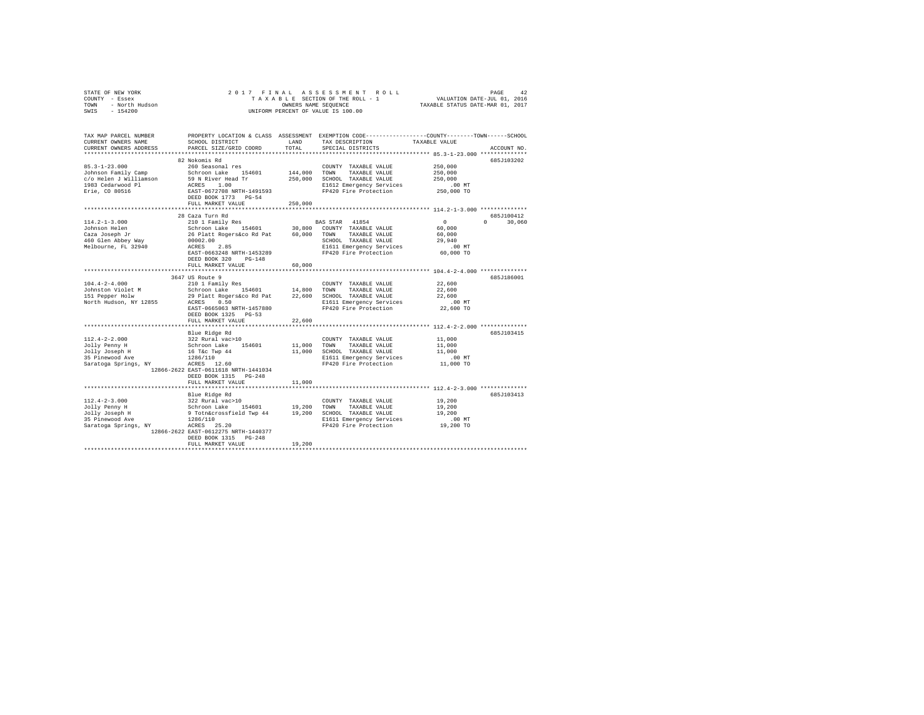| OF NEW YORK<br>Y - Essex<br>- North Hudson<br>- 154200<br>STATE OF NEW YORK<br>COUNTY - Essex<br>TOWN<br>SWIS | 2017 FINAL                                                                                                                                                                                                          |                               | TAXABLE SECTION OF THE ROLL - 1<br>OWNERS NAME SEQUENCE<br>UNIFORM PERCENT OF VALUE IS 100.00                                                    |                                                                                                                                 |  |
|---------------------------------------------------------------------------------------------------------------|---------------------------------------------------------------------------------------------------------------------------------------------------------------------------------------------------------------------|-------------------------------|--------------------------------------------------------------------------------------------------------------------------------------------------|---------------------------------------------------------------------------------------------------------------------------------|--|
| TAX MAP PARCEL NUMBER<br>CURRENT OWNERS NAME<br>CURRENT OWNERS ADDRESS                                        | SCHOOL DISTRICT<br>PARCEL SIZE/GRID COORD                                                                                                                                                                           | LAND<br>TOTAL                 | TAX DESCRIPTION<br>SPECIAL DISTRICTS                                                                                                             | PROPERTY LOCATION & CLASS ASSESSMENT EXEMPTION CODE---------------COUNTY-------TOWN------SCHOOL<br>TAXABLE VALUE<br>ACCOUNT NO. |  |
| $85.3 - 1 - 23.000$<br>Johnson Family Camp<br>c/o Helen J Williamson<br>1983 Cedarwood Pl<br>Erie, CO 80516   | 82 Nokomis Rd<br>260 Seasonal res<br>Schroon Lake 154601<br>59 N River Head Tr<br>ACRES 1.00<br>EAST-0672708 NRTH-1491593<br>DEED BOOK 1773 PG-54<br>FULL MARKET VALUE                                              | 144,000<br>250,000<br>250,000 | COUNTY TAXABLE VALUE<br>TOWN<br>TAXABLE VALUE<br>SCHOOL TAXABLE VALUE<br>E1612 Emergency Services<br>FP420 Fire Protection                       | 685J103202<br>250,000<br>250,000<br>250,000<br>$.00$ MT<br>250,000 TO                                                           |  |
|                                                                                                               |                                                                                                                                                                                                                     |                               |                                                                                                                                                  |                                                                                                                                 |  |
| $114.2 - 1 - 3.000$<br>Johnson Helen<br>Caza Joseph Jr<br>460 Glen Abbey Way<br>Melbourne, FL 32940           | 28 Caza Turn Rd<br>210 1 Family Res<br>Schroon Lake 154601<br>26 Platt Rogers&co Rd Pat<br>00002.00<br>ACRES 2.85<br>EAST-0663248 NRTH-1453289<br>DEED BOOK 320 PG-148                                              | 60,000                        | BAS STAR 41854<br>30,800 COUNTY TAXABLE VALUE<br>TOWN TAXABLE VALUE<br>SCHOOL TAXABLE VALUE<br>E1611 Emergency Services<br>FP420 Fire Protection | 685J100412<br>$\sim$ 0<br>$0 \t 30,060$<br>60,000<br>60,000<br>29,940<br>$.00$ MT<br>60,000 TO                                  |  |
|                                                                                                               | FULL MARKET VALUE                                                                                                                                                                                                   | 60,000                        |                                                                                                                                                  |                                                                                                                                 |  |
|                                                                                                               |                                                                                                                                                                                                                     |                               |                                                                                                                                                  |                                                                                                                                 |  |
| $104.4 - 2 - 4.000$<br>Johnston Violet M<br>151 Pepper Holw<br>North Hudson, NY 12855                         | 3647 US Route 9<br>210 1 Family Res<br>Schroon Lake 154601<br>29 Platt Rogers&co Rd Pat 22,600<br>ACRES 0.50<br>EAST-0665063 NRTH-1457880<br>DEED BOOK 1325 PG-53<br>FULL MARKET VALUE                              | 14,800<br>22,600              | COUNTY TAXABLE VALUE<br>TOWN<br>TAXABLE VALUE<br>SCHOOL TAXABLE VALUE<br>E1611 Emergency Services<br>FP420 Fire Protection                       | 685J186001<br>22,600<br>22,600<br>22,600<br>$.00$ MT<br>22,600 TO                                                               |  |
|                                                                                                               |                                                                                                                                                                                                                     |                               |                                                                                                                                                  |                                                                                                                                 |  |
| $112.4 - 2 - 2.000$<br>Jolly Penny H<br>Jolly Joseph H<br>35 Pinewood Ave<br>Saratoga Springs, NY             | Blue Ridge Rd<br>322 Rural vac>10<br>Schroon Lake 154601<br>16 T&c Twp 44<br>1286/110<br>ACRES 12.60<br>12866-2622 EAST-0611618 NRTH-1441034<br>DEED BOOK 1315 PG-248<br>FULL MARKET VALUE                          | 11,000<br>11,000              | COUNTY TAXABLE VALUE<br>TOWN<br>TAXABLE VALUE<br>11,000 SCHOOL TAXABLE VALUE<br>E1611 Emergency Services<br>FP420 Fire Protection                | 685J103415<br>11,000<br>11,000<br>11,000<br>.00MT<br>11,000 TO                                                                  |  |
|                                                                                                               |                                                                                                                                                                                                                     |                               |                                                                                                                                                  |                                                                                                                                 |  |
| $112.4 - 2 - 3.000$<br>Jolly Penny H<br>Jolly Joseph H<br>35 Pinewood Ave<br>Saratoga Springs, NY             | Blue Ridge Rd<br>322 Rural vac>10<br>Schroon Lake 154601 19,200<br>9 Totn&crossfield Twp 44 19,200<br>1286/110<br>ACRES 25.20<br>12866-2622 EAST-0612275 NRTH-1440377<br>DEED BOOK 1315 PG-248<br>FULL MARKET VALUE | 19,200                        | COUNTY TAXABLE VALUE<br>TOWN<br>TAXABLE VALUE<br>19,200 SCHOOL TAXABLE VALUE<br>E1611 Emergency Services<br>FP420 Fire Protection                | 685J103413<br>19,200<br>19,200<br>19,200<br>$.00$ MT<br>19,200 TO                                                               |  |
|                                                                                                               |                                                                                                                                                                                                                     |                               |                                                                                                                                                  |                                                                                                                                 |  |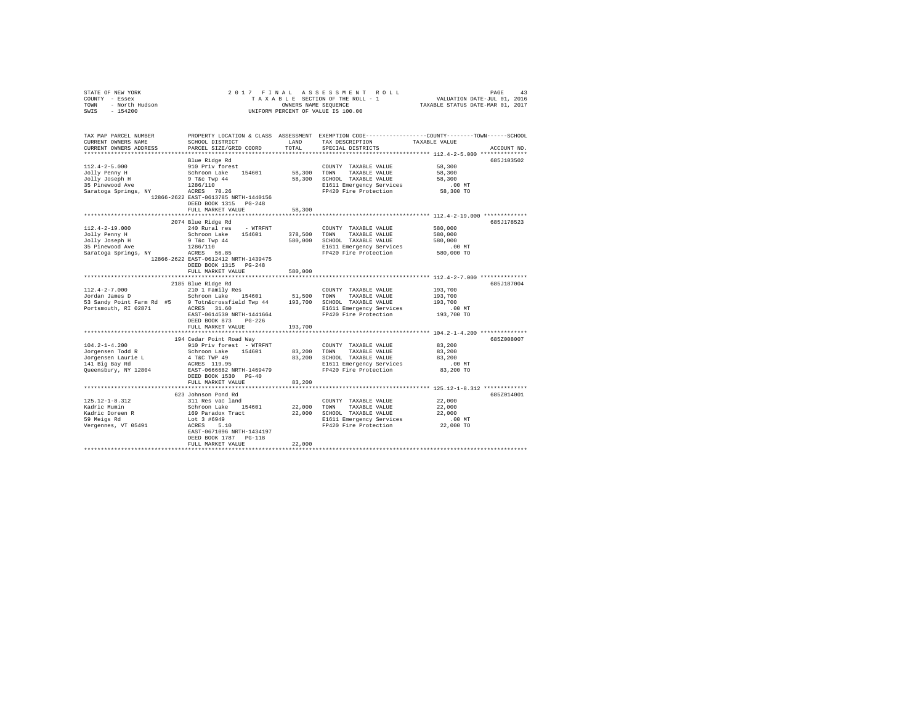| STATE OF NEW YORK<br>COUNTY - Essex<br>TOWN - North Hudson<br>SWIS - 154200                                                                                                                                                                                                                                                                                                                               |                                                                                                                                    |               | 2017 FINAL ASSESSMENT ROLL<br>UNIFORM PERCENT OF VALUE IS 100.00                                                                                                                                                                                               |                                                                                                                |
|-----------------------------------------------------------------------------------------------------------------------------------------------------------------------------------------------------------------------------------------------------------------------------------------------------------------------------------------------------------------------------------------------------------|------------------------------------------------------------------------------------------------------------------------------------|---------------|----------------------------------------------------------------------------------------------------------------------------------------------------------------------------------------------------------------------------------------------------------------|----------------------------------------------------------------------------------------------------------------|
| TAX MAP PARCEL NUMBER<br>CURRENT OWNERS NAME<br>CURRENT OWNERS ADDRESS                                                                                                                                                                                                                                                                                                                                    | SCHOOL DISTRICT<br>PARCEL SIZE/GRID COORD                                                                                          | LAND<br>TOTAL | TAX DESCRIPTION TAXABLE VALUE<br>SPECIAL DISTRICTS                                                                                                                                                                                                             | PROPERTY LOCATION & CLASS ASSESSMENT EXEMPTION CODE---------------COUNTY-------TOWN------SCHOOL<br>ACCOUNT NO. |
| $112.4 - 2 - 5.000$                                                                                                                                                                                                                                                                                                                                                                                       | Blue Ridge Rd<br>910 Priv forest<br>12866-2622 EAST-0613785 NRTH-1440156<br>DEED BOOK 1315 PG-248<br>FULL MARKET VALUE             | 58,300        | COUNTY TAXABLE VALUE<br>58,300 TOWN TAXABLE VALUE<br>COUNTY TAXABLE VALUE 58,300                                                                                                                                                                               | 685J103502<br>58,300<br>58,300<br>00 MT.<br>58,300 TO                                                          |
|                                                                                                                                                                                                                                                                                                                                                                                                           |                                                                                                                                    |               |                                                                                                                                                                                                                                                                |                                                                                                                |
| $112.4 - 2 - 19.000$<br>Jolly Penny H<br>Jolly Joseph H                                                                                                                                                                                                                                                                                                                                                   | 2074 Blue Ridge Rd<br>240 Rural res - WTRFNT<br>12866-2622 EAST-0612412 NRTH-1439475<br>DEED BOOK 1315 PG-248<br>FULL MARKET VALUE | 580,000       | COUNTY TAXABLE VALUE<br>240 Nutari Esta - Nutari 154601 - 2000 NATABLE VALUE 580,000<br>9 Tec Twp 44 580,000 SCHOOL TAXABLE VALUE 580,000<br>1286/110 580,000 SCHOOL TAXABLE VALUE 1580,000<br>286/110 EST - 2000 NT<br>286,000 NT - 2000 NET Experience SEC - | 685J178523<br>580,000                                                                                          |
|                                                                                                                                                                                                                                                                                                                                                                                                           |                                                                                                                                    |               |                                                                                                                                                                                                                                                                |                                                                                                                |
| $512.4-2-7.000$ $310.12 \text{ family} \text{ Res}$ $51500 \text{ T/NRABLE} \text{ VALUES}$ $5210.12 \text{ family} \text{ Res}$ $532.8 \text{ and } \text{y point} \text{ Farm Rd}$ $553.8 \text{ and } \text{point} \text{ Farm Rd}$ $563.8 \text{ and } \text{point} \text{ Farm Rd}$ $573.8 \text{ A} \text{ T} \text{S} \text{ (100.10)} \text{ (11.10)} \text{ (12.11)} \text{ (13.11)} \text{ (14$ | 2185 Blue Ridge Rd<br>EAST-0614530 NRTH-1441664<br>DEED BOOK 873 PG-226                                                            |               | E1611 Emergency Services<br>FP420 Fire Protection                                                                                                                                                                                                              | 685J187004<br>193,700<br>193,700<br>193,700<br>00 MT.<br>193,700 TO                                            |
|                                                                                                                                                                                                                                                                                                                                                                                                           | FULL MARKET VALUE 193,700                                                                                                          |               |                                                                                                                                                                                                                                                                |                                                                                                                |
| $104.2 - 1 - 4.200$<br>Jorgensen Todd R<br>Jorgensen Laurie L<br>141 Big Bay Rd<br>Queensbury, NY 12804                                                                                                                                                                                                                                                                                                   | 194 Cedar Point Road Way                                                                                                           |               | 191 CEM FOURTY TREASURE VALUE<br>910 Priv forest - WTRFNT<br>4 TGC TWP 49 154601 83,200 TOWN TAXABLE VALUE<br>4 TGC TWP 49 83,200 SCHOOL TAXABLE VALUE<br>ACRES 119.95 8130 SCHOOL TAXABLE VALUE<br>RAST-06666682 NRTH-1469479 FP420 Fir                       | 685Z008007<br>83,200<br>83,200<br>83,200<br>$.00$ MT<br>83,200 TO                                              |
|                                                                                                                                                                                                                                                                                                                                                                                                           | DEED BOOK 1530 PG-40<br>FULL MARKET VALUE                                                                                          | 83,200<br>.   |                                                                                                                                                                                                                                                                | **************************** 125.12-1-8.312 *************                                                      |
|                                                                                                                                                                                                                                                                                                                                                                                                           | 623 Johnson Pond Rd                                                                                                                |               |                                                                                                                                                                                                                                                                | 685Z014001                                                                                                     |
| 125.12-1-8.312<br>Kadric Mumin<br>Kadric Doreen R<br>59 Meigs Rd<br>Vergennes, VT 05491                                                                                                                                                                                                                                                                                                                   | 311 Res vac land<br>Schroon Lake 154601 22,000 TOWN TAXABLE VALUE<br>EAST-0671096 NRTH-1434197<br>DEED BOOK 1787 PG-118            |               | COUNTY TAXABLE VALUE<br>169 Paradox Tract 22,000 SCHOOL TAXABLE VALUE 22,000<br>Lot 3 #6949 Paradox Tract 22,000 SCHOOL TAXABLE VALUE<br>22,000 Dol 3 = 1611 Emergency Services 22,000 TO<br>22,000 TO PF420 Pire Protection 22,000 TO                         | 22,000<br>22,000                                                                                               |
|                                                                                                                                                                                                                                                                                                                                                                                                           | FULL MARKET VALUE                                                                                                                  | 22,000        |                                                                                                                                                                                                                                                                |                                                                                                                |
|                                                                                                                                                                                                                                                                                                                                                                                                           |                                                                                                                                    |               |                                                                                                                                                                                                                                                                |                                                                                                                |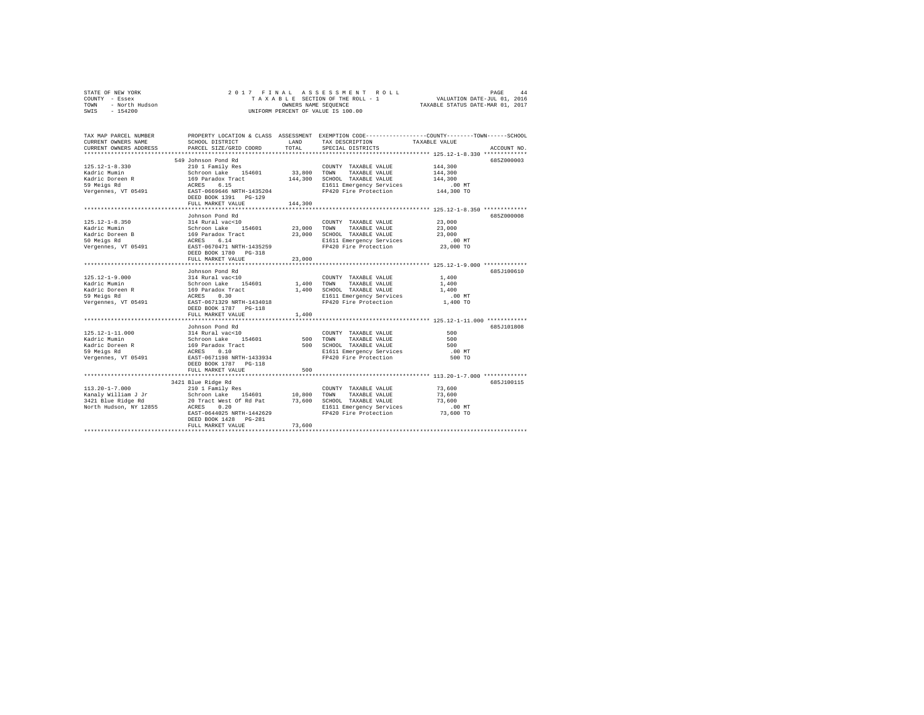|                | STATE OF NEW YORK |  | 2017 FINAL ASSESSMENT ROLL         | 44<br>PAGE                       |
|----------------|-------------------|--|------------------------------------|----------------------------------|
| COUNTY - Essex |                   |  | TAXABLE SECTION OF THE ROLL - 1    | VALUATION DATE-JUL 01, 2016      |
| TOWN           | - North Hudson    |  | OWNERS NAME SEOUENCE               | TAXABLE STATUS DATE-MAR 01, 2017 |
| SWIS           | $-154200$         |  | UNIFORM PERCENT OF VALUE IS 100.00 |                                  |

| TAX MAP PARCEL NUMBER<br>CURRENT OWNERS NAME<br>CURRENT OWNERS ADDRESS                         | SCHOOL DISTRICT<br>PARCEL SIZE/GRID COORD                                                                    | LAND<br>TOTAL        | PROPERTY LOCATION & CLASS ASSESSMENT EXEMPTION CODE---------------COUNTY-------TOWN-----SCHOOL<br>TAX DESCRIPTION<br>TAXABLE VALUE<br>SPECIAL DISTRICTS                                                                                                                                                                                                              | ACCOUNT NO.                                                                      |
|------------------------------------------------------------------------------------------------|--------------------------------------------------------------------------------------------------------------|----------------------|----------------------------------------------------------------------------------------------------------------------------------------------------------------------------------------------------------------------------------------------------------------------------------------------------------------------------------------------------------------------|----------------------------------------------------------------------------------|
| 125.12-1-8.330<br>Kadric Mumin<br>Kadric Doreen R<br>59 Meigs Rd<br>Vergennes, VT 05491        | 549 Johnson Pond Rd<br>210 1 Family Res<br>FULL MARKET VALUE                                                 | 144,300              | COUNTY TAXABLE VALUE<br>Arabic Christmas (1946)<br>Schroon Lake 154601 33,800 TOWN TAXABLE VALUE 144,300<br>169 Paradox Tract 144,300 SCHOOL TAXABLE VALUE 144,300<br>ACRES 6.15 144,300 SCHOOL TAXABLE VALUE 144,300<br>REST-0669646 NRTH-1435204 FP420 Fire<br>SCHOOL TAXABLE VALUE 144,300<br>E1611 Emergency Services .00 MT<br>FP420 Fire Protection 144,300 TO | 685Z000003<br>144,300                                                            |
| $125.12 - 1 - 8.350$<br>Kadric Mumin<br>Kadric Doreen B<br>50 Meigs Rd<br>Vergennes, VT 05491  | Johnson Pond Rd<br>314 Rural vac<10<br>DEED BOOK 1780 PG-318<br>FULL MARKET VALUE<br>*********************** | 23,000<br>********** | COUNTY TAXABLE VALUE 23,000<br>Schroon Lake 154601 23,000 TOWN TAXABLE VALUE<br>169 Paradox Tract 23,000 SCHOOL TAXABLE VALUE<br>ACRES 6.14 BI611 Emergency Services<br>EAST-0670471 NRTH-1435259 F9420 Fire Protection<br>E1611 Emergency Services .00 MT<br>FP420 Fire Protection 23,000 TO                                                                        | 685Z000008<br>23,000<br>23,000<br>**************** 125.12-1-9.000 ************** |
| Vergennes, VT 05491 EAST-0671329 NRTH-1434018                                                  | Johnson Pond Rd<br>DEED BOOK 1787 PG-118                                                                     |                      | 125.12-1-9.000 114 Rural vac<10 COUNTY TAXABLE VALUE 1,400<br>Kadric Mumin Schroon Lake 154601 1,400 TOWN TAXABLE VALUE 1,400<br>Eadric Doreen R 1,400 SCHOOL TAXABLE VALUE 1,400<br>59 Meigs Rd ortos ACRES 0.30 E1611 Emergency S<br>FP420 Fire Protection 1.400 TO                                                                                                | 685J100610<br>$.00$ MT                                                           |
|                                                                                                | FULL MARKET VALUE                                                                                            | 1,400                |                                                                                                                                                                                                                                                                                                                                                                      |                                                                                  |
| $125.12 - 1 - 11.000$<br>Kadric Mumin<br>Kadric Doreen R<br>59 Meigs Rd<br>Vergennes, VT 05491 | Johnson Pond Rd<br>EAST-0671198 NRTH-1433934<br>DEED BOOK 1787 PG-118                                        |                      | FP420 Fire Protection                                                                                                                                                                                                                                                                                                                                                | 685J101808<br>500<br>500<br>500<br>$.00$ MT<br>500 TO                            |
|                                                                                                | FULL MARKET VALUE                                                                                            | 500                  |                                                                                                                                                                                                                                                                                                                                                                      |                                                                                  |
|                                                                                                | 3421 Blue Ridge Rd                                                                                           |                      |                                                                                                                                                                                                                                                                                                                                                                      | 685J100115                                                                       |
|                                                                                                | EAST-0644025 NRTH-1442629<br>DEED BOOK 1428 PG-281<br>FULL MARKET VALUE                                      | 73,600               | FP420 Fire Protection                                                                                                                                                                                                                                                                                                                                                | 73,600 TO                                                                        |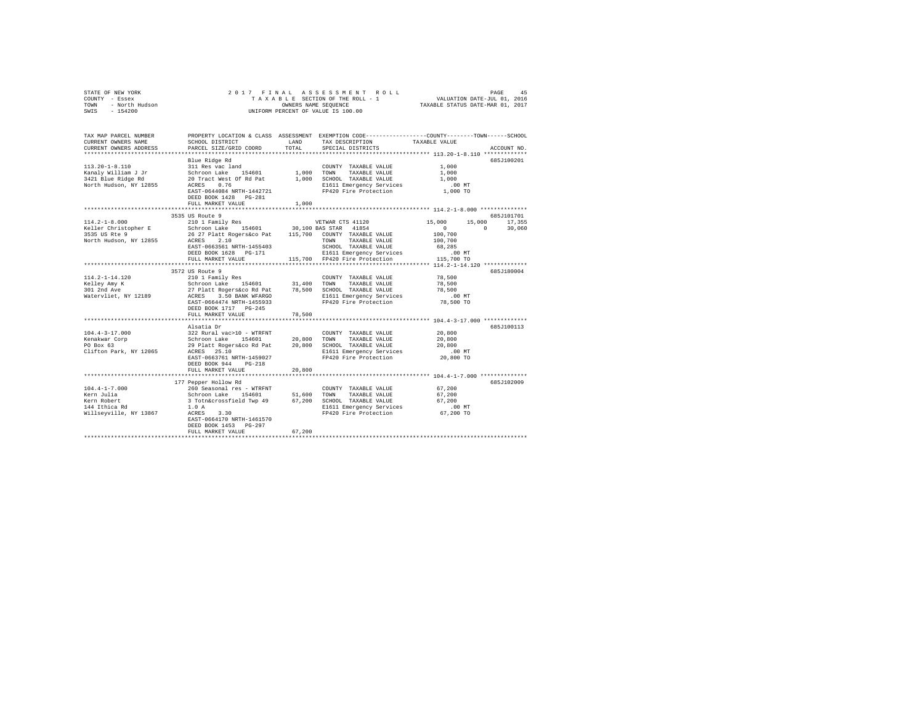| STATE OF NEW YORK      | 2017 FINAL ASSESSMENT ROLL         | 45<br>PAGE                       |
|------------------------|------------------------------------|----------------------------------|
| COUNTY<br>- Essex      | TAXABLE SECTION OF THE ROLL - 1    | VALUATION DATE-JUL 01, 2016      |
| - North Hudson<br>TOWN | OWNERS NAME SEOUENCE               | TAXABLE STATUS DATE-MAR 01, 2017 |
| $-154200$<br>SWIS      | UNIFORM PERCENT OF VALUE IS 100.00 |                                  |

| SCHOOL DISTRICT<br>PARCEL SIZE/GRID COORD                                                        | LAND<br>TOTAL.                                                                                                                                                                                                        | TAX DESCRIPTION<br>SPECIAL DISTRICTS                                                                                           |                                                                                                                                                                                                                                                                                                                                                                                           | ACCOUNT NO.                                                                                                                                                                                                                                                                                                                                                                                                                                                      |
|--------------------------------------------------------------------------------------------------|-----------------------------------------------------------------------------------------------------------------------------------------------------------------------------------------------------------------------|--------------------------------------------------------------------------------------------------------------------------------|-------------------------------------------------------------------------------------------------------------------------------------------------------------------------------------------------------------------------------------------------------------------------------------------------------------------------------------------------------------------------------------------|------------------------------------------------------------------------------------------------------------------------------------------------------------------------------------------------------------------------------------------------------------------------------------------------------------------------------------------------------------------------------------------------------------------------------------------------------------------|
| Blue Ridge Rd                                                                                    |                                                                                                                                                                                                                       |                                                                                                                                |                                                                                                                                                                                                                                                                                                                                                                                           | 685J100201                                                                                                                                                                                                                                                                                                                                                                                                                                                       |
| 311 Res vac land<br>20 Tract West Of Rd Pat<br>0.76<br>ACRES                                     |                                                                                                                                                                                                                       | COUNTY TAXABLE VALUE<br>TAXABLE VALUE                                                                                          | 1,000<br>1,000<br>1,000<br>.00 MT<br>1,000 TO                                                                                                                                                                                                                                                                                                                                             |                                                                                                                                                                                                                                                                                                                                                                                                                                                                  |
| FULL MARKET VALUE                                                                                | 1,000                                                                                                                                                                                                                 |                                                                                                                                |                                                                                                                                                                                                                                                                                                                                                                                           |                                                                                                                                                                                                                                                                                                                                                                                                                                                                  |
|                                                                                                  |                                                                                                                                                                                                                       |                                                                                                                                |                                                                                                                                                                                                                                                                                                                                                                                           | 685J101701                                                                                                                                                                                                                                                                                                                                                                                                                                                       |
| 210 1 Family Res<br>DEED BOOK 1628 PG-171<br>FULL MARKET VALUE                                   |                                                                                                                                                                                                                       | SCHOOL TAXABLE VALUE                                                                                                           | 15,000<br>15,000<br>$\Omega$<br>$\sim$ 0<br>100,700<br>100,700<br>68,285<br>$.00$ MT<br>115,700 TO                                                                                                                                                                                                                                                                                        | 17,355<br>30,060                                                                                                                                                                                                                                                                                                                                                                                                                                                 |
|                                                                                                  |                                                                                                                                                                                                                       |                                                                                                                                |                                                                                                                                                                                                                                                                                                                                                                                           | 685J180004                                                                                                                                                                                                                                                                                                                                                                                                                                                       |
| EAST-0664474 NRTH-1455933<br>DEED BOOK 1717 PG-245                                               |                                                                                                                                                                                                                       |                                                                                                                                | 78,500<br>78,500<br>78,500<br>$.00$ MT<br>78,500 TO                                                                                                                                                                                                                                                                                                                                       |                                                                                                                                                                                                                                                                                                                                                                                                                                                                  |
|                                                                                                  |                                                                                                                                                                                                                       |                                                                                                                                |                                                                                                                                                                                                                                                                                                                                                                                           |                                                                                                                                                                                                                                                                                                                                                                                                                                                                  |
| EAST-0663761 NRTH-1459027<br>DEED BOOK 944<br>$PG-218$                                           |                                                                                                                                                                                                                       | COUNTY TAXABLE VALUE<br>TAXABLE VALUE                                                                                          | 20,800<br>20,800<br>20,800<br>$.00$ MT<br>20,800 TO                                                                                                                                                                                                                                                                                                                                       | 685J100113                                                                                                                                                                                                                                                                                                                                                                                                                                                       |
|                                                                                                  |                                                                                                                                                                                                                       |                                                                                                                                |                                                                                                                                                                                                                                                                                                                                                                                           |                                                                                                                                                                                                                                                                                                                                                                                                                                                                  |
| 1.0A<br>3.30<br>ACRES<br>EAST-0664170 NRTH-1461570<br>DEED BOOK 1453 PG-297<br>FULL MARKET VALUE | 67,200                                                                                                                                                                                                                |                                                                                                                                | 67,200<br>67,200<br>67,200<br>.00 MT                                                                                                                                                                                                                                                                                                                                                      | 685J102009                                                                                                                                                                                                                                                                                                                                                                                                                                                       |
|                                                                                                  | DEED BOOK 1428 PG-281<br>3535 US Route 9<br>**************************<br>3572 US Route 9<br>FULL MARKET VALUE<br>Alsatia Dr<br>322 Rural vac>10 - WTRFNT<br>ACRES 25.10<br>FULL MARKET VALUE<br>177 Pepper Hollow Rd | EAST-0644084 NRTH-1442721<br>EAST-0663561 NRTH-1455403<br>78,500<br>Schroon Lake 154601<br>29 Platt Rogers&co Rd Pat<br>20,800 | Schroon Lake 154601 1,000 TOWN<br>1,000 SCHOOL TAXABLE VALUE<br>VETWAR CTS 41120<br>Schroon Lake 154601 30,100 BAS STAR 41854<br>115,700 FP420 Fire Protection<br>210 1 Family Res<br>Schroon Lake 154601 31,400 TOWN TAXABLE VALUE<br>27 Platt Rogers&co Rd Pat 78,500 SCHOOL TAXABLE VALUE<br>ACRES 3.50 BANK WFARGO SLIGOL TAXABLE VALUE<br>20,800 TOWN<br>20,800 SCHOOL TAXABLE VALUE | PROPERTY LOCATION & CLASS ASSESSMENT EXEMPTION CODE----------------COUNTY-------TOWN-----SCHOOL<br>TAXABLE VALUE<br>E1611 Emergency Services<br>FP420 Fire Protection<br>E1611 Emergency Services<br>************* 114.2-1-14.120 ************<br>E1611 Emergency Services<br>FP420 Fire Protection<br>E1611 Emergency Services<br>FP420 Fire Protection<br>********** 104.4-1-7.000 ************<br>E1611 Emergency Services<br>FP420 Fire Protection 67,200 TO |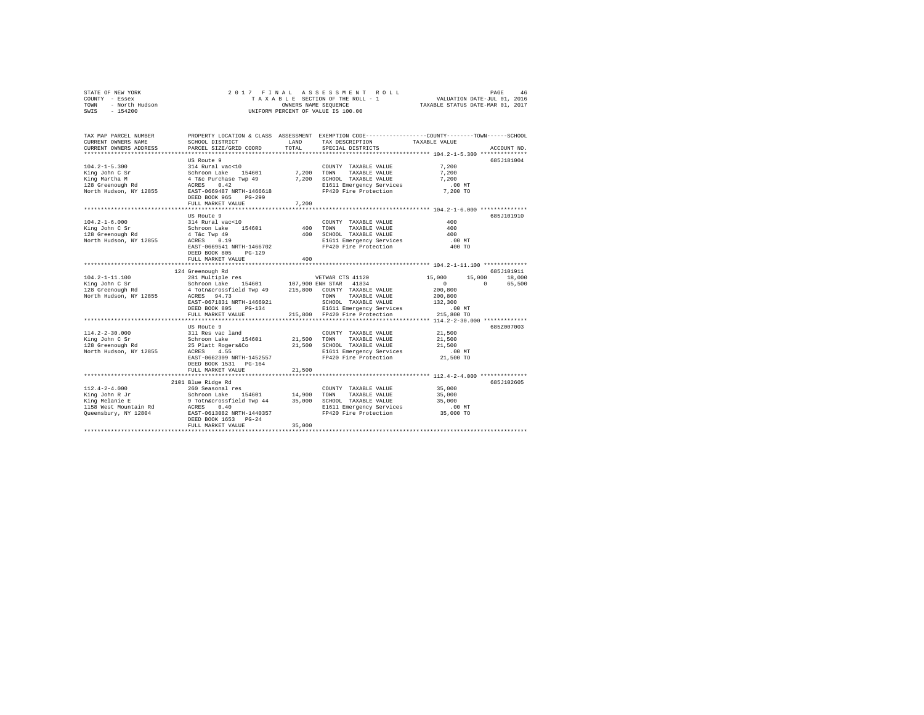|                | STATE OF NEW YORK |  |  |  |  | 2017 FINAL ASSESSMENT ROLL         |                                  | PAGE                        | 46 |
|----------------|-------------------|--|--|--|--|------------------------------------|----------------------------------|-----------------------------|----|
| COUNTY - Essex |                   |  |  |  |  | TAXABLE SECTION OF THE ROLL - 1    |                                  | VALUATION DATE-JUL 01, 2016 |    |
| TOWN           | - North Hudson    |  |  |  |  | OWNERS NAME SEOUENCE               | TAXABLE STATUS DATE-MAR 01, 2017 |                             |    |
| SWIS           | $-154200$         |  |  |  |  | UNIFORM PERCENT OF VALUE IS 100.00 |                                  |                             |    |

| TAX MAP PARCEL NUMBER<br>CURRENT OWNERS NAME<br>CURRENT OWNERS ADDRESS                                   | SCHOOL DISTRICT<br>PARCEL SIZE/GRID COORD                                                                                                                                                                          | LAND<br>TOTAL         | PROPERTY LOCATION & CLASS ASSESSMENT EXEMPTION CODE---------------COUNTY-------TOWN-----SCHOOL<br>TAX DESCRIPTION TAXABLE VALUE<br>SPECIAL DISTRICTS |                                                                           | ACCOUNT NO.                  |
|----------------------------------------------------------------------------------------------------------|--------------------------------------------------------------------------------------------------------------------------------------------------------------------------------------------------------------------|-----------------------|------------------------------------------------------------------------------------------------------------------------------------------------------|---------------------------------------------------------------------------|------------------------------|
| $104.2 - 1 - 5.300$<br>King John C Sr<br>King Martha M<br>128 Greenough Rd<br>North Hudson, NY 12855     | US Route 9<br>314 Rural vac<10<br>Schroon Lake<br>154601<br>4 T&C Purchase Twp 49<br>ACRES 0.42<br>EAST-0669487 NRTH-1466618<br>DEED BOOK 965<br>$PG-299$<br>FULL MARKET VALUE<br>******************************** | 7,200 TOWN<br>7,200   | COUNTY TAXABLE VALUE<br>TAXABLE VALUE<br>7,200 SCHOOL TAXABLE VALUE<br>E1611 Emergency Services<br>FP420 Fire Protection                             | 7.200<br>7,200<br>7.200<br>$.00$ MT<br>7,200 TO                           | 685J181004                   |
| $104.2 - 1 - 6.000$<br>King John C Sr<br>128 Greenough Rd<br>North Hudson, NY 12855                      | US Route 9<br>314 Rural vac<10<br>Schroon Lake 154601<br>4 T&c Twp 49<br>ACRES 0.19<br>EAST-0669541 NRTH-1466702<br>DEED BOOK 805<br>$PG-129$<br>FULL MARKET VALUE                                                 | 400<br>400<br>400     | COUNTY TAXABLE VALUE<br>TOWN<br>TAXABLE VALUE<br>SCHOOL TAXABLE VALUE<br>E1611 Emergency Services<br>FP420 Fire Protection                           | 400<br>400<br>400<br>$.00$ MT<br>400 TO                                   | 685J101910                   |
|                                                                                                          | 124 Greenough Rd                                                                                                                                                                                                   |                       |                                                                                                                                                      |                                                                           | 685J101911                   |
| $104.2 - 1 - 11.100$<br>King John C Sr<br>128 Greenough Rd<br>North Hudson, NY 12855                     | 281 Multiple res<br>4 Totn&crossfield Twp 49 215,800 COUNTY TAXABLE VALUE<br>ACRES 94.73<br>EAST-0671831 NRTH-1466921<br>DEED BOOK 805 PG-134                                                                      |                       | VETWAR CTS 41120<br>TAXABLE VALUE<br>TOWN<br>SCHOOL TAXABLE VALUE<br>E1611 Emergency Services                                                        | 15,000<br>15,000<br>$\Omega$<br>200,800<br>200,800<br>132,300<br>$.00$ MT | 18,000<br>$\Omega$<br>65,500 |
|                                                                                                          | FULL MARKET VALUE                                                                                                                                                                                                  |                       | 215,800 FP420 Fire Protection                                                                                                                        | 215,800 TO                                                                |                              |
| $114.2 - 2 - 30.000$<br>King John C Sr<br>128 Greenough Rd<br>North Hudson, NY 12855                     | US Route 9<br>311 Res vac land<br>Schroon Lake 154601<br>25 Platt Rogers&Co<br>4.55<br>ACRES<br>EAST-0662309 NRTH-1452557<br>DEED BOOK 1531 PG-164<br>FULL MARKET VALUE                                            | 21,500 TOWN<br>21,500 | COUNTY TAXABLE VALUE<br>TAXABLE VALUE<br>21,500 SCHOOL TAXABLE VALUE<br>SCHOOL TAXABLE VALUE<br>E1611 Emergency Services<br>FP420 Fire Protection    | 21,500<br>21,500<br>21,500<br>$.00$ MT<br>21,500 TO                       | 685Z007003                   |
|                                                                                                          |                                                                                                                                                                                                                    |                       | ********************************** 112.4-2-4.000 **************                                                                                      |                                                                           |                              |
| $112.4 - 2 - 4.000$<br>King John R Jr<br>King Melanie E<br>1158 West Mountain Rd<br>Queensbury, NY 12804 | 2101 Blue Ridge Rd<br>260 Seasonal res<br>Schroon Lake 154601 14,900<br>9 Totn&crossfield Twp 44<br>ACRES 0.40<br>EAST-0613082 NRTH-1440357<br>DEED BOOK 1653 PG-24<br>FULL MARKET VALUE                           | 35,000<br>35,000      | COUNTY TAXABLE VALUE<br>TOWN<br>TAXABLE VALUE<br>SCHOOL TAXABLE VALUE<br>E1611 Emergency Services<br>FP420 Fire Protection                           | 35,000<br>35,000<br>35,000<br>.00MT<br>35,000 TO                          | 685J102605                   |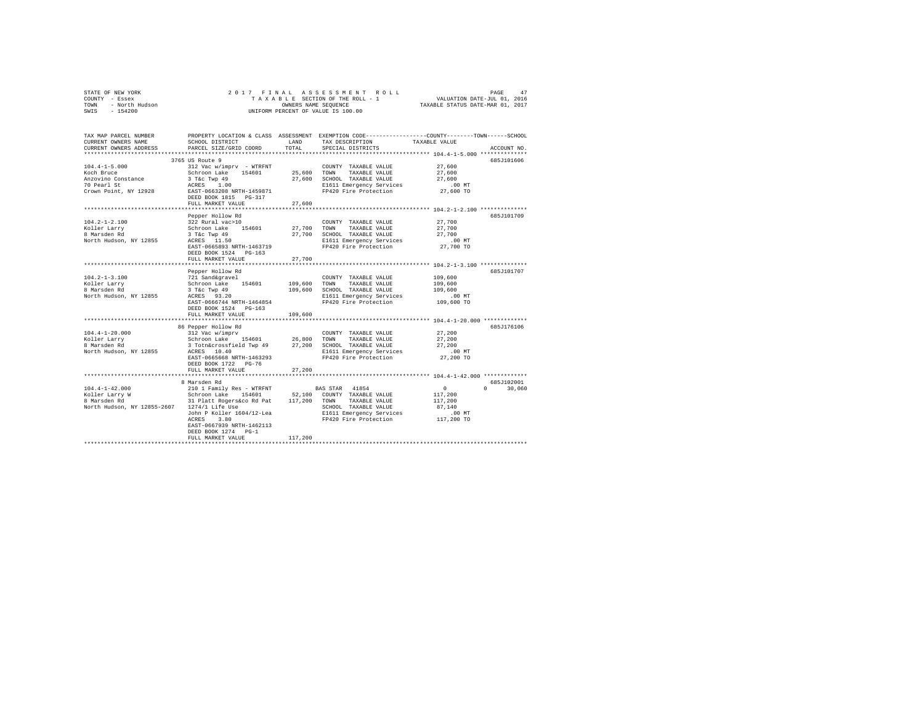|      | STATE OF NEW YORK | 2017 FINAL ASSESSMENT ROLL         | 47<br>PAGE                       |
|------|-------------------|------------------------------------|----------------------------------|
|      | COUNTY - Essex    | TAXABLE SECTION OF THE ROLL - 1    | VALUATION DATE-JUL 01, 2016      |
| TOWN | - North Hudson    | OWNERS NAME SEOUENCE               | TAXABLE STATUS DATE-MAR 01, 2017 |
| SWIS | $-154200$         | UNIFORM PERCENT OF VALUE IS 100.00 |                                  |

| TAX MAP PARCEL NUMBER<br>CURRENT OWNERS NAME<br>CURRENT OWNERS ADDRESS | SCHOOL DISTRICT<br>PARCEL SIZE/GRID COORD                              | LAND<br>TOTAL         | PROPERTY LOCATION & CLASS ASSESSMENT EXEMPTION CODE---------------COUNTY-------TOWN-----SCHOOL<br>TAX DESCRIPTION<br>SPECIAL DISTRICTS | TAXABLE VALUE              | ACCOUNT NO.        |
|------------------------------------------------------------------------|------------------------------------------------------------------------|-----------------------|----------------------------------------------------------------------------------------------------------------------------------------|----------------------------|--------------------|
| ***********************                                                |                                                                        |                       |                                                                                                                                        |                            |                    |
|                                                                        | 3765 US Route 9                                                        |                       |                                                                                                                                        |                            | 685J101606         |
| $104.4 - 1 - 5.000$<br>Koch Bruce<br>Anzovino Constance                | 312 Vac w/imprv - WTRFNT<br>Schroon Lake 154601<br>3 T&c Twp 49        | 25,600 TOWN<br>27,600 | COUNTY TAXABLE VALUE<br>TAXABLE VALUE<br>SCHOOL TAXABLE VALUE                                                                          | 27,600<br>27,600<br>27,600 |                    |
| 70 Pearl St<br>Crown Point, NY 12928                                   | ACRES 1.00<br>EAST-0663208 NRTH-1459871<br>DEED BOOK 1815 PG-317       |                       | E1611 Emergency Services<br>FP420 Fire Protection                                                                                      | $.00$ MT<br>27,600 TO      |                    |
|                                                                        | FULL MARKET VALUE                                                      | 27,600                |                                                                                                                                        |                            |                    |
|                                                                        |                                                                        |                       |                                                                                                                                        |                            |                    |
|                                                                        | Pepper Hollow Rd                                                       |                       |                                                                                                                                        |                            | 685J101709         |
| $104.2 - 1 - 2.100$                                                    | 322 Rural vac>10                                                       |                       | COUNTY TAXABLE VALUE                                                                                                                   | 27,700                     |                    |
| Koller Larry                                                           | Schroon Lake 154601                                                    | 27,700                | TOWN<br>TAXABLE VALUE                                                                                                                  | 27,700                     |                    |
| 8 Marsden Rd<br>North Hudson, NY 12855                                 | 3 T&c Twp 49<br>ACRES 11.50                                            | 27,700                | SCHOOL TAXABLE VALUE<br>E1611 Emergency Services                                                                                       | 27,700<br>.00 MT           |                    |
|                                                                        | EAST-0665893 NRTH-1463719                                              |                       | FP420 Fire Protection                                                                                                                  | 27,700 TO                  |                    |
|                                                                        | DEED BOOK 1524 PG-163                                                  |                       |                                                                                                                                        |                            |                    |
|                                                                        | FULL MARKET VALUE                                                      | 27,700                |                                                                                                                                        |                            |                    |
|                                                                        |                                                                        |                       |                                                                                                                                        |                            |                    |
|                                                                        | Pepper Hollow Rd                                                       |                       |                                                                                                                                        |                            | 685J101707         |
| $104.2 - 1 - 3.100$<br>Koller Larry                                    | 721 Sand&gravel<br>Schroon Lake 154601                                 | 109,600               | COUNTY TAXABLE VALUE<br>TOWN<br>TAXABLE VALUE                                                                                          | 109,600<br>109,600         |                    |
| 8 Marsden Rd                                                           | 3 T&c Twp 49                                                           | 109,600               | SCHOOL TAXABLE VALUE                                                                                                                   | 109,600                    |                    |
| North Hudson, NY 12855                                                 | ACRES 93.20                                                            |                       | E1611 Emergency Services                                                                                                               | $.00$ MT                   |                    |
|                                                                        | EAST-0666744 NRTH-1464854                                              |                       | FP420 Fire Protection                                                                                                                  | 109,600 TO                 |                    |
|                                                                        | DEED BOOK 1524 PG-163                                                  |                       |                                                                                                                                        |                            |                    |
|                                                                        | FULL MARKET VALUE                                                      | 109,600               |                                                                                                                                        |                            |                    |
|                                                                        | ****************************<br>86 Pepper Hollow Rd                    |                       |                                                                                                                                        |                            | 685J176106         |
| $104.4 - 1 - 20.000$                                                   | 312 Vac w/imprv                                                        |                       | COUNTY TAXABLE VALUE                                                                                                                   | 27,200                     |                    |
| Koller Larry                                                           | Schroon Lake 154601                                                    | 26,800                | TOWN<br>TAXABLE VALUE                                                                                                                  | 27,200                     |                    |
| 8 Marsden Rd                                                           | 3 Totn&crossfield Twp 49                                               | 27,200                | SCHOOL TAXABLE VALUE                                                                                                                   | 27,200                     |                    |
| North Hudson, NY 12855                                                 | ACRES 10.40                                                            |                       | E1611 Emergency Services                                                                                                               | .00 MT                     |                    |
|                                                                        | EAST-0665668 NRTH-1463293<br>DEED BOOK 1722 PG-76<br>FULL MARKET VALUE | 27,200                | FP420 Fire Protection                                                                                                                  | 27,200 TO                  |                    |
|                                                                        |                                                                        |                       |                                                                                                                                        |                            |                    |
|                                                                        | 8 Marsden Rd                                                           |                       |                                                                                                                                        |                            | 685J102001         |
| $104.4 - 1 - 42.000$                                                   | 210 1 Family Res - WTRFNT                                              |                       | BAS STAR 41854                                                                                                                         | 0                          | $\Omega$<br>30,060 |
| Koller Larry W                                                         | Schroon Lake 154601                                                    | 52,100                | COUNTY TAXABLE VALUE                                                                                                                   | 117,200                    |                    |
| 8 Marsden Rd                                                           | 31 Platt Rogers&co Rd Pat 117,200 TOWN TAXABLE VALUE                   |                       |                                                                                                                                        | 117,200                    |                    |
| North Hudson, NY 12855-2607 1274/1 Life Use                            |                                                                        |                       | SCHOOL TAXABLE VALUE                                                                                                                   | 87.140                     |                    |
|                                                                        | John P Koller 1604/12-Lea                                              |                       | E1611 Emergency Services                                                                                                               | $.00$ MT                   |                    |
|                                                                        | 3.80<br>ACRES<br>EAST-0667939 NRTH-1462113                             |                       | FP420 Fire Protection                                                                                                                  | 117,200 TO                 |                    |
|                                                                        | DEED BOOK 1274 PG-1                                                    |                       |                                                                                                                                        |                            |                    |
|                                                                        | FULL MARKET VALUE                                                      | 117,200               |                                                                                                                                        |                            |                    |
|                                                                        |                                                                        |                       |                                                                                                                                        |                            |                    |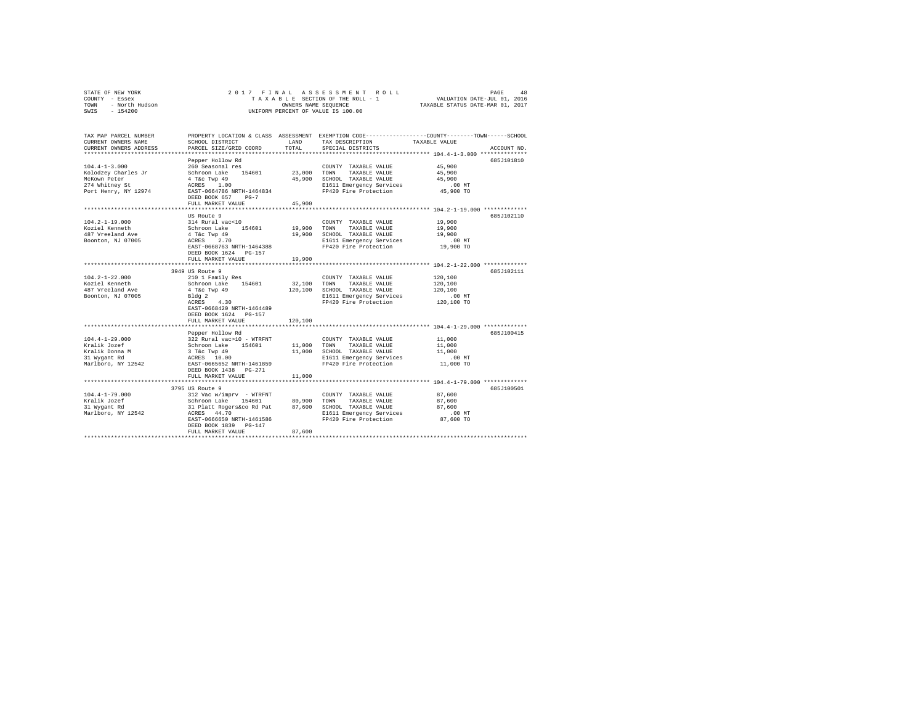| TAX MAP PARCEL NUMBER PROPERTY LOCATION & CLASS ASSESSMENT EXEMPTION CODE--------------COUNTY-------TOWN-----SCHOOL<br>TAX DESCRIPTION<br>CURRENT OWNERS NAME<br>SCHOOL DISTRICT<br>LAND<br>TAXABLE VALUE<br>CURRENT OWNERS ADDRESS<br>PARCEL SIZE/GRID COORD<br>TOTAL<br>SPECIAL DISTRICTS<br>ACCOUNT NO.<br>Pepper Hollow Rd<br>685J101810<br>$104.4 - 1 - 3.000$<br>260 Seasonal res<br>45,900<br>COUNTY TAXABLE VALUE<br>Schroon Lake 154601 23,000<br>45,900<br>Kolodzey Charles Jr<br>TOWN TAXABLE VALUE<br>45,900 SCHOOL TAXABLE VALUE<br>McKown Peter<br>4 T&C Twp 49<br>ACRES 1.00<br>45,900<br>274 Whitney St<br>E1611 Emergency Services<br>$.00$ MT<br>FP420 Fire Protection<br>Port Henry, NY 12974 EAST-0664786 NRTH-1464834<br>45,900 TO<br>DEED BOOK 657 PG-7<br>FULL MARKET VALUE<br>45,900<br>US Route 9<br>685J102110<br>314 Rural vac<10<br>$104.2 - 1 - 19.000$<br>19,900<br>COUNTY TAXABLE VALUE | 48 |
|------------------------------------------------------------------------------------------------------------------------------------------------------------------------------------------------------------------------------------------------------------------------------------------------------------------------------------------------------------------------------------------------------------------------------------------------------------------------------------------------------------------------------------------------------------------------------------------------------------------------------------------------------------------------------------------------------------------------------------------------------------------------------------------------------------------------------------------------------------------------------------------------------------------------|----|
|                                                                                                                                                                                                                                                                                                                                                                                                                                                                                                                                                                                                                                                                                                                                                                                                                                                                                                                        |    |
|                                                                                                                                                                                                                                                                                                                                                                                                                                                                                                                                                                                                                                                                                                                                                                                                                                                                                                                        |    |
|                                                                                                                                                                                                                                                                                                                                                                                                                                                                                                                                                                                                                                                                                                                                                                                                                                                                                                                        |    |
| Koziel Kenneth<br>Schroon Lake 154601<br>19,900 TOWN TAXABLE VALUE<br>19,900<br>4 T&C Twp 49<br>ACRES 2.70<br>487 Vreeland Ave<br>19,900 SCHOOL TAXABLE VALUE<br>19,900<br>Boonton, NJ 07005<br>E1611 Emergency Services<br>.00 MT<br>FP420 Fire Protection<br>EAST-0668763 NRTH-1464388<br>19,900 TO<br>DEED BOOK 1624 PG-157                                                                                                                                                                                                                                                                                                                                                                                                                                                                                                                                                                                         |    |
| 19,900<br>FULL MARKET VALUE                                                                                                                                                                                                                                                                                                                                                                                                                                                                                                                                                                                                                                                                                                                                                                                                                                                                                            |    |
|                                                                                                                                                                                                                                                                                                                                                                                                                                                                                                                                                                                                                                                                                                                                                                                                                                                                                                                        |    |
| 3949 US Route 9<br>685J102111<br>$104.2 - 1 - 22.000$<br>210 1 Family Res<br>COUNTY TAXABLE VALUE<br>120,100<br>32,100 TOWN TAXABLE VALUE<br>Koziel Kenneth<br>Schroon Lake 154601<br>120,100<br>4 T&c Twp 49<br>Bldg 2<br>487 Vreeland Ave<br>120,100 SCHOOL TAXABLE VALUE<br>120,100<br>Boonton, NJ 07005<br>Bldg 2<br>E1611 Emergency Services<br>$.00$ MT<br>$ACRES$ 4.30<br>FP420 Fire Protection<br>120,100 TO<br>EAST-0668420 NRTH-1464489<br>DEED BOOK 1624 PG-157                                                                                                                                                                                                                                                                                                                                                                                                                                             |    |
| FULL MARKET VALUE<br>120,100                                                                                                                                                                                                                                                                                                                                                                                                                                                                                                                                                                                                                                                                                                                                                                                                                                                                                           |    |
| Pepper Hollow Rd<br>685J100415<br>$104.4 - 1 - 29.000$<br>322 Rural vac>10 - WTRFNT<br>11,000<br>COUNTY TAXABLE VALUE<br>Kralik Jozef<br>Schroon Lake 154601<br>11,000 TOWN TAXABLE VALUE<br>11,000<br>11,000 SCHOOL TAXABLE VALUE<br>11,000<br>Kralik Donna M<br>31 Wygant Rd<br>3 T&C Twp 49<br>ACRES 10.00<br>$.00$ MT<br>E1611 Emergency Services<br>$11,000$ TO<br>Marlboro, NY 12542<br>EAST-0665652 NRTH-1461859<br>FP420 Fire Protection<br>DEED BOOK 1438 PG-271                                                                                                                                                                                                                                                                                                                                                                                                                                              |    |
| FULL MARKET VALUE<br>11,000                                                                                                                                                                                                                                                                                                                                                                                                                                                                                                                                                                                                                                                                                                                                                                                                                                                                                            |    |
|                                                                                                                                                                                                                                                                                                                                                                                                                                                                                                                                                                                                                                                                                                                                                                                                                                                                                                                        |    |
| 3795 US Route 9<br>685J100501<br>$104.4 - 1 - 79.000$<br>312 Vac w/imprv - WTRFNT<br>87,600<br>COUNTY TAXABLE VALUE<br>Schroon Lake 154601 80,900 TOWN TAXABLE VALUE<br>Kralik Jozef<br>87,600<br>31 Platt Rogers&co Rd Pat 87,600 SCHOOL TAXABLE VALUE<br>87.600<br>31 Wygant Rd<br>Marlboro, NY 12542<br>ACRES 44.70<br>$.00$ MT<br>E1611 Emergency Services<br>87,600 TO<br>EAST-0666650 NRTH-1461586<br>FP420 Fire Protection<br>DEED BOOK 1839 PG-147<br>87,600<br>FULL MARKET VALUE                                                                                                                                                                                                                                                                                                                                                                                                                              |    |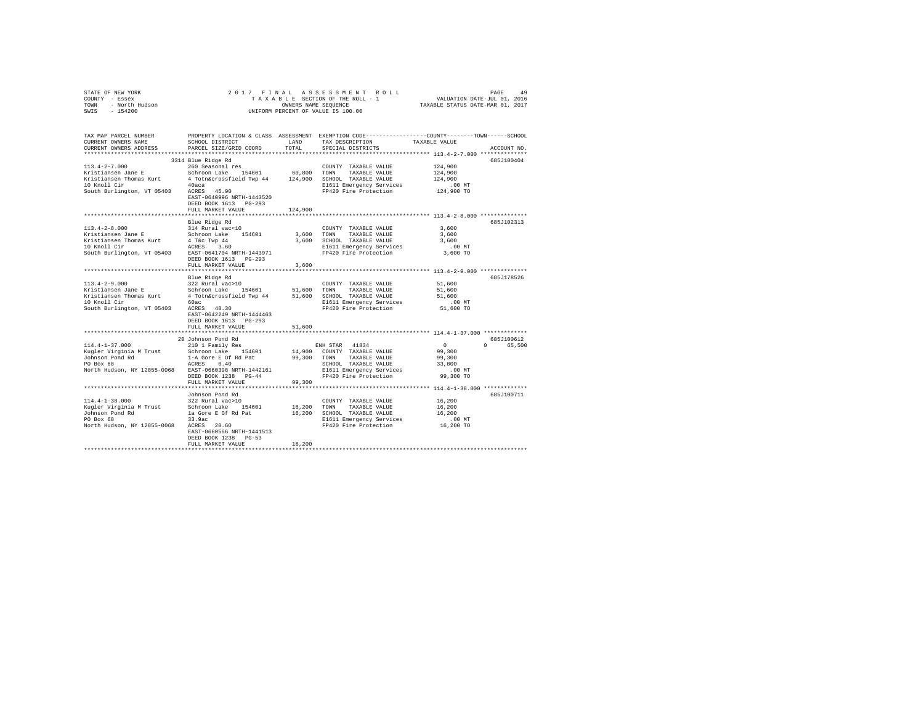| STATE OF NEW YORK<br>COUNTY - Essex<br>TOWN - North Hudson<br>SWIS - 154200                                                                                                                                                                                                                                                                                                                                                                                                                                                        |                                                    |               | 2017 FINAL ASSESSMENT ROLL<br>UNIFORM PERCENT OF VALUE IS 100.00                                                                                                                                                                 |                                                                                                                 |  |
|------------------------------------------------------------------------------------------------------------------------------------------------------------------------------------------------------------------------------------------------------------------------------------------------------------------------------------------------------------------------------------------------------------------------------------------------------------------------------------------------------------------------------------|----------------------------------------------------|---------------|----------------------------------------------------------------------------------------------------------------------------------------------------------------------------------------------------------------------------------|-----------------------------------------------------------------------------------------------------------------|--|
| TAX MAP PARCEL NUMBER<br>CURRENT OWNERS NAME<br>CURRENT OWNERS ADDRESS                                                                                                                                                                                                                                                                                                                                                                                                                                                             | SCHOOL DISTRICT<br>PARCEL SIZE/GRID COORD          | LAND<br>TOTAL | TAX DESCRIPTION TAXABLE VALUE<br>SPECIAL DISTRICTS                                                                                                                                                                               | PROPERTY LOCATION & CLASS ASSESSMENT EXEMPTION CODE----------------COUNTY-------TOWN------SCHOOL<br>ACCOUNT NO. |  |
|                                                                                                                                                                                                                                                                                                                                                                                                                                                                                                                                    | 3314 Blue Ridge Rd                                 |               |                                                                                                                                                                                                                                  | 685J100404                                                                                                      |  |
|                                                                                                                                                                                                                                                                                                                                                                                                                                                                                                                                    |                                                    |               | COUNTY TAXABLE VALUE                                                                                                                                                                                                             | 124,900<br>124,900<br>124,900                                                                                   |  |
| 10 Knoll Cir 40aca<br>South Burlington, VT 05403 ACRES 45.90                                                                                                                                                                                                                                                                                                                                                                                                                                                                       | EAST-0640996 NRTH-1443520<br>DEED BOOK 1613 PG-293 |               | COLOUL AAABLE VALUE 124,900<br>E1611 Emergency Services 100 MT<br>FP420 Fire Protection 124,900 TO                                                                                                                               |                                                                                                                 |  |
|                                                                                                                                                                                                                                                                                                                                                                                                                                                                                                                                    | FULL MARKET VALUE                                  | 124,900       |                                                                                                                                                                                                                                  |                                                                                                                 |  |
|                                                                                                                                                                                                                                                                                                                                                                                                                                                                                                                                    | Blue Ridge Rd                                      |               |                                                                                                                                                                                                                                  | 685J102313                                                                                                      |  |
| $113.4 - 2 - 8.000$                                                                                                                                                                                                                                                                                                                                                                                                                                                                                                                | 314 Rural vac<10                                   |               | COUNTY TAXABLE VALUE                                                                                                                                                                                                             | 3,600<br>3,600                                                                                                  |  |
|                                                                                                                                                                                                                                                                                                                                                                                                                                                                                                                                    |                                                    |               |                                                                                                                                                                                                                                  | 3,600                                                                                                           |  |
| $\begin{tabular}{lcccccc} Kristiansen Jane & & & & & & & & & & \\ \hline Kristiansen Jane & & & & & & & & & & & \\ \hline Kristiansen Thomas Kurt & & & & & & & & & & & & \\ \hline Kristiansen Thomas Kurt & & & & & & & & & & & & \\ \hline Kristiansen & & & & & & & & & & & & \\ \hline \end{tabular} \hspace{1.2cm} \begin{tabular}{lcccccc} Crastol & & & & & & & & & & \\ \hline R & & & & & & & & & & & \\ \hline R & & & & & & & & & & & \\ \hline R & & & & & & & & & & & \\ \hline \end{tabular} \hspace{1.2cm} \begin$ |                                                    |               |                                                                                                                                                                                                                                  | $.00$ MT                                                                                                        |  |
| South Burlington, VT 05403 EAST-0641704 NRTH-1443971                                                                                                                                                                                                                                                                                                                                                                                                                                                                               | DEED BOOK 1613 PG-293                              |               | E1611 Emergency Services<br>FP420 Fire Protection                                                                                                                                                                                | 3,600 TO                                                                                                        |  |
|                                                                                                                                                                                                                                                                                                                                                                                                                                                                                                                                    | FULL MARKET VALUE                                  | 3,600         |                                                                                                                                                                                                                                  |                                                                                                                 |  |
|                                                                                                                                                                                                                                                                                                                                                                                                                                                                                                                                    |                                                    |               |                                                                                                                                                                                                                                  |                                                                                                                 |  |
| $113.4 - 2 - 9.000$                                                                                                                                                                                                                                                                                                                                                                                                                                                                                                                | Blue Ridge Rd<br>322 Rural vac>10                  |               |                                                                                                                                                                                                                                  | 685J178526<br>51,600                                                                                            |  |
|                                                                                                                                                                                                                                                                                                                                                                                                                                                                                                                                    |                                                    |               | COUNTY TAXABLE VALUE                                                                                                                                                                                                             | 51,600                                                                                                          |  |
|                                                                                                                                                                                                                                                                                                                                                                                                                                                                                                                                    |                                                    |               |                                                                                                                                                                                                                                  | 51,600                                                                                                          |  |
|                                                                                                                                                                                                                                                                                                                                                                                                                                                                                                                                    |                                                    |               |                                                                                                                                                                                                                                  | $.00$ MT                                                                                                        |  |
|                                                                                                                                                                                                                                                                                                                                                                                                                                                                                                                                    |                                                    |               |                                                                                                                                                                                                                                  | 51,600 TO                                                                                                       |  |
|                                                                                                                                                                                                                                                                                                                                                                                                                                                                                                                                    | EAST-0642249 NRTH-1444463<br>DEED BOOK 1613 PG-293 |               |                                                                                                                                                                                                                                  |                                                                                                                 |  |
|                                                                                                                                                                                                                                                                                                                                                                                                                                                                                                                                    | FULL MARKET VALUE                                  | 51,600        |                                                                                                                                                                                                                                  |                                                                                                                 |  |
|                                                                                                                                                                                                                                                                                                                                                                                                                                                                                                                                    |                                                    |               |                                                                                                                                                                                                                                  |                                                                                                                 |  |
| 114.4-1-37.000                                                                                                                                                                                                                                                                                                                                                                                                                                                                                                                     | 20 Johnson Pond Rd<br>210 1 Family Res             |               | ENH STAR 41834                                                                                                                                                                                                                   | 685J100612<br>$\sim$ 0<br>0 65,500                                                                              |  |
|                                                                                                                                                                                                                                                                                                                                                                                                                                                                                                                                    |                                                    |               |                                                                                                                                                                                                                                  | 99,300                                                                                                          |  |
|                                                                                                                                                                                                                                                                                                                                                                                                                                                                                                                                    |                                                    |               |                                                                                                                                                                                                                                  | 99,300                                                                                                          |  |
|                                                                                                                                                                                                                                                                                                                                                                                                                                                                                                                                    |                                                    |               |                                                                                                                                                                                                                                  | 33,800                                                                                                          |  |
|                                                                                                                                                                                                                                                                                                                                                                                                                                                                                                                                    |                                                    |               |                                                                                                                                                                                                                                  | $.00$ MT                                                                                                        |  |
|                                                                                                                                                                                                                                                                                                                                                                                                                                                                                                                                    |                                                    |               |                                                                                                                                                                                                                                  | 99,300 TO                                                                                                       |  |
|                                                                                                                                                                                                                                                                                                                                                                                                                                                                                                                                    | FULL MARKET VALUE                                  | 99,300        |                                                                                                                                                                                                                                  |                                                                                                                 |  |
|                                                                                                                                                                                                                                                                                                                                                                                                                                                                                                                                    |                                                    |               |                                                                                                                                                                                                                                  |                                                                                                                 |  |
| 114.4-1-38.000                                                                                                                                                                                                                                                                                                                                                                                                                                                                                                                     | Johnson Pond Rd<br>322 Rural vac>10                |               | COUNTY TAXABLE VALUE                                                                                                                                                                                                             | 685J100711<br>16,200                                                                                            |  |
| Kugler Virginia M Trust                                                                                                                                                                                                                                                                                                                                                                                                                                                                                                            | Schroon Lake 154601 16,200 TOWN                    |               | TAXABLE VALUE                                                                                                                                                                                                                    | 16,200                                                                                                          |  |
|                                                                                                                                                                                                                                                                                                                                                                                                                                                                                                                                    |                                                    |               |                                                                                                                                                                                                                                  | 16,200                                                                                                          |  |
| Johnson Pond Rd<br>PO Box 68                                                                                                                                                                                                                                                                                                                                                                                                                                                                                                       |                                                    |               | COLORATION CONTRACT MANDEL PROPERTY SETAND CONTRACT CONTRACT CONTROL CONTRESS ON THE SALE OF SALE OF SALE OF S<br>FRAME SALE SALE SALE SALE OF SALE OF SALE OF SALE OF SALE OF SALE OF SALE OF SALE OF SALE OF SALE OF SALE OF S |                                                                                                                 |  |
| North Hudson, NY 12855-0068 ACRES 20.60                                                                                                                                                                                                                                                                                                                                                                                                                                                                                            | EAST-0660566 NRTH-1441513                          |               |                                                                                                                                                                                                                                  |                                                                                                                 |  |
|                                                                                                                                                                                                                                                                                                                                                                                                                                                                                                                                    | DEED BOOK 1238 PG-53                               |               |                                                                                                                                                                                                                                  |                                                                                                                 |  |
|                                                                                                                                                                                                                                                                                                                                                                                                                                                                                                                                    | FULL MARKET VALUE                                  | 16,200        |                                                                                                                                                                                                                                  |                                                                                                                 |  |
|                                                                                                                                                                                                                                                                                                                                                                                                                                                                                                                                    |                                                    |               |                                                                                                                                                                                                                                  |                                                                                                                 |  |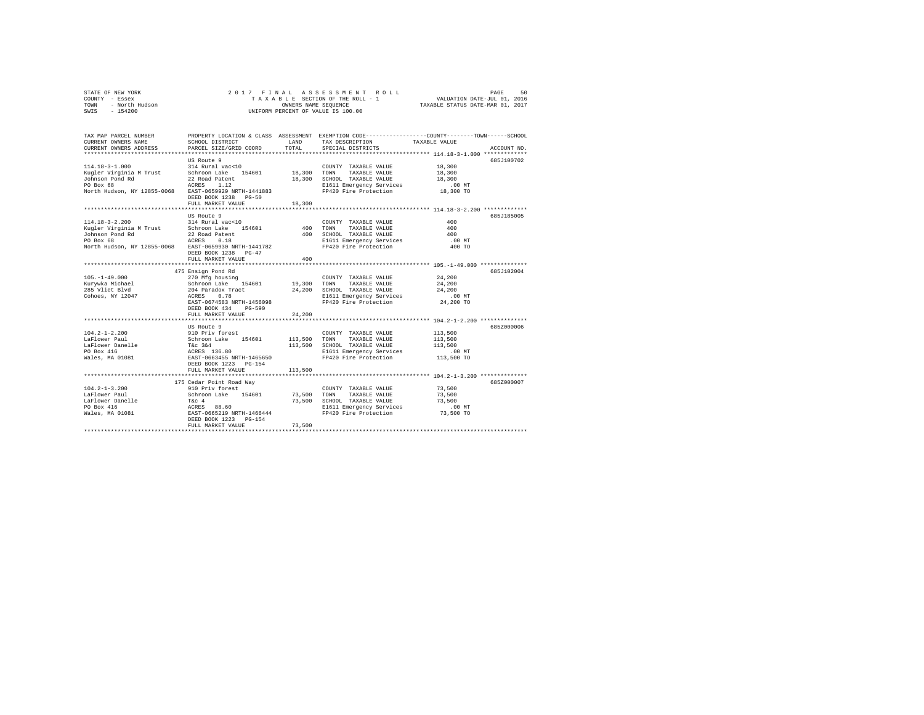|                | STATE OF NEW YORK |  |  |  |  | 2017 FINAL ASSESSMENT ROLL                                     | PAGE | 50 |
|----------------|-------------------|--|--|--|--|----------------------------------------------------------------|------|----|
| COUNTY - Essex |                   |  |  |  |  | VALUATION DATE-JUL 01, 2016<br>TAXABLE SECTION OF THE ROLL - 1 |      |    |
| TOWN           | - North Hudson    |  |  |  |  | TAXABLE STATUS DATE-MAR 01, 2017<br>OWNERS NAME SEOUENCE       |      |    |
| SWIS           | $-154200$         |  |  |  |  | UNIFORM PERCENT OF VALUE IS 100.00                             |      |    |

| TAX DESCRIPTION TAXABLE VALUE<br>TOTAL.<br>CURRENT OWNERS ADDRESS<br>PARCEL SIZE/GRID COORD<br>SPECIAL DISTRICTS<br>ACCOUNT NO.<br>US Route 9<br>685J100702<br>18,300<br>$114.18 - 3 - 1.000$<br>314 Rural vac<10<br>COUNTY TAXABLE VALUE<br>Schroon Lake 154601 18,300 TOWN<br>Kugler Virginia M Trust<br>TAXABLE VALUE<br>18,300<br>Johnson Pond Rd<br>18,300 SCHOOL TAXABLE VALUE<br>18,300<br>22 Road Patent<br>PO Box 68<br>ACRES<br>1.12<br>E1611 Emergency Services<br>$.00$ MT<br>FP420 Fire Protection 18,300 TO<br>North Hudson, NY 12855-0068<br>EAST-0659929 NRTH-1441883<br>DEED BOOK 1238 PG-50<br>18,300<br>FULL MARKET VALUE<br>6857185005<br>US Route 9<br>$114.18 - 3 - 2.200$<br>314 Rural vac<10<br>400<br>COUNTY TAXABLE VALUE<br>Kugler Virginia M Trust Schroon Lake 154601<br>400<br>400<br>TOWN<br>TAXABLE VALUE<br>Johnson Pond Rd<br>400 SCHOOL TAXABLE VALUE<br>22 Road Patent<br>400<br>E1611 Emergency Services<br>PO Box 68<br>ACRES<br>0.18<br>$.00$ MT<br>North Hudson, NY 12855-0068 EAST-0659930 NRTH-1441782<br>FP420 Fire Protection<br>400 TO<br>DEED BOOK 1238 PG-47<br>400<br>FULL MARKET VALUE<br>********** 105.-1-49.000 ***********<br>********************<br>685J102004<br>475 Ensign Pond Rd<br>$105. - 1 - 49.000$<br>270 Mfg housing<br>24,200<br>COUNTY TAXABLE VALUE<br>Schroon Lake 154601<br>24,200<br>Kurywka Michael<br>19,300 TOWN<br>TAXABLE VALUE<br>204 Paradox Tract 24,200 SCHOOL TAXABLE VALUE<br>ACRES 0.78 E1611 Emergency Services<br>285 Vliet Blvd<br>24,200<br>Cohoes, NY 12047<br>$.00$ MT<br>FP420 Fire Protection 24,200 TO<br>EAST-0674583 NRTH-1456098<br>DEED BOOK 434<br>PG-590<br>FULL MARKET VALUE<br>24,200<br>6857000006<br>US Route 9<br>$104.2 - 1 - 2.200$<br>910 Priv forest<br>113,500<br>COUNTY TAXABLE VALUE<br>Schroon Lake 154601<br>LaFlower Paul<br>113,500 TOWN<br>TAXABLE VALUE<br>113,500<br>T&C 3&4<br>R&C 3&4<br>ACRES 136.80<br>EAST-0663455 NRTH-1465650<br>Lariower<br>LaFlower Danelle<br>--- 416<br>113,500 SCHOOL TAXABLE VALUE<br>E1611 Emergency Services<br>113,500<br>$.00$ MT<br>Wales, MA 01081<br>FP420 Fire Protection<br>113,500 TO<br>DEED BOOK 1223 PG-154<br>113,500<br>FULL MARKET VALUE<br>************************************ 104.2-1-3.200 *************<br>175 Cedar Point Road Way<br>685Z000007<br>$104.2 - 1 - 3.200$<br>73,500<br>910 Priv forest<br>COUNTY TAXABLE VALUE<br>Schroon Lake 154601<br>73,500<br>LaFlower Paul<br>TAXABLE VALUE<br>73,500<br>TOWN<br>USING 2012<br>T&C 4<br>RCRES 88.60<br>EAST-0665219 NRTH-1466444<br>LaFlower Danelle<br>73.500<br>SCHOOL TAXABLE VALUE<br>73,500<br>PO Box 416<br>E1611 Emergency Services<br>$.00$ MT<br>73,500 TO<br>FP420 Fire Protection<br>Wales, MA 01081<br>DEED BOOK 1223 PG-154<br>73,500<br>FULL MARKET VALUE | TAX MAP PARCEL NUMBER |                 |      | PROPERTY LOCATION & CLASS ASSESSMENT EXEMPTION CODE---------------COUNTY-------TOWN-----SCHOOL |  |
|-----------------------------------------------------------------------------------------------------------------------------------------------------------------------------------------------------------------------------------------------------------------------------------------------------------------------------------------------------------------------------------------------------------------------------------------------------------------------------------------------------------------------------------------------------------------------------------------------------------------------------------------------------------------------------------------------------------------------------------------------------------------------------------------------------------------------------------------------------------------------------------------------------------------------------------------------------------------------------------------------------------------------------------------------------------------------------------------------------------------------------------------------------------------------------------------------------------------------------------------------------------------------------------------------------------------------------------------------------------------------------------------------------------------------------------------------------------------------------------------------------------------------------------------------------------------------------------------------------------------------------------------------------------------------------------------------------------------------------------------------------------------------------------------------------------------------------------------------------------------------------------------------------------------------------------------------------------------------------------------------------------------------------------------------------------------------------------------------------------------------------------------------------------------------------------------------------------------------------------------------------------------------------------------------------------------------------------------------------------------------------------------------------------------------------------------------------------------------------------------------------------------------------------------------------------------------------------------------------------------------------------------------------------------------------------------------------------------------------------------------------------------------------------------------------|-----------------------|-----------------|------|------------------------------------------------------------------------------------------------|--|
|                                                                                                                                                                                                                                                                                                                                                                                                                                                                                                                                                                                                                                                                                                                                                                                                                                                                                                                                                                                                                                                                                                                                                                                                                                                                                                                                                                                                                                                                                                                                                                                                                                                                                                                                                                                                                                                                                                                                                                                                                                                                                                                                                                                                                                                                                                                                                                                                                                                                                                                                                                                                                                                                                                                                                                                                     | CURRENT OWNERS NAME   | SCHOOL DISTRICT | LAND |                                                                                                |  |
|                                                                                                                                                                                                                                                                                                                                                                                                                                                                                                                                                                                                                                                                                                                                                                                                                                                                                                                                                                                                                                                                                                                                                                                                                                                                                                                                                                                                                                                                                                                                                                                                                                                                                                                                                                                                                                                                                                                                                                                                                                                                                                                                                                                                                                                                                                                                                                                                                                                                                                                                                                                                                                                                                                                                                                                                     |                       |                 |      |                                                                                                |  |
|                                                                                                                                                                                                                                                                                                                                                                                                                                                                                                                                                                                                                                                                                                                                                                                                                                                                                                                                                                                                                                                                                                                                                                                                                                                                                                                                                                                                                                                                                                                                                                                                                                                                                                                                                                                                                                                                                                                                                                                                                                                                                                                                                                                                                                                                                                                                                                                                                                                                                                                                                                                                                                                                                                                                                                                                     |                       |                 |      |                                                                                                |  |
|                                                                                                                                                                                                                                                                                                                                                                                                                                                                                                                                                                                                                                                                                                                                                                                                                                                                                                                                                                                                                                                                                                                                                                                                                                                                                                                                                                                                                                                                                                                                                                                                                                                                                                                                                                                                                                                                                                                                                                                                                                                                                                                                                                                                                                                                                                                                                                                                                                                                                                                                                                                                                                                                                                                                                                                                     |                       |                 |      |                                                                                                |  |
|                                                                                                                                                                                                                                                                                                                                                                                                                                                                                                                                                                                                                                                                                                                                                                                                                                                                                                                                                                                                                                                                                                                                                                                                                                                                                                                                                                                                                                                                                                                                                                                                                                                                                                                                                                                                                                                                                                                                                                                                                                                                                                                                                                                                                                                                                                                                                                                                                                                                                                                                                                                                                                                                                                                                                                                                     |                       |                 |      |                                                                                                |  |
|                                                                                                                                                                                                                                                                                                                                                                                                                                                                                                                                                                                                                                                                                                                                                                                                                                                                                                                                                                                                                                                                                                                                                                                                                                                                                                                                                                                                                                                                                                                                                                                                                                                                                                                                                                                                                                                                                                                                                                                                                                                                                                                                                                                                                                                                                                                                                                                                                                                                                                                                                                                                                                                                                                                                                                                                     |                       |                 |      |                                                                                                |  |
|                                                                                                                                                                                                                                                                                                                                                                                                                                                                                                                                                                                                                                                                                                                                                                                                                                                                                                                                                                                                                                                                                                                                                                                                                                                                                                                                                                                                                                                                                                                                                                                                                                                                                                                                                                                                                                                                                                                                                                                                                                                                                                                                                                                                                                                                                                                                                                                                                                                                                                                                                                                                                                                                                                                                                                                                     |                       |                 |      |                                                                                                |  |
|                                                                                                                                                                                                                                                                                                                                                                                                                                                                                                                                                                                                                                                                                                                                                                                                                                                                                                                                                                                                                                                                                                                                                                                                                                                                                                                                                                                                                                                                                                                                                                                                                                                                                                                                                                                                                                                                                                                                                                                                                                                                                                                                                                                                                                                                                                                                                                                                                                                                                                                                                                                                                                                                                                                                                                                                     |                       |                 |      |                                                                                                |  |
|                                                                                                                                                                                                                                                                                                                                                                                                                                                                                                                                                                                                                                                                                                                                                                                                                                                                                                                                                                                                                                                                                                                                                                                                                                                                                                                                                                                                                                                                                                                                                                                                                                                                                                                                                                                                                                                                                                                                                                                                                                                                                                                                                                                                                                                                                                                                                                                                                                                                                                                                                                                                                                                                                                                                                                                                     |                       |                 |      |                                                                                                |  |
|                                                                                                                                                                                                                                                                                                                                                                                                                                                                                                                                                                                                                                                                                                                                                                                                                                                                                                                                                                                                                                                                                                                                                                                                                                                                                                                                                                                                                                                                                                                                                                                                                                                                                                                                                                                                                                                                                                                                                                                                                                                                                                                                                                                                                                                                                                                                                                                                                                                                                                                                                                                                                                                                                                                                                                                                     |                       |                 |      |                                                                                                |  |
|                                                                                                                                                                                                                                                                                                                                                                                                                                                                                                                                                                                                                                                                                                                                                                                                                                                                                                                                                                                                                                                                                                                                                                                                                                                                                                                                                                                                                                                                                                                                                                                                                                                                                                                                                                                                                                                                                                                                                                                                                                                                                                                                                                                                                                                                                                                                                                                                                                                                                                                                                                                                                                                                                                                                                                                                     |                       |                 |      |                                                                                                |  |
|                                                                                                                                                                                                                                                                                                                                                                                                                                                                                                                                                                                                                                                                                                                                                                                                                                                                                                                                                                                                                                                                                                                                                                                                                                                                                                                                                                                                                                                                                                                                                                                                                                                                                                                                                                                                                                                                                                                                                                                                                                                                                                                                                                                                                                                                                                                                                                                                                                                                                                                                                                                                                                                                                                                                                                                                     |                       |                 |      |                                                                                                |  |
|                                                                                                                                                                                                                                                                                                                                                                                                                                                                                                                                                                                                                                                                                                                                                                                                                                                                                                                                                                                                                                                                                                                                                                                                                                                                                                                                                                                                                                                                                                                                                                                                                                                                                                                                                                                                                                                                                                                                                                                                                                                                                                                                                                                                                                                                                                                                                                                                                                                                                                                                                                                                                                                                                                                                                                                                     |                       |                 |      |                                                                                                |  |
|                                                                                                                                                                                                                                                                                                                                                                                                                                                                                                                                                                                                                                                                                                                                                                                                                                                                                                                                                                                                                                                                                                                                                                                                                                                                                                                                                                                                                                                                                                                                                                                                                                                                                                                                                                                                                                                                                                                                                                                                                                                                                                                                                                                                                                                                                                                                                                                                                                                                                                                                                                                                                                                                                                                                                                                                     |                       |                 |      |                                                                                                |  |
|                                                                                                                                                                                                                                                                                                                                                                                                                                                                                                                                                                                                                                                                                                                                                                                                                                                                                                                                                                                                                                                                                                                                                                                                                                                                                                                                                                                                                                                                                                                                                                                                                                                                                                                                                                                                                                                                                                                                                                                                                                                                                                                                                                                                                                                                                                                                                                                                                                                                                                                                                                                                                                                                                                                                                                                                     |                       |                 |      |                                                                                                |  |
|                                                                                                                                                                                                                                                                                                                                                                                                                                                                                                                                                                                                                                                                                                                                                                                                                                                                                                                                                                                                                                                                                                                                                                                                                                                                                                                                                                                                                                                                                                                                                                                                                                                                                                                                                                                                                                                                                                                                                                                                                                                                                                                                                                                                                                                                                                                                                                                                                                                                                                                                                                                                                                                                                                                                                                                                     |                       |                 |      |                                                                                                |  |
|                                                                                                                                                                                                                                                                                                                                                                                                                                                                                                                                                                                                                                                                                                                                                                                                                                                                                                                                                                                                                                                                                                                                                                                                                                                                                                                                                                                                                                                                                                                                                                                                                                                                                                                                                                                                                                                                                                                                                                                                                                                                                                                                                                                                                                                                                                                                                                                                                                                                                                                                                                                                                                                                                                                                                                                                     |                       |                 |      |                                                                                                |  |
|                                                                                                                                                                                                                                                                                                                                                                                                                                                                                                                                                                                                                                                                                                                                                                                                                                                                                                                                                                                                                                                                                                                                                                                                                                                                                                                                                                                                                                                                                                                                                                                                                                                                                                                                                                                                                                                                                                                                                                                                                                                                                                                                                                                                                                                                                                                                                                                                                                                                                                                                                                                                                                                                                                                                                                                                     |                       |                 |      |                                                                                                |  |
|                                                                                                                                                                                                                                                                                                                                                                                                                                                                                                                                                                                                                                                                                                                                                                                                                                                                                                                                                                                                                                                                                                                                                                                                                                                                                                                                                                                                                                                                                                                                                                                                                                                                                                                                                                                                                                                                                                                                                                                                                                                                                                                                                                                                                                                                                                                                                                                                                                                                                                                                                                                                                                                                                                                                                                                                     |                       |                 |      |                                                                                                |  |
|                                                                                                                                                                                                                                                                                                                                                                                                                                                                                                                                                                                                                                                                                                                                                                                                                                                                                                                                                                                                                                                                                                                                                                                                                                                                                                                                                                                                                                                                                                                                                                                                                                                                                                                                                                                                                                                                                                                                                                                                                                                                                                                                                                                                                                                                                                                                                                                                                                                                                                                                                                                                                                                                                                                                                                                                     |                       |                 |      |                                                                                                |  |
|                                                                                                                                                                                                                                                                                                                                                                                                                                                                                                                                                                                                                                                                                                                                                                                                                                                                                                                                                                                                                                                                                                                                                                                                                                                                                                                                                                                                                                                                                                                                                                                                                                                                                                                                                                                                                                                                                                                                                                                                                                                                                                                                                                                                                                                                                                                                                                                                                                                                                                                                                                                                                                                                                                                                                                                                     |                       |                 |      |                                                                                                |  |
|                                                                                                                                                                                                                                                                                                                                                                                                                                                                                                                                                                                                                                                                                                                                                                                                                                                                                                                                                                                                                                                                                                                                                                                                                                                                                                                                                                                                                                                                                                                                                                                                                                                                                                                                                                                                                                                                                                                                                                                                                                                                                                                                                                                                                                                                                                                                                                                                                                                                                                                                                                                                                                                                                                                                                                                                     |                       |                 |      |                                                                                                |  |
|                                                                                                                                                                                                                                                                                                                                                                                                                                                                                                                                                                                                                                                                                                                                                                                                                                                                                                                                                                                                                                                                                                                                                                                                                                                                                                                                                                                                                                                                                                                                                                                                                                                                                                                                                                                                                                                                                                                                                                                                                                                                                                                                                                                                                                                                                                                                                                                                                                                                                                                                                                                                                                                                                                                                                                                                     |                       |                 |      |                                                                                                |  |
|                                                                                                                                                                                                                                                                                                                                                                                                                                                                                                                                                                                                                                                                                                                                                                                                                                                                                                                                                                                                                                                                                                                                                                                                                                                                                                                                                                                                                                                                                                                                                                                                                                                                                                                                                                                                                                                                                                                                                                                                                                                                                                                                                                                                                                                                                                                                                                                                                                                                                                                                                                                                                                                                                                                                                                                                     |                       |                 |      |                                                                                                |  |
|                                                                                                                                                                                                                                                                                                                                                                                                                                                                                                                                                                                                                                                                                                                                                                                                                                                                                                                                                                                                                                                                                                                                                                                                                                                                                                                                                                                                                                                                                                                                                                                                                                                                                                                                                                                                                                                                                                                                                                                                                                                                                                                                                                                                                                                                                                                                                                                                                                                                                                                                                                                                                                                                                                                                                                                                     |                       |                 |      |                                                                                                |  |
|                                                                                                                                                                                                                                                                                                                                                                                                                                                                                                                                                                                                                                                                                                                                                                                                                                                                                                                                                                                                                                                                                                                                                                                                                                                                                                                                                                                                                                                                                                                                                                                                                                                                                                                                                                                                                                                                                                                                                                                                                                                                                                                                                                                                                                                                                                                                                                                                                                                                                                                                                                                                                                                                                                                                                                                                     |                       |                 |      |                                                                                                |  |
|                                                                                                                                                                                                                                                                                                                                                                                                                                                                                                                                                                                                                                                                                                                                                                                                                                                                                                                                                                                                                                                                                                                                                                                                                                                                                                                                                                                                                                                                                                                                                                                                                                                                                                                                                                                                                                                                                                                                                                                                                                                                                                                                                                                                                                                                                                                                                                                                                                                                                                                                                                                                                                                                                                                                                                                                     |                       |                 |      |                                                                                                |  |
|                                                                                                                                                                                                                                                                                                                                                                                                                                                                                                                                                                                                                                                                                                                                                                                                                                                                                                                                                                                                                                                                                                                                                                                                                                                                                                                                                                                                                                                                                                                                                                                                                                                                                                                                                                                                                                                                                                                                                                                                                                                                                                                                                                                                                                                                                                                                                                                                                                                                                                                                                                                                                                                                                                                                                                                                     |                       |                 |      |                                                                                                |  |
|                                                                                                                                                                                                                                                                                                                                                                                                                                                                                                                                                                                                                                                                                                                                                                                                                                                                                                                                                                                                                                                                                                                                                                                                                                                                                                                                                                                                                                                                                                                                                                                                                                                                                                                                                                                                                                                                                                                                                                                                                                                                                                                                                                                                                                                                                                                                                                                                                                                                                                                                                                                                                                                                                                                                                                                                     |                       |                 |      |                                                                                                |  |
|                                                                                                                                                                                                                                                                                                                                                                                                                                                                                                                                                                                                                                                                                                                                                                                                                                                                                                                                                                                                                                                                                                                                                                                                                                                                                                                                                                                                                                                                                                                                                                                                                                                                                                                                                                                                                                                                                                                                                                                                                                                                                                                                                                                                                                                                                                                                                                                                                                                                                                                                                                                                                                                                                                                                                                                                     |                       |                 |      |                                                                                                |  |
|                                                                                                                                                                                                                                                                                                                                                                                                                                                                                                                                                                                                                                                                                                                                                                                                                                                                                                                                                                                                                                                                                                                                                                                                                                                                                                                                                                                                                                                                                                                                                                                                                                                                                                                                                                                                                                                                                                                                                                                                                                                                                                                                                                                                                                                                                                                                                                                                                                                                                                                                                                                                                                                                                                                                                                                                     |                       |                 |      |                                                                                                |  |
|                                                                                                                                                                                                                                                                                                                                                                                                                                                                                                                                                                                                                                                                                                                                                                                                                                                                                                                                                                                                                                                                                                                                                                                                                                                                                                                                                                                                                                                                                                                                                                                                                                                                                                                                                                                                                                                                                                                                                                                                                                                                                                                                                                                                                                                                                                                                                                                                                                                                                                                                                                                                                                                                                                                                                                                                     |                       |                 |      |                                                                                                |  |
|                                                                                                                                                                                                                                                                                                                                                                                                                                                                                                                                                                                                                                                                                                                                                                                                                                                                                                                                                                                                                                                                                                                                                                                                                                                                                                                                                                                                                                                                                                                                                                                                                                                                                                                                                                                                                                                                                                                                                                                                                                                                                                                                                                                                                                                                                                                                                                                                                                                                                                                                                                                                                                                                                                                                                                                                     |                       |                 |      |                                                                                                |  |
|                                                                                                                                                                                                                                                                                                                                                                                                                                                                                                                                                                                                                                                                                                                                                                                                                                                                                                                                                                                                                                                                                                                                                                                                                                                                                                                                                                                                                                                                                                                                                                                                                                                                                                                                                                                                                                                                                                                                                                                                                                                                                                                                                                                                                                                                                                                                                                                                                                                                                                                                                                                                                                                                                                                                                                                                     |                       |                 |      |                                                                                                |  |
|                                                                                                                                                                                                                                                                                                                                                                                                                                                                                                                                                                                                                                                                                                                                                                                                                                                                                                                                                                                                                                                                                                                                                                                                                                                                                                                                                                                                                                                                                                                                                                                                                                                                                                                                                                                                                                                                                                                                                                                                                                                                                                                                                                                                                                                                                                                                                                                                                                                                                                                                                                                                                                                                                                                                                                                                     |                       |                 |      |                                                                                                |  |
|                                                                                                                                                                                                                                                                                                                                                                                                                                                                                                                                                                                                                                                                                                                                                                                                                                                                                                                                                                                                                                                                                                                                                                                                                                                                                                                                                                                                                                                                                                                                                                                                                                                                                                                                                                                                                                                                                                                                                                                                                                                                                                                                                                                                                                                                                                                                                                                                                                                                                                                                                                                                                                                                                                                                                                                                     |                       |                 |      |                                                                                                |  |
|                                                                                                                                                                                                                                                                                                                                                                                                                                                                                                                                                                                                                                                                                                                                                                                                                                                                                                                                                                                                                                                                                                                                                                                                                                                                                                                                                                                                                                                                                                                                                                                                                                                                                                                                                                                                                                                                                                                                                                                                                                                                                                                                                                                                                                                                                                                                                                                                                                                                                                                                                                                                                                                                                                                                                                                                     |                       |                 |      |                                                                                                |  |
|                                                                                                                                                                                                                                                                                                                                                                                                                                                                                                                                                                                                                                                                                                                                                                                                                                                                                                                                                                                                                                                                                                                                                                                                                                                                                                                                                                                                                                                                                                                                                                                                                                                                                                                                                                                                                                                                                                                                                                                                                                                                                                                                                                                                                                                                                                                                                                                                                                                                                                                                                                                                                                                                                                                                                                                                     |                       |                 |      |                                                                                                |  |
|                                                                                                                                                                                                                                                                                                                                                                                                                                                                                                                                                                                                                                                                                                                                                                                                                                                                                                                                                                                                                                                                                                                                                                                                                                                                                                                                                                                                                                                                                                                                                                                                                                                                                                                                                                                                                                                                                                                                                                                                                                                                                                                                                                                                                                                                                                                                                                                                                                                                                                                                                                                                                                                                                                                                                                                                     |                       |                 |      |                                                                                                |  |
|                                                                                                                                                                                                                                                                                                                                                                                                                                                                                                                                                                                                                                                                                                                                                                                                                                                                                                                                                                                                                                                                                                                                                                                                                                                                                                                                                                                                                                                                                                                                                                                                                                                                                                                                                                                                                                                                                                                                                                                                                                                                                                                                                                                                                                                                                                                                                                                                                                                                                                                                                                                                                                                                                                                                                                                                     |                       |                 |      |                                                                                                |  |
|                                                                                                                                                                                                                                                                                                                                                                                                                                                                                                                                                                                                                                                                                                                                                                                                                                                                                                                                                                                                                                                                                                                                                                                                                                                                                                                                                                                                                                                                                                                                                                                                                                                                                                                                                                                                                                                                                                                                                                                                                                                                                                                                                                                                                                                                                                                                                                                                                                                                                                                                                                                                                                                                                                                                                                                                     |                       |                 |      |                                                                                                |  |
|                                                                                                                                                                                                                                                                                                                                                                                                                                                                                                                                                                                                                                                                                                                                                                                                                                                                                                                                                                                                                                                                                                                                                                                                                                                                                                                                                                                                                                                                                                                                                                                                                                                                                                                                                                                                                                                                                                                                                                                                                                                                                                                                                                                                                                                                                                                                                                                                                                                                                                                                                                                                                                                                                                                                                                                                     |                       |                 |      |                                                                                                |  |
|                                                                                                                                                                                                                                                                                                                                                                                                                                                                                                                                                                                                                                                                                                                                                                                                                                                                                                                                                                                                                                                                                                                                                                                                                                                                                                                                                                                                                                                                                                                                                                                                                                                                                                                                                                                                                                                                                                                                                                                                                                                                                                                                                                                                                                                                                                                                                                                                                                                                                                                                                                                                                                                                                                                                                                                                     |                       |                 |      |                                                                                                |  |
|                                                                                                                                                                                                                                                                                                                                                                                                                                                                                                                                                                                                                                                                                                                                                                                                                                                                                                                                                                                                                                                                                                                                                                                                                                                                                                                                                                                                                                                                                                                                                                                                                                                                                                                                                                                                                                                                                                                                                                                                                                                                                                                                                                                                                                                                                                                                                                                                                                                                                                                                                                                                                                                                                                                                                                                                     |                       |                 |      |                                                                                                |  |
|                                                                                                                                                                                                                                                                                                                                                                                                                                                                                                                                                                                                                                                                                                                                                                                                                                                                                                                                                                                                                                                                                                                                                                                                                                                                                                                                                                                                                                                                                                                                                                                                                                                                                                                                                                                                                                                                                                                                                                                                                                                                                                                                                                                                                                                                                                                                                                                                                                                                                                                                                                                                                                                                                                                                                                                                     |                       |                 |      |                                                                                                |  |
|                                                                                                                                                                                                                                                                                                                                                                                                                                                                                                                                                                                                                                                                                                                                                                                                                                                                                                                                                                                                                                                                                                                                                                                                                                                                                                                                                                                                                                                                                                                                                                                                                                                                                                                                                                                                                                                                                                                                                                                                                                                                                                                                                                                                                                                                                                                                                                                                                                                                                                                                                                                                                                                                                                                                                                                                     |                       |                 |      |                                                                                                |  |
|                                                                                                                                                                                                                                                                                                                                                                                                                                                                                                                                                                                                                                                                                                                                                                                                                                                                                                                                                                                                                                                                                                                                                                                                                                                                                                                                                                                                                                                                                                                                                                                                                                                                                                                                                                                                                                                                                                                                                                                                                                                                                                                                                                                                                                                                                                                                                                                                                                                                                                                                                                                                                                                                                                                                                                                                     |                       |                 |      |                                                                                                |  |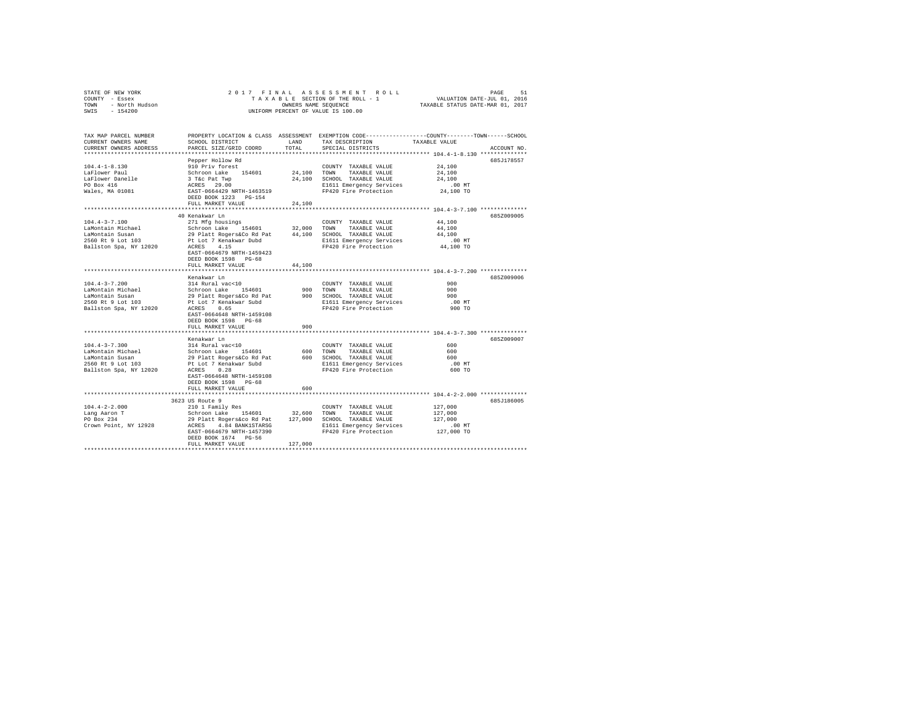| STATE OF NEW YORK<br>COUNNY - Essex<br>TOWN - North Hudson<br>SWIS - 154200 | 2017 FINAL                                                                                   |         |                                                   |                                                                                                 |
|-----------------------------------------------------------------------------|----------------------------------------------------------------------------------------------|---------|---------------------------------------------------|-------------------------------------------------------------------------------------------------|
|                                                                             |                                                                                              |         |                                                   |                                                                                                 |
|                                                                             |                                                                                              |         | OWNERS NAME SEQUENCE                              |                                                                                                 |
|                                                                             |                                                                                              |         | UNIFORM PERCENT OF VALUE IS 100.00                |                                                                                                 |
|                                                                             |                                                                                              |         |                                                   |                                                                                                 |
|                                                                             |                                                                                              |         |                                                   |                                                                                                 |
| TAX MAP PARCEL NUMBER                                                       |                                                                                              |         |                                                   | PROPERTY LOCATION & CLASS ASSESSMENT EXEMPTION CODE---------------COUNTY-------TOWN------SCHOOL |
| CURRENT OWNERS NAME                                                         | SCHOOL DISTRICT                                                                              | LAND    | TAX DESCRIPTION                                   | TAXABLE VALUE                                                                                   |
| CURRENT OWNERS ADDRESS                                                      | PARCEL SIZE/GRID COORD                                                                       | TOTAL   | SPECIAL DISTRICTS                                 | ACCOUNT NO.                                                                                     |
|                                                                             |                                                                                              |         |                                                   |                                                                                                 |
|                                                                             | Pepper Hollow Rd                                                                             |         |                                                   | 685J178557                                                                                      |
| $104.4 - 1 - 8.130$                                                         |                                                                                              |         | COUNTY TAXABLE VALUE                              | 24,100                                                                                          |
| LaFlower Paul                                                               |                                                                                              |         | 24,100 TOWN TAXABLE VALUE                         | 24,100                                                                                          |
| LaFlower Danelle                                                            |                                                                                              |         | 24,100 SCHOOL TAXABLE VALUE                       | 24,100                                                                                          |
| PO Box 416                                                                  | 910 Priv forest<br>Schroon Lake<br>3 T&C Pat Twp<br>ACRES 29.00<br>RAST-0664429 NRTH-1463519 |         | E1611 Emergency Services                          | $.00$ MT                                                                                        |
| Wales, MA 01081                                                             |                                                                                              |         | FP420 Fire Protection                             | 24,100 TO                                                                                       |
|                                                                             | DEED BOOK 1223 PG-154                                                                        |         |                                                   |                                                                                                 |
|                                                                             | FULL MARKET VALUE                                                                            | 24,100  |                                                   |                                                                                                 |
|                                                                             |                                                                                              |         |                                                   |                                                                                                 |
|                                                                             | 40 Kenakwar Ln                                                                               |         |                                                   | 685Z009005                                                                                      |
| $104.4 - 3 - 7.100$<br>LaMontain Michael                                    | 271 Mfg housings                                                                             |         | COUNTY TAXABLE VALUE<br>32,000 TOWN TAXABLE VALUE | 44,100<br>44,100                                                                                |
|                                                                             | Schroon Lake 154601                                                                          |         |                                                   |                                                                                                 |
| LaMontain Susan<br>2560 Rt 9 Lot 103                                        | 29 Platt Rogers&Co Rd Pat<br>Pt Lot 7 Kenakwar Dubd                                          |         | 44,100 SCHOOL TAXABLE VALUE                       | 44,100<br>$.00$ MT                                                                              |
| Ballston Spa, NY 12020                                                      | ACRES 4.15                                                                                   |         | E1611 Emergency Services<br>FP420 Fire Protection | 44,100 TO                                                                                       |
|                                                                             | EAST-0664679 NRTH-1459423                                                                    |         |                                                   |                                                                                                 |
|                                                                             |                                                                                              |         |                                                   |                                                                                                 |
|                                                                             | DEED BOOK 1598 PG-68<br>FULL MARKET VALUE                                                    | 44,100  |                                                   |                                                                                                 |
|                                                                             | ****************************                                                                 |         |                                                   |                                                                                                 |
|                                                                             | Kenakwar Ln                                                                                  |         |                                                   | 685Z009006                                                                                      |
| $104.4 - 3 - 7.200$                                                         | 314 Rural vac<10                                                                             |         | COUNTY TAXABLE VALUE                              | 900                                                                                             |
|                                                                             |                                                                                              |         | 900 TOWN TAXABLE VALUE                            | 900                                                                                             |
| LaMontain Michael<br>LaMontain Susan<br>2560 Rt 9 Lot 103                   | Schroon Lake 154601<br>29 Platt Rogers&Co Rd Pat<br>Pt Lot 7 Kenakwar Subd                   |         | 900 SCHOOL TAXABLE VALUE                          | 900                                                                                             |
|                                                                             |                                                                                              |         | E1611 Emergency Services                          | $.00$ MT                                                                                        |
| Ballston Spa, NY 12020                                                      | ACRES 0.65                                                                                   |         | FP420 Fire Protection                             | 900 TO                                                                                          |
|                                                                             | EAST-0664648 NRTH-1459108                                                                    |         |                                                   |                                                                                                 |
|                                                                             | DEED BOOK 1598 PG-68                                                                         |         |                                                   |                                                                                                 |
|                                                                             | FULL MARKET VALUE                                                                            | 900     |                                                   |                                                                                                 |
|                                                                             |                                                                                              |         |                                                   |                                                                                                 |
|                                                                             | Kenakwar Ln                                                                                  |         |                                                   | 685Z009007                                                                                      |
| $104.4 - 3 - 7.300$                                                         | 314 Rural vac<10                                                                             |         | COUNTY TAXABLE VALUE                              | 600                                                                                             |
| LaMontain Michael                                                           | Schroon Lake 154601                                                                          |         | 600 TOWN<br>TAXABLE VALUE                         | 600                                                                                             |
| LaMontain Susan                                                             | 29 Platt Rogers&Co Rd Pat                                                                    |         | 600 SCHOOL TAXABLE VALUE                          | 600                                                                                             |
| $2560$ Rt $9$ Lot $103$                                                     | Pt Lot 7 Kenakwar Subd                                                                       |         | E1611 Emergency Services                          | $.00$ MT                                                                                        |
| Ballston Spa, NY 12020                                                      | ACRES 0.28                                                                                   |         | FP420 Fire Protection                             | 600 TO                                                                                          |
|                                                                             | EAST-0664648 NRTH-1459108                                                                    |         |                                                   |                                                                                                 |
|                                                                             | DEED BOOK 1598 PG-68                                                                         |         |                                                   |                                                                                                 |
|                                                                             | FULL MARKET VALUE                                                                            | 600     |                                                   |                                                                                                 |
|                                                                             |                                                                                              |         |                                                   |                                                                                                 |
|                                                                             | 3623 US Route 9                                                                              |         |                                                   | 685J186005                                                                                      |
| $104.4 - 2 - 2.000$                                                         | 210 1 Family Res                                                                             |         | COUNTY TAXABLE VALUE                              | 127,000                                                                                         |
| Lang Aaron T                                                                | Schroon Lake 154601                                                                          |         | 32,600 TOWN TAXABLE VALUE                         | 127,000                                                                                         |
| PO Box 234                                                                  | 29 Platt Rogers&co Rd Pat 127,000 SCHOOL TAXABLE VALUE                                       |         |                                                   | 127,000                                                                                         |
| Crown Point, NY 12928                                                       | -<br>ACRES 4.84 BANK1STARSG<br>FAST-0664679 NRTH-1457390                                     |         | E1611 Emergency Services                          | $.00$ MT                                                                                        |
|                                                                             |                                                                                              |         | FP420 Fire Protection                             | 127,000 TO                                                                                      |
|                                                                             | DEED BOOK 1674 PG-56                                                                         |         |                                                   |                                                                                                 |
|                                                                             | FULL MARKET VALUE                                                                            | 127,000 |                                                   |                                                                                                 |
|                                                                             |                                                                                              |         |                                                   |                                                                                                 |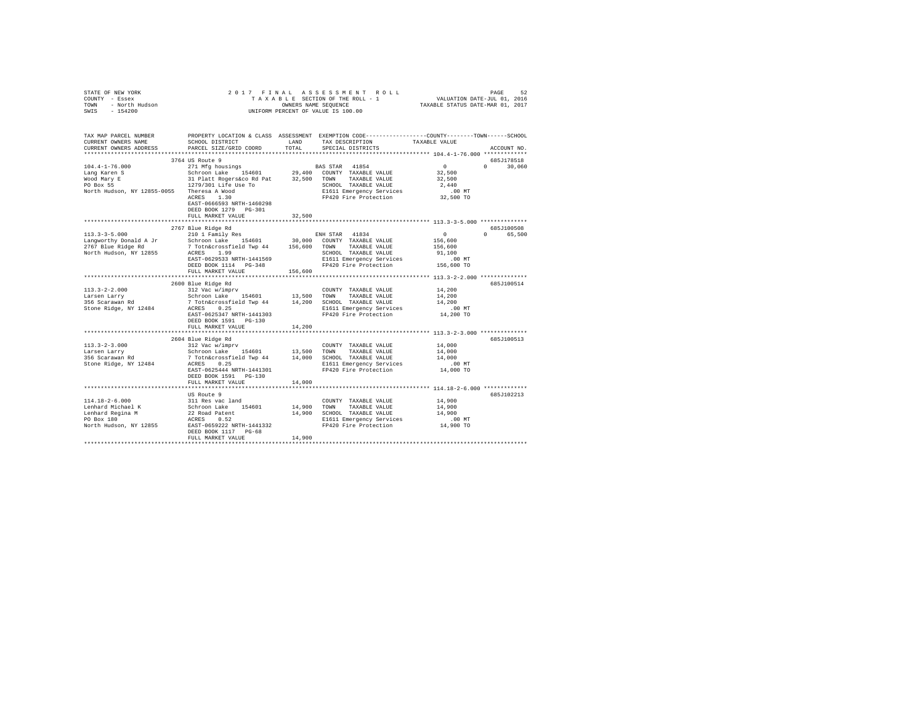| TAX MAP PARCEL NUMBER PROPERTY LOCATION & CLASS ASSESSMENT EXEMPTION CODE---------------COUNTY-------TOWN------SCHOOL<br>TAXABLE VALUE<br>SCHOOL DISTRICT LAND<br>TAX DESCRIPTION<br>CURRENT OWNERS NAME<br>TOTAL<br>CURRENT OWNERS ADDRESS<br>PARCEL SIZE/GRID COORD<br>SPECIAL DISTRICTS<br>ACCOUNT NO.<br>3764 US Route 9<br>685J178518<br>$\sim$ 0<br>$104.4 - 1 - 76.000$<br>271 Mfg housings<br>BAS STAR 41854<br>$0 \t30,060$<br>32,500<br>Lang Karen S<br>Wood Mary E<br>32,500<br>PO Box 55<br>2,440<br>North Hudson, NY 12855-0055 Theresa A Wood<br>ACRES 1.30<br>E1611 Emergency Services<br>$.00$ MT<br>FP420 Fire Protection<br>32,500 TO<br>EAST-0666593 NRTH-1460298<br>DEED BOOK 1279 PG-301<br>FULL MARKET VALUE<br>32,500<br>685J100508<br>$\begin{tabular}{lcccc} \textbf{113.3-3-5.000} & & & 2767 \text{ Blue Ridge Rd} & & & \textbf{EH STAR} & 41834 \\ & & 2767 \text{ Blue Ridge Rd} & & 210 1 \text{ Family Res} & & \textbf{EH STAR} & 41834 \\ \textbf{Lapgworth} & & 210 1 \text{ Family Res} & & 30,000 \text{ COUNT} & \textbf{TABLE VALUE} \\ \textbf{2767 Blue Ridge Rd} & & 7 \text{ Tothécrossfield Two 44} & 156,600 \text{ TOWN} & \textbf{TAXABLE VALUE} \\ \textbf{7688} & & 7$<br>$\sim$ 0<br>65,500<br>$\Omega$<br>156,600<br>156,600<br>91,100<br>$.00$ MT<br>156,600 TO<br>685J100514<br>2600 Blue Ridge Rd<br>$113.3 - 2 - 2.000$<br>312 Vac w/imprv<br>14,200<br>COUNTY TAXABLE VALUE<br>Schroon Lake 154601 13,500 COMM TAXABLE VALUE<br>7 Tothacrossfield Twp 44 14,200 SCHOOL TAXABLE VALUE<br>ACRES 0.25<br>Larsen Larry<br>14,200<br>356 Scarawan Rd<br>14,200<br>Stone Ridge, NY 12484<br>E1611 Emergency Services .00 MT<br>FP420 Fire Protection .014,200 TO<br>EAST-0625347 NRTH-1441303<br>DEED BOOK 1591    PG-130<br>14,200<br>FULL MARKET VALUE<br>2604 Blue Ridge Rd<br>685J100513<br>$113.3 - 2 - 3.000$<br>312 Vac w/imprv<br>14,000<br>COUNTY TAXABLE VALUE<br>Schroon Lake 154601 13,500<br>14,000<br>TOWN<br>TAXABLE VALUE<br>Larsen Larry<br>narsen narry<br>356 Scarawan Rd<br>7 Totn&crossfield Twp 44 14,000 SCHOOL TAXABLE VALUE<br>ACRES 0.25 114,000 SCHOOL TAXABLE VALUE<br>14,000<br>Stone Ridge, NY 12484<br>E1611 Emergency Services<br>00 MT.<br>14,000 TO<br>EAST-0625444 NRTH-1441301<br>FP420 Fire Protection<br>DEED BOOK 1591 PG-130<br>FULL MARKET VALUE<br>14,000<br>US Route 9<br>685J102213<br>$114.18 - 2 - 6.000$<br>The Same COUNTY TAXABLE VALUE<br>Schroon Lake 154601 14,900 TOWN TAXABLE VALUE<br>22 Road Patent 14,900 SCHOOL TAXABLE VALUE<br>22 ROAD PARES 0.52 E1611 Emergency Services<br>14,900<br>114.18-2-6.000<br>Lenhard Michael K<br>14,900<br>Lenhard Regina M<br>PO Box 180<br>14,900<br>PO Box 180<br>E1611 Emergency Services<br>$.00$ MT<br>North Hudson, NY 12855 EAST-0659222 NRTH-1441332<br>14,900 TO<br>FP420 Fire Protection<br>DEED BOOK 1117 PG-68<br>14,900<br>FULL MARKET VALUE | STATE OF NEW YORK 2  <br>COUNTY - Essex<br>TOWN - North Hudson<br>SWIS - 154200 | 2017 FINAL | OWNERS NAME SEQUENCE<br>UNIFORM PERCENT OF VALUE IS 100.00 |  |
|--------------------------------------------------------------------------------------------------------------------------------------------------------------------------------------------------------------------------------------------------------------------------------------------------------------------------------------------------------------------------------------------------------------------------------------------------------------------------------------------------------------------------------------------------------------------------------------------------------------------------------------------------------------------------------------------------------------------------------------------------------------------------------------------------------------------------------------------------------------------------------------------------------------------------------------------------------------------------------------------------------------------------------------------------------------------------------------------------------------------------------------------------------------------------------------------------------------------------------------------------------------------------------------------------------------------------------------------------------------------------------------------------------------------------------------------------------------------------------------------------------------------------------------------------------------------------------------------------------------------------------------------------------------------------------------------------------------------------------------------------------------------------------------------------------------------------------------------------------------------------------------------------------------------------------------------------------------------------------------------------------------------------------------------------------------------------------------------------------------------------------------------------------------------------------------------------------------------------------------------------------------------------------------------------------------------------------------------------------------------------------------------------------------------------------------------------------------------------------------------------------------------------------------------------------------------------------------------------------------------------------------------------------------------------------------------------------------------------------------------------------------------------------------------------------------------------------------------------------------------------------------------------------|---------------------------------------------------------------------------------|------------|------------------------------------------------------------|--|
|                                                                                                                                                                                                                                                                                                                                                                                                                                                                                                                                                                                                                                                                                                                                                                                                                                                                                                                                                                                                                                                                                                                                                                                                                                                                                                                                                                                                                                                                                                                                                                                                                                                                                                                                                                                                                                                                                                                                                                                                                                                                                                                                                                                                                                                                                                                                                                                                                                                                                                                                                                                                                                                                                                                                                                                                                                                                                                        |                                                                                 |            |                                                            |  |
|                                                                                                                                                                                                                                                                                                                                                                                                                                                                                                                                                                                                                                                                                                                                                                                                                                                                                                                                                                                                                                                                                                                                                                                                                                                                                                                                                                                                                                                                                                                                                                                                                                                                                                                                                                                                                                                                                                                                                                                                                                                                                                                                                                                                                                                                                                                                                                                                                                                                                                                                                                                                                                                                                                                                                                                                                                                                                                        |                                                                                 |            |                                                            |  |
|                                                                                                                                                                                                                                                                                                                                                                                                                                                                                                                                                                                                                                                                                                                                                                                                                                                                                                                                                                                                                                                                                                                                                                                                                                                                                                                                                                                                                                                                                                                                                                                                                                                                                                                                                                                                                                                                                                                                                                                                                                                                                                                                                                                                                                                                                                                                                                                                                                                                                                                                                                                                                                                                                                                                                                                                                                                                                                        |                                                                                 |            |                                                            |  |
|                                                                                                                                                                                                                                                                                                                                                                                                                                                                                                                                                                                                                                                                                                                                                                                                                                                                                                                                                                                                                                                                                                                                                                                                                                                                                                                                                                                                                                                                                                                                                                                                                                                                                                                                                                                                                                                                                                                                                                                                                                                                                                                                                                                                                                                                                                                                                                                                                                                                                                                                                                                                                                                                                                                                                                                                                                                                                                        |                                                                                 |            |                                                            |  |
|                                                                                                                                                                                                                                                                                                                                                                                                                                                                                                                                                                                                                                                                                                                                                                                                                                                                                                                                                                                                                                                                                                                                                                                                                                                                                                                                                                                                                                                                                                                                                                                                                                                                                                                                                                                                                                                                                                                                                                                                                                                                                                                                                                                                                                                                                                                                                                                                                                                                                                                                                                                                                                                                                                                                                                                                                                                                                                        |                                                                                 |            |                                                            |  |
|                                                                                                                                                                                                                                                                                                                                                                                                                                                                                                                                                                                                                                                                                                                                                                                                                                                                                                                                                                                                                                                                                                                                                                                                                                                                                                                                                                                                                                                                                                                                                                                                                                                                                                                                                                                                                                                                                                                                                                                                                                                                                                                                                                                                                                                                                                                                                                                                                                                                                                                                                                                                                                                                                                                                                                                                                                                                                                        |                                                                                 |            |                                                            |  |
|                                                                                                                                                                                                                                                                                                                                                                                                                                                                                                                                                                                                                                                                                                                                                                                                                                                                                                                                                                                                                                                                                                                                                                                                                                                                                                                                                                                                                                                                                                                                                                                                                                                                                                                                                                                                                                                                                                                                                                                                                                                                                                                                                                                                                                                                                                                                                                                                                                                                                                                                                                                                                                                                                                                                                                                                                                                                                                        |                                                                                 |            |                                                            |  |
|                                                                                                                                                                                                                                                                                                                                                                                                                                                                                                                                                                                                                                                                                                                                                                                                                                                                                                                                                                                                                                                                                                                                                                                                                                                                                                                                                                                                                                                                                                                                                                                                                                                                                                                                                                                                                                                                                                                                                                                                                                                                                                                                                                                                                                                                                                                                                                                                                                                                                                                                                                                                                                                                                                                                                                                                                                                                                                        |                                                                                 |            |                                                            |  |
|                                                                                                                                                                                                                                                                                                                                                                                                                                                                                                                                                                                                                                                                                                                                                                                                                                                                                                                                                                                                                                                                                                                                                                                                                                                                                                                                                                                                                                                                                                                                                                                                                                                                                                                                                                                                                                                                                                                                                                                                                                                                                                                                                                                                                                                                                                                                                                                                                                                                                                                                                                                                                                                                                                                                                                                                                                                                                                        |                                                                                 |            |                                                            |  |
|                                                                                                                                                                                                                                                                                                                                                                                                                                                                                                                                                                                                                                                                                                                                                                                                                                                                                                                                                                                                                                                                                                                                                                                                                                                                                                                                                                                                                                                                                                                                                                                                                                                                                                                                                                                                                                                                                                                                                                                                                                                                                                                                                                                                                                                                                                                                                                                                                                                                                                                                                                                                                                                                                                                                                                                                                                                                                                        |                                                                                 |            |                                                            |  |
|                                                                                                                                                                                                                                                                                                                                                                                                                                                                                                                                                                                                                                                                                                                                                                                                                                                                                                                                                                                                                                                                                                                                                                                                                                                                                                                                                                                                                                                                                                                                                                                                                                                                                                                                                                                                                                                                                                                                                                                                                                                                                                                                                                                                                                                                                                                                                                                                                                                                                                                                                                                                                                                                                                                                                                                                                                                                                                        |                                                                                 |            |                                                            |  |
|                                                                                                                                                                                                                                                                                                                                                                                                                                                                                                                                                                                                                                                                                                                                                                                                                                                                                                                                                                                                                                                                                                                                                                                                                                                                                                                                                                                                                                                                                                                                                                                                                                                                                                                                                                                                                                                                                                                                                                                                                                                                                                                                                                                                                                                                                                                                                                                                                                                                                                                                                                                                                                                                                                                                                                                                                                                                                                        |                                                                                 |            |                                                            |  |
|                                                                                                                                                                                                                                                                                                                                                                                                                                                                                                                                                                                                                                                                                                                                                                                                                                                                                                                                                                                                                                                                                                                                                                                                                                                                                                                                                                                                                                                                                                                                                                                                                                                                                                                                                                                                                                                                                                                                                                                                                                                                                                                                                                                                                                                                                                                                                                                                                                                                                                                                                                                                                                                                                                                                                                                                                                                                                                        |                                                                                 |            |                                                            |  |
|                                                                                                                                                                                                                                                                                                                                                                                                                                                                                                                                                                                                                                                                                                                                                                                                                                                                                                                                                                                                                                                                                                                                                                                                                                                                                                                                                                                                                                                                                                                                                                                                                                                                                                                                                                                                                                                                                                                                                                                                                                                                                                                                                                                                                                                                                                                                                                                                                                                                                                                                                                                                                                                                                                                                                                                                                                                                                                        |                                                                                 |            |                                                            |  |
|                                                                                                                                                                                                                                                                                                                                                                                                                                                                                                                                                                                                                                                                                                                                                                                                                                                                                                                                                                                                                                                                                                                                                                                                                                                                                                                                                                                                                                                                                                                                                                                                                                                                                                                                                                                                                                                                                                                                                                                                                                                                                                                                                                                                                                                                                                                                                                                                                                                                                                                                                                                                                                                                                                                                                                                                                                                                                                        |                                                                                 |            |                                                            |  |
|                                                                                                                                                                                                                                                                                                                                                                                                                                                                                                                                                                                                                                                                                                                                                                                                                                                                                                                                                                                                                                                                                                                                                                                                                                                                                                                                                                                                                                                                                                                                                                                                                                                                                                                                                                                                                                                                                                                                                                                                                                                                                                                                                                                                                                                                                                                                                                                                                                                                                                                                                                                                                                                                                                                                                                                                                                                                                                        |                                                                                 |            |                                                            |  |
|                                                                                                                                                                                                                                                                                                                                                                                                                                                                                                                                                                                                                                                                                                                                                                                                                                                                                                                                                                                                                                                                                                                                                                                                                                                                                                                                                                                                                                                                                                                                                                                                                                                                                                                                                                                                                                                                                                                                                                                                                                                                                                                                                                                                                                                                                                                                                                                                                                                                                                                                                                                                                                                                                                                                                                                                                                                                                                        |                                                                                 |            |                                                            |  |
|                                                                                                                                                                                                                                                                                                                                                                                                                                                                                                                                                                                                                                                                                                                                                                                                                                                                                                                                                                                                                                                                                                                                                                                                                                                                                                                                                                                                                                                                                                                                                                                                                                                                                                                                                                                                                                                                                                                                                                                                                                                                                                                                                                                                                                                                                                                                                                                                                                                                                                                                                                                                                                                                                                                                                                                                                                                                                                        |                                                                                 |            |                                                            |  |
|                                                                                                                                                                                                                                                                                                                                                                                                                                                                                                                                                                                                                                                                                                                                                                                                                                                                                                                                                                                                                                                                                                                                                                                                                                                                                                                                                                                                                                                                                                                                                                                                                                                                                                                                                                                                                                                                                                                                                                                                                                                                                                                                                                                                                                                                                                                                                                                                                                                                                                                                                                                                                                                                                                                                                                                                                                                                                                        |                                                                                 |            |                                                            |  |
|                                                                                                                                                                                                                                                                                                                                                                                                                                                                                                                                                                                                                                                                                                                                                                                                                                                                                                                                                                                                                                                                                                                                                                                                                                                                                                                                                                                                                                                                                                                                                                                                                                                                                                                                                                                                                                                                                                                                                                                                                                                                                                                                                                                                                                                                                                                                                                                                                                                                                                                                                                                                                                                                                                                                                                                                                                                                                                        |                                                                                 |            |                                                            |  |
|                                                                                                                                                                                                                                                                                                                                                                                                                                                                                                                                                                                                                                                                                                                                                                                                                                                                                                                                                                                                                                                                                                                                                                                                                                                                                                                                                                                                                                                                                                                                                                                                                                                                                                                                                                                                                                                                                                                                                                                                                                                                                                                                                                                                                                                                                                                                                                                                                                                                                                                                                                                                                                                                                                                                                                                                                                                                                                        |                                                                                 |            |                                                            |  |
|                                                                                                                                                                                                                                                                                                                                                                                                                                                                                                                                                                                                                                                                                                                                                                                                                                                                                                                                                                                                                                                                                                                                                                                                                                                                                                                                                                                                                                                                                                                                                                                                                                                                                                                                                                                                                                                                                                                                                                                                                                                                                                                                                                                                                                                                                                                                                                                                                                                                                                                                                                                                                                                                                                                                                                                                                                                                                                        |                                                                                 |            |                                                            |  |
|                                                                                                                                                                                                                                                                                                                                                                                                                                                                                                                                                                                                                                                                                                                                                                                                                                                                                                                                                                                                                                                                                                                                                                                                                                                                                                                                                                                                                                                                                                                                                                                                                                                                                                                                                                                                                                                                                                                                                                                                                                                                                                                                                                                                                                                                                                                                                                                                                                                                                                                                                                                                                                                                                                                                                                                                                                                                                                        |                                                                                 |            |                                                            |  |
|                                                                                                                                                                                                                                                                                                                                                                                                                                                                                                                                                                                                                                                                                                                                                                                                                                                                                                                                                                                                                                                                                                                                                                                                                                                                                                                                                                                                                                                                                                                                                                                                                                                                                                                                                                                                                                                                                                                                                                                                                                                                                                                                                                                                                                                                                                                                                                                                                                                                                                                                                                                                                                                                                                                                                                                                                                                                                                        |                                                                                 |            |                                                            |  |
|                                                                                                                                                                                                                                                                                                                                                                                                                                                                                                                                                                                                                                                                                                                                                                                                                                                                                                                                                                                                                                                                                                                                                                                                                                                                                                                                                                                                                                                                                                                                                                                                                                                                                                                                                                                                                                                                                                                                                                                                                                                                                                                                                                                                                                                                                                                                                                                                                                                                                                                                                                                                                                                                                                                                                                                                                                                                                                        |                                                                                 |            |                                                            |  |
|                                                                                                                                                                                                                                                                                                                                                                                                                                                                                                                                                                                                                                                                                                                                                                                                                                                                                                                                                                                                                                                                                                                                                                                                                                                                                                                                                                                                                                                                                                                                                                                                                                                                                                                                                                                                                                                                                                                                                                                                                                                                                                                                                                                                                                                                                                                                                                                                                                                                                                                                                                                                                                                                                                                                                                                                                                                                                                        |                                                                                 |            |                                                            |  |
|                                                                                                                                                                                                                                                                                                                                                                                                                                                                                                                                                                                                                                                                                                                                                                                                                                                                                                                                                                                                                                                                                                                                                                                                                                                                                                                                                                                                                                                                                                                                                                                                                                                                                                                                                                                                                                                                                                                                                                                                                                                                                                                                                                                                                                                                                                                                                                                                                                                                                                                                                                                                                                                                                                                                                                                                                                                                                                        |                                                                                 |            |                                                            |  |
|                                                                                                                                                                                                                                                                                                                                                                                                                                                                                                                                                                                                                                                                                                                                                                                                                                                                                                                                                                                                                                                                                                                                                                                                                                                                                                                                                                                                                                                                                                                                                                                                                                                                                                                                                                                                                                                                                                                                                                                                                                                                                                                                                                                                                                                                                                                                                                                                                                                                                                                                                                                                                                                                                                                                                                                                                                                                                                        |                                                                                 |            |                                                            |  |
|                                                                                                                                                                                                                                                                                                                                                                                                                                                                                                                                                                                                                                                                                                                                                                                                                                                                                                                                                                                                                                                                                                                                                                                                                                                                                                                                                                                                                                                                                                                                                                                                                                                                                                                                                                                                                                                                                                                                                                                                                                                                                                                                                                                                                                                                                                                                                                                                                                                                                                                                                                                                                                                                                                                                                                                                                                                                                                        |                                                                                 |            |                                                            |  |
|                                                                                                                                                                                                                                                                                                                                                                                                                                                                                                                                                                                                                                                                                                                                                                                                                                                                                                                                                                                                                                                                                                                                                                                                                                                                                                                                                                                                                                                                                                                                                                                                                                                                                                                                                                                                                                                                                                                                                                                                                                                                                                                                                                                                                                                                                                                                                                                                                                                                                                                                                                                                                                                                                                                                                                                                                                                                                                        |                                                                                 |            |                                                            |  |
|                                                                                                                                                                                                                                                                                                                                                                                                                                                                                                                                                                                                                                                                                                                                                                                                                                                                                                                                                                                                                                                                                                                                                                                                                                                                                                                                                                                                                                                                                                                                                                                                                                                                                                                                                                                                                                                                                                                                                                                                                                                                                                                                                                                                                                                                                                                                                                                                                                                                                                                                                                                                                                                                                                                                                                                                                                                                                                        |                                                                                 |            |                                                            |  |
|                                                                                                                                                                                                                                                                                                                                                                                                                                                                                                                                                                                                                                                                                                                                                                                                                                                                                                                                                                                                                                                                                                                                                                                                                                                                                                                                                                                                                                                                                                                                                                                                                                                                                                                                                                                                                                                                                                                                                                                                                                                                                                                                                                                                                                                                                                                                                                                                                                                                                                                                                                                                                                                                                                                                                                                                                                                                                                        |                                                                                 |            |                                                            |  |
|                                                                                                                                                                                                                                                                                                                                                                                                                                                                                                                                                                                                                                                                                                                                                                                                                                                                                                                                                                                                                                                                                                                                                                                                                                                                                                                                                                                                                                                                                                                                                                                                                                                                                                                                                                                                                                                                                                                                                                                                                                                                                                                                                                                                                                                                                                                                                                                                                                                                                                                                                                                                                                                                                                                                                                                                                                                                                                        |                                                                                 |            |                                                            |  |
|                                                                                                                                                                                                                                                                                                                                                                                                                                                                                                                                                                                                                                                                                                                                                                                                                                                                                                                                                                                                                                                                                                                                                                                                                                                                                                                                                                                                                                                                                                                                                                                                                                                                                                                                                                                                                                                                                                                                                                                                                                                                                                                                                                                                                                                                                                                                                                                                                                                                                                                                                                                                                                                                                                                                                                                                                                                                                                        |                                                                                 |            |                                                            |  |
|                                                                                                                                                                                                                                                                                                                                                                                                                                                                                                                                                                                                                                                                                                                                                                                                                                                                                                                                                                                                                                                                                                                                                                                                                                                                                                                                                                                                                                                                                                                                                                                                                                                                                                                                                                                                                                                                                                                                                                                                                                                                                                                                                                                                                                                                                                                                                                                                                                                                                                                                                                                                                                                                                                                                                                                                                                                                                                        |                                                                                 |            |                                                            |  |
|                                                                                                                                                                                                                                                                                                                                                                                                                                                                                                                                                                                                                                                                                                                                                                                                                                                                                                                                                                                                                                                                                                                                                                                                                                                                                                                                                                                                                                                                                                                                                                                                                                                                                                                                                                                                                                                                                                                                                                                                                                                                                                                                                                                                                                                                                                                                                                                                                                                                                                                                                                                                                                                                                                                                                                                                                                                                                                        |                                                                                 |            |                                                            |  |
|                                                                                                                                                                                                                                                                                                                                                                                                                                                                                                                                                                                                                                                                                                                                                                                                                                                                                                                                                                                                                                                                                                                                                                                                                                                                                                                                                                                                                                                                                                                                                                                                                                                                                                                                                                                                                                                                                                                                                                                                                                                                                                                                                                                                                                                                                                                                                                                                                                                                                                                                                                                                                                                                                                                                                                                                                                                                                                        |                                                                                 |            |                                                            |  |
|                                                                                                                                                                                                                                                                                                                                                                                                                                                                                                                                                                                                                                                                                                                                                                                                                                                                                                                                                                                                                                                                                                                                                                                                                                                                                                                                                                                                                                                                                                                                                                                                                                                                                                                                                                                                                                                                                                                                                                                                                                                                                                                                                                                                                                                                                                                                                                                                                                                                                                                                                                                                                                                                                                                                                                                                                                                                                                        |                                                                                 |            |                                                            |  |
|                                                                                                                                                                                                                                                                                                                                                                                                                                                                                                                                                                                                                                                                                                                                                                                                                                                                                                                                                                                                                                                                                                                                                                                                                                                                                                                                                                                                                                                                                                                                                                                                                                                                                                                                                                                                                                                                                                                                                                                                                                                                                                                                                                                                                                                                                                                                                                                                                                                                                                                                                                                                                                                                                                                                                                                                                                                                                                        |                                                                                 |            |                                                            |  |
|                                                                                                                                                                                                                                                                                                                                                                                                                                                                                                                                                                                                                                                                                                                                                                                                                                                                                                                                                                                                                                                                                                                                                                                                                                                                                                                                                                                                                                                                                                                                                                                                                                                                                                                                                                                                                                                                                                                                                                                                                                                                                                                                                                                                                                                                                                                                                                                                                                                                                                                                                                                                                                                                                                                                                                                                                                                                                                        |                                                                                 |            |                                                            |  |
|                                                                                                                                                                                                                                                                                                                                                                                                                                                                                                                                                                                                                                                                                                                                                                                                                                                                                                                                                                                                                                                                                                                                                                                                                                                                                                                                                                                                                                                                                                                                                                                                                                                                                                                                                                                                                                                                                                                                                                                                                                                                                                                                                                                                                                                                                                                                                                                                                                                                                                                                                                                                                                                                                                                                                                                                                                                                                                        |                                                                                 |            |                                                            |  |
|                                                                                                                                                                                                                                                                                                                                                                                                                                                                                                                                                                                                                                                                                                                                                                                                                                                                                                                                                                                                                                                                                                                                                                                                                                                                                                                                                                                                                                                                                                                                                                                                                                                                                                                                                                                                                                                                                                                                                                                                                                                                                                                                                                                                                                                                                                                                                                                                                                                                                                                                                                                                                                                                                                                                                                                                                                                                                                        |                                                                                 |            |                                                            |  |
|                                                                                                                                                                                                                                                                                                                                                                                                                                                                                                                                                                                                                                                                                                                                                                                                                                                                                                                                                                                                                                                                                                                                                                                                                                                                                                                                                                                                                                                                                                                                                                                                                                                                                                                                                                                                                                                                                                                                                                                                                                                                                                                                                                                                                                                                                                                                                                                                                                                                                                                                                                                                                                                                                                                                                                                                                                                                                                        |                                                                                 |            |                                                            |  |
|                                                                                                                                                                                                                                                                                                                                                                                                                                                                                                                                                                                                                                                                                                                                                                                                                                                                                                                                                                                                                                                                                                                                                                                                                                                                                                                                                                                                                                                                                                                                                                                                                                                                                                                                                                                                                                                                                                                                                                                                                                                                                                                                                                                                                                                                                                                                                                                                                                                                                                                                                                                                                                                                                                                                                                                                                                                                                                        |                                                                                 |            |                                                            |  |
|                                                                                                                                                                                                                                                                                                                                                                                                                                                                                                                                                                                                                                                                                                                                                                                                                                                                                                                                                                                                                                                                                                                                                                                                                                                                                                                                                                                                                                                                                                                                                                                                                                                                                                                                                                                                                                                                                                                                                                                                                                                                                                                                                                                                                                                                                                                                                                                                                                                                                                                                                                                                                                                                                                                                                                                                                                                                                                        |                                                                                 |            |                                                            |  |
|                                                                                                                                                                                                                                                                                                                                                                                                                                                                                                                                                                                                                                                                                                                                                                                                                                                                                                                                                                                                                                                                                                                                                                                                                                                                                                                                                                                                                                                                                                                                                                                                                                                                                                                                                                                                                                                                                                                                                                                                                                                                                                                                                                                                                                                                                                                                                                                                                                                                                                                                                                                                                                                                                                                                                                                                                                                                                                        |                                                                                 |            |                                                            |  |
|                                                                                                                                                                                                                                                                                                                                                                                                                                                                                                                                                                                                                                                                                                                                                                                                                                                                                                                                                                                                                                                                                                                                                                                                                                                                                                                                                                                                                                                                                                                                                                                                                                                                                                                                                                                                                                                                                                                                                                                                                                                                                                                                                                                                                                                                                                                                                                                                                                                                                                                                                                                                                                                                                                                                                                                                                                                                                                        |                                                                                 |            |                                                            |  |
|                                                                                                                                                                                                                                                                                                                                                                                                                                                                                                                                                                                                                                                                                                                                                                                                                                                                                                                                                                                                                                                                                                                                                                                                                                                                                                                                                                                                                                                                                                                                                                                                                                                                                                                                                                                                                                                                                                                                                                                                                                                                                                                                                                                                                                                                                                                                                                                                                                                                                                                                                                                                                                                                                                                                                                                                                                                                                                        |                                                                                 |            |                                                            |  |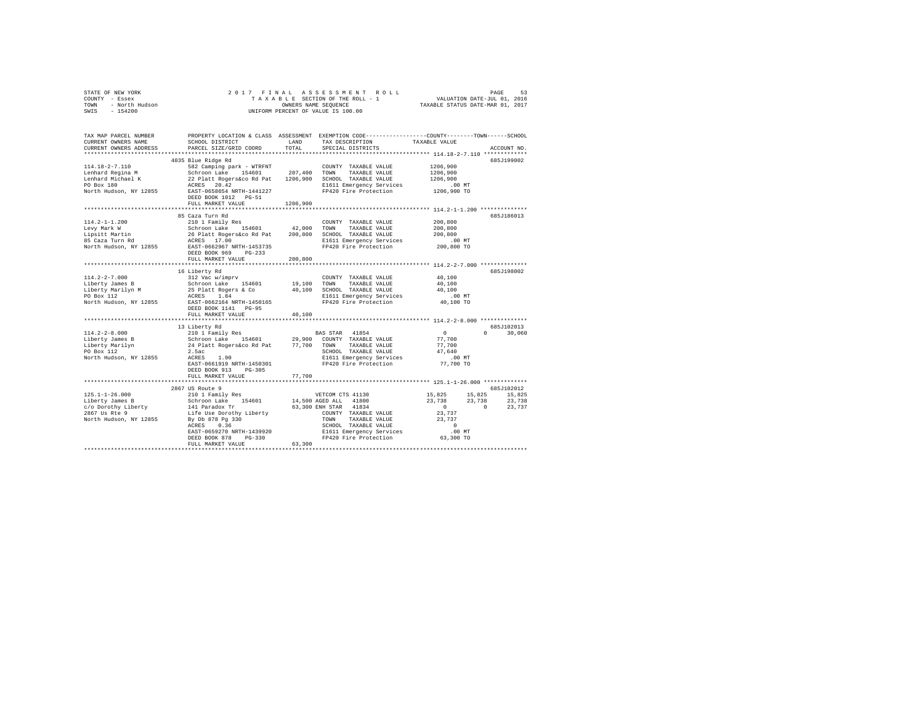|      | STATE OF NEW YORK | 2017 FINAL ASSESSMENT ROLL         | 53<br>PAGE                       |
|------|-------------------|------------------------------------|----------------------------------|
|      | COUNTY - Essex    | TAXABLE SECTION OF THE ROLL - 1    | VALUATION DATE-JUL 01, 2016      |
| TOWN | - North Hudson    | OWNERS NAME SEOUENCE               | TAXABLE STATUS DATE-MAR 01, 2017 |
| SWIS | $-154200$         | UNIFORM PERCENT OF VALUE IS 100.00 |                                  |

| TAX MAP PARCEL NUMBER<br>CURRENT OWNERS NAME<br>CURRENT OWNERS ADDRESS                                                           | SCHOOL DISTRICT<br>PARCEL SIZE/GRID COORD                                                                                                                                                                                    | LAND<br>TOTAL                             | TAX DESCRIPTION<br>SPECIAL DISTRICTS                                                                                                                                                             | PROPERTY LOCATION & CLASS ASSESSMENT EXEMPTION CODE----------------COUNTY-------TOWN------SCHOOL<br>TAXABLE VALUE<br>ACCOUNT NO.                                 |
|----------------------------------------------------------------------------------------------------------------------------------|------------------------------------------------------------------------------------------------------------------------------------------------------------------------------------------------------------------------------|-------------------------------------------|--------------------------------------------------------------------------------------------------------------------------------------------------------------------------------------------------|------------------------------------------------------------------------------------------------------------------------------------------------------------------|
| ***********************<br>$114.18 - 2 - 7.110$<br>Lenhard Regina M<br>Lenhard Michael K<br>PO Box 180<br>North Hudson, NY 12855 | 4035 Blue Ridge Rd<br>582 Camping park - WTRFNT<br>Schroon Lake 154601<br>22 Platt Rogers&co Rd Pat<br>ACRES 20.42<br>EAST-0658654 NRTH-1441227<br>DEED BOOK 1012 PG-51<br>FULL MARKET VALUE                                 | 207,400<br>1206,900<br>1206,900           | COUNTY TAXABLE VALUE<br>TOWN<br>TAXABLE VALUE<br>SCHOOL TAXABLE VALUE<br>E1611 Emergency Services<br>FP420 Fire Protection                                                                       | 685J199002<br>1206,900<br>1206,900<br>1206,900<br>.00 MT<br>1206,900 TO                                                                                          |
| $114.2 - 1 - 1.200$<br>Levy Mark W<br>Lipsitt Martin<br>85 Caza Turn Rd<br>North Hudson, NY 12855                                | 85 Caza Turn Rd<br>210 1 Family Res<br>Schroon Lake 154601<br>26 Platt Rogers&co Rd Pat<br>ACRES 17.00<br>EAST-0662967 NRTH-1453735<br>DEED BOOK 969<br>$PG-233$<br>FULL MARKET VALUE                                        | 42,000<br>200,800<br>200,800              | COUNTY TAXABLE VALUE<br>TOWN<br>TAXABLE VALUE<br>SCHOOL TAXABLE VALUE<br>E1611 Emergency Services<br>FP420 Fire Protection                                                                       | 685J186013<br>200,800<br>200,800<br>200,800<br>$.00$ MT<br>200,800 TO                                                                                            |
| $114.2 - 2 - 7.000$<br>Liberty James B<br>Liberty Marilyn M<br>PO Box 112<br>North Hudson, NY 12855                              | ****************************<br>16 Liberty Rd<br>312 Vac w/imprv<br>Schroon Lake 154601<br>25 Platt Rogers & Co<br>1.84<br>ACRES<br>EAST-0662164 NRTH-1450165<br>DEED BOOK 1141 PG-95<br>FULL MARKET VALUE                   | ***********<br>19,100<br>40,100<br>40,100 | COUNTY TAXABLE VALUE<br>TOWN<br>TAXABLE VALUE<br>SCHOOL TAXABLE VALUE<br>E1611 Emergency Services<br>FP420 Fire Protection                                                                       | *********************************** 114.2-2-7.000 ****************<br>685J198002<br>40,100<br>40,100<br>40,100<br>$.00$ MT<br>40,100 TO                          |
| $114.2 - 2 - 8.000$<br>Liberty James B<br>Liberty Marilyn<br>PO Box 112<br>North Hudson, NY 12855                                | 13 Liberty Rd<br>210 1 Family Res<br>Schroon Lake<br>154601<br>24 Platt Rogers&co Rd Pat<br>2.5ac<br>ACRES<br>1.90<br>EAST-0661919 NRTH-1450301<br>DEED BOOK 913<br>$PG-305$<br>FULL MARKET VALUE                            | 29,900<br>77,700<br>77,700                | BAS STAR 41854<br>COUNTY TAXABLE VALUE<br>TOWN<br>TAXABLE VALUE<br>SCHOOL TAXABLE VALUE<br>E1611 Emergency Services<br>FP420 Fire Protection                                                     | 685J102013<br>$\circ$<br>$\Omega$<br>30,060<br>77,700<br>77,700<br>47.640<br>.00 MT<br>77,700 TO                                                                 |
| $125.1 - 1 - 26.000$<br>Liberty James B<br>c/o Dorothy Liberty<br>2867 Us Rte 9<br>North Hudson, NY 12855                        | 2867 US Route 9<br>210 1 Family Res<br>Schroon Lake<br>154601<br>141 Paradox Tr<br>Life Use Dorothy Liberty<br>By Db 878 Pg 330<br>ACRES 0.36<br>EAST-0659270 NRTH-1439920<br>$PG-330$<br>DEED BOOK 878<br>FULL MARKET VALUE | 63,300                                    | VETCOM CTS 41130<br>14,500 AGED ALL 41800<br>63,300 ENH STAR 41834<br>COUNTY TAXABLE VALUE<br>TAXABLE VALUE<br>TOWN<br>SCHOOL TAXABLE VALUE<br>E1611 Emergency Services<br>FP420 Fire Protection | 685J102012<br>15,825<br>15,825<br>15,825<br>23,738<br>23,738<br>23,738<br>$\circ$<br>$\Omega$<br>23,737<br>23,737<br>23,737<br>$\Omega$<br>$.00$ MT<br>63,300 TO |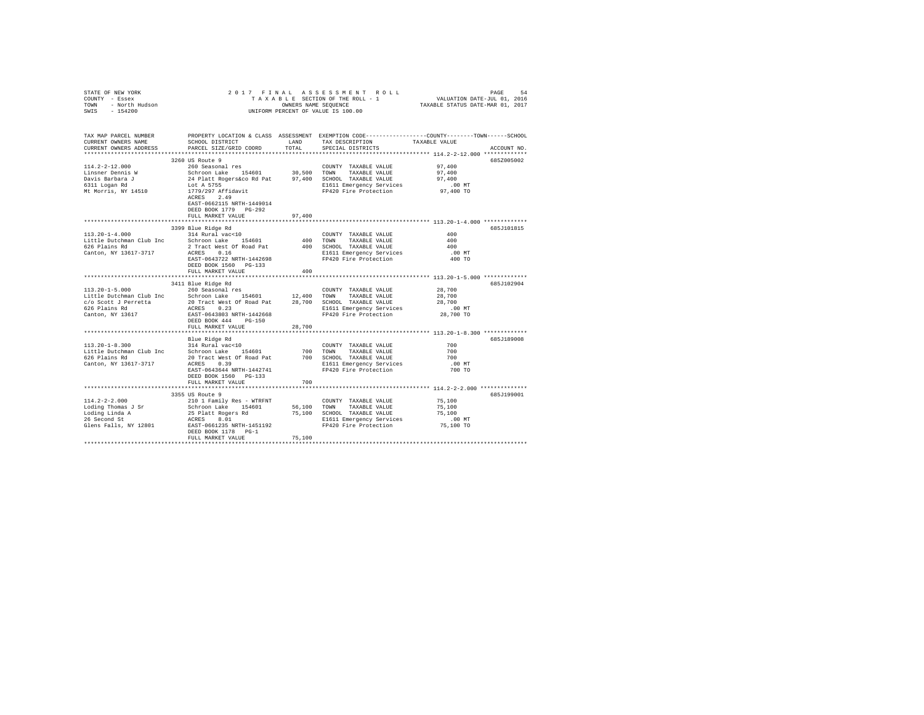| CURRENT OWNERS ADDRESS | PARCEL SIZE/GRID COORD                                                  | TOTAL  | SCHOOL DISTRICT LAND TAX DESCRIPTION TAXABLE VALUE<br>SPECIAL DISTRICTS                                                                                                                                                                                                   | TAX MAP PARCEL NUMBER PROPERTY LOCATION & CLASS ASSESSMENT EXEMPTION CODE---------------COUNTY-------TOWN------SCHOOL<br>CURRENT OWNERS NAME SCHOOL DISTRICT LAND TAX DESCRIPTION TAXABLE VALUE<br>ACCOUNT NO. |
|------------------------|-------------------------------------------------------------------------|--------|---------------------------------------------------------------------------------------------------------------------------------------------------------------------------------------------------------------------------------------------------------------------------|----------------------------------------------------------------------------------------------------------------------------------------------------------------------------------------------------------------|
|                        | 3260 US Route 9                                                         |        |                                                                                                                                                                                                                                                                           | 685Z005002                                                                                                                                                                                                     |
|                        |                                                                         |        |                                                                                                                                                                                                                                                                           |                                                                                                                                                                                                                |
|                        |                                                                         |        |                                                                                                                                                                                                                                                                           |                                                                                                                                                                                                                |
|                        |                                                                         |        |                                                                                                                                                                                                                                                                           |                                                                                                                                                                                                                |
|                        |                                                                         |        |                                                                                                                                                                                                                                                                           |                                                                                                                                                                                                                |
|                        | EAST-0662115 NRTH-1449014<br>DEED BOOK 1779 PG-292<br>FULL MARKET VALUE |        |                                                                                                                                                                                                                                                                           |                                                                                                                                                                                                                |
|                        |                                                                         | 97,400 |                                                                                                                                                                                                                                                                           |                                                                                                                                                                                                                |
|                        | 3399 Blue Ridge Rd                                                      |        |                                                                                                                                                                                                                                                                           | 685J101815                                                                                                                                                                                                     |
|                        |                                                                         |        |                                                                                                                                                                                                                                                                           | $\begin{array}{c} 400 \\ 400 \\ 400 \end{array}$                                                                                                                                                               |
|                        |                                                                         |        |                                                                                                                                                                                                                                                                           |                                                                                                                                                                                                                |
|                        |                                                                         |        |                                                                                                                                                                                                                                                                           |                                                                                                                                                                                                                |
|                        |                                                                         |        |                                                                                                                                                                                                                                                                           | $.00$ MT                                                                                                                                                                                                       |
|                        | DEED BOOK 1560 PG-133                                                   |        |                                                                                                                                                                                                                                                                           | 400 TO                                                                                                                                                                                                         |
|                        | FULL MARKET VALUE                                                       | 400    |                                                                                                                                                                                                                                                                           |                                                                                                                                                                                                                |
|                        |                                                                         |        |                                                                                                                                                                                                                                                                           |                                                                                                                                                                                                                |
|                        | 3411 Blue Ridge Rd                                                      |        |                                                                                                                                                                                                                                                                           | 685J102904                                                                                                                                                                                                     |
|                        |                                                                         |        | $\begin{tabular}{lllllllllll} \multicolumn{2}{c}{\textbf{COUNTY}} & \textbf{TAXABLE VALUE} & & & 28\,,700 \\ \multicolumn{2}{c}{\textbf{TOWN}} & \textbf{TAXABLE VALUE} & & & 28\,,700 \\ \multicolumn{2}{c}{\textbf{TOWN}} & \textbf{TAXABLE VALUE} & & & \end{tabular}$ |                                                                                                                                                                                                                |
|                        |                                                                         |        |                                                                                                                                                                                                                                                                           |                                                                                                                                                                                                                |
|                        |                                                                         |        |                                                                                                                                                                                                                                                                           | 28,700                                                                                                                                                                                                         |
|                        |                                                                         |        |                                                                                                                                                                                                                                                                           | 00 MT.<br>28,700 TO                                                                                                                                                                                            |
|                        | DEED BOOK 444 PG-150                                                    |        |                                                                                                                                                                                                                                                                           |                                                                                                                                                                                                                |
|                        | FULL MARKET VALUE                                                       | 28,700 |                                                                                                                                                                                                                                                                           |                                                                                                                                                                                                                |
|                        |                                                                         |        |                                                                                                                                                                                                                                                                           |                                                                                                                                                                                                                |
|                        |                                                                         |        |                                                                                                                                                                                                                                                                           | 685J189008                                                                                                                                                                                                     |
|                        |                                                                         |        |                                                                                                                                                                                                                                                                           | $700$<br>$700$                                                                                                                                                                                                 |
|                        |                                                                         |        |                                                                                                                                                                                                                                                                           |                                                                                                                                                                                                                |
|                        |                                                                         |        |                                                                                                                                                                                                                                                                           | 700                                                                                                                                                                                                            |
|                        |                                                                         |        | E1611 Emergency Services<br>FP420 Fire Protection                                                                                                                                                                                                                         | $.00$ MT                                                                                                                                                                                                       |
|                        |                                                                         |        |                                                                                                                                                                                                                                                                           | 700 TO                                                                                                                                                                                                         |
|                        | DEED BOOK 1560 PG-133                                                   |        |                                                                                                                                                                                                                                                                           |                                                                                                                                                                                                                |
|                        | FULL MARKET VALUE                                                       | 700    |                                                                                                                                                                                                                                                                           |                                                                                                                                                                                                                |
|                        | 3355 US Route 9                                                         |        |                                                                                                                                                                                                                                                                           | 685J199001                                                                                                                                                                                                     |
|                        |                                                                         |        |                                                                                                                                                                                                                                                                           |                                                                                                                                                                                                                |
|                        |                                                                         |        |                                                                                                                                                                                                                                                                           |                                                                                                                                                                                                                |
|                        |                                                                         |        |                                                                                                                                                                                                                                                                           |                                                                                                                                                                                                                |
|                        |                                                                         |        |                                                                                                                                                                                                                                                                           |                                                                                                                                                                                                                |
|                        |                                                                         |        |                                                                                                                                                                                                                                                                           |                                                                                                                                                                                                                |
|                        |                                                                         |        |                                                                                                                                                                                                                                                                           |                                                                                                                                                                                                                |
|                        | FULL MARKET VALUE                                                       | 75,100 |                                                                                                                                                                                                                                                                           |                                                                                                                                                                                                                |
|                        |                                                                         |        |                                                                                                                                                                                                                                                                           |                                                                                                                                                                                                                |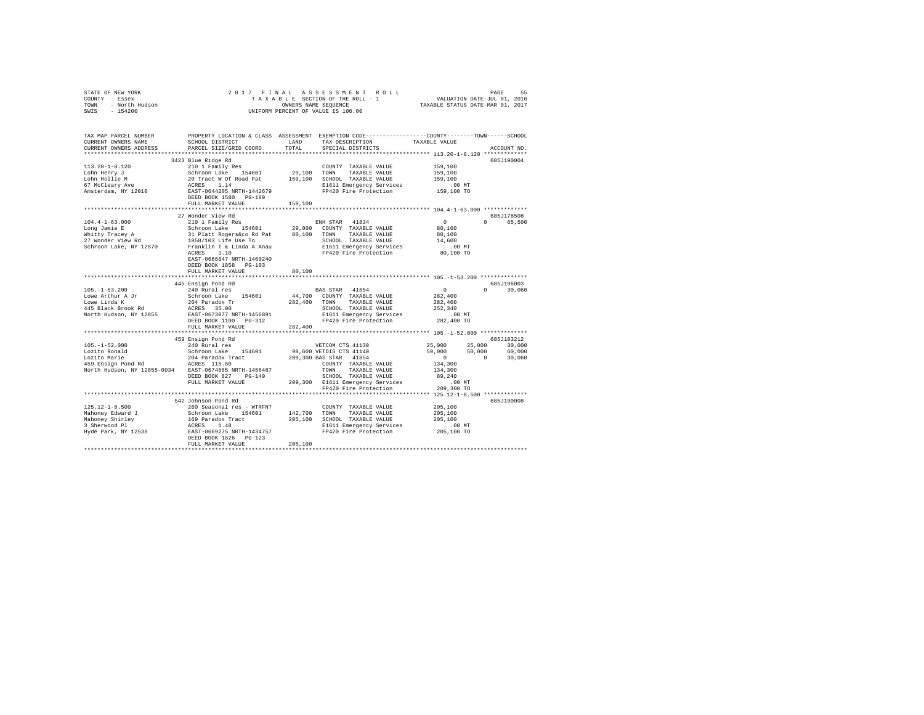| STATE OF NEW YORK<br>COUNTY - Essex<br>$I =$ ESSex<br>- North Hudson<br>- $154200$<br>TOWN<br>SWIS - 154200 | 2017 FINAL                                            | ASSESSMENT ROLL<br>TAXABLE SECTION OF THE ROLL - 1<br>OWNERS NAME SEQUENCE<br>UNIFORM PERCENT OF VALUE IS 100.00 | PAGE<br>VALUATION DATE-JUL 01, 2016<br>TAXABLE STATUS DATE-MAR 01, 2017                                                                                  | 55 |
|-------------------------------------------------------------------------------------------------------------|-------------------------------------------------------|------------------------------------------------------------------------------------------------------------------|----------------------------------------------------------------------------------------------------------------------------------------------------------|----|
|                                                                                                             |                                                       |                                                                                                                  |                                                                                                                                                          |    |
| TAX MAP PARCEL NUMBER                                                                                       |                                                       | PROPERTY LOCATION & CLASS ASSESSMENT EXEMPTION CODE---------------COUNTY-------TOWN------SCHOOL                  |                                                                                                                                                          |    |
| CURRENT OWNERS NAME                                                                                         | SCHOOL DISTRICT                                       | LAND<br>TAX DESCRIPTION<br>TOTAL                                                                                 | TAXABLE VALUE                                                                                                                                            |    |
| CURRENT OWNERS ADDRESS                                                                                      | PARCEL SIZE/GRID COORD                                | SPECIAL DISTRICTS                                                                                                | ACCOUNT NO.                                                                                                                                              |    |
|                                                                                                             | 3423 Blue Ridge Rd                                    |                                                                                                                  | 685J190004                                                                                                                                               |    |
| $113.20 - 1 - 8.120$                                                                                        | 210 1 Family Res                                      | COUNTY TAXABLE VALUE                                                                                             | 159,100                                                                                                                                                  |    |
| Lohn Henry J                                                                                                |                                                       |                                                                                                                  | 159,100                                                                                                                                                  |    |
| Lohn Hollie M                                                                                               |                                                       | Schroon Lake 154601 29,100 TOWN TAXABLE VALUE<br>20 Tract W Of Road Pat 159,100 SCHOOL TAXABLE VALUE             | 159,100                                                                                                                                                  |    |
|                                                                                                             |                                                       | E1611 Emergency Services                                                                                         | $.00$ MT                                                                                                                                                 |    |
| 67 McCleary Ave<br>Amsterdam, NY 12010                                                                      | ACRES 1.14<br>EAST-0644205 NRTH-1442679               | FP420 Fire Protection                                                                                            | 159,100 TO                                                                                                                                               |    |
|                                                                                                             | DEED BOOK 1580 PG-189                                 |                                                                                                                  |                                                                                                                                                          |    |
|                                                                                                             | FULL MARKET VALUE                                     | 159,100                                                                                                          |                                                                                                                                                          |    |
|                                                                                                             |                                                       |                                                                                                                  |                                                                                                                                                          |    |
|                                                                                                             | 27 Wonder View Rd                                     |                                                                                                                  | 685J178508                                                                                                                                               |    |
| $104.4 - 1 - 63.000$                                                                                        | 210 1 Family Res                                      | ENH STAR 41834                                                                                                   | $\sim$<br>0 65,500                                                                                                                                       |    |
| Long Jamie E                                                                                                |                                                       |                                                                                                                  | 80,100                                                                                                                                                   |    |
| Whitty Tracey A<br>27 Wonder View Rd                                                                        |                                                       |                                                                                                                  | 80,100<br>14,600                                                                                                                                         |    |
| Schroon Lake, NY 12870                                                                                      | Franklin T & Linda A Anau                             |                                                                                                                  | $.00$ MT                                                                                                                                                 |    |
|                                                                                                             | ACRES 1.10                                            | E1611 Emergency Services<br>FP420 Fire Protection                                                                | 80,100 TO                                                                                                                                                |    |
|                                                                                                             | EAST-0666847 NRTH-1460240                             |                                                                                                                  |                                                                                                                                                          |    |
|                                                                                                             | DEED BOOK 1858 PG-103                                 |                                                                                                                  |                                                                                                                                                          |    |
|                                                                                                             | FULL MARKET VALUE                                     | 80,100                                                                                                           |                                                                                                                                                          |    |
|                                                                                                             |                                                       |                                                                                                                  |                                                                                                                                                          |    |
|                                                                                                             | 445 Ensign Pond Rd                                    |                                                                                                                  | 685.7196003                                                                                                                                              |    |
| $105. - 1 - 53.200$                                                                                         | 240 Rural res                                         | BAS STAR 41854                                                                                                   | $\sim$ 0<br>$0 \t 30,060$                                                                                                                                |    |
| Lowe Arthur A Jr                                                                                            | Schroon Lake 154601                                   | 44,700 COUNTY TAXABLE VALUE                                                                                      | 282,400                                                                                                                                                  |    |
| Lowe Linda K                                                                                                | 204 Paradox Tr                                        | 282.400 TOWN TAXABLE VALUE                                                                                       | 282,400                                                                                                                                                  |    |
| 445 Black Brook Rd                                                                                          | ACRES 35.00                                           | SCHOOL TAXABLE VALUE                                                                                             | 252,340                                                                                                                                                  |    |
| North Hudson, NY 12855                                                                                      | EAST-0673077 NRTH-1456891                             | E1611 Emergency Services                                                                                         | . 00 MT                                                                                                                                                  |    |
|                                                                                                             | DEED BOOK 1100 PG-312                                 | FP420 Fire Protection 282,400 TO                                                                                 |                                                                                                                                                          |    |
|                                                                                                             | FULL MARKET VALUE                                     | 282,400                                                                                                          |                                                                                                                                                          |    |
|                                                                                                             |                                                       |                                                                                                                  | 6857103212                                                                                                                                               |    |
| $105. - 1 - 52.000$                                                                                         | 459 Ensign Pond Rd                                    |                                                                                                                  |                                                                                                                                                          |    |
| Lozito Ronald                                                                                               |                                                       | 240 Rural res<br>240 Rural res<br>5chroon Lake 154601 98,600 VETDIS CTS 41140                                    |                                                                                                                                                          |    |
|                                                                                                             | 204 Paradox Tract 209,300 BAS STAR 41854              |                                                                                                                  | $\begin{array}{cccc} 25,000 & \quad & 25,000 & \quad & 30,000 \\ 50,000 & \quad & 50,000 & \quad & 60,000 \\ 0 & \quad & 0 & \quad & 30,060 \end{array}$ |    |
|                                                                                                             |                                                       | COUNTY TAXABLE VALUE                                                                                             | 134,300                                                                                                                                                  |    |
|                                                                                                             | North Hudson, NY 12855-0034 EAST-0674685 NRTH-1456487 | TOWN TAXABLE VALUE                                                                                               | 134,300                                                                                                                                                  |    |
|                                                                                                             | DEED BOOK 827 PG-149                                  | SCHOOL TAXABLE VALUE                                                                                             | 89,240                                                                                                                                                   |    |
|                                                                                                             |                                                       | FULL MARKET VALUE 209,300 E1611 Emergency Services                                                               |                                                                                                                                                          |    |
|                                                                                                             |                                                       | FP420 Fire Protection                                                                                            | S .00 MT<br>209,300 TO                                                                                                                                   |    |
|                                                                                                             |                                                       |                                                                                                                  |                                                                                                                                                          |    |

542 Johnson Pond Rd 685J190008 125.12-1-8.500 260 Seasonal res - WTRFNT COUNTY TAXABLE VALUE 205,100 Mahoney Edward J Schroon Lake 154601 142,700 TOWN TAXABLE VALUE 205,100 Mahoney Shirley 169 Paradox Tract 205,100 SCHOOL TAXABLE VALUE 205,100 3 Sherwood Pl ACRES 1.48 E1611 Emergency Services .00 MT Hyde Park, NY 12538 EAST-0669275 NRTH-1434757 FP420 Fire Protection 205,100 TO DEED BOOK 1626 PG-123 FULL MARKET VALUE 205,100 \*\*\*\*\*\*\*\*\*\*\*\*\*\*\*\*\*\*\*\*\*\*\*\*\*\*\*\*\*\*\*\*\*\*\*\*\*\*\*\*\*\*\*\*\*\*\*\*\*\*\*\*\*\*\*\*\*\*\*\*\*\*\*\*\*\*\*\*\*\*\*\*\*\*\*\*\*\*\*\*\*\*\*\*\*\*\*\*\*\*\*\*\*\*\*\*\*\*\*\*\*\*\*\*\*\*\*\*\*\*\*\*\*\*\*\*\*\*\*\*\*\*\*\*\*\*\*\*\*\*\*\*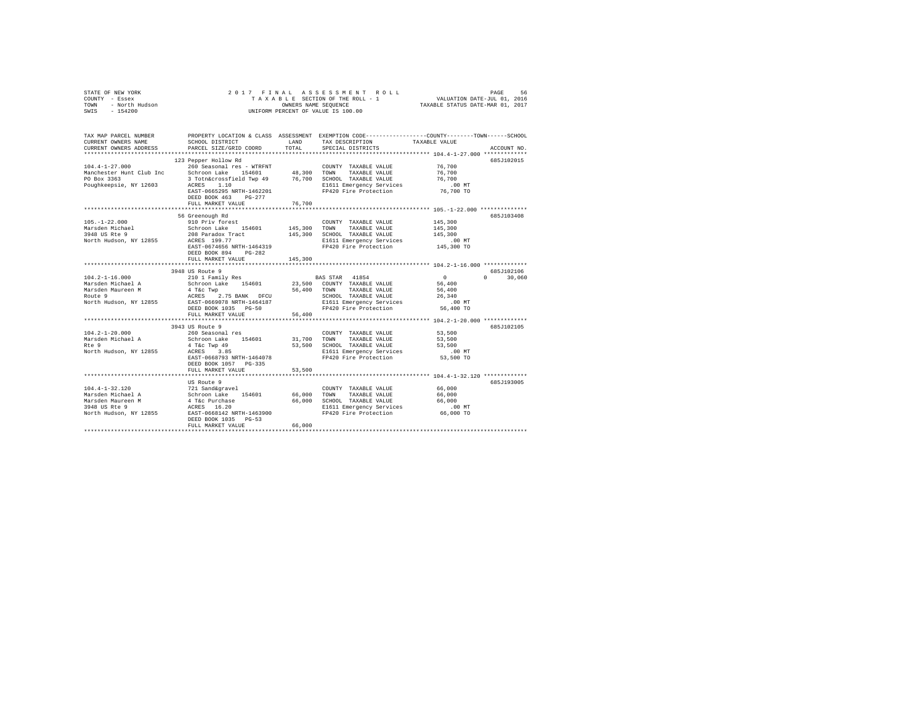| OF NEW YORK<br>Y - Essex<br>- North Hudson<br>- 154200<br>STATE OF NEW YORK<br>COUNTY - Essex<br>TOWN<br>SWIS | 2017 FINAL                                           |               | A S S E S S M E N T R O L L<br>SECTION OF THE ROLL - 1 VALUATION DATE-JUL 01, 2016<br>SI NAME SEQUENCE COLL - 1 TAXABLE STATUS DATE-MAR 01, 2017<br>TAXABLE SECTION OF THE ROLL - 1<br>OWNERS NAME SEQUENCE<br>UNIFORM PERCENT OF VALUE IS 100.00 |                       |               |
|---------------------------------------------------------------------------------------------------------------|------------------------------------------------------|---------------|---------------------------------------------------------------------------------------------------------------------------------------------------------------------------------------------------------------------------------------------------|-----------------------|---------------|
| TAX MAP PARCEL NUMBER<br>CURRENT OWNERS NAME<br>CURRENT OWNERS ADDRESS                                        | SCHOOL DISTRICT<br>PARCEL SIZE/GRID COORD            | LAND<br>TOTAL | PROPERTY LOCATION & CLASS ASSESSMENT EXEMPTION CODE---------------COUNTY-------TOWN-----SCHOOL<br>TAX DESCRIPTION<br>SPECIAL DISTRICTS                                                                                                            | TAXABLE VALUE         | ACCOUNT NO.   |
|                                                                                                               |                                                      |               |                                                                                                                                                                                                                                                   |                       |               |
| $104.4 - 1 - 27.000$                                                                                          | 123 Pepper Hollow Rd<br>260 Seasonal res - WTRFNT    |               | COUNTY TAXABLE VALUE                                                                                                                                                                                                                              | 76,700                | 685J102015    |
| Manchester Hunt Club Inc                                                                                      | Schroon Lake 154601                                  | 48,300 TOWN   | TAXABLE VALUE                                                                                                                                                                                                                                     | 76,700                |               |
| PO Box 3363                                                                                                   | 3 Totn&crossfield Twp 49 76,700 SCHOOL TAXABLE VALUE |               |                                                                                                                                                                                                                                                   | 76,700                |               |
| Poughkeepsie, NY 12603                                                                                        | ACRES 1.10                                           |               | E1611 Emergency Services                                                                                                                                                                                                                          | .00 MT                |               |
|                                                                                                               | EAST-0665295 NRTH-1462201                            |               | FP420 Fire Protection                                                                                                                                                                                                                             | 76,700 TO             |               |
|                                                                                                               | DEED BOOK 463 PG-277                                 |               |                                                                                                                                                                                                                                                   |                       |               |
|                                                                                                               | FULL MARKET VALUE                                    | 76,700        |                                                                                                                                                                                                                                                   |                       |               |
|                                                                                                               | 56 Greenough Rd                                      |               |                                                                                                                                                                                                                                                   |                       | 685J103408    |
| $105. - 1 - 22.000$                                                                                           | 910 Priv forest                                      |               | COUNTY TAXABLE VALUE                                                                                                                                                                                                                              | 145,300               |               |
|                                                                                                               | Schroon Lake 154601                                  | 145,300 TOWN  | TAXABLE VALUE                                                                                                                                                                                                                                     | 145,300               |               |
| Marsden Michael<br>3948 US Rte 9                                                                              | 208 Paradox Tract                                    |               | 145,300 SCHOOL TAXABLE VALUE                                                                                                                                                                                                                      | 145,300               |               |
| North Hudson, NY 12855                                                                                        | ACRES 199.77                                         |               | E1611 Emergency Services                                                                                                                                                                                                                          | $.00$ MT              |               |
|                                                                                                               | EAST-0674656 NRTH-1464319                            |               | FP420 Fire Protection                                                                                                                                                                                                                             | 145,300 TO            |               |
|                                                                                                               | DEED BOOK 894 PG-282<br>FULL MARKET VALUE            | 145,300       |                                                                                                                                                                                                                                                   |                       |               |
|                                                                                                               |                                                      |               |                                                                                                                                                                                                                                                   |                       |               |
|                                                                                                               | 3948 US Route 9                                      |               |                                                                                                                                                                                                                                                   |                       | 685J102106    |
| $104.2 - 1 - 16.000$                                                                                          | 210 1 Family Res                                     |               | BAS STAR 41854                                                                                                                                                                                                                                    | $\sim$ 0              | $0 \t 30.060$ |
| Marsden Michael A                                                                                             | Schroon Lake 154601                                  |               | 23,500 COUNTY TAXABLE VALUE                                                                                                                                                                                                                       | 56,400                |               |
| Marsden Maureen M                                                                                             | 4 T&c Twp                                            | 56,400 TOWN   | TAXABLE VALUE                                                                                                                                                                                                                                     | 56,400                |               |
| Route 9                                                                                                       | 4 T&C TWP<br>ACRES 2.75 BANK DFCU                    |               | SCHOOL TAXABLE VALUE                                                                                                                                                                                                                              | 26,340                |               |
| North Hudson, NY 12855                                                                                        | EAST-0669078 NRTH-1464187<br>DEED BOOK 1035 PG-50    |               | E1611 Emergency Services .00 MT<br>FP420 Fire Protection 56,400 TO                                                                                                                                                                                |                       |               |
|                                                                                                               | FULL MARKET VALUE                                    | 56,400        |                                                                                                                                                                                                                                                   |                       |               |
|                                                                                                               |                                                      |               |                                                                                                                                                                                                                                                   |                       |               |
|                                                                                                               | 3943 US Route 9                                      |               |                                                                                                                                                                                                                                                   |                       | 685J102105    |
| $104.2 - 1 - 20.000$                                                                                          | 260 Seasonal res                                     |               | COUNTY TAXABLE VALUE                                                                                                                                                                                                                              | 53,500                |               |
| Marsden Michael A                                                                                             | Schroon Lake 154601                                  | 31,700        | TOWN<br>TAXABLE VALUE                                                                                                                                                                                                                             | 53,500                |               |
| Rte 9                                                                                                         | 4 T&C Twp 49<br>ACRES 3.85                           |               | 53,500 SCHOOL TAXABLE VALUE                                                                                                                                                                                                                       | 53,500                |               |
| North Hudson, NY 12855                                                                                        | EAST-0668793 NRTH-1464078                            |               | E1611 Emergency Services<br>FP420 Fire Protection                                                                                                                                                                                                 | $.00$ MT<br>53,500 TO |               |
|                                                                                                               | DEED BOOK 1057 PG-335                                |               |                                                                                                                                                                                                                                                   |                       |               |
|                                                                                                               | FULL MARKET VALUE                                    | 53,500        |                                                                                                                                                                                                                                                   |                       |               |
|                                                                                                               |                                                      |               |                                                                                                                                                                                                                                                   |                       |               |
|                                                                                                               | US Route 9                                           |               |                                                                                                                                                                                                                                                   |                       | 685J193005    |
| $104.4 - 1 - 32.120$                                                                                          | 721 Sand&gravel                                      |               | COUNTY TAXABLE VALUE                                                                                                                                                                                                                              | 66,000                |               |
| Marsden Michael A                                                                                             | Schroon Lake 154601<br>4 T&c Purchase                | 66,000        | TOWN<br>TAXABLE VALUE                                                                                                                                                                                                                             | 66,000                |               |
| Marsden Maureen M                                                                                             |                                                      | 66,000        | SCHOOL TAXABLE VALUE                                                                                                                                                                                                                              | 66,000                |               |
| 3948 US Rte 9<br>North Hudson, NY 12855                                                                       | ACRES 16.20<br>EAST-0668142 NRTH-1463900             |               | E1611 Emergency Services                                                                                                                                                                                                                          | .00 MT                |               |
|                                                                                                               | DEED BOOK 1035 PG-53                                 |               |                                                                                                                                                                                                                                                   |                       |               |
|                                                                                                               | FULL MARKET VALUE                                    | 66,000        |                                                                                                                                                                                                                                                   |                       |               |
|                                                                                                               |                                                      |               |                                                                                                                                                                                                                                                   |                       |               |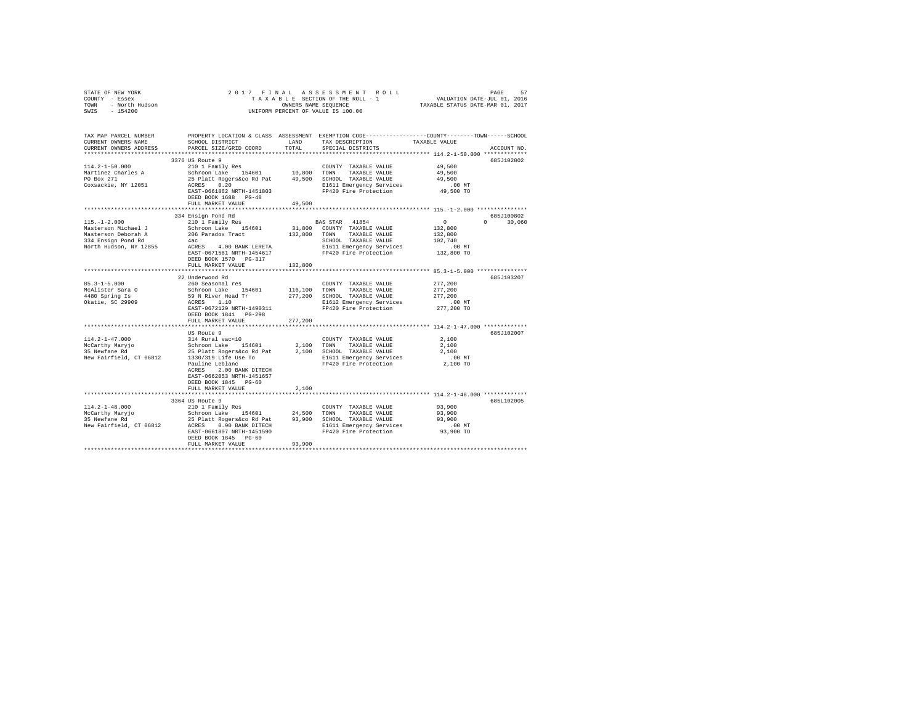| STATE OF NEW YORK<br>COUNTY - Essex<br>TOWN - North Hudson<br>SWIS - 154200                                      | T A X A D D D<br>OWNERS NAME SEQUENCE<br>UNIFORM PERCENT OF VALUE IS 100.00                                                                                                                                                                |                               | 2017 FINAL ASSESSMENT ROLL<br>7 FINAL ASSESSMENT ROLL (PAGE 57 PAGE 57 PAGE 57 PAGE 57 PAGE 57 PAGE 57 PAGE 57 PAGE 57 PAGE 57 PAGE 57 PAGE 57 PAGE 57 PAGE 57 PAGE 57 PAGE 57 PAGE 57 PAGE 57 PAGE 57 PAGE 57 PAGE 57 PAGE 57 PAGE 57 PAGE 57 PAGE 57 PAGE |                                                                   | PAGE<br>57   |
|------------------------------------------------------------------------------------------------------------------|--------------------------------------------------------------------------------------------------------------------------------------------------------------------------------------------------------------------------------------------|-------------------------------|-------------------------------------------------------------------------------------------------------------------------------------------------------------------------------------------------------------------------------------------------------------|-------------------------------------------------------------------|--------------|
| TAX MAP PARCEL NUMBER<br>CURRENT OWNERS NAME<br>CURRENT OWNERS ADDRESS                                           | SCHOOL DISTRICT<br>PARCEL SIZE/GRID COORD                                                                                                                                                                                                  | LAND<br>TOTAL                 | PROPERTY LOCATION & CLASS ASSESSMENT EXEMPTION CODE---------------COUNTY-------TOWN------SCHOOL<br>TAX DESCRIPTION TAXABLE VALUE<br>SPECIAL DISTRICTS                                                                                                       |                                                                   | ACCOUNT NO.  |
|                                                                                                                  | 3376 US Route 9                                                                                                                                                                                                                            |                               |                                                                                                                                                                                                                                                             |                                                                   | 685J102802   |
| $114.2 - 1 - 50.000$<br>Martinez Charles A<br>PO Box 271<br>Coxsackie, NY 12051                                  | 333003 AOACS<br>2101 Family Res<br>Schron Lake 154601 10,800 TOWN TAXABLE VALUE<br>25 Platt Rogersáco Rd Pat 49,500 SCHOOL TAXABLE VALUE<br>ACRES 0.20<br>25 Platt Rogersáco Rd Pat 49,500 SCHOOL TAXABLE VALUE<br>REST-0661862 NRTH-14518 |                               |                                                                                                                                                                                                                                                             | 49,500<br>49,500<br>49,500<br>.00 MT<br>49,500 TO                 |              |
|                                                                                                                  | DEED BOOK 1688 PG-48<br>FULL MARKET VALUE                                                                                                                                                                                                  | 49,500<br>******************* |                                                                                                                                                                                                                                                             | ******************* 115.-1-2.000 ****************                 |              |
|                                                                                                                  | 334 Ensign Pond Rd                                                                                                                                                                                                                         |                               |                                                                                                                                                                                                                                                             |                                                                   | 685J100802   |
| $115. - 1 - 2.000$<br>Masterson Michael J<br>Masterson Deborah A<br>334 Ensign Pond Rd<br>North Hudson, NY 12855 | 210 1 Family Res<br>Schroon Lake 154601<br>206 Paradox Tract 132,800 TOWN TAXABLE VALUE<br>4ac                                                                                                                                             |                               | BAS STAR 41854<br>31,800 COUNTY TAXABLE VALUE<br>SCHOOL TAXABLE VALUE                                                                                                                                                                                       | $\sim$ 0<br>132,800<br>132,800<br>102,740<br>.00 MT<br>132,800 TO | $0 \t30,060$ |
|                                                                                                                  | DEED BOOK 1570 PG-317<br>FULL MARKET VALUE                                                                                                                                                                                                 | 132,800                       |                                                                                                                                                                                                                                                             |                                                                   |              |
|                                                                                                                  |                                                                                                                                                                                                                                            |                               |                                                                                                                                                                                                                                                             |                                                                   |              |
| $85.3 - 1 - 5.000$<br>McAlister Sara O<br>4480 Spring Is<br>Okatie, SC 29909                                     | 22 Underwood Rd                                                                                                                                                                                                                            |                               | COUNTY TAXABLE VALUE<br>TAXABLE VALUE<br>277,200 SCHOOL TAXABLE VALUE 277,200<br>E1612 Emergency Services .00 MT<br>FP420 Fire Protection 277,200 TO                                                                                                        | 277,200<br>277,200                                                | 685J103207   |
|                                                                                                                  | EAST-0672129 NRTH-1490311<br>DEED BOOK 1841 PG-298<br>FULL MARKET VALUE                                                                                                                                                                    | 277,200                       |                                                                                                                                                                                                                                                             |                                                                   |              |
|                                                                                                                  |                                                                                                                                                                                                                                            |                               |                                                                                                                                                                                                                                                             |                                                                   |              |
|                                                                                                                  | US Route 9<br>ACRES 2.00 BANK DITECH<br>EAST-0662053 NRTH-1451657<br>DEED BOOK 1845 PG-60                                                                                                                                                  |                               |                                                                                                                                                                                                                                                             | 2,100<br>2,100<br>2,100<br>.00 MT<br>2,100 TO                     | 685J102007   |
|                                                                                                                  | FULL MARKET VALUE                                                                                                                                                                                                                          | 2,100                         |                                                                                                                                                                                                                                                             |                                                                   |              |
|                                                                                                                  |                                                                                                                                                                                                                                            |                               |                                                                                                                                                                                                                                                             |                                                                   |              |
|                                                                                                                  | 3364 US Route 9<br>DEED BOOK 1845 PG-60<br>FULL MARKET VALUE                                                                                                                                                                               | 93,900                        |                                                                                                                                                                                                                                                             | 93,900<br>93,900<br>93,900<br>MT. 00<br>93,900 TO                 | 685L102005   |
|                                                                                                                  |                                                                                                                                                                                                                                            |                               |                                                                                                                                                                                                                                                             |                                                                   |              |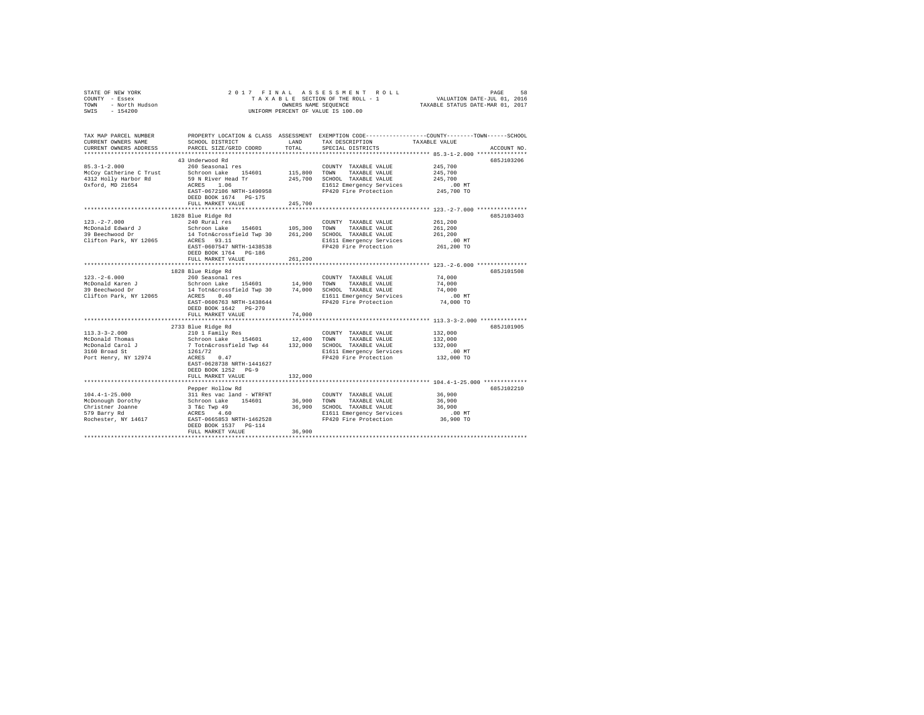| STATE OF NEW YORK<br>COUNTY - Essex<br>TOWN<br>- North Hudson<br>SWIS - 154200 |                                                        |             | 2017 FINAL ASSESSMENT ROLL<br>TAXABLE SECTION OF THE ROLL - 1<br>OWNERS NAME SEOUENCE<br>UNIFORM PERCENT OF VALUE IS 100.00 | VALUATION DATE-JUL 01, 2016<br>TAXABLE STATUS DATE-MAR 01, 2017 | PAGE<br>58  |
|--------------------------------------------------------------------------------|--------------------------------------------------------|-------------|-----------------------------------------------------------------------------------------------------------------------------|-----------------------------------------------------------------|-------------|
| TAX MAP PARCEL NUMBER                                                          |                                                        |             | PROPERTY LOCATION & CLASS ASSESSMENT EXEMPTION CODE---------------COUNTY-------TOWN------SCHOOL                             |                                                                 |             |
| CURRENT OWNERS NAME                                                            | SCHOOL DISTRICT                                        | LAND        | TAX DESCRIPTION                                                                                                             | TAXABLE VALUE                                                   |             |
| CURRENT OWNERS ADDRESS                                                         | PARCEL SIZE/GRID COORD                                 | TOTAL       | SPECIAL DISTRICTS                                                                                                           |                                                                 | ACCOUNT NO. |
|                                                                                | 43 Underwood Rd                                        |             |                                                                                                                             |                                                                 | 685J103206  |
| $85.3 - 1 - 2.000$                                                             | 260 Seasonal res                                       |             | COUNTY TAXABLE VALUE                                                                                                        | 245,700                                                         |             |
| McCov Catherine C Trust                                                        | Schroon Lake 154601                                    |             | 115,800 TOWN TAXABLE VALUE                                                                                                  | 245,700                                                         |             |
| 4312 Holly Harbor Rd                                                           | 59 N River Head Tr                                     |             | 245,700 SCHOOL TAXABLE VALUE                                                                                                | 245,700                                                         |             |
| Oxford, MD 21654                                                               | ACRES 1.06                                             |             | E1612 Emergency Services                                                                                                    | $.00$ MT                                                        |             |
|                                                                                | EAST-0672106 NRTH-1490958                              |             | FP420 Fire Protection                                                                                                       | 245,700 TO                                                      |             |
|                                                                                | DEED BOOK 1674 PG-175                                  |             |                                                                                                                             |                                                                 |             |
|                                                                                | FULL MARKET VALUE                                      | 245,700     |                                                                                                                             |                                                                 |             |
|                                                                                | 1828 Blue Ridge Rd                                     |             |                                                                                                                             |                                                                 | 685J103403  |
| $123. -2 - 7.000$                                                              | 240 Rural res                                          |             | COUNTY TAXABLE VALUE                                                                                                        | 261,200                                                         |             |
| McDonald Edward J                                                              | Schroon Lake 154601 105,300                            |             | TOWN TAXABLE VALUE                                                                                                          | 261,200                                                         |             |
| 39 Beechwood Dr                                                                | 14 Totn&crossfield Twp 30 261,200 SCHOOL TAXABLE VALUE |             |                                                                                                                             | 261,200                                                         |             |
| Clifton Park, NY 12065                                                         | ACRES 93.11                                            |             | E1611 Emergency Services                                                                                                    | $.00$ MT                                                        |             |
|                                                                                | EAST-0607547 NRTH-1438538                              |             | FP420 Fire Protection                                                                                                       | 261,200 TO                                                      |             |
|                                                                                | DEED BOOK 1764 PG-186                                  |             |                                                                                                                             |                                                                 |             |
|                                                                                | FULL MARKET VALUE                                      | 261,200     |                                                                                                                             |                                                                 |             |
|                                                                                |                                                        |             |                                                                                                                             |                                                                 |             |
|                                                                                | 1828 Blue Ridge Rd                                     |             |                                                                                                                             |                                                                 | 685J101508  |
| $123. - 2 - 6.000$<br>McDonald Karen J                                         | 260 Seasonal res<br>Schroon Lake 154601                | 14,900 TOWN | COUNTY TAXABLE VALUE<br>TAXABLE VALUE                                                                                       | 74.000<br>74,000                                                |             |
| 39 Beechwood Dr                                                                | 14 Totn&crossfield Twp 30 74,000 SCHOOL TAXABLE VALUE  |             |                                                                                                                             | 74,000                                                          |             |
| Clifton Park, NY 12065                                                         | ACRES 0.40                                             |             | E1611 Emergency Services                                                                                                    | .00 MT                                                          |             |
|                                                                                | EAST-0606763 NRTH-1438644                              |             | FP420 Fire Protection                                                                                                       | 74,000 TO                                                       |             |
|                                                                                | DEED BOOK 1642 PG-270                                  |             |                                                                                                                             |                                                                 |             |
|                                                                                | FULL MARKET VALUE                                      | 74,000      |                                                                                                                             |                                                                 |             |
|                                                                                | *************************                              |             |                                                                                                                             |                                                                 |             |
|                                                                                | 2733 Blue Ridge Rd                                     |             |                                                                                                                             |                                                                 | 6857101905  |
| $113.3 - 3 - 2.000$                                                            | 210 1 Family Res                                       |             | COUNTY TAXABLE VALUE                                                                                                        | 132,000                                                         |             |
| McDonald Thomas                                                                | Schroon Lake 154601                                    | 12,400 TOWN | TAXABLE VALUE                                                                                                               | 132,000                                                         |             |
| McDonald Carol J                                                               | 7 Totn&crossfield Twp 44                               |             | 132,000 SCHOOL TAXABLE VALUE                                                                                                | 132,000                                                         |             |
| 3160 Broad St<br>Port Henry, NY 12974                                          | 1261/72<br>ACRES 0.47                                  |             | E1611 Emergency Services<br>FP420 Fire Protection                                                                           | $.00$ MT<br>132,000 TO                                          |             |
|                                                                                | EAST-0628738 NRTH-1441627                              |             |                                                                                                                             |                                                                 |             |
|                                                                                | DEED BOOK 1252 PG-9                                    |             |                                                                                                                             |                                                                 |             |
|                                                                                | FULL MARKET VALUE                                      | 132,000     |                                                                                                                             |                                                                 |             |
|                                                                                |                                                        |             |                                                                                                                             |                                                                 |             |
|                                                                                | Pepper Hollow Rd                                       |             |                                                                                                                             |                                                                 | 685J102210  |
| $104.4 - 1 - 25.000$                                                           | 311 Res vac land - WTRFNT                              |             | COUNTY TAXABLE VALUE                                                                                                        | 36,900                                                          |             |
| McDonough Dorothy                                                              | Schroon Lake 154601                                    | 36,900 TOWN | TAXABLE VALUE                                                                                                               | 36,900                                                          |             |
| Christner Joanne                                                               | 3 T&c Twp 49                                           |             | 36,900 SCHOOL TAXABLE VALUE                                                                                                 | 36,900                                                          |             |
| 579 Barry Rd                                                                   | ACRES 4.60                                             |             | E1611 Emergency Services<br>FP420 Fire Protection                                                                           | $.00$ MT<br>36,900 TO                                           |             |
| Rochester, NY 14617                                                            | EAST-0665853 NRTH-1462528<br>DEED BOOK 1537 PG-114     |             |                                                                                                                             |                                                                 |             |
|                                                                                | FULL MARKET VALUE                                      | 36,900      |                                                                                                                             |                                                                 |             |
|                                                                                |                                                        |             |                                                                                                                             |                                                                 |             |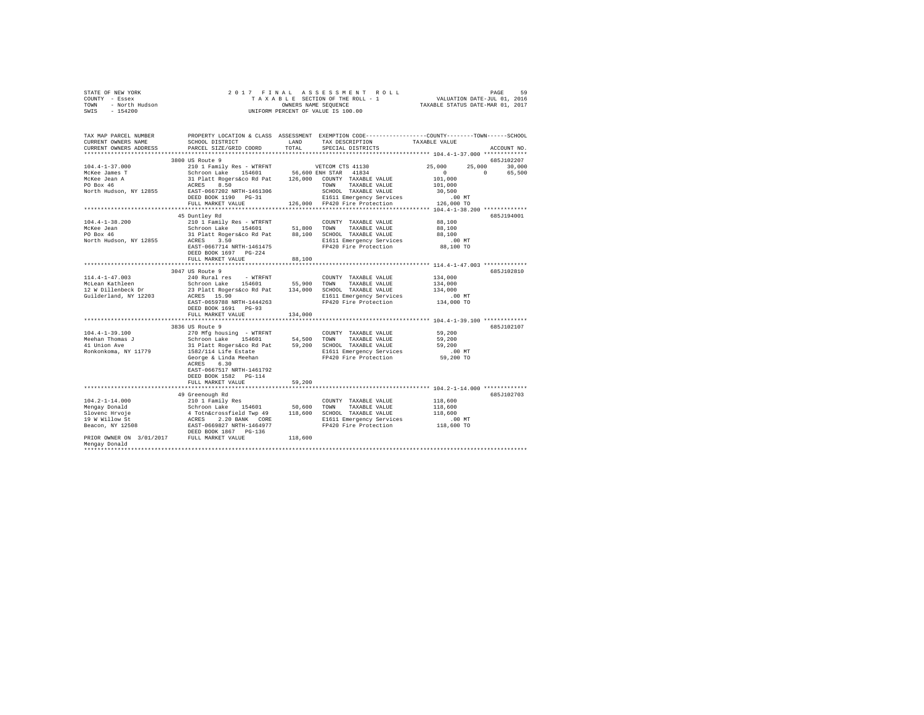|                | STATE OF NEW YORK |  |  |  |  | 2017 FINAL ASSESSMENT ROLL         | PAGE                             | 59 |
|----------------|-------------------|--|--|--|--|------------------------------------|----------------------------------|----|
| COUNTY - Essex |                   |  |  |  |  | TAXABLE SECTION OF THE ROLL - 1    | VALUATION DATE-JUL 01, 2016      |    |
| TOWN           | - North Hudson    |  |  |  |  | OWNERS NAME SEOUENCE               | TAXABLE STATUS DATE-MAR 01, 2017 |    |
| SWIS           | $-154200$         |  |  |  |  | UNIFORM PERCENT OF VALUE IS 100.00 |                                  |    |

| TAX MAP PARCEL NUMBER<br>CURRENT OWNERS NAME<br>CURRENT OWNERS ADDRESS                        | SCHOOL DISTRICT<br>PARCEL SIZE/GRID COORD                                                                                                                                                                                        | LAND<br>TOTAL | PROPERTY LOCATION & CLASS ASSESSMENT EXEMPTION CODE---------------COUNTY-------TOWN------SCHOOL<br>TAX DESCRIPTION<br>SPECIAL DISTRICTS | TAXABLE VALUE                                                                                            | ACCOUNT NO.                                |
|-----------------------------------------------------------------------------------------------|----------------------------------------------------------------------------------------------------------------------------------------------------------------------------------------------------------------------------------|---------------|-----------------------------------------------------------------------------------------------------------------------------------------|----------------------------------------------------------------------------------------------------------|--------------------------------------------|
| **********************                                                                        |                                                                                                                                                                                                                                  |               |                                                                                                                                         |                                                                                                          |                                            |
| $104.4 - 1 - 37.000$<br>McKee James T<br>McKee Jean A<br>PO Box 46                            | 3800 US Route 9<br>210 1 Family Res - WTRFNT WETCOM CTS 41130<br>Schroon Lake 154601 56,600 ENH STAR 41834<br>31 Platt Rogers&co Rd Pat 126,000 COUNTY TAXABLE VALUE<br>ACRES 8.50                                               |               | TAXABLE VALUE<br>TOWN                                                                                                                   | 25,000<br>25,000<br>$\circ$<br>101,000<br>101,000                                                        | 685J102207<br>30,000<br>$\Omega$<br>65,500 |
| North Hudson, NY 12855                                                                        | EAST-0667202 NRTH-1461306<br>FULL MARKET VALUE                                                                                                                                                                                   |               | SCHOOL TAXABLE VALUE<br>E1611 Emergency Services<br>126,000 FP420 Fire Protection                                                       | 30,500<br>$.00$ MT<br>126,000 TO                                                                         |                                            |
|                                                                                               |                                                                                                                                                                                                                                  |               |                                                                                                                                         |                                                                                                          |                                            |
| $104.4 - 1 - 38.200$<br>McKee Jean<br>PO Box 46<br>North Hudson, NY 12855                     | 45 Duntley Rd<br>210 1 Family Res - WTRFNT<br>Schroon Lake 154601<br>31 Platt Rogers&co Rd Pat 88,100 SCHOOL TAXABLE VALUE<br>ACRES 3.50 E1611 Emergency Services<br>EAST-0667714 NRTH-1461475<br>DEED BOOK 1697 PG-224          | 51,800 TOWN   | COUNTY TAXABLE VALUE<br>TAXABLE VALUE<br>E1611 Emergency Services<br>FP420 Fire Protection                                              | 88,100<br>88,100<br>88,100<br>.00 MT<br>88,100 TO                                                        | 685J194001                                 |
|                                                                                               | FULL MARKET VALUE                                                                                                                                                                                                                | 88,100        |                                                                                                                                         |                                                                                                          |                                            |
|                                                                                               |                                                                                                                                                                                                                                  |               |                                                                                                                                         | *************** 114.4-1-47.003 ************                                                              |                                            |
| $114.4 - 1 - 47.003$                                                                          | 3047 US Route 9<br>240 Rural res - WTRFNT<br>Schroon Lake 154601 55,900 TOWN                                                                                                                                                     |               | COUNTY TAXABLE VALUE                                                                                                                    | 134,000                                                                                                  | 685J102810                                 |
| McLean Kathleen<br>12 W Dillenbeck Dr<br>Guilderland, NY 12203                                | 23 Platt Rogers&co Rd Pat 134,000 SCHOOL TAXABLE VALUE<br>ACRES 15.90<br>EAST-0659788 NRTH-1444263<br>DEED BOOK 1691 PG-93                                                                                                       |               | TAXABLE VALUE<br>E1611 Emergency Services<br>FP420 Fire Protection                                                                      | 134,000<br>134,000<br>$.00$ MT<br>134,000 TO                                                             |                                            |
|                                                                                               | FULL MARKET VALUE                                                                                                                                                                                                                | 134,000       |                                                                                                                                         |                                                                                                          |                                            |
|                                                                                               | 3836 US Route 9                                                                                                                                                                                                                  |               |                                                                                                                                         | *************** 104.4-1-39.100 **********                                                                | 685J102107                                 |
| $104.4 - 1 - 39.100$<br>Meehan Thomas J<br>41 Union Ave<br>Ronkonkoma, NY 11779               | 270 Mfg housing - WTRFNT<br>Schroon Lake 154601<br>31 Platt Rogers&co Rd Pat 59,200 SCHOOL TAXABLE VALUE<br>1582/114 Life Estate<br>George & Linda Meehan<br>ACRES<br>6.30<br>EAST-0667517 NRTH-1461792<br>DEED BOOK 1582 PG-114 | 54,500 TOWN   | COUNTY TAXABLE VALUE<br>TAXABLE VALUE<br>E1611 Emergency Services<br>FP420 Fire Protection                                              | 59,200<br>59,200<br>59,200<br>.00 MT<br>59,200 TO                                                        |                                            |
|                                                                                               | FULL MARKET VALUE<br>*********************                                                                                                                                                                                       | 59,200        |                                                                                                                                         |                                                                                                          |                                            |
| $104.2 - 1 - 14.000$<br>Mengay Donald<br>Slovenc Hrvoje<br>19 W Willow St<br>Beacon, NY 12508 | 49 Greenough Rd<br>210 1 Family Res<br>Schroon Lake 154601<br>4 Totn&crossfield Twp 49<br>ACRES 2.20 BANK CORE<br>EAST-0669827 NRTH-1464977<br>2008 POOK 1867 PG-136<br>154601                                                   |               | COUNTY TAXABLE VALUE<br>50,600 TOWN TAXABLE VALUE<br>118,600 SCHOOL TAXABLE VALUE<br>E1611 Emergency Services<br>FP420 Fire Protection  | ***************** 104.2-1-14.000 ************<br>118,600<br>118,600<br>118,600<br>$.00$ MT<br>118,600 TO | 685J102703                                 |
| PRIOR OWNER ON 3/01/2017 FULL MARKET VALUE<br>Mengay Donald                                   |                                                                                                                                                                                                                                  | 118,600       |                                                                                                                                         |                                                                                                          |                                            |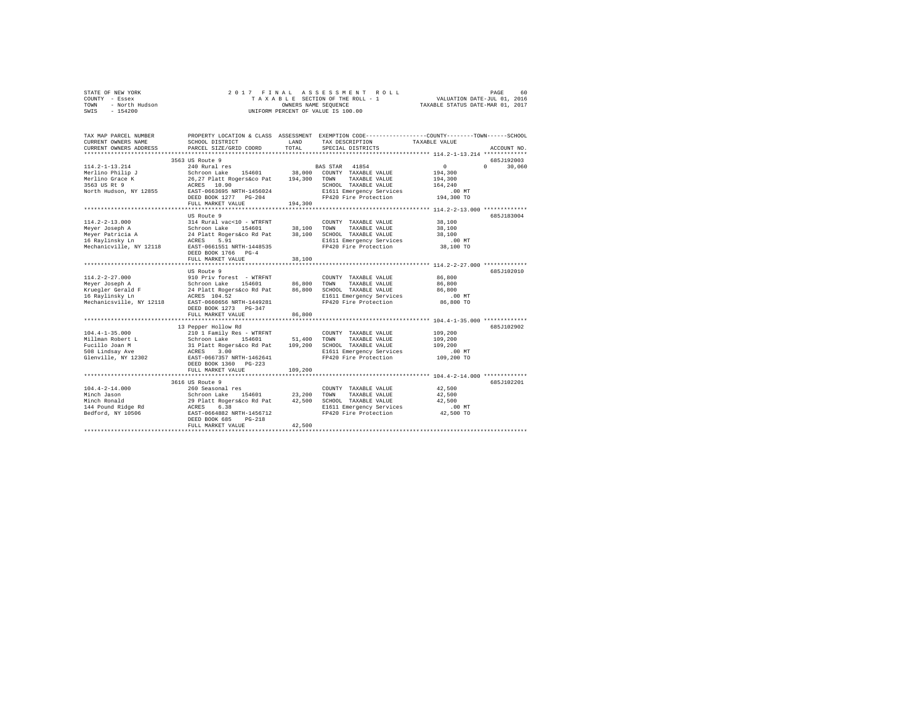|                | STATE OF NEW YORK |  |  |  |  | 2017 FINAL ASSESSMENT ROLL         |                                  | PAGE | 60 |
|----------------|-------------------|--|--|--|--|------------------------------------|----------------------------------|------|----|
| COUNTY - Essex |                   |  |  |  |  | TAXABLE SECTION OF THE ROLL - 1    | VALUATION DATE-JUL 01, 2016      |      |    |
| TOWN           | - North Hudson    |  |  |  |  | OWNERS NAME SEOUENCE               | TAXABLE STATUS DATE-MAR 01, 2017 |      |    |
| SWIS           | - 154200          |  |  |  |  | UNIFORM PERCENT OF VALUE IS 100.00 |                                  |      |    |

| TAX MAP PARCEL NUMBER<br>CURRENT OWNERS NAME<br>CURRENT OWNERS ADDRESS<br>*********************** | PROPERTY LOCATION & CLASS ASSESSMENT EXEMPTION CODE---------------COUNTY-------TOWN-----SCHOOL<br>SCHOOL DISTRICT<br>PARCEL SIZE/GRID COORD | LAND<br>TOTAL | TAX DESCRIPTION<br>SPECIAL DISTRICTS | TAXABLE VALUE                                                     | ACCOUNT NO.        |
|---------------------------------------------------------------------------------------------------|---------------------------------------------------------------------------------------------------------------------------------------------|---------------|--------------------------------------|-------------------------------------------------------------------|--------------------|
|                                                                                                   | 3563 US Route 9                                                                                                                             |               |                                      |                                                                   | 685J192003         |
| $114.2 - 1 - 13.214$                                                                              | 240 Rural res                                                                                                                               |               | BAS STAR 41854                       | $^{\circ}$                                                        | 30,060<br>$\Omega$ |
| Merlino Philip J                                                                                  | 154601<br>Schroon Lake                                                                                                                      | 38,000        | COUNTY TAXABLE VALUE                 | 194,300                                                           |                    |
| Merlino Grace K                                                                                   | 26,27 Platt Rogers&co Pat                                                                                                                   | 194,300       | TOWN<br>TAXABLE VALUE                | 194,300                                                           |                    |
| 3563 US Rt 9                                                                                      | ACRES 10.90                                                                                                                                 |               | SCHOOL TAXABLE VALUE                 | 164,240                                                           |                    |
| North Hudson, NY 12855                                                                            | EAST-0663695 NRTH-1456024                                                                                                                   |               | E1611 Emergency Services             | .00MT                                                             |                    |
|                                                                                                   | DEED BOOK 1277 PG-204<br>FULL MARKET VALUE                                                                                                  | 194,300       | FP420 Fire Protection                | 194,300 TO                                                        |                    |
|                                                                                                   | ************************                                                                                                                    |               |                                      | ***************************** 114.2-2-13.000 ************         |                    |
|                                                                                                   | US Route 9                                                                                                                                  |               |                                      |                                                                   | 685J183004         |
| $114.2 - 2 - 13.000$                                                                              | 314 Rural vac<10 - WTRFNT                                                                                                                   |               | COUNTY TAXABLE VALUE                 | 38,100                                                            |                    |
| Meyer Joseph A                                                                                    | Schroon Lake<br>154601                                                                                                                      | 38,100        | TOWN<br>TAXABLE VALUE                | 38,100                                                            |                    |
| Meyer Patricia A                                                                                  | 24 Platt Rogers&co Rd Pat                                                                                                                   | 38,100        | SCHOOL TAXABLE VALUE                 | 38,100                                                            |                    |
| 16 Raylinsky Ln                                                                                   | ACRES<br>5.91                                                                                                                               |               | E1611 Emergency Services             | .00MT                                                             |                    |
| Mechanicville, NY 12118                                                                           | EAST-0661551 NRTH-1448535                                                                                                                   |               | FP420 Fire Protection                | 38,100 TO                                                         |                    |
|                                                                                                   | DEED BOOK 1766 PG-4                                                                                                                         |               |                                      |                                                                   |                    |
|                                                                                                   | FULL MARKET VALUE                                                                                                                           | 38,100        |                                      |                                                                   |                    |
|                                                                                                   | .                                                                                                                                           |               |                                      | *********************** 114.2-2-27.000 *************              |                    |
|                                                                                                   | US Route 9                                                                                                                                  |               |                                      |                                                                   | 685J102010         |
| $114.2 - 2 - 27.000$                                                                              | 910 Priv forest - WTRFNT                                                                                                                    |               | COUNTY TAXABLE VALUE                 | 86,800                                                            |                    |
| Meyer Joseph A                                                                                    | Schroon Lake<br>154601                                                                                                                      | 86,800        | TOWN<br>TAXABLE VALUE                | 86,800                                                            |                    |
| Kruegler Gerald F                                                                                 | 24 Platt Rogers&co Rd Pat                                                                                                                   | 86,800        | SCHOOL TAXABLE VALUE                 | 86,800                                                            |                    |
| 16 Ravlinsky Ln                                                                                   | ACRES 104.52                                                                                                                                |               | E1611 Emergency Services             | .00MT                                                             |                    |
| Mechanicsville, NY 12118                                                                          | EAST-0660656 NRTH-1449281                                                                                                                   |               | FP420 Fire Protection                | 86,800 TO                                                         |                    |
|                                                                                                   | DEED BOOK 1273 PG-347                                                                                                                       |               |                                      |                                                                   |                    |
|                                                                                                   | FULL MARKET VALUE                                                                                                                           | 86,800        |                                      |                                                                   |                    |
|                                                                                                   |                                                                                                                                             |               |                                      |                                                                   |                    |
|                                                                                                   | 13 Pepper Hollow Rd                                                                                                                         |               |                                      |                                                                   | 685J102902         |
| $104.4 - 1 - 35.000$                                                                              | 210 1 Family Res - WTRFNT                                                                                                                   |               | COUNTY TAXABLE VALUE                 | 109,200                                                           |                    |
| Millman Robert L                                                                                  | Schroon Lake<br>154601                                                                                                                      | 51,400        | TOWN<br>TAXABLE VALUE                | 109,200                                                           |                    |
| Fucillo Joan M                                                                                    | 31 Platt Rogers&co Rd Pat                                                                                                                   | 109,200       | SCHOOL TAXABLE VALUE                 | 109,200                                                           |                    |
| 508 Lindsay Ave                                                                                   | 3.00<br>ACRES                                                                                                                               |               | E1611 Emergency Services             | $.00$ MT                                                          |                    |
| Glenville, NY 12302                                                                               | EAST-0667357 NRTH-1462641                                                                                                                   |               | FP420 Fire Protection                | 109,200 TO                                                        |                    |
|                                                                                                   | DEED BOOK 1360 PG-223                                                                                                                       |               |                                      |                                                                   |                    |
|                                                                                                   | FULL MARKET VALUE                                                                                                                           | 109,200       |                                      |                                                                   |                    |
|                                                                                                   |                                                                                                                                             |               |                                      | *********************************** 104.4-2-14.000 ************** |                    |
|                                                                                                   | 3616 US Route 9                                                                                                                             |               |                                      |                                                                   | 685J102201         |
| $104.4 - 2 - 14.000$                                                                              | 260 Seasonal res                                                                                                                            |               | COUNTY TAXABLE VALUE                 | 42,500                                                            |                    |
| Minch Jason                                                                                       | Schroon Lake<br>154601                                                                                                                      | 23,200        | TOWN<br>TAXABLE VALUE                | 42,500                                                            |                    |
| Minch Ronald                                                                                      | 29 Platt Rogers&co Rd Pat                                                                                                                   | 42,500        | SCHOOL TAXABLE VALUE                 | 42,500                                                            |                    |
| 144 Pound Ridge Rd                                                                                | 6.38<br>ACRES                                                                                                                               |               | E1611 Emergency Services             | $.00$ MT                                                          |                    |
| Bedford, NY 10506                                                                                 | EAST-0664882 NRTH-1456712                                                                                                                   |               | FP420 Fire Protection                | 42,500 TO                                                         |                    |
|                                                                                                   | DEED BOOK 685<br>$PG-218$                                                                                                                   |               |                                      |                                                                   |                    |
|                                                                                                   | FULL MARKET VALUE                                                                                                                           | 42,500        |                                      |                                                                   |                    |
|                                                                                                   |                                                                                                                                             |               |                                      |                                                                   |                    |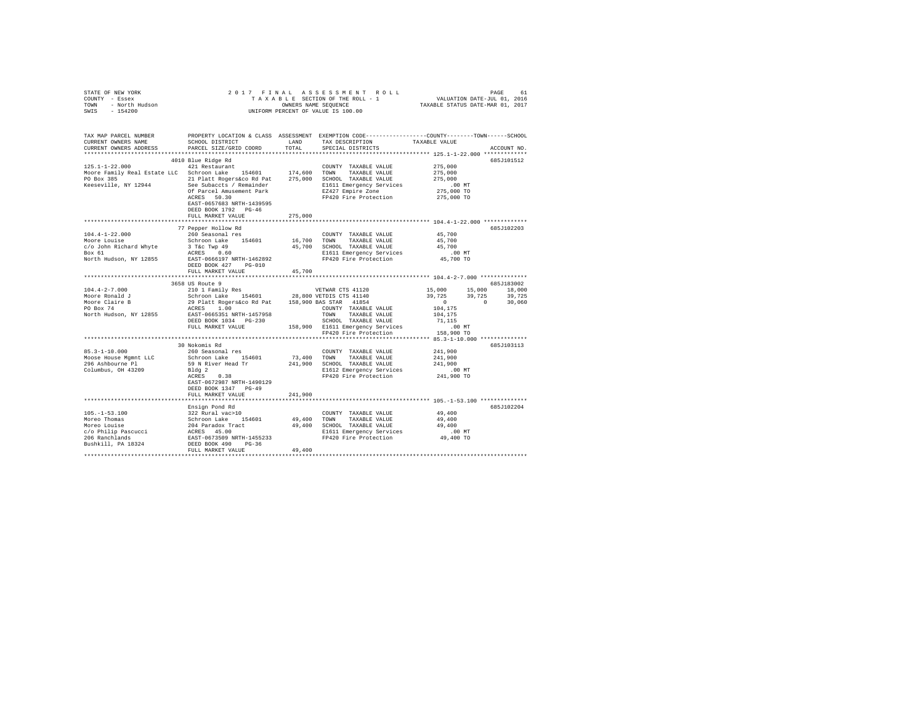| STATE OF NEW YORK<br>COUNTY - Essex<br>TOWN - North Hudson<br>SWIS - 154200                                                                                                                                                                                                                                                                                                                                                                                                                                                                                                                                                                                                                 |                                                                                                  |             | 2017 FINAL ASSESSMENT ROLL                                                                              |                               | PAGE<br>61                                                                                                                                |
|---------------------------------------------------------------------------------------------------------------------------------------------------------------------------------------------------------------------------------------------------------------------------------------------------------------------------------------------------------------------------------------------------------------------------------------------------------------------------------------------------------------------------------------------------------------------------------------------------------------------------------------------------------------------------------------------|--------------------------------------------------------------------------------------------------|-------------|---------------------------------------------------------------------------------------------------------|-------------------------------|-------------------------------------------------------------------------------------------------------------------------------------------|
| TAX MAP PARCEL NUMBER<br>CURRENT OWNERS NAME<br>CURRENT OWNERS ADDRESS                                                                                                                                                                                                                                                                                                                                                                                                                                                                                                                                                                                                                      | PROPERTY LOCATION & CLASS ASSESSMENT EXEMPTION CODE----------------COUNTY-------TOWN------SCHOOL |             | TAX DESCRIPTION TAXABLE VALUE<br>SPECIAL DISTRICTS                                                      |                               | ACCOUNT NO.                                                                                                                               |
|                                                                                                                                                                                                                                                                                                                                                                                                                                                                                                                                                                                                                                                                                             | 4010 Blue Ridge Rd                                                                               |             |                                                                                                         |                               | 685J101512                                                                                                                                |
| $\texttt{125.1--1--22.000}\begin{minipage}{0.9\textwidth} \begin{tabular}{l} \bf 125.1--1--22.000\\ \bf 421\textwidth} \end{tabular} \end{minipage} \begin{minipage}{0.9\textwidth} \begin{tabular}{l} \bf 125.1--1--22.000\\ \bf 124.600\textwidth} \end{tabular} \end{minipage} \begin{minipage}{0.9\textwidth} \begin{tabular}{l} \bf 124.601\\ \bf 124.600\textwidth} \end{tabular} \end{minipage} \begin{minipage}{0.9\text$<br>PO Box 385<br>PO Box 385<br>PO Box 385<br>PO Box 385<br>PO Box 385<br>21 Platt Rogers & Deal and 275,000<br>SCHOOL TAXABLE VALUE<br>275,000<br>EVELUE POTERTIES (NET BIG 2019)<br>DEALL BORRES SOLUE POTER PRESS<br>215,000 TO<br>275,000 TO<br>PEP 20 |                                                                                                  |             | COUNTY TAXABLE VALUE 275,000                                                                            | 275,000                       |                                                                                                                                           |
|                                                                                                                                                                                                                                                                                                                                                                                                                                                                                                                                                                                                                                                                                             | EAST-0657683 NRTH-1439595<br>DEED BOOK 1792 PG-46<br>FULL MARKET VALUE                           | 275,000     |                                                                                                         |                               |                                                                                                                                           |
|                                                                                                                                                                                                                                                                                                                                                                                                                                                                                                                                                                                                                                                                                             |                                                                                                  |             |                                                                                                         |                               |                                                                                                                                           |
| $104.4 - 1 - 22.000$<br>Moore Louise 16,700 Schroon Lake 154601 16,700 TOWN TAXABLE VALUE 45,700<br>C/O JOhn Richard Whyte 3 Take Twp 49 45,700 SCHOOL TAXABLE VALUE 45,700<br>Box 61 11 Emergency Services 16,000 16,000 ECLO 20120 20120                                                                                                                                                                                                                                                                                                                                                                                                                                                  | 77 Pepper Hollow Rd<br>260 Seasonal res                                                          |             | COUNTY TAXABLE VALUE                                                                                    | 45,700<br>.00 MT<br>45,700 TO | 685J102203                                                                                                                                |
|                                                                                                                                                                                                                                                                                                                                                                                                                                                                                                                                                                                                                                                                                             | DEED BOOK 427 PG-010                                                                             |             |                                                                                                         |                               |                                                                                                                                           |
|                                                                                                                                                                                                                                                                                                                                                                                                                                                                                                                                                                                                                                                                                             | FULL MARKET VALUE                                                                                | 45,700      |                                                                                                         |                               |                                                                                                                                           |
|                                                                                                                                                                                                                                                                                                                                                                                                                                                                                                                                                                                                                                                                                             |                                                                                                  |             |                                                                                                         |                               | 685J183002                                                                                                                                |
|                                                                                                                                                                                                                                                                                                                                                                                                                                                                                                                                                                                                                                                                                             |                                                                                                  |             |                                                                                                         |                               |                                                                                                                                           |
|                                                                                                                                                                                                                                                                                                                                                                                                                                                                                                                                                                                                                                                                                             |                                                                                                  |             |                                                                                                         |                               | $\begin{array}{cccc} 15\, ,000 & & 15\, ,000 & & 18\, ,000 \\ 39\, ,725 & & 39\, ,725 & & 39\, ,725 \\ 0 & & 0 & & 30\, ,060 \end{array}$ |
|                                                                                                                                                                                                                                                                                                                                                                                                                                                                                                                                                                                                                                                                                             |                                                                                                  |             |                                                                                                         |                               |                                                                                                                                           |
|                                                                                                                                                                                                                                                                                                                                                                                                                                                                                                                                                                                                                                                                                             | ACRES $1.\overline{0}0$ COUNTY TAXABLE VALUE                                                     |             |                                                                                                         | 104,175                       |                                                                                                                                           |
| North Hudson, NY 12855                                                                                                                                                                                                                                                                                                                                                                                                                                                                                                                                                                                                                                                                      | EAST-0665351 NRTH-1457958<br>DEED BOOK 1034 PG-230                                               |             |                                                                                                         | 104,175<br>71,115             |                                                                                                                                           |
|                                                                                                                                                                                                                                                                                                                                                                                                                                                                                                                                                                                                                                                                                             | FULL MARKET VALUE                                                                                |             |                                                                                                         | .00 MT                        |                                                                                                                                           |
|                                                                                                                                                                                                                                                                                                                                                                                                                                                                                                                                                                                                                                                                                             |                                                                                                  |             | TOWN TAXABLE VALUE<br>SCHOOL TAXABLE VALUE<br>158,900 E1611 Emergency Services<br>FP420 Fire Protection | 158,900 TO                    |                                                                                                                                           |
|                                                                                                                                                                                                                                                                                                                                                                                                                                                                                                                                                                                                                                                                                             |                                                                                                  |             |                                                                                                         |                               |                                                                                                                                           |
|                                                                                                                                                                                                                                                                                                                                                                                                                                                                                                                                                                                                                                                                                             | 30 Nokomis Rd                                                                                    |             |                                                                                                         |                               | 685J103113                                                                                                                                |
|                                                                                                                                                                                                                                                                                                                                                                                                                                                                                                                                                                                                                                                                                             |                                                                                                  |             | COUNTY TAXABLE VALUE                                                                                    | 241,900<br>241,900            |                                                                                                                                           |
|                                                                                                                                                                                                                                                                                                                                                                                                                                                                                                                                                                                                                                                                                             |                                                                                                  |             | 241,900 SCHOOL TAXABLE VALUE                                                                            | 241,900                       |                                                                                                                                           |
|                                                                                                                                                                                                                                                                                                                                                                                                                                                                                                                                                                                                                                                                                             |                                                                                                  |             | E1612 Emergency Services 6.00 MT<br>FP420 Fire Protection 241,900 TO                                    |                               |                                                                                                                                           |
|                                                                                                                                                                                                                                                                                                                                                                                                                                                                                                                                                                                                                                                                                             |                                                                                                  |             |                                                                                                         |                               |                                                                                                                                           |
|                                                                                                                                                                                                                                                                                                                                                                                                                                                                                                                                                                                                                                                                                             | EAST-0672987 NRTH-1490129                                                                        |             |                                                                                                         |                               |                                                                                                                                           |
|                                                                                                                                                                                                                                                                                                                                                                                                                                                                                                                                                                                                                                                                                             | DEED BOOK 1347 PG-49<br>FULL MARKET VALUE                                                        | 241,900     |                                                                                                         |                               |                                                                                                                                           |
|                                                                                                                                                                                                                                                                                                                                                                                                                                                                                                                                                                                                                                                                                             |                                                                                                  |             |                                                                                                         |                               | ************** 105.-1-53.100 ***************                                                                                              |
|                                                                                                                                                                                                                                                                                                                                                                                                                                                                                                                                                                                                                                                                                             | Ensign Pond Rd                                                                                   |             |                                                                                                         |                               | 6857102204                                                                                                                                |
| $105. - 1 - 53.100$                                                                                                                                                                                                                                                                                                                                                                                                                                                                                                                                                                                                                                                                         | 322 Rural vac>10                                                                                 |             | COUNTY TAXABLE VALUE                                                                                    | 49,400                        |                                                                                                                                           |
|                                                                                                                                                                                                                                                                                                                                                                                                                                                                                                                                                                                                                                                                                             |                                                                                                  | 49,400 TOWN |                                                                                                         |                               |                                                                                                                                           |
|                                                                                                                                                                                                                                                                                                                                                                                                                                                                                                                                                                                                                                                                                             |                                                                                                  |             |                                                                                                         |                               |                                                                                                                                           |
|                                                                                                                                                                                                                                                                                                                                                                                                                                                                                                                                                                                                                                                                                             |                                                                                                  |             |                                                                                                         |                               |                                                                                                                                           |
|                                                                                                                                                                                                                                                                                                                                                                                                                                                                                                                                                                                                                                                                                             |                                                                                                  |             |                                                                                                         |                               |                                                                                                                                           |
|                                                                                                                                                                                                                                                                                                                                                                                                                                                                                                                                                                                                                                                                                             |                                                                                                  |             |                                                                                                         |                               |                                                                                                                                           |
|                                                                                                                                                                                                                                                                                                                                                                                                                                                                                                                                                                                                                                                                                             |                                                                                                  |             |                                                                                                         |                               |                                                                                                                                           |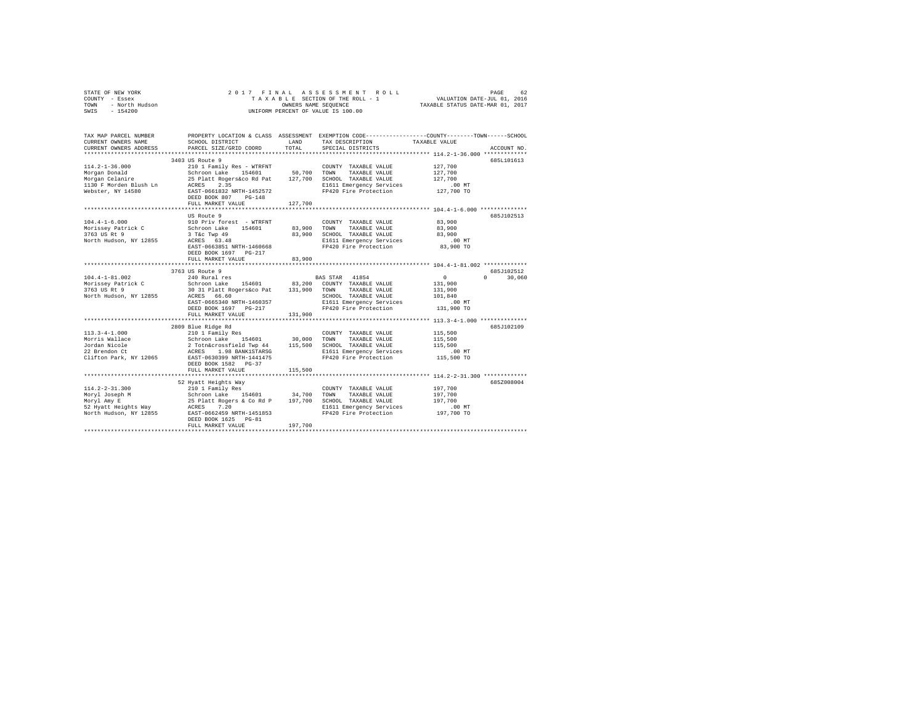|      | STATE OF NEW YORK | 2017 FINAL ASSESSMENT ROLL         | 62<br>PAGE                       |
|------|-------------------|------------------------------------|----------------------------------|
|      | COUNTY - Essex    | TAXABLE SECTION OF THE ROLL - 1    | VALUATION DATE-JUL 01, 2016      |
| TOWN | - North Hudson    | OWNERS NAME SEOUENCE               | TAXABLE STATUS DATE-MAR 01, 2017 |
| SWIS | - 154200          | UNIFORM PERCENT OF VALUE IS 100.00 |                                  |

| TAX MAP PARCEL NUMBER<br>CURRENT OWNERS NAME       | SCHOOL DISTRICT                                                                     | LAND       | TAX DESCRIPTION                                   | PROPERTY LOCATION & CLASS ASSESSMENT EXEMPTION CODE----------------COUNTY-------TOWN------SCHOOL<br>TAXABLE VALUE |
|----------------------------------------------------|-------------------------------------------------------------------------------------|------------|---------------------------------------------------|-------------------------------------------------------------------------------------------------------------------|
| CURRENT OWNERS ADDRESS                             | PARCEL SIZE/GRID COORD                                                              | TOTAL      | SPECIAL DISTRICTS                                 | ACCOUNT NO.                                                                                                       |
|                                                    | 3403 US Route 9                                                                     |            |                                                   | 685L101613                                                                                                        |
| $114.2 - 1 - 36.000$                               | 210 1 Family Res - WTRFNT                                                           |            | COUNTY TAXABLE VALUE<br>TAXABLE VALUE             | 127,700<br>127,700<br>127,700                                                                                     |
| 1130 F Morden Blush Ln ACRES<br>Webster, NY 14580  | 2.35<br>EAST-0661832 NRTH-1452572<br>DEED BOOK 807<br>$PG-148$<br>FULL MARKET VALUE | 127,700    | E1611 Emergency Services<br>FP420 Fire Protection | 00 MT.<br>127,700 TO                                                                                              |
|                                                    |                                                                                     |            |                                                   |                                                                                                                   |
|                                                    | US Route 9                                                                          |            |                                                   | 685J102513                                                                                                        |
| $104.4 - 1 - 6.000$                                | 910 Priv forest - WTRFNT                                                            |            | COUNTY TAXABLE VALUE                              | 83,900                                                                                                            |
| Morissey Patrick C                                 | Schroon Lake 154601                                                                 |            | 83,900 TOWN TAXABLE VALUE                         | 83,900<br>83,900                                                                                                  |
| 3763 US Rt 9<br>North Hudson, NY 12855 ACRES 63.48 | 3 T&C Twp 49                                                                        |            | 83,900 SCHOOL TAXABLE VALUE                       |                                                                                                                   |
|                                                    | EAST-0663851 NRTH-1460668                                                           |            | E1611 Emergency Services<br>FP420 Fire Protection | $.00$ MT<br>$83,900$ TO                                                                                           |
|                                                    | DEED BOOK 1697 PG-217<br>FULL MARKET VALUE                                          | 83,900     |                                                   |                                                                                                                   |
|                                                    | *************************                                                           | ********** |                                                   | ************* 104.4-1-81.002 **************                                                                       |
|                                                    | 3763 US Route 9                                                                     |            |                                                   | 685J102512                                                                                                        |
| $104.4 - 1 - 81.002$                               | 240 Rural res                                                                       |            | BAS STAR 41854                                    | $\sim$ 0<br>30,060<br>$\Omega$                                                                                    |
| Morissey Patrick C<br>3763 US Rt 9                 | Schroon Lake 154601 83,200 COUNTY TAXABLE VALUE                                     |            |                                                   | 131,900                                                                                                           |
|                                                    | 30 31 Platt Rogers&co Pat 131,900 TOWN                                              |            | TAXABLE VALUE                                     | 131,900                                                                                                           |
| North Hudson, NY 12855                             | ACRES 66.60                                                                         |            | SCHOOL TAXABLE VALUE                              | 101,840                                                                                                           |
|                                                    | EAST-0665340 NRTH-1460357                                                           |            | E1611 Emergency Services                          | .00 MT                                                                                                            |
|                                                    | DEED BOOK 1697 PG-217                                                               |            | FP420 Fire Protection                             | 131,900 TO                                                                                                        |
|                                                    | FULL MARKET VALUE                                                                   | 131,900    |                                                   |                                                                                                                   |
|                                                    | 2809 Blue Ridge Rd                                                                  |            |                                                   | 685J102109                                                                                                        |
| $113.3 - 4 - 1.000$                                |                                                                                     |            | COUNTY TAXABLE VALUE                              | 115,500                                                                                                           |
| Morris Wallace                                     |                                                                                     |            | TAXABLE VALUE                                     | 115,500                                                                                                           |
| Jordan Nicole                                      |                                                                                     |            |                                                   | 115,500                                                                                                           |
| 22 Brendon Ct                                      |                                                                                     |            | E1611 Emergency Services                          | $.00$ MT                                                                                                          |
| Clifton Park, NY 12065                             | EAST-0630399 NRTH-1441475                                                           |            | FP420 Fire Protection                             | 115,500 TO                                                                                                        |
|                                                    | DEED BOOK 1582 PG-37                                                                |            |                                                   |                                                                                                                   |
|                                                    | FULL MARKET VALUE                                                                   | 115,500    |                                                   |                                                                                                                   |
|                                                    |                                                                                     |            |                                                   |                                                                                                                   |
|                                                    |                                                                                     |            |                                                   | 685Z008004                                                                                                        |
|                                                    |                                                                                     |            |                                                   | 197,700                                                                                                           |
|                                                    |                                                                                     |            |                                                   | 197,700                                                                                                           |
|                                                    |                                                                                     |            | SCHOOL TAXABLE VALUE<br>E1611 Emergency Services  | 197,700                                                                                                           |
|                                                    |                                                                                     |            | FP420 Fire Protection                             | .00 MT<br>197,700 TO                                                                                              |
|                                                    |                                                                                     |            |                                                   |                                                                                                                   |
|                                                    |                                                                                     |            |                                                   |                                                                                                                   |
|                                                    |                                                                                     |            |                                                   |                                                                                                                   |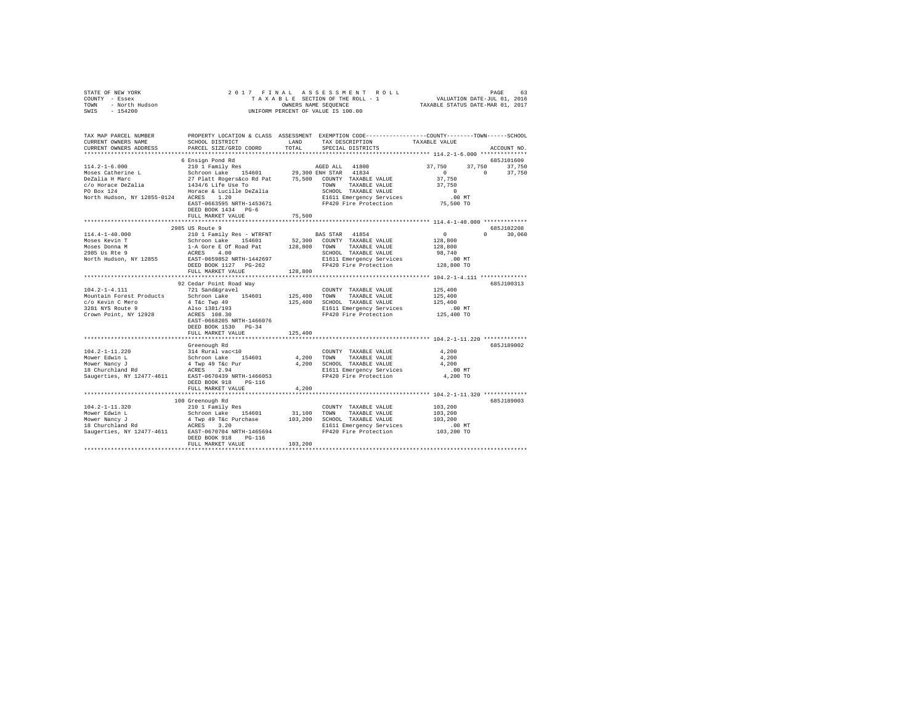|                | STATE OF NEW YORK |  |  |  |  | 2017 FINAL ASSESSMENT ROLL         | PAGE                             | 63 |
|----------------|-------------------|--|--|--|--|------------------------------------|----------------------------------|----|
| COUNTY - Essex |                   |  |  |  |  | TAXABLE SECTION OF THE ROLL - 1    | VALUATION DATE-JUL 01, 2016      |    |
| TOWN           | - North Hudson    |  |  |  |  | OWNERS NAME SEOUENCE               | TAXABLE STATUS DATE-MAR 01, 2017 |    |
| SWIS           | $-154200$         |  |  |  |  | UNIFORM PERCENT OF VALUE IS 100.00 |                                  |    |

| TAX MAP PARCEL NUMBER<br>CURRENT OWNERS NAME<br>CURRENT OWNERS ADDRESS                                                              | SCHOOL DISTRICT<br>PARCEL SIZE/GRID COORD                                                                                                                                                                      | LAND<br>TOTAL                | PROPERTY LOCATION & CLASS ASSESSMENT EXEMPTION CODE---------------COUNTY-------TOWN-----SCHOOL<br>TAX DESCRIPTION<br>SPECIAL DISTRICTS                                | TAXABLE VALUE                                                                                  | ACCOUNT NO.      |
|-------------------------------------------------------------------------------------------------------------------------------------|----------------------------------------------------------------------------------------------------------------------------------------------------------------------------------------------------------------|------------------------------|-----------------------------------------------------------------------------------------------------------------------------------------------------------------------|------------------------------------------------------------------------------------------------|------------------|
| *******************                                                                                                                 | 6 Ensign Pond Rd                                                                                                                                                                                               |                              |                                                                                                                                                                       |                                                                                                | 685J101609       |
| $114.2 - 1 - 6.000$<br>Moses Catherine L<br>DeZalia H Marc<br>c/o Horace DeZalia<br>PO Box 124<br>North Hudson, NY 12855-0124 ACRES | 210 1 Family Res<br>Schroon Lake 154601<br>27 Platt Rogers&co Rd Pat<br>1434/6 Life Use To<br>Horace & Lucille DeZalia<br>1.20<br>EAST-0663595 NRTH-1453671<br>DEED BOOK 1434 PG-6<br>FULL MARKET VALUE        | 75,500<br>75,500             | AGED ALL 41800<br>29,300 ENH STAR 41834<br>COUNTY TAXABLE VALUE<br>TOWN<br>TAXABLE VALUE<br>SCHOOL TAXABLE VALUE<br>E1611 Emergency Services<br>FP420 Fire Protection | 37.750<br>37,750<br>$\Omega$<br>$\Omega$<br>37,750<br>37,750<br>$\Omega$<br>.00MT<br>75,500 TO | 37,750<br>37,750 |
|                                                                                                                                     | 2985 US Route 9                                                                                                                                                                                                |                              |                                                                                                                                                                       |                                                                                                | 685J102208       |
| $114.4 - 1 - 40.000$<br>Moses Kevin T<br>Moses Donna M<br>2985 Us Rte 9<br>North Hudson, NY 12855                                   | 210 1 Family Res - WTRFNT<br>Schroon Lake 154601<br>1-A Gore E Of Road Pat<br>ACRES 4.00<br>EAST-0659852 NRTH-1442697<br>DEED BOOK 1127 PG-262<br>FULL MARKET VALUE                                            | 52,300<br>128,800<br>128,800 | BAS STAR 41854<br>COUNTY TAXABLE VALUE<br>TAXABLE VALUE<br>TOWN<br>SCHOOL TAXABLE VALUE<br>E1611 Emergency Services<br>FP420 Fire Protection                          | $\circ$<br>$\Omega$<br>128,800<br>128,800<br>98,740<br>.00MT<br>128,800 TO                     | 30,060           |
|                                                                                                                                     |                                                                                                                                                                                                                |                              |                                                                                                                                                                       |                                                                                                |                  |
| $104.2 - 1 - 4.111$<br>Mountain Forest Products<br>c/o Kevin C Mero<br>3281 NYS Route 9<br>Crown Point, NY 12928                    | 92 Cedar Point Road Way<br>721 Sand&gravel<br>Schroon Lake 154601<br>4 T&c Twp 49<br>Also 1381/193<br>ACRES 108.30<br>EAST-0668205 NRTH-1466076<br>DEED BOOK 1530 PG-34                                        | 125,400<br>125,400           | COUNTY TAXABLE VALUE<br>TOWN<br>TAXABLE VALUE<br>SCHOOL TAXABLE VALUE<br>E1611 Emergency Services<br>FP420 Fire Protection                                            | 125,400<br>125,400<br>125,400<br>$.00$ MT<br>125,400 TO                                        | 685J100313       |
|                                                                                                                                     | FULL MARKET VALUE                                                                                                                                                                                              | 125,400                      |                                                                                                                                                                       |                                                                                                |                  |
| $104.2 - 1 - 11.220$<br>Mower Edwin L<br>Mower Nancy J<br>18 Churchland Rd                                                          | Greenough Rd<br>314 Rural vac<10<br>Schroon Lake 154601<br>4 Twp 49 T&c Pur<br>ACRES 2.94                                                                                                                      | 4,200<br>4.200               | COUNTY TAXABLE VALUE<br>TOWN<br>TAXABLE VALUE<br>SCHOOL TAXABLE VALUE<br>E1611 Emergency Services<br>FP420 Fire Protection                                            | 4,200<br>4,200<br>4.200<br>$.00$ MT                                                            | 685J189002       |
| Saugerties, NY 12477-4611                                                                                                           | EAST-0670439 NRTH-1466053<br>DEED BOOK 918<br>$PG-116$<br>FULL MARKET VALUE                                                                                                                                    | 4.200                        |                                                                                                                                                                       | 4,200 TO                                                                                       |                  |
|                                                                                                                                     | *******************************                                                                                                                                                                                |                              |                                                                                                                                                                       | *********************************** 104.2-1-11.320 *************                               |                  |
| $104.2 - 1 - 11.320$<br>Mower Edwin L<br>Mower Nancy J<br>$18$ Churchland Rd                                                        | 100 Greenough Rd<br>210 1 Family Res<br>Schroon Lake 154601<br>4 Twp 49 T&c Purchase<br>3.20<br>ACRES<br>Saugerties, NY 12477-4611 EAST-0670704 NRTH-1465694<br>DEED BOOK 918<br>$PG-116$<br>FULL MARKET VALUE | 31,100<br>103,200<br>103,200 | COUNTY TAXABLE VALUE<br>TOWN<br>TAXABLE VALUE<br>SCHOOL TAXABLE VALUE<br>E1611 Emergency Services<br>FP420 Fire Protection                                            | 103,200<br>103,200<br>103,200<br>.00MT<br>103,200 TO                                           | 685J189003       |
|                                                                                                                                     |                                                                                                                                                                                                                |                              |                                                                                                                                                                       |                                                                                                |                  |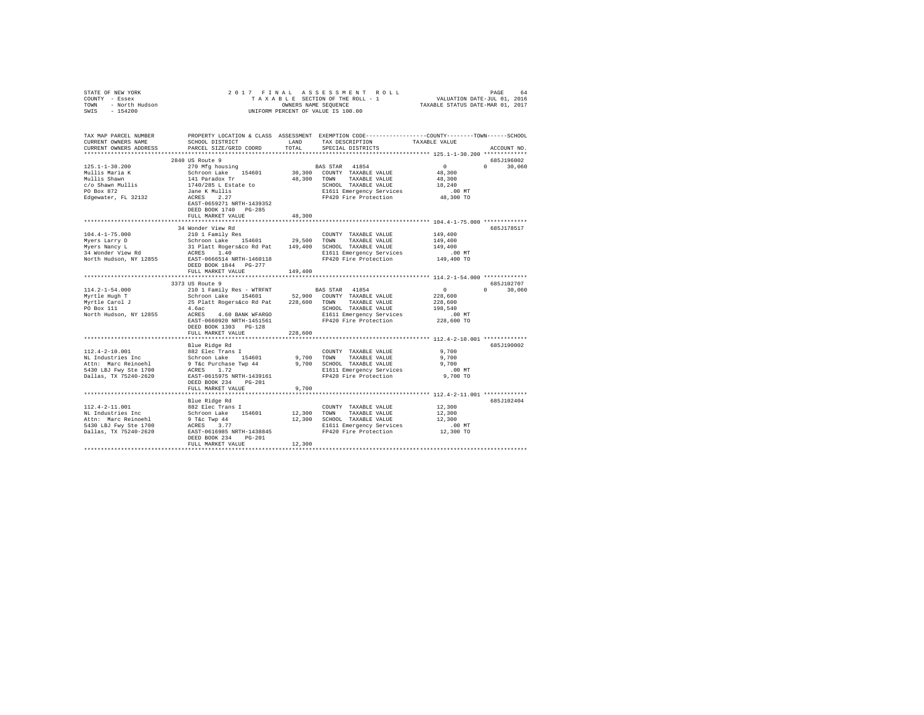| STATE OF NEW YORK<br>COUNTY - Essex<br>TOWN - North Hudson<br>SWIS - 154200                                                                                                                                                                                                                                                                                                                                           |                                                                                                                                                                                                                                          |               | 2017 FINAL ASSESSMENT ROLL<br>7 FINAL ASSESSMENT ROLL (PAGE 64 PAGE 64 PAGE 64 PAGE 64 PAGE 64 PAGE 64 PAGE 64 PAGE 64 PAGE 64 PAGE 64 PAGE 64 PAGE 64 PAGE 64 PAGE 64 PAGE 64 PAGE 64 PAGE 64 PAGE 64 PAGE 64 PAGE 64 PAGE 64 PAGE 65 PATT 65 PAGE 64 PAGE<br>UNIFORM PERCENT OF VALUE IS 100.00 |                                                                | PAGE<br>64    |
|-----------------------------------------------------------------------------------------------------------------------------------------------------------------------------------------------------------------------------------------------------------------------------------------------------------------------------------------------------------------------------------------------------------------------|------------------------------------------------------------------------------------------------------------------------------------------------------------------------------------------------------------------------------------------|---------------|---------------------------------------------------------------------------------------------------------------------------------------------------------------------------------------------------------------------------------------------------------------------------------------------------|----------------------------------------------------------------|---------------|
| TAX MAP PARCEL NUMBER<br>CURRENT OWNERS NAME<br>CURRENT OWNERS ADDRESS                                                                                                                                                                                                                                                                                                                                                | SCHOOL DISTRICT<br>PARCEL SIZE/GRID COORD                                                                                                                                                                                                | LAND<br>TOTAL | PROPERTY LOCATION & CLASS ASSESSMENT EXEMPTION CODE----------------COUNTY-------TOWN------SCHOOL<br>TAX DESCRIPTION TAXABLE VALUE<br>SPECIAL DISTRICTS                                                                                                                                            |                                                                | ACCOUNT NO.   |
|                                                                                                                                                                                                                                                                                                                                                                                                                       |                                                                                                                                                                                                                                          |               |                                                                                                                                                                                                                                                                                                   |                                                                | 685J196002    |
| $125.1 - 1 - 30.200$                                                                                                                                                                                                                                                                                                                                                                                                  |                                                                                                                                                                                                                                          |               |                                                                                                                                                                                                                                                                                                   | $\begin{smallmatrix}&&0\\&&4\,8\: ,\,3\,0\,0\end{smallmatrix}$ | $0 \t 30.060$ |
| Mullis Maria K                                                                                                                                                                                                                                                                                                                                                                                                        |                                                                                                                                                                                                                                          |               |                                                                                                                                                                                                                                                                                                   |                                                                |               |
| Mullis Shawn<br>C/O Shawn Mullis<br>PO Box 872                                                                                                                                                                                                                                                                                                                                                                        |                                                                                                                                                                                                                                          |               |                                                                                                                                                                                                                                                                                                   | 48,300                                                         |               |
|                                                                                                                                                                                                                                                                                                                                                                                                                       |                                                                                                                                                                                                                                          |               |                                                                                                                                                                                                                                                                                                   | 18,240                                                         |               |
|                                                                                                                                                                                                                                                                                                                                                                                                                       |                                                                                                                                                                                                                                          |               | SCHOOL TAXABLE VALUE<br>E1611 Emergency Services<br>FP420 Fire Protection                                                                                                                                                                                                                         |                                                                |               |
| Edgewater, FL 32132                                                                                                                                                                                                                                                                                                                                                                                                   |                                                                                                                                                                                                                                          |               |                                                                                                                                                                                                                                                                                                   | 00 MT.<br>48,300 TO                                            |               |
|                                                                                                                                                                                                                                                                                                                                                                                                                       | EAST-0659271 NRTH-1439352                                                                                                                                                                                                                |               |                                                                                                                                                                                                                                                                                                   |                                                                |               |
|                                                                                                                                                                                                                                                                                                                                                                                                                       | DEED BOOK 1740 PG-285                                                                                                                                                                                                                    |               |                                                                                                                                                                                                                                                                                                   |                                                                |               |
|                                                                                                                                                                                                                                                                                                                                                                                                                       | FULL MARKET VALUE                                                                                                                                                                                                                        | 48,300        |                                                                                                                                                                                                                                                                                                   |                                                                |               |
|                                                                                                                                                                                                                                                                                                                                                                                                                       | ****************************                                                                                                                                                                                                             |               | *************************** 104.4-1-75.000 *************                                                                                                                                                                                                                                          |                                                                |               |
|                                                                                                                                                                                                                                                                                                                                                                                                                       | 34 Wonder View Rd                                                                                                                                                                                                                        |               |                                                                                                                                                                                                                                                                                                   |                                                                | 685J178517    |
|                                                                                                                                                                                                                                                                                                                                                                                                                       |                                                                                                                                                                                                                                          |               |                                                                                                                                                                                                                                                                                                   |                                                                |               |
|                                                                                                                                                                                                                                                                                                                                                                                                                       |                                                                                                                                                                                                                                          |               |                                                                                                                                                                                                                                                                                                   |                                                                |               |
|                                                                                                                                                                                                                                                                                                                                                                                                                       |                                                                                                                                                                                                                                          |               |                                                                                                                                                                                                                                                                                                   |                                                                |               |
|                                                                                                                                                                                                                                                                                                                                                                                                                       |                                                                                                                                                                                                                                          |               |                                                                                                                                                                                                                                                                                                   |                                                                |               |
| $M = 104.4-1-75.000$ $M = 104.71-75.000$ $M = 104.74-10.000$ $M = 104.74-10.000$ $M = 104.74-10.000$ $M = 104.74-10.000$ $M = 104.74-10.000$ $M = 104.74-10.000$ $M = 104.74-10.000$ $M = 104.74-10.000$ $M = 104.74-10.000$ $M = 104.74-$                                                                                                                                                                            |                                                                                                                                                                                                                                          |               |                                                                                                                                                                                                                                                                                                   |                                                                |               |
|                                                                                                                                                                                                                                                                                                                                                                                                                       | DEED BOOK 1844 PG-277                                                                                                                                                                                                                    |               |                                                                                                                                                                                                                                                                                                   |                                                                |               |
|                                                                                                                                                                                                                                                                                                                                                                                                                       | FULL MARKET VALUE                                                                                                                                                                                                                        | 149,400       |                                                                                                                                                                                                                                                                                                   |                                                                |               |
|                                                                                                                                                                                                                                                                                                                                                                                                                       |                                                                                                                                                                                                                                          |               |                                                                                                                                                                                                                                                                                                   |                                                                |               |
|                                                                                                                                                                                                                                                                                                                                                                                                                       | 3373 US Route 9                                                                                                                                                                                                                          |               |                                                                                                                                                                                                                                                                                                   |                                                                | 685J102707    |
| $114.2 - 1 - 54.000$                                                                                                                                                                                                                                                                                                                                                                                                  |                                                                                                                                                                                                                                          |               |                                                                                                                                                                                                                                                                                                   | $\sim$ 0                                                       | $0 \t30.060$  |
| Myrtle Hugh T                                                                                                                                                                                                                                                                                                                                                                                                         |                                                                                                                                                                                                                                          |               |                                                                                                                                                                                                                                                                                                   | 228,600                                                        |               |
| Myrtle Carol J<br>PO Box 111                                                                                                                                                                                                                                                                                                                                                                                          |                                                                                                                                                                                                                                          |               | SCHOOL TAXABLE VALUE 198,540                                                                                                                                                                                                                                                                      | 228,600                                                        |               |
|                                                                                                                                                                                                                                                                                                                                                                                                                       |                                                                                                                                                                                                                                          |               |                                                                                                                                                                                                                                                                                                   |                                                                |               |
| North Hudson, NY 12855                                                                                                                                                                                                                                                                                                                                                                                                |                                                                                                                                                                                                                                          |               |                                                                                                                                                                                                                                                                                                   | .00 MT                                                         |               |
|                                                                                                                                                                                                                                                                                                                                                                                                                       | 33/3 Government 2018<br>2010 Family Res - WTRFNT BAS STAR 41854<br>School Lake 154601 228,600 COUNTY TAXABLE VALUE<br>25 Platt Rogers & 228,600 TONN TAXABLE VALUE<br>4.6 GET 4.60 BANK WFARGO SCHOOL TAXABLE VALUE<br>ACRES 4.60 BANK W |               |                                                                                                                                                                                                                                                                                                   | 228,600 TO                                                     |               |
|                                                                                                                                                                                                                                                                                                                                                                                                                       | DEED BOOK 1303 PG-128<br>FULL MARKET VALUE                                                                                                                                                                                               | 228,600       |                                                                                                                                                                                                                                                                                                   |                                                                |               |
|                                                                                                                                                                                                                                                                                                                                                                                                                       |                                                                                                                                                                                                                                          |               |                                                                                                                                                                                                                                                                                                   |                                                                |               |
|                                                                                                                                                                                                                                                                                                                                                                                                                       | Blue Ridge Rd                                                                                                                                                                                                                            |               |                                                                                                                                                                                                                                                                                                   |                                                                | 685J190002    |
| $\begin{tabular}{lcccc} \bf 112.4-2-10.001 & \tt{Blue Ridge Rd} & \tt{Blue Ridge Red} & \tt{S00NITY TAXABLE VALUE} & \tt{9,700} \\ \hline NL\texttt{Industries Inc} & \tt{882~ReC Transes Two} & \tt{True\texttt{H400} & \tt{54601} & \tt{9,700} & \tt{T0WN} & \tt{TAXABLE VALUE} & \tt{9,700} \\ \hline \end{tabular} \vspace{-.5cm} \begin{tabular}{lcccc} \bf 882~ReC Transes Two} & \tt{154601} & \tt{9,700} & \$ |                                                                                                                                                                                                                                          |               |                                                                                                                                                                                                                                                                                                   |                                                                |               |
|                                                                                                                                                                                                                                                                                                                                                                                                                       |                                                                                                                                                                                                                                          |               |                                                                                                                                                                                                                                                                                                   |                                                                |               |
|                                                                                                                                                                                                                                                                                                                                                                                                                       |                                                                                                                                                                                                                                          |               |                                                                                                                                                                                                                                                                                                   |                                                                |               |
|                                                                                                                                                                                                                                                                                                                                                                                                                       |                                                                                                                                                                                                                                          |               |                                                                                                                                                                                                                                                                                                   |                                                                |               |
|                                                                                                                                                                                                                                                                                                                                                                                                                       |                                                                                                                                                                                                                                          |               |                                                                                                                                                                                                                                                                                                   |                                                                |               |
|                                                                                                                                                                                                                                                                                                                                                                                                                       | DEED BOOK 234 PG-201                                                                                                                                                                                                                     |               |                                                                                                                                                                                                                                                                                                   |                                                                |               |
|                                                                                                                                                                                                                                                                                                                                                                                                                       | FULL MARKET VALUE                                                                                                                                                                                                                        | 9,700         |                                                                                                                                                                                                                                                                                                   |                                                                |               |
|                                                                                                                                                                                                                                                                                                                                                                                                                       |                                                                                                                                                                                                                                          |               |                                                                                                                                                                                                                                                                                                   |                                                                |               |
|                                                                                                                                                                                                                                                                                                                                                                                                                       | Blue Ridge Rd                                                                                                                                                                                                                            |               |                                                                                                                                                                                                                                                                                                   |                                                                | 685J102404    |
|                                                                                                                                                                                                                                                                                                                                                                                                                       |                                                                                                                                                                                                                                          |               |                                                                                                                                                                                                                                                                                                   | 12,300                                                         |               |
|                                                                                                                                                                                                                                                                                                                                                                                                                       |                                                                                                                                                                                                                                          |               |                                                                                                                                                                                                                                                                                                   | 12,300                                                         |               |
|                                                                                                                                                                                                                                                                                                                                                                                                                       |                                                                                                                                                                                                                                          |               |                                                                                                                                                                                                                                                                                                   | 12,300                                                         |               |
|                                                                                                                                                                                                                                                                                                                                                                                                                       |                                                                                                                                                                                                                                          |               |                                                                                                                                                                                                                                                                                                   | .00 MT.<br>12,300 TO                                           |               |
|                                                                                                                                                                                                                                                                                                                                                                                                                       |                                                                                                                                                                                                                                          |               |                                                                                                                                                                                                                                                                                                   |                                                                |               |
|                                                                                                                                                                                                                                                                                                                                                                                                                       | DEED BOOK 234 PG-201                                                                                                                                                                                                                     |               |                                                                                                                                                                                                                                                                                                   |                                                                |               |
|                                                                                                                                                                                                                                                                                                                                                                                                                       | FULL MARKET VALUE                                                                                                                                                                                                                        | 12,300        |                                                                                                                                                                                                                                                                                                   |                                                                |               |
|                                                                                                                                                                                                                                                                                                                                                                                                                       |                                                                                                                                                                                                                                          |               |                                                                                                                                                                                                                                                                                                   |                                                                |               |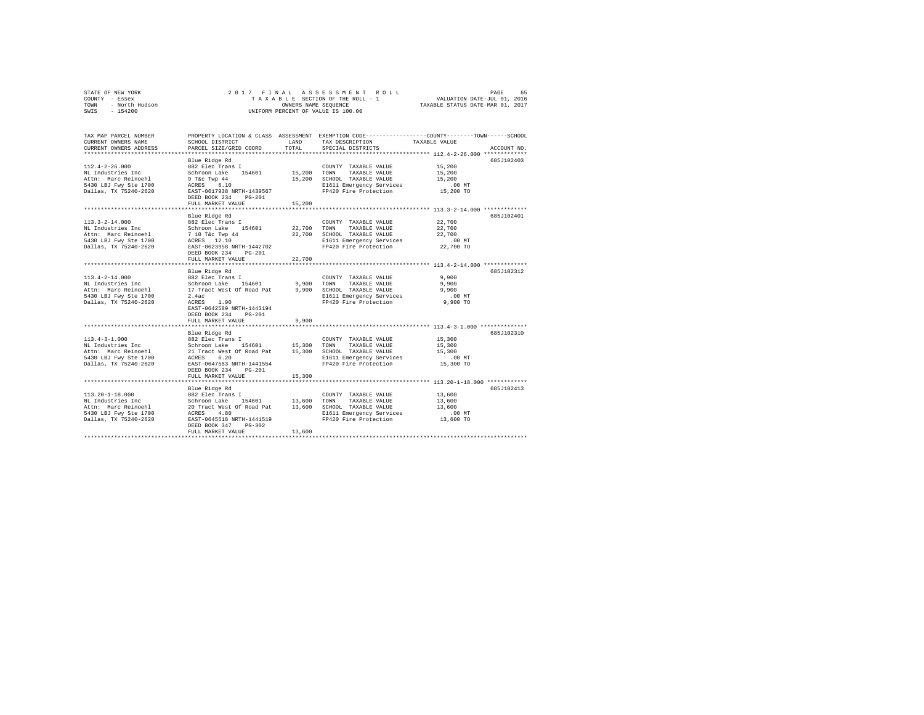| STATE OF NEW YORK<br>COUNTY - Essex<br>- North Hudson<br>TOWN<br>SWIS<br>$-154200$                                  | ASSESSMENT ROLL<br>2017 FINAL<br>PAGE<br>TAXABLE SECTION OF THE ROLL - 1<br>VALUATION DATE-JUL 01, 2016<br>TAXABLE STATUS DATE-MAR 01, 2017<br>OWNERS NAME SEQUENCE<br>UNIFORM PERCENT OF VALUE IS 100.00 |                            |                                                                                                                                        |                                                      |             |  |  |  |
|---------------------------------------------------------------------------------------------------------------------|-----------------------------------------------------------------------------------------------------------------------------------------------------------------------------------------------------------|----------------------------|----------------------------------------------------------------------------------------------------------------------------------------|------------------------------------------------------|-------------|--|--|--|
| TAX MAP PARCEL NUMBER<br>CURRENT OWNERS NAME<br>CURRENT OWNERS ADDRESS                                              | SCHOOL DISTRICT<br>PARCEL SIZE/GRID COORD                                                                                                                                                                 | LAND<br>TOTAL              | PROPERTY LOCATION & CLASS ASSESSMENT EXEMPTION CODE---------------COUNTY-------TOWN-----SCHOOL<br>TAX DESCRIPTION<br>SPECIAL DISTRICTS | TAXABLE VALUE                                        | ACCOUNT NO. |  |  |  |
| $112.4 - 2 - 26.000$<br>NL Industries Inc<br>Attn: Marc Reinoehl<br>5430 LBJ Fwy Ste 1700<br>Dallas, TX 75240-2620  | Blue Ridge Rd<br>882 Elec Trans I<br>Schroon Lake 154601<br>9 T&c Twp 44<br>ACRES 6.10<br>EAST-0617938 NRTH-1439567<br>DEED BOOK 234<br>$PG-201$<br>FULL MARKET VALUE                                     | 15,200<br>15,200<br>15,200 | COUNTY TAXABLE VALUE<br>TOWN<br>TAXABLE VALUE<br>SCHOOL TAXABLE VALUE<br>E1611 Emergency Services<br>FP420 Fire Protection             | 15,200<br>15,200<br>15,200<br>$.00$ MT<br>15,200 TO  | 685J102403  |  |  |  |
|                                                                                                                     | **********************                                                                                                                                                                                    |                            |                                                                                                                                        | *********************** 113.3-2-14.000 ************* |             |  |  |  |
| $113.3 - 2 - 14.000$<br>NL Industries Inc<br>Attn: Marc Reinoehl<br>5430 LBJ Fwy Ste 1700<br>Dallas, TX 75240-2620  | Blue Ridge Rd<br>882 Elec Trans I<br>Schroon Lake 154601<br>7 10 T&c Twp 44<br>ACRES 12.10<br>EAST-0623958 NRTH-1442702<br>DEED BOOK 234<br>$PG-201$<br>FULL MARKET VALUE                                 | 22,700<br>22,700<br>22,700 | COUNTY TAXABLE VALUE<br>TOWN<br>TAXABLE VALUE<br>SCHOOL TAXABLE VALUE<br>E1611 Emergency Services<br>FP420 Fire Protection             | 22,700<br>22,700<br>22,700<br>$.00$ MT<br>22,700 TO  | 685J102401  |  |  |  |
|                                                                                                                     | *****************************                                                                                                                                                                             |                            |                                                                                                                                        |                                                      |             |  |  |  |
| $113.4 - 2 - 14.000$<br>NL Industries Inc<br>Attn: Marc Reinoehl<br>5430 LBJ Fwy Ste 1700<br>Dallas, TX 75240-2620  | Blue Ridge Rd<br>882 Elec Trans I<br>Schroon Lake<br>154601<br>17 Tract West Of Road Pat<br>2.4ac<br>ACRES 1.90<br>EAST-0642589 NRTH-1443194<br>DEED BOOK 234<br>$PG-201$                                 | 9,900<br>9.900             | COUNTY TAXABLE VALUE<br>TOWN<br>TAXABLE VALUE<br>SCHOOL TAXABLE VALUE<br>E1611 Emergency Services<br>FP420 Fire Protection             | 9,900<br>9,900<br>9,900<br>$.00$ MT<br>9,900 TO      | 685J102312  |  |  |  |
|                                                                                                                     | FULL MARKET VALUE                                                                                                                                                                                         | 9.900                      |                                                                                                                                        |                                                      |             |  |  |  |
| $113.4 - 3 - 1.000$<br>NL Industries Inc<br>Attn: Marc Reinoehl<br>5430 LBJ Fwy Ste 1700<br>Dallas, TX 75240-2620   | Blue Ridge Rd<br>882 Elec Trans I<br>Schroon Lake 154601<br>21 Tract West Of Road Pat 15,300<br>ACRES 6.20<br>EAST-0647583 NRTH-1441554<br>DEED BOOK 234<br>$PG-201$<br>FULL MARKET VALUE                 | 15,300<br>15,300           | COUNTY TAXABLE VALUE<br>TAXABLE VALUE<br>TOWN<br>SCHOOL TAXABLE VALUE<br>E1611 Emergency Services<br>FP420 Fire Protection             | 15,300<br>15,300<br>15,300<br>$.00$ MT<br>15,300 TO  | 685J102310  |  |  |  |
|                                                                                                                     |                                                                                                                                                                                                           |                            |                                                                                                                                        |                                                      |             |  |  |  |
| $113.20 - 1 - 18.000$<br>NL Industries Inc<br>Attn: Marc Reinoehl<br>5430 LBJ Fwy Ste 1700<br>Dallas, TX 75240-2620 | Blue Ridge Rd<br>882 Elec Trans I<br>Schroon Lake<br>154601 13,600<br>20 Tract West Of Road Pat<br>ACRES 4.80<br>EAST-0645518 NRTH-1441519<br>DEED BOOK 347<br>$PG-302$<br>FULL MARKET VALUE              | 13,600<br>13,600           | COUNTY TAXABLE VALUE<br>TOWN<br>TAXABLE VALUE<br>SCHOOL TAXABLE VALUE<br>E1611 Emergency Services<br>FP420 Fire Protection             | 13,600<br>13,600<br>13,600<br>$.00$ MT<br>13,600 TO  | 685J102413  |  |  |  |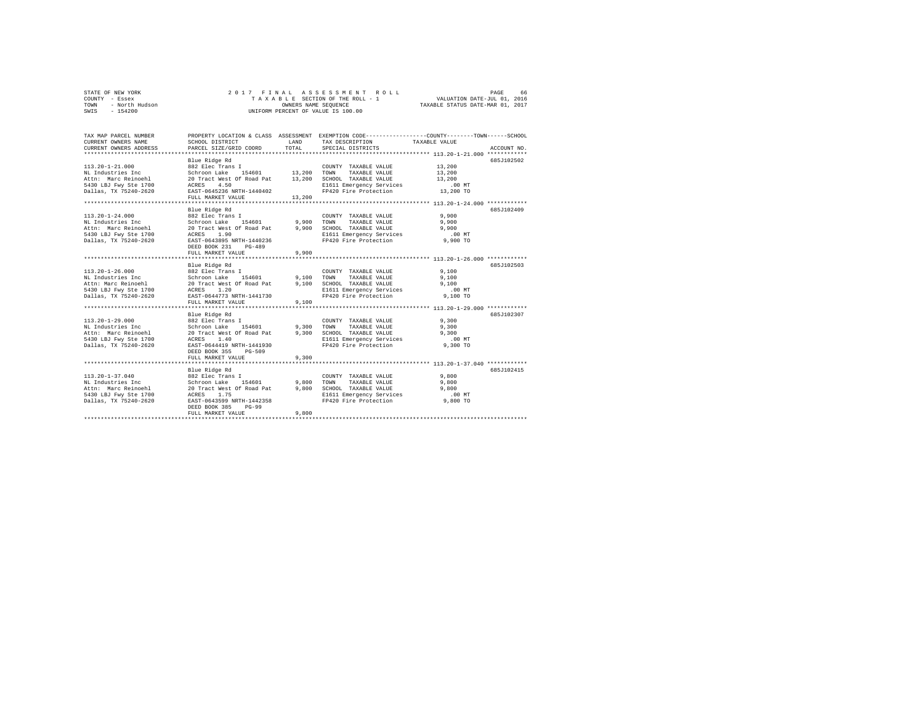| STATE OF NEW YORK<br>COUNTY - Essex<br>- North Hudson<br>TOWN<br>$-154200$<br>SWIS |                           |                                       | 2017 FINAL ASSESSMENT ROLL<br>TAXABLE SECTION OF THE ROLL - 1 VALUATION DATE-JUL 01, 2016<br>OWNERS NAME SEQUENCE TAXABLE STATUS DATE-MAR 01, 2017<br>UNIFORM PERCENT OF VALUE IS 100.00 |        | 66<br>PAGE  |
|------------------------------------------------------------------------------------|---------------------------|---------------------------------------|------------------------------------------------------------------------------------------------------------------------------------------------------------------------------------------|--------|-------------|
| TAX MAP PARCEL NUMBER                                                              |                           |                                       | PROPERTY LOCATION & CLASS ASSESSMENT EXEMPTION CODE---------------COUNTY-------TOWN------SCHOOL                                                                                          |        |             |
| CURRENT OWNERS NAME                                                                | SCHOOL DISTRICT LAND      |                                       | TAX DESCRIPTION TAXABLE VALUE                                                                                                                                                            |        |             |
| CURRENT OWNERS ADDRESS PARCEL SIZE/GRID COORD TOTAL SPECIAL DISTRICTS              |                           |                                       |                                                                                                                                                                                          |        | ACCOUNT NO. |
|                                                                                    |                           |                                       |                                                                                                                                                                                          |        |             |
|                                                                                    | Blue Ridge Rd             |                                       |                                                                                                                                                                                          |        | 685J102502  |
| $113.20 - 1 - 21.000$                                                              | 882 Elec Trans I          |                                       | COUNTY TAXABLE VALUE                                                                                                                                                                     | 13,200 |             |
| NL Industries Inc . Schroon Lake 154601 13,200 TOWN                                |                           |                                       | TAXABLE VALUE                                                                                                                                                                            | 13,200 |             |
| Attn: Marc Reinoehl 20 Tract West Of Road Pat 13,200                               |                           |                                       | SCHOOL TAXABLE VALUE 13,200                                                                                                                                                              |        |             |
| 5430 LBJ Fwy Ste 1700 ACRES 4.50                                                   |                           | and the control of the control of the | E1611 Emergency Services .00 MT                                                                                                                                                          |        |             |
| Dallas, TX 75240-2620 EAST-0645236 NRTH-1440402 FP420 Fire Protection 13,200 TO    |                           |                                       |                                                                                                                                                                                          |        |             |
|                                                                                    | FULL MARKET VALUE 13,200  |                                       |                                                                                                                                                                                          |        |             |
|                                                                                    |                           |                                       |                                                                                                                                                                                          |        |             |
|                                                                                    | Blue Ridge Rd             |                                       |                                                                                                                                                                                          |        | 685J102409  |
| $113.20 - 1 - 24.000$                                                              | 882 Elec Trans I          |                                       | COUNTY TAXABLE VALUE                                                                                                                                                                     | 9,900  |             |
| NL Industries Inc                                                                  | Schroon Lake 154601 9,900 |                                       | TOWN<br>TAXABLE VALUE                                                                                                                                                                    | 9,900  |             |
| Attn: Marc Reinoehl 20 Tract West Of Road Pat                                      |                           | 9,900                                 | SCHOOL<br>TAXABLE VALUE                                                                                                                                                                  | 9,900  |             |
| 5430 LBJ Fwy Ste 1700                                                              | ACRES 1.90                |                                       | E1611 Emergency Services .00 MT                                                                                                                                                          |        |             |

| Attn: Marc Reinoeni<br>5430 LBJ Fwy Ste 1700<br>Dallas, TX 75240-2620                                               | 20 iract west Of Road Pat<br>1.90<br>ACRES<br>EAST-0643895 NRTH-1440236<br>DEED BOOK 231<br>$PG-489$<br>FULL MARKET VALUE                                                             | 9.900<br>9,900          | SURUUL TAAABLE VALUE<br>E1611 Emergency Services<br>FP420 Fire Protection                                                  | <b>9.900</b><br>$.00$ MT<br>9,900 TO            |             |
|---------------------------------------------------------------------------------------------------------------------|---------------------------------------------------------------------------------------------------------------------------------------------------------------------------------------|-------------------------|----------------------------------------------------------------------------------------------------------------------------|-------------------------------------------------|-------------|
| $113.20 - 1 - 26.000$<br>NL Industries Inc<br>Attn: Marc Reinoehl<br>5430 LBJ Fwy Ste 1700<br>Dallas, TX 75240-2620 | Blue Ridge Rd<br>882 Elec Trans I<br>Schroon Lake<br>154601<br>20 Tract West Of Road Pat 9,100 SCHOOL TAXABLE VALUE<br>ACRES 1.20<br>EAST-0644773 NRTH-1441730<br>FULL MARKET VALUE   | 9.100<br>9.100          | COUNTY TAXABLE VALUE<br>TAXABLE VALUE<br>TOWN<br>E1611 Emergency Services<br>FP420 Fire Protection                         | 9.100<br>9,100<br>9.100<br>$.00$ MT<br>9,100 TO | 685J102503  |
| $113.20 - 1 - 29.000$<br>NL Industries Inc<br>Attn: Marc Reinoehl<br>5430 LBJ Fwy Ste 1700<br>Dallas, TX 75240-2620 | Blue Ridge Rd<br>882 Elec Trans I<br>Schroon Lake<br>154601<br>20 Tract West Of Road Pat<br>ACRES 1.40<br>EAST-0644419 NRTH-1441930<br>DEED BOOK 355<br>$PG-509$<br>FULL MARKET VALUE | 9.300<br>9,300<br>9,300 | COUNTY TAXABLE VALUE<br>TAXABLE VALUE<br>TOWN<br>SCHOOL TAXABLE VALUE<br>E1611 Emergency Services<br>FP420 Fire Protection | 9,300<br>9,300<br>9,300<br>$.00$ MT<br>9,300 TO | 685J102307  |
| $113.20 - 1 - 37.040$<br>NL Industries Inc<br>Attn: Marc Reinoehl<br>5430 LBJ Fwy Ste 1700<br>Dallas, TX 75240-2620 | Blue Ridge Rd<br>882 Elec Trans I<br>Schroon Lake 154601<br>20 Tract West Of Road Pat<br>ACRES 1.75<br>EAST-0643599 NRTH-1442358<br>DEED BOOK 385<br>$PG-99$                          | 9,800<br>9,800          | COUNTY TAXABLE VALUE<br>TOWN<br>TAXABLE VALUE<br>SCHOOL TAXABLE VALUE<br>E1611 Emergency Services<br>FP420 Fire Protection | 9,800<br>9,800<br>9,800<br>$.00$ MT<br>9,800 TO | 685.7102415 |
|                                                                                                                     | FULL MARKET VALUE                                                                                                                                                                     | 9,800                   |                                                                                                                            |                                                 |             |
|                                                                                                                     |                                                                                                                                                                                       |                         |                                                                                                                            |                                                 |             |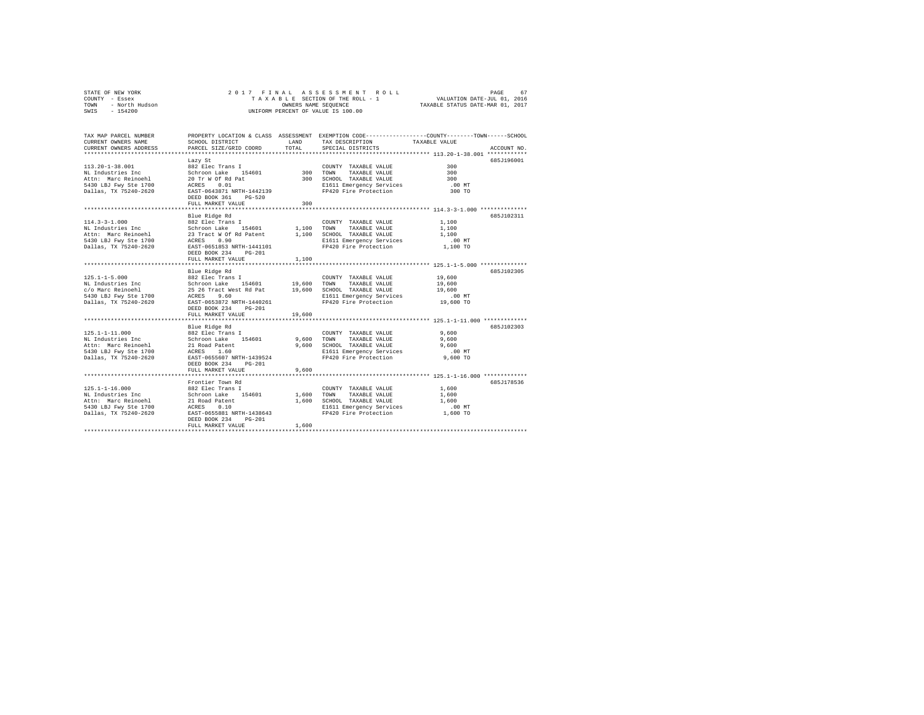|        | STATE OF NEW YORK      |                           |            | 2017 FINAL ASSESSMENT ROLL         |                                                              | PAGE                   | 67                                                   |
|--------|------------------------|---------------------------|------------|------------------------------------|--------------------------------------------------------------|------------------------|------------------------------------------------------|
| COUNTY | - Essex                |                           |            | TAXABLE SECTION OF THE ROLL - 1    |                                                              | VALUATION DATE-JUL 01. | 2016                                                 |
| TOWN   | - North Hudson         |                           |            | OWNERS NAME SEOUENCE               | TAXABLE STATUS DATE-MAR 01, 2017                             |                        |                                                      |
| SWIS   | $-154200$              |                           |            | UNIFORM PERCENT OF VALUE IS 100.00 |                                                              |                        |                                                      |
|        |                        |                           |            |                                    |                                                              |                        |                                                      |
|        |                        |                           |            |                                    |                                                              |                        |                                                      |
|        |                        |                           |            |                                    |                                                              |                        |                                                      |
|        | TAX MAP PARCEL NUMBER  | PROPERTY LOCATION & CLASS | ASSESSMENT |                                    | EXEMPTION CODE-----------------COUNTY-------TOWN------SCHOOL |                        |                                                      |
|        | CURRENT OWNERS NAME    | SCHOOL DISTRICT           | LAND       | TAX DESCRIPTION                    | TAXABLE VALUE                                                |                        |                                                      |
|        | CURRENT OWNERS ADDRESS | PARCEL SIZE/GRID COORD    | TOTAL      | SPECIAL DISTRICTS                  |                                                              |                        | ACCOUNT NO.                                          |
|        |                        |                           |            |                                    |                                                              |                        |                                                      |
|        |                        |                           |            |                                    |                                                              |                        | $\epsilon$ of $\epsilon$ of $\epsilon$ of $\epsilon$ |

| $113.20 - 1 - 38.001$<br>NL Industries Inc<br>Attn: Marc Reinoehl<br>5430 LBJ Fwy Ste 1700<br>Dallas, TX 75240-2620 | Lazy St<br>882 Elec Trans I<br>154601<br>Schroon Lake<br>20 Tr W Of Rd Pat<br>0.01<br>ACRES<br>EAST-0643871 NRTH-1442139<br>DEED BOOK 361<br>$PG-520$<br>FULL MARKET VALUE             | 300<br>300              | COUNTY TAXABLE VALUE<br>TOWN<br>TAXABLE VALUE<br>300 SCHOOL TAXABLE VALUE<br>E1611 Emergency Services<br>FP420 Fire Protection    | 300<br>300<br>300<br>.00MT<br>300 TO                | 685J196001 |
|---------------------------------------------------------------------------------------------------------------------|----------------------------------------------------------------------------------------------------------------------------------------------------------------------------------------|-------------------------|-----------------------------------------------------------------------------------------------------------------------------------|-----------------------------------------------------|------------|
| $114.3 - 3 - 1.000$<br>NL Industries Inc<br>Attn: Marc Reinoehl<br>5430 LBJ Fwy Ste 1700<br>Dallas, TX 75240-2620   | Blue Ridge Rd<br>882 Elec Trans I<br>154601<br>Schroon Lake<br>23 Tract W Of Rd Patent<br>ACRES<br>0.90<br>EAST-0651853 NRTH-1441101<br>DEED BOOK 234<br>$PG-201$<br>FULL MARKET VALUE | 1,100<br>1,100          | COUNTY TAXABLE VALUE<br>TOWN<br>TAXABLE VALUE<br>1,100 SCHOOL TAXABLE VALUE<br>E1611 Emergency Services<br>FP420 Fire Protection  | 1,100<br>1,100<br>1,100<br>$.00$ MT<br>1,100 TO     | 685J102311 |
| $125.1 - 1 - 5.000$<br>NL Industries Inc<br>c/o Marc Reinoehl<br>5430 LBJ Fwy Ste 1700<br>Dallas, TX 75240-2620     | Blue Ridge Rd<br>882 Elec Trans I<br>154601<br>Schroon Lake<br>25 26 Tract West Rd Pat<br>9.60<br>ACRES<br>EAST-0653872 NRTH-1440261<br>DEED BOOK 234<br>$PG-201$<br>FULL MARKET VALUE | 19,600<br>19,600        | COUNTY TAXABLE VALUE<br>TOWN<br>TAXABLE VALUE<br>19,600 SCHOOL TAXABLE VALUE<br>E1611 Emergency Services<br>FP420 Fire Protection | 19,600<br>19,600<br>19,600<br>$.00$ MT<br>19,600 TO | 685J102305 |
| $125.1 - 1 - 11.000$<br>NL Industries Inc<br>Attn: Marc Reinoehl<br>5430 LBJ Fwy Ste 1700<br>Dallas, TX 75240-2620  | Blue Ridge Rd<br>882 Elec Trans I<br>154601<br>Schroon Lake<br>21 Road Patent<br>ACRES<br>1.60<br>EAST-0655607 NRTH-1439524<br>DEED BOOK 234<br>$PG-201$<br>FULL MARKET VALUE          | 9,600<br>9,600<br>9,600 | COUNTY TAXABLE VALUE<br>TAXABLE VALUE<br>TOWN<br>SCHOOL TAXABLE VALUE<br>E1611 Emergency Services<br>FP420 Fire Protection        | 9,600<br>9,600<br>9,600<br>$.00$ MT<br>9,600 TO     | 685J102303 |
| $125.1 - 1 - 16.000$<br>NL Industries Inc<br>Attn: Marc Reinoehl<br>5430 LBJ Fwy Ste 1700<br>Dallas, TX 75240-2620  | Frontier Town Rd<br>882 Elec Trans I<br>154601<br>Schroon Lake<br>21 Road Patent<br>0.10<br>ACRES<br>EAST-0655881 NRTH-1438643<br>DEED BOOK 234<br>$PG-201$<br>FULL MARKET VALUE       | 1,600<br>1,600<br>1,600 | COUNTY TAXABLE VALUE<br>TOWN<br>TAXABLE VALUE<br>SCHOOL TAXABLE VALUE<br>E1611 Emergency Services<br>FP420 Fire Protection        | 1,600<br>1,600<br>1,600<br>$.00$ MT<br>1,600 TO     | 685J178536 |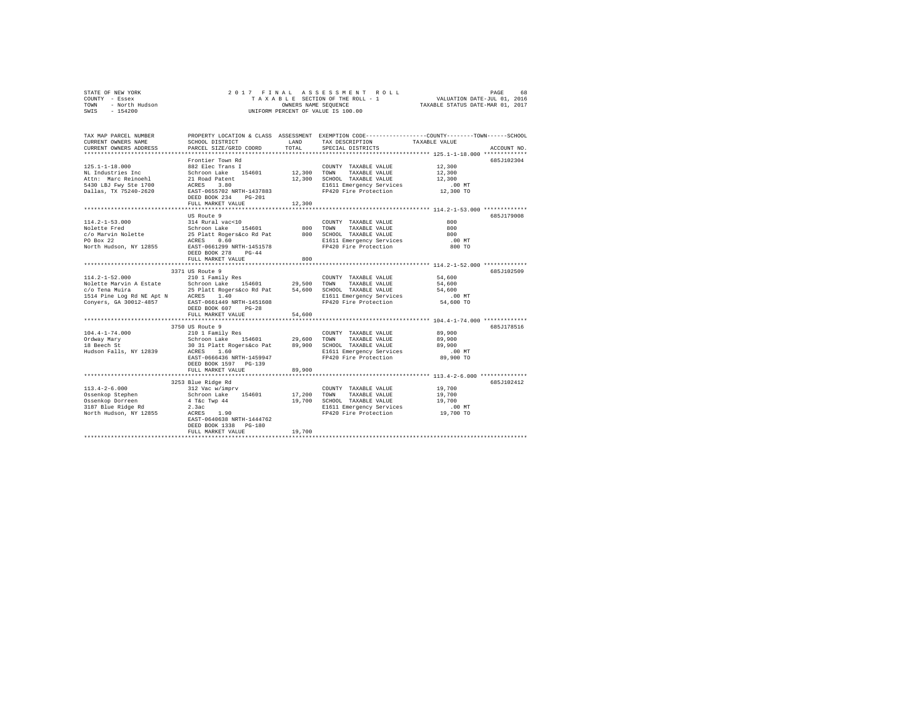| COUNTY - Essex                                     |                                                            |             | TAXABLE SECTION OF THE ROLL - 1 VALUATION DATE-JUL 01, 2016                                     |                                  |             |
|----------------------------------------------------|------------------------------------------------------------|-------------|-------------------------------------------------------------------------------------------------|----------------------------------|-------------|
| - North Hudson<br>TOWN                             | OWNERS NAME SEQUENCE<br>UNIFORM PERCENT OF VALUE IS 100.00 |             | OWNERS NAME SEOUENCE                                                                            | TAXABLE STATUS DATE-MAR 01, 2017 |             |
| SWIS - 154200                                      |                                                            |             |                                                                                                 |                                  |             |
|                                                    |                                                            |             |                                                                                                 |                                  |             |
|                                                    |                                                            |             |                                                                                                 |                                  |             |
| TAX MAP PARCEL NUMBER                              |                                                            |             | PROPERTY LOCATION & CLASS ASSESSMENT EXEMPTION CODE---------------COUNTY-------TOWN------SCHOOL |                                  |             |
| CURRENT OWNERS NAME                                | SCHOOL DISTRICT                                            | <b>LAND</b> | TAX DESCRIPTION TAXABLE VALUE                                                                   |                                  |             |
| CURRENT OWNERS ADDRESS                             |                                                            |             | PARCEL SIZE/GRID COORD TOTAL SPECIAL DISTRICTS                                                  |                                  | ACCOUNT NO. |
|                                                    |                                                            |             |                                                                                                 |                                  |             |
|                                                    | Frontier Town Rd                                           |             |                                                                                                 |                                  | 685J102304  |
| $125.1 - 1 - 18.000$                               | 882 Elec Trans I                                           |             | COUNTY TAXABLE VALUE 12,300                                                                     |                                  |             |
| NL Industries Inc                                  | Schroon Lake 154601 12,300 TOWN                            |             | TAXABLE VALUE 12,300                                                                            |                                  |             |
| Attn: Marc Reinoehl 21 Road Patent                 |                                                            |             | 12.300 SCHOOL TAXABLE VALUE 12.300                                                              |                                  |             |
| 5430 LBJ Fwy Ste 1700                              | ACRES 3.80                                                 |             | E1611 Emergency Services                                                                        | $.00$ MT                         |             |
| Dallas, TX 75240-2620                              | EAST-0655702 NRTH-1437883                                  |             | FP420 Fire Protection 12,300 TO                                                                 |                                  |             |
|                                                    | DEED BOOK 234 PG-201                                       |             |                                                                                                 |                                  |             |
|                                                    | FULL MARKET VALUE 12,300                                   |             |                                                                                                 |                                  |             |
|                                                    |                                                            |             |                                                                                                 |                                  |             |
|                                                    | US Route 9                                                 |             |                                                                                                 |                                  | 685J179008  |
| 114.2-1-53.000                                     | 314 Rural vac<10                                           |             | COUNTY TAXABLE VALUE                                                                            | 800                              |             |
| Nolette Fred<br>Schroon Lake                       | 154601 800                                                 |             | TAXABLE VALUE 800<br>TOWN                                                                       |                                  |             |
| c/o Marvin Nolette 25 Platt Rogers&co Rd Pat 800   | ACRES 0.60                                                 |             | SCHOOL TAXABLE VALUE 600                                                                        |                                  |             |
| PO Box 22                                          |                                                            |             | E1611 Emergency Services .00 MT                                                                 |                                  |             |
| North Hudson, NY 12855                             | EAST-0661299 NRTH-1451578                                  |             | FP420 Fire Protection                                                                           | 800 TO                           |             |
|                                                    | DEED BOOK 278 PG-44                                        | 800         |                                                                                                 |                                  |             |
|                                                    | FULL MARKET VALUE                                          |             |                                                                                                 |                                  |             |
|                                                    | 3371 US Route 9                                            |             |                                                                                                 |                                  | 685J102509  |
| $114.2 - 1 - 52.000$                               | 210 1 Family Res                                           |             | COUNTY TAXABLE VALUE 54,600                                                                     |                                  |             |
| Nolette Marvin A Estate Schroon Lake 154601 29,500 |                                                            |             | TAXABLE VALUE 54,600<br>TOWN                                                                    |                                  |             |
| c/o Tena Muira                                     | 25 Platt Rogers&co Rd Pat 54,600                           |             | SCHOOL TAXABLE VALUE 54,600                                                                     |                                  |             |
| 1514 Pine Log Rd NE Apt N ACRES 1.40               |                                                            |             | E1611 Emergency Services .00 MT                                                                 |                                  |             |
| Conyers, GA 30012-4857                             | EAST-0661449 NRTH-1451608                                  |             | FP420 Fire Protection                                                                           |                                  |             |

STATE OF NEW YORK **2017 FINAL ASSESSMENT ROLL** PAGE 68

|                        | DEED BOOK 607<br>$PG-28$<br>FULL MARKET VALUE | 54,600 |                          |           |            |
|------------------------|-----------------------------------------------|--------|--------------------------|-----------|------------|
|                        |                                               |        |                          |           |            |
|                        | 3750 US Route 9                               |        |                          |           | 685J178516 |
| $104.4 - 1 - 74.000$   | 210 1 Family Res                              |        | TAXABLE VALUE<br>COUNTY  | 89,900    |            |
| Ordway Mary            | Schroon Lake<br>154601                        | 29,600 | TOWN<br>TAXABLE VALUE    | 89,900    |            |
| 18 Beech St            | 30 31 Platt Rogers&co Pat                     | 89,900 | SCHOOL<br>TAXABLE VALUE  | 89,900    |            |
| Hudson Falls, NY 12839 | 1.60<br>ACRES                                 |        | E1611 Emergency Services | $.00$ MT  |            |
|                        | EAST-0666436 NRTH-1459947                     |        | FP420 Fire Protection    | 89,900 TO |            |
|                        | DEED BOOK 1597 PG-139                         |        |                          |           |            |
|                        | FULL MARKET VALUE                             | 89,900 |                          |           |            |
|                        |                                               |        |                          |           |            |
|                        | 3253 Blue Ridge Rd                            |        |                          |           | 685J102412 |
| $113.4 - 2 - 6.000$    | 312 Vac w/imprv                               |        | COUNTY<br>TAXABLE VALUE  | 19,700    |            |
| Ossenkop Stephen       | Schroon Lake<br>154601                        | 17,200 | TOWN<br>TAXABLE VALUE    | 19,700    |            |
| Ossenkop Dorreen       | $4$ T&c Twp $44$                              | 19,700 | SCHOOL<br>TAXABLE VALUE  | 19,700    |            |
| 3187 Blue Ridge Rd     | 2.3ac                                         |        | E1611 Emergency Services | $.00$ MT  |            |
| North Hudson, NY 12855 | 1.90<br>ACRES                                 |        | FP420 Fire Protection    | 19,700 TO |            |
|                        | EAST-0640638 NRTH-1444762                     |        |                          |           |            |
|                        | DEED BOOK 1338<br>PG-180                      |        |                          |           |            |
|                        |                                               |        |                          |           |            |
|                        | FULL MARKET VALUE                             | 19,700 |                          |           |            |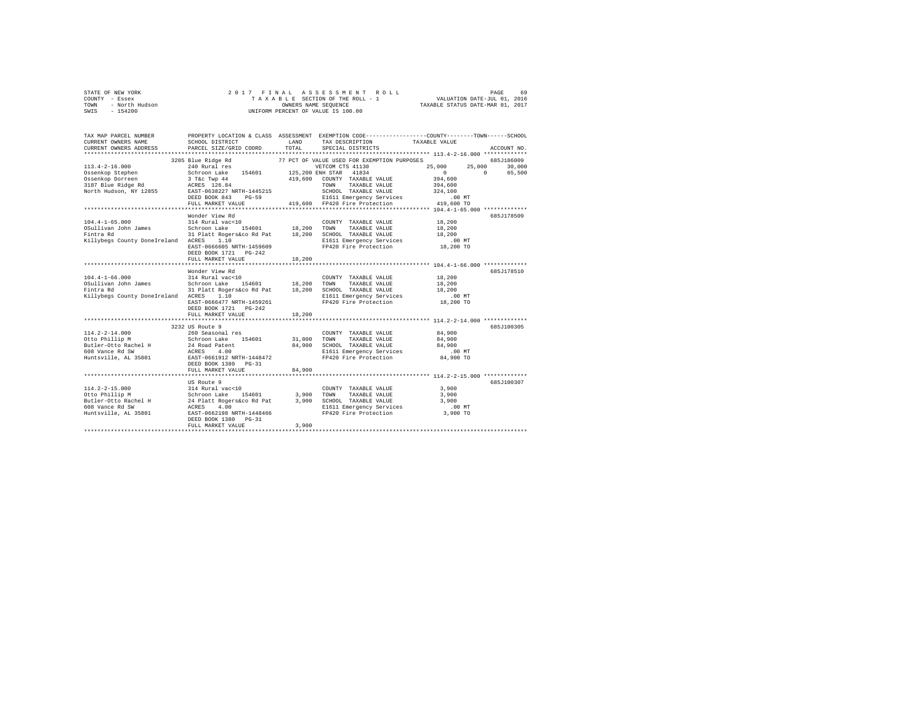|                | STATE OF NEW YORK |  |  |  |  | 2017 FINAL ASSESSMENT ROLL         |                                  | PAGE | 69 |
|----------------|-------------------|--|--|--|--|------------------------------------|----------------------------------|------|----|
| COUNTY - Essex |                   |  |  |  |  | TAXABLE SECTION OF THE ROLL - 1    | VALUATION DATE-JUL 01, 2016      |      |    |
| TOWN           | - North Hudson    |  |  |  |  | OWNERS NAME SEOUENCE               | TAXABLE STATUS DATE-MAR 01, 2017 |      |    |
| SWIS           | - 154200          |  |  |  |  | UNIFORM PERCENT OF VALUE IS 100.00 |                                  |      |    |

| TAX MAP PARCEL NUMBER<br>CURRENT OWNERS NAME                                                                                                                                                                                                                                                                                                                             | PROPERTY LOCATION & CLASS ASSESSMENT EXEMPTION CODE---------------COUNTY-------TOWN-----SCHOOL<br>SCHOOL DISTRICT      | <b>LAND</b> | TAX DESCRIPTION                                                 | TAXABLE VALUE |                    |
|--------------------------------------------------------------------------------------------------------------------------------------------------------------------------------------------------------------------------------------------------------------------------------------------------------------------------------------------------------------------------|------------------------------------------------------------------------------------------------------------------------|-------------|-----------------------------------------------------------------|---------------|--------------------|
| CURRENT OWNERS ADDRESS                                                                                                                                                                                                                                                                                                                                                   | PARCEL SIZE/GRID COORD TOTAL                                                                                           |             | SPECIAL DISTRICTS                                               |               | ACCOUNT NO.        |
|                                                                                                                                                                                                                                                                                                                                                                          |                                                                                                                        |             |                                                                 |               | 685J186009         |
|                                                                                                                                                                                                                                                                                                                                                                          |                                                                                                                        |             |                                                                 | 25,000 25,000 | 30,000             |
|                                                                                                                                                                                                                                                                                                                                                                          |                                                                                                                        |             |                                                                 | $\sim$ 0      | $\sim$ 0<br>65,500 |
|                                                                                                                                                                                                                                                                                                                                                                          |                                                                                                                        |             |                                                                 | 394,600       |                    |
|                                                                                                                                                                                                                                                                                                                                                                          |                                                                                                                        |             |                                                                 | 394,600       |                    |
|                                                                                                                                                                                                                                                                                                                                                                          |                                                                                                                        |             |                                                                 | 324,100       |                    |
|                                                                                                                                                                                                                                                                                                                                                                          | DEED BOOK 843                                                                                                          |             |                                                                 |               |                    |
|                                                                                                                                                                                                                                                                                                                                                                          | FULL MARKET VALUE                                                                                                      |             |                                                                 |               |                    |
|                                                                                                                                                                                                                                                                                                                                                                          | ***********************                                                                                                |             |                                                                 |               |                    |
|                                                                                                                                                                                                                                                                                                                                                                          | Wonder View Rd                                                                                                         |             |                                                                 |               | 685J178509         |
| $104.4 - 1 - 65.000$                                                                                                                                                                                                                                                                                                                                                     | 314 Rural vac<10                                                                                                       |             | COUNTY TAXABLE VALUE 18,200                                     |               |                    |
| OSullivan John James                                                                                                                                                                                                                                                                                                                                                     | ames Schroon Lake 154601 18,200 TOWN TAXABLE VALUE 18,200 31 Platt Rogers&co Rd Pat 18,200 SCHOOL TAXABLE VALUE 18,200 |             |                                                                 |               |                    |
| Fintra Rd                                                                                                                                                                                                                                                                                                                                                                |                                                                                                                        |             |                                                                 |               |                    |
| Killybegs County DoneIreland ACRES 1.10                                                                                                                                                                                                                                                                                                                                  |                                                                                                                        |             | E1611 Emergency Services .00 MT<br>FP420 Fire Protection .00 MT |               |                    |
|                                                                                                                                                                                                                                                                                                                                                                          | EAST-0666605 NRTH-1459609                                                                                              |             |                                                                 |               |                    |
|                                                                                                                                                                                                                                                                                                                                                                          | DEED BOOK 1721    PG-242                                                                                               |             |                                                                 |               |                    |
|                                                                                                                                                                                                                                                                                                                                                                          | FULL MARKET VALUE                                                                                                      | 18,200      |                                                                 |               |                    |
|                                                                                                                                                                                                                                                                                                                                                                          |                                                                                                                        |             |                                                                 |               | 685J178510         |
|                                                                                                                                                                                                                                                                                                                                                                          |                                                                                                                        |             |                                                                 |               |                    |
|                                                                                                                                                                                                                                                                                                                                                                          |                                                                                                                        |             |                                                                 |               |                    |
|                                                                                                                                                                                                                                                                                                                                                                          |                                                                                                                        |             |                                                                 |               |                    |
| $\begin{tabular}{l cccc} \texttt{104.4--1-66.000} & \texttt{Wonder view ku} \\ 104.4--1-66.000 & 314 \texttt{Real vac} & 154601 & 18,200 \texttt{ TOWTY TAXABLE VALUE} & 18,200 \\ 14.4--1-66.000 & 14.8200 \texttt{Schroon Lake} & 154601 & 18,200 \texttt{TOWN} & TAXABLE VALUE & 18,200 \\ 18,200 & 18,200 \texttt{SCHOOL TAXABLE VALUE} & 10.00 \texttt{NIT} & 18,2$ |                                                                                                                        |             |                                                                 |               |                    |
|                                                                                                                                                                                                                                                                                                                                                                          | EAST-0666477 NRTH-1459261                                                                                              |             | FP420 Fire Protection 18,200 TO                                 |               |                    |
|                                                                                                                                                                                                                                                                                                                                                                          | DEED BOOK 1721    PG-242                                                                                               |             |                                                                 |               |                    |
|                                                                                                                                                                                                                                                                                                                                                                          | FULL MARKET VALUE                                                                                                      | 18,200      |                                                                 |               |                    |
|                                                                                                                                                                                                                                                                                                                                                                          |                                                                                                                        |             |                                                                 |               |                    |
|                                                                                                                                                                                                                                                                                                                                                                          | 3232 US Route 9                                                                                                        |             |                                                                 |               | 685J100305         |
|                                                                                                                                                                                                                                                                                                                                                                          |                                                                                                                        |             |                                                                 |               |                    |
|                                                                                                                                                                                                                                                                                                                                                                          |                                                                                                                        |             |                                                                 |               |                    |
|                                                                                                                                                                                                                                                                                                                                                                          |                                                                                                                        |             |                                                                 |               |                    |
|                                                                                                                                                                                                                                                                                                                                                                          |                                                                                                                        |             |                                                                 |               |                    |
|                                                                                                                                                                                                                                                                                                                                                                          |                                                                                                                        |             |                                                                 |               |                    |
|                                                                                                                                                                                                                                                                                                                                                                          |                                                                                                                        |             |                                                                 |               |                    |
|                                                                                                                                                                                                                                                                                                                                                                          | FULL MARKET VALUE                                                                                                      | 84,900      |                                                                 |               |                    |
|                                                                                                                                                                                                                                                                                                                                                                          |                                                                                                                        |             |                                                                 |               |                    |
|                                                                                                                                                                                                                                                                                                                                                                          | US Route 9                                                                                                             |             |                                                                 |               | 685J100307         |
|                                                                                                                                                                                                                                                                                                                                                                          |                                                                                                                        |             | COUNTY TAXABLE VALUE                                            | 3,900         |                    |
|                                                                                                                                                                                                                                                                                                                                                                          |                                                                                                                        |             |                                                                 | 3,900         |                    |
|                                                                                                                                                                                                                                                                                                                                                                          |                                                                                                                        |             |                                                                 | 3,900         |                    |
|                                                                                                                                                                                                                                                                                                                                                                          |                                                                                                                        |             | E1611 Emergency Services<br>FP420 Fire Protection               | .00MT         |                    |
|                                                                                                                                                                                                                                                                                                                                                                          |                                                                                                                        |             |                                                                 | 3,900 TO      |                    |
|                                                                                                                                                                                                                                                                                                                                                                          | DEED BOOK 1380 PG-31<br>FULL MARKET VALUE                                                                              | 3,900       |                                                                 |               |                    |
|                                                                                                                                                                                                                                                                                                                                                                          |                                                                                                                        |             |                                                                 |               |                    |
|                                                                                                                                                                                                                                                                                                                                                                          |                                                                                                                        |             |                                                                 |               |                    |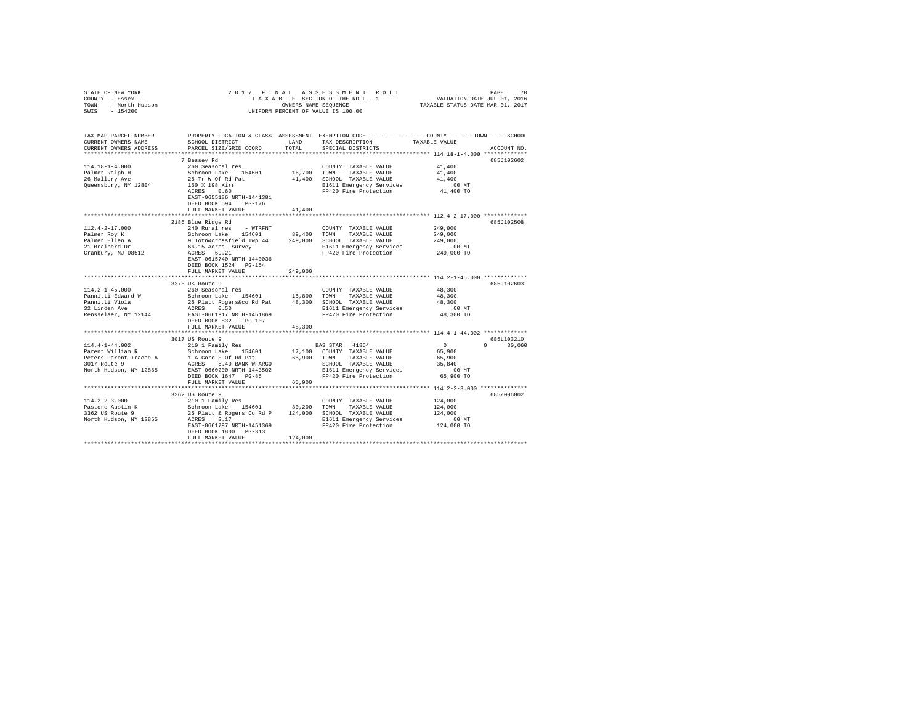| STATE OF NEW YORK $\begin{array}{rcl} \multicolumn{3}{l}{{\color{red}C}\begin{array}{ll}{{\color{red}S}}{\color{red}T}\\\text{COUNTYY} & = & \text{Eases}\\ {\color{red}T}\begin{array}{ll}{{\color{red}S}}&\\{\color{red}T}\end{array}&\\ & = & \text{Norti}\begin{array}{ll}{{\color{red}N}}\\\text{Hulson}\\ & {\color{red}I}&\\ {\color{red}I}&{\color{red}I}&\\ {\color{red}I}&{\color{red}I}&\\ {\color{red}I}&{\color{red}I}&\\ \end{array}} \end{array}$ |                                                                                                                                                                                                                                       |               | 2017 FINAL ASSESSMENT ROLL<br>70 PAGE 70 PAGE 70 PAGE 70 PAGE 70 PAGE 71 PAGE 710 PAGE 71 PAGE 710 PAGE 710 PAGE 710 PAGE 710 PAGE 710 PAGE<br>TA X A B L E SECTION OF THE ROLL – 1 PAXABLE STATUS DATE–WAR 01, 2017<br>UNIFORM PERCENT OF VALUE IS 100.00 |                                              | PAGE<br>70                 |
|------------------------------------------------------------------------------------------------------------------------------------------------------------------------------------------------------------------------------------------------------------------------------------------------------------------------------------------------------------------------------------------------------------------------------------------------------------------|---------------------------------------------------------------------------------------------------------------------------------------------------------------------------------------------------------------------------------------|---------------|------------------------------------------------------------------------------------------------------------------------------------------------------------------------------------------------------------------------------------------------------------|----------------------------------------------|----------------------------|
| TAX MAP PARCEL NUMBER<br>CURRENT OWNERS NAME<br>CURRENT OWNERS ADDRESS                                                                                                                                                                                                                                                                                                                                                                                           | SCHOOL DISTRICT<br>PARCEL SIZE/GRID COORD                                                                                                                                                                                             | LAND<br>TOTAL | PROPERTY LOCATION & CLASS ASSESSMENT EXEMPTION CODE---------------COUNTY-------TOWN------SCHOOL<br>TAX DESCRIPTION TAXABLE VALUE<br>SPECIAL DISTRICTS                                                                                                      |                                              | ACCOUNT NO.                |
|                                                                                                                                                                                                                                                                                                                                                                                                                                                                  | 7 Bessey Rd                                                                                                                                                                                                                           |               |                                                                                                                                                                                                                                                            |                                              | 685J102602                 |
| $114.18 - 1 - 4.000$                                                                                                                                                                                                                                                                                                                                                                                                                                             | 260 Seasonal res                                                                                                                                                                                                                      |               | COUNTY TAXABLE VALUE                                                                                                                                                                                                                                       | 41,400                                       |                            |
|                                                                                                                                                                                                                                                                                                                                                                                                                                                                  | Schroon Lake 154601 16,700 TOWN TAXABLE VALUE 25 Tr W Of Rd Pat 41,400 SCHOOL TAXABLE VALUE<br>150 X 198 Xirr 41,400 SCHOOL TAXABLE VALUE                                                                                             |               |                                                                                                                                                                                                                                                            | 41,400                                       |                            |
| Palmer Ralph H<br>26 Mallory Ave                                                                                                                                                                                                                                                                                                                                                                                                                                 |                                                                                                                                                                                                                                       |               |                                                                                                                                                                                                                                                            | 41,400                                       |                            |
| Queensbury, NY 12804                                                                                                                                                                                                                                                                                                                                                                                                                                             |                                                                                                                                                                                                                                       |               | E1611 Emergency Services<br>FP420 Fire Protection                                                                                                                                                                                                          | .00 MT                                       |                            |
|                                                                                                                                                                                                                                                                                                                                                                                                                                                                  | ACRES 0.60                                                                                                                                                                                                                            |               |                                                                                                                                                                                                                                                            | 41,400 TO                                    |                            |
|                                                                                                                                                                                                                                                                                                                                                                                                                                                                  | EAST-0655186 NRTH-1441381                                                                                                                                                                                                             |               |                                                                                                                                                                                                                                                            |                                              |                            |
|                                                                                                                                                                                                                                                                                                                                                                                                                                                                  | DEED BOOK 594 PG-176                                                                                                                                                                                                                  |               |                                                                                                                                                                                                                                                            |                                              |                            |
|                                                                                                                                                                                                                                                                                                                                                                                                                                                                  | FULL MARKET VALUE                                                                                                                                                                                                                     | 41,400        |                                                                                                                                                                                                                                                            |                                              |                            |
|                                                                                                                                                                                                                                                                                                                                                                                                                                                                  |                                                                                                                                                                                                                                       |               |                                                                                                                                                                                                                                                            |                                              | 685J102508                 |
| 112.4-2-17.000                                                                                                                                                                                                                                                                                                                                                                                                                                                   | 2186 Blue Ridge Rd<br>240 Rural res - WTRFNT                                                                                                                                                                                          |               |                                                                                                                                                                                                                                                            | 249,000                                      |                            |
| Palmer Roy K                                                                                                                                                                                                                                                                                                                                                                                                                                                     |                                                                                                                                                                                                                                       |               | COUNTY TAXABLE VALUE                                                                                                                                                                                                                                       | 249,000                                      |                            |
|                                                                                                                                                                                                                                                                                                                                                                                                                                                                  | Schroon Lake 154601 89,400 TOWN TAXABLE VALUE<br>9 Toth&crossfield Twp 44 249,000 SCHOOL TAXABLE VALUE<br>66.15 Acres Survey 81611 Emergency Services<br>ACRES 69.21 7940 F1420 Fire Protection                                       |               |                                                                                                                                                                                                                                                            | 249,000                                      |                            |
| Palmer Ellen A<br>21 Brainerd Dr<br>Cranbury, NJ 08512                                                                                                                                                                                                                                                                                                                                                                                                           |                                                                                                                                                                                                                                       |               |                                                                                                                                                                                                                                                            |                                              |                            |
|                                                                                                                                                                                                                                                                                                                                                                                                                                                                  |                                                                                                                                                                                                                                       |               |                                                                                                                                                                                                                                                            | 00 MT.<br>249,000 TO                         |                            |
|                                                                                                                                                                                                                                                                                                                                                                                                                                                                  | EAST-0615740 NRTH-1440036                                                                                                                                                                                                             |               |                                                                                                                                                                                                                                                            |                                              |                            |
|                                                                                                                                                                                                                                                                                                                                                                                                                                                                  | DEED BOOK 1524 PG-154                                                                                                                                                                                                                 |               |                                                                                                                                                                                                                                                            |                                              |                            |
|                                                                                                                                                                                                                                                                                                                                                                                                                                                                  | FULL MARKET VALUE                                                                                                                                                                                                                     | 249,000       |                                                                                                                                                                                                                                                            |                                              |                            |
|                                                                                                                                                                                                                                                                                                                                                                                                                                                                  |                                                                                                                                                                                                                                       |               |                                                                                                                                                                                                                                                            | *************** 114.2-1-45.000 ************* |                            |
|                                                                                                                                                                                                                                                                                                                                                                                                                                                                  | 3378 US Route 9                                                                                                                                                                                                                       |               |                                                                                                                                                                                                                                                            |                                              | 685J102603                 |
| $114.2 - 1 - 45.000$                                                                                                                                                                                                                                                                                                                                                                                                                                             | 260 Seasonal res                                                                                                                                                                                                                      |               | COUNTY TAXABLE VALUE                                                                                                                                                                                                                                       | 48,300                                       |                            |
| Pannitti Edward W                                                                                                                                                                                                                                                                                                                                                                                                                                                |                                                                                                                                                                                                                                       |               |                                                                                                                                                                                                                                                            | 48,300                                       |                            |
| Pannitti Viola<br>32 Linden Ave                                                                                                                                                                                                                                                                                                                                                                                                                                  | NU Seasonal res<br>Schroon Lake 154601 15,800 TOWN TAXABLE VALUE<br>25 Platt Rogerskoo Rd Pat 48,300 SCHOOL TAXABLE VALUE<br>ACRES<br>ACRES 0.50 1 15,800 11611 Emergency Services<br>EAST-0661917 NRTH-1451869 19420 Fire Protection |               |                                                                                                                                                                                                                                                            | 48,300                                       |                            |
|                                                                                                                                                                                                                                                                                                                                                                                                                                                                  |                                                                                                                                                                                                                                       |               |                                                                                                                                                                                                                                                            | $.00$ MT                                     |                            |
| Rensselaer, NY 12144                                                                                                                                                                                                                                                                                                                                                                                                                                             |                                                                                                                                                                                                                                       |               |                                                                                                                                                                                                                                                            | 48,300 TO                                    |                            |
|                                                                                                                                                                                                                                                                                                                                                                                                                                                                  | DEED BOOK 832 PG-107                                                                                                                                                                                                                  |               |                                                                                                                                                                                                                                                            |                                              |                            |
|                                                                                                                                                                                                                                                                                                                                                                                                                                                                  | FULL MARKET VALUE                                                                                                                                                                                                                     | 48,300        |                                                                                                                                                                                                                                                            |                                              |                            |
|                                                                                                                                                                                                                                                                                                                                                                                                                                                                  |                                                                                                                                                                                                                                       |               |                                                                                                                                                                                                                                                            |                                              |                            |
| 114.4-1-44.002                                                                                                                                                                                                                                                                                                                                                                                                                                                   | 3017 US Route 9<br>210 1 Family Res                                                                                                                                                                                                   |               |                                                                                                                                                                                                                                                            | $\sim$ 0                                     | 685L103210<br>$0 \t30,060$ |
|                                                                                                                                                                                                                                                                                                                                                                                                                                                                  |                                                                                                                                                                                                                                       |               | <b>BAS STAR 41854</b>                                                                                                                                                                                                                                      | 65,900                                       |                            |
| $\begin{tabular}{lcccccc} Parent William R & & & Schroon Lake & 154601 & 17,100 & COUNTY TAXABLE VALUE \\ Peters-Parent Trace & A & 1-A Gore & E Of Rd Pat & 65,900 & TOWN & TAXABLE VALUE \\ \end{tabular}$                                                                                                                                                                                                                                                     |                                                                                                                                                                                                                                       |               |                                                                                                                                                                                                                                                            | 65,900                                       |                            |
| 3017 Route 9                                                                                                                                                                                                                                                                                                                                                                                                                                                     |                                                                                                                                                                                                                                       |               |                                                                                                                                                                                                                                                            | 35,840                                       |                            |
| North Hudson, NY 12855                                                                                                                                                                                                                                                                                                                                                                                                                                           | EAST-0660200 NRTH-1443502                                                                                                                                                                                                             |               |                                                                                                                                                                                                                                                            | $.00$ MT                                     |                            |
|                                                                                                                                                                                                                                                                                                                                                                                                                                                                  |                                                                                                                                                                                                                                       |               |                                                                                                                                                                                                                                                            | 65,900 TO                                    |                            |
|                                                                                                                                                                                                                                                                                                                                                                                                                                                                  |                                                                                                                                                                                                                                       |               |                                                                                                                                                                                                                                                            |                                              |                            |
|                                                                                                                                                                                                                                                                                                                                                                                                                                                                  |                                                                                                                                                                                                                                       |               |                                                                                                                                                                                                                                                            |                                              |                            |
|                                                                                                                                                                                                                                                                                                                                                                                                                                                                  |                                                                                                                                                                                                                                       |               |                                                                                                                                                                                                                                                            |                                              | 685Z006002                 |
|                                                                                                                                                                                                                                                                                                                                                                                                                                                                  |                                                                                                                                                                                                                                       |               |                                                                                                                                                                                                                                                            | 124,000                                      |                            |
|                                                                                                                                                                                                                                                                                                                                                                                                                                                                  |                                                                                                                                                                                                                                       |               |                                                                                                                                                                                                                                                            | 124,000                                      |                            |
|                                                                                                                                                                                                                                                                                                                                                                                                                                                                  |                                                                                                                                                                                                                                       |               |                                                                                                                                                                                                                                                            | 124,000                                      |                            |
|                                                                                                                                                                                                                                                                                                                                                                                                                                                                  |                                                                                                                                                                                                                                       |               | E1611 Emergency Services<br>FP420 Fire Protection                                                                                                                                                                                                          | .00 MT.<br>124,000 TO                        |                            |
|                                                                                                                                                                                                                                                                                                                                                                                                                                                                  | EAST-0661797 NRTH-1451369                                                                                                                                                                                                             |               |                                                                                                                                                                                                                                                            |                                              |                            |
|                                                                                                                                                                                                                                                                                                                                                                                                                                                                  | DEED BOOK 1800 PG-313                                                                                                                                                                                                                 |               |                                                                                                                                                                                                                                                            |                                              |                            |
|                                                                                                                                                                                                                                                                                                                                                                                                                                                                  | FULL MARKET VALUE                                                                                                                                                                                                                     | 124,000       |                                                                                                                                                                                                                                                            |                                              |                            |
|                                                                                                                                                                                                                                                                                                                                                                                                                                                                  |                                                                                                                                                                                                                                       |               |                                                                                                                                                                                                                                                            |                                              |                            |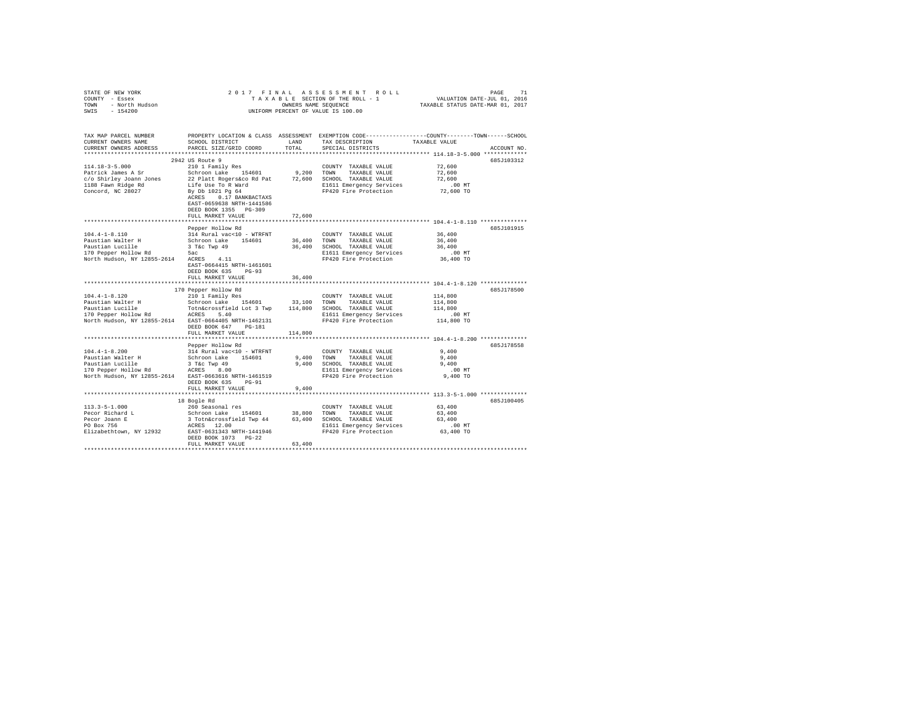| PROPERTY LOCATION & CLASS ASSESSMENT EXEMPTION CODE---------------COUNTY-------TOWN------SCHOOL<br>SCHOOL DISTRICT<br>TAX DESCRIPTION<br>CURRENT OWNERS NAME<br>LAND<br>TAXABLE VALUE<br>PARCEL SIZE/GRID COORD<br>TOTAL<br>CURRENT OWNERS ADDRESS<br>SPECIAL DISTRICTS<br>ACCOUNT NO.<br>2942 US Route 9<br>685J103312<br>$114.18 - 3 - 5.000$<br>72,600<br>210 1 Family Res<br>COUNTY TAXABLE VALUE<br>Schroon Lake 154601<br>9.200 TOWN<br>72,600<br>Patrick James A Sr<br>TAXABLE VALUE<br>c/o Shirley Joann Jones 22 Platt Rogers&co Rd Pat 72,600 SCHOOL TAXABLE VALUE<br>72,600<br>Life Use To R Ward<br>By Db 1021 Pg 64<br>E1611 Emergency Services<br>$.00$ MT<br>72,600 TO<br>FP420 Fire Protection<br>ACRES 0.17 BANKBACTAXS<br>EAST-0659638 NRTH-1441586<br>DEED BOOK 1355 PG-309<br>FULL MARKET VALUE<br>72,600<br>685J101915<br>Pepper Hollow Rd<br>$104.4 - 1 - 8.110$<br>314 Rural vac<10 - WTRFNT<br>COUNTY TAXABLE VALUE<br>36,400<br>Schroon Lake 154601<br>3 T&c Twp 49<br>36,400<br>36,400<br>Paustian Walter H<br>TOWN<br>TAXABLE VALUE<br>36,400 SCHOOL TAXABLE VALUE<br>36,400<br>5ac<br>.00MT<br>E1611 Emergency Services<br>North Hudson, NY 12855-2614 ACRES 4.11<br>FP420 Fire Protection 36,400 TO<br>EAST-0664415 NRTH-1461601<br>DEED BOOK 635 PG-93<br>36,400<br>FULL MARKET VALUE<br>***************************** 104.4-1-8.120 **************<br>****************************<br>***********<br>170 Pepper Hollow Rd<br>685J178500<br>210 1 Family Res<br>114,800<br>COUNTY TAXABLE VALUE<br>Schroon Lake 154601 33,100 TOWN TAXABLE VALUE<br>TOthácrossfield Lot 3 Twp 114,800 SCHOOL TAXABLE VALUE<br>ACRES 5.40 SCHOL E1611 Emergency Services<br>114,800<br>Paustian Lucille<br>114,800<br>170 Pepper Hollow Rd<br>E1611 Emergency Services .00 MT<br>FP420 Fire Protection .01 114,800 TO<br>North Hudson, NY 12855-2614 EAST-0664405 NRTH-1462131<br>DEED BOOK 647 PG-181<br>114,800<br>FULL MARKET VALUE<br>685J178558<br>Pepper Hollow Rd<br>314 Rural vac<10 - WTRFNT<br>9,400<br>COUNTY TAXABLE VALUE<br>Schroon Lake 154601<br>9,400 TOWN<br>9,400<br>TAXABLE VALUE<br>Paustian Lucille 3 T&C Twp 49<br>170 Pepper Hollow Rd ACRES 8.00<br>9,400 SCHOOL TAXABLE VALUE<br>9.400<br>E1611 Emergency Services<br>.00MT<br>North Hudson, NY 12855-2614 EAST-0663616 NRTH-1461519<br>FP420 Fire Protection<br>9,400 TO<br>DEED BOOK 635 PG-91<br>FULL MARKET VALUE<br>9,400<br>685J100405<br>18 Bogle Rd<br>260 Seasonal res 400 1 28,800 COUNTY TAXABLE VALUE<br>Schroon Lake 154601 38,800 TOWN TAXABLE VALUE<br>3 TothAcrossField Twp 44 63,400 SCHOOL TAXABLE VALUE<br>63,400<br>63,400<br>63,400<br>Petor Alexandr E<br>Petor Joann E<br>ACRES 12.00<br>E1611 Emergency Services<br>$.00$ MT<br>Elizabethtown, NY 12932 EAST-0631343 NRTH-1441946<br>63,400 TO<br>FP420 Fire Protection | COUNTY - Essex<br>TOWN<br>- North Hudson |                                    |  |  |  |  |  |  |  |
|----------------------------------------------------------------------------------------------------------------------------------------------------------------------------------------------------------------------------------------------------------------------------------------------------------------------------------------------------------------------------------------------------------------------------------------------------------------------------------------------------------------------------------------------------------------------------------------------------------------------------------------------------------------------------------------------------------------------------------------------------------------------------------------------------------------------------------------------------------------------------------------------------------------------------------------------------------------------------------------------------------------------------------------------------------------------------------------------------------------------------------------------------------------------------------------------------------------------------------------------------------------------------------------------------------------------------------------------------------------------------------------------------------------------------------------------------------------------------------------------------------------------------------------------------------------------------------------------------------------------------------------------------------------------------------------------------------------------------------------------------------------------------------------------------------------------------------------------------------------------------------------------------------------------------------------------------------------------------------------------------------------------------------------------------------------------------------------------------------------------------------------------------------------------------------------------------------------------------------------------------------------------------------------------------------------------------------------------------------------------------------------------------------------------------------------------------------------------------------------------------------------------------------------------------------------------------------------------------------------------------------------------------------------------------------------------------------------------------------------------------------------------------------------------------------------------------------------|------------------------------------------|------------------------------------|--|--|--|--|--|--|--|
|                                                                                                                                                                                                                                                                                                                                                                                                                                                                                                                                                                                                                                                                                                                                                                                                                                                                                                                                                                                                                                                                                                                                                                                                                                                                                                                                                                                                                                                                                                                                                                                                                                                                                                                                                                                                                                                                                                                                                                                                                                                                                                                                                                                                                                                                                                                                                                                                                                                                                                                                                                                                                                                                                                                                                                                                                                        | SWIS - 154200                            | UNIFORM PERCENT OF VALUE IS 100.00 |  |  |  |  |  |  |  |
|                                                                                                                                                                                                                                                                                                                                                                                                                                                                                                                                                                                                                                                                                                                                                                                                                                                                                                                                                                                                                                                                                                                                                                                                                                                                                                                                                                                                                                                                                                                                                                                                                                                                                                                                                                                                                                                                                                                                                                                                                                                                                                                                                                                                                                                                                                                                                                                                                                                                                                                                                                                                                                                                                                                                                                                                                                        |                                          |                                    |  |  |  |  |  |  |  |
|                                                                                                                                                                                                                                                                                                                                                                                                                                                                                                                                                                                                                                                                                                                                                                                                                                                                                                                                                                                                                                                                                                                                                                                                                                                                                                                                                                                                                                                                                                                                                                                                                                                                                                                                                                                                                                                                                                                                                                                                                                                                                                                                                                                                                                                                                                                                                                                                                                                                                                                                                                                                                                                                                                                                                                                                                                        | TAX MAP PARCEL NUMBER                    |                                    |  |  |  |  |  |  |  |
|                                                                                                                                                                                                                                                                                                                                                                                                                                                                                                                                                                                                                                                                                                                                                                                                                                                                                                                                                                                                                                                                                                                                                                                                                                                                                                                                                                                                                                                                                                                                                                                                                                                                                                                                                                                                                                                                                                                                                                                                                                                                                                                                                                                                                                                                                                                                                                                                                                                                                                                                                                                                                                                                                                                                                                                                                                        |                                          |                                    |  |  |  |  |  |  |  |
|                                                                                                                                                                                                                                                                                                                                                                                                                                                                                                                                                                                                                                                                                                                                                                                                                                                                                                                                                                                                                                                                                                                                                                                                                                                                                                                                                                                                                                                                                                                                                                                                                                                                                                                                                                                                                                                                                                                                                                                                                                                                                                                                                                                                                                                                                                                                                                                                                                                                                                                                                                                                                                                                                                                                                                                                                                        |                                          |                                    |  |  |  |  |  |  |  |
|                                                                                                                                                                                                                                                                                                                                                                                                                                                                                                                                                                                                                                                                                                                                                                                                                                                                                                                                                                                                                                                                                                                                                                                                                                                                                                                                                                                                                                                                                                                                                                                                                                                                                                                                                                                                                                                                                                                                                                                                                                                                                                                                                                                                                                                                                                                                                                                                                                                                                                                                                                                                                                                                                                                                                                                                                                        |                                          |                                    |  |  |  |  |  |  |  |
|                                                                                                                                                                                                                                                                                                                                                                                                                                                                                                                                                                                                                                                                                                                                                                                                                                                                                                                                                                                                                                                                                                                                                                                                                                                                                                                                                                                                                                                                                                                                                                                                                                                                                                                                                                                                                                                                                                                                                                                                                                                                                                                                                                                                                                                                                                                                                                                                                                                                                                                                                                                                                                                                                                                                                                                                                                        |                                          |                                    |  |  |  |  |  |  |  |
|                                                                                                                                                                                                                                                                                                                                                                                                                                                                                                                                                                                                                                                                                                                                                                                                                                                                                                                                                                                                                                                                                                                                                                                                                                                                                                                                                                                                                                                                                                                                                                                                                                                                                                                                                                                                                                                                                                                                                                                                                                                                                                                                                                                                                                                                                                                                                                                                                                                                                                                                                                                                                                                                                                                                                                                                                                        |                                          |                                    |  |  |  |  |  |  |  |
|                                                                                                                                                                                                                                                                                                                                                                                                                                                                                                                                                                                                                                                                                                                                                                                                                                                                                                                                                                                                                                                                                                                                                                                                                                                                                                                                                                                                                                                                                                                                                                                                                                                                                                                                                                                                                                                                                                                                                                                                                                                                                                                                                                                                                                                                                                                                                                                                                                                                                                                                                                                                                                                                                                                                                                                                                                        |                                          |                                    |  |  |  |  |  |  |  |
|                                                                                                                                                                                                                                                                                                                                                                                                                                                                                                                                                                                                                                                                                                                                                                                                                                                                                                                                                                                                                                                                                                                                                                                                                                                                                                                                                                                                                                                                                                                                                                                                                                                                                                                                                                                                                                                                                                                                                                                                                                                                                                                                                                                                                                                                                                                                                                                                                                                                                                                                                                                                                                                                                                                                                                                                                                        | 1188 Fawn Ridge Rd                       |                                    |  |  |  |  |  |  |  |
|                                                                                                                                                                                                                                                                                                                                                                                                                                                                                                                                                                                                                                                                                                                                                                                                                                                                                                                                                                                                                                                                                                                                                                                                                                                                                                                                                                                                                                                                                                                                                                                                                                                                                                                                                                                                                                                                                                                                                                                                                                                                                                                                                                                                                                                                                                                                                                                                                                                                                                                                                                                                                                                                                                                                                                                                                                        | Concord, NC 28027                        |                                    |  |  |  |  |  |  |  |
|                                                                                                                                                                                                                                                                                                                                                                                                                                                                                                                                                                                                                                                                                                                                                                                                                                                                                                                                                                                                                                                                                                                                                                                                                                                                                                                                                                                                                                                                                                                                                                                                                                                                                                                                                                                                                                                                                                                                                                                                                                                                                                                                                                                                                                                                                                                                                                                                                                                                                                                                                                                                                                                                                                                                                                                                                                        |                                          |                                    |  |  |  |  |  |  |  |
|                                                                                                                                                                                                                                                                                                                                                                                                                                                                                                                                                                                                                                                                                                                                                                                                                                                                                                                                                                                                                                                                                                                                                                                                                                                                                                                                                                                                                                                                                                                                                                                                                                                                                                                                                                                                                                                                                                                                                                                                                                                                                                                                                                                                                                                                                                                                                                                                                                                                                                                                                                                                                                                                                                                                                                                                                                        |                                          |                                    |  |  |  |  |  |  |  |
|                                                                                                                                                                                                                                                                                                                                                                                                                                                                                                                                                                                                                                                                                                                                                                                                                                                                                                                                                                                                                                                                                                                                                                                                                                                                                                                                                                                                                                                                                                                                                                                                                                                                                                                                                                                                                                                                                                                                                                                                                                                                                                                                                                                                                                                                                                                                                                                                                                                                                                                                                                                                                                                                                                                                                                                                                                        |                                          |                                    |  |  |  |  |  |  |  |
|                                                                                                                                                                                                                                                                                                                                                                                                                                                                                                                                                                                                                                                                                                                                                                                                                                                                                                                                                                                                                                                                                                                                                                                                                                                                                                                                                                                                                                                                                                                                                                                                                                                                                                                                                                                                                                                                                                                                                                                                                                                                                                                                                                                                                                                                                                                                                                                                                                                                                                                                                                                                                                                                                                                                                                                                                                        |                                          |                                    |  |  |  |  |  |  |  |
|                                                                                                                                                                                                                                                                                                                                                                                                                                                                                                                                                                                                                                                                                                                                                                                                                                                                                                                                                                                                                                                                                                                                                                                                                                                                                                                                                                                                                                                                                                                                                                                                                                                                                                                                                                                                                                                                                                                                                                                                                                                                                                                                                                                                                                                                                                                                                                                                                                                                                                                                                                                                                                                                                                                                                                                                                                        |                                          |                                    |  |  |  |  |  |  |  |
|                                                                                                                                                                                                                                                                                                                                                                                                                                                                                                                                                                                                                                                                                                                                                                                                                                                                                                                                                                                                                                                                                                                                                                                                                                                                                                                                                                                                                                                                                                                                                                                                                                                                                                                                                                                                                                                                                                                                                                                                                                                                                                                                                                                                                                                                                                                                                                                                                                                                                                                                                                                                                                                                                                                                                                                                                                        |                                          |                                    |  |  |  |  |  |  |  |
|                                                                                                                                                                                                                                                                                                                                                                                                                                                                                                                                                                                                                                                                                                                                                                                                                                                                                                                                                                                                                                                                                                                                                                                                                                                                                                                                                                                                                                                                                                                                                                                                                                                                                                                                                                                                                                                                                                                                                                                                                                                                                                                                                                                                                                                                                                                                                                                                                                                                                                                                                                                                                                                                                                                                                                                                                                        |                                          |                                    |  |  |  |  |  |  |  |
|                                                                                                                                                                                                                                                                                                                                                                                                                                                                                                                                                                                                                                                                                                                                                                                                                                                                                                                                                                                                                                                                                                                                                                                                                                                                                                                                                                                                                                                                                                                                                                                                                                                                                                                                                                                                                                                                                                                                                                                                                                                                                                                                                                                                                                                                                                                                                                                                                                                                                                                                                                                                                                                                                                                                                                                                                                        | Paustian Lucille                         |                                    |  |  |  |  |  |  |  |
|                                                                                                                                                                                                                                                                                                                                                                                                                                                                                                                                                                                                                                                                                                                                                                                                                                                                                                                                                                                                                                                                                                                                                                                                                                                                                                                                                                                                                                                                                                                                                                                                                                                                                                                                                                                                                                                                                                                                                                                                                                                                                                                                                                                                                                                                                                                                                                                                                                                                                                                                                                                                                                                                                                                                                                                                                                        | 170 Pepper Hollow Rd                     |                                    |  |  |  |  |  |  |  |
|                                                                                                                                                                                                                                                                                                                                                                                                                                                                                                                                                                                                                                                                                                                                                                                                                                                                                                                                                                                                                                                                                                                                                                                                                                                                                                                                                                                                                                                                                                                                                                                                                                                                                                                                                                                                                                                                                                                                                                                                                                                                                                                                                                                                                                                                                                                                                                                                                                                                                                                                                                                                                                                                                                                                                                                                                                        |                                          |                                    |  |  |  |  |  |  |  |
|                                                                                                                                                                                                                                                                                                                                                                                                                                                                                                                                                                                                                                                                                                                                                                                                                                                                                                                                                                                                                                                                                                                                                                                                                                                                                                                                                                                                                                                                                                                                                                                                                                                                                                                                                                                                                                                                                                                                                                                                                                                                                                                                                                                                                                                                                                                                                                                                                                                                                                                                                                                                                                                                                                                                                                                                                                        |                                          |                                    |  |  |  |  |  |  |  |
|                                                                                                                                                                                                                                                                                                                                                                                                                                                                                                                                                                                                                                                                                                                                                                                                                                                                                                                                                                                                                                                                                                                                                                                                                                                                                                                                                                                                                                                                                                                                                                                                                                                                                                                                                                                                                                                                                                                                                                                                                                                                                                                                                                                                                                                                                                                                                                                                                                                                                                                                                                                                                                                                                                                                                                                                                                        |                                          |                                    |  |  |  |  |  |  |  |
|                                                                                                                                                                                                                                                                                                                                                                                                                                                                                                                                                                                                                                                                                                                                                                                                                                                                                                                                                                                                                                                                                                                                                                                                                                                                                                                                                                                                                                                                                                                                                                                                                                                                                                                                                                                                                                                                                                                                                                                                                                                                                                                                                                                                                                                                                                                                                                                                                                                                                                                                                                                                                                                                                                                                                                                                                                        |                                          |                                    |  |  |  |  |  |  |  |
|                                                                                                                                                                                                                                                                                                                                                                                                                                                                                                                                                                                                                                                                                                                                                                                                                                                                                                                                                                                                                                                                                                                                                                                                                                                                                                                                                                                                                                                                                                                                                                                                                                                                                                                                                                                                                                                                                                                                                                                                                                                                                                                                                                                                                                                                                                                                                                                                                                                                                                                                                                                                                                                                                                                                                                                                                                        |                                          |                                    |  |  |  |  |  |  |  |
|                                                                                                                                                                                                                                                                                                                                                                                                                                                                                                                                                                                                                                                                                                                                                                                                                                                                                                                                                                                                                                                                                                                                                                                                                                                                                                                                                                                                                                                                                                                                                                                                                                                                                                                                                                                                                                                                                                                                                                                                                                                                                                                                                                                                                                                                                                                                                                                                                                                                                                                                                                                                                                                                                                                                                                                                                                        | $104.4 - 1 - 8.120$                      |                                    |  |  |  |  |  |  |  |
|                                                                                                                                                                                                                                                                                                                                                                                                                                                                                                                                                                                                                                                                                                                                                                                                                                                                                                                                                                                                                                                                                                                                                                                                                                                                                                                                                                                                                                                                                                                                                                                                                                                                                                                                                                                                                                                                                                                                                                                                                                                                                                                                                                                                                                                                                                                                                                                                                                                                                                                                                                                                                                                                                                                                                                                                                                        | Paustian Walter H                        |                                    |  |  |  |  |  |  |  |
|                                                                                                                                                                                                                                                                                                                                                                                                                                                                                                                                                                                                                                                                                                                                                                                                                                                                                                                                                                                                                                                                                                                                                                                                                                                                                                                                                                                                                                                                                                                                                                                                                                                                                                                                                                                                                                                                                                                                                                                                                                                                                                                                                                                                                                                                                                                                                                                                                                                                                                                                                                                                                                                                                                                                                                                                                                        |                                          |                                    |  |  |  |  |  |  |  |
|                                                                                                                                                                                                                                                                                                                                                                                                                                                                                                                                                                                                                                                                                                                                                                                                                                                                                                                                                                                                                                                                                                                                                                                                                                                                                                                                                                                                                                                                                                                                                                                                                                                                                                                                                                                                                                                                                                                                                                                                                                                                                                                                                                                                                                                                                                                                                                                                                                                                                                                                                                                                                                                                                                                                                                                                                                        |                                          |                                    |  |  |  |  |  |  |  |
|                                                                                                                                                                                                                                                                                                                                                                                                                                                                                                                                                                                                                                                                                                                                                                                                                                                                                                                                                                                                                                                                                                                                                                                                                                                                                                                                                                                                                                                                                                                                                                                                                                                                                                                                                                                                                                                                                                                                                                                                                                                                                                                                                                                                                                                                                                                                                                                                                                                                                                                                                                                                                                                                                                                                                                                                                                        |                                          |                                    |  |  |  |  |  |  |  |
|                                                                                                                                                                                                                                                                                                                                                                                                                                                                                                                                                                                                                                                                                                                                                                                                                                                                                                                                                                                                                                                                                                                                                                                                                                                                                                                                                                                                                                                                                                                                                                                                                                                                                                                                                                                                                                                                                                                                                                                                                                                                                                                                                                                                                                                                                                                                                                                                                                                                                                                                                                                                                                                                                                                                                                                                                                        |                                          |                                    |  |  |  |  |  |  |  |
|                                                                                                                                                                                                                                                                                                                                                                                                                                                                                                                                                                                                                                                                                                                                                                                                                                                                                                                                                                                                                                                                                                                                                                                                                                                                                                                                                                                                                                                                                                                                                                                                                                                                                                                                                                                                                                                                                                                                                                                                                                                                                                                                                                                                                                                                                                                                                                                                                                                                                                                                                                                                                                                                                                                                                                                                                                        |                                          |                                    |  |  |  |  |  |  |  |
|                                                                                                                                                                                                                                                                                                                                                                                                                                                                                                                                                                                                                                                                                                                                                                                                                                                                                                                                                                                                                                                                                                                                                                                                                                                                                                                                                                                                                                                                                                                                                                                                                                                                                                                                                                                                                                                                                                                                                                                                                                                                                                                                                                                                                                                                                                                                                                                                                                                                                                                                                                                                                                                                                                                                                                                                                                        |                                          |                                    |  |  |  |  |  |  |  |
|                                                                                                                                                                                                                                                                                                                                                                                                                                                                                                                                                                                                                                                                                                                                                                                                                                                                                                                                                                                                                                                                                                                                                                                                                                                                                                                                                                                                                                                                                                                                                                                                                                                                                                                                                                                                                                                                                                                                                                                                                                                                                                                                                                                                                                                                                                                                                                                                                                                                                                                                                                                                                                                                                                                                                                                                                                        | $104.4 - 1 - 8.200$                      |                                    |  |  |  |  |  |  |  |
|                                                                                                                                                                                                                                                                                                                                                                                                                                                                                                                                                                                                                                                                                                                                                                                                                                                                                                                                                                                                                                                                                                                                                                                                                                                                                                                                                                                                                                                                                                                                                                                                                                                                                                                                                                                                                                                                                                                                                                                                                                                                                                                                                                                                                                                                                                                                                                                                                                                                                                                                                                                                                                                                                                                                                                                                                                        | Paustian Walter H                        |                                    |  |  |  |  |  |  |  |
|                                                                                                                                                                                                                                                                                                                                                                                                                                                                                                                                                                                                                                                                                                                                                                                                                                                                                                                                                                                                                                                                                                                                                                                                                                                                                                                                                                                                                                                                                                                                                                                                                                                                                                                                                                                                                                                                                                                                                                                                                                                                                                                                                                                                                                                                                                                                                                                                                                                                                                                                                                                                                                                                                                                                                                                                                                        |                                          |                                    |  |  |  |  |  |  |  |
|                                                                                                                                                                                                                                                                                                                                                                                                                                                                                                                                                                                                                                                                                                                                                                                                                                                                                                                                                                                                                                                                                                                                                                                                                                                                                                                                                                                                                                                                                                                                                                                                                                                                                                                                                                                                                                                                                                                                                                                                                                                                                                                                                                                                                                                                                                                                                                                                                                                                                                                                                                                                                                                                                                                                                                                                                                        |                                          |                                    |  |  |  |  |  |  |  |
|                                                                                                                                                                                                                                                                                                                                                                                                                                                                                                                                                                                                                                                                                                                                                                                                                                                                                                                                                                                                                                                                                                                                                                                                                                                                                                                                                                                                                                                                                                                                                                                                                                                                                                                                                                                                                                                                                                                                                                                                                                                                                                                                                                                                                                                                                                                                                                                                                                                                                                                                                                                                                                                                                                                                                                                                                                        |                                          |                                    |  |  |  |  |  |  |  |
|                                                                                                                                                                                                                                                                                                                                                                                                                                                                                                                                                                                                                                                                                                                                                                                                                                                                                                                                                                                                                                                                                                                                                                                                                                                                                                                                                                                                                                                                                                                                                                                                                                                                                                                                                                                                                                                                                                                                                                                                                                                                                                                                                                                                                                                                                                                                                                                                                                                                                                                                                                                                                                                                                                                                                                                                                                        |                                          |                                    |  |  |  |  |  |  |  |
|                                                                                                                                                                                                                                                                                                                                                                                                                                                                                                                                                                                                                                                                                                                                                                                                                                                                                                                                                                                                                                                                                                                                                                                                                                                                                                                                                                                                                                                                                                                                                                                                                                                                                                                                                                                                                                                                                                                                                                                                                                                                                                                                                                                                                                                                                                                                                                                                                                                                                                                                                                                                                                                                                                                                                                                                                                        |                                          |                                    |  |  |  |  |  |  |  |
|                                                                                                                                                                                                                                                                                                                                                                                                                                                                                                                                                                                                                                                                                                                                                                                                                                                                                                                                                                                                                                                                                                                                                                                                                                                                                                                                                                                                                                                                                                                                                                                                                                                                                                                                                                                                                                                                                                                                                                                                                                                                                                                                                                                                                                                                                                                                                                                                                                                                                                                                                                                                                                                                                                                                                                                                                                        |                                          |                                    |  |  |  |  |  |  |  |
|                                                                                                                                                                                                                                                                                                                                                                                                                                                                                                                                                                                                                                                                                                                                                                                                                                                                                                                                                                                                                                                                                                                                                                                                                                                                                                                                                                                                                                                                                                                                                                                                                                                                                                                                                                                                                                                                                                                                                                                                                                                                                                                                                                                                                                                                                                                                                                                                                                                                                                                                                                                                                                                                                                                                                                                                                                        | $113.3 - 5 - 1.000$                      |                                    |  |  |  |  |  |  |  |
|                                                                                                                                                                                                                                                                                                                                                                                                                                                                                                                                                                                                                                                                                                                                                                                                                                                                                                                                                                                                                                                                                                                                                                                                                                                                                                                                                                                                                                                                                                                                                                                                                                                                                                                                                                                                                                                                                                                                                                                                                                                                                                                                                                                                                                                                                                                                                                                                                                                                                                                                                                                                                                                                                                                                                                                                                                        | Pecor Richard L                          |                                    |  |  |  |  |  |  |  |
|                                                                                                                                                                                                                                                                                                                                                                                                                                                                                                                                                                                                                                                                                                                                                                                                                                                                                                                                                                                                                                                                                                                                                                                                                                                                                                                                                                                                                                                                                                                                                                                                                                                                                                                                                                                                                                                                                                                                                                                                                                                                                                                                                                                                                                                                                                                                                                                                                                                                                                                                                                                                                                                                                                                                                                                                                                        |                                          |                                    |  |  |  |  |  |  |  |
|                                                                                                                                                                                                                                                                                                                                                                                                                                                                                                                                                                                                                                                                                                                                                                                                                                                                                                                                                                                                                                                                                                                                                                                                                                                                                                                                                                                                                                                                                                                                                                                                                                                                                                                                                                                                                                                                                                                                                                                                                                                                                                                                                                                                                                                                                                                                                                                                                                                                                                                                                                                                                                                                                                                                                                                                                                        |                                          |                                    |  |  |  |  |  |  |  |
|                                                                                                                                                                                                                                                                                                                                                                                                                                                                                                                                                                                                                                                                                                                                                                                                                                                                                                                                                                                                                                                                                                                                                                                                                                                                                                                                                                                                                                                                                                                                                                                                                                                                                                                                                                                                                                                                                                                                                                                                                                                                                                                                                                                                                                                                                                                                                                                                                                                                                                                                                                                                                                                                                                                                                                                                                                        |                                          |                                    |  |  |  |  |  |  |  |
| 63,400<br>FULL MARKET VALUE                                                                                                                                                                                                                                                                                                                                                                                                                                                                                                                                                                                                                                                                                                                                                                                                                                                                                                                                                                                                                                                                                                                                                                                                                                                                                                                                                                                                                                                                                                                                                                                                                                                                                                                                                                                                                                                                                                                                                                                                                                                                                                                                                                                                                                                                                                                                                                                                                                                                                                                                                                                                                                                                                                                                                                                                            |                                          | DEED BOOK 1073 PG-22               |  |  |  |  |  |  |  |
|                                                                                                                                                                                                                                                                                                                                                                                                                                                                                                                                                                                                                                                                                                                                                                                                                                                                                                                                                                                                                                                                                                                                                                                                                                                                                                                                                                                                                                                                                                                                                                                                                                                                                                                                                                                                                                                                                                                                                                                                                                                                                                                                                                                                                                                                                                                                                                                                                                                                                                                                                                                                                                                                                                                                                                                                                                        |                                          |                                    |  |  |  |  |  |  |  |

STATE OF NEW YORK 2 0 1 7 F I N A L A S S E S S M E N T R O L L PAGE 71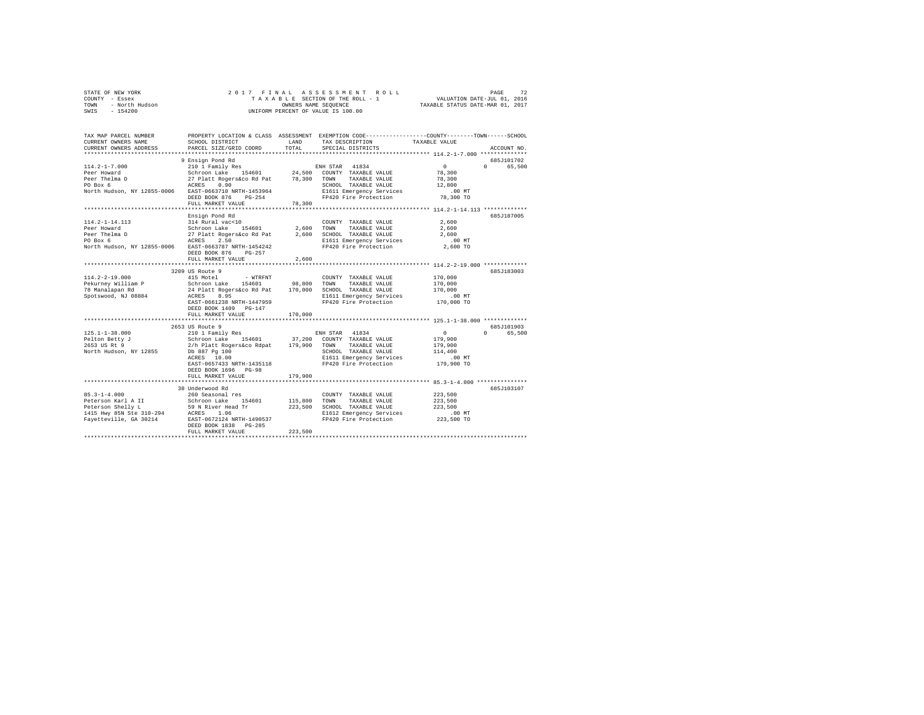|                | STATE OF NEW YORK |                      |  |  |  |  |  |  | 2017 FINAL ASSESSMENT ROLL                                     | PAGE | 72 |
|----------------|-------------------|----------------------|--|--|--|--|--|--|----------------------------------------------------------------|------|----|
| COUNTY - Essex |                   |                      |  |  |  |  |  |  | VALUATION DATE-JUL 01, 2016<br>TAXABLE SECTION OF THE ROLL - 1 |      |    |
| TOWN           | - North Hudson    | OWNERS NAME SEOUENCE |  |  |  |  |  |  | TAXABLE STATUS DATE-MAR 01, 2017                               |      |    |
| SWIS           | $-154200$         |                      |  |  |  |  |  |  | UNIFORM PERCENT OF VALUE IS 100.00                             |      |    |

| TAX MAP PARCEL NUMBER<br>CURRENT OWNERS NAME<br>CURRENT OWNERS ADDRESS                                                                                                                               | SCHOOL DISTRICT<br>PARCEL SIZE/GRID COORD          | LAND<br>TOTAL | TAX DESCRIPTION<br>SPECIAL DISTRICTS              | PROPERTY LOCATION & CLASS ASSESSMENT EXEMPTION CODE---------------COUNTY-------TOWN-----SCHOOL<br>TAXABLE VALUE<br>ACCOUNT NO. |
|------------------------------------------------------------------------------------------------------------------------------------------------------------------------------------------------------|----------------------------------------------------|---------------|---------------------------------------------------|--------------------------------------------------------------------------------------------------------------------------------|
|                                                                                                                                                                                                      |                                                    |               |                                                   |                                                                                                                                |
|                                                                                                                                                                                                      | 9 Ensign Pond Rd                                   |               |                                                   | 685J101702                                                                                                                     |
| $114.2 - 1 - 7.000$                                                                                                                                                                                  |                                                    |               |                                                   | $\sim$ 0<br>0 65,500                                                                                                           |
| Peer Howard                                                                                                                                                                                          |                                                    |               |                                                   | 78,300                                                                                                                         |
| Peer Thelma D                                                                                                                                                                                        |                                                    |               |                                                   | 78,300                                                                                                                         |
| PO Box 6                                                                                                                                                                                             |                                                    |               | SCHOOL TAXABLE VALUE                              | 12,800                                                                                                                         |
| North Hudson, NY 12855-0006 EAST-0663710 NRTH-1453964                                                                                                                                                |                                                    |               | E1611 Emergency Services                          | $.00$ MT                                                                                                                       |
|                                                                                                                                                                                                      | PG-254<br>DEED BOOK 876                            |               | FP420 Fire Protection                             | 78,300 TO                                                                                                                      |
|                                                                                                                                                                                                      | FULL MARKET VALUE                                  | 78,300        |                                                   |                                                                                                                                |
|                                                                                                                                                                                                      |                                                    |               |                                                   | 685.T187005                                                                                                                    |
| 114.2-1-14.113                                                                                                                                                                                       | Ensign Pond Rd                                     |               |                                                   | 2,600                                                                                                                          |
| Peer Howard                                                                                                                                                                                          | 314 Rural vac<10<br>Schroon Lake 154601 2,600 TOWN |               | COUNTY TAXABLE VALUE<br>TAXABLE VALUE             |                                                                                                                                |
|                                                                                                                                                                                                      |                                                    |               |                                                   | 2,600                                                                                                                          |
| Peer Thelma D                                                                                                                                                                                        |                                                    |               |                                                   | 2,600                                                                                                                          |
| PO Box 6                                                                                                                                                                                             |                                                    |               | FP420 Fire Protection                             | .00 MT<br>2,600 TO                                                                                                             |
| North Hudson, NY 12855-0006 EAST-0663787 NRTH-1454242                                                                                                                                                | DEED BOOK 876<br>$PG-257$                          |               |                                                   |                                                                                                                                |
|                                                                                                                                                                                                      | FULL MARKET VALUE                                  | 2,600         |                                                   |                                                                                                                                |
|                                                                                                                                                                                                      |                                                    |               |                                                   |                                                                                                                                |
|                                                                                                                                                                                                      | 3209 US Route 9                                    |               |                                                   | 685J183003                                                                                                                     |
| $114.2 - 2 - 19.000$                                                                                                                                                                                 | 415 Motel<br>- WTRFNT                              |               | COUNTY TAXABLE VALUE                              | 170,000                                                                                                                        |
|                                                                                                                                                                                                      |                                                    |               | TAXABLE VALUE                                     | 170,000                                                                                                                        |
|                                                                                                                                                                                                      |                                                    |               | SCHOOL TAXABLE VALUE                              | 170,000                                                                                                                        |
| Spotswood, NJ 08884                                                                                                                                                                                  | ACRES<br>8.95                                      |               |                                                   | $.00$ MT                                                                                                                       |
|                                                                                                                                                                                                      | EAST-0661238 NRTH-1447959                          |               | E1611 Emergency Services<br>FP420 Fire Protection | 170,000 TO                                                                                                                     |
|                                                                                                                                                                                                      | DEED BOOK 1409 PG-147                              |               |                                                   |                                                                                                                                |
|                                                                                                                                                                                                      | FULL MARKET VALUE                                  | 170,000       |                                                   |                                                                                                                                |
|                                                                                                                                                                                                      |                                                    |               |                                                   |                                                                                                                                |
|                                                                                                                                                                                                      | 2653 US Route 9                                    |               |                                                   | 685J101903                                                                                                                     |
| $125.1 - 1 - 38.000$                                                                                                                                                                                 | 210 1 Family Res                                   |               | ENH STAR 41834                                    | $\Omega$ and $\Omega$<br>$\sim$ 0<br>65,500                                                                                    |
|                                                                                                                                                                                                      |                                                    |               |                                                   | 179,900                                                                                                                        |
|                                                                                                                                                                                                      |                                                    |               |                                                   | 179,900                                                                                                                        |
| North Hudson, NY 12855 Db 887 Pq 100                                                                                                                                                                 |                                                    |               | SCHOOL TAXABLE VALUE                              | 114,400                                                                                                                        |
|                                                                                                                                                                                                      | ACRES 10.00                                        |               | E1611 Emergency Services                          | .00MT                                                                                                                          |
|                                                                                                                                                                                                      | EAST-0657433 NRTH-1435118                          |               | FP420 Fire Protection                             | 179,900 TO                                                                                                                     |
|                                                                                                                                                                                                      | DEED BOOK 1696 PG-98                               |               |                                                   |                                                                                                                                |
|                                                                                                                                                                                                      | FULL MARKET VALUE<br>***************************   | 179,900       |                                                   |                                                                                                                                |
|                                                                                                                                                                                                      | 30 Underwood Rd                                    |               |                                                   | 685J103107                                                                                                                     |
|                                                                                                                                                                                                      |                                                    |               | COUNTY TAXABLE VALUE                              | 223,500                                                                                                                        |
|                                                                                                                                                                                                      |                                                    | 115,800       | TOWN<br>TAXABLE VALUE                             | 223,500                                                                                                                        |
|                                                                                                                                                                                                      |                                                    | 223,500       | SCHOOL TAXABLE VALUE                              | 223,500                                                                                                                        |
|                                                                                                                                                                                                      |                                                    |               | E1612 Emergency Services                          | $.00$ MT                                                                                                                       |
| 85.3-1-4.000<br>Peterson Karl A II School Lake 154601<br>Peterson Shelly L<br>1415 Hwy 85N Style Read Tr<br>1415 Hwy 85N Steel 100 24 ACRES 1.06<br>Fayetteville, GA 30214 EAST-0672124 NRTH-1490537 |                                                    |               | FP420 Fire Protection                             | 223,500 TO                                                                                                                     |
|                                                                                                                                                                                                      | DEED BOOK 1838<br>$PG-285$                         |               |                                                   |                                                                                                                                |
|                                                                                                                                                                                                      | FULL MARKET VALUE                                  | 223,500       |                                                   |                                                                                                                                |
|                                                                                                                                                                                                      |                                                    |               |                                                   |                                                                                                                                |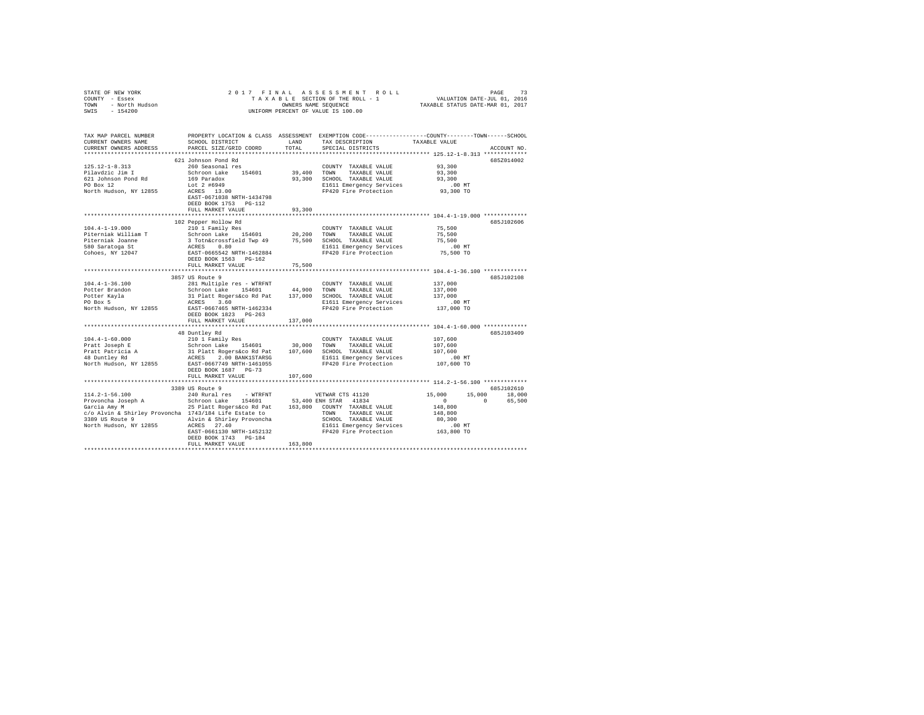| STATE OF NEW YORK<br>COUNTY - Essex<br>- North Hudson<br>TOWN<br>SWIS - 154200                                                    |                                                                                                         |               | 2017 FINAL ASSESSMENT ROLL<br>TAXABLE SECTION OF THE ROLL - 1 VALUATION DATE-JUL 01, 2016<br>OWNERS NAME SEOUENCE<br>UNIFORM PERCENT OF VALUE IS 100.00 | TAXABLE STATUS DATE-MAR 01, 2017                   | PAGE<br>73    |
|-----------------------------------------------------------------------------------------------------------------------------------|---------------------------------------------------------------------------------------------------------|---------------|---------------------------------------------------------------------------------------------------------------------------------------------------------|----------------------------------------------------|---------------|
| TAX MAP PARCEL NUMBER<br>CURRENT OWNERS NAME<br>CURRENT OWNERS ADDRESS                                                            | SCHOOL DISTRICT<br>PARCEL SIZE/GRID COORD                                                               | LAND<br>TOTAL | PROPERTY LOCATION & CLASS ASSESSMENT EXEMPTION CODE----------------COUNTY-------TOWN------SCHOOL<br>TAX DESCRIPTION TAXABLE VALUE<br>SPECIAL DISTRICTS  |                                                    | ACCOUNT NO.   |
|                                                                                                                                   |                                                                                                         |               |                                                                                                                                                         |                                                    |               |
|                                                                                                                                   | 621 Johnson Pond Rd                                                                                     |               |                                                                                                                                                         |                                                    | 685Z014002    |
| $125.12 - 1 - 8.313$                                                                                                              | 260 Seasonal res                                                                                        |               | COUNTY TAXABLE VALUE                                                                                                                                    | 93,300                                             |               |
| Pilavdzic Jim I                                                                                                                   | Schroon Lake 154601                                                                                     | 39,400 TOWN   | TAXABLE VALUE                                                                                                                                           | 93,300                                             |               |
| 621 Johnson Pond Rd<br>PO Box 12                                                                                                  | 169 Paradox                                                                                             |               | 93,300 SCHOOL TAXABLE VALUE                                                                                                                             | 93,300                                             |               |
|                                                                                                                                   | Lot 2 #6949<br>ACRES 13.00                                                                              |               | E1611 Emergency Services                                                                                                                                | $.00$ MT                                           |               |
| North Hudson, NY 12855                                                                                                            | EAST-0671038 NRTH-1434798<br>DEED BOOK 1753 PG-112                                                      |               | FP420 Fire Protection                                                                                                                                   | 93,300 TO                                          |               |
|                                                                                                                                   | FULL MARKET VALUE                                                                                       | 93,300        |                                                                                                                                                         |                                                    |               |
|                                                                                                                                   |                                                                                                         |               | *********************************** 104.4-1-19.000 *************                                                                                        |                                                    |               |
| $104.4 - 1 - 19.000$                                                                                                              | 102 Pepper Hollow Rd<br>210 1 Family Res                                                                |               | COUNTY TAXABLE VALUE                                                                                                                                    | 75,500                                             | 685J102606    |
| Piterniak William T                                                                                                               |                                                                                                         |               |                                                                                                                                                         | 75,500                                             |               |
| Piterniak Joanne                                                                                                                  | Schroon Lake 154601 20,200 TOWN TAXABLE VALUE<br>3 Totn&crossfield Twp 49 75,500 SCHOOL TAXABLE VALUE   |               |                                                                                                                                                         | 75,500                                             |               |
| 580 Saratoga St                                                                                                                   | ACRES 0.80                                                                                              |               | E1611 Emergency Services                                                                                                                                | .00MT                                              |               |
| Cohoes, NY 12047                                                                                                                  | EAST-0665542 NRTH-1462884                                                                               |               | FP420 Fire Protection                                                                                                                                   | 75,500 TO                                          |               |
|                                                                                                                                   | DEED BOOK 1563 PG-162                                                                                   |               |                                                                                                                                                         |                                                    |               |
|                                                                                                                                   | FULL MARKET VALUE                                                                                       | 75,500        |                                                                                                                                                         |                                                    |               |
|                                                                                                                                   |                                                                                                         |               |                                                                                                                                                         |                                                    |               |
|                                                                                                                                   | 3857 US Route 9                                                                                         |               |                                                                                                                                                         |                                                    | 685J102108    |
| $104.4 - 1 - 36.100$                                                                                                              | 281 Multiple res - WTRFNT COUNT<br>Schroon Lake 154601 44,900 TOWN                                      |               | COUNTY TAXABLE VALUE                                                                                                                                    | 137,000                                            |               |
| Potter Brandon                                                                                                                    |                                                                                                         |               | TAXABLE VALUE                                                                                                                                           | 137,000                                            |               |
| Potter Kayla<br>PO Box 5                                                                                                          | 31 Platt Rogers&co Rd Pat 137,000 SCHOOL TAXABLE VALUE                                                  |               |                                                                                                                                                         | 137,000                                            |               |
|                                                                                                                                   | ACRES 3.60                                                                                              |               | E1611 Emergency Services                                                                                                                                | $.00$ MT                                           |               |
| North Hudson, NY 12855                                                                                                            | EAST-0667465 NRTH-1462334                                                                               |               | FP420 Fire Protection                                                                                                                                   | 137,000 TO                                         |               |
|                                                                                                                                   | DEED BOOK 1823 PG-263<br>FULL MARKET VALUE                                                              | 137,000       |                                                                                                                                                         |                                                    |               |
|                                                                                                                                   |                                                                                                         |               |                                                                                                                                                         |                                                    |               |
|                                                                                                                                   | 48 Duntley Rd                                                                                           |               |                                                                                                                                                         |                                                    | 685J103409    |
| $104.4 - 1 - 60.000$                                                                                                              | 210 1 Family Res                                                                                        |               | COUNTY TAXABLE VALUE                                                                                                                                    | 107,600                                            |               |
| Pratt Joseph E                                                                                                                    |                                                                                                         |               |                                                                                                                                                         | 107,600                                            |               |
| Pratt Patricia A<br>48 Duntley Rd                                                                                                 | Schroon Lake 154601 30,000 TOWN TAXABLE VALUE<br>31 Platt Rogers&co Rd Pat 107,600 SCHOOL TAXABLE VALUE |               |                                                                                                                                                         | 107,600                                            |               |
|                                                                                                                                   | ACRES 2.00 BANK1STARSG E1611 Emergency Services                                                         |               |                                                                                                                                                         | .00MT                                              |               |
| North Hudson, NY 12855                                                                                                            | EAST-0667749 NRTH-1461055                                                                               |               | FP420 Fire Protection                                                                                                                                   | 107,600 TO                                         |               |
|                                                                                                                                   | DEED BOOK 1687 PG-73                                                                                    |               |                                                                                                                                                         |                                                    |               |
|                                                                                                                                   | FULL MARKET VALUE                                                                                       | 107,600       |                                                                                                                                                         |                                                    |               |
|                                                                                                                                   | 3389 US Route 9                                                                                         |               |                                                                                                                                                         |                                                    | 685J102610    |
|                                                                                                                                   |                                                                                                         |               |                                                                                                                                                         | 15,000                                             | 15,000 18,000 |
|                                                                                                                                   |                                                                                                         |               |                                                                                                                                                         | $\begin{array}{ccccccc}\n0 & & & & 0\n\end{array}$ | 65,500        |
|                                                                                                                                   |                                                                                                         |               |                                                                                                                                                         | 148,800                                            |               |
|                                                                                                                                   |                                                                                                         |               |                                                                                                                                                         | 148,800                                            |               |
| of the shirley Provoncha 1743/184 Life Estate to TOWN TAXABLE VALUE<br>3389 US Route 9 1143/184 Life Estate to TOWN TAXABLE VALUE |                                                                                                         |               | SCHOOL TAXABLE VALUE                                                                                                                                    | 80,300                                             |               |
| North Hudson, NY 12855 ACRES 27.40                                                                                                |                                                                                                         |               | E1611 Emergency Services                                                                                                                                | $.00$ MT                                           |               |
|                                                                                                                                   | EAST-0661130 NRTH-1452132                                                                               |               | FP420 Fire Protection                                                                                                                                   | 163,800 TO                                         |               |
|                                                                                                                                   | DEED BOOK 1743 PG-184                                                                                   |               |                                                                                                                                                         |                                                    |               |
|                                                                                                                                   | FULL MARKET VALUE                                                                                       | 163,800       |                                                                                                                                                         |                                                    |               |
|                                                                                                                                   |                                                                                                         |               |                                                                                                                                                         |                                                    |               |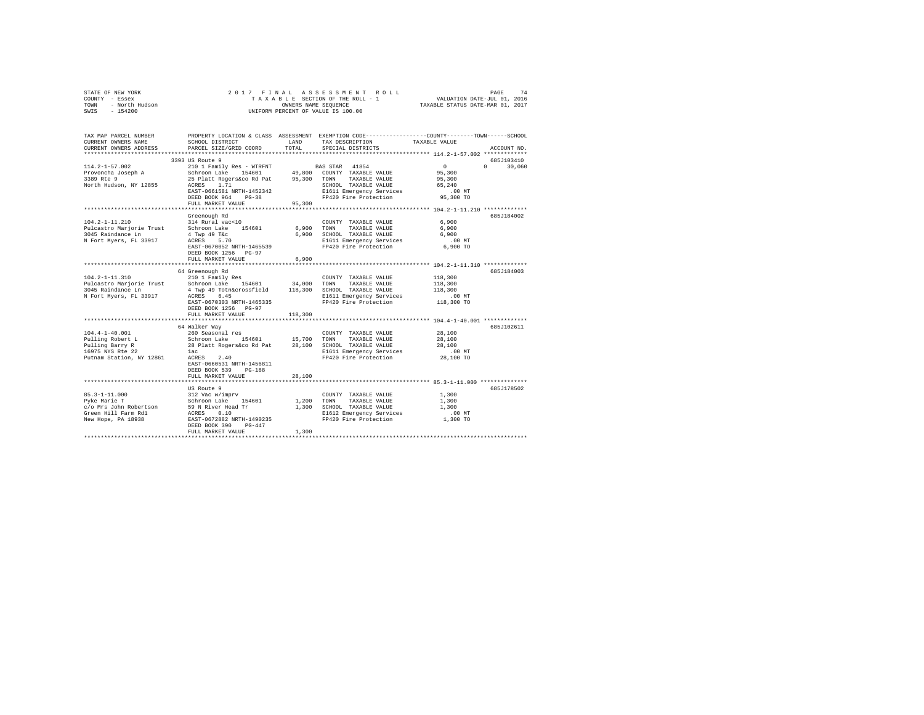| STATE OF NEW YORK<br>COUNTY - Essex<br>- North Hudson<br>TOWN<br>SWIS<br>$-154200$ | 2017 FINAL                                       | OWNERS NAME SEQUENCE | ASSESSMENT ROLL<br>TAXABLE SECTION OF THE ROLL - 1<br>UNIFORM PERCENT OF VALUE IS 100.00                                               | VALUATION DATE-JUL 01, 2016<br>TAXABLE STATUS DATE-MAR 01, 2017 | 74<br>PAGE  |
|------------------------------------------------------------------------------------|--------------------------------------------------|----------------------|----------------------------------------------------------------------------------------------------------------------------------------|-----------------------------------------------------------------|-------------|
| TAX MAP PARCEL NUMBER<br>CURRENT OWNERS NAME<br>CURRENT OWNERS ADDRESS             | SCHOOL DISTRICT<br>PARCEL SIZE/GRID COORD        | LAND<br>TOTAL        | PROPERTY LOCATION & CLASS ASSESSMENT EXEMPTION CODE---------------COUNTY-------TOWN-----SCHOOL<br>TAX DESCRIPTION<br>SPECIAL DISTRICTS | TAXABLE VALUE                                                   | ACCOUNT NO. |
|                                                                                    | 3393 US Route 9                                  |                      |                                                                                                                                        |                                                                 | 685J103410  |
| $114.2 - 1 - 57.002$                                                               | 210 1 Family Res - WTRFNT                        |                      | 41854<br>BAS STAR                                                                                                                      | $\overline{0}$<br>$\Omega$                                      | 30,060      |
| Provoncha Joseph A                                                                 | Schroon Lake 154601                              |                      | 49,800 COUNTY TAXABLE VALUE                                                                                                            | 95,300                                                          |             |
| 3389 Rte 9                                                                         | 25 Platt Rogers&co Rd Pat                        | 95,300               | TOWN<br>TAXABLE VALUE                                                                                                                  | 95,300                                                          |             |
| North Hudson, NY 12855                                                             | 1.71<br>ACRES                                    |                      | SCHOOL TAXABLE VALUE                                                                                                                   | 65,240                                                          |             |
|                                                                                    | EAST-0661581 NRTH-1452342<br>DEED BOOK 964 PG-38 |                      | E1611 Emergency Services<br>FP420 Fire Protection                                                                                      | .00MT<br>95,300 TO                                              |             |
|                                                                                    | FULL MARKET VALUE                                | 95,300               |                                                                                                                                        |                                                                 |             |
|                                                                                    | *********************                            |                      |                                                                                                                                        |                                                                 |             |
|                                                                                    | Greenough Rd                                     |                      |                                                                                                                                        |                                                                 | 685J184002  |
| $104.2 - 1 - 11.210$                                                               | 314 Rural vac<10                                 |                      | COUNTY TAXABLE VALUE                                                                                                                   | 6,900                                                           |             |
| Pulcastro Marjorie Trust                                                           | Schroon Lake<br>154601                           | 6,900                | TOWN<br>TAXABLE VALUE                                                                                                                  | 6,900                                                           |             |
| 3045 Raindance Ln                                                                  | 4 Twp 49 T&c<br>ACRES<br>5.70                    | 6,900                | SCHOOL TAXABLE VALUE                                                                                                                   | 6,900                                                           |             |
| N Fort Myers, FL 33917                                                             | EAST-0670052 NRTH-1465539                        |                      | E1611 Emergency Services<br>FP420 Fire Protection                                                                                      | .00 MT<br>6,900 TO                                              |             |
|                                                                                    | DEED BOOK 1256 PG-97                             |                      |                                                                                                                                        |                                                                 |             |
|                                                                                    | FULL MARKET VALUE                                | 6,900                |                                                                                                                                        |                                                                 |             |
|                                                                                    | ****************************                     |                      |                                                                                                                                        |                                                                 |             |
|                                                                                    | 64 Greenough Rd                                  |                      |                                                                                                                                        |                                                                 | 685.T184003 |
| 104.2-1-11.310                                                                     | 210 1 Family Res                                 |                      | COUNTY TAXABLE VALUE                                                                                                                   | 118,300                                                         |             |
| Pulcastro Marjorie Trust                                                           | Schroon Lake 154601                              | 34,000               | TAXABLE VALUE<br>TOWN                                                                                                                  | 118,300                                                         |             |
| 3045 Raindance Ln                                                                  | 4 Twp 49 Totn&crossfield                         | 118,300              | SCHOOL TAXABLE VALUE                                                                                                                   | 118,300                                                         |             |
| N Fort Myers, FL 33917                                                             | ACRES 6.45<br>EAST-0670303 NRTH-1465335          |                      | E1611 Emergency Services<br>FP420 Fire Protection                                                                                      | $.00$ MT<br>118,300 TO                                          |             |
|                                                                                    | DEED BOOK 1256 PG-97                             |                      |                                                                                                                                        |                                                                 |             |
|                                                                                    | FULL MARKET VALUE                                | 118,300              |                                                                                                                                        |                                                                 |             |
|                                                                                    |                                                  |                      |                                                                                                                                        | ********* 104.4-1-40.001 *************                          |             |
|                                                                                    | 64 Walker Way                                    |                      |                                                                                                                                        |                                                                 | 685J102611  |
| $104.4 - 1 - 40.001$                                                               | 260 Seasonal res                                 |                      | COUNTY TAXABLE VALUE                                                                                                                   | 28,100                                                          |             |
| Pulling Robert L                                                                   | Schroon Lake 154601                              | 15,700               | TOWN<br>TAXABLE VALUE                                                                                                                  | 28,100                                                          |             |
| Pulling Barry R                                                                    | 28 Platt Rogers&co Rd Pat                        | 28,100               | SCHOOL TAXABLE VALUE                                                                                                                   | 28,100                                                          |             |
| 16975 NYS Rte 22<br>Putnam Station, NY 12861                                       | lac<br>ACRES<br>2.40                             |                      | E1611 Emergency Services<br>FP420 Fire Protection                                                                                      | $.00$ MT<br>28,100 TO                                           |             |
|                                                                                    | EAST-0660531 NRTH-1456811                        |                      |                                                                                                                                        |                                                                 |             |
|                                                                                    | DEED BOOK 539<br>$PG-188$                        |                      |                                                                                                                                        |                                                                 |             |
|                                                                                    | FULL MARKET VALUE                                | 28,100               |                                                                                                                                        |                                                                 |             |
|                                                                                    |                                                  |                      |                                                                                                                                        |                                                                 |             |
|                                                                                    | US Route 9                                       |                      |                                                                                                                                        |                                                                 | 685J178502  |
| $85.3 - 1 - 11.000$                                                                | 312 Vac w/imprv                                  |                      | COUNTY TAXABLE VALUE                                                                                                                   | 1,300                                                           |             |
| Pyke Marie T                                                                       | Schroon Lake<br>154601                           | 1,200                | TOWN<br>TAXABLE VALUE                                                                                                                  | 1,300                                                           |             |
| c/o Mrs John Robertson<br>Green Hill Farm Rd1                                      | 59 N River Head Tr<br>ACRES 0.10                 | 1,300                | SCHOOL TAXABLE VALUE                                                                                                                   | 1,300<br>.00 MT                                                 |             |
| New Hope, PA 18938                                                                 | EAST-0672882 NRTH-1490235                        |                      | E1612 Emergency Services<br>FP420 Fire Protection                                                                                      | 1,300 TO                                                        |             |
|                                                                                    | DEED BOOK 390<br>$PG-447$                        |                      |                                                                                                                                        |                                                                 |             |
|                                                                                    | FULL MARKET VALUE                                | 1,300                |                                                                                                                                        |                                                                 |             |
|                                                                                    |                                                  |                      |                                                                                                                                        |                                                                 |             |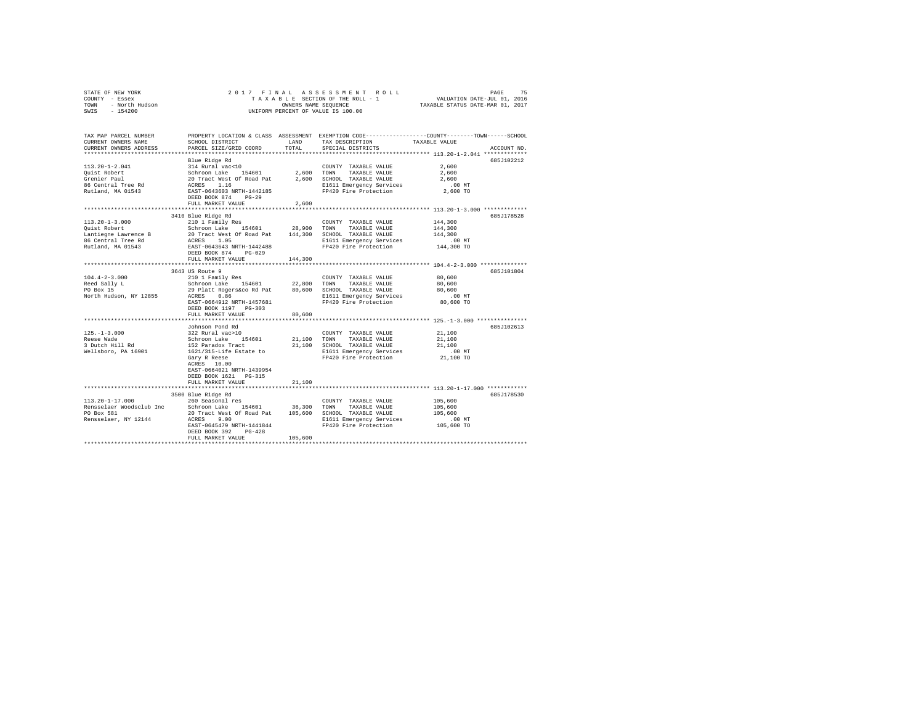|      | STATE OF NEW YORK | 2017 FINAL ASSESSMENT ROLL         | 75<br>PAGE                       |
|------|-------------------|------------------------------------|----------------------------------|
|      | COUNTY - Essex    | TAXABLE SECTION OF THE ROLL - 1    | VALUATION DATE-JUL 01, 2016      |
| TOWN | - North Hudson    | OWNERS NAME SEOUENCE               | TAXABLE STATUS DATE-MAR 01, 2017 |
| SWIS | $-154200$         | UNIFORM PERCENT OF VALUE IS 100.00 |                                  |

| TAX MAP PARCEL NUMBER<br>CURRENT OWNERS NAME<br>CURRENT OWNERS ADDRESS | SCHOOL DISTRICT<br>PARCEL SIZE/GRID COORD                                                   | LAND<br>TOTAL | TAX DESCRIPTION<br>SPECIAL DISTRICTS              | PROPERTY LOCATION & CLASS ASSESSMENT EXEMPTION CODE---------------COUNTY-------TOWN------SCHOOL<br>TAXABLE VALUE<br>ACCOUNT NO. |
|------------------------------------------------------------------------|---------------------------------------------------------------------------------------------|---------------|---------------------------------------------------|---------------------------------------------------------------------------------------------------------------------------------|
|                                                                        |                                                                                             |               |                                                   |                                                                                                                                 |
|                                                                        | Blue Ridge Rd                                                                               |               |                                                   | 685J102212                                                                                                                      |
| 113.20-1-2.041                                                         | 314 Rural vac<10                                                                            |               | COUNTY TAXABLE VALUE                              | 2,600                                                                                                                           |
| Ouist Robert                                                           |                                                                                             | 2,600 TOWN    | TAXABLE VALUE                                     | 2,600                                                                                                                           |
| Grenier Paul                                                           | Schroon Lake 154601<br>20 Tract West Of Road Pat<br>ACRES 1.16                              |               | 2,600 SCHOOL TAXABLE VALUE                        | 2,600                                                                                                                           |
| 86 Central Tree Rd                                                     |                                                                                             |               | E1611 Emergency Services                          | $.00$ MT                                                                                                                        |
| Rutland, MA 01543                                                      | EAST-0643603 NRTH-1442185                                                                   |               | FP420 Fire Protection                             | 2,600 TO                                                                                                                        |
|                                                                        | DEED BOOK 874 PG-29                                                                         |               |                                                   |                                                                                                                                 |
|                                                                        | FULL MARKET VALUE                                                                           | 2,600         |                                                   |                                                                                                                                 |
|                                                                        |                                                                                             |               |                                                   |                                                                                                                                 |
|                                                                        | 3410 Blue Ridge Rd                                                                          |               |                                                   | 685J178528                                                                                                                      |
| $113.20 - 1 - 3.000$                                                   | 210 1 Family Res                                                                            |               | COUNTY TAXABLE VALUE                              | 144,300                                                                                                                         |
| Ouist Robert                                                           | Schroon Lake 154601                                                                         | 28,900 TOWN   | TAXABLE VALUE                                     | 144,300                                                                                                                         |
| Lantiegne Lawrence B                                                   |                                                                                             | 144,300       | SCHOOL TAXABLE VALUE                              | 144,300                                                                                                                         |
| 86 Central Tree Rd                                                     | SCHEOON LAKE 194601<br>20 Tract West Of Road Pat<br>ACRES 1.05<br>EAST-0643643 NRTH-1442488 |               | E1611 Emergency Services                          | .00 MT                                                                                                                          |
| Rutland, MA 01543                                                      |                                                                                             |               | FP420 Fire Protection                             | 144,300 TO                                                                                                                      |
|                                                                        | DEED BOOK 874<br>$PG-029$                                                                   |               |                                                   |                                                                                                                                 |
|                                                                        | FULL MARKET VALUE                                                                           | 144,300       |                                                   |                                                                                                                                 |
|                                                                        |                                                                                             |               |                                                   |                                                                                                                                 |
|                                                                        | 3643 US Route 9                                                                             |               |                                                   | 685J101804                                                                                                                      |
| $104.4 - 2 - 3.000$                                                    | 210 1 Family Res                                                                            |               | COUNTY TAXABLE VALUE                              | 80,600                                                                                                                          |
| Reed Sally L                                                           | Schroon Lake 154601 22,800<br>29 Platt Rogers&co Rd Pat 80,600                              |               | TOWN<br>TAXABLE VALUE                             | 80,600                                                                                                                          |
| PO Box 15                                                              |                                                                                             |               | 80,600 SCHOOL TAXABLE VALUE                       | 80,600                                                                                                                          |
| North Hudson, NY 12855                                                 | ACRES<br>0.86                                                                               |               | E1611 Emergency Services                          | $.00$ MT                                                                                                                        |
|                                                                        | EAST-0664912 NRTH-1457681                                                                   |               | FP420 Fire Protection                             | 80,600 TO                                                                                                                       |
|                                                                        | DEED BOOK 1197 PG-303                                                                       |               |                                                   |                                                                                                                                 |
|                                                                        | FULL MARKET VALUE                                                                           | 80,600        |                                                   |                                                                                                                                 |
|                                                                        |                                                                                             |               |                                                   |                                                                                                                                 |
|                                                                        | Johnson Pond Rd                                                                             |               |                                                   | 685J102613                                                                                                                      |
| $125. - 1 - 3.000$                                                     | 322 Rural vac>10                                                                            |               | COUNTY TAXABLE VALUE                              | 21,100                                                                                                                          |
| Reese Wade                                                             | Schroon Lake 154601<br>152 Paradox Tract                                                    | 21,100 TOWN   | TAXABLE VALUE                                     | 21,100                                                                                                                          |
| 3 Dutch Hill Rd                                                        | 1621/315-Life Estate to                                                                     |               | 21,100 SCHOOL TAXABLE VALUE                       | 21,100                                                                                                                          |
| Wellsboro, PA 16901                                                    |                                                                                             |               | E1611 Emergency Services<br>FP420 Fire Protection | $.00$ MT                                                                                                                        |
|                                                                        | Gary R Reese<br>ACRES 10.00                                                                 |               |                                                   | 21,100 TO                                                                                                                       |
|                                                                        | EAST-0664021 NRTH-1439954                                                                   |               |                                                   |                                                                                                                                 |
|                                                                        | DEED BOOK 1621 PG-315                                                                       |               |                                                   |                                                                                                                                 |
|                                                                        | FULL MARKET VALUE                                                                           | 21,100        |                                                   |                                                                                                                                 |
|                                                                        |                                                                                             |               |                                                   |                                                                                                                                 |
|                                                                        | 3500 Blue Ridge Rd                                                                          |               |                                                   | 685J178530                                                                                                                      |
| $113.20 - 1 - 17.000$                                                  | 260 Seasonal res                                                                            |               | COUNTY TAXABLE VALUE                              | 105,600                                                                                                                         |
| Rensselaer Woodsclub Inc Schroon Lake 154601 36,300 TOWN               |                                                                                             |               | TAXABLE VALUE                                     | 105,600                                                                                                                         |
| PO Box 581                                                             | 20 Tract West Of Road Pat 105,600 SCHOOL TAXABLE VALUE                                      |               |                                                   | 105,600                                                                                                                         |
| Rensselaer, NY 12144                                                   | ACRES<br>9.00                                                                               |               | E1611 Emergency Services                          | .00MT                                                                                                                           |
|                                                                        | EAST-0645479 NRTH-1441844                                                                   |               | FP420 Fire Protection                             | 105,600 TO                                                                                                                      |
|                                                                        | DEED BOOK 392<br>$PG-428$                                                                   |               |                                                   |                                                                                                                                 |
|                                                                        | FULL MARKET VALUE                                                                           | 105,600       |                                                   |                                                                                                                                 |
|                                                                        |                                                                                             |               |                                                   |                                                                                                                                 |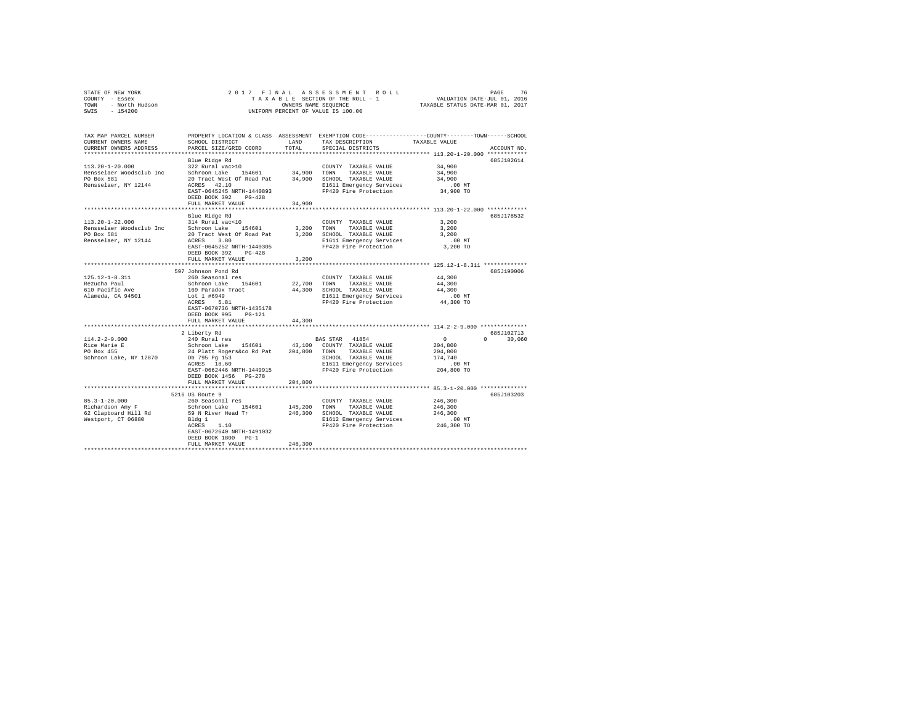| STATE OF NEW YORK<br>COUNTY - Essex<br>TOWN - North Hudson<br>SWIS - 154200 | 2017 FINAL                                           |             |                                                       | PAGE 76 PENALAS SES SMENTROLL<br>TAXABLE SECTION OF THE ROLL - 1 VALUATION DATE-JUL 01, 2016<br>OWNERS NAME SEQUENCE TRAXABLE STATUS DATE-MAR 01, 2017 |  |
|-----------------------------------------------------------------------------|------------------------------------------------------|-------------|-------------------------------------------------------|--------------------------------------------------------------------------------------------------------------------------------------------------------|--|
|                                                                             |                                                      |             |                                                       |                                                                                                                                                        |  |
|                                                                             | OWNERS NAME SEQUENCE                                 |             |                                                       |                                                                                                                                                        |  |
|                                                                             |                                                      |             | UNIFORM PERCENT OF VALUE IS 100.00                    |                                                                                                                                                        |  |
|                                                                             |                                                      |             |                                                       |                                                                                                                                                        |  |
|                                                                             |                                                      |             |                                                       |                                                                                                                                                        |  |
|                                                                             |                                                      |             |                                                       |                                                                                                                                                        |  |
| TAX MAP PARCEL NUMBER                                                       |                                                      |             |                                                       | PROPERTY LOCATION & CLASS ASSESSMENT EXEMPTION CODE---------------COUNTY-------TOWN------SCHOOL                                                        |  |
| CURRENT OWNERS NAME                                                         | SCHOOL DISTRICT                                      | LAND        | TAX DESCRIPTION                                       | TAXABLE VALUE                                                                                                                                          |  |
| CURRENT OWNERS ADDRESS                                                      | PARCEL SIZE/GRID COORD                               | TOTAL       | SPECIAL DISTRICTS                                     | ACCOUNT NO.                                                                                                                                            |  |
|                                                                             |                                                      |             |                                                       |                                                                                                                                                        |  |
|                                                                             | Blue Ridge Rd                                        |             |                                                       | 685J102614                                                                                                                                             |  |
| $113.20 - 1 - 20.000$                                                       | 322 Rural vac>10                                     |             | COUNTY TAXABLE VALUE                                  | 34,900                                                                                                                                                 |  |
| Rensselaer Woodsclub Inc Schroon Lake 154601                                |                                                      | 34,900 TOWN | TAXABLE VALUE                                         | 34,900                                                                                                                                                 |  |
| PO Box 581                                                                  |                                                      |             | 20 Tract West Of Road Pat 34,900 SCHOOL TAXABLE VALUE | 34,900                                                                                                                                                 |  |
| Rensselaer, NY 12144                                                        | ACRES 42.10                                          |             | E1611 Emergency Services                              | $.00$ MT                                                                                                                                               |  |
|                                                                             | EAST-0645245 NRTH-1440893                            |             | FP420 Fire Protection                                 | 34,900 TO                                                                                                                                              |  |
|                                                                             | DEED BOOK 392 PG-428                                 |             |                                                       |                                                                                                                                                        |  |
|                                                                             |                                                      | 34,900      |                                                       |                                                                                                                                                        |  |
|                                                                             | FULL MARKET VALUE                                    |             |                                                       |                                                                                                                                                        |  |
|                                                                             |                                                      |             |                                                       |                                                                                                                                                        |  |
|                                                                             | Blue Ridge Rd                                        |             |                                                       | 685J178532                                                                                                                                             |  |
| $113.20 - 1 - 22.000$                                                       | 314 Rural vac<10                                     |             | COUNTY TAXABLE VALUE                                  | 3,200                                                                                                                                                  |  |
| Rensselaer Woodsclub Inc Schroon Lake 154601                                |                                                      | 3,200       | TOWN TAXABLE VALUE                                    | 3,200                                                                                                                                                  |  |
| PO Box 581                                                                  | 20 Tract West Of Road Pat                            |             | 3,200 SCHOOL TAXABLE VALUE                            | 3,200                                                                                                                                                  |  |
| Rensselaer, NY 12144                                                        | ACRES 3.80                                           |             | E1611 Emergency Services                              | $.00$ MT                                                                                                                                               |  |
|                                                                             | EAST-0645252 NRTH-1440305                            |             | FP420 Fire Protection                                 | 3,200 TO                                                                                                                                               |  |
|                                                                             | DEED BOOK 392 PG-428                                 |             |                                                       |                                                                                                                                                        |  |
|                                                                             | FULL MARKET VALUE                                    | 3,200       |                                                       |                                                                                                                                                        |  |
|                                                                             |                                                      |             |                                                       |                                                                                                                                                        |  |
|                                                                             | 597 Johnson Pond Rd                                  |             |                                                       | 685J190006                                                                                                                                             |  |
| $125.12 - 1 - 8.311$                                                        | 260 Seasonal res                                     |             |                                                       | 44,300                                                                                                                                                 |  |
|                                                                             |                                                      |             | COUNTY TAXABLE VALUE                                  |                                                                                                                                                        |  |
| Rezucha Paul                                                                | Schroon Lake 154601                                  | 22,700      | TOWN<br>TAXABLE VALUE                                 | 44,300                                                                                                                                                 |  |
| 610 Pacific Ave<br>alameda, CA 94501                                        | 169 Paradox Tract                                    |             | 44,300 SCHOOL TAXABLE VALUE                           | 44,300                                                                                                                                                 |  |
|                                                                             | Lot 1 #6949                                          |             | E1611 Emergency Services                              | .00MT                                                                                                                                                  |  |
|                                                                             | ACRES 5.81                                           |             | FP420 Fire Protection                                 | 44,300 TO                                                                                                                                              |  |
|                                                                             | EAST-0670736 NRTH-1435178                            |             |                                                       |                                                                                                                                                        |  |
|                                                                             | DEED BOOK 995 PG-121                                 |             |                                                       |                                                                                                                                                        |  |
|                                                                             | FULL MARKET VALUE                                    | 44,300      |                                                       |                                                                                                                                                        |  |
|                                                                             |                                                      |             |                                                       |                                                                                                                                                        |  |
|                                                                             | 2 Liberty Rd                                         |             |                                                       | 685J102713                                                                                                                                             |  |
| $114.2 - 2 - 9.000$                                                         | 240 Rural res                                        |             | BAS STAR 41854                                        | $\sim$ 0<br>$0 \t 30.060$                                                                                                                              |  |
|                                                                             | Schroon Lake 154601                                  |             | 43,100 COUNTY TAXABLE VALUE                           | 204,800                                                                                                                                                |  |
| Rice Marie E<br>PO Box 455                                                  |                                                      |             |                                                       | 204,800                                                                                                                                                |  |
|                                                                             | 24 Platt Rogers&co Rd Pat 204,800 TOWN TAXABLE VALUE |             |                                                       |                                                                                                                                                        |  |
| Schroon Lake, NY 12870                                                      | Db 795 Pg 153<br>ACRES 18.60                         |             | SCHOOL TAXABLE VALUE                                  | 174,740                                                                                                                                                |  |
|                                                                             |                                                      |             | E1611 Emergency Services                              | $.00$ MT                                                                                                                                               |  |
|                                                                             | EAST-0662446 NRTH-1449915                            |             | FP420 Fire Protection                                 | 204,800 TO                                                                                                                                             |  |
|                                                                             | DEED BOOK 1456 PG-278                                |             |                                                       |                                                                                                                                                        |  |
|                                                                             | FULL MARKET VALUE                                    | 204,800     |                                                       |                                                                                                                                                        |  |
|                                                                             |                                                      |             |                                                       |                                                                                                                                                        |  |
|                                                                             | 5216 US Route 9                                      |             |                                                       | 685J103203                                                                                                                                             |  |
| $85.3 - 1 - 20.000$                                                         | 260 Seasonal res                                     |             | COUNTY TAXABLE VALUE                                  | 246,300                                                                                                                                                |  |
| Richardson Amy F                                                            | Schroon Lake 154601                                  | 145,200     | TOWN<br>TAXABLE VALUE                                 | 246,300                                                                                                                                                |  |
| 62 Clapboard Hill Rd                                                        | 59 N River Head Tr                                   |             | 246,300 SCHOOL TAXABLE VALUE                          | 246,300                                                                                                                                                |  |
|                                                                             |                                                      |             |                                                       | .00 MT                                                                                                                                                 |  |
| Westport, CT 06880                                                          | Bldg 1                                               |             | E1612 Emergency Services                              |                                                                                                                                                        |  |
|                                                                             | ACRES 1.10                                           |             | FP420 Fire Protection                                 | 246,300 TO                                                                                                                                             |  |
|                                                                             | EAST-0672640 NRTH-1491032                            |             |                                                       |                                                                                                                                                        |  |
|                                                                             | DEED BOOK 1800 PG-1                                  |             |                                                       |                                                                                                                                                        |  |
|                                                                             | FULL MARKET VALUE                                    | 246,300     |                                                       |                                                                                                                                                        |  |
|                                                                             |                                                      |             |                                                       |                                                                                                                                                        |  |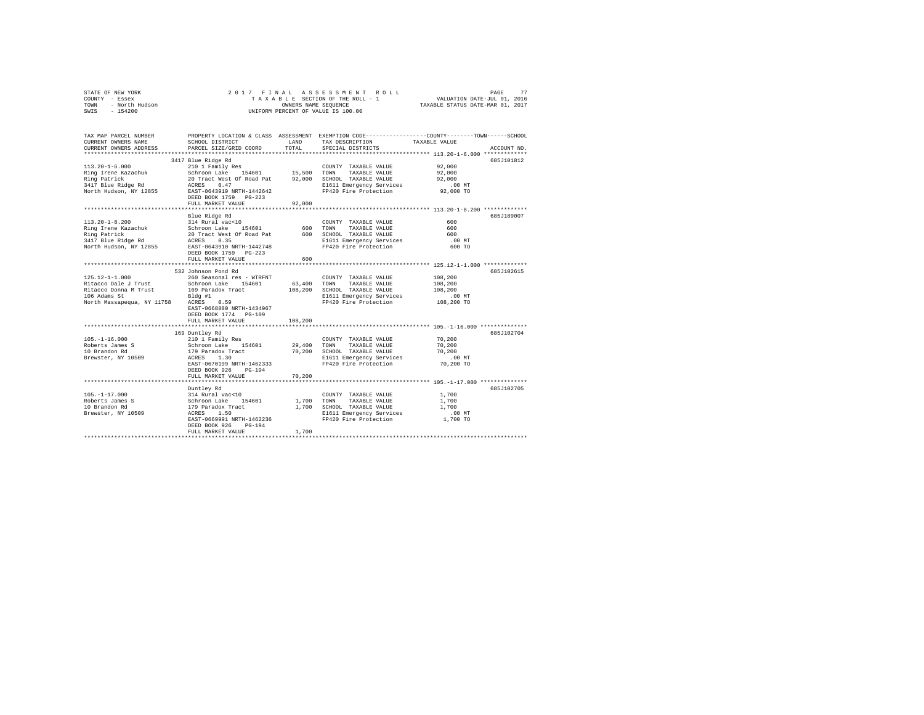| STATE OF NEW YORK                           | 2017 FINAL                                         |                      | ASSESSMENT ROLL                                   | PAGE                                                                                           | 77 |  |  |  |  |  |
|---------------------------------------------|----------------------------------------------------|----------------------|---------------------------------------------------|------------------------------------------------------------------------------------------------|----|--|--|--|--|--|
| COUNTY - Essex                              |                                                    |                      | TAXABLE SECTION OF THE ROLL - 1                   | VALUATION DATE-JUL 01, 2016                                                                    |    |  |  |  |  |  |
| - North Hudson<br>TOWN<br>SWIS<br>$-154200$ |                                                    | OWNERS NAME SEQUENCE |                                                   | TAXABLE STATUS DATE-MAR 01, 2017                                                               |    |  |  |  |  |  |
|                                             |                                                    |                      | UNIFORM PERCENT OF VALUE IS 100.00                |                                                                                                |    |  |  |  |  |  |
| TAX MAP PARCEL NUMBER                       |                                                    |                      |                                                   | PROPERTY LOCATION & CLASS ASSESSMENT EXEMPTION CODE---------------COUNTY-------TOWN-----SCHOOL |    |  |  |  |  |  |
| CURRENT OWNERS NAME                         | SCHOOL DISTRICT                                    | LAND                 | TAX DESCRIPTION                                   | TAXABLE VALUE                                                                                  |    |  |  |  |  |  |
| CURRENT OWNERS ADDRESS                      | PARCEL SIZE/GRID COORD                             | TOTAL                | SPECIAL DISTRICTS                                 | ACCOUNT NO.                                                                                    |    |  |  |  |  |  |
|                                             |                                                    |                      |                                                   |                                                                                                |    |  |  |  |  |  |
|                                             | 3417 Blue Ridge Rd                                 |                      |                                                   | 685J101812                                                                                     |    |  |  |  |  |  |
| $113.20 - 1 - 6.000$                        | 210 1 Family Res                                   |                      | COUNTY TAXABLE VALUE                              | 92,000                                                                                         |    |  |  |  |  |  |
| Ring Irene Kazachuk                         | Schroon Lake 154601                                | 15,500               | TOWN<br>TAXABLE VALUE                             | 92,000                                                                                         |    |  |  |  |  |  |
| Ring Patrick                                | 20 Tract West Of Road Pat                          | 92,000               | SCHOOL TAXABLE VALUE                              | 92,000                                                                                         |    |  |  |  |  |  |
| 3417 Blue Ridge Rd                          | ACRES<br>0.47                                      |                      | E1611 Emergency Services                          | $.00$ MT                                                                                       |    |  |  |  |  |  |
| North Hudson, NY 12855                      | EAST-0643919 NRTH-1442642                          |                      | FP420 Fire Protection                             | 92,000 TO                                                                                      |    |  |  |  |  |  |
|                                             | DEED BOOK 1759 PG-223                              |                      |                                                   |                                                                                                |    |  |  |  |  |  |
|                                             | FULL MARKET VALUE                                  | 92,000               |                                                   |                                                                                                |    |  |  |  |  |  |
|                                             | *************************                          |                      |                                                   | **************************** 113.20-1-8.200 *************                                      |    |  |  |  |  |  |
|                                             | Blue Ridge Rd                                      |                      |                                                   | 685J189007                                                                                     |    |  |  |  |  |  |
| $113.20 - 1 - 8.200$                        | 314 Rural vac<10                                   |                      | COUNTY TAXABLE VALUE                              | 600                                                                                            |    |  |  |  |  |  |
| Ring Irene Kazachuk                         | Schroon Lake<br>154601                             | 600                  | TOWN<br>TAXABLE VALUE                             | 600                                                                                            |    |  |  |  |  |  |
| Ring Patrick                                | 20 Tract West Of Road Pat                          | 600                  | SCHOOL TAXABLE VALUE                              | 600                                                                                            |    |  |  |  |  |  |
| 3417 Blue Ridge Rd                          | 0.35<br>ACRES                                      |                      | E1611 Emergency Services<br>FP420 Fire Protection | $.00$ MT<br>600 TO                                                                             |    |  |  |  |  |  |
| North Hudson, NY 12855                      | EAST-0643910 NRTH-1442748<br>DEED BOOK 1759 PG-223 |                      |                                                   |                                                                                                |    |  |  |  |  |  |
|                                             | FULL MARKET VALUE                                  | 600                  |                                                   |                                                                                                |    |  |  |  |  |  |
|                                             |                                                    |                      |                                                   |                                                                                                |    |  |  |  |  |  |
|                                             | 532 Johnson Pond Rd                                |                      |                                                   | 685J102615                                                                                     |    |  |  |  |  |  |
| $125.12 - 1 - 1.000$                        | 260 Seasonal res - WTRFNT                          |                      | COUNTY TAXABLE VALUE                              | 108,200                                                                                        |    |  |  |  |  |  |
| Ritacco Dale J Trust                        | Schroon Lake<br>154601                             | 63,400               | TAXABLE VALUE<br>TOWN                             | 108,200                                                                                        |    |  |  |  |  |  |
| Ritacco Donna M Trust                       | 169 Paradox Tract                                  | 108,200              | SCHOOL TAXABLE VALUE                              | 108,200                                                                                        |    |  |  |  |  |  |
| 106 Adams St                                | Bldg #1                                            |                      | E1611 Emergency Services                          | $.00$ MT                                                                                       |    |  |  |  |  |  |
| North Massapequa, NY 11758                  | ACRES<br>0.59                                      |                      | FP420 Fire Protection                             | 108,200 TO                                                                                     |    |  |  |  |  |  |
|                                             | EAST-0668880 NRTH-1434967                          |                      |                                                   |                                                                                                |    |  |  |  |  |  |
|                                             | DEED BOOK 1774 PG-109                              |                      |                                                   |                                                                                                |    |  |  |  |  |  |
|                                             | FULL MARKET VALUE                                  | 108,200              |                                                   |                                                                                                |    |  |  |  |  |  |
|                                             |                                                    |                      |                                                   |                                                                                                |    |  |  |  |  |  |
| $105. - 1 - 16.000$                         | 169 Duntley Rd<br>210 1 Family Res                 |                      |                                                   | 685J102704<br>70,200                                                                           |    |  |  |  |  |  |
| Roberts James S                             | Schroon Lake<br>154601                             | 29,400               | COUNTY TAXABLE VALUE<br>TAXABLE VALUE<br>TOWN     | 70,200                                                                                         |    |  |  |  |  |  |
| 10 Brandon Rd                               | 179 Paradox Tract                                  | 70,200               | SCHOOL TAXABLE VALUE                              | 70,200                                                                                         |    |  |  |  |  |  |
| Brewster, NY 10509                          | 1.30<br>ACRES                                      |                      | E1611 Emergency Services                          | $.00$ MT                                                                                       |    |  |  |  |  |  |
|                                             | EAST-0670199 NRTH-1462333                          |                      | FP420 Fire Protection                             | 70,200 TO                                                                                      |    |  |  |  |  |  |
|                                             | DEED BOOK 926<br>$PG-194$                          |                      |                                                   |                                                                                                |    |  |  |  |  |  |
|                                             | FULL MARKET VALUE                                  | 70,200               |                                                   |                                                                                                |    |  |  |  |  |  |
|                                             | ************************                           |                      |                                                   |                                                                                                |    |  |  |  |  |  |
|                                             | Duntley Rd                                         |                      |                                                   | 685J102705                                                                                     |    |  |  |  |  |  |
| $105. - 1 - 17.000$                         | 314 Rural vac<10                                   |                      | COUNTY TAXABLE VALUE                              | 1,700                                                                                          |    |  |  |  |  |  |
| Roberts James S                             | Schroon Lake<br>154601                             | 1,700                | TOWN<br>TAXABLE VALUE                             | 1,700                                                                                          |    |  |  |  |  |  |
| 10 Brandon Rd                               | 179 Paradox Tract                                  | 1,700                | SCHOOL TAXABLE VALUE                              | 1,700                                                                                          |    |  |  |  |  |  |
| Brewster, NY 10509                          | ACRES 1.50                                         |                      | E1611 Emergency Services                          | $.00$ MT                                                                                       |    |  |  |  |  |  |
|                                             | EAST-0669991 NRTH-1462236                          |                      | FP420 Fire Protection                             | 1,700 TO                                                                                       |    |  |  |  |  |  |
|                                             | $PG-194$<br>DEED BOOK 926                          | 1,700                |                                                   |                                                                                                |    |  |  |  |  |  |
|                                             | FULL MARKET VALUE                                  |                      |                                                   |                                                                                                |    |  |  |  |  |  |
|                                             |                                                    |                      |                                                   |                                                                                                |    |  |  |  |  |  |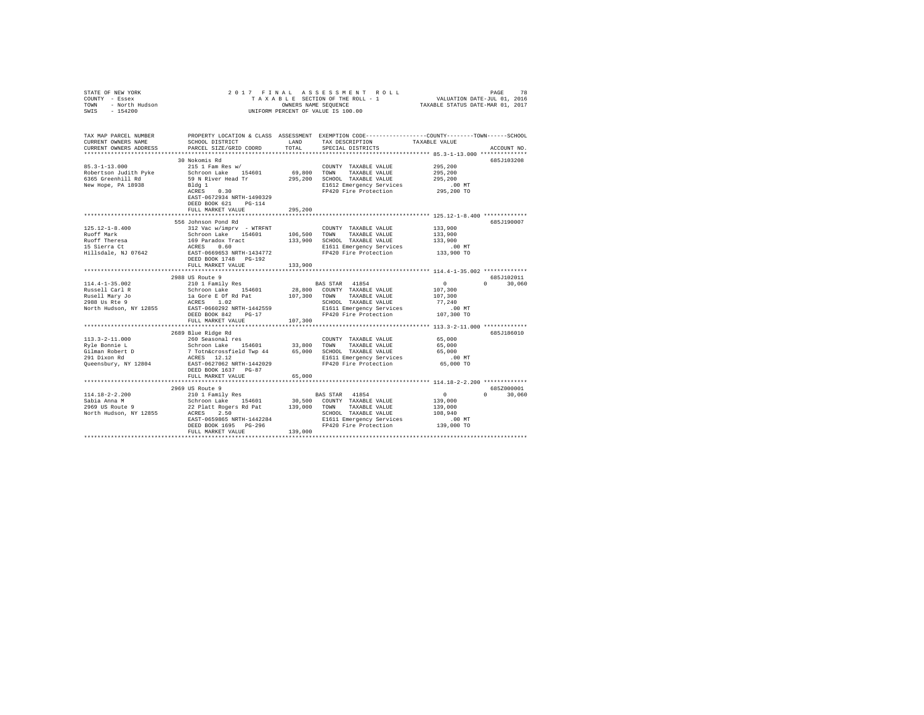| STATE OF NEW YORK<br>COUNTY - Essex<br>TOWN<br>- North Hudson<br>SWIS - 154200 |                                                                                                 |             | 2017 FINAL ASSESSMENT ROLL<br>TAXABLE SECTION OF THE ROLL - 1<br>OWNERS NAME SEQUENCE<br>UNIFORM PERCENT OF VALUE IS 100.00 | VALUATION DATE-JUL 01, 2016<br>TAXABLE STATUS DATE-MAR 01, 2017 | 78<br>PAGE    |
|--------------------------------------------------------------------------------|-------------------------------------------------------------------------------------------------|-------------|-----------------------------------------------------------------------------------------------------------------------------|-----------------------------------------------------------------|---------------|
| TAX MAP PARCEL NUMBER                                                          | PROPERTY LOCATION & CLASS ASSESSMENT EXEMPTION CODE---------------COUNTY-------TOWN------SCHOOL |             |                                                                                                                             |                                                                 |               |
| CURRENT OWNERS NAME                                                            | SCHOOL DISTRICT                                                                                 | LAND        | TAX DESCRIPTION                                                                                                             | TAXABLE VALUE                                                   |               |
| CURRENT OWNERS ADDRESS                                                         | PARCEL SIZE/GRID COORD                                                                          | TOTAL       | SPECIAL DISTRICTS                                                                                                           |                                                                 | ACCOUNT NO.   |
|                                                                                | 30 Nokomis Rd                                                                                   |             |                                                                                                                             |                                                                 | 685J103208    |
| $85.3 - 1 - 13.000$                                                            | $215$ 1 Fam Res w/                                                                              |             | COUNTY TAXABLE VALUE                                                                                                        | 295,200                                                         |               |
| Robertson Judith Pyke                                                          | Schroon Lake 154601                                                                             |             | 69,800 TOWN TAXABLE VALUE                                                                                                   | 295,200                                                         |               |
| 6365 Greenhill Rd                                                              | 59 N River Head Tr                                                                              |             | 295,200 SCHOOL TAXABLE VALUE                                                                                                | 295,200                                                         |               |
| New Hope, PA 18938                                                             | Bldg 1                                                                                          |             | E1612 Emergency Services                                                                                                    | $.00$ MT                                                        |               |
|                                                                                | ACRES 0.30                                                                                      |             | FP420 Fire Protection                                                                                                       | 295,200 TO                                                      |               |
|                                                                                | EAST-0672934 NRTH-1490329                                                                       |             |                                                                                                                             |                                                                 |               |
|                                                                                | DEED BOOK 621 PG-114                                                                            |             |                                                                                                                             |                                                                 |               |
|                                                                                | FULL MARKET VALUE                                                                               | 295,200     |                                                                                                                             |                                                                 |               |
|                                                                                |                                                                                                 |             |                                                                                                                             |                                                                 |               |
|                                                                                | 556 Johnson Pond Rd                                                                             |             |                                                                                                                             |                                                                 | 685J190007    |
| $125.12 - 1 - 8.400$                                                           | 312 Vac w/imprv - WTRFNT                                                                        |             | COUNTY TAXABLE VALUE                                                                                                        | 133,900                                                         |               |
| Ruoff Mark                                                                     | Schroon Lake 154601                                                                             |             | 106,500 TOWN TAXABLE VALUE                                                                                                  | 133,900                                                         |               |
| Ruoff Theresa                                                                  | 169 Paradox Tract                                                                               |             | 133,900 SCHOOL TAXABLE VALUE                                                                                                | 133,900                                                         |               |
| 15 Sierra Ct                                                                   | ACRES 0.60                                                                                      |             | E1611 Emergency Services                                                                                                    | $.00$ MT                                                        |               |
| Hillsdale, NJ 07642                                                            | EAST-0669653 NRTH-1434772                                                                       |             | FP420 Fire Protection                                                                                                       | 133,900 TO                                                      |               |
|                                                                                | DEED BOOK 1748    PG-192                                                                        |             |                                                                                                                             |                                                                 |               |
|                                                                                | FULL MARKET VALUE                                                                               | 133,900     |                                                                                                                             |                                                                 |               |
|                                                                                | ***********************                                                                         | *********** |                                                                                                                             |                                                                 |               |
|                                                                                | 2988 US Route 9                                                                                 |             |                                                                                                                             |                                                                 | 685J102011    |
| $114.4 - 1 - 35.002$                                                           | 210 1 Family Res                                                                                |             | BAS STAR 41854                                                                                                              | $\sim$                                                          | $0 \t 30.060$ |
| Russell Carl R                                                                 | Schroon Lake 154601                                                                             |             | 28,800 COUNTY TAXABLE VALUE                                                                                                 | 107,300                                                         |               |
| Rusell Mary Jo<br>2988 Us Rte 9                                                | la Gore E Of Rd Pat<br>ACRES 1.02                                                               |             | 107,300 TOWN TAXABLE VALUE                                                                                                  | 107,300<br>77.240                                               |               |
|                                                                                | EAST-0660292 NRTH-1442559                                                                       |             | SCHOOL TAXABLE VALUE                                                                                                        |                                                                 |               |
| North Hudson, NY 12855                                                         |                                                                                                 |             | E1611 Emergency Services                                                                                                    | .00 MT                                                          |               |
|                                                                                | DEED BOOK 842 PG-17<br>FULL MARKET VALUE                                                        | 107,300     | FP420 Fire Protection                                                                                                       | 107,300 TO                                                      |               |
|                                                                                | ******************************                                                                  |             |                                                                                                                             |                                                                 |               |
|                                                                                | 2689 Blue Ridge Rd                                                                              |             |                                                                                                                             |                                                                 | 685J186010    |
| $113.3 - 2 - 11.000$                                                           | 260 Seasonal res                                                                                |             | COUNTY TAXABLE VALUE                                                                                                        | 65,000                                                          |               |
| Rvle Bonnie L                                                                  | Schroon Lake 154601                                                                             |             | 33,800 TOWN<br>TAXABLE VALUE                                                                                                | 65,000                                                          |               |
| Gilman Robert D                                                                | 7 Totn&crossfield Twp 44                                                                        |             | 65,000 SCHOOL TAXABLE VALUE                                                                                                 | 65,000                                                          |               |
| 291 Dixon Rd                                                                   | ACRES 12.12                                                                                     |             | E1611 Emergency Services                                                                                                    | $.00$ MT                                                        |               |
| Queensbury, NY 12804                                                           | EAST-0627062 NRTH-1442029                                                                       |             | FP420 Fire Protection                                                                                                       | 65,000 TO                                                       |               |
|                                                                                | DEED BOOK 1637 PG-87                                                                            |             |                                                                                                                             |                                                                 |               |
|                                                                                | FULL MARKET VALUE                                                                               | 65,000      |                                                                                                                             |                                                                 |               |
|                                                                                |                                                                                                 |             |                                                                                                                             |                                                                 |               |
|                                                                                | 2969 US Route 9                                                                                 |             |                                                                                                                             |                                                                 | 685Z000001    |
| $114.18 - 2 - 2.200$                                                           | 210 1 Family Res                                                                                |             | BAS STAR 41854                                                                                                              | $\Omega$                                                        | $0 \t 30,060$ |
| Sabia Anna M                                                                   | Schroon Lake 154601                                                                             | 30,500      | COUNTY TAXABLE VALUE                                                                                                        | 139,000                                                         |               |
| 2969 US Route 9                                                                | 22 Platt Rogers Rd Pat                                                                          | 139,000     | TOWN TAXABLE VALUE                                                                                                          | 139,000                                                         |               |
| North Hudson, NY 12855                                                         | ACRES 2.50                                                                                      |             | SCHOOL TAXABLE VALUE                                                                                                        | 108,940                                                         |               |
|                                                                                | EAST-0659865 NRTH-1442284                                                                       |             | E1611 Emergency Services                                                                                                    | $.00$ $MT$                                                      |               |
|                                                                                | DEED BOOK 1695 PG-296                                                                           |             | FP420 Fire Protection                                                                                                       | 139,000 TO                                                      |               |
|                                                                                | FULL MARKET VALUE                                                                               | 139,000     |                                                                                                                             |                                                                 |               |
|                                                                                |                                                                                                 |             |                                                                                                                             |                                                                 |               |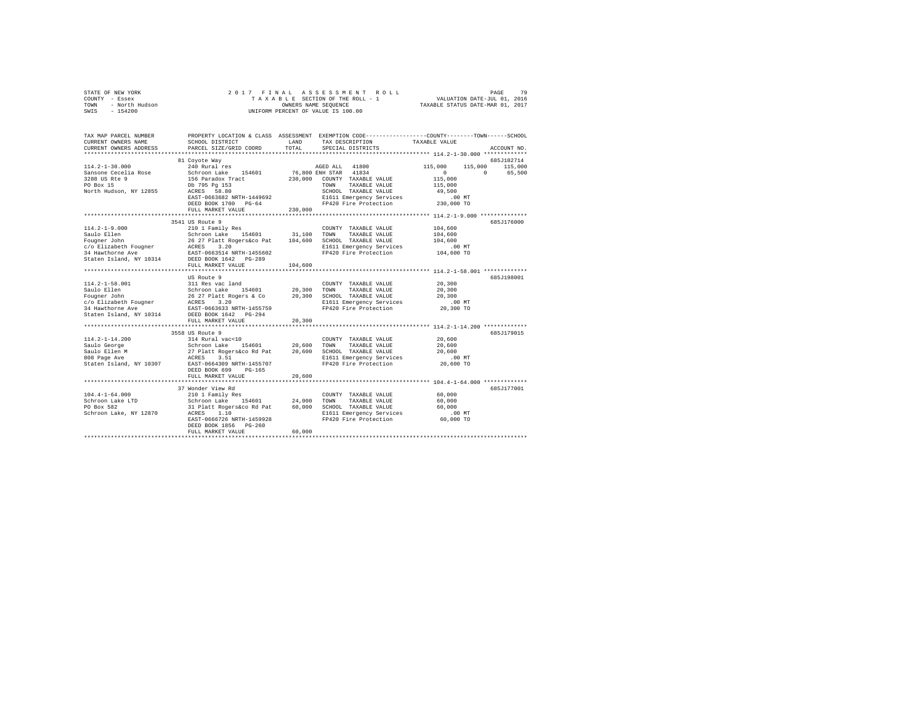|      | STATE OF NEW YORK | 2017 FINAL ASSESSMENT ROLL         | 79<br>PAGE                       |
|------|-------------------|------------------------------------|----------------------------------|
|      | COUNTY - Essex    | TAXABLE SECTION OF THE ROLL - 1    | VALUATION DATE-JUL 01, 2016      |
| TOWN | - North Hudson    | OWNERS NAME SEOUENCE               | TAXABLE STATUS DATE-MAR 01, 2017 |
| SWIS | $-154200$         | UNIFORM PERCENT OF VALUE IS 100.00 |                                  |

| TAX MAP PARCEL NUMBER<br>CURRENT OWNERS NAME | PROPERTY LOCATION & CLASS ASSESSMENT EXEMPTION CODE----------------COUNTY-------TOWN-----SCHOOL<br>SCHOOL DISTRICT | LAND          | TAX DESCRIPTION                                   | TAXABLE VALUE                                                     |                    |
|----------------------------------------------|--------------------------------------------------------------------------------------------------------------------|---------------|---------------------------------------------------|-------------------------------------------------------------------|--------------------|
| CURRENT OWNERS ADDRESS                       | PARCEL SIZE/GRID COORD                                                                                             | TOTAL         | SPECIAL DISTRICTS                                 |                                                                   | ACCOUNT NO.        |
|                                              | 81 Coyote Way                                                                                                      |               |                                                   |                                                                   | 685J102714         |
| $114.2 - 1 - 30.000$                         | 240 Rural res                                                                                                      |               | AGED ALL 41800                                    | 115,000                                                           | 115,000 115,000    |
| Sansone Cecelia Rose                         | Schroon Lake 154601                                                                                                |               | 76,800 ENH STAR 41834                             | $\circ$                                                           | $\Omega$<br>65,500 |
| 3288 US Rte 9                                | 156 Paradox Tract                                                                                                  | 230,000       | COUNTY TAXABLE VALUE                              | 115,000                                                           |                    |
| PO Box 15                                    | Db 795 Pa 153                                                                                                      |               | TAXABLE VALUE<br>TOWN                             | 115,000                                                           |                    |
| North Hudson, NY 12855                       | ACRES 58.80                                                                                                        |               | SCHOOL TAXABLE VALUE                              | 49,500                                                            |                    |
|                                              | EAST-0663682 NRTH-1449692                                                                                          |               | E1611 Emergency Services<br>FP420 Fire Protection | .00 MT                                                            |                    |
|                                              | DEED BOOK 1700 PG-64                                                                                               |               |                                                   | 230,000 TO                                                        |                    |
|                                              | FULL MARKET VALUE                                                                                                  | 230,000       |                                                   |                                                                   |                    |
|                                              |                                                                                                                    |               |                                                   |                                                                   |                    |
|                                              | 3541 US Route 9                                                                                                    |               |                                                   |                                                                   | 685J176000         |
| $114.2 - 1 - 9.000$                          | 210 1 Family Res                                                                                                   |               | COUNTY TAXABLE VALUE                              | 104,600                                                           |                    |
| Saulo Ellen                                  | Schroon Lake 154601<br>26 27 Platt Rogers&co Pat                                                                   | 31,100        | TOWN<br>TAXABLE VALUE                             | 104,600                                                           |                    |
| Fougner John                                 |                                                                                                                    | 104,600       | SCHOOL TAXABLE VALUE                              | 104,600                                                           |                    |
| c/o Elizabeth Fougner<br>34 Hawthorne Ave    | ACRES 3.20<br>EAST-0663514 NRTH-1455602                                                                            |               | E1611 Emergency Services                          | .00 MT                                                            |                    |
|                                              |                                                                                                                    |               | FP420 Fire Protection                             | 104,600 TO                                                        |                    |
|                                              | Staten Island, NY 10314 DEED BOOK 1642 PG-289                                                                      |               |                                                   |                                                                   |                    |
|                                              | FULL MARKET VALUE                                                                                                  | 104,600       |                                                   |                                                                   |                    |
|                                              |                                                                                                                    |               |                                                   |                                                                   |                    |
|                                              | US Route 9                                                                                                         |               |                                                   |                                                                   | 685J198001         |
| $114.2 - 1 - 58.001$                         | 311 Res vac land                                                                                                   |               | COUNTY TAXABLE VALUE                              | 20,300                                                            |                    |
| Saulo Ellen                                  | Schroon Lake 154601<br>26 27 Platt Rogers & Co<br>154601 20,300                                                    |               | TOWN<br>TAXABLE VALUE                             | 20,300                                                            |                    |
| Fougner John                                 |                                                                                                                    | 20,300        | SCHOOL TAXABLE VALUE                              | 20,300                                                            |                    |
| c/o Elizabeth Fougner                        | ACRES 3.20<br>ACRES 3.20<br>EAST-0663633 NRTH-1455759                                                              |               | E1611 Emergency Services                          | $.00$ MT                                                          |                    |
| 34 Hawthorne Ave                             |                                                                                                                    |               | FP420 Fire Protection                             | 20,300 TO                                                         |                    |
| Staten Island, NY 10314                      | DEED BOOK 1642 PG-294                                                                                              |               |                                                   |                                                                   |                    |
|                                              | FULL MARKET VALUE                                                                                                  | 20,300        |                                                   |                                                                   |                    |
|                                              | *******************************                                                                                    |               |                                                   | *********************************** 114.2-1-14.200 ************** |                    |
|                                              | 3558 US Route 9                                                                                                    |               |                                                   |                                                                   | 685.T179015        |
| $114.2 - 1 - 14.200$                         | 314 Rural vac<10                                                                                                   |               | COUNTY TAXABLE VALUE                              | 20,600                                                            |                    |
| Saulo George                                 | Schroon Lake 154601<br>27 Platt Rogers&co Rd Pat<br>ACRES 3.51                                                     | 20,600        | TOWN<br>TAXABLE VALUE                             | 20,600                                                            |                    |
| Saulo Ellen M                                |                                                                                                                    | 20,600        | SCHOOL TAXABLE VALUE                              | 20,600                                                            |                    |
| 808 Page Ave                                 |                                                                                                                    |               | E1611 Emergency Services                          | $.00$ MT                                                          |                    |
| Staten Island, NY 10307                      | EAST-0664309 NRTH-1455707                                                                                          |               | FP420 Fire Protection                             | 20,600 TO                                                         |                    |
|                                              | DEED BOOK 699<br>$PG-165$                                                                                          |               |                                                   |                                                                   |                    |
|                                              | FULL MARKET VALUE<br>*************************************                                                         | 20,600        |                                                   | ********************************** 104.4-1-64.000 ***********     |                    |
|                                              |                                                                                                                    |               |                                                   |                                                                   |                    |
|                                              | 37 Wonder View Rd                                                                                                  |               |                                                   |                                                                   | 685J177001         |
| $104.4 - 1 - 64.000$                         | 210 1 Family Res                                                                                                   |               | COUNTY TAXABLE VALUE                              | 60,000                                                            |                    |
| Schroon Lake LTD                             | Schroon Lake                                                                                                       | 154601 24,000 | TOWN<br>TAXABLE VALUE                             | 60,000                                                            |                    |
| PO Box 582                                   | 31 Platt Rogers&co Rd Pat                                                                                          | 60,000        | SCHOOL TAXABLE VALUE                              | 60,000                                                            |                    |
| Schroon Lake, NY 12870                       | ACRES<br>1.10<br>EAST-0666726 NRTH-1459928                                                                         |               | E1611 Emergency Services<br>FP420 Fire Protection | $.00$ MT                                                          |                    |
|                                              | DEED BOOK 1856 PG-260                                                                                              |               |                                                   | 60,000 TO                                                         |                    |
|                                              | FULL MARKET VALUE                                                                                                  | 60,000        |                                                   |                                                                   |                    |
|                                              |                                                                                                                    |               |                                                   |                                                                   |                    |
|                                              |                                                                                                                    |               |                                                   |                                                                   |                    |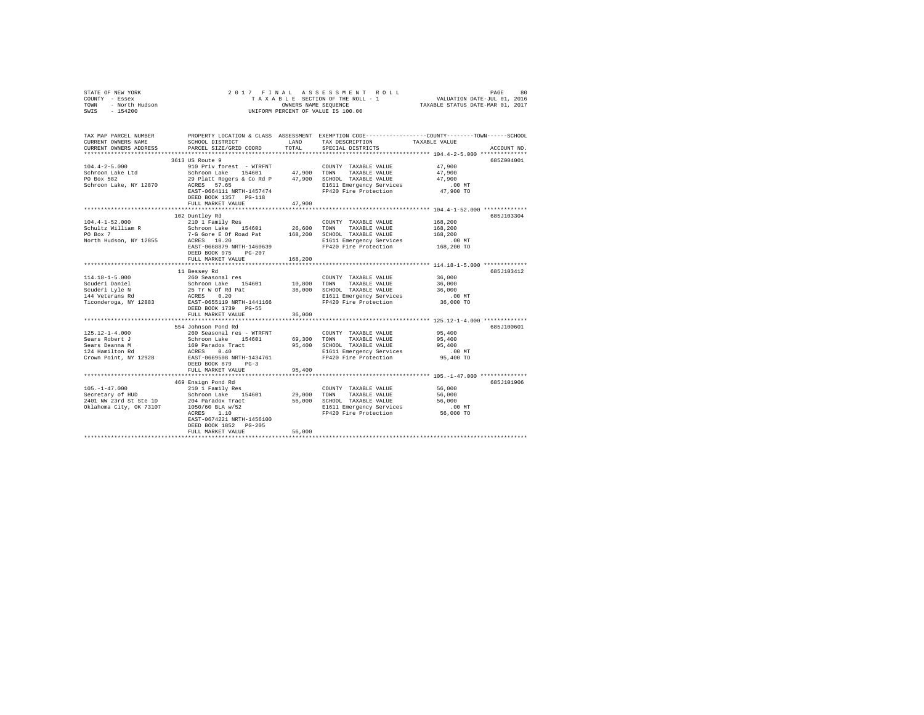| OF NEW YORK<br>- Essex<br>- North Hudson<br>- 154200<br>STATE OF NEW YORK<br>COUNTY - Essex<br>TOWN<br>SWIS                                                                     | 2017 FINAL<br>UNIFORM PERCENT OF VALUE IS 100.00        | PAGE 80 PAGE 80 PAGE 80 PAGE 80 PAGE 80 PAGE 80<br>TAXABLE SECTION OF THE ROLL - 1 VALUATION DATE-JUL 01, 2016<br>OWNERS NAME SEQUENCE 7IAXABLE STATUS DATE-MAR 01, 2017 |                                                   |                                                                                                                                 |
|---------------------------------------------------------------------------------------------------------------------------------------------------------------------------------|---------------------------------------------------------|--------------------------------------------------------------------------------------------------------------------------------------------------------------------------|---------------------------------------------------|---------------------------------------------------------------------------------------------------------------------------------|
| TAX MAP PARCEL NUMBER<br>CURRENT OWNERS NAME<br>CURRENT OWNERS ADDRESS                                                                                                          | SCHOOL DISTRICT<br>PARCEL SIZE/GRID COORD               | LAND<br>TOTAL                                                                                                                                                            | TAX DESCRIPTION<br>SPECIAL DISTRICTS              | PROPERTY LOCATION & CLASS ASSESSMENT EXEMPTION CODE---------------COUNTY-------TOWN------SCHOOL<br>TAXABLE VALUE<br>ACCOUNT NO. |
|                                                                                                                                                                                 | 3613 US Route 9                                         |                                                                                                                                                                          |                                                   | 685Z004001                                                                                                                      |
| $104.4 - 2 - 5.000$                                                                                                                                                             |                                                         |                                                                                                                                                                          | COUNTY TAXABLE VALUE                              | 47,900                                                                                                                          |
| Schroon Lake Ltd                                                                                                                                                                |                                                         |                                                                                                                                                                          | TAXABLE VALUE                                     | 47,900                                                                                                                          |
| PO Box 582                                                                                                                                                                      | 29 Platt Rogers & Co Rd P $47,900$ SCHOOL TAXABLE VALUE |                                                                                                                                                                          |                                                   | 47.900                                                                                                                          |
| Schroon Lake, NY 12870                                                                                                                                                          | ACRES 57.65                                             |                                                                                                                                                                          | E1611 Emergency Services                          | $.00$ MT                                                                                                                        |
|                                                                                                                                                                                 | EAST-0664111 NRTH-1457474                               |                                                                                                                                                                          | FP420 Fire Protection                             | 47,900 TO                                                                                                                       |
|                                                                                                                                                                                 | DEED BOOK 1357 PG-118                                   |                                                                                                                                                                          |                                                   |                                                                                                                                 |
|                                                                                                                                                                                 | FULL MARKET VALUE<br>************************           | 47.900<br>*************                                                                                                                                                  |                                                   | ***************************** 104.4-1-52.000 **************                                                                     |
|                                                                                                                                                                                 | 102 Duntley Rd                                          |                                                                                                                                                                          |                                                   | 685J103304                                                                                                                      |
| $104.4 - 1 - 52.000$                                                                                                                                                            | 210 1 Family Res                                        |                                                                                                                                                                          | COUNTY TAXABLE VALUE                              | 168,200                                                                                                                         |
| Schultz William R                                                                                                                                                               | Schroon Lake 154601                                     | 26,600                                                                                                                                                                   | TOWN<br>TAXABLE VALUE                             | 168,200                                                                                                                         |
| PO Box 7                                                                                                                                                                        | 7-G Gore E Of Road Pat                                  |                                                                                                                                                                          | 168,200 SCHOOL TAXABLE VALUE                      | 168,200                                                                                                                         |
| North Hudson, NY 12855                                                                                                                                                          | ACRES 10.20                                             |                                                                                                                                                                          | E1611 Emergency Services                          | $.00$ MT                                                                                                                        |
|                                                                                                                                                                                 | EAST-0668879 NRTH-1460639                               |                                                                                                                                                                          | FP420 Fire Protection                             | 168,200 TO                                                                                                                      |
|                                                                                                                                                                                 | DEED BOOK 975 PG-207                                    |                                                                                                                                                                          |                                                   |                                                                                                                                 |
|                                                                                                                                                                                 | FULL MARKET VALUE                                       | 168,200                                                                                                                                                                  |                                                   |                                                                                                                                 |
|                                                                                                                                                                                 |                                                         |                                                                                                                                                                          |                                                   |                                                                                                                                 |
|                                                                                                                                                                                 | 11 Bessey Rd                                            |                                                                                                                                                                          |                                                   | 685J103412                                                                                                                      |
| 114.18-1-5.000                                                                                                                                                                  | 260 Seasonal res                                        | 10,800                                                                                                                                                                   | COUNTY TAXABLE VALUE<br>TOWN<br>TAXABLE VALUE     | 36,000<br>36,000                                                                                                                |
|                                                                                                                                                                                 |                                                         | 36,000                                                                                                                                                                   | SCHOOL TAXABLE VALUE                              | 36,000                                                                                                                          |
|                                                                                                                                                                                 |                                                         |                                                                                                                                                                          |                                                   | $.00$ MT                                                                                                                        |
| 1911-1021-2000<br>2010eri Daniel Schroon Lake 154601<br>144 Veterans Rd 25 17 W 6 Rd Pat<br>25 17 W 6 Rd 201<br>144 Veterans Rd RKS 0.20<br>201<br>26 RKST-0655119 NRTH-1441166 |                                                         |                                                                                                                                                                          | E1611 Emergency Services<br>FP420 Fire Protection | 36,000 TO                                                                                                                       |
|                                                                                                                                                                                 | DEED BOOK 1739 PG-55                                    |                                                                                                                                                                          |                                                   |                                                                                                                                 |
|                                                                                                                                                                                 | FULL MARKET VALUE                                       | 36,000                                                                                                                                                                   |                                                   |                                                                                                                                 |
|                                                                                                                                                                                 |                                                         |                                                                                                                                                                          |                                                   | ************* 125.12-1-4.000 *************                                                                                      |
|                                                                                                                                                                                 | 554 Johnson Pond Rd                                     |                                                                                                                                                                          |                                                   | 685J100601                                                                                                                      |
| $125.12 - 1 - 4.000$                                                                                                                                                            | 260 Seasonal res - WTRFNT                               |                                                                                                                                                                          | COUNTY TAXABLE VALUE                              | 95,400                                                                                                                          |
|                                                                                                                                                                                 |                                                         | 69,300                                                                                                                                                                   | TAXABLE VALUE<br>TOWN                             | 95,400                                                                                                                          |
| Sears Robert J<br>Sears Deanna M<br>124 Hamilton Rd                                                                                                                             | Schroon Lake 154601<br>169 Paradox Tract<br>ACRES 0.40  | 95,400                                                                                                                                                                   | SCHOOL TAXABLE VALUE                              | 95,400<br>$.00$ MT                                                                                                              |
| Crown Point, NY 12928                                                                                                                                                           | EAST-0669508 NRTH-1434761                               |                                                                                                                                                                          | E1611 Emergency Services<br>FP420 Fire Protection | 95,400 TO                                                                                                                       |
|                                                                                                                                                                                 | DEED BOOK 879 PG-3                                      |                                                                                                                                                                          |                                                   |                                                                                                                                 |
|                                                                                                                                                                                 | FULL MARKET VALUE                                       | 95,400                                                                                                                                                                   |                                                   |                                                                                                                                 |
|                                                                                                                                                                                 |                                                         |                                                                                                                                                                          |                                                   |                                                                                                                                 |
|                                                                                                                                                                                 | 469 Ensign Pond Rd                                      |                                                                                                                                                                          |                                                   | 685J101906                                                                                                                      |
| $105. - 1 - 47.000$                                                                                                                                                             | 210 1 Family Res                                        |                                                                                                                                                                          | COUNTY TAXABLE VALUE                              | 56,000                                                                                                                          |
|                                                                                                                                                                                 |                                                         | 29,000                                                                                                                                                                   | TOWN<br>TAXABLE VALUE                             | 56,000                                                                                                                          |
| 103.1--7<br>Secretary of HUD Schroon Lake 154601<br>2401 NW 23rd St Ste 1D 204 Paradox Tract<br>Chaboma City. OK 73107 1050/60 BLA w/52                                         |                                                         | 56,000                                                                                                                                                                   | SCHOOL TAXABLE VALUE                              | 56,000                                                                                                                          |
|                                                                                                                                                                                 |                                                         |                                                                                                                                                                          | E1611 Emergency Services                          | $.00$ MT                                                                                                                        |
|                                                                                                                                                                                 | ACRES 1.10<br>EAST-0674221 NRTH-1456100                 |                                                                                                                                                                          | FP420 Fire Protection                             | 56,000 TO                                                                                                                       |
|                                                                                                                                                                                 | DEED BOOK 1852 PG-205                                   |                                                                                                                                                                          |                                                   |                                                                                                                                 |
|                                                                                                                                                                                 | FULL MARKET VALUE                                       | 56,000                                                                                                                                                                   |                                                   |                                                                                                                                 |
|                                                                                                                                                                                 |                                                         |                                                                                                                                                                          |                                                   |                                                                                                                                 |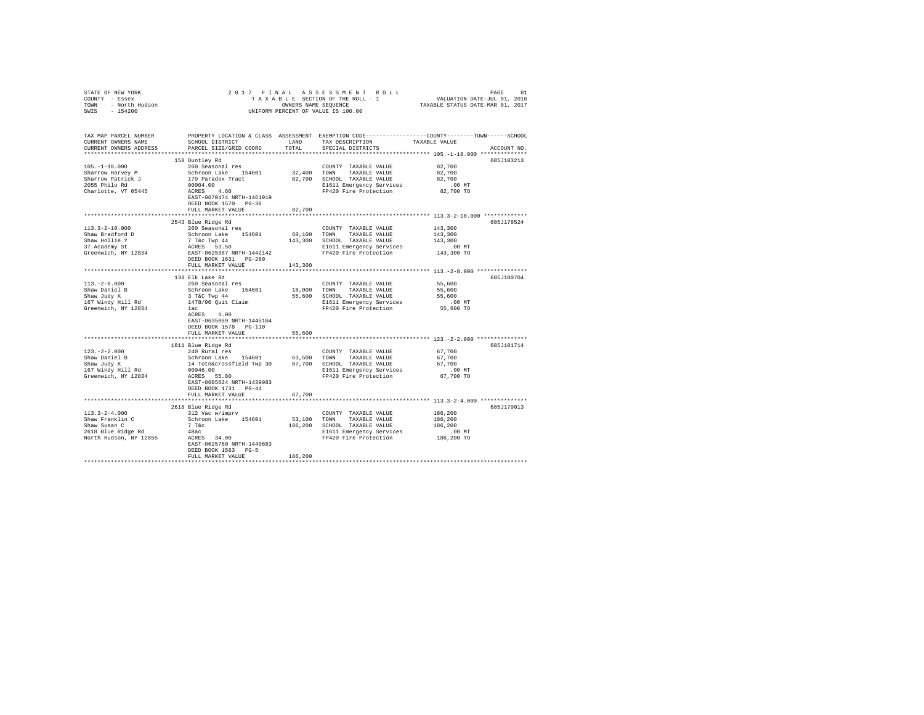| STATE OF NEW YORK<br>STATE OF NEW YORK<br>COUNTY - Essex<br>TOWN - North Hudson<br>SWIS - 154200                        |                                                                                                                       |         | 2017 FINAL ASSESSMENT ROLL<br>UNIFORM PERCENT OF VALUE IS 100.00                                                                                                                                                                                                                                                                                |                                                                                                                |  |
|-------------------------------------------------------------------------------------------------------------------------|-----------------------------------------------------------------------------------------------------------------------|---------|-------------------------------------------------------------------------------------------------------------------------------------------------------------------------------------------------------------------------------------------------------------------------------------------------------------------------------------------------|----------------------------------------------------------------------------------------------------------------|--|
| TAX MAP PARCEL NUMBER<br>CURRENT OWNERS NAME<br>CURRENT OWNERS ADDRESS . PARCEL SIZE/GRID COORD TOTAL SPECIAL DISTRICTS |                                                                                                                       |         |                                                                                                                                                                                                                                                                                                                                                 | PROPERTY LOCATION & CLASS ASSESSMENT EXEMPTION CODE----------------COUNTY-------TOWN-----SCHOOL<br>ACCOUNT NO. |  |
| $105. - 1 - 18.000$<br>Sharrow Harvey M<br>Sharrow Patrick J<br>2055 Philo Rd<br>Cherlin<br>Charlotte, VT 05445         | 158 Duntley Rd<br>260 Seasonal res<br>$00004.00$<br>ACRES $4.60$<br>EAST-0670474 NRTH-1461919<br>DEED BOOK 1570 PG-38 |         | COUNTY TAXABLE VALUE<br>${\small \begin{tabular}{lcccccc} Schroon Lake & 154601 & 32,400 & TOMN & TAXABLE VALUE \\ 179 paradox Tract & 82,700 & SCHOOL TAXABLE VALUE \\ \end{tabular}}$<br>E1611 Emergency Services<br>FP420 Fire Protection                                                                                                    | 685J103213<br>82,700<br>82,700<br>82,700<br>00 MT.<br>82,700 TO                                                |  |
|                                                                                                                         | FULL MARKET VALUE                                                                                                     | 82,700  |                                                                                                                                                                                                                                                                                                                                                 |                                                                                                                |  |
| 113.3-2-10.000                                                                                                          | 2543 Blue Ridge Rd<br>260 Seasonal res<br>DEED BOOK 1631    PG-280                                                    |         | COUNTY TAXABLE VALUE                                                                                                                                                                                                                                                                                                                            | 685J178524<br>143,300                                                                                          |  |
|                                                                                                                         | FULL MARKET VALUE 143,300                                                                                             |         |                                                                                                                                                                                                                                                                                                                                                 |                                                                                                                |  |
|                                                                                                                         |                                                                                                                       |         |                                                                                                                                                                                                                                                                                                                                                 |                                                                                                                |  |
| $113.-2-8.000$<br>Shaw Daniel B<br>Shaw Judy K<br>167 Windy Hill Rd<br>Greenwich, NY 12834                              | 138 Elk Lake Rd<br>260 Seasonal res<br>ACRES 1.00<br>EAST-0635069 NRTH-1445164<br>DEED BOOK 1578 PG-110               |         | COUNTY TAXABLE VALUE<br>Notion and the Schroom Incomery TAYABLE VAUE<br>3 T&C Twp 44 55,600 SCHOOL TAXABLE VALUE<br>1478/90 Quit Claim 55,600 SCHOOL TAXABLE VALUE<br>1478/90 Quit Claim 55,600 SCHOL TAXABLE VALUE<br>162 -                                                                                                                    | 685J100704<br>55,600<br>55,600<br>55,600<br>00 MT.<br>55,600 TO                                                |  |
|                                                                                                                         | FULL MARKET VALUE                                                                                                     | 55,600  |                                                                                                                                                                                                                                                                                                                                                 |                                                                                                                |  |
|                                                                                                                         |                                                                                                                       |         |                                                                                                                                                                                                                                                                                                                                                 |                                                                                                                |  |
| $123. -2 - 2.000$<br>Shaw Daniel B<br>Shaw Judy K<br>167 Windy Hill Rd<br>Greenwich, NY 12834                           | 1811 Blue Ridge Rd<br>240 Rural res<br>EAST-0605624 NRTH-1439983<br>DEED BOOK 1731 PG-44<br>FULL MARKET VALUE         | 67,700  | $\begin{array}{cc}\n\text{COUNTY} & \text{TAXABLE VALUE} \\ \text{TOUNY} & \text{m:MADI D} & \text{MADI E} \\ \end{array}$<br>240 Rural res<br>Schroon Lake 154601 63,500 TOWN TAXABLE VALUE<br>14 Totn&crossfield Twp 30 67,700 SCHOOL TAXABLE VALUE<br>00046.00<br>E1611 Emergency Services<br>EP420 Fire Protection<br>FP420 Fire Protection | 685J101714<br>67,700<br>67,700<br>.00 MT<br>67,700 TO                                                          |  |
|                                                                                                                         |                                                                                                                       |         |                                                                                                                                                                                                                                                                                                                                                 |                                                                                                                |  |
| $113.3 - 2 - 4.000$                                                                                                     | 2618 Blue Ridge Rd<br>312 Vac w/imprv<br>EAST-0625760 NRTH-1440883<br>DEED BOOK 1563 PG-5<br>FULL MARKET VALUE        | 186,200 | COUNTY TAXABLE VALUE                                                                                                                                                                                                                                                                                                                            | 685J179013<br>186,200<br>186,200<br>186,200<br>00 MT.<br>186,200 TO                                            |  |
|                                                                                                                         |                                                                                                                       |         |                                                                                                                                                                                                                                                                                                                                                 |                                                                                                                |  |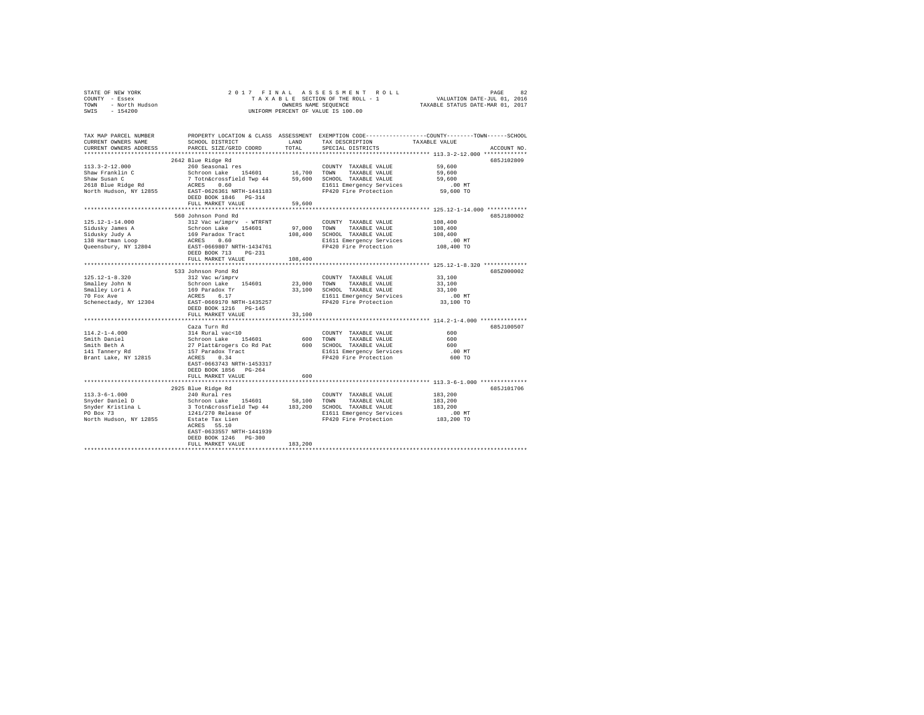|                | STATE OF NEW YORK |  |  |  |  | 2017 FINAL ASSESSMENT ROLL         | PAGE                             | 82 |
|----------------|-------------------|--|--|--|--|------------------------------------|----------------------------------|----|
| COUNTY - Essex |                   |  |  |  |  | TAXABLE SECTION OF THE ROLL - 1    | VALUATION DATE-JUL 01, 2016      |    |
| TOWN           | - North Hudson    |  |  |  |  | OWNERS NAME SEOUENCE               | TAXABLE STATUS DATE-MAR 01, 2017 |    |
|                | SWIS - 154200     |  |  |  |  | UNIFORM PERCENT OF VALUE IS 100.00 |                                  |    |

| TAX MAP PARCEL NUMBER<br>CURRENT OWNERS NAME<br>CURRENT OWNERS ADDRESS                                                                 | SCHOOL DISTRICT<br>PARCEL SIZE/GRID COORD                                                                                                                                                                                                                                                                           | LAND<br>TOTAL                                              | TAX DESCRIPTION<br>SPECIAL DISTRICTS                                                                                                                               | PROPERTY LOCATION & CLASS ASSESSMENT EXEMPTION CODE---------------COUNTY-------TOWN-----SCHOOL<br>TAXABLE VALUE<br>ACCOUNT NO.                                                                                              |
|----------------------------------------------------------------------------------------------------------------------------------------|---------------------------------------------------------------------------------------------------------------------------------------------------------------------------------------------------------------------------------------------------------------------------------------------------------------------|------------------------------------------------------------|--------------------------------------------------------------------------------------------------------------------------------------------------------------------|-----------------------------------------------------------------------------------------------------------------------------------------------------------------------------------------------------------------------------|
| ************************<br>$113.3 - 2 - 12.000$<br>Shaw Franklin C<br>Shaw Susan C<br>2618 Blue Ridge Rd                              | 2642 Blue Ridge Rd<br>260 Seasonal res<br>Schroon Lake 154601 16,700 TOWN TAXABLE VALUE<br>7 Totn&crossfield Twp 44 59,600 SCHOOL TAXABLE VALUE<br>ACRES 0.60 0.00<br>North Hudson, NY 12855 EAST-0626361 NRTH-1441183<br>DEED BOOK 1846 PG-314<br>FULL MARKET VALUE                                                | 59,600                                                     | COUNTY TAXABLE VALUE<br>FP420 Fire Protection                                                                                                                      | 685J102809<br>59,600<br>59,600<br>59,600<br>$.00$ MT<br>59,600 TO                                                                                                                                                           |
| $125.12 - 1 - 14.000$<br>Sidusky James A<br>Sidusky Judy A<br>138 Hartman Loop<br>Queensbury, NY 12804                                 | 560 Johnson Pond Rd<br>312 Vac w/imprv - WTRFNT<br>Schroon Lake 154601<br>169 Paradox Tract<br>ACRES 0.60<br>EAST-0669807 NRTH-1434761<br>DEED BOOK 713<br>$PG-231$                                                                                                                                                 | 97,000 TOWN                                                | COUNTY TAXABLE VALUE<br>TAXABLE VALUE<br>108,400 SCHOOL TAXABLE VALUE<br>E1611 Emergency Services<br>FP420 Fire Protection                                         | 685J180002<br>108,400<br>108,400<br>108,400<br>.00 MT<br>108,400 TO                                                                                                                                                         |
| $125.12 - 1 - 8.320$<br>Smalley John N<br>Smalley Lori A<br>70 Fox Ave<br>Schenectady, NY 12304<br>$114.2 - 1 - 4.000$<br>Smith Daniel | FULL MARKET VALUE<br>**************************<br>533 Johnson Pond Rd<br>312 Vac w/imprv<br>Schroon Lake 154601<br>169 Paradox Tr<br>ACRES 6.17<br>EAST-0669170 NRTH-1435257<br>DEED BOOK 1216 PG-145<br>FULL MARKET VALUE<br>Caza Turn Rd                                                                         | 108,400<br>**********<br>23,000 TOWN<br>33,100<br>600 TOWN | COUNTY TAXABLE VALUE<br>TAXABLE VALUE<br>33,100 SCHOOL TAXABLE VALUE<br>E1611 Emergency Services<br>FP420 Fire Protection<br>COUNTY TAXABLE VALUE<br>TAXABLE VALUE | ********************************** 125.12-1-8.320 **************<br>685Z000002<br>33,100<br>33,100<br>33,100<br>$.00$ MT<br>33,100 TO<br>************************ 114.2-1-4.000 ***************<br>685J100507<br>600<br>600 |
| Smith Beth A<br>141 Tannery Rd<br>Brant Lake, NY 12815                                                                                 | ---- -u<br>314 Rural vac<10<br>27 Platt&rogers Co Rd Pat<br>157 Paradox Tract<br>ACRES 0.34<br>EAST-0663743 NRTH-1453317<br>DEED BOOK 1856 PG-264<br>FULL MARKET VALUE                                                                                                                                              | 600                                                        | 600 SCHOOL TAXABLE VALUE<br>E1611 Emergency Services<br>FP420 Fire Protection                                                                                      | 600<br>$.00$ MT<br>600 TO                                                                                                                                                                                                   |
| $113.3 - 6 - 1.000$<br>Snyder Daniel D<br>Snyder Kristina L<br>PO Box 73<br>North Hudson, NY 12855 Estate Tax Lien                     | 2925 Blue Ridge Rd<br>240 Rural res<br>44 Autor - Levi 154601 58,100 TOWN TAXABLE VALUE<br>3 Totn&crossfield Twp 44 183,200 SCHOOL TAXABLE VALUE<br>1241/270 Release Of B1611 Emergency Services<br>FP420 Fire Protection<br>ACRES 55.10<br>EAST-0633557 NRTH-1441939<br>DEED BOOK 1246 PG-300<br>FULL MARKET VALUE | 183,200                                                    | COUNTY TAXABLE VALUE<br>E1611 Emergency Services<br>FP420 Fire Protection 183,200 TO                                                                               | 685J101706<br>183,200<br>183,200<br>183,200<br>.00 MT                                                                                                                                                                       |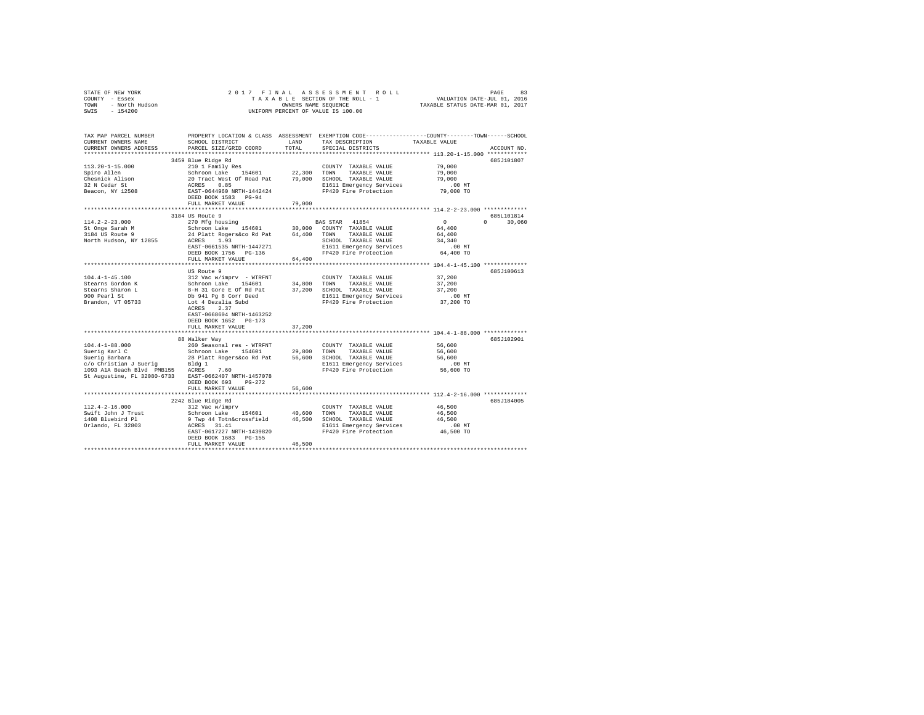| STATE OF NEW YORK<br>COUNTY - Essex                   |                                                                                        |             | 2017 FINAL ASSESSMENT ROLL                                                                                                 |                                  |              |
|-------------------------------------------------------|----------------------------------------------------------------------------------------|-------------|----------------------------------------------------------------------------------------------------------------------------|----------------------------------|--------------|
| TOWN - North Hudson<br>SWIS - 154200                  |                                                                                        |             | OWNERS NAME SEQUENCE                                                                                                       | TAXABLE STATUS DATE-MAR 01, 2017 |              |
|                                                       |                                                                                        |             | UNIFORM PERCENT OF VALUE IS 100.00                                                                                         |                                  |              |
|                                                       |                                                                                        |             |                                                                                                                            |                                  |              |
| TAX MAP PARCEL NUMBER                                 |                                                                                        |             | PROPERTY LOCATION & CLASS ASSESSMENT EXEMPTION CODE---------------COUNTY-------TOWN------SCHOOL                            |                                  |              |
| CURRENT OWNERS NAME                                   | SCHOOL DISTRICT                                                                        | LAND        | TAX DESCRIPTION                                                                                                            | TAXABLE VALUE                    |              |
| CURRENT OWNERS ADDRESS                                | PARCEL SIZE/GRID COORD                                                                 | TOTAL       | SPECIAL DISTRICTS                                                                                                          |                                  | ACCOUNT NO.  |
|                                                       |                                                                                        |             |                                                                                                                            |                                  |              |
|                                                       | 3459 Blue Ridge Rd                                                                     |             |                                                                                                                            |                                  | 685J101807   |
| $113.20 - 1 - 15.000$                                 | 210 1 Family Res                                                                       |             | COUNTY TAXABLE VALUE                                                                                                       | 79,000                           |              |
| Spiro Allen                                           | Schroon Lake 154601                                                                    | 22,300 TOWN | TAXABLE VALUE                                                                                                              | 79,000                           |              |
| Chesnick Alison                                       | 20 Tract West Of Road Pat 79,000 SCHOOL TAXABLE VALUE                                  |             |                                                                                                                            | 79,000                           |              |
| 32 N Cedar St                                         | ACRES 0.85                                                                             |             | E1611 Emergency Services                                                                                                   | $.00$ MT                         |              |
| Beacon, NY 12508                                      | EAST-0644960 NRTH-1442424                                                              |             | FP420 Fire Protection                                                                                                      | 79,000 TO                        |              |
|                                                       | DEED BOOK 1583 PG-94                                                                   |             |                                                                                                                            |                                  |              |
|                                                       | FULL MARKET VALUE                                                                      | 79,000      |                                                                                                                            |                                  |              |
|                                                       |                                                                                        |             |                                                                                                                            |                                  |              |
|                                                       | 3184 US Route 9                                                                        |             |                                                                                                                            |                                  | 685L101814   |
| $114.2 - 2 - 23.000$                                  | 270 Mfg housing                                                                        |             | BAS STAR 41854                                                                                                             | $\sim$ 0                         | $0 \t30.060$ |
| St Onge Sarah M                                       | Schroon Lake 154601 30,000 COUNTY TAXABLE VALUE                                        |             |                                                                                                                            | 64,400                           |              |
| 3184 US Route 9                                       |                                                                                        |             |                                                                                                                            | 64,400                           |              |
| North Hudson, NY 12855                                | 24 Platt Rogers&co Rd Pat 64,400 TOWN TAXABLE VALUE<br>ACRES 1.93 SCHOOL TAXABLE VALUE |             | SCHOOL TAXABLE VALUE                                                                                                       | 34,340                           |              |
|                                                       | EAST-0661535 NRTH-1447271                                                              |             | E1611 Emergency Services<br>FP420 Fire Protection                                                                          | .00MT                            |              |
|                                                       | DEED BOOK 1756 PG-136                                                                  |             |                                                                                                                            | 64,400 TO                        |              |
|                                                       | FULL MARKET VALUE                                                                      | 64,400      |                                                                                                                            |                                  |              |
|                                                       |                                                                                        |             |                                                                                                                            |                                  |              |
|                                                       | US Route 9                                                                             |             |                                                                                                                            |                                  | 685J100613   |
| $104.4 - 1 - 45.100$                                  | 312 Vac w/imprv - WTRFNT                                                               |             | COUNTY TAXABLE VALUE                                                                                                       | 37,200                           |              |
| Stearns Gordon K                                      |                                                                                        |             |                                                                                                                            | 37,200                           |              |
| Stearns Sharon L                                      |                                                                                        |             | Schroon Lake 154601 34,800 TOWN TAXABLE VALUE<br>8-H 31 Gore E of Rd pat 37,200 SCHOOL TAXABLE VALUE<br>8-H 31 Gore E ---3 | 37,200                           |              |
| 900 Pearl St                                          | Db 941 Pg 8 Corr Deed                                                                  |             | E1611 Emergency Services                                                                                                   | .00 MT                           |              |
| Brandon, VT 05733                                     | Lot 4 Dezalia Subd                                                                     |             | FP420 Fire Protection                                                                                                      | 37,200 TO                        |              |
|                                                       | ACRES 2.37                                                                             |             |                                                                                                                            |                                  |              |
|                                                       | EAST-0668604 NRTH-1463252                                                              |             |                                                                                                                            |                                  |              |
|                                                       | DEED BOOK 1652 PG-173                                                                  |             |                                                                                                                            |                                  |              |
|                                                       | FULL MARKET VALUE                                                                      | 37,200      |                                                                                                                            |                                  |              |
|                                                       |                                                                                        |             |                                                                                                                            |                                  |              |
|                                                       | 88 Walker Way                                                                          |             |                                                                                                                            |                                  | 685J102901   |
| $104.4 - 1 - 88.000$                                  | 260 Seasonal res - WTRFNT<br>Schroon Lake 154601                                       |             | COUNTY TAXABLE VALUE<br>TAXABLE VALUE                                                                                      | 56,600<br>56,600                 |              |
| Suerig Karl C                                         |                                                                                        | 29,800 TOWN |                                                                                                                            | 56,600                           |              |
| Suerig Barbara<br>$c/o$ Christian J Sueriq Bldg 1     |                                                                                        |             | 28 Platt Rogers&co Rd Pat 56,600 SCHOOL TAXABLE VALUE<br>E1611 Emergency Services                                          |                                  |              |
|                                                       |                                                                                        |             | FP420 Fire Protection                                                                                                      | $.00$ MT<br>56,600 TO            |              |
| St Augustine, FL 32080-6733 EAST-0662407 NRTH-1457078 |                                                                                        |             |                                                                                                                            |                                  |              |
|                                                       | DEED BOOK 693 PG-272                                                                   |             |                                                                                                                            |                                  |              |
|                                                       | FULL MARKET VALUE                                                                      | 56,600      |                                                                                                                            |                                  |              |
|                                                       |                                                                                        |             |                                                                                                                            |                                  |              |
|                                                       | 2242 Blue Ridge Rd                                                                     |             |                                                                                                                            |                                  | 685J184005   |
| $112.4 - 2 - 16.000$                                  | 312 Vac w/imprv                                                                        |             | COUNTY TAXABLE VALUE                                                                                                       | 46,500                           |              |
| Swift John J Trust                                    | schroon Lake 154601 40,600                                                             |             | TOWN TAXABLE VALUE                                                                                                         | 46,500                           |              |
| 1408 Bluebird Pl                                      | 9 Twp 44 Totn&crossfield 46,500                                                        |             | SCHOOL TAXABLE VALUE                                                                                                       | 46,500                           |              |
| Orlando, FL 32803                                     | ACRES 31.41                                                                            |             | E1611 Emergency Services                                                                                                   | .00MT                            |              |
|                                                       | EAST-0617227 NRTH-1439820                                                              |             | FP420 Fire Protection                                                                                                      | 46,500 TO                        |              |
|                                                       | DEED BOOK 1683 PG-155                                                                  |             |                                                                                                                            |                                  |              |
|                                                       | FULL MARKET VALUE                                                                      | 46,500      |                                                                                                                            |                                  |              |
|                                                       |                                                                                        |             |                                                                                                                            |                                  |              |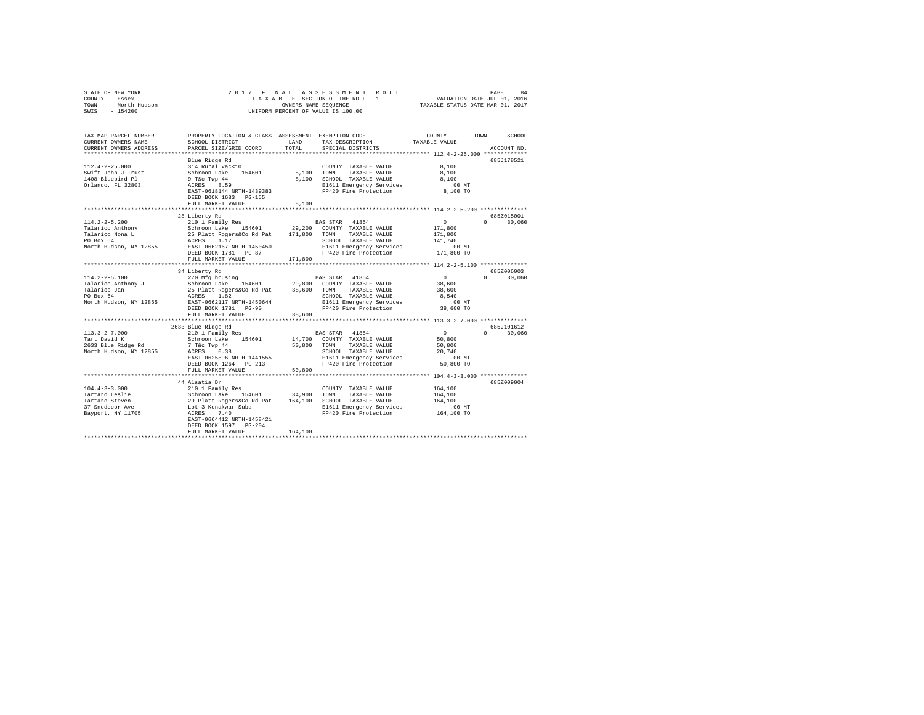| COUNTY - Essex<br>- North Hudson<br>TOWN<br>SWIS - 154200                                                                                                            |                                                                                                                                                                   |                | UNIFORM PERCENT OF VALUE IS 100.00                                                                                                                                                                              |                                                                         |                             |  |
|----------------------------------------------------------------------------------------------------------------------------------------------------------------------|-------------------------------------------------------------------------------------------------------------------------------------------------------------------|----------------|-----------------------------------------------------------------------------------------------------------------------------------------------------------------------------------------------------------------|-------------------------------------------------------------------------|-----------------------------|--|
| TAX MAP PARCEL NUMBER PROPERTY LOCATION & CLASS ASSESSMENT EXEMPTION CODE--------------COUNTY-------TOWN-----SCHOOL<br>CURRENT OWNERS NAME<br>CURRENT OWNERS ADDRESS | SCHOOL DISTRICT<br>PARCEL SIZE/GRID COORD                                                                                                                         | LAND<br>TOTAL. | TAX DESCRIPTION<br>SPECIAL DISTRICTS                                                                                                                                                                            | TAXABLE VALUE<br>************************* 112.4-2-25.000 ************* | ACCOUNT NO.                 |  |
| $112.4 - 2 - 25.000$<br>Swift John J Trust<br>1408 Bluebird Pl<br>Orlando, FL 32803                                                                                  | Blue Ridge Rd<br>314 Rural vac<10<br>Schroon Lake 154601<br>9 T&c Twp 44<br>ACRES 8.59<br>EAST-0618144 NRTH-1439383<br>DEED BOOK 1683 PG-155<br>FULL MARKET VALUE | 8,100          | COUNTY TAXABLE VALUE<br>8.100 TOWN TAXABLE VALUE<br>8,100 SCHOOL TAXABLE VALUE<br>E1611 Emergency Services<br>FP420 Fire Protection                                                                             | 8,100<br>8,100<br>8,100<br>$.00$ MT<br>00 MT.<br>8,100 TO               | 685J178521                  |  |
|                                                                                                                                                                      |                                                                                                                                                                   |                |                                                                                                                                                                                                                 |                                                                         |                             |  |
| $114.2 - 2 - 5.200$                                                                                                                                                  | 28 Liberty Rd<br>210 1 Family Res<br>DEED BOOK 1781 PG-87<br>FULL MARKET VALUE                                                                                    | 171,800        | BAS STAR 41854<br>SCHOOL TAXABLE VALUE<br>E1611 Emergency Services<br>FP420 Fire Protection 171,800 TO                                                                                                          | $\sim$ 0<br>171,800<br>171,800<br>141,740<br>.00 MT                     | 6857015001<br>$0 \t 30,060$ |  |
|                                                                                                                                                                      |                                                                                                                                                                   |                |                                                                                                                                                                                                                 |                                                                         |                             |  |
| $114.2 - 2 - 5.100$<br>Talarico Anthony J<br>Talarico Jan<br>PO Box 64<br>North Hudson, NY 12855                                                                     | 34 Liberty Rd<br>DEED BOOK 1781 PG-90<br>FULL MARKET VALUE                                                                                                        | 38,600         | SCHOOL TAXABLE VALUE<br>E1611 Emergency Services .00 MT<br>FP420 Fire Protection 38,600 TO                                                                                                                      | $\sim$ 0<br>38,600<br>38,600<br>8,540                                   | 685Z006003<br>$0 \t 30,060$ |  |
|                                                                                                                                                                      |                                                                                                                                                                   |                |                                                                                                                                                                                                                 |                                                                         |                             |  |
| $113.3 - 2 - 7.000$<br>Tart David K                                                                                                                                  | 2633 Blue Ridge Rd<br>210 1 Family Res<br>Schroon Lake 154601<br>EAST-0625896 NRTH-1441555<br>DEED BOOK 1264 PG-213<br>FULL MARKET VALUE                          | 50,800         | BAS STAR 41854<br>14,700 COUNTY TAXABLE VALUE<br>TOWN TAXABLE VALUE 700,000<br>SCHOOL TAXABLE VALUE 70,740<br>SCHOOL TAXABLE VALUE 20,740<br>E1611 Emergency Services .00 MT<br>FP420 Fire Protection 50,800 TO | $\sim$ 0<br>50,800<br>50,800                                            | 685J101612<br>$0 \t 30,060$ |  |
|                                                                                                                                                                      |                                                                                                                                                                   |                |                                                                                                                                                                                                                 |                                                                         |                             |  |
|                                                                                                                                                                      | EAST-0664412 NRTH-1458421<br>DEED BOOK 1597 PG-204<br>FULL MARKET VALUE                                                                                           | 164,100        | COUNTY TAXABLE VALUE 164,100<br>FP420 Fire Protection                                                                                                                                                           | 164,100<br>164,100<br>$.00$ MT<br>164,100 TO                            | 685Z009004                  |  |
|                                                                                                                                                                      |                                                                                                                                                                   |                |                                                                                                                                                                                                                 |                                                                         |                             |  |

STATE OF NEW YORK 2017 FINAL ASSESSMENT ROLL PAGE 84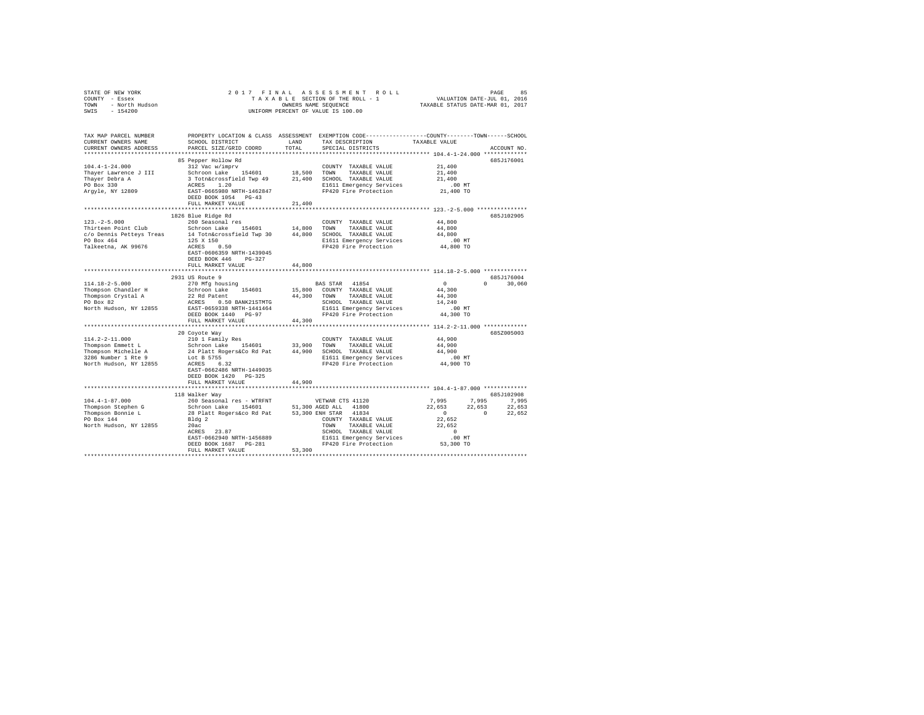| STATE OF NEW YORK<br>STATE OF NEW JORA<br>COUNTY - Essex<br>TOWN - North Hudson<br>SWIS - 154200                                                                                                                                                                                                      |                                                                                                                      |        | 2017 FINAL ASSESSMENT ROLL<br>UNIFORM PERCENT OF VALUE IS 100.00                                                                                                                                                                                                                      |                                                               |                                                                                                                                                       |  |
|-------------------------------------------------------------------------------------------------------------------------------------------------------------------------------------------------------------------------------------------------------------------------------------------------------|----------------------------------------------------------------------------------------------------------------------|--------|---------------------------------------------------------------------------------------------------------------------------------------------------------------------------------------------------------------------------------------------------------------------------------------|---------------------------------------------------------------|-------------------------------------------------------------------------------------------------------------------------------------------------------|--|
| TAX MAP PARCEL NUMBER<br>CURRENT OWNERS NAME<br>CURRENT OWNERS ADDRESS                                                                                                                                                                                                                                | PARCEL SIZE/GRID COORD                                                                                               | TOTAL  | PROPERTY LOCATION & CLASS ASSESSMENT EXEMPTION CODE---------------COUNTY-------TOWN------SCHOOL<br>SCHOOL DISTRICT $\begin{array}{ccc}\n\text{LAND} & \text{TAX} & \text{DISSCRIPTION} \\ \text{PADOPT} & \text{CTP} & \text{CODP} & \text{SOPC} \\ \end{array}$<br>SPECIAL DISTRICTS |                                                               | ACCOUNT NO.                                                                                                                                           |  |
| Thayer Debra A<br>PO Box 330<br>Argyle, NY 12809                                                                                                                                                                                                                                                      | 85 Pepper Hollow Rd<br>DEED BOOK 1054 PG-43<br>FULL MARKET VALUE                                                     | 21,400 | PORT CONTROLLER CHARGE 1.20<br>RASES 1.20<br>REST-0665980 NRTH-1462847 PP420 Fire Protection 21,400 TO                                                                                                                                                                                | 21,400<br>21,400<br>21,400                                    | 685J176001                                                                                                                                            |  |
|                                                                                                                                                                                                                                                                                                       |                                                                                                                      |        |                                                                                                                                                                                                                                                                                       |                                                               |                                                                                                                                                       |  |
| $123. - 2 - 5.000$<br>Thirteen Point Club Schroon Lake 154601 14,800<br>$c/o$ Dennis Petteys Treas $14$ Toth<br>&crossfield Twp 30 $44,800$ SCHOOL TAXABLE VALUE PO BOS AT ALL<br>S $125$ X ISO IS AT THE TREE TO PERTENT ON THE TREE TOTAL THE TREE TOTAL THE PROTECTION REPRESS OR DESCRIPTION PRES | 1826 Blue Ridge Rd<br>260 Seasonal res<br>EAST-0606359 NRTH-1439045<br>DEED BOOK 446 PG-327<br>FULL MARKET VALUE     | 44,800 | COUNTY TAXABLE VALUE<br>TOWN TAXABLE VALUE<br>E1611 Emergency Services .00 MT<br>FP420 Fire Protection  44,800 TO                                                                                                                                                                     | 44,800<br>44,800<br>44,800                                    | 685J102905                                                                                                                                            |  |
|                                                                                                                                                                                                                                                                                                       |                                                                                                                      |        |                                                                                                                                                                                                                                                                                       |                                                               |                                                                                                                                                       |  |
| 114.18-2-5.000<br>Thompson Chandler H<br>Thompson Crystal A<br>PO Box 82<br>North Hudson, NY 12855                                                                                                                                                                                                    | 2931 US Route 9<br>270 Mfg housing<br>FULL MARKET VALUE                                                              | 44,300 | BAS STAR 41854<br>Expression Lake 154601 15,800 COUNTY TAXABLE VALUE<br>2 Rd Patent 44,300 TOWN TAXABLE VALUE<br>ACRES 0.50 BANK21STMTG 44,300 TOWN TAXABLE VALUE<br>EAST-0659338 RRTH-1441446 11611 Emergency Services<br>DEED BOOK 1440 PC-97                                       | $\sim$ 0<br>44,300<br>44,300<br>14,240<br>.00 MT<br>44,300 TO | 685J176004<br>$0 \t 30,060$                                                                                                                           |  |
|                                                                                                                                                                                                                                                                                                       |                                                                                                                      |        |                                                                                                                                                                                                                                                                                       |                                                               |                                                                                                                                                       |  |
| North Hudson, NY 12855                                                                                                                                                                                                                                                                                | 20 Coyote Way<br>Lot B 5755<br>ACRES 6.32<br>EAST-0662486 NRTH-1449035<br>DEED BOOK 1420 PG-325<br>FULL MARKET VALUE | 44,900 | FP420 Fire Protection                                                                                                                                                                                                                                                                 | 44,900<br>44,900<br>44,900<br>.00 MT<br>44,900 TO             | 685Z005003                                                                                                                                            |  |
|                                                                                                                                                                                                                                                                                                       |                                                                                                                      |        |                                                                                                                                                                                                                                                                                       |                                                               |                                                                                                                                                       |  |
|                                                                                                                                                                                                                                                                                                       | 118 Walker Way                                                                                                       |        |                                                                                                                                                                                                                                                                                       |                                                               | 685J102908                                                                                                                                            |  |
| Thompson Bonnie L<br>PO Box 144<br>North Hudson, NY 12855                                                                                                                                                                                                                                             | Bldg 2<br>20ac<br>ACRES 23.87<br>Bldg 2<br>EAST-0662940 NRTH-1456889<br>DEED BOOK 1687 PG-281<br>FULL MARKET VALUE   | 53,300 | COUNTY TAXABLE VALUE<br>TOWN TAXABLE VALUE<br>SCHOOL TAXABLE VALUE<br>CONCOR TAAABLE VALUE<br>E1611 Emergency Services<br>FD400 Bisser<br>FP420 Fire Protection                                                                                                                       | 22,652<br>22,652<br>$\sim$ 0<br>.00 MT<br>53,300 TO           | $\begin{array}{cccc} 7,995 & \quad & 7,995 & \quad & 7,995 \\ 22,653 & \quad & 22,653 & \quad & 22,653 \\ 0 & \quad & 0 & \quad & 22,652 \end{array}$ |  |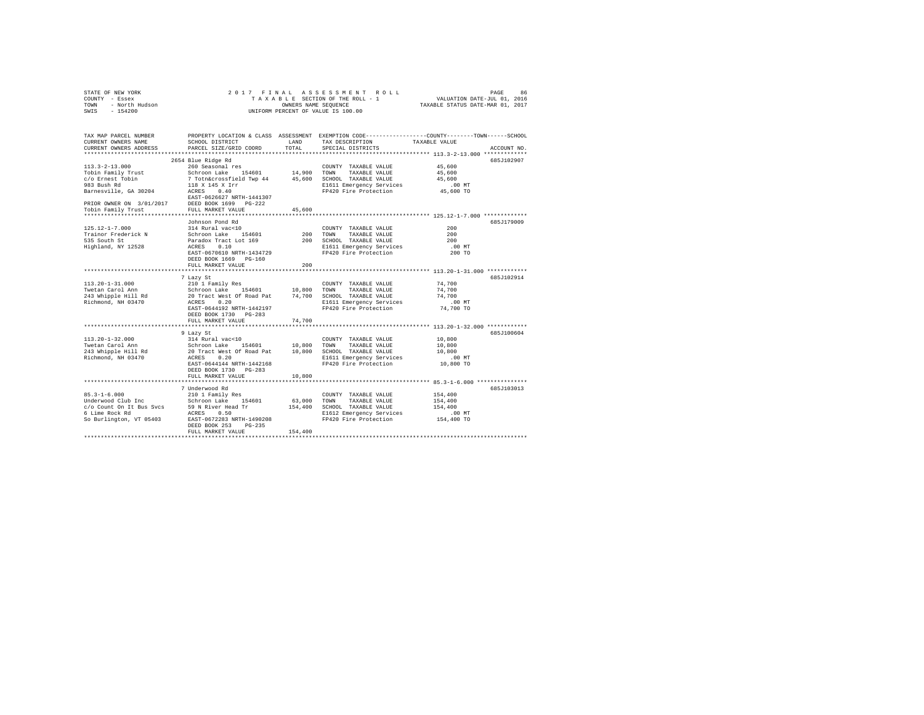| STATE OF NEW YORK<br>COUNTY - Essex<br>TOWN - North Hudson<br>SWIS - 154200            | 2017 FINAL ASSESSMENT ROLL<br>PAGE<br>86<br>TAXABLE SECTION OF THE ROLL - 1 VALUATION DATE-JUL 01, 2016<br>OWNERS NAME SEQUENCE<br>TAXABLE STATUS DATE-MAR 01, 2017<br>UNIFORM PERCENT OF VALUE IS 100.00 |               |                                                   |                                                                                                 |  |  |  |
|----------------------------------------------------------------------------------------|-----------------------------------------------------------------------------------------------------------------------------------------------------------------------------------------------------------|---------------|---------------------------------------------------|-------------------------------------------------------------------------------------------------|--|--|--|
| TAX MAP PARCEL NUMBER                                                                  |                                                                                                                                                                                                           |               |                                                   | PROPERTY LOCATION & CLASS ASSESSMENT EXEMPTION CODE---------------COUNTY-------TOWN------SCHOOL |  |  |  |
| CURRENT OWNERS NAME<br>CURRENT OWNERS ADDRESS                                          | SCHOOL DISTRICT<br>PARCEL SIZE/GRID COORD                                                                                                                                                                 | LAND<br>TOTAL | TAX DESCRIPTION<br>SPECIAL DISTRICTS              | TAXABLE VALUE<br>ACCOUNT NO.                                                                    |  |  |  |
|                                                                                        |                                                                                                                                                                                                           |               |                                                   | ************************* 113.3-2-13.000 *************                                          |  |  |  |
|                                                                                        | 2654 Blue Ridge Rd                                                                                                                                                                                        |               |                                                   | 685J102907                                                                                      |  |  |  |
| $113.3 - 2 - 13.000$                                                                   | 260 Seasonal res                                                                                                                                                                                          |               | COUNTY TAXABLE VALUE                              | 45,600                                                                                          |  |  |  |
| Tobin Family Trust                                                                     |                                                                                                                                                                                                           |               |                                                   | 45,600                                                                                          |  |  |  |
| c/o Ernest Tobin                                                                       |                                                                                                                                                                                                           |               |                                                   | 45,600                                                                                          |  |  |  |
| 983 Bush Rd                                                                            |                                                                                                                                                                                                           |               | E1611 Emergency Services                          | $.00$ MT<br>00 MT.<br>45,600 TO                                                                 |  |  |  |
| Barnesville, GA 30204                                                                  | EAST-0626627 NRTH-1441307                                                                                                                                                                                 |               | FP420 Fire Protection                             |                                                                                                 |  |  |  |
| PRIOR OWNER ON 3/01/2017 DEED BOOK 1699 PG-222<br>Tobin Family Trust FULL MARKET VALUE |                                                                                                                                                                                                           |               |                                                   |                                                                                                 |  |  |  |
|                                                                                        |                                                                                                                                                                                                           | 45,600        |                                                   | ***************************** 125.12-1-7.000 ************                                       |  |  |  |
|                                                                                        | Johnson Pond Rd                                                                                                                                                                                           |               |                                                   | 685J179009                                                                                      |  |  |  |
| $125.12 - 1 - 7.000$                                                                   | 314 Rural vac<10                                                                                                                                                                                          |               | COUNTY TAXABLE VALUE                              | 200                                                                                             |  |  |  |
| Trainor Frederick N                                                                    | Schroon Lake 154601                                                                                                                                                                                       |               | COUNTY<br>200 TOWN<br>TAXABLE VALUE               | 200                                                                                             |  |  |  |
| 535 South St                                                                           |                                                                                                                                                                                                           |               | 200 SCHOOL TAXABLE VALUE                          | 200                                                                                             |  |  |  |
| Highland, NY 12528                                                                     | Paradox Tract Lot 169<br>ACRES 0.10                                                                                                                                                                       |               | E1611 Emergency Services<br>FP420 Fire Protection | .00 MT                                                                                          |  |  |  |
|                                                                                        | EAST-0670610 NRTH-1434729                                                                                                                                                                                 |               |                                                   | 200 TO                                                                                          |  |  |  |
|                                                                                        | DEED BOOK 1669 PG-160                                                                                                                                                                                     |               |                                                   |                                                                                                 |  |  |  |
|                                                                                        | FULL MARKET VALUE                                                                                                                                                                                         | 200           |                                                   |                                                                                                 |  |  |  |
|                                                                                        |                                                                                                                                                                                                           |               |                                                   |                                                                                                 |  |  |  |
| $113.20 - 1 - 31.000$                                                                  | 7 Lazy St                                                                                                                                                                                                 |               |                                                   | 685.T102914<br>74,700                                                                           |  |  |  |
| Twetan Carol Ann                                                                       | 210 1 Family Res                                                                                                                                                                                          |               | COUNTY TAXABLE VALUE                              | 74,700                                                                                          |  |  |  |
| 243 Whipple Hill Rd                                                                    | 210 1 raming west<br>Schroon Lake 154601 10,800 TOWN TAXABLE VALUE<br>20 Tract West Of Road Pat 74,700 SCHOOL TAXABLE VALUE                                                                               |               |                                                   | 74,700                                                                                          |  |  |  |
| Richmond, NH 03470                                                                     | ACRES 0.20                                                                                                                                                                                                |               | E1611 Emergency Services                          | $.00$ MT                                                                                        |  |  |  |
|                                                                                        | EAST-0644192 NRTH-1442197                                                                                                                                                                                 |               | FP420 Fire Protection                             | 74,700 TO                                                                                       |  |  |  |
|                                                                                        | DEED BOOK 1730 PG-283                                                                                                                                                                                     |               |                                                   |                                                                                                 |  |  |  |
|                                                                                        | FULL MARKET VALUE                                                                                                                                                                                         | 74,700        |                                                   |                                                                                                 |  |  |  |
|                                                                                        |                                                                                                                                                                                                           |               |                                                   |                                                                                                 |  |  |  |
|                                                                                        | 9 Lazy St                                                                                                                                                                                                 |               |                                                   | 685J100604                                                                                      |  |  |  |
| $113.20 - 1 - 32.000$                                                                  | 314 Rural vac<10                                                                                                                                                                                          |               | COUNTY TAXABLE VALUE                              | 10,800                                                                                          |  |  |  |
| Twetan Carol Ann                                                                       | Schroon Lake 154601 10,800 TOWN TAXABLE VALUE<br>20 Tract West Of Road Pat 10,800 SCHOOL TAXABLE VALUE                                                                                                    |               |                                                   | 10,800                                                                                          |  |  |  |
| 243 Whipple Hill Rd                                                                    |                                                                                                                                                                                                           |               |                                                   | 10,800                                                                                          |  |  |  |
| Richmond, NH 03470                                                                     | ACRES 0.20<br>EAST-0644144 NRTH-1442168                                                                                                                                                                   |               | E1611 Emergency Services<br>FP420 Fire Protection | .00 MT<br>10,800 TO                                                                             |  |  |  |
|                                                                                        | DEED BOOK 1730 PG-283                                                                                                                                                                                     |               |                                                   |                                                                                                 |  |  |  |
|                                                                                        | FULL MARKET VALUE                                                                                                                                                                                         | 10,800        |                                                   |                                                                                                 |  |  |  |
|                                                                                        |                                                                                                                                                                                                           |               |                                                   |                                                                                                 |  |  |  |
|                                                                                        | 7 Underwood Rd                                                                                                                                                                                            |               |                                                   | 685J103013                                                                                      |  |  |  |
| $85.3 - 1 - 6.000$                                                                     | 210 1 Family Res                                                                                                                                                                                          |               | COUNTY TAXABLE VALUE                              | 154,400                                                                                         |  |  |  |
|                                                                                        |                                                                                                                                                                                                           |               | TAXABLE VALUE                                     | 154,400                                                                                         |  |  |  |
|                                                                                        |                                                                                                                                                                                                           |               | 154,400 SCHOOL TAXABLE VALUE                      | 154,400                                                                                         |  |  |  |
|                                                                                        |                                                                                                                                                                                                           |               | E1612 Emergency Services                          | .00MT                                                                                           |  |  |  |
|                                                                                        |                                                                                                                                                                                                           |               | FP420 Fire Protection                             | 154,400 TO                                                                                      |  |  |  |
|                                                                                        | DEED BOOK 253 PG-235                                                                                                                                                                                      |               |                                                   |                                                                                                 |  |  |  |
|                                                                                        | FULL MARKET VALUE                                                                                                                                                                                         | 154,400       |                                                   |                                                                                                 |  |  |  |
|                                                                                        |                                                                                                                                                                                                           |               |                                                   |                                                                                                 |  |  |  |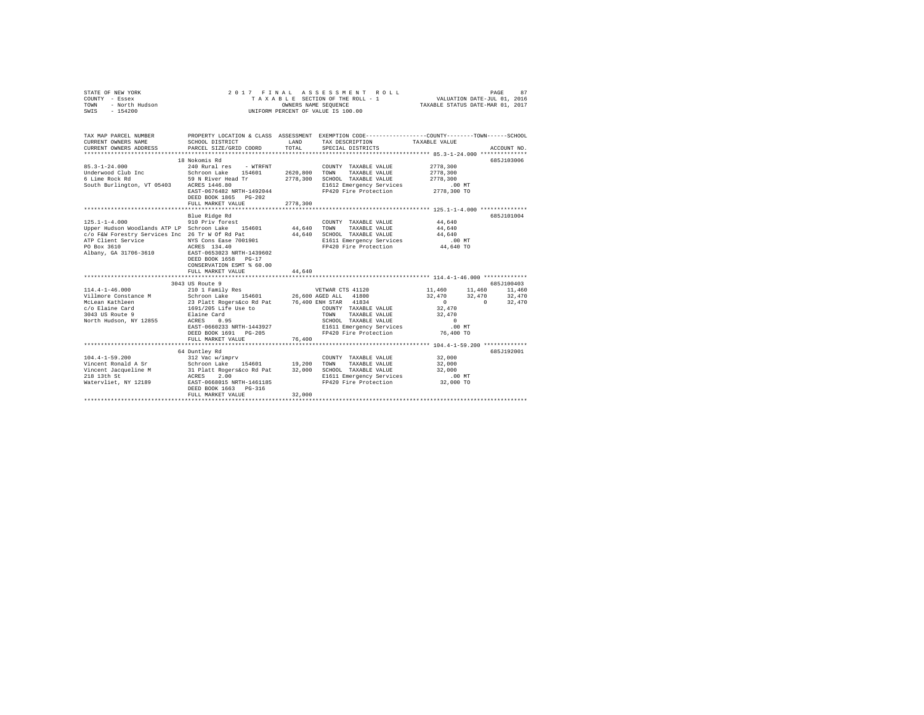| STATE OF NEW YORK<br>Y - Essex<br>- North Hudson<br>COUNTY - Essex<br>TOWN<br>SWIS - 154200                                                                                                                                                                       | 2017 FINAL ASSESSMENT ROLL<br>PAGE<br>87<br>UNIFORM PERCENT OF VALUE IS 100.00                                                                                  |                                  |                                                                                                                                                       |                                                           |          |             |  |  |
|-------------------------------------------------------------------------------------------------------------------------------------------------------------------------------------------------------------------------------------------------------------------|-----------------------------------------------------------------------------------------------------------------------------------------------------------------|----------------------------------|-------------------------------------------------------------------------------------------------------------------------------------------------------|-----------------------------------------------------------|----------|-------------|--|--|
| TAX MAP PARCEL NUMBER<br>CURRENT OWNERS NAME<br>CURRENT OWNERS ADDRESS                                                                                                                                                                                            | SCHOOL DISTRICT<br>PARCEL SIZE/GRID COORD                                                                                                                       | LAND<br>TOTAL                    | PROPERTY LOCATION & CLASS ASSESSMENT EXEMPTION CODE---------------COUNTY-------TOWN------SCHOOL<br>TAX DESCRIPTION TAXABLE VALUE<br>SPECIAL DISTRICTS |                                                           |          | ACCOUNT NO. |  |  |
| $85.3 - 1 - 24.000$<br>Underwood Club Inc<br>6 Lime Rock Rd<br>South Burlington, VT 05403 ACRES 1446.80                                                                                                                                                           | 18 Nokomis Rd<br>240 Rural res - WTRFNT<br>Schroon Lake 154601<br>59 N River Head Tr<br>EAST-0676482 NRTH-1492044<br>DEED BOOK 1865 PG-202<br>FULL MARKET VALUE | 2620,800<br>2778,300<br>2778,300 | COUNTY TAXABLE VALUE<br>TOWN<br>TAXABLE VALUE<br>SCHOOL TAXABLE VALUE<br>E1612 Emergency Services<br>FP420 Fire Protection                            | 2778,300<br>2778,300<br>2778.300<br>00 MT.<br>2778,300 TO |          | 685J103006  |  |  |
|                                                                                                                                                                                                                                                                   |                                                                                                                                                                 |                                  |                                                                                                                                                       |                                                           |          |             |  |  |
| $125.1 - 1 - 4.000$<br>Upper Hudson Woodlands ATP LP Schroon Lake 154601<br>c/o F&W Forestry Services Inc 26 Tr W Of Rd Pat<br>ATP Client Service MYS Cons Ease 7001901<br>PO Box 3610<br>Albany, GA 31706-3610                                                   | Blue Ridge Rd<br>910 Priv forest<br>ACRES 134.40<br>EAST-0653023 NRTH-1439602<br>DEED BOOK 1658 PG-17                                                           | 44,640<br>44,640                 | COUNTY TAXABLE VALUE<br>TOWN<br>TAXABLE VALUE<br>SCHOOL TAXABLE VALUE<br>E1611 Emergency Services<br>FP420 Fire Protection                            | 44,640<br>44,640<br>44,640<br>.00MT<br>44,640 TO          |          | 685J101004  |  |  |
|                                                                                                                                                                                                                                                                   | CONSERVATION ESMT % 60.00<br>FULL MARKET VALUE                                                                                                                  | 44,640                           |                                                                                                                                                       |                                                           |          |             |  |  |
|                                                                                                                                                                                                                                                                   | 3043 US Route 9                                                                                                                                                 |                                  |                                                                                                                                                       |                                                           |          | 685J100403  |  |  |
| $114.4 - 1 - 46.000$                                                                                                                                                                                                                                              | 210 1 Family Res                                                                                                                                                |                                  | VETWAR CTS 41120                                                                                                                                      | 11,460 11,460<br>32,470 32,470 32,470                     |          | 11,460      |  |  |
| Villmore Constance Mark and Schroon Lake 154601 26,600 AGED ALL 41800<br>McLean Kathleen 23 Platt Rogers & Core and 23 Platt 21804<br>McLean Kathleen 23 Platt Rogers & To Elaine Card 23 Platt 2004<br>3043 US Route 9 Elaine Card TOW<br>North Hudson, NY 12855 | ACRES 0.95<br>EAST-0660233 NRTH-1443927<br>DEED BOOK 1691 PG-205<br>FULL MARKET VALUE                                                                           | 76,400                           | COUNTY TAXABLE VALUE<br>TAXABLE VALUE<br>SCHOOL TAXABLE VALUE<br>E1611 Emergency Services<br>FP420 Fire Protection 76,400 TO                          | $\sim$ 0<br>32,470<br>32,470<br>$\sim$ 0<br>$.00$ MT      | $\sim$ 0 | 32,470      |  |  |
|                                                                                                                                                                                                                                                                   |                                                                                                                                                                 |                                  |                                                                                                                                                       |                                                           |          |             |  |  |
| $104.4 - 1 - 59.200$<br>Vincent Ronald A Sr Schroon Lake 154601 19,200 TOWN TAXABLE VALUE<br>Vincent Jacqueline M 31 Platt Rogerskoo Rd Pat 32,000 SCHOOL TAXABLE VALUE<br>218 13 ACRES 2.00 SCHOOL TAXABLE VALUE<br>218 1611 Energency Service 1 ACRES 2.00      | 64 Duntley Rd<br>312 Vac w/imprv<br>DEED BOOK 1663 PG-316<br>FULL MARKET VALUE                                                                                  | 32,000                           | COUNTY TAXABLE VALUE<br>E1611 Emergency Services<br>FP420 Fire Protection                                                                             | 32,000<br>32,000<br>32,000<br>.00MT<br>32,000 TO          |          | 685J192001  |  |  |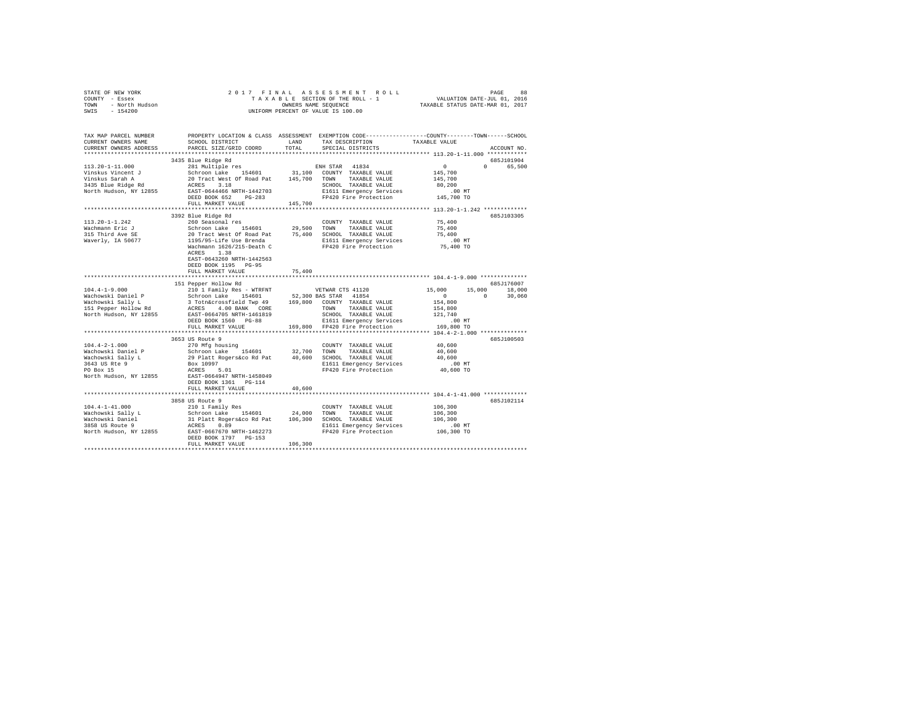|      | STATE OF NEW YORK |  |  | 2017 FINAL ASSESSMENT ROLL         | PAGE                             | 88 |
|------|-------------------|--|--|------------------------------------|----------------------------------|----|
|      | COUNTY - Essex    |  |  | TAXABLE SECTION OF THE ROLL - 1    | VALUATION DATE-JUL 01, 2016      |    |
| TOWN | - North Hudson    |  |  | OWNERS NAME SEOUENCE               | TAXABLE STATUS DATE-MAR 01, 2017 |    |
| SWIS | $-154200$         |  |  | UNIFORM PERCENT OF VALUE IS 100.00 |                                  |    |

| TAX MAP PARCEL NUMBER<br>CURRENT OWNERS NAME<br>CURRENT OWNERS ADDRESS                                                                  | PROPERTY LOCATION & CLASS ASSESSMENT EXEMPTION CODE----------------COUNTY-------TOWN------SCHOOL<br>SCHOOL DISTRICT<br>PARCEL SIZE/GRID COORD                                                                                                                                                                                | LAND<br>TOTAL | TAX DESCRIPTION<br>SPECIAL DISTRICTS                                                                                                             | TAXABLE VALUE                                                                                                      | ACCOUNT NO.                    |
|-----------------------------------------------------------------------------------------------------------------------------------------|------------------------------------------------------------------------------------------------------------------------------------------------------------------------------------------------------------------------------------------------------------------------------------------------------------------------------|---------------|--------------------------------------------------------------------------------------------------------------------------------------------------|--------------------------------------------------------------------------------------------------------------------|--------------------------------|
| **********************<br>$113.20 - 1 - 11.000$<br>Vinskus Vincent J<br>Vinskus Sarah A<br>3435 Blue Ridge Rd<br>North Hudson, NY 12855 | 3435 Blue Ridge Rd<br>231 Multiple res<br>Schroon Lake 154601 31,100<br>20 Tract West Of Road Pat 145,700<br>ACRES 3.18<br>EAST-0644466 NRTH-1442703<br>DEED BOOK 652<br>$PG-283$<br>FULL MARKET VALUE                                                                                                                       | 145,700       | ENH STAR 41834<br>31,100 COUNTY TAXABLE VALUE<br>TOWN TAXABLE VALUE<br>SCHOOL TAXABLE VALUE<br>E1611 Emergency Services<br>FP420 Fire Protection | $\sim$<br>$\Omega$<br>145,700<br>145,700<br>80,200<br>$.00$ MT<br>145,700 TO                                       | 685J101904<br>65,500           |
| $113.20 - 1 - 1.242$<br>Wachmann Eric J<br>315 Third Ave SE<br>Waverly, IA 50677<br>Waverly, IA 50677                                   | 3392 Blue Ridge Rd<br>260 Seasonal res<br>Schroon Lake 154601 29,500 TOWN TAXABLE VALUE<br>20 Tract West Of Road Pat 15,400 SCHOOL TAXABLE VALUE<br>1195/95-Life Use Brenda 15,400 SCHOOL TAXABLE VALUE<br>Wachmann 1626/215-Death C<br>ACRES 1.38<br>EAST-0643260 NRTH-1442563<br>DEED BOOK 1195 PG-95<br>FULL MARKET VALUE | 75,400        | COUNTY TAXABLE VALUE<br>FP420 Fire Protection                                                                                                    | ********************************* 113.20-1-1.242 ************<br>75,400<br>75,400<br>75,400<br>.00 MT<br>75,400 TO | 685J103305                     |
| $104.4 - 1 - 9.000$                                                                                                                     | 151 Pepper Hollow Rd<br>210 1 Family Res - WTRFNT<br>U<br>virity-ity.com and the main of the scheme of the scheme of the scheme of<br>accompact of the scheme of the scheme of the scheme of the<br>scheme of the scheme of the scheme of the scheme of the<br>scheme of the sc<br>DEED BOOK 1560 PG-88<br>FULL MARKET VALUE |               | VETWAR CTS 41120<br>E1611 Emergency Services<br>169,800 FP420 Fire Protection                                                                    | 15,000<br>15,000<br>$\Omega$<br>$\sim$<br>154,800<br>154,800<br>121,740<br>$.00$ MT<br>169,800 TO                  | 685J176007<br>18,000<br>30,060 |
|                                                                                                                                         | **************************<br>3653 US Route 9<br>DEED BOOK 1361 PG-114<br>FULL MARKET VALUE                                                                                                                                                                                                                                  | 40,600        | E1611 Emergency Services<br>FP420 Fire Protection                                                                                                | 40,600<br>40,600<br>40,600<br>00 MT.<br>40,600 TO                                                                  | 685J100503                     |
|                                                                                                                                         | ********************************<br>3858 US Route 9<br>FULL MARKET VALUE                                                                                                                                                                                                                                                     | 106,300       | COUNTY TAXABLE VALUE<br>E1611 Emergency Services<br>FP420 Fire Protection                                                                        | 106,300<br>106,300<br>106,300<br>$.00$ MT<br>106,300 TO                                                            | 685J102114                     |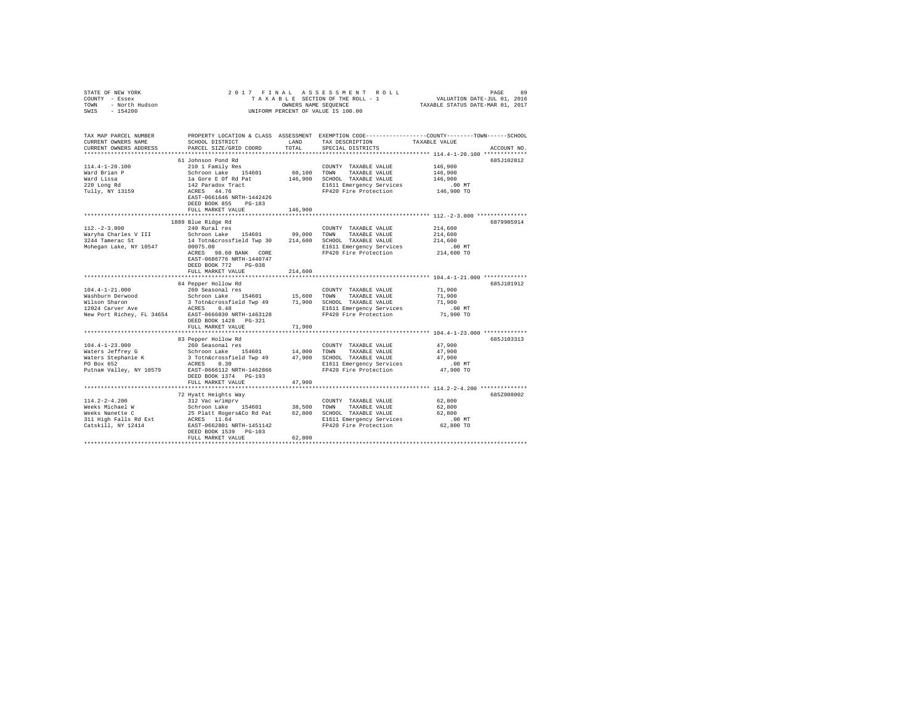| STATE OF NEW YORK $\begin{array}{rcl} \angle&\cup\;\bot\\ \text{COUNTY} &-&\text{Eases}\\ \text{TONN} &-&\text{North Hudson}\\ &\uparrow\;\epsilon\;\leftrightarrow\;\alpha\;\alpha\\ \end{array}$ |                                                                                                                                                                                                                                       |         | 2017 FINAL ASSESSMENT ROLL<br>UNIFORM PERCENT OF VALUE IS 100.00                            |                                                                                                                |
|----------------------------------------------------------------------------------------------------------------------------------------------------------------------------------------------------|---------------------------------------------------------------------------------------------------------------------------------------------------------------------------------------------------------------------------------------|---------|---------------------------------------------------------------------------------------------|----------------------------------------------------------------------------------------------------------------|
| TAX MAP PARCEL NUMBER<br>CURRENT OWNERS NAME<br>CURRENT OWNERS ADDRESS                                                                                                                             | SCHOOL DISTRICT<br>PARCEL SIZE/GRID COORD                                                                                                                                                                                             | TOTAL   | LAND TAX DESCRIPTION TAXABLE VALUE<br>SPECIAL DISTRICTS                                     | PROPERTY LOCATION & CLASS ASSESSMENT EXEMPTION CODE---------------COUNTY-------TOWN------SCHOOL<br>ACCOUNT NO. |
|                                                                                                                                                                                                    | 61 Johnson Pond Rd                                                                                                                                                                                                                    |         |                                                                                             | 685J102812                                                                                                     |
| 114.4-1-20.100<br>Ward Brian P<br>ward Lissa<br>220 Long Rd<br>Tully, NY 13159                                                                                                                     | 210 1 Family Res<br>2.10 Family Res<br>Schroon Lake 154601 60,100 TOWN TAXABLE VALUE<br>1a Gore E Of Rel and 146,900 SCHOOL TAXABLE VALUE<br>142 Paradox Tract<br>142 Paradox Tract<br>RCRES 244.76<br>EAST-0661646 NRTH-1442426      |         | COUNTY TAXABLE VALUE                                                                        | 146,900<br>146,900<br>146,900<br>.00MT<br>146,900 TO                                                           |
|                                                                                                                                                                                                    | DEED BOOK 855 PG-183                                                                                                                                                                                                                  |         |                                                                                             |                                                                                                                |
|                                                                                                                                                                                                    | FULL MARKET VALUE                                                                                                                                                                                                                     | 146,900 |                                                                                             |                                                                                                                |
| $112. - 2 - 3.000$                                                                                                                                                                                 | 1889 Blue Ridge Rd<br>240 Rural res                                                                                                                                                                                                   |         | COUNTY TAXABLE VALUE 214,600                                                                | 6879905914<br>214,600                                                                                          |
|                                                                                                                                                                                                    | Waryha Charles V III Schroon Lake 154601 99,000 TOWN TAXABLE VALUE<br>3244 Tamerac St 14 Totn&crossfield Twp 30 214,600 SCHOOL TAXABLE VALUE<br>Mohegan Lake, NY 10547 00075.00<br>ACRES 98.60 BANK CORE<br>EAST-0606776 NRTH-1440747 |         | FP420 Fire Protection                                                                       | 214,600<br>00 MT.<br>214,600 TO                                                                                |
|                                                                                                                                                                                                    | DEED BOOK 772 PG-038<br>FULL MARKET VALUE                                                                                                                                                                                             | 214,600 |                                                                                             |                                                                                                                |
|                                                                                                                                                                                                    |                                                                                                                                                                                                                                       |         |                                                                                             | **************** 104.4-1-21.000 *************                                                                  |
| $104.4 - 1 - 21.000$                                                                                                                                                                               | 84 Pepper Hollow Rd<br>260 Seasonal res                                                                                                                                                                                               |         | COUNTY TAXABLE VALUE                                                                        | 685J101912<br>71,900<br>71,900<br>71,900<br>$.00$ MT<br>71,900 TO                                              |
|                                                                                                                                                                                                    | DEED BOOK 1428 PG-321<br>FULL MARKET VALUE                                                                                                                                                                                            | 71,900  |                                                                                             |                                                                                                                |
| ***************************                                                                                                                                                                        | 83 Pepper Hollow Rd                                                                                                                                                                                                                   |         |                                                                                             | ***************************** 104.4-1-23.000 *************<br>685J103313                                       |
| $104.4 - 1 - 23.000$                                                                                                                                                                               | 260 Seasonal res<br>PO Box 652<br>Putnam Valley, NY 10579<br>EAST-0666112 NRTH-1462866<br>DEED BOOK 1374 PG-193<br>FULL MARKET VALUE                                                                                                  | 47,900  | COUNTY TAXABLE VALUE<br>E1611 Emergency Services 6.00 MT<br>FP420 Fire Protection 47,900 TO | 47,900<br>47,900<br>47,900                                                                                     |
|                                                                                                                                                                                                    |                                                                                                                                                                                                                                       |         |                                                                                             |                                                                                                                |
|                                                                                                                                                                                                    | 72 Hyatt Heights Way<br>DEED BOOK 1539 PG-103<br>FULL MARKET VALUE                                                                                                                                                                    | 62,800  |                                                                                             | 685Z008002                                                                                                     |
| *************************************                                                                                                                                                              |                                                                                                                                                                                                                                       |         |                                                                                             |                                                                                                                |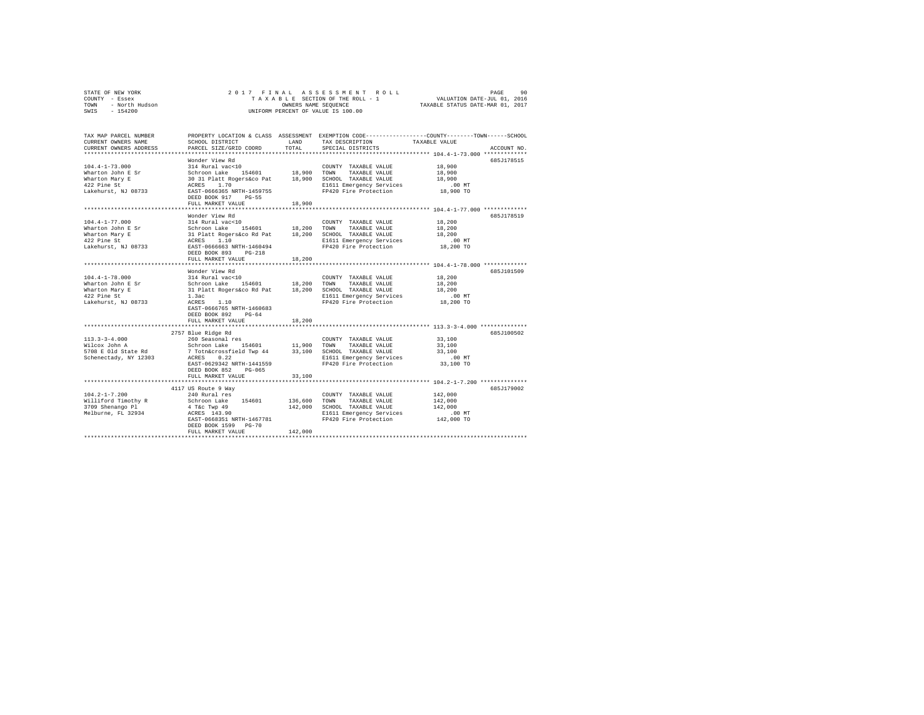|      | STATE OF NEW YORK | 2017 FINAL ASSESSMENT ROLL         | 90<br>PAGE                       |
|------|-------------------|------------------------------------|----------------------------------|
|      | COUNTY - Essex    | TAXABLE SECTION OF THE ROLL - 1    | VALUATION DATE-JUL 01, 2016      |
| TOWN | - North Hudson    | OWNERS NAME SEOUENCE               | TAXABLE STATUS DATE-MAR 01, 2017 |
| SWIS | - 154200          | UNIFORM PERCENT OF VALUE IS 100.00 |                                  |

| TAX MAP PARCEL NUMBER<br>CURRENT OWNERS NAME<br>CURRENT OWNERS ADDRESS   | SCHOOL DISTRICT<br>PARCEL SIZE/GRID COORD                                                                                                                                                                                      | LAND<br>TOTAL. | TAX DESCRIPTION<br>SPECIAL DISTRICTS                               | PROPERTY LOCATION & CLASS ASSESSMENT EXEMPTION CODE----------------COUNTY-------TOWN-----SCHOOL<br>TAXABLE VALUE<br>ACCOUNT NO. |
|--------------------------------------------------------------------------|--------------------------------------------------------------------------------------------------------------------------------------------------------------------------------------------------------------------------------|----------------|--------------------------------------------------------------------|---------------------------------------------------------------------------------------------------------------------------------|
|                                                                          |                                                                                                                                                                                                                                |                |                                                                    |                                                                                                                                 |
|                                                                          | Wonder View Rd                                                                                                                                                                                                                 |                |                                                                    | 685J178515                                                                                                                      |
| $104.4 - 1 - 73.000$                                                     | 314 Rural vac<10                                                                                                                                                                                                               |                | COUNTY TAXABLE VALUE                                               | 18,900                                                                                                                          |
| Wharton John E Sr                                                        |                                                                                                                                                                                                                                |                |                                                                    | 18,900                                                                                                                          |
| Wharton Mary E                                                           |                                                                                                                                                                                                                                |                | 18,900 SCHOOL TAXABLE VALUE                                        | 18,900                                                                                                                          |
| 422 Pine St                                                              | Schroon Lake 154601 18,900 TOWN TAXABLE VALUE 30 31 Platt Rogers (company of the set of the set of the set of the set of the set of the set of the set of the set of the set of the set of the set of the set of the set of th |                | E1611 Emergency Services                                           | .00 MT                                                                                                                          |
| Lakehurst, NJ 08733                                                      | DEED BOOK 917<br>PG-55                                                                                                                                                                                                         |                | FP420 Fire Protection                                              | 18,900 TO                                                                                                                       |
|                                                                          | FULL MARKET VALUE                                                                                                                                                                                                              | 18,900         |                                                                    |                                                                                                                                 |
|                                                                          |                                                                                                                                                                                                                                |                |                                                                    |                                                                                                                                 |
|                                                                          | Wonder View Rd                                                                                                                                                                                                                 |                |                                                                    | 685J178519<br>18,200                                                                                                            |
| $104.4 - 1 - 77.000$<br>Wharton John E Sr                                | 314 Rural vac<10<br>Schroon Lake 154601 18,200 TOWN                                                                                                                                                                            |                | COUNTY TAXABLE VALUE<br>TAXABLE VALUE                              | 18,200                                                                                                                          |
| Wharton Mary E                                                           |                                                                                                                                                                                                                                |                |                                                                    | 18,200                                                                                                                          |
| 422 Pine St                                                              | 31 Platt Rogers&co Rd Pat 18,200 SCHOOL TAXABLE VALUE<br>ACRES 1.10 B1611 Emergency Services                                                                                                                                   |                |                                                                    | $.00$ MT                                                                                                                        |
| Lakehurst, NJ 08733                                                      | EAST-0666663 NRTH-1460494                                                                                                                                                                                                      |                | FP420 Fire Protection                                              | 18,200 TO                                                                                                                       |
|                                                                          | DEED BOOK 893 PG-218                                                                                                                                                                                                           |                |                                                                    |                                                                                                                                 |
|                                                                          | FULL MARKET VALUE                                                                                                                                                                                                              | 18,200         |                                                                    |                                                                                                                                 |
|                                                                          |                                                                                                                                                                                                                                |                |                                                                    |                                                                                                                                 |
|                                                                          | Wonder View Rd                                                                                                                                                                                                                 |                |                                                                    | 685J101509                                                                                                                      |
| $104.4 - 1 - 78.000$                                                     | 314 Rural vac<10                                                                                                                                                                                                               |                | COUNTY TAXABLE VALUE                                               | 18,200                                                                                                                          |
| Wharton John E Sr                                                        | Schroon Lake 154601 18,200 TOWN<br>31 Platt Rogers&co Rd Pat 18,200 SCHOO<br>1.3ac 1611                                                                                                                                        |                | TAXABLE VALUE                                                      | 18,200                                                                                                                          |
| Wharton Mary E                                                           |                                                                                                                                                                                                                                |                | SCHOOL TAXABLE VALUE                                               | 18,200                                                                                                                          |
| 422 Pine St                                                              |                                                                                                                                                                                                                                |                | E1611 Emergency Services .00 MT<br>FP420 Fire Protection 18,200 TO |                                                                                                                                 |
| Lakehurst, NJ 08733                                                      | ACRES<br>EAST-0<br>1.10                                                                                                                                                                                                        |                |                                                                    |                                                                                                                                 |
|                                                                          | EAST-0666765 NRTH-1460683                                                                                                                                                                                                      |                |                                                                    |                                                                                                                                 |
|                                                                          | DEED BOOK 892<br>$PG-64$<br>FULL MARKET VALUE                                                                                                                                                                                  | 18,200         |                                                                    |                                                                                                                                 |
|                                                                          |                                                                                                                                                                                                                                |                |                                                                    | ******************************* 113.3-3-4.000 **************                                                                    |
|                                                                          | 2757 Blue Ridge Rd                                                                                                                                                                                                             |                |                                                                    | 6857100502                                                                                                                      |
| $113.3 - 3 - 4.000$                                                      | 260 Seasonal res                                                                                                                                                                                                               |                | COUNTY TAXABLE VALUE                                               | 33,100                                                                                                                          |
| Wilcox John A                                                            |                                                                                                                                                                                                                                |                |                                                                    | 33,100                                                                                                                          |
| 5708 E Old State Rd 7 Totn&crossfield Twp 44 33,100 SCHOOL TAXABLE VALUE |                                                                                                                                                                                                                                |                |                                                                    | 33,100                                                                                                                          |
| Schenectady, NY 12303                                                    | ACRES<br>0.22                                                                                                                                                                                                                  |                | E1611 Emergency Services                                           | $.00$ MT                                                                                                                        |
|                                                                          | EAST-0629342 NRTH-1441559                                                                                                                                                                                                      |                | FP420 Fire Protection                                              | 33,100 TO                                                                                                                       |
|                                                                          | DEED BOOK 852<br>PG-065                                                                                                                                                                                                        |                |                                                                    |                                                                                                                                 |
|                                                                          | FULL MARKET VALUE                                                                                                                                                                                                              | 33,100         |                                                                    |                                                                                                                                 |
|                                                                          |                                                                                                                                                                                                                                |                |                                                                    |                                                                                                                                 |
|                                                                          | 4117 US Route 9 Way                                                                                                                                                                                                            |                |                                                                    | 685J179002                                                                                                                      |
| $104.2 - 1 - 7.200$                                                      | 240 Rural res                                                                                                                                                                                                                  | 136,600        | COUNTY TAXABLE VALUE<br>TOWN<br>TAXABLE VALUE                      | 142,000<br>142,000                                                                                                              |
| Williford Timothy R Schroon Lake 154601<br>3709 Shenango Pl 4 T&c Twp 49 |                                                                                                                                                                                                                                | 142,000        | SCHOOL TAXABLE VALUE                                               | 142,000                                                                                                                         |
| Melburne, FL 32934 ACRES 143.90                                          |                                                                                                                                                                                                                                |                | E1611 Emergency Services                                           | .00 MT                                                                                                                          |
|                                                                          | EAST-0668351 NRTH-1467781                                                                                                                                                                                                      |                | FP420 Fire Protection                                              | 142,000 TO                                                                                                                      |
|                                                                          | DEED BOOK 1599 PG-70                                                                                                                                                                                                           |                |                                                                    |                                                                                                                                 |
|                                                                          | FULL MARKET VALUE                                                                                                                                                                                                              | 142,000        |                                                                    |                                                                                                                                 |
|                                                                          |                                                                                                                                                                                                                                |                |                                                                    |                                                                                                                                 |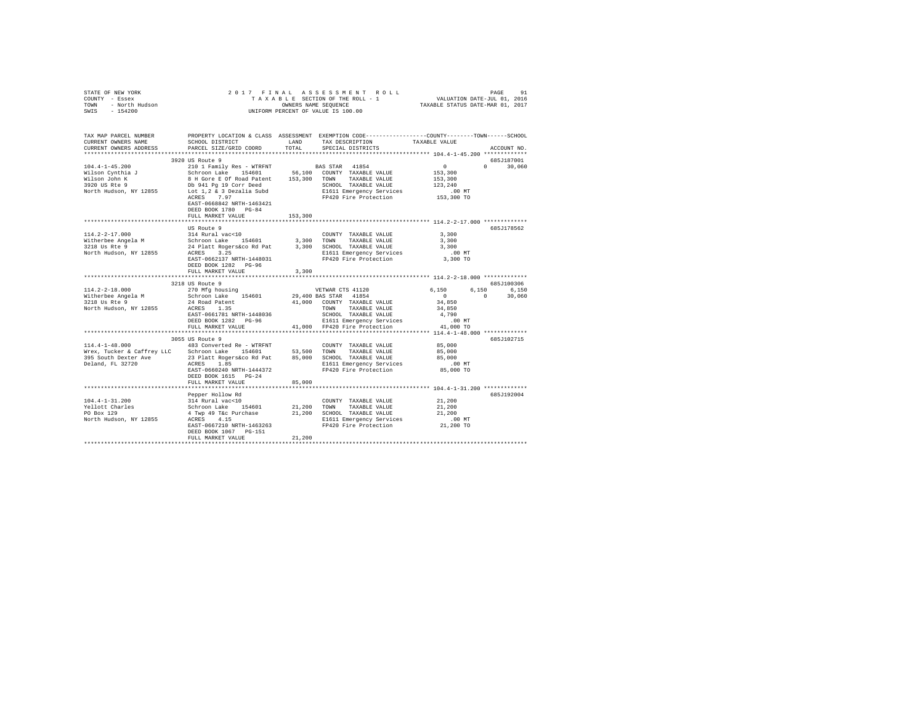| STATE OF NEW YORK<br>COUNTY - Essex<br>TOWN - North Hudson<br>SWIS - 154200 | 2017 FINAL<br>UNIFORM PERCENT OF VALUE IS 100.00                                                                                  |             |                                                                                                                    |                      |                     |
|-----------------------------------------------------------------------------|-----------------------------------------------------------------------------------------------------------------------------------|-------------|--------------------------------------------------------------------------------------------------------------------|----------------------|---------------------|
| TAX MAP PARCEL NUMBER<br>CURRENT OWNERS NAME                                | SCHOOL DISTRICT                                                                                                                   | LAND        | PROPERTY LOCATION & CLASS ASSESSMENT EXEMPTION CODE---------------COUNTY-------TOWN------SCHOOL<br>TAX DESCRIPTION | TAXABLE VALUE        |                     |
| CURRENT OWNERS ADDRESS                                                      | PARCEL SIZE/GRID COORD                                                                                                            | TOTAL       | SPECIAL DISTRICTS                                                                                                  |                      | ACCOUNT NO.         |
| ************************                                                    |                                                                                                                                   |             |                                                                                                                    |                      |                     |
| $104.4 - 1 - 45.200$                                                        | 3920 US Route 9                                                                                                                   |             | BAS STAR 41854                                                                                                     | $\sim$ 0             | 685J187001          |
| Wilson Cynthia J                                                            | 210 1 Family Res - WTRFNT                                                                                                         |             |                                                                                                                    | 153,300              | $0 \t 30,060$       |
| Wilson John K                                                               |                                                                                                                                   |             |                                                                                                                    | 153,300              |                     |
| 3920 US Rte 9                                                               | Schroon Lake 154601 56,100 COUNTY TAXABLE VALUE<br>8 H Gore E Of Road Patent 153,300 TOWN TAXABLE VALUE<br>Db 941 Pg 19 Corr Deed |             | SCHOOL TAXABLE VALUE                                                                                               | 123,240              |                     |
| North Hudson, NY 12855 Lot 1,2 & 3 Dezalia Subd                             |                                                                                                                                   |             | E1611 Emergency Services                                                                                           | $.00$ MT             |                     |
|                                                                             | ACRES 7.97<br>EAST-0668842 NRTH-1463421<br>DEED BOOK 1780 PG-84                                                                   |             | FP420 Fire Protection                                                                                              | 153,300 TO           |                     |
|                                                                             | FULL MARKET VALUE                                                                                                                 | 153,300     |                                                                                                                    |                      |                     |
|                                                                             |                                                                                                                                   |             |                                                                                                                    |                      |                     |
|                                                                             | US Route 9                                                                                                                        |             |                                                                                                                    |                      | 685J178562          |
| $114.2 - 2 - 17.000$                                                        | 314 Rural vac<10                                                                                                                  |             | COUNTY TAXABLE VALUE                                                                                               | 3,300                |                     |
| Witherbee Angela M<br>3218 Us Rte 9                                         | 314 kurai vacsio<br>Schroon Lake    154601<br>24 Platt Rogers&co Rd Pat                                                           |             | 3,300 TOWN<br>TAXABLE VALUE<br>3,300 SCHOOL TAXABLE VALUE                                                          | 3,300<br>3,300       |                     |
| North Hudson, NY 12855                                                      | ACRES 3.25                                                                                                                        |             |                                                                                                                    | $.00$ MT             |                     |
|                                                                             | EAST-0662137 NRTH-1448031<br>DEED BOOK 1282 PG-96                                                                                 |             | E1611 Emergency Services<br>FP420 Fire Protection                                                                  | 3,300 TO             |                     |
|                                                                             | FULL MARKET VALUE                                                                                                                 | 3,300       |                                                                                                                    |                      |                     |
|                                                                             | **************************                                                                                                        | *********** |                                                                                                                    |                      |                     |
| $114.2 - 2 - 18.000$                                                        | 3218 US Route 9                                                                                                                   |             |                                                                                                                    | 6,150                | 685J100306<br>6.150 |
| Witherbee Angela M                                                          | 270 Mfg housing<br>Schroon Lake 154601                                                                                            |             | VETWAR CTS 41120<br>29,400 BAS STAR 41854                                                                          | $\sim$ 0<br>$\sim$ 0 | 6,150<br>30,060     |
| 3218 Us Rte 9                                                               |                                                                                                                                   |             | 41,000 COUNTY TAXABLE VALUE                                                                                        | 34,850               |                     |
| North Hudson, NY 12855                                                      | 24 Road Patent<br>ACRES 1.35<br>ACRES 1.35                                                                                        |             | TOWN TAXABLE VALUE                                                                                                 | 34,850               |                     |
|                                                                             | EAST-0661781 NRTH-1448036                                                                                                         |             | SCHOOL TAXABLE VALUE                                                                                               | 4,790                |                     |
|                                                                             | DEED BOOK 1282 PG-96                                                                                                              |             | E1611 Emergency Services                                                                                           | $.00$ MT             |                     |
|                                                                             | FULL MARKET VALUE                                                                                                                 |             | 41,000 FP420 Fire Protection                                                                                       | 41,000 TO            |                     |
|                                                                             | 3055 US Route 9                                                                                                                   |             |                                                                                                                    |                      | 685J102715          |
| $114.4 - 1 - 48.000$                                                        | 483 Converted Re - WTRFNT                                                                                                         |             | COUNTY TAXABLE VALUE                                                                                               | 85,000               |                     |
| Wrex, Tucker & Caffrey LLC                                                  | Schroon Lake 154601                                                                                                               | 53,500 TOWN | TAXABLE VALUE                                                                                                      | 85,000               |                     |
| 395 South Dexter Ave 23 Platt Rogers&co Rd Pat 85,000 SCHOOL TAXABLE VALUE  |                                                                                                                                   |             |                                                                                                                    | 85,000               |                     |
| Deland, FL 32720                                                            | ACRES 1.85                                                                                                                        |             | E1611 Emergency Services                                                                                           | $.00$ MT             |                     |
|                                                                             | EAST-0660240 NRTH-1444372<br>DEED BOOK 1615 PG-24                                                                                 |             | FP420 Fire Protection                                                                                              | 85,000 TO            |                     |
|                                                                             | FULL MARKET VALUE                                                                                                                 | 85,000      |                                                                                                                    |                      |                     |
|                                                                             | Pepper Hollow Rd                                                                                                                  |             |                                                                                                                    |                      | 685J192004          |
| $104.4 - 1 - 31.200$                                                        | 314 Rural vac<10                                                                                                                  |             | COUNTY TAXABLE VALUE                                                                                               | 21,200               |                     |
| Yellott Charles                                                             | 314 Rurai vac<10<br>Schroon Lake 154601                                                                                           | 21,200 TOWN | TAXABLE VALUE                                                                                                      | 21,200               |                     |
| PO Box 129                                                                  | 4 Twp 49 T&c Purchase                                                                                                             |             | 21,200 SCHOOL TAXABLE VALUE                                                                                        | 21,200               |                     |
| North Hudson, NY 12855                                                      | ACRES 4.15                                                                                                                        |             | E1611 Emergency Services                                                                                           | $.00$ MT             |                     |
|                                                                             | EAST-0667210 NRTH-1463263<br>DEED BOOK 1067 PG-151                                                                                |             | FP420 Fire Protection                                                                                              | 21,200 TO            |                     |
|                                                                             | FULL MARKET VALUE                                                                                                                 | 21,200      |                                                                                                                    |                      |                     |
|                                                                             |                                                                                                                                   |             |                                                                                                                    |                      |                     |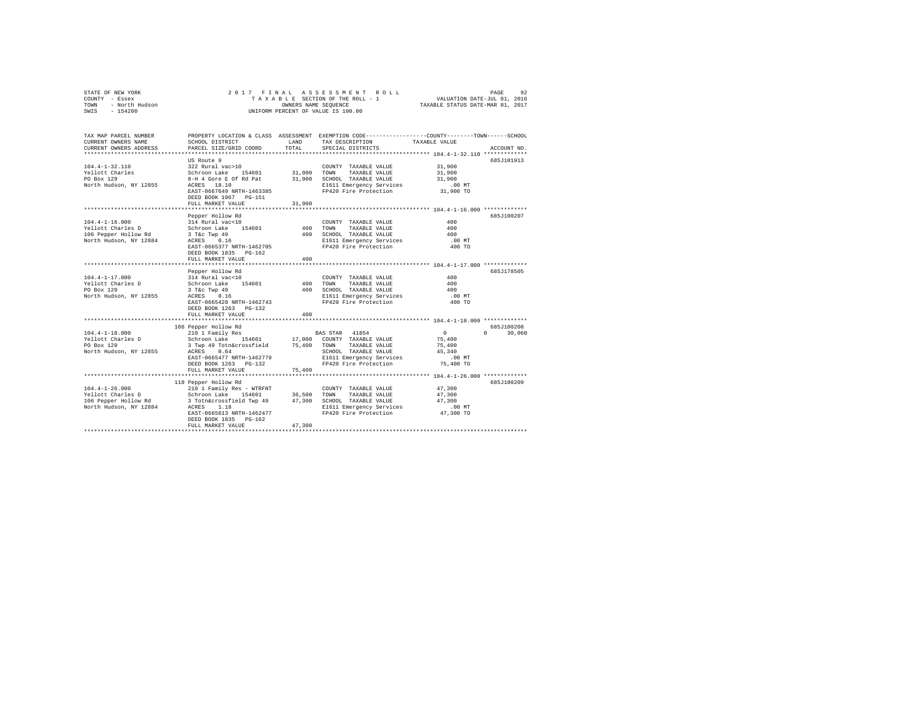|                | STATE OF NEW YORK |  |  |  |  | 2017 FINAL ASSESSMENT ROLL         | PAGE                             | 92 |
|----------------|-------------------|--|--|--|--|------------------------------------|----------------------------------|----|
| COUNTY - Essex |                   |  |  |  |  | TAXABLE SECTION OF THE ROLL - 1    | VALUATION DATE-JUL 01, 2016      |    |
| TOWN           | - North Hudson    |  |  |  |  | OWNERS NAME SEOUENCE               | TAXABLE STATUS DATE-MAR 01, 2017 |    |
| SWIS           | - 154200          |  |  |  |  | UNIFORM PERCENT OF VALUE IS 100.00 |                                  |    |

| TAX MAP PARCEL NUMBER<br>CURRENT OWNERS NAME<br>CURRENT OWNERS ADDRESS                      | SCHOOL DISTRICT<br>PARCEL SIZE/GRID COORD                                                                                                                                                                 | LAND<br>TOTAL              | PROPERTY LOCATION & CLASS ASSESSMENT EXEMPTION CODE---------------COUNTY-------TOWN-----SCHOOL<br>TAX DESCRIPTION<br>SPECIAL DISTRICTS                                                        | TAXABLE VALUE                                                | ACCOUNT NO.                    |
|---------------------------------------------------------------------------------------------|-----------------------------------------------------------------------------------------------------------------------------------------------------------------------------------------------------------|----------------------------|-----------------------------------------------------------------------------------------------------------------------------------------------------------------------------------------------|--------------------------------------------------------------|--------------------------------|
| $104.4 - 1 - 32.110$<br>Yellott Charles<br>PO Box 129<br>North Hudson, NY 12855             | US Route 9<br>322 Rural vac>10<br>Schroon Lake<br>154601<br>8-H 4 Gore E Of Rd Pat<br>ACRES 18.10<br>EAST-0667649 NRTH-1463385<br>DEED BOOK 1067 PG-151<br>FULL MARKET VALUE<br>************************* | 31,900<br>31,900<br>31,900 | COUNTY TAXABLE VALUE<br>TOWN<br>TAXABLE VALUE<br>SCHOOL TAXABLE VALUE<br>E1611 Emergency Services<br>FP420 Fire Protection                                                                    | 31,900<br>31,900<br>31,900<br>$.00$ MT<br>31,900 TO          | 685J101913                     |
| $104.4 - 1 - 16.000$<br>Yellott Charles D<br>106 Pepper Hollow Rd<br>North Hudson, NY 12884 | Pepper Hollow Rd<br>314 Rural vac<10<br>Schroon Lake 154601<br>3 T&c Twp 49<br>ACRES<br>0.16<br>EAST-0665377 NRTH-1462705<br>DEED BOOK 1835 PG-162<br>FULL MARKET VALUE<br>                               | 400<br>400<br>400          | COUNTY TAXABLE VALUE<br>TOWN<br>TAXABLE VALUE<br>SCHOOL TAXABLE VALUE<br>E1611 Emergency Services<br>FP420 Fire Protection<br>******************************** 104.4-1-17.000 *************** | 400<br>400<br>400<br>$.00$ MT<br>400 TO                      | 685J100207                     |
| $104.4 - 1 - 17.000$<br>Yellott Charles D<br>PO Box 129<br>North Hudson, NY 12855           | Pepper Hollow Rd<br>314 Rural vac<10<br>Schroon Lake<br>154601<br>3 T&c Twp 49<br>ACRES 0.16<br>EAST-0665428 NRTH-1462743<br>DEED BOOK 1263 PG-132<br>FULL MARKET VALUE                                   | 400<br>400<br>400          | COUNTY TAXABLE VALUE<br>TOWN<br>TAXABLE VALUE<br>SCHOOL TAXABLE VALUE<br>E1611 Emergency Services<br>FP420 Fire Protection                                                                    | 400<br>400<br>400<br>$.00$ MT<br>400 TO                      | 685J178505                     |
| $104.4 - 1 - 18.000$<br>Yellott Charles D<br>PO Box 129<br>North Hudson, NY 12855           | 106 Pepper Hollow Rd<br>210 1 Family Res<br>Schroon Lake 154601<br>3 Twp 49 Totn&crossfield<br>0.64<br>ACRES<br>EAST-0665477 NRTH-1462779<br>DEED BOOK 1263 PG-132<br>FULL MARKET VALUE                   | 17,000<br>75,400<br>75,400 | BAS STAR 41854<br>COUNTY TAXABLE VALUE<br>TOWN<br>TAXABLE VALUE<br>SCHOOL TAXABLE VALUE<br>E1611 Emergency Services<br>FP420 Fire Protection                                                  | $\circ$<br>75,400<br>75,400<br>45,340<br>.00 MT<br>75,400 TO | 685J100208<br>$\cap$<br>30,060 |
| $104.4 - 1 - 26.000$<br>Yellott Charles D<br>106 Pepper Hollow Rd<br>North Hudson, NY 12884 | 110 Pepper Hollow Rd<br>210 1 Family Res - WTRFNT<br>Schroon Lake 154601<br>3 Totn&crossfield Twp 49<br>ACRES 1.18<br>EAST-0665613 NRTH-1462477<br>DEED BOOK 1835 PG-162<br>FULL MARKET VALUE             | 36,500<br>47,300<br>47,300 | COUNTY TAXABLE VALUE<br>TOWN<br>TAXABLE VALUE<br>SCHOOL TAXABLE VALUE<br>E1611 Emergency Services<br>FP420 Fire Protection                                                                    | 47,300<br>47,300<br>47,300<br>$.00$ MT<br>47,300 TO          | 685J100209                     |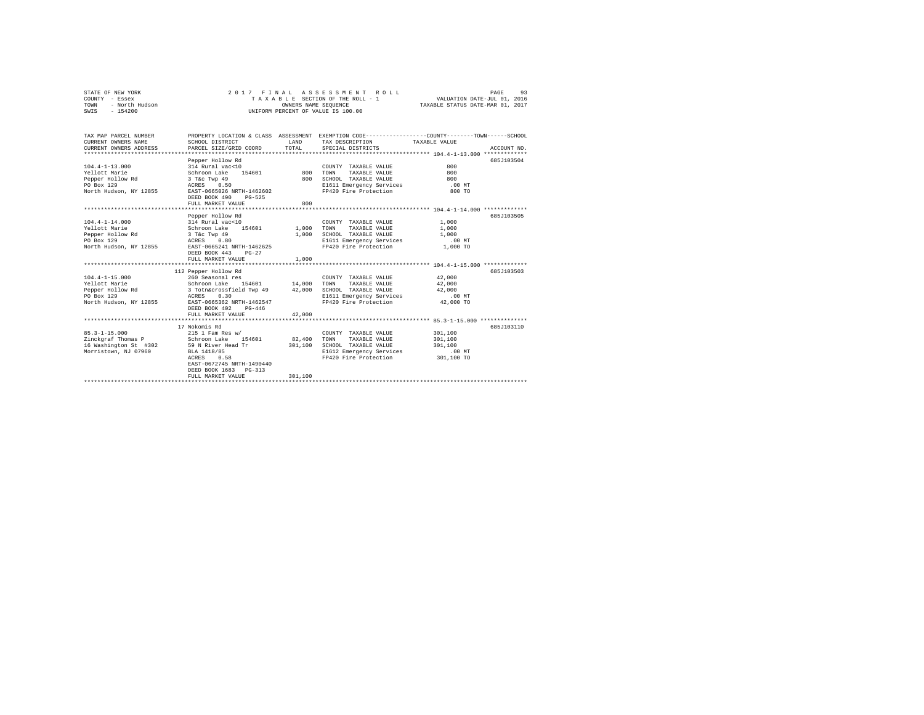|      | STATE OF NEW YORK | 2017 FINAL ASSESSMENT ROLL         | 93<br>PAGE                       |
|------|-------------------|------------------------------------|----------------------------------|
|      | COUNTY - Essex    | TAXABLE SECTION OF THE ROLL - 1    | VALUATION DATE-JUL 01, 2016      |
| TOWN | - North Hudson    | OWNERS NAME SEOUENCE               | TAXABLE STATUS DATE-MAR 01, 2017 |
| SWIS | $-154200$         | UNIFORM PERCENT OF VALUE IS 100.00 |                                  |

| TAX MAP PARCEL NUMBER<br>CURRENT OWNERS NAME<br>CURRENT OWNERS ADDRESS                            | SCHOOL DISTRICT<br>PARCEL SIZE/GRID COORD                                                                                                                                                                 | LAND<br>TOTAL           | PROPERTY LOCATION & CLASS ASSESSMENT EXEMPTION CODE----------------COUNTY-------TOWN------SCHOOL<br>TAX DESCRIPTION<br>SPECIAL DISTRICTS | TAXABLE VALUE                                           | ACCOUNT NO. |
|---------------------------------------------------------------------------------------------------|-----------------------------------------------------------------------------------------------------------------------------------------------------------------------------------------------------------|-------------------------|------------------------------------------------------------------------------------------------------------------------------------------|---------------------------------------------------------|-------------|
| $104.4 - 1 - 13.000$<br>Yellott Marie<br>Pepper Hollow Rd<br>PO Box 129<br>North Hudson, NY 12855 | Pepper Hollow Rd<br>314 Rural vac<10<br>154601<br>Schroon Lake<br>3 T&c Twp 49<br>0.50<br>ACRES<br>EAST-0665026 NRTH-1462602<br>DEED BOOK 490<br>$PG-525$<br>FULL MARKET VALUE                            | 800<br>800<br>800       | COUNTY TAXABLE VALUE<br>TOWN<br>TAXABLE VALUE<br>SCHOOL TAXABLE VALUE<br>E1611 Emergency Services<br>FP420 Fire Protection               | 800<br>800<br>800<br>$.00$ MT<br>800 TO                 | 685.7103504 |
| $104.4 - 1 - 14.000$<br>Yellott Marie<br>Pepper Hollow Rd<br>PO Box 129<br>North Hudson, NY 12855 | Pepper Hollow Rd<br>314 Rural vac<10<br>Schroon Lake<br>154601<br>3 T&C Twp 49<br>ACRES 0.80<br>EAST-0665241 NRTH-1462625<br>DEED BOOK 443<br>$PG-27$<br>FULL MARKET VALUE                                | 1,000<br>1,000<br>1,000 | COUNTY TAXABLE VALUE<br>TOWN<br>TAXABLE VALUE<br>SCHOOL TAXABLE VALUE<br>E1611 Emergency Services<br>FP420 Fire Protection               | 1,000<br>1,000<br>1,000<br>$.00$ MT<br>1,000 TO         | 685J103505  |
| $104.4 - 1 - 15.000$<br>Yellott Marie<br>Pepper Hollow Rd<br>PO Box 129<br>North Hudson, NY 12855 | 112 Pepper Hollow Rd<br>260 Seasonal res<br>Schroom Lake 154601 14,000<br>3 Totn&crossfield Twp 49 42,000<br>ACRES<br>0.30<br>EAST-0665362 NRTH-1462547<br>DEED BOOK 402<br>$PG-446$<br>FULL MARKET VALUE | 42,000                  | COUNTY TAXABLE VALUE<br>TOWN<br>TAXABLE VALUE<br>SCHOOL TAXABLE VALUE<br>E1611 Emergency Services<br>FP420 Fire Protection               | 42,000<br>42,000<br>42,000<br>$.00$ MT<br>42,000 TO     | 685J103503  |
| $85.3 - 1 - 15.000$<br>Zinckgraf Thomas P<br>16 Washington St #302<br>Morristown, NJ 07960        | 17 Nokomis Rd<br>215 1 Fam Res w/<br>Schroon Lake 154601 82.400<br>59 N River Head Tr<br>BLA 1418/85<br>0.58<br>ACRES<br>EAST-0672745 NRTH-1490440<br>DEED BOOK 1683 PG-313<br>FULL MARKET VALUE          | 301,100<br>301,100      | COUNTY TAXABLE VALUE<br>TOWN<br>TAXABLE VALUE<br>SCHOOL TAXABLE VALUE<br>E1612 Emergency Services<br>FP420 Fire Protection               | 301,100<br>301,100<br>301,100<br>$.00$ MT<br>301,100 TO | 685J103110  |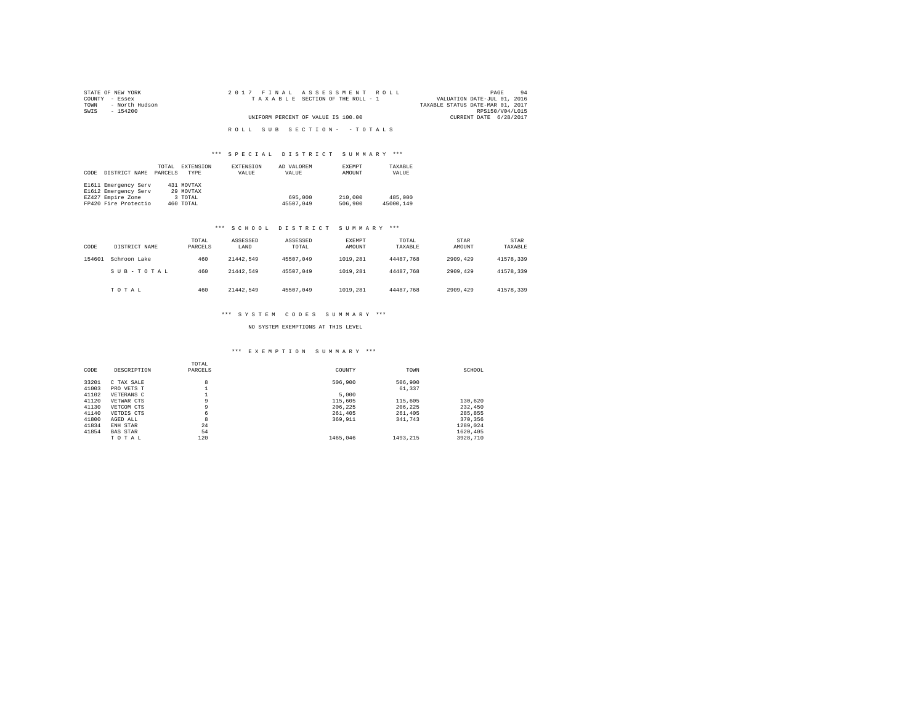| STATE OF NEW YORK      | 2017 FINAL ASSESSMENT ROLL         | 94<br>PAGE                       |
|------------------------|------------------------------------|----------------------------------|
| COUNTY - Essex         | TAXABLE SECTION OF THE ROLL - 1    | VALUATION DATE-JUL 01, 2016      |
| - North Hudson<br>TOWN |                                    | TAXABLE STATUS DATE-MAR 01, 2017 |
| SWIS<br>- 154200       |                                    | RPS150/V04/L015                  |
|                        | UNIFORM PERCENT OF VALUE IS 100.00 | CURRENT DATE 6/28/2017           |
|                        |                                    |                                  |
|                        | ROLL SUB SECTION- - TOTALS         |                                  |

## \*\*\* S P E C I A L D I S T R I C T S U M M A R Y \*\*\*

|      |                      | TOTAL   | EXTENSION  | <b>EXTENSION</b> | AD VALOREM | EXEMPT  | TAXABLE   |
|------|----------------------|---------|------------|------------------|------------|---------|-----------|
| CODE | DISTRICT NAME        | PARCELS | TYPE       | VALUE            | VALUE      | AMOUNT  | VALUE     |
|      |                      |         |            |                  |            |         |           |
|      | E1611 Emergency Serv |         | 431 MOVTAX |                  |            |         |           |
|      | E1612 Emergency Serv |         | 29 MOVTAX  |                  |            |         |           |
|      | EZ427 Empire Zone    |         | 3 TOTAL    |                  | 695,000    | 210,000 | 485,000   |
|      | FP420 Fire Protectio |         | 460 TOTAL  |                  | 45507.049  | 506,900 | 45000.149 |

#### \*\*\* S C H O O L D I S T R I C T S U M M A R Y \*\*\*

| CODE   | DISTRICT NAME | TOTAL<br>PARCELS | ASSESSED<br>LAND | ASSESSED<br>TOTAL | EXEMPT<br>AMOUNT | TOTAL<br>TAXABLE | STAR<br>AMOUNT | <b>STAR</b><br>TAXABLE |
|--------|---------------|------------------|------------------|-------------------|------------------|------------------|----------------|------------------------|
| 154601 | Schroon Lake  | 460              | 21442.549        | 45507.049         | 1019,281         | 44487.768        | 2909,429       | 41578.339              |
|        | SUB-TOTAL     | 460              | 21442.549        | 45507.049         | 1019,281         | 44487.768        | 2909,429       | 41578.339              |
|        | TOTAL         | 460              | 21442.549        | 45507.049         | 1019.281         | 44487.768        | 2909.429       | 41578.339              |

## \*\*\* S Y S T E M C O D E S S U M M A R Y \*\*\*

## NO SYSTEM EXEMPTIONS AT THIS LEVEL

## \*\*\* E X E M P T I O N S U M M A R Y \*\*\*

| CODE  | DESCRIPTION     | TOTAL<br>PARCELS | COUNTY   | TOWN     | SCHOOL   |
|-------|-----------------|------------------|----------|----------|----------|
| 33201 | C TAX SALE      | 8                | 506,900  | 506,900  |          |
| 41003 | PRO VETS T      |                  |          | 61,337   |          |
| 41102 | VETERANS C      |                  | 5,000    |          |          |
| 41120 | VETWAR CTS      | 9                | 115,605  | 115,605  | 130,620  |
| 41130 | VETCOM CTS      | 9                | 206.225  | 206.225  | 232,450  |
| 41140 | VETDIS CTS      | 6                | 261,405  | 261,405  | 285.855  |
| 41800 | AGED ALL        | 8                | 369,911  | 341,743  | 370,356  |
| 41834 | ENH STAR        | 24               |          |          | 1289.024 |
| 41854 | <b>BAS STAR</b> | 54               |          |          | 1620.405 |
|       | TOTAL           | 120              | 1465.046 | 1493.215 | 3928,710 |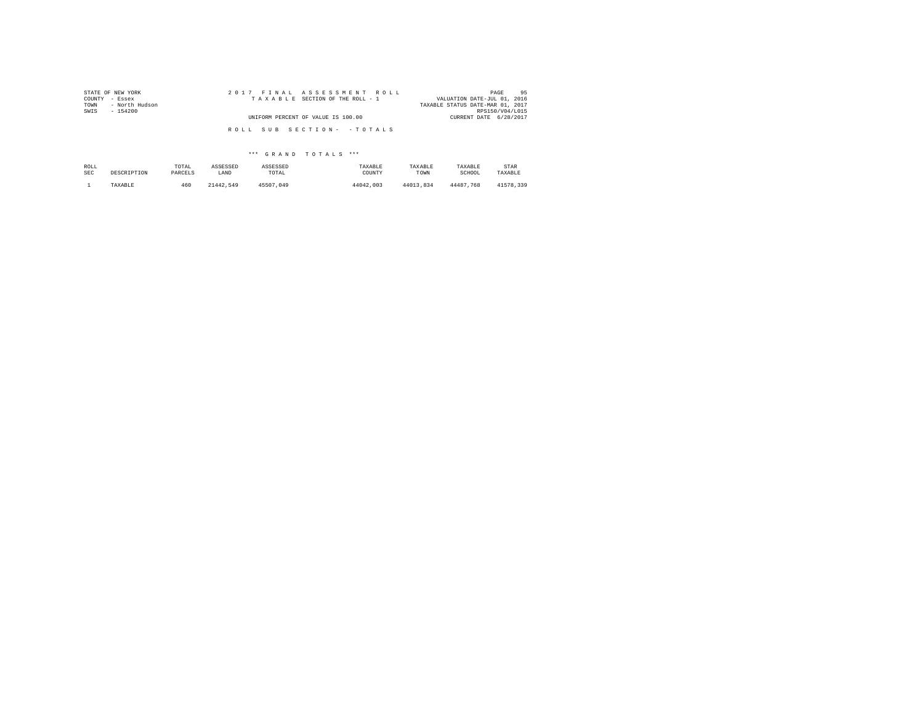| STATE OF NEW YORK<br>COUNTY<br>- Essex | 2017 FINAL ASSESSMENT ROLL<br>TAXABLE SECTION OF THE ROLL - 1    | 95<br>PAGE<br>VALUATION DATE-JUL 01, 2016 |
|----------------------------------------|------------------------------------------------------------------|-------------------------------------------|
| - North Hudson                         |                                                                  | TAXABLE STATUS DATE-MAR 01, 2017          |
|                                        |                                                                  |                                           |
|                                        |                                                                  |                                           |
|                                        |                                                                  |                                           |
|                                        |                                                                  |                                           |
| $-154200$                              | UNIFORM PERCENT OF VALUE IS 100.00<br>ROLL SUB SECTION- - TOTALS | RPS150/V04/L015<br>CURRENT DATE 6/28/2017 |

| ROLL       | DESCRIPTION | TOTAL   | ASSESSED  | ASSESSED  | TAXABLE   | TAXABLE   | TAXABLE   | STAR      |
|------------|-------------|---------|-----------|-----------|-----------|-----------|-----------|-----------|
| <b>SEC</b> |             | PARCELS | LAND      | TOTAL     | COUNTY    | TOWN      | SCHOOL    | TAXABLE   |
|            | TAXABLE     | 460     | 21442.549 | 45507.049 | 44042.003 | 44013.834 | 44487.768 | 41578.339 |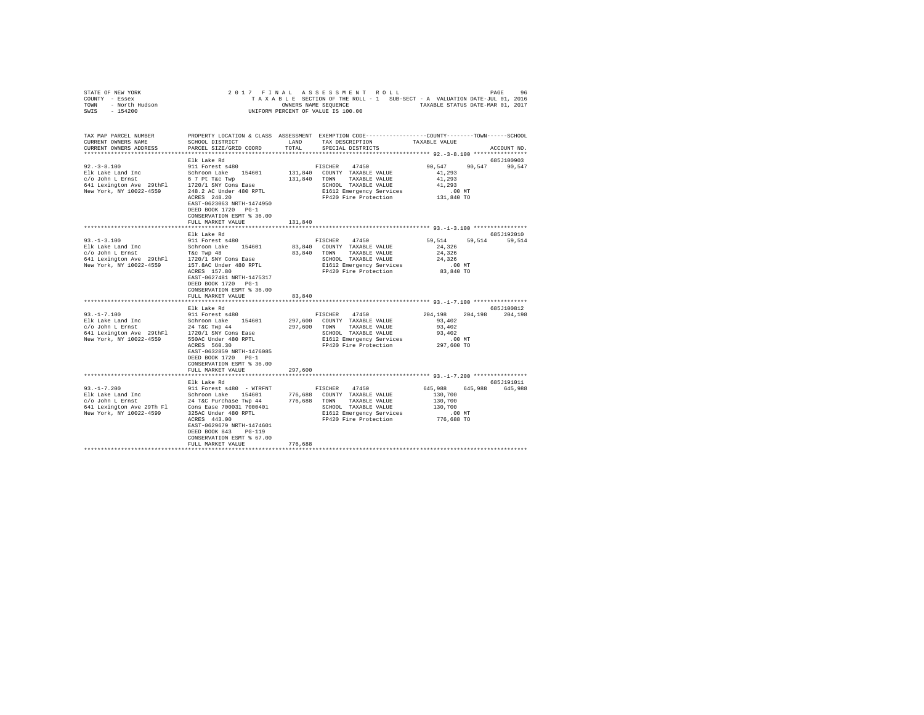| STATE OF NEW YORK<br>COUNTY - Essex<br>TOWN - North Hudson<br>SWIS - 154200                                                                                                                                                                              | 2017 FINAL                |         | ASSESSMENT ROLL                                                                                                                   |                       | 96<br>PAGE         |
|----------------------------------------------------------------------------------------------------------------------------------------------------------------------------------------------------------------------------------------------------------|---------------------------|---------|-----------------------------------------------------------------------------------------------------------------------------------|-----------------------|--------------------|
|                                                                                                                                                                                                                                                          |                           |         | TAXABLE SECTION OF THE ROLL - 1 SUB-SECT - A VALUATION DATE-JUL 01, 2016<br>OWNERS NAME SEQUENCE TAXABLE STATUS DATE-MAR 01, 2017 |                       |                    |
|                                                                                                                                                                                                                                                          |                           |         | UNIFORM PERCENT OF VALUE IS 100.00                                                                                                |                       |                    |
|                                                                                                                                                                                                                                                          |                           |         |                                                                                                                                   |                       |                    |
|                                                                                                                                                                                                                                                          |                           |         |                                                                                                                                   |                       |                    |
| TAX MAP PARCEL NUMBER                                                                                                                                                                                                                                    |                           |         | PROPERTY LOCATION & CLASS ASSESSMENT EXEMPTION CODE----------------COUNTY-------TOWN------SCHOOL                                  |                       |                    |
| CURRENT OWNERS NAME                                                                                                                                                                                                                                      | SCHOOL DISTRICT           | LAND    | TAX DESCRIPTION                                                                                                                   | TAXABLE VALUE         |                    |
| CURRENT OWNERS ADDRESS                                                                                                                                                                                                                                   | PARCEL SIZE/GRID COORD    | TOTAL   | SPECIAL DISTRICTS                                                                                                                 |                       | ACCOUNT NO.        |
|                                                                                                                                                                                                                                                          |                           |         |                                                                                                                                   |                       |                    |
|                                                                                                                                                                                                                                                          | Elk Lake Rd               |         |                                                                                                                                   |                       | 685J100903         |
| $92. - 3 - 8.100$                                                                                                                                                                                                                                        | 911 Forest s480           |         | FISCHER<br>47450                                                                                                                  | 90,547                | 90,547<br>90,547   |
| Elk Lake Land Inc                                                                                                                                                                                                                                        | Schroon Lake 154601       |         | 131,840 COUNTY TAXABLE VALUE                                                                                                      | 41,293                |                    |
| c/o John L Ernst                                                                                                                                                                                                                                         | 6 7 Pt T&c Twp            |         | 131,840 TOWN TAXABLE VALUE                                                                                                        | 41,293                |                    |
| 641 Lexington Ave 29thF1 1720/1 SNY Cons Ease                                                                                                                                                                                                            |                           |         | SCHOOL TAXABLE VALUE                                                                                                              | 41,293                |                    |
| New York, NY 10022-4559                                                                                                                                                                                                                                  | 248.2 AC Under 480 RPTL   |         | E1612 Emergency Services                                                                                                          | $.00$ MT              |                    |
|                                                                                                                                                                                                                                                          | ACRES 248.20              |         | FP420 Fire Protection                                                                                                             | 131,840 TO            |                    |
|                                                                                                                                                                                                                                                          | EAST-0623063 NRTH-1474950 |         |                                                                                                                                   |                       |                    |
|                                                                                                                                                                                                                                                          | DEED BOOK 1720 PG-1       |         |                                                                                                                                   |                       |                    |
|                                                                                                                                                                                                                                                          | CONSERVATION ESMT % 36.00 |         |                                                                                                                                   |                       |                    |
|                                                                                                                                                                                                                                                          | FULL MARKET VALUE         | 131,840 |                                                                                                                                   |                       |                    |
|                                                                                                                                                                                                                                                          |                           |         |                                                                                                                                   |                       |                    |
|                                                                                                                                                                                                                                                          | Elk Lake Rd               |         |                                                                                                                                   |                       | 685J192010         |
| $93. -1 - 3.100$                                                                                                                                                                                                                                         | 911 Forest s480           |         | FISCHER 47450                                                                                                                     | 59,514                | 59,514 59,514      |
| Elk Lake Land Inc<br>c/o John L Ernst                                                                                                                                                                                                                    | Schroon Lake 154601       |         | 83,840 COUNTY TAXABLE VALUE                                                                                                       | 24,326                |                    |
|                                                                                                                                                                                                                                                          |                           |         | 83,840 TOWN TAXABLE VALUE                                                                                                         | 24,326                |                    |
|                                                                                                                                                                                                                                                          |                           |         | SCHOOL TAXABLE VALUE                                                                                                              | 24,326                |                    |
|                                                                                                                                                                                                                                                          | ACRES 157.80              |         | E1612 Emergency Services                                                                                                          | $.00$ MT<br>83,840 TO |                    |
|                                                                                                                                                                                                                                                          | EAST-0627481 NRTH-1475317 |         | FP420 Fire Protection                                                                                                             |                       |                    |
|                                                                                                                                                                                                                                                          | DEED BOOK 1720 PG-1       |         |                                                                                                                                   |                       |                    |
|                                                                                                                                                                                                                                                          | CONSERVATION ESMT % 36.00 |         |                                                                                                                                   |                       |                    |
|                                                                                                                                                                                                                                                          | FULL MARKET VALUE         | 83,840  |                                                                                                                                   |                       |                    |
|                                                                                                                                                                                                                                                          |                           |         |                                                                                                                                   |                       |                    |
|                                                                                                                                                                                                                                                          | Elk Lake Rd               |         |                                                                                                                                   |                       | 685J100812         |
| $93. -1 - 7.100$                                                                                                                                                                                                                                         |                           |         | 47450<br>FISCHER                                                                                                                  | 204,198 204,198       | 204,198            |
| 91.-1-7.100<br>Elk Lake Land Inc Schroon Lake 154601<br>$c/o$ John L Ernst 24 T&C Twp 44<br>641 Lexington Ave 29thFl 1720/1 SNY Cons Ease<br>New York, NY 10022-4559 550AC Under 480 RPTL                                                                |                           |         | 297,600 COUNTY TAXABLE VALUE                                                                                                      | 93,402                |                    |
|                                                                                                                                                                                                                                                          |                           |         | 297,600 TOWN<br>TAXABLE VALUE                                                                                                     | 93,402                |                    |
|                                                                                                                                                                                                                                                          |                           |         | SCHOOL TAXABLE VALUE<br>E1612 Emergency Servic                                                                                    | 93,402                |                    |
|                                                                                                                                                                                                                                                          |                           |         | E1612 Emergency Services                                                                                                          | $.00$ MT              |                    |
|                                                                                                                                                                                                                                                          | ACRES 560.30              |         | FP420 Fire Protection                                                                                                             | 297,600 TO            |                    |
|                                                                                                                                                                                                                                                          | EAST-0632859 NRTH-1476085 |         |                                                                                                                                   |                       |                    |
|                                                                                                                                                                                                                                                          | DEED BOOK 1720 PG-1       |         |                                                                                                                                   |                       |                    |
|                                                                                                                                                                                                                                                          | CONSERVATION ESMT % 36.00 |         |                                                                                                                                   |                       |                    |
|                                                                                                                                                                                                                                                          | FULL MARKET VALUE         | 297,600 |                                                                                                                                   |                       |                    |
|                                                                                                                                                                                                                                                          |                           |         |                                                                                                                                   |                       |                    |
|                                                                                                                                                                                                                                                          | Elk Lake Rd               |         |                                                                                                                                   |                       | 685J191011         |
| $93. -1 - 7.200$                                                                                                                                                                                                                                         | 911 Forest s480 - WTRFNT  |         | FISCHER<br>47450                                                                                                                  | 645,988               | 645,988<br>645,988 |
| Elk Lake Land Inc<br>$c$ /o John L Ernst<br>$c$ /o John L Ernst<br>$c$ /o John L Ernst<br>$c$ /o John L Ernst<br>$c$ /o John L Ernst<br>$c$ /o John L Ernst<br>$c$ /on Ease 700031 7000401<br>$c$ /on Ease 700031 7000401<br>$c$ /on Ease 700031 7000401 |                           |         | 776,688 COUNTY TAXABLE VALUE                                                                                                      | 130,700               |                    |
|                                                                                                                                                                                                                                                          |                           |         | 776,688 TOWN<br>TAXABLE VALUE<br>SCHOOL TAXABLE VALUE                                                                             | 130,700<br>130,700    |                    |
| New York, NY 10022-4599                                                                                                                                                                                                                                  | 325AC Under 480 RPTL      |         | E1612 Emergency Services                                                                                                          | .00 MT                |                    |
|                                                                                                                                                                                                                                                          | ACRES 443.00              |         | FP420 Fire Protection                                                                                                             | 776,688 TO            |                    |
|                                                                                                                                                                                                                                                          | EAST-0629679 NRTH-1474601 |         |                                                                                                                                   |                       |                    |
|                                                                                                                                                                                                                                                          | DEED BOOK 843<br>$PG-119$ |         |                                                                                                                                   |                       |                    |
|                                                                                                                                                                                                                                                          | CONSERVATION ESMT % 67.00 |         |                                                                                                                                   |                       |                    |
|                                                                                                                                                                                                                                                          | FULL MARKET VALUE         | 776,688 |                                                                                                                                   |                       |                    |
|                                                                                                                                                                                                                                                          |                           |         |                                                                                                                                   |                       |                    |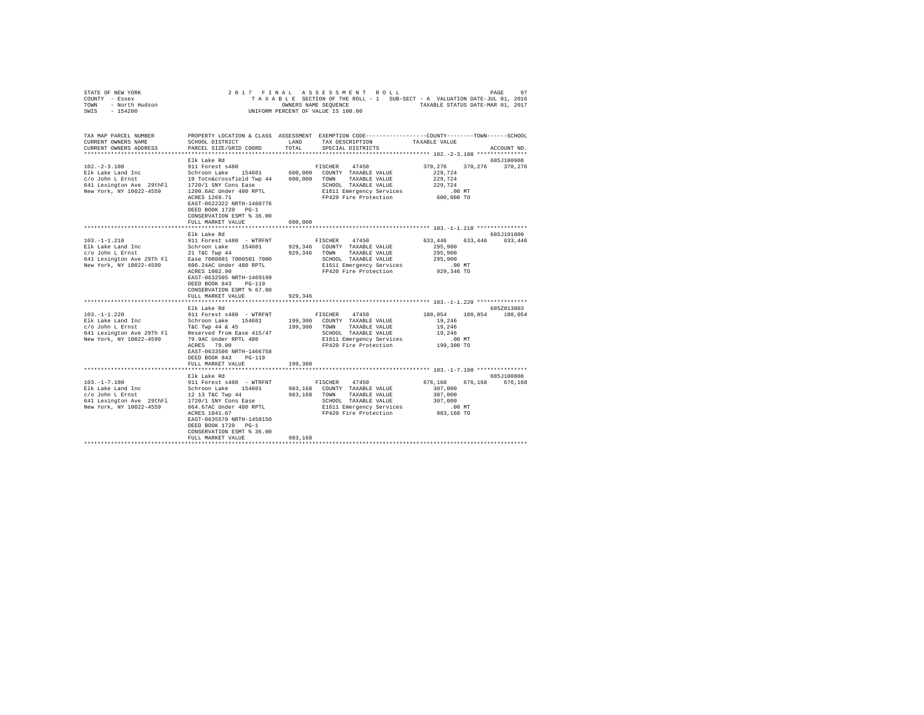| STATE OF NEW YORK<br>COUNTY - Essex<br>TOWN - North Hudson<br>SWIS - 154200                                                                                                                                 | 2017 FINAL                                                                                                                                             |         | ASSESSMENT ROLL<br>TAXABLE SECTION OF THE ROLL - 1 SUB-SECT - A VALUATION DATE-JUL 01, 2016<br>OWNERS NAME SEQUENCE TAXABLE STATUS DATE-MAR 01, 2017<br>UNIFORM PERCENT OF VALUE IS 100.00 |                                                                    | 97<br>PAGE            |
|-------------------------------------------------------------------------------------------------------------------------------------------------------------------------------------------------------------|--------------------------------------------------------------------------------------------------------------------------------------------------------|---------|--------------------------------------------------------------------------------------------------------------------------------------------------------------------------------------------|--------------------------------------------------------------------|-----------------------|
| TAX MAP PARCEL NUMBER<br>CURRENT OWNERS NAME<br>CURRENT OWNERS ADDRESS                                                                                                                                      | SCHOOL DISTRICT LAND<br>PARCEL SIZE/GRID COORD                                                                                                         | TOTAL   | PROPERTY LOCATION & CLASS ASSESSMENT EXEMPTION CODE-----------------COUNTY-------TOWN-----SCHOOL<br>TAX DESCRIPTION<br>SPECIAL DISTRICTS                                                   | TAXABLE VALUE                                                      | ACCOUNT NO.           |
|                                                                                                                                                                                                             |                                                                                                                                                        |         |                                                                                                                                                                                            |                                                                    |                       |
|                                                                                                                                                                                                             | Elk Lake Rd                                                                                                                                            |         |                                                                                                                                                                                            |                                                                    | 685J100908            |
| $102. -2 - 3.100$                                                                                                                                                                                           | 911 Forest s480<br>ACRES 1269.71<br>EAST-0622322 NRTH-1460776                                                                                          |         | FISCHER 47450<br>600,000 COUNTY TAXABLE VALUE<br>600,000 TOWN TAXABLE VALUE<br>SCHOOL TAXABLE VALUE<br>E1611 Emergency Services<br>FP420 Fire Protection                                   | 370,276<br>229,724<br>229,724<br>229,724<br>$.00$ MT<br>600,000 TO | 370.276 370.276       |
|                                                                                                                                                                                                             | DEED BOOK 1720 PG-1<br>CONSERVATION ESMT % 36.00<br>FULL MARKET VALUE                                                                                  | 600,000 |                                                                                                                                                                                            |                                                                    |                       |
|                                                                                                                                                                                                             |                                                                                                                                                        |         |                                                                                                                                                                                            |                                                                    |                       |
|                                                                                                                                                                                                             | Elk Lake Rd                                                                                                                                            |         |                                                                                                                                                                                            |                                                                    | 685J191009            |
| $103. -1 - 1.210$<br>Elk Lake Land Inc Schroon Lake 154601<br>c/o John L Ernst 21 T&C Twp 44<br>641 Lexington Ave 29Th F1 Ease 7000601 7000501 7000<br>Ease 7000601 7000501 7000<br>New York, NY 10022-4599 | 911 Forest s480 - WTRFNT<br>606.24AC Under 480 RPTL<br>ACRES 1002.90<br>EAST-0632505 NRTH-1469199<br>DEED BOOK 843 PG-119<br>CONSERVATION ESMT % 67.00 |         | 47450<br>FISCHER<br>929,346 COUNTY TAXABLE VALUE<br>929,346 TOWN TAXABLE VALUE<br>SCHOOL TAXABLE VALUE<br>E1611 Emergency Services<br>FP420 Fire Protection                                | 633,446<br>295,900<br>295,900<br>295,900<br>.00 MT<br>929,346 TO   | 633, 446 633, 446     |
|                                                                                                                                                                                                             | FULL MARKET VALUE                                                                                                                                      | 929.346 |                                                                                                                                                                                            |                                                                    |                       |
|                                                                                                                                                                                                             | Elk Lake Rd                                                                                                                                            |         |                                                                                                                                                                                            |                                                                    | 685Z013003            |
| $103. -1 - 1.220$                                                                                                                                                                                           | 911 Forest s480 - WTRFNT<br>ACRES 79.90<br>EAST-0633506 NRTH-1466758<br>DEED BOOK 843 PG-119<br>FULL MARKET VALUE                                      | 199,300 | FISCHER<br>47450<br>199,300 COUNTY TAXABLE VALUE<br>199,300 TOWN TAXABLE VALUE<br>SCHOOL TAXABLE VALUE<br>E1611 Emergency Services<br>FP420 Fire Protection                                | 180.054<br>19,246<br>19,246<br>19,246<br>$.00$ MT<br>199,300 TO    | 180,054 180,054       |
|                                                                                                                                                                                                             | ***********************                                                                                                                                |         |                                                                                                                                                                                            | ********************************** 103.-1-7.100 ****************   |                       |
| $103. - 1 - 7.100$                                                                                                                                                                                          | Elk Lake Rd<br>911 Forest s480 - WTRFNT                                                                                                                |         | FISCHER<br>47450                                                                                                                                                                           | 676,168<br>676.168                                                 | 685J100808<br>676,168 |
| 101.-1-7.1.1.00<br>Elk Lake Land Inc Schroon Lake 154601<br>C/O John L Ernst 12 13 T&C Twp 44<br>641 Lexington Ave 29thF1 1720/1 SNY Cons Ease<br>New York, NY 10022-4559 864.67AC Under 480 RPTL           | 864.67AC Under 480 RPTL<br>ACRES 1041.67<br>EAST-0635570 NRTH-1458150<br>DEED BOOK 1720 PG-1<br>CONSERVATION ESMT % 36.00<br>FULL MARKET VALUE         | 983,168 | 983,168 COUNTY TAXABLE VALUE<br>983,168 TOWN<br>TAXABLE VALUE<br>SCHOOL TAXABLE VALUE<br>E1611 Emergency Services<br>FP420 Fire Protection                                                 | 307,000<br>307,000<br>307,000<br>.00 MT<br>983,168 TO              |                       |
|                                                                                                                                                                                                             |                                                                                                                                                        |         |                                                                                                                                                                                            |                                                                    |                       |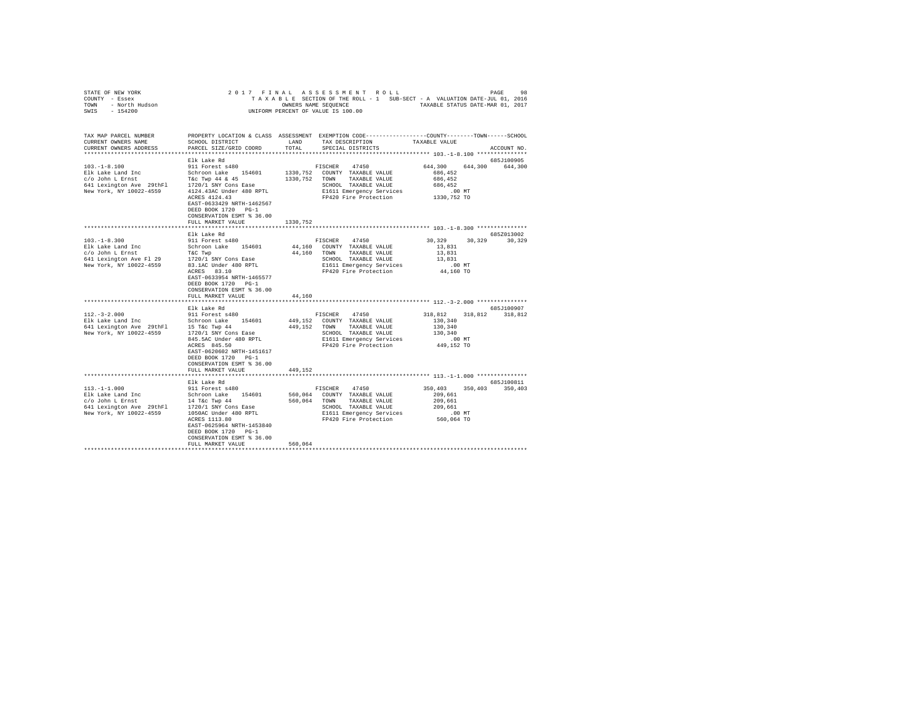| STATE OF REW YORK STATES OF A LASSES SMERIC POLL OUTLET A VALUATION DATE-JUL 01, 2015<br>TAXABLE SECTION OF THE ROLL - 1 SUB-SECT - A VALUATION DATE-JUL 01, 2016<br>TAXABLE STATUS DATE-MAR 01, 2017<br>SWIS - 154200 |                                                                                                                                                                            |               |                                                                                                                                                                |                                                                     |                               |
|------------------------------------------------------------------------------------------------------------------------------------------------------------------------------------------------------------------------|----------------------------------------------------------------------------------------------------------------------------------------------------------------------------|---------------|----------------------------------------------------------------------------------------------------------------------------------------------------------------|---------------------------------------------------------------------|-------------------------------|
|                                                                                                                                                                                                                        |                                                                                                                                                                            |               |                                                                                                                                                                |                                                                     |                               |
| TAX MAP PARCEL NUMBER<br>CURRENT OWNERS NAME<br>CURRENT OWNERS ADDRESS                                                                                                                                                 | SCHOOL DISTRICT<br>PARCEL SIZE/GRID COORD                                                                                                                                  | LAND<br>TOTAL | PROPERTY LOCATION & CLASS ASSESSMENT EXEMPTION CODE-----------------COUNTY-------TOWN------SCHOOL<br>TAX DESCRIPTION<br>SPECIAL DISTRICTS                      | TAXABLE VALUE                                                       | ACCOUNT NO.                   |
|                                                                                                                                                                                                                        |                                                                                                                                                                            |               |                                                                                                                                                                |                                                                     |                               |
| $103. -1 - 8.100$<br>Elk Lake Land Inc<br>c/o John L Ernst<br>641 Lexington Ave 29thFl<br>New York, NY 10022-4559                                                                                                      | Elk Lake Rd<br>911 Forest s480<br>Schroon Lake 154601<br>T&C Twp 44 & 45<br>1720/1 SNY Cons Ease<br>4124.43AC Under 480 RPTL<br>ACRES 4124.43<br>EAST-0633429 NRTH-1462567 |               | FISCHER<br>47450<br>1330,752 COUNTY TAXABLE VALUE<br>1330, 752 TOWN TAXABLE VALUE<br>SCHOOL TAXABLE VALUE<br>E1611 Emergency Services<br>FP420 Fire Protection | 644,300<br>686,452<br>686.452<br>686,452<br>$.00$ MT<br>1330,752 TO | 685J100905<br>644,300 644,300 |
|                                                                                                                                                                                                                        | DEED BOOK 1720 PG-1<br>CONSERVATION ESMT % 36.00                                                                                                                           |               |                                                                                                                                                                |                                                                     |                               |
|                                                                                                                                                                                                                        | FULL MARKET VALUE                                                                                                                                                          | 1330,752      |                                                                                                                                                                |                                                                     |                               |
|                                                                                                                                                                                                                        | Elk Lake Rd                                                                                                                                                                |               |                                                                                                                                                                |                                                                     | 685Z013002                    |
| $103. -1 - 8.300$                                                                                                                                                                                                      | 911 Forest s480                                                                                                                                                            |               | FISCHER 47450<br>44,160 COUNTY TAXABLE VALUE                                                                                                                   | 30.329<br>13,831                                                    | 30,329 30,329                 |
| Elk Lake Land Inc<br>c/o John L Ernst                                                                                                                                                                                  | Schroon Lake 154601<br>T&C Twp                                                                                                                                             |               | 44,160 TOWN TAXABLE VALUE                                                                                                                                      | 13,831                                                              |                               |
| 641 Lexington Ave Fl 29                                                                                                                                                                                                | 1720/1 SNY Cons Ease                                                                                                                                                       |               | SCHOOL TAXABLE VALUE                                                                                                                                           | 13,831                                                              |                               |
| New York, NY 10022-4559                                                                                                                                                                                                | 83.1AC Under 480 RPTL<br>ACRES 83.10                                                                                                                                       |               | E1611 Emergency Services                                                                                                                                       | $.00$ MT                                                            |                               |
|                                                                                                                                                                                                                        | EAST-0633954 NRTH-1465577<br>DEED BOOK 1720 PG-1<br>CONSERVATION ESMT % 36.00                                                                                              |               | FP420 Fire Protection                                                                                                                                          | 44,160 TO                                                           |                               |
|                                                                                                                                                                                                                        | FULL MARKET VALUE<br>************************                                                                                                                              | 44,160        |                                                                                                                                                                |                                                                     |                               |
|                                                                                                                                                                                                                        | Elk Lake Rd                                                                                                                                                                |               |                                                                                                                                                                |                                                                     | 685J100907                    |
| $112. - 3 - 2.000$                                                                                                                                                                                                     | 911 Forest s480                                                                                                                                                            |               | FISCHER<br>47450                                                                                                                                               | 318,812<br>318,812                                                  | 318,812                       |
| Elk Lake Land Inc<br>641 Lexington Ave 29thF1 15 T&c Twp 44<br>New York, NY 10022-4559 1720/1 SNY Cons Ease                                                                                                            | Schroon Lake 154601<br>845.5AC Under 480 RPTL                                                                                                                              |               | 449.152 COUNTY TAXABLE VALUE<br>449,152 TOWN TAXABLE VALUE<br>SCHOOL TAXABLE VALUE<br>E1611 Emergency Services<br>E1611 Emergency Services                     | 130,340<br>130,340<br>130.340<br>$.00$ MT                           |                               |
|                                                                                                                                                                                                                        | ACRES 845.50<br>EAST-0620602 NRTH-1451617<br>DEED BOOK 1720 PG-1<br>CONSERVATION ESMT % 36.00<br>FULL MARKET VALUE                                                         | 449,152       | FP420 Fire Protection                                                                                                                                          | 449,152 TO                                                          |                               |
|                                                                                                                                                                                                                        |                                                                                                                                                                            |               |                                                                                                                                                                |                                                                     |                               |
|                                                                                                                                                                                                                        | Elk Lake Rd                                                                                                                                                                |               |                                                                                                                                                                |                                                                     | 685J100811                    |
| $113. -1 - 1.000$<br>Elk Lake Land Inc<br>$C/O$ John L Ernst<br>$14$ T&c Twp 44<br>$641$ Lexington Ave 29thF1<br>$120/15$ SNT CONS Ease<br>$120/15$ NT2001 SNT CONS TRACHER<br>New York, NY 10022-4559                 | 911 Forest s480<br>1050AC Under 480 RPTL<br>ACRES 1113.80<br>EAST-0625964 NRTH-1453840<br>DEED BOOK 1720 PG-1<br>CONSERVATION ESMT % 36.00                                 |               | FISCHER 47450<br>560,064 COUNTY TAXABLE VALUE<br>560,064 TOWN TAXABLE VALUE<br>SCHOOL TAXABLE VALUE<br>E1611 Emergency Services<br>FP420 Fire Protection       | 350,403<br>209,661<br>209,661<br>209,661<br>.00 MT<br>560,064 TO    | 350,403 350,403               |
|                                                                                                                                                                                                                        | FULL MARKET VALUE                                                                                                                                                          | 560,064       |                                                                                                                                                                |                                                                     |                               |
|                                                                                                                                                                                                                        |                                                                                                                                                                            |               |                                                                                                                                                                |                                                                     |                               |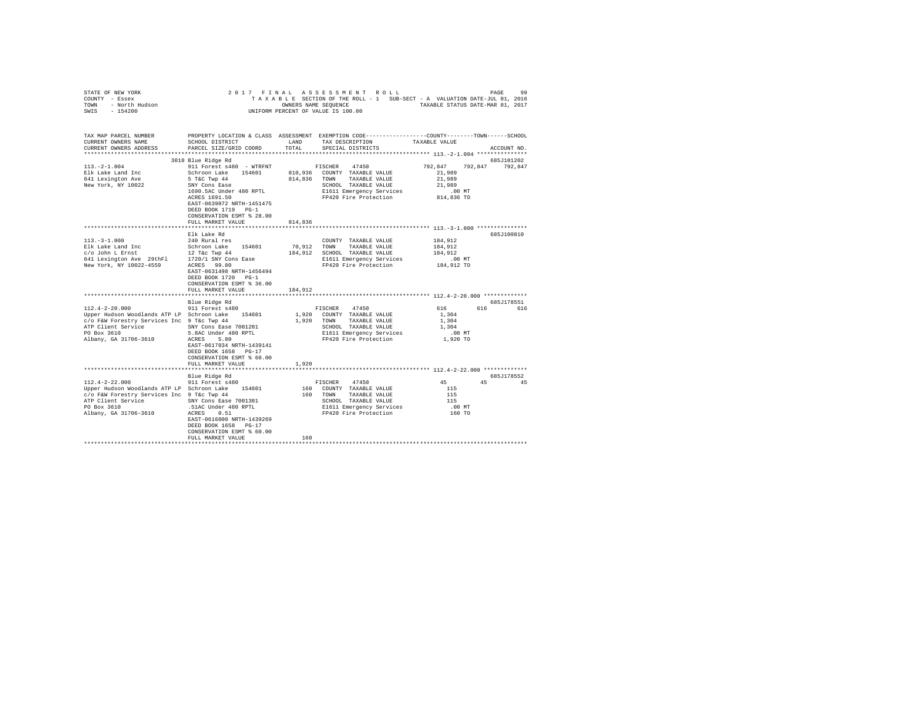| STATE OF NEW YORK<br>COUNTY - Essex<br>- North Hudson<br>- 154200<br>TOWN<br>SWIS                                                                                                                                                                        | 2017 FINAL                                                                                                                                                                                                                                                                                                                         |                            | ASSESSMENT ROLL<br>TAXABLE SECTION OF THE ROLL - 1 SUB-SECT - A VALUATION DATE-JUL 01, 2016<br>OWNERS NAME SEQUENCE TAXABLE STATUS DATE-MAR 01, 2017<br>UNIFORM PERCENT OF VALUE IS 100.00                                                                                                    |                                                                                                                          | 99<br>PAGE                      |
|----------------------------------------------------------------------------------------------------------------------------------------------------------------------------------------------------------------------------------------------------------|------------------------------------------------------------------------------------------------------------------------------------------------------------------------------------------------------------------------------------------------------------------------------------------------------------------------------------|----------------------------|-----------------------------------------------------------------------------------------------------------------------------------------------------------------------------------------------------------------------------------------------------------------------------------------------|--------------------------------------------------------------------------------------------------------------------------|---------------------------------|
| TAX MAP PARCEL NUMBER<br>CURRENT OWNERS NAME<br>CURRENT OWNERS ADDRESS<br>*************************                                                                                                                                                      | SCHOOL DISTRICT<br>PARCEL SIZE/GRID COORD                                                                                                                                                                                                                                                                                          | LAND<br>TOTAL              | PROPERTY LOCATION & CLASS ASSESSMENT EXEMPTION CODE----------------COUNTY-------TOWN-----SCHOOL<br>TAX DESCRIPTION<br>SPECIAL DISTRICTS                                                                                                                                                       | TAXABLE VALUE                                                                                                            | ACCOUNT NO.                     |
|                                                                                                                                                                                                                                                          | 3010 Blue Ridge Rd                                                                                                                                                                                                                                                                                                                 |                            |                                                                                                                                                                                                                                                                                               |                                                                                                                          | 685J101202                      |
| $113. -2 - 1.004$<br>Elk Lake Land Inc<br>641 Lexington Ave<br>New York, NY 10022                                                                                                                                                                        | 911 Forest s480 - WTRFNT<br>Schroon Lake 154601<br>5 T&C Twp 44<br>SNY Cons Ease<br>1690.5AC Under 480 RPTL<br>ACRES 1691.50<br>EAST-0639072 NRTH-1451475<br>DEED BOOK 1719 PG-1<br>CONSERVATION ESMT % 28.00                                                                                                                      |                            | 47450<br>FISCHER<br>810,936 COUNTY TAXABLE VALUE<br>814,836 TOWN TAXABLE VALUE<br>SCHOOL TAXABLE VALUE<br>E1611 Emergency Services<br>FP420 Fire Protection                                                                                                                                   | 792.847<br>21,989<br>21,989<br>21,989<br>.00MT<br>814,836 TO                                                             | 792.847 792.847                 |
|                                                                                                                                                                                                                                                          | FULL MARKET VALUE                                                                                                                                                                                                                                                                                                                  | 814,836                    |                                                                                                                                                                                                                                                                                               |                                                                                                                          |                                 |
| $113.-3-1.000$<br>New York, NY 10022-4559<br>$112.4 - 2 - 20.000$<br>Upper Hudson Woodlands ATP LP Schroon Lake 154601<br>c/o F&W Forestry Services Inc 9 T&c Twp 44<br>ATP Client Service SNY Cons Ease 7001201<br>PO Box 3610<br>Albany, GA 31706-3610 | Elk Lake Rd<br>240 Rural res<br>ACRES 99.80<br>EAST-0631498 NRTH-1456494<br>DEED BOOK 1720 PG-1<br>CONSERVATION ESMT % 36.00<br>FULL MARKET VALUE<br>Blue Ridge Rd<br>911 Forest s480<br>5.8AC Under 480 RPTL<br>ACRES 5.80<br>EAST-0617034 NRTH-1439141<br>DEED BOOK 1658 PG-17<br>CONSERVATION ESMT % 60.00<br>FULL MARKET VALUE | 70,912<br>184,912<br>1,920 | COUNTY TAXABLE VALUE<br>TOWN<br>TAXABLE VALUE<br>184.912 SCHOOL TAXABLE VALUE<br>E1611 Emergency Services<br>FP420 Fire Protection<br>FISCHER 47450<br>1,920 COUNTY TAXABLE VALUE<br>1,920 TOWN<br>TAXABLE VALUE<br>SCHOOL TAXABLE VALUE<br>E1611 Emergency Services<br>FP420 Fire Protection | 184,912<br>184.912<br>184,912<br>$.00$ MT<br>184,912 TO<br>616<br>616<br>1,304<br>1,304<br>1,304<br>$.00$ MT<br>1,920 TO | 685J100810<br>685J178551<br>616 |
|                                                                                                                                                                                                                                                          | **********************                                                                                                                                                                                                                                                                                                             |                            | **************************** 112.4-2-22.000 *************                                                                                                                                                                                                                                     |                                                                                                                          |                                 |
| $112.4 - 2 - 22.000$<br>Upper Hudson Woodlands ATP LP Schroon Lake 154601<br>c/o F&W Forestry Services Inc 9 T&c Twp 44<br>ATP Client Service 58 58 68 68 68 68 7001301<br>PO Box 3610 50 68 68 68 68 68 701<br>Albany, GA 31706-3610 58 68 68 681       | Blue Ridge Rd<br>911 Forest s480<br>EAST-0616000 NRTH-1439269<br>DEED BOOK 1658 PG-17<br>CONSERVATION ESMT % 60.00<br>FULL MARKET VALUE                                                                                                                                                                                            | 160                        | 47450<br>FISCHER<br>160 COUNTY TAXABLE VALUE<br>160 TOWN<br>TAXABLE VALUE<br>SCHOOL TAXABLE VALUE<br>E1611 Emergency Services<br>FP420 Fire Protection                                                                                                                                        | 45<br>115<br>115<br>115<br>$.00$ MT<br>160 TO                                                                            | 685J178552<br>45 45             |
|                                                                                                                                                                                                                                                          |                                                                                                                                                                                                                                                                                                                                    |                            |                                                                                                                                                                                                                                                                                               |                                                                                                                          |                                 |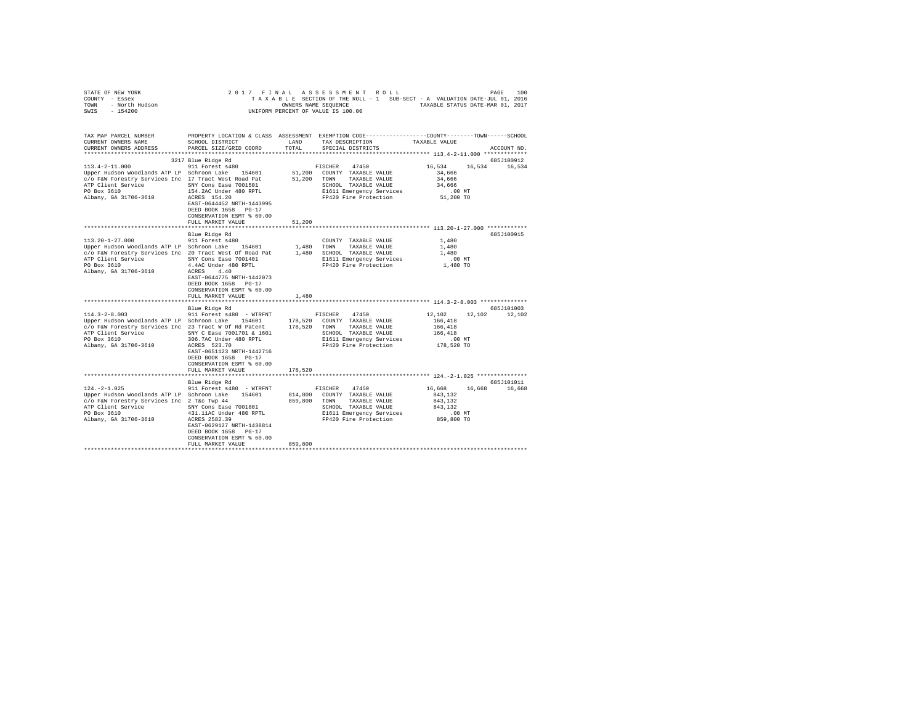| PROPERTY LOCATION & CLASS ASSESSMENT EXEMPTION CODE---------------COUNTY-------TOWN------SCHOOL<br>CURRENT OWNERS NAME<br>SCHOOL DISTRICT<br>LAND<br>TAX DESCRIPTION<br>TAXABLE VALUE<br>TOTAL<br>CURRENT OWNERS ADDRESS<br>PARCEL SIZE/GRID COORD<br>SPECIAL DISTRICTS<br>ACCOUNT NO.<br>3217 Blue Ridge Rd<br>685J100912<br>$113.4 - 2 - 11.000$<br>911 Forest s480<br>16,534<br>16,534<br>FISCHER<br>47450<br>16,534<br>Upper Hudson Woodlands ATP LP Schroon Lake 154601<br>51,200 COUNTY TAXABLE VALUE<br>34,666<br>c/o F&W Forestry Services Inc 17 Tract West Road Pat<br>51,200<br>TOWN<br>34,666<br>TAXABLE VALUE<br>SNY Cons Ease 7001501<br>SCHOOL TAXABLE VALUE<br>34,666<br>154.2AC Under 480 RPTL<br>E1611 Emergency Services<br>$.00$ MT<br>Albany, GA 31706-3610<br>FP420 Fire Protection<br>ACRES 154.20<br>51,200 TO<br>EAST-0644452 NRTH-1443995<br>DEED BOOK 1658 PG-17<br>CONSERVATION ESMT % 60.00<br>FULL MARKET VALUE<br>51,200<br>Blue Ridge Rd<br>685J100915<br>911 Forest s480<br>1,480<br>COUNTY TAXABLE VALUE<br>Upper Hudson Woodlands ATP LP Schroon Lake 154601<br>1,480<br>1,480<br>TOWN<br>TAXABLE VALUE<br>c/o F&W Forestry Services Inc 20 Tract West Of Road Pat<br>1,480 SCHOOL TAXABLE VALUE<br>1,480<br>ATP Client Service SNY Cons Ease 7001401<br>E1611 Emergency Services<br>$.00$ MT<br>PO Box 3610<br>4.4AC Under 480 RPTL<br>FP420 Fire Protection<br>1,480 TO<br>Albany, GA 31706-3610<br>ACRES 4.40<br>EAST-0644775 NRTH-1442073<br>DEED BOOK 1658 PG-17<br>CONSERVATION ESMT % 60.00<br>1,480<br>FULL MARKET VALUE<br>************************<br>685J101003<br>Blue Ridge Rd<br>$114.3 - 2 - 8.003$<br>12,102<br>12,102<br>911 Forest s480 - WTRFNT<br>FISCHER<br>47450<br>12,102<br>Upper Hudson Woodlands ATP LP Schroon Lake 154601<br>178,520 COUNTY TAXABLE VALUE<br>166,418<br>c/o F&W Forestry Services Inc 23 Tract W Of Rd Patent<br>178.520<br>TOWN<br>TAXABLE VALUE<br>166,418<br>SNY C Ease 7001701 & 1601<br>166,418<br>SCHOOL TAXABLE VALUE<br>PO Box 3610<br>306.7AC Under 480 RPTL<br>E1611 Emergency Services<br>$.00$ MT<br>Albany, GA 31706-3610<br>ACRES 523.70<br>FP420 Fire Protection<br>178,520 TO<br>EAST-0651123 NRTH-1442716<br>DEED BOOK 1658 PG-17<br>CONSERVATION ESMT % 60.00<br>FULL MARKET VALUE<br>178,520<br>685J101011<br>Blue Ridge Rd<br>$124. -2 - 1.025$<br>911 Forest s480 - WTRFNT<br>16,668<br>16,668<br>FISCHER<br>47450<br>16,668<br>814,800 COUNTY TAXABLE VALUE<br>Upper Hudson Woodlands ATP LP Schroon Lake 154601<br>843.132<br>c/o F&W Forestry Services Inc 2 T&c Twp 44<br>859,800<br>TOWN<br>TAXABLE VALUE<br>843,132<br>SCHOOL TAXABLE VALUE<br>ATP Client Service 5NY Cons Ease 7001801<br>843,132<br>431.11AC Under 480 RPTL<br>E1611 Emergency Services<br>$.00$ MT<br>ACRES 2582.39<br>FP420 Fire Protection<br>859,800 TO<br>EAST-0629127 NRTH-1438814<br>DEED BOOK 1658 PG-17<br>CONSERVATION ESMT % 60.00<br>859,800<br>FULL MARKET VALUE | OF NEW YORK<br>? - Essex<br>- North Hudson<br>- 154200<br>STATE OF NEW YORK<br>COUNTY - Essex<br><b>TOWN</b><br>$-154200$<br>SWIS | 2017 FINAL | ASSESSMENT ROLL<br>TAXABLE SECTION OF THE ROLL - 1 SUB-SECT - A VALUATION DATE-JUL 01, 2016<br>OWNERS NAME SEQUENCE TAXABLE STATUS DATE-MAR 01, 2017<br>UNIFORM PERCENT OF VALUE IS 100.00 | 100<br>PAGE |
|-----------------------------------------------------------------------------------------------------------------------------------------------------------------------------------------------------------------------------------------------------------------------------------------------------------------------------------------------------------------------------------------------------------------------------------------------------------------------------------------------------------------------------------------------------------------------------------------------------------------------------------------------------------------------------------------------------------------------------------------------------------------------------------------------------------------------------------------------------------------------------------------------------------------------------------------------------------------------------------------------------------------------------------------------------------------------------------------------------------------------------------------------------------------------------------------------------------------------------------------------------------------------------------------------------------------------------------------------------------------------------------------------------------------------------------------------------------------------------------------------------------------------------------------------------------------------------------------------------------------------------------------------------------------------------------------------------------------------------------------------------------------------------------------------------------------------------------------------------------------------------------------------------------------------------------------------------------------------------------------------------------------------------------------------------------------------------------------------------------------------------------------------------------------------------------------------------------------------------------------------------------------------------------------------------------------------------------------------------------------------------------------------------------------------------------------------------------------------------------------------------------------------------------------------------------------------------------------------------------------------------------------------------------------------------------------------------------------------------------------------------------------------------------------------------------------------------------------------------------------------------------------------------------------------------------------------------------|-----------------------------------------------------------------------------------------------------------------------------------|------------|--------------------------------------------------------------------------------------------------------------------------------------------------------------------------------------------|-------------|
|                                                                                                                                                                                                                                                                                                                                                                                                                                                                                                                                                                                                                                                                                                                                                                                                                                                                                                                                                                                                                                                                                                                                                                                                                                                                                                                                                                                                                                                                                                                                                                                                                                                                                                                                                                                                                                                                                                                                                                                                                                                                                                                                                                                                                                                                                                                                                                                                                                                                                                                                                                                                                                                                                                                                                                                                                                                                                                                                                           |                                                                                                                                   |            |                                                                                                                                                                                            |             |
|                                                                                                                                                                                                                                                                                                                                                                                                                                                                                                                                                                                                                                                                                                                                                                                                                                                                                                                                                                                                                                                                                                                                                                                                                                                                                                                                                                                                                                                                                                                                                                                                                                                                                                                                                                                                                                                                                                                                                                                                                                                                                                                                                                                                                                                                                                                                                                                                                                                                                                                                                                                                                                                                                                                                                                                                                                                                                                                                                           | TAX MAP PARCEL NUMBER                                                                                                             |            |                                                                                                                                                                                            |             |
|                                                                                                                                                                                                                                                                                                                                                                                                                                                                                                                                                                                                                                                                                                                                                                                                                                                                                                                                                                                                                                                                                                                                                                                                                                                                                                                                                                                                                                                                                                                                                                                                                                                                                                                                                                                                                                                                                                                                                                                                                                                                                                                                                                                                                                                                                                                                                                                                                                                                                                                                                                                                                                                                                                                                                                                                                                                                                                                                                           |                                                                                                                                   |            |                                                                                                                                                                                            |             |
|                                                                                                                                                                                                                                                                                                                                                                                                                                                                                                                                                                                                                                                                                                                                                                                                                                                                                                                                                                                                                                                                                                                                                                                                                                                                                                                                                                                                                                                                                                                                                                                                                                                                                                                                                                                                                                                                                                                                                                                                                                                                                                                                                                                                                                                                                                                                                                                                                                                                                                                                                                                                                                                                                                                                                                                                                                                                                                                                                           |                                                                                                                                   |            |                                                                                                                                                                                            |             |
|                                                                                                                                                                                                                                                                                                                                                                                                                                                                                                                                                                                                                                                                                                                                                                                                                                                                                                                                                                                                                                                                                                                                                                                                                                                                                                                                                                                                                                                                                                                                                                                                                                                                                                                                                                                                                                                                                                                                                                                                                                                                                                                                                                                                                                                                                                                                                                                                                                                                                                                                                                                                                                                                                                                                                                                                                                                                                                                                                           |                                                                                                                                   |            |                                                                                                                                                                                            |             |
|                                                                                                                                                                                                                                                                                                                                                                                                                                                                                                                                                                                                                                                                                                                                                                                                                                                                                                                                                                                                                                                                                                                                                                                                                                                                                                                                                                                                                                                                                                                                                                                                                                                                                                                                                                                                                                                                                                                                                                                                                                                                                                                                                                                                                                                                                                                                                                                                                                                                                                                                                                                                                                                                                                                                                                                                                                                                                                                                                           |                                                                                                                                   |            |                                                                                                                                                                                            |             |
|                                                                                                                                                                                                                                                                                                                                                                                                                                                                                                                                                                                                                                                                                                                                                                                                                                                                                                                                                                                                                                                                                                                                                                                                                                                                                                                                                                                                                                                                                                                                                                                                                                                                                                                                                                                                                                                                                                                                                                                                                                                                                                                                                                                                                                                                                                                                                                                                                                                                                                                                                                                                                                                                                                                                                                                                                                                                                                                                                           |                                                                                                                                   |            |                                                                                                                                                                                            |             |
|                                                                                                                                                                                                                                                                                                                                                                                                                                                                                                                                                                                                                                                                                                                                                                                                                                                                                                                                                                                                                                                                                                                                                                                                                                                                                                                                                                                                                                                                                                                                                                                                                                                                                                                                                                                                                                                                                                                                                                                                                                                                                                                                                                                                                                                                                                                                                                                                                                                                                                                                                                                                                                                                                                                                                                                                                                                                                                                                                           | ATP Client Service                                                                                                                |            |                                                                                                                                                                                            |             |
|                                                                                                                                                                                                                                                                                                                                                                                                                                                                                                                                                                                                                                                                                                                                                                                                                                                                                                                                                                                                                                                                                                                                                                                                                                                                                                                                                                                                                                                                                                                                                                                                                                                                                                                                                                                                                                                                                                                                                                                                                                                                                                                                                                                                                                                                                                                                                                                                                                                                                                                                                                                                                                                                                                                                                                                                                                                                                                                                                           | PO Box 3610                                                                                                                       |            |                                                                                                                                                                                            |             |
|                                                                                                                                                                                                                                                                                                                                                                                                                                                                                                                                                                                                                                                                                                                                                                                                                                                                                                                                                                                                                                                                                                                                                                                                                                                                                                                                                                                                                                                                                                                                                                                                                                                                                                                                                                                                                                                                                                                                                                                                                                                                                                                                                                                                                                                                                                                                                                                                                                                                                                                                                                                                                                                                                                                                                                                                                                                                                                                                                           |                                                                                                                                   |            |                                                                                                                                                                                            |             |
|                                                                                                                                                                                                                                                                                                                                                                                                                                                                                                                                                                                                                                                                                                                                                                                                                                                                                                                                                                                                                                                                                                                                                                                                                                                                                                                                                                                                                                                                                                                                                                                                                                                                                                                                                                                                                                                                                                                                                                                                                                                                                                                                                                                                                                                                                                                                                                                                                                                                                                                                                                                                                                                                                                                                                                                                                                                                                                                                                           |                                                                                                                                   |            |                                                                                                                                                                                            |             |
|                                                                                                                                                                                                                                                                                                                                                                                                                                                                                                                                                                                                                                                                                                                                                                                                                                                                                                                                                                                                                                                                                                                                                                                                                                                                                                                                                                                                                                                                                                                                                                                                                                                                                                                                                                                                                                                                                                                                                                                                                                                                                                                                                                                                                                                                                                                                                                                                                                                                                                                                                                                                                                                                                                                                                                                                                                                                                                                                                           |                                                                                                                                   |            |                                                                                                                                                                                            |             |
|                                                                                                                                                                                                                                                                                                                                                                                                                                                                                                                                                                                                                                                                                                                                                                                                                                                                                                                                                                                                                                                                                                                                                                                                                                                                                                                                                                                                                                                                                                                                                                                                                                                                                                                                                                                                                                                                                                                                                                                                                                                                                                                                                                                                                                                                                                                                                                                                                                                                                                                                                                                                                                                                                                                                                                                                                                                                                                                                                           |                                                                                                                                   |            |                                                                                                                                                                                            |             |
|                                                                                                                                                                                                                                                                                                                                                                                                                                                                                                                                                                                                                                                                                                                                                                                                                                                                                                                                                                                                                                                                                                                                                                                                                                                                                                                                                                                                                                                                                                                                                                                                                                                                                                                                                                                                                                                                                                                                                                                                                                                                                                                                                                                                                                                                                                                                                                                                                                                                                                                                                                                                                                                                                                                                                                                                                                                                                                                                                           |                                                                                                                                   |            |                                                                                                                                                                                            |             |
|                                                                                                                                                                                                                                                                                                                                                                                                                                                                                                                                                                                                                                                                                                                                                                                                                                                                                                                                                                                                                                                                                                                                                                                                                                                                                                                                                                                                                                                                                                                                                                                                                                                                                                                                                                                                                                                                                                                                                                                                                                                                                                                                                                                                                                                                                                                                                                                                                                                                                                                                                                                                                                                                                                                                                                                                                                                                                                                                                           |                                                                                                                                   |            |                                                                                                                                                                                            |             |
|                                                                                                                                                                                                                                                                                                                                                                                                                                                                                                                                                                                                                                                                                                                                                                                                                                                                                                                                                                                                                                                                                                                                                                                                                                                                                                                                                                                                                                                                                                                                                                                                                                                                                                                                                                                                                                                                                                                                                                                                                                                                                                                                                                                                                                                                                                                                                                                                                                                                                                                                                                                                                                                                                                                                                                                                                                                                                                                                                           | $113.20 - 1 - 27.000$                                                                                                             |            |                                                                                                                                                                                            |             |
|                                                                                                                                                                                                                                                                                                                                                                                                                                                                                                                                                                                                                                                                                                                                                                                                                                                                                                                                                                                                                                                                                                                                                                                                                                                                                                                                                                                                                                                                                                                                                                                                                                                                                                                                                                                                                                                                                                                                                                                                                                                                                                                                                                                                                                                                                                                                                                                                                                                                                                                                                                                                                                                                                                                                                                                                                                                                                                                                                           |                                                                                                                                   |            |                                                                                                                                                                                            |             |
|                                                                                                                                                                                                                                                                                                                                                                                                                                                                                                                                                                                                                                                                                                                                                                                                                                                                                                                                                                                                                                                                                                                                                                                                                                                                                                                                                                                                                                                                                                                                                                                                                                                                                                                                                                                                                                                                                                                                                                                                                                                                                                                                                                                                                                                                                                                                                                                                                                                                                                                                                                                                                                                                                                                                                                                                                                                                                                                                                           |                                                                                                                                   |            |                                                                                                                                                                                            |             |
|                                                                                                                                                                                                                                                                                                                                                                                                                                                                                                                                                                                                                                                                                                                                                                                                                                                                                                                                                                                                                                                                                                                                                                                                                                                                                                                                                                                                                                                                                                                                                                                                                                                                                                                                                                                                                                                                                                                                                                                                                                                                                                                                                                                                                                                                                                                                                                                                                                                                                                                                                                                                                                                                                                                                                                                                                                                                                                                                                           |                                                                                                                                   |            |                                                                                                                                                                                            |             |
|                                                                                                                                                                                                                                                                                                                                                                                                                                                                                                                                                                                                                                                                                                                                                                                                                                                                                                                                                                                                                                                                                                                                                                                                                                                                                                                                                                                                                                                                                                                                                                                                                                                                                                                                                                                                                                                                                                                                                                                                                                                                                                                                                                                                                                                                                                                                                                                                                                                                                                                                                                                                                                                                                                                                                                                                                                                                                                                                                           |                                                                                                                                   |            |                                                                                                                                                                                            |             |
|                                                                                                                                                                                                                                                                                                                                                                                                                                                                                                                                                                                                                                                                                                                                                                                                                                                                                                                                                                                                                                                                                                                                                                                                                                                                                                                                                                                                                                                                                                                                                                                                                                                                                                                                                                                                                                                                                                                                                                                                                                                                                                                                                                                                                                                                                                                                                                                                                                                                                                                                                                                                                                                                                                                                                                                                                                                                                                                                                           |                                                                                                                                   |            |                                                                                                                                                                                            |             |
|                                                                                                                                                                                                                                                                                                                                                                                                                                                                                                                                                                                                                                                                                                                                                                                                                                                                                                                                                                                                                                                                                                                                                                                                                                                                                                                                                                                                                                                                                                                                                                                                                                                                                                                                                                                                                                                                                                                                                                                                                                                                                                                                                                                                                                                                                                                                                                                                                                                                                                                                                                                                                                                                                                                                                                                                                                                                                                                                                           |                                                                                                                                   |            |                                                                                                                                                                                            |             |
|                                                                                                                                                                                                                                                                                                                                                                                                                                                                                                                                                                                                                                                                                                                                                                                                                                                                                                                                                                                                                                                                                                                                                                                                                                                                                                                                                                                                                                                                                                                                                                                                                                                                                                                                                                                                                                                                                                                                                                                                                                                                                                                                                                                                                                                                                                                                                                                                                                                                                                                                                                                                                                                                                                                                                                                                                                                                                                                                                           |                                                                                                                                   |            |                                                                                                                                                                                            |             |
|                                                                                                                                                                                                                                                                                                                                                                                                                                                                                                                                                                                                                                                                                                                                                                                                                                                                                                                                                                                                                                                                                                                                                                                                                                                                                                                                                                                                                                                                                                                                                                                                                                                                                                                                                                                                                                                                                                                                                                                                                                                                                                                                                                                                                                                                                                                                                                                                                                                                                                                                                                                                                                                                                                                                                                                                                                                                                                                                                           |                                                                                                                                   |            |                                                                                                                                                                                            |             |
|                                                                                                                                                                                                                                                                                                                                                                                                                                                                                                                                                                                                                                                                                                                                                                                                                                                                                                                                                                                                                                                                                                                                                                                                                                                                                                                                                                                                                                                                                                                                                                                                                                                                                                                                                                                                                                                                                                                                                                                                                                                                                                                                                                                                                                                                                                                                                                                                                                                                                                                                                                                                                                                                                                                                                                                                                                                                                                                                                           |                                                                                                                                   |            |                                                                                                                                                                                            |             |
|                                                                                                                                                                                                                                                                                                                                                                                                                                                                                                                                                                                                                                                                                                                                                                                                                                                                                                                                                                                                                                                                                                                                                                                                                                                                                                                                                                                                                                                                                                                                                                                                                                                                                                                                                                                                                                                                                                                                                                                                                                                                                                                                                                                                                                                                                                                                                                                                                                                                                                                                                                                                                                                                                                                                                                                                                                                                                                                                                           |                                                                                                                                   |            |                                                                                                                                                                                            |             |
|                                                                                                                                                                                                                                                                                                                                                                                                                                                                                                                                                                                                                                                                                                                                                                                                                                                                                                                                                                                                                                                                                                                                                                                                                                                                                                                                                                                                                                                                                                                                                                                                                                                                                                                                                                                                                                                                                                                                                                                                                                                                                                                                                                                                                                                                                                                                                                                                                                                                                                                                                                                                                                                                                                                                                                                                                                                                                                                                                           |                                                                                                                                   |            |                                                                                                                                                                                            |             |
|                                                                                                                                                                                                                                                                                                                                                                                                                                                                                                                                                                                                                                                                                                                                                                                                                                                                                                                                                                                                                                                                                                                                                                                                                                                                                                                                                                                                                                                                                                                                                                                                                                                                                                                                                                                                                                                                                                                                                                                                                                                                                                                                                                                                                                                                                                                                                                                                                                                                                                                                                                                                                                                                                                                                                                                                                                                                                                                                                           |                                                                                                                                   |            |                                                                                                                                                                                            |             |
|                                                                                                                                                                                                                                                                                                                                                                                                                                                                                                                                                                                                                                                                                                                                                                                                                                                                                                                                                                                                                                                                                                                                                                                                                                                                                                                                                                                                                                                                                                                                                                                                                                                                                                                                                                                                                                                                                                                                                                                                                                                                                                                                                                                                                                                                                                                                                                                                                                                                                                                                                                                                                                                                                                                                                                                                                                                                                                                                                           | ATP Client Service                                                                                                                |            |                                                                                                                                                                                            |             |
|                                                                                                                                                                                                                                                                                                                                                                                                                                                                                                                                                                                                                                                                                                                                                                                                                                                                                                                                                                                                                                                                                                                                                                                                                                                                                                                                                                                                                                                                                                                                                                                                                                                                                                                                                                                                                                                                                                                                                                                                                                                                                                                                                                                                                                                                                                                                                                                                                                                                                                                                                                                                                                                                                                                                                                                                                                                                                                                                                           |                                                                                                                                   |            |                                                                                                                                                                                            |             |
|                                                                                                                                                                                                                                                                                                                                                                                                                                                                                                                                                                                                                                                                                                                                                                                                                                                                                                                                                                                                                                                                                                                                                                                                                                                                                                                                                                                                                                                                                                                                                                                                                                                                                                                                                                                                                                                                                                                                                                                                                                                                                                                                                                                                                                                                                                                                                                                                                                                                                                                                                                                                                                                                                                                                                                                                                                                                                                                                                           |                                                                                                                                   |            |                                                                                                                                                                                            |             |
|                                                                                                                                                                                                                                                                                                                                                                                                                                                                                                                                                                                                                                                                                                                                                                                                                                                                                                                                                                                                                                                                                                                                                                                                                                                                                                                                                                                                                                                                                                                                                                                                                                                                                                                                                                                                                                                                                                                                                                                                                                                                                                                                                                                                                                                                                                                                                                                                                                                                                                                                                                                                                                                                                                                                                                                                                                                                                                                                                           |                                                                                                                                   |            |                                                                                                                                                                                            |             |
|                                                                                                                                                                                                                                                                                                                                                                                                                                                                                                                                                                                                                                                                                                                                                                                                                                                                                                                                                                                                                                                                                                                                                                                                                                                                                                                                                                                                                                                                                                                                                                                                                                                                                                                                                                                                                                                                                                                                                                                                                                                                                                                                                                                                                                                                                                                                                                                                                                                                                                                                                                                                                                                                                                                                                                                                                                                                                                                                                           |                                                                                                                                   |            |                                                                                                                                                                                            |             |
|                                                                                                                                                                                                                                                                                                                                                                                                                                                                                                                                                                                                                                                                                                                                                                                                                                                                                                                                                                                                                                                                                                                                                                                                                                                                                                                                                                                                                                                                                                                                                                                                                                                                                                                                                                                                                                                                                                                                                                                                                                                                                                                                                                                                                                                                                                                                                                                                                                                                                                                                                                                                                                                                                                                                                                                                                                                                                                                                                           |                                                                                                                                   |            |                                                                                                                                                                                            |             |
|                                                                                                                                                                                                                                                                                                                                                                                                                                                                                                                                                                                                                                                                                                                                                                                                                                                                                                                                                                                                                                                                                                                                                                                                                                                                                                                                                                                                                                                                                                                                                                                                                                                                                                                                                                                                                                                                                                                                                                                                                                                                                                                                                                                                                                                                                                                                                                                                                                                                                                                                                                                                                                                                                                                                                                                                                                                                                                                                                           |                                                                                                                                   |            |                                                                                                                                                                                            |             |
|                                                                                                                                                                                                                                                                                                                                                                                                                                                                                                                                                                                                                                                                                                                                                                                                                                                                                                                                                                                                                                                                                                                                                                                                                                                                                                                                                                                                                                                                                                                                                                                                                                                                                                                                                                                                                                                                                                                                                                                                                                                                                                                                                                                                                                                                                                                                                                                                                                                                                                                                                                                                                                                                                                                                                                                                                                                                                                                                                           |                                                                                                                                   |            |                                                                                                                                                                                            |             |
|                                                                                                                                                                                                                                                                                                                                                                                                                                                                                                                                                                                                                                                                                                                                                                                                                                                                                                                                                                                                                                                                                                                                                                                                                                                                                                                                                                                                                                                                                                                                                                                                                                                                                                                                                                                                                                                                                                                                                                                                                                                                                                                                                                                                                                                                                                                                                                                                                                                                                                                                                                                                                                                                                                                                                                                                                                                                                                                                                           |                                                                                                                                   |            |                                                                                                                                                                                            |             |
|                                                                                                                                                                                                                                                                                                                                                                                                                                                                                                                                                                                                                                                                                                                                                                                                                                                                                                                                                                                                                                                                                                                                                                                                                                                                                                                                                                                                                                                                                                                                                                                                                                                                                                                                                                                                                                                                                                                                                                                                                                                                                                                                                                                                                                                                                                                                                                                                                                                                                                                                                                                                                                                                                                                                                                                                                                                                                                                                                           |                                                                                                                                   |            |                                                                                                                                                                                            |             |
|                                                                                                                                                                                                                                                                                                                                                                                                                                                                                                                                                                                                                                                                                                                                                                                                                                                                                                                                                                                                                                                                                                                                                                                                                                                                                                                                                                                                                                                                                                                                                                                                                                                                                                                                                                                                                                                                                                                                                                                                                                                                                                                                                                                                                                                                                                                                                                                                                                                                                                                                                                                                                                                                                                                                                                                                                                                                                                                                                           |                                                                                                                                   |            |                                                                                                                                                                                            |             |
|                                                                                                                                                                                                                                                                                                                                                                                                                                                                                                                                                                                                                                                                                                                                                                                                                                                                                                                                                                                                                                                                                                                                                                                                                                                                                                                                                                                                                                                                                                                                                                                                                                                                                                                                                                                                                                                                                                                                                                                                                                                                                                                                                                                                                                                                                                                                                                                                                                                                                                                                                                                                                                                                                                                                                                                                                                                                                                                                                           | PO Box 3610                                                                                                                       |            |                                                                                                                                                                                            |             |
|                                                                                                                                                                                                                                                                                                                                                                                                                                                                                                                                                                                                                                                                                                                                                                                                                                                                                                                                                                                                                                                                                                                                                                                                                                                                                                                                                                                                                                                                                                                                                                                                                                                                                                                                                                                                                                                                                                                                                                                                                                                                                                                                                                                                                                                                                                                                                                                                                                                                                                                                                                                                                                                                                                                                                                                                                                                                                                                                                           | Albany, GA 31706-3610                                                                                                             |            |                                                                                                                                                                                            |             |
|                                                                                                                                                                                                                                                                                                                                                                                                                                                                                                                                                                                                                                                                                                                                                                                                                                                                                                                                                                                                                                                                                                                                                                                                                                                                                                                                                                                                                                                                                                                                                                                                                                                                                                                                                                                                                                                                                                                                                                                                                                                                                                                                                                                                                                                                                                                                                                                                                                                                                                                                                                                                                                                                                                                                                                                                                                                                                                                                                           |                                                                                                                                   |            |                                                                                                                                                                                            |             |
|                                                                                                                                                                                                                                                                                                                                                                                                                                                                                                                                                                                                                                                                                                                                                                                                                                                                                                                                                                                                                                                                                                                                                                                                                                                                                                                                                                                                                                                                                                                                                                                                                                                                                                                                                                                                                                                                                                                                                                                                                                                                                                                                                                                                                                                                                                                                                                                                                                                                                                                                                                                                                                                                                                                                                                                                                                                                                                                                                           |                                                                                                                                   |            |                                                                                                                                                                                            |             |
|                                                                                                                                                                                                                                                                                                                                                                                                                                                                                                                                                                                                                                                                                                                                                                                                                                                                                                                                                                                                                                                                                                                                                                                                                                                                                                                                                                                                                                                                                                                                                                                                                                                                                                                                                                                                                                                                                                                                                                                                                                                                                                                                                                                                                                                                                                                                                                                                                                                                                                                                                                                                                                                                                                                                                                                                                                                                                                                                                           |                                                                                                                                   |            |                                                                                                                                                                                            |             |
|                                                                                                                                                                                                                                                                                                                                                                                                                                                                                                                                                                                                                                                                                                                                                                                                                                                                                                                                                                                                                                                                                                                                                                                                                                                                                                                                                                                                                                                                                                                                                                                                                                                                                                                                                                                                                                                                                                                                                                                                                                                                                                                                                                                                                                                                                                                                                                                                                                                                                                                                                                                                                                                                                                                                                                                                                                                                                                                                                           |                                                                                                                                   |            |                                                                                                                                                                                            |             |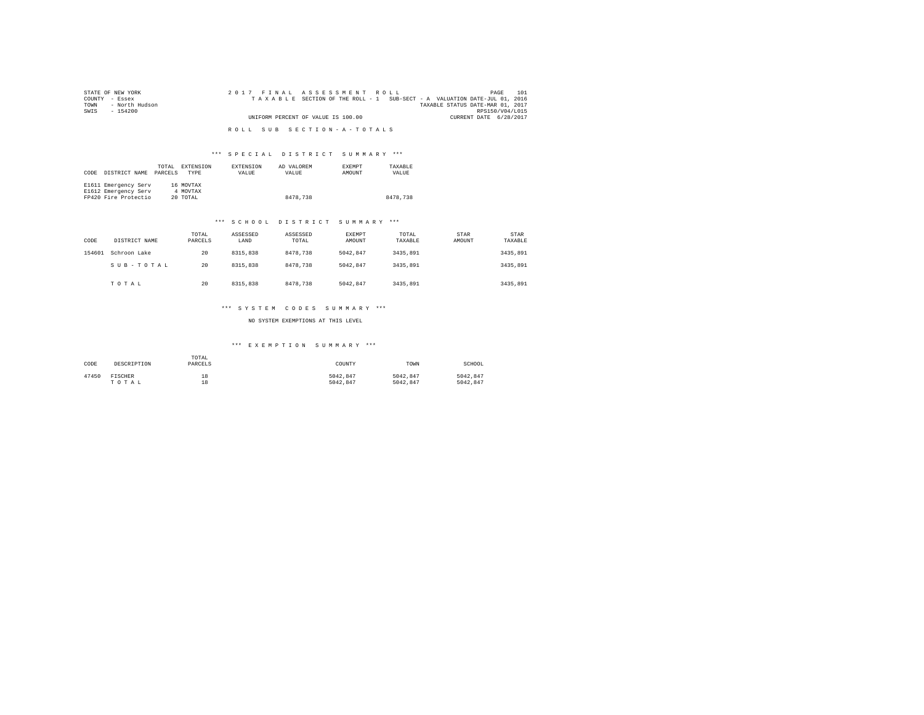| STATE OF NEW YORK      | 2017 FINAL ASSESSMENT ROLL                                               | 101<br>PAGE                      |
|------------------------|--------------------------------------------------------------------------|----------------------------------|
| COUNTY - Essex         | TAXABLE SECTION OF THE ROLL - 1 SUB-SECT - A VALUATION DATE-JUL 01, 2016 |                                  |
| - North Hudson<br>TOWN |                                                                          | TAXABLE STATUS DATE-MAR 01, 2017 |
| SWIS<br>- 154200       |                                                                          | RPS150/V04/L015                  |
|                        | UNIFORM PERCENT OF VALUE IS 100.00                                       | CURRENT DATE 6/28/2017           |
|                        |                                                                          |                                  |
|                        | ROLL SUB SECTION-A-TOTALS                                                |                                  |

#### \*\*\* S P E C I A L D I S T R I C T S U M M A R Y \*\*\*

| CODE | DISTRICT NAME        | TOTAL<br>PARCELS | EXTENSION<br><b>TYPE</b> | EXTENSION<br>VALUE | AD VALOREM<br>VALUE | <b>EXEMPT</b><br>AMOUNT | TAXABLE<br>VALUE |
|------|----------------------|------------------|--------------------------|--------------------|---------------------|-------------------------|------------------|
|      | E1611 Emergency Serv |                  | 16 MOVTAX                |                    |                     |                         |                  |
|      | E1612 Emergency Serv |                  | 4 MOVTAX                 |                    |                     |                         |                  |
|      | FP420 Fire Protectio |                  | 20 TOTAL                 |                    | 8478,738            |                         | 8478.738         |

#### \*\*\* S C H O O L D I S T R I C T S U M M A R Y \*\*\*

| CODE   | DISTRICT NAME | TOTAL<br>PARCELS | ASSESSED<br>LAND | ASSESSED<br>TOTAL | <b>EXEMPT</b><br>AMOUNT | TOTAL<br>TAXABLE | STAR<br>AMOUNT | <b>STAR</b><br>TAXABLE |
|--------|---------------|------------------|------------------|-------------------|-------------------------|------------------|----------------|------------------------|
| 154601 | Schroon Lake  | 20               | 8315,838         | 8478.738          | 5042.847                | 3435,891         |                | 3435,891               |
|        | SUB-TOTAL     | 20               | 8315,838         | 8478.738          | 5042.847                | 3435,891         |                | 3435,891               |
|        | TOTAL         | 20               | 8315,838         | 8478.738          | 5042.847                | 3435,891         |                | 3435,891               |

#### \*\*\* S Y S T E M C O D E S S U M M A R Y \*\*\*

NO SYSTEM EXEMPTIONS AT THIS LEVEL

#### \*\*\* E X E M P T I O N S U M M A R Y \*\*\*

| CODE  | DESCRIPTION    | TOTAL<br>PARCELS | COUNTY   | TOWN     | SCHOOL   |
|-------|----------------|------------------|----------|----------|----------|
| 47450 | <b>FISCHER</b> | 18               | 5042.847 | 5042.847 | 5042.847 |
|       | TOTAL          | 18               | 5042.847 | 5042.847 | 5042.847 |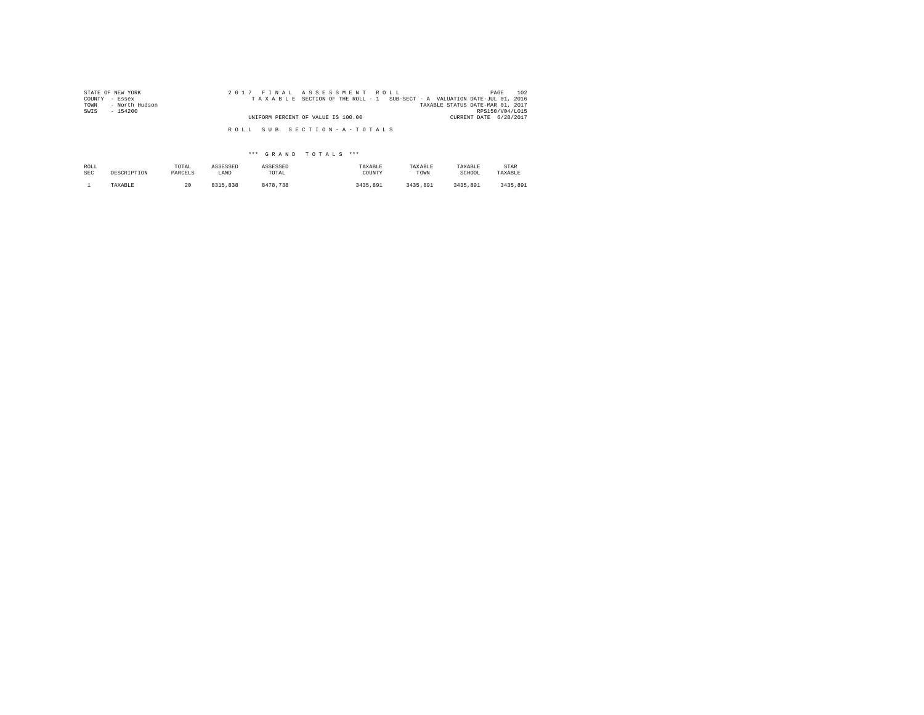| STATE OF NEW YORK<br>COUNTY - Essex<br>- North Hudson<br>TOWN | 2017 FINAL ASSESSMENT ROLL<br>TAXABLE SECTION OF THE ROLL - 1 SUB-SECT - A VALUATION DATE-JUL 01, 2016 | 102<br>PAGE<br>TAXABLE STATUS DATE-MAR 01, 2017 |
|---------------------------------------------------------------|--------------------------------------------------------------------------------------------------------|-------------------------------------------------|
| SWIS<br>- 154200                                              | UNIFORM PERCENT OF VALUE IS 100.00                                                                     | RPS150/V04/L015<br>CURRENT DATE 6/28/2017       |
|                                                               | ROLL SUB SECTION-A-TOTALS                                                                              |                                                 |

| ROLL       | DESCRIPTION | TOTAL   | ASSESSED | ASSESSED | TAXABLE  | TAXABLE  | TAXABLE  | STAR     |
|------------|-------------|---------|----------|----------|----------|----------|----------|----------|
| <b>SEC</b> |             | PARCELS | LAND     | TOTAL    | COUNTY   | TOWN     | SCHOOL   | TAXABLE  |
|            | TAXABLE     | 20      | 8315,838 | 8478.738 | 3435,891 | 3435.891 | 3435.891 | 3435,891 |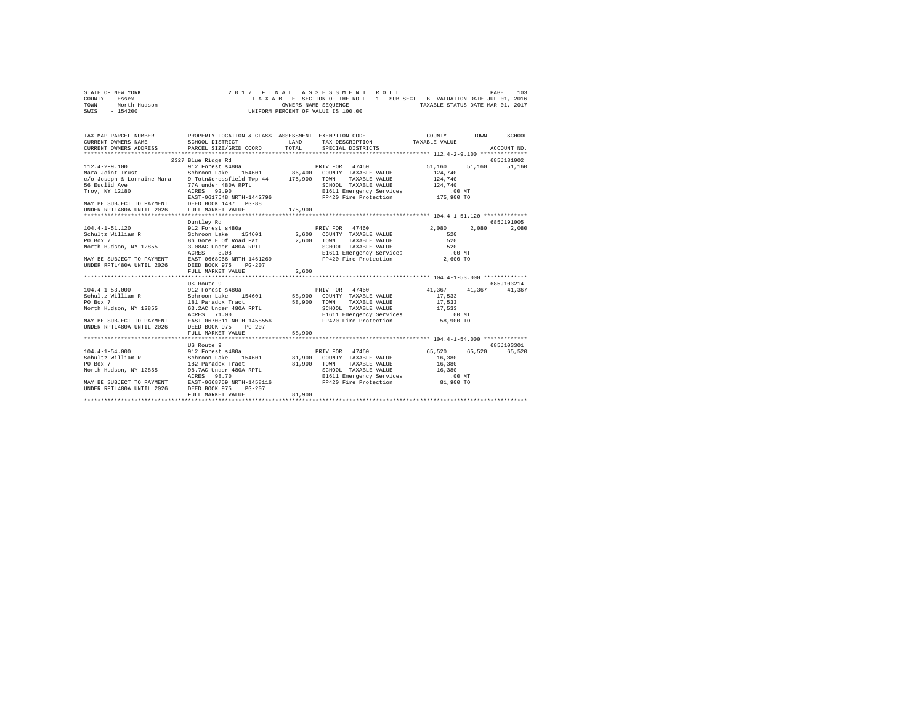|      | STATE OF NEW YORK |  |  |  |                                    |  |  |  |  | 2017 FINAL ASSESSMENT ROLL |                                                                          | PAGE | 103 |
|------|-------------------|--|--|--|------------------------------------|--|--|--|--|----------------------------|--------------------------------------------------------------------------|------|-----|
|      | COUNTY - Essex    |  |  |  |                                    |  |  |  |  |                            | TAXABLE SECTION OF THE ROLL - 1 SUB-SECT - B VALUATION DATE-JUL 01, 2016 |      |     |
| TOWN | - North Hudson    |  |  |  | OWNERS NAME SEOUENCE               |  |  |  |  |                            | TAXABLE STATUS DATE-MAR 01, 2017                                         |      |     |
| SWIS | $-154200$         |  |  |  | UNIFORM PERCENT OF VALUE IS 100.00 |  |  |  |  |                            |                                                                          |      |     |

| TAX MAP PARCEL NUMBER PROPERTY LOCATION & CLASS ASSESSMENT EXEMPTION CODE--------------COUNTY-------TOWN-----SCHOOL<br>CURRENT OWNERS NAME SCHOOL DISTRICT<br>CURRENT OWNERS ADDRESS PARCEL SIZE/GRID COORD                            |                    | LAND<br>TOTAL | TAX DESCRIPTION TAXABLE VALUE<br>SPECIAL DISTRICTS                |                       | ACCOUNT NO.   |
|----------------------------------------------------------------------------------------------------------------------------------------------------------------------------------------------------------------------------------------|--------------------|---------------|-------------------------------------------------------------------|-----------------------|---------------|
|                                                                                                                                                                                                                                        | 2327 Blue Ridge Rd |               |                                                                   |                       | 685J181002    |
| $112.4 - 2 - 9.100$<br>Mara Joint Trust                                                                                                                                                                                                |                    |               |                                                                   | 51,160<br>124,740     | 51,160 51,160 |
|                                                                                                                                                                                                                                        |                    |               |                                                                   | TAXABLE VALUE 124.740 |               |
|                                                                                                                                                                                                                                        |                    |               |                                                                   |                       |               |
| c/o Joseph & Lorraine Mara همه المستحدث المستحدث المستحدث المستحدث و 100000777<br>56 Euclid Ave 9 77A under 480A RPTL<br>2007, NY 12180 202001 202025 22.90 21611 E                                                                    |                    |               |                                                                   |                       |               |
|                                                                                                                                                                                                                                        |                    |               |                                                                   |                       |               |
|                                                                                                                                                                                                                                        |                    |               |                                                                   |                       |               |
|                                                                                                                                                                                                                                        |                    |               |                                                                   |                       |               |
|                                                                                                                                                                                                                                        |                    |               |                                                                   |                       |               |
| 1990 - 1991 - 1991 - 1992<br>1997 - 1997 - 1998 - 1998 - 1999 - 1999 - 1999 - 1999 - 1999 - 1999 - 1999 - 1999 - 1999 - 1999 - 1999 - 1999<br>1997 - 1998 - 1999 - 1999 - 1999 - 1999 - 1999 - 1999 - 1999 - 1999 - 1999 - 1999 -      |                    |               |                                                                   |                       |               |
|                                                                                                                                                                                                                                        | Duntlev Rd         |               |                                                                   |                       | 685J191005    |
|                                                                                                                                                                                                                                        |                    |               |                                                                   | 2,080 2,080 2,080     |               |
|                                                                                                                                                                                                                                        |                    |               |                                                                   |                       |               |
|                                                                                                                                                                                                                                        |                    |               |                                                                   |                       |               |
|                                                                                                                                                                                                                                        |                    |               |                                                                   |                       |               |
|                                                                                                                                                                                                                                        |                    |               |                                                                   |                       |               |
|                                                                                                                                                                                                                                        |                    |               |                                                                   |                       |               |
|                                                                                                                                                                                                                                        |                    |               |                                                                   |                       |               |
| UNDER RPTL480A UNTIL 2026 DEED BOOK 975 PG-207                                                                                                                                                                                         | FULL MARKET VALUE  | 2,600         |                                                                   |                       |               |
|                                                                                                                                                                                                                                        |                    |               |                                                                   |                       |               |
|                                                                                                                                                                                                                                        |                    |               |                                                                   |                       |               |
|                                                                                                                                                                                                                                        | US Route 9         |               |                                                                   |                       | 685J103214    |
| 104.4-1-53.000 5012 Forest s480a PRIV FOR 47460 41,367 41,367 41,367 41,367<br>Schroon Lake 154601 58,900 COUNTY TAXABLE VALUE 17,533                                                                                                  |                    |               |                                                                   |                       |               |
|                                                                                                                                                                                                                                        |                    |               |                                                                   |                       |               |
| CONSIDER THE TRANSFORM ON THE SECTION TRANSLE VALUE 17,533<br>FO BOX 7 181 Paradox Tract 190 58,900 TOWN TAXABLE VALUE 17,533<br>North Hudson, NY 12855 6.3.2 ACRES 71.00 TL ESSENGE TRANSLE VERTICLES                                 |                    |               | TAXABLE VALUE                                                     |                       |               |
|                                                                                                                                                                                                                                        |                    |               |                                                                   |                       |               |
|                                                                                                                                                                                                                                        |                    |               |                                                                   |                       |               |
|                                                                                                                                                                                                                                        |                    |               |                                                                   |                       |               |
|                                                                                                                                                                                                                                        |                    |               |                                                                   |                       |               |
|                                                                                                                                                                                                                                        | FULL MARKET VALUE  | 58,900        |                                                                   |                       |               |
|                                                                                                                                                                                                                                        |                    |               |                                                                   |                       |               |
|                                                                                                                                                                                                                                        | US Route 9         |               |                                                                   |                       | 685J103301    |
|                                                                                                                                                                                                                                        |                    |               |                                                                   |                       |               |
| 1991.1-12<br>Schroom Lake 154601 81,900 COUNTY TAXABLE VALUE 16,380<br>PO Box 7 182 Paradox Track 81,900 TOWN TAXABLE VALUE 16,380<br>PO Box 7 1825 98.7AC Under 480A RPTL SCHOOL TAXABLE VALUE 16,380<br>North Hudson, NY 12855 98.70 |                    |               |                                                                   |                       |               |
|                                                                                                                                                                                                                                        |                    |               |                                                                   |                       |               |
|                                                                                                                                                                                                                                        |                    |               |                                                                   |                       |               |
|                                                                                                                                                                                                                                        |                    |               |                                                                   |                       |               |
|                                                                                                                                                                                                                                        |                    |               | E1611 Emergency Services 00 MT<br>FP420 Fire Protection 81,900 TO |                       |               |
| MAY BE SUBJECT TO PAYMENT EAST-0668759 NRTH-1458116<br>UNDER RPTL480A UNTIL 2026 DEED BOOK 975 PG-207                                                                                                                                  |                    |               |                                                                   |                       |               |
|                                                                                                                                                                                                                                        |                    |               |                                                                   |                       |               |
|                                                                                                                                                                                                                                        | FULL MARKET VALUE  | 81,900        |                                                                   |                       |               |
|                                                                                                                                                                                                                                        |                    |               |                                                                   |                       |               |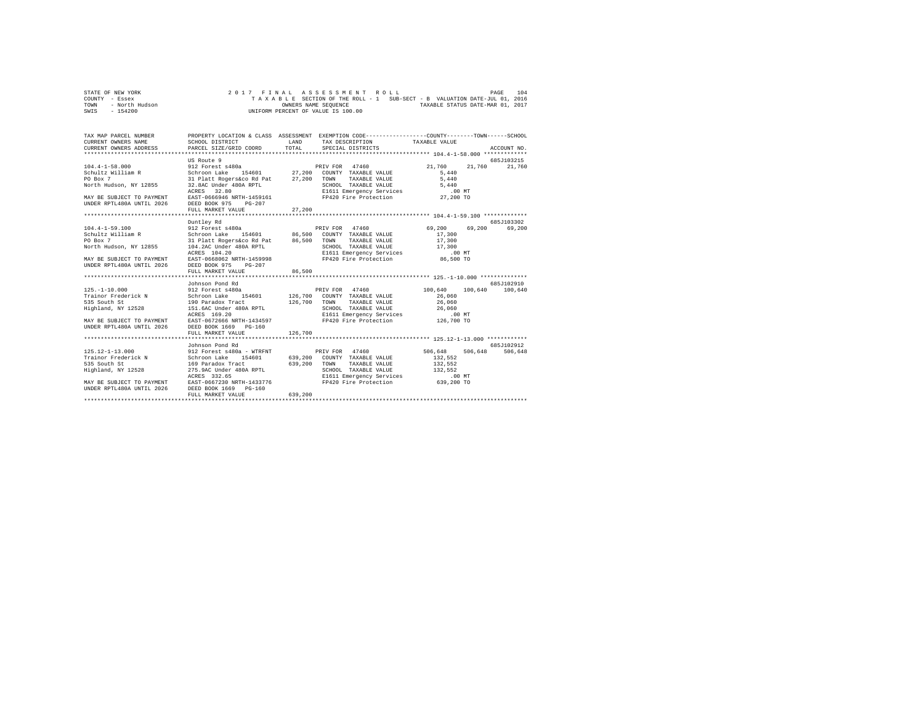|                | STATE OF NEW YORK |  |  |  |                                    |  |  |  |  |  | 2017 FINAL ASSESSMENT ROLL                                               |  |                                  |  | PAGE | 104 |
|----------------|-------------------|--|--|--|------------------------------------|--|--|--|--|--|--------------------------------------------------------------------------|--|----------------------------------|--|------|-----|
| COUNTY - Essex |                   |  |  |  |                                    |  |  |  |  |  | TAXABLE SECTION OF THE ROLL - 1 SUB-SECT - B VALUATION DATE-JUL 01, 2016 |  |                                  |  |      |     |
| TOWN           | - North Hudson    |  |  |  | OWNERS NAME SEOUENCE               |  |  |  |  |  |                                                                          |  | TAXABLE STATUS DATE-MAR 01, 2017 |  |      |     |
| SWIS           | $-154200$         |  |  |  | UNIFORM PERCENT OF VALUE IS 100.00 |  |  |  |  |  |                                                                          |  |                                  |  |      |     |

| TAX MAP PARCEL NUMBER                                                                                                                                                                                                                       | PROPERTY LOCATION & CLASS ASSESSMENT EXEMPTION CODE----------------COUNTY-------TOWN------SCHOOL |         |  |               |
|---------------------------------------------------------------------------------------------------------------------------------------------------------------------------------------------------------------------------------------------|--------------------------------------------------------------------------------------------------|---------|--|---------------|
|                                                                                                                                                                                                                                             |                                                                                                  |         |  |               |
|                                                                                                                                                                                                                                             | US Route 9                                                                                       |         |  | 685J103215    |
|                                                                                                                                                                                                                                             |                                                                                                  |         |  | 21,760 21,760 |
|                                                                                                                                                                                                                                             |                                                                                                  |         |  |               |
|                                                                                                                                                                                                                                             |                                                                                                  |         |  |               |
|                                                                                                                                                                                                                                             |                                                                                                  |         |  |               |
|                                                                                                                                                                                                                                             |                                                                                                  |         |  |               |
|                                                                                                                                                                                                                                             |                                                                                                  |         |  |               |
|                                                                                                                                                                                                                                             |                                                                                                  |         |  |               |
|                                                                                                                                                                                                                                             | FULL MARKET VALUE                                                                                | 27,200  |  |               |
|                                                                                                                                                                                                                                             |                                                                                                  |         |  |               |
|                                                                                                                                                                                                                                             | Duntlev Rd                                                                                       |         |  | 685.7103302   |
| 104.4-1-59.100<br>2011 Excess 1480a<br>Schultz William R Schroon Lake 154601 86,500 COUNTY TAXABLE VALUE 17,300<br>2012 Forest 480a<br>2012 Part Regers Access 144601 86,500 TONN TAXABLE VALUE 17,300<br>2012 104.2AC Under 480A RPTL<br>  |                                                                                                  |         |  |               |
|                                                                                                                                                                                                                                             |                                                                                                  |         |  |               |
|                                                                                                                                                                                                                                             |                                                                                                  |         |  |               |
|                                                                                                                                                                                                                                             |                                                                                                  |         |  |               |
|                                                                                                                                                                                                                                             |                                                                                                  |         |  |               |
|                                                                                                                                                                                                                                             |                                                                                                  |         |  |               |
|                                                                                                                                                                                                                                             |                                                                                                  |         |  |               |
|                                                                                                                                                                                                                                             | FULL MARKET VALUE 86,500                                                                         |         |  |               |
|                                                                                                                                                                                                                                             |                                                                                                  |         |  |               |
|                                                                                                                                                                                                                                             | Johnson Pond Rd                                                                                  |         |  | 685J102910    |
| 125.-1-10.000<br>125.-1-10.000<br>126.700 COUNTY TAXABLE VALUE 100,640 100,640 100,640<br>126.700 COUNTY TAXABLE VALUE 26,060<br>126.700 TAXABLE VALUE 26,060<br>126.700 TAXABLE VALUE 26,060 2600<br>126.700 TAXABLE VALUE 26,060 2600<br> |                                                                                                  |         |  |               |
|                                                                                                                                                                                                                                             |                                                                                                  |         |  |               |
|                                                                                                                                                                                                                                             |                                                                                                  |         |  |               |
|                                                                                                                                                                                                                                             |                                                                                                  |         |  |               |
|                                                                                                                                                                                                                                             |                                                                                                  |         |  |               |
|                                                                                                                                                                                                                                             |                                                                                                  |         |  |               |
|                                                                                                                                                                                                                                             |                                                                                                  |         |  |               |
|                                                                                                                                                                                                                                             |                                                                                                  |         |  |               |
|                                                                                                                                                                                                                                             |                                                                                                  |         |  |               |
|                                                                                                                                                                                                                                             | Johnson Pond Rd                                                                                  |         |  | 685J102912    |
|                                                                                                                                                                                                                                             |                                                                                                  |         |  | 506,648       |
| 125.12-1-13.000 912 Forest s480a - WTRFNT PRIV FOR 47460 506,648 506,648 506,648                                                                                                                                                            |                                                                                                  |         |  |               |
|                                                                                                                                                                                                                                             |                                                                                                  |         |  |               |
|                                                                                                                                                                                                                                             |                                                                                                  |         |  |               |
|                                                                                                                                                                                                                                             |                                                                                                  |         |  |               |
|                                                                                                                                                                                                                                             |                                                                                                  |         |  |               |
| 125.14-1-113.1000 NATE (1990)<br>Trainor Frederick N Schroon Lake 154601 639,200 COUNTY TAXABLE VALUE 132,552<br>S15 South St 125.52 169 Natalox Track 639,200 COUNTY TAXABLE VALUE 132,552<br>Highland, NY 12528 275.9AC Under 4600, R     |                                                                                                  |         |  |               |
|                                                                                                                                                                                                                                             |                                                                                                  |         |  |               |
|                                                                                                                                                                                                                                             | FULL MARKET VALUE                                                                                | 639,200 |  |               |
|                                                                                                                                                                                                                                             |                                                                                                  |         |  |               |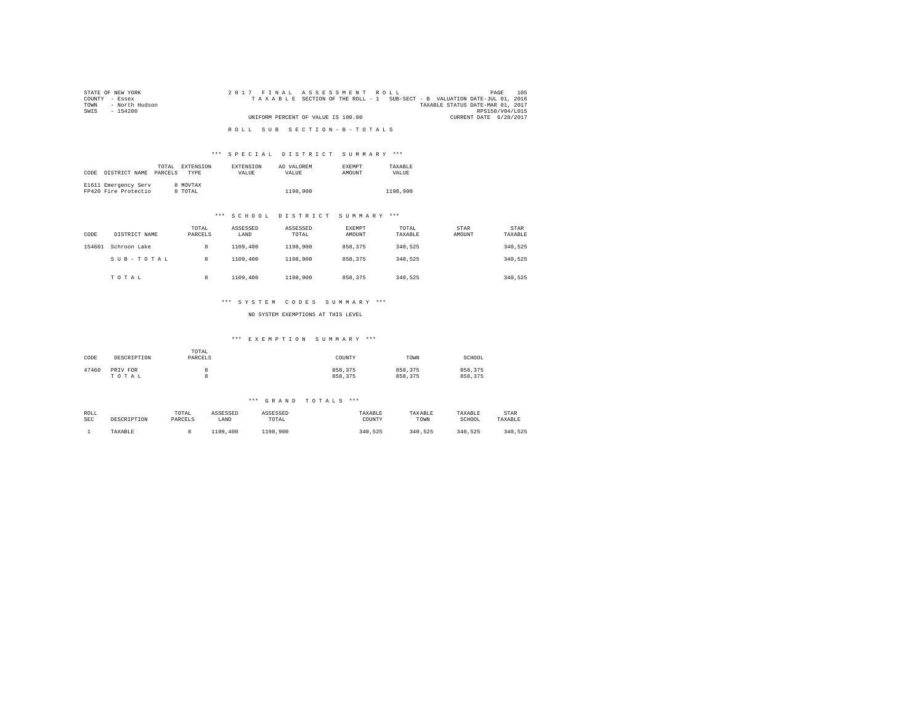| STATE OF NEW YORK      | 2017 FINAL ASSESSMENT ROLL                                               | 105<br>PAGE                      |  |
|------------------------|--------------------------------------------------------------------------|----------------------------------|--|
| COUNTY - Essex         | TAXABLE SECTION OF THE ROLL - 1 SUB-SECT - B VALUATION DATE-JUL 01, 2016 |                                  |  |
| - North Hudson<br>TOWN |                                                                          | TAXABLE STATUS DATE-MAR 01, 2017 |  |
| SWIS<br>- 154200       |                                                                          | RPS150/V04/L015                  |  |
|                        | UNIFORM PERCENT OF VALUE IS 100.00                                       | CURRENT DATE 6/28/2017           |  |
|                        |                                                                          |                                  |  |
|                        | ROLL SUB SECTION-B-TOTALS                                                |                                  |  |

#### \*\*\* S P E C I A L D I S T R I C T S U M M A R Y \*\*\*

|      |                      | TOTAL.  | EXTENSION   | <b>EXTENSION</b> | AD VALOREM | <b>EXEMPT</b> | TAXARLE  |
|------|----------------------|---------|-------------|------------------|------------|---------------|----------|
| CODE | DISTRICT NAME        | PARCELS | <b>TYPE</b> | <b>VALUE</b>     | VALUE.     | <b>AMOUNT</b> | VALUE    |
|      |                      |         |             |                  |            |               |          |
|      | E1611 Emergency Serv |         | 8 MOVTAX    |                  |            |               |          |
|      | FP420 Fire Protectio |         | 8 TOTAL     |                  | 1198,900   |               | 1198,900 |

#### \*\*\* S C H O O L D I S T R I C T S U M M A R Y \*\*\*

| CODE   | DISTRICT NAME | TOTAL<br>PARCELS | ASSESSED<br>LAND | ASSESSED<br>TOTAL | EXEMPT<br>AMOUNT | TOTAL<br>TAXABLE | <b>STAR</b><br>AMOUNT | <b>STAR</b><br>TAXABLE |
|--------|---------------|------------------|------------------|-------------------|------------------|------------------|-----------------------|------------------------|
| 154601 | Schroon Lake  | 8                | 1109,400         | 1198,900          | 858,375          | 340.525          |                       | 340,525                |
|        | SUB-TOTAL     | 8                | 1109,400         | 1198,900          | 858,375          | 340.525          |                       | 340,525                |
|        | TOTAL         | 8                | 1109,400         | 1198,900          | 858,375          | 340.525          |                       | 340.525                |

#### \*\*\* S Y S T E M C O D E S S U M M A R Y \*\*\*

NO SYSTEM EXEMPTIONS AT THIS LEVEL

#### \*\*\* E X E M P T I O N S U M M A R Y \*\*\*

| CODE  | DESCRIPTION       | TOTAL<br>PARCELS | COUNTY             | TOWN               | SCHOOL             |
|-------|-------------------|------------------|--------------------|--------------------|--------------------|
| 47460 | PRIV FOR<br>TOTAL |                  | 858,375<br>858,375 | 858.375<br>858,375 | 858,375<br>858,375 |

| ROLL | DESCRIPTION | TOTAL   | ASSESSED | ASSESSED | TAXABLE | TAXABLE | TAXABLE | STAR    |
|------|-------------|---------|----------|----------|---------|---------|---------|---------|
| SEC  |             | PARCELS | LAND     | TOTAL    | COUNTY  | TOWN    | SCHOOL  | TAXABLE |
|      | TAXABLE     |         | 1109,400 | 1198,900 | 340.525 | 340.525 | 340.525 | 340.525 |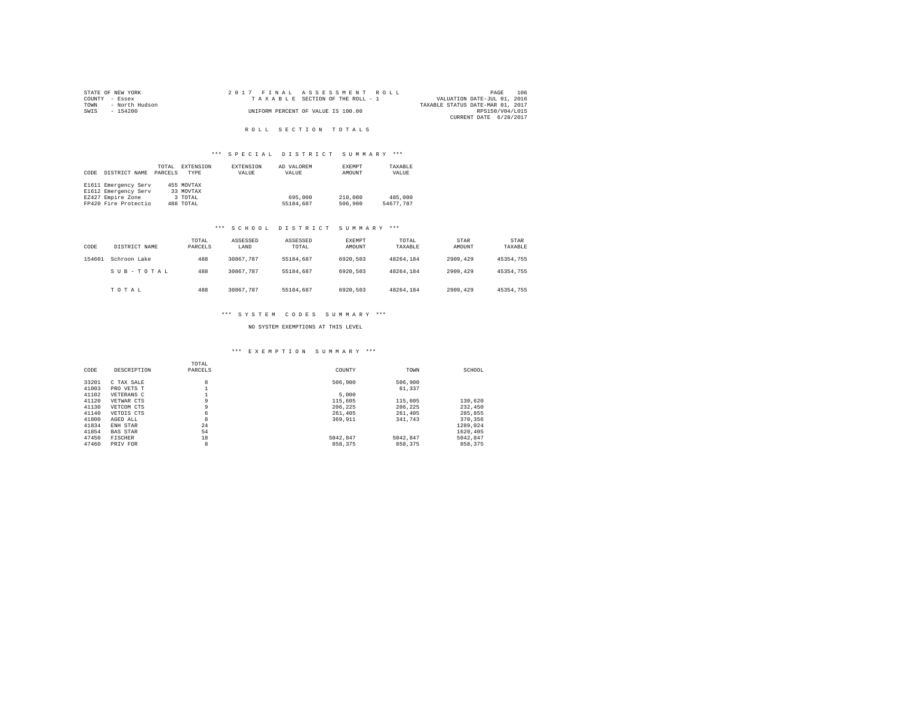| STATE OF NEW YORK |                |  |  |  | 2017 FINAL ASSESSMENT ROLL         |                                  |                 | PAGE | 106 |
|-------------------|----------------|--|--|--|------------------------------------|----------------------------------|-----------------|------|-----|
| COUNTY - Essex    |                |  |  |  | TAXABLE SECTION OF THE ROLL - 1    | VALUATION DATE-JUL 01, 2016      |                 |      |     |
| TOWN              | - North Hudson |  |  |  |                                    | TAXABLE STATUS DATE-MAR 01, 2017 |                 |      |     |
| SWIS              | $-154200$      |  |  |  | UNIFORM PERCENT OF VALUE IS 100.00 |                                  | RPS150/V04/L015 |      |     |
|                   |                |  |  |  |                                    | CURRENT DATE 6/28/2017           |                 |      |     |

## R O L L S E C T I O N T O T A L S

# \*\*\* S P E C I A L D I S T R I C T S U M M A R Y \*\*\*

| CODE | DISTRICT NAME        | TOTAL<br>PARCELS | EXTENSION<br>TYPE | EXTENSION<br>VALUE | AD VALOREM<br>VALUE | EXEMPT<br>AMOUNT | TAXABLE<br>VALUE |
|------|----------------------|------------------|-------------------|--------------------|---------------------|------------------|------------------|
|      | E1611 Emergency Serv |                  | 455 MOVTAX        |                    |                     |                  |                  |
|      | E1612 Emergency Serv |                  | 33 MOVTAX         |                    |                     |                  |                  |
|      | EZ427 Empire Zone    |                  | 3 TOTAL           |                    | 695,000             | 210,000          | 485,000          |
|      | FP420 Fire Protectio |                  | 488 TOTAL         |                    | 55184.687           | 506,900          | 54677.787        |

## \*\*\* S C H O O L D I S T R I C T S U M M A R Y \*\*\*

| CODE   | DISTRICT NAME | TOTAL<br>PARCELS | ASSESSED<br>LAND | ASSESSED<br>TOTAL | EXEMPT<br>AMOUNT | TOTAL<br>TAXABLE | STAR<br>AMOUNT | <b>STAR</b><br>TAXABLE |
|--------|---------------|------------------|------------------|-------------------|------------------|------------------|----------------|------------------------|
| 154601 | Schroon Lake  | 488              | 30867.787        | 55184,687         | 6920.503         | 48264.184        | 2909.429       | 45354.755              |
|        | SUB-TOTAL     | 488              | 30867.787        | 55184,687         | 6920.503         | 48264.184        | 2909.429       | 45354.755              |
|        | TOTAL         | 488              | 30867.787        | 55184,687         | 6920.503         | 48264.184        | 2909.429       | 45354.755              |

# \*\*\* S Y S T E M C O D E S S U M M A R Y \*\*\*

## NO SYSTEM EXEMPTIONS AT THIS LEVEL

## \*\*\* E X E M P T I O N S U M M A R Y \*\*\*

| CODE  | DESCRIPTION     | TOTAL<br>PARCELS | COUNTY   | TOWN     | SCHOOL   |
|-------|-----------------|------------------|----------|----------|----------|
| 33201 | C TAX SALE      | 8                | 506,900  | 506,900  |          |
| 41003 | PRO VETS T      |                  |          | 61,337   |          |
| 41102 | VETERANS C      |                  | 5,000    |          |          |
| 41120 | VETWAR CTS      | 9                | 115,605  | 115,605  | 130,620  |
| 41130 | VETCOM CTS      | 9                | 206.225  | 206.225  | 232,450  |
| 41140 | VETDIS CTS      | 6                | 261,405  | 261,405  | 285.855  |
| 41800 | AGED ALL        | 8                | 369.911  | 341,743  | 370,356  |
| 41834 | ENH STAR        | 24               |          |          | 1289.024 |
| 41854 | <b>BAS STAR</b> | 54               |          |          | 1620.405 |
| 47450 | FISCHER         | 18               | 5042.847 | 5042.847 | 5042.847 |
| 47460 | PRIV FOR        | 8                | 858.375  | 858,375  | 858,375  |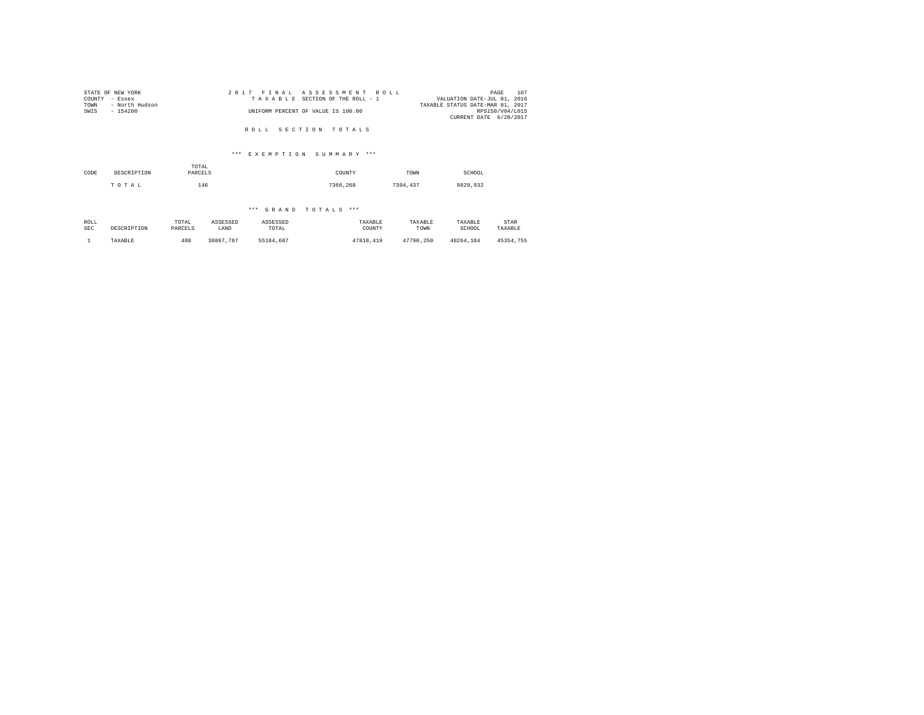| STATE OF NEW YORK      | 2017 FINAL ASSESSMENT ROLL         | 107<br>PAGE                      |
|------------------------|------------------------------------|----------------------------------|
| COUNTY - Essex         | TAXABLE SECTION OF THE ROLL - 1    | VALUATION DATE-JUL 01, 2016      |
| TOWN<br>- North Hudson |                                    | TAXABLE STATUS DATE-MAR 01, 2017 |
| SWIS<br>$-154200$      | UNIFORM PERCENT OF VALUE IS 100.00 | RPS150/V04/L015                  |
|                        |                                    | CURRENT DATE 6/28/2017           |
|                        | ROLL SECTION TOTALS                |                                  |

# \*\*\* E X E M P T I O N S U M M A R Y \*\*\*

| CODE | DESCRIPTION | TOTAL<br>PARCELS | COUNTY   | TOWN     | SCHOOL   |  |
|------|-------------|------------------|----------|----------|----------|--|
|      | TOTAL       | 146              | 7366.268 | 7394.437 | 9829,932 |  |

| ROLL<br><b>SEC</b> | DESCRIPTION | TOTAL<br>ASSESSED<br>PARCELS<br>LAND |           | ASSESSED<br>TOTAL | TAXABLE<br>COUNTY | TAXABLE<br>TOWN | TAXABLE<br>SCHOOL | STAR<br>TAXABLE |
|--------------------|-------------|--------------------------------------|-----------|-------------------|-------------------|-----------------|-------------------|-----------------|
|                    | TAXABLE     | 488                                  | 30867.787 | 55184.687         | 47818,419         | 47790.250       | 48264.184         | 45354.755       |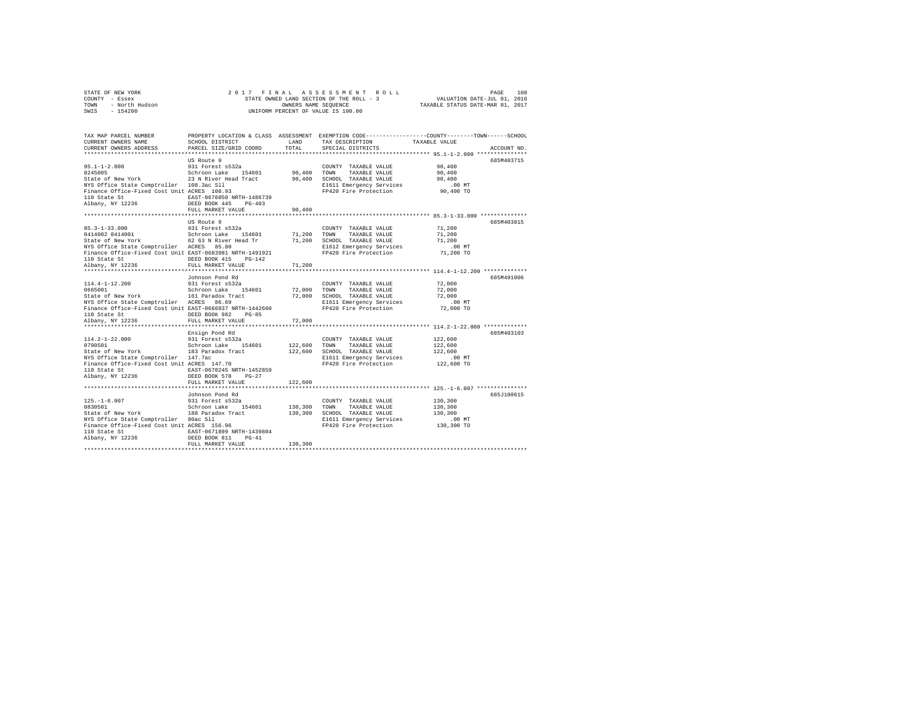|                | STATE OF NEW YORK |  |  |  | 2017 FINAL ASSESSMENT ROLL               |  |  |                                  | PAGE | 108 |
|----------------|-------------------|--|--|--|------------------------------------------|--|--|----------------------------------|------|-----|
| COUNTY - Essex |                   |  |  |  | STATE OWNED LAND SECTION OF THE ROLL - 3 |  |  | VALUATION DATE-JUL 01, 2016      |      |     |
| TOWN           | - North Hudson    |  |  |  | OWNERS NAME SEOUENCE                     |  |  | TAXABLE STATUS DATE-MAR 01, 2017 |      |     |
| SWIS           | $-154200$         |  |  |  | UNIFORM PERCENT OF VALUE IS 100.00       |  |  |                                  |      |     |

| TAX MAP PARCEL NUMBER<br>CURRENT OWNERS NAME                                                                                                                                                                                                                                                                                 | SCHOOL DISTRICT     |         | LAND TAX DESCRIPTION TAXABLE VALUE                                  | PROPERTY LOCATION & CLASS ASSESSMENT EXEMPTION CODE---------------COUNTY-------TOWN-----SCHOOL |  |
|------------------------------------------------------------------------------------------------------------------------------------------------------------------------------------------------------------------------------------------------------------------------------------------------------------------------------|---------------------|---------|---------------------------------------------------------------------|------------------------------------------------------------------------------------------------|--|
| CURRENT OWNERS ADDRESS PARCEL SIZE/GRID COORD                                                                                                                                                                                                                                                                                |                     | TOTAL   | SPECIAL DISTRICTS                                                   | ACCOUNT NO.                                                                                    |  |
|                                                                                                                                                                                                                                                                                                                              | US Route 9          |         |                                                                     | 685M403715                                                                                     |  |
| US ROULE Y<br>1991 - Part S532<br>2015 - Schroon Lake 154601 90,400 TOWN TAXABLE VALUE<br>1991 - State of New York 23 N River Head Tract 90,400 TOWN TAXABLE VALUE                                                                                                                                                           |                     |         | COUNTY TAXABLE VALUE 90.400                                         |                                                                                                |  |
|                                                                                                                                                                                                                                                                                                                              |                     |         |                                                                     | 90,400                                                                                         |  |
|                                                                                                                                                                                                                                                                                                                              |                     |         |                                                                     | 90,400                                                                                         |  |
|                                                                                                                                                                                                                                                                                                                              |                     |         |                                                                     |                                                                                                |  |
| NYS Office State Comptroller 108.3ac Sll<br>Finance Office-Fixed Cost Unit ACRES 108.93                                                                                                                                                                                                                                      |                     |         | E1611 Emergency Services 6.00 MT<br>FP420 Fire Protection 90,400 TO |                                                                                                |  |
|                                                                                                                                                                                                                                                                                                                              |                     |         |                                                                     |                                                                                                |  |
|                                                                                                                                                                                                                                                                                                                              |                     |         |                                                                     |                                                                                                |  |
|                                                                                                                                                                                                                                                                                                                              | FULL MARKET VALUE   | 90,400  |                                                                     |                                                                                                |  |
|                                                                                                                                                                                                                                                                                                                              |                     |         |                                                                     |                                                                                                |  |
|                                                                                                                                                                                                                                                                                                                              | US Route 9          |         |                                                                     | 685M403815                                                                                     |  |
| $85.3 - 1 - 33.000$                                                                                                                                                                                                                                                                                                          | 931 Forest s532a    |         | COUNTY TAXABLE VALUE                                                | 71,200                                                                                         |  |
|                                                                                                                                                                                                                                                                                                                              |                     |         |                                                                     | 71,200                                                                                         |  |
|                                                                                                                                                                                                                                                                                                                              |                     |         |                                                                     | 71,200                                                                                         |  |
| NYS Office State Comptroller ACRES 85.80                                                                                                                                                                                                                                                                                     |                     |         | E1612 Emergency Services<br>FP420 Fire Protection                   | $.00$ MT<br>71,200 TO                                                                          |  |
| Finance Office-Fixed Cost Unit EAST-0683981 NRTH-1491921                                                                                                                                                                                                                                                                     |                     |         |                                                                     |                                                                                                |  |
|                                                                                                                                                                                                                                                                                                                              |                     |         |                                                                     |                                                                                                |  |
|                                                                                                                                                                                                                                                                                                                              |                     | 71,200  |                                                                     |                                                                                                |  |
|                                                                                                                                                                                                                                                                                                                              | Johnson Pond Rd     |         |                                                                     | 685M491006                                                                                     |  |
|                                                                                                                                                                                                                                                                                                                              |                     |         |                                                                     | 72,000                                                                                         |  |
|                                                                                                                                                                                                                                                                                                                              |                     |         |                                                                     | 72,000                                                                                         |  |
|                                                                                                                                                                                                                                                                                                                              |                     |         |                                                                     | 72,000                                                                                         |  |
|                                                                                                                                                                                                                                                                                                                              |                     |         |                                                                     |                                                                                                |  |
|                                                                                                                                                                                                                                                                                                                              |                     |         | E1611 Emergency Services .00 MT<br>FP420 Fire Protection  72,000 TO |                                                                                                |  |
| 110 State St                                                                                                                                                                                                                                                                                                                 | DEED BOOK 982 PG-85 |         |                                                                     |                                                                                                |  |
| Albany, NY 12236                                                                                                                                                                                                                                                                                                             | FULL MARKET VALUE   | 72,000  |                                                                     |                                                                                                |  |
|                                                                                                                                                                                                                                                                                                                              |                     |         |                                                                     |                                                                                                |  |
|                                                                                                                                                                                                                                                                                                                              | Ensign Pond Rd      |         |                                                                     | 685M403103                                                                                     |  |
|                                                                                                                                                                                                                                                                                                                              |                     |         | COUNTY TAXABLE VALUE 122,600                                        |                                                                                                |  |
|                                                                                                                                                                                                                                                                                                                              |                     |         |                                                                     |                                                                                                |  |
|                                                                                                                                                                                                                                                                                                                              |                     |         |                                                                     | .00 MT                                                                                         |  |
| $0.02000$ 2114.2-1-22.000<br>22,600 DRINTOOD LARELE VALUE CONNOTING 122,600 TOWN TAXABLE VALUE CONNOTING 122,600<br>22,600 SCHOOL TAXABLE VALUE ELECTRON PRESS 122,600 DRINGER<br>22,600 DRINT 147.7ac<br>22,600 DRINT PRESS CONNOTIN<br>NYS Office State Comptroller 147.7ac<br>Finance Office-Fixed Cost Unit ACRES 147.70 |                     |         | FP420 Fire Protection 122,600 TO                                    |                                                                                                |  |
| 110 State St EAST-0670245 NRTH-1452859                                                                                                                                                                                                                                                                                       |                     |         |                                                                     |                                                                                                |  |
| Albany, NY 12236                                                                                                                                                                                                                                                                                                             | DEED BOOK 578 PG-27 |         |                                                                     |                                                                                                |  |
|                                                                                                                                                                                                                                                                                                                              | FULL MARKET VALUE   | 122,600 |                                                                     |                                                                                                |  |
|                                                                                                                                                                                                                                                                                                                              |                     |         |                                                                     |                                                                                                |  |
|                                                                                                                                                                                                                                                                                                                              |                     |         |                                                                     | 685J100615                                                                                     |  |
|                                                                                                                                                                                                                                                                                                                              |                     |         |                                                                     | 130,300                                                                                        |  |
|                                                                                                                                                                                                                                                                                                                              |                     |         |                                                                     | 130,300<br>130,300                                                                             |  |
|                                                                                                                                                                                                                                                                                                                              |                     |         |                                                                     |                                                                                                |  |
|                                                                                                                                                                                                                                                                                                                              |                     |         | E1611 Emergency Services<br>FP420 Fire Protection                   | $.00$ MT                                                                                       |  |
|                                                                                                                                                                                                                                                                                                                              |                     |         |                                                                     | 130,300 TO                                                                                     |  |
|                                                                                                                                                                                                                                                                                                                              |                     |         |                                                                     |                                                                                                |  |
|                                                                                                                                                                                                                                                                                                                              |                     |         |                                                                     |                                                                                                |  |
|                                                                                                                                                                                                                                                                                                                              | FULL MARKET VALUE   | 130,300 |                                                                     |                                                                                                |  |
|                                                                                                                                                                                                                                                                                                                              |                     |         |                                                                     |                                                                                                |  |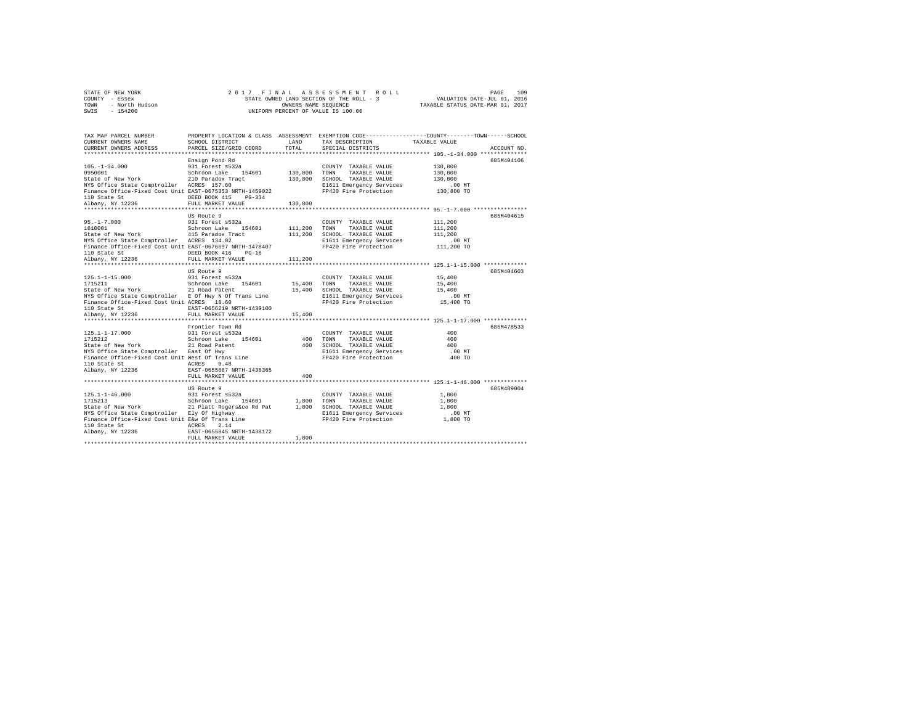| STATE OF NEW YORK      | 2017 FINAL ASSESSMENT ROLL               | 109<br>PAGE                      |
|------------------------|------------------------------------------|----------------------------------|
| COUNTY - Essex         | STATE OWNED LAND SECTION OF THE ROLL - 3 | VALUATION DATE-JUL 01, 2016      |
| TOWN<br>- North Hudson | OWNERS NAME SEOUENCE                     | TAXABLE STATUS DATE-MAR 01, 2017 |
| $-154200$<br>SWIS      | UNIFORM PERCENT OF VALUE IS 100.00       |                                  |

| TAX MAP PARCEL NUMBER<br>CURRENT OWNERS NAME                                                                                                                                                                                            | SCHOOL DISTRICT                         |         | LAND TAX DESCRIPTION                                                               | PROPERTY LOCATION & CLASS ASSESSMENT EXEMPTION CODE---------------COUNTY-------TOWN------SCHOOL<br>TAXABLE VALUE |
|-----------------------------------------------------------------------------------------------------------------------------------------------------------------------------------------------------------------------------------------|-----------------------------------------|---------|------------------------------------------------------------------------------------|------------------------------------------------------------------------------------------------------------------|
| CURRENT OWNERS ADDRESS PARCEL SIZE/GRID COORD TOTAL SPECIAL DISTRICTS                                                                                                                                                                   |                                         |         |                                                                                    | ACCOUNT NO.                                                                                                      |
|                                                                                                                                                                                                                                         |                                         |         |                                                                                    |                                                                                                                  |
|                                                                                                                                                                                                                                         | Ensign Pond Rd                          |         |                                                                                    | 685M404106                                                                                                       |
|                                                                                                                                                                                                                                         |                                         |         | COUNTY TAXABLE VALUE<br>130,800 TOWN TAXABLE VALUE<br>COUNTY TAXABLE VALUE 130,800 |                                                                                                                  |
|                                                                                                                                                                                                                                         |                                         |         |                                                                                    | 130,800                                                                                                          |
|                                                                                                                                                                                                                                         |                                         |         | 130,800 SCHOOL TAXABLE VALUE                                                       | 130,800<br>130,800                                                                                               |
| NYS Office State Comptroller ACRES 157.60                                                                                                                                                                                               |                                         |         | E1611 Emergency Services                                                           | $.00$ MT                                                                                                         |
| Finance Office-Fixed Cost Unit EAST-0675353 NRTH-1459022 FP420 Fire Protection 130,800 TO                                                                                                                                               |                                         |         |                                                                                    |                                                                                                                  |
|                                                                                                                                                                                                                                         |                                         |         |                                                                                    |                                                                                                                  |
|                                                                                                                                                                                                                                         |                                         |         |                                                                                    |                                                                                                                  |
|                                                                                                                                                                                                                                         |                                         |         |                                                                                    |                                                                                                                  |
|                                                                                                                                                                                                                                         | US Route 9                              |         |                                                                                    | 685M404615                                                                                                       |
|                                                                                                                                                                                                                                         |                                         |         |                                                                                    | 111,200                                                                                                          |
|                                                                                                                                                                                                                                         |                                         |         |                                                                                    | 111,200                                                                                                          |
|                                                                                                                                                                                                                                         |                                         |         |                                                                                    | 111,200                                                                                                          |
|                                                                                                                                                                                                                                         |                                         |         | E1611 Emergency Services<br>FP420 Fire Protection                                  | 00 MT.<br>111,200 TO                                                                                             |
| Finance Office-Fixed Cost Unit EAST-0676697 NRTH-1478407                                                                                                                                                                                |                                         |         |                                                                                    |                                                                                                                  |
| 110 State St                                                                                                                                                                                                                            | DEED BOOK 416 PG-16                     |         |                                                                                    |                                                                                                                  |
|                                                                                                                                                                                                                                         |                                         | 111,200 |                                                                                    |                                                                                                                  |
|                                                                                                                                                                                                                                         | US Route 9                              |         |                                                                                    | 685M404603                                                                                                       |
| 125.1-1-15.000                                                                                                                                                                                                                          | 931 Forest s532a                        |         | COUNTY TAXABLE VALUE                                                               | 15,400                                                                                                           |
|                                                                                                                                                                                                                                         |                                         |         |                                                                                    | 15,400                                                                                                           |
| 1715211   Schroon Lake   154601   15,400 TOWN TAXABLE_VALUE<br>State of New York   21 Road Patent   15,400   SCHOOL TAXABLE_VALUE                                                                                                       |                                         |         |                                                                                    | 15,400                                                                                                           |
| NYS Office State Comptroller E Of Hwy N Of Trans Line                                                                                                                                                                                   |                                         |         |                                                                                    |                                                                                                                  |
| Finance Office-Fixed Cost Unit ACRES 18.60                                                                                                                                                                                              |                                         |         | E1611 Emergency Services<br>FP420 Fire Protection                                  | 00 MT.<br>15,400 TO                                                                                              |
|                                                                                                                                                                                                                                         |                                         |         |                                                                                    |                                                                                                                  |
|                                                                                                                                                                                                                                         |                                         | 15,400  |                                                                                    |                                                                                                                  |
|                                                                                                                                                                                                                                         |                                         |         |                                                                                    |                                                                                                                  |
|                                                                                                                                                                                                                                         | Frontier Town Rd                        |         |                                                                                    | 685M478533                                                                                                       |
|                                                                                                                                                                                                                                         |                                         |         |                                                                                    | 400                                                                                                              |
| $[125.1-1-17.000$ $[125.1-1-17.000$ $[125.12-10.000]$ $[125.12-10.000]$ $[125.12-10.000]$ $[125.12-10.000]$ $[125.12-10.000]$ $[125.12-10.000]$ $[125.12-10.000]$ $[125.12-10.000]$ $[125.12-10.000]$ $[125.12-10.000]$ $[125$          |                                         |         |                                                                                    | 400                                                                                                              |
|                                                                                                                                                                                                                                         |                                         |         |                                                                                    | 400                                                                                                              |
|                                                                                                                                                                                                                                         |                                         |         | E1611 Emergency Services                                                           | $.00$ MT                                                                                                         |
| Finance Office-Fixed Cost Unit West Of Trans Line                                                                                                                                                                                       |                                         |         | FP420 Fire Protection                                                              | 400 TO                                                                                                           |
| 110 State St<br>Albany, NY 12236                                                                                                                                                                                                        | ACRES 0.48<br>EAST-0655687 NRTH-1438365 |         |                                                                                    |                                                                                                                  |
|                                                                                                                                                                                                                                         |                                         |         |                                                                                    |                                                                                                                  |
|                                                                                                                                                                                                                                         | FULL MARKET VALUE                       | 400     |                                                                                    |                                                                                                                  |
|                                                                                                                                                                                                                                         |                                         |         |                                                                                    |                                                                                                                  |
|                                                                                                                                                                                                                                         | US Route 9                              |         |                                                                                    | 685M489004                                                                                                       |
|                                                                                                                                                                                                                                         |                                         |         | COUNTY TAXABLE VALUE                                                               | 1,800                                                                                                            |
| US.1-1-46.000 – US KOULE 9<br>1715213 – Schroon Lake 154601 – 1,800 TOWN TAXABLE VALUE<br>State of New York – Schroon Lake 1,800 – 1,800 – 21 Mars (USE)<br>State of New York – 21 Platt Rogersáco Rd Pat – 1,800 – SCHOOL TAXABLE VALU |                                         |         |                                                                                    | 1,800                                                                                                            |
|                                                                                                                                                                                                                                         |                                         |         |                                                                                    | 1,800                                                                                                            |
| NYS Office State Comptroller Bly Of Highway (B1611 Emergency Services (100 MT)<br>Finance Office-Fixed Cost Unit E&w Of Trans Line (PP420 Fire Protection (1,800 TO                                                                     |                                         |         |                                                                                    |                                                                                                                  |
|                                                                                                                                                                                                                                         |                                         |         |                                                                                    |                                                                                                                  |
|                                                                                                                                                                                                                                         |                                         |         |                                                                                    |                                                                                                                  |
|                                                                                                                                                                                                                                         | FULL MARKET VALUE                       | 1,800   |                                                                                    |                                                                                                                  |
|                                                                                                                                                                                                                                         |                                         |         |                                                                                    |                                                                                                                  |
|                                                                                                                                                                                                                                         |                                         |         |                                                                                    |                                                                                                                  |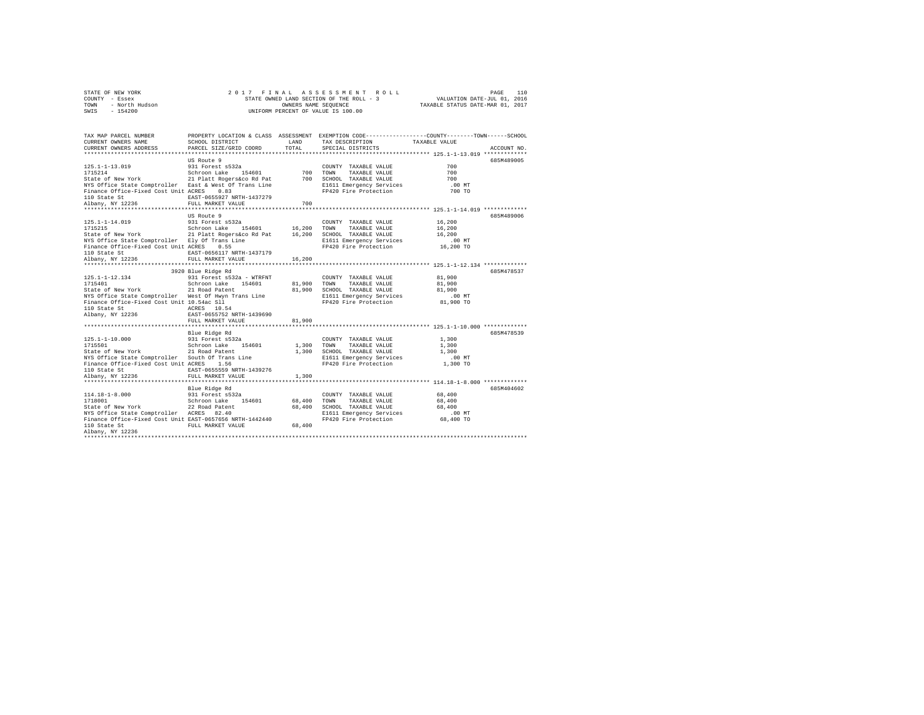|                | STATE OF NEW YORK |  | 2017 FINAL ASSESSMENT ROLL               |                                  | PAGE                        | 110 |
|----------------|-------------------|--|------------------------------------------|----------------------------------|-----------------------------|-----|
| COUNTY - Essex |                   |  | STATE OWNED LAND SECTION OF THE ROLL - 3 |                                  | VALUATION DATE-JUL 01, 2016 |     |
| TOWN           | - North Hudson    |  | OWNERS NAME SEOUENCE                     | TAXABLE STATUS DATE-MAR 01, 2017 |                             |     |
| SWIS           | $-154200$         |  | UNIFORM PERCENT OF VALUE IS 100.00       |                                  |                             |     |

| TAX MAP PARCEL NUMBER<br>CURRENT OWNERS NAME<br>CURRENT OWNERS ADDRESS                                                                     | PROPERTY LOCATION & CLASS ASSESSMENT EXEMPTION CODE---------------COUNTY------TOWN-----SCHOOL<br>SCHOOL DISTRICT<br>PARCEL SIZE/GRID COORD | LAND<br>TOTAL         | TAX DESCRIPTION TAXABLE VALUE<br>SPECIAL DISTRICTS |                                                                 | ACCOUNT NO. |
|--------------------------------------------------------------------------------------------------------------------------------------------|--------------------------------------------------------------------------------------------------------------------------------------------|-----------------------|----------------------------------------------------|-----------------------------------------------------------------|-------------|
|                                                                                                                                            |                                                                                                                                            |                       |                                                    |                                                                 |             |
|                                                                                                                                            | US Route 9                                                                                                                                 |                       |                                                    |                                                                 | 685M489005  |
| 125.1-1-13.019                                                                                                                             | 2a COUNT<br>154601 700 TOWN<br>931 Forest s532a                                                                                            |                       | COUNTY TAXABLE VALUE                               | 700                                                             |             |
|                                                                                                                                            |                                                                                                                                            |                       | TAXABLE VALUE                                      | 700                                                             |             |
|                                                                                                                                            |                                                                                                                                            |                       | 700 SCHOOL TAXABLE VALUE                           | 700                                                             |             |
| NYS Office State Comptroller East & West Of Trans Line                                                                                     |                                                                                                                                            |                       | E1611 Emergency Services                           | $.00$ MT                                                        |             |
| Finance Office-Fixed Cost Unit ACRES 0.83                                                                                                  |                                                                                                                                            |                       | FP420 Fire Protection                              | 700 TO                                                          |             |
| 110 State St                                                                                                                               | EAST-0655927 NRTH-1437279                                                                                                                  |                       |                                                    |                                                                 |             |
| Albany, NY 12236                                                                                                                           | FULL MARKET VALUE                                                                                                                          | 700                   |                                                    |                                                                 |             |
|                                                                                                                                            |                                                                                                                                            | ************          |                                                    | ********************************* 125.1-1-14.019 ************** |             |
|                                                                                                                                            | US Route 9                                                                                                                                 |                       |                                                    |                                                                 | 685M489006  |
| 125.1-1-14.019                                                                                                                             | 931 Forest s532a                                                                                                                           |                       | COUNTY TAXABLE VALUE                               | 16,200                                                          |             |
| 1715215                                                                                                                                    |                                                                                                                                            |                       |                                                    | 16,200                                                          |             |
| State of New York 21 Platt Rogers&co Rd Pat 16,200 SCHOOL TAXABLE VALUE                                                                    |                                                                                                                                            |                       |                                                    | 16,200                                                          |             |
| NYS Office State Comptroller Ely Of Trans Line                                                                                             |                                                                                                                                            |                       | E1611 Emergency Services                           | .00 MT                                                          |             |
| Finance Office-Fixed Cost Unit ACRES 0.55                                                                                                  |                                                                                                                                            |                       | FP420 Fire Protection 16,200 TO                    |                                                                 |             |
|                                                                                                                                            |                                                                                                                                            |                       |                                                    |                                                                 |             |
|                                                                                                                                            |                                                                                                                                            |                       |                                                    |                                                                 |             |
|                                                                                                                                            |                                                                                                                                            |                       |                                                    |                                                                 |             |
|                                                                                                                                            | 3920 Blue Ridge Rd                                                                                                                         |                       |                                                    |                                                                 | 685M478537  |
| 125.1-1-12.134                                                                                                                             | 931 Forest s532a - WTRFNT                                                                                                                  |                       | COUNTY TAXABLE VALUE<br>TAXABLE VALUE              | 81,900<br>81,900                                                |             |
|                                                                                                                                            |                                                                                                                                            | 81,900 TOWN<br>81,900 | SCHOOL TAXABLE VALUE                               | 81,900                                                          |             |
| NEXT OF THE STATE COMPLETED MEST OF HWY Trans Line                                                                                         |                                                                                                                                            |                       |                                                    | $.00$ MT                                                        |             |
| Finance Office-Fixed Cost Unit 10.54ac Sll                                                                                                 |                                                                                                                                            |                       | E1611 Emergency Services<br>FP420 Fire Protection  | 81,900 TO                                                       |             |
| 110 State St                                                                                                                               | ACRES 10.54                                                                                                                                |                       |                                                    |                                                                 |             |
| Albany, NY 12236                                                                                                                           | EAST-0655752 NRTH-1439690                                                                                                                  |                       |                                                    |                                                                 |             |
|                                                                                                                                            | FULL MARKET VALUE                                                                                                                          | 81,900                |                                                    |                                                                 |             |
|                                                                                                                                            |                                                                                                                                            |                       |                                                    |                                                                 |             |
|                                                                                                                                            | Blue Ridge Rd                                                                                                                              |                       |                                                    |                                                                 | 685M478539  |
| 125.1-1-10.000                                                                                                                             | 931 Forest s532a                                                                                                                           |                       | COUNTY TAXABLE VALUE 1,300                         |                                                                 |             |
| 1715501                                                                                                                                    | Schroon Lake 154601                                                                                                                        |                       | 1,300 TOWN TAXABLE VALUE                           | 1,300                                                           |             |
| State of New York                                                                                                                          | 21 Road Patent                                                                                                                             |                       | 1,300 SCHOOL TAXABLE VALUE                         | 1,300                                                           |             |
|                                                                                                                                            |                                                                                                                                            |                       | E1611 Emergency Services                           | $.00$ MT                                                        |             |
| NYS Office State Comptroller South Of Trans Line<br>Finance Office-Fixed Cost Unit ACRES 1.56<br>Finance Office-Fixed Cost Unit ACRES 1.56 |                                                                                                                                            |                       | FP420 Fire Protection                              | 1,300 TO                                                        |             |
| 110 State St                                                                                                                               | EAST-0655559 NRTH-1439276                                                                                                                  |                       |                                                    |                                                                 |             |
|                                                                                                                                            |                                                                                                                                            |                       |                                                    |                                                                 |             |
|                                                                                                                                            |                                                                                                                                            |                       |                                                    |                                                                 |             |
|                                                                                                                                            | Blue Ridge Rd                                                                                                                              |                       |                                                    |                                                                 | 685M404602  |
|                                                                                                                                            |                                                                                                                                            |                       | COUNTY TAXABLE VALUE                               | 68,400                                                          |             |
|                                                                                                                                            |                                                                                                                                            | 68,400                | TOWN<br>TAXABLE VALUE                              | 68,400                                                          |             |
|                                                                                                                                            |                                                                                                                                            |                       | 68,400 SCHOOL TAXABLE VALUE                        | 68,400                                                          |             |
|                                                                                                                                            |                                                                                                                                            |                       | E1611 Emergency Services                           | .00 MT                                                          |             |
| Finance Office-Fixed Cost Unit EAST-0657656 NRTH-1442440                                                                                   |                                                                                                                                            |                       | FP420 Fire Protection                              | 68,400 TO                                                       |             |
| 110 State St                                                                                                                               | FULL MARKET VALUE 68,400                                                                                                                   |                       |                                                    |                                                                 |             |
| Albanv, NY 12236                                                                                                                           |                                                                                                                                            |                       |                                                    |                                                                 |             |
|                                                                                                                                            |                                                                                                                                            |                       |                                                    |                                                                 |             |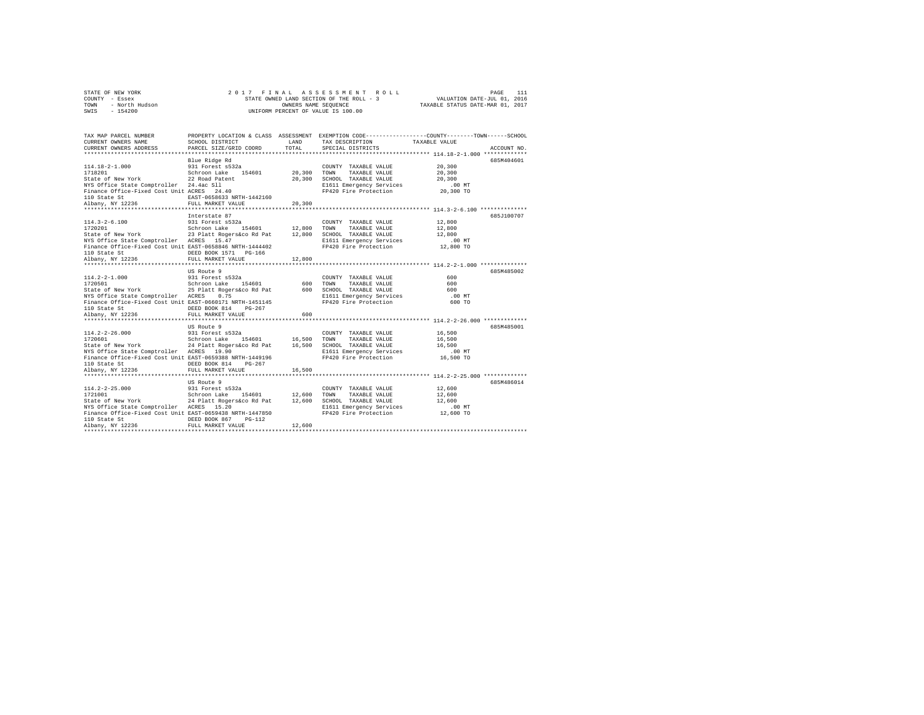| STATE OF NEW YORK      | 2017 FINAL ASSESSMENT ROLL               | PAGE                             |
|------------------------|------------------------------------------|----------------------------------|
| COUNTY - Essex         | STATE OWNED LAND SECTION OF THE ROLL - 3 | VALUATION DATE-JUL 01, 2016      |
| TOWN<br>- North Hudson | OWNERS NAME SEOUENCE                     | TAXABLE STATUS DATE-MAR 01, 2017 |
| - 154200<br>SWIS       | UNIFORM PERCENT OF VALUE IS 100.00       |                                  |

| TAX MAP PARCEL NUMBER<br>CURRENT OWNERS NAME<br>CURRENT OWNERS ADDRESS                                                                                                                                                                                                                                     | SCHOOL DISTRICT<br>PARCEL SIZE/GRID COORD                                                          | LAND<br>TOTAL    | TAX DESCRIPTION<br>SPECIAL DISTRICTS                                                                               | PROPERTY LOCATION & CLASS ASSESSMENT EXEMPTION CODE---------------COUNTY-------TOWN-----SCHOOL<br>TAXABLE VALUE<br>ACCOUNT NO. |
|------------------------------------------------------------------------------------------------------------------------------------------------------------------------------------------------------------------------------------------------------------------------------------------------------------|----------------------------------------------------------------------------------------------------|------------------|--------------------------------------------------------------------------------------------------------------------|--------------------------------------------------------------------------------------------------------------------------------|
| $114.18 - 2 - 1.000$<br>1718201<br>-rrow-<br>State of New York<br>NYS Office State Comptroller 24.4ac S11<br>Finance Office-Fixed Cost Unit ACRES 24.40                                                                                                                                                    | Blue Ridge Rd<br>931 Forest s532a<br>Schroon Lake<br>154601 20,300 TOWN                            | 20,300<br>20,300 | COUNTY TAXABLE VALUE<br>TAXABLE VALUE<br>SCHOOL TAXABLE VALUE<br>E1611 Emergency Services<br>FP420 Fire Protection | 685M404601<br>20,300<br>20,300<br>20,300<br>$.00$ MT<br>20,300 TO                                                              |
| $114.3 - 2 - 6.100$<br>$\frac{1720201}{12,800}$ TOWN TAXABLE VALUE<br>State of New York 23 Platt Rogers&co Rd Pat $\frac{12,800}{12,800}$ SCHOOL TAXABLE VALUE<br>NYS Office State Comptroller ACRES 15.47<br>Finance Office-Fixed Cost Unit EAST-0658846 NRTH-1444402<br>110 State St<br>Albany, NY 12236 | Interstate 87<br>931 Forest s532a<br>DEED BOOK 1571 PG-166<br>FULL MARKET VALUE                    | 12,800           | COUNTY TAXABLE VALUE<br>E1611 Emergency Services<br>FP420 Fire Protection                                          | 6857100707<br>12,800<br>12,800<br>12,800<br>$.00$ MT<br>12,800 TO                                                              |
| $114.2 - 2 - 1.000$<br>1720501<br>NYS Office State Comptroller ACRES 0.75<br>Finance Office-Fixed Cost Unit EAST-0660171 NRTH-1451145<br>110 State St<br>Albany, NY 12236                                                                                                                                  | US Route 9<br>931 Forest s532a<br>Schroon Lake 154601<br>DEED BOOK 814 PG-267<br>FULL MARKET VALUE | 600 TOWN<br>600  | COUNTY TAXABLE VALUE<br>TAXABLE VALUE<br>E1611 Emergency Services<br>FP420 Fire Protection                         | 685M485002<br>600<br>600<br>600<br>$.00$ MT<br>600 TO                                                                          |
| $114.2 - 2 - 26.000$<br>1720601<br>State of New York 24 Platt Rogers&co Rd Pat 16,500 SCHOOL TAXABLE VALUE<br>NYS Office State Comptroller ACRES 19.90<br>Finance Office-Fixed Cost Unit EAST-0659388 NRTH-1449196<br>110 State St<br>Albany, NY 12236                                                     | US Route 9<br>DEED BOOK 814 PG-267<br>FULL MARKET VALUE                                            | 16,500           | COUNTY TAXABLE VALUE<br>TAXABLE VALUE<br>E1611 Emergency Services<br>FP420 Fire Protection                         | 685M485001<br>16,500<br>16,500<br>16,500<br>$.00$ MT<br>16,500 TO                                                              |
| $114.2 - 2 - 25.000$<br>NYS Office State Comptroller ACRES 15.20<br>Finance Office-Fixed Cost Unit EAST-0659438 NRTH-1447850<br>110 State St<br>Albany, NY 12236                                                                                                                                           | US Route 9<br>931 Forest s532a<br>DEED BOOK 867<br>$PG-112$<br>FULL MARKET VALUE                   | 12,600           | COUNTY TAXABLE VALUE<br>E1611 Emergency Services<br>FP420 Fire Protection                                          | 685M486014<br>12,600<br>12,600<br>12,600<br>$.00$ MT<br>12,600 TO                                                              |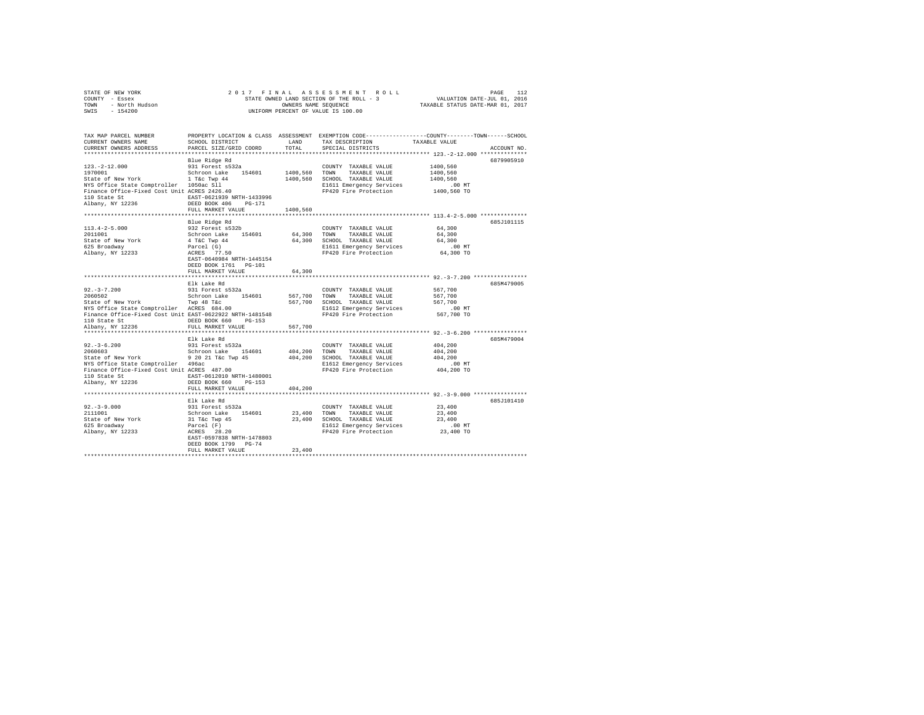|                | STATE OF NEW YORK |  |  |  |  | 2017 FINAL ASSESSMENT ROLL               |  |  |  |                                  | PAGE | 112 |
|----------------|-------------------|--|--|--|--|------------------------------------------|--|--|--|----------------------------------|------|-----|
| COUNTY - Essex |                   |  |  |  |  | STATE OWNED LAND SECTION OF THE ROLL - 3 |  |  |  | VALUATION DATE-JUL 01, 2016      |      |     |
| TOWN           | - North Hudson    |  |  |  |  | OWNERS NAME SEOUENCE                     |  |  |  | TAXABLE STATUS DATE-MAR 01, 2017 |      |     |
| SWIS           | - 154200          |  |  |  |  | UNIFORM PERCENT OF VALUE IS 100.00       |  |  |  |                                  |      |     |

| TAX MAP PARCEL NUMBER<br>CURRENT OWNERS NAME<br>CURRENT OWNERS ADDRESS                                                                                                                                    | SCHOOL DISTRICT<br>PARCEL SIZE/GRID COORD                                                                                                                                                                      | LAND<br>TOTAL                 | PROPERTY LOCATION & CLASS ASSESSMENT EXEMPTION CODE----------------COUNTY-------TOWN-----SCHOOL<br>TAX DESCRIPTION<br>SPECIAL DISTRICTS | TAXABLE VALUE                                                                                       | ACCOUNT NO |
|-----------------------------------------------------------------------------------------------------------------------------------------------------------------------------------------------------------|----------------------------------------------------------------------------------------------------------------------------------------------------------------------------------------------------------------|-------------------------------|-----------------------------------------------------------------------------------------------------------------------------------------|-----------------------------------------------------------------------------------------------------|------------|
| $123. -2 - 12.000$<br>1970001<br>State of New York<br>NYS Office State Comptroller 1050ac Sll<br>Finance Office-Fixed Cost Unit ACRES 2426.40<br>110 State St<br>Albany, NY 12236                         | Blue Ridge Rd<br>931 Forest s532a<br>Schroon Lake 154601<br>$1$ T&c Twp $44$<br>EAST-0621939 NRTH-1433996<br>DEED BOOK 406<br>$PG-171$<br>FULL MARKET VALUE                                                    | 1400,560 TOWN<br>1400,560     | COUNTY TAXABLE VALUE<br>TAXABLE VALUE<br>1400,560 SCHOOL TAXABLE VALUE<br>E1611 Emergency Services<br>FP420 Fire Protection             | 1400,560<br>1400,560<br>1400,560<br>.00 MT<br>1400,560 TO                                           | 6879905910 |
| $113.4 - 2 - 5.000$<br>2011001<br>State of New York<br>625 Broadway<br>Albany, NY 12233                                                                                                                   | Blue Ridge Rd<br>932 Forest s532b<br>Schroon Lake 154601<br>4 T&C Twp 44<br>Parcel (G)<br>ACRES 77.50<br>EAST-0640984 NRTH-1445154<br>DEED BOOK 1761 PG-101<br>FULL MARKET VALUE                               | 64.300 TOWN<br>64,300         | COUNTY TAXABLE VALUE<br>TAXABLE VALUE<br>64,300 SCHOOL TAXABLE VALUE<br>E1611 Emergency Services<br>FP420 Fire Protection               | 64,300<br>64,300<br>64,300<br>.00 MT<br>64,300 TO                                                   | 685J101115 |
| $92. - 3 - 7.200$<br>2060502<br>State of New York Twp 48 T&c<br>NYS Office State Comptroller ACRES 684.00<br>Finance Office-Fixed Cost Unit EAST-0622922 NRTH-1481548<br>110 State St<br>Albany, NY 12236 | Elk Lake Rd<br>931 Forest s532a<br>Schroon Lake 154601<br>DEED BOOK 660<br>PG-153<br>FULL MARKET VALUE                                                                                                         | 567,700<br>567,700            | COUNTY TAXABLE VALUE<br>TOWN<br>TAXABLE VALUE<br>567,700 SCHOOL TAXABLE VALUE<br>E1612 Emergency Services<br>FP420 Fire Protection      | 567,700<br>567,700<br>567,700<br>.00 MT<br>567,700 TO                                               | 685M479005 |
| $92. - 3 - 6.200$<br>2060603<br>State of New York<br>NYS Office State Comptroller 496ac<br>Finance Office-Fixed Cost Unit ACRES 487.00<br>110 State St<br>Albany, NY 12236                                | **********************<br>Elk Lake Rd<br>931 Forest s532a<br>Schroon Lake 154601<br>9 20 21 T&c Twp 45<br>EAST-0612010 NRTH-1480001<br>DEED BOOK 660<br>PG-153<br>FULL MARKET VALUE<br>*********************** | 404,200<br>404,200<br>404,200 | COUNTY TAXABLE VALUE<br>TOWN<br>TAXABLE VALUE<br>SCHOOL TAXABLE VALUE<br>E1612 Emergency Services<br>FP420 Fire Protection              | ************ 92. -3-6.200 **************<br>404,200<br>404,200<br>404,200<br>$.00$ MT<br>404,200 TO | 685M479004 |
| $92. -3 - 9.000$<br>2111001<br>State of New York<br>625 Broadway<br>Albany, NY 12233                                                                                                                      | Elk Lake Rd<br>931 Forest s532a<br>Schroon Lake<br>154601<br>31 T&c Twp 45<br>Parcel (F)<br>ACRES 28.20<br>EAST-0597838 NRTH-1478803<br>DEED BOOK 1799 PG-74<br>FULL MARKET VALUE                              | 23,400 TOWN<br>23,400         | COUNTY TAXABLE VALUE<br>TAXABLE VALUE<br>23,400 SCHOOL TAXABLE VALUE<br>E1612 Emergency Services<br>FP420 Fire Protection               | 23,400<br>23,400<br>23,400<br>$.00$ MT<br>23,400 TO                                                 | 685J101410 |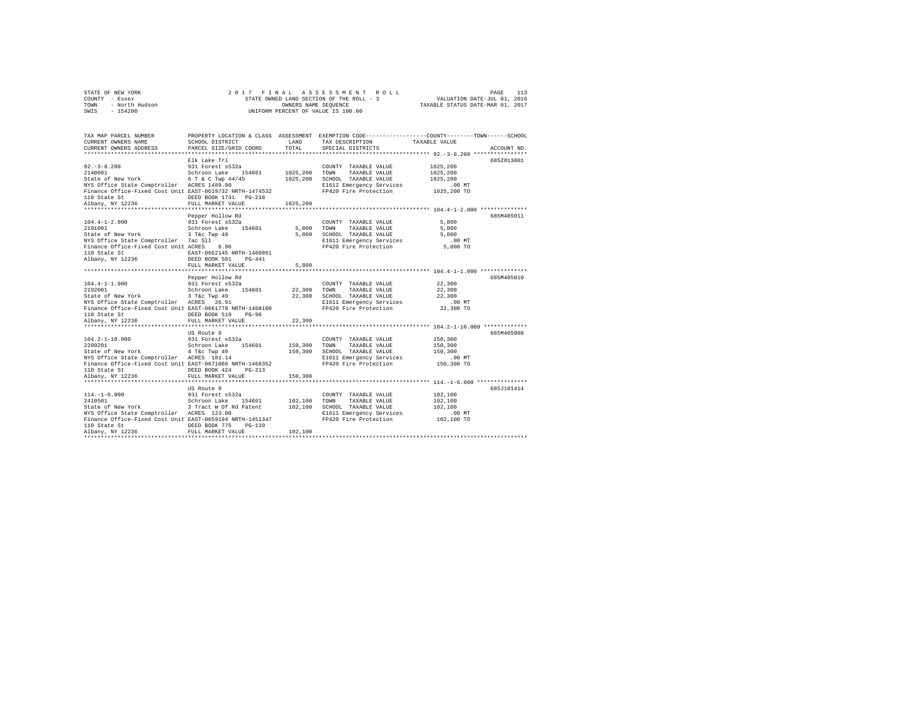| STATE OF NEW YORK      | 2017 FINAL ASSESSMENT ROLL               | 113<br>PAGE                      |
|------------------------|------------------------------------------|----------------------------------|
| COUNTY - Essex         | STATE OWNED LAND SECTION OF THE ROLL - 3 | VALUATION DATE-JUL 01, 2016      |
| TOWN<br>- North Hudson | OWNERS NAME SEOUENCE                     | TAXABLE STATUS DATE-MAR 01, 2017 |
| $-154200$<br>SWIS      | UNIFORM PERCENT OF VALUE IS 100.00       |                                  |

| TAX MAP PARCEL NUMBER                                                                                                                                                                                                                                                                                                                                                                                                                                                                                                    |                                       |         | PROPERTY LOCATION & CLASS ASSESSMENT EXEMPTION CODE---------------COUNTY-------TOWN-----SCHOOL |                                                                     | ACCOUNT NO. |
|--------------------------------------------------------------------------------------------------------------------------------------------------------------------------------------------------------------------------------------------------------------------------------------------------------------------------------------------------------------------------------------------------------------------------------------------------------------------------------------------------------------------------|---------------------------------------|---------|------------------------------------------------------------------------------------------------|---------------------------------------------------------------------|-------------|
| 92.-3-8.200<br>2140001<br>2140001<br>2161025,200<br>2161025,200<br>216121<br>216121<br>216121<br>216121<br>216121<br>216121<br>216121<br>216121<br>216121<br>216121<br>216121<br>216121<br>216121<br>216121<br>216121<br>216121<br>216121<br>216121<br>*************************                                                                                                                                                                                                                                         | Elk Lake Trl                          |         |                                                                                                | ************************************ 104.4-1-2.000 **************** | 685Z013001  |
| $104.4 - 1 - 2.000$<br>2191001<br>2121001 Media 2011001 Max 2131001 MARIE VALUE 1.10001 MARIE VALUE 6.<br>The Section of Marie 2011 Max 21111 Max 21611 Max 21611 MARIE VALUE 36,800<br>Finance Office-Fixed Cost Unit ACRES 6.96 Max 21611 Max 21611 Max 21611 Max 21                                                                                                                                                                                                                                                   | Pepper Hollow Rd<br>FULL MARKET VALUE | 5,800   |                                                                                                |                                                                     | 685M405011  |
| Pepper Hollow Rd<br>21.1-1-1.000 Pepper Hollow Rd<br>21.92001 Pepper Hollow Rd<br>21.92001 State of New York Schroon Lake 154601 22,300 TOWN TAXABLE VALUE 22,300<br>State of New York 3 Tac Twp 49<br>NYS Office State Comptroller ACRE<br>110 State St<br>2236 DEED BOOK 519 DG-96<br>241 PULL MARKET VALUE                                                                                                                                                                                                            | FULL MARKET VALUE                     | 22,300  |                                                                                                |                                                                     | 685M405010  |
| 0000011 UNIVE 3532a<br>USA COUNTY TAXABLE VALUE<br>School School Data 154601 150,300 TOWN TAXABLE VALUE<br>SCHOOL TAXABLE VALUE 150,300<br>STARE STARE STARE VALUE 150,300<br>NYS Office State Comptroller ACRES 181.14<br>NYS Office Stat<br>Finance Office-Fixed Cost Unit EAST-0671066 NRTH-1468352 FP420 Fire Protection 150,300 TO<br>110 State St<br>Albany, NY 12236 PUL MARKET VALUE<br>FULL MARKET VALUE (1990) 110 State St<br>FULL MARKET VALUE (1990) 120 STATE (1990) 2000<br>FULL MARKET VALUE (1990) 2000 | US Route 9                            |         |                                                                                                |                                                                     | 685M405008  |
|                                                                                                                                                                                                                                                                                                                                                                                                                                                                                                                          | US Route 9                            | 102,100 |                                                                                                |                                                                     | 685J101414  |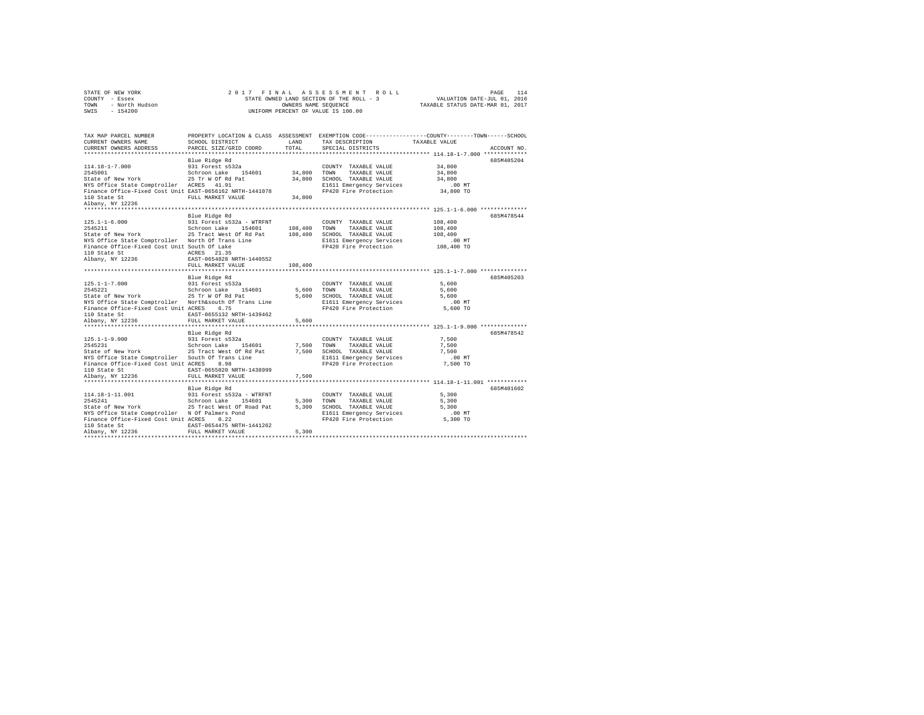|      | STATE OF NEW YORK | 2017 FINAL ASSESSMENT ROLL               | 114<br>PAGE                      |
|------|-------------------|------------------------------------------|----------------------------------|
|      | COUNTY - Essex    | STATE OWNED LAND SECTION OF THE ROLL - 3 | VALUATION DATE-JUL 01, 2016      |
| TOWN | - North Hudson    | OWNERS NAME SEOUENCE                     | TAXABLE STATUS DATE-MAR 01, 2017 |
| SWIS | - 154200          | UNIFORM PERCENT OF VALUE IS 100.00       |                                  |

| TAX MAP PARCEL NUMBER<br>CURRENT OWNERS NAME<br>CURRENT OWNERS ADDRESS                                                                                         | SCHOOL DISTRICT<br>PARCEL SIZE/GRID COORD      | T.AND<br>TOTAL | TAX DESCRIPTION TAXABLE VALUE<br>SPECIAL DISTRICTS     | PROPERTY LOCATION & CLASS ASSESSMENT EXEMPTION CODE---------------COUNTY-------TOWN-----SCHOOL<br>ACCOUNT NO. |
|----------------------------------------------------------------------------------------------------------------------------------------------------------------|------------------------------------------------|----------------|--------------------------------------------------------|---------------------------------------------------------------------------------------------------------------|
|                                                                                                                                                                |                                                |                |                                                        |                                                                                                               |
|                                                                                                                                                                | Blue Ridge Rd                                  |                |                                                        | 685M405204<br>34,800                                                                                          |
| NYS Office State Comptroller ACRES 41.91                                                                                                                       |                                                |                | E1611 Emergency Services                               | .00 MT.<br>34,800 TO                                                                                          |
| Finance Office-Fixed Cost Unit EAST-0656162 NRTH-1441078<br>110 State St<br>and the company<br>Albany, NY 12236                                                | FULL MARKET VALUE                              | 34,800         | FP420 Fire Protection                                  |                                                                                                               |
| *************************                                                                                                                                      |                                                |                |                                                        | 685M478544                                                                                                    |
| $125.1 - 1 - 6.000$                                                                                                                                            | Blue Ridge Rd                                  |                | COUNTY TAXABLE VALUE                                   | 108,400                                                                                                       |
| 2545211                                                                                                                                                        |                                                |                |                                                        | 108,400                                                                                                       |
| State of New York 25 Tract West Of Rd Pat 108,400 SCHOOL TAXABLE VALUE                                                                                         |                                                |                |                                                        |                                                                                                               |
| NYS Office State Comptroller  North Of Trans Line                                                                                                              |                                                |                | E1611 Emergency Services                               | 108,400<br>.00 MT                                                                                             |
| Finance Office-Fixed Cost Unit South Of Lake<br>iiu State St<br>Albany, NY 12236                                                                               | ACRES 21.35                                    |                | FP420 Fire Protection 108,400 TO                       |                                                                                                               |
|                                                                                                                                                                | EAST-0654828 NRTH-1440552<br>FULL MARKET VALUE | 108,400        |                                                        |                                                                                                               |
|                                                                                                                                                                |                                                |                |                                                        |                                                                                                               |
|                                                                                                                                                                | Blue Ridge Rd                                  |                |                                                        | 685M405203                                                                                                    |
|                                                                                                                                                                |                                                |                |                                                        | 5,600                                                                                                         |
|                                                                                                                                                                |                                                |                |                                                        | 5,600                                                                                                         |
|                                                                                                                                                                |                                                |                | 5,600 SCHOOL TAXABLE VALUE<br>E1611 Emergency Services | 5,600                                                                                                         |
| NYS Office State Comptroller Worth&south Of Trans Line                                                                                                         |                                                |                |                                                        | $.00$ MT                                                                                                      |
| Finance Office-Fixed Cost Unit ACRES 6.75                                                                                                                      |                                                |                | FP420 Fire Protection                                  | 5,600 TO                                                                                                      |
| 110 State St                                                                                                                                                   | EAST-0655132 NRTH-1439462                      |                |                                                        |                                                                                                               |
| Albany, NY 12236                                                                                                                                               | FULL MARKET VALUE                              | 5,600          |                                                        |                                                                                                               |
|                                                                                                                                                                | Blue Ridge Rd                                  |                |                                                        | 685M478542                                                                                                    |
| 215.1-1-9.000 – 21-10 MAR (ASS)<br>2545231 – 2010 Schroon Lake 154601 – 7,500 TOMN TAXABLE VALUE<br>251 – 25 Tract West Of Rd Pat – 7,500 SCHOOL TAXABLE VALUE |                                                |                | COUNTY TAXABLE VALUE 7,500                             |                                                                                                               |
|                                                                                                                                                                |                                                |                |                                                        | 7.500                                                                                                         |
|                                                                                                                                                                |                                                |                |                                                        | 7.500                                                                                                         |
| -----<br>NYS Office State Comptroller – South Of Trans Line<br>Finance Office-Fixed Cost Unit ACRES – 8.98                                                     |                                                |                | E1611 Emergency Services                               | $.00$ MT                                                                                                      |
|                                                                                                                                                                |                                                |                | FP420 Fire Protection                                  | 7,500 TO                                                                                                      |
| 110 State St                                                                                                                                                   | EAST-0655020 NRTH-1438999                      |                |                                                        |                                                                                                               |
| Albany, NY 12236                                                                                                                                               | FULL MARKET VALUE                              | 7,500          |                                                        |                                                                                                               |
|                                                                                                                                                                |                                                |                |                                                        |                                                                                                               |
|                                                                                                                                                                |                                                |                | COUNTY TAXABLE VALUE                                   | 685M401602<br>5,300                                                                                           |
|                                                                                                                                                                |                                                |                | TOWN<br>TAXABLE VALUE                                  | 5,300                                                                                                         |
|                                                                                                                                                                |                                                |                | 5,300 SCHOOL TAXABLE VALUE                             | 5,300                                                                                                         |
|                                                                                                                                                                |                                                |                |                                                        |                                                                                                               |
| NYS Office State Comptroller - N Of Palmers Pond<br>Finance Office-Fixed Cost Unit ACRES - 0.22                                                                |                                                |                |                                                        |                                                                                                               |
| 110 State St                                                                                                                                                   | EAST-0654475 NRTH-1441262                      |                |                                                        |                                                                                                               |
| Albany, NY 12236                                                                                                                                               | FULL MARKET VALUE                              | 5,300          |                                                        |                                                                                                               |
|                                                                                                                                                                |                                                |                |                                                        |                                                                                                               |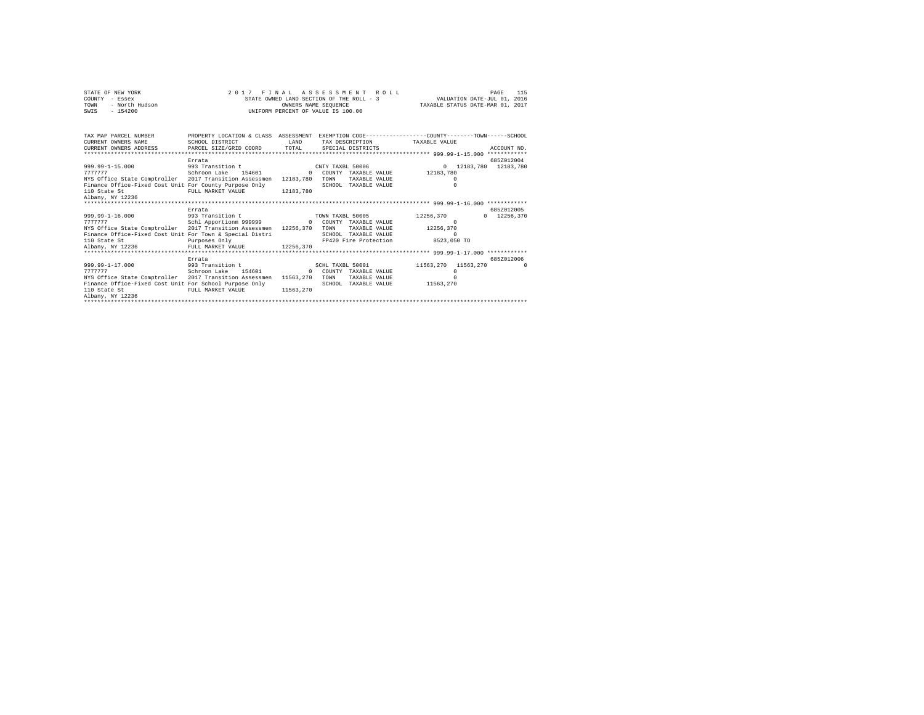| STATE OF NEW YORK                                                                                                       |                                                |                                    |  | 2017 FINAL ASSESSMENT ROLL |                                        |          | 115<br>PAGE |
|-------------------------------------------------------------------------------------------------------------------------|------------------------------------------------|------------------------------------|--|----------------------------|----------------------------------------|----------|-------------|
| COUNTY - Essex                                                                                                          |                                                |                                    |  |                            |                                        |          |             |
| - North Hudson<br>TOWN                                                                                                  |                                                |                                    |  |                            |                                        |          |             |
| $-154200$<br>SWIS                                                                                                       |                                                | UNIFORM PERCENT OF VALUE IS 100.00 |  |                            |                                        |          |             |
|                                                                                                                         |                                                |                                    |  |                            |                                        |          |             |
|                                                                                                                         |                                                |                                    |  |                            |                                        |          |             |
|                                                                                                                         |                                                |                                    |  |                            |                                        |          |             |
| TAX MAP PARCEL NUMBER THE PROPERTY LOCATION & CLASS ASSESSMENT EXEMPTION CODE-------------COUNTY-------TOWN------SCHOOL |                                                |                                    |  |                            |                                        |          |             |
| CURRENT OWNERS NAME                                                                                                     | SCHOOL DISTRICT                                | <b>T.AND</b>                       |  |                            | TAX DESCRIPTION TAXABLE VALUE          |          |             |
|                                                                                                                         |                                                |                                    |  |                            |                                        |          |             |
|                                                                                                                         |                                                |                                    |  |                            |                                        |          |             |
|                                                                                                                         | Errata                                         |                                    |  |                            |                                        |          | 685Z012004  |
| 999.99-1-15.000 993 Transition t                                                                                        |                                                |                                    |  |                            | CNTY TAXBL 50006 0 12183,780 12183,780 |          |             |
| 7777777                                                                                                                 | Schroon Lake 154601                            |                                    |  |                            | 0 COUNTY TAXABLE VALUE 12183.780       |          |             |
| NYS Office State Comptroller 2017 Transition Assessmen 12183,780 TOWN                                                   |                                                |                                    |  | TAXABLE VALUE              |                                        | $\Omega$ |             |
|                                                                                                                         |                                                |                                    |  | SCHOOL TAXABLE VALUE       |                                        | $\Omega$ |             |
|                                                                                                                         |                                                |                                    |  |                            |                                        |          |             |
| Albany, NY 12236                                                                                                        |                                                |                                    |  |                            |                                        |          |             |
| ***************************                                                                                             |                                                |                                    |  |                            |                                        |          |             |
|                                                                                                                         | Errata                                         |                                    |  |                            |                                        |          | 685Z012005  |
| 999.99-1-16.000 993 Transition t                                                                                        |                                                |                                    |  |                            | 12256,370                              |          | 0 12256,370 |
| $7777777$                                                                                                               | Schl Apportion 999999 9 0 COUNTY TAXABLE VALUE |                                    |  | TOWN TAXBL 50005           |                                        | $\Omega$ |             |
| NYS Office State Comptroller 2017 Transition Assessmen 12256,370 TOWN TAXABLE VALUE 12256,370                           |                                                |                                    |  |                            |                                        |          |             |
|                                                                                                                         |                                                |                                    |  |                            |                                        |          |             |
| Finance Office-Fixed Cost Unit For Town & Special Distri                                                                |                                                |                                    |  | SCHOOL TAXABLE VALUE       |                                        | $\Omega$ |             |
| 110 State St                                                                                                            | Purposes Only                                  |                                    |  |                            | FP420 Fire Protection 8523,050 TO      |          |             |
| Albany, NY 12236                                                                                                        | FULL MARKET VALUE 12256,370                    |                                    |  |                            |                                        |          |             |
|                                                                                                                         |                                                |                                    |  |                            |                                        |          |             |
|                                                                                                                         | Errata                                         |                                    |  |                            |                                        |          | 6857012006  |
| 999.99-1-17.000                                                                                                         | 993 Transition t                               |                                    |  |                            | SCHL TAXBL 50001 11563.270 11563.270   |          | $\sim$ 0    |
| 7777777                                                                                                                 | Schroon Lake 154601 0 COUNTY TAXABLE VALUE     |                                    |  |                            |                                        | $\Omega$ |             |
| NYS Office State Comptroller 2017 Transition Assessmen 11563.270 TOWN                                                   |                                                |                                    |  | TAXABLE VALUE              |                                        | $\cap$   |             |
| Finance Office-Fixed Cost Unit For School Purpose Only                                                                  |                                                |                                    |  |                            | SCHOOL TAXABLE VALUE 11563.270         |          |             |
| 110 State St                                                                                                            | FULL MARKET VALUE 11563.270                    |                                    |  |                            |                                        |          |             |
| Albany, NY 12236                                                                                                        |                                                |                                    |  |                            |                                        |          |             |
|                                                                                                                         |                                                |                                    |  |                            |                                        |          |             |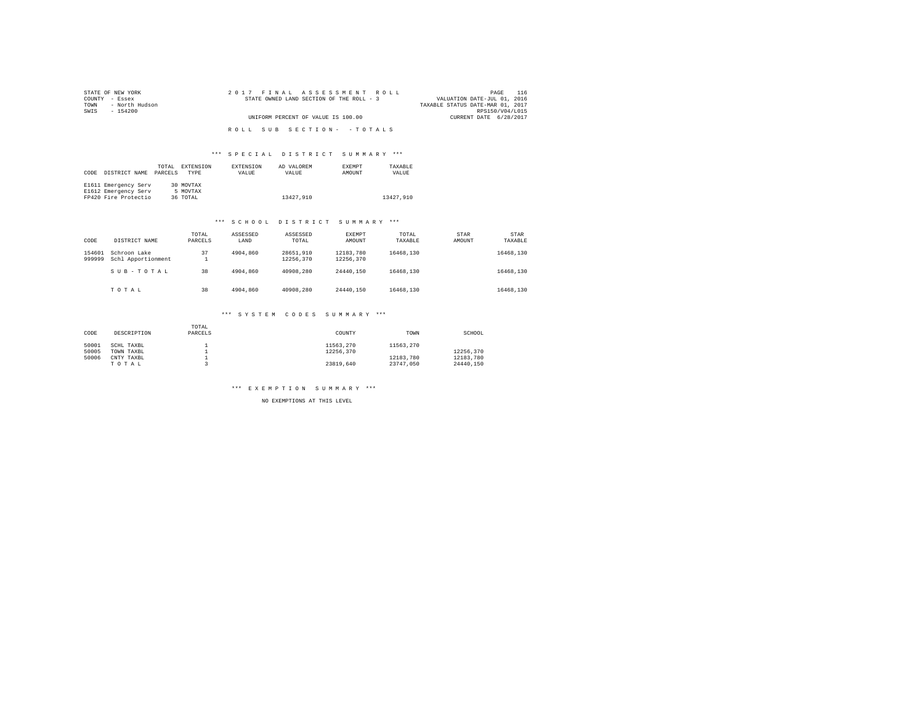| STATE OF NEW YORK      | 2017 FINAL ASSESSMENT ROLL               | 116<br>PAGE                      |
|------------------------|------------------------------------------|----------------------------------|
| COUNTY - Essex         | STATE OWNED LAND SECTION OF THE ROLL - 3 | VALUATION DATE-JUL 01, 2016      |
| - North Hudson<br>TOWN |                                          | TAXABLE STATUS DATE-MAR 01, 2017 |
| SWIS<br>- 154200       |                                          | RPS150/V04/L015                  |
|                        | UNIFORM PERCENT OF VALUE IS 100.00       | CURRENT DATE 6/28/2017           |
|                        |                                          |                                  |
|                        | ROLL SUB SECTION- - TOTALS               |                                  |

## \*\*\* S P E C I A L D I S T R I C T S U M M A R Y \*\*\*

| CODE | DISTRICT NAME        | TOTAL<br>PARCELS | EXTENSION<br><b>TYPE</b> | <b>EXTENSION</b><br>VALUE | AD VALOREM<br>VALUE | <b>EXEMPT</b><br>AMOUNT | TAXARLE<br>VALUE |
|------|----------------------|------------------|--------------------------|---------------------------|---------------------|-------------------------|------------------|
|      | E1611 Emergency Serv |                  | 30 MOVTAX                |                           |                     |                         |                  |
|      | E1612 Emergency Serv |                  | 5 MOVTAX                 |                           |                     |                         |                  |
|      | FP420 Fire Protectio |                  | 36 TOTAL                 |                           | 13427.910           |                         | 13427.910        |

#### \*\*\* S C H O O L D I S T R I C T S U M M A R Y \*\*\*

| CODE             | DISTRICT NAME                      | TOTAL<br>PARCELS | ASSESSED<br>LAND | ASSESSED<br>TOTAL      | EXEMPT<br>AMOUNT       | TOTAL<br>TAXABLE | <b>STAR</b><br>AMOUNT | STAR<br>TAXABLE |
|------------------|------------------------------------|------------------|------------------|------------------------|------------------------|------------------|-----------------------|-----------------|
| 154601<br>999999 | Schroon Lake<br>Schl Apportionment | 37<br>۰          | 4904,860         | 28651.910<br>12256.370 | 12183.780<br>12256.370 | 16468.130        |                       | 16468,130       |
|                  | SUB-TOTAL                          | 38               | 4904,860         | 40908,280              | 24440.150              | 16468.130        |                       | 16468.130       |
|                  | TOTAL                              | 38               | 4904,860         | 40908,280              | 24440.150              | 16468.130        |                       | 16468,130       |

# \*\*\* S Y S T E M C O D E S S U M M A R Y \*\*\*

| CODE  | DESCRIPTION | TOTAL<br>PARCELS | COUNTY    | TOWN      | SCHOOL    |
|-------|-------------|------------------|-----------|-----------|-----------|
| 50001 | SCHL TAXBL  |                  | 11563.270 | 11563.270 |           |
| 50005 | TOWN TAXBL  |                  | 12256.370 |           | 12256.370 |
| 50006 | CNTY TAXBL  |                  |           | 12183.780 | 12183.780 |
|       | TOTAL       |                  | 23819.640 | 23747.050 | 24440.150 |

## \*\*\* E X E M P T I O N S U M M A R Y \*\*\*

NO EXEMPTIONS AT THIS LEVEL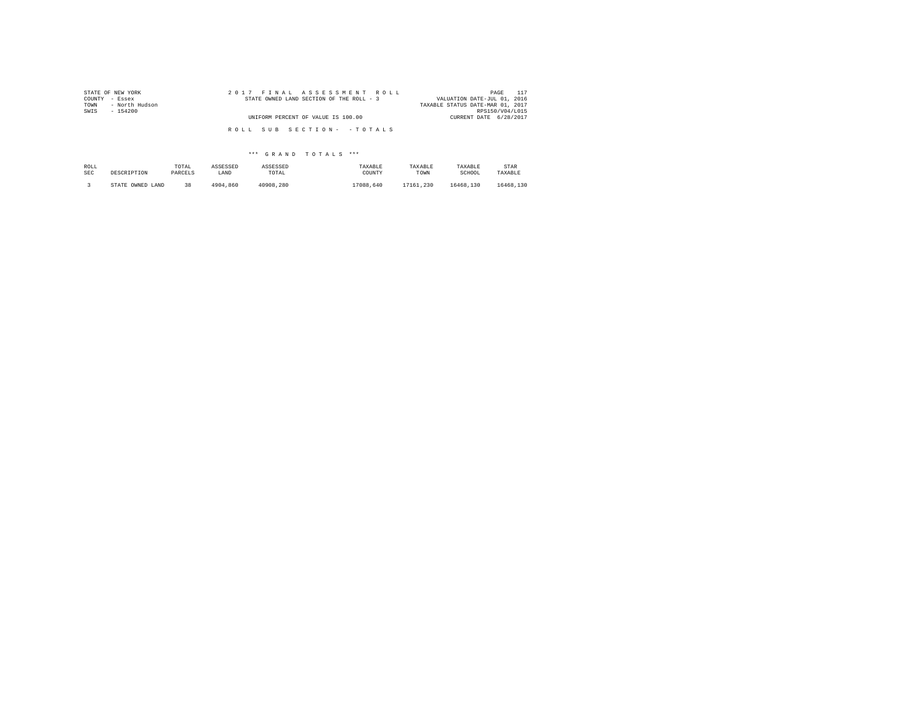| STATE OF NEW YORK<br>COUNTY - Essex<br>TOWN<br>- North Hudson | 2017 FINAL ASSESSMENT ROLL<br>STATE OWNED LAND SECTION OF THE ROLL - 3 | 117<br>PAGE<br>VALUATION DATE-JUL 01, 2016<br>TAXABLE STATUS DATE-MAR 01, 2017 |
|---------------------------------------------------------------|------------------------------------------------------------------------|--------------------------------------------------------------------------------|
| SWIS<br>$-154200$                                             | UNIFORM PERCENT OF VALUE IS 100.00                                     | RPS150/V04/L015<br>CURRENT DATE 6/28/2017                                      |
|                                                               | ROLL SUB SECTION- - TOTALS                                             |                                                                                |

# \*\*\* G R A N D T O T A L S \*\*\*

| ROLL       | DESCRIPTION      | TOTAL   | ASSESSED | ASSESSED  | TAXABLE   | TAXABLE   | TAXABLE   | STAR      |
|------------|------------------|---------|----------|-----------|-----------|-----------|-----------|-----------|
| <b>SEC</b> |                  | PARCELS | LAND     | TOTAL     | COUNTY    | TOWN      | SCHOOL    | TAXABLE   |
|            | STATE OWNED LAND | 38      | 4904,860 | 40908.280 | 17088.640 | 17161.230 | 16468.130 | 16468.130 |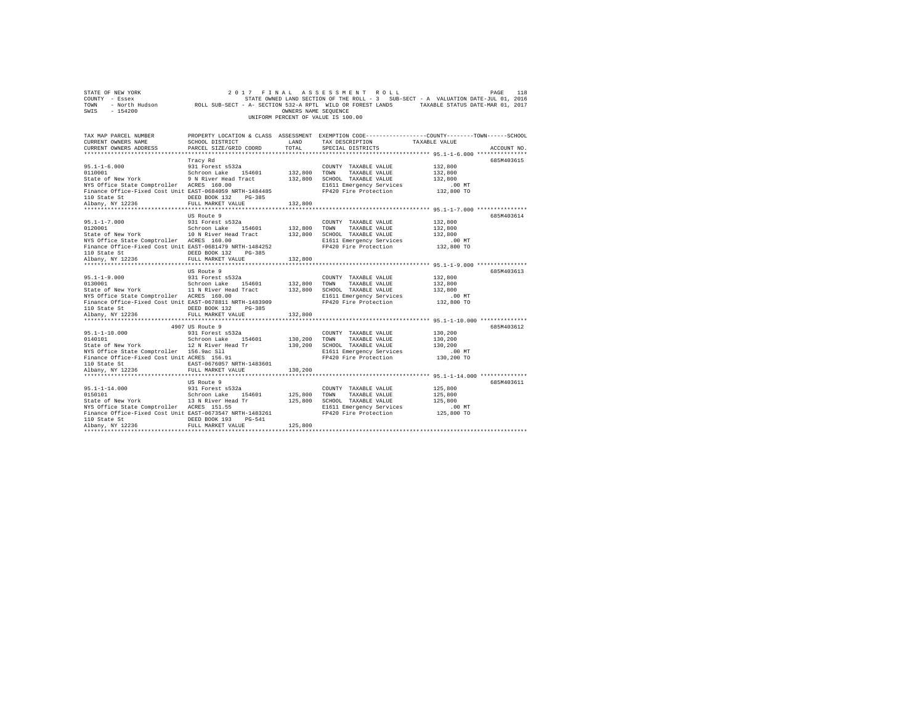| COUNTY - Essex<br>TOWN<br>SWIS<br>$-154200$                                                                                                                                                                                 |                                                                                                                                    | OWNERS NAME SEQUENCE          | UNIFORM PERCENT OF VALUE IS 100.00                                                                                         | STATE OWNED LAND SECTION OF THE ROLL - 3 SUB-SECT - A VALUATION DATE-JUL 01, 2016<br>- North Hudson ROLL SUB-SECT - A- SECTION 532-A RPTL WILD OR FOREST LANDS TAXABLE STATUS DATE-MAR 01, 2017 |
|-----------------------------------------------------------------------------------------------------------------------------------------------------------------------------------------------------------------------------|------------------------------------------------------------------------------------------------------------------------------------|-------------------------------|----------------------------------------------------------------------------------------------------------------------------|-------------------------------------------------------------------------------------------------------------------------------------------------------------------------------------------------|
| TAX MAP PARCEL NUMBER<br>CURRENT OWNERS NAME<br>CURRENT OWNERS ADDRESS                                                                                                                                                      | SCHOOL DISTRICT<br>PARCEL SIZE/GRID COORD                                                                                          | LAND<br>TOTAL                 | TAX DESCRIPTION<br>SPECIAL DISTRICTS                                                                                       | PROPERTY LOCATION & CLASS ASSESSMENT EXEMPTION CODE---------------COUNTY-------TOWN------SCHOOL<br>TAXABLE VALUE<br>ACCOUNT NO.                                                                 |
| $95.1 - 1 - 6.000$<br>0110001<br>State of New York 9 N River Head Tract<br>NYS Office State Comptroller ACRES 160.00<br>Finance Office-Fixed Cost Unit EAST-0684059 NRTH-1484485<br>236<br>110 State St<br>Albany, NY 12236 | Tracy Rd<br>931 Forest s532a<br>Schroon Lake 154601<br>DEED BOOK 132<br>$PG-385$<br>FULL MARKET VALUE                              | 132,800<br>132,800<br>132,800 | COUNTY TAXABLE VALUE<br>TOWN<br>TAXABLE VALUE<br>SCHOOL TAXABLE VALUE<br>E1611 Emergency Services<br>FP420 Fire Protection | 685M403615<br>132,800<br>132,800<br>132,800<br>$.00$ MT<br>132,800 TO                                                                                                                           |
| $95.1 - 1 - 7.000$<br>0120001<br>State of New York<br>NYS Office State Comptroller ACRES 160.00<br>Finance Office-Fixed Cost Unit EAST-0681479 NRTH-1484252<br>110 State St<br>Albany, NY 12236                             | US Route 9<br>931 Forest s532a<br>Schroon Lake 154601<br>10 N River Head Tract<br>DEED BOOK 132 PG-385<br>FULL MARKET VALUE        | 132,800<br>132,800<br>132,800 | COUNTY TAXABLE VALUE<br>TAXABLE VALUE<br>TOWN<br>SCHOOL TAXABLE VALUE<br>E1611 Emergency Services<br>FP420 Fire Protection | 685M403614<br>132,800<br>132,800<br>132,800<br>$.00$ MT<br>132,800 TO                                                                                                                           |
| $95.1 - 1 - 9.000$<br>0130001<br>State of New York<br>NYS Office State Comptroller ACRES 160.00<br>Finance Office-Fixed Cost Unit EAST-0678811 NRTH-1483909<br>110 State St                                                 | US Route 9<br>931 Forest s532a<br>Schroon Lake 154601<br>11 N River Head Tract<br>DEED BOOK 132 PG-385                             | 132,800<br>132,800            | COUNTY TAXABLE VALUE<br>TOWN<br>TAXABLE VALUE<br>SCHOOL TAXABLE VALUE<br>E1611 Emergency Services<br>FP420 Fire Protection | 685M403613<br>132,800<br>132,800<br>132,800<br>$.00$ MT<br>132,800 TO                                                                                                                           |
| Albany, NY 12236                                                                                                                                                                                                            | FULL MARKET VALUE                                                                                                                  | 132,800                       |                                                                                                                            |                                                                                                                                                                                                 |
| $95.1 - 1 - 10.000$<br>0140101<br>State of New York<br>NYS Office State Comptroller 156.9ac Sll<br>Finance Office-Fixed Cost Unit ACRES 156.91<br>110 State St<br>Albany, NY 12236                                          | 4907 US Route 9<br>931 Forest s532a<br>Schroon Lake 154601<br>12 N River Head Tr<br>EAST-0676057 NRTH-1483601<br>FULL MARKET VALUE | 130,200<br>130,200<br>130,200 | COUNTY TAXABLE VALUE<br>TOWN<br>TAXABLE VALUE<br>SCHOOL TAXABLE VALUE<br>E1611 Emergency Services<br>FP420 Fire Protection | 685M403612<br>130,200<br>130,200<br>130,200<br>$.00$ MT<br>130,200 TO                                                                                                                           |
| $95.1 - 1 - 14.000$<br>0150101<br>State of New York<br>NYS Office State Comptroller ACRES 151.55<br>Finance Office-Fixed Cost Unit EAST-0673547 NRTH-1483261<br>110 State St<br>Albany, NY 12236                            | US Route 9<br>931 Forest s532a<br>Schroon Lake 154601<br>13 N River Head Tr<br>DEED BOOK 193<br>$PG-541$<br>FULL MARKET VALUE      | 125,800<br>125,800<br>125,800 | COUNTY TAXABLE VALUE<br>TOWN<br>TAXABLE VALUE<br>SCHOOL TAXABLE VALUE<br>E1611 Emergency Services<br>FP420 Fire Protection | 685M403611<br>125,800<br>125,800<br>125,800<br>$.00$ MT<br>125,800 TO                                                                                                                           |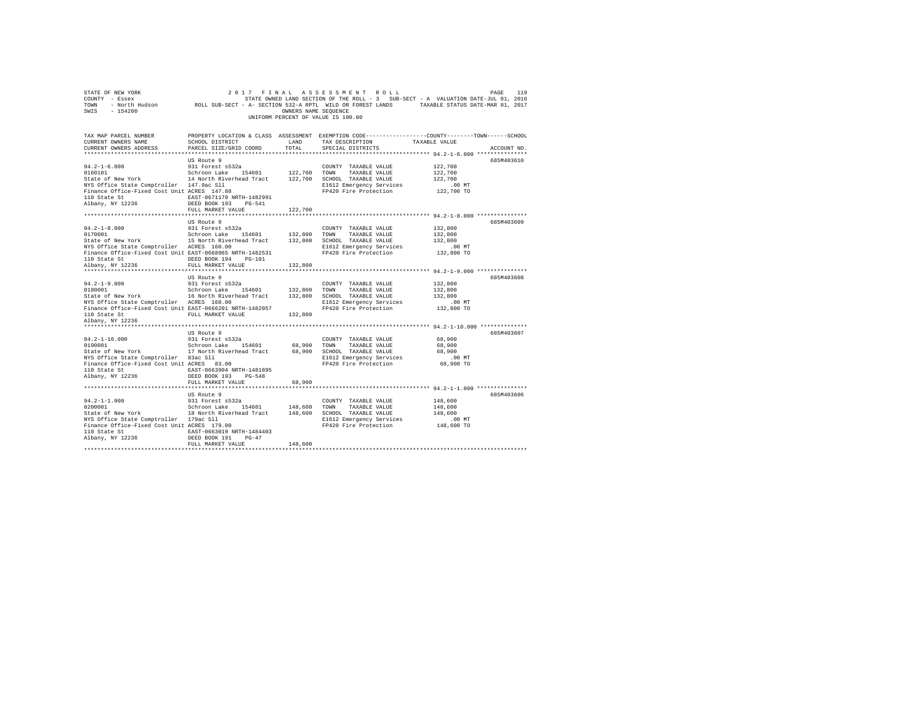| SWIS - 154200                                                                                                                                                                                                                                                                   |                                                                                                                                             | OWNERS NAME SEQUENCE | UNIFORM PERCENT OF VALUE IS 100.00                 |                                  |             |
|---------------------------------------------------------------------------------------------------------------------------------------------------------------------------------------------------------------------------------------------------------------------------------|---------------------------------------------------------------------------------------------------------------------------------------------|----------------------|----------------------------------------------------|----------------------------------|-------------|
| TAX MAP PARCEL NUMBER<br>CURRENT OWNERS NAME<br>CURRENT OWNERS ADDRESS                                                                                                                                                                                                          | PROPERTY LOCATION & CLASS ASSESSMENT EXEMPTION CODE---------------COUNTY-------TOWN-----SCHOOL<br>SCHOOL DISTRICT<br>PARCEL SIZE/GRID COORD | LAND<br>TOTAL        | TAX DESCRIPTION TAXABLE VALUE<br>SPECIAL DISTRICTS |                                  | ACCOUNT NO. |
|                                                                                                                                                                                                                                                                                 | US Route 9                                                                                                                                  |                      |                                                    |                                  | 685M403610  |
|                                                                                                                                                                                                                                                                                 |                                                                                                                                             |                      |                                                    |                                  |             |
|                                                                                                                                                                                                                                                                                 |                                                                                                                                             |                      |                                                    |                                  |             |
|                                                                                                                                                                                                                                                                                 |                                                                                                                                             |                      |                                                    |                                  |             |
|                                                                                                                                                                                                                                                                                 |                                                                                                                                             |                      |                                                    |                                  |             |
| $\begin{tabular}{lllllllllllll} \hline 94.2-1-6.000 & 931 Forest & 5522a & 0.001811 & 1000111 & 1000111 & 1001111 & 1001111 & 1011111 & 1011111 & 1011111 & 1011111 & 1011111 & 101111 & 101111 & 101111 & 101111 & 101111 & 101111 & 101111 & 101111 & 101111 & 101111 & 1011$ |                                                                                                                                             |                      |                                                    |                                  |             |
| 110 State St<br>Albany, NY 12236                                                                                                                                                                                                                                                | EAST-0671179 NRTH-1482991                                                                                                                   |                      |                                                    |                                  |             |
|                                                                                                                                                                                                                                                                                 | DEED BOOK 193 PG-541<br>FULL MARKET VALUE                                                                                                   |                      |                                                    |                                  |             |
|                                                                                                                                                                                                                                                                                 |                                                                                                                                             | 122,700              |                                                    |                                  |             |
|                                                                                                                                                                                                                                                                                 | US Route 9                                                                                                                                  |                      |                                                    |                                  | 685M403609  |
|                                                                                                                                                                                                                                                                                 |                                                                                                                                             |                      |                                                    | 132,800                          |             |
|                                                                                                                                                                                                                                                                                 |                                                                                                                                             |                      |                                                    | 132,800                          |             |
|                                                                                                                                                                                                                                                                                 |                                                                                                                                             |                      |                                                    | 132,800                          |             |
|                                                                                                                                                                                                                                                                                 |                                                                                                                                             |                      | E1612 Emergency Services                           | .00 MT                           |             |
| Finance Office-Fixed Cost Unit EAST-0668965 NRTH-1482531                                                                                                                                                                                                                        |                                                                                                                                             |                      |                                                    | FP420 Fire Protection 132,800 TO |             |
| 110 State St<br>Albany, NY 12236                                                                                                                                                                                                                                                | DEED BOOK 194 PG-101                                                                                                                        |                      |                                                    |                                  |             |
|                                                                                                                                                                                                                                                                                 | FULL MARKET VALUE                                                                                                                           | 132,800              |                                                    |                                  |             |
|                                                                                                                                                                                                                                                                                 |                                                                                                                                             |                      |                                                    |                                  | 685M403608  |
|                                                                                                                                                                                                                                                                                 |                                                                                                                                             |                      |                                                    | 132,800                          |             |
|                                                                                                                                                                                                                                                                                 |                                                                                                                                             |                      |                                                    | 132,800                          |             |
|                                                                                                                                                                                                                                                                                 |                                                                                                                                             |                      |                                                    | 132,800                          |             |
|                                                                                                                                                                                                                                                                                 |                                                                                                                                             |                      |                                                    | .00 MT                           |             |
|                                                                                                                                                                                                                                                                                 |                                                                                                                                             |                      |                                                    | 132,800 TO                       |             |
| 110 State St                                                                                                                                                                                                                                                                    | FULL MARKET VALUE                                                                                                                           | 132,800              |                                                    |                                  |             |
| Albany, NY 12236                                                                                                                                                                                                                                                                |                                                                                                                                             |                      |                                                    |                                  |             |
|                                                                                                                                                                                                                                                                                 |                                                                                                                                             |                      |                                                    |                                  |             |
|                                                                                                                                                                                                                                                                                 | US Route 9                                                                                                                                  |                      |                                                    |                                  | 685M403607  |
| $94.2 - 1 - 10.000$<br>0190001                                                                                                                                                                                                                                                  | 931 Forest s532a<br>Schroon Lake 154601 68,900 TOWN TAXABLE VALUE                                                                           |                      | COUNTY TAXABLE VALUE                               | 68,900<br>68,900                 |             |
| State of New York 17 North Riverhead Tract 68,900 SCHOOL TAXABLE VALUE                                                                                                                                                                                                          |                                                                                                                                             |                      |                                                    | 68,900                           |             |
|                                                                                                                                                                                                                                                                                 |                                                                                                                                             |                      | E1612 Emergency Services                           |                                  |             |
| NYS Office State Comptroller 83ac S11<br>Finance Office-Fixed Cost Unit ACRES 83.00                                                                                                                                                                                             |                                                                                                                                             |                      | FP420 Fire Protection                              | MT. 00<br>68,900 TO              |             |
| 110 State St  EAST-0663904 NRTH-1481895                                                                                                                                                                                                                                         |                                                                                                                                             |                      |                                                    |                                  |             |
| Albany, NY 12236                                                                                                                                                                                                                                                                | DEED BOOK 193 PG-548                                                                                                                        |                      |                                                    |                                  |             |
|                                                                                                                                                                                                                                                                                 | FULL MARKET VALUE                                                                                                                           | 68,900               |                                                    |                                  |             |
|                                                                                                                                                                                                                                                                                 |                                                                                                                                             |                      |                                                    |                                  |             |
|                                                                                                                                                                                                                                                                                 | US Route 9                                                                                                                                  |                      |                                                    |                                  | 685M403606  |
|                                                                                                                                                                                                                                                                                 |                                                                                                                                             |                      |                                                    |                                  |             |
|                                                                                                                                                                                                                                                                                 |                                                                                                                                             |                      |                                                    |                                  |             |
|                                                                                                                                                                                                                                                                                 |                                                                                                                                             |                      |                                                    |                                  |             |
|                                                                                                                                                                                                                                                                                 |                                                                                                                                             |                      |                                                    |                                  |             |
|                                                                                                                                                                                                                                                                                 |                                                                                                                                             |                      |                                                    |                                  |             |
| ${\small \begin{tabular}{lcl} 110 State St & & & \tt EAST-0663019 NRTH-1484403 \\ \tt Albany, NY & 12236 & & & \tt DEED BOOK 191 & PG-47 \\ \end{tabular}}$                                                                                                                     |                                                                                                                                             |                      |                                                    |                                  |             |
|                                                                                                                                                                                                                                                                                 | FULL MARKET VALUE                                                                                                                           | 148,600              |                                                    |                                  |             |
|                                                                                                                                                                                                                                                                                 |                                                                                                                                             |                      |                                                    |                                  |             |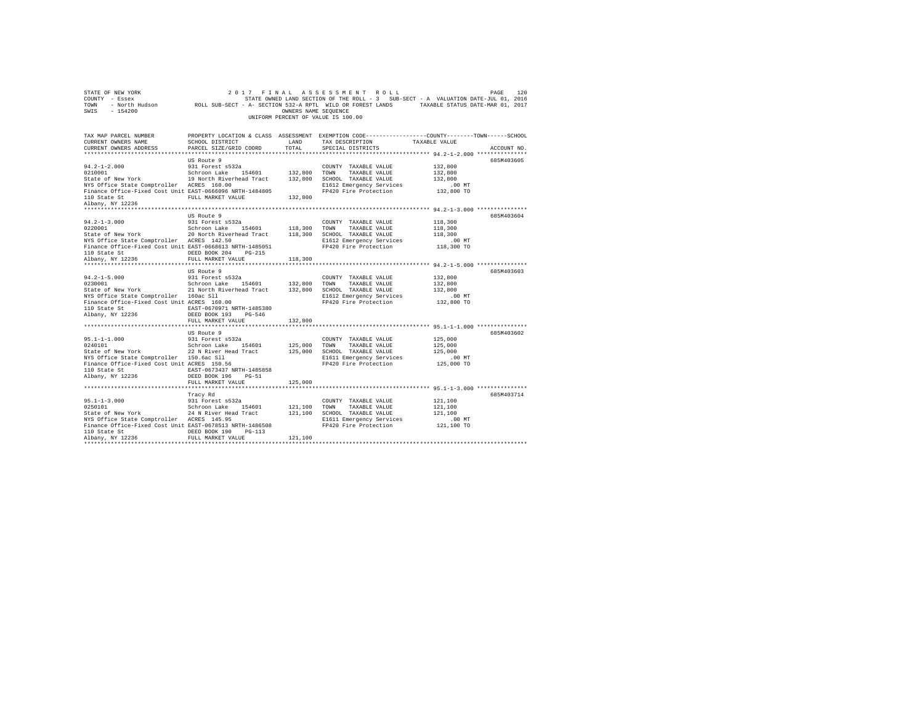| STATE OF NEW YORK<br>COUNTY - Essex<br>TOWN - NOrth Hudson         ROLL SUB-SECT - A- SECTION 522-A RPTL WILD OR FOREST LANDS   TAXABLE STATUS DATE-MAR 01, 2016<br>SWIS - 154200                                                                                                                                                                                                                                                                                                                                                 |                                                                                                                                                           | OWNERS NAME SEOUENCE    | 2017 FINAL ASSESSMENT ROLL<br>UNIFORM PERCENT OF VALUE IS 100.00                                                                        |                                                            | 120<br>PAGE |
|-----------------------------------------------------------------------------------------------------------------------------------------------------------------------------------------------------------------------------------------------------------------------------------------------------------------------------------------------------------------------------------------------------------------------------------------------------------------------------------------------------------------------------------|-----------------------------------------------------------------------------------------------------------------------------------------------------------|-------------------------|-----------------------------------------------------------------------------------------------------------------------------------------|------------------------------------------------------------|-------------|
| TAX MAP PARCEL NUMBER PROPERTY LOCATION & CLASS ASSESSMENT EXEMPTION CODE---------------COUNTY-------TOWN------SCHOOL<br>CURRENT OWNERS NAME<br>CURRENT OWNERS ADDRESS                                                                                                                                                                                                                                                                                                                                                            | SCHOOL DISTRICT<br>PARCEL SIZE/GRID COORD                                                                                                                 | LAND<br>TOTAL           | TAX DESCRIPTION<br>SPECIAL DISTRICTS                                                                                                    | TAXABLE VALUE<br>************ 94.2-1-2.000 *************** | ACCOUNT NO. |
| $94.2 - 1 - 2.000$<br>$\begin{array}{cccc} \texttt{0210001} & \texttt{Schron Lake} & \texttt{154601} & \texttt{132,800} & \texttt{TOWN} & \texttt{TAXABLE VALUE} \\ \texttt{State of New York} & \texttt{19 North Riverhead Tract} & \texttt{132,800} & \texttt{SCHOOL TAXABLE VALUE} \end{array}$<br>NYS Office State Comptroller ACRES 160.00<br>Finance Office-Fixed Cost Unit EAST-0666096 NRTH-1484805<br>110 State St                                                                                                       | US Route 9<br>931 Forest s532a<br>FULL MARKET VALUE                                                                                                       | 132,800                 | COUNTY TAXABLE VALUE<br>E1612 Emergency Services<br>FP420 Fire Protection                                                               | 132,800<br>132,800<br>132,800<br>$.00$ MT<br>132,800 TO    | 685M403605  |
| Albany, NY 12236<br>$94.2 - 1 - 3.000$<br>0220001<br>State of New York<br>NYS Office State Comptroller ACRES 142.50<br>Finance Office-Fixed Cost Unit EAST-0668613 NRTH-1485051<br>110 State St<br>Albany, NY 12236                                                                                                                                                                                                                                                                                                               | US Route 9<br>931 Forest s532a<br>Schroon Lake 154601 118,300 TOWN TAXABLE VALUE<br>20 North Riverhead Tract<br>DEED BOOK 204 PG-215<br>FULL MARKET VALUE | 118,300                 | COUNTY TAXABLE VALUE<br>118,300 SCHOOL TAXABLE VALUE<br>E1612 Emergency Services<br>FP420 Fire Protection                               | 118,300<br>118,300<br>118.300<br>.00 MT<br>118,300 TO      | 685M403604  |
| ************************<br>$94.2 - 1 - 5.000$<br>$\begin{array}{cccccc} 0230001 & & & & \\ \text{State of New York} & & & & \\ \end{array} \hspace{2.5cm} \begin{array}{cccccc} \text{Schroon Lake} & & 154601 & & 132,800 & \text{TOMN} & & \text{TAXABLE VALUE} \\ 21 & \text{North Riverhead Tract} & & 132,800 & \text{SCHOOL} & \text{TAXABLE VALUE} \\ \end{array}$<br>NYS Office State Comptroller 160ac Sll<br>Finance Office-Fixed Cost Unit ACRES 160.00<br>110 State St EAST-0670971 NRTH-1485380<br>Albany, NY 12236 | **************************<br>US Route 9<br>931 Forest s532a<br>DEED BOOK 193 PG-546<br>FULL MARKET VALUE                                                 | 132,800                 | **************************** 94.2-1-5.000 ***************<br>COUNTY TAXABLE VALUE<br>E1612 Emergency Services<br>FP420 Fire Protection  | 132,800<br>132,800<br>132,800<br>$.00$ MT<br>132,800 TO    | 685M403603  |
| $95.1 - 1 - 1.000$<br>0240101<br>State of New York 22 N River Head Tract 125,000 SCHOOL TAXABLE VALUE<br>NYS Office State Comptroller 150.6ac Sll<br>Finance Office-Fixed Cost Unit ACRES 150.56<br>110 State St<br>Albany, NY 12236                                                                                                                                                                                                                                                                                              | US Route 9<br>931 Forest s532a<br>Schroon Lake 154601<br>EAST-0673437 NRTH-1485858<br>DEED BOOK 196 PG-51<br>FULL MARKET VALUE                            | 125,000 TOWN<br>125,000 | COUNTY TAXABLE VALUE<br>TAXABLE VALUE<br>E1611 Emergency Services<br>FP420 Fire Protection                                              | 125,000<br>125,000<br>125,000<br>.00 MT<br>125,000 TO      | 685M403602  |
| $95.1 - 1 - 3.000$<br>0250101<br>State of New York<br>NYS Office State Comptroller ACRES 145.95<br>Finance Office-Fixed Cost Unit EAST-0678513 NRTH-1486508<br>110 State St CDEED BOOK 190 PG-113<br>Albany, NY 12236                                                                                                                                                                                                                                                                                                             | Tracy Rd<br>931 Forest s532a<br>Schroon Lake 154601<br>24 N River Head Tract<br>FULL MARKET VALUE                                                         | 121,100                 | COUNTY TAXABLE VALUE<br>121,100 TOWN TAXABLE VALUE<br>121,100 SCHOOL TAXABLE VALUE<br>E1611 Emergency Services<br>FP420 Fire Protection | 121,100<br>121,100<br>121.100<br>$.00$ MT<br>121,100 TO    | 685M403714  |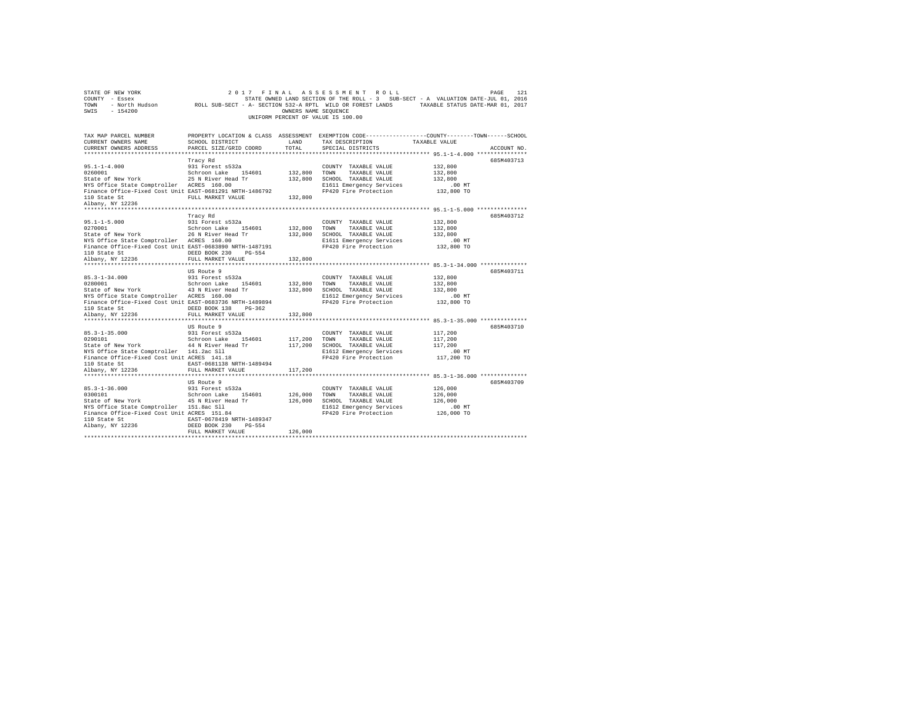| STATE OF NEW YORK<br>COUNTY - Essex<br>TOWN<br>$-154200$<br>SWIS                                                                                                                                           |                                                                                                                                                | OWNERS NAME SEQUENCE          | 2017 FINAL ASSESSMENT ROLL<br>UNIFORM PERCENT OF VALUE IS 100.00                                                           | PAGE<br>121<br>STATE OWNED LAND SECTION OF THE ROLL - 3 SUB-SECT - A VALUATION DATE-JUL 01, 2016                               |  |
|------------------------------------------------------------------------------------------------------------------------------------------------------------------------------------------------------------|------------------------------------------------------------------------------------------------------------------------------------------------|-------------------------------|----------------------------------------------------------------------------------------------------------------------------|--------------------------------------------------------------------------------------------------------------------------------|--|
| TAX MAP PARCEL NUMBER<br>CURRENT OWNERS NAME<br>CURRENT OWNERS ADDRESS                                                                                                                                     | SCHOOL DISTRICT<br>PARCEL SIZE/GRID COORD                                                                                                      | LAND<br>TOTAL                 | TAX DESCRIPTION<br>SPECIAL DISTRICTS                                                                                       | PROPERTY LOCATION & CLASS ASSESSMENT EXEMPTION CODE---------------COUNTY-------TOWN-----SCHOOL<br>TAXABLE VALUE<br>ACCOUNT NO. |  |
| $95.1 - 1 - 4.000$<br>0260001<br>ozooooi<br>State of New York<br>NYS Office State Comptroller ACRES 160.00<br>Finance Office-Fixed Cost Unit EAST-0681291 NRTH-1486792<br>110 State St<br>Albany, NY 12236 | Tracy Rd<br>931 Forest s532a<br>Schroon Lake 154601<br>25 N River Head Tr<br>FULL MARKET VALUE                                                 | 132,800<br>132,800<br>132,800 | COUNTY TAXABLE VALUE<br>TOWN<br>TAXABLE VALUE<br>SCHOOL TAXABLE VALUE<br>E1611 Emergency Services<br>FP420 Fire Protection | 685M403713<br>132,800<br>132,800<br>132,800<br>$.00$ MT<br>132,800 TO                                                          |  |
| $95.1 - 1 - 5.000$<br>0270001<br>State of New York<br>NYS Office State Comptroller ACRES 160.00<br>Finance Office-Fixed Cost Unit EAST-0683890 NRTH-1487191<br>110 State St<br>Albany, NY 12236            | Tracy Rd<br>931 Forest s532a<br>Schroon Lake 154601<br>26 N River Head Tr<br>DEED BOOK 230 PG-554<br>FULL MARKET VALUE                         | 132,800<br>132,800<br>132,800 | COUNTY TAXABLE VALUE<br>TOWN<br>TAXABLE VALUE<br>SCHOOL TAXABLE VALUE<br>E1611 Emergency Services<br>FP420 Fire Protection | 685M403712<br>132,800<br>132,800<br>132,800<br>.00 MT<br>132,800 TO                                                            |  |
| $85.3 - 1 - 34.000$<br>0280001<br>State of New York<br>NYS Office State Comptroller ACRES 160.00<br>Finance Office-Fixed Cost Unit EAST-0683736 NRTH-1489894<br>110 State St                               | US Route 9<br>931 Forest s532a<br>Schroon Lake 154601<br>43 N River Head Tr<br>DEED BOOK 138 PG-362                                            | 132,800<br>132,800            | COUNTY TAXABLE VALUE<br>TOWN<br>TAXABLE VALUE<br>SCHOOL TAXABLE VALUE<br>E1612 Emergency Services<br>FP420 Fire Protection | 685M403711<br>132,800<br>132,800<br>132,800<br>$.00$ MT<br>132,800 TO                                                          |  |
| Albany, NY 12236<br>$85.3 - 1 - 35.000$<br>0290101<br>State of New York                                                                                                                                    | FULL MARKET VALUE<br>US Route 9<br>931 Forest s532a<br>Schroon Lake 154601<br>44 N River Head Tr                                               | 132,800<br>117,200<br>117,200 | COUNTY TAXABLE VALUE<br>TOWN<br>TAXABLE VALUE<br>SCHOOL TAXABLE VALUE                                                      | 685M403710<br>117,200<br>117,200<br>117,200                                                                                    |  |
| NYS Office State Comptroller 141.2ac Sll<br>Finance Office-Fixed Cost Unit ACRES 141.18<br>110 State St<br>Albany, NY 12236<br>***********************                                                     | EAST-0681138 NRTH-1489494<br>FULL MARKET VALUE<br>**********************<br>US Route 9                                                         | 117,200                       | E1612 Emergency Services<br>FP420 Fire Protection                                                                          | $.00$ MT<br>117,200 TO<br>************ 85.3-1-36.000 **************<br>685M403709                                              |  |
| $85.3 - 1 - 36.000$<br>0300101<br>State of New York<br>NYS Office State Comptroller 151.8ac Sll<br>Finance Office-Fixed Cost Unit ACRES 151.84<br>110 State St<br>Albany, NY 12236                         | 931 Forest s532a<br>Schroon Lake 154601<br>45 N River Head Tr<br>EAST-0678419 NRTH-1489347<br>DEED BOOK 230<br>$PG - 554$<br>FULL MARKET VALUE | 126,000<br>126,000<br>126,000 | COUNTY TAXABLE VALUE<br>TOWN<br>TAXABLE VALUE<br>SCHOOL TAXABLE VALUE<br>E1612 Emergency Services<br>FP420 Fire Protection | 126,000<br>126,000<br>126,000<br>$.00$ MT<br>126,000 TO                                                                        |  |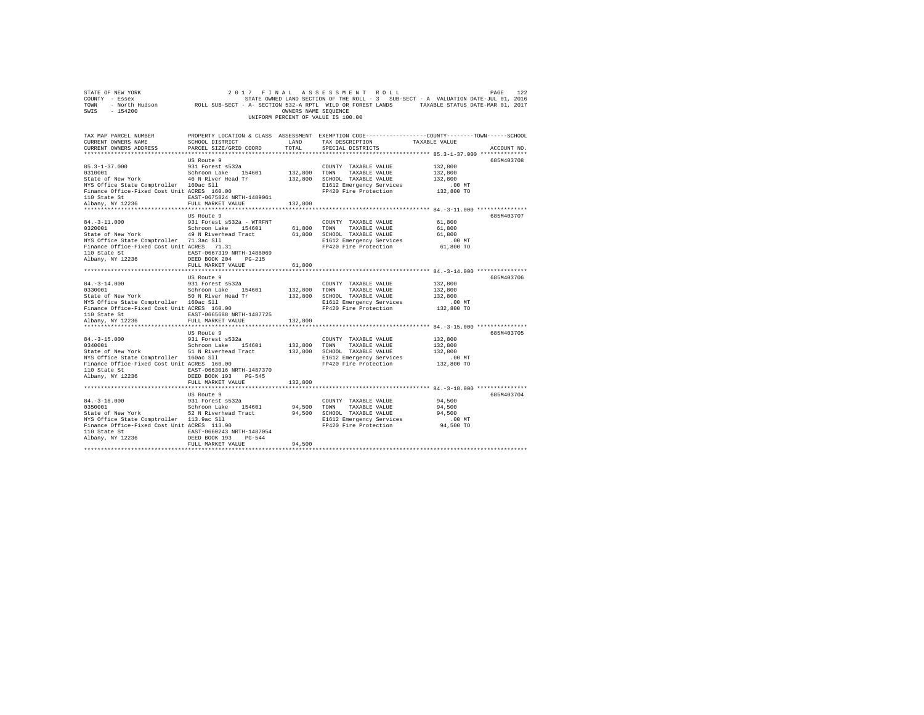| STATE OF NEW YORK<br>COUNTY - Essex<br>TOWN<br>$-154200$<br>SWIS                                        | 2017 FINAL<br>- North Hudson MOLL SUB-SECT - A- SECTION 532-A RPTL WILD OR FOREST LANDS TAXABLE STATUS DATE-MAR 01, 2017 | OWNERS NAME SEQUENCE | ASSESSMENT ROLL<br>STATE OWNED LAND SECTION OF THE ROLL - 3 SUB-SECT - A VALUATION DATE-JUL 01, 2016              |                    | 122<br>PAGE |
|---------------------------------------------------------------------------------------------------------|--------------------------------------------------------------------------------------------------------------------------|----------------------|-------------------------------------------------------------------------------------------------------------------|--------------------|-------------|
|                                                                                                         |                                                                                                                          |                      | UNIFORM PERCENT OF VALUE IS 100.00                                                                                |                    |             |
| TAX MAP PARCEL NUMBER<br>CURRENT OWNERS NAME                                                            | SCHOOL DISTRICT                                                                                                          | LAND                 | PROPERTY LOCATION & CLASS ASSESSMENT EXEMPTION CODE---------------COUNTY-------TOWN-----SCHOOL<br>TAX DESCRIPTION | TAXABLE VALUE      |             |
| CURRENT OWNERS ADDRESS                                                                                  | PARCEL SIZE/GRID COORD                                                                                                   | TOTAL                | SPECIAL DISTRICTS                                                                                                 |                    | ACCOUNT NO. |
|                                                                                                         |                                                                                                                          |                      |                                                                                                                   |                    |             |
|                                                                                                         | US Route 9                                                                                                               |                      |                                                                                                                   |                    | 685M403708  |
| $85.3 - 1 - 37.000$                                                                                     | 931 Forest s532a                                                                                                         |                      | COUNTY TAXABLE VALUE                                                                                              | 132,800            |             |
| 0310001<br>State of New York                                                                            | Schroon Lake 154601<br>46 N River Head Tr                                                                                | 132,800 TOWN         | TAXABLE VALUE<br>132,800 SCHOOL TAXABLE VALUE                                                                     | 132,800<br>132,800 |             |
|                                                                                                         |                                                                                                                          |                      | E1612 Emergency Services                                                                                          | $.00$ MT           |             |
| NYS Office State Comptroller 160ac Sll<br>Finance Office-Fixed Cost Unit ACRES 160.00                   |                                                                                                                          |                      | FP420 Fire Protection                                                                                             | 132,800 TO         |             |
| 110 State St                                                                                            | EAST-0675824 NRTH-1489061                                                                                                |                      |                                                                                                                   |                    |             |
| Albany, NY 12236                                                                                        | FULL MARKET VALUE                                                                                                        | 132,800              |                                                                                                                   |                    |             |
|                                                                                                         |                                                                                                                          |                      |                                                                                                                   |                    |             |
|                                                                                                         | US Route 9                                                                                                               |                      |                                                                                                                   |                    | 685M403707  |
| $84. - 3 - 11.000$<br>0320001                                                                           | 931 Forest s532a - WTRFNT<br>Schroon Lake 154601                                                                         | 61,800               | COUNTY TAXABLE VALUE<br>TOWN<br>TAXABLE VALUE                                                                     | 61,800<br>61,800   |             |
| State of New York                                                                                       | 49 N Riverhead Tract                                                                                                     |                      | 61,800 SCHOOL TAXABLE VALUE                                                                                       | 61,800             |             |
| NYS Office State Comptroller 71.3ac Sll                                                                 |                                                                                                                          |                      | E1612 Emergency Services                                                                                          | $.00$ MT           |             |
| Finance Office-Fixed Cost Unit ACRES 71.31                                                              |                                                                                                                          |                      | FP420 Fire Protection                                                                                             | 61,800 TO          |             |
| 110 State St                                                                                            | EAST-0667319 NRTH-1488069                                                                                                |                      |                                                                                                                   |                    |             |
| Albany, NY 12236                                                                                        | DEED BOOK 204 PG-215                                                                                                     |                      |                                                                                                                   |                    |             |
|                                                                                                         | FULL MARKET VALUE                                                                                                        | 61,800               |                                                                                                                   |                    |             |
|                                                                                                         |                                                                                                                          |                      |                                                                                                                   |                    |             |
| $84. - 3 - 14.000$                                                                                      | US Route 9<br>931 Forest s532a                                                                                           |                      | COUNTY TAXABLE VALUE                                                                                              | 132,800            | 685M403706  |
| 0330001                                                                                                 | Schroon Lake 154601                                                                                                      | 132,800              | TOWN<br>TAXABLE VALUE                                                                                             | 132,800            |             |
| State of New York                                                                                       | 50 N River Head Tr                                                                                                       | 132,800              | SCHOOL TAXABLE VALUE                                                                                              | 132,800            |             |
| NYS Office State Comptroller 160ac Sll                                                                  |                                                                                                                          |                      | E1612 Emergency Services                                                                                          | .00 MT             |             |
| Finance Office-Fixed Cost Unit ACRES 160.00                                                             |                                                                                                                          |                      | FP420 Fire Protection                                                                                             | 132,800 TO         |             |
| 110 State St                                                                                            | EAST-0665688 NRTH-1487725                                                                                                |                      |                                                                                                                   |                    |             |
| Albany, NY 12236                                                                                        | FULL MARKET VALUE                                                                                                        | 132,800              |                                                                                                                   |                    |             |
|                                                                                                         | US Route 9                                                                                                               |                      |                                                                                                                   |                    | 685M403705  |
| $84. - 3 - 15.000$                                                                                      | 931 Forest s532a                                                                                                         |                      | COUNTY TAXABLE VALUE                                                                                              | 132,800            |             |
| 0340001                                                                                                 | Schroon Lake 154601                                                                                                      | 132,800              | TOWN<br>TAXABLE VALUE                                                                                             | 132,800            |             |
| State of New York                                                                                       | 51 N Riverhead Tract                                                                                                     | 132,800              | SCHOOL TAXABLE VALUE                                                                                              | 132,800            |             |
| wis office state Comptroller 160ac Sll<br>Finance Office-Fixed Cost Unit ACRES 160.00<br>110 State Ct   |                                                                                                                          |                      | E1612 Emergency Services                                                                                          | $.00$ MT           |             |
|                                                                                                         |                                                                                                                          |                      | FP420 Fire Protection                                                                                             | 132,800 TO         |             |
| 110 State St<br>Albany, NY 12236                                                                        | EAST-0663016 NRTH-1487370<br>DEED BOOK 193 PG-545                                                                        |                      |                                                                                                                   |                    |             |
|                                                                                                         | FULL MARKET VALUE                                                                                                        | 132,800              |                                                                                                                   |                    |             |
|                                                                                                         |                                                                                                                          |                      |                                                                                                                   |                    |             |
|                                                                                                         | US Route 9                                                                                                               |                      |                                                                                                                   |                    | 685M403704  |
| $84. - 3 - 18.000$                                                                                      | 931 Forest s532a                                                                                                         |                      | COUNTY TAXABLE VALUE                                                                                              | 94,500             |             |
| 0350001                                                                                                 | Schroon Lake 154601                                                                                                      | 94,500               | TOWN<br>TAXABLE VALUE                                                                                             | 94,500             |             |
| State of New York<br>State of New York 52 N Riverhead Tract<br>NYS Office State Comptroller 113.9ac Sll |                                                                                                                          |                      | 94,500 SCHOOL TAXABLE VALUE                                                                                       | 94,500             |             |
|                                                                                                         |                                                                                                                          |                      | E1612 Emergency Services                                                                                          | $.00$ MT           |             |
| Finance Office-Fixed Cost Unit ACRES 113.90                                                             | EAST-0660243 NRTH-1487054                                                                                                |                      | FP420 Fire Protection                                                                                             | 94,500 TO          |             |
| 110 State St<br>Albany, NY 12236                                                                        | DEED BOOK 193<br>$PG-544$                                                                                                |                      |                                                                                                                   |                    |             |
|                                                                                                         | FULL MARKET VALUE                                                                                                        | 94,500               |                                                                                                                   |                    |             |
|                                                                                                         |                                                                                                                          |                      |                                                                                                                   |                    |             |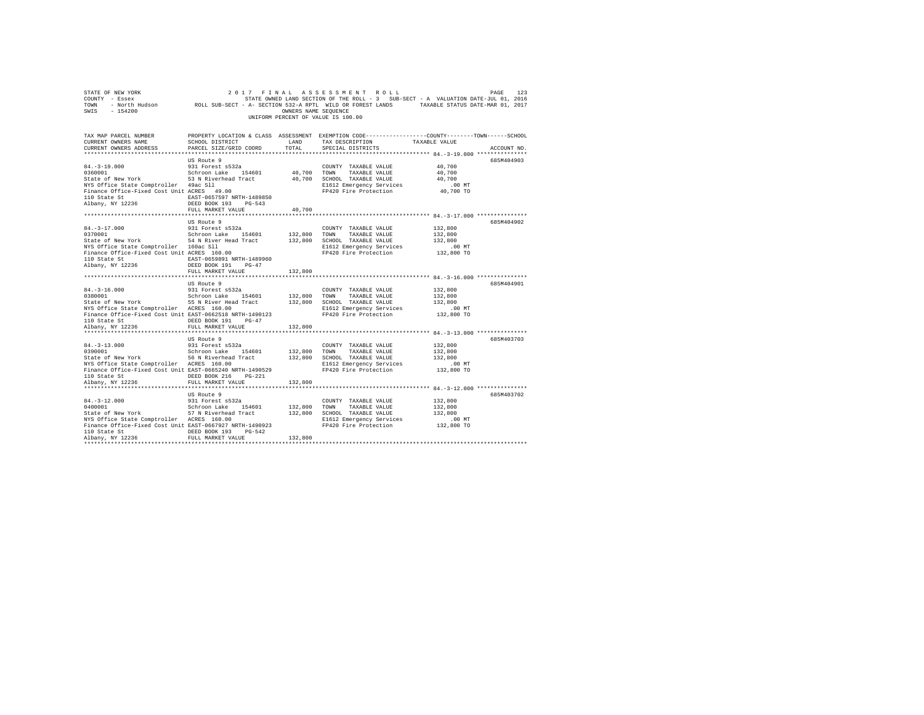| STATE OF NEW YORK<br>2017 FINAL ASSESSMENT ROLL PAGE 123<br>COUNTY - Essex - SATE ON STATE ONNED IAND SECTION OF THE ROLL -3 SUB-SECT - A VALUATION DATE-JUL 01, 2016<br>TOWN - North Hudson - ROLL SUB-SECT - A-SECTION 532-A RPTL WILD OR FOREST LANDS<br>SWIS - 154200                                         |                                                                                                                        | OWNERS NAME SEQUENCE    | 2017 FINAL ASSESSMENT ROLL<br>UNIFORM PERCENT OF VALUE IS 100.00                                                                                     |                                                         | PAGE<br>123 |
|-------------------------------------------------------------------------------------------------------------------------------------------------------------------------------------------------------------------------------------------------------------------------------------------------------------------|------------------------------------------------------------------------------------------------------------------------|-------------------------|------------------------------------------------------------------------------------------------------------------------------------------------------|---------------------------------------------------------|-------------|
| TAX MAP PARCEL NUMBER<br>CURRENT OWNERS NAME<br>CURRENT OWNERS ADDRESS                                                                                                                                                                                                                                            | SCHOOL DISTRICT<br>PARCEL SIZE/GRID COORD                                                                              | LAND<br>TOTAL           | PROPERTY LOCATION & CLASS ASSESSMENT EXEMPTION CODE---------------COUNTY-------TOWN-----SCHOOL<br>TAX DESCRIPTION TAXABLE VALUE<br>SPECIAL DISTRICTS |                                                         | ACCOUNT NO. |
| 84.-3-19.000<br>1960 - 931 Forest s512a 194601 40,700 TOWN TAXABLE VALUE<br>1960 - Schroon Lake 154601 40,700 TOWN TAXABLE VALUE<br>1961 - State of New York 1, 2008 State of New York<br>NYS Office State Comptroller 49ac Sll<br>Finance Office-Fixed Cost Unit ACRES 49.00<br>110 State St<br>Albany, NY 12236 | US Route 9<br>EAST-0657597 NRTH-1489850<br>DEED BOOK 193 PG-543                                                        |                         | E1612 Emergency Services<br>FP420 Fire Protection                                                                                                    | 40,700<br>40,700<br>40,700<br>.00MT<br>40,700 TO        | 685M404903  |
| $84. -3 - 17.000$                                                                                                                                                                                                                                                                                                 | FULL MARKET VALUE<br>US Route 9<br>931 Forest s532a                                                                    | 40,700                  | COUNTY TAXABLE VALUE                                                                                                                                 | 132,800                                                 | 685M404902  |
| 0370001<br>State of New York 54 N River Head Tract<br>wis UILICE State Comptroller 160ac S11<br>Finance Office-Fixed Cost Unit ACRES 160.00<br>110 Oktober<br>110 State St  EAST-0659891 NRTH-1489960<br>Albany, NY 12236                                                                                         | Schroon Lake 154601<br>DEED BOOK 191 PG-47<br>FULL MARKET VALUE                                                        | 132,800                 | 132,800 TOWN TAXABLE VALUE<br>132,800 SCHOOL TAXABLE VALUE<br>E1612 Emergency Services<br>FP420 Fire Protection                                      | 132,800<br>132,800<br>$.00$ MT<br>132,800 TO            |             |
|                                                                                                                                                                                                                                                                                                                   |                                                                                                                        |                         |                                                                                                                                                      |                                                         |             |
| $84.-3-16.000$<br>0380001<br>State of New York<br>State of New York<br>NYS Office State Comptroller ACRES 160.00<br>Finance Office-Fixed Cost Unit EAST-0662518 NRTH-1490123<br>110 State St CDEED BOOK 191 PG-47<br>Albany, NY 12236                                                                             | US Route 9<br>931 Forest s532a<br>Schroon Lake 154601<br>FULL MARKET VALUE                                             | 132,800 TOWN<br>132,800 | COUNTY TAXABLE VALUE<br>TAXABLE VALUE<br>132,800 SCHOOL TAXABLE VALUE<br>E1612 Emergency Services<br>FP420 Fire Protection                           | 132,800<br>132,800<br>132,800<br>$.00$ MT<br>132,800 TO | 685M404901  |
|                                                                                                                                                                                                                                                                                                                   |                                                                                                                        | **********              |                                                                                                                                                      |                                                         |             |
| $84. -3 - 13.000$<br>0390001<br>State of New York<br>NYS Office State Comptroller ACRES 160.00<br>Finance Office-Fixed Cost Unit EAST-0665240 NRTH-1490529<br>Albany, NY 12236                                                                                                                                    | US Route 9<br>931 Forest s532a<br>0.11100n Lake 154601 132,800<br>56 N Riverhead Tract 132,800<br>ACRES 160.00         | 132,800                 | COUNTY TAXABLE VALUE<br>TOWN<br>TAXABLE VALUE<br>SCHOOL TAXABLE VALUE<br>E1612 Emergency Services<br>FP420 Fire Protection                           | 132,800<br>132,800<br>132,800<br>.00 MT<br>132,800 TO   | 685M403703  |
|                                                                                                                                                                                                                                                                                                                   |                                                                                                                        |                         |                                                                                                                                                      |                                                         |             |
| $84.-3-12.000$<br>0400001<br>State of New York<br>NYS Office State Comptroller ACRES 160.00<br>Finance Office-Fixed Cost Unit EAST-0667927 NRTH-1490923<br>110 State St 6. DEED BOOK 193 PG-542<br>Albany, NY 12236                                                                                               | US Route 9<br>931 Forest s532a<br>931 Forest s532a<br>Schroon Lake 154601<br>57 N Riverhead Tract<br>FULL MARKET VALUE | 132,800 TOWN<br>132,800 | COUNTY TAXABLE VALUE<br>TAXABLE VALUE<br>132,800 SCHOOL TAXABLE VALUE<br>E1612 Emergency Services<br>FP420 Fire Protection                           | 132,800<br>132,800<br>132,800<br>$.00$ MT<br>132,800 TO | 685M403702  |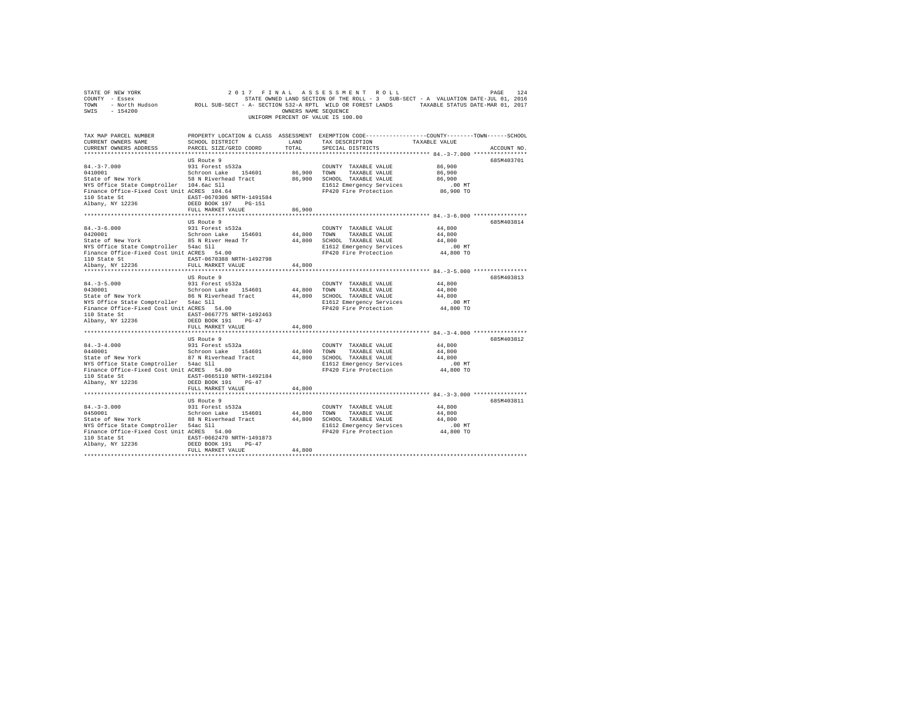| $\begin{tabular}{lllllllllllll} $\text{51.41E}\;\; \text{OF}\;\; \text{NEN}\;\; \text{NOK} & \text{PAGE} & \text{124} \\ & $\text{51.41E}\;\; \text{F} \;\; \text{NNE} & \text{124E}\;\; \text{S} \;\; \text{S} \;\; \text{S} \;\; \text{S} \;\; \text{S} \;\; \text{S} \;\; \text{S} \;\; \text{S} \;\; \text{S} \;\; \text{S} \;\; \text{S} \;\; \text{S} \;\; \text{S} \;\; \text{S} \;\; \text{S} \;\$ |                                                                                                                                                                      |                       | UNIFORM PERCENT OF VALUE IS 100.00                                                                                                                    |                                                     |             |
|------------------------------------------------------------------------------------------------------------------------------------------------------------------------------------------------------------------------------------------------------------------------------------------------------------------------------------------------------------------------------------------------------------|----------------------------------------------------------------------------------------------------------------------------------------------------------------------|-----------------------|-------------------------------------------------------------------------------------------------------------------------------------------------------|-----------------------------------------------------|-------------|
| TAX MAP PARCEL NUMBER<br>CURRENT OWNERS NAME<br>CURRENT OWNERS ADDRESS                                                                                                                                                                                                                                                                                                                                     | SCHOOL DISTRICT LAND<br>PARCEL SIZE/GRID COORD TOTAL                                                                                                                 |                       | PROPERTY LOCATION & CLASS ASSESSMENT EXEMPTION CODE---------------COUNTY-------TOWN------SCHOOL<br>TAX DESCRIPTION TAXABLE VALUE<br>SPECIAL DISTRICTS |                                                     | ACCOUNT NO. |
| $84. - 3 - 7.000$<br>0410001 Schroon Lake 154601<br>State of New York 58 N Riverhead Tract<br>NYS Office State Comptroller 104.6ac Sll<br>Finance Office-Fixed Cost Unit ACRES 104.64<br>110 State St<br>Albany, NY 12236                                                                                                                                                                                  | US Route 9<br>931 Forest s532a<br>EAST-0670306 NRTH-1491584<br>DEED BOOK 197 PG-151<br>FULL MARKET VALUE                                                             | 86,900 TOWN<br>86,900 | COUNTY TAXABLE VALUE<br>TAXABLE VALUE<br>86,900 SCHOOL TAXABLE VALUE<br>E1612 Emergency Services<br>FP420 Fire Protection                             | 86,900<br>86,900<br>86,900<br>.00MT<br>86,900 TO    | 685M403701  |
|                                                                                                                                                                                                                                                                                                                                                                                                            |                                                                                                                                                                      |                       |                                                                                                                                                       |                                                     |             |
| $84.-3-6.000$<br>0420001<br>State of New York and State of New York and State of New York and State of New York and State of New York and State of New York and State of New York and State of New York and State of New York and State Protection Fried S<br>110 State St 670388 NRTH-1492798<br>Albany, NY 12236                                                                                         | US Route 9<br>931 Forest s532a<br>Schroon Lake 154601<br>FULL MARKET VALUE                                                                                           | 44,800<br>44,800      | COUNTY TAXABLE VALUE<br>TOWN TAXABLE VALUE<br>E1612 Emergency Services<br>FP420 Fire Protection                                                       | 44,800<br>44,800<br>44,800<br>00 MT.<br>44,800 TO   | 685M403814  |
| $84. - 3 - 5.000$<br>0430001<br>State of New York<br>NIS OFFICE State Comptroller 54ac S11<br>Finance Office-Fixed Cost Unit ACRES 54.00<br>110 Oktober 1:<br>110 State St<br>Albany, NY 12236                                                                                                                                                                                                             | US Route 9<br>931 Forest s532a<br>Schroon Lake 154601 44,800<br>86 N Riverhead Tract 44,800<br>EAST-0667775 NRTH-1492463<br>DEED BOOK 191 PG-47<br>FULL MARKET VALUE | 44,800                | COUNTY TAXABLE VALUE<br>TOWN<br>TAXABLE VALUE<br>SCHOOL TAXABLE VALUE<br>E1612 Emergency Services<br>FP420 Fire Protection                            | 44,800<br>44,800<br>44,800<br>.00MT<br>$44,800$ TO  | 685M403813  |
|                                                                                                                                                                                                                                                                                                                                                                                                            |                                                                                                                                                                      |                       |                                                                                                                                                       |                                                     |             |
| $\begin{tabular}{lllllllllll} 841-3-4.000 & 931 Tocrest~s532a \\ 0440001 & 8610rcon Lake & 154601 & 44,800 \\ 524001 & 827 & 878 & 878 & 14601 & 44,800 \\ \end{tabular}$ NR of New York $\begin{tabular}{lllllllll} 67 & N & Riverhead Tract & 44,800 \\ 14,800 & 44,800 & 44,800 \\ 14,800 & 14,800 & 14,800 \\ 14$<br>110 State St<br>Albany, NY 12236                                                  | US Route 9<br>EAST-0665110 NRTH-1492184<br>DEED BOOK 191 PG-47<br>FULL MARKET VALUE                                                                                  | 44,800                | COUNTY TAXABLE VALUE<br>TOWN<br>TAXABLE VALUE<br>SCHOOL TAXABLE VALUE<br>E1612 Emergency Services<br>FP420 Fire Protection                            | 44,800<br>44,800<br>44,800<br>$.00$ MT<br>44,800 TO | 685M403812  |
|                                                                                                                                                                                                                                                                                                                                                                                                            |                                                                                                                                                                      |                       |                                                                                                                                                       |                                                     |             |
| $84. -3 - 3.000$<br>0450001<br>State of New York 08 N Riverhead Tract 44,800<br>NTS Office State Comptroller 54ac S11<br>Finance Office-Fixed Cost Unit ACRES 54.00<br>${\small \begin{tabular}{lcccccc} 110 State St & & & & & & & \texttt{EAST-0662470 NRTH-1491873} \\ Albany, NY & 12236 & & & & & & \texttt{DEED BOOK 191} & & pG-47 \end{tabular}}$                                                  | US Route 9<br>931 Forest s532a<br>Schroon Lake 154601                                                                                                                | 44,800                | COUNTY TAXABLE VALUE<br>TOWN TAXABLE VALUE<br>SCHOOL TAXABLE VALUE<br>E1612 Emergency Services<br>FP420 Fire Protection                               | 44,800<br>44,800<br>44,800<br>.00 MT<br>44,800 TO   | 685M403811  |
|                                                                                                                                                                                                                                                                                                                                                                                                            | FULL MARKET VALUE                                                                                                                                                    | 44,800                |                                                                                                                                                       |                                                     |             |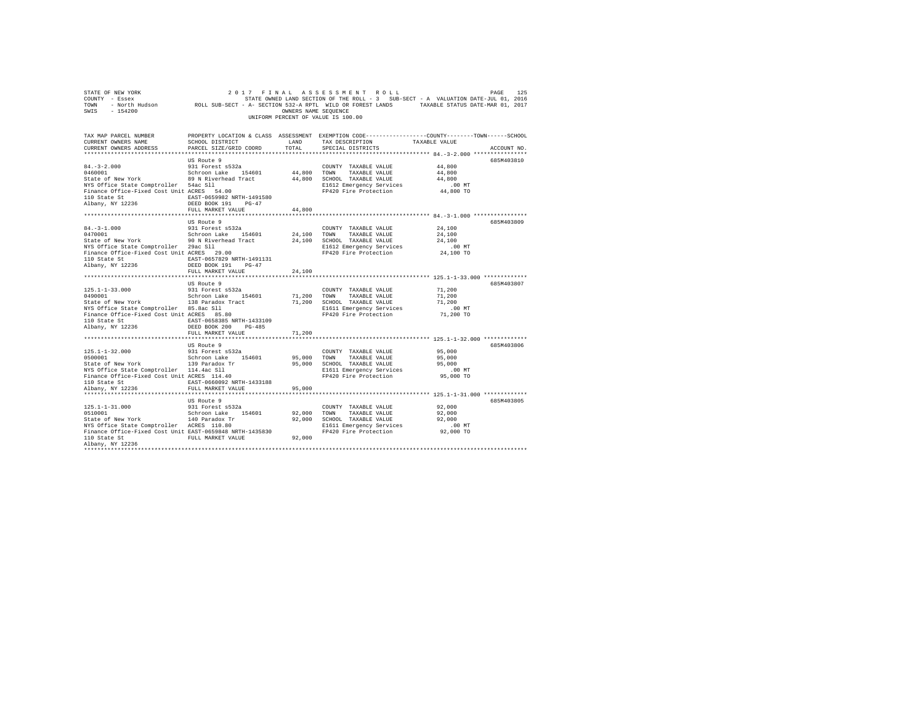| PROPERTY LOCATION & CLASS ASSESSMENT EXEMPTION CODE----------------COUNTY-------TOWN------SCHOOL<br>TAX MAP PARCEL NUMBER<br>SCHOOL DISTRICT<br>TAX DESCRIPTION<br>CURRENT OWNERS NAME<br>LAND<br>TAXABLE VALUE<br>PARCEL SIZE/GRID COORD<br>TOTAL<br>CURRENT OWNERS ADDRESS<br>SPECIAL DISTRICTS<br>ACCOUNT NO.<br>US Route 9<br>685M403810<br>931 Forest s532a<br>$84. - 3 - 2.000$<br>44,800<br>COUNTY TAXABLE VALUE<br>0460001<br>Schroon Lake 154601<br>44,800 TOWN TAXABLE VALUE<br>44,800<br>State of New York 89 N Riverhead Tract<br>44,800 SCHOOL TAXABLE VALUE<br>44,800<br>NYS Office State Comptroller 54ac Sll<br>Finance Office-Fixed Cost Unit ACRES 54.00<br>$.00$ MT<br>E1612 Emergency Services<br>FP420 Fire Protection<br>44,800 TO<br>110 State St<br>$\begin{array}{r} \text{EAST}-0659982 \text{ NRTH}-1491580 \\ \text{Albany, NY } 12236 \end{array}$<br>$\begin{array}{r} \text{EAST}-0659982 \text{ NRTH}-1491580 \\ \text{DEED } \text{ROK} \end{array}$<br>FULL MARKET VALUE<br>44,800<br>US Route 9<br>685M403809<br>$\begin{tabular}{lllllllllll} 84.-3-1.000 & 931 Forest s532a \\ 0470001 & & Schroon Lake & 154601 \\ \textbf{State of New York} & 90 N Riverhead Tract \\ \end{tabular}$<br>COUNTY TAXABLE VALUE<br>24,100<br>24,100 TOWN TAXABLE VALUE<br>24,100<br>24,100 SCHOOL TAXABLE VALUE<br>24,100<br>NYS Office State Comptroller 29ac Sll<br>Finance Office-Fixed Cost Unit ACRES 29.00<br>.00MT<br>E1612 Emergency Services<br>FP420 Fire Protection<br>24,100 TO<br>110 State St<br>EAST-0657829 NRTH-1491131<br>Albany, NY 12236<br>DEED BOOK 191 PG-47<br>FULL MARKET VALUE<br>24,100<br>685M403807<br>US Route 9<br>$125.1 - 1 - 33.000$<br>931 Forest s532a<br>71,200<br>COUNTY TAXABLE VALUE<br>Schroon Lake 154601<br>0490001<br>71,200 TOWN TAXABLE VALUE<br>71,200<br>State of New York 138 Paradox Tract<br>NYS Office State Comptroller 85.8ac S11<br>Finance Office-Fixed Cost Unit ACRES 85.80<br>71,200 SCHOOL TAXABLE VALUE<br>71,200<br>$.00$ MT<br>E1611 Emergency Services<br>FP420 Fire Protection<br>71,200 TO<br>110 State St 658385 NRTH-1433109<br>Albany, NY 12236<br>DEED BOOK 200 PG-485<br>FULL MARKET VALUE<br>71,200<br>US Route 9<br>685M403806<br>$125.1 - 1 - 32.000$<br>0500001<br>931 Forest s532a<br>COUNTY TAXABLE VALUE<br>95,000<br>Schroon Lake 154601<br>95,000<br>95,000 TOWN<br>TAXABLE VALUE<br>SCRIPTON MARK SCRIPTION MARK AND SURFAIR STATE OF NEW YORK<br>STATE of New York<br>NYS Office State Comptroller 114.4ac S11<br>Finance Office-Fixed Cost Unit ACRES 114.40<br>95,000<br>95,000 SCHOOL TAXABLE VALUE<br>E1611 Emergency Services<br>FP420 Fire Protection<br>.00MT<br>95,000 TO<br>110 State St<br>EAST-0660092 NRTH-1433188<br>Albany, NY 12236<br>FULL MARKET VALUE<br>95,000<br>685M403805<br>US Route 9<br>$125.1 - 1 - 31.000$<br>931 Forest s532a<br>92,000<br>COUNTY TAXABLE VALUE<br>0510001<br>Schroon Lake 154601<br>92,000 TOWN TAXABLE VALUE<br>92,000<br>State of New York 140 Paradox Tr<br>NYS Office State Comptroller ACRES 110.80<br>92,000 SCHOOL TAXABLE VALUE<br>92,000<br>E1611 Emergency Services<br>$.00$ MT<br>Finance Office-Fixed Cost Unit EAST-0659848 NRTH-1435830<br>FP420 Fire Protection<br>92,000 TO<br>FULL MARKET VALUE<br>92,000<br>110 State St<br>Albany, NY 12236 | SWIS - 154200 | OWNERS NAME SEOUENCE | UNIFORM PERCENT OF VALUE IS 100.00 |  |
|--------------------------------------------------------------------------------------------------------------------------------------------------------------------------------------------------------------------------------------------------------------------------------------------------------------------------------------------------------------------------------------------------------------------------------------------------------------------------------------------------------------------------------------------------------------------------------------------------------------------------------------------------------------------------------------------------------------------------------------------------------------------------------------------------------------------------------------------------------------------------------------------------------------------------------------------------------------------------------------------------------------------------------------------------------------------------------------------------------------------------------------------------------------------------------------------------------------------------------------------------------------------------------------------------------------------------------------------------------------------------------------------------------------------------------------------------------------------------------------------------------------------------------------------------------------------------------------------------------------------------------------------------------------------------------------------------------------------------------------------------------------------------------------------------------------------------------------------------------------------------------------------------------------------------------------------------------------------------------------------------------------------------------------------------------------------------------------------------------------------------------------------------------------------------------------------------------------------------------------------------------------------------------------------------------------------------------------------------------------------------------------------------------------------------------------------------------------------------------------------------------------------------------------------------------------------------------------------------------------------------------------------------------------------------------------------------------------------------------------------------------------------------------------------------------------------------------------------------------------------------------------------------------------------------------------------------------------------------------------------------------------------------------------------------------------------------------------------------------------------------------------------------------------------------------------------------------------------------------------------------------------------------------------------------------------------|---------------|----------------------|------------------------------------|--|
|                                                                                                                                                                                                                                                                                                                                                                                                                                                                                                                                                                                                                                                                                                                                                                                                                                                                                                                                                                                                                                                                                                                                                                                                                                                                                                                                                                                                                                                                                                                                                                                                                                                                                                                                                                                                                                                                                                                                                                                                                                                                                                                                                                                                                                                                                                                                                                                                                                                                                                                                                                                                                                                                                                                                                                                                                                                                                                                                                                                                                                                                                                                                                                                                                                                                                                                    |               |                      |                                    |  |
|                                                                                                                                                                                                                                                                                                                                                                                                                                                                                                                                                                                                                                                                                                                                                                                                                                                                                                                                                                                                                                                                                                                                                                                                                                                                                                                                                                                                                                                                                                                                                                                                                                                                                                                                                                                                                                                                                                                                                                                                                                                                                                                                                                                                                                                                                                                                                                                                                                                                                                                                                                                                                                                                                                                                                                                                                                                                                                                                                                                                                                                                                                                                                                                                                                                                                                                    |               |                      |                                    |  |
|                                                                                                                                                                                                                                                                                                                                                                                                                                                                                                                                                                                                                                                                                                                                                                                                                                                                                                                                                                                                                                                                                                                                                                                                                                                                                                                                                                                                                                                                                                                                                                                                                                                                                                                                                                                                                                                                                                                                                                                                                                                                                                                                                                                                                                                                                                                                                                                                                                                                                                                                                                                                                                                                                                                                                                                                                                                                                                                                                                                                                                                                                                                                                                                                                                                                                                                    |               |                      |                                    |  |
|                                                                                                                                                                                                                                                                                                                                                                                                                                                                                                                                                                                                                                                                                                                                                                                                                                                                                                                                                                                                                                                                                                                                                                                                                                                                                                                                                                                                                                                                                                                                                                                                                                                                                                                                                                                                                                                                                                                                                                                                                                                                                                                                                                                                                                                                                                                                                                                                                                                                                                                                                                                                                                                                                                                                                                                                                                                                                                                                                                                                                                                                                                                                                                                                                                                                                                                    |               |                      |                                    |  |
|                                                                                                                                                                                                                                                                                                                                                                                                                                                                                                                                                                                                                                                                                                                                                                                                                                                                                                                                                                                                                                                                                                                                                                                                                                                                                                                                                                                                                                                                                                                                                                                                                                                                                                                                                                                                                                                                                                                                                                                                                                                                                                                                                                                                                                                                                                                                                                                                                                                                                                                                                                                                                                                                                                                                                                                                                                                                                                                                                                                                                                                                                                                                                                                                                                                                                                                    |               |                      |                                    |  |
|                                                                                                                                                                                                                                                                                                                                                                                                                                                                                                                                                                                                                                                                                                                                                                                                                                                                                                                                                                                                                                                                                                                                                                                                                                                                                                                                                                                                                                                                                                                                                                                                                                                                                                                                                                                                                                                                                                                                                                                                                                                                                                                                                                                                                                                                                                                                                                                                                                                                                                                                                                                                                                                                                                                                                                                                                                                                                                                                                                                                                                                                                                                                                                                                                                                                                                                    |               |                      |                                    |  |
|                                                                                                                                                                                                                                                                                                                                                                                                                                                                                                                                                                                                                                                                                                                                                                                                                                                                                                                                                                                                                                                                                                                                                                                                                                                                                                                                                                                                                                                                                                                                                                                                                                                                                                                                                                                                                                                                                                                                                                                                                                                                                                                                                                                                                                                                                                                                                                                                                                                                                                                                                                                                                                                                                                                                                                                                                                                                                                                                                                                                                                                                                                                                                                                                                                                                                                                    |               |                      |                                    |  |
|                                                                                                                                                                                                                                                                                                                                                                                                                                                                                                                                                                                                                                                                                                                                                                                                                                                                                                                                                                                                                                                                                                                                                                                                                                                                                                                                                                                                                                                                                                                                                                                                                                                                                                                                                                                                                                                                                                                                                                                                                                                                                                                                                                                                                                                                                                                                                                                                                                                                                                                                                                                                                                                                                                                                                                                                                                                                                                                                                                                                                                                                                                                                                                                                                                                                                                                    |               |                      |                                    |  |
|                                                                                                                                                                                                                                                                                                                                                                                                                                                                                                                                                                                                                                                                                                                                                                                                                                                                                                                                                                                                                                                                                                                                                                                                                                                                                                                                                                                                                                                                                                                                                                                                                                                                                                                                                                                                                                                                                                                                                                                                                                                                                                                                                                                                                                                                                                                                                                                                                                                                                                                                                                                                                                                                                                                                                                                                                                                                                                                                                                                                                                                                                                                                                                                                                                                                                                                    |               |                      |                                    |  |
|                                                                                                                                                                                                                                                                                                                                                                                                                                                                                                                                                                                                                                                                                                                                                                                                                                                                                                                                                                                                                                                                                                                                                                                                                                                                                                                                                                                                                                                                                                                                                                                                                                                                                                                                                                                                                                                                                                                                                                                                                                                                                                                                                                                                                                                                                                                                                                                                                                                                                                                                                                                                                                                                                                                                                                                                                                                                                                                                                                                                                                                                                                                                                                                                                                                                                                                    |               |                      |                                    |  |
|                                                                                                                                                                                                                                                                                                                                                                                                                                                                                                                                                                                                                                                                                                                                                                                                                                                                                                                                                                                                                                                                                                                                                                                                                                                                                                                                                                                                                                                                                                                                                                                                                                                                                                                                                                                                                                                                                                                                                                                                                                                                                                                                                                                                                                                                                                                                                                                                                                                                                                                                                                                                                                                                                                                                                                                                                                                                                                                                                                                                                                                                                                                                                                                                                                                                                                                    |               |                      |                                    |  |
|                                                                                                                                                                                                                                                                                                                                                                                                                                                                                                                                                                                                                                                                                                                                                                                                                                                                                                                                                                                                                                                                                                                                                                                                                                                                                                                                                                                                                                                                                                                                                                                                                                                                                                                                                                                                                                                                                                                                                                                                                                                                                                                                                                                                                                                                                                                                                                                                                                                                                                                                                                                                                                                                                                                                                                                                                                                                                                                                                                                                                                                                                                                                                                                                                                                                                                                    |               |                      |                                    |  |
|                                                                                                                                                                                                                                                                                                                                                                                                                                                                                                                                                                                                                                                                                                                                                                                                                                                                                                                                                                                                                                                                                                                                                                                                                                                                                                                                                                                                                                                                                                                                                                                                                                                                                                                                                                                                                                                                                                                                                                                                                                                                                                                                                                                                                                                                                                                                                                                                                                                                                                                                                                                                                                                                                                                                                                                                                                                                                                                                                                                                                                                                                                                                                                                                                                                                                                                    |               |                      |                                    |  |
|                                                                                                                                                                                                                                                                                                                                                                                                                                                                                                                                                                                                                                                                                                                                                                                                                                                                                                                                                                                                                                                                                                                                                                                                                                                                                                                                                                                                                                                                                                                                                                                                                                                                                                                                                                                                                                                                                                                                                                                                                                                                                                                                                                                                                                                                                                                                                                                                                                                                                                                                                                                                                                                                                                                                                                                                                                                                                                                                                                                                                                                                                                                                                                                                                                                                                                                    |               |                      |                                    |  |
|                                                                                                                                                                                                                                                                                                                                                                                                                                                                                                                                                                                                                                                                                                                                                                                                                                                                                                                                                                                                                                                                                                                                                                                                                                                                                                                                                                                                                                                                                                                                                                                                                                                                                                                                                                                                                                                                                                                                                                                                                                                                                                                                                                                                                                                                                                                                                                                                                                                                                                                                                                                                                                                                                                                                                                                                                                                                                                                                                                                                                                                                                                                                                                                                                                                                                                                    |               |                      |                                    |  |
|                                                                                                                                                                                                                                                                                                                                                                                                                                                                                                                                                                                                                                                                                                                                                                                                                                                                                                                                                                                                                                                                                                                                                                                                                                                                                                                                                                                                                                                                                                                                                                                                                                                                                                                                                                                                                                                                                                                                                                                                                                                                                                                                                                                                                                                                                                                                                                                                                                                                                                                                                                                                                                                                                                                                                                                                                                                                                                                                                                                                                                                                                                                                                                                                                                                                                                                    |               |                      |                                    |  |
|                                                                                                                                                                                                                                                                                                                                                                                                                                                                                                                                                                                                                                                                                                                                                                                                                                                                                                                                                                                                                                                                                                                                                                                                                                                                                                                                                                                                                                                                                                                                                                                                                                                                                                                                                                                                                                                                                                                                                                                                                                                                                                                                                                                                                                                                                                                                                                                                                                                                                                                                                                                                                                                                                                                                                                                                                                                                                                                                                                                                                                                                                                                                                                                                                                                                                                                    |               |                      |                                    |  |
|                                                                                                                                                                                                                                                                                                                                                                                                                                                                                                                                                                                                                                                                                                                                                                                                                                                                                                                                                                                                                                                                                                                                                                                                                                                                                                                                                                                                                                                                                                                                                                                                                                                                                                                                                                                                                                                                                                                                                                                                                                                                                                                                                                                                                                                                                                                                                                                                                                                                                                                                                                                                                                                                                                                                                                                                                                                                                                                                                                                                                                                                                                                                                                                                                                                                                                                    |               |                      |                                    |  |
|                                                                                                                                                                                                                                                                                                                                                                                                                                                                                                                                                                                                                                                                                                                                                                                                                                                                                                                                                                                                                                                                                                                                                                                                                                                                                                                                                                                                                                                                                                                                                                                                                                                                                                                                                                                                                                                                                                                                                                                                                                                                                                                                                                                                                                                                                                                                                                                                                                                                                                                                                                                                                                                                                                                                                                                                                                                                                                                                                                                                                                                                                                                                                                                                                                                                                                                    |               |                      |                                    |  |
|                                                                                                                                                                                                                                                                                                                                                                                                                                                                                                                                                                                                                                                                                                                                                                                                                                                                                                                                                                                                                                                                                                                                                                                                                                                                                                                                                                                                                                                                                                                                                                                                                                                                                                                                                                                                                                                                                                                                                                                                                                                                                                                                                                                                                                                                                                                                                                                                                                                                                                                                                                                                                                                                                                                                                                                                                                                                                                                                                                                                                                                                                                                                                                                                                                                                                                                    |               |                      |                                    |  |
|                                                                                                                                                                                                                                                                                                                                                                                                                                                                                                                                                                                                                                                                                                                                                                                                                                                                                                                                                                                                                                                                                                                                                                                                                                                                                                                                                                                                                                                                                                                                                                                                                                                                                                                                                                                                                                                                                                                                                                                                                                                                                                                                                                                                                                                                                                                                                                                                                                                                                                                                                                                                                                                                                                                                                                                                                                                                                                                                                                                                                                                                                                                                                                                                                                                                                                                    |               |                      |                                    |  |
|                                                                                                                                                                                                                                                                                                                                                                                                                                                                                                                                                                                                                                                                                                                                                                                                                                                                                                                                                                                                                                                                                                                                                                                                                                                                                                                                                                                                                                                                                                                                                                                                                                                                                                                                                                                                                                                                                                                                                                                                                                                                                                                                                                                                                                                                                                                                                                                                                                                                                                                                                                                                                                                                                                                                                                                                                                                                                                                                                                                                                                                                                                                                                                                                                                                                                                                    |               |                      |                                    |  |
|                                                                                                                                                                                                                                                                                                                                                                                                                                                                                                                                                                                                                                                                                                                                                                                                                                                                                                                                                                                                                                                                                                                                                                                                                                                                                                                                                                                                                                                                                                                                                                                                                                                                                                                                                                                                                                                                                                                                                                                                                                                                                                                                                                                                                                                                                                                                                                                                                                                                                                                                                                                                                                                                                                                                                                                                                                                                                                                                                                                                                                                                                                                                                                                                                                                                                                                    |               |                      |                                    |  |
|                                                                                                                                                                                                                                                                                                                                                                                                                                                                                                                                                                                                                                                                                                                                                                                                                                                                                                                                                                                                                                                                                                                                                                                                                                                                                                                                                                                                                                                                                                                                                                                                                                                                                                                                                                                                                                                                                                                                                                                                                                                                                                                                                                                                                                                                                                                                                                                                                                                                                                                                                                                                                                                                                                                                                                                                                                                                                                                                                                                                                                                                                                                                                                                                                                                                                                                    |               |                      |                                    |  |
|                                                                                                                                                                                                                                                                                                                                                                                                                                                                                                                                                                                                                                                                                                                                                                                                                                                                                                                                                                                                                                                                                                                                                                                                                                                                                                                                                                                                                                                                                                                                                                                                                                                                                                                                                                                                                                                                                                                                                                                                                                                                                                                                                                                                                                                                                                                                                                                                                                                                                                                                                                                                                                                                                                                                                                                                                                                                                                                                                                                                                                                                                                                                                                                                                                                                                                                    |               |                      |                                    |  |
|                                                                                                                                                                                                                                                                                                                                                                                                                                                                                                                                                                                                                                                                                                                                                                                                                                                                                                                                                                                                                                                                                                                                                                                                                                                                                                                                                                                                                                                                                                                                                                                                                                                                                                                                                                                                                                                                                                                                                                                                                                                                                                                                                                                                                                                                                                                                                                                                                                                                                                                                                                                                                                                                                                                                                                                                                                                                                                                                                                                                                                                                                                                                                                                                                                                                                                                    |               |                      |                                    |  |
|                                                                                                                                                                                                                                                                                                                                                                                                                                                                                                                                                                                                                                                                                                                                                                                                                                                                                                                                                                                                                                                                                                                                                                                                                                                                                                                                                                                                                                                                                                                                                                                                                                                                                                                                                                                                                                                                                                                                                                                                                                                                                                                                                                                                                                                                                                                                                                                                                                                                                                                                                                                                                                                                                                                                                                                                                                                                                                                                                                                                                                                                                                                                                                                                                                                                                                                    |               |                      |                                    |  |
|                                                                                                                                                                                                                                                                                                                                                                                                                                                                                                                                                                                                                                                                                                                                                                                                                                                                                                                                                                                                                                                                                                                                                                                                                                                                                                                                                                                                                                                                                                                                                                                                                                                                                                                                                                                                                                                                                                                                                                                                                                                                                                                                                                                                                                                                                                                                                                                                                                                                                                                                                                                                                                                                                                                                                                                                                                                                                                                                                                                                                                                                                                                                                                                                                                                                                                                    |               |                      |                                    |  |
|                                                                                                                                                                                                                                                                                                                                                                                                                                                                                                                                                                                                                                                                                                                                                                                                                                                                                                                                                                                                                                                                                                                                                                                                                                                                                                                                                                                                                                                                                                                                                                                                                                                                                                                                                                                                                                                                                                                                                                                                                                                                                                                                                                                                                                                                                                                                                                                                                                                                                                                                                                                                                                                                                                                                                                                                                                                                                                                                                                                                                                                                                                                                                                                                                                                                                                                    |               |                      |                                    |  |
|                                                                                                                                                                                                                                                                                                                                                                                                                                                                                                                                                                                                                                                                                                                                                                                                                                                                                                                                                                                                                                                                                                                                                                                                                                                                                                                                                                                                                                                                                                                                                                                                                                                                                                                                                                                                                                                                                                                                                                                                                                                                                                                                                                                                                                                                                                                                                                                                                                                                                                                                                                                                                                                                                                                                                                                                                                                                                                                                                                                                                                                                                                                                                                                                                                                                                                                    |               |                      |                                    |  |
|                                                                                                                                                                                                                                                                                                                                                                                                                                                                                                                                                                                                                                                                                                                                                                                                                                                                                                                                                                                                                                                                                                                                                                                                                                                                                                                                                                                                                                                                                                                                                                                                                                                                                                                                                                                                                                                                                                                                                                                                                                                                                                                                                                                                                                                                                                                                                                                                                                                                                                                                                                                                                                                                                                                                                                                                                                                                                                                                                                                                                                                                                                                                                                                                                                                                                                                    |               |                      |                                    |  |
|                                                                                                                                                                                                                                                                                                                                                                                                                                                                                                                                                                                                                                                                                                                                                                                                                                                                                                                                                                                                                                                                                                                                                                                                                                                                                                                                                                                                                                                                                                                                                                                                                                                                                                                                                                                                                                                                                                                                                                                                                                                                                                                                                                                                                                                                                                                                                                                                                                                                                                                                                                                                                                                                                                                                                                                                                                                                                                                                                                                                                                                                                                                                                                                                                                                                                                                    |               |                      |                                    |  |
|                                                                                                                                                                                                                                                                                                                                                                                                                                                                                                                                                                                                                                                                                                                                                                                                                                                                                                                                                                                                                                                                                                                                                                                                                                                                                                                                                                                                                                                                                                                                                                                                                                                                                                                                                                                                                                                                                                                                                                                                                                                                                                                                                                                                                                                                                                                                                                                                                                                                                                                                                                                                                                                                                                                                                                                                                                                                                                                                                                                                                                                                                                                                                                                                                                                                                                                    |               |                      |                                    |  |
|                                                                                                                                                                                                                                                                                                                                                                                                                                                                                                                                                                                                                                                                                                                                                                                                                                                                                                                                                                                                                                                                                                                                                                                                                                                                                                                                                                                                                                                                                                                                                                                                                                                                                                                                                                                                                                                                                                                                                                                                                                                                                                                                                                                                                                                                                                                                                                                                                                                                                                                                                                                                                                                                                                                                                                                                                                                                                                                                                                                                                                                                                                                                                                                                                                                                                                                    |               |                      |                                    |  |
|                                                                                                                                                                                                                                                                                                                                                                                                                                                                                                                                                                                                                                                                                                                                                                                                                                                                                                                                                                                                                                                                                                                                                                                                                                                                                                                                                                                                                                                                                                                                                                                                                                                                                                                                                                                                                                                                                                                                                                                                                                                                                                                                                                                                                                                                                                                                                                                                                                                                                                                                                                                                                                                                                                                                                                                                                                                                                                                                                                                                                                                                                                                                                                                                                                                                                                                    |               |                      |                                    |  |
|                                                                                                                                                                                                                                                                                                                                                                                                                                                                                                                                                                                                                                                                                                                                                                                                                                                                                                                                                                                                                                                                                                                                                                                                                                                                                                                                                                                                                                                                                                                                                                                                                                                                                                                                                                                                                                                                                                                                                                                                                                                                                                                                                                                                                                                                                                                                                                                                                                                                                                                                                                                                                                                                                                                                                                                                                                                                                                                                                                                                                                                                                                                                                                                                                                                                                                                    |               |                      |                                    |  |
|                                                                                                                                                                                                                                                                                                                                                                                                                                                                                                                                                                                                                                                                                                                                                                                                                                                                                                                                                                                                                                                                                                                                                                                                                                                                                                                                                                                                                                                                                                                                                                                                                                                                                                                                                                                                                                                                                                                                                                                                                                                                                                                                                                                                                                                                                                                                                                                                                                                                                                                                                                                                                                                                                                                                                                                                                                                                                                                                                                                                                                                                                                                                                                                                                                                                                                                    |               |                      |                                    |  |
|                                                                                                                                                                                                                                                                                                                                                                                                                                                                                                                                                                                                                                                                                                                                                                                                                                                                                                                                                                                                                                                                                                                                                                                                                                                                                                                                                                                                                                                                                                                                                                                                                                                                                                                                                                                                                                                                                                                                                                                                                                                                                                                                                                                                                                                                                                                                                                                                                                                                                                                                                                                                                                                                                                                                                                                                                                                                                                                                                                                                                                                                                                                                                                                                                                                                                                                    |               |                      |                                    |  |
|                                                                                                                                                                                                                                                                                                                                                                                                                                                                                                                                                                                                                                                                                                                                                                                                                                                                                                                                                                                                                                                                                                                                                                                                                                                                                                                                                                                                                                                                                                                                                                                                                                                                                                                                                                                                                                                                                                                                                                                                                                                                                                                                                                                                                                                                                                                                                                                                                                                                                                                                                                                                                                                                                                                                                                                                                                                                                                                                                                                                                                                                                                                                                                                                                                                                                                                    |               |                      |                                    |  |
|                                                                                                                                                                                                                                                                                                                                                                                                                                                                                                                                                                                                                                                                                                                                                                                                                                                                                                                                                                                                                                                                                                                                                                                                                                                                                                                                                                                                                                                                                                                                                                                                                                                                                                                                                                                                                                                                                                                                                                                                                                                                                                                                                                                                                                                                                                                                                                                                                                                                                                                                                                                                                                                                                                                                                                                                                                                                                                                                                                                                                                                                                                                                                                                                                                                                                                                    |               |                      |                                    |  |
|                                                                                                                                                                                                                                                                                                                                                                                                                                                                                                                                                                                                                                                                                                                                                                                                                                                                                                                                                                                                                                                                                                                                                                                                                                                                                                                                                                                                                                                                                                                                                                                                                                                                                                                                                                                                                                                                                                                                                                                                                                                                                                                                                                                                                                                                                                                                                                                                                                                                                                                                                                                                                                                                                                                                                                                                                                                                                                                                                                                                                                                                                                                                                                                                                                                                                                                    |               |                      |                                    |  |
|                                                                                                                                                                                                                                                                                                                                                                                                                                                                                                                                                                                                                                                                                                                                                                                                                                                                                                                                                                                                                                                                                                                                                                                                                                                                                                                                                                                                                                                                                                                                                                                                                                                                                                                                                                                                                                                                                                                                                                                                                                                                                                                                                                                                                                                                                                                                                                                                                                                                                                                                                                                                                                                                                                                                                                                                                                                                                                                                                                                                                                                                                                                                                                                                                                                                                                                    |               |                      |                                    |  |
|                                                                                                                                                                                                                                                                                                                                                                                                                                                                                                                                                                                                                                                                                                                                                                                                                                                                                                                                                                                                                                                                                                                                                                                                                                                                                                                                                                                                                                                                                                                                                                                                                                                                                                                                                                                                                                                                                                                                                                                                                                                                                                                                                                                                                                                                                                                                                                                                                                                                                                                                                                                                                                                                                                                                                                                                                                                                                                                                                                                                                                                                                                                                                                                                                                                                                                                    |               |                      |                                    |  |
|                                                                                                                                                                                                                                                                                                                                                                                                                                                                                                                                                                                                                                                                                                                                                                                                                                                                                                                                                                                                                                                                                                                                                                                                                                                                                                                                                                                                                                                                                                                                                                                                                                                                                                                                                                                                                                                                                                                                                                                                                                                                                                                                                                                                                                                                                                                                                                                                                                                                                                                                                                                                                                                                                                                                                                                                                                                                                                                                                                                                                                                                                                                                                                                                                                                                                                                    |               |                      |                                    |  |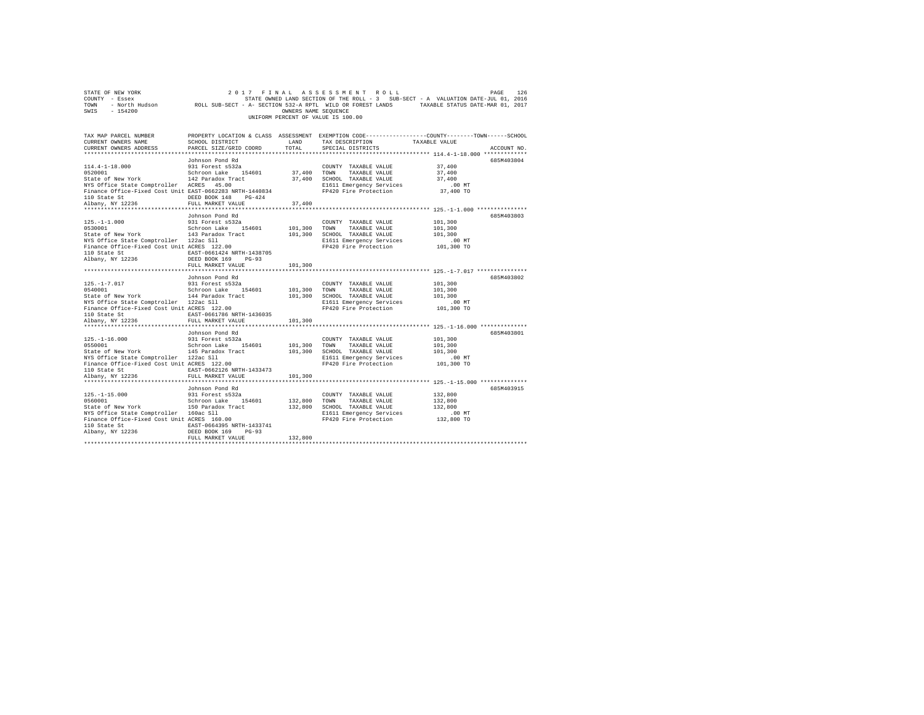| STATE OF NEW YORK<br>COUNTY - Essex<br>TOWN<br>SWIS<br>$-154200$                                                                                                                           | 2017                                                                                                                                                                          | FINAL<br>OWNERS NAME SEQUENCE | ASSESSMENT ROLL<br>UNIFORM PERCENT OF VALUE IS 100.00                                                                              | PAGE<br>STATE OWNED LAND SECTION OF THE ROLL - 3 SUB-SECT - A VALUATION DATE-JUL 01, 2016<br>- North Hudson Mac ROLL SUB-SECT - A- SECTION 532-A RPTL WILD OR FOREST LANDS TAXABLE STATUS DATE-MAR 01, 2017 | 126         |
|--------------------------------------------------------------------------------------------------------------------------------------------------------------------------------------------|-------------------------------------------------------------------------------------------------------------------------------------------------------------------------------|-------------------------------|------------------------------------------------------------------------------------------------------------------------------------|-------------------------------------------------------------------------------------------------------------------------------------------------------------------------------------------------------------|-------------|
| TAX MAP PARCEL NUMBER<br>CURRENT OWNERS NAME<br>CURRENT OWNERS ADDRESS                                                                                                                     | SCHOOL DISTRICT<br>PARCEL SIZE/GRID COORD                                                                                                                                     | LAND<br>TOTAL                 | TAX DESCRIPTION<br>SPECIAL DISTRICTS                                                                                               | PROPERTY LOCATION & CLASS ASSESSMENT EXEMPTION CODE---------------COUNTY-------TOWN-----SCHOOL<br>TAXABLE VALUE                                                                                             | ACCOUNT NO. |
| 114.4-1-18.000<br>0520001<br>State of New York<br>NYS Office State Comptroller ACRES 45.00<br>Finance Office-Fixed Cost Unit EAST-0662283 NRTH-1440834<br>110 State St<br>Albany, NY 12236 | Johnson Pond Rd<br>931 Forest s532a<br>Schroon Lake 154601<br>142 Paradox Tract<br>DEED BOOK 148 PG-424                                                                       | 37,400<br>37,400              | COUNTY TAXABLE VALUE<br>TOWN<br>TAXABLE VALUE<br>37,400 SCHOOL TAXABLE VALUE<br>E1611 Emergency Services<br>FP420 Fire Protection  | 37,400<br>37,400<br>37,400<br>.00 MT<br>37,400 TO                                                                                                                                                           | 685M403804  |
| $125. - 1 - 1.000$<br>0530001<br>State of New York<br>NYS Office State Comptroller 122ac Sll<br>Finance Office-Fixed Cost Unit ACRES 122.00<br>110 State St<br>Albany, NY 12236            | FULL MARKET VALUE<br>Johnson Pond Rd<br>931 Forest s532a<br>Schroon Lake 154601<br>143 Paradox Tract<br>EAST-0661424 NRTH-1438705<br>DEED BOOK 169 PG-93<br>FULL MARKET VALUE | 101,300<br>101,300            | COUNTY TAXABLE VALUE<br>TOWN<br>TAXABLE VALUE<br>101,300 SCHOOL TAXABLE VALUE<br>E1611 Emergency Services<br>FP420 Fire Protection | 101,300<br>101,300<br>101,300<br>$.00$ MT<br>101,300 TO                                                                                                                                                     | 685M403803  |
| $125. - 1 - 7.017$<br>0540001<br>State of New York<br>NYS Office State Comptroller 122ac Sll<br>Finance Office-Fixed Cost Unit ACRES 122.00<br>110 State St<br>Albany, NY 12236            | Johnson Pond Rd<br>931 Forest s532a<br>Schroon Lake 154601<br>144 Paradox Tract<br>EAST-0661786 NRTH-1436035<br>FULL MARKET VALUE                                             | 101,300<br>101,300<br>101,300 | COUNTY TAXABLE VALUE<br>TOWN<br>TAXABLE VALUE<br>SCHOOL TAXABLE VALUE<br>E1611 Emergency Services<br>FP420 Fire Protection         | 101,300<br>101,300<br>101,300<br>$.00$ MT<br>101,300 TO                                                                                                                                                     | 685M403802  |
| $125. - 1 - 16.000$<br>0550001<br>State of New York<br>NYS Office State Comptroller 122ac Sll<br>Finance Office-Fixed Cost Unit ACRES 122.00<br>110 State St<br>Albany, NY 12236           | Johnson Pond Rd<br>931 Forest s532a<br>Schroon Lake 154601<br>145 Paradox Tract<br>EAST-0662126 NRTH-1433473<br>FULL MARKET VALUE                                             | 101,300<br>101,300<br>101,300 | COUNTY TAXABLE VALUE<br>TOWN<br>TAXABLE VALUE<br>SCHOOL TAXABLE VALUE<br>E1611 Emergency Services<br>FP420 Fire Protection         | 101,300<br>101,300<br>101,300<br>$.00$ MT<br>101,300 TO                                                                                                                                                     | 685M403801  |
| $125. - 1 - 15.000$<br>0560001<br>State of New York<br>NYS Office State Comptroller 160ac Sll<br>Finance Office-Fixed Cost Unit ACRES 160.00<br>110 State St<br>Albany, NY 12236           | Johnson Pond Rd<br>931 Forest s532a<br>Schroon Lake 154601<br>150 Paradox Tract<br>EAST-0664395 NRTH-1433741<br>$PG-93$<br>DEED BOOK 169<br>FULL MARKET VALUE                 | 132,800 TOWN<br>132,800       | COUNTY TAXABLE VALUE<br>TAXABLE VALUE<br>132,800 SCHOOL TAXABLE VALUE<br>E1611 Emergency Services<br>FP420 Fire Protection         | 132,800<br>132,800<br>132,800<br>$.00$ MT<br>132,800 TO                                                                                                                                                     | 685M403915  |

FULL MARKET VALUE 132,800 \*\*\*\*\*\*\*\*\*\*\*\*\*\*\*\*\*\*\*\*\*\*\*\*\*\*\*\*\*\*\*\*\*\*\*\*\*\*\*\*\*\*\*\*\*\*\*\*\*\*\*\*\*\*\*\*\*\*\*\*\*\*\*\*\*\*\*\*\*\*\*\*\*\*\*\*\*\*\*\*\*\*\*\*\*\*\*\*\*\*\*\*\*\*\*\*\*\*\*\*\*\*\*\*\*\*\*\*\*\*\*\*\*\*\*\*\*\*\*\*\*\*\*\*\*\*\*\*\*\*\*\*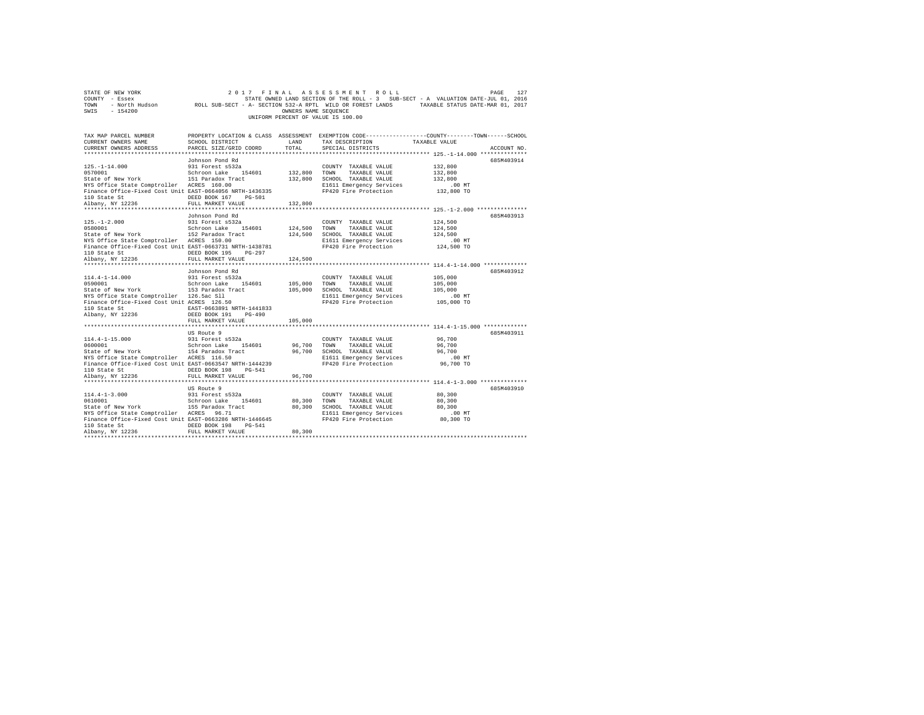| STATE OF NEW YORK<br>COUNTY - Essex<br>TOWN<br>SWIS<br>$-154200$                                                                                                                                                            | 2017<br>- North Hudson ROLL SUB-SECT - A- SECTION 532-A RPTL WILD OR FOREST LANDS                                                                                  | FINAL<br>OWNERS NAME SEQUENCE                 | ASSESSMENT ROLL<br>STATE OWNED LAND SECTION OF THE ROLL - 3 SUB-SECT - A VALUATION DATE-JUL 01, 2016<br>UNIFORM PERCENT OF VALUE IS 100.00 | TAXABLE STATUS DATE-MAR 01, 2017                                                                                    | PAGE<br>127 |
|-----------------------------------------------------------------------------------------------------------------------------------------------------------------------------------------------------------------------------|--------------------------------------------------------------------------------------------------------------------------------------------------------------------|-----------------------------------------------|--------------------------------------------------------------------------------------------------------------------------------------------|---------------------------------------------------------------------------------------------------------------------|-------------|
| TAX MAP PARCEL NUMBER<br>CURRENT OWNERS NAME<br>CURRENT OWNERS ADDRESS                                                                                                                                                      | SCHOOL DISTRICT<br>PARCEL SIZE/GRID COORD                                                                                                                          | LAND<br>TOTAL                                 | PROPERTY LOCATION & CLASS ASSESSMENT EXEMPTION CODE---------------COUNTY-------TOWN-----SCHOOL<br>TAX DESCRIPTION<br>SPECIAL DISTRICTS     | TAXABLE VALUE                                                                                                       | ACCOUNT NO. |
| $125. - 1 - 14.000$<br>0570001<br>State of New York<br>NYS Office State Comptroller ACRES 160.00<br>Finance Office-Fixed Cost Unit EAST-0664056 NRTH-1436335<br>110 State St<br>Albany, NY 12236                            | Johnson Pond Rd<br>931 Forest s532a<br>Schroon Lake<br>154601<br>151 Paradox Tract<br>DEED BOOK 167<br>$PG-501$<br>FULL MARKET VALUE                               | 132,800<br>132,800<br>132,800                 | COUNTY TAXABLE VALUE<br>TOWN<br>TAXABLE VALUE<br>SCHOOL TAXABLE VALUE<br>E1611 Emergency Services<br>FP420 Fire Protection                 | 132,800<br>132,800<br>132,800<br>.00MT<br>132,800 TO                                                                | 685M403914  |
| ************************<br>$125. - 1 - 2.000$<br>0580001<br>State of New York<br>NYS Office State Comptroller ACRES 150.00<br>Finance Office-Fixed Cost Unit EAST-0663731 NRTH-1438781<br>110 State St<br>Albany, NY 12236 | **************************<br>Johnson Pond Rd<br>931 Forest s532a<br>Schroon Lake<br>154601<br>152 Paradox Tract<br>DEED BOOK 195<br>$PG-297$<br>FULL MARKET VALUE | ************<br>124,500<br>124,500<br>124,500 | COUNTY TAXABLE VALUE<br>TOWN<br>TAXABLE VALUE<br>SCHOOL TAXABLE VALUE<br>E1611 Emergency Services<br>FP420 Fire Protection                 | ****************************** 125.-1-2.000 **************<br>124,500<br>124,500<br>124,500<br>.00 MT<br>124,500 TO | 685M403913  |
| $114.4 - 1 - 14.000$<br>0590001<br>State of New York<br>NYS Office State Comptroller 126.5ac Sll<br>Finance Office-Fixed Cost Unit ACRES 126.50<br>110 State St<br>Albany, NY 12236                                         | Johnson Pond Rd<br>931 Forest s532a<br>Schroon Lake<br>154601<br>153 Paradox Tract<br>EAST-0663891 NRTH-1441833<br>DEED BOOK 191<br>$PG-490$                       | 105,000<br>105,000                            | COUNTY TAXABLE VALUE<br>TAXABLE VALUE<br>TOWN<br>SCHOOL TAXABLE VALUE<br>E1611 Emergency Services<br>FP420 Fire Protection                 | 105,000<br>105,000<br>105,000<br>$.00$ MT<br>105,000 TO                                                             | 685M403912  |
| $114.4 - 1 - 15.000$<br>0600001                                                                                                                                                                                             | FULL MARKET VALUE<br>US Route 9<br>931 Forest s532a<br>Schroon Lake<br>154601                                                                                      | 105,000<br>96,700                             | COUNTY TAXABLE VALUE<br>TAXABLE VALUE<br>TOWN                                                                                              | 96,700<br>96,700                                                                                                    | 685M403911  |
| State of New York<br>NYS Office State Comptroller ACRES 116.50<br>Finance Office-Fixed Cost Unit EAST-0663547 NRTH-1444239<br>110 State St<br>Albany, NY 12236                                                              | 154 Paradox Tract<br>DEED BOOK 198<br>PG-541<br>FULL MARKET VALUE                                                                                                  | 96,700<br>96,700                              | SCHOOL TAXABLE VALUE<br>E1611 Emergency Services<br>FP420 Fire Protection                                                                  | 96,700<br>$.00$ MT<br>96,700 TO                                                                                     |             |
|                                                                                                                                                                                                                             | US Route 9                                                                                                                                                         |                                               |                                                                                                                                            |                                                                                                                     | 685M403910  |
| $114.4 - 1 - 3.000$<br>0610001<br>State of New York<br>NYS Office State Comptroller ACRES 96.71<br>Finance Office-Fixed Cost Unit EAST-0663286 NRTH-1446645<br>110 State St<br>Albany, NY 12236                             | 931 Forest s532a<br>Schroon Lake<br>154601<br>155 Paradox Tract<br>DEED BOOK 198<br>$PG-541$<br>FULL MARKET VALUE                                                  | 80,300<br>80,300<br>80,300                    | COUNTY TAXABLE VALUE<br>TOWN<br>TAXABLE VALUE<br>SCHOOL TAXABLE VALUE<br>E1611 Emergency Services<br>FP420 Fire Protection                 | 80,300<br>80,300<br>80,300<br>$.00$ MT<br>80,300 TO                                                                 |             |
|                                                                                                                                                                                                                             |                                                                                                                                                                    |                                               |                                                                                                                                            |                                                                                                                     |             |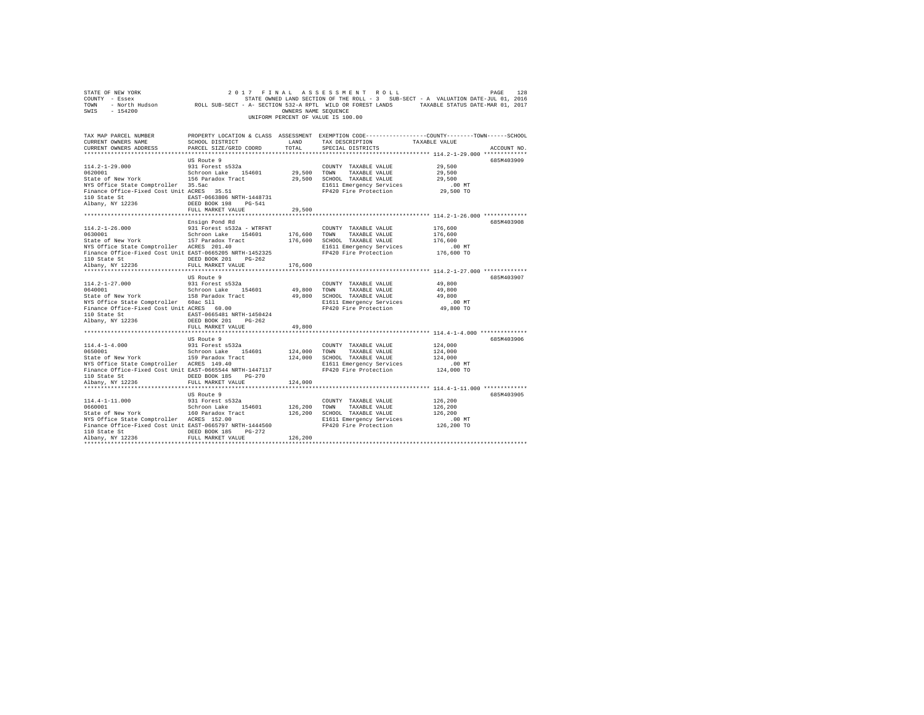| SWIS - 154200                                                                                                                                                                                                                                                                                                                                                                                                                                                                                                                                                                                   |                                           | OWNERS NAME SEQUENCE    | 2017 FINAL ASSESSMENT ROLL<br>UNIFORM PERCENT OF VALUE IS 100.00                                                                                   | 2017 FINAL ASSESSMENT ROLL PAGE PAGE 128<br>COUNTY - Essex - SATE ON STATE ONNED IAND SECTION OF THE ROLL - 3 SUB-SECT - A VALUATION DATE-JUL 01, 2016<br>TOWN - North Hudson - ROLL SUB-SECT - A-SECTION 532-A RPTL WILD OR FOREST |  |
|-------------------------------------------------------------------------------------------------------------------------------------------------------------------------------------------------------------------------------------------------------------------------------------------------------------------------------------------------------------------------------------------------------------------------------------------------------------------------------------------------------------------------------------------------------------------------------------------------|-------------------------------------------|-------------------------|----------------------------------------------------------------------------------------------------------------------------------------------------|-------------------------------------------------------------------------------------------------------------------------------------------------------------------------------------------------------------------------------------|--|
| TAX MAP PARCEL NUMBER<br>CURRENT OWNERS NAME<br>CURRENT OWNERS ADDRESS                                                                                                                                                                                                                                                                                                                                                                                                                                                                                                                          | SCHOOL DISTRICT<br>PARCEL SIZE/GRID COORD | LAND<br>TOTAL           | TAX DESCRIPTION TAXABLE VALUE<br>SPECIAL DISTRICTS                                                                                                 | PROPERTY LOCATION & CLASS ASSESSMENT EXEMPTION CODE---------------COUNTY-------TOWN-----SCHOOL<br>ACCOUNT NO.                                                                                                                       |  |
| $\begin{array}{cccc} 114.2\texttt{-}1\texttt{-}29.000 & 931\text{ Forest}\,\,8532a & \text{COMNT} & \text{TXABLE VALUE}\\ 0620001 & 1 & 1 & 1 & 1 & 1\\ 0620001 & 1 & 1 & 1 & 1 & 1\\ 0620001 & 1 & 1 & 1 & 1 & 1\\ 0620001 & 1 & 1 & 1 & 1 & 1\\ 062001 & 1 & 1 & 1 & 1 & 1\\ 062001 & 1 & 1 & 1 & 1 & 1\\ 062001 & 1 & 1 & $<br>NYS Office State Comptroller 35.5ac<br>Finance Office-Fixed Cost Unit ACRES 35.51<br>${\small \begin{tabular}{lcccccc} 110 State St & & & & & & \tt EAST-0663806 NRTH-1448731 \\ Albany, NY & 12236 & & & & & \tt DEED BOOK 198 & & PG-541 \\ \end{tabular}}$ | US Route 9                                |                         | E1611 Emergency Services<br>FP420 Fire Protection                                                                                                  | 685M403909<br>29,500<br>29,500<br>29,500<br>$.00$ MT<br>29,500 TO                                                                                                                                                                   |  |
|                                                                                                                                                                                                                                                                                                                                                                                                                                                                                                                                                                                                 | FULL MARKET VALUE                         | 29,500                  |                                                                                                                                                    |                                                                                                                                                                                                                                     |  |
| $114.2 - 1 - 26.000$<br>0630001<br>Schroon Lake 154601<br>State of New York<br>157 Paradox Tract<br>NYS Office State Comptroller ACRES 201.40<br>Finance Office-Fixed Cost Unit EAST-0665205 NRTH-1452325<br>110 State St CDEED BOOK 201 PG-262                                                                                                                                                                                                                                                                                                                                                 | Ensign Pond Rd                            |                         | E1611 Emergency Services<br>FP420 Fire Protection                                                                                                  | 685M403908<br>176,600<br>176,600<br>176,600<br>00 MT.<br>176,600 TO                                                                                                                                                                 |  |
| Albany, NY 12236                                                                                                                                                                                                                                                                                                                                                                                                                                                                                                                                                                                | FULL MARKET VALUE 176,600                 |                         |                                                                                                                                                    |                                                                                                                                                                                                                                     |  |
| NYS Office State Comptroller 60ac Sll<br>Finance Office-Fixed Cost Unit ACRES 60.00<br>${\small \begin{tabular}{lcccccc} 110 & State & St & & & \multicolumn{2}{c}{EAST-0665481 & NRTH-1450424} \\ Albany, & NY & 12236 & & & DEED & BOOK & 201 & & PG-262 \\ \end{tabular}}$                                                                                                                                                                                                                                                                                                                   | US Route 9<br>FULL MARKET VALUE           | 49,800                  | COUNTY TAXABLE VALUE<br>49,800 TOWN TAXABLE VALUE<br>49,800 SCHOOL TAXABLE VALUE<br>E1611 Emergency Services<br>FP420 Fire Protection              | 685M403907<br>49,800<br>49,800<br>49,800<br>$.00$ MT<br>49,800 TO                                                                                                                                                                   |  |
|                                                                                                                                                                                                                                                                                                                                                                                                                                                                                                                                                                                                 | US Route 9                                | **********              |                                                                                                                                                    | ***************************** 114.4-1-4.000 **************<br>685M403906                                                                                                                                                            |  |
| $114.4 - 1 - 4.000$<br>0650001<br>Volvoir State of New York State of New York State of New York State Comptroller ACRES 149.40<br>Finance Office-Fixed Cost Unit EAST-0665544 NRTH-1447117                                                                                                                                                                                                                                                                                                                                                                                                      | 931 Forest s532a<br>Schroon Lake 154601   |                         | COUNTY TAXABLE VALUE<br>124,000 TOWN TAXABLE VALUE<br>124,000 SCHOOL TAXABLE VALUE<br>E1611 Emergency Services<br>FP420 Fire Protection 124,000 TO | 124,000<br>124,000<br>124,000<br>.00 MT                                                                                                                                                                                             |  |
|                                                                                                                                                                                                                                                                                                                                                                                                                                                                                                                                                                                                 | FULL MARKET VALUE                         | 124,000                 |                                                                                                                                                    |                                                                                                                                                                                                                                     |  |
| 114.4-1-11.000 931 Forest s532a<br>0660001 931 5chroon Lake 154601<br>State of New York 160 Paradox Tract<br>NYS Office State Comptroller ACRES 152.00<br>Finance Office-Fixed Cost Unit EAST-0665797 NRTH-1444560<br>110 State St CONDERD BOOK 185 PG-272<br>Albany, NY 12236                                                                                                                                                                                                                                                                                                                  | US Route 9<br>FULL MARKET VALUE           | 126,200 TOWN<br>126,200 | COUNTY TAXABLE VALUE<br>TAXABLE VALUE<br>126,200 SCHOOL TAXABLE VALUE<br>E1611 Emergency Services<br>FP420 Fire Protection                         | 685M403905<br>126,200<br>126,200<br>126,200<br>$.00$ MT<br>126,200 TO                                                                                                                                                               |  |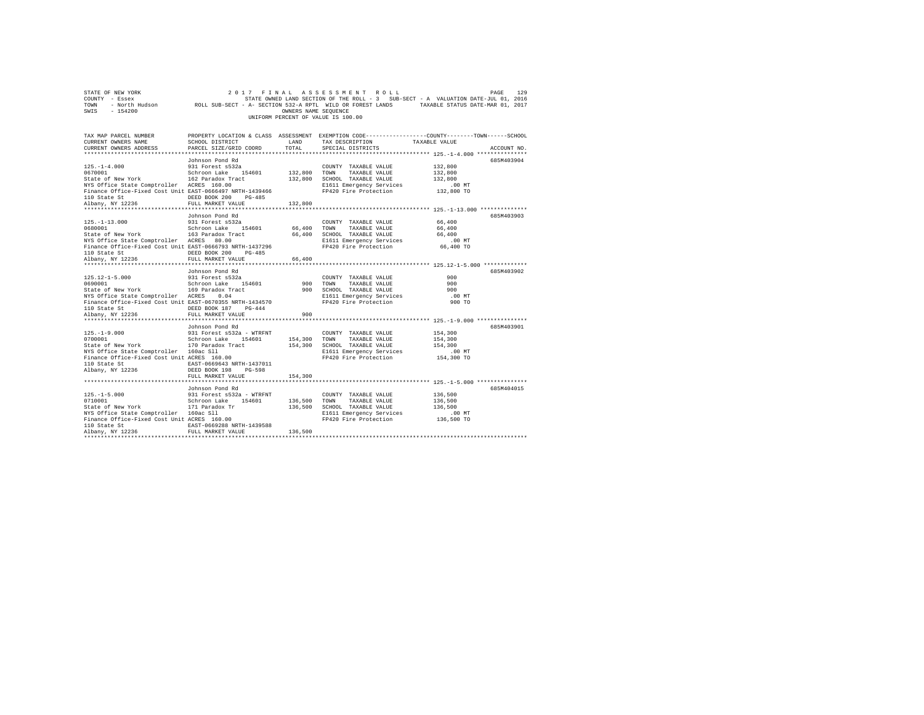|                                    | STATE OF NEW YORK |                                                            |  | 2017 FINAL ASSESSMENT ROLL |  |                      |  |  |                                                                                   |  | PAGE                             | 129 |
|------------------------------------|-------------------|------------------------------------------------------------|--|----------------------------|--|----------------------|--|--|-----------------------------------------------------------------------------------|--|----------------------------------|-----|
|                                    | COUNTY - Essex    |                                                            |  |                            |  |                      |  |  | STATE OWNED LAND SECTION OF THE ROLL - 3 SUB-SECT - A VALUATION DATE-JUL 01, 2016 |  |                                  |     |
| TOWN                               | - North Hudson    | ROLL SUB-SECT - A- SECTION 532-A RPTL WILD OR FOREST LANDS |  |                            |  |                      |  |  |                                                                                   |  | TAXABLE STATUS DATE-MAR 01, 2017 |     |
| SWIS                               | - 154200          |                                                            |  |                            |  | OWNERS NAME SEOUENCE |  |  |                                                                                   |  |                                  |     |
| UNIFORM PERCENT OF VALUE IS 100.00 |                   |                                                            |  |                            |  |                      |  |  |                                                                                   |  |                                  |     |

| TAX MAP PARCEL NUMBER<br>CURRENT OWNERS NAME SCHOOL DISTRICT                                                                                                                                                                                                                   |                                                                  |       | LAND TAX DESCRIPTION TAXABLE VALUE | PROPERTY LOCATION & CLASS ASSESSMENT EXEMPTION CODE----------------COUNTY-------TOWN-----SCHOOL |
|--------------------------------------------------------------------------------------------------------------------------------------------------------------------------------------------------------------------------------------------------------------------------------|------------------------------------------------------------------|-------|------------------------------------|-------------------------------------------------------------------------------------------------|
| CURRENT OWNERS ADDRESS PARCEL SIZE/GRID COORD                                                                                                                                                                                                                                  |                                                                  | TOTAL | SPECIAL DISTRICTS                  | ACCOUNT NO.                                                                                     |
|                                                                                                                                                                                                                                                                                |                                                                  |       |                                    | 685M403904                                                                                      |
|                                                                                                                                                                                                                                                                                |                                                                  |       |                                    |                                                                                                 |
|                                                                                                                                                                                                                                                                                |                                                                  |       |                                    |                                                                                                 |
| 125.-1-13.000<br>2011 Forest 8532<br>2011 Forest 8532<br>2012 Forest 8532<br>2012 Forest 8532<br>2012 Forest 86532<br>2012 Forest 86532<br>2012 FORES 86,400<br>2012 FINERE 2020 FINERE VALUE<br>2013 FORES 80.00<br>2013 FORES 80.00<br>2013 FINERE                           | Johnson Pond Rd                                                  |       |                                    | 685M403903                                                                                      |
|                                                                                                                                                                                                                                                                                |                                                                  |       |                                    |                                                                                                 |
| 125.12-1-5.000 931 Forest as<br>32 ASS2 COUNTY TAXABLE VALUE<br>State of New York 169 Paradox Track 154601 900 TONN TAXABLE VALUE<br>State of New York 169 Paradox Track 900 SCHOOL TAXABLE VALUE<br>STIRING STRICE State Comptroller ACRE<br>110 State St<br>Albany, NY 12236 | Johnson Pond Rd<br>DEED BOOK 187 PG-444<br>FULL MARKET VALUE 900 |       |                                    | 685M403902<br>900<br>900<br>900<br>$.00$ MT<br>900 TO                                           |
|                                                                                                                                                                                                                                                                                | FULL MARKET VALUE 154,300                                        |       | COUNTY TAXABLE VALUE 154,300       | 685M403901<br>00 MT.<br>154,300 TO                                                              |
| 125.-1-5.000<br>129.-1-5.000<br>129.-1-5.000<br>129.-1-5.000<br>129.-1-5.000<br>129.-1-5.000<br>129.-1-5.000<br>129.-1-5.000<br>129.-1-5.000<br>129.-1-5.000<br>129.-1-5.000<br>129.-1-5.000<br>129.-1-5.000<br>129.-1-5.000<br>129.-1-5.000<br>129.-1-5.000                   |                                                                  |       |                                    | 685M404015                                                                                      |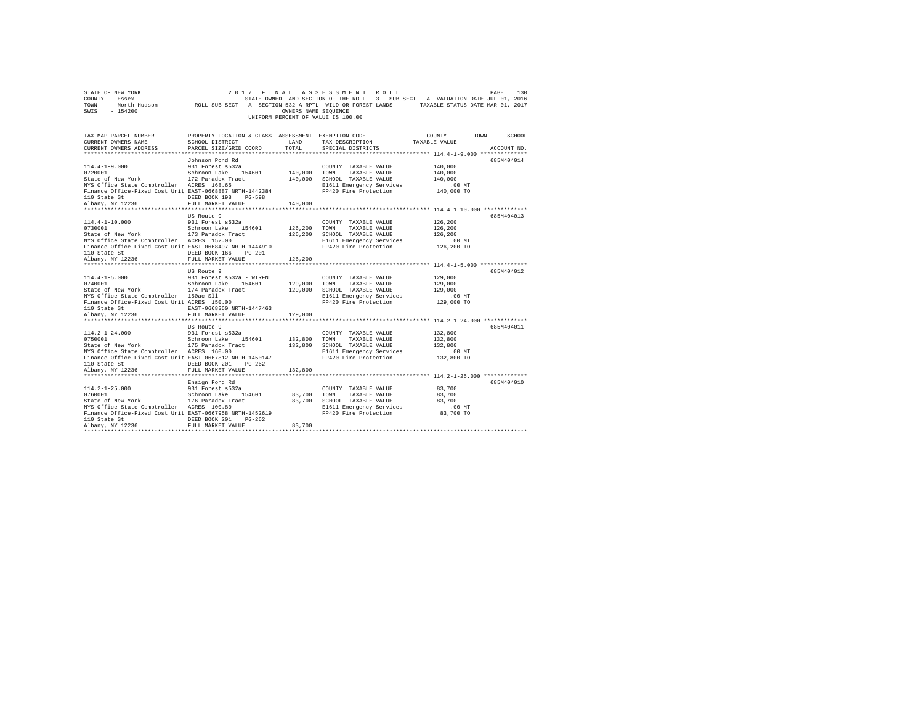| STATE OF NEW YORK                                                                                                                                                         |                                                                                                            |                      | 2017 FINAL ASSESSMENT ROLL         |                                                                                   | PAGE<br>130 |
|---------------------------------------------------------------------------------------------------------------------------------------------------------------------------|------------------------------------------------------------------------------------------------------------|----------------------|------------------------------------|-----------------------------------------------------------------------------------|-------------|
| COUNTY - Essex                                                                                                                                                            |                                                                                                            |                      |                                    | STATE OWNED LAND SECTION OF THE ROLL - 3 SUB-SECT - A VALUATION DATE-JUL 01, 2016 |             |
| TOWN                                                                                                                                                                      | - North Hudson ROLL SUB-SECT - A- SECTION 532-A RPTL WILD OR FOREST LANDS TAXABLE STATUS DATE-MAR 01, 2017 |                      |                                    |                                                                                   |             |
| $-154200$<br>SWIS                                                                                                                                                         |                                                                                                            | OWNERS NAME SEQUENCE |                                    |                                                                                   |             |
|                                                                                                                                                                           |                                                                                                            |                      | UNIFORM PERCENT OF VALUE IS 100.00 |                                                                                   |             |
|                                                                                                                                                                           |                                                                                                            |                      |                                    |                                                                                   |             |
|                                                                                                                                                                           |                                                                                                            |                      |                                    |                                                                                   |             |
| TAX MAP PARCEL NUMBER                                                                                                                                                     | PROPERTY LOCATION & CLASS ASSESSMENT EXEMPTION CODE---------------COUNTY-------TOWN------SCHOOL            |                      |                                    |                                                                                   |             |
| CURRENT OWNERS NAME                                                                                                                                                       | <b>LAND</b><br>SCHOOL DISTRICT                                                                             |                      | TAX DESCRIPTION                    | TAXABLE VALUE                                                                     |             |
| CURRENT OWNERS ADDRESS                                                                                                                                                    | PARCEL SIZE/GRID COORD                                                                                     | TOTAL                | SPECIAL DISTRICTS                  |                                                                                   | ACCOUNT NO. |
|                                                                                                                                                                           |                                                                                                            |                      |                                    |                                                                                   |             |
|                                                                                                                                                                           | Johnson Pond Rd                                                                                            |                      |                                    |                                                                                   | 685M404014  |
| $114.4 - 1 - 9.000$                                                                                                                                                       | 931 Forest s532a                                                                                           |                      | COUNTY TAXABLE VALUE               | 140,000                                                                           |             |
|                                                                                                                                                                           |                                                                                                            | 140,000 TOWN         | TAXABLE VALUE                      | 140,000                                                                           |             |
| 0720001 Schroon Lake 154601<br>State of New York $172$ Paradox Tract<br>$172$ Paradox Tract                                                                               |                                                                                                            |                      | 140,000 SCHOOL TAXABLE VALUE       | 140,000                                                                           |             |
| NYS Office State Comptroller ACRES 168.65                                                                                                                                 |                                                                                                            |                      | E1611 Emergency Services           | .00 MT                                                                            |             |
| Finance Office-Fixed Cost Unit EAST-0668887 NRTH-1442384                                                                                                                  |                                                                                                            |                      | FP420 Fire Protection              | 140,000 TO                                                                        |             |
| 110 State St<br>Albany, NY 12236                                                                                                                                          | DEED BOOK 198 PG-598                                                                                       |                      |                                    |                                                                                   |             |
|                                                                                                                                                                           | FULL MARKET VALUE                                                                                          | 140,000              |                                    |                                                                                   |             |
|                                                                                                                                                                           |                                                                                                            |                      |                                    |                                                                                   |             |
|                                                                                                                                                                           | US Route 9                                                                                                 |                      |                                    |                                                                                   | 685M404013  |
| $114.4 - 1 - 10.000$                                                                                                                                                      | 931 Forest s532a                                                                                           |                      | COUNTY TAXABLE VALUE               | 126,200                                                                           |             |
| 114:4-1-4-4-4 Schroon Lake 154601 126,200 TOWN TAXABLE VALUE<br>State of New York 173 Paradox Tract 126,200 SCHOOL TAXABLE VALUE<br>1739.001 126,200 SCHOLL TAXABLE VALUE |                                                                                                            |                      |                                    | 126,200                                                                           |             |
|                                                                                                                                                                           |                                                                                                            |                      |                                    | 126,200                                                                           |             |
| NYS Office State Comptroller ACRES 152.00                                                                                                                                 |                                                                                                            |                      | E1611 Emergency Services           | .00 MT                                                                            |             |
| Finance Office-Fixed Cost Unit EAST-0668497 NRTH-1444910                                                                                                                  |                                                                                                            |                      | FP420 Fire Protection              | 126,200 TO                                                                        |             |
|                                                                                                                                                                           | DEED BOOK 166 PG-201                                                                                       |                      |                                    |                                                                                   |             |
| 110 State St<br>Albany, NY 12236                                                                                                                                          | FULL MARKET VALUE                                                                                          | 126,200              |                                    |                                                                                   |             |
|                                                                                                                                                                           |                                                                                                            |                      |                                    |                                                                                   |             |
|                                                                                                                                                                           | US Route 9                                                                                                 |                      |                                    |                                                                                   | 685M404012  |
|                                                                                                                                                                           |                                                                                                            |                      |                                    | 129,000                                                                           |             |
|                                                                                                                                                                           |                                                                                                            |                      |                                    | 129,000                                                                           |             |
|                                                                                                                                                                           |                                                                                                            |                      |                                    | 129,000                                                                           |             |
|                                                                                                                                                                           |                                                                                                            |                      |                                    | .00 MT                                                                            |             |
|                                                                                                                                                                           |                                                                                                            |                      |                                    | 129,000 TO                                                                        |             |
| 110 State St<br>Albany, NY 12236                                                                                                                                          | EAST-0668360 NRTH-1447463                                                                                  |                      |                                    |                                                                                   |             |
|                                                                                                                                                                           | FULL MARKET VALUE                                                                                          | 129,000              |                                    |                                                                                   |             |
|                                                                                                                                                                           |                                                                                                            |                      |                                    |                                                                                   |             |
|                                                                                                                                                                           | US Route 9                                                                                                 |                      |                                    |                                                                                   | 685M404011  |
|                                                                                                                                                                           |                                                                                                            |                      | COUNTY TAXABLE VALUE               | 132,800                                                                           |             |
|                                                                                                                                                                           |                                                                                                            | 132,800 TOWN         | TAXABLE VALUE                      | 132,800                                                                           |             |
|                                                                                                                                                                           |                                                                                                            |                      | 132,800 SCHOOL TAXABLE VALUE       | 132,800                                                                           |             |
| NYS Office State Comptroller ACRES 160.00                                                                                                                                 |                                                                                                            |                      | E1611 Emergency Services           | $.00$ MT                                                                          |             |
| Finance Office-Fixed Cost Unit EAST-0667812 NRTH-1450147                                                                                                                  |                                                                                                            |                      | FP420 Fire Protection              | 132,800 TO                                                                        |             |
| 110 State St<br>Albany, NY 12236                                                                                                                                          | DEED BOOK 201 PG-262                                                                                       |                      |                                    |                                                                                   |             |
|                                                                                                                                                                           | FULL MARKET VALUE                                                                                          | 132,800              |                                    |                                                                                   |             |
|                                                                                                                                                                           |                                                                                                            |                      |                                    |                                                                                   |             |
|                                                                                                                                                                           | Ensign Pond Rd                                                                                             |                      |                                    |                                                                                   | 685M404010  |
| $114.2 - 1 - 25.000$                                                                                                                                                      | 931 Forest s532a                                                                                           |                      | COUNTY TAXABLE VALUE               | 83,700                                                                            |             |
| 114.2-1-25.000 931 Forest s532a<br>0760001 52601 5261 5261 54601<br>State of New York 176 Paradox Tract                                                                   |                                                                                                            | 83,700 TOWN          | TAXABLE VALUE                      | 83,700                                                                            |             |
|                                                                                                                                                                           |                                                                                                            |                      | 83,700 SCHOOL TAXABLE VALUE        | 83,700                                                                            |             |
| NYS Office State Comptroller ACRES 100.80<br>Finance Office-Fixed Cost Unit EAST-0667958 NRTH-1452619                                                                     |                                                                                                            |                      | E1611 Emergency Services           | .00 MT                                                                            |             |
|                                                                                                                                                                           |                                                                                                            |                      | FP420 Fire Protection 83,700 TO    |                                                                                   |             |
| 110 State St                                                                                                                                                              | $PG-262$<br>DEED BOOK 201                                                                                  |                      |                                    |                                                                                   |             |
| Albany, NY 12236                                                                                                                                                          | FULL MARKET VALUE                                                                                          | 83,700               |                                    |                                                                                   |             |
|                                                                                                                                                                           |                                                                                                            |                      |                                    |                                                                                   |             |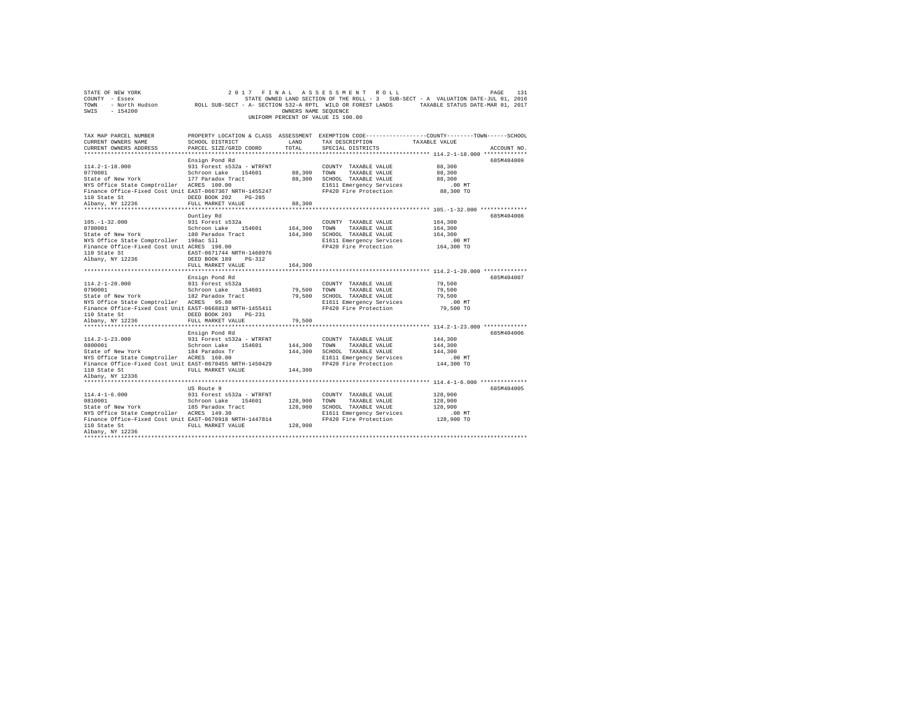| COUNTY - Essex<br>TOWN<br>SWIS<br>$-154200$                                      | - North Hudson ROLL SUB-SECT - A- SECTION 532-A RPTL WILD OR FOREST LANDS TAXABLE STATUS DATE-MAR 01, 2017 | OWNERS NAME SEOUENCE | STATE OWNED LAND SECTION OF THE ROLL - 3 SUB-SECT - A VALUATION DATE-JUL 01, 2016<br>UNIFORM PERCENT OF VALUE IS 100.00 |                                                        |             |
|----------------------------------------------------------------------------------|------------------------------------------------------------------------------------------------------------|----------------------|-------------------------------------------------------------------------------------------------------------------------|--------------------------------------------------------|-------------|
|                                                                                  |                                                                                                            |                      |                                                                                                                         |                                                        |             |
| TAX MAP PARCEL NUMBER                                                            |                                                                                                            |                      | PROPERTY LOCATION & CLASS ASSESSMENT EXEMPTION CODE---------------COUNTY-------TOWN------SCHOOL                         |                                                        |             |
| CURRENT OWNERS NAME                                                              | SCHOOL DISTRICT                                                                                            | LAND                 | TAX DESCRIPTION                                                                                                         | TAXABLE VALUE                                          |             |
| CURRENT OWNERS ADDRESS                                                           | PARCEL SIZE/GRID COORD                                                                                     | TOTAL.               | SPECIAL DISTRICTS                                                                                                       | ************************* 114.2-1-18.000 ************* | ACCOUNT NO. |
|                                                                                  | Ensign Pond Rd                                                                                             |                      |                                                                                                                         |                                                        | 685M404009  |
| $114.2 - 1 - 18.000$                                                             | 931 Forest s532a - WTRFNT                                                                                  |                      | COUNTY TAXABLE VALUE                                                                                                    | 88,300                                                 |             |
| 0770001                                                                          | Schroon Lake 154601                                                                                        | 88,300               | TOWN<br>TAXABLE VALUE                                                                                                   | 88,300                                                 |             |
| State of New York                                                                | 177 Paradox Tract                                                                                          | 88,300               | SCHOOL TAXABLE VALUE                                                                                                    | 88,300                                                 |             |
| NYS Office State Comptroller ACRES 100.00                                        |                                                                                                            |                      | E1611 Emergency Services                                                                                                | $.00$ MT                                               |             |
| Finance Office-Fixed Cost Unit EAST-0667367 NRTH-1455247                         |                                                                                                            |                      | FP420 Fire Protection                                                                                                   | 88,300 TO                                              |             |
| 110 State St                                                                     | DEED BOOK 202 PG-285                                                                                       |                      |                                                                                                                         |                                                        |             |
| Albany, NY 12236                                                                 | FULL MARKET VALUE                                                                                          | 88,300               |                                                                                                                         |                                                        |             |
|                                                                                  | Duntley Rd                                                                                                 |                      |                                                                                                                         |                                                        | 685M404008  |
| $105. - 1 - 32.000$                                                              | 931 Forest s532a                                                                                           |                      | COUNTY TAXABLE VALUE                                                                                                    | 164,300                                                |             |
| 0780001                                                                          | Schroon Lake 154601                                                                                        | 164,300              | TAXABLE VALUE<br>TOWN                                                                                                   | 164,300                                                |             |
| State of New York                                                                | 180 Paradox Tract                                                                                          | 164,300              | SCHOOL TAXABLE VALUE                                                                                                    | 164,300                                                |             |
| NYS Office State Comptroller 198ac Sll                                           |                                                                                                            |                      | E1611 Emergency Services                                                                                                | $.00$ MT                                               |             |
| Finance Office-Fixed Cost Unit ACRES 198.00                                      |                                                                                                            |                      | FP420 Fire Protection                                                                                                   | 164,300 TO                                             |             |
| 110 State St                                                                     | EAST-0671744 NRTH-1460976                                                                                  |                      |                                                                                                                         |                                                        |             |
| Albany, NY 12236                                                                 | DEED BOOK 189<br>$PG-312$                                                                                  |                      |                                                                                                                         |                                                        |             |
|                                                                                  | FULL MARKET VALUE                                                                                          | 164,300              |                                                                                                                         |                                                        |             |
|                                                                                  | Ensign Pond Rd                                                                                             |                      |                                                                                                                         |                                                        | 685M404007  |
| $114.2 - 1 - 20.000$                                                             | 931 Forest s532a                                                                                           |                      | COUNTY TAXABLE VALUE                                                                                                    | 79,500                                                 |             |
|                                                                                  |                                                                                                            |                      | TOWN<br>TAXABLE VALUE                                                                                                   | 79,500                                                 |             |
| 0790001 Schroon Lake 154601 79,500<br>State of New York 182 Paradox Tract 79,500 |                                                                                                            |                      | SCHOOL TAXABLE VALUE                                                                                                    | 79,500                                                 |             |
| NYS Office State Comptroller ACRES 95.80                                         |                                                                                                            |                      | E1611 Emergency Services                                                                                                | $.00$ MT                                               |             |
| Finance Office-Fixed Cost Unit EAST-0668813 NRTH-1455411                         |                                                                                                            |                      | FP420 Fire Protection                                                                                                   | 79,500 TO                                              |             |
| 110 State St<br>Albany, NY 12236                                                 | DEED BOOK 203 PG-231                                                                                       |                      |                                                                                                                         |                                                        |             |
|                                                                                  | FULL MARKET VALUE                                                                                          | 79,500               |                                                                                                                         |                                                        |             |
|                                                                                  | Ensign Pond Rd                                                                                             |                      |                                                                                                                         |                                                        | 685M404006  |
| $114.2 - 1 - 23.000$                                                             | 931 Forest s532a - WTRFNT                                                                                  |                      | COUNTY TAXABLE VALUE                                                                                                    | 144,300                                                |             |
| 0800001                                                                          | Schroon Lake 154601                                                                                        | 144,300              | TOWN<br>TAXABLE VALUE                                                                                                   | 144,300                                                |             |
| State of New York                                                                | 184 Paradox Tr                                                                                             | 144,300              | SCHOOL TAXABLE VALUE                                                                                                    | 144,300                                                |             |
| NYS Office State Comptroller ACRES 160.00                                        |                                                                                                            |                      | E1611 Emergency Services                                                                                                | $.00$ MT                                               |             |
| Finance Office-Fixed Cost Unit EAST-0670455 NRTH-1450429                         |                                                                                                            |                      | FP420 Fire Protection                                                                                                   | 144,300 TO                                             |             |
| 110 State St                                                                     | FULL MARKET VALUE                                                                                          | 144,300              |                                                                                                                         |                                                        |             |
| Albany, NY 12336                                                                 |                                                                                                            |                      |                                                                                                                         |                                                        |             |
|                                                                                  | US Route 9                                                                                                 |                      |                                                                                                                         |                                                        | 685M404005  |
| $114.4 - 1 - 6.000$                                                              | 931 Forest s532a - WTRFNT                                                                                  |                      | COUNTY TAXABLE VALUE                                                                                                    | 128,900                                                |             |
| 0810001                                                                          | Schroon Lake 154601                                                                                        | 128,900              | TOWN<br>TAXABLE VALUE                                                                                                   | 128,900                                                |             |
| State of New York 185 Paradox Tract                                              |                                                                                                            | 128,900              | SCHOOL TAXABLE VALUE                                                                                                    | 128,900                                                |             |
| NYS Office State Comptroller ACRES 149.30                                        |                                                                                                            |                      | E1611 Emergency Services                                                                                                | $.00$ MT                                               |             |
| Finance Office-Fixed Cost Unit EAST-0670918 NRTH-1447814                         |                                                                                                            |                      | FP420 Fire Protection                                                                                                   | 128,900 TO                                             |             |
| 110 State St                                                                     | FULL MARKET VALUE                                                                                          | 128,900              |                                                                                                                         |                                                        |             |
| Albany, NY 12236                                                                 |                                                                                                            |                      |                                                                                                                         |                                                        |             |
|                                                                                  |                                                                                                            |                      |                                                                                                                         |                                                        |             |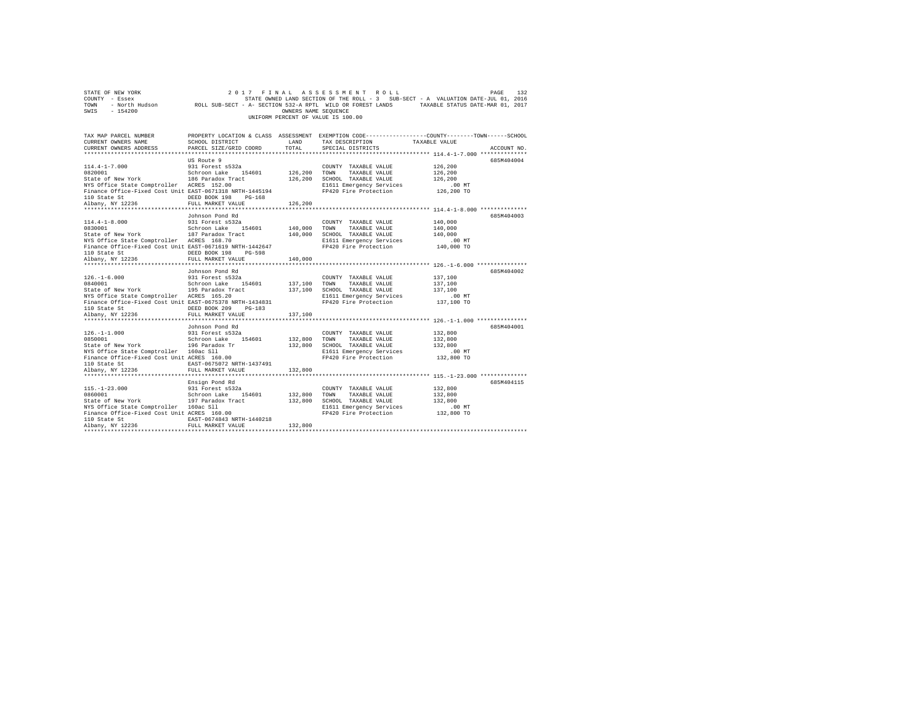|                                    | STATE OF NEW YORK |                                                            | 2017 FINAL ASSESSMENT ROLL |  |                      |  |  |                                                                                   | PAGE | 132 |
|------------------------------------|-------------------|------------------------------------------------------------|----------------------------|--|----------------------|--|--|-----------------------------------------------------------------------------------|------|-----|
|                                    | COUNTY - Essex    |                                                            |                            |  |                      |  |  | STATE OWNED LAND SECTION OF THE ROLL - 3 SUB-SECT - A VALUATION DATE-JUL 01, 2016 |      |     |
| TOWN                               | - North Hudson    | ROLL SUB-SECT - A- SECTION 532-A RPTL WILD OR FOREST LANDS |                            |  |                      |  |  | TAXABLE STATUS DATE-MAR 01, 2017                                                  |      |     |
| SWIS                               | - 154200          |                                                            |                            |  | OWNERS NAME SEOUENCE |  |  |                                                                                   |      |     |
| UNIFORM PERCENT OF VALUE IS 100.00 |                   |                                                            |                            |  |                      |  |  |                                                                                   |      |     |

| TAX MAP PARCEL NUMBER<br>CURRENT OWNERS NAME<br>CURRENT OWNERS ADDRESS PARCEL SIZE/GRID COORD TOTAL                                                                                                                                  |                              |               | SCHOOL DISTRICT                     LAND        TAX DESCRIPTION                  TAXABLE VALUE<br>SPECIAL DISTRICTS                                                                                       | PROPERTY LOCATION & CLASS ASSESSMENT EXEMPTION CODE---------------COUNTY-------TOWN-----SCHOOL<br>ACCOUNT NO. |  |
|--------------------------------------------------------------------------------------------------------------------------------------------------------------------------------------------------------------------------------------|------------------------------|---------------|-----------------------------------------------------------------------------------------------------------------------------------------------------------------------------------------------------------|---------------------------------------------------------------------------------------------------------------|--|
|                                                                                                                                                                                                                                      |                              |               |                                                                                                                                                                                                           |                                                                                                               |  |
|                                                                                                                                                                                                                                      | US Route 9                   |               |                                                                                                                                                                                                           | 685M404004                                                                                                    |  |
| 114.4-1-7.000 931 Forest s532a                                                                                                                                                                                                       |                              |               | COUNTY TAXABLE VALUE 126,200                                                                                                                                                                              |                                                                                                               |  |
|                                                                                                                                                                                                                                      |                              |               |                                                                                                                                                                                                           |                                                                                                               |  |
|                                                                                                                                                                                                                                      |                              |               |                                                                                                                                                                                                           |                                                                                                               |  |
|                                                                                                                                                                                                                                      |                              |               |                                                                                                                                                                                                           |                                                                                                               |  |
|                                                                                                                                                                                                                                      |                              |               |                                                                                                                                                                                                           |                                                                                                               |  |
|                                                                                                                                                                                                                                      |                              |               |                                                                                                                                                                                                           |                                                                                                               |  |
|                                                                                                                                                                                                                                      |                              | 126,200       |                                                                                                                                                                                                           |                                                                                                               |  |
| ***********************                                                                                                                                                                                                              | **************************** | ************* |                                                                                                                                                                                                           | ******************** 114.4-1-8.000 ***************                                                            |  |
|                                                                                                                                                                                                                                      | Johnson Pond Rd              |               |                                                                                                                                                                                                           | 685M404003                                                                                                    |  |
| $114.4 - 1 - 8.000$                                                                                                                                                                                                                  | 931 Forest s532a             |               | COUNTY TAXABLE VALUE 140,000                                                                                                                                                                              |                                                                                                               |  |
| 0830001                                                                                                                                                                                                                              |                              |               |                                                                                                                                                                                                           | 140,000                                                                                                       |  |
|                                                                                                                                                                                                                                      |                              |               |                                                                                                                                                                                                           |                                                                                                               |  |
| State of New York 187 Paradox Tract 140,000 SCHOOL TAXABLE VALUE 140,000<br>NYS Office State Comptroller ACRES 168.70 140,000 SCHOOL TAXABLE VALUE 140,000<br>Finance Office-Fixed Cost Unit EAST-0671619 NRTH-1442647 1200 F11 E161 |                              |               |                                                                                                                                                                                                           |                                                                                                               |  |
|                                                                                                                                                                                                                                      |                              |               |                                                                                                                                                                                                           |                                                                                                               |  |
|                                                                                                                                                                                                                                      |                              |               |                                                                                                                                                                                                           |                                                                                                               |  |
|                                                                                                                                                                                                                                      |                              |               |                                                                                                                                                                                                           |                                                                                                               |  |
|                                                                                                                                                                                                                                      | Johnson Pond Rd              |               |                                                                                                                                                                                                           | 685M404002                                                                                                    |  |
|                                                                                                                                                                                                                                      |                              |               |                                                                                                                                                                                                           |                                                                                                               |  |
|                                                                                                                                                                                                                                      |                              |               | COUNTY TAXABLE VALUE $137,100$<br>TOWN TAXABLE VALUE $137,100$                                                                                                                                            |                                                                                                               |  |
|                                                                                                                                                                                                                                      |                              |               |                                                                                                                                                                                                           |                                                                                                               |  |
| State of New York 195 Paradox Tract 137,100 SCHOOL TAXABLE VALUE 137,100<br>NYS Office State Comptroller ACRES 165.20 B1611 Emergency Services 137,100 NTS                                                                           |                              |               |                                                                                                                                                                                                           |                                                                                                               |  |
| Finance Office-Fixed Cost Unit EAST-0675378 NRTH-1434831 PP420 Fire Protection                                                                                                                                                       |                              |               |                                                                                                                                                                                                           | 137,100 TO                                                                                                    |  |
|                                                                                                                                                                                                                                      |                              |               |                                                                                                                                                                                                           |                                                                                                               |  |
|                                                                                                                                                                                                                                      |                              |               |                                                                                                                                                                                                           |                                                                                                               |  |
|                                                                                                                                                                                                                                      |                              |               |                                                                                                                                                                                                           |                                                                                                               |  |
|                                                                                                                                                                                                                                      | Johnson Pond Rd              |               |                                                                                                                                                                                                           | 685M404001                                                                                                    |  |
|                                                                                                                                                                                                                                      |                              |               |                                                                                                                                                                                                           |                                                                                                               |  |
|                                                                                                                                                                                                                                      |                              |               |                                                                                                                                                                                                           |                                                                                                               |  |
|                                                                                                                                                                                                                                      |                              |               |                                                                                                                                                                                                           |                                                                                                               |  |
|                                                                                                                                                                                                                                      |                              |               |                                                                                                                                                                                                           |                                                                                                               |  |
|                                                                                                                                                                                                                                      |                              |               |                                                                                                                                                                                                           |                                                                                                               |  |
|                                                                                                                                                                                                                                      |                              |               |                                                                                                                                                                                                           |                                                                                                               |  |
|                                                                                                                                                                                                                                      |                              |               |                                                                                                                                                                                                           |                                                                                                               |  |
|                                                                                                                                                                                                                                      |                              |               |                                                                                                                                                                                                           |                                                                                                               |  |
|                                                                                                                                                                                                                                      | Ensign Pond Rd               |               |                                                                                                                                                                                                           | 685M404115                                                                                                    |  |
| 115.-1-23.000 931 Forest s532a<br>0860001                                                                                                                                                                                            |                              |               | COUNTY TAXABLE VALUE 432.800                                                                                                                                                                              |                                                                                                               |  |
|                                                                                                                                                                                                                                      |                              |               | $132,800 \qquad \qquad {\tt TOWN} \qquad \qquad {\tt TAXABLE\ \hspace{0.3cm} VALUE} \qquad \qquad 132,800 \qquad \qquad {\tt SCHOOL\ \hspace{0.3cm} TAXABLE\ \hspace{0.3cm} VALUE} \qquad \qquad 132,800$ |                                                                                                               |  |
| osouvou<br>State of New York<br>NYS Office State Comptroller 197 Paradox Tract<br>NYS Office State Comptroller 160ac S11<br>Finance Office-Fixed Cost Unit ACRES 160.00                                                              |                              |               |                                                                                                                                                                                                           |                                                                                                               |  |
|                                                                                                                                                                                                                                      |                              |               | E1611 Emergency Services .00 MT<br>FP420 Fire Protection .032,800 TO                                                                                                                                      |                                                                                                               |  |
|                                                                                                                                                                                                                                      |                              |               |                                                                                                                                                                                                           |                                                                                                               |  |
| ${\small \begin{tabular}{lcl} 110 State St & & & & \tt EAST-0674843 NRTH-1440218 \\ \texttt{Albany, NY 12236} & & & & \tt FULL MARKET VALUE & & & 132,800 \\ \end{tabular}}$                                                         |                              |               |                                                                                                                                                                                                           |                                                                                                               |  |
|                                                                                                                                                                                                                                      |                              |               |                                                                                                                                                                                                           |                                                                                                               |  |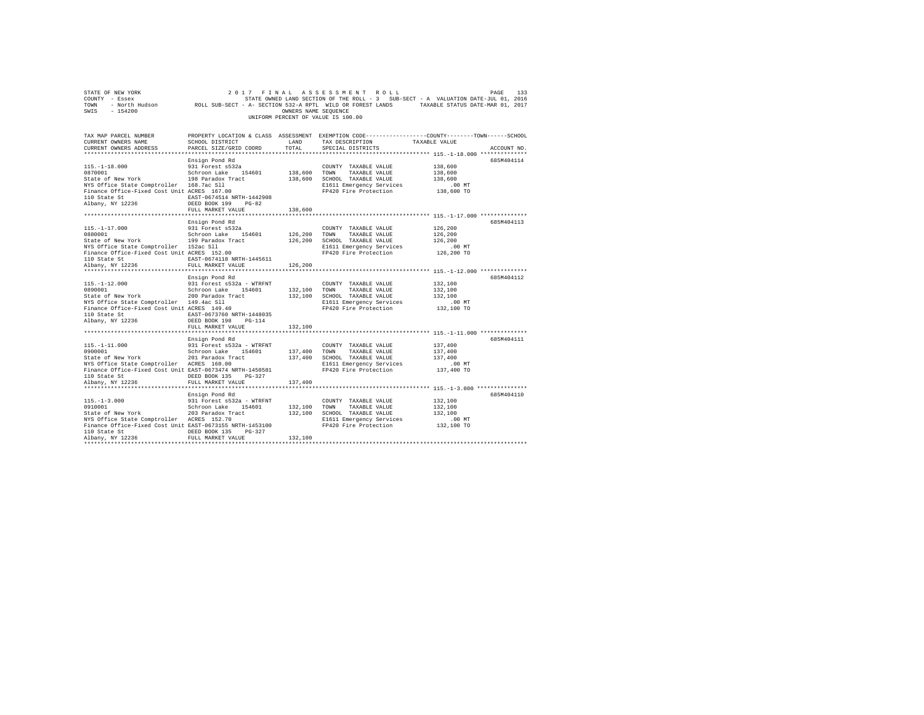| SWIS - 154200                                                                                                                                                                                                                                                                                                                                                                                                                                                                                                                                                                                                            |                                           | OWNERS NAME SEQUENCE | 2017 FINAL ASSESSMENT ROLL<br>UNIFORM PERCENT OF VALUE IS 100.00                                                                                                            | 2017 FINAL ASSESSMENT ROLL DAGE PAGE 133<br>COUNTY - Essex - SAMED STATE ONNED ISLAME TO A SUB-SECT - A VALUATION DATE-JULOI 2016<br>TOWN - North Hudson - ROLL SUB-SECT - A-SECTION 532-A RPTL WILD OR FOREST LANDS - TAXABLE STATU |
|--------------------------------------------------------------------------------------------------------------------------------------------------------------------------------------------------------------------------------------------------------------------------------------------------------------------------------------------------------------------------------------------------------------------------------------------------------------------------------------------------------------------------------------------------------------------------------------------------------------------------|-------------------------------------------|----------------------|-----------------------------------------------------------------------------------------------------------------------------------------------------------------------------|--------------------------------------------------------------------------------------------------------------------------------------------------------------------------------------------------------------------------------------|
| TAX MAP PARCEL NUMBER<br>CURRENT OWNERS NAME<br>CURRENT OWNERS ADDRESS                                                                                                                                                                                                                                                                                                                                                                                                                                                                                                                                                   | SCHOOL DISTRICT<br>PARCEL SIZE/GRID COORD | LAND<br>TOTAL        | TAX DESCRIPTION TAXABLE VALUE<br>SPECIAL DISTRICTS                                                                                                                          | PROPERTY LOCATION & CLASS ASSESSMENT EXEMPTION CODE---------------COUNTY-------TOWN------SCHOOL<br>ACCOUNT NO.                                                                                                                       |
| 115.-1-18.000<br>0870001 081 13860001 138600 1246 154601 138,600 700NY TAXABLE VALUE<br>2011 2012 139 Paradox Tract 139,600 201001 TAXABLE VALUE<br>NYS Office State Comptroller 168.7ac Sll<br>Finance Office-Fixed Cost Unit ACRES 167.00<br>110 State St<br>$\begin{array}{r} \texttt{EAST-0674514 NRTH-1442908} \\ \texttt{Albany, NY 12236} \\ \texttt{DEED BOK 199} \\ \texttt{DED 190} \\ \texttt{DSED 191} \\ \texttt{DST-193} \\ \texttt{DSED 194} \\ \texttt{DST-194} \\ \texttt{DST-195} \\ \texttt{DST-196} \\ \texttt{DST-197} \\ \texttt{DST-198} \\ \texttt{DST-199} \\ \texttt{DST-199} \\ \texttt{DST-$ | Ensign Pond Rd                            |                      | E1611 Emergency Services<br>FP420 Fire Protection                                                                                                                           | 685M404114<br>138,600<br>138,600<br>138,600<br>$.00$ MT<br>138,600 TO                                                                                                                                                                |
|                                                                                                                                                                                                                                                                                                                                                                                                                                                                                                                                                                                                                          | FULL MARKET VALUE<br>Ensign Pond Rd       | 138,600              |                                                                                                                                                                             | 685M404113                                                                                                                                                                                                                           |
| 115.-1-17.000 931 Forest s532a<br>State of New York Schroon Lake 154601<br>State of New York 199 Paradox Tract<br>NYS Office State Comptroller 152ac S11<br>Finance Office-Fixed Cost Unit ACRES 152.00<br>110 State St 674118 NRTH-1445611                                                                                                                                                                                                                                                                                                                                                                              |                                           |                      | COUNTY TAXABLE VALUE<br>126,200 TOWN TAXABLE VALUE<br>126,200 SCHOOL TAXABLE VALUE<br>E1611 Emergency Services<br>FP420 Fire Protection                                     | 126,200<br>126,200<br>126,200<br>00 MT.<br>126,200 TO                                                                                                                                                                                |
| Albany, NY 12236                                                                                                                                                                                                                                                                                                                                                                                                                                                                                                                                                                                                         | FULL MARKET VALUE 126,200                 |                      |                                                                                                                                                                             |                                                                                                                                                                                                                                      |
| NYS Office State Comptroller 149.4ac Sll<br>Finance Office-Fixed Cost Unit ACRES 149.40<br>${\small \begin{tabular}{lcccccc} 110 & State & St & & & & & \texttt{EAST-0673760 NRTH-1448035} \\ Albany, & NY & 12236 & & & & & \texttt{DEED BOOK 198} & & \texttt{PG-114} \end{tabular}} \label{tab:23}$                                                                                                                                                                                                                                                                                                                   | Ensign Pond Rd                            |                      | COUNTY TAXABLE VALUE<br>132,100 TOWN TAXABLE VALUE<br>132,100 SCHOOL TAXABLE VALUE<br>E1611 Emergency Services<br>FP420 Fire Protection<br>FP420 Fire Protection 132,100 TO | 685M404112<br>132,100<br>132,100<br>132,100<br>$.00$ MT                                                                                                                                                                              |
|                                                                                                                                                                                                                                                                                                                                                                                                                                                                                                                                                                                                                          | FULL MARKET VALUE                         | 132,100              |                                                                                                                                                                             |                                                                                                                                                                                                                                      |
| Finance Office-Fixed Cost Unit EAST-0673474 NRTH-1450581                                                                                                                                                                                                                                                                                                                                                                                                                                                                                                                                                                 | Ensign Pond Rd<br>FULL MARKET VALUE       | 137,400              | FP420 Fire Protection 137,400 TO                                                                                                                                            | 685M404111<br>137,400<br>137,400<br>137,400<br>.00 MT                                                                                                                                                                                |
| Finance Office-Fixed Cost Unit EAST-0673155 NRTH-1453100<br>110 State St CONDERD BOOK 135 PG-327<br>Albany, NY 12236                                                                                                                                                                                                                                                                                                                                                                                                                                                                                                     | Ensign Pond Rd<br>FULL MARKET VALUE       | 132,100              | E1611 Emergency Services<br>FP420 Fire Protection                                                                                                                           | 685M404110<br>132,100<br>132,100<br>132,100<br>00 MT.<br>132,100 TO                                                                                                                                                                  |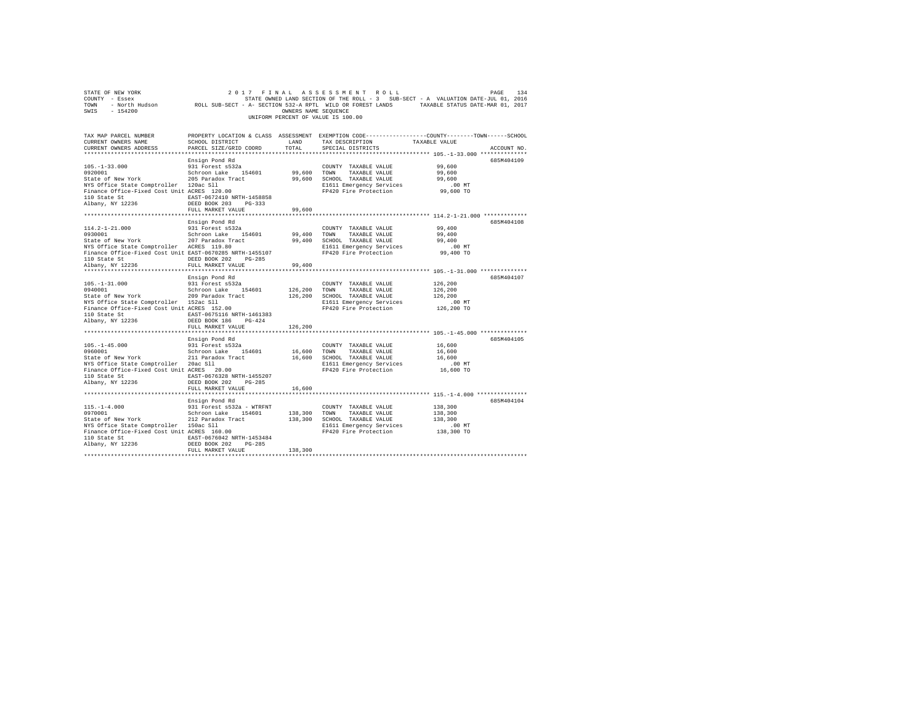| STATE OF NEW YORK<br>SWIS - 154200                                                                                                                                                                                                                                                                                                                                                                 |                                                                                                                             | OWNERS NAME SEQUENCE | 2017 FINAL ASSESSMENT ROLL<br>UNIFORM PERCENT OF VALUE IS 100.00                                                                                                                     | PAGE<br>134                                                                                                    |  |
|----------------------------------------------------------------------------------------------------------------------------------------------------------------------------------------------------------------------------------------------------------------------------------------------------------------------------------------------------------------------------------------------------|-----------------------------------------------------------------------------------------------------------------------------|----------------------|--------------------------------------------------------------------------------------------------------------------------------------------------------------------------------------|----------------------------------------------------------------------------------------------------------------|--|
| TAX MAP PARCEL NUMBER<br>CURRENT OWNERS NAME<br>CURRENT OWNERS ADDRESS                                                                                                                                                                                                                                                                                                                             | SCHOOL DISTRICT                        LAND        TAX DESCRIPTION                  TAXABLE VALUE<br>PARCEL SIZE/GRID COORD | TOTAL                | SPECIAL DISTRICTS                                                                                                                                                                    | PROPERTY LOCATION & CLASS ASSESSMENT EXEMPTION CODE---------------COUNTY-------TOWN------SCHOOL<br>ACCOUNT NO. |  |
| $105. - 1 - 33.000$<br>103.1-1-3<br>99.0001 Schroon Lake 154601 99,600 TOWN TAXABLE VALUE<br>State of New York 205 Paradox Tract 99,600 SCHOOL TAXABLE VALUE<br>NYS Office State Comptroller 120ac Sll<br>Finance Office-Fixed Cost Unit ACRES 120.00<br>110 State St EAST-0672410 NRTH-1458858<br>Albany, NY 12236                                                                                | Ensign Pond Rd<br>931 $\bar{F}$ orest s532a<br>DEED BOOK 203 PG-333<br>FULL MARKET VALUE                                    | 99,600               | COUNTY TAXABLE VALUE<br>99,600 TOWN TAXABLE VALUE<br>COUNTY TAXABLE VALUE 99,600<br>E1611 Emergency Services<br>FP420 Fire Protection                                                | 685M404109<br>99,600<br>99,600<br>$.00$ MT<br>99,600 TO                                                        |  |
| $\begin{tabular}{llllllll} 114.2-1-21.000 & 931\hbox{Forest} & 5522\hbox{C} & 0.008727\hbox{YANABLE VALUE} \\ 931\hbox{O183001} & 831\hbox{Forest} & 5522\hbox{C} & 5522\hbox{C} \\ 931\hbox{Stab} & 140\hbox{S} & 140\hbox{C} & 99,400\hbox{TANABLE VALUE} \\ 832\hbox{R4E} & 207\hbox{Paradox Trace} & 99,400\hbox{SCHOOL TAN$<br>110 State St CONGRESS DEED BOOK 202 PG-285<br>Albany, NY 12236 | Ensign Pond Rd<br>FULL MARKET VALUE                                                                                         | 99,400               |                                                                                                                                                                                      | 685M404108<br>99,400<br>99,400<br>99,400<br>$.00$ MT<br>99,400 TO                                              |  |
| $105. - 1 - 31.000$<br>0940001<br>0940001<br>State of New York 209 Paradox Tract<br>NYS Office State Comptroller 152ac Sll<br>Finance Office-Fixed Cost Unit ACRES 152.00<br>110 State St EAST-0675116 NRTH-1461383<br>Albany, NY 12236                                                                                                                                                            | Ensign Pond Rd<br>931 Forest s532a<br>Schroon Lake 154601<br>DEED BOOK 186 PG-424<br>FULL MARKET VALUE                      | 126,200              | COUNTY TAXABLE VALUE<br>126,200 TOWN TAXABLE VALUE<br>126,200 IOMN IAABLE VALUE 126,200<br>126,200 SCHOOL TAXABLE VALUE 126,200<br>E1611 Emergency Services<br>FP420 Fire Protection | 685M404107<br>126,200<br>126,200<br>.00MT<br>126,200 TO                                                        |  |
| ${\small \begin{tabular}{lcccccc} 110 & State & St & & & \texttt{EAST-0676328 NRTH-1455207} \\ Albany, & NY & 12236 & & & \texttt{DEED BOOK 202} & PG-285 \end{tabular}}$                                                                                                                                                                                                                          | Ensign Pond Rd<br>FULL MARKET VALUE                                                                                         | 16,600               | E1611 Emergency Services<br>FP420 Fire Protection                                                                                                                                    | 685M404105<br>16,600<br>16,600<br>16,600<br>$.00$ MT<br>16,600 TO                                              |  |
| 115.1-4.000<br>115.1-4.000<br>138,300<br>138,300<br>138,300<br>138,300<br>138,300<br>138,300<br>138,300<br>138,300<br>138,300<br>138,300<br>138,300<br>138,300<br>138,300<br>138,300<br>138,300<br>138,300<br>138,300<br>138,300<br>138,300<br>138,200<br>138,200<br>138,200<br>Albany, NY 12236                                                                                                   | DEED BOOK 202 PG-285<br>FULL MARKET VALUE                                                                                   | 138,300              |                                                                                                                                                                                      | 685M404104                                                                                                     |  |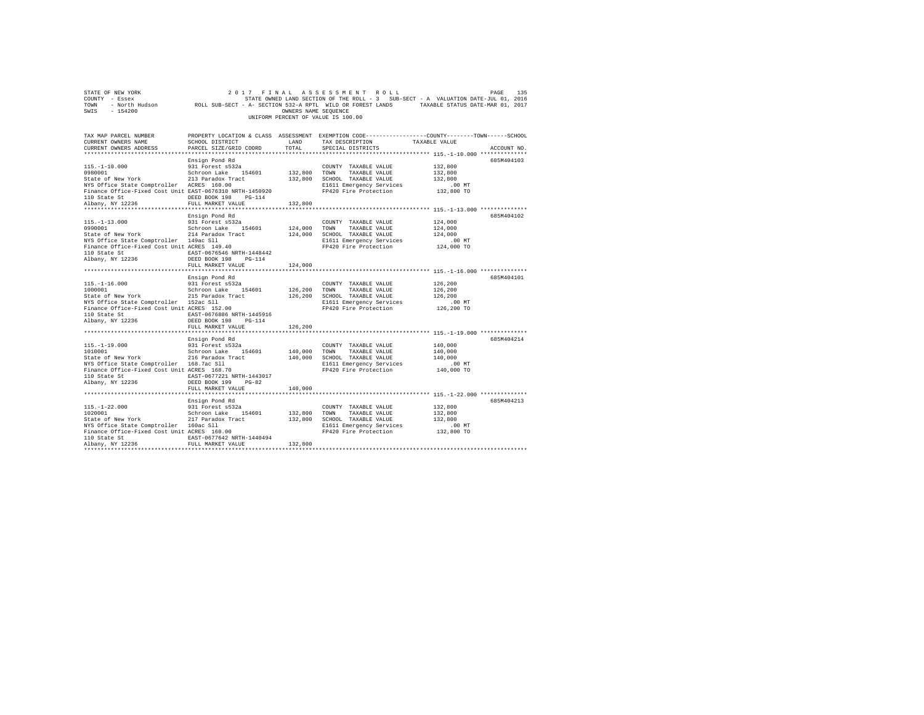|                                                                                                                                                                                                                                                                                                                                                                                                                                                                                                                                                                               |                                                             |         | UNIFORM PERCENT OF VALUE IS 100.00                                                                                                                                                                                                                                    | COUNTY - Essex - COMPRET ON STATE ON STATE ON THE ROLL - 3 SUB-SECT - A VALUATION DATE-JUL 01, 2016<br>TOWN - North Hudson - ROLL SUB-SECT - A- SECTION 532-A RPTL WILD OR FOREST LANDS - TAXABLE STATUS DATE-MAR 01, 2017<br>SWIS - |
|-------------------------------------------------------------------------------------------------------------------------------------------------------------------------------------------------------------------------------------------------------------------------------------------------------------------------------------------------------------------------------------------------------------------------------------------------------------------------------------------------------------------------------------------------------------------------------|-------------------------------------------------------------|---------|-----------------------------------------------------------------------------------------------------------------------------------------------------------------------------------------------------------------------------------------------------------------------|--------------------------------------------------------------------------------------------------------------------------------------------------------------------------------------------------------------------------------------|
| CURRENT OWNERS ADDRESS                                                                                                                                                                                                                                                                                                                                                                                                                                                                                                                                                        | PARCEL SIZE/GRID COORD                                      | TOTAL   | SPECIAL DISTRICTS                                                                                                                                                                                                                                                     | TAX MAP PARCEL NUMBER PROPERTY LOCATION & CLASS ASSESSMENT EXEMPTION CODE---------------COUNTY-------TOWN------SCHOOL<br>CURRENT OWNERS NAME SCHOOL DISTRICT LAND TAX DESCRIPTION TAXABLE VALUE<br>ACCOUNT NO.                       |
| $[115,-1-10.000 \nonumber \\ 115,-1-10.000 \nonumber \\ 115,-1-10.000 \nonumber \\ 115,-1-10.000 \nonumber \\ 115,-1-10.000 \nonumber \\ 115,-1-10.000 \nonumber \\ 115,-1-10.000 \nonumber \\ 115,-1-10.000 \nonumber \\ 115,-1-10.000 \nonumber \\ 115,-1-10.000 \nonumber \\ 115,-1-10.000 \nonumber \\ 115,-1-10.000 \nonumber \\ 115,-1-10.000 \nonumber$                                                                                                                                                                                                                | FULL MARKET VALUE                                           | 132,800 |                                                                                                                                                                                                                                                                       | 685M404103<br>*************************** 115.-1-13.000 ***************                                                                                                                                                              |
| $\begin{array}{cccc} \texttt{115,-1-13.000} & \texttt{931\ 200087001} & \texttt{532a} & \texttt{COUNT} & \texttt{MAXBLE} & \texttt{VALUE} & \texttt{124,000} \\ \texttt{0990001} & \texttt{SchC} & \texttt{SchC} & \texttt{154,000} & \texttt{521} & \texttt{124,000} \\ \texttt{State of New York} & \texttt{214\ 214 24 204} & \texttt{154,001} & \texttt{124,000} & \texttt{TCH} & \$<br>110 State St $\begin{tabular}{lllllllll} \texttt{IAST}-0676546 &\texttt{NRTH}-1448442\\ \texttt{Albany, NY} & 12236 & \texttt{DEED BOOK} & 198 & \texttt{PG}-114\\ \end{tabular}$ | Ensign Pond Rd<br>931 Forest s532a<br>FULL MARKET VALUE     | 124,000 | $\begin{tabular}{lllllllll} \multicolumn{2}{c}{\text{COUNTY}} & \text{TAXABLE VALUE} & & & 124,000 \\ \multicolumn{2}{c}{\text{TOWN}} & \text{TAXABLE VALUE} & & 124,000 \end{tabular}$                                                                               | 685M404102                                                                                                                                                                                                                           |
| 110 State St EAST-0676886 NRTH-1445916<br>Albany, NY 12236                                                                                                                                                                                                                                                                                                                                                                                                                                                                                                                    | Ensign Pond Rd<br>DEED BOOK 198 PG-114<br>FULL MARKET VALUE | 126,200 | $\begin{tabular}{lllll} \multicolumn{2}{l}{{\text{COUNTY}}} & \multicolumn{2}{l}{\text{TAXABLE VALUE}} & \multicolumn{2}{l}{\text{NALUE}} & \multicolumn{2}{l}{\text{126, 200}} \end{tabular}$<br>E1611 Emergency Services 100 MT<br>FP420 Fire Protection 126,200 TO | 685M404101<br>126,200<br>126,200                                                                                                                                                                                                     |
| 110 State St<br>$\begin{array}{ccc}\n\text{BAST} -0677221 \text{ NRTH} - 1443017 \\ \text{Albany, NY} & 12236\n\end{array}$ $\begin{array}{ccc}\n\text{BAST} -0677221 \text{ NRTH} - 1443017 \\ \text{DEED BOS, 199} & \text{PG}-82\n\end{array}$                                                                                                                                                                                                                                                                                                                             | Ensign Pond Rd<br>FULL MARKET VALUE 140,000                 |         |                                                                                                                                                                                                                                                                       | ********************************* 115.-1-19.000 ***************<br>685M404214                                                                                                                                                        |
| $[115,-1-22.000$ $[120001] \put(0,0){\line(0,0){13.5}} \put(0,0){\line(0,0){13.5}} \put(0,0){\line(0,0){13.5}} \put(0,0){\line(0,0){13.5}} \put(0,0){\line(0,0){13.5}} \put(0,0){\line(0,0){13.5}} \put(0,0){\line(0,0){13.5}} \put(0,0){\line(0,0){13.5}} \put(0,0){\line(0,0){13.5}} \put(0,0){\line(0,0){13.5}} \put(0,0$<br>110 State St EAST-0677642 NRTH-1440494<br>Albany, NY 12236                                                                                                                                                                                    | Ensign Pond Rd<br>FULL MARKET VALUE                         | 132,800 |                                                                                                                                                                                                                                                                       | 685M404213                                                                                                                                                                                                                           |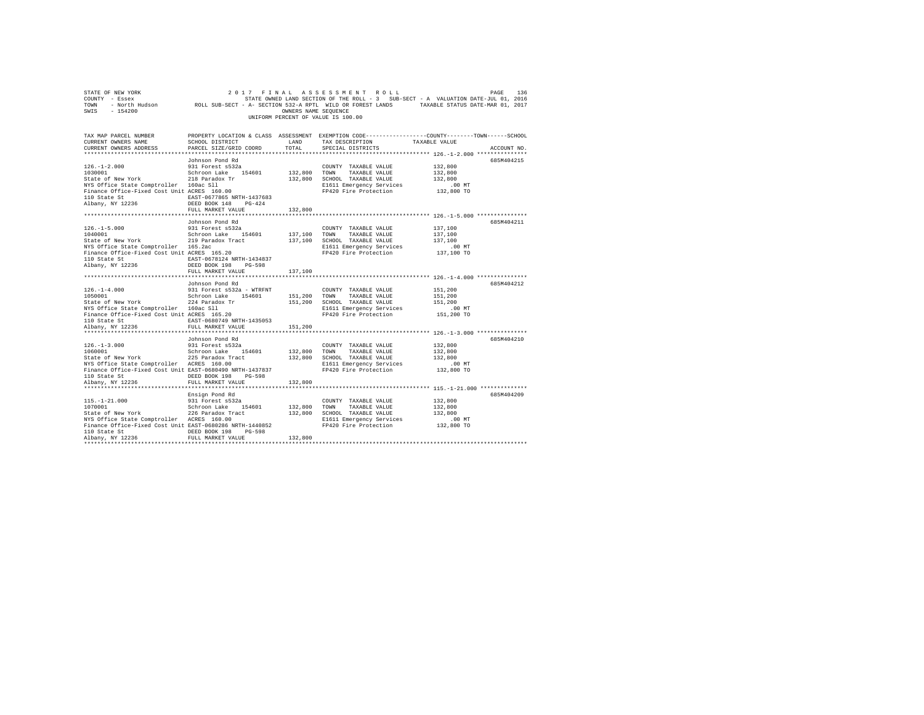| SWIS - 154200                                                                                                                                                                                                                                                           |                                                                                 | OWNERS NAME SEQUENCE | UNIFORM PERCENT OF VALUE IS 100.00                                                                                                                 | 2017 FINAL ASSESSMENT ROLL PAGE PAGE 136 PAGE 116 PAGE 116 PAGE 116<br>COUNTY - ESSEX<br>TOWN - NOTCH HUGSON ROLL SUB-SECT - A- SECTION 532-A RPTL WILD OR FOREST LANDS TAXABLE STATUS DATE-NAR 01, 201 |
|-------------------------------------------------------------------------------------------------------------------------------------------------------------------------------------------------------------------------------------------------------------------------|---------------------------------------------------------------------------------|----------------------|----------------------------------------------------------------------------------------------------------------------------------------------------|---------------------------------------------------------------------------------------------------------------------------------------------------------------------------------------------------------|
| TAX MAP PARCEL NUMBER<br>CURRENT OWNERS NAME<br>CURRENT OWNERS ADDRESS                                                                                                                                                                                                  | SCHOOL DISTRICT<br>PARCEL SIZE/GRID COORD                                       | LAND<br>TOTAL        | TAX DESCRIPTION TAXABLE VALUE<br>SPECIAL DISTRICTS                                                                                                 | PROPERTY LOCATION & CLASS ASSESSMENT EXEMPTION CODE---------------COUNTY-------TOWN------SCHOOL<br>ACCOUNT NO.                                                                                          |
| $126. -1 - 2.000$ $231$ Porest and<br>State of New York 218 Paradox T54601<br>State of New York 218 Paradox Tr<br>NYS Office State Comptroller 160ac S11<br>Finance Office-Fixed Cost Unit ACRES 160.00                                                                 | Johnson Pond Rd                                                                 |                      | COUNTY TAXABLE VALUE<br>132,800 TOWN TAXABLE VALUE<br>132,800 SCHOOL TAXABLE VALUE<br>E1611 Emergency Services<br>FP420 Fire Protection            | 685M404215<br>132,800<br>132,800<br>132,800<br>.00 MT<br>132,800 TO                                                                                                                                     |
|                                                                                                                                                                                                                                                                         | FULL MARKET VALUE<br>Johnson Pond Rd                                            | 132,800              |                                                                                                                                                    | 685M404211                                                                                                                                                                                              |
| $126. - 1 - 5.000$<br>1040001<br>State of New York<br>219 Baradox Tract<br>NYS Office State Comptroller 165.2ac<br>Finance Office-Fixed Cost Unit ACRES 165.20<br>110 State St 678124 NRTH-1434837<br>Albany, NY 12236                                                  | 931 Forest s532a<br>Schroon Lake 154601<br>DEED BOOK 198 PG-598                 | 137,100 TOWN         | COUNTY TAXABLE VALUE<br>TAXABLE VALUE<br>137.100 SCHOOL TAXABLE VALUE<br>E1611 Emergency Services<br>FP420 Fire Protection                         | 137,100<br>137,100<br>137,100<br>00 MT.<br>137,100 TO                                                                                                                                                   |
|                                                                                                                                                                                                                                                                         | FULL MARKET VALUE                                                               | 137,100              |                                                                                                                                                    | ************************************ 126.-1-4.000 ***************                                                                                                                                       |
| $126. -1 - 4.000$<br>$1050001$<br>110 State St 6. EAST-0680749 NRTH-1435053                                                                                                                                                                                             | Johnson Pond Rd<br>931 Forest s532a - WTRFNT                                    |                      | COUNTY TAXABLE VALUE<br>TAXABLE VALUE<br>151,200 SCHOOL TAXABLE VALUE<br>E1611 Emergency Services<br>FP420 Fire Protection                         | 685M404212<br>151,200<br>151,200<br>151,200<br>.00 MT<br>151,200 TO                                                                                                                                     |
| Albany, NY 12236                                                                                                                                                                                                                                                        | FULL MARKET VALUE                                                               | 151,200              |                                                                                                                                                    |                                                                                                                                                                                                         |
| $126. - 1 - 3.000$<br>1060001<br>State of New York<br>NIS Daradox Tract<br>NYS Office State Comptroller ACRES 160.00<br>Finance Office-Fixed Cost Unit EAST-0680490 NRTH-1437837                                                                                        | Johnson Pond Rd<br>931 Forest s532a<br>Schroon Lake 154601<br>FULL MARKET VALUE | 132,800              | COUNTY TAXABLE VALUE<br>132,800 TOWN TAXABLE VALUE<br>132,800 SCHOOL TAXABLE VALUE<br>E1611 Emergency Services<br>FP420 Fire Protection 132,800 TO | 685M404210<br>132,800<br>132,800<br>132,800<br>.00 MT                                                                                                                                                   |
| 115.-1-21.000 931 Forest s532a<br>1070001 Schroon Lake 154601<br>State of New York 226 Paradox Tract<br>NYS Office State Comptroller ACRES 160.00<br>Finance Office-Fixed Cost Unit EAST-0680286 NRTH-1440852<br>110 State St CDEED BOOK 198 PG-598<br>Albany, NY 12236 | Ensign Pond Rd<br>FULL MARKET VALUE                                             | 132,800              | COUNTY TAXABLE VALUE<br>132,800 TOWN TAXABLE VALUE<br>132,800 SCHOOL TAXABLE VALUE<br>E1611 Emergency Services<br>FP420 Fire Protection            | 685M404209<br>132,800<br>132,800<br>132,800<br>00 MT.<br>132,800 TO                                                                                                                                     |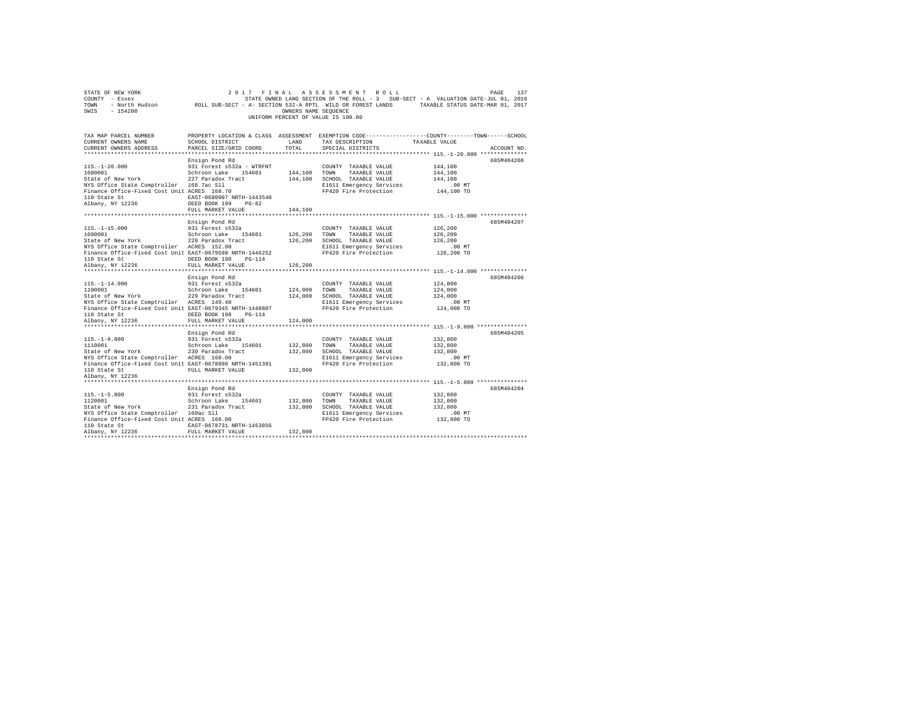| 2017 FINAL ASSESSMENT ROLL<br>137<br>STATE OF NEW YORK<br>PAGE<br>COUNTY - Essex<br>STATE OWNED LAND SECTION OF THE ROLL - 3 SUB-SECT - A VALUATION DATE-JUL 01, 2016<br>TOWN<br>- North Hudson<br>ROLL SUB-SECT - A- SECTION 532-A RPTL WILD OR FOREST LANDS<br>TAXABLE STATUS DATE-MAR 01, 2017<br>$-154200$<br>OWNERS NAME SEQUENCE<br>SWIS<br>UNIFORM PERCENT OF VALUE IS 100.00 |                                                                                                                                                             |                                     |                                                                                                                                        |                                                         |             |
|--------------------------------------------------------------------------------------------------------------------------------------------------------------------------------------------------------------------------------------------------------------------------------------------------------------------------------------------------------------------------------------|-------------------------------------------------------------------------------------------------------------------------------------------------------------|-------------------------------------|----------------------------------------------------------------------------------------------------------------------------------------|---------------------------------------------------------|-------------|
| TAX MAP PARCEL NUMBER<br>CURRENT OWNERS NAME<br>CURRENT OWNERS ADDRESS                                                                                                                                                                                                                                                                                                               | SCHOOL DISTRICT<br>PARCEL SIZE/GRID COORD                                                                                                                   | LAND<br>TOTAL                       | PROPERTY LOCATION & CLASS ASSESSMENT EXEMPTION CODE---------------COUNTY-------TOWN-----SCHOOL<br>TAX DESCRIPTION<br>SPECIAL DISTRICTS | TAXABLE VALUE                                           | ACCOUNT NO. |
| ***********************                                                                                                                                                                                                                                                                                                                                                              |                                                                                                                                                             |                                     | **************************** 115.-1-20.000 **************                                                                              |                                                         |             |
| $115. - 1 - 20.000$<br>1080001<br>State of New York<br>NYS Office State Comptroller 168.7ac Sll<br>Finance Office-Fixed Cost Unit ACRES 168.70<br>110 State St<br>Albany, NY 12236                                                                                                                                                                                                   | Ensign Pond Rd<br>931 Forest s532a - WTRFNT<br>Schroon Lake 154601<br>227 Paradox Tract<br>EAST-0680007 NRTH-1443548<br>DEED BOOK 199 PG-82                 | 144,100 TOWN                        | COUNTY TAXABLE VALUE<br>TAXABLE VALUE<br>144,100 SCHOOL TAXABLE VALUE<br>E1611 Emergency Services<br>FP420 Fire Protection             | 144,100<br>144,100<br>144,100<br>$.00$ MT<br>144,100 TO | 685M404208  |
|                                                                                                                                                                                                                                                                                                                                                                                      | FULL MARKET VALUE                                                                                                                                           | 144,100                             |                                                                                                                                        |                                                         |             |
| *************************<br>$115. - 1 - 15.000$<br>1090001<br>State of New York<br>NYS Office State Comptroller ACRES 152.00<br>Finance Office-Fixed Cost Unit EAST-0679598 NRTH-1446252<br>110 State St<br>Albany, NY 12236                                                                                                                                                        | ****************************<br>Ensign Pond Rd<br>931 Forest s532a<br>Schroon Lake 154601<br>228 Paradox Tract<br>DEED BOOK 198 PG-114<br>FULL MARKET VALUE | *************<br>126,200<br>126,200 | COUNTY TAXABLE VALUE<br>TOWN<br>TAXABLE VALUE<br>126,200 SCHOOL TAXABLE VALUE<br>E1611 Emergency Services<br>FP420 Fire Protection     | 126,200<br>126,200<br>126,200<br>$.00$ MT<br>126,200 TO | 685M404207  |
| **********************                                                                                                                                                                                                                                                                                                                                                               |                                                                                                                                                             | *********                           |                                                                                                                                        | **************** 115.-1-14.000 ***************          |             |
| $115. - 1 - 14.000$<br>1100001<br>State of New York<br>NYS Office State Comptroller ACRES 149.40<br>Finance Office-Fixed Cost Unit EAST-0679345 NRTH-1448807<br>110 State St                                                                                                                                                                                                         | Ensign Pond Rd<br>931 Forest s532a<br>Schroon Lake 154601<br>229 Paradox Tract<br>DEED BOOK 198 PG-114                                                      | 124,000                             | COUNTY TAXABLE VALUE<br>TOWN<br>TAXABLE VALUE<br>124,000 SCHOOL TAXABLE VALUE<br>E1611 Emergency Services<br>FP420 Fire Protection     | 124,000<br>124,000<br>124,000<br>$.00$ MT<br>124,000 TO | 685M404206  |
| Albany, NY 12236                                                                                                                                                                                                                                                                                                                                                                     | FULL MARKET VALUE                                                                                                                                           | 124,000                             |                                                                                                                                        |                                                         |             |
| $115. - 1 - 9.000$<br>1110001<br>State of New York<br>NYS Office State Comptroller ACRES 160.00<br>Finance Office-Fixed Cost Unit EAST-0678898 NRTH-1451391<br>110 State St                                                                                                                                                                                                          | Ensign Pond Rd<br>931 Forest s532a<br>Schroon Lake 154601<br>230 Paradox Tract<br>FULL MARKET VALUE                                                         | 132,800 TOWN<br>132,800             | COUNTY TAXABLE VALUE<br>TAXABLE VALUE<br>132,800 SCHOOL TAXABLE VALUE<br>E1611 Emergency Services<br>FP420 Fire Protection             | 132,800<br>132,800<br>132,800<br>.00 MT<br>132,800 TO   | 685M404205  |
| Albany, NY 12236                                                                                                                                                                                                                                                                                                                                                                     |                                                                                                                                                             |                                     |                                                                                                                                        |                                                         |             |
| $115. - 1 - 5.000$<br>1120001<br>State of New York<br>NYS Office State Comptroller 160ac Sll<br>Finance Office-Fixed Cost Unit ACRES 160.00<br>110 State St                                                                                                                                                                                                                          | Ensign Pond Rd<br>931 Forest s532a<br>Schroon Lake 154601<br>231 Paradox Tract<br>EAST-0678731 NRTH-1453856                                                 | 132,800 TOWN                        | COUNTY TAXABLE VALUE<br>TAXABLE VALUE<br>132,800 SCHOOL TAXABLE VALUE<br>E1611 Emergency Services<br>FP420 Fire Protection             | 132,800<br>132,800<br>132,800<br>$.00$ MT<br>132,800 TO | 685M404204  |
| Albany, NY 12236                                                                                                                                                                                                                                                                                                                                                                     | FULL MARKET VALUE                                                                                                                                           | 132,800                             |                                                                                                                                        |                                                         |             |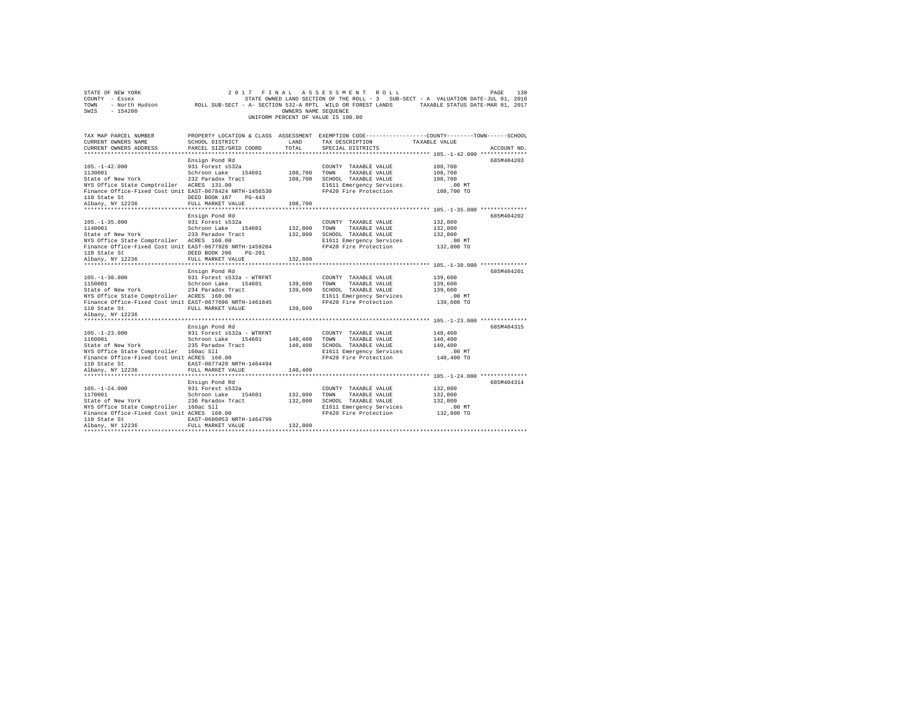| STATE OF NEW YORK<br>COUNTY - Essex<br>TOWN<br>$-154200$<br>SWIS                                                                                                                                                                        | 2017<br>- North Hudson ROLL SUB-SECT - A- SECTION 532-A RPTL WILD OR FOREST LANDS TAXABLE STATUS DATE-MAR 01, 2017                                                 | OWNERS NAME SEQUENCE               | FINAL ASSESSMENT ROLL<br>STATE OWNED LAND SECTION OF THE ROLL - 3 SUB-SECT - A VALUATION DATE-JUL 01, 2016<br>UNIFORM PERCENT OF VALUE IS 100.00 |                                                         | PAGE<br>138 |
|-----------------------------------------------------------------------------------------------------------------------------------------------------------------------------------------------------------------------------------------|--------------------------------------------------------------------------------------------------------------------------------------------------------------------|------------------------------------|--------------------------------------------------------------------------------------------------------------------------------------------------|---------------------------------------------------------|-------------|
| TAX MAP PARCEL NUMBER<br>CURRENT OWNERS NAME<br>CURRENT OWNERS ADDRESS                                                                                                                                                                  | PROPERTY LOCATION & CLASS ASSESSMENT EXEMPTION CODE---------------COUNTY-------TOWN------SCHOOL<br><b>EXAMPLE AND</b><br>SCHOOL DISTRICT<br>PARCEL SIZE/GRID COORD | TOTAL                              | TAX DESCRIPTION<br>SPECIAL DISTRICTS                                                                                                             | TAXABLE VALUE                                           | ACCOUNT NO. |
| $105. - 1 - 42.000$<br>1130001<br>State of New York 232 Paradox Tract<br>NYS Office State Comptroller ACRES 131.00<br>Finance Office-Fixed Cost Unit EAST-0678424 NRTH-1456530<br>110 State St<br>Albany, NY 12236                      | Ensign Pond Rd<br>931 Forest s532a<br>Schroon Lake 154601<br>DEED BOOK 187 PG-443<br>FULL MARKET VALUE                                                             | 108,700<br>108,700                 | COUNTY TAXABLE VALUE<br>TOWN<br>TAXABLE VALUE<br>108,700 SCHOOL TAXABLE VALUE<br>E1611 Emergency Services<br>FP420 Fire Protection               | 108,700<br>108,700<br>108,700<br>.00 MT<br>108,700 TO   | 685M404203  |
| $105. - 1 - 35.000$<br>1140001<br>State of New York 233 Paradox Tract<br>NYS Office State Comptroller ACRES 160.00<br>Finance Office-Fixed Cost Unit EAST-0677928 NRTH-1459204                                                          | Ensign Pond Rd<br>931 Forest s532a<br>Schroon Lake 154601<br>DEED BOOK 206<br>$PG-201$                                                                             | 132,800                            | COUNTY TAXABLE VALUE<br>TOWN<br>TAXABLE VALUE<br>132,800 SCHOOL TAXABLE VALUE<br>E1611 Emergency Services<br>FP420 Fire Protection               | 132,800<br>132,800<br>132,800<br>$.00$ MT<br>132,800 TO | 685M404202  |
| 110 State St<br>Albany, NY 12236<br>$105. - 1 - 30.000$<br>Finance Office-Fixed Cost Unit EAST-0677696 NRTH-1461845<br>110 State St<br>Albany, NY 12236                                                                                 | FULL MARKET VALUE<br>Ensign Pond Rd<br>931 Forest s532a - WTRFNT<br>FULL MARKET VALUE                                                                              | 132,800<br>139,600 TOWN<br>139,600 | COUNTY TAXABLE VALUE<br>TAXABLE VALUE<br>139,600 SCHOOL TAXABLE VALUE<br>E1611 Emergency Services<br>FP420 Fire Protection                       | 139,600<br>139,600<br>139,600<br>$.00$ MT<br>139,600 TO | 685M404201  |
| $105. - 1 - 23.000$<br>1160001<br>State of New York 235 Paradox Tract<br>NYS Office State Comptroller 160ac Sll<br>Finance Office-Fixed Cost Unit ACRES 160.00<br>110 State St<br>Albany, NY 12236                                      | Ensign Pond Rd<br>931 Forest s532a - WTRFNT<br>Schroon Lake 154601<br>EAST-0677429 NRTH-1464494<br>FULL MARKET VALUE                                               | $140\,, 400\quad$ TOWN<br>140,400  | COUNTY TAXABLE VALUE<br>TAXABLE VALUE<br>140,400 SCHOOL TAXABLE VALUE<br>E1611 Emergency Services<br>FP420 Fire Protection                       | 140,400<br>140,400<br>140,400<br>$.00$ MT<br>140,400 TO | 685M404315  |
| $105. - 1 - 24.000$<br>103.-1-24.000<br>11700011 15 Schroon Lake 15<br>State of New York 236 Paradox Tract<br>NYS Office State Comptroller 160ac Sll<br>Finance Office-Fixed Cost Unit ACRES 160.00<br>110 State St<br>Albany, NY 12236 | Ensign Pond Rd<br>931 Forest s532a<br>Schroon Lake 154601<br>EAST-0680053 NRTH-1464799<br>FULL MARKET VALUE                                                        | 132,800<br>132,800<br>132,800      | COUNTY TAXABLE VALUE<br>TOWN<br>TAXABLE VALUE<br>SCHOOL TAXABLE VALUE<br>E1611 Emergency Services<br>FP420 Fire Protection                       | 132,800<br>132,800<br>132,800<br>.00 MT<br>132,800 TO   | 685M404314  |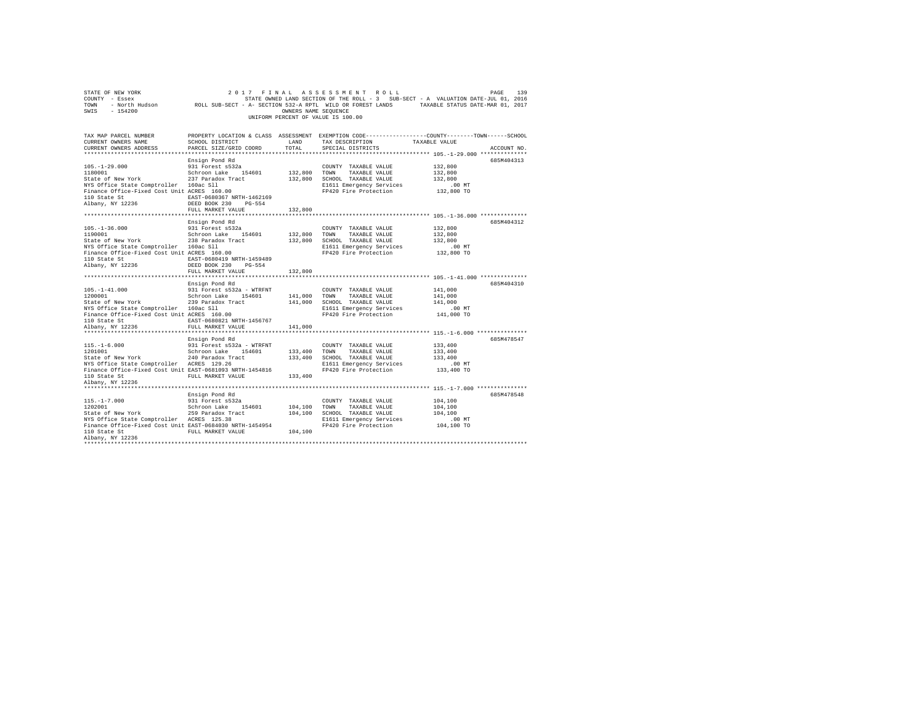| STATE OF NEW YORK<br>COUNTY - Essex<br>TOWN<br>$-154200$<br>SWIS                                      | 2017                                                                        | FINAL<br>OWNERS NAME SEOUENCE | ASSESSMENT ROLL<br>STATE OWNED LAND SECTION OF THE ROLL - 3 SUB-SECT - A VALUATION DATE-JUL 01, 2016<br>- North Hudson ROLL SUB-SECT - A- SECTION 532-A RPTL WILD OR FOREST LANDS TAXABLE STATUS DATE-MAR 01, 2017<br>UNIFORM PERCENT OF VALUE IS 100.00 |                        | PAGE<br>139 |
|-------------------------------------------------------------------------------------------------------|-----------------------------------------------------------------------------|-------------------------------|----------------------------------------------------------------------------------------------------------------------------------------------------------------------------------------------------------------------------------------------------------|------------------------|-------------|
| TAX MAP PARCEL NUMBER                                                                                 |                                                                             |                               | PROPERTY LOCATION & CLASS ASSESSMENT EXEMPTION CODE---------------COUNTY-------TOWN------SCHOOL                                                                                                                                                          |                        |             |
| CURRENT OWNERS NAME<br>CURRENT OWNERS ADDRESS                                                         | SCHOOL DISTRICT<br>PARCEL SIZE/GRID COORD                                   | LAND<br>TOTAL                 | TAX DESCRIPTION<br>SPECIAL DISTRICTS                                                                                                                                                                                                                     | TAXABLE VALUE          | ACCOUNT NO. |
|                                                                                                       |                                                                             |                               |                                                                                                                                                                                                                                                          |                        |             |
|                                                                                                       | Ensign Pond Rd                                                              |                               |                                                                                                                                                                                                                                                          |                        | 685M404313  |
| $105. - 1 - 29.000$                                                                                   | 931 Forest s532a                                                            |                               | COUNTY TAXABLE VALUE                                                                                                                                                                                                                                     | 132,800                |             |
| 1180001                                                                                               | Schroon Lake 154601                                                         | 132,800                       | TAXABLE VALUE<br>TOWN                                                                                                                                                                                                                                    | 132,800                |             |
| State of New York                                                                                     | 237 Paradox Tract                                                           | 132,800                       | SCHOOL TAXABLE VALUE                                                                                                                                                                                                                                     | 132,800                |             |
| NYS Office State Comptroller 160ac Sll                                                                |                                                                             |                               | E1611 Emergency Services                                                                                                                                                                                                                                 | $.00$ MT               |             |
| Finance Office-Fixed Cost Unit ACRES 160.00<br>110 State St<br>Albany, NY 12236                       | EAST-0680367 NRTH-1462169<br>DEED BOOK 230<br>PG-554<br>FULL MARKET VALUE   | 132,800                       | FP420 Fire Protection                                                                                                                                                                                                                                    | 132,800 TO             |             |
|                                                                                                       |                                                                             |                               |                                                                                                                                                                                                                                                          |                        |             |
|                                                                                                       | Ensign Pond Rd                                                              |                               |                                                                                                                                                                                                                                                          |                        | 685M404312  |
| $105. - 1 - 36.000$                                                                                   | 931 Forest s532a                                                            |                               | COUNTY TAXABLE VALUE                                                                                                                                                                                                                                     | 132,800                |             |
| 1190001                                                                                               | Schroon Lake 154601                                                         | 132,800                       | TOWN<br>TAXABLE VALUE                                                                                                                                                                                                                                    | 132,800                |             |
| State of New York 238 Paradox Tract                                                                   |                                                                             | 132,800                       | SCHOOL TAXABLE VALUE                                                                                                                                                                                                                                     | 132,800                |             |
| NYS Office State Comptroller 160ac Sll                                                                |                                                                             |                               | E1611 Emergency Services                                                                                                                                                                                                                                 | $.00$ MT               |             |
| Finance Office-Fixed Cost Unit ACRES 160.00                                                           |                                                                             |                               | FP420 Fire Protection                                                                                                                                                                                                                                    | 132,800 TO             |             |
| 110 State St<br>Albany, NY 12236                                                                      | EAST-0680419 NRTH-1459489<br>DEED BOOK 230<br>$PG-554$<br>FULL MARKET VALUE | 132,800                       |                                                                                                                                                                                                                                                          |                        |             |
|                                                                                                       |                                                                             | **********                    |                                                                                                                                                                                                                                                          |                        |             |
|                                                                                                       | Ensign Pond Rd                                                              |                               |                                                                                                                                                                                                                                                          |                        | 685M404310  |
| $105. - 1 - 41.000$                                                                                   | 931 Forest s532a - WTRFNT                                                   |                               | COUNTY TAXABLE VALUE                                                                                                                                                                                                                                     | 141,000                |             |
| 1200001                                                                                               | Schroon Lake 154601                                                         | 141,000                       | TOWN<br>TAXABLE VALUE                                                                                                                                                                                                                                    | 141,000                |             |
| State of New York                                                                                     | 239 Paradox Tract                                                           | 141,000                       | SCHOOL TAXABLE VALUE                                                                                                                                                                                                                                     | 141,000                |             |
| NYS Office State Comptroller 160ac Sll                                                                |                                                                             |                               | E1611 Emergency Services                                                                                                                                                                                                                                 | $.00$ MT               |             |
| Finance Office-Fixed Cost Unit ACRES 160.00<br>110 State St                                           | EAST-0680821 NRTH-1456767                                                   |                               | FP420 Fire Protection                                                                                                                                                                                                                                    | 141,000 TO             |             |
| Albany, NY 12236                                                                                      | FULL MARKET VALUE                                                           | 141,000                       |                                                                                                                                                                                                                                                          |                        |             |
|                                                                                                       |                                                                             |                               |                                                                                                                                                                                                                                                          |                        |             |
|                                                                                                       | Ensign Pond Rd                                                              |                               |                                                                                                                                                                                                                                                          |                        | 685M478547  |
| $115. - 1 - 6.000$                                                                                    | 931 Forest s532a - WTRFNT                                                   |                               | COUNTY TAXABLE VALUE                                                                                                                                                                                                                                     | 133,400                |             |
| 1201001                                                                                               | Schroon Lake 154601                                                         | 133,400                       | TOWN<br>TAXABLE VALUE                                                                                                                                                                                                                                    | 133,400                |             |
| State of New York                                                                                     | 240 Paradox Tract                                                           | 133,400                       | SCHOOL TAXABLE VALUE                                                                                                                                                                                                                                     | 133,400                |             |
| NYS Office State Comptroller ACRES 129.26<br>Finance Office-Fixed Cost Unit EAST-0681093 NRTH-1454816 |                                                                             |                               | E1611 Emergency Services<br>FP420 Fire Protection                                                                                                                                                                                                        | .00MT<br>133,400 TO    |             |
| 110 State St                                                                                          | FULL MARKET VALUE                                                           | 133,400                       |                                                                                                                                                                                                                                                          |                        |             |
| Albany, NY 12236                                                                                      |                                                                             |                               |                                                                                                                                                                                                                                                          |                        |             |
|                                                                                                       |                                                                             |                               |                                                                                                                                                                                                                                                          |                        |             |
|                                                                                                       | Ensign Pond Rd                                                              |                               |                                                                                                                                                                                                                                                          |                        | 685M478548  |
| $115. - 1 - 7.000$                                                                                    | 931 Forest s532a                                                            |                               | COUNTY TAXABLE VALUE                                                                                                                                                                                                                                     | 104,100                |             |
| 1202001                                                                                               | Schroon Lake 154601                                                         | 104,100                       | TAXABLE VALUE<br>TOWN                                                                                                                                                                                                                                    | 104,100                |             |
| State of New York                                                                                     | 259 Paradox Tract                                                           | 104,100                       | SCHOOL TAXABLE VALUE                                                                                                                                                                                                                                     | 104,100                |             |
| NYS Office State Comptroller ACRES 125.38<br>Finance Office-Fixed Cost Unit EAST-0684030 NRTH-1454954 |                                                                             |                               | E1611 Emergency Services<br>FP420 Fire Protection                                                                                                                                                                                                        | $.00$ MT<br>104,100 TO |             |
| 110 State St                                                                                          | FULL MARKET VALUE                                                           | 104,100                       |                                                                                                                                                                                                                                                          |                        |             |
| Albany, NY 12236                                                                                      |                                                                             |                               |                                                                                                                                                                                                                                                          |                        |             |
|                                                                                                       |                                                                             |                               |                                                                                                                                                                                                                                                          |                        |             |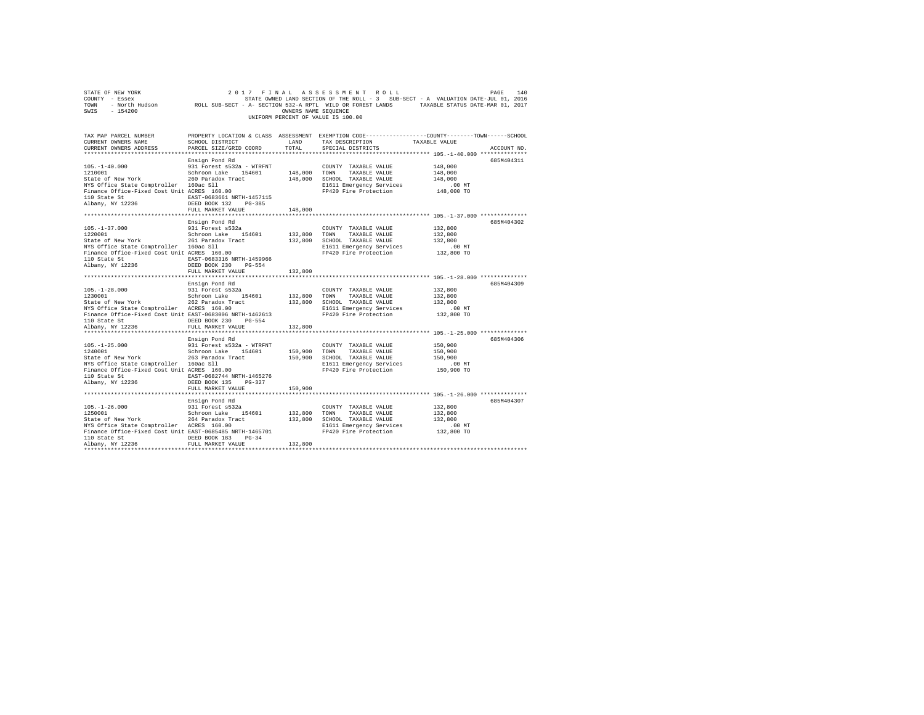|                                                                                                                                                                                                                                                                                                                                                                                                                                                                                                                                                                                                               |                                                                                                                    |              | UNIFORM PERCENT OF VALUE IS 100.00                                                                                                                            |                                                                                                                |
|---------------------------------------------------------------------------------------------------------------------------------------------------------------------------------------------------------------------------------------------------------------------------------------------------------------------------------------------------------------------------------------------------------------------------------------------------------------------------------------------------------------------------------------------------------------------------------------------------------------|--------------------------------------------------------------------------------------------------------------------|--------------|---------------------------------------------------------------------------------------------------------------------------------------------------------------|----------------------------------------------------------------------------------------------------------------|
| TAX MAP PARCEL NUMBER<br>CURRENT OWNERS NAME<br>CURRENT OWNERS ADDRESS                                                                                                                                                                                                                                                                                                                                                                                                                                                                                                                                        | SCHOOL DISTRICT LAND<br>PARCEL SIZE/GRID COORD TOTAL                                                               |              | TAX DESCRIPTION TAXABLE VALUE<br>SPECIAL DISTRICTS                                                                                                            | PROPERTY LOCATION & CLASS ASSESSMENT EXEMPTION CODE---------------COUNTY-------TOWN------SCHOOL<br>ACCOUNT NO. |
| $105.-1-40.000$<br>1210001<br>State of New York 260 Paradox Tract 148,000 SCHOOL TAXABLE VALUE<br>NTS Office State Comptroller 160ac S11<br>PIG 260 Paradox Tract 148,000 SCHOOL TAXABLE VALUE<br>PIG 20111 Reserved Cost Unit ACRES 160.00 PP420 Fire Protection                                                                                                                                                                                                                                                                                                                                             | Ensign Pond Rd<br>931 Forest s532a - WTRFNT<br>Schroon Lake 154601 148,000 TOWN TAXABLE VALUE<br>FULL MARKET VALUE | 148,000      | COUNTY TAXABLE VALUE<br>E1611 Emergency Services<br>FP420 Fire Protection                                                                                     | 685M404311<br>148,000<br>148,000<br>148,000<br>$.00$ MT<br>148,000 TO                                          |
|                                                                                                                                                                                                                                                                                                                                                                                                                                                                                                                                                                                                               |                                                                                                                    |              |                                                                                                                                                               |                                                                                                                |
| $\begin{tabular}{lllllllllll} 105.-1-37.000 & & 931 Forest s532a \\ 1220001 & & Schroon Lake & 154601 \\ State of New York & & 261 paradox Tract \end{tabular}$<br>NYS Office State Comptroller 160ac Sll<br>Finance Office-Fixed Cost Unit ACRES 160.00<br>110 State St<br>Albany, NY 12236                                                                                                                                                                                                                                                                                                                  | Ensign Pond Rd<br>EAST-0683316 NRTH-1459966<br>DEED BOOK 230 PG-554                                                | 132,800 TOWN | COUNTY TAXABLE VALUE<br>132,800 TOWN TAXABLE VALUE<br>132,800 SCHOOL TAXABLE VALUE<br>E1611 Emergency Services .00 MT<br>FP420 Fire Protection .01 132,800 TO | 685M404302<br>132,800<br>132,800<br>132,800                                                                    |
|                                                                                                                                                                                                                                                                                                                                                                                                                                                                                                                                                                                                               | FULL MARKET VALUE                                                                                                  | 132,800      |                                                                                                                                                               |                                                                                                                |
| $105. - 1 - 28.000$<br>1230001<br>Example of New York 262 Paradox Tract 20001 123,800 SCHOOL TAXABLE VALUE<br>NYS Office State Comptroller ACRES 160.00 181611 Emergency Services<br>Finance Office-Fixed Cost Unit EAST-0683006 NRTH-1462613                                                                                                                                                                                                                                                                                                                                                                 | Ensign Pond Rd<br>931 Forest s532a<br>Schroon Lake 154601                                                          |              | COUNTY TAXABLE VALUE<br>132,800 TOWN TAXABLE VALUE<br>E1611 Emergency Services<br>FP420 Fire Protection                                                       | 685M404309<br>132,800<br>132,800<br>132,800<br>00 MT.<br>132,800 TO                                            |
| 110 State St CDEED BOOK 230 PG-554                                                                                                                                                                                                                                                                                                                                                                                                                                                                                                                                                                            |                                                                                                                    |              |                                                                                                                                                               |                                                                                                                |
| Albany, NY 12236                                                                                                                                                                                                                                                                                                                                                                                                                                                                                                                                                                                              | FULL MARKET VALUE<br>Ensign Pond Rd                                                                                | 132,800      |                                                                                                                                                               | 685M404306                                                                                                     |
| ${\small \begin{tabular}{lcccccc} 110 & State & St & & & & \texttt{EAST-0682744 NRTH-1465276} \\ Albany, & NY & 12236 & & & & & \texttt{DEED BOOK 135} & & & \texttt{PG-327} \end{tabular}}$                                                                                                                                                                                                                                                                                                                                                                                                                  |                                                                                                                    |              |                                                                                                                                                               | .00 MT<br>150,900 TO                                                                                           |
|                                                                                                                                                                                                                                                                                                                                                                                                                                                                                                                                                                                                               | FULL MARKET VALUE                                                                                                  | 150,900      |                                                                                                                                                               |                                                                                                                |
| $105. - 1 - 26.000$<br>$\begin{tabular}{lcccc} \texttt{c}-\texttt{c}-\texttt{c}-\texttt{c} & \texttt{S-1} & \texttt{c}-\texttt{c} & \texttt{c}-\texttt{c} & \texttt{c}-\texttt{c} & \texttt{c}-\texttt{c} & \texttt{c}-\texttt{c} & \texttt{c}-\texttt{c} & \texttt{c}-\texttt{c} & \texttt{c}-\texttt{c} & \texttt{c}-\texttt{c} & \texttt{c}-\texttt{c} & \texttt{c}-\texttt{c} & \texttt{c}-\texttt{c} & \texttt{c}-\texttt{c} & \texttt{c}-\text$<br>NYS Office State Comptroller ACRES 160.00 E1611 Emergency Services<br>Finance Office-Fixed Cost Unit EAST-0685485 NRTH-1465701 FP420 Fire Protection | Ensign Pond Rd<br>931 Forest s532a<br>Schroon Lake 154601                                                          |              | E1611 Emergency Services                                                                                                                                      | 685M404307<br>132,800<br>132,800<br>132,800<br>00 MT.<br>132,800 TO                                            |
| 110 State St 6. DEED BOOK 183 PG-34<br>Albany, NY 12236                                                                                                                                                                                                                                                                                                                                                                                                                                                                                                                                                       | FULL MARKET VALUE                                                                                                  | 132,800      |                                                                                                                                                               |                                                                                                                |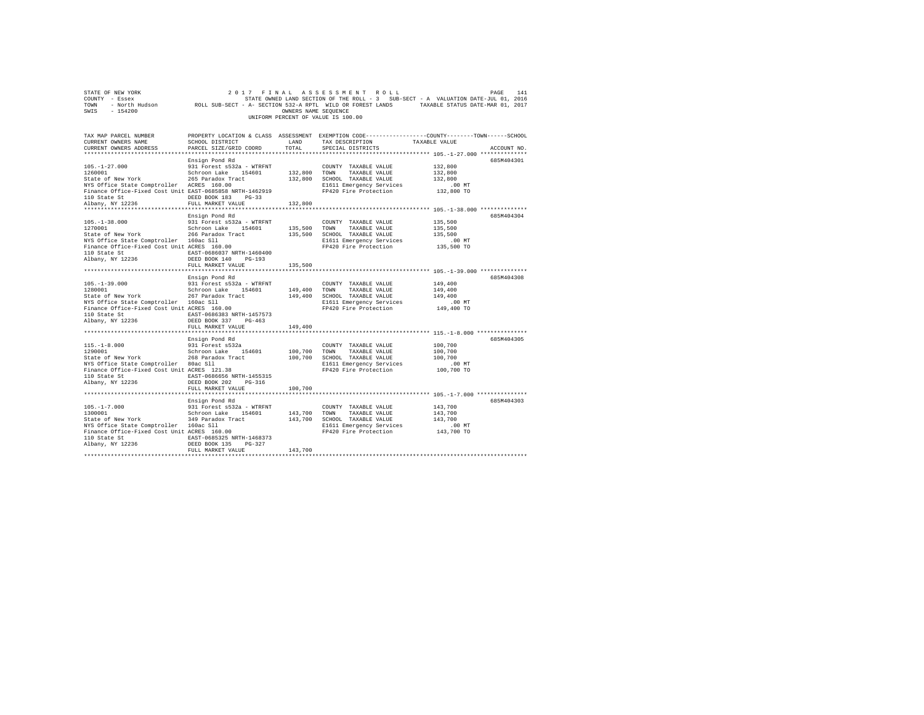| COUNTY - Essex<br>TOWN<br>SWIS<br>$-154200$                                                                                                                                     |                                                  | OWNERS NAME SEQUENCE | UNIFORM PERCENT OF VALUE IS 100.00                       | STATE OWNED LAND SECTION OF THE ROLL - 3 SUB-SECT - A VALUATION DATE-JUL 01, 2016<br>- North Hudson ROLL SUB-SECT - A- SECTION 532-A RPTL WILD OR FOREST LANDS TAXABLE STATUS DATE-MAR 01, 2017 |
|---------------------------------------------------------------------------------------------------------------------------------------------------------------------------------|--------------------------------------------------|----------------------|----------------------------------------------------------|-------------------------------------------------------------------------------------------------------------------------------------------------------------------------------------------------|
| TAX MAP PARCEL NUMBER<br>CURRENT OWNERS NAME                                                                                                                                    | SCHOOL DISTRICT                                  | LAND                 | TAX DESCRIPTION                                          | PROPERTY LOCATION & CLASS ASSESSMENT EXEMPTION CODE---------------COUNTY-------TOWN------SCHOOL<br>TAXABLE VALUE                                                                                |
| CURRENT OWNERS ADDRESS                                                                                                                                                          | PARCEL SIZE/GRID COORD                           | TOTAL                | SPECIAL DISTRICTS                                        | ACCOUNT NO.                                                                                                                                                                                     |
|                                                                                                                                                                                 |                                                  |                      |                                                          |                                                                                                                                                                                                 |
|                                                                                                                                                                                 | Ensign Pond Rd                                   |                      |                                                          | 685M404301                                                                                                                                                                                      |
| $105. - 1 - 27.000$<br>1260001                                                                                                                                                  | 931 Forest s532a - WTRFNT                        |                      | COUNTY TAXABLE VALUE<br>132,800 TOWN TAXABLE VALUE       | 132,800                                                                                                                                                                                         |
| State of New York                                                                                                                                                               | Schroon Lake 154601                              |                      | 132,800 SCHOOL TAXABLE VALUE                             | 132,800<br>132,800                                                                                                                                                                              |
| State of New York 265 Paradox Tract<br>NYS Office State Comptroller ACRES 160.00                                                                                                |                                                  |                      | E1611 Emergency Services                                 | $.00$ MT                                                                                                                                                                                        |
| Finance Office-Fixed Cost Unit EAST-0685858 NRTH-1462919                                                                                                                        |                                                  |                      | FP420 Fire Protection                                    | 132,800 TO                                                                                                                                                                                      |
| 110 State St                                                                                                                                                                    | DEED BOOK 183 PG-33                              |                      |                                                          |                                                                                                                                                                                                 |
| Albany, NY 12236                                                                                                                                                                | FULL MARKET VALUE                                | 132,800              |                                                          |                                                                                                                                                                                                 |
|                                                                                                                                                                                 |                                                  |                      |                                                          |                                                                                                                                                                                                 |
|                                                                                                                                                                                 | Ensign Pond Rd                                   |                      |                                                          | 685M404304                                                                                                                                                                                      |
| $105. - 1 - 38.000$<br>1270001                                                                                                                                                  | 931 Forest s532a - WTRFNT<br>Schroon Lake 154601 | 135,500              | COUNTY TAXABLE VALUE<br>TOWN<br>TAXABLE VALUE            | 135,500<br>135,500                                                                                                                                                                              |
| State of New York 266 Paradox Tract                                                                                                                                             |                                                  | 135,500              | SCHOOL TAXABLE VALUE                                     | 135,500                                                                                                                                                                                         |
| NYS Office State Comptroller 160ac Sll                                                                                                                                          |                                                  |                      | E1611 Emergency Services                                 | .00MT                                                                                                                                                                                           |
| Finance Office-Fixed Cost Unit ACRES 160.00                                                                                                                                     |                                                  |                      | FP420 Fire Protection                                    | 135,500 TO                                                                                                                                                                                      |
| 110 State St EAST-0686037 NRTH-1460400                                                                                                                                          |                                                  |                      |                                                          |                                                                                                                                                                                                 |
| Albany, NY 12236                                                                                                                                                                | DEED BOOK 140 PG-193                             |                      |                                                          |                                                                                                                                                                                                 |
|                                                                                                                                                                                 | FULL MARKET VALUE                                | 135,500              |                                                          |                                                                                                                                                                                                 |
|                                                                                                                                                                                 |                                                  |                      |                                                          | 685M404308                                                                                                                                                                                      |
| $105. - 1 - 39.000$                                                                                                                                                             | Ensign Pond Rd<br>931 Forest s532a - WTRFNT      |                      | COUNTY TAXABLE VALUE                                     | 149,400                                                                                                                                                                                         |
| 1280001                                                                                                                                                                         | Schroon Lake 154601                              | 149,400 TOWN         | TAXABLE VALUE                                            | 149,400                                                                                                                                                                                         |
| State of New York 267 Paradox Tract                                                                                                                                             |                                                  |                      | 149,400 SCHOOL TAXABLE VALUE                             | 149,400                                                                                                                                                                                         |
| NYS Office State Comptroller 160ac Sll<br>Finance Office-Fixed Cost Unit ACRES 160.00                                                                                           |                                                  |                      | E1611 Emergency Services                                 | $.00$ MT                                                                                                                                                                                        |
|                                                                                                                                                                                 |                                                  |                      | FP420 Fire Protection                                    | 149,400 TO                                                                                                                                                                                      |
| 110 State St<br>Albany, NY 12236                                                                                                                                                | EAST-0686383 NRTH-1457573                        |                      |                                                          |                                                                                                                                                                                                 |
|                                                                                                                                                                                 | DEED BOOK 337 PG-463<br>FULL MARKET VALUE        | 149,400              |                                                          |                                                                                                                                                                                                 |
|                                                                                                                                                                                 |                                                  |                      |                                                          |                                                                                                                                                                                                 |
|                                                                                                                                                                                 | Ensign Pond Rd                                   |                      |                                                          | 685M404305                                                                                                                                                                                      |
| $115. -1 - 8.000$                                                                                                                                                               |                                                  |                      | COUNTY TAXABLE VALUE                                     | 100,700                                                                                                                                                                                         |
| 1290001                                                                                                                                                                         | 931 Forest s532a<br>Schroon Lake 154601          | 100,700 TOWN         | TAXABLE VALUE                                            | 100,700                                                                                                                                                                                         |
| State of New York                                                                                                                                                               |                                                  |                      | 100,700 SCHOOL TAXABLE VALUE                             | 100,700                                                                                                                                                                                         |
| State of New York<br>NYS Office State Comptroller 80ac S11<br>Finance Office-Fixed Cost Unit ACRES 121.38                                                                       |                                                  |                      | E1611 Emergency Services<br>FP420 Fire Protection        | $.00$ MT<br>100,700 TO                                                                                                                                                                          |
| 110 State St 685T-0686656 NRTH-1455315                                                                                                                                          |                                                  |                      |                                                          |                                                                                                                                                                                                 |
| Albany, NY 12236                                                                                                                                                                | DEED BOOK 202 PG-316                             |                      |                                                          |                                                                                                                                                                                                 |
|                                                                                                                                                                                 | FULL MARKET VALUE                                | 100,700              |                                                          |                                                                                                                                                                                                 |
|                                                                                                                                                                                 |                                                  |                      |                                                          |                                                                                                                                                                                                 |
|                                                                                                                                                                                 | Ensign Pond Rd                                   |                      |                                                          | 685M404303                                                                                                                                                                                      |
| 105.-1-7.000 931 Forest s532a - WTRFNT                                                                                                                                          |                                                  |                      | COUNTY TAXABLE VALUE                                     | 143,700                                                                                                                                                                                         |
| 1300001 Schroon Lake 154601<br>State of New York 349 Paradox Tract                                                                                                              |                                                  | 143,700 TOWN         | TAXABLE VALUE                                            | 143,700                                                                                                                                                                                         |
| NYS Office State Comptroller 160ac S11                                                                                                                                          |                                                  |                      | 143,700 SCHOOL TAXABLE VALUE<br>E1611 Emergency Services | 143,700<br>$.00$ MT                                                                                                                                                                             |
| Finance Office-Fixed Cost Unit ACRES 160.00                                                                                                                                     |                                                  |                      | FP420 Fire Protection                                    | 143,700 TO                                                                                                                                                                                      |
|                                                                                                                                                                                 |                                                  |                      |                                                          |                                                                                                                                                                                                 |
| $\begin{tabular}{lllllllllll} \texttt{110 State St} & \texttt{EAST-0685325 NRTH-1468373} \\ \texttt{Albany, NY 12236} & \texttt{DEED BOGK 135} & \texttt{PG-327} \end{tabular}$ |                                                  |                      |                                                          |                                                                                                                                                                                                 |
|                                                                                                                                                                                 | FULL MARKET VALUE                                | 143,700              |                                                          |                                                                                                                                                                                                 |
|                                                                                                                                                                                 |                                                  |                      |                                                          |                                                                                                                                                                                                 |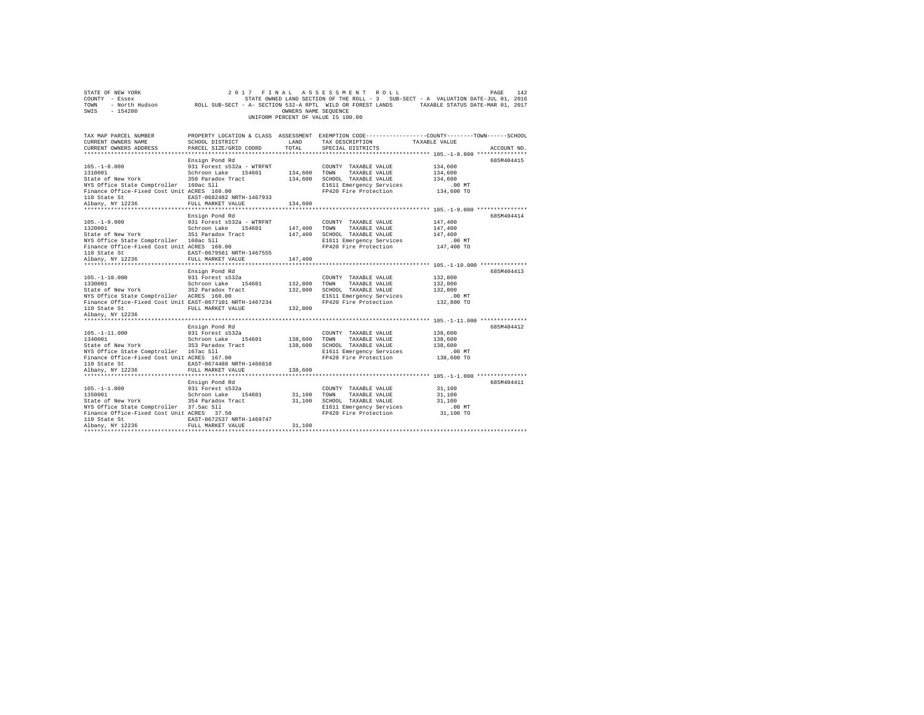|                                    | STATE OF NEW YORK |  |  | 2017 FINAL ASSESSMENT ROLL                                 | 142<br>PAGE                                                                       |
|------------------------------------|-------------------|--|--|------------------------------------------------------------|-----------------------------------------------------------------------------------|
|                                    | COUNTY - Essex    |  |  |                                                            | STATE OWNED LAND SECTION OF THE ROLL - 3 SUB-SECT - A VALUATION DATE-JUL 01, 2016 |
| TOWN                               | - North Hudson    |  |  | ROLL SUB-SECT - A- SECTION 532-A RPTL WILD OR FOREST LANDS | TAXABLE STATUS DATE-MAR 01, 2017                                                  |
| SWIS                               | - 154200          |  |  | OWNERS NAME SEOUENCE                                       |                                                                                   |
| UNIFORM PERCENT OF VALUE IS 100.00 |                   |  |  |                                                            |                                                                                   |

| TAX MAP PARCEL NUMBER<br>CURRENT OWNERS NAME<br>CURRENT OWNERS ADDRESS                                | SCHOOL DISTRICT<br>PARCEL SIZE/GRID COORD        | LAND<br>TOTAL            | TAX DESCRIPTION<br>SPECIAL DISTRICTS              | PROPERTY LOCATION & CLASS ASSESSMENT EXEMPTION CODE---------------COUNTY-------TOWN-----SCHOOL<br>TAXABLE VALUE | ACCOUNT NO. |
|-------------------------------------------------------------------------------------------------------|--------------------------------------------------|--------------------------|---------------------------------------------------|-----------------------------------------------------------------------------------------------------------------|-------------|
|                                                                                                       |                                                  |                          |                                                   |                                                                                                                 |             |
|                                                                                                       | Ensign Pond Rd                                   |                          |                                                   |                                                                                                                 | 685M404415  |
| $105. - 1 - 8.000$                                                                                    | 931 Forest s532a - WTRFNT                        |                          | COUNTY TAXABLE VALUE                              | 134,600                                                                                                         |             |
| 1310001 Schroon Lake 154601<br>State of New York 350 Paradox Tract                                    |                                                  | $134,600$ $\_{\tt TOWN}$ | TAXABLE VALUE                                     | 134,600                                                                                                         |             |
|                                                                                                       |                                                  |                          | 134,600 SCHOOL TAXABLE VALUE                      | 134,600                                                                                                         |             |
| NYS Office State Comptroller 160ac Sll                                                                |                                                  |                          | E1611 Emergency Services                          | 00 MT.<br>134,600 TO                                                                                            |             |
| Finance Office-Fixed Cost Unit ACRES 160.00<br>110 State St                                           | EAST-0682482 NRTH-1467933                        |                          | FP420 Fire Protection                             |                                                                                                                 |             |
| Albany, NY 12236                                                                                      | FULL MARKET VALUE                                | 134,600                  |                                                   |                                                                                                                 |             |
| *******************                                                                                   | ***********************                          | ************             |                                                   | ************** 105.-1-9.000 ***************                                                                     |             |
|                                                                                                       | Ensign Pond Rd                                   |                          |                                                   |                                                                                                                 | 685M404414  |
| $105. - 1 - 9.000$                                                                                    |                                                  |                          | COUNTY TAXABLE VALUE                              | 147,400                                                                                                         |             |
| 1320001                                                                                               | 931 Forest s532a - WTRFNT<br>Schroon Lake 154601 |                          | 147,400 TOWN TAXABLE VALUE                        | 147,400                                                                                                         |             |
| State of New York 351 Paradox Tract                                                                   |                                                  |                          | 147,400 SCHOOL TAXABLE VALUE                      | 147,400                                                                                                         |             |
| NYS Office State Comptroller 160ac Sll                                                                |                                                  |                          | E1611 Emergency Services                          | $.00$ MT                                                                                                        |             |
| Finance Office-Fixed Cost Unit ACRES 160.00                                                           |                                                  |                          | FP420 Fire Protection                             | 147,400 TO                                                                                                      |             |
| 110 State St<br>Albany, NY 12236                                                                      | EAST-0679561 NRTH-1467555                        |                          |                                                   |                                                                                                                 |             |
|                                                                                                       | FULL MARKET VALUE                                | 147,400                  |                                                   |                                                                                                                 |             |
|                                                                                                       |                                                  |                          |                                                   |                                                                                                                 |             |
|                                                                                                       | Ensign Pond Rd                                   |                          |                                                   |                                                                                                                 | 685M404413  |
| $105. - 1 - 10.000$                                                                                   | 931 Forest s532a<br>Schroon Lake 154601          |                          | COUNTY TAXABLE VALUE                              | 132,800                                                                                                         |             |
| 1330001                                                                                               |                                                  |                          | TAXABLE VALUE                                     | 132,800                                                                                                         |             |
| State of New York 1952 Paradox Tract<br>NYS Office State Comptroller 19CRES 160.00                    |                                                  | 132,800                  | SCHOOL TAXABLE VALUE                              | 132,800                                                                                                         |             |
| NYS Office State Comptroller ACRES 160.00<br>Finance Office-Fixed Cost Unit EAST-0677101 NRTH-1467234 |                                                  |                          | E1611 Emergency Services<br>FP420 Fire Protection | $.00$ MT                                                                                                        |             |
| 110 State St                                                                                          | FULL MARKET VALUE                                | 132,800                  |                                                   | 132,800 TO                                                                                                      |             |
| Albany, NY 12236                                                                                      |                                                  |                          |                                                   |                                                                                                                 |             |
|                                                                                                       |                                                  |                          |                                                   |                                                                                                                 |             |
|                                                                                                       | Ensign Pond Rd                                   |                          |                                                   |                                                                                                                 | 685M404412  |
| $105. - 1 - 11.000$                                                                                   | 931 Forest s532a                                 |                          | COUNTY TAXABLE VALUE                              | 138,600                                                                                                         |             |
|                                                                                                       |                                                  | 138,600 TOWN             | TAXABLE VALUE                                     | 138,600                                                                                                         |             |
| 1340001<br>1340001 - Schroon Lake 154601<br>State of New York 353 Paradox Tract                       |                                                  | 138,600                  | SCHOOL TAXABLE VALUE                              | 138,600                                                                                                         |             |
| NYS Office State Comptroller 167ac Sll                                                                |                                                  |                          | E1611 Emergency Services                          | $.00$ MT                                                                                                        |             |
| Finance Office-Fixed Cost Unit ACRES 167.00                                                           |                                                  |                          | FP420 Fire Protection                             | 138,600 TO                                                                                                      |             |
| 110 State St                                                                                          | EAST-0674488 NRTH-1466818                        |                          |                                                   |                                                                                                                 |             |
| Albany, NY 12236                                                                                      | FULL MARKET VALUE                                | 138,600                  |                                                   |                                                                                                                 |             |
|                                                                                                       |                                                  |                          |                                                   |                                                                                                                 |             |
|                                                                                                       | Ensign Pond Rd                                   |                          |                                                   |                                                                                                                 | 685M404411  |
| $105. - 1 - 1.000$                                                                                    | 931 Forest s532a<br>Schroon Lake 154601          |                          | COUNTY TAXABLE VALUE                              | 31,100                                                                                                          |             |
| 1350001                                                                                               |                                                  | 31,100 TOWN<br>31,100    | TAXABLE VALUE<br>SCHOOL TAXABLE VALUE             | 31,100                                                                                                          |             |
| NYS Office State Comptroller 37.5ac Sll                                                               |                                                  |                          |                                                   | 31,100<br>$.00$ MT                                                                                              |             |
| Finance Office-Fixed Cost Unit ACRES 37.50                                                            |                                                  |                          | E1611 Emergency Services<br>FP420 Fire Protection | 31,100 TO                                                                                                       |             |
| 110 State St                                                                                          | EAST-0672537 NRTH-1469747                        |                          |                                                   |                                                                                                                 |             |
| Albany, NY 12236                                                                                      | FULL MARKET VALUE                                | 31,100                   |                                                   |                                                                                                                 |             |
|                                                                                                       |                                                  |                          |                                                   |                                                                                                                 |             |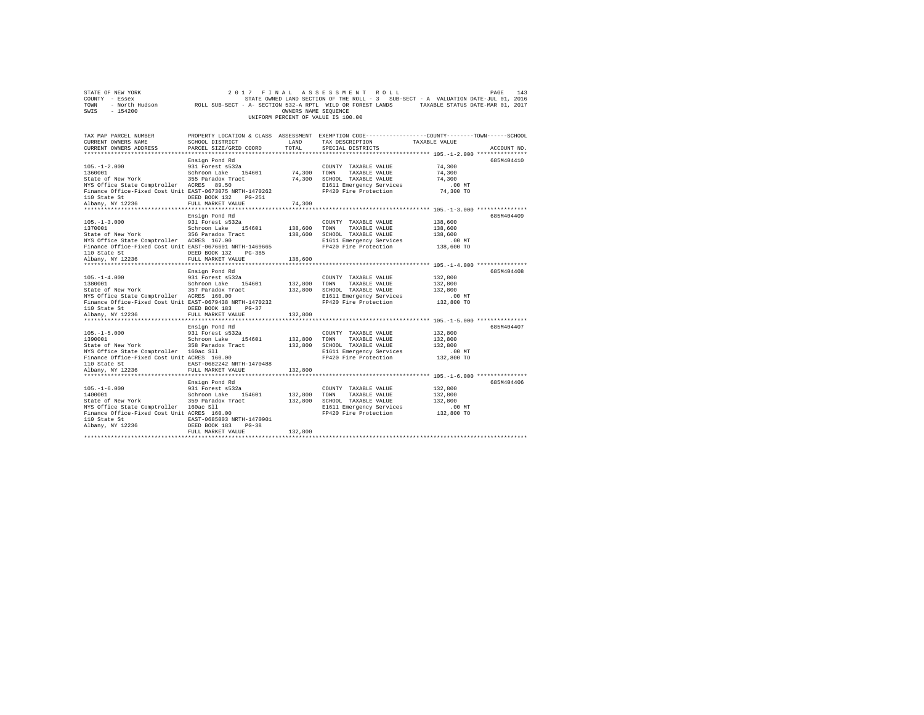| COUNTY - Essex<br>TOWN<br>SWIS - 154200                                                                                                                                                                                                                                                                                                                                       |                                                                            | OWNERS NAME SEQUENCE | UNIFORM PERCENT OF VALUE IS 100.00                                                                                                                           |                                                                                                                                                                                                                                                                                                                                                                                                                                                                                                                                                         |
|-------------------------------------------------------------------------------------------------------------------------------------------------------------------------------------------------------------------------------------------------------------------------------------------------------------------------------------------------------------------------------|----------------------------------------------------------------------------|----------------------|--------------------------------------------------------------------------------------------------------------------------------------------------------------|---------------------------------------------------------------------------------------------------------------------------------------------------------------------------------------------------------------------------------------------------------------------------------------------------------------------------------------------------------------------------------------------------------------------------------------------------------------------------------------------------------------------------------------------------------|
| TAX MAP PARCEL NUMBER                                                                                                                                                                                                                                                                                                                                                         |                                                                            |                      |                                                                                                                                                              | PROPERTY LOCATION & CLASS ASSESSMENT EXEMPTION CODE----------------COUNTY-------TOWN-----SCHOOL<br>$\begin{array}{lllll} \texttt{CURERENT} & \texttt{OMNERS} & \texttt{NANE} & \texttt{SCHOOL DISTRIBUT} & \texttt{LAND} & \texttt{TAX} & \texttt{DSECRIPTION} & \texttt{TAXABLE} & \texttt{VALUE} & \texttt{ACCOURT NO.} \\ \texttt{CURRENT} & \texttt{OMNERS} & \texttt{PARECE} & \texttt{SPECHIP COORD} & \texttt{TOTR} & \texttt{SPECHIP TION} & \texttt{ACCOURT NO.} & \texttt{ACCOURT NO.} & \texttt{ACCOURT MO.} \\ & \texttt{H1111111111111111$ |
|                                                                                                                                                                                                                                                                                                                                                                               |                                                                            |                      |                                                                                                                                                              |                                                                                                                                                                                                                                                                                                                                                                                                                                                                                                                                                         |
| 105.-1-2.000 931 Forest s532a<br>1360001<br>State of New York        355 Paradox Tract         74,300   SCHOOL TAXABLE VALUE        74,300         174,300<br>NYS Office State Comptroller   ACRES   89.50                    E1611 Emergency Services         .00 MT<br>NYS Office State Comptroller ACRES 89.50<br>Finance Office-Fixed Cost Unit EAST-0673075 NRTH-1470262 | Ensign Pond Rd<br>Schroon Lake 154601 74,300 TOWN                          |                      | COUNTY TAXABLE VALUE 74,300<br>TAXABLE VALUE 74,300<br>FP420 Fire Protection 74,300 TO                                                                       | 685M404410                                                                                                                                                                                                                                                                                                                                                                                                                                                                                                                                              |
|                                                                                                                                                                                                                                                                                                                                                                               |                                                                            |                      |                                                                                                                                                              |                                                                                                                                                                                                                                                                                                                                                                                                                                                                                                                                                         |
|                                                                                                                                                                                                                                                                                                                                                                               |                                                                            |                      |                                                                                                                                                              |                                                                                                                                                                                                                                                                                                                                                                                                                                                                                                                                                         |
| $105 - 1 - 3.000$ 931 Forest s532a<br>1370001<br>State of New York 356 Paradox Tract 138,600<br>NYS Office State Comptroller ACRES 167.00<br>Finance Office-Fixed Cost Unit EAST-0676601 NRTH-1469665<br>110 State St                                                                                                                                                         | Ensign Pond Rd<br>Schroon Lake 154601 138,600 TOWN<br>DEED BOOK 132 PG-385 |                      | COUNTY TAXABLE VALUE 138,600<br>TAXABLE VALUE 138,600<br>SCHOOL TAXABLE VALUE 138,600<br>E1611 Emergency Services .00 MT<br>FP420 Fire Protection 138,600 TO | 685M404409                                                                                                                                                                                                                                                                                                                                                                                                                                                                                                                                              |
| Albany, NY 12236                                                                                                                                                                                                                                                                                                                                                              | FULL MARKET VALUE                                                          | 138,600              |                                                                                                                                                              |                                                                                                                                                                                                                                                                                                                                                                                                                                                                                                                                                         |
| 105.-1-4.000 2011 2012-01-01-02<br>132,800 2011 2021 2021 2021 2046 154601 132,800 2010 2021 2021 203,800<br>132,800 2021 2021 2022 2021 132,800 2021 2021 2023 2030 2040 2041 2022 2030 2040 2041 2022 2030 2040 2041 202                                                                                                                                                    | Ensign Pond Rd                                                             |                      | COUNTY TAXABLE VALUE 132,800                                                                                                                                 | 685M404408                                                                                                                                                                                                                                                                                                                                                                                                                                                                                                                                              |
|                                                                                                                                                                                                                                                                                                                                                                               |                                                                            |                      |                                                                                                                                                              |                                                                                                                                                                                                                                                                                                                                                                                                                                                                                                                                                         |
|                                                                                                                                                                                                                                                                                                                                                                               |                                                                            |                      | CHOOL TAXABLE VALUE<br>E1611 Emergency Services 132,800<br>FP420 Fire Protection 132,800 TO                                                                  |                                                                                                                                                                                                                                                                                                                                                                                                                                                                                                                                                         |
| NYS Office State Comptroller ACRES 160.00                                                                                                                                                                                                                                                                                                                                     |                                                                            |                      |                                                                                                                                                              |                                                                                                                                                                                                                                                                                                                                                                                                                                                                                                                                                         |
| Finance Office-Fixed Cost Unit EAST-0679438 NRTH-1470232<br>110 State St<br>Albany, NY 12236 FULL MARKET VALUE                                                                                                                                                                                                                                                                | DEED BOOK 183 PG-37                                                        | 132,800              |                                                                                                                                                              |                                                                                                                                                                                                                                                                                                                                                                                                                                                                                                                                                         |
|                                                                                                                                                                                                                                                                                                                                                                               |                                                                            |                      |                                                                                                                                                              |                                                                                                                                                                                                                                                                                                                                                                                                                                                                                                                                                         |

Ensign Pond Rd 685M404407<br>
Pali Porest 5522<br>
Ensign Pond Rd 685M404407<br>
Schroon Lake 154601<br>
State of New York 358 Paradox Tract 132,800<br>
State of New York 358 Paradox Tract 132,800<br>
State of New York 358 Paradox Tract 132

Finance Office-Fixed Cost Unit ACRES 160.00 FP420 Fire Protection 132,800 TO 110 State St EAST-0682242 NRTH-1470488 Albany, NY 12236 FULL MARKET VALUE 132,800 \*\*\*\*\*\*\*\*\*\*\*\*\*\*\*\*\*\*\*\*\*\*\*\*\*\*\*\*\*\*\*\*\*\*\*\*\*\*\*\*\*\*\*\*\*\*\*\*\*\*\*\*\*\*\*\*\*\*\*\*\*\*\*\*\*\*\*\*\*\*\*\*\*\*\*\*\*\*\*\*\*\*\*\*\*\*\*\*\*\*\*\*\*\*\*\*\*\*\*\*\*\*\* 105.-1-6.000 \*\*\*\*\*\*\*\*\*\*\*\*\*\*\* Ensign Pond Rd 685M404406

FULL MARKET VALUE 132,800 \*\*\*\*\*\*\*\*\*\*\*\*\*\*\*\*\*\*\*\*\*\*\*\*\*\*\*\*\*\*\*\*\*\*\*\*\*\*\*\*\*\*\*\*\*\*\*\*\*\*\*\*\*\*\*\*\*\*\*\*\*\*\*\*\*\*\*\*\*\*\*\*\*\*\*\*\*\*\*\*\*\*\*\*\*\*\*\*\*\*\*\*\*\*\*\*\*\*\*\*\*\*\*\*\*\*\*\*\*\*\*\*\*\*\*\*\*\*\*\*\*\*\*\*\*\*\*\*\*\*\*\*

105.-1-5.000 931 Forest s532a COUNTY TAXABLE VALUE 132,800 1390001 Schroon Lake 154601 132,800 TOWN TAXABLE VALUE 132,800 State of New York 358 Paradox Tract 132,800 SCHOOL TAXABLE VALUE 132,800 NYS Office State Comptroller 160ac Sll E1611 Emergency Services .00 MT

105.-1-6.000 931 Forest s532a COUNTY TAXABLE VALUE 132,800 1400001 Schroon Lake 154601 132,800 TOWN TAXABLE VALUE 132,800 State of New York 359 Paradox Tract 132,800 SCHOOL TAXABLE VALUE 132,800 NYS Office State Comptroller 160ac Sll E1611 Emergency Services .00 MT Finance Office-Fixed Cost Unit ACRES 160.00 FP420 Fire Protection 132,800 TO

DEED BOOK 183 PG-38<br>FULL MARKET VALUE

Finance britice-Fixed Cost blit ACRS 100.00<br>110 State St EAST-0685003 NRTH-1470901<br>Albany, NY 12236 DEED BOOK 183 PG-38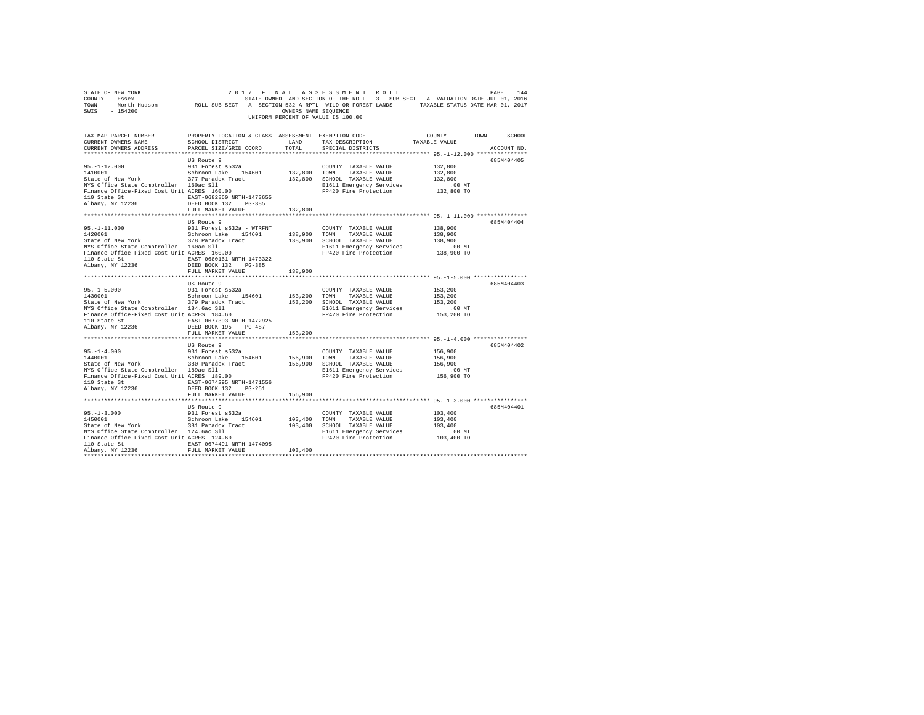| UNIFORM PERCENT OF VALUE IS 100.00                                                                                                                                                                                                                                                                             |                                                       |                                    |                                                                                                                                                                                                                                                                                                                                                |                                                                                                                    |             |
|----------------------------------------------------------------------------------------------------------------------------------------------------------------------------------------------------------------------------------------------------------------------------------------------------------------|-------------------------------------------------------|------------------------------------|------------------------------------------------------------------------------------------------------------------------------------------------------------------------------------------------------------------------------------------------------------------------------------------------------------------------------------------------|--------------------------------------------------------------------------------------------------------------------|-------------|
| TAX MAP PARCEL NUMBER PROPERTY LOCATION & CLASS ASSESSMENT EXEMPTION CODE--------------COUNTY-------TOWN-----SCHOOL<br>CURRENT OWNERS NAME                                                                                                                                                                     |                                                       |                                    | $\begin{tabular}{lllllllllll} \texttt{SCHOOL DISTRIBUT} & & & & & \texttt{LAND} & & \texttt{TAX} \texttt{DESCRIPTION} & & & \texttt{TAXABLE VALUE} \\ \texttt{PARCHS} & \texttt{SITR} / \texttt{QRTD} & \texttt{TOPD} & & \texttt{TOTAL} & & \texttt{SPRETAT} \texttt{D} \texttt{ISTR} \texttt{ICTS} & & & \end{tabular}$<br>SPECIAL DISTRICTS |                                                                                                                    | ACCOUNT NO. |
| NYS Office State Comptroller 160ac Sll<br>Finance Office-Fixed Cost Unit ACRES 160.00<br>110 State St $\begin{tabular}{lllllllll} \texttt{IBAST-0682860 NRTH-1473655} \\ \texttt{Albany, NY 12236} & & \texttt{DEED BOK 132} & \texttt{PG-385} \\ \end{tabular}$                                               | US Route 9<br>FULL MARKET VALUE                       | 132,800                            | COUNTY TAXABLE VALUE<br>TAXABLE VALUE<br>132,800 SCHOOL TAXABLE VALUE<br>E1611 Emergency Services .00 MT<br>FP420 Fire Protection 132,800 TO                                                                                                                                                                                                   | 132,800<br>132,800<br>132,800                                                                                      | 685M404405  |
|                                                                                                                                                                                                                                                                                                                |                                                       |                                    |                                                                                                                                                                                                                                                                                                                                                |                                                                                                                    |             |
| 110 State St $\begin{array}{l} \texttt{EAST-0680161 NRTH-1473322} \\ \texttt{Albany, NY 12236} \end{array}$ DEED BOOK 132 PG-385                                                                                                                                                                               | US Route 9                                            |                                    |                                                                                                                                                                                                                                                                                                                                                |                                                                                                                    | 685M404404  |
|                                                                                                                                                                                                                                                                                                                | FULL MARKET VALUE 138,900                             |                                    |                                                                                                                                                                                                                                                                                                                                                |                                                                                                                    |             |
|                                                                                                                                                                                                                                                                                                                |                                                       |                                    |                                                                                                                                                                                                                                                                                                                                                |                                                                                                                    |             |
| ${\small \begin{tabular}{lcccccc} 110 State St & & & & \tt EAST-0677393 NRTH-1472925 \\ Albany, NY & 12236 & & & & \tt DEED BOK & 195 & PG-487 \\ \end{tabular}}$                                                                                                                                              |                                                       |                                    |                                                                                                                                                                                                                                                                                                                                                | .00 MT<br>153,200 TO                                                                                               | 685M404403  |
|                                                                                                                                                                                                                                                                                                                | FULL MARKET VALUE                                     | 153,200                            |                                                                                                                                                                                                                                                                                                                                                |                                                                                                                    |             |
| ${\small \begin{tabular}{lcccccc} 110 & State & \texttt{St} & \texttt{EAST-0674295 NRTH-1471556} \\ \texttt{Albany, NY & 12236} & & & & \texttt{DEED BOOK} & 132 & PG-251 \end{tabular}}$                                                                                                                      | US Route 9                                            |                                    |                                                                                                                                                                                                                                                                                                                                                |                                                                                                                    | 685M404402  |
|                                                                                                                                                                                                                                                                                                                | FULL MARKET VALUE                                     | 156,900                            |                                                                                                                                                                                                                                                                                                                                                |                                                                                                                    |             |
| $95. - 1 - 3.000$<br>1450001<br>190001 1001 201001 201001 201001 201001 201001 201001 201001 201001 201001 201001 201001 201001 201001 201001<br>The State of New York 381 Paradox Track 101,400 5CHOOL TAXABLE VALUE<br>Eliance of fice-Fixed Cost Unit ACRES 124.6<br>110 State St EAST-0674491 NRTH-1474095 | US Route 9<br>931 Forest s532a<br>Schroon Lake 154601 | ******************<br>103,400 TOWN | COUNTY TAXABLE VALUE<br>TAXABLE VALUE                                                                                                                                                                                                                                                                                                          | **************************** 95.-1-3.000 ****************<br>103,400<br>103,400<br>103,400<br>00 MT.<br>103,400 TO | 685M404401  |
| Albany, NY 12236                                                                                                                                                                                                                                                                                               | FULL MARKET VALUE                                     | 103,400                            |                                                                                                                                                                                                                                                                                                                                                |                                                                                                                    |             |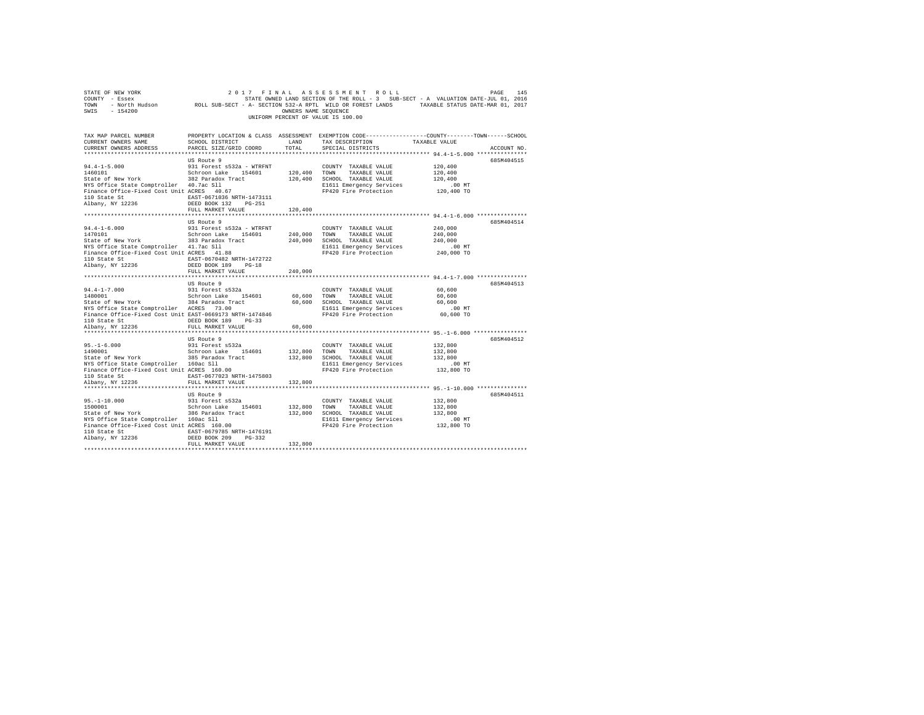| COUNTY - ESSEX UNDER-JUL 01, 2016<br>TOWN - NOYLD HUGSON DATE-JUL OI ESSEXT - A- SECTION S32-A RPTL WILD OR FOREST LANDS - TAXABLE STATUS DATE-MAR 01, 2017<br>SWIS - 154200<br>SWIS - 154200                                                                                                                                                                                                                                                                                                                         |                           |                       |                                                                                   |            |             |
|-----------------------------------------------------------------------------------------------------------------------------------------------------------------------------------------------------------------------------------------------------------------------------------------------------------------------------------------------------------------------------------------------------------------------------------------------------------------------------------------------------------------------|---------------------------|-----------------------|-----------------------------------------------------------------------------------|------------|-------------|
|                                                                                                                                                                                                                                                                                                                                                                                                                                                                                                                       |                           |                       | UNIFORM PERCENT OF VALUE IS 100.00                                                |            |             |
| TAX MAP PARCEL NUMBER     PROPERTY LOCATION & CLASS ASSESSMENT EXEMPTION CODE---------------COUNTY-------TOWN------SCHOOL DISTRICT     LAND   TAX DESCRIPTION     TAXABLE VALUE<br>CURRENT OWNERS ADDRESS                                                                                                                                                                                                                                                                                                             | PARCEL SIZE/GRID COORD    | TOTAL                 | TAX DESCRIPTION TAXABLE VALUE<br>SPECIAL DISTRICTS                                |            | ACCOUNT NO. |
|                                                                                                                                                                                                                                                                                                                                                                                                                                                                                                                       |                           |                       |                                                                                   |            |             |
|                                                                                                                                                                                                                                                                                                                                                                                                                                                                                                                       |                           |                       |                                                                                   |            | 685M404515  |
| $\begin{tabular}{l c c c c c} \hline \texttt{CURKEN} & \texttt{UDR} & \texttt{USE} & \texttt{94.4--1-5.000} & \texttt{93.801} & \texttt{16.81} & \texttt{16.81} & \texttt{16.81} & \texttt{16.81} & \texttt{16.81} & \texttt{16.81} & \texttt{16.81} & \texttt{16.81} & \texttt{16.81} & \texttt{16.81} & \texttt{16.81} & \texttt{16.81} & \texttt{16.81} &$<br>${\small \begin{tabular}{lcccccc} 110 State St & & & EAST-0671036 NRTH-1473111 \\ Albany, NY & 12236 & & & DEED BOOK 132 & PG-251 \\ \end{tabular}}$ |                           |                       |                                                                                   |            |             |
|                                                                                                                                                                                                                                                                                                                                                                                                                                                                                                                       | FULL MARKET VALUE         | 120,400               |                                                                                   |            |             |
|                                                                                                                                                                                                                                                                                                                                                                                                                                                                                                                       |                           |                       |                                                                                   |            |             |
|                                                                                                                                                                                                                                                                                                                                                                                                                                                                                                                       | US Route 9                |                       |                                                                                   |            | 685M404514  |
|                                                                                                                                                                                                                                                                                                                                                                                                                                                                                                                       |                           |                       |                                                                                   | 240,000    |             |
| $14.4-1-6.000$ 931 Forest and Schroom Lake 154601<br>1470101 Schroom Lake 154601 240,000 TOWN TAXABLE VALUE<br>State of New York 363 Paradox Tract 240,000 SCHOOL TAXABLE VALUE                                                                                                                                                                                                                                                                                                                                       |                           |                       |                                                                                   | 240,000    |             |
|                                                                                                                                                                                                                                                                                                                                                                                                                                                                                                                       |                           |                       |                                                                                   | 240,000    |             |
| NYS Office State Comptroller 41.7ac Sll<br>Finance Office-Fixed Cost Unit ACRES 41.88                                                                                                                                                                                                                                                                                                                                                                                                                                 |                           |                       | E1611 Emergency Services                                                          | .00 MT     |             |
|                                                                                                                                                                                                                                                                                                                                                                                                                                                                                                                       |                           |                       | FP420 Fire Protection                                                             | 240,000 TO |             |
| 110 State St<br>110 State St<br>110 State St<br>12236 DEED BOOK 189 PG-18                                                                                                                                                                                                                                                                                                                                                                                                                                             |                           |                       |                                                                                   |            |             |
|                                                                                                                                                                                                                                                                                                                                                                                                                                                                                                                       | FULL MARKET VALUE         | 240,000               |                                                                                   |            |             |
|                                                                                                                                                                                                                                                                                                                                                                                                                                                                                                                       |                           |                       |                                                                                   |            |             |
|                                                                                                                                                                                                                                                                                                                                                                                                                                                                                                                       | US Route 9                |                       |                                                                                   |            | 685M404513  |
|                                                                                                                                                                                                                                                                                                                                                                                                                                                                                                                       |                           |                       | COUNTY TAXABLE VALUE 60,600                                                       |            |             |
|                                                                                                                                                                                                                                                                                                                                                                                                                                                                                                                       |                           |                       |                                                                                   | 60,600     |             |
|                                                                                                                                                                                                                                                                                                                                                                                                                                                                                                                       |                           |                       |                                                                                   | 60,600     |             |
|                                                                                                                                                                                                                                                                                                                                                                                                                                                                                                                       |                           |                       |                                                                                   | $.00$ MT   |             |
| 94.4-1-7.000 9331 Forest 8532a<br>1480001 9331 Forest 8532a<br>Schroon Lake 154601 60,600 TOWN TAXABLE VALUE<br>State of New York 384 Paradox Tract 60,600 SCHOOL TAXABLE VALUE<br>STATE ACRES 73.00 E1611 Emergency Services<br>Finance                                                                                                                                                                                                                                                                              |                           |                       |                                                                                   | 60,600 TO  |             |
|                                                                                                                                                                                                                                                                                                                                                                                                                                                                                                                       | DEED BOOK 189 PG-33       |                       |                                                                                   |            |             |
| 110 State St<br>Albany, NY 12236                                                                                                                                                                                                                                                                                                                                                                                                                                                                                      | FULL MARKET VALUE         | 60,600                |                                                                                   |            |             |
|                                                                                                                                                                                                                                                                                                                                                                                                                                                                                                                       |                           |                       |                                                                                   |            |             |
|                                                                                                                                                                                                                                                                                                                                                                                                                                                                                                                       | US Route 9                |                       |                                                                                   |            | 685M404512  |
|                                                                                                                                                                                                                                                                                                                                                                                                                                                                                                                       |                           | COUNT<br>132,800 TOWN | COUNTY TAXABLE VALUE                                                              | 132,800    |             |
|                                                                                                                                                                                                                                                                                                                                                                                                                                                                                                                       |                           |                       | TAXABLE VALUE                                                                     | 132,800    |             |
|                                                                                                                                                                                                                                                                                                                                                                                                                                                                                                                       |                           |                       | 132,800 SCHOOL TAXABLE VALUE<br>E1611 Emergency Services<br>FP420 Fire Protection | 132,800    |             |
|                                                                                                                                                                                                                                                                                                                                                                                                                                                                                                                       |                           |                       |                                                                                   | $.00$ MT   |             |
|                                                                                                                                                                                                                                                                                                                                                                                                                                                                                                                       | EAST-0677023 NRTH-1475803 |                       |                                                                                   | 132,800 TO |             |
| 110 State St<br>Albany, NY 12236                                                                                                                                                                                                                                                                                                                                                                                                                                                                                      | FULL MARKET VALUE         |                       |                                                                                   |            |             |
|                                                                                                                                                                                                                                                                                                                                                                                                                                                                                                                       |                           | 132,800               |                                                                                   |            |             |
|                                                                                                                                                                                                                                                                                                                                                                                                                                                                                                                       | US Route 9                |                       |                                                                                   |            | 685M404511  |
|                                                                                                                                                                                                                                                                                                                                                                                                                                                                                                                       |                           |                       | COUNTY TAXABLE VALUE                                                              | 132,800    |             |
|                                                                                                                                                                                                                                                                                                                                                                                                                                                                                                                       |                           |                       |                                                                                   | 132,800    |             |
| 95.-1-10.000<br>931 Forest a532a<br>1500001 Scheep Scheep Scheep State of New York Scheep State 154601<br>586 Paradox Tract 154601<br>937 State of New York Scheep State Sine 2012<br>Finance Office-Fixed Cost Unit ACRES 160.00<br>Pi                                                                                                                                                                                                                                                                               |                           |                       | 132,800 TOWN TAXABLE VALUE<br>132,800 SCHOOL TAXABLE VALUE                        | 132,800    |             |
|                                                                                                                                                                                                                                                                                                                                                                                                                                                                                                                       |                           |                       | E1611 Emergency Services<br>FP420 Fire Protection 132,800 TO                      |            |             |
|                                                                                                                                                                                                                                                                                                                                                                                                                                                                                                                       |                           |                       |                                                                                   |            |             |
|                                                                                                                                                                                                                                                                                                                                                                                                                                                                                                                       |                           |                       |                                                                                   |            |             |
| 110 State St<br>235 NETH-0679785 NRTH-1476191<br>236 DEED BOOK 209 PG-332                                                                                                                                                                                                                                                                                                                                                                                                                                             |                           |                       |                                                                                   |            |             |
|                                                                                                                                                                                                                                                                                                                                                                                                                                                                                                                       | FULL MARKET VALUE         | 132,800               |                                                                                   |            |             |
|                                                                                                                                                                                                                                                                                                                                                                                                                                                                                                                       |                           |                       |                                                                                   |            |             |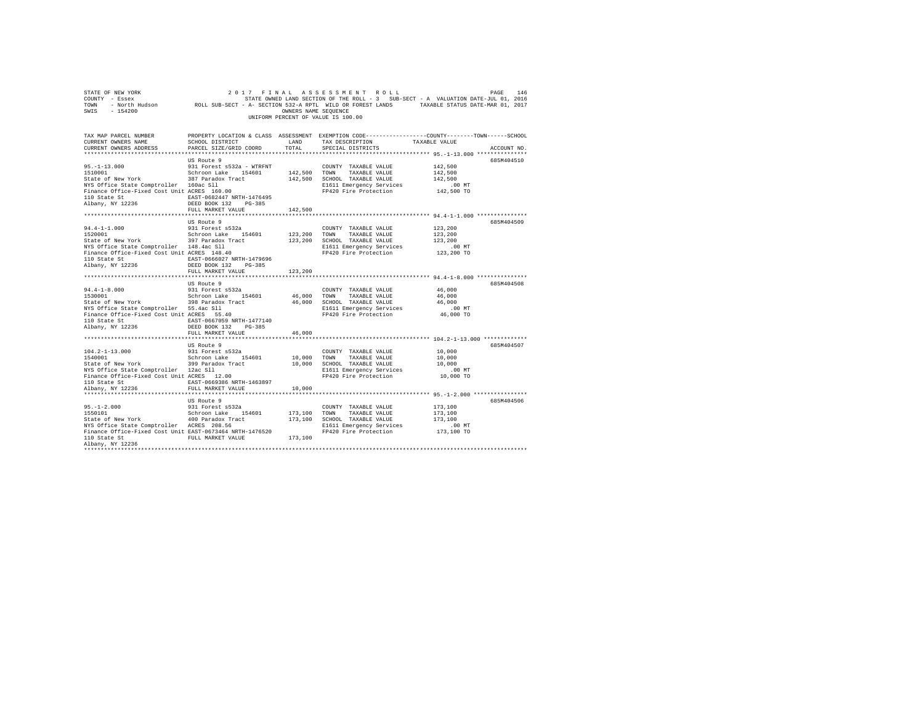| $\begin{tabular}{lllllllllll} \texttt{STATE OF NEW YORK} & \texttt{DRSE} & \texttt{146} \\ \texttt{CONT} & \texttt{2017} & \texttt{F IN AL} & \texttt{AS SE S S M EN T} & \texttt{R O LL} & \texttt{PAGE} & \texttt{146} \\ \texttt{CONT} & \texttt{SITATE} & \texttt{OMNED} & \texttt{S32-AR P TIL} & \texttt{NILD} & \texttt{R} & \texttt{SUE-SET} & - \texttt{A} & \texttt{VALUATION} & \texttt{DATE-JUL} & \texttt{01, 2016} \\ \texttt{TOMN}$ |                                                                        |               | UNIFORM PERCENT OF VALUE IS 100.00                                                                                                      |                                                                                                                                  |  |
|----------------------------------------------------------------------------------------------------------------------------------------------------------------------------------------------------------------------------------------------------------------------------------------------------------------------------------------------------------------------------------------------------------------------------------------------------|------------------------------------------------------------------------|---------------|-----------------------------------------------------------------------------------------------------------------------------------------|----------------------------------------------------------------------------------------------------------------------------------|--|
| TAX MAP PARCEL NUMBER<br>CURRENT OWNERS NAME<br>CURRENT OWNERS ADDRESS                                                                                                                                                                                                                                                                                                                                                                             | SCHOOL DISTRICT<br>PARCEL SIZE/GRID COORD                              | LAND<br>TOTAL | TAX DESCRIPTION<br>SPECIAL DISTRICTS                                                                                                    | PROPERTY LOCATION & CLASS ASSESSMENT EXEMPTION CODE----------------COUNTY-------TOWN------SCHOOL<br>TAXABLE VALUE<br>ACCOUNT NO. |  |
|                                                                                                                                                                                                                                                                                                                                                                                                                                                    | US Route 9                                                             |               |                                                                                                                                         | 685M404510                                                                                                                       |  |
| 95.-1-13.000 931 Forest a532a - WTRFNT<br>150001 08:01 08:01 0001 1 ake 154601<br>State of New York 387 Paradox Tract<br>NTS Office State Comptroller 160ac 511<br>Finance Office-Fixed Cost Unit ACRES 160.00                                                                                                                                                                                                                                     |                                                                        |               | COUNTY TAXABLE VALUE<br>142,500 TOWN TAXABLE VALUE<br>142,500 SCHOOL TAXABLE VALUE<br>E1611 Emergency Services<br>FP420 Fire Protection | 142,500<br>142,500<br>142,500<br>$.00$ MT<br>142,500 TO                                                                          |  |
|                                                                                                                                                                                                                                                                                                                                                                                                                                                    |                                                                        |               |                                                                                                                                         |                                                                                                                                  |  |
| 110 State St<br>$\text{EAST}-0682447 \text{ NRTH}-1476495$<br>$\text{DEED BOK } 132 \text{ PG}-385$<br>$\text{DEED BOK } 132 \text{ PG}-385$<br>$\text{CUT } \text{ MNNEM } \text{ TUV}$                                                                                                                                                                                                                                                           | FULL MARKET VALUE                                                      | 142,500       |                                                                                                                                         |                                                                                                                                  |  |
|                                                                                                                                                                                                                                                                                                                                                                                                                                                    |                                                                        |               |                                                                                                                                         |                                                                                                                                  |  |
|                                                                                                                                                                                                                                                                                                                                                                                                                                                    | US Route 9                                                             |               |                                                                                                                                         | 685M404509                                                                                                                       |  |
| 94.4-1-1.000 931 Forest s532a<br>1520001 Schroon Lake 154601<br>State of New York 397 Paradox Tract                                                                                                                                                                                                                                                                                                                                                |                                                                        |               | COUNTY TAXABLE VALUE<br>123,200 TOWN TAXABLE VALUE                                                                                      | 123,200<br>123,200                                                                                                               |  |
|                                                                                                                                                                                                                                                                                                                                                                                                                                                    |                                                                        |               | 123,200 SCHOOL TAXABLE VALUE                                                                                                            | 123,200                                                                                                                          |  |
| NYS Office State Comptroller 148.4ac Sll<br>Finance Office-Fixed Cost Unit ACRES 148.40<br>110 State St<br>Albany, NY 12236                                                                                                                                                                                                                                                                                                                        | EAST-0666027 NRTH-1479696<br>DEED BOOK 132 PG-385<br>FULL MARKET VALUE | 123,200       | E1611 Emergency Services<br>FP420 Fire Protection                                                                                       | .00 MT<br>123,200 TO                                                                                                             |  |
|                                                                                                                                                                                                                                                                                                                                                                                                                                                    |                                                                        |               |                                                                                                                                         |                                                                                                                                  |  |
|                                                                                                                                                                                                                                                                                                                                                                                                                                                    | US Route 9                                                             |               |                                                                                                                                         | 685M404508                                                                                                                       |  |
| $94.4 - 1 - 8.000$<br>1530001                                                                                                                                                                                                                                                                                                                                                                                                                      | 931 Forest s532a                                                       |               | COUNTY TAXABLE VALUE                                                                                                                    | 46,000                                                                                                                           |  |
| 1530001                                                                                                                                                                                                                                                                                                                                                                                                                                            | Schroon Lake 154601                                                    |               | 46,000 TOWN TAXABLE VALUE                                                                                                               | 46,000                                                                                                                           |  |
| State of New York 398 Paradox Tract<br>NYS Office State Comptroller 55.4ac Sll<br>Finance Office-Fixed Cost Unit ACRES 55.40                                                                                                                                                                                                                                                                                                                       |                                                                        |               | 46,000 SCHOOL TAXABLE VALUE                                                                                                             | 46,000                                                                                                                           |  |
|                                                                                                                                                                                                                                                                                                                                                                                                                                                    |                                                                        |               | E1611 Emergency Services<br>FP420 Fire Protection                                                                                       | $.00$ MT<br>46,000 TO                                                                                                            |  |
| 110 State St 667059 NRTH-1477140                                                                                                                                                                                                                                                                                                                                                                                                                   |                                                                        |               |                                                                                                                                         |                                                                                                                                  |  |
| Albany, NY 12236                                                                                                                                                                                                                                                                                                                                                                                                                                   | DEED BOOK 132 PG-385                                                   |               |                                                                                                                                         |                                                                                                                                  |  |
|                                                                                                                                                                                                                                                                                                                                                                                                                                                    | FULL MARKET VALUE                                                      | 46,000        |                                                                                                                                         |                                                                                                                                  |  |
|                                                                                                                                                                                                                                                                                                                                                                                                                                                    |                                                                        |               |                                                                                                                                         |                                                                                                                                  |  |
|                                                                                                                                                                                                                                                                                                                                                                                                                                                    | US Route 9                                                             |               |                                                                                                                                         | 685M404507                                                                                                                       |  |
| $\begin{array}{ccccc} 104.2\text{--}1\text{--}13.000 && 931 \text{ Forest s}532a \\ 1540001 && 8\text{chroon Lake} && 154601 \end{array}$                                                                                                                                                                                                                                                                                                          |                                                                        |               | COUNTY TAXABLE VALUE<br>10,000 TOWN TAXABLE VALUE                                                                                       | 10,000<br>10,000                                                                                                                 |  |
| 1540001 Schroon Lake 154601<br>State of New York 399 Paradox Tract<br>NYS Office State Comptroller 12ac S11<br>Finance Office-Fixed Cost Unit ACRES 12.00                                                                                                                                                                                                                                                                                          |                                                                        |               | 10,000 SCHOOL TAXABLE VALUE                                                                                                             | 10,000                                                                                                                           |  |
|                                                                                                                                                                                                                                                                                                                                                                                                                                                    |                                                                        |               |                                                                                                                                         |                                                                                                                                  |  |
|                                                                                                                                                                                                                                                                                                                                                                                                                                                    |                                                                        |               | E1611 Emergency Services .00 MT<br>FP420 Fire Protection .000 TO                                                                        |                                                                                                                                  |  |
| 110 State St EAST-0669386 NRTH-1463897                                                                                                                                                                                                                                                                                                                                                                                                             |                                                                        |               |                                                                                                                                         |                                                                                                                                  |  |
| Albany, NY 12236                                                                                                                                                                                                                                                                                                                                                                                                                                   | FULL MARKET VALUE                                                      | 10,000        |                                                                                                                                         |                                                                                                                                  |  |
|                                                                                                                                                                                                                                                                                                                                                                                                                                                    |                                                                        |               |                                                                                                                                         | 685M404506                                                                                                                       |  |
|                                                                                                                                                                                                                                                                                                                                                                                                                                                    | US Route 9<br>931 Forest s532a                                         |               | COUNTY TAXABLE VALUE                                                                                                                    | 173,100                                                                                                                          |  |
| $95. -1 - 2.000$<br>1550101<br>1550101                                                                                                                                                                                                                                                                                                                                                                                                             | Schroon Lake 154601                                                    |               | 173,100 TOWN TAXABLE VALUE                                                                                                              | 173,100                                                                                                                          |  |
| State of New York 400 Paradox Tract<br>NYS Office State Comptroller ACRES 208.56                                                                                                                                                                                                                                                                                                                                                                   |                                                                        |               | 173,100 SCHOOL TAXABLE VALUE                                                                                                            | 173,100                                                                                                                          |  |
|                                                                                                                                                                                                                                                                                                                                                                                                                                                    |                                                                        |               | E1611 Emergency Services                                                                                                                | .00 MT                                                                                                                           |  |
| Finance Office-Fixed Cost Unit EAST-0673464 NRTH-1476520                                                                                                                                                                                                                                                                                                                                                                                           |                                                                        |               | FP420 Fire Protection                                                                                                                   | 173,100 TO                                                                                                                       |  |
| 110 State St<br>Albany, NY 12236                                                                                                                                                                                                                                                                                                                                                                                                                   | FULL MARKET VALUE                                                      | 173,100       |                                                                                                                                         |                                                                                                                                  |  |
|                                                                                                                                                                                                                                                                                                                                                                                                                                                    |                                                                        |               |                                                                                                                                         |                                                                                                                                  |  |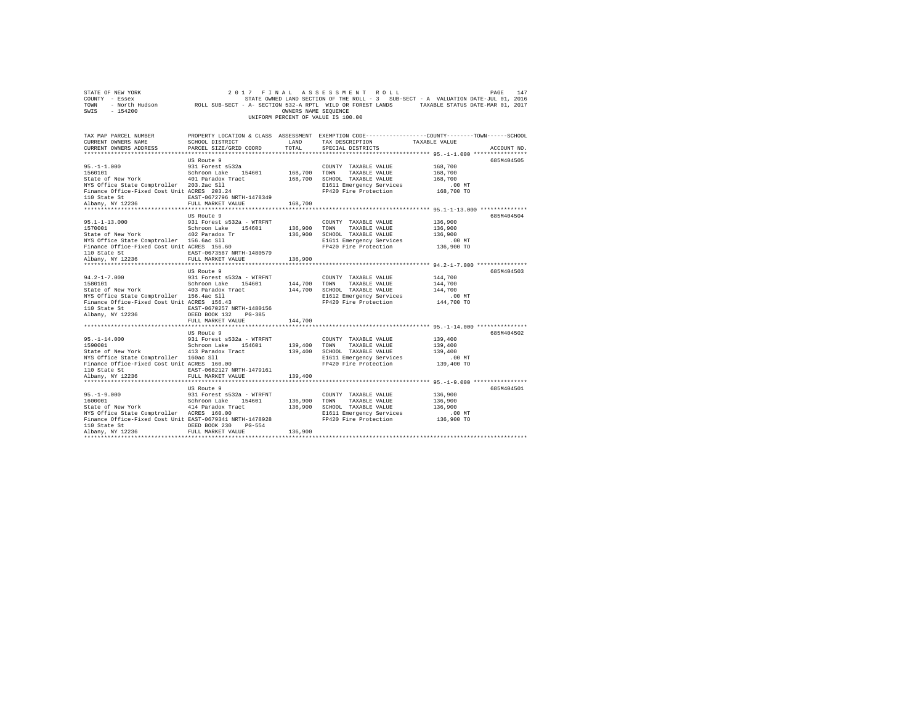| COUNTY - Essex<br>TOWN<br>SWIS<br>$-154200$              | - North Hudson ROLL SUB-SECT - A- SECTION 532-A RPTL WILD OR FOREST LANDS TAXABLE STATUS DATE-MAR 01, 2017 | OWNERS NAME SEQUENCE    | STATE OWNED LAND SECTION OF THE ROLL - 3 SUB-SECT - A VALUATION DATE-JUL 01, 2016               |                     |             |
|----------------------------------------------------------|------------------------------------------------------------------------------------------------------------|-------------------------|-------------------------------------------------------------------------------------------------|---------------------|-------------|
|                                                          |                                                                                                            |                         | UNIFORM PERCENT OF VALUE IS 100.00                                                              |                     |             |
| TAX MAP PARCEL NUMBER                                    |                                                                                                            |                         | PROPERTY LOCATION & CLASS ASSESSMENT EXEMPTION CODE---------------COUNTY-------TOWN------SCHOOL |                     |             |
| CURRENT OWNERS NAME                                      | SCHOOL DISTRICT                                                                                            | LAND                    | TAX DESCRIPTION                                                                                 | TAXABLE VALUE       |             |
| CURRENT OWNERS ADDRESS                                   | PARCEL SIZE/GRID COORD                                                                                     | TOTAL.                  | SPECIAL DISTRICTS                                                                               |                     | ACCOUNT NO. |
|                                                          |                                                                                                            |                         |                                                                                                 |                     |             |
|                                                          | US Route 9                                                                                                 |                         |                                                                                                 |                     | 685M404505  |
| $95. -1 - 1.000$<br>1560101                              | 931 Forest s532a<br>Schroon Lake 154601                                                                    | 168,700                 | COUNTY TAXABLE VALUE<br>TOWN<br>TAXABLE VALUE                                                   | 168,700<br>168,700  |             |
| State of New York                                        | 401 Paradox Tract                                                                                          | 168,700                 | SCHOOL TAXABLE VALUE                                                                            | 168,700             |             |
| NYS Office State Comptroller 203.2ac Sll                 |                                                                                                            |                         | E1611 Emergency Services                                                                        | .00 MT              |             |
| Finance Office-Fixed Cost Unit ACRES 203.24              |                                                                                                            |                         | FP420 Fire Protection                                                                           | 168,700 TO          |             |
| 110 State St                                             | EAST-0672796 NRTH-1478349                                                                                  |                         |                                                                                                 |                     |             |
| Albany, NY 12236                                         | FULL MARKET VALUE 168,700                                                                                  |                         |                                                                                                 |                     |             |
|                                                          |                                                                                                            |                         |                                                                                                 |                     |             |
|                                                          | US Route 9                                                                                                 |                         |                                                                                                 |                     | 685M404504  |
| $95.1 - 1 - 13.000$<br>1570001                           | 931 Forest s532a - WTRFNT<br>Schroon Lake 154601                                                           | 136,900                 | COUNTY TAXABLE VALUE<br>TAXABLE VALUE<br>TOWN                                                   | 136,900             |             |
| State of New York                                        | 402 Paradox Tr                                                                                             | 136,900                 | SCHOOL TAXABLE VALUE                                                                            | 136,900<br>136,900  |             |
| NYS Office State Comptroller 156.6ac Sll                 |                                                                                                            |                         | E1611 Emergency Services                                                                        | $.00$ MT            |             |
| Finance Office-Fixed Cost Unit ACRES 156.60              |                                                                                                            |                         | FP420 Fire Protection                                                                           | 136,900 TO          |             |
| 110 State St                                             | EAST-0673587 NRTH-1480579                                                                                  |                         |                                                                                                 |                     |             |
| Albany, NY 12236                                         | FULL MARKET VALUE                                                                                          | 136,900                 |                                                                                                 |                     |             |
|                                                          |                                                                                                            |                         |                                                                                                 |                     |             |
|                                                          | US Route 9                                                                                                 |                         |                                                                                                 |                     | 685M404503  |
| $94.2 - 1 - 7.000$                                       | 931 Forest s532a - WTRFNT                                                                                  |                         | COUNTY TAXABLE VALUE                                                                            | 144,700             |             |
| 1580101<br>State of New York                             | Schroon Lake 154601<br>403 Paradox Tract                                                                   | 144,700 TOWN<br>144,700 | TAXABLE VALUE<br>SCHOOL TAXABLE VALUE                                                           | 144,700<br>144,700  |             |
| NYS Office State Comptroller 156.4ac Sll                 |                                                                                                            |                         | E1612 Emergency Services                                                                        | $.00$ MT            |             |
| Finance Office-Fixed Cost Unit ACRES 156.43              |                                                                                                            |                         | FP420 Fire Protection                                                                           | 144,700 TO          |             |
| 110 State St                                             | EAST-0670257 NRTH-1480156                                                                                  |                         |                                                                                                 |                     |             |
| Albany, NY 12236                                         | DEED BOOK 132 PG-385                                                                                       |                         |                                                                                                 |                     |             |
|                                                          | FULL MARKET VALUE                                                                                          | 144,700                 |                                                                                                 |                     |             |
|                                                          |                                                                                                            |                         |                                                                                                 |                     |             |
|                                                          | US Route 9                                                                                                 |                         |                                                                                                 |                     | 685M404502  |
| $95. -1 - 14.000$<br>1590001                             | 931 Forest s532a - WTRFNT<br>Schroon Lake 154601                                                           | 139,400                 | COUNTY TAXABLE VALUE<br>TOWN<br>TAXABLE VALUE                                                   | 139,400<br>139,400  |             |
| State of New York 413 Paradox Tract                      |                                                                                                            | 139,400                 | SCHOOL TAXABLE VALUE                                                                            | 139,400             |             |
| NYS Office State Comptroller 160ac Sll                   |                                                                                                            |                         | E1611 Emergency Services                                                                        | $.00$ MT            |             |
| Finance Office-Fixed Cost Unit ACRES 160.00              |                                                                                                            |                         | FP420 Fire Protection                                                                           | 139,400 TO          |             |
| 110 State St                                             | EAST-0682127 NRTH-1479161                                                                                  |                         |                                                                                                 |                     |             |
| Albany, NY 12236                                         | FULL MARKET VALUE                                                                                          | 139,400                 |                                                                                                 |                     |             |
|                                                          |                                                                                                            |                         |                                                                                                 |                     |             |
|                                                          | US Route 9                                                                                                 |                         |                                                                                                 |                     | 685M404501  |
| $95. -1 - 9.000$                                         | 931 Forest s532a - WTRFNT                                                                                  |                         | COUNTY TAXABLE VALUE                                                                            | 136,900             |             |
| 1600001<br>State of New York 6114 Paradox Tract          | Schroon Lake 154601                                                                                        | 136,900                 | TOWN<br>TAXABLE VALUE                                                                           | 136,900             |             |
| NYS Office State Comptroller ACRES 160.00                |                                                                                                            | 136,900                 | SCHOOL TAXABLE VALUE<br>E1611 Emergency Services                                                | 136,900<br>$.00$ MT |             |
| Finance Office-Fixed Cost Unit EAST-0679341 NRTH-1478928 |                                                                                                            |                         | FP420 Fire Protection                                                                           | 136,900 TO          |             |
| 110 State St                                             | DEED BOOK 230 PG-554                                                                                       |                         |                                                                                                 |                     |             |
| Albany, NY 12236                                         | FULL MARKET VALUE                                                                                          | 136,900                 |                                                                                                 |                     |             |
|                                                          |                                                                                                            |                         |                                                                                                 |                     |             |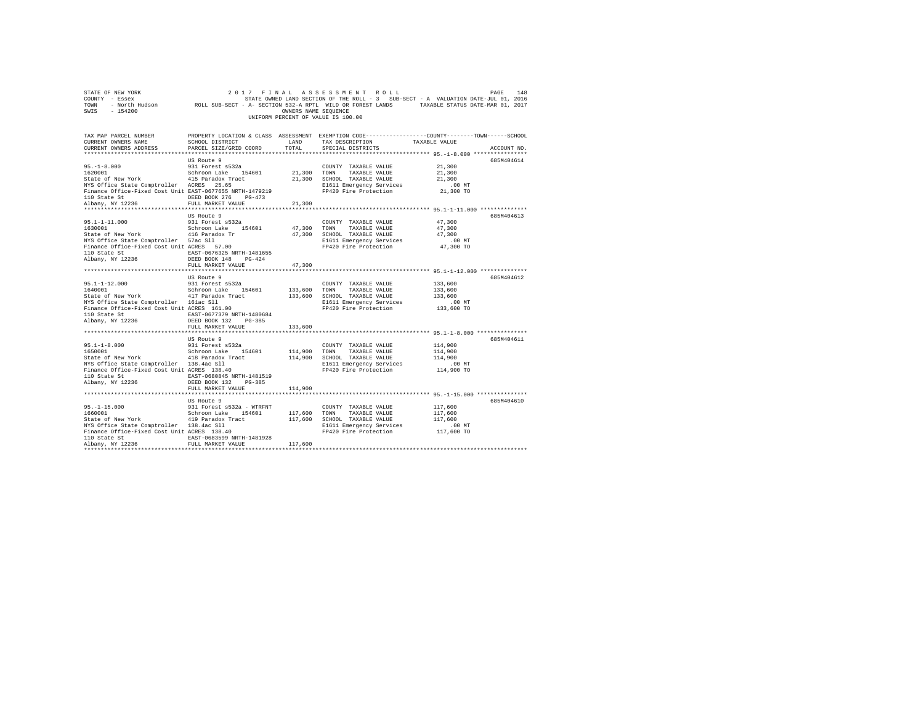| STATE OF NEW YORK                                                                                                                     |                           |                      | 2017 FINAL ASSESSMENT ROLL         | PAGE<br>148                                                                                                                          |
|---------------------------------------------------------------------------------------------------------------------------------------|---------------------------|----------------------|------------------------------------|--------------------------------------------------------------------------------------------------------------------------------------|
| COUNTY - Essex                                                                                                                        |                           |                      |                                    | STATE OWNED LAND SECTION OF THE ROLL - 3 SUB-SECT - A VALUATION DATE-JUL 01, 2016                                                    |
|                                                                                                                                       |                           |                      |                                    | TOWN - NOrth Hudson - ROLL SUB-SECT - A- SECTION S32-A RPTL WILD OR POREST LANDS - TAXABLE STATUS DATE-MAR 01, 2017<br>SWIS - 154200 |
|                                                                                                                                       |                           | OWNERS NAME SEQUENCE |                                    |                                                                                                                                      |
|                                                                                                                                       |                           |                      | UNIFORM PERCENT OF VALUE IS 100.00 |                                                                                                                                      |
|                                                                                                                                       |                           |                      |                                    |                                                                                                                                      |
|                                                                                                                                       |                           |                      |                                    |                                                                                                                                      |
| TAX MAP PARCEL NUMBER                                                                                                                 |                           |                      |                                    | PROPERTY LOCATION & CLASS ASSESSMENT EXEMPTION CODE---------------COUNTY-------TOWN------SCHOOL                                      |
| CURRENT OWNERS NAME                                                                                                                   | SCHOOL DISTRICT           | LAND                 | TAX DESCRIPTION                    | TAXABLE VALUE                                                                                                                        |
| CURRENT OWNERS ADDRESS                                                                                                                | PARCEL SIZE/GRID COORD    | TOTAL                | SPECIAL DISTRICTS                  | ACCOUNT NO.                                                                                                                          |
|                                                                                                                                       |                           |                      |                                    |                                                                                                                                      |
|                                                                                                                                       | US Route 9                |                      |                                    | 685M404614                                                                                                                           |
| $95. - 1 - 8.000$                                                                                                                     |                           |                      |                                    |                                                                                                                                      |
|                                                                                                                                       | 931 Forest s532a          |                      | COUNTY TAXABLE VALUE               | 21,300                                                                                                                               |
| 1620001                                                                                                                               | Schroon Lake 154601       | 21,300 TOWN          | TAXABLE VALUE                      | 21,300                                                                                                                               |
| State of New York and the state of New York and the state of New York and the state of New York and the State Comptroller ACRES 25.65 |                           |                      | 21,300 SCHOOL TAXABLE VALUE        | 21,300                                                                                                                               |
|                                                                                                                                       |                           |                      | E1611 Emergency Services           | $.00$ MT                                                                                                                             |
| Finance Office-Fixed Cost Unit EAST-0677655 NRTH-1479219                                                                              |                           |                      | FP420 Fire Protection              | 21,300 TO                                                                                                                            |
| 110 State St                                                                                                                          | DEED BOOK 276 PG-473      |                      |                                    |                                                                                                                                      |
| Albany, NY 12236                                                                                                                      | FULL MARKET VALUE         | 21,300               |                                    |                                                                                                                                      |
|                                                                                                                                       |                           |                      |                                    |                                                                                                                                      |
|                                                                                                                                       | US Route 9                |                      |                                    | 685M404613                                                                                                                           |
| $95.1 - 1 - 11.000$                                                                                                                   | 931 Forest s532a          |                      | COUNTY TAXABLE VALUE               | 47,300                                                                                                                               |
| 1630001                                                                                                                               | Schroon Lake 154601       |                      | 47,300 TOWN TAXABLE VALUE          | 47,300                                                                                                                               |
| State of New York 416 Paradox Tr                                                                                                      |                           |                      | 47,300 SCHOOL TAXABLE VALUE        | 47,300                                                                                                                               |
|                                                                                                                                       |                           |                      | E1611 Emergency Services           | $.00$ MT                                                                                                                             |
| NYS Office State Comptroller 57ac Sll<br>Finance Office-Fixed Cost Unit ACRES 57.00                                                   |                           |                      | FP420 Fire Protection              | 47,300 TO                                                                                                                            |
| 110 State St                                                                                                                          | EAST-0676325 NRTH-1481655 |                      |                                    |                                                                                                                                      |
| Albany, NY 12236                                                                                                                      | DEED BOOK 148 PG-424      |                      |                                    |                                                                                                                                      |
|                                                                                                                                       | FULL MARKET VALUE         | 47.300               |                                    |                                                                                                                                      |
|                                                                                                                                       |                           |                      |                                    |                                                                                                                                      |
|                                                                                                                                       | US Route 9                |                      |                                    | 685M404612                                                                                                                           |
| $95.1 - 1 - 12.000$                                                                                                                   | 931 Forest s532a          |                      | COUNTY TAXABLE VALUE               | 133,600                                                                                                                              |
| 1640001                                                                                                                               |                           |                      | TOWN TAXABLE VALUE                 | 133,600                                                                                                                              |
| State of New York 417 Paradox Tract                                                                                                   | Schroon Lake 154601       | 133,600              |                                    |                                                                                                                                      |
|                                                                                                                                       |                           |                      | 133,600 SCHOOL TAXABLE VALUE       | 133,600                                                                                                                              |
| NYS Office State Comptroller 161ac Sll<br>Finance Office-Fixed Cost Unit ACRES 161.00                                                 |                           |                      | E1611 Emergency Services           | $.00$ MT                                                                                                                             |
|                                                                                                                                       |                           |                      | FP420 Fire Protection              | 133,600 TO                                                                                                                           |
| 110 State St<br>$E = 5$<br>EAST-0677379 NRTH-1480684<br>Namy, NY 12236<br>DEED BOOK 132 PG-385                                        |                           |                      |                                    |                                                                                                                                      |
|                                                                                                                                       |                           |                      |                                    |                                                                                                                                      |
|                                                                                                                                       | FULL MARKET VALUE         | 133,600              |                                    |                                                                                                                                      |
|                                                                                                                                       |                           |                      |                                    |                                                                                                                                      |
|                                                                                                                                       | US Route 9                |                      |                                    | 685M404611                                                                                                                           |
| $95.1 - 1 - 8.000$                                                                                                                    | 931 Forest s532a          |                      | COUNTY TAXABLE VALUE               | 114,900                                                                                                                              |
| 1650001                                                                                                                               | Schroon Lake 154601       | 114,900 TOWN         | TAXABLE VALUE                      | 114,900                                                                                                                              |
| State of New York 418 Paradox Tract                                                                                                   |                           |                      | 114,900 SCHOOL TAXABLE VALUE       | 114,900                                                                                                                              |
| NYS Office State Comptroller 138.4ac Sll<br>Finance Office-Fixed Cost Unit ACRES 138.40                                               |                           |                      | E1611 Emergency Services           | $.00$ MT                                                                                                                             |
| Finance Office-Fixed Cost Unit ACRES 138.40                                                                                           |                           |                      | FP420 Fire Protection              | 114,900 TO                                                                                                                           |
| 110 State St                                                                                                                          | EAST-0680845 NRTH-1481519 |                      |                                    |                                                                                                                                      |
| Albany, NY 12236                                                                                                                      | DEED BOOK 132 PG-385      |                      |                                    |                                                                                                                                      |
|                                                                                                                                       | FULL MARKET VALUE         | 114,900              |                                    |                                                                                                                                      |
|                                                                                                                                       |                           |                      |                                    |                                                                                                                                      |
|                                                                                                                                       | US Route 9                |                      |                                    | 685M404610                                                                                                                           |
|                                                                                                                                       |                           |                      |                                    |                                                                                                                                      |
| $95. -1 - 15.000$<br>1660001                                                                                                          | 931 Forest s532a - WTRFNT |                      | COUNTY TAXABLE VALUE               | 117,600                                                                                                                              |
|                                                                                                                                       | Schroon Lake 154601       |                      | 117,600 TOWN TAXABLE VALUE         | 117,600                                                                                                                              |
|                                                                                                                                       |                           |                      | 117,600 SCHOOL TAXABLE VALUE       | 117,600                                                                                                                              |
| State of New York 419 Paradox Tract<br>NYS Office State Comptroller 138.4ac 511<br>Finance Office-Fixed Cost Unit ACRES 138.40        |                           |                      | E1611 Emergency Services           | $.00$ MT                                                                                                                             |
|                                                                                                                                       |                           |                      | FP420 Fire Protection              | 117,600 TO                                                                                                                           |
| 110 State St                                                                                                                          | EAST-0683599 NRTH-1481928 |                      |                                    |                                                                                                                                      |
| Albany, NY 12236                                                                                                                      | FULL MARKET VALUE         | 117,600              |                                    |                                                                                                                                      |
|                                                                                                                                       |                           |                      |                                    |                                                                                                                                      |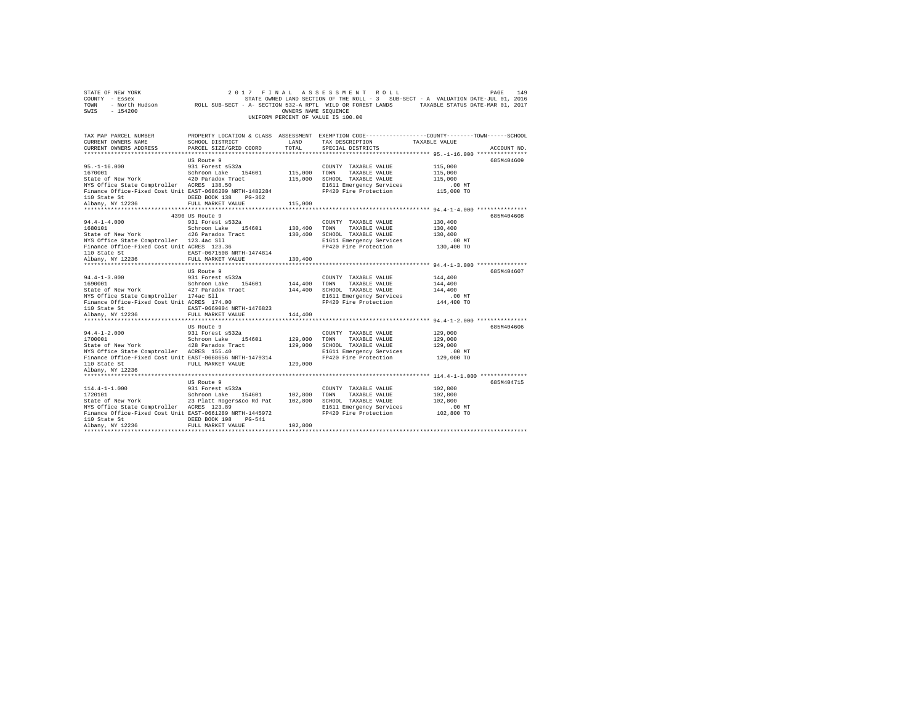| COUNTY - Essex<br>TOWN<br>SWIS<br>$-154200$                                                                                                                                                      |                                                                                                                                                                  | OWNERS NAME SEQUENCE          | UNIFORM PERCENT OF VALUE IS 100.00                                                                                                 | STATE OWNED LAND SECTION OF THE ROLL - 3 SUB-SECT - A VALUATION DATE-JUL 01, 2016<br>- North Hudson MOLL SUB-SECT - A- SECTION 532-A RPTL WILD OR FOREST LANDS TAXABLE STATUS DATE-MAR 01, 2017 |
|--------------------------------------------------------------------------------------------------------------------------------------------------------------------------------------------------|------------------------------------------------------------------------------------------------------------------------------------------------------------------|-------------------------------|------------------------------------------------------------------------------------------------------------------------------------|-------------------------------------------------------------------------------------------------------------------------------------------------------------------------------------------------|
| TAX MAP PARCEL NUMBER<br>CURRENT OWNERS NAME<br>CURRENT OWNERS ADDRESS                                                                                                                           | SCHOOL DISTRICT<br>PARCEL SIZE/GRID COORD                                                                                                                        | LAND<br>TOTAL                 | TAX DESCRIPTION<br>SPECIAL DISTRICTS                                                                                               | PROPERTY LOCATION & CLASS ASSESSMENT EXEMPTION CODE---------------COUNTY-------TOWN-----SCHOOL<br>TAXABLE VALUE<br>ACCOUNT NO.                                                                  |
| $95. -1 - 16.000$<br>1670001<br>State of New York<br>NYS Office State Comptroller ACRES 138.50<br>Finance Office-Fixed Cost Unit EAST-0686209 NRTH-1482284<br>110 State St<br>Albany, NY 12236   | US Route 9<br>931 Forest s532a<br>Schroon Lake 154601<br>420 Paradox Tract<br>DEED BOOK 138<br>$PG-362$<br>FULL MARKET VALUE                                     | 115,000<br>115,000<br>115,000 | COUNTY TAXABLE VALUE<br>TOWN<br>TAXABLE VALUE<br>SCHOOL TAXABLE VALUE<br>E1611 Emergency Services<br>FP420 Fire Protection         | 685M404609<br>115,000<br>115,000<br>115,000<br>.00MT<br>115,000 TO                                                                                                                              |
| $94.4 - 1 - 4.000$<br>1680101<br>State of New York<br>NYS Office State Comptroller 123.4ac Sll<br>Finance Office-Fixed Cost Unit ACRES 123.36<br>110 State St<br>Albany, NY 12236                | 4390 US Route 9<br>931 Forest s532a<br>Schroon Lake 154601<br>426 Paradox Tract<br>EAST-0671508 NRTH-1474814<br>FULL MARKET VALUE                                | 130,400<br>130,400<br>130,400 | COUNTY TAXABLE VALUE<br>TAXABLE VALUE<br>TOWN<br>SCHOOL TAXABLE VALUE<br>E1611 Emergency Services<br>FP420 Fire Protection         | 685M404608<br>130,400<br>130,400<br>130,400<br>$.00$ MT<br>130,400 TO                                                                                                                           |
| $94.4 - 1 - 3.000$<br>1690001<br>State of New York<br>NYS Office State Comptroller 174ac Sll<br>Finance Office-Fixed Cost Unit ACRES 174.00<br>110 State St<br>Albany, NY 12236                  | US Route 9<br>931 Forest s532a<br>Schroon Lake 154601<br>427 Paradox Tract<br>EAST-0669004 NRTH-1476823<br>FULL MARKET VALUE                                     | 144,400<br>144,400            | COUNTY TAXABLE VALUE<br>TOWN<br>TAXABLE VALUE<br>144,400 SCHOOL TAXABLE VALUE<br>E1611 Emergency Services<br>FP420 Fire Protection | 685M404607<br>144,400<br>144,400<br>144,400<br>.00 MT<br>144,400 TO                                                                                                                             |
| $94.4 - 1 - 2.000$<br>1700001<br>State of New York<br>NYS Office State Comptroller ACRES 155.40<br>Finance Office-Fixed Cost Unit EAST-0668656 NRTH-1479314<br>110 State St<br>Albany, NY 12236  | US Route 9<br>931 Forest s532a<br>Schroon Lake 154601<br>428 Paradox Tract<br>FULL MARKET VALUE                                                                  | 129,000<br>129,000<br>129,000 | COUNTY TAXABLE VALUE<br>TOWN<br>TAXABLE VALUE<br>SCHOOL TAXABLE VALUE<br>E1611 Emergency Services<br>FP420 Fire Protection         | 685M404606<br>129,000<br>129,000<br>129,000<br>$.00$ MT<br>129,000 TO                                                                                                                           |
| $114.4 - 1 - 1.000$<br>1720101<br>State of New York<br>NYS Office State Comptroller ACRES 123.89<br>Finance Office-Fixed Cost Unit EAST-0661289 NRTH-1445972<br>110 State St<br>Albany, NY 12236 | US Route 9<br>931 Forest s532a<br>Schroon Lake 154601<br>23 Platt Rogers&co Rd Pat<br>DEED BOOK 198<br>$PG-541$<br>FULL MARKET VALUE<br>************************ | 102,800 TOWN<br>102,800       | COUNTY TAXABLE VALUE<br>TAXABLE VALUE<br>102,800 SCHOOL TAXABLE VALUE<br>E1611 Emergency Services<br>FP420 Fire Protection         | 685M404715<br>102,800<br>102,800<br>102,800<br>.00MT<br>102,800 TO                                                                                                                              |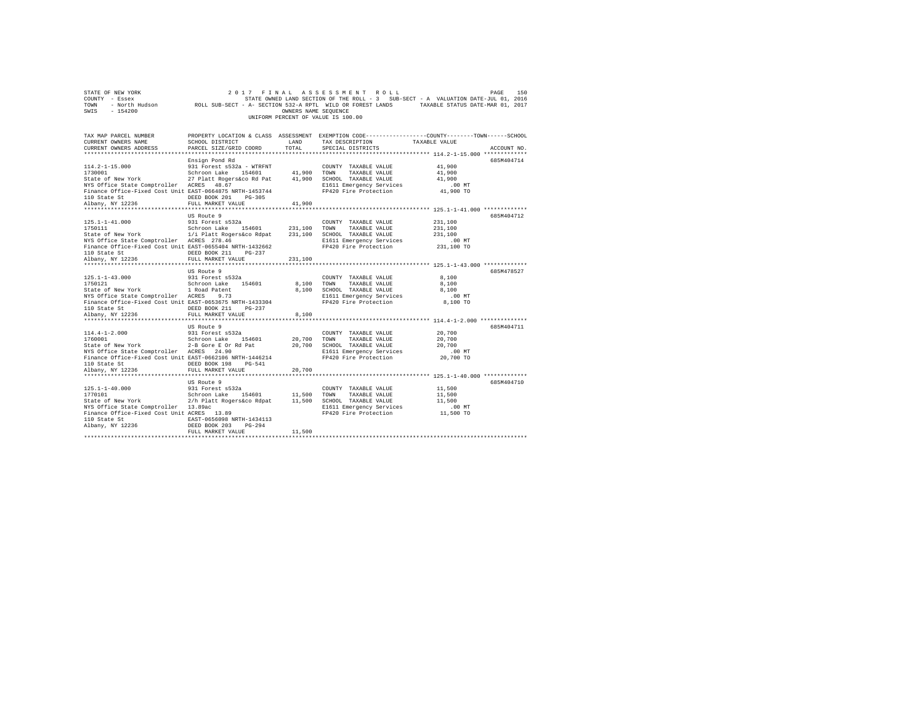| STATE OF NEW YORK<br>COUNTY - Essex<br>- North Hudson<br>TOWN<br>SWIS<br>$-154200$                                                                                                                                           | 2017<br>ROLL SUB-SECT - A- SECTION 532-A RPTL WILD OR FOREST LANDS                                                                                                              | FINAL<br>OWNERS NAME SEQUENCE         | ASSESSMENT<br>ROLL<br>UNIFORM PERCENT OF VALUE IS 100.00                                                                   | PAGE<br>STATE OWNED LAND SECTION OF THE ROLL - 3 SUB-SECT - A VALUATION DATE-JUL 01, 2016<br>TAXABLE STATUS DATE-MAR 01, 2017 | 150         |
|------------------------------------------------------------------------------------------------------------------------------------------------------------------------------------------------------------------------------|---------------------------------------------------------------------------------------------------------------------------------------------------------------------------------|---------------------------------------|----------------------------------------------------------------------------------------------------------------------------|-------------------------------------------------------------------------------------------------------------------------------|-------------|
| TAX MAP PARCEL NUMBER<br>CURRENT OWNERS NAME<br>CURRENT OWNERS ADDRESS                                                                                                                                                       | SCHOOL DISTRICT<br>PARCEL SIZE/GRID COORD                                                                                                                                       | LAND<br>TOTAL                         | TAX DESCRIPTION<br>SPECIAL DISTRICTS                                                                                       | PROPERTY LOCATION & CLASS ASSESSMENT EXEMPTION CODE---------------COUNTY-------TOWN-----SCHOOL<br>TAXABLE VALUE               | ACCOUNT NO. |
| $114.2 - 1 - 15.000$<br>1730001<br>State of New York<br>NYS Office State Comptroller ACRES<br>Finance Office-Fixed Cost Unit EAST-0664875 NRTH-1453744<br>110 State St<br>Albany, NY 12236                                   | Ensign Pond Rd<br>931 Forest s532a - WTRFNT<br>Schroon Lake<br>154601<br>27 Platt Rogers&co Rd Pat<br>48.67<br>DEED BOOK 201<br>$PG-305$<br>FULL MARKET VALUE                   | 41,900<br>41,900<br>41,900            | COUNTY TAXABLE VALUE<br>TOWN<br>TAXABLE VALUE<br>SCHOOL TAXABLE VALUE<br>E1611 Emergency Services<br>FP420 Fire Protection | 41,900<br>41,900<br>41,900<br>.00MT<br>41,900 TO                                                                              | 685M404714  |
| ***********************<br>$125.1 - 1 - 41.000$<br>1750111<br>State of New York<br>NYS Office State Comptroller ACRES 278.46<br>Finance Office-Fixed Cost Unit EAST-0655404 NRTH-1432662<br>110 State St<br>Albany, NY 12236 | ***********************<br>US Route 9<br>931 Forest s532a<br>Schroon Lake<br>154601<br>1/i Platt Rogers&co Rdpat<br>DEED BOOK 211<br>$PG-237$<br>FULL MARKET VALUE              | 231,100<br>231,100<br>231,100         | COUNTY TAXABLE VALUE<br>TOWN<br>TAXABLE VALUE<br>SCHOOL TAXABLE VALUE<br>E1611 Emergency Services<br>FP420 Fire Protection | ******************** 125.1-1-41.000 *************<br>231,100<br>231,100<br>231,100<br>$.00$ MT<br>231,100 TO                  | 685M404712  |
| $125.1 - 1 - 43.000$<br>1750121<br>State of New York<br>NYS Office State Comptroller ACRES<br>Finance Office-Fixed Cost Unit EAST-0653675 NRTH-1433304<br>110 State St<br>Albany, NY 12236                                   | US Route 9<br>931 Forest s532a<br>Schroon Lake<br>154601<br>1 Road Patent<br>9.73<br>DEED BOOK 211<br>$PG-237$<br>FULL MARKET VALUE                                             | **********<br>8,100<br>8,100<br>8,100 | COUNTY TAXABLE VALUE<br>TOWN<br>TAXABLE VALUE<br>SCHOOL TAXABLE VALUE<br>E1611 Emergency Services<br>FP420 Fire Protection | **************************** 125.1-1-43.000 *************<br>8,100<br>8,100<br>8,100<br>.00MT<br>8,100 TO                     | 685M478527  |
| <br>$114.4 - 1 - 2.000$<br>1760001<br>State of New York<br>NYS Office State Comptroller ACRES 24.90<br>Finance Office-Fixed Cost Unit EAST-0662106 NRTH-1446214<br>110 State St<br>Albany, NY 12236                          | .<br>US Route 9<br>931 Forest s532a<br>Schroon Lake<br>154601<br>2-B Gore E Or Rd Pat<br>DEED BOOK 198<br>$PG-541$<br>FULL MARKET VALUE                                         | 20,700<br>20,700<br>20,700            | COUNTY TAXABLE VALUE<br>TOWN<br>TAXABLE VALUE<br>SCHOOL TAXABLE VALUE<br>E1611 Emergency Services<br>FP420 Fire Protection | ********* 114.4-1-2.000 **************<br>20,700<br>20,700<br>20,700<br>$.00$ MT<br>20,700 TO                                 | 685M404711  |
| $125.1 - 1 - 40.000$<br>1770101<br>State of New York<br>NYS Office State Comptroller<br>Finance Office-Fixed Cost Unit ACRES 13.89<br>110 State St<br>Albany, NY 12236                                                       | US Route 9<br>931 Forest s532a<br>154601<br>Schroon Lake<br>2/h Platt Rogers&co Rdpat<br>13.89ac<br>EAST-0656098 NRTH-1434113<br>DEED BOOK 203<br>$PG-294$<br>FULL MARKET VALUE | 11,500<br>11,500<br>11,500            | COUNTY TAXABLE VALUE<br>TOWN<br>TAXABLE VALUE<br>SCHOOL TAXABLE VALUE<br>E1611 Emergency Services<br>FP420 Fire Protection | 11,500<br>11,500<br>11,500<br>$.00$ MT<br>11,500 TO                                                                           | 685M404710  |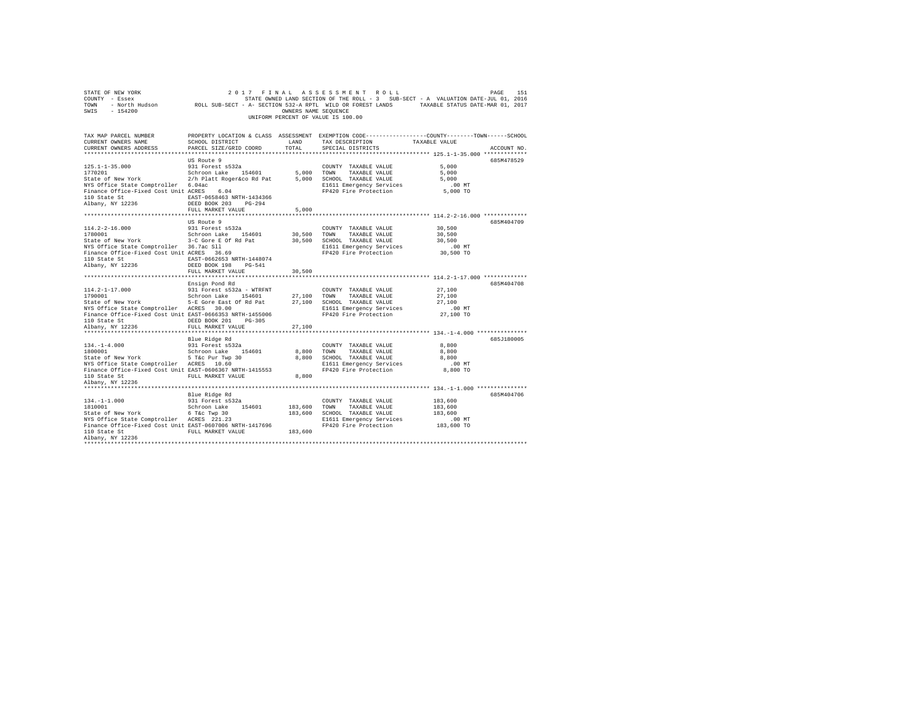| STATE OF NEW YORK<br>COUNTY - Essex COUNTY - ESSEX COULD SUB-SECT - A VALUATION DATE-JUL 01, 2016<br>2017 - TOWN - North Hudson         ROLL SUB-SECT - A- SECTION 532-A RPTL WILD OR FOREST LANDS<br>SWIS - 154200 |                                                                                                                                              | OWNERS NAME SEQUENCE | 2017 FINAL ASSESSMENT ROLL<br>UNIFORM PERCENT OF VALUE IS 100.00 |                                                           | PAGE<br>151 |
|---------------------------------------------------------------------------------------------------------------------------------------------------------------------------------------------------------------------|----------------------------------------------------------------------------------------------------------------------------------------------|----------------------|------------------------------------------------------------------|-----------------------------------------------------------|-------------|
| TAX MAP PARCEL NUMBER<br>CURRENT OWNERS NAME<br>CURRENT OWNERS ADDRESS                                                                                                                                              | PROPERTY LOCATION & CLASS ASSESSMENT EXEMPTION CODE---------------COUNTY-------TOWN------SCHOOL<br>SCHOOL DISTRICT<br>PARCEL SIZE/GRID COORD | LAND<br>TOTAL        | TAX DESCRIPTION<br>SPECIAL DISTRICTS                             | TAXABLE VALUE                                             | ACCOUNT NO. |
|                                                                                                                                                                                                                     |                                                                                                                                              |                      |                                                                  |                                                           |             |
| $125.1 - 1 - 35.000$                                                                                                                                                                                                | US Route 9<br>931 Forest s532a                                                                                                               |                      | COUNTY TAXABLE VALUE                                             | 5,000                                                     | 685M478529  |
| 1770201                                                                                                                                                                                                             | Schroon Lake 154601                                                                                                                          | 5,000 TOWN           | TAXABLE VALUE                                                    | 5,000                                                     |             |
| State of New York 2/h Platt Roger&co Rd Pat 5,000 SCHOOL TAXABLE VALUE                                                                                                                                              |                                                                                                                                              |                      |                                                                  | 5,000                                                     |             |
|                                                                                                                                                                                                                     |                                                                                                                                              |                      | E1611 Emergency Services                                         | $.00$ MT                                                  |             |
| NYS Office State Comptroller 6.04ac<br>Finance Office-Fixed Cost Unit ACRES 6.04                                                                                                                                    |                                                                                                                                              |                      | FP420 Fire Protection                                            | 5,000 TO                                                  |             |
| 110 State St<br>Albany, NY 12236                                                                                                                                                                                    | EAST-0658463 NRTH-1434366                                                                                                                    |                      |                                                                  |                                                           |             |
|                                                                                                                                                                                                                     | DEED BOOK 203 PG-294                                                                                                                         |                      |                                                                  |                                                           |             |
|                                                                                                                                                                                                                     | FULL MARKET VALUE                                                                                                                            | 5,000                |                                                                  |                                                           |             |
|                                                                                                                                                                                                                     |                                                                                                                                              |                      |                                                                  |                                                           |             |
|                                                                                                                                                                                                                     | US Route 9                                                                                                                                   |                      |                                                                  |                                                           | 685M404709  |
| $114.2 - 2 - 16.000$                                                                                                                                                                                                | 931 Forest s532a                                                                                                                             |                      | COUNTY TAXABLE VALUE                                             | 30,500                                                    |             |
| 1780001<br>State of New York 3-C Gore E Of Rd Pat                                                                                                                                                                   | Schroon Lake 154601                                                                                                                          |                      | 30,500 TOWN TAXABLE VALUE<br>30,500 SCHOOL TAXABLE VALUE         | 30,500<br>30,500                                          |             |
|                                                                                                                                                                                                                     |                                                                                                                                              |                      | E1611 Emergency Services                                         | .00MT                                                     |             |
| NYS Office State Comptroller 36.7ac Sll<br>Finance Office-Fixed Cost Unit ACRES 36.69                                                                                                                               |                                                                                                                                              |                      | FP420 Fire Protection                                            | 30,500 TO                                                 |             |
| 110 State St 600 EAST-0662653 NRTH-1448074                                                                                                                                                                          |                                                                                                                                              |                      |                                                                  |                                                           |             |
| Albany, NY 12236                                                                                                                                                                                                    | DEED BOOK 198 PG-541                                                                                                                         |                      |                                                                  |                                                           |             |
|                                                                                                                                                                                                                     | FULL MARKET VALUE                                                                                                                            | 30,500               |                                                                  |                                                           |             |
| ***********************                                                                                                                                                                                             | ***************************                                                                                                                  |                      |                                                                  | ******************** 114.2-1-17.000 *************         |             |
|                                                                                                                                                                                                                     | Ensign Pond Rd                                                                                                                               |                      |                                                                  |                                                           | 685M404708  |
| $114.2 - 1 - 17.000$                                                                                                                                                                                                | 931 Forest s532a - WTRFNT                                                                                                                    |                      | COUNTY TAXABLE VALUE                                             | 27,100                                                    |             |
| 1790001                                                                                                                                                                                                             | Schroon Lake 154601                                                                                                                          |                      | 27.100 TOWN<br>TAXABLE VALUE                                     | 27,100                                                    |             |
| State of New York                                                                                                                                                                                                   | 5-E Gore East Of Rd Pat                                                                                                                      |                      | 27,100 SCHOOL TAXABLE VALUE                                      | 27,100                                                    |             |
| NYS Office State Comptroller ACRES 30.00                                                                                                                                                                            |                                                                                                                                              |                      | E1611 Emergency Services                                         | $.00$ MT                                                  |             |
| Finance Office-Fixed Cost Unit EAST-0666353 NRTH-1455006                                                                                                                                                            |                                                                                                                                              |                      | FP420 Fire Protection                                            | 27,100 TO                                                 |             |
| 110 State St 6. DEED BOOK 201 PG-305                                                                                                                                                                                |                                                                                                                                              |                      |                                                                  |                                                           |             |
| Albany, NY 12236<br>***********************                                                                                                                                                                         | FULL MARKET VALUE<br>*************************                                                                                               | 27,100<br>*********  |                                                                  | **************************** 134.-1-4.000 *************** |             |
|                                                                                                                                                                                                                     | Blue Ridge Rd                                                                                                                                |                      |                                                                  |                                                           | 685J180005  |
| $134. - 1 - 4.000$                                                                                                                                                                                                  | 931 Forest s532a                                                                                                                             |                      | COUNTY TAXABLE VALUE                                             | 8,800                                                     |             |
| 1800001                                                                                                                                                                                                             | Schroon Lake 154601                                                                                                                          | 8,800 TOWN           | TAXABLE VALUE                                                    | 8,800                                                     |             |
|                                                                                                                                                                                                                     |                                                                                                                                              |                      | 8,800 SCHOOL TAXABLE VALUE                                       | 8,800                                                     |             |
| State of New York 5 T&C Pur Twp 30<br>NYS Office State Comptroller ACRES 10.60                                                                                                                                      |                                                                                                                                              |                      | E1611 Emergency Services                                         | $.00$ MT                                                  |             |
| Finance Office-Fixed Cost Unit EAST-0606367 NRTH-1415553                                                                                                                                                            |                                                                                                                                              |                      | FP420 Fire Protection                                            | 8,800 TO                                                  |             |
| 110 State St FULL MARKET VALUE                                                                                                                                                                                      |                                                                                                                                              | 8,800                |                                                                  |                                                           |             |
| Albany, NY 12236                                                                                                                                                                                                    |                                                                                                                                              |                      |                                                                  |                                                           |             |
|                                                                                                                                                                                                                     |                                                                                                                                              |                      |                                                                  |                                                           |             |
|                                                                                                                                                                                                                     | Blue Ridge Rd                                                                                                                                |                      |                                                                  |                                                           | 685M404706  |
| $134. -1 - 1.000$                                                                                                                                                                                                   | 931 Forest s532a                                                                                                                             |                      | COUNTY TAXABLE VALUE                                             | 183,600                                                   |             |
| 1810001<br>State of New York                                                                                                                                                                                        | Schroon Lake 154601                                                                                                                          |                      | 183,600 TOWN TAXABLE VALUE<br>183,600 SCHOOL TAXABLE VALUE       | 183,600<br>183,600                                        |             |
| NYS Office State Comptroller ACRES 221.23                                                                                                                                                                           | 6 T&c Twp 30                                                                                                                                 |                      | E1611 Emergency Services                                         | $.00$ MT                                                  |             |
| Finance Office-Fixed Cost Unit EAST-0607006 NRTH-1417696                                                                                                                                                            |                                                                                                                                              |                      | FP420 Fire Protection                                            | 183,600 TO                                                |             |
| 110 State St                                                                                                                                                                                                        | FULL MARKET VALUE                                                                                                                            | 183,600              |                                                                  |                                                           |             |
| Albany, NY 12236                                                                                                                                                                                                    |                                                                                                                                              |                      |                                                                  |                                                           |             |
|                                                                                                                                                                                                                     |                                                                                                                                              |                      |                                                                  |                                                           |             |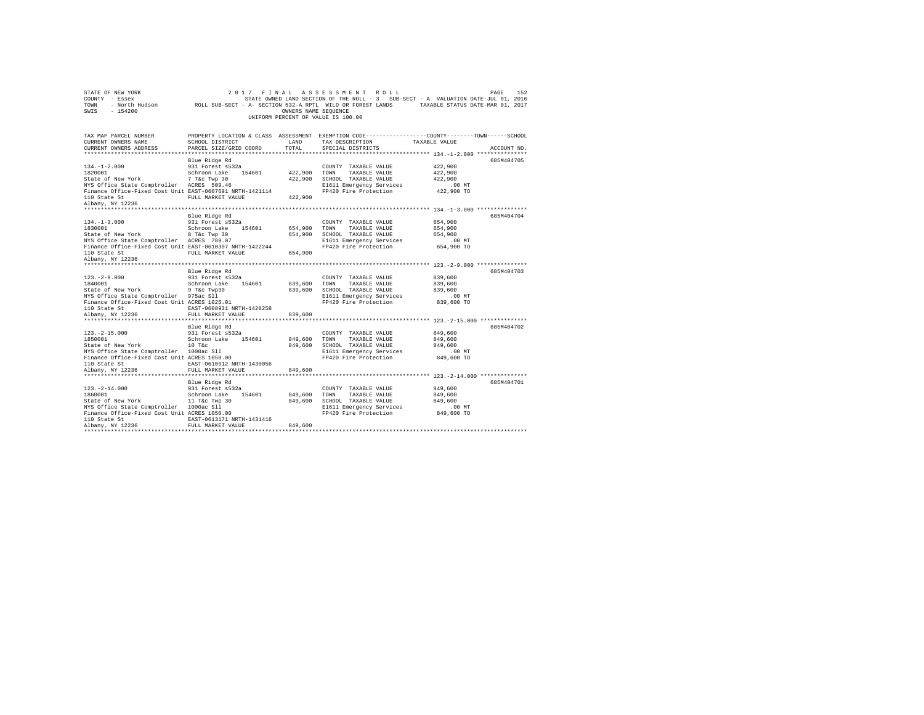| STATE OF NEW YORK<br>COUNTY - Essex<br>TOWN<br>$-154200$<br>SWIS                                               | 2017 FINAL                | OWNERS NAME SEQUENCE | ASSESSMENT ROLL<br>STATE OWNED LAND SECTION OF THE ROLL - 3 SUB-SECT - A VALUATION DATE-JUL 01, 2016<br>- North Hudson ROLL SUB-SECT - A- SECTION 532-A RPTL WILD OR FOREST LANDS TAXABLE STATUS DATE-MAR 01, 2017<br>UNIFORM PERCENT OF VALUE IS 100.00 |                    | 152<br>PAGE |
|----------------------------------------------------------------------------------------------------------------|---------------------------|----------------------|----------------------------------------------------------------------------------------------------------------------------------------------------------------------------------------------------------------------------------------------------------|--------------------|-------------|
|                                                                                                                |                           |                      |                                                                                                                                                                                                                                                          |                    |             |
| TAX MAP PARCEL NUMBER<br>CURRENT OWNERS NAME                                                                   | SCHOOL DISTRICT           | LAND                 | PROPERTY LOCATION & CLASS ASSESSMENT EXEMPTION CODE---------------COUNTY-------TOWN-----SCHOOL<br>TAX DESCRIPTION                                                                                                                                        | TAXABLE VALUE      |             |
| CURRENT OWNERS ADDRESS                                                                                         | PARCEL SIZE/GRID COORD    | TOTAL                | SPECIAL DISTRICTS                                                                                                                                                                                                                                        |                    | ACCOUNT NO. |
|                                                                                                                |                           |                      |                                                                                                                                                                                                                                                          |                    |             |
|                                                                                                                | Blue Ridge Rd             |                      |                                                                                                                                                                                                                                                          |                    | 685M404705  |
| $134. -1 - 2.000$                                                                                              | 931 Forest s532a          |                      | COUNTY TAXABLE VALUE                                                                                                                                                                                                                                     | 422,900            |             |
| 1820001                                                                                                        | Schroon Lake 154601       | 422,900              | TOWN<br>TAXABLE VALUE                                                                                                                                                                                                                                    | 422,900            |             |
| State of New York<br>The Twp 30<br>NYS Office State Comptroller ACRES 509.46                                   |                           | 422,900              | SCHOOL TAXABLE VALUE                                                                                                                                                                                                                                     | 422,900            |             |
|                                                                                                                |                           |                      | E1611 Emergency Services                                                                                                                                                                                                                                 | $.00$ MT           |             |
| Finance Office-Fixed Cost Unit EAST-0607691 NRTH-1421114                                                       |                           |                      | FP420 Fire Protection                                                                                                                                                                                                                                    | 422,900 TO         |             |
| 110 State St<br>Albany, NY 12236                                                                               | FULL MARKET VALUE         | 422,900              |                                                                                                                                                                                                                                                          |                    |             |
|                                                                                                                |                           |                      |                                                                                                                                                                                                                                                          |                    |             |
|                                                                                                                | Blue Ridge Rd             |                      |                                                                                                                                                                                                                                                          |                    | 685M404704  |
| $134. - 1 - 3.000$                                                                                             | 931 Forest s532a          |                      | COUNTY TAXABLE VALUE                                                                                                                                                                                                                                     | 654,900            |             |
| 1830001                                                                                                        | Schroon Lake 154601       | 654,900              | TOWN<br>TAXABLE VALUE                                                                                                                                                                                                                                    | 654,900            |             |
|                                                                                                                |                           | 654,900              | SCHOOL TAXABLE VALUE                                                                                                                                                                                                                                     | 654,900            |             |
| State of New York 8 T&C Twp 30<br>NYS Office State Comptroller ACRES 789.07                                    |                           |                      | E1611 Emergency Services                                                                                                                                                                                                                                 | $.00$ MT           |             |
| Finance Office-Fixed Cost Unit EAST-0610307 NRTH-1422244                                                       |                           |                      | FP420 Fire Protection                                                                                                                                                                                                                                    | 654,900 TO         |             |
| 110 State St                                                                                                   | FULL MARKET VALUE         | 654,900              |                                                                                                                                                                                                                                                          |                    |             |
| Albany, NY 12236                                                                                               |                           |                      |                                                                                                                                                                                                                                                          |                    |             |
|                                                                                                                |                           |                      |                                                                                                                                                                                                                                                          |                    |             |
|                                                                                                                | Blue Ridge Rd             |                      |                                                                                                                                                                                                                                                          |                    | 685M404703  |
| $123. -2 - 9.000$                                                                                              | 931 Forest s532a          |                      | COUNTY TAXABLE VALUE                                                                                                                                                                                                                                     | 839,600            |             |
| 1840001<br>State of New York 9 T&c Twp30                                                                       | Schroon Lake 154601       | 839,600              | TOWN<br>TAXABLE VALUE                                                                                                                                                                                                                                    | 839,600<br>839,600 |             |
| NYS Office State Comptroller 975ac Sll                                                                         |                           | 839,600              | SCHOOL TAXABLE VALUE<br>E1611 Emergency Services                                                                                                                                                                                                         | $.00$ MT           |             |
| Finance Office-Fixed Cost Unit ACRES 1025.01                                                                   |                           |                      | FP420 Fire Protection                                                                                                                                                                                                                                    | 839,600 TO         |             |
|                                                                                                                | EAST-0608931 NRTH-1428258 |                      |                                                                                                                                                                                                                                                          |                    |             |
| iio state St<br>Albany, NY 12236                                                                               | FULL MARKET VALUE         | 839,600              |                                                                                                                                                                                                                                                          |                    |             |
|                                                                                                                |                           |                      |                                                                                                                                                                                                                                                          |                    |             |
|                                                                                                                | Blue Ridge Rd             |                      |                                                                                                                                                                                                                                                          |                    | 685M404702  |
| $123. -2 - 15.000$                                                                                             | 931 Forest s532a          |                      | COUNTY TAXABLE VALUE                                                                                                                                                                                                                                     | 849,600            |             |
| $\begin{tabular}{llllll} 1850001 & & Schroon Lake & 154601 \\ & State of New York & & 10 T&c \\ \end{tabular}$ |                           | 849,600              | TOWN<br>TAXABLE VALUE                                                                                                                                                                                                                                    | 849,600            |             |
|                                                                                                                |                           | 849,600              | SCHOOL TAXABLE VALUE                                                                                                                                                                                                                                     | 849,600            |             |
| NYS Office State Comptroller 1000ac Sll                                                                        |                           |                      | E1611 Emergency Services                                                                                                                                                                                                                                 | $.00$ MT           |             |
| Finance Office-Fixed Cost Unit ACRES 1050.00                                                                   |                           |                      | FP420 Fire Protection                                                                                                                                                                                                                                    | 849,600 TO         |             |
| 110 State St<br>Albany, NY 12236                                                                               | EAST-0610912 NRTH-1430056 |                      |                                                                                                                                                                                                                                                          |                    |             |
|                                                                                                                | FULL MARKET VALUE         | 849,600              |                                                                                                                                                                                                                                                          |                    |             |
|                                                                                                                | Blue Ridge Rd             |                      |                                                                                                                                                                                                                                                          |                    | 685M404701  |
| $123. - 2 - 14.000$                                                                                            | 931 Forest s532a          |                      | COUNTY TAXABLE VALUE                                                                                                                                                                                                                                     | 849,600            |             |
| 1860001                                                                                                        | Schroon Lake 154601       | 849,600              | TOWN<br>TAXABLE VALUE                                                                                                                                                                                                                                    | 849,600            |             |
| State of New York 11 T&c Twp 30                                                                                |                           | 849,600              | SCHOOL TAXABLE VALUE                                                                                                                                                                                                                                     | 849,600            |             |
| NYS Office State Comptroller 1000ac Sll                                                                        |                           |                      | E1611 Emergency Services                                                                                                                                                                                                                                 | $.00$ MT           |             |
| Finance Office-Fixed Cost Unit ACRES 1050.00                                                                   |                           |                      | FP420 Fire Protection                                                                                                                                                                                                                                    | 849,600 TO         |             |
| 110 State St                                                                                                   | EAST-0613171 NRTH-1431416 |                      |                                                                                                                                                                                                                                                          |                    |             |
| Albany, NY 12236                                                                                               | FULL MARKET VALUE         | 849,600              |                                                                                                                                                                                                                                                          |                    |             |
|                                                                                                                |                           |                      |                                                                                                                                                                                                                                                          |                    |             |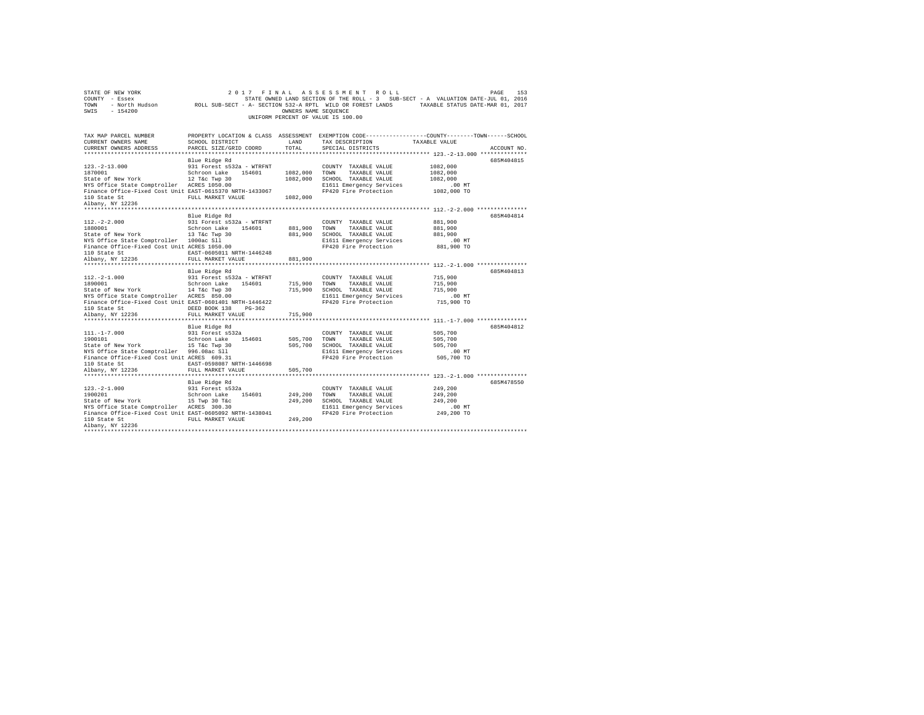| COUNTY - Essex<br>TOWN<br>- North Hudson<br>SWIS<br>$-154200$                                                                                                                                     | ROLL SUB-SECT - A- SECTION 532-A RPTL WILD OR FOREST LANDS                                                                                   | OWNERS NAME SEQUENCE             | STATE OWNED LAND SECTION OF THE ROLL - 3 SUB-SECT - A VALUATION DATE-JUL 01, 2016<br>UNIFORM PERCENT OF VALUE IS 100.00    | TAXABLE STATUS DATE-MAR 01, 2017                               |             |
|---------------------------------------------------------------------------------------------------------------------------------------------------------------------------------------------------|----------------------------------------------------------------------------------------------------------------------------------------------|----------------------------------|----------------------------------------------------------------------------------------------------------------------------|----------------------------------------------------------------|-------------|
| TAX MAP PARCEL NUMBER<br>CURRENT OWNERS NAME<br>CURRENT OWNERS ADDRESS                                                                                                                            | PROPERTY LOCATION & CLASS ASSESSMENT EXEMPTION CODE---------------COUNTY-------TOWN------SCHOOL<br>SCHOOL DISTRICT<br>PARCEL SIZE/GRID COORD | LAND<br>TOTAL                    | TAX DESCRIPTION<br>SPECIAL DISTRICTS                                                                                       | TAXABLE VALUE<br>**************** 123.-2-13.000 ************** | ACCOUNT NO. |
| $123. - 2 - 13.000$<br>1870001<br>State of New York<br>NYS Office State Comptroller ACRES 1050.00<br>Finance Office-Fixed Cost Unit EAST-0615370 NRTH-1433067<br>110 State St<br>Albany, NY 12236 | Blue Ridge Rd<br>931 Forest s532a - WTRFNT<br>Schroon Lake 154601<br>12 T&c Twp 30<br>FULL MARKET VALUE                                      | 1082,000<br>1082,000<br>1082,000 | COUNTY TAXABLE VALUE<br>TOWN<br>TAXABLE VALUE<br>SCHOOL TAXABLE VALUE<br>E1611 Emergency Services<br>FP420 Fire Protection | 1082,000<br>1082,000<br>1082,000<br>$.00$ MT<br>1082,000 TO    | 685M404815  |
| $112. -2 - 2.000$<br>1880001<br>State of New York<br>NYS Office State Comptroller 1000ac Sll<br>Finance Office-Fixed Cost Unit ACRES 1050.00<br>110 State St<br>Albany, NY 12236                  | Blue Ridge Rd<br>931 Forest s532a - WTRFNT<br>Schroon Lake 154601<br>13 T&C Twp 30<br>EAST-0605011 NRTH-1446248<br>FULL MARKET VALUE         | 881,900<br>881,900<br>881,900    | COUNTY TAXABLE VALUE<br>TOWN<br>TAXABLE VALUE<br>SCHOOL TAXABLE VALUE<br>E1611 Emergency Services<br>FP420 Fire Protection | 881,900<br>881,900<br>881,900<br>$.00$ MT<br>881,900 TO        | 685M404814  |
| $112. -2 - 1.000$<br>1890001<br>State of New York<br>NYS Office State Comptroller ACRES 850.00<br>Finance Office-Fixed Cost Unit EAST-0601401 NRTH-1446422<br>110 State St                        | Blue Ridge Rd<br>931 Forest s532a - WTRFNT<br>Schroon Lake<br>154601<br>14 T&c Twp 30<br>DEED BOOK 138<br>$PG-362$                           | 715,900<br>715,900               | COUNTY TAXABLE VALUE<br>TOWN<br>TAXABLE VALUE<br>SCHOOL TAXABLE VALUE<br>E1611 Emergency Services<br>FP420 Fire Protection | 715,900<br>715,900<br>715,900<br>$.00$ MT<br>715,900 TO        | 685M404813  |
| Albany, NY 12236                                                                                                                                                                                  | FULL MARKET VALUE                                                                                                                            | 715,900                          |                                                                                                                            |                                                                |             |
| $111. - 1 - 7.000$<br>1900101<br>State of New York<br>NYS Office State Comptroller 996.08ac Sll<br>Finance Office-Fixed Cost Unit ACRES 609.31<br>110 State St<br>Albany, NY 12236                | Blue Ridge Rd<br>931 Forest s532a<br>Schroon Lake 154601<br>15 T&c Twp 30<br>EAST-0598087 NRTH-1446698<br>FULL MARKET VALUE                  | 505,700<br>505,700<br>505,700    | COUNTY TAXABLE VALUE<br>TOWN<br>TAXABLE VALUE<br>SCHOOL TAXABLE VALUE<br>E1611 Emergency Services<br>FP420 Fire Protection | 505,700<br>505,700<br>505,700<br>.00MT<br>505,700 TO           | 685M404812  |
|                                                                                                                                                                                                   |                                                                                                                                              |                                  |                                                                                                                            |                                                                |             |
| $123. -2 - 1.000$<br>1900201<br>State of New York<br>NYS Office State Comptroller ACRES 300.30<br>Finance Office-Fixed Cost Unit EAST-0605092 NRTH-1438041<br>110 State St                        | Blue Ridge Rd<br>931 Forest s532a<br>Schroon Lake 154601<br>15 Twp 30 T&c<br>FULL MARKET VALUE                                               | 249,200<br>249,200<br>249,200    | COUNTY TAXABLE VALUE<br>TOWN<br>TAXABLE VALUE<br>SCHOOL TAXABLE VALUE<br>E1611 Emergency Services<br>FP420 Fire Protection | 249,200<br>249,200<br>249.200<br>.00MT<br>249,200 TO           | 685M478550  |
| Albany, NY 12236                                                                                                                                                                                  |                                                                                                                                              |                                  |                                                                                                                            |                                                                |             |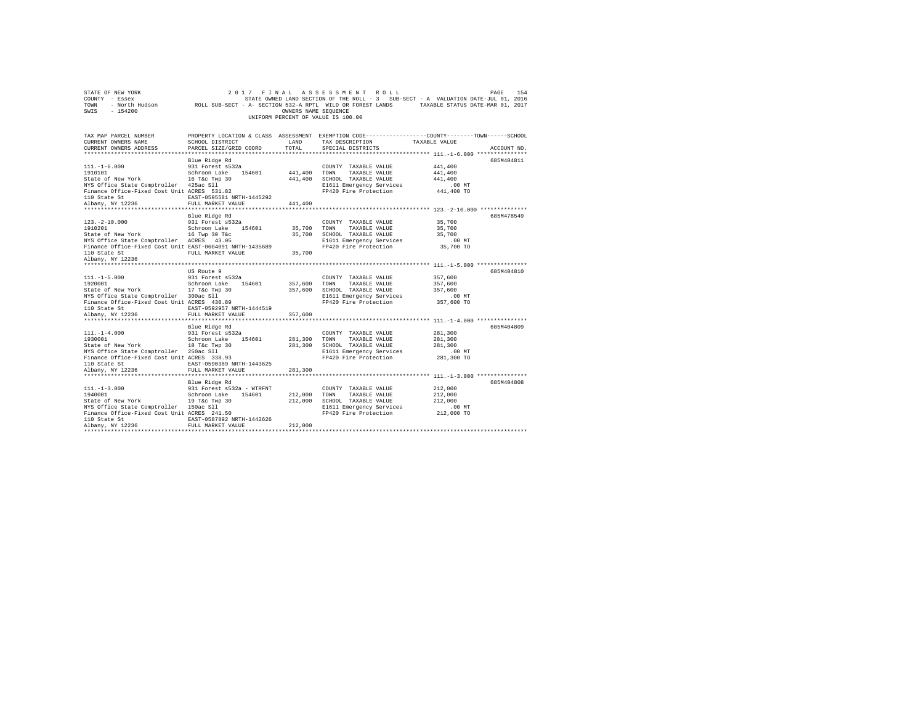| STATE OF NEW YORK<br>COUNTY - Essex<br>TOWN<br>SWIS<br>$-154200$                                                                                                                |                                                                                                                                      | OWNERS NAME SEQUENCE          | 2017 FINAL ASSESSMENT ROLL<br>UNIFORM PERCENT OF VALUE IS 100.00                                                           | PAGE<br>154<br>STATE OWNED LAND SECTION OF THE ROLL - 3 SUB-SECT - A VALUATION DATE-JUL 01, 2016<br>- North Hudson TROLL SUB-SECT - A- SECTION 532-A RPTL WILD OR FOREST LANDS TAXABLE STATUS DATE-MAR 01, 2017 |
|---------------------------------------------------------------------------------------------------------------------------------------------------------------------------------|--------------------------------------------------------------------------------------------------------------------------------------|-------------------------------|----------------------------------------------------------------------------------------------------------------------------|-----------------------------------------------------------------------------------------------------------------------------------------------------------------------------------------------------------------|
| TAX MAP PARCEL NUMBER<br>CURRENT OWNERS NAME<br>CURRENT OWNERS ADDRESS                                                                                                          | SCHOOL DISTRICT<br>PARCEL SIZE/GRID COORD                                                                                            | LAND<br>TOTAL                 | TAX DESCRIPTION<br>SPECIAL DISTRICTS                                                                                       | PROPERTY LOCATION & CLASS ASSESSMENT EXEMPTION CODE---------------COUNTY-------TOWN-----SCHOOL<br>TAXABLE VALUE<br>ACCOUNT NO.                                                                                  |
| $111. - 1 - 6.000$<br>1910101<br>State of New York<br>NYS Office State Comptroller 425ac Sll<br>Finance Office-Fixed Cost Unit ACRES 531.82<br>110 State St<br>Albany, NY 12236 | Blue Ridge Rd<br>931 Forest s532a<br>Schroon Lake 154601<br>16 T&C Twp 30<br>EAST-0595581 NRTH-1445292<br>FULL MARKET VALUE          | 441,400<br>441,400<br>441,400 | COUNTY TAXABLE VALUE<br>TOWN<br>TAXABLE VALUE<br>SCHOOL TAXABLE VALUE<br>E1611 Emergency Services<br>FP420 Fire Protection | 685M404811<br>441,400<br>441,400<br>441,400<br>$.00$ MT<br>441,400 TO                                                                                                                                           |
|                                                                                                                                                                                 |                                                                                                                                      |                               |                                                                                                                            |                                                                                                                                                                                                                 |
| $123. - 2 - 10.000$<br>1910201<br>State of New York<br>NYS Office State Comptroller ACRES 43.05<br>Finance Office-Fixed Cost Unit EAST-0604091 NRTH-1435689                     | Blue Ridge Rd<br>931 Forest s532a<br>Schroon Lake 154601<br>16 Twp 30 T&c                                                            | 35,700<br>35,700              | COUNTY TAXABLE VALUE<br>TAXABLE VALUE<br>TOWN<br>SCHOOL TAXABLE VALUE<br>E1611 Emergency Services<br>FP420 Fire Protection | 685M478549<br>35,700<br>35,700<br>35,700<br>$.00$ MT<br>35,700 TO                                                                                                                                               |
| 110 State St<br>Albany, NY 12236                                                                                                                                                | FULL MARKET VALUE                                                                                                                    | 35,700                        |                                                                                                                            |                                                                                                                                                                                                                 |
| $111. -1 - 5.000$<br>1920001<br>State of New York<br>NYS Office State Comptroller 300ac Sll<br>Finance Office-Fixed Cost Unit ACRES 430.89<br>110 State St                      | US Route 9<br>931 Forest s532a<br>Schroon Lake 154601<br>17 T&c Twp 30<br>EAST-0592957 NRTH-1444519                                  | 357.600<br>357.600            | COUNTY TAXABLE VALUE<br>TAXABLE VALUE<br>TOWN<br>SCHOOL TAXABLE VALUE<br>E1611 Emergency Services<br>FP420 Fire Protection | 685M404810<br>357,600<br>357,600<br>357,600<br>$.00$ MT<br>357,600 TO                                                                                                                                           |
| Albany, NY 12236                                                                                                                                                                | FULL MARKET VALUE                                                                                                                    | 357,600                       |                                                                                                                            |                                                                                                                                                                                                                 |
|                                                                                                                                                                                 | Blue Ridge Rd                                                                                                                        |                               |                                                                                                                            | 685M404809                                                                                                                                                                                                      |
| $111. - 1 - 4.000$<br>1930001<br>State of New York<br>NYS Office State Comptroller 250ac Sll<br>Finance Office-Fixed Cost Unit ACRES 338.93<br>110 State St<br>Albany, NY 12236 | 931 Forest s532a<br>Schroon Lake 154601<br>18 T&c Twp 30<br>EAST-0590389 NRTH-1443625<br>FULL MARKET VALUE                           | 281,300<br>281,300<br>281,300 | COUNTY TAXABLE VALUE<br>TOWN<br>TAXABLE VALUE<br>SCHOOL TAXABLE VALUE<br>E1611 Emergency Services<br>FP420 Fire Protection | 281,300<br>281,300<br>281,300<br>$.00$ MT<br>281,300 TO                                                                                                                                                         |
|                                                                                                                                                                                 |                                                                                                                                      |                               |                                                                                                                            | ************************************ 111.-1-3.000 ****************                                                                                                                                              |
| $111. -1 - 3.000$<br>1940001<br>State of New York<br>NYS Office State Comptroller 150ac Sll<br>Finance Office-Fixed Cost Unit ACRES 241.50<br>110 State St<br>Albany, NY 12236  | Blue Ridge Rd<br>931 Forest s532a - WTRFNT<br>Schroon Lake 154601<br>19 T&c Twp 30<br>EAST-0587892 NRTH-1442626<br>FULL MARKET VALUE | 212,000<br>212,000<br>212,000 | COUNTY TAXABLE VALUE<br>TOWN<br>TAXABLE VALUE<br>SCHOOL TAXABLE VALUE<br>E1611 Emergency Services<br>FP420 Fire Protection | 685M404808<br>212,000<br>212,000<br>212,000<br>$.00$ MT<br>212,000 TO                                                                                                                                           |
|                                                                                                                                                                                 |                                                                                                                                      |                               |                                                                                                                            |                                                                                                                                                                                                                 |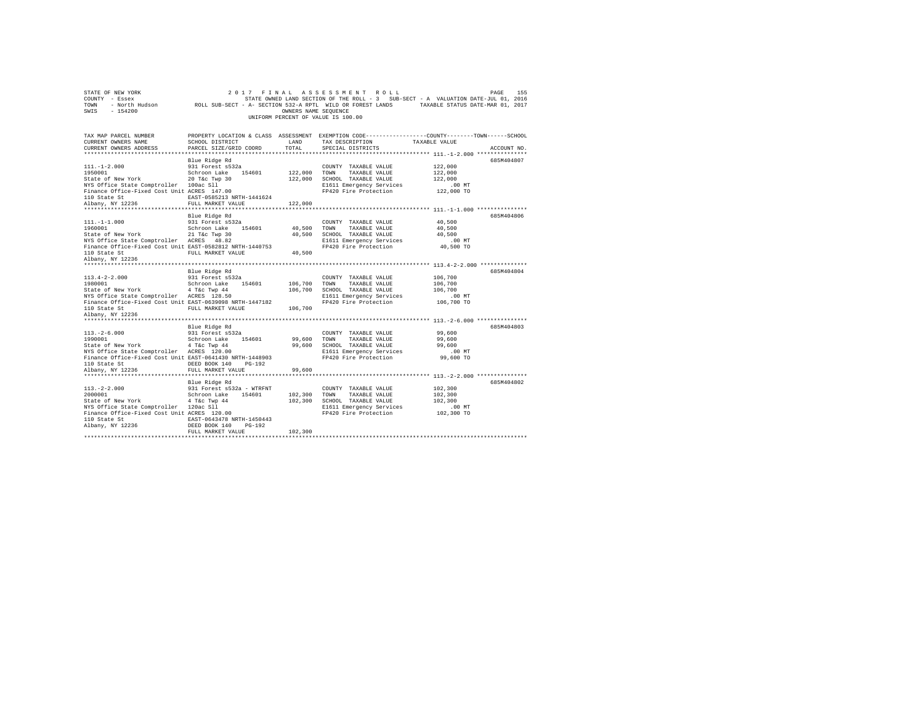| STATE OF NEW YORK<br>COUNTY - Essex<br>TOWN<br>- North Hudson<br>SWIS - 154200                                          | ROLL SUB-SECT - A- SECTION 532-A RPTL WILD OR FOREST LANDS TAXABLE STATUS DATE-MAR 01, 2017 | OWNERS NAME SEQUENCE | 2017 FINAL ASSESSMENT ROLL<br>STATE OWNED LAND SECTION OF THE ROLL - 3 SUB-SECT - A VALUATION DATE-JUL 01, 2016<br>UNIFORM PERCENT OF VALUE IS 100.00 |                                                  | 155<br>PAGE |
|-------------------------------------------------------------------------------------------------------------------------|---------------------------------------------------------------------------------------------|----------------------|-------------------------------------------------------------------------------------------------------------------------------------------------------|--------------------------------------------------|-------------|
| TAX MAP PARCEL NUMBER<br>CURRENT OWNERS NAME<br>CURRENT OWNERS ADDRESS                                                  | SCHOOL DISTRICT<br>PARCEL SIZE/GRID COORD                                                   | LAND<br>TOTAL        | PROPERTY LOCATION & CLASS ASSESSMENT EXEMPTION CODE---------------COUNTY-------TOWN-----SCHOOL<br>TAX DESCRIPTION<br>SPECIAL DISTRICTS                | TAXABLE VALUE                                    | ACCOUNT NO. |
|                                                                                                                         |                                                                                             |                      |                                                                                                                                                       | ******************* 111.-1-2.000 *************** |             |
|                                                                                                                         | Blue Ridge Rd                                                                               |                      |                                                                                                                                                       |                                                  | 685M404807  |
| $111. - 1 - 2.000$                                                                                                      | 931 Forest s532a                                                                            |                      | COUNTY TAXABLE VALUE                                                                                                                                  | 122,000                                          |             |
| 1950001                                                                                                                 | Schroon Lake 154601                                                                         | 122,000 TOWN         | TAXABLE VALUE                                                                                                                                         | 122,000                                          |             |
| State of New York                                                                                                       | 20 T&c Twp 30                                                                               |                      | 122,000 SCHOOL TAXABLE VALUE                                                                                                                          | 122,000                                          |             |
| NYS Office State Comptroller 100ac Sll                                                                                  |                                                                                             |                      | E1611 Emergency Services                                                                                                                              | $.00$ MT                                         |             |
| Finance Office-Fixed Cost Unit ACRES 147.00                                                                             |                                                                                             |                      | FP420 Fire Protection                                                                                                                                 | 122,000 TO                                       |             |
| 110 State St<br>Albany, NY 12236                                                                                        | EAST-0585213 NRTH-1441624<br>FULL MARKET VALUE                                              |                      |                                                                                                                                                       |                                                  |             |
|                                                                                                                         |                                                                                             | 122,000              |                                                                                                                                                       |                                                  |             |
|                                                                                                                         | Blue Ridge Rd                                                                               |                      |                                                                                                                                                       |                                                  | 685M404806  |
| $111. - 1 - 1.000$                                                                                                      | 931 Forest s532a                                                                            |                      | COUNTY TAXABLE VALUE                                                                                                                                  | 40,500                                           |             |
| 1960001                                                                                                                 | Schroon Lake 154601                                                                         | 40.500 TOWN          | TAXABLE VALUE                                                                                                                                         | 40.500                                           |             |
|                                                                                                                         |                                                                                             |                      | 40.500 SCHOOL TAXABLE VALUE                                                                                                                           | 40.500                                           |             |
| State of New York 21 T&C Twp 30<br>NYS Office State Comptroller ACRES 48.82                                             |                                                                                             |                      | E1611 Emergency Services                                                                                                                              | $.00$ MT                                         |             |
| Finance Office-Fixed Cost Unit EAST-0582812 NRTH-1440753                                                                |                                                                                             |                      | FP420 Fire Protection                                                                                                                                 | 40,500 TO                                        |             |
| 110 State St                                                                                                            | FULL MARKET VALUE                                                                           | 40,500               |                                                                                                                                                       |                                                  |             |
| Albany, NY 12236                                                                                                        |                                                                                             |                      |                                                                                                                                                       |                                                  |             |
|                                                                                                                         | Blue Ridge Rd                                                                               |                      |                                                                                                                                                       |                                                  | 685M404804  |
| $113.4 - 2 - 2.000$                                                                                                     | 931 Forest s532a                                                                            |                      | COUNTY TAXABLE VALUE                                                                                                                                  | 106,700                                          |             |
| 1980001                                                                                                                 | Schroon Lake 154601                                                                         | 106,700 TOWN         | TAXABLE VALUE                                                                                                                                         | 106,700                                          |             |
|                                                                                                                         |                                                                                             |                      | 106,700 SCHOOL TAXABLE VALUE                                                                                                                          | 106,700                                          |             |
| State of New York 4 T&c Twp 44<br>NYS Office State Comptroller ACRES 128.50                                             |                                                                                             |                      | E1611 Emergency Services                                                                                                                              | $.00$ MT                                         |             |
| Finance Office-Fixed Cost Unit EAST-0639098 NRTH-1447182                                                                |                                                                                             |                      | FP420 Fire Protection                                                                                                                                 | 106,700 TO                                       |             |
| 110 State St                                                                                                            | FULL MARKET VALUE                                                                           | 106,700              |                                                                                                                                                       |                                                  |             |
| Albany, NY 12236                                                                                                        |                                                                                             |                      |                                                                                                                                                       |                                                  |             |
|                                                                                                                         |                                                                                             |                      |                                                                                                                                                       |                                                  |             |
|                                                                                                                         | Blue Ridge Rd                                                                               |                      |                                                                                                                                                       |                                                  | 685M404803  |
| $113. - 2 - 6.000$<br>1990001                                                                                           | 931 Forest s532a                                                                            |                      | COUNTY TAXABLE VALUE                                                                                                                                  | 99,600                                           |             |
| State of New York                                                                                                       | Schroon Lake 154601<br>4 T&c Twp 44                                                         | 99,600 TOWN          | TAXABLE VALUE<br>99,600 SCHOOL TAXABLE VALUE                                                                                                          | 99,600<br>99,600                                 |             |
| NYS Office State Comptroller ACRES 120.00                                                                               |                                                                                             |                      | E1611 Emergency Services                                                                                                                              | $.00$ MT                                         |             |
| Finance Office-Fixed Cost Unit EAST-0641430 NRTH-1448903                                                                |                                                                                             |                      | FP420 Fire Protection                                                                                                                                 | 99,600 TO                                        |             |
| 110 State St                                                                                                            | DEED BOOK 140 PG-192                                                                        |                      |                                                                                                                                                       |                                                  |             |
| Albany, NY 12236                                                                                                        | FULL MARKET VALUE                                                                           | 99,600               |                                                                                                                                                       |                                                  |             |
| *********************                                                                                                   |                                                                                             |                      |                                                                                                                                                       | ************** 113. -2-2.000 ****************    |             |
|                                                                                                                         | Blue Ridge Rd                                                                               |                      |                                                                                                                                                       |                                                  | 685M404802  |
| $113. -2 - 2.000$                                                                                                       | 931 Forest s532a - WTRFNT                                                                   |                      | COUNTY TAXABLE VALUE                                                                                                                                  | 102,300                                          |             |
| 2000001                                                                                                                 | Schroon Lake 154601                                                                         | 102,300 TOWN         | TAXABLE VALUE                                                                                                                                         | 102,300                                          |             |
| State of New York 4 T&C Twp 44<br>NYS Office State Comptroller 120ac Sll<br>Finance Office-Fixed Cost Unit ACRES 120.00 |                                                                                             |                      | 102,300 SCHOOL TAXABLE VALUE                                                                                                                          | 102,300                                          |             |
|                                                                                                                         |                                                                                             |                      | E1611 Emergency Services<br>FP420 Fire Protection                                                                                                     | $.00$ MT<br>102,300 TO                           |             |
| 110 State St                                                                                                            | EAST-0643478 NRTH-1450443                                                                   |                      |                                                                                                                                                       |                                                  |             |
| Albany, NY 12236                                                                                                        | DEED BOOK 140 PG-192                                                                        |                      |                                                                                                                                                       |                                                  |             |
|                                                                                                                         | FULL MARKET VALUE                                                                           | 102,300              |                                                                                                                                                       |                                                  |             |
|                                                                                                                         |                                                                                             |                      |                                                                                                                                                       |                                                  |             |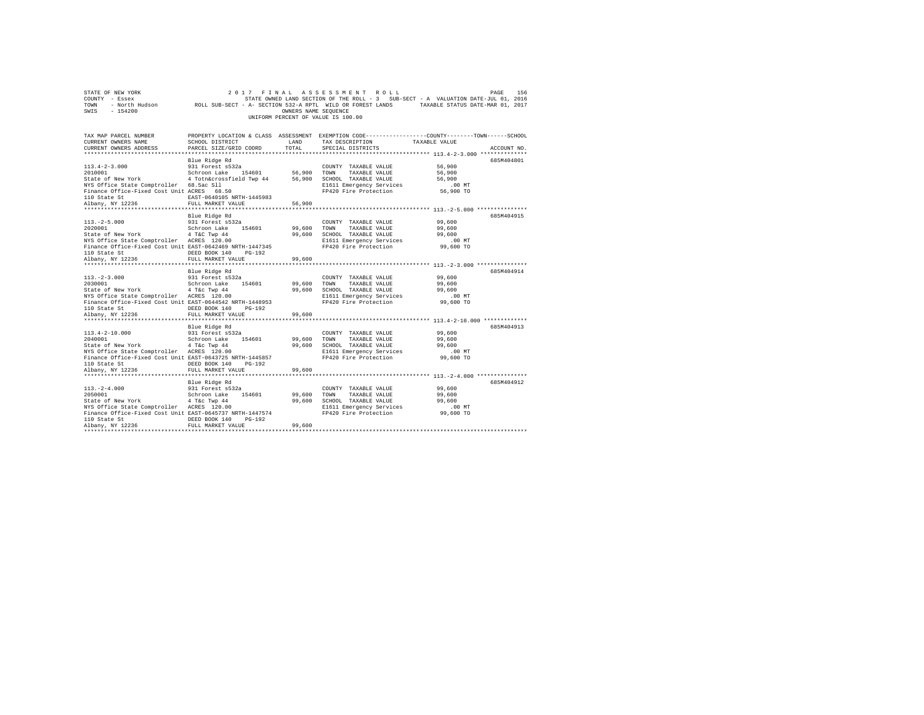|                                    | STATE OF NEW YORK | 2017 FINAL ASSESSMENT ROLL                                 |                      |  |                                                                                   |                                  | PAGE | 156 |
|------------------------------------|-------------------|------------------------------------------------------------|----------------------|--|-----------------------------------------------------------------------------------|----------------------------------|------|-----|
|                                    | COUNTY - Essex    |                                                            |                      |  | STATE OWNED LAND SECTION OF THE ROLL - 3 SUB-SECT - A VALUATION DATE-JUL 01, 2016 |                                  |      |     |
| TOWN                               | - North Hudson    | ROLL SUB-SECT - A- SECTION 532-A RPTL WILD OR FOREST LANDS |                      |  |                                                                                   | TAXABLE STATUS DATE-MAR 01, 2017 |      |     |
| SWIS                               | - 154200          |                                                            | OWNERS NAME SEOUENCE |  |                                                                                   |                                  |      |     |
| UNIFORM PERCENT OF VALUE IS 100.00 |                   |                                                            |                      |  |                                                                                   |                                  |      |     |

| TAX MAP PARCEL NUMBER<br>CURRENT OWNERS NAME<br>CURRENT OWNERS ADDRESS | SCHOOL DISTRICT<br>PARCEL SIZE/GRID COORD | <b>T.AND</b><br>TOTAL. | TAX DESCRIPTION<br>SPECIAL DISTRICTS             | PROPERTY LOCATION & CLASS ASSESSMENT EXEMPTION CODE----------------COUNTY-------TOWN------SCHOOL<br>TAXABLE VALUE<br>ACCOUNT NO. |
|------------------------------------------------------------------------|-------------------------------------------|------------------------|--------------------------------------------------|----------------------------------------------------------------------------------------------------------------------------------|
|                                                                        |                                           |                        |                                                  |                                                                                                                                  |
|                                                                        | Blue Ridge Rd                             |                        |                                                  | 685M404801                                                                                                                       |
| $113.4 - 2 - 3.000$                                                    | 931 Forest s532a                          |                        | COUNTY TAXABLE VALUE                             | 56,900                                                                                                                           |
| 2010001                                                                | 154601 56,900<br>Schroon Lake             |                        | TOWN<br>TAXABLE VALUE                            | 56,900                                                                                                                           |
| State of New York 4 Totn&crossfield Twp 44                             |                                           | 56,900                 | SCHOOL TAXABLE VALUE                             | 56,900                                                                                                                           |
| NYS Office State Comptroller 68.5ac Sll                                |                                           |                        | E1611 Emergency Services                         | .00 MT                                                                                                                           |
| Finance Office-Fixed Cost Unit ACRES 68.50                             |                                           |                        | FP420 Fire Protection                            | 56,900 TO                                                                                                                        |
| 110 State St                                                           | EAST-0640105 NRTH-1445983                 |                        |                                                  |                                                                                                                                  |
| Albany, NY 12236                                                       | FULL MARKET VALUE                         | 56,900                 |                                                  |                                                                                                                                  |
|                                                                        |                                           |                        |                                                  |                                                                                                                                  |
|                                                                        | Blue Ridge Rd                             |                        |                                                  | 685M404915                                                                                                                       |
| $113. - 2 - 5.000$<br>2020001                                          | 931 Forest s532a<br>Schroon Lake 154601   | 99,600                 | COUNTY TAXABLE VALUE<br>TOWN<br>TAXABLE VALUE    | 99,600                                                                                                                           |
| State of New York 4 T&C Twp 44                                         |                                           | 99,600                 |                                                  | 99,600<br>99,600                                                                                                                 |
| NYS Office State Comptroller ACRES 120.00                              |                                           |                        | SCHOOL TAXABLE VALUE<br>E1611 Emergency Services | $.00$ MT                                                                                                                         |
| Finance Office-Fixed Cost Unit EAST-0642469 NRTH-1447345               |                                           |                        | FP420 Fire Protection                            | 99,600 TO                                                                                                                        |
| 110 State St                                                           | DEED BOOK 140<br>$PG-192$                 |                        |                                                  |                                                                                                                                  |
| Albany, NY 12236                                                       | FULL MARKET VALUE                         | 99,600                 |                                                  |                                                                                                                                  |
|                                                                        |                                           |                        |                                                  |                                                                                                                                  |
|                                                                        | Blue Ridge Rd                             |                        |                                                  | 685M404914                                                                                                                       |
| $113. - 2 - 3.000$                                                     | 931 Forest s532a                          |                        | COUNTY TAXABLE VALUE                             | 99,600                                                                                                                           |
| 2030001                                                                | Schroon Lake 154601                       | 99,600                 | TOWN<br>TAXABLE VALUE                            | 99,600                                                                                                                           |
| State of New York 4 T&C Twp 44                                         |                                           |                        | 99.600 SCHOOL TAXABLE VALUE                      | 99,600                                                                                                                           |
| NYS Office State Comptroller ACRES 120.00                              |                                           |                        | E1611 Emergency Services                         | .00 MT                                                                                                                           |
| Finance Office-Fixed Cost Unit EAST-0644542 NRTH-1448953               |                                           |                        | FP420 Fire Protection                            | 99,600 TO                                                                                                                        |
| 110 State St                                                           | DEED BOOK 140<br>PG-192                   |                        |                                                  |                                                                                                                                  |
| Albany, NY 12236                                                       | FULL MARKET VALUE                         | 99,600                 |                                                  |                                                                                                                                  |
|                                                                        | Blue Ridge Rd                             |                        |                                                  | 685M404913                                                                                                                       |
| $113.4 - 2 - 10.000$                                                   | 931 Forest s532a                          |                        | COUNTY TAXABLE VALUE                             | 99,600                                                                                                                           |
| 2040001                                                                |                                           | 99,600                 | TOWN<br>TAXABLE VALUE                            | 99,600                                                                                                                           |
| State of New York                                                      | Schroon Lake 154601<br>4 T&c Twp 44       | 99,600                 | SCHOOL TAXABLE VALUE                             | 99,600                                                                                                                           |
| NYS Office State Comptroller ACRES 120.00                              |                                           |                        | E1611 Emergency Services                         | .00 MT                                                                                                                           |
| Finance Office-Fixed Cost Unit EAST-0643725 NRTH-1445857               |                                           |                        | FP420 Fire Protection                            | 99,600 TO                                                                                                                        |
| 110 State St                                                           | DEED BOOK 140<br>PG-192                   |                        |                                                  |                                                                                                                                  |
| Albany, NY 12236                                                       | FULL MARKET VALUE                         | 99,600                 |                                                  |                                                                                                                                  |
|                                                                        |                                           |                        |                                                  |                                                                                                                                  |
|                                                                        | Blue Ridge Rd                             |                        |                                                  | 685M404912                                                                                                                       |
| $113. - 2 - 4.000$                                                     | 931 Forest s532a                          |                        | COUNTY TAXABLE VALUE                             | 99,600                                                                                                                           |
| 2050001                                                                | 154601<br>Schroon Lake                    | 99,600                 | TOWN<br>TAXABLE VALUE                            | 99,600                                                                                                                           |
| State of New York 4 T&C Twp 44                                         |                                           | 99,600                 | SCHOOL TAXABLE VALUE                             | 99,600                                                                                                                           |
| NYS Office State Comptroller ACRES 120.00                              |                                           |                        | E1611 Emergency Services                         | $.00$ MT                                                                                                                         |
| Finance Office-Fixed Cost Unit EAST-0645737 NRTH-1447574               |                                           |                        | FP420 Fire Protection                            | 99,600 TO                                                                                                                        |
| 110 State St                                                           | DEED BOOK 140<br>$PG-192$                 |                        |                                                  |                                                                                                                                  |
| Albanv, NY 12236                                                       | FULL MARKET VALUE                         | 99,600                 |                                                  |                                                                                                                                  |
|                                                                        |                                           |                        |                                                  |                                                                                                                                  |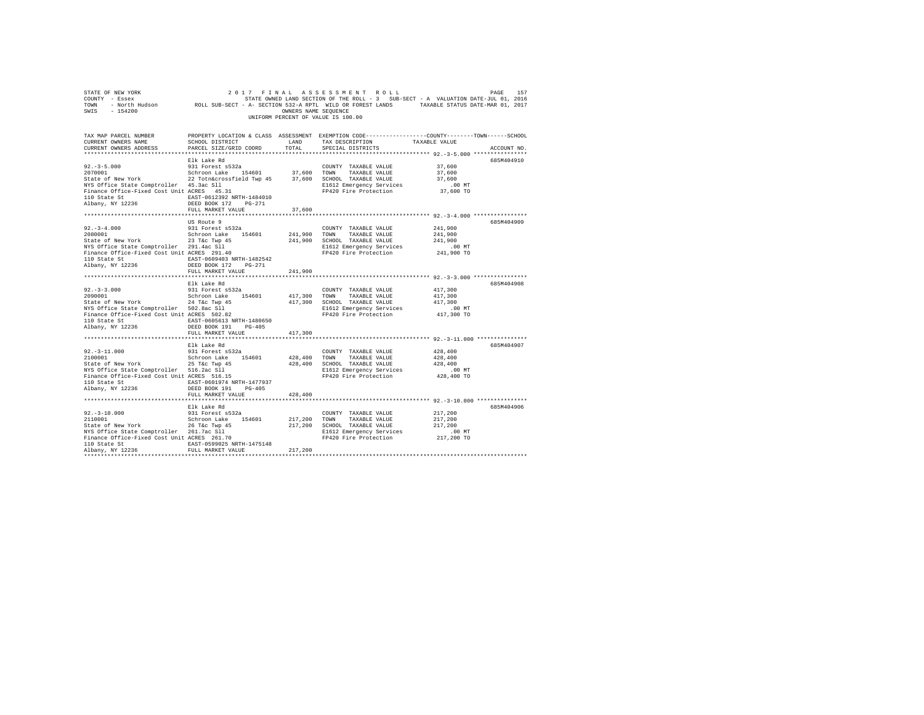| $\begin{array}{cccccccccccccc} \texttt{STATE OF NEW VOER} & \texttt{D0ER} & \texttt{D17} & \texttt{P1} & \texttt{A} & \texttt{A} & \texttt{S} & \texttt{S} & \texttt{S} & \texttt{S} & \texttt{M1} & \texttt{P1} & \texttt{D1} & \texttt{D1} & \texttt{P1} & \texttt{P1} & \texttt{P1} & \texttt{P2} & \texttt{P3} & \texttt{P4} & \texttt{P5} & \texttt{P6} & \texttt{P7} & \texttt{P7} & \texttt{P8} & \texttt{P8} & \texttt$<br>SWIS - 154200                                           |                                                                                                                   | OWNERS NAME SEQUENCE | UNIFORM PERCENT OF VALUE IS 100.00                                                                                                                                                   |                                                                                                            |             |
|--------------------------------------------------------------------------------------------------------------------------------------------------------------------------------------------------------------------------------------------------------------------------------------------------------------------------------------------------------------------------------------------------------------------------------------------------------------------------------------------|-------------------------------------------------------------------------------------------------------------------|----------------------|--------------------------------------------------------------------------------------------------------------------------------------------------------------------------------------|------------------------------------------------------------------------------------------------------------|-------------|
| TAX MAP PARCEL NUMBER<br>CURRENT OWNERS NAME<br>CURRENT OWNERS ADDRESS PARCEL SIZE/GRID COORD                                                                                                                                                                                                                                                                                                                                                                                              | PROPERTY LOCATION & CLASS ASSESSMENT EXEMPTION CODE---------------COUNTY-------TOWN-----SCHOOL<br>SCHOOL DISTRICT | LAND<br>TOTAL        | TAX DESCRIPTION TAXABLE VALUE<br>SPECIAL DISTRICTS                                                                                                                                   |                                                                                                            | ACCOUNT NO. |
| $\begin{tabular}{lllllllllll} \texttt{110 State St} & \texttt{EAST-0612392 NRTH-1484010} \\ \texttt{Albany, NY 12236} & & \texttt{DEED BOK} & \texttt{172} & \texttt{PG-271} \\ \end{tabular}$                                                                                                                                                                                                                                                                                             | Elk Lake Rd<br>FULL MARKET VALUE                                                                                  | 37,600               | $\begin{tabular}{llllll} \textbf{COUNTY} & \textbf{TAXABLE} & \textbf{VALUE} & \textbf{37,600} \end{tabular}$<br>E1612 Emergency Services 6.00 MT<br>FP420 Fire Protection 37,600 TO | 37,600<br>37,600<br>$.00$ MT                                                                               | 685M404910  |
|                                                                                                                                                                                                                                                                                                                                                                                                                                                                                            |                                                                                                                   |                      |                                                                                                                                                                                      |                                                                                                            |             |
| $92. -3 - 4.000$<br>2080001<br>State of New York<br>23 T&C Twp 45<br>NYS Office State Comptroller<br>Pinance Office-Fixed Cost Unit ACRES 291.40<br>110 State St<br>$\text{BAST}-0609403 \text{ NRTH}-1482542$<br>$\text{DBayy, NY } 12236$<br>$\text{DEED } B00K 172$<br>$\text{PGI} = 900K 172$<br>$\text{PITY} = 1482542$                                                                                                                                                               | US Route 9<br>931 Forest s532a<br>Schroon Lake 154601                                                             |                      | COUNTY TAXABLE VALUE<br>241,900 TOWN TAXABLE VALUE<br>241,900 SCHOOL TAXABLE VALUE<br>E1612 Emergency Services<br>FP420 Fire Protection                                              | 241,900<br>241,900<br>241,900<br>$.00$ MT<br>241,900 TO                                                    | 685M404909  |
|                                                                                                                                                                                                                                                                                                                                                                                                                                                                                            | FULL MARKET VALUE 241,900                                                                                         |                      |                                                                                                                                                                                      |                                                                                                            |             |
| $92.-3-3.000$<br>2090001<br>200001<br>2010001<br>2010001<br>2010001<br>2010001<br>201001<br>201001<br>201001<br>201001<br>201001<br>201001<br>201001<br>201001<br>201001<br>201001<br>201001<br>201001<br>20101<br>20101<br>20101<br>20101<br>20101<br>20101<br>20101<br>20101<br>20101<br>20101<br>20101<br>20101<br>${\small \begin{tabular}{lcccccc} 110 State St & & & & & \tt EAST-0605613 NRTH-1480650 \\ Albany, NY & 12236 & & & & & \tt DEED BOOK 191 & PG-405 \\ \end{tabular}}$ | Elk Lake Rd<br>931 Forest s532a                                                                                   |                      | COUNTY TAXABLE VALUE                                                                                                                                                                 | 417,300<br>.00 MT<br>417,300 TO                                                                            | 685M404908  |
|                                                                                                                                                                                                                                                                                                                                                                                                                                                                                            | FULL MARKET VALUE                                                                                                 | 417,300              |                                                                                                                                                                                      |                                                                                                            |             |
| $92. -3 - 11.000$<br>${\small \begin{tabular}{l} 110 State St & \small \texttt{EAST-0601974 NRTH-1477937} \\ \small \texttt{Albany, NY 12236} \end{tabular}}$                                                                                                                                                                                                                                                                                                                              | Elk Lake Rd<br>931 Forest s532a                                                                                   |                      | COUNTY TAXABLE VALUE<br>428,400 SCHOOL TAXABLE VALUE<br>E1612 Emergency Services .00 MT<br>FP420 Fire Protection 428,400 TO                                                          | 428,400<br>428,400<br>428,400                                                                              | 685M404907  |
|                                                                                                                                                                                                                                                                                                                                                                                                                                                                                            | FULL MARKET VALUE                                                                                                 | 428,400              |                                                                                                                                                                                      |                                                                                                            |             |
| ******************************<br>$92. -3 - 10.000$<br>2110001<br>State of New York<br>26 T&c Twp 45<br>NYS Office State Comptroller<br>Prinance Office-Fixed Cost Unit ACRES 261.70<br>110 State St EAST-0599025 NRTH-1475148<br>Albany, NY 12236                                                                                                                                                                                                                                         | ********************<br>Elk Lake Rd<br>931 Forest s532a<br>Schroon Lake 154601<br>FULL MARKET VALUE               | 217,200              | COUNTY TAXABLE VALUE<br>217,200 TOWN TAXABLE VALUE<br>217,200 SCHOOL TAXABLE VALUE<br>E1612 Emergency Services<br>FP420 Fire Protection                                              | ******************** 92.-3-10.000 ***************<br>217,200<br>217,200<br>217,200<br>.00 MT<br>217,200 TO | 685M404906  |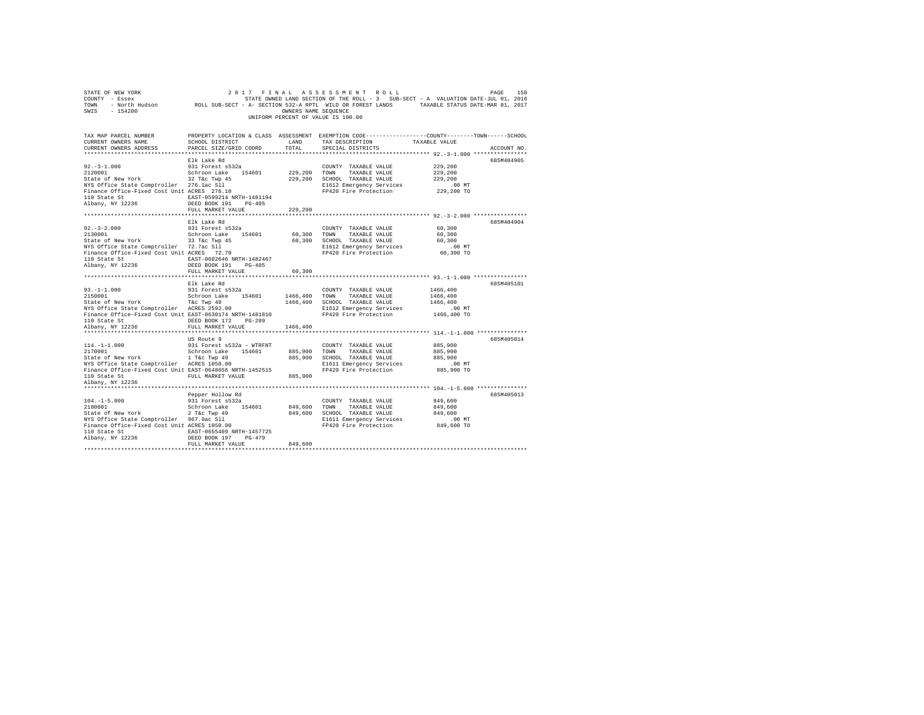| STATE OF NEW YORK<br>COUNTY - Essex<br>TOWN - North Hudson ROLL SUB-SECT - A- SECTION 532-A RPTL WILD OR FOREST LANDS TAXABLE STATUS DATE-MAR 01, 2017<br>SWIS - 154200 |                                                   | OWNERS NAME SEQUENCE | 2017 FINAL ASSESSMENT ROLL<br>STATE OWNED LAND SECTION OF THE ROLL - 3 SUB-SECT - A VALUATION DATE-JUL 01, 2016<br>UNIFORM PERCENT OF VALUE IS 100.00 |                                                            | 158<br>PAGE |
|-------------------------------------------------------------------------------------------------------------------------------------------------------------------------|---------------------------------------------------|----------------------|-------------------------------------------------------------------------------------------------------------------------------------------------------|------------------------------------------------------------|-------------|
| TAX MAP PARCEL NUMBER<br>CURRENT OWNERS NAME                                                                                                                            | SCHOOL DISTRICT                                   | LAND                 | PROPERTY LOCATION & CLASS ASSESSMENT EXEMPTION CODE---------------COUNTY-------TOWN------SCHOOL<br>TAX DESCRIPTION                                    | TAXABLE VALUE                                              |             |
| CURRENT OWNERS ADDRESS                                                                                                                                                  | PARCEL SIZE/GRID COORD                            | TOTAL                | SPECIAL DISTRICTS                                                                                                                                     |                                                            | ACCOUNT NO. |
|                                                                                                                                                                         |                                                   |                      |                                                                                                                                                       | ***************************** 92.-3-1.000 **************** |             |
|                                                                                                                                                                         | Elk Lake Rd                                       |                      |                                                                                                                                                       |                                                            | 685M404905  |
| $92. -3 - 1.000$                                                                                                                                                        | 931 Forest s532a                                  |                      | COUNTY TAXABLE VALUE                                                                                                                                  | 229,200                                                    |             |
| 2120001                                                                                                                                                                 | Schroon Lake 154601                               | 229.200 TOWN         | TAXABLE VALUE                                                                                                                                         | 229,200                                                    |             |
| State of New York                                                                                                                                                       | $32$ T&c Twp $45$                                 |                      | 229,200 SCHOOL TAXABLE VALUE                                                                                                                          | 229,200                                                    |             |
| NYS Office State Comptroller 276.1ac S11                                                                                                                                |                                                   |                      | E1612 Emergency Services                                                                                                                              | $.00$ MT                                                   |             |
| Finance Office-Fixed Cost Unit ACRES 276.10                                                                                                                             |                                                   |                      | FP420 Fire Protection                                                                                                                                 | 229,200 TO                                                 |             |
| 110 State St<br>Albany, NY 12236                                                                                                                                        | EAST-0599214 NRTH-1481194<br>DEED BOOK 191 PG-405 |                      |                                                                                                                                                       |                                                            |             |
|                                                                                                                                                                         | FULL MARKET VALUE                                 | 229,200              |                                                                                                                                                       |                                                            |             |
|                                                                                                                                                                         |                                                   |                      |                                                                                                                                                       |                                                            |             |
|                                                                                                                                                                         | Elk Lake Rd                                       |                      |                                                                                                                                                       |                                                            | 685M404904  |
| $92. -3 - 2.000$                                                                                                                                                        | 931 Forest s532a                                  |                      | COUNTY TAXABLE VALUE                                                                                                                                  | 60,300                                                     |             |
| 2130001                                                                                                                                                                 | Schroon Lake 154601                               | 60,300 TOWN          | TAXABLE VALUE                                                                                                                                         | 60,300                                                     |             |
| State of New York                                                                                                                                                       | 33 T&C Twp 45                                     |                      | 60,300 SCHOOL TAXABLE VALUE                                                                                                                           | 60,300                                                     |             |
|                                                                                                                                                                         |                                                   |                      | E1612 Emergency Services                                                                                                                              | $.00$ MT                                                   |             |
| NYS Office State Comptroller 72.7ac Sll<br>Finance Office-Fixed Cost Unit ACRES 72.70                                                                                   |                                                   |                      | FP420 Fire Protection                                                                                                                                 | 60,300 TO                                                  |             |
| 110 State St                                                                                                                                                            | EAST-0602646 NRTH-1482467                         |                      |                                                                                                                                                       |                                                            |             |
| Albany, NY 12236                                                                                                                                                        | DEED BOOK 191 PG-405                              |                      |                                                                                                                                                       |                                                            |             |
|                                                                                                                                                                         | FULL MARKET VALUE                                 | 60,300               |                                                                                                                                                       |                                                            |             |
|                                                                                                                                                                         |                                                   |                      |                                                                                                                                                       |                                                            |             |
|                                                                                                                                                                         | Elk Lake Rd                                       |                      |                                                                                                                                                       |                                                            | 685M405101  |
| $93. -1 - 1.000$<br>2150001                                                                                                                                             | 931 Forest s532a                                  |                      | COUNTY TAXABLE VALUE                                                                                                                                  | 1466,400                                                   |             |
|                                                                                                                                                                         | Schroon Lake 154601                               | 1466,400 TOWN        | TAXABLE VALUE<br>1466,400 SCHOOL TAXABLE VALUE                                                                                                        | 1466,400<br>1466,400                                       |             |
| State of New York T&C Twp 48<br>NYS Office State Comptroller ACRES 2592.00                                                                                              |                                                   |                      | E1612 Emergency Services                                                                                                                              | . 00 MT                                                    |             |
| Finance Office-Fixed Cost Unit EAST-0630174 NRTH-1481810                                                                                                                |                                                   |                      | FP420 Fire Protection                                                                                                                                 | 1466,400 TO                                                |             |
| 110 State St                                                                                                                                                            | DEED BOOK 172 PG-289                              |                      |                                                                                                                                                       |                                                            |             |
| Albany, NY 12236                                                                                                                                                        | FULL MARKET VALUE                                 | 1466,400             |                                                                                                                                                       |                                                            |             |
|                                                                                                                                                                         |                                                   |                      |                                                                                                                                                       |                                                            |             |
|                                                                                                                                                                         | US Route 9                                        |                      |                                                                                                                                                       |                                                            | 685M405014  |
| $114. - 1 - 1.000$                                                                                                                                                      | 931 Forest s532a - WTRFNT                         |                      | COUNTY TAXABLE VALUE                                                                                                                                  | 885,900                                                    |             |
| 2170001 Schroon Lake 154601<br>State of New York 1 T&c Twp 49<br>NYS Office State Comptroller ACRES 1050.00                                                             |                                                   | 885,900 TOWN         | TAXABLE VALUE                                                                                                                                         | 885,900                                                    |             |
|                                                                                                                                                                         |                                                   |                      | 885,900 SCHOOL TAXABLE VALUE                                                                                                                          | 885,900                                                    |             |
|                                                                                                                                                                         |                                                   |                      | E1611 Emergency Services                                                                                                                              | $.00$ MT                                                   |             |
| Finance Office-Fixed Cost Unit EAST-0648656 NRTH-1452515                                                                                                                |                                                   |                      | FP420 Fire Protection                                                                                                                                 | 885,900 TO                                                 |             |
| 110 State St                                                                                                                                                            | FULL MARKET VALUE 885,900                         |                      |                                                                                                                                                       |                                                            |             |
| Albany, NY 12236                                                                                                                                                        |                                                   |                      |                                                                                                                                                       |                                                            |             |
|                                                                                                                                                                         |                                                   |                      |                                                                                                                                                       |                                                            |             |
|                                                                                                                                                                         | Pepper Hollow Rd                                  |                      |                                                                                                                                                       |                                                            | 685M405013  |
| $104. -1 - 5.000$                                                                                                                                                       | 931 Forest s532a                                  |                      | COUNTY TAXABLE VALUE                                                                                                                                  | 849,600                                                    |             |
| 2180001                                                                                                                                                                 | Schroon Lake 154601                               | 849,600 TOWN         | TAXABLE VALUE                                                                                                                                         | 849,600<br>849,600                                         |             |
| State of New York<br>NYS Office State Comptroller 967.9ac Sll                                                                                                           | 2 T&c Twp 49                                      |                      | 849,600 SCHOOL TAXABLE VALUE<br>E1611 Emergency Services                                                                                              | $.00$ MT                                                   |             |
| Finance Office-Fixed Cost Unit ACRES 1050.00                                                                                                                            |                                                   |                      | FP420 Fire Protection                                                                                                                                 | 849,600 TO                                                 |             |
| 110 State St                                                                                                                                                            | EAST-0655409 NRTH-1457725                         |                      |                                                                                                                                                       |                                                            |             |
| Albany, NY 12236                                                                                                                                                        | DEED BOOK 197 PG-479                              |                      |                                                                                                                                                       |                                                            |             |
|                                                                                                                                                                         | FULL MARKET VALUE                                 | 849,600              |                                                                                                                                                       |                                                            |             |
|                                                                                                                                                                         |                                                   |                      |                                                                                                                                                       |                                                            |             |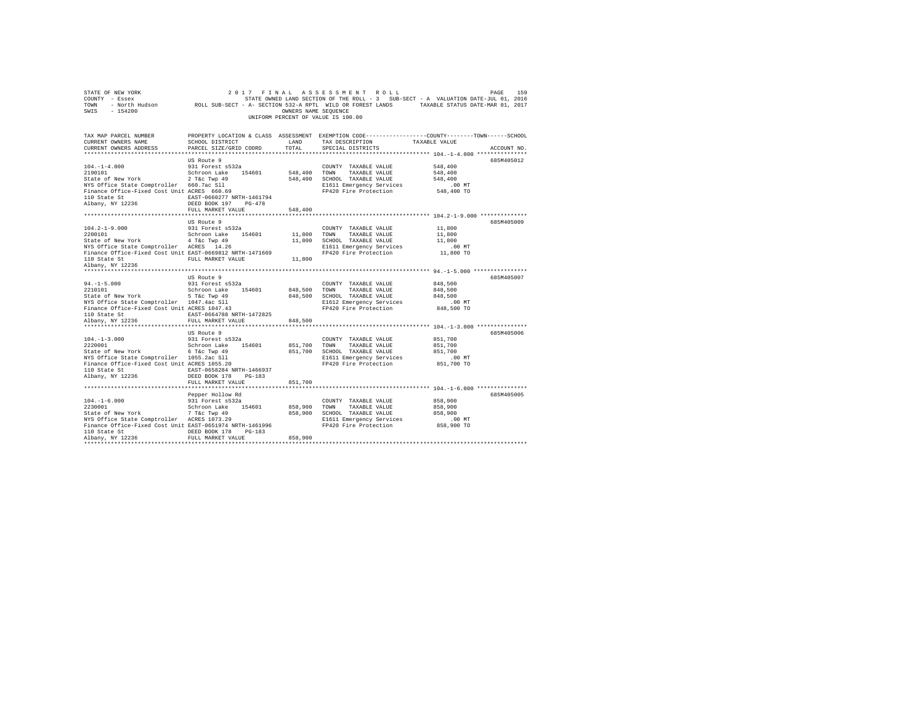| STATE OF NEW YORK<br>COUNTY - Essex<br>TOWN - North Hudson<br>SWIS<br>$-154200$                                                                                                                                                             |                                                                                                                            | OWNERS NAME SEOUENCE  | 2017 FINAL ASSESSMENT ROLL<br>UNIFORM PERCENT OF VALUE IS 100.00                                                                        | 159<br>PAGE<br>STATE OWNED LAND SECTION OF THE ROLL - 3 SUB-SECT - A VALUATION DATE-JUL 01, 2016<br>ROLL SUB-SECT - A- SECTION 532-A RPTL WILD OR FOREST LANDS TAXABLE STATUS DATE-MAR 01, 2017         |  |
|---------------------------------------------------------------------------------------------------------------------------------------------------------------------------------------------------------------------------------------------|----------------------------------------------------------------------------------------------------------------------------|-----------------------|-----------------------------------------------------------------------------------------------------------------------------------------|---------------------------------------------------------------------------------------------------------------------------------------------------------------------------------------------------------|--|
| CURRENT OWNERS NAME<br>CURRENT OWNERS ADDRESS<br>************************                                                                                                                                                                   | SCHOOL DISTRICT<br>PARCEL SIZE/GRID COORD                                                                                  | LAND<br>TOTAL         | TAX DESCRIPTION<br>SPECIAL DISTRICTS                                                                                                    | TAX MAP PARCEL NUMBER PROPERTY LOCATION & CLASS ASSESSMENT EXEMPTION CODE--------------COUNTY-------TOWN------SCHOOL<br>TAXABLE VALUE<br>ACCOUNT NO.<br>****************** 104.-1-4.000 *************** |  |
| $104. - 1 - 4.000$<br>2190101                                                                                                                                                                                                               | US Route 9<br>931 Forest s532a<br>Schroon Lake 154601                                                                      | 548,400 TOWN          | COUNTY TAXABLE VALUE<br>TAXABLE VALUE                                                                                                   | 685M405012<br>548,400<br>548,400                                                                                                                                                                        |  |
| State of New York 2 T&C Twp 49<br>NYS Office State Comptroller 660.7ac Sll<br>Finance Office-Fixed Cost Unit ACRES 660.69<br>110 State St<br>Albany, NY 12236                                                                               | EAST-0660277 NRTH-1461794<br>DEED BOOK 197 PG-478                                                                          |                       | 548,400 SCHOOL TAXABLE VALUE<br>E1611 Emergency Services<br>FP420 Fire Protection                                                       | 548,400<br>$.00$ MT<br>548,400 TO                                                                                                                                                                       |  |
|                                                                                                                                                                                                                                             | FULL MARKET VALUE                                                                                                          | 548,400               |                                                                                                                                         |                                                                                                                                                                                                         |  |
| $104.2 - 1 - 9.000$<br>2200101<br>State of New York 4 T&C Twp 49<br>NYS Office State Comptroller ACRES 14.26<br>Finance Office-Fixed Cost Unit EAST-0669812 NRTH-1471669<br>110 State St<br>Albany, NY 12236                                | US Route 9<br>931 Forest s532a<br>Schroon Lake 154601<br>FULL MARKET VALUE                                                 | 11,800 TOWN<br>11,800 | COUNTY TAXABLE VALUE<br>TAXABLE VALUE<br>11,800 SCHOOL TAXABLE VALUE<br>E1611 Emergency Services<br>FP420 Fire Protection               | 685M405009<br>11,800<br>11,800<br>11,800<br>$.00$ MT<br>11,800 TO                                                                                                                                       |  |
| $94. -1 - 5.000$<br>2210101<br>State of New York 5 T&C Twp 49<br>NYS Office State Comptroller 1047.4ac Sll<br>NYS Office State Comptroller 1047.4ac Sil<br>Finance Office-Fixed Cost Unit ACRES 1047.43<br>110 State St<br>Albany, NY 12236 | US Route 9<br>931 Forest s532a<br>Schroon Lake 154601<br>EAST-0664788 NRTH-1472825                                         | 848,500 TOWN          | COUNTY TAXABLE VALUE<br>TAXABLE VALUE<br>848,500 SCHOOL TAXABLE VALUE<br>E1612 Emergency Services<br>FP420 Fire Protection              | 685M405007<br>848,500<br>848,500<br>848,500<br>$.00$ MT<br>848,500 TO                                                                                                                                   |  |
|                                                                                                                                                                                                                                             | FULL MARKET VALUE                                                                                                          | 848,500               |                                                                                                                                         |                                                                                                                                                                                                         |  |
| $104. -1 - 3.000$<br>2220001<br>State of New York<br>NYS Office State Comptroller 1055.2ac Sll<br>Finance Office-Fixed Cost Unit ACRES 1055.20<br>110 State St<br>Albany, NY 12236                                                          | US Route 9<br>931 Forest s532a<br>Schroon Lake 154601<br>6 T&c Twp 49<br>EAST-0658284 NRTH-1466937<br>DEED BOOK 178 PG-183 | 851,700 TOWN          | COUNTY TAXABLE VALUE<br>TAXABLE VALUE<br>851,700 SCHOOL TAXABLE VALUE<br>E1611 Emergency Services<br>FP420 Fire Protection              | 685M405006<br>851,700<br>851,700<br>851,700<br>$.00$ MT<br>851,700 TO                                                                                                                                   |  |
|                                                                                                                                                                                                                                             | FULL MARKET VALUE                                                                                                          | 851,700               |                                                                                                                                         |                                                                                                                                                                                                         |  |
| $104. - 1 - 6.000$<br>2230001<br>State of New York<br>NYS Office State Comptroller ACRES 1073.29<br>Finance Office-Fixed Cost Unit EAST-0651974 NRTH-1461996<br>110 State St<br>Albany, NY 12236                                            | Pepper Hollow Rd<br>931 Forest s532a<br>Schroon Lake 154601<br>7 T&c Twp 49<br>DEED BOOK 178 PG-183<br>FULL MARKET VALUE   | 858,900               | COUNTY TAXABLE VALUE<br>858,900 TOWN TAXABLE VALUE<br>858,900 SCHOOL TAXABLE VALUE<br>E1611 Emergency Services<br>FP420 Fire Protection | 685M405005<br>858,900<br>858,900<br>858.900<br>$.00$ MT<br>858,900 TO                                                                                                                                   |  |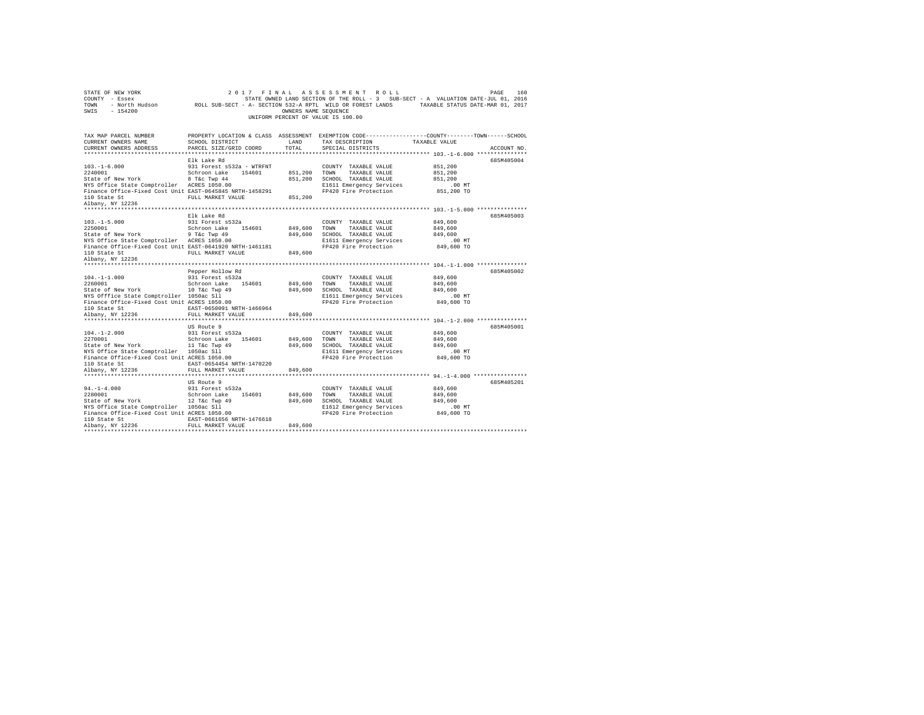| STATE OF NEW YORK<br>COUNTY - Essex<br>TOWN                                     | 2017                                  | FINAL                | ASSESSMENT ROLL<br>STATE OWNED LAND SECTION OF THE ROLL - 3 SUB-SECT - A VALUATION DATE-JUL 01, 2016<br>- North Hudson ROLL SUB-SECT - A- SECTION 532-A RPTL WILD OR FOREST LANDS TAXABLE STATUS DATE-MAR 01, 2017 |                        | PAGE<br>160 |
|---------------------------------------------------------------------------------|---------------------------------------|----------------------|--------------------------------------------------------------------------------------------------------------------------------------------------------------------------------------------------------------------|------------------------|-------------|
| $-154200$<br>SWIS                                                               |                                       | OWNERS NAME SEQUENCE | UNIFORM PERCENT OF VALUE IS 100.00                                                                                                                                                                                 |                        |             |
| TAX MAP PARCEL NUMBER<br>CURRENT OWNERS NAME                                    | <b>EXAMPLE AND</b><br>SCHOOL DISTRICT |                      | PROPERTY LOCATION & CLASS ASSESSMENT EXEMPTION CODE---------------COUNTY-------TOWN-----SCHOOL<br>TAX DESCRIPTION                                                                                                  | TAXABLE VALUE          |             |
| CURRENT OWNERS ADDRESS                                                          | PARCEL SIZE/GRID COORD                | TOTAL                | SPECIAL DISTRICTS                                                                                                                                                                                                  |                        | ACCOUNT NO. |
|                                                                                 |                                       |                      |                                                                                                                                                                                                                    |                        |             |
|                                                                                 | Elk Lake Rd                           |                      |                                                                                                                                                                                                                    |                        | 685M405004  |
| $103. - 1 - 6.000$                                                              | 931 Forest s532a - WTRFNT             |                      | COUNTY TAXABLE VALUE                                                                                                                                                                                               | 851,200                |             |
| 2240001                                                                         | Schroon Lake 154601                   | 851,200 TOWN         | TAXABLE VALUE                                                                                                                                                                                                      | 851,200                |             |
| State of New York<br>8 T&C Twp 44<br>NYS Office State Comptroller ACRES 1050.00 |                                       |                      | 851,200 SCHOOL TAXABLE VALUE                                                                                                                                                                                       | 851,200                |             |
| Finance Office-Fixed Cost Unit EAST-0645845 NRTH-1458291                        |                                       |                      | E1611 Emergency Services<br>FP420 Fire Protection                                                                                                                                                                  | $.00$ MT<br>851,200 TO |             |
| 110 State St<br>Albany, NY 12236                                                | FULL MARKET VALUE                     | 851,200              |                                                                                                                                                                                                                    |                        |             |
|                                                                                 |                                       |                      |                                                                                                                                                                                                                    |                        |             |
|                                                                                 | Elk Lake Rd                           |                      |                                                                                                                                                                                                                    |                        | 685M405003  |
| $103. -1 - 5.000$                                                               | 931 Forest s532a                      |                      | COUNTY TAXABLE VALUE                                                                                                                                                                                               | 849,600                |             |
| 2250001                                                                         | Schroon Lake 154601                   | 849,600              | TOWN<br>TAXABLE VALUE                                                                                                                                                                                              | 849,600                |             |
| State of New York 9 T&c Twp 49<br>NYS Office State Comptroller ACRES 1050.00    |                                       | 849,600              | SCHOOL TAXABLE VALUE                                                                                                                                                                                               | 849,600                |             |
|                                                                                 |                                       |                      | E1611 Emergency Services                                                                                                                                                                                           | $.00$ MT               |             |
| Finance Office-Fixed Cost Unit EAST-0641920 NRTH-1461181                        |                                       |                      | FP420 Fire Protection                                                                                                                                                                                              | 849,600 TO             |             |
| 110 State St                                                                    | FULL MARKET VALUE                     | 849,600              |                                                                                                                                                                                                                    |                        |             |
| Albany, NY 12236                                                                |                                       |                      |                                                                                                                                                                                                                    |                        |             |
|                                                                                 | Pepper Hollow Rd                      |                      |                                                                                                                                                                                                                    |                        | 685M405002  |
| $104. -1 - 1.000$                                                               | 931 Forest s532a                      |                      | COUNTY TAXABLE VALUE                                                                                                                                                                                               | 849,600                |             |
| 2260001                                                                         | Schroon Lake 154601                   | 849,600              | TOWN<br>TAXABLE VALUE                                                                                                                                                                                              | 849,600                |             |
| State of New York 10 T&C Twp 49                                                 |                                       | 849,600              | SCHOOL TAXABLE VALUE                                                                                                                                                                                               | 849,600                |             |
| NYS Offfice State Comptroller 1050ac Sll                                        |                                       |                      | E1611 Emergency Services                                                                                                                                                                                           | $.00$ MT               |             |
| Finance Office-Fixed Cost Unit ACRES 1050.00                                    |                                       |                      | FP420 Fire Protection                                                                                                                                                                                              | 849,600 TO             |             |
| 110 State St<br>Albany, NY 12236                                                | EAST-0650091 NRTH-1466964             |                      |                                                                                                                                                                                                                    |                        |             |
|                                                                                 | FULL MARKET VALUE                     | 849,600              |                                                                                                                                                                                                                    |                        |             |
|                                                                                 | US Route 9                            |                      |                                                                                                                                                                                                                    |                        | 685M405001  |
| $104. -1 - 2.000$                                                               | 931 Forest s532a                      |                      | COUNTY TAXABLE VALUE                                                                                                                                                                                               | 849,600                |             |
| 2270001                                                                         | Schroon Lake 154601                   | 849,600              | TOWN<br>TAXABLE VALUE                                                                                                                                                                                              | 849,600                |             |
| State of New York 11 T&C Twp 49                                                 |                                       | 849,600              | SCHOOL TAXABLE VALUE                                                                                                                                                                                               | 849,600                |             |
| NYS Office State Comptroller 1050ac Sll                                         |                                       |                      | E1611 Emergency Services                                                                                                                                                                                           | $.00$ MT               |             |
| Finance Office-Fixed Cost Unit ACRES 1050.00                                    |                                       |                      | FP420 Fire Protection                                                                                                                                                                                              | 849,600 TO             |             |
| 110 State St<br>Albany, NY 12236                                                | EAST-0654454 NRTH-1470220             |                      |                                                                                                                                                                                                                    |                        |             |
|                                                                                 | FULL MARKET VALUE                     | 849,600              |                                                                                                                                                                                                                    |                        |             |
|                                                                                 | US Route 9                            |                      |                                                                                                                                                                                                                    |                        | 685M405201  |
| $94. -1 - 4.000$                                                                | 931 Forest s532a                      |                      | COUNTY TAXABLE VALUE                                                                                                                                                                                               | 849,600                |             |
| 2280001                                                                         | Schroon Lake 154601                   | 849,600              | TOWN<br>TAXABLE VALUE                                                                                                                                                                                              | 849,600                |             |
| State of New York 12 T&C Twp 49                                                 |                                       | 849,600              | SCHOOL TAXABLE VALUE                                                                                                                                                                                               | 849,600                |             |
| NYS Office State Comptroller 1050ac Sll                                         |                                       |                      | E1612 Emergency Services                                                                                                                                                                                           | $.00$ MT               |             |
| Finance Office-Fixed Cost Unit ACRES 1050.00                                    |                                       |                      | FP420 Fire Protection                                                                                                                                                                                              | 849,600 TO             |             |
| 110 State St<br>Albany, NY 12236                                                | EAST-0661656 NRTH-1476618             |                      |                                                                                                                                                                                                                    |                        |             |
|                                                                                 | FULL MARKET VALUE                     | 849,600              |                                                                                                                                                                                                                    |                        |             |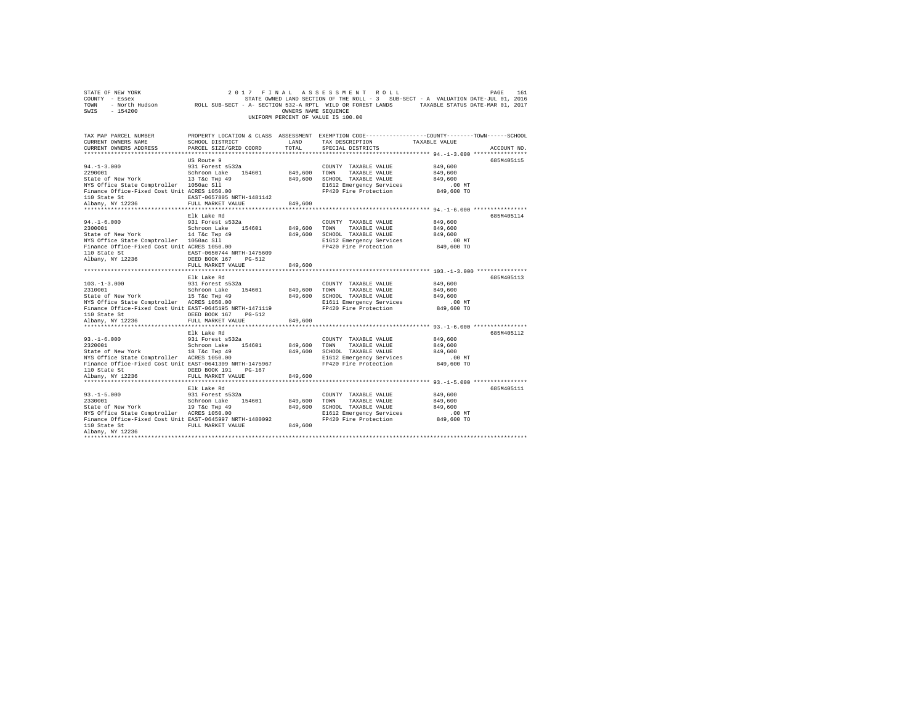| COUNTY - Essex<br>TOWN<br>SWIS<br>$-154200$                                                                                                                                                                  |                                                                                                                                  | OWNERS NAME SEQUENCE          | STATE OWNED LAND SECTION OF THE ROLL - 3 SUB-SECT - A VALUATION DATE-JUL 01, 2016<br>- North Hudson ROLL SUB-SECT - A- SECTION 532-A RPTL WILD OR FOREST LANDS TAXABLE STATUS DATE-MAR 01, 2017<br>UNIFORM PERCENT OF VALUE IS 100.00 |                                                                             |             |
|--------------------------------------------------------------------------------------------------------------------------------------------------------------------------------------------------------------|----------------------------------------------------------------------------------------------------------------------------------|-------------------------------|---------------------------------------------------------------------------------------------------------------------------------------------------------------------------------------------------------------------------------------|-----------------------------------------------------------------------------|-------------|
| TAX MAP PARCEL NUMBER<br>CURRENT OWNERS NAME<br>CURRENT OWNERS ADDRESS                                                                                                                                       | SCHOOL DISTRICT<br>PARCEL SIZE/GRID COORD                                                                                        | LAND<br>TOTAL                 | PROPERTY LOCATION & CLASS ASSESSMENT EXEMPTION CODE---------------COUNTY-------TOWN------SCHOOL<br>TAX DESCRIPTION<br>SPECIAL DISTRICTS                                                                                               | TAXABLE VALUE<br>*************************** 94. -1-3. 000 **************** | ACCOUNT NO. |
| $94. -1 - 3.000$<br>2290001<br>State of New York 13 T&c Twp 49<br>NYS Office State Comptroller 1050ac Sll<br>Finance Office-Fixed Cost Unit ACRES 1050.00<br>110 State St                                    | US Route 9<br>931 Forest s532a<br>Schroon Lake 154601<br>EAST-0657805 NRTH-1481142                                               | 849,600                       | COUNTY TAXABLE VALUE<br>TOWN<br>TAXABLE VALUE<br>849,600 SCHOOL TAXABLE VALUE<br>E1612 Emergency Services<br>FP420 Fire Protection                                                                                                    | 849,600<br>849,600<br>849,600<br>$.00$ MT<br>849,600 TO                     | 685M405115  |
| Albany, NY 12236<br>$94. -1 - 6.000$<br>2300001<br>State of New York 14 T&c Twp 49<br>NYS Office State Comptroller 1050ac Sll<br>Finance Office-Fixed Cost Unit ACRES 1050.00                                | FULL MARKET VALUE<br>Elk Lake Rd<br>931 Forest s532a<br>Schroon Lake 154601                                                      | 849,600<br>849,600            | COUNTY TAXABLE VALUE<br>TAXABLE VALUE<br>TOWN<br>849,600 SCHOOL TAXABLE VALUE<br>E1612 Emergency Services<br>FP420 Fire Protection                                                                                                    | 849,600<br>849,600<br>849,600<br>.00MT<br>849,600 TO                        | 685M405114  |
| 110 State St<br>Albany, NY 12236<br>$103. -1 - 3.000$                                                                                                                                                        | EAST-0650744 NRTH-1475609<br>DEED BOOK 167 PG-512<br>FULL MARKET VALUE<br>Elk Lake Rd<br>931 Forest s532a<br>Schroon Lake 154601 | 849,600                       | COUNTY TAXABLE VALUE                                                                                                                                                                                                                  | 849,600<br>849,600                                                          | 685M405113  |
| State of New York 15 T&C Twp 49<br>NYS Office State Comptroller ACRES 1050.00<br>Finance Office-Fixed Cost Unit EAST-0645195 NRTH-1471119<br>110 State St<br>110 State St<br>Albany, NY 12236                | DEED BOOK 167 PG-512<br>FULL MARKET VALUE                                                                                        | 849,600<br>849,600            | TOWN<br>TAXABLE VALUE<br>849,600 SCHOOL TAXABLE VALUE<br>E1611 Emergency Services<br>FP420 Fire Protection                                                                                                                            | 849,600<br>$.00$ MT<br>849,600 TO                                           |             |
| $93. -1 - 6.000$<br>2320001<br>State of New York 18 T&C Twp 49<br>NYS Office State Comptroller ACRES 1050.00<br>Finance Office-Fixed Cost Unit EAST-0641309 NRTH-1475967                                     | Elk Lake Rd<br>931 Forest s532a<br>Schroon Lake 154601                                                                           | 849,600                       | COUNTY TAXABLE VALUE<br>TOWN<br>TAXABLE VALUE<br>849,600 SCHOOL TAXABLE VALUE<br>E1612 Emergency Services<br>FP420 Fire Protection                                                                                                    | 849,600<br>849,600<br>849,600<br>$.00$ MT<br>849,600 TO                     | 685M405112  |
| 110 State St<br>Albany, NY 12236                                                                                                                                                                             | DEED BOOK 191 PG-167<br>FULL MARKET VALUE<br>Elk Lake Rd                                                                         | 849,600                       |                                                                                                                                                                                                                                       |                                                                             | 685M405111  |
| $93. -1 - 5.000$<br>2330001<br>State of New York 19 T&C Twp 49<br>NYS Office State Comptroller ACRES 1050.00<br>Finance Office-Fixed Cost Unit EAST-0645997 NRTH-1480092<br>110 State St<br>Albany, NY 12236 | 931 Forest s532a<br>Schroon Lake 154601<br>FULL MARKET VALUE                                                                     | 849,600<br>849,600<br>849,600 | COUNTY TAXABLE VALUE<br>TOWN<br>TAXABLE VALUE<br>SCHOOL TAXABLE VALUE<br>E1612 Emergency Services<br>FP420 Fire Protection                                                                                                            | 849,600<br>849,600<br>849,600<br>$.00$ MT<br>849,600 TO                     |             |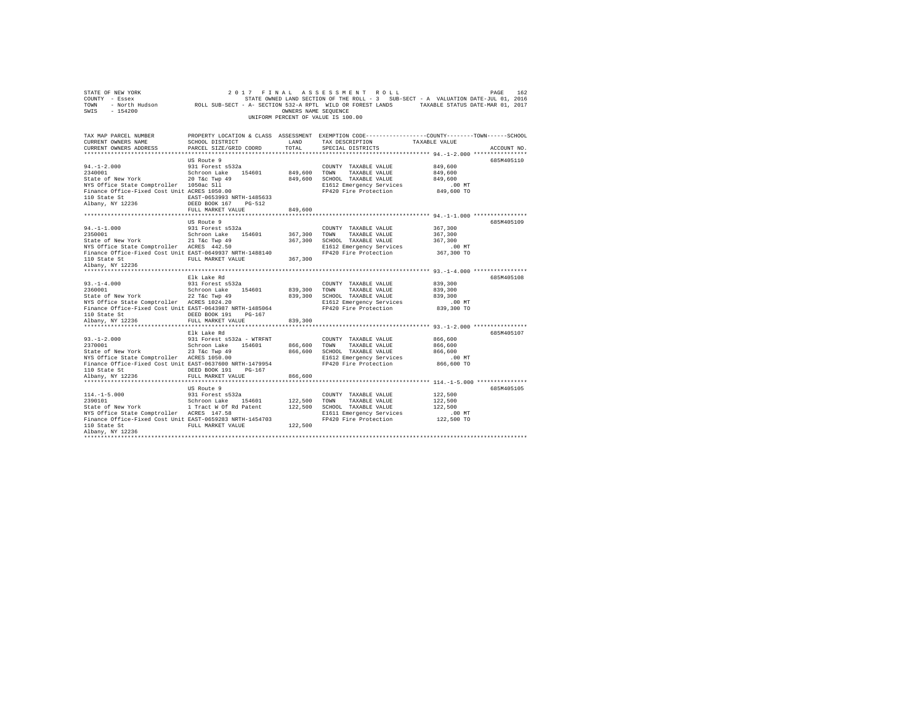| STATE OF NEW YORK<br>COUNTY - Essex<br>TOWN<br>SWIS<br>$-154200$       | 2 0 1 7<br>- North Hudson ROLL SUB-SECT - A- SECTION 532-A RPTL WILD OR FOREST LANDS TAXABLE STATUS DATE-MAR 01, 2017 | FINAL<br>OWNERS NAME SEQUENCE | ASSESSMENT ROLL<br>STATE OWNED LAND SECTION OF THE ROLL - 3 SUB-SECT - A VALUATION DATE-JUL 01, 2016<br>UNIFORM PERCENT OF VALUE IS 100.00 |                    | PAGE<br>162 |
|------------------------------------------------------------------------|-----------------------------------------------------------------------------------------------------------------------|-------------------------------|--------------------------------------------------------------------------------------------------------------------------------------------|--------------------|-------------|
| TAX MAP PARCEL NUMBER<br>CURRENT OWNERS NAME<br>CURRENT OWNERS ADDRESS | SCHOOL DISTRICT<br>PARCEL SIZE/GRID COORD                                                                             | LAND<br>TOTAL                 | PROPERTY LOCATION & CLASS ASSESSMENT EXEMPTION CODE---------------COUNTY-------TOWN-----SCHOOL<br>TAX DESCRIPTION<br>SPECIAL DISTRICTS     | TAXABLE VALUE      | ACCOUNT NO. |
|                                                                        | US Route 9                                                                                                            |                               |                                                                                                                                            |                    | 685M405110  |
| $94. -1 - 2.000$                                                       | 931 Forest s532a                                                                                                      |                               | COUNTY TAXABLE VALUE                                                                                                                       | 849,600            |             |
| 2340001                                                                | Schroon Lake 154601                                                                                                   | 849,600                       | TOWN<br>TAXABLE VALUE                                                                                                                      | 849,600            |             |
| State of New York                                                      | 20 T&c Twp 49                                                                                                         | 849,600                       | SCHOOL TAXABLE VALUE                                                                                                                       | 849,600            |             |
| NYS Office State Comptroller 1050ac Sll                                |                                                                                                                       |                               | E1612 Emergency Services                                                                                                                   | $.00$ MT           |             |
| Finance Office-Fixed Cost Unit ACRES 1050.00                           |                                                                                                                       |                               | FP420 Fire Protection                                                                                                                      | 849,600 TO         |             |
| 110 State St                                                           | EAST-0653993 NRTH-1485633                                                                                             |                               |                                                                                                                                            |                    |             |
| Albany, NY 12236                                                       | DEED BOOK 167<br>PG-512                                                                                               |                               |                                                                                                                                            |                    |             |
|                                                                        | FULL MARKET VALUE                                                                                                     | 849,600                       | *********************************** 94.-1-1.000 ****************                                                                           |                    |             |
|                                                                        | US Route 9                                                                                                            |                               |                                                                                                                                            |                    | 685M405109  |
| $94. - 1 - 1.000$                                                      | 931 Forest s532a                                                                                                      |                               | COUNTY TAXABLE VALUE                                                                                                                       | 367,300            |             |
| 2350001                                                                | Schroon Lake 154601                                                                                                   | 367,300                       | TAXABLE VALUE<br>TOWN                                                                                                                      | 367,300            |             |
| State of New York                                                      | 21 T&c Twp 49                                                                                                         | 367,300                       | SCHOOL TAXABLE VALUE                                                                                                                       | 367,300            |             |
| NYS Office State Comptroller ACRES 442.50                              |                                                                                                                       |                               | E1612 Emergency Services                                                                                                                   | $.00$ MT           |             |
| Finance Office-Fixed Cost Unit EAST-0649937 NRTH-1488140               |                                                                                                                       |                               | FP420 Fire Protection                                                                                                                      | 367,300 TO         |             |
| 110 State St                                                           | FULL MARKET VALUE                                                                                                     | 367,300                       |                                                                                                                                            |                    |             |
| Albany, NY 12236                                                       |                                                                                                                       |                               |                                                                                                                                            |                    |             |
|                                                                        |                                                                                                                       |                               |                                                                                                                                            |                    |             |
|                                                                        | Elk Lake Rd                                                                                                           |                               |                                                                                                                                            |                    | 685M405108  |
| $93. -1 - 4.000$                                                       | 931 Forest s532a                                                                                                      |                               | COUNTY TAXABLE VALUE                                                                                                                       | 839,300            |             |
| 2360001<br>State of New York                                           | Schroon Lake 154601                                                                                                   | 839,300<br>839,300            | TOWN<br>TAXABLE VALUE                                                                                                                      | 839,300<br>839,300 |             |
| NYS Office State Comptroller ACRES 1024.20                             | 22 T&c Twp 49                                                                                                         |                               | SCHOOL TAXABLE VALUE<br>E1612 Emergency Services                                                                                           | $.00$ MT           |             |
| Finance Office-Fixed Cost Unit EAST-0643987 NRTH-1485064               |                                                                                                                       |                               | FP420 Fire Protection                                                                                                                      | 839,300 TO         |             |
| 110 State St                                                           | DEED BOOK 191<br>PG-167                                                                                               |                               |                                                                                                                                            |                    |             |
| Albany, NY 12236                                                       | FULL MARKET VALUE                                                                                                     | 839,300                       |                                                                                                                                            |                    |             |
|                                                                        |                                                                                                                       |                               |                                                                                                                                            |                    |             |
|                                                                        | Elk Lake Rd                                                                                                           |                               |                                                                                                                                            |                    | 685M405107  |
| $93. -1 - 2.000$                                                       | 931 Forest s532a - WTRFNT                                                                                             |                               | COUNTY TAXABLE VALUE                                                                                                                       | 866,600            |             |
| 2370001                                                                | Schroon Lake<br>154601                                                                                                | 866,600                       | TAXABLE VALUE<br>TOWN                                                                                                                      | 866,600            |             |
| State of New York                                                      | 23 T&c Twp 49                                                                                                         | 866,600                       | SCHOOL TAXABLE VALUE                                                                                                                       | 866,600            |             |
| NYS Office State Comptroller ACRES 1050.00                             |                                                                                                                       |                               | E1612 Emergency Services                                                                                                                   | $.00$ MT           |             |
| Finance Office-Fixed Cost Unit EAST-0637600 NRTH-1479954               |                                                                                                                       |                               | FP420 Fire Protection                                                                                                                      | 866,600 TO         |             |
| 110 State St                                                           | DEED BOOK 191 PG-167                                                                                                  |                               |                                                                                                                                            |                    |             |
| Albany, NY 12236                                                       | FULL MARKET VALUE                                                                                                     | 866,600                       |                                                                                                                                            |                    |             |
|                                                                        | US Route 9                                                                                                            |                               |                                                                                                                                            |                    | 685M405105  |
| $114. -1 - 5.000$                                                      | 931 Forest s532a                                                                                                      |                               | COUNTY TAXABLE VALUE                                                                                                                       | 122,500            |             |
| 2390101                                                                | Schroon Lake 154601                                                                                                   | 122,500                       | TOWN<br>TAXABLE VALUE                                                                                                                      | 122,500            |             |
| State of New York                                                      | 1 Tract W Of Rd Patent                                                                                                | 122,500                       | SCHOOL TAXABLE VALUE                                                                                                                       | 122,500            |             |
| NYS Office State Comptroller ACRES 147.58                              |                                                                                                                       |                               | E1611 Emergency Services                                                                                                                   | $.00$ MT           |             |
| Finance Office-Fixed Cost Unit EAST-0659283 NRTH-1454703               |                                                                                                                       |                               | FP420 Fire Protection                                                                                                                      | 122,500 TO         |             |
| 110 State St                                                           | FULL MARKET VALUE                                                                                                     | 122,500                       |                                                                                                                                            |                    |             |
| Albany, NY 12236                                                       |                                                                                                                       |                               |                                                                                                                                            |                    |             |
|                                                                        |                                                                                                                       |                               |                                                                                                                                            |                    |             |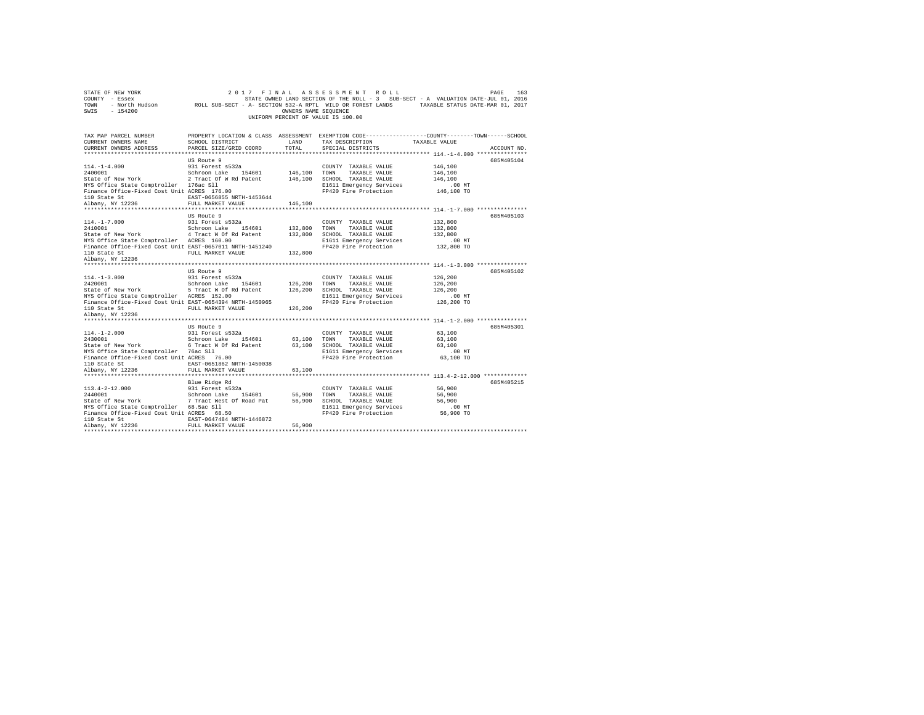| STATE OF NEW YORK<br>COUNTY - Essex<br>TOWN<br>$-154200$<br>SWIS | - North Hudson CROLL SUB-SECT - A- SECTION 532-A RPTL WILD OR FOREST LANDS TAXABLE STATUS DATE-MAR 01, 2017 | OWNERS NAME SEQUENCE | 2017 FINAL ASSESSMENT ROLL<br>STATE OWNED LAND SECTION OF THE ROLL - 3 SUB-SECT - A VALUATION DATE-JUL 01, 2016<br>UNIFORM PERCENT OF VALUE IS 100.00 |                                                     | PAGE<br>163 |
|------------------------------------------------------------------|-------------------------------------------------------------------------------------------------------------|----------------------|-------------------------------------------------------------------------------------------------------------------------------------------------------|-----------------------------------------------------|-------------|
| TAX MAP PARCEL NUMBER                                            | PROPERTY LOCATION & CLASS ASSESSMENT EXEMPTION CODE---------------COUNTY-------TOWN------SCHOOL             |                      |                                                                                                                                                       |                                                     |             |
| CURRENT OWNERS NAME                                              | SCHOOL DISTRICT                                                                                             | LAND                 | TAX DESCRIPTION                                                                                                                                       | TAXABLE VALUE                                       |             |
| CURRENT OWNERS ADDRESS                                           | PARCEL SIZE/GRID COORD                                                                                      | TOTAL.               | SPECIAL DISTRICTS                                                                                                                                     |                                                     | ACCOUNT NO. |
|                                                                  |                                                                                                             |                      |                                                                                                                                                       | ********************** 114.-1-4.000 *************** |             |
| $114. - 1 - 4.000$                                               | US Route 9                                                                                                  |                      |                                                                                                                                                       |                                                     | 685M405104  |
| 2400001                                                          | 931 Forest s532a<br>Schroon Lake 154601                                                                     | 146,100              | COUNTY TAXABLE VALUE<br>TOWN TAXABLE VALUE                                                                                                            | 146,100<br>146,100                                  |             |
| State of New York                                                | 2 Tract Of W Rd Patent                                                                                      |                      | 146,100 SCHOOL TAXABLE VALUE                                                                                                                          | 146,100                                             |             |
| NYS Office State Comptroller 176ac Sll                           |                                                                                                             |                      | E1611 Emergency Services                                                                                                                              | $.00$ MT                                            |             |
| Finance Office-Fixed Cost Unit ACRES 176.00                      |                                                                                                             |                      | FP420 Fire Protection                                                                                                                                 | 146,100 TO                                          |             |
| 110 State St                                                     | EAST-0656855 NRTH-1453644                                                                                   |                      |                                                                                                                                                       |                                                     |             |
| Albany, NY 12236                                                 | FULL MARKET VALUE                                                                                           | 146,100              |                                                                                                                                                       |                                                     |             |
|                                                                  |                                                                                                             |                      |                                                                                                                                                       |                                                     |             |
|                                                                  | US Route 9                                                                                                  |                      |                                                                                                                                                       |                                                     | 685M405103  |
| $114. - 1 - 7.000$<br>2410001                                    | 931 Forest s532a<br>Schroon Lake 154601                                                                     | 132,800              | COUNTY TAXABLE VALUE<br>TOWN<br>TAXABLE VALUE                                                                                                         | 132,800<br>132,800                                  |             |
| State of New York                                                | 4 Tract W Of Rd Patent                                                                                      | 132,800              | SCHOOL TAXABLE VALUE                                                                                                                                  | 132,800                                             |             |
| NYS Office State Comptroller ACRES 160.00                        |                                                                                                             |                      | E1611 Emergency Services                                                                                                                              | $.00$ MT                                            |             |
| Finance Office-Fixed Cost Unit EAST-0657011 NRTH-1451240         |                                                                                                             |                      | FP420 Fire Protection                                                                                                                                 | 132,800 TO                                          |             |
| 110 State St                                                     | FULL MARKET VALUE                                                                                           | 132,800              |                                                                                                                                                       |                                                     |             |
| Albany, NY 12236                                                 |                                                                                                             |                      |                                                                                                                                                       |                                                     |             |
|                                                                  |                                                                                                             |                      |                                                                                                                                                       |                                                     |             |
|                                                                  | US Route 9                                                                                                  |                      |                                                                                                                                                       |                                                     | 685M405102  |
| $114. - 1 - 3.000$<br>2420001                                    | 931 Forest s532a<br>Schroon Lake 154601                                                                     | 126,200              | COUNTY TAXABLE VALUE<br>TOWN<br>TAXABLE VALUE                                                                                                         | 126,200<br>126,200                                  |             |
| State of New York                                                | 5 Tract W Of Rd Patent                                                                                      | 126,200              | SCHOOL TAXABLE VALUE                                                                                                                                  | 126,200                                             |             |
| NYS Office State Comptroller ACRES 152.00                        |                                                                                                             |                      | E1611 Emergency Services                                                                                                                              | .00 MT                                              |             |
| Finance Office-Fixed Cost Unit EAST-0654394 NRTH-1450965         |                                                                                                             |                      | FP420 Fire Protection                                                                                                                                 | 126,200 TO                                          |             |
| 110 State St                                                     | FULL MARKET VALUE                                                                                           | 126,200              |                                                                                                                                                       |                                                     |             |
| Albany, NY 12236                                                 |                                                                                                             |                      |                                                                                                                                                       |                                                     |             |
|                                                                  |                                                                                                             |                      |                                                                                                                                                       |                                                     |             |
|                                                                  | US Route 9                                                                                                  |                      |                                                                                                                                                       |                                                     | 685M405301  |
| $114. - 1 - 2.000$<br>2430001                                    | 931 Forest s532a<br>Schroon Lake 154601                                                                     | 63,100               | COUNTY TAXABLE VALUE                                                                                                                                  | 63,100<br>63,100                                    |             |
| State of New York                                                | 6 Tract W Of Rd Patent                                                                                      |                      | TOWN<br>TAXABLE VALUE<br>63,100 SCHOOL TAXABLE VALUE                                                                                                  | 63,100                                              |             |
| NYS Office State Comptroller 76ac Sll                            |                                                                                                             |                      | E1611 Emergency Services                                                                                                                              | .00 MT                                              |             |
| Finance Office-Fixed Cost Unit ACRES 76.00                       |                                                                                                             |                      | FP420 Fire Protection                                                                                                                                 | 63,100 TO                                           |             |
| 110 State St                                                     | EAST-0651862 NRTH-1450038                                                                                   |                      |                                                                                                                                                       |                                                     |             |
| Albany, NY 12236                                                 | FULL MARKET VALUE                                                                                           | 63,100               |                                                                                                                                                       |                                                     |             |
|                                                                  |                                                                                                             |                      |                                                                                                                                                       |                                                     |             |
|                                                                  | Blue Ridge Rd                                                                                               |                      |                                                                                                                                                       |                                                     | 685M405215  |
| $113.4 - 2 - 12.000$                                             | 931 Forest s532a                                                                                            |                      | COUNTY TAXABLE VALUE                                                                                                                                  | 56,900                                              |             |
| 2440001<br>State of New York                                     | Schroon Lake 154601<br>7 Tract West Of Road Pat                                                             | 56,900               | TOWN<br>TAXABLE VALUE<br>56,900 SCHOOL TAXABLE VALUE                                                                                                  | 56,900<br>56,900                                    |             |
| NYS Office State Comptroller 68.5ac Sll                          |                                                                                                             |                      | E1611 Emergency Services                                                                                                                              | .00MT                                               |             |
| Finance Office-Fixed Cost Unit ACRES 68.50                       |                                                                                                             |                      | FP420 Fire Protection                                                                                                                                 | 56,900 TO                                           |             |
| 110 State St                                                     | EAST-0647484 NRTH-1446872                                                                                   |                      |                                                                                                                                                       |                                                     |             |
| Albany, NY 12236                                                 | FULL MARKET VALUE                                                                                           | 56,900               |                                                                                                                                                       |                                                     |             |
|                                                                  |                                                                                                             |                      |                                                                                                                                                       |                                                     |             |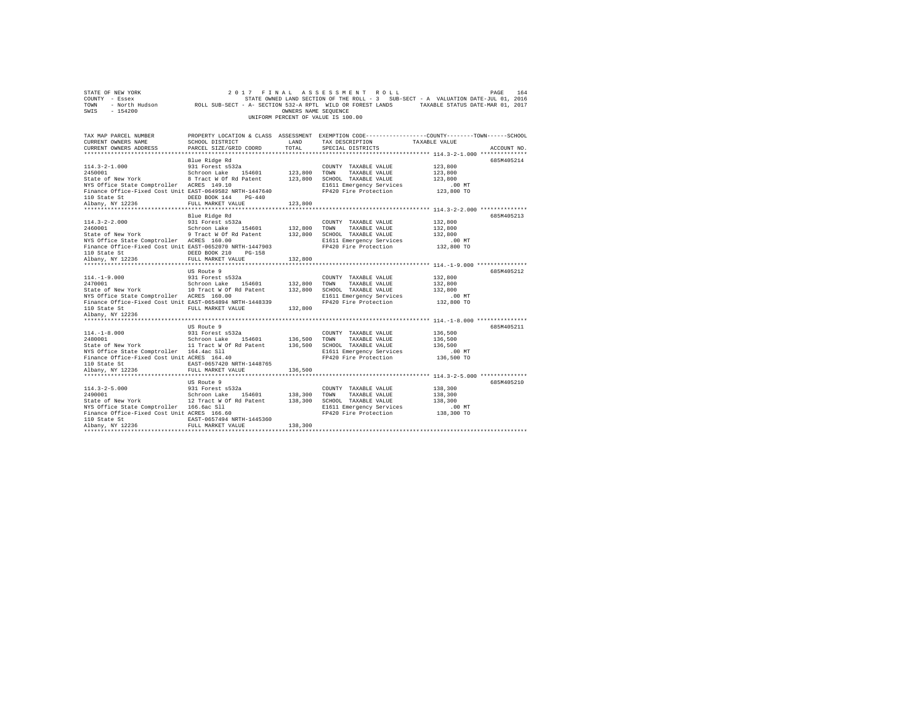| STATE OF NEW YORK<br>COUNTY - Essex<br>TOWN<br>$-154200$<br>SWIS                                                                                                                                                                                                                                                                                                                                                             | 2017<br>- North Hudson ROLL SUB-SECT - A- SECTION 532-A RPTL WILD OR FOREST LANDS TAXABLE STATUS DATE-MAR 01, 2017 | OWNERS NAME SEQUENCE | FINAL ASSESSMENT ROLL<br>STATE OWNED LAND SECTION OF THE ROLL - 3 SUB-SECT - A VALUATION DATE-JUL 01, 2016<br>UNIFORM PERCENT OF VALUE IS 100.00 |                                                         | PAGE<br>164 |
|------------------------------------------------------------------------------------------------------------------------------------------------------------------------------------------------------------------------------------------------------------------------------------------------------------------------------------------------------------------------------------------------------------------------------|--------------------------------------------------------------------------------------------------------------------|----------------------|--------------------------------------------------------------------------------------------------------------------------------------------------|---------------------------------------------------------|-------------|
| TAX MAP PARCEL NUMBER<br>CURRENT OWNERS NAME<br>CURRENT OWNERS ADDRESS                                                                                                                                                                                                                                                                                                                                                       | <b>EXAMPLE AND</b><br>SCHOOL DISTRICT<br>PARCEL SIZE/GRID COORD                                                    | TOTAL                | PROPERTY LOCATION & CLASS ASSESSMENT EXEMPTION CODE----------------COUNTY-------TOWN-----SCHOOL<br>TAX DESCRIPTION<br>SPECIAL DISTRICTS          | TAXABLE VALUE                                           | ACCOUNT NO. |
| $114.3 - 2 - 1.000$<br>2450001<br>State of New York 8 Tract W Of Rd Patent 123,800 SCHOOL TAXABLE VALUE<br>NYS Office State Comptroller ACRES 149.10<br>Finance Office-Fixed Cost Unit EAST-0649582 NRTH-1447640<br>110 State St<br>Albany, NY 12236                                                                                                                                                                         | Blue Ridge Rd<br>931 Forest s532a<br>Schroon Lake 154601<br>DEED BOOK 144 PG-440<br>FULL MARKET VALUE              | 123,800<br>123,800   | COUNTY TAXABLE VALUE<br>TOWN<br>TAXABLE VALUE<br>E1611 Emergency Services<br>FP420 Fire Protection                                               | 123,800<br>123,800<br>123,800<br>.00 MT<br>123,800 TO   | 685M405214  |
| $114.3 - 2 - 2.000$<br>2460001<br>State of New York 3 and 1990 and 1990 and 1990 and 1990 and 1990 and 1990 and 1990 and 1990 and 1990 and 1990 and 1990 and 1990 and 1990 and 1990 and 1990 and 1990 and 1990 and 1990 and 1990 and 1990 and 1990 and 1990 and<br>NYS Office State Comptroller ACRES 160.00<br>Finance Office-Fixed Cost Unit EAST-0652070 NRTH-1447903<br>110 State St<br>110 State St<br>Albany, NY 12236 | Blue Ridge Rd<br>931 Forest s532a<br>Schroon Lake 154601<br>DEED BOOK 210 PG-158                                   | 132,800              | COUNTY TAXABLE VALUE<br>TOWN<br>TAXABLE VALUE<br>E1611 Emergency Services<br>FP420 Fire Protection                                               | 132,800<br>132,800<br>132,800<br>$.00$ MT<br>132,800 TO | 685M405213  |
| $114. - 1 - 9.000$<br>$\begin{array}{cccccc} 2470001 & & & & \text{Schroon Lake} & 154601 & & 132,800 & \text{TOMN} & \text{TAXABLE VALUE} \\ \text{State of New York} & & & 10 \text{ Tract W Of Rd Patent} & & 132,800 & \text{SCHOOL TAXABLE VALUE} \end{array}$<br>NYS Office State Comptroller ACRES 160.00<br>Finance Office-Fixed Cost Unit EAST-0654894 NRTH-1448339<br>110 State St<br>Albany, NY 12236             | FULL MARKET VALUE<br>US Route 9<br>931 Forest s532a<br>FULL MARKET VALUE                                           | 132,800<br>132,800   | COUNTY TAXABLE VALUE<br>E1611 Emergency Services<br>FP420 Fire Protection                                                                        | 132,800<br>132,800<br>132,800<br>$.00$ MT<br>132,800 TO | 685M405212  |
| $114. -1 - 8.000$<br>2480001<br>2100001 State of New York 11 Dealer 1196 (1980) 2010 - 11 Tract W Of Rd Patent 136,500 SCHOOL TAXABLE VALUE<br>NYS Office State Comptroller 164.4ac Sll<br>Finance Office-Fixed Cost Unit ACRES 164.40<br>110 State St<br>Albany, NY 12236                                                                                                                                                   | US Route 9<br>931 Forest s532a<br>Schroon Lake 154601<br>EAST-0657420 NRTH-1448765<br>FULL MARKET VALUE            | 136,500<br>136,500   | COUNTY TAXABLE VALUE<br>TOWN<br>TAXABLE VALUE<br>E1611 Emergency Services<br>FP420 Fire Protection                                               | 136,500<br>136,500<br>136,500<br>$.00$ MT<br>136,500 TO | 685M405211  |
| $114.3 - 2 - 5.000$<br>114.3-2-5.000 931 Forest s532a<br>2490001 981 Schroon Lake 154601<br>State of New York 12 Tract W Of Rd Patent<br>NYS Office State Comptroller 166.6ac Sll<br>Finance Office-Fixed Cost Unit ACRES 166.60<br>110 State St<br>Albany, NY 12236                                                                                                                                                         | US Route 9<br>931 Forest s532a<br>Schroon Lake 154601 138,300<br>EAST-0657494 NRTH-1445360<br>FULL MARKET VALUE    | 138,300              | COUNTY TAXABLE VALUE<br>TOWN<br>TAXABLE VALUE<br>138,300 SCHOOL TAXABLE VALUE<br>E1611 Emergency Services<br>FP420 Fire Protection               | 138,300<br>138,300<br>138,300<br>.00 MT<br>138,300 TO   | 685M405210  |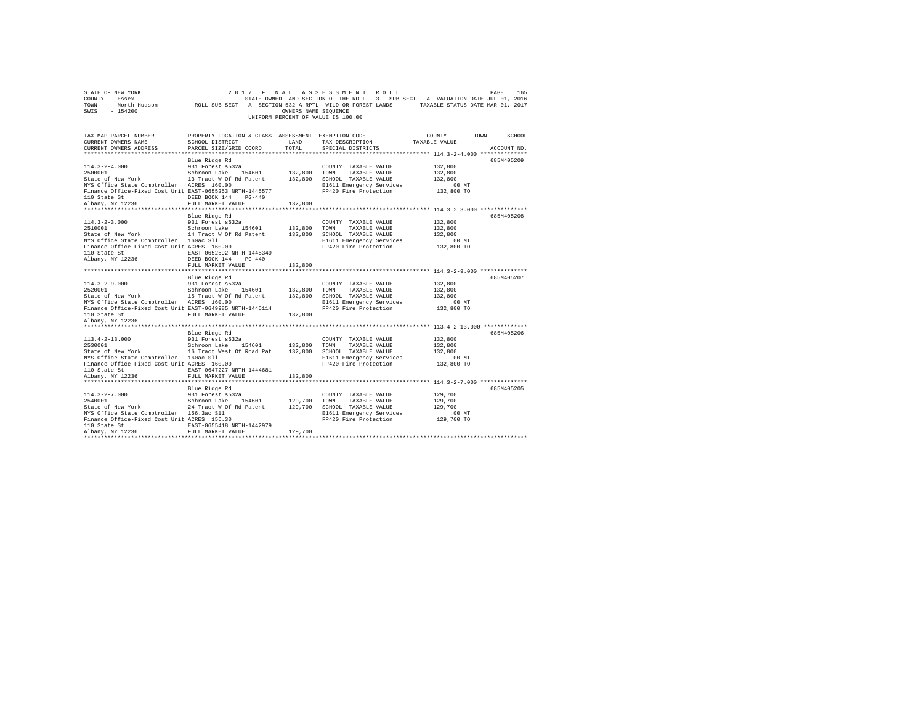| STATE OF NEW YORK<br>COUNTY - Essex<br>TOWN<br>$-154200$<br>SWIS                                                                                                                   |                                                                                                                                              | OWNERS NAME SEOUENCE          | 2017 FINAL ASSESSMENT ROLL<br>UNIFORM PERCENT OF VALUE IS 100.00                                                           | 165<br>PAGE<br>STATE OWNED LAND SECTION OF THE ROLL - 3 SUB-SECT - A VALUATION DATE-JUL 01, 2016<br>- North Hudson ROLL SUB-SECT - A- SECTION 532-A RPTL WILD OR FOREST LANDS TAXABLE STATUS DATE-MAR 01, 2017 |
|------------------------------------------------------------------------------------------------------------------------------------------------------------------------------------|----------------------------------------------------------------------------------------------------------------------------------------------|-------------------------------|----------------------------------------------------------------------------------------------------------------------------|----------------------------------------------------------------------------------------------------------------------------------------------------------------------------------------------------------------|
| TAX MAP PARCEL NUMBER<br>CURRENT OWNERS NAME<br>CURRENT OWNERS ADDRESS                                                                                                             | SCHOOL DISTRICT<br>PARCEL SIZE/GRID COORD                                                                                                    | LAND<br>TOTAL                 | TAX DESCRIPTION<br>SPECIAL DISTRICTS                                                                                       | PROPERTY LOCATION & CLASS ASSESSMENT EXEMPTION CODE---------------COUNTY-------TOWN------SCHOOL<br>TAXABLE VALUE<br>ACCOUNT NO.                                                                                |
| $114.3 - 2 - 4.000$<br>2500001<br>NYS Office State Comptroller ACRES 160.00<br>Finance Office-Fixed Cost Unit EAST-0655253 NRTH-1445577<br>110 State St<br>Albany, NY 12236        | Blue Ridge Rd<br>931 Forest s532a<br>Schroon Lake 154601<br>DEED BOOK 144 PG-440<br>FULL MARKET VALUE                                        | 132,800<br>132,800<br>132,800 | COUNTY TAXABLE VALUE<br>TOWN<br>TAXABLE VALUE<br>SCHOOL TAXABLE VALUE<br>E1611 Emergency Services<br>FP420 Fire Protection | 685M405209<br>132,800<br>132,800<br>132,800<br>$.00$ MT<br>132,800 TO                                                                                                                                          |
|                                                                                                                                                                                    | Blue Ridge Rd                                                                                                                                |                               |                                                                                                                            | 685M405208                                                                                                                                                                                                     |
| $114.3 - 2 - 3.000$<br>2510001<br>State of New York<br>NYS Office State Comptroller 160ac Sll<br>Finance Office-Fixed Cost Unit ACRES 160.00<br>110 State St<br>Albany, NY 12236   | 931 Forest s532a<br>Schroon Lake 154601<br>14 Tract W Of Rd Patent<br>EAST-0652592 NRTH-1445349<br>DEED BOOK 144 PG-440<br>FULL MARKET VALUE | 132,800<br>132,800<br>132,800 | COUNTY TAXABLE VALUE<br>TOWN<br>TAXABLE VALUE<br>SCHOOL TAXABLE VALUE<br>E1611 Emergency Services<br>FP420 Fire Protection | 132,800<br>132,800<br>132,800<br>$.00$ MT<br>132,800 TO                                                                                                                                                        |
|                                                                                                                                                                                    |                                                                                                                                              |                               |                                                                                                                            |                                                                                                                                                                                                                |
| $114.3 - 2 - 9.000$<br>2520001<br>State of New York<br>NYS Office State Comptroller ACRES 160.00<br>Finance Office-Fixed Cost Unit EAST-0649985 NRTH-1445114                       | Blue Ridge Rd<br>931 Forest s532a<br>Schroon Lake 154601<br>15 Tract W Of Rd Patent                                                          | 132,800<br>132,800            | COUNTY TAXABLE VALUE<br>TOWN<br>TAXABLE VALUE<br>SCHOOL TAXABLE VALUE<br>E1611 Emergency Services<br>FP420 Fire Protection | 685M405207<br>132,800<br>132,800<br>132,800<br>$.00$ MT<br>132,800 TO                                                                                                                                          |
| 110 State St<br>Albany, NY 12236                                                                                                                                                   | FULL MARKET VALUE                                                                                                                            | 132,800                       |                                                                                                                            |                                                                                                                                                                                                                |
| $113.4 - 2 - 13.000$<br>2530001<br>State of New York<br>NYS Office State Comptroller 160ac Sll<br>Finance Office-Fixed Cost Unit ACRES 160.00<br>110 State St<br>Albany, NY 12236  | Blue Ridge Rd<br>931 Forest s532a<br>Schroon Lake 154601<br>16 Tract West Of Road Pat<br>EAST-0647227 NRTH-1444681<br>FULL MARKET VALUE      | 132,800<br>132,800<br>132,800 | COUNTY TAXABLE VALUE<br>TOWN<br>TAXABLE VALUE<br>SCHOOL TAXABLE VALUE<br>E1611 Emergency Services<br>FP420 Fire Protection | 685M405206<br>132,800<br>132,800<br>132,800<br>$.00$ MT<br>132,800 TO                                                                                                                                          |
| $114.3 - 2 - 7.000$<br>2540001<br>State of New York<br>NYS Office State Comptroller 156.3ac Sll<br>Finance Office-Fixed Cost Unit ACRES 156.30<br>110 State St<br>Albany, NY 12236 | Blue Ridge Rd<br>931 Forest s532a<br>Schroon Lake 154601<br>24 Tract W Of Rd Patent<br>EAST-0655418 NRTH-1442979<br>FULL MARKET VALUE        | 129,700<br>129,700<br>129,700 | COUNTY TAXABLE VALUE<br>TAXABLE VALUE<br>TOWN<br>SCHOOL TAXABLE VALUE<br>E1611 Emergency Services<br>FP420 Fire Protection | 685M405205<br>129,700<br>129,700<br>129,700<br>$.00$ MT<br>129,700 TO                                                                                                                                          |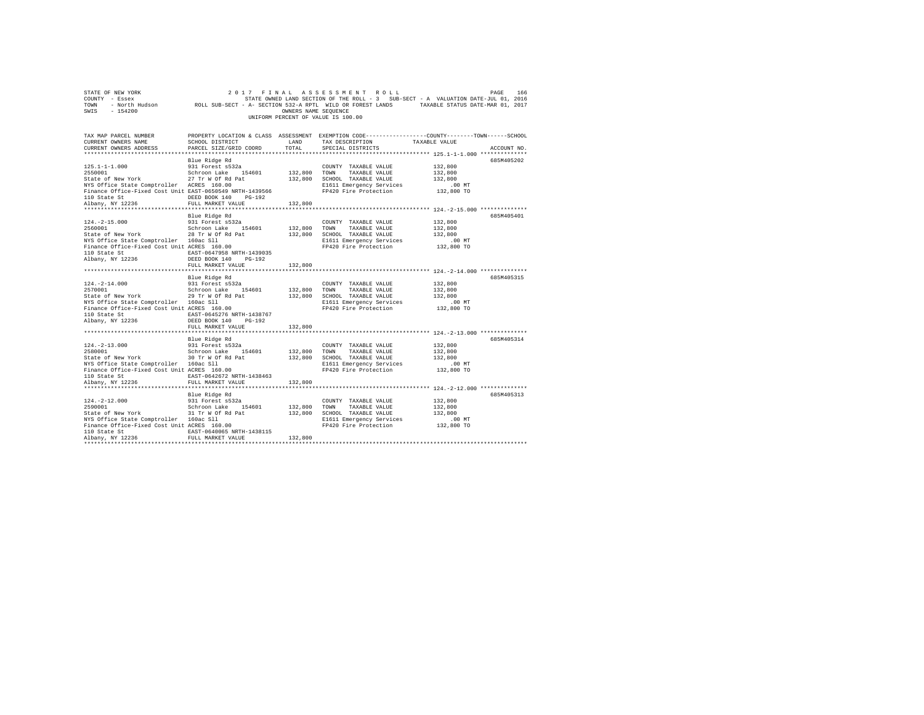| COUNTY - Essex COUNTY - Essex COUL SUB-SECT - A- SECTION DE THE ROLL - 3 SUB-SECT - A VALUATION DATE-JUL 01, 2016<br>2017 - TOWN - North Hudson         ROLL SUB-SECT - A- SECTION 532-A RPTL WILD OR FOREST LANDS<br>SWIS - 154200                                                                                                                                                                                                                                                                                                                                                                                                                                                                                                                   |                                                            | OWNERS NAME SEOUENCE | UNIFORM PERCENT OF VALUE IS 100.00                                                                                                                    |                                                      |             |
|-------------------------------------------------------------------------------------------------------------------------------------------------------------------------------------------------------------------------------------------------------------------------------------------------------------------------------------------------------------------------------------------------------------------------------------------------------------------------------------------------------------------------------------------------------------------------------------------------------------------------------------------------------------------------------------------------------------------------------------------------------|------------------------------------------------------------|----------------------|-------------------------------------------------------------------------------------------------------------------------------------------------------|------------------------------------------------------|-------------|
| CURRENT OWNERS ADDRESS                                                                                                                                                                                                                                                                                                                                                                                                                                                                                                                                                                                                                                                                                                                                | PARCEL SIZE/GRID COORD                                     | TOTAL                | LAND TAX DESCRIPTION<br>SPECIAL DISTRICTS                                                                                                             |                                                      | ACCOUNT NO. |
| State or weaver the state of the state of the state of the state of the state Comptroller ACRES 160.00<br>Finance Office-Fixed Cost Unit EAST-0650549 NRTH-1439566<br>Finance Office-Fixed Cost Unit = THE TAN TAN TAN TO 100<br>Th<br>110 State St<br>Albany, NY 12236                                                                                                                                                                                                                                                                                                                                                                                                                                                                               | Blue Ridge Rd<br>DEED BOOK 140 PG-192<br>FULL MARKET VALUE | 132,800              |                                                                                                                                                       | 132,800<br>132,800<br>132,800                        | 685M405202  |
| ${\small \begin{tabular}{lcccccc} 110 & State & St & & & \texttt{EAST-0647958 NRTH-1439035} \\ Albany, & NY & 12236 & & & \texttt{DEED BOOK 140} & PG-192 \end{tabular}}$                                                                                                                                                                                                                                                                                                                                                                                                                                                                                                                                                                             | Blue Ridge Rd<br>931 Forest s532a<br>FULL MARKET VALUE     | 132,800              | FP420 Fire Protection 132,800 TO                                                                                                                      | 132,800<br>132,800<br>132,800<br>.00MT               | 685M405401  |
| $\begin{array}{cccc} 124.-2-14.000 & 931 \; \texttt{Forest}\; \texttt{s}532a \\ 2570001 & 8 \texttt{Chrom}\; \texttt{L}4601 & 132,800 \\ 3 \; \texttt{State of New York} & 29 \; \texttt{Tr} \; \texttt{W} \; \texttt{Of} \; \texttt{Rd} \; \texttt{Pat} & 132,800 \\ \end{array}$<br>research computed it is a set of the state of the control of the state of the state of the state of the state of the state of the state of the state of the state of the state of the state of the state of the state of the s<br>110 State St<br>$\begin{array}{ccc}\n\text{EAST}-0645276 \text{ NRTH}-1438767 \\ \text{Albany, NY } 12236\n\end{array}$ $\begin{array}{ccc}\n\text{EST}-0645276 \text{ NRTH}-1438767 \\ \text{DEED } 800K & 140\n\end{array}$ | Blue Ridge Rd                                              |                      | COUNTY TAXABLE VALUE<br>TOWN TAXABLE VALUE<br>132,800 SCHOOL TAXABLE VALUE<br>E1611 Emergency Services .00 MT<br>FP420 Fire Protection .01 132,800 TO | 132,800<br>132,800<br>132,800                        | 685M405315  |
| 124.-2-13.000<br>2580001 1911 1001 1012 124601 132,800 1258001<br>25ate of New York 100 1200 1200 1200 132,800 1001 132,800 1001 132,800 12580<br>NYS Office State Comptroller 160ac Sll<br>Finance Office-Fixed Cost Unit ACRES 160.00<br>110 Observe E.<br>110 State St 642672 NRTH-1438463<br>Albany, NY 12236                                                                                                                                                                                                                                                                                                                                                                                                                                     | FULL MARKET VALUE<br>Blue Ridge Rd<br>FULL MARKET VALUE    | 132,800<br>132,800   | COUNTY TAXABLE VALUE<br>TAXABLE VALUE<br>132,800 SCHOOL TAXABLE VALUE<br>E1611 Emergency Services<br>FP420 Fire Protection                            | 132,800<br>132,800<br>132,800<br>.00MT<br>132,800 TO | 685M405314  |
| $\begin{array}{cccc} 124\,\texttt{--}\,2-12.000 \end{array} \hspace{20mm} \begin{array}{cccc} 931 \, \texttt{Forest}\, \, 532a \end{array} \hspace{20mm} \begin{array}{cccc} \texttt{COUNTY} & \texttt{TAXABLE}\, \texttt{VALUE} \\ 2500011 \end{array} \hspace{20mm} \begin{array}{cccc} \texttt{CONNY} & \texttt{TAXABLE}\, \texttt{VALUE} \\ \texttt{Stab} & \texttt{SCLE} & \texttt{SCLE} \\ \texttt{Stab} & \texttt{SCLE} & \texttt{SCLE} & \$<br>State of New York 160 and State Comptroller 160 ac S11<br>Finance Office State Comptroller 160 ac S11<br>110 State St EAST-0640065 NRTH-1438115<br>Albany, NY 12236                                                                                                                            | Blue Ridge Rd<br>FULL MARKET VALUE                         | 132,800              | E1611 Emergency Services<br>FP420 Fire Protection 132,800 TO                                                                                          | 132,800<br>132,800<br>132,800<br>$.00$ MT            | 685M405313  |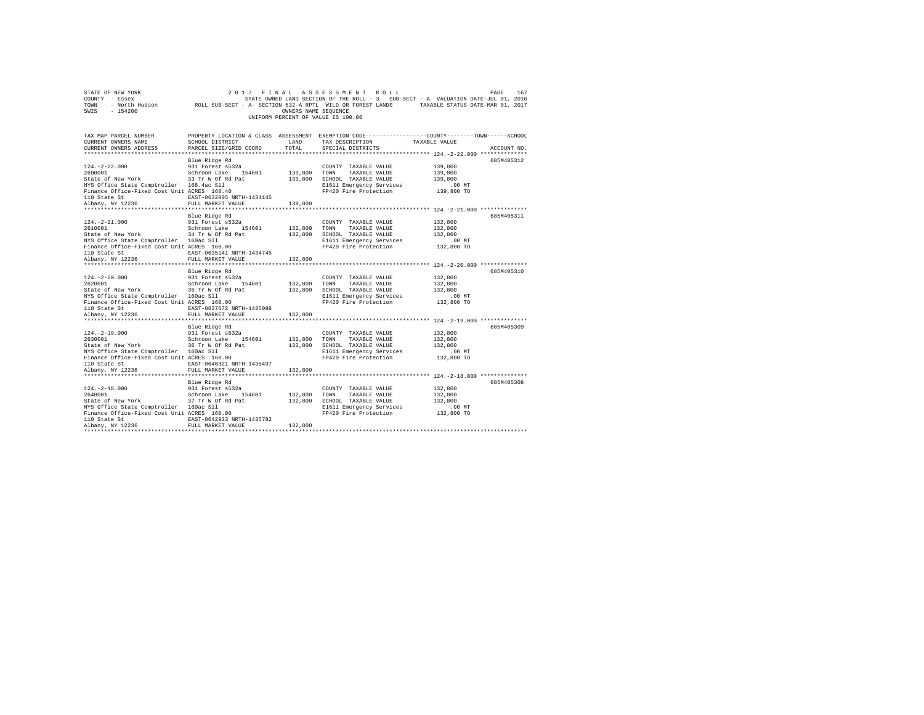| COUNTY - Essex<br>TOWN<br>SWIS<br>$-154200$                                                                                                                                                        |                                                                                                                                 | OWNERS NAME SEQUENCE          | UNIFORM PERCENT OF VALUE IS 100.00                                                                                         | STATE OWNED LAND SECTION OF THE ROLL - 3 SUB-SECT - A VALUATION DATE-JUL 01, 2016<br>- North Hudson Mark ROLL SUB-SECT - A- SECTION 532-A RPTL WILD OR FOREST LANDS TAXABLE STATUS DATE-MAR 01, 2017 |
|----------------------------------------------------------------------------------------------------------------------------------------------------------------------------------------------------|---------------------------------------------------------------------------------------------------------------------------------|-------------------------------|----------------------------------------------------------------------------------------------------------------------------|------------------------------------------------------------------------------------------------------------------------------------------------------------------------------------------------------|
| TAX MAP PARCEL NUMBER<br>CURRENT OWNERS NAME<br>CURRENT OWNERS ADDRESS                                                                                                                             | SCHOOL DISTRICT<br>PARCEL SIZE/GRID COORD                                                                                       | LAND<br>TOTAL                 | TAX DESCRIPTION<br>SPECIAL DISTRICTS                                                                                       | PROPERTY LOCATION & CLASS ASSESSMENT EXEMPTION CODE----------------COUNTY-------TOWN-----SCHOOL<br>TAXABLE VALUE<br>ACCOUNT NO.<br>******************** 124.-2-22.000 **************                 |
| $124. - 2 - 22.000$<br>2600001<br>State of New York<br>NYS Office State Comptroller 168.4ac Sll<br>Finance Office-Fixed Cost Unit ACRES 168.40<br>110 State St<br>Albany, NY 12236                 | Blue Ridge Rd<br>931 Forest s532a<br>Schroon Lake 154601<br>33 Tr W Of Rd Pat<br>EAST-0632005 NRTH-1434145<br>FULL MARKET VALUE | 139,800<br>139,800<br>139,800 | COUNTY TAXABLE VALUE<br>TOWN<br>TAXABLE VALUE<br>SCHOOL TAXABLE VALUE<br>E1611 Emergency Services<br>FP420 Fire Protection | 685M405312<br>139,800<br>139,800<br>139,800<br>$.00$ MT<br>139,800 TO                                                                                                                                |
| $124. - 2 - 21.000$<br>2610001<br>State of New York 34 Tr W Of Rd Pat<br>NYS Office State Comptroller 160ac Sll<br>Finance Office-Fixed Cost Unit ACRES 160.00<br>110 State St<br>Albany, NY 12236 | Blue Ridge Rd<br>931 Forest s532a<br>Schroon Lake 154601<br>EAST-0635141 NRTH-1434745<br>FULL MARKET VALUE                      | 132,800<br>132,800<br>132,800 | COUNTY TAXABLE VALUE<br>TOWN<br>TAXABLE VALUE<br>SCHOOL TAXABLE VALUE<br>E1611 Emergency Services<br>FP420 Fire Protection | 685M405311<br>132,800<br>132,800<br>132,800<br>$.00$ MT<br>132,800 TO                                                                                                                                |
| $124. - 2 - 20.000$<br>2620001<br>State of New York<br>NYS Office State Comptroller 160ac Sll<br>Finance Office-Fixed Cost Unit ACRES 160.00<br>110 State St<br>Albany, NY 12236                   | Blue Ridge Rd<br>931 Forest s532a<br>Schroon Lake 154601<br>35 Tr W Of Rd Pat<br>EAST-0637672 NRTH-1435098<br>FULL MARKET VALUE | 132,800<br>132,800<br>132,800 | COUNTY TAXABLE VALUE<br>TOWN<br>TAXABLE VALUE<br>SCHOOL TAXABLE VALUE<br>E1611 Emergency Services<br>FP420 Fire Protection | 685M405310<br>132,800<br>132,800<br>132,800<br>.00 MT<br>132,800 TO                                                                                                                                  |
| $124. -2 - 19.000$<br>2630001<br>State of New York<br>NYS Office State Comptroller 160ac Sll<br>Finance Office-Fixed Cost Unit ACRES 160.00<br>110 State St<br>Albany, NY 12236                    | Blue Ridge Rd<br>931 Forest s532a<br>Schroon Lake 154601<br>36 Tr W Of Rd Pat<br>EAST-0640321 NRTH-1435497<br>FULL MARKET VALUE | 132,800<br>132,800<br>132,800 | COUNTY TAXABLE VALUE<br>TOWN<br>TAXABLE VALUE<br>SCHOOL TAXABLE VALUE<br>E1611 Emergency Services<br>FP420 Fire Protection | 685M405309<br>132,800<br>132,800<br>132,800<br>$.00$ MT<br>132,800 TO                                                                                                                                |
| $124. - 2 - 18.000$<br>2640001<br>State of New York<br>NYS Office State Comptroller 160ac Sll<br>Finance Office-Fixed Cost Unit ACRES 160.00<br>110 State St<br>Albany, NY 12236                   | Blue Ridge Rd<br>931 Forest s532a<br>Schroon Lake 154601<br>37 Tr W Of Rd Pat<br>EAST-0642933 NRTH-1435782<br>FULL MARKET VALUE | 132,800<br>132,800<br>132,800 | COUNTY TAXABLE VALUE<br>TOWN<br>TAXABLE VALUE<br>SCHOOL TAXABLE VALUE<br>E1611 Emergency Services<br>FP420 Fire Protection | 685M405308<br>132,800<br>132,800<br>132,800<br>.00MT<br>132,800 TO                                                                                                                                   |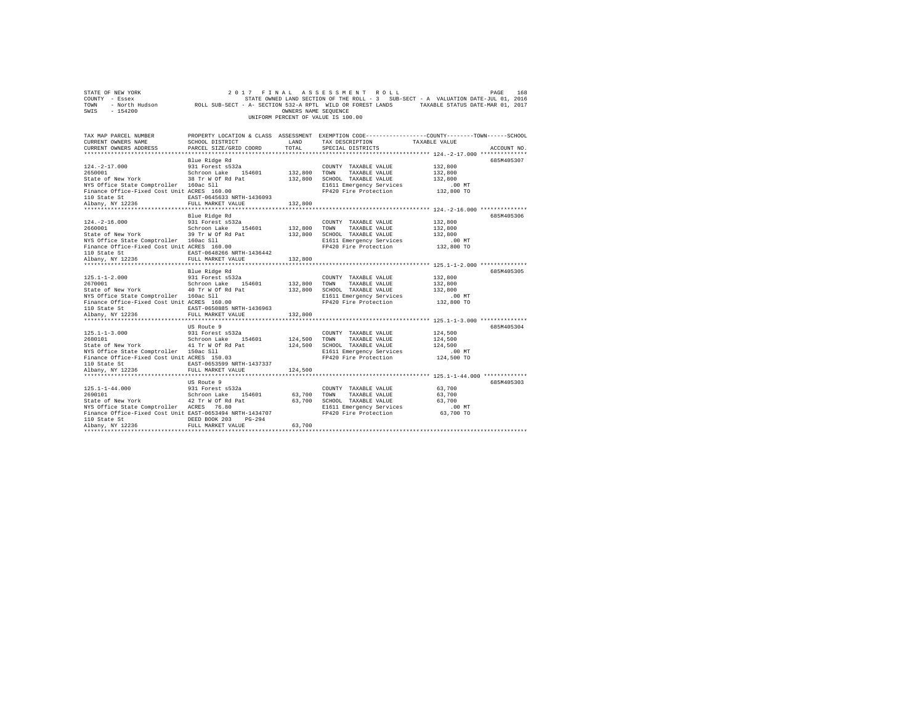| STATE OF NEW YORK<br>COUNTY - Essex                                                                                                                                                                                                                                                                                                                                                                                                      |                                                    |                      | 2017 FINAL ASSESSMENT ROLL                                 | PAGE<br>STATE OWNED LAND SECTION OF THE ROLL - 3 SUB-SECT - A VALUATION DATE-JUL 01, 2016                  | 168 |
|------------------------------------------------------------------------------------------------------------------------------------------------------------------------------------------------------------------------------------------------------------------------------------------------------------------------------------------------------------------------------------------------------------------------------------------|----------------------------------------------------|----------------------|------------------------------------------------------------|------------------------------------------------------------------------------------------------------------|-----|
| TOWN                                                                                                                                                                                                                                                                                                                                                                                                                                     |                                                    |                      |                                                            | - North Hudson ROLL SUB-SECT - A- SECTION 532-A RPTL WILD OR FOREST LANDS TAXABLE STATUS DATE-MAR 01, 2017 |     |
| SWIS<br>$-154200$                                                                                                                                                                                                                                                                                                                                                                                                                        |                                                    | OWNERS NAME SEQUENCE |                                                            |                                                                                                            |     |
|                                                                                                                                                                                                                                                                                                                                                                                                                                          |                                                    |                      | UNIFORM PERCENT OF VALUE IS 100.00                         |                                                                                                            |     |
|                                                                                                                                                                                                                                                                                                                                                                                                                                          |                                                    |                      |                                                            |                                                                                                            |     |
|                                                                                                                                                                                                                                                                                                                                                                                                                                          |                                                    |                      |                                                            |                                                                                                            |     |
| TAX MAP PARCEL NUMBER<br>CURRENT OWNERS NAME                                                                                                                                                                                                                                                                                                                                                                                             | SCHOOL DISTRICT LAND                               |                      | TAX DESCRIPTION TAXABLE VALUE                              | PROPERTY LOCATION & CLASS ASSESSMENT EXEMPTION CODE---------------COUNTY-------TOWN-----SCHOOL             |     |
| CURRENT OWNERS ADDRESS                                                                                                                                                                                                                                                                                                                                                                                                                   | PARCEL SIZE/GRID COORD                             | TOTAL                | SPECIAL DISTRICTS                                          | ACCOUNT NO.                                                                                                |     |
|                                                                                                                                                                                                                                                                                                                                                                                                                                          |                                                    |                      |                                                            |                                                                                                            |     |
|                                                                                                                                                                                                                                                                                                                                                                                                                                          | Blue Ridge Rd                                      |                      |                                                            | 685M405307                                                                                                 |     |
| $124. - 2 - 17.000$                                                                                                                                                                                                                                                                                                                                                                                                                      | 931 Forest s532a                                   |                      | COUNTY TAXABLE VALUE                                       | 132,800                                                                                                    |     |
| 2650001                                                                                                                                                                                                                                                                                                                                                                                                                                  | Schroon Lake 154601                                | 132,800 TOWN         | TAXABLE VALUE                                              | 132,800                                                                                                    |     |
| State of New York Control of Rd Pat 212,800 SCHOOL TAXABLE VALUE                                                                                                                                                                                                                                                                                                                                                                         |                                                    |                      |                                                            | 132,800                                                                                                    |     |
| NYS Office State Comptroller 160ac Sll                                                                                                                                                                                                                                                                                                                                                                                                   |                                                    |                      | E1611 Emergency Services                                   | .00 MT                                                                                                     |     |
| Finance Office-Fixed Cost Unit ACRES 160.00                                                                                                                                                                                                                                                                                                                                                                                              |                                                    |                      | FP420 Fire Protection                                      | 132,800 TO                                                                                                 |     |
| 110 State St<br>Albany, NY 12236                                                                                                                                                                                                                                                                                                                                                                                                         | EAST-0645633 NRTH-1436093                          |                      |                                                            |                                                                                                            |     |
|                                                                                                                                                                                                                                                                                                                                                                                                                                          | FULL MARKET VALUE                                  | 132,800              |                                                            |                                                                                                            |     |
|                                                                                                                                                                                                                                                                                                                                                                                                                                          | Blue Ridge Rd                                      |                      |                                                            | 685M405306                                                                                                 |     |
| $124. - 2 - 16.000$                                                                                                                                                                                                                                                                                                                                                                                                                      | $931$ Forest $s532a$                               |                      | COUNTY TAXABLE VALUE                                       | 132,800                                                                                                    |     |
| 2660001                                                                                                                                                                                                                                                                                                                                                                                                                                  | Schroon Lake 154601                                |                      | 132,800 TOWN TAXABLE VALUE                                 | 132,800                                                                                                    |     |
| State of New York 39 Tr W Of Rd Pat 132,800 SCHOOL TAXABLE VALUE                                                                                                                                                                                                                                                                                                                                                                         |                                                    |                      |                                                            | 132,800                                                                                                    |     |
| NYS Office State Comptroller 160ac Sll                                                                                                                                                                                                                                                                                                                                                                                                   |                                                    |                      | E1611 Emergency Services                                   | .00 MT                                                                                                     |     |
| Finance Office-Fixed Cost Unit ACRES 160.00                                                                                                                                                                                                                                                                                                                                                                                              |                                                    |                      | FP420 Fire Protection                                      | 132,800 TO                                                                                                 |     |
| 110 State St                                                                                                                                                                                                                                                                                                                                                                                                                             | EAST-0648266 NRTH-1436442                          |                      |                                                            |                                                                                                            |     |
| 110 State St<br>Albany, NY 12236                                                                                                                                                                                                                                                                                                                                                                                                         | FULL MARKET VALUE                                  | 132,800              |                                                            |                                                                                                            |     |
|                                                                                                                                                                                                                                                                                                                                                                                                                                          |                                                    |                      |                                                            |                                                                                                            |     |
|                                                                                                                                                                                                                                                                                                                                                                                                                                          | Blue Ridge Rd<br>віце кіαде ка<br>931 Forest s532a |                      |                                                            | 685M405305                                                                                                 |     |
|                                                                                                                                                                                                                                                                                                                                                                                                                                          |                                                    |                      |                                                            | 132,800                                                                                                    |     |
|                                                                                                                                                                                                                                                                                                                                                                                                                                          |                                                    |                      |                                                            | 132,800<br>132,800                                                                                         |     |
| $\begin{array}{cccc} 125.1\text{--}1\text{--}2.000 & 931 \text{ forces.} \\ 2670001 & \text{Schroon Lake} \\ \text{State of New York} & 40 \text{ TeW of Red Pat} \\ & & & & & \\ \text{State of New York} & 160ac S11 & 132,800 \text{ SCHODL TAXABLE VALUE} \\ & & & & & \\ \text{B1611} & 160ac S11 & 132,800 \text{ SCHODL TAXABLE VALUE} \\ & & & & & \\ \text{B17211 Energy ACGC} & & & & \\ \text{B18311} & & & & \\ \text{B1941$ |                                                    |                      |                                                            | .00 MT                                                                                                     |     |
|                                                                                                                                                                                                                                                                                                                                                                                                                                          |                                                    |                      |                                                            | 132,800 TO                                                                                                 |     |
|                                                                                                                                                                                                                                                                                                                                                                                                                                          | EAST-0650885 NRTH-1436963                          |                      |                                                            |                                                                                                            |     |
| 110 State St<br>Albany, NY 12236                                                                                                                                                                                                                                                                                                                                                                                                         | FULL MARKET VALUE                                  | 132,800              |                                                            |                                                                                                            |     |
|                                                                                                                                                                                                                                                                                                                                                                                                                                          |                                                    |                      |                                                            |                                                                                                            |     |
|                                                                                                                                                                                                                                                                                                                                                                                                                                          | US Route 9                                         |                      |                                                            | 685M405304                                                                                                 |     |
| $125.1 - 1 - 3.000$                                                                                                                                                                                                                                                                                                                                                                                                                      | 931 Forest s532a                                   |                      | COUNTY TAXABLE VALUE                                       | 124,500                                                                                                    |     |
| 125.1-1-3.000 931 Forest s532a<br>2680101 95.1 Schroon Lake 154601<br>State of New York 41 Tr W Of Rd Pat                                                                                                                                                                                                                                                                                                                                |                                                    |                      | 124,500 TOWN TAXABLE VALUE<br>124,500 SCHOOL TAXABLE VALUE | 124,500                                                                                                    |     |
|                                                                                                                                                                                                                                                                                                                                                                                                                                          |                                                    |                      |                                                            | 124,500                                                                                                    |     |
| NYS Office State Comptroller 150ac Sll                                                                                                                                                                                                                                                                                                                                                                                                   |                                                    |                      | E1611 Emergency Services                                   | $.00$ MT                                                                                                   |     |
| Finance Office-Fixed Cost Unit ACRES 150.03                                                                                                                                                                                                                                                                                                                                                                                              |                                                    |                      | FP420 Fire Protection 124,500 TO                           |                                                                                                            |     |
| 110 State St<br>Albany, NY 12236                                                                                                                                                                                                                                                                                                                                                                                                         | EAST-0653599 NRTH-1437337<br>FULL MARKET VALUE     | 124,500              |                                                            |                                                                                                            |     |
|                                                                                                                                                                                                                                                                                                                                                                                                                                          |                                                    |                      |                                                            |                                                                                                            |     |
|                                                                                                                                                                                                                                                                                                                                                                                                                                          | US Route 9                                         |                      |                                                            | 685M405303                                                                                                 |     |
|                                                                                                                                                                                                                                                                                                                                                                                                                                          |                                                    |                      | COUNTY TAXABLE VALUE                                       | 63,700                                                                                                     |     |
|                                                                                                                                                                                                                                                                                                                                                                                                                                          |                                                    |                      | 63,700 TOWN TAXABLE VALUE                                  | 63,700                                                                                                     |     |
|                                                                                                                                                                                                                                                                                                                                                                                                                                          |                                                    |                      | 63,700 SCHOOL TAXABLE VALUE                                | 63,700                                                                                                     |     |
| NYS Office State Comptroller ACRES 76.80                                                                                                                                                                                                                                                                                                                                                                                                 |                                                    |                      | E1611 Emergency Services                                   | $.00$ MT                                                                                                   |     |
| Finance Office-Fixed Cost Unit EAST-0653494 NRTH-1434707                                                                                                                                                                                                                                                                                                                                                                                 |                                                    |                      | FP420 Fire Protection 63,700 TO                            |                                                                                                            |     |
| 110 State St                                                                                                                                                                                                                                                                                                                                                                                                                             | DEED BOOK 203 PG-294                               |                      |                                                            |                                                                                                            |     |
| Albany, NY 12236                                                                                                                                                                                                                                                                                                                                                                                                                         | FULL MARKET VALUE                                  | 63,700               |                                                            |                                                                                                            |     |
|                                                                                                                                                                                                                                                                                                                                                                                                                                          |                                                    |                      |                                                            |                                                                                                            |     |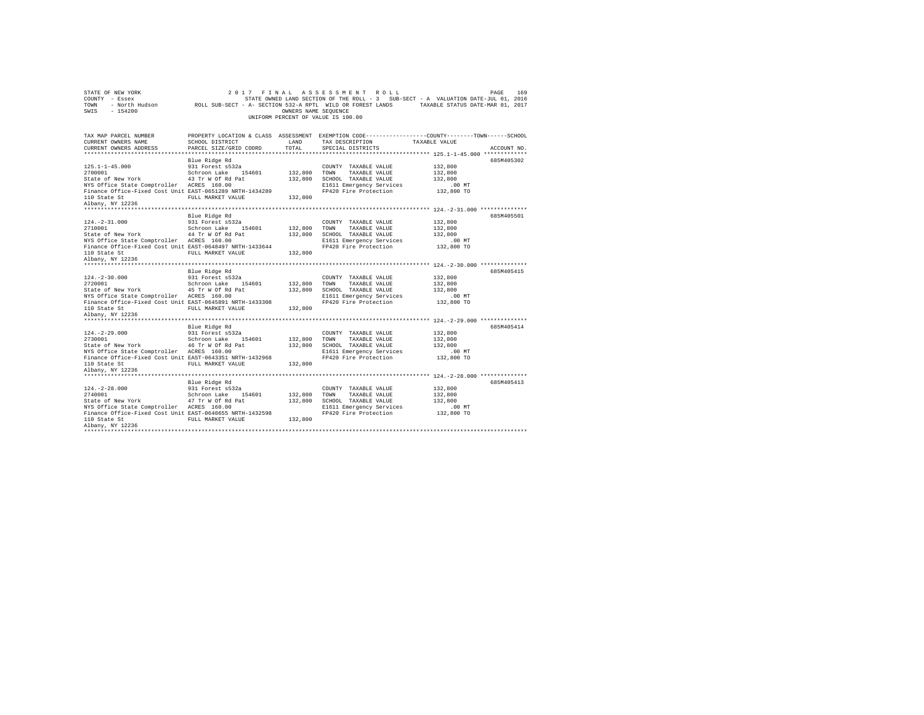| STATE OF NEW YORK<br>COUNTY - Essex<br>TOWN<br>$-154200$<br>SWIS                                                                                                                                                   | 2017                                                                                               | FINAL<br>OWNERS NAME SEQUENCE | ASSESSMENT ROLL<br>STATE OWNED LAND SECTION OF THE ROLL - 3 SUB-SECT - A VALUATION DATE-JUL 01, 2016<br>- North Hudson ROLL SUB-SECT - A- SECTION 532-A RPTL WILD OR FOREST LANDS TAXABLE STATUS DATE-MAR 01, 2017<br>UNIFORM PERCENT OF VALUE IS 100.00 |                                                         | PAGE<br>169 |
|--------------------------------------------------------------------------------------------------------------------------------------------------------------------------------------------------------------------|----------------------------------------------------------------------------------------------------|-------------------------------|----------------------------------------------------------------------------------------------------------------------------------------------------------------------------------------------------------------------------------------------------------|---------------------------------------------------------|-------------|
| TAX MAP PARCEL NUMBER<br>CURRENT OWNERS NAME<br>CURRENT OWNERS ADDRESS                                                                                                                                             | SCHOOL DISTRICT<br>PARCEL SIZE/GRID COORD                                                          | LAND<br>TOTAL                 | PROPERTY LOCATION & CLASS ASSESSMENT EXEMPTION CODE---------------COUNTY-------TOWN-----SCHOOL<br>TAX DESCRIPTION<br>SPECIAL DISTRICTS                                                                                                                   | TAXABLE VALUE                                           | ACCOUNT NO. |
| $125.1 - 1 - 45.000$<br>2700001<br>State of New York<br>NYS Office State Comptroller ACRES 160.00<br>Finance Office-Fixed Cost Unit EAST-0651289 NRTH-1434289<br>110 State St<br>Albany, NY 12236                  | Blue Ridge Rd<br>931 Forest s532a<br>Schroon Lake 154601<br>43 Tr W Of Rd Pat<br>FULL MARKET VALUE | 132,800<br>132,800<br>132,800 | COUNTY TAXABLE VALUE<br>TOWN<br>TAXABLE VALUE<br>SCHOOL TAXABLE VALUE<br>E1611 Emergency Services<br>FP420 Fire Protection                                                                                                                               | 132,800<br>132,800<br>132,800<br>.00 MT<br>132,800 TO   | 685M405302  |
| $124. - 2 - 31.000$<br>2710001<br>State of New York 44 Tr W Of Rd Pat<br>NYS Office State Comptroller ACRES 160.00<br>Finance Office-Fixed Cost Unit EAST-0648497 NRTH-1433644<br>110 State St<br>Albany, NY 12236 | Blue Ridge Rd<br>931 Forest s532a<br>Schroon Lake 154601<br>FULL MARKET VALUE                      | 132,800<br>132,800<br>132,800 | COUNTY TAXABLE VALUE<br>TOWN<br>TAXABLE VALUE<br>SCHOOL TAXABLE VALUE<br>E1611 Emergency Services<br>FP420 Fire Protection                                                                                                                               | 132,800<br>132,800<br>132,800<br>$.00$ MT<br>132,800 TO | 685M405501  |
| $124. - 2 - 30.000$<br>2720001<br>State of New York 45 Tr W Of Rd Pat<br>NYS Office State Comptroller ACRES 160.00<br>Finance Office-Fixed Cost Unit EAST-0645891 NRTH-1433308<br>110 State St<br>Albany, NY 12236 | Blue Ridge Rd<br>931 Forest s532a<br>Schroon Lake 154601<br>FULL MARKET VALUE                      | 132,800<br>132,800<br>132,800 | COUNTY TAXABLE VALUE<br>TOWN<br>TAXABLE VALUE<br>SCHOOL TAXABLE VALUE<br>E1611 Emergency Services<br>FP420 Fire Protection                                                                                                                               | 132,800<br>132,800<br>132,800<br>$.00$ MT<br>132,800 TO | 685M405415  |
| $124. -2 - 29.000$<br>2730001<br>State of New York 46 Tr W Of Rd Pat<br>NYS Office State Comptroller ACRES 160.00<br>Finance Office-Fixed Cost Unit EAST-0643351 NRTH-1432968<br>110 State St<br>Albany, NY 12236  | Blue Ridge Rd<br>931 Forest s532a<br>Schroon Lake 154601<br>FULL MARKET VALUE                      | 132,800<br>132,800<br>132,800 | COUNTY TAXABLE VALUE<br>TOWN<br>TAXABLE VALUE<br>SCHOOL TAXABLE VALUE<br>E1611 Emergency Services<br>FP420 Fire Protection                                                                                                                               | 132,800<br>132,800<br>132,800<br>$.00$ MT<br>132,800 TO | 685M405414  |
| $124. - 2 - 28.000$<br>2740001<br>State of New York 47 Tr W Of Rd Pat<br>NYS Office State Comptroller ACRES 160.00<br>Finance Office-Fixed Cost Unit EAST-0640655 NRTH-1432598<br>110 State St<br>Albany, NY 12236 | Blue Ridge Rd<br>931 Forest s532a<br>Schroon Lake 154601<br>FULL MARKET VALUE                      | 132,800<br>132,800<br>132,800 | COUNTY TAXABLE VALUE<br>TOWN<br>TAXABLE VALUE<br>SCHOOL TAXABLE VALUE<br>E1611 Emergency Services<br>FP420 Fire Protection                                                                                                                               | 132,800<br>132,800<br>132,800<br>.00MT<br>132,800 TO    | 685M405413  |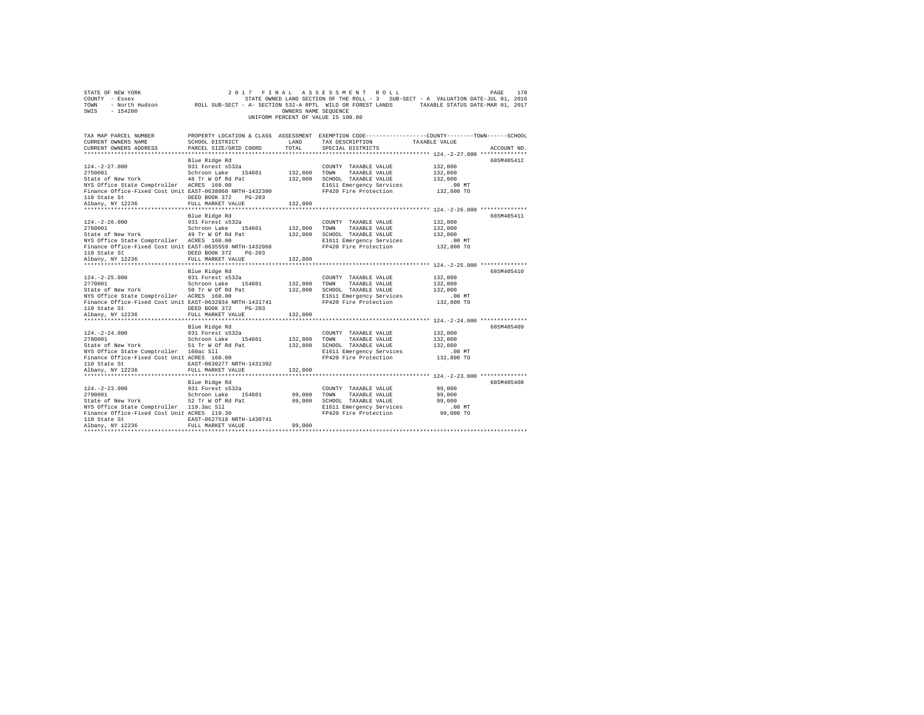|      | STATE OF NEW YORK |                                                            | 2017 FINAL ASSESSMENT ROLL         |                      |  |                                                                                   | PAGE | 170 |
|------|-------------------|------------------------------------------------------------|------------------------------------|----------------------|--|-----------------------------------------------------------------------------------|------|-----|
|      | COUNTY - Essex    |                                                            |                                    |                      |  | STATE OWNED LAND SECTION OF THE ROLL - 3 SUB-SECT - A VALUATION DATE-JUL 01, 2016 |      |     |
| TOWN | - North Hudson    | ROLL SUB-SECT - A- SECTION 532-A RPTL WILD OR FOREST LANDS |                                    |                      |  | TAXABLE STATUS DATE-MAR 01, 2017                                                  |      |     |
| SWIS | - 154200          |                                                            |                                    | OWNERS NAME SEOUENCE |  |                                                                                   |      |     |
|      |                   |                                                            | UNIFORM PERCENT OF VALUE IS 100.00 |                      |  |                                                                                   |      |     |

| TAX MAP PARCEL NUMBER                                                                                |                                         |                | PROPERTY LOCATION & CLASS ASSESSMENT EXEMPTION CODE---------------COUNTY-------TOWN-----SCHOOL |               |             |
|------------------------------------------------------------------------------------------------------|-----------------------------------------|----------------|------------------------------------------------------------------------------------------------|---------------|-------------|
| CURRENT OWNERS NAME                                                                                  | SCHOOL DISTRICT                         | LAND           | TAX DESCRIPTION                                                                                | TAXABLE VALUE |             |
| CURRENT OWNERS ADDRESS                                                                               | PARCEL SIZE/GRID COORD                  | TOTAL          | SPECIAL DISTRICTS                                                                              |               | ACCOUNT NO. |
|                                                                                                      |                                         |                |                                                                                                |               |             |
|                                                                                                      | Blue Ridge Rd                           |                |                                                                                                |               | 685M405412  |
| $124. -2 - 27.000$                                                                                   | 931 Forest s532a                        |                | COUNTY TAXABLE VALUE                                                                           | 132,800       |             |
| 2750001                                                                                              | Schroon Lake 154601                     |                | 132,800 TOWN TAXABLE VALUE                                                                     | 132,800       |             |
| 2750001 Schroon Lake 154601<br>State of New York 18 Tr W Of Rd Pat                                   |                                         |                | 132,800 SCHOOL TAXABLE VALUE                                                                   | 132,800       |             |
| NYS Office State Comptroller ACRES 160.00                                                            |                                         |                | E1611 Emergency Services                                                                       | $.00$ MT      |             |
| Finance Office-Fixed Cost Unit EAST-0638060 NRTH-1432300                                             |                                         |                | FP420 Fire Protection                                                                          | 132,800 TO    |             |
|                                                                                                      | $PG-203$                                |                |                                                                                                |               |             |
|                                                                                                      | FULL MARKET VALUE                       | 132,800        |                                                                                                |               |             |
|                                                                                                      |                                         |                |                                                                                                |               |             |
|                                                                                                      | Blue Ridge Rd                           |                |                                                                                                |               | 685M405411  |
| $124. -2 - 26.000$                                                                                   | 931 Forest s532a<br>Schroon Lake 154601 |                | COUNTY TAXABLE VALUE                                                                           | 132,800       |             |
| 2760001                                                                                              |                                         | $132,800$ TOWN | TAXABLE VALUE                                                                                  | 132,800       |             |
| State of New York 49 Tr W Of Rd Pat                                                                  |                                         |                | 132,800 SCHOOL TAXABLE VALUE 132,800                                                           |               |             |
| NYS Office State Comptroller ACRES 160.00                                                            |                                         |                | E1611 Emergency Services                                                                       | . 00 MT       |             |
| Finance Office-Fixed Cost Unit EAST-0635559 NRTH-1432068                                             |                                         |                | FP420 Fire Protection                                                                          | 132,800 TO    |             |
|                                                                                                      |                                         |                |                                                                                                |               |             |
|                                                                                                      |                                         |                |                                                                                                |               |             |
|                                                                                                      |                                         |                |                                                                                                |               |             |
|                                                                                                      | Blue Ridge Rd                           |                |                                                                                                |               | 685M405410  |
|                                                                                                      | 931 Forest s532a                        |                | COUNTY TAXABLE VALUE                                                                           | 132,800       |             |
| $124. -2 - 25.000$                                                                                   | Schroon Lake 154601 132,800 TOWN        |                | TAXABLE VALUE                                                                                  | 132,800       |             |
| 2176001<br>State of New York<br>Michael State Comptroller - ACRES 160.00                             |                                         |                | 132,800 SCHOOL TAXABLE VALUE<br>E1611 Emergency Services                                       | 132,800       |             |
|                                                                                                      |                                         |                |                                                                                                | $.00$ MT      |             |
| Finance Office-Fixed Cost Unit EAST-0632834 NRTH-1431741                                             |                                         |                | FP420 Fire Protection                                                                          | 132,800 TO    |             |
|                                                                                                      | DEED BOOK 372 PG-203                    |                |                                                                                                |               |             |
| 110 State St<br>Albany, NY 12236                                                                     | FULL MARKET VALUE                       | 132,800        |                                                                                                |               |             |
|                                                                                                      |                                         |                |                                                                                                |               |             |
|                                                                                                      | Blue Ridge Rd                           |                |                                                                                                |               | 685M405409  |
| 124.-2-24.000 931 Forest s532a<br>2780001 Schroon Lake 154601<br>State of New York 51 Tr W Of Rd Pat |                                         |                | COUNTY TAXABLE VALUE                                                                           | 132,800       |             |
|                                                                                                      |                                         | 132,800        | TAXABLE VALUE<br>TOWN                                                                          | 132,800       |             |
|                                                                                                      |                                         | 132,800        | SCHOOL TAXABLE VALUE                                                                           | 132,800       |             |
| NYS Office State Comptroller 160ac Sll                                                               |                                         |                | E1611 Emergency Services                                                                       | $.00$ MT      |             |
| Finance Office-Fixed Cost Unit ACRES 160.00                                                          |                                         |                | FP420 Fire Protection                                                                          | 132,800 TO    |             |
| 110 State St<br>Albany, NY 12236                                                                     | EAST-0630277 NRTH-1431392               |                |                                                                                                |               |             |
|                                                                                                      | FULL MARKET VALUE                       | 132,800        |                                                                                                |               |             |
|                                                                                                      |                                         |                |                                                                                                |               |             |
|                                                                                                      | Blue Ridge Rd                           |                |                                                                                                |               | 685M405408  |
| $124. - 2 - 23.000$                                                                                  | 931 Forest s532a<br>Schroon Lake 154601 |                | COUNTY TAXABLE VALUE                                                                           | 99,000        |             |
| 2790001                                                                                              |                                         | 99,000         | TOWN<br>TAXABLE VALUE                                                                          | 99,000        |             |
| State of New York 52 Tr W Of Rd Pat                                                                  |                                         | 99,000         | SCHOOL TAXABLE VALUE                                                                           | 99,000        |             |
| NYS Office State Comptroller 119.3ac Sll                                                             |                                         |                | E1611 Emergency Services .00 MT<br>FP420 Fire Protection .09,000 TO                            |               |             |
| Finance Office-Fixed Cost Unit ACRES 119.30                                                          |                                         |                |                                                                                                |               |             |
| 110 State St<br>Albany, NY 12236                                                                     | EAST-0627518 NRTH-1430741               |                |                                                                                                |               |             |
|                                                                                                      | FULL MARKET VALUE                       | 99,000         |                                                                                                |               |             |
|                                                                                                      |                                         |                |                                                                                                |               |             |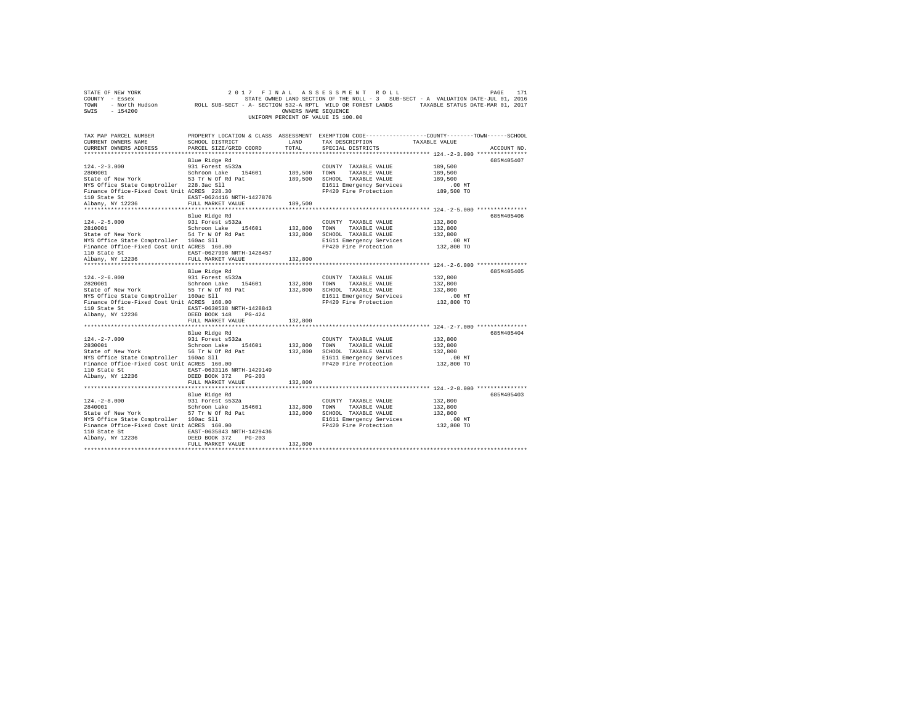| COUNTY - Essex - COMPRET ON STATE ON STATE ON THE ROLL - 3 SUB-SECT - A VALUATION DATE-JUL 01, 2016<br>TOWN - North Hudson - ROLL SUB-SECT - A- SECTION 532-A RPTL WILD OR FOREST LANDS - TAXABLE STATUS DATE-MAR 01, 2017<br>SWIS - |                   |         |                                                                                                                                                                                              |                                                                  |            |
|--------------------------------------------------------------------------------------------------------------------------------------------------------------------------------------------------------------------------------------|-------------------|---------|----------------------------------------------------------------------------------------------------------------------------------------------------------------------------------------------|------------------------------------------------------------------|------------|
|                                                                                                                                                                                                                                      |                   |         | UNIFORM PERCENT OF VALUE IS 100.00                                                                                                                                                           |                                                                  |            |
|                                                                                                                                                                                                                                      |                   |         |                                                                                                                                                                                              |                                                                  |            |
|                                                                                                                                                                                                                                      |                   |         |                                                                                                                                                                                              |                                                                  |            |
| $124.-2-3.000$ $2800001$ $28000010$ $2800001$ $2800001$ $2800001$ $2800001$ $2800001$ $28000001$ $28000001$ $28000001$ $280000000$ $280000000$ $280000000$ $280000000$ $2800000000$ $2800000000$ $2800000000000$ $280000000000$      |                   |         |                                                                                                                                                                                              |                                                                  | 685M405407 |
|                                                                                                                                                                                                                                      |                   |         |                                                                                                                                                                                              |                                                                  |            |
|                                                                                                                                                                                                                                      |                   |         |                                                                                                                                                                                              |                                                                  |            |
|                                                                                                                                                                                                                                      |                   |         |                                                                                                                                                                                              |                                                                  |            |
|                                                                                                                                                                                                                                      |                   |         |                                                                                                                                                                                              |                                                                  |            |
|                                                                                                                                                                                                                                      |                   |         |                                                                                                                                                                                              |                                                                  |            |
|                                                                                                                                                                                                                                      |                   |         |                                                                                                                                                                                              |                                                                  |            |
|                                                                                                                                                                                                                                      |                   |         |                                                                                                                                                                                              | ********************************** 124.-2-5.000 **************** |            |
|                                                                                                                                                                                                                                      | Blue Ridge Rd     |         |                                                                                                                                                                                              |                                                                  | 685M405406 |
| $124. -2 - 5.000$<br>$2810001$                                                                                                                                                                                                       |                   |         | $\begin{tabular}{lllllllllll} \multicolumn{2}{c}{\text{COUNTY}} & \text{TAXABLE VALUE} & & & 132,800 \\ \multicolumn{2}{c}{\text{TOWN}} & \text{TAXABLE VALUE} & & 132,800 \\ \end{tabular}$ |                                                                  |            |
|                                                                                                                                                                                                                                      |                   |         |                                                                                                                                                                                              |                                                                  |            |
|                                                                                                                                                                                                                                      |                   |         |                                                                                                                                                                                              |                                                                  |            |
| State of New York 54 Tr W Of Rd Pat 2000 SCHOOL TAXABLE VALUE 1000 SCHOOL TAXABLE VALUE 312,800<br>NYS Office State Comptroller 160ac S11 2000 SCHOOL TAXABLE VALUE 312,800<br>Finance Office-Fixed Cost Unit ACRES 160.00 PH20 Pire |                   |         |                                                                                                                                                                                              |                                                                  |            |
|                                                                                                                                                                                                                                      |                   |         |                                                                                                                                                                                              |                                                                  |            |
|                                                                                                                                                                                                                                      |                   | 132,800 |                                                                                                                                                                                              |                                                                  |            |
|                                                                                                                                                                                                                                      |                   |         |                                                                                                                                                                                              |                                                                  |            |
|                                                                                                                                                                                                                                      | Blue Ridge Rd     |         |                                                                                                                                                                                              |                                                                  | 685M405405 |
|                                                                                                                                                                                                                                      |                   |         |                                                                                                                                                                                              |                                                                  |            |
|                                                                                                                                                                                                                                      |                   |         |                                                                                                                                                                                              |                                                                  |            |
|                                                                                                                                                                                                                                      |                   |         |                                                                                                                                                                                              |                                                                  |            |
|                                                                                                                                                                                                                                      |                   |         |                                                                                                                                                                                              |                                                                  |            |
|                                                                                                                                                                                                                                      |                   |         |                                                                                                                                                                                              |                                                                  |            |
|                                                                                                                                                                                                                                      | FULL MARKET VALUE | 132,800 |                                                                                                                                                                                              |                                                                  |            |
|                                                                                                                                                                                                                                      |                   |         |                                                                                                                                                                                              |                                                                  |            |
|                                                                                                                                                                                                                                      |                   |         |                                                                                                                                                                                              |                                                                  | 685M405404 |
|                                                                                                                                                                                                                                      |                   |         |                                                                                                                                                                                              |                                                                  |            |
|                                                                                                                                                                                                                                      |                   |         |                                                                                                                                                                                              |                                                                  |            |
|                                                                                                                                                                                                                                      |                   |         |                                                                                                                                                                                              |                                                                  |            |
|                                                                                                                                                                                                                                      |                   |         |                                                                                                                                                                                              |                                                                  |            |
|                                                                                                                                                                                                                                      |                   |         |                                                                                                                                                                                              |                                                                  |            |
| ${\small \begin{tabular}{lcl} 110 State St & & & \tt EAST-0633116 NRTH-1429149 \\ \tt Albany, NY & 12236 & & & \tt DEED BOOK & 372 & PG-203 \\ \end{tabular}}$                                                                       |                   |         |                                                                                                                                                                                              |                                                                  |            |
|                                                                                                                                                                                                                                      | FULL MARKET VALUE | 132,800 |                                                                                                                                                                                              |                                                                  |            |
|                                                                                                                                                                                                                                      |                   |         |                                                                                                                                                                                              |                                                                  |            |
|                                                                                                                                                                                                                                      |                   |         |                                                                                                                                                                                              |                                                                  | 685M405403 |
|                                                                                                                                                                                                                                      |                   |         |                                                                                                                                                                                              |                                                                  |            |
|                                                                                                                                                                                                                                      |                   |         |                                                                                                                                                                                              |                                                                  |            |
|                                                                                                                                                                                                                                      |                   |         |                                                                                                                                                                                              |                                                                  |            |
|                                                                                                                                                                                                                                      |                   |         |                                                                                                                                                                                              |                                                                  |            |
|                                                                                                                                                                                                                                      |                   |         |                                                                                                                                                                                              |                                                                  |            |
| 110 State St $\frac{\text{KAST}-0.635843 \text{ NRTH}-1429436}{\text{KAST}-0.635843 \text{ NRTH}-1429436}$<br>$\frac{\text{KAST}-0.635843 \text{ NRTH}-1429436}{\text{DSEED BOSOR}}$<br>$\frac{\text{DSEED}}{\text{RTH}}$            | FULL MARKET VALUE | 132,800 |                                                                                                                                                                                              |                                                                  |            |
|                                                                                                                                                                                                                                      |                   |         |                                                                                                                                                                                              |                                                                  |            |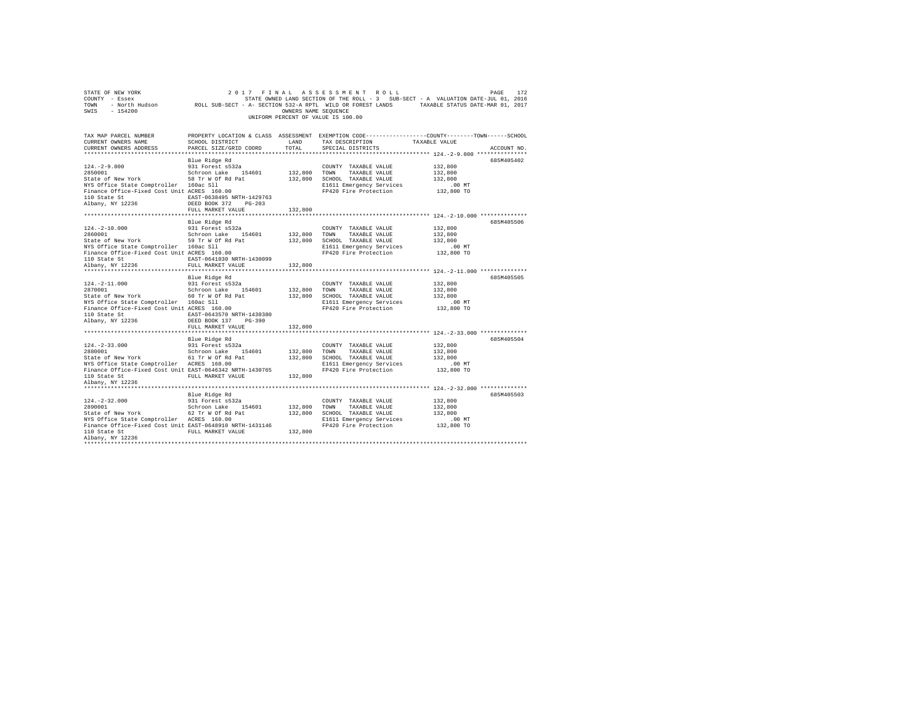| STATE OF NEW YORK<br>2017 FINAL ASSESSMENT ROLL<br>172<br>PAGE<br>STATE OWNED LAND SECTION OF THE ROLL - 3 SUB-SECT - A VALUATION DATE-JUL 01, 2016<br>COUNTY - Essex<br>- North Hudson ROLL SUB-SECT - A- SECTION 532-A RPTL WILD OR FOREST LANDS TAXABLE STATUS DATE-MAR 01, 2017<br>TOWN<br>SWIS<br>$-154200$<br>OWNERS NAME SEOUENCE<br>UNIFORM PERCENT OF VALUE IS 100.00           |                                                                                                                    |                                          |                                                                                                                                 |                                                                                                                                                                                                                  |  |  |  |  |  |
|------------------------------------------------------------------------------------------------------------------------------------------------------------------------------------------------------------------------------------------------------------------------------------------------------------------------------------------------------------------------------------------|--------------------------------------------------------------------------------------------------------------------|------------------------------------------|---------------------------------------------------------------------------------------------------------------------------------|------------------------------------------------------------------------------------------------------------------------------------------------------------------------------------------------------------------|--|--|--|--|--|
| CURRENT OWNERS NAME<br>CURRENT OWNERS ADDRESS                                                                                                                                                                                                                                                                                                                                            | SCHOOL DISTRICT<br>PARCEL SIZE/GRID COORD                                                                          | LAND<br>TOTAL                            | TAX DESCRIPTION<br>SPECIAL DISTRICTS                                                                                            | TAX MAP PARCEL NUMBER PROPERTY LOCATION & CLASS ASSESSMENT EXEMPTION CODE--------------COUNTY-------TOWN------SCHOOL<br>TAXABLE VALUE<br>ACCOUNT NO.<br>************************** 124.-2-9.000 **************** |  |  |  |  |  |
| $124. -2 - 9.000$<br>124.-2-9.000<br>2850001 State Schroon Lake 154601<br>State of New York 58 Tr W Of Rd Pat<br>NYS Office State Comptroller 160ac Sll<br>Finance Office-Fixed Cost Unit ACRES 160.00<br>${\small \begin{tabular}{lcccccc} 110 & State & St & & \multicolumn{2}{c}{EAST-0638495 & NRTH-1429763} \\ Albany, & NY & 12236 & & & DEED & BOK & 372 & PG-203 \end{tabular}}$ | Blue Ridge Rd<br>931 Forest s532a                                                                                  | 132,800                                  | COUNTY TAXABLE VALUE<br>TOWN TAXABLE VALUE<br>132,800 SCHOOL TAXABLE VALUE<br>E1611 Emergency Services<br>FP420 Fire Protection | 685M405402<br>132,800<br>132,800<br>132,800<br>$.00$ MT<br>132,800 TO                                                                                                                                            |  |  |  |  |  |
|                                                                                                                                                                                                                                                                                                                                                                                          | FULL MARKET VALUE                                                                                                  | 132,800                                  |                                                                                                                                 |                                                                                                                                                                                                                  |  |  |  |  |  |
| $124. - 2 - 10.000$<br>2860001<br>State of New York 59 Tr W Of Rd Pat<br>NYS Office State Comptroller 160ac Sll<br>Finance Office-Fixed Cost Unit ACRES 160.00<br>110 State St<br>Albany, NY 12236                                                                                                                                                                                       | Blue Ridge Rd<br>931 Forest s532a<br>Schroon Lake 154601<br>EAST-0641030 NRTH-1430099<br>FULL MARKET VALUE 132,800 | 132,800<br>132,800                       | COUNTY TAXABLE VALUE<br>TAXABLE VALUE<br>TOWN<br>SCHOOL TAXABLE VALUE<br>E1611 Emergency Services<br>FP420 Fire Protection      | 685M405506<br>132,800<br>132,800<br>132,800<br>.00 MT<br>132,800 TO                                                                                                                                              |  |  |  |  |  |
| $124. - 2 - 11.000$<br>NYS Office State Comptroller 160ac Sll<br>Finance Office-Fixed Cost Unit ACRES 160.00<br>110 State St<br>Albany, NY 12236                                                                                                                                                                                                                                         | Blue Ridge Rd<br>931 Forest s532a<br>EAST-0643570 NRTH-1430380<br>DEED BOOK 137 PG-390<br>FULL MARKET VALUE        | 132,800<br>132,800                       | COUNTY TAXABLE VALUE<br>TOWN TAXABLE VALUE<br>132,800 SCHOOL TAXABLE VALUE<br>E1611 Emergency Services<br>FP420 Fire Protection | 685M405505<br>132,800<br>132,800<br>132,800<br>$.00$ MT<br>132,800 TO                                                                                                                                            |  |  |  |  |  |
|                                                                                                                                                                                                                                                                                                                                                                                          |                                                                                                                    |                                          |                                                                                                                                 |                                                                                                                                                                                                                  |  |  |  |  |  |
| $124. - 2 - 33.000$<br>2880001<br>sococount<br>State of New York 61 Tr W Of Rd Pat<br>www.office.state.comptroller ACRES 160.00<br>NYS Office State Comptroller ACRES 160.00<br>Finance Office-Fixed Cost Unit EAST-0646342 NRTH-1430765<br>110 State St<br>Albany, NY 12236                                                                                                             | Blue Ridge Rd<br>931 Forest s532a<br>Schroon Lake 154601<br>FULL MARKET VALUE                                      | 132,800<br>132,800<br>132,800<br>132,800 | COUNTY TAXABLE VALUE<br>TOWN<br>TAXABLE VALUE<br>SCHOOL TAXABLE VALUE<br>E1611 Emergency Services<br>FP420 Fire Protection      | 685M405504<br>132,800<br>132,800<br>132,800<br>.00MT<br>132,800 TO                                                                                                                                               |  |  |  |  |  |
| $124. - 2 - 32.000$<br>2890001<br>State of New York<br>NYS Office State Comptroller ACRES 160.00<br>Finance Office-Fixed Cost Unit EAST-0648910 NRTH-1431146<br>110 State St<br>Albany, NY 12236                                                                                                                                                                                         | Blue Ridge Rd<br>931 Forest s532a<br>Schroon Lake 154601<br>62 Tr W Of Rd Pat<br>FULL MARKET VALUE                 | 132,800<br>132,800<br>132,800            | COUNTY TAXABLE VALUE<br>TOWN<br>TAXABLE VALUE<br>SCHOOL TAXABLE VALUE<br>E1611 Emergency Services<br>FP420 Fire Protection      | 685M405503<br>132,800<br>132,800<br>132.800<br>$.00$ MT<br>132,800 TO                                                                                                                                            |  |  |  |  |  |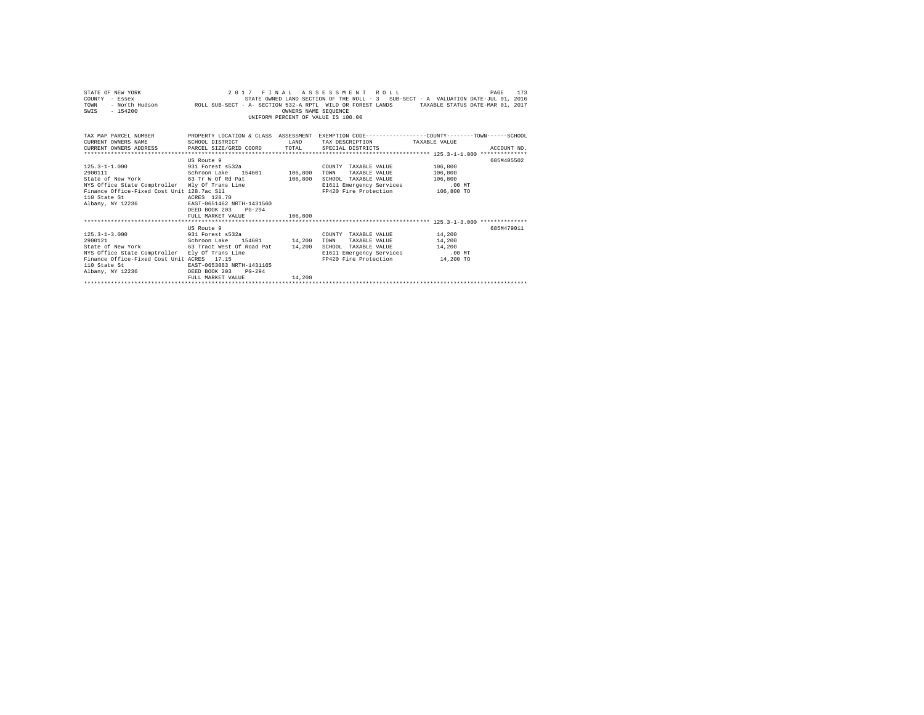| STATE OF NEW YORK<br>COUNTY - Essex<br>TOWN<br>$-154200$<br>SWIS                                                        |                             | OWNERS NAME SEOUENCE | 2017 FINAL ASSESSMENT ROLL<br>UNIFORM PERCENT OF VALUE IS 100.00 | STATE OWNED LAND SECTION OF THE ROLL - 3 SUB-SECT - A VALUATION DATE-JUL U1, 2016 - 3 SUB-SECT - A VALUATION DATE-JUL U1, 2016<br>- North Hudson         ROLL SUB-SECT - A- SECTION 532-A RPTL WILD OR FOREST LANDS     TAXABLE | 173<br>PAGE |
|-------------------------------------------------------------------------------------------------------------------------|-----------------------------|----------------------|------------------------------------------------------------------|---------------------------------------------------------------------------------------------------------------------------------------------------------------------------------------------------------------------------------|-------------|
| TAX MAP PARCEL NUMBER THE PROPERTY LOCATION & CLASS ASSESSMENT EXEMPTION CODE-------------COUNTY-------TOWN------SCHOOL |                             |                      |                                                                  |                                                                                                                                                                                                                                 |             |
| CURRENT OWNERS NAME                                                                                                     | SCHOOL DISTRICT             |                      | LAND TAX DESCRIPTION TAXABLE VALUE                               |                                                                                                                                                                                                                                 |             |
| CURRENT OWNERS ADDRESS FARCEL SIZE/GRID COORD TOTAL SPECIAL DISTRICTS                                                   |                             |                      |                                                                  |                                                                                                                                                                                                                                 | ACCOUNT NO. |
|                                                                                                                         |                             |                      |                                                                  |                                                                                                                                                                                                                                 |             |
|                                                                                                                         | US Route 9                  |                      |                                                                  |                                                                                                                                                                                                                                 | 685M405502  |
| 125.3-1-1.000 931 Forest s532a                                                                                          |                             |                      | COUNTY TAXABLE VALUE 106,800                                     |                                                                                                                                                                                                                                 |             |
| 2900111                                                                                                                 | Schroon Lake 154601 106,800 |                      | TOWN<br>TAXABLE VALUE                                            | 106,800                                                                                                                                                                                                                         |             |
| State of New York 63 Tr W Of Rd Pat                                                                                     |                             | 106,800              | SCHOOL TAXABLE VALUE                                             | 106,800                                                                                                                                                                                                                         |             |
| NYS Office State Comptroller Wly Of Trans Line                                                                          |                             |                      | E1611 Emergency Services .00 MT                                  |                                                                                                                                                                                                                                 |             |
| Finance Office-Fixed Cost Unit 128.7ac Sll                                                                              |                             |                      | FP420 Fire Protection 106,800 TO                                 |                                                                                                                                                                                                                                 |             |
| 110 State St<br>ACRES 128.70                                                                                            |                             |                      |                                                                  |                                                                                                                                                                                                                                 |             |
| Albany, NY 12236 EAST-0651462 NRTH-1431560                                                                              |                             |                      |                                                                  |                                                                                                                                                                                                                                 |             |
|                                                                                                                         | DEED BOOK 203<br>$PG-294$   |                      |                                                                  |                                                                                                                                                                                                                                 |             |
|                                                                                                                         | FULL MARKET VALUE 106,800   |                      |                                                                  |                                                                                                                                                                                                                                 |             |
|                                                                                                                         |                             |                      |                                                                  |                                                                                                                                                                                                                                 |             |
|                                                                                                                         | US Route 9                  |                      |                                                                  |                                                                                                                                                                                                                                 | 685M479011  |
| 125.3-1-3.000 931 Forest s532a                                                                                          |                             |                      | COUNTY TAXABLE VALUE 14,200                                      |                                                                                                                                                                                                                                 |             |
| 2900121                                                                                                                 | Schroon Lake 154601 14,200  |                      | TOWN                                                             | TAXABLE VALUE 14,200                                                                                                                                                                                                            |             |
| State of New York 63 Tract West Of Road Pat 14,200 SCHOOL TAXABLE VALUE 14,200                                          |                             |                      |                                                                  |                                                                                                                                                                                                                                 |             |
| NYS Office State Comptroller Ely Of Trans Line                                                                          |                             |                      | E1611 Emergency Services .00 MT                                  |                                                                                                                                                                                                                                 |             |
| Finance Office-Fixed Cost Unit ACRES 17.15                                                                              |                             |                      | FP420 Fire Protection 14,200 TO                                  |                                                                                                                                                                                                                                 |             |
| 110 State St                                                                                                            | EAST-0653083 NRTH-1431165   |                      |                                                                  |                                                                                                                                                                                                                                 |             |
| Albany, NY 12236 DEED BOOK 203                                                                                          | $PG-294$                    |                      |                                                                  |                                                                                                                                                                                                                                 |             |
|                                                                                                                         | FULL MARKET VALUE           | 14,200               |                                                                  |                                                                                                                                                                                                                                 |             |
|                                                                                                                         |                             |                      |                                                                  |                                                                                                                                                                                                                                 |             |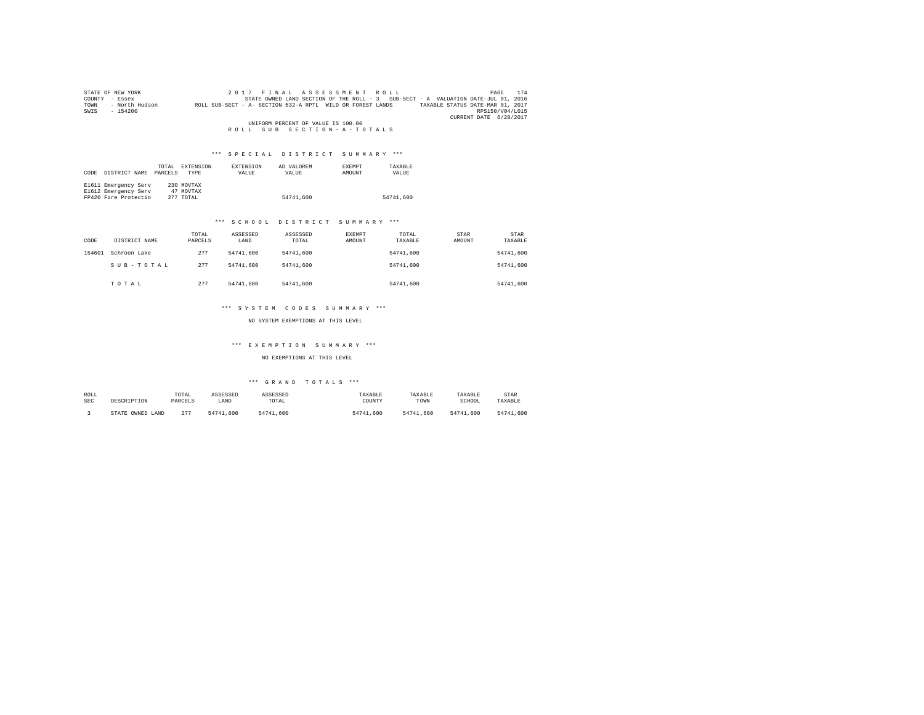|                                    | STATE OF NEW YORK | 2017 FINAL ASSESSMENT ROLL                                                                     | 174<br>PAGE            |  |  |  |
|------------------------------------|-------------------|------------------------------------------------------------------------------------------------|------------------------|--|--|--|
| COUNTY                             | - Essex           | STATE OWNED LAND SECTION OF THE ROLL - 3 SUB-SECT - A VALUATION DATE-JUL 01, 2016              |                        |  |  |  |
| TOWN                               | - North Hudson    | TAXABLE STATUS DATE-MAR 01, 2017<br>ROLL SUB-SECT - A- SECTION 532-A RPTL WILD OR FOREST LANDS |                        |  |  |  |
| SWIS                               | $-154200$         |                                                                                                | RPS150/V04/L015        |  |  |  |
|                                    |                   |                                                                                                | CURRENT DATE 6/28/2017 |  |  |  |
| UNIFORM PERCENT OF VALUE IS 100.00 |                   |                                                                                                |                        |  |  |  |
|                                    |                   | ROLL SUB SECTION-A-TOTALS                                                                      |                        |  |  |  |

# \*\*\* S P E C I A L D I S T R I C T S U M M A R Y \*\*\*

| CODE | DISTRICT NAME        | TOTAL<br>PARCELS | EXTENSION<br><b>TYPE</b> | <b>EXTENSION</b><br>VALUE | AD VALOREM<br>VALUE | <b>EXEMPT</b><br>AMOUNT | TAXABLE<br>VALUE |
|------|----------------------|------------------|--------------------------|---------------------------|---------------------|-------------------------|------------------|
|      | E1611 Emergency Serv |                  | 230 MOVTAX               |                           |                     |                         |                  |
|      | E1612 Emergency Serv |                  | 47 MOVTAX                |                           |                     |                         |                  |
|      | FP420 Fire Protectio |                  | 277 TOTAL                |                           | 54741.600           |                         | 54741.600        |

### \*\*\* S C H O O L D I S T R I C T S U M M A R Y \*\*\*

| CODE   | DISTRICT NAME | TOTAL<br>PARCELS | ASSESSED<br>LAND | ASSESSED<br>TOTAL | EXEMPT<br>AMOUNT | TOTAL<br>TAXABLE | <b>STAR</b><br>AMOUNT | <b>STAR</b><br>TAXABLE |
|--------|---------------|------------------|------------------|-------------------|------------------|------------------|-----------------------|------------------------|
| 154601 | Schroon Lake  | 277              | 54741.600        | 54741.600         |                  | 54741.600        |                       | 54741.600              |
|        | SUB-TOTAL     | 277              | 54741.600        | 54741.600         |                  | 54741.600        |                       | 54741.600              |
|        | TOTAL         | 277              | 54741.600        | 54741,600         |                  | 54741.600        |                       | 54741.600              |

### \*\*\* S Y S T E M C O D E S S U M M A R Y \*\*\*

NO SYSTEM EXEMPTIONS AT THIS LEVEL

# \*\*\* E X E M P T I O N S U M M A R Y \*\*\*

NO EXEMPTIONS AT THIS LEVEL

# \*\*\* G R A N D T O T A L S \*\*\*

| ROLL | DESCRIPTION            | TOTAL   | ASSESSED  | ASSESSED  | TAXABLE   | TAXABLE   | TAXABLE   | STAR      |
|------|------------------------|---------|-----------|-----------|-----------|-----------|-----------|-----------|
| SEC  |                        | PARCELS | LAND      | TOTAL     | COUNTY    | TOWN      | SCHOOL    | TAXABLE   |
|      | OWNED<br>LAND<br>STATE | 277     | 54741.600 | 54741.600 | 54741,600 | 54741.600 | 54741.600 | 54741.600 |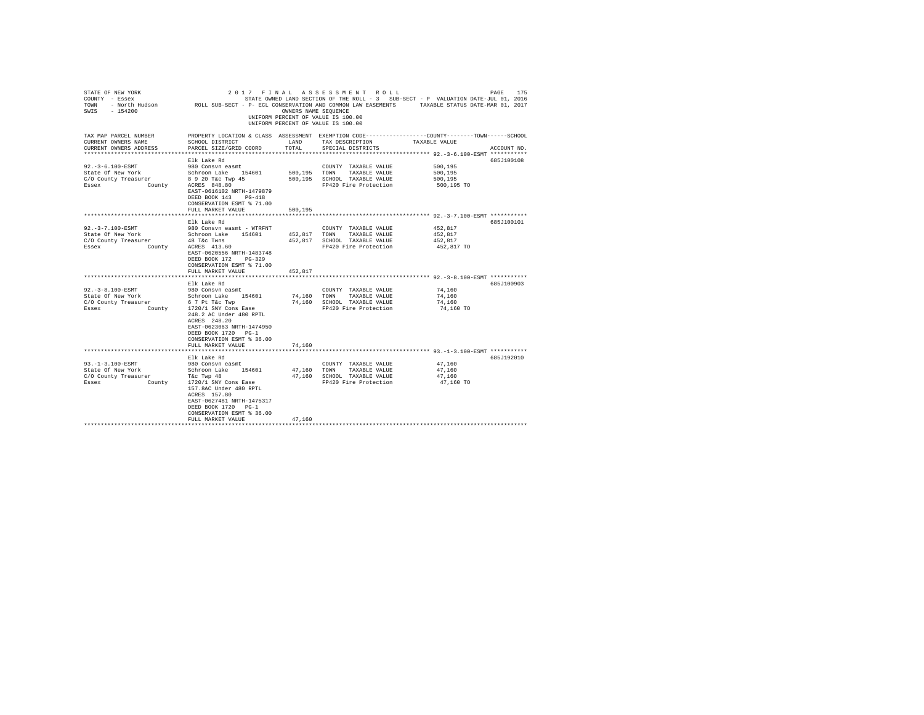| STATE OF NEW YORK<br>COUNTY - Essex<br>SWIS - 154200                                    |                                                                                                                                                        | OWNERS NAME SEQUENCE | 2017 FINAL ASSESSMENT ROLL<br>STATE OWNED LAND SECTION OF THE ROLL - 3 SUB-SECT - P VALUATION DATE-JUL 01, 2016<br>TOWN - North Hudson ROLL SUB-SECT - P- ECL CONSERVATION AND COMMON LAW EASEMENTS TAXABLE STATUS DATE-MAR 01, 2017<br>UNIFORM PERCENT OF VALUE IS 100.00<br>UNIFORM PERCENT OF VALUE IS 100.00 |                                             | 175<br>PAGE |
|-----------------------------------------------------------------------------------------|--------------------------------------------------------------------------------------------------------------------------------------------------------|----------------------|------------------------------------------------------------------------------------------------------------------------------------------------------------------------------------------------------------------------------------------------------------------------------------------------------------------|---------------------------------------------|-------------|
| TAX MAP PARCEL NUMBER<br>CURRENT OWNERS NAME<br>CURRENT OWNERS ADDRESS                  | SCHOOL DISTRICT<br>PARCEL SIZE/GRID COORD                                                                                                              | LAND<br>TOTAL        | PROPERTY LOCATION & CLASS ASSESSMENT EXEMPTION CODE---------------COUNTY-------TOWN-----SCHOOL<br>TAX DESCRIPTION<br>SPECIAL DISTRICTS                                                                                                                                                                           | TAXABLE VALUE                               | ACCOUNT NO. |
| ***********************                                                                 |                                                                                                                                                        |                      | ************************** 92.-3-6.100-ESMT ***********                                                                                                                                                                                                                                                          |                                             |             |
| $92. -3 - 6.100 - ESMT$<br>State Of New York<br>C/O County Treasurer<br>County<br>Essex | Elk Lake Rd<br>980 Consyn easmt<br>Schroon Lake 154601<br>8 9 20 T&c Twp 45<br>ACRES 848.80<br>EAST-0616102 NRTH-1479879<br>DEED BOOK 143 PG-418       | 500,195              | COUNTY TAXABLE VALUE<br>TOWN TAXABLE VALUE<br>500,195 SCHOOL TAXABLE VALUE<br>FP420 Fire Protection                                                                                                                                                                                                              | 500.195<br>500,195<br>500,195<br>500,195 TO | 685J100108  |
|                                                                                         | CONSERVATION ESMT % 71.00                                                                                                                              |                      |                                                                                                                                                                                                                                                                                                                  |                                             |             |
|                                                                                         | FULL MARKET VALUE                                                                                                                                      | 500.195              |                                                                                                                                                                                                                                                                                                                  |                                             |             |
|                                                                                         |                                                                                                                                                        |                      |                                                                                                                                                                                                                                                                                                                  |                                             |             |
|                                                                                         | Elk Lake Rd                                                                                                                                            |                      |                                                                                                                                                                                                                                                                                                                  |                                             | 685J100101  |
| $92. - 3 - 7.100 - ESMT$<br>State Of New York                                           | 980 Consyn easmt - WTRFNT<br>Schroon Lake 154601                                                                                                       | 452.817              | COUNTY TAXABLE VALUE<br>TOWN TAXABLE VALUE                                                                                                                                                                                                                                                                       | 452,817<br>452.817                          |             |
| C/O County Treasurer                                                                    | 48 T&c Twns                                                                                                                                            |                      | 452.817 SCHOOL TAXABLE VALUE                                                                                                                                                                                                                                                                                     | 452.817                                     |             |
| County<br>Essex                                                                         | ACRES 413.60<br>EAST-0620556 NRTH-1483748<br>DEED BOOK 172 PG-329<br>CONSERVATION ESMT % 71.00                                                         |                      | FP420 Fire Protection                                                                                                                                                                                                                                                                                            | 452,817 TO                                  |             |
|                                                                                         | FULL MARKET VALUE                                                                                                                                      | 452,817              |                                                                                                                                                                                                                                                                                                                  |                                             |             |
|                                                                                         | Elk Lake Rd                                                                                                                                            |                      |                                                                                                                                                                                                                                                                                                                  |                                             | 685J100903  |
| 92. - 3 - 8.100 - ESMT                                                                  | 980 Consvn easmt                                                                                                                                       |                      | COUNTY TAXABLE VALUE                                                                                                                                                                                                                                                                                             | 74,160                                      |             |
| State Of New York                                                                       | Schroon Lake 154601                                                                                                                                    | 74,160               | TOWN TAXABLE VALUE                                                                                                                                                                                                                                                                                               | 74,160                                      |             |
| C/O County Treasurer                                                                    | 6 7 Pt T&c Twp                                                                                                                                         |                      | 74,160 SCHOOL TAXABLE VALUE                                                                                                                                                                                                                                                                                      | 74,160                                      |             |
| County<br>Essex                                                                         | 1720/1 SNY Cons Ease<br>248.2 AC Under 480 RPTL<br>ACRES 248.20<br>EAST-0623063 NRTH-1474950<br>DEED BOOK 1720 PG-1<br>CONSERVATION ESMT % 36.00       |                      | FP420 Fire Protection                                                                                                                                                                                                                                                                                            | 74,160 TO                                   |             |
|                                                                                         | FULL MARKET VALUE                                                                                                                                      | 74,160               |                                                                                                                                                                                                                                                                                                                  |                                             |             |
|                                                                                         | Elk Lake Rd                                                                                                                                            |                      |                                                                                                                                                                                                                                                                                                                  |                                             | 685J192010  |
| 93. -1-3.100-ESMT                                                                       | 980 Consvn easmt                                                                                                                                       |                      | COUNTY TAXABLE VALUE                                                                                                                                                                                                                                                                                             | 47,160                                      |             |
| State Of New York                                                                       | Schroon Lake 154601                                                                                                                                    |                      | 47,160 TOWN TAXABLE VALUE                                                                                                                                                                                                                                                                                        | 47.160                                      |             |
| C/O County Treasurer                                                                    | T&c Twp 48                                                                                                                                             |                      | 47,160 SCHOOL TAXABLE VALUE                                                                                                                                                                                                                                                                                      | 47.160                                      |             |
| Essex                                                                                   | County 1720/1 SNY Cons Ease<br>157.8AC Under 480 RPTL<br>ACRES 157.80<br>EAST-0627481 NRTH-1475317<br>DEED BOOK 1720 PG-1<br>CONSERVATION ESMT % 36.00 |                      | FP420 Fire Protection                                                                                                                                                                                                                                                                                            | 47,160 TO                                   |             |
|                                                                                         | FULL MARKET VALUE                                                                                                                                      | 47.160               |                                                                                                                                                                                                                                                                                                                  |                                             |             |
|                                                                                         |                                                                                                                                                        |                      |                                                                                                                                                                                                                                                                                                                  |                                             |             |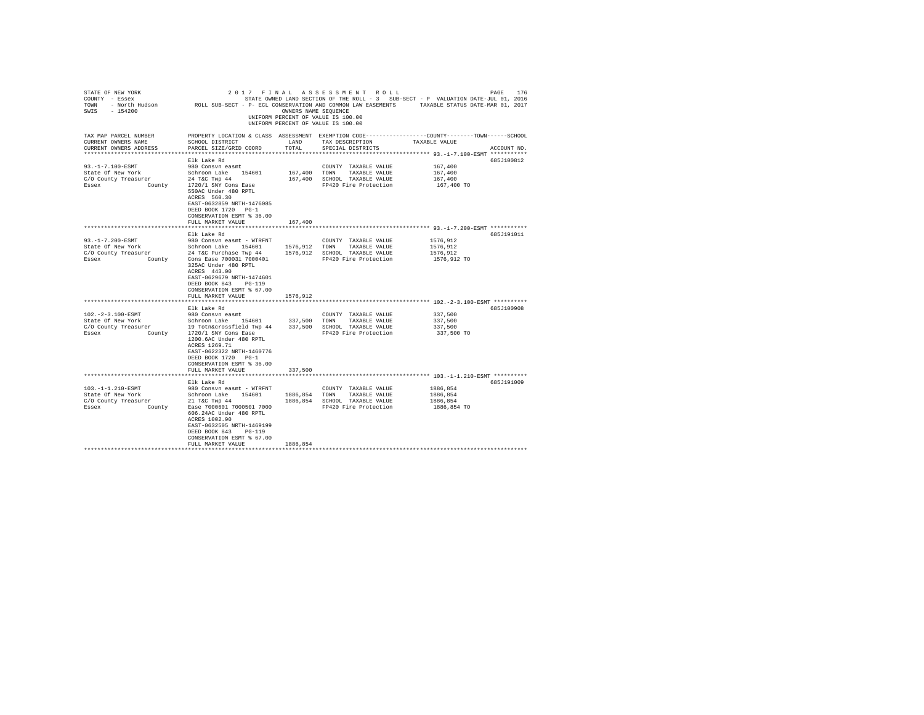| STATE OF NEW YORK<br>COUNTY - Essex<br>TOWN<br>$-154200$<br>SWIS                                                                                                                   | - North Hudson MCLL SUB-SECT - P- ECL CONSERVATION AND COMMON LAW EASEMENTS                                                                                                                                                                                                                                                                                                                                              | OWNERS NAME SEOUENCE                                   | 2017 FINAL ASSESSMENT ROLL<br>STATE OWNED LAND SECTION OF THE ROLL - 3 SUB-SECT - P VALUATION DATE-JUL 01, 2016<br>UNIFORM PERCENT OF VALUE IS 100.00<br>UNIFORM PERCENT OF VALUE IS 100.00      | TAXABLE STATUS DATE-MAR 01, 2017                                                               | 176<br>PAGE |
|------------------------------------------------------------------------------------------------------------------------------------------------------------------------------------|--------------------------------------------------------------------------------------------------------------------------------------------------------------------------------------------------------------------------------------------------------------------------------------------------------------------------------------------------------------------------------------------------------------------------|--------------------------------------------------------|--------------------------------------------------------------------------------------------------------------------------------------------------------------------------------------------------|------------------------------------------------------------------------------------------------|-------------|
| TAX MAP PARCEL NUMBER<br>CURRENT OWNERS NAME<br>CURRENT OWNERS ADDRESS<br>************************                                                                                 | PROPERTY LOCATION & CLASS ASSESSMENT EXEMPTION CODE---------------COUNTY-------TOWN------SCHOOL<br>SCHOOL DISTRICT<br>PARCEL SIZE/GRID COORD                                                                                                                                                                                                                                                                             | LAND<br>TOTAL                                          | TAX DESCRIPTION<br>SPECIAL DISTRICTS                                                                                                                                                             | TAXABLE VALUE                                                                                  | ACCOUNT NO. |
|                                                                                                                                                                                    |                                                                                                                                                                                                                                                                                                                                                                                                                          |                                                        |                                                                                                                                                                                                  |                                                                                                |             |
| $93. -1 - 7.100 - ESMT$<br>State Of New York<br>C/O County Treasurer<br>Essex<br>County                                                                                            | Elk Lake Rd<br>980 Consyn easmt<br>Schroon Lake<br>154601<br>24 T&C Twp 44<br>1720/1 SNY Cons Ease<br>550AC Under 480 RPTL<br>ACRES 560.30<br>EAST-0632859 NRTH-1476085<br>DEED BOOK 1720 PG-1<br>CONSERVATION ESMT % 36.00                                                                                                                                                                                              | 167,400<br>167,400                                     | COUNTY TAXABLE VALUE<br>TOWN<br>TAXABLE VALUE<br>SCHOOL TAXABLE VALUE<br>FP420 Fire Protection                                                                                                   | 167,400<br>167,400<br>167,400<br>167,400 TO                                                    | 685J100812  |
|                                                                                                                                                                                    | FULL MARKET VALUE                                                                                                                                                                                                                                                                                                                                                                                                        | 167,400                                                |                                                                                                                                                                                                  |                                                                                                |             |
|                                                                                                                                                                                    |                                                                                                                                                                                                                                                                                                                                                                                                                          |                                                        |                                                                                                                                                                                                  |                                                                                                |             |
|                                                                                                                                                                                    | Elk Lake Rd                                                                                                                                                                                                                                                                                                                                                                                                              |                                                        |                                                                                                                                                                                                  |                                                                                                | 685J191011  |
| $93. -1 - 7.200 - ESMT$<br>State Of New York<br>C/O County Treasurer<br>Essex<br>County<br>102. - 2 - 3.100 - ESMT<br>State Of New York<br>C/O County Treasurer<br>Essex<br>County | 980 Consvn easmt - WTRFNT<br>Schroon Lake<br>154601<br>24 T&C Purchase Twp 44<br>Cons Ease 700031 7000401<br>325AC Under 480 RPTL<br>ACRES 443.00<br>EAST-0629679 NRTH-1474601<br>$PG-119$<br>DEED BOOK 843<br>CONSERVATION ESMT % 67.00<br>FULL MARKET VALUE<br>Elk Lake Rd<br>980 Consvn easmt<br>Schroon Lake 154601<br>19 Totn&crossfield Twp 44<br>1720/1 SNY Cons Ease<br>1200.6AC Under 480 RPTL<br>ACRES 1269.71 | 1576,912<br>1576,912<br>1576.912<br>337,500<br>337,500 | COUNTY TAXABLE VALUE<br>TOWN<br>TAXABLE VALUE<br>SCHOOL TAXABLE VALUE<br>FP420 Fire Protection<br>COUNTY TAXABLE VALUE<br>TOWN<br>TAXABLE VALUE<br>SCHOOL TAXABLE VALUE<br>FP420 Fire Protection | 1576,912<br>1576,912<br>1576,912<br>1576,912 TO<br>337,500<br>337,500<br>337,500<br>337,500 TO | 685J100908  |
|                                                                                                                                                                                    | EAST-0622322 NRTH-1460776<br>DEED BOOK 1720 PG-1<br>CONSERVATION ESMT % 36.00<br>FULL MARKET VALUE                                                                                                                                                                                                                                                                                                                       | 337,500                                                |                                                                                                                                                                                                  |                                                                                                |             |
|                                                                                                                                                                                    |                                                                                                                                                                                                                                                                                                                                                                                                                          |                                                        |                                                                                                                                                                                                  |                                                                                                |             |
| 103. -1-1.210-ESMT<br>State Of New York<br>C/O County Treasurer<br>Essex<br>County                                                                                                 | Elk Lake Rd<br>980 Consyn easmt - WTRFNT<br>Schroon Lake 154601<br>21 T&C Twp 44<br>Ease 7000601 7000501 7000<br>606.24AC Under 480 RPTL<br>ACRES 1002.90<br>EAST-0632505 NRTH-1469199<br>DEED BOOK 843<br>$PG-119$<br>CONSERVATION ESMT % 67.00<br>FULL MARKET VALUE                                                                                                                                                    | 1886,854<br>1886,854<br>1886,854                       | COUNTY TAXABLE VALUE<br>TOWN<br>TAXABLE VALUE<br>SCHOOL TAXABLE VALUE<br>FP420 Fire Protection                                                                                                   | 1886,854<br>1886,854<br>1886,854<br>1886,854 TO                                                | 685J191009  |
|                                                                                                                                                                                    |                                                                                                                                                                                                                                                                                                                                                                                                                          |                                                        |                                                                                                                                                                                                  |                                                                                                |             |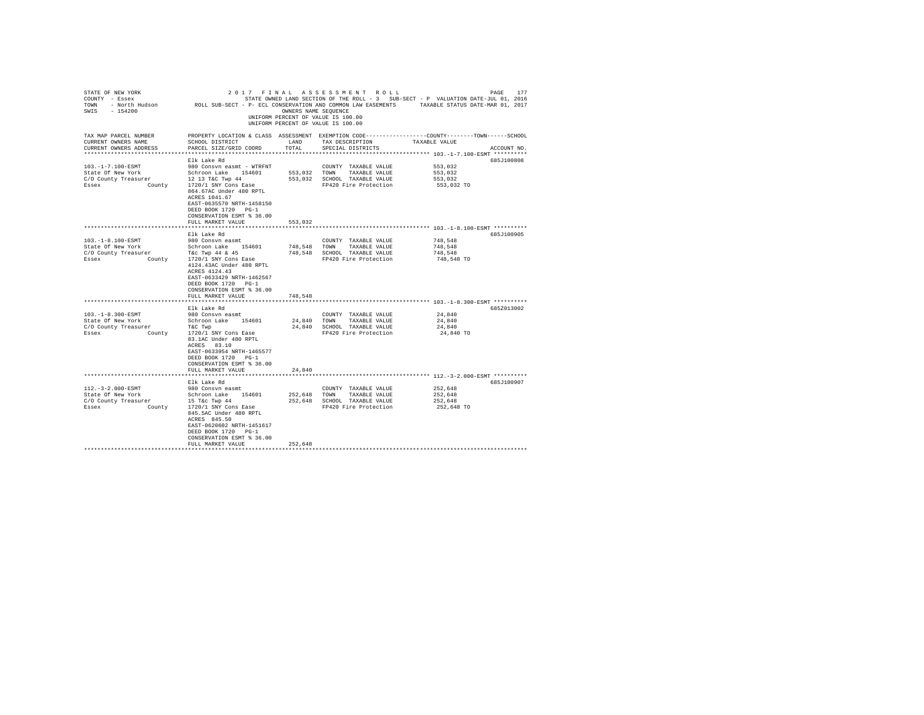|                                                                                                                                                                                                                                                                                                                                                                                                                                               |                                                         |                                                                                                                                                                  |                                                                                                                                                                                                                                                                                                                               | 177<br>PAGE                                                                                                                                                                                                             |
|-----------------------------------------------------------------------------------------------------------------------------------------------------------------------------------------------------------------------------------------------------------------------------------------------------------------------------------------------------------------------------------------------------------------------------------------------|---------------------------------------------------------|------------------------------------------------------------------------------------------------------------------------------------------------------------------|-------------------------------------------------------------------------------------------------------------------------------------------------------------------------------------------------------------------------------------------------------------------------------------------------------------------------------|-------------------------------------------------------------------------------------------------------------------------------------------------------------------------------------------------------------------------|
| SCHOOL DISTRICT<br>PARCEL SIZE/GRID COORD                                                                                                                                                                                                                                                                                                                                                                                                     | LAND<br>TOTAL                                           | TAX DESCRIPTION<br>SPECIAL DISTRICTS                                                                                                                             | TAXABLE VALUE                                                                                                                                                                                                                                                                                                                 | ACCOUNT NO.                                                                                                                                                                                                             |
|                                                                                                                                                                                                                                                                                                                                                                                                                                               |                                                         |                                                                                                                                                                  |                                                                                                                                                                                                                                                                                                                               |                                                                                                                                                                                                                         |
| 980 Consyn easmt - WTRFNT<br>Schroon Lake 154601<br>12 13 T&C Twp 44<br>1720/1 SNY Cons Ease<br>864.67AC Under 480 RPTL<br>ACRES 1041.67<br>EAST-0635570 NRTH-1458150<br>DEED BOOK 1720 PG-1<br>CONSERVATION ESMT % 36.00                                                                                                                                                                                                                     |                                                         | COUNTY TAXABLE VALUE<br>TOWN<br>TAXABLE VALUE<br>SCHOOL TAXABLE VALUE<br>FP420 Fire Protection                                                                   | 553.032<br>553.032<br>553,032<br>553,032 TO                                                                                                                                                                                                                                                                                   | 685J100808                                                                                                                                                                                                              |
| FULL MARKET VALUE                                                                                                                                                                                                                                                                                                                                                                                                                             | 553,032                                                 |                                                                                                                                                                  |                                                                                                                                                                                                                                                                                                                               |                                                                                                                                                                                                                         |
|                                                                                                                                                                                                                                                                                                                                                                                                                                               |                                                         |                                                                                                                                                                  |                                                                                                                                                                                                                                                                                                                               |                                                                                                                                                                                                                         |
| Elk Lake Rd<br>980 Consvn easmt<br>Schroon Lake 154601<br>T&C Twp 44 & 45<br>1720/1 SNY Cons Ease<br>4124.43AC Under 480 RPTL<br>ACRES 4124.43<br>EAST-0633429 NRTH-1462567<br>DEED BOOK 1720 PG-1<br>CONSERVATION ESMT % 36.00<br>FULL MARKET VALUE<br>Elk Lake Rd<br>980 Consvn easmt<br>Schroon Lake 154601<br>T&C Twp<br>1720/1 SNY Cons Ease<br>83.1AC Under 480 RPTL<br>ACRES 83.10<br>EAST-0633954 NRTH-1465577<br>DEED BOOK 1720 PG-1 | 748.548                                                 | COUNTY TAXABLE VALUE<br>TOWN<br>TAXABLE VALUE<br>SCHOOL TAXABLE VALUE<br>FP420 Fire Protection<br>COUNTY TAXABLE VALUE<br>TAXABLE VALUE<br>FP420 Fire Protection | 748.548<br>748,548<br>748,548<br>748,548 TO<br>24,840<br>24,840<br>24,840<br>24,840 TO                                                                                                                                                                                                                                        | 685J100905<br>685Z013002                                                                                                                                                                                                |
| FULL MARKET VALUE                                                                                                                                                                                                                                                                                                                                                                                                                             | 24,840                                                  |                                                                                                                                                                  |                                                                                                                                                                                                                                                                                                                               |                                                                                                                                                                                                                         |
|                                                                                                                                                                                                                                                                                                                                                                                                                                               |                                                         |                                                                                                                                                                  |                                                                                                                                                                                                                                                                                                                               |                                                                                                                                                                                                                         |
| 980 Consyn easmt<br>Schroon Lake 154601<br>15 T&c Twp 44<br>1720/1 SNY Cons Ease<br>845.5AC Under 480 RPTL<br>ACRES 845.50<br>EAST-0620602 NRTH-1451617<br>DEED BOOK 1720 PG-1<br>CONSERVATION ESMT % 36.00<br>FULL MARKET VALUE                                                                                                                                                                                                              | 252,648                                                 | COUNTY TAXABLE VALUE<br>TOWN<br>TAXABLE VALUE<br>SCHOOL TAXABLE VALUE<br>FP420 Fire Protection                                                                   | 252,648<br>252,648<br>252,648<br>252,648 TO                                                                                                                                                                                                                                                                                   | 685J100907                                                                                                                                                                                                              |
|                                                                                                                                                                                                                                                                                                                                                                                                                                               | Elk Lake Rd<br>CONSERVATION ESMT % 36.00<br>Elk Lake Rd |                                                                                                                                                                  | 2017 FINAL ASSESSMENT ROLL<br>- North Hudson MOLL SUB-SECT - P- ECL CONSERVATION AND COMMON LAW EASEMENTS<br>OWNERS NAME SEOUENCE<br>UNIFORM PERCENT OF VALUE IS 100.00<br>UNIFORM PERCENT OF VALUE IS 100.00<br>553,032<br>553.032<br>748,548<br>748,548<br>24.840 TOWN<br>24,840 SCHOOL TAXABLE VALUE<br>252,648<br>252,648 | STATE OWNED LAND SECTION OF THE ROLL - 3 SUB-SECT - P VALUATION DATE-JUL 01, 2016<br>TAXABLE STATUS DATE-MAR 01, 2017<br>PROPERTY LOCATION & CLASS ASSESSMENT EXEMPTION CODE---------------COUNTY-------TOWN-----SCHOOL |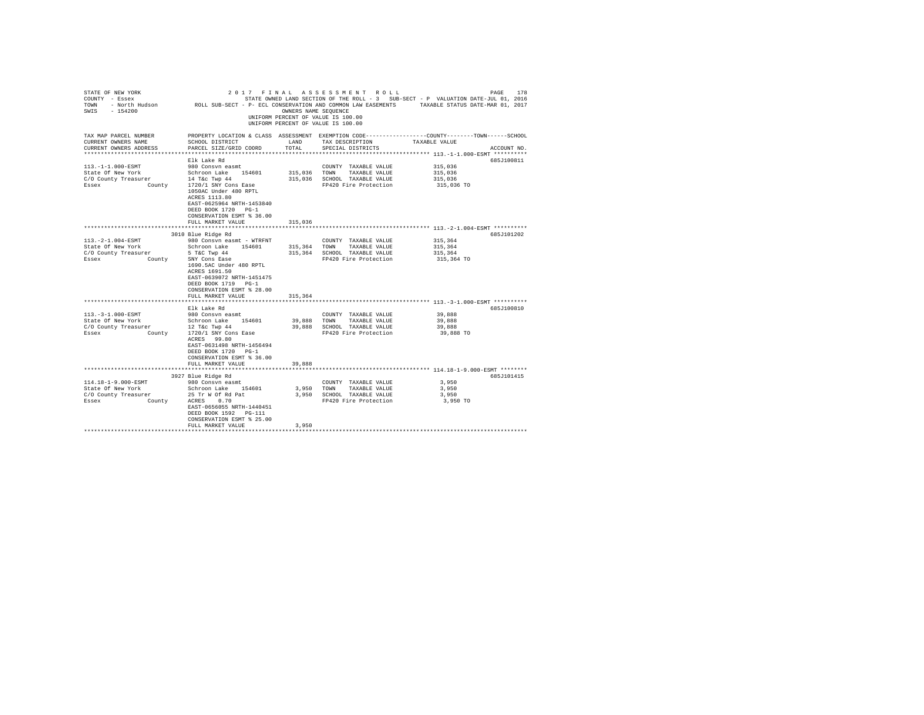| STATE OF NEW YORK<br>COUNTY - Essex<br>COUNT - BOEK HUGSON - ROLL SUB-SECT - P- ECL CONSERVATION AND COMMON LAW EASEMENTS - TAXABLE STATUS DATE-WAR 01, 2017<br>TOWN - North Hugson - ROLL SUB-SECT - P- ECL CONSERVATION AND COMMON LAW EASEMENTS - TAXABLE STATUS DATE<br>SWIS - 154200 |                                                                                                                                                                           | OWNERS NAME SEQUENCE | 2017 FINAL ASSESSMENT ROLL<br>STATE OWNED LAND SECTION OF THE ROLL - 3 SUB-SECT - P VALUATION DATE-JUL 01, 2016<br>UNIFORM PERCENT OF VALUE IS 100.00<br>UNIFORM PERCENT OF VALUE IS 100.00 |                                                          | PAGE<br>178 |
|-------------------------------------------------------------------------------------------------------------------------------------------------------------------------------------------------------------------------------------------------------------------------------------------|---------------------------------------------------------------------------------------------------------------------------------------------------------------------------|----------------------|---------------------------------------------------------------------------------------------------------------------------------------------------------------------------------------------|----------------------------------------------------------|-------------|
| TAX MAP PARCEL NUMBER<br>CURRENT OWNERS NAME<br>CURRENT OWNERS ADDRESS                                                                                                                                                                                                                    | PROPERTY LOCATION & CLASS ASSESSMENT EXEMPTION CODE---------------COUNTY-------TOWN-----SCHOOL<br>SCHOOL DISTRICT<br>PARCEL SIZE/GRID COORD                               | LAND<br>TOTAL        | TAX DESCRIPTION<br>SPECIAL DISTRICTS                                                                                                                                                        | TAXABLE VALUE                                            | ACCOUNT NO. |
|                                                                                                                                                                                                                                                                                           |                                                                                                                                                                           |                      |                                                                                                                                                                                             | ************************* 113.-1-1.000-ESMT **********   |             |
|                                                                                                                                                                                                                                                                                           | Elk Lake Rd                                                                                                                                                               |                      |                                                                                                                                                                                             |                                                          | 685J100811  |
| 113. -1-1.000-ESMT                                                                                                                                                                                                                                                                        | 980 Consvn easmt                                                                                                                                                          |                      | COUNTY TAXABLE VALUE                                                                                                                                                                        | 315,036                                                  |             |
| State Of New York Schroon Lake 154601<br>C/O County Treasurer 14 Tac Twp 44<br>Essex County 1720/1 SNY Cons Ease                                                                                                                                                                          |                                                                                                                                                                           | 315,036 TOWN         | TAXABLE VALUE                                                                                                                                                                               | 315,036                                                  |             |
|                                                                                                                                                                                                                                                                                           |                                                                                                                                                                           |                      | 315,036 SCHOOL TAXABLE VALUE                                                                                                                                                                | 315,036                                                  |             |
|                                                                                                                                                                                                                                                                                           | 1050AC Under 480 RPTL<br>ACRES 1113.80<br>EAST-0625964 NRTH-1453840<br>DEED BOOK 1720 PG-1<br>CONSERVATION ESMT % 36.00                                                   |                      | FP420 Fire Protection                                                                                                                                                                       | 315,036 TO                                               |             |
|                                                                                                                                                                                                                                                                                           | FULL MARKET VALUE<br>*************************                                                                                                                            | 315,036              |                                                                                                                                                                                             |                                                          |             |
|                                                                                                                                                                                                                                                                                           |                                                                                                                                                                           |                      |                                                                                                                                                                                             | *************************** 113.-2-1.004-ESMT ********** |             |
|                                                                                                                                                                                                                                                                                           | 3010 Blue Ridge Rd                                                                                                                                                        |                      |                                                                                                                                                                                             |                                                          | 685J101202  |
| $113.-2-1.004-ESMT$<br>State Of New York                                                                                                                                                                                                                                                  | 980 Consvn easmt - WTRFNT                                                                                                                                                 |                      | COUNTY TAXABLE VALUE                                                                                                                                                                        | 315,364                                                  |             |
|                                                                                                                                                                                                                                                                                           |                                                                                                                                                                           |                      | 315,364 TOWN TAXABLE VALUE<br>315,364 SCHOOL TAXABLE VALUE                                                                                                                                  | 315,364<br>315,364                                       |             |
| C/O County Treasurer<br>Essex County                                                                                                                                                                                                                                                      | Schroon Lake 154601<br>5 T&C Twp 44<br>SNY Cons Ease                                                                                                                      |                      | FP420 Fire Protection                                                                                                                                                                       | 315,364 TO                                               |             |
|                                                                                                                                                                                                                                                                                           | 1690.5AC Under 480 RPTL<br>ACRES 1691.50<br>EAST-0639072 NRTH-1451475<br>DEED BOOK 1719 PG-1<br>CONSERVATION ESMT % 28.00<br>FULL MARKET VALUE<br>*********************** | 315,364              |                                                                                                                                                                                             |                                                          |             |
|                                                                                                                                                                                                                                                                                           |                                                                                                                                                                           |                      |                                                                                                                                                                                             | *************************** 113.-3-1.000-ESMT ********** |             |
|                                                                                                                                                                                                                                                                                           | Elk Lake Rd                                                                                                                                                               |                      |                                                                                                                                                                                             |                                                          | 685J100810  |
| 113. - 3-1.000-ESMT                                                                                                                                                                                                                                                                       | 980 Consvn easmt                                                                                                                                                          |                      | COUNTY TAXABLE VALUE                                                                                                                                                                        | 39,888                                                   |             |
| State Of New York                                                                                                                                                                                                                                                                         | Schroon Lake 154601<br>12 T&c Twp 44                                                                                                                                      | 39,888               | TOWN TAXABLE VALUE                                                                                                                                                                          | 39,888                                                   |             |
| C/O County Treasurer                                                                                                                                                                                                                                                                      |                                                                                                                                                                           |                      | 39,888 SCHOOL TAXABLE VALUE                                                                                                                                                                 | 39,888                                                   |             |
| Essex County 1720/1 SNY Cons Ease                                                                                                                                                                                                                                                         | ACRES 99.80<br>EAST-0631498 NRTH-1456494<br>DEED BOOK 1720 PG-1<br>CONSERVATION ESMT % 36.00                                                                              |                      | FP420 Fire Protection                                                                                                                                                                       | 39,888 TO                                                |             |
|                                                                                                                                                                                                                                                                                           | FULL MARKET VALUE                                                                                                                                                         | 39,888               |                                                                                                                                                                                             |                                                          |             |
|                                                                                                                                                                                                                                                                                           |                                                                                                                                                                           |                      |                                                                                                                                                                                             |                                                          |             |
| 114.18-1-9.000-ESMT                                                                                                                                                                                                                                                                       | 3927 Blue Ridge Rd                                                                                                                                                        |                      |                                                                                                                                                                                             |                                                          | 685.7101415 |
|                                                                                                                                                                                                                                                                                           | 980 Consvn easmt                                                                                                                                                          |                      | COUNTY TAXABLE VALUE                                                                                                                                                                        | 3,950                                                    |             |
| State Of New York                                                                                                                                                                                                                                                                         | Schroon Lake 154601                                                                                                                                                       | 3,950 TOWN           | TAXABLE VALUE                                                                                                                                                                               | 3,950                                                    |             |
| CO County Treasurer and The Transformation of the CO County Treasurer 25 Tr W Of Rd Pat 3,950 SCHOOL TAXABLE VALUE                                                                                                                                                                        |                                                                                                                                                                           |                      |                                                                                                                                                                                             | 3,950                                                    |             |
|                                                                                                                                                                                                                                                                                           | EAST-0656055 NRTH-1440451<br>DEED BOOK 1592 PG-111<br>CONSERVATION ESMT % 25.00                                                                                           |                      |                                                                                                                                                                                             | 3,950 TO                                                 |             |
|                                                                                                                                                                                                                                                                                           | FULL MARKET VALUE                                                                                                                                                         | 3,950                |                                                                                                                                                                                             |                                                          |             |
|                                                                                                                                                                                                                                                                                           |                                                                                                                                                                           |                      |                                                                                                                                                                                             |                                                          |             |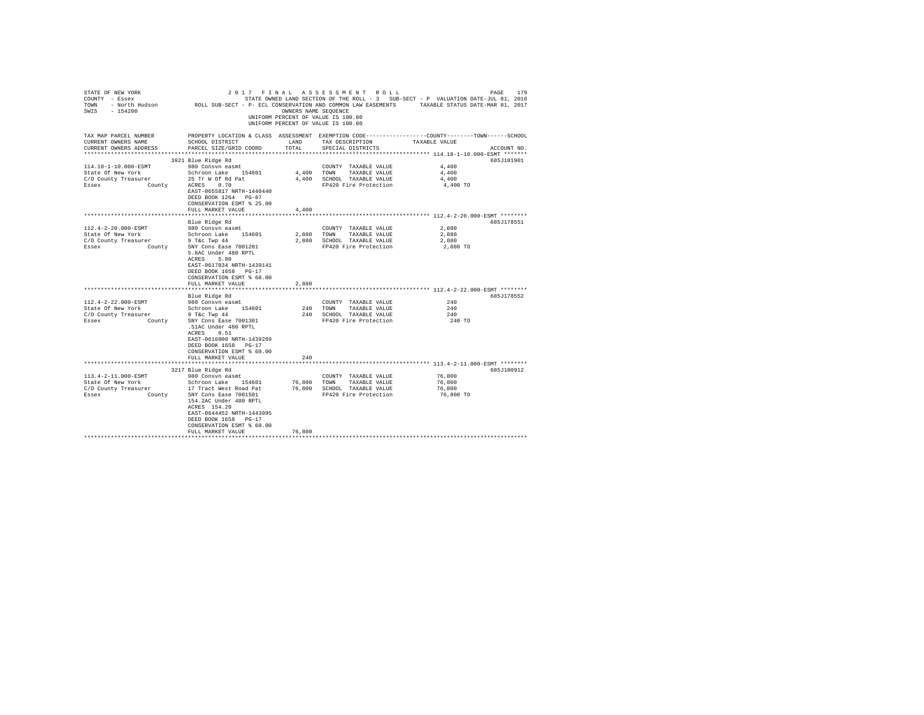| STATE OF NEW YORK<br>COUNTY - Essex<br>SWIS - 154200                   |                                                | OWNERS NAME SEQUENCE | 2017 FINAL ASSESSMENT ROLL<br>UNIFORM PERCENT OF VALUE IS 100.00<br>UNIFORM PERCENT OF VALUE IS 100.00 | PAGE<br>179<br>STATE OWNED LAND SECTION OF THE ROLL - 3 SUB-SECT - P VALUATION DATE-JUL 01, 2016<br>TOWN - North Hudson ROLL SUB-SECT - P- ECL CONSERVATION AND COMMON LAW EASEMENTS TAXABLE STATUS DATE-MAR 01, 2017 |
|------------------------------------------------------------------------|------------------------------------------------|----------------------|--------------------------------------------------------------------------------------------------------|-----------------------------------------------------------------------------------------------------------------------------------------------------------------------------------------------------------------------|
| TAX MAP PARCEL NUMBER<br>CURRENT OWNERS NAME<br>CURRENT OWNERS ADDRESS | SCHOOL DISTRICT<br>PARCEL SIZE/GRID COORD      | LAND<br>TOTAL        | TAX DESCRIPTION<br>SPECIAL DISTRICTS                                                                   | PROPERTY LOCATION & CLASS ASSESSMENT EXEMPTION CODE----------------COUNTY-------TOWN------SCHOOL<br>TAXABLE VALUE<br>ACCOUNT NO.                                                                                      |
|                                                                        | 3921 Blue Ridge Rd                             |                      |                                                                                                        | 685J101901                                                                                                                                                                                                            |
| 114.18-1-10.000-ESMT                                                   | 980 Consvn easmt                               |                      | COUNTY TAXABLE VALUE                                                                                   | 4,400                                                                                                                                                                                                                 |
| State Of New York                                                      | Schroon Lake 154601                            | 4.400 TOWN           | TAXABLE VALUE                                                                                          | 4,400                                                                                                                                                                                                                 |
| C/O County Treasurer                                                   | 25 Tr W Of Rd Pat                              |                      | 4,400 SCHOOL TAXABLE VALUE                                                                             | 4,400                                                                                                                                                                                                                 |
| Essex<br>County                                                        | ACRES 0.70                                     |                      | FP420 Fire Protection                                                                                  | 4,400 TO                                                                                                                                                                                                              |
|                                                                        | EAST-0655817 NRTH-1440440                      |                      |                                                                                                        |                                                                                                                                                                                                                       |
|                                                                        | DEED BOOK 1264 PG-87                           |                      |                                                                                                        |                                                                                                                                                                                                                       |
|                                                                        | CONSERVATION ESMT % 25.00                      |                      |                                                                                                        |                                                                                                                                                                                                                       |
|                                                                        | FULL MARKET VALUE                              | 4,400                |                                                                                                        |                                                                                                                                                                                                                       |
|                                                                        |                                                |                      |                                                                                                        |                                                                                                                                                                                                                       |
|                                                                        | Blue Ridge Rd                                  |                      |                                                                                                        | 685J178551                                                                                                                                                                                                            |
| 112.4-2-20.000-ESMT                                                    | 980 Consvn easmt                               |                      | COUNTY TAXABLE VALUE                                                                                   | 2,880                                                                                                                                                                                                                 |
| State Of New York                                                      | Schroon Lake 154601                            |                      | 2,880 TOWN<br>TAXABLE VALUE                                                                            | 2,880                                                                                                                                                                                                                 |
| C/O County Treasurer                                                   | $9$ T&C Twp $44$                               |                      | 2,880 SCHOOL TAXABLE VALUE                                                                             | 2,880                                                                                                                                                                                                                 |
| County<br>Essex                                                        | SNY Cons Ease 7001201<br>5.8AC Under 480 RPTL  |                      | FP420 Fire Protection                                                                                  | 2,880 TO                                                                                                                                                                                                              |
|                                                                        | ACRES 5.80                                     |                      |                                                                                                        |                                                                                                                                                                                                                       |
|                                                                        | EAST-0617034 NRTH-1439141                      |                      |                                                                                                        |                                                                                                                                                                                                                       |
|                                                                        | DEED BOOK 1658 PG-17                           |                      |                                                                                                        |                                                                                                                                                                                                                       |
|                                                                        | CONSERVATION ESMT % 60.00                      |                      |                                                                                                        |                                                                                                                                                                                                                       |
|                                                                        | FULL MARKET VALUE                              | 2,880                |                                                                                                        |                                                                                                                                                                                                                       |
|                                                                        |                                                |                      |                                                                                                        | *************************** 112.4-2-22.000-ESMT ********                                                                                                                                                              |
|                                                                        | Blue Ridge Rd                                  |                      |                                                                                                        | 685J178552                                                                                                                                                                                                            |
| 112.4-2-22.000-ESMT                                                    | 980 Consvn easmt                               |                      | COUNTY TAXABLE VALUE                                                                                   | 240                                                                                                                                                                                                                   |
| State Of New York                                                      | Schroon Lake 154601                            |                      | 240 TOWN TAXABLE VALUE                                                                                 | 240                                                                                                                                                                                                                   |
|                                                                        | $9$ T&c Twp $44$                               |                      | 240 SCHOOL TAXABLE VALUE                                                                               | 240                                                                                                                                                                                                                   |
| C/O County Treasurer<br>Essex County                                   | SNY Cons Ease 7001301                          |                      | FP420 Fire Protection                                                                                  | 240 TO                                                                                                                                                                                                                |
|                                                                        | .51AC Under 480 RPTL                           |                      |                                                                                                        |                                                                                                                                                                                                                       |
|                                                                        | ACRES 0.51                                     |                      |                                                                                                        |                                                                                                                                                                                                                       |
|                                                                        | EAST-0616000 NRTH-1439269                      |                      |                                                                                                        |                                                                                                                                                                                                                       |
|                                                                        | DEED BOOK 1658 PG-17                           |                      |                                                                                                        |                                                                                                                                                                                                                       |
|                                                                        | CONSERVATION ESMT % 60.00                      |                      |                                                                                                        |                                                                                                                                                                                                                       |
|                                                                        | FULL MARKET VALUE                              | 240                  |                                                                                                        |                                                                                                                                                                                                                       |
|                                                                        |                                                |                      |                                                                                                        |                                                                                                                                                                                                                       |
|                                                                        | 3217 Blue Ridge Rd                             |                      |                                                                                                        | 685J100912                                                                                                                                                                                                            |
| 113.4-2-11.000-ESMT                                                    | 980 Consvn easmt                               |                      | COUNTY TAXABLE VALUE                                                                                   | 76,800                                                                                                                                                                                                                |
| State Of New York                                                      | Schroon Lake 154601                            | 76,800               | TOWN<br>TAXABLE VALUE                                                                                  | 76,800                                                                                                                                                                                                                |
| C/O County Treasurer                                                   | 17 Tract West Road Pat                         | 76,800               | SCHOOL TAXABLE VALUE                                                                                   | 76,800                                                                                                                                                                                                                |
| Essex<br>County                                                        | SNY Cons Ease 7001501                          |                      | FP420 Fire Protection                                                                                  | 76,800 TO                                                                                                                                                                                                             |
|                                                                        | 154.2AC Under 480 RPTL                         |                      |                                                                                                        |                                                                                                                                                                                                                       |
|                                                                        | ACRES 154.20                                   |                      |                                                                                                        |                                                                                                                                                                                                                       |
|                                                                        | EAST-0644452 NRTH-1443995                      |                      |                                                                                                        |                                                                                                                                                                                                                       |
|                                                                        | DEED BOOK 1658 PG-17                           |                      |                                                                                                        |                                                                                                                                                                                                                       |
|                                                                        | CONSERVATION ESMT % 60.00<br>FULL MARKET VALUE | 76,800               |                                                                                                        |                                                                                                                                                                                                                       |
|                                                                        |                                                |                      |                                                                                                        |                                                                                                                                                                                                                       |
|                                                                        |                                                |                      |                                                                                                        |                                                                                                                                                                                                                       |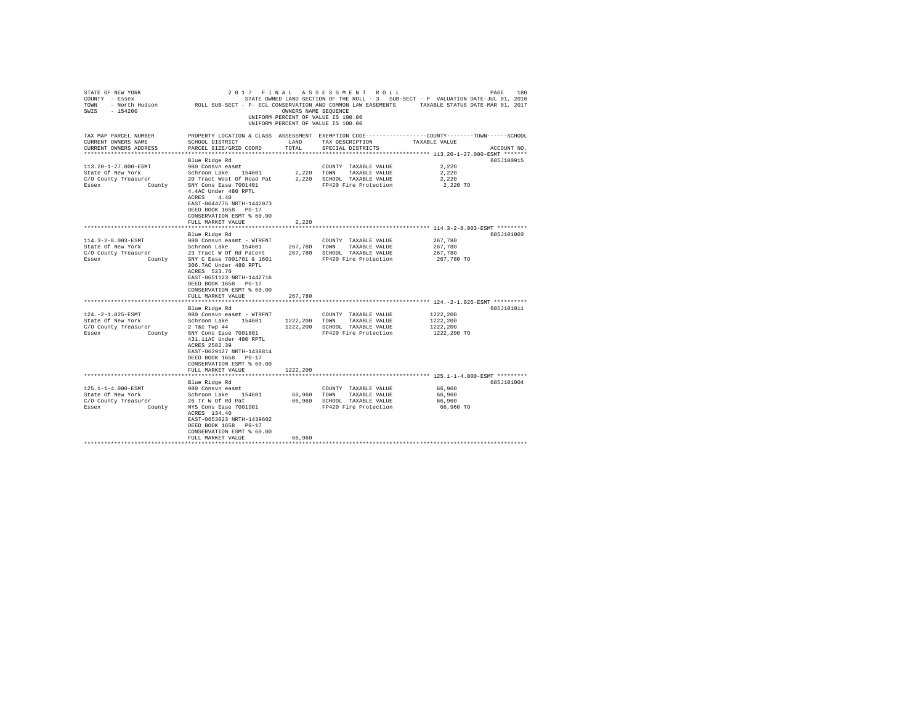| STATE OF NEW YORK<br>COUNTY - Essex<br>TOWN<br>SWIS - 154200                        | - North Hudson MOLL SUB-SECT - P- ECL CONSERVATION AND COMMON LAW EASEMENTS                                                                                                                                                 | OWNERS NAME SEQUENCE                | 2017 FINAL ASSESSMENT ROLL<br>STATE OWNED LAND SECTION OF THE ROLL - 3 SUB-SECT - P VALUATION DATE-JUL 01, 2016<br>UNIFORM PERCENT OF VALUE IS 100.00<br>UNIFORM PERCENT OF VALUE IS 100.00 | TAXABLE STATUS DATE-MAR 01, 2017                                       | PAGE<br>180 |
|-------------------------------------------------------------------------------------|-----------------------------------------------------------------------------------------------------------------------------------------------------------------------------------------------------------------------------|-------------------------------------|---------------------------------------------------------------------------------------------------------------------------------------------------------------------------------------------|------------------------------------------------------------------------|-------------|
| TAX MAP PARCEL NUMBER<br>CURRENT OWNERS NAME<br>CURRENT OWNERS ADDRESS              | SCHOOL DISTRICT<br>PARCEL SIZE/GRID COORD                                                                                                                                                                                   | LAND<br>TOTAL.<br>***************** | PROPERTY LOCATION & CLASS ASSESSMENT EXEMPTION CODE---------------COUNTY-------TOWN------SCHOOL<br>TAX DESCRIPTION<br>SPECIAL DISTRICTS                                                     | TAXABLE VALUE<br>************************ 113.20-1-27.000-ESMT ******* | ACCOUNT NO. |
|                                                                                     | Blue Ridge Rd                                                                                                                                                                                                               |                                     |                                                                                                                                                                                             |                                                                        | 685J100915  |
| 113.20-1-27.000-ESMT<br>State Of New York                                           | 980 Consvn easmt<br>Schroon Lake 154601                                                                                                                                                                                     | 2,220 TOWN                          | COUNTY TAXABLE VALUE<br>TAXABLE VALUE                                                                                                                                                       | 2.220<br>2.220                                                         |             |
| C/O County Treasurer<br>Essex<br>County                                             | 20 Tract West Of Road Pat<br>SNY Cons Ease 7001401<br>4.4AC Under 480 RPTL<br>ACRES 4.40<br>EAST-0644775 NRTH-1442073<br>DEED BOOK 1658 PG-17<br>CONSERVATION ESMT % 60.00                                                  | 2,220                               | SCHOOL TAXABLE VALUE<br>FP420 Fire Protection                                                                                                                                               | 2,220<br>2,220 TO                                                      |             |
|                                                                                     | FULL MARKET VALUE                                                                                                                                                                                                           | 2.220                               |                                                                                                                                                                                             |                                                                        |             |
|                                                                                     |                                                                                                                                                                                                                             | ***********                         | **************************** 114.3-2-8.003-ESMT *********                                                                                                                                   |                                                                        |             |
| 114.3-2-8.003-ESMT<br>State Of New York<br>C/O County Treasurer<br>Essex<br>County  | Blue Ridge Rd<br>980 Consyn easmt - WTRFNT<br>Schroon Lake 154601<br>23 Tract W Of Rd Patent<br>SNY C Ease 7001701 & 1601<br>306.7AC Under 480 RPTL<br>ACRES 523.70<br>EAST-0651123 NRTH-1442716                            | 267,780<br>267.780                  | COUNTY TAXABLE VALUE<br>TOWN<br>TAXABLE VALUE<br>SCHOOL TAXABLE VALUE<br>FP420 Fire Protection                                                                                              | 267.780<br>267.780<br>267,780<br>267,780 TO                            | 685J101003  |
|                                                                                     | DEED BOOK 1658 PG-17<br>CONSERVATION ESMT % 60.00<br>FULL MARKET VALUE                                                                                                                                                      | 267,780                             |                                                                                                                                                                                             |                                                                        |             |
|                                                                                     | Blue Ridge Rd                                                                                                                                                                                                               |                                     |                                                                                                                                                                                             |                                                                        | 685J101011  |
| 124. - 2-1.025-ESMT<br>State Of New York<br>C/O County Treasurer<br>Essex<br>County | 980 Consyn easmt - WTRFNT<br>Schroon Lake 154601<br>$2$ T&c Twp $44$<br>SNY Cons Ease 7001801<br>431.11AC Under 480 RPTL<br>ACRES 2582.39<br>EAST-0629127 NRTH-1438814<br>DEED BOOK 1658 PG-17<br>CONSERVATION ESMT % 60.00 | 1222,200<br>1222,200                | COUNTY TAXABLE VALUE<br>TAXABLE VALUE<br>TOWN<br>SCHOOL TAXABLE VALUE<br>FP420 Fire Protection                                                                                              | 1222,200<br>1222,200<br>1222.200<br>1222,200 TO                        |             |
|                                                                                     | FULL MARKET VALUE                                                                                                                                                                                                           | 1222,200                            |                                                                                                                                                                                             |                                                                        |             |
|                                                                                     |                                                                                                                                                                                                                             |                                     |                                                                                                                                                                                             |                                                                        |             |
| 125.1-1-4.000-ESMT                                                                  | Blue Ridge Rd<br>980 Consvn easmt                                                                                                                                                                                           |                                     | COUNTY TAXABLE VALUE                                                                                                                                                                        | 66,960                                                                 | 685J101004  |
| State Of New York                                                                   | Schroon Lake 154601                                                                                                                                                                                                         | 66,960                              | TOWN<br>TAXABLE VALUE                                                                                                                                                                       | 66,960                                                                 |             |
| C/O County Treasurer                                                                | 26 Tr W Of Rd Pat                                                                                                                                                                                                           | 66,960                              | SCHOOL TAXABLE VALUE                                                                                                                                                                        | 66,960                                                                 |             |
| Essex<br>County                                                                     | NYS Cons Ease 7001901<br>ACRES 134.40<br>EAST-0653023 NRTH-1439602<br>DEED BOOK 1658 PG-17<br>CONSERVATION ESMT % 60.00<br>FULL MARKET VALUE                                                                                | 66,960                              | FP420 Fire Protection                                                                                                                                                                       | 66.960 TO                                                              |             |
|                                                                                     |                                                                                                                                                                                                                             |                                     |                                                                                                                                                                                             |                                                                        |             |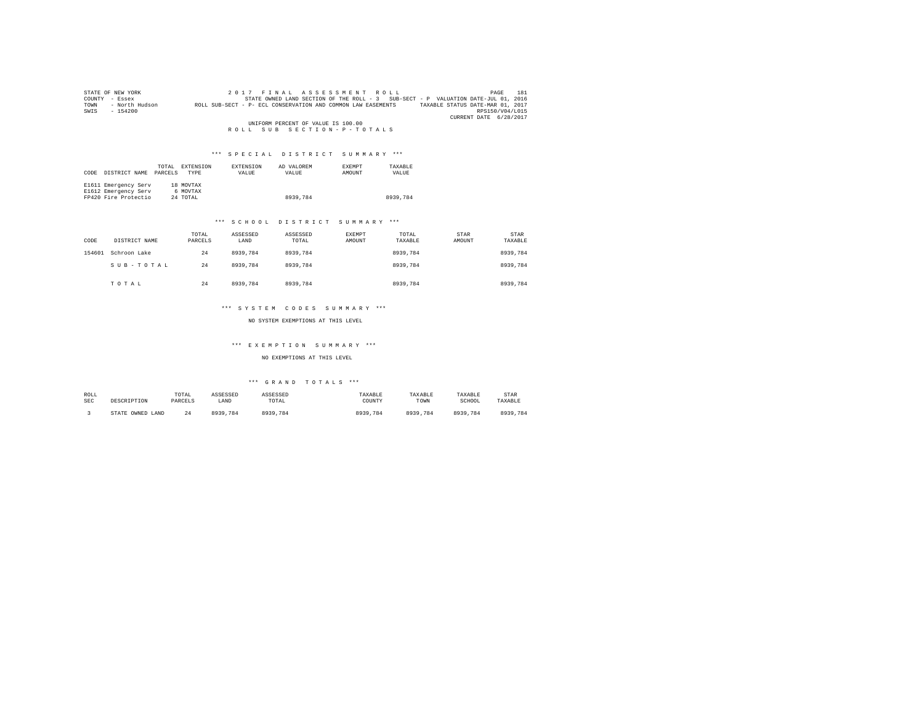|        | STATE OF NEW YORK | 2017 FINAL ASSESSMENT ROLL                                                                       | 181<br>PAGE            |
|--------|-------------------|--------------------------------------------------------------------------------------------------|------------------------|
| COUNTY | - Essex           | STATE OWNED LAND SECTION OF THE ROLL - 3 SUB-SECT - P VALUATION DATE-JUL 01, 2016                |                        |
| TOWN   | - North Hudson    | TAXABLE STATUS DATE-MAR 01, 2017<br>ROLL SUB-SECT - P- ECL CONSERVATION AND COMMON LAW EASEMENTS |                        |
| SWIS   | $-154200$         |                                                                                                  | RPS150/V04/L015        |
|        |                   |                                                                                                  | CURRENT DATE 6/28/2017 |
|        |                   | UNIFORM PERCENT OF VALUE IS 100.00                                                               |                        |
|        |                   | ROLL SUB SECTION-P-TOTALS                                                                        |                        |

| CODE | DISTRICT NAME        | TOTAL<br>PARCELS | EXTENSION<br><b>TYPE</b> | EXTENSION<br>VALUE | AD VALOREM<br>VALUE | <b>EXEMPT</b><br>AMOUNT | TAXARLE<br>VALUE |
|------|----------------------|------------------|--------------------------|--------------------|---------------------|-------------------------|------------------|
|      | E1611 Emergency Serv |                  | 18 MOVTAX                |                    |                     |                         |                  |
|      | E1612 Emergency Serv |                  | 6 MOVTAX                 |                    |                     |                         |                  |
|      | FP420 Fire Protectio |                  | 24 TOTAL                 |                    | 8939.784            |                         | 8939,784         |

#### \*\*\* S C H O O L D I S T R I C T S U M M A R Y \*\*\*

| CODE   | DISTRICT NAME | TOTAL<br>PARCELS | ASSESSED<br>LAND | ASSESSED<br>TOTAL | EXEMPT<br><b>AMOUNT</b> | TOTAL<br>TAXABLE | STAR<br>AMOUNT | <b>STAR</b><br>TAXABLE |
|--------|---------------|------------------|------------------|-------------------|-------------------------|------------------|----------------|------------------------|
| 154601 | Schroon Lake  | 24               | 8939,784         | 8939,784          |                         | 8939,784         |                | 8939.784               |
|        | SUB-TOTAL     | 24               | 8939,784         | 8939,784          |                         | 8939.784         |                | 8939,784               |
|        | TOTAL         | 24               | 8939,784         | 8939,784          |                         | 8939.784         |                | 8939,784               |

#### \*\*\* S Y S T E M C O D E S S U M M A R Y \*\*\*

NO SYSTEM EXEMPTIONS AT THIS LEVEL

#### \*\*\* E X E M P T I O N S U M M A R Y \*\*\*

#### NO EXEMPTIONS AT THIS LEVEL

| ROLL       | DESCRIPTION      | TOTAL   | ASSESSED     | ASSESSED | TAXABLE  | TAXABLE  | TAXABLE  | <b>STAR</b> |
|------------|------------------|---------|--------------|----------|----------|----------|----------|-------------|
| <b>SEC</b> |                  | PARCELS | LAND         | TOTAL    | COUNTY   | TOWN     | SCHOOL   | TAXABLE     |
|            | STATE OWNED LAND | - 7     | 0020<br>.784 | 8939.784 | 8939,784 | 8939.784 | 8939,784 | 8939,784    |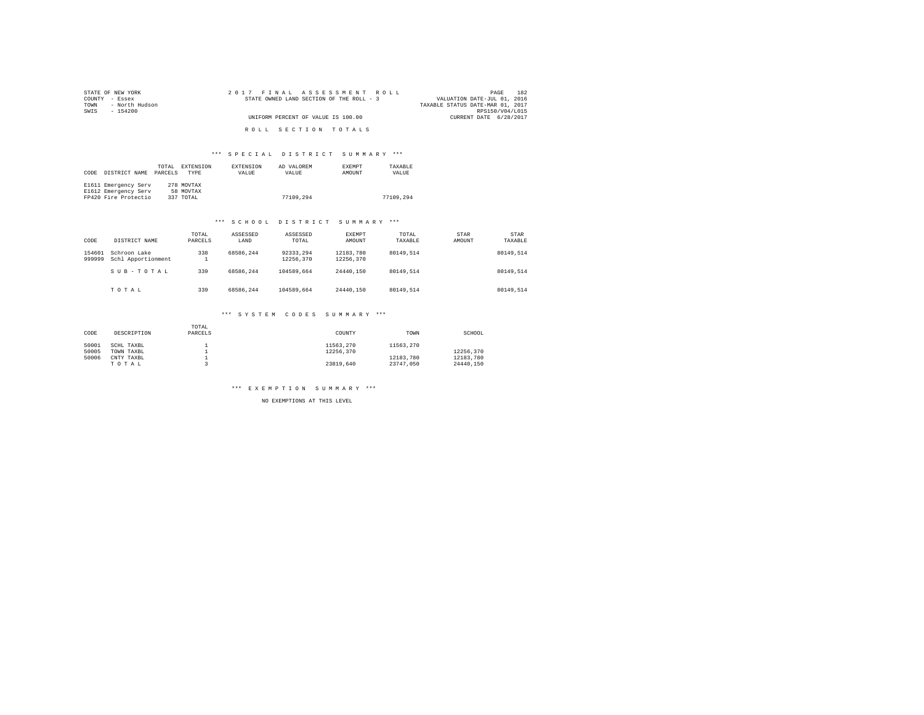| STATE OF NEW YORK      | 2017 FINAL ASSESSMENT ROLL               | 182<br>PAGE                      |
|------------------------|------------------------------------------|----------------------------------|
| COUNTY - Essex         | STATE OWNED LAND SECTION OF THE ROLL - 3 | VALUATION DATE-JUL 01, 2016      |
| - North Hudson<br>TOWN |                                          | TAXABLE STATUS DATE-MAR 01, 2017 |
| SWTS<br>- 154200       |                                          | RPS150/V04/L015                  |
|                        | UNIFORM PERCENT OF VALUE IS 100.00       | CURRENT DATE 6/28/2017           |
|                        |                                          |                                  |
|                        | ROLL SECTION TOTALS                      |                                  |

|      |                      | TOTAL   | EXTENSION   | EXTENSION | AD VALOREM   | <b>EXEMPT</b> | TAXARLE   |
|------|----------------------|---------|-------------|-----------|--------------|---------------|-----------|
| CODE | DISTRICT NAME        | PARCELS | <b>TYPE</b> | VALUE     | <b>VALUE</b> | AMOUNT        | VALUE     |
|      |                      |         |             |           |              |               |           |
|      | E1611 Emergency Serv |         | 278 MOVTAX  |           |              |               |           |
|      | E1612 Emergency Serv |         | 58 MOVTAX   |           |              |               |           |
|      | FP420 Fire Protectio |         | 337 TOTAL   |           | 77109.294    |               | 77109.294 |

#### \*\*\* S C H O O L D I S T R I C T S U M M A R Y \*\*\*

| CODE             | DISTRICT NAME                      | TOTAL<br>PARCELS | ASSESSED<br>LAND | ASSESSED<br>TOTAL      | EXEMPT<br>AMOUNT       | TOTAL<br>TAXABLE | STAR<br>AMOUNT | STAR<br>TAXABLE |
|------------------|------------------------------------|------------------|------------------|------------------------|------------------------|------------------|----------------|-----------------|
| 154601<br>999999 | Schroon Lake<br>Schl Apportionment | 338              | 68586.244        | 92333.294<br>12256.370 | 12183.780<br>12256.370 | 80149.514        |                | 80149.514       |
|                  | SUB-TOTAL                          | 339              | 68586.244        | 104589.664             | 24440.150              | 80149.514        |                | 80149.514       |
|                  | TOTAL                              | 339              | 68586.244        | 104589.664             | 24440.150              | 80149.514        |                | 80149.514       |

## \*\*\* S Y S T E M C O D E S S U M M A R Y \*\*\*

| CODE  | DESCRIPTION | TOTAL<br>PARCELS | COUNTY    | TOWN      | SCHOOL    |
|-------|-------------|------------------|-----------|-----------|-----------|
| 50001 | SCHL TAXBL  |                  | 11563.270 | 11563.270 |           |
| 50005 | TOWN TAXBL  |                  | 12256.370 |           | 12256.370 |
| 50006 | CNTY TAXBL  |                  |           | 12183.780 | 12183.780 |
|       | TOTAL       |                  | 23819.640 | 23747.050 | 24440.150 |

#### \*\*\* E X E M P T I O N S U M M A R Y \*\*\*

NO EXEMPTIONS AT THIS LEVEL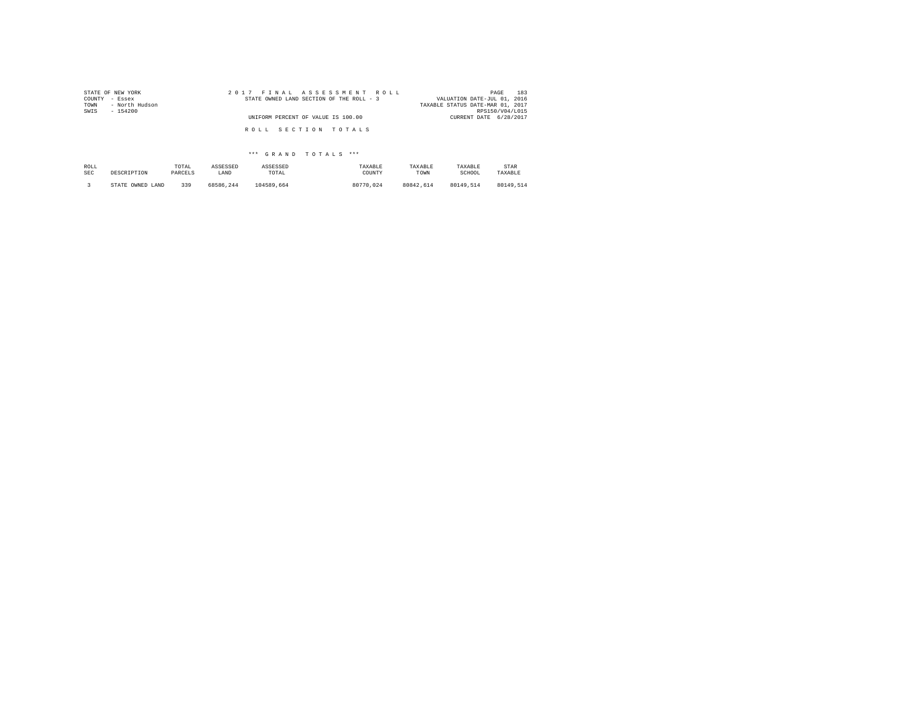| STATE OF NEW YORK      | 2017 FINAL ASSESSMENT ROLL               | 183<br>PAGE                      |
|------------------------|------------------------------------------|----------------------------------|
| COUNTY - Essex         | STATE OWNED LAND SECTION OF THE ROLL - 3 | VALUATION DATE-JUL 01, 2016      |
| TOWN<br>- North Hudson |                                          | TAXABLE STATUS DATE-MAR 01, 2017 |
| SWIS<br>$-154200$      |                                          | RPS150/V04/L015                  |
|                        | UNIFORM PERCENT OF VALUE IS 100.00       | CURRENT DATE 6/28/2017           |
|                        |                                          |                                  |
|                        | ROLL SECTION TOTALS                      |                                  |
|                        |                                          |                                  |

| ROLL | DESCRIPTION      | TOTAL   | ASSESSED  | ASSESSED   | TAXARLE   | TAXABLE   | TAXABLE   | STAR      |
|------|------------------|---------|-----------|------------|-----------|-----------|-----------|-----------|
| SEC  |                  | PARCELS | LAND      | TOTAL      | COUNTY    | TOWN      | SCHOOL    | TAXABLE   |
|      | STATE OWNED LAND | 339     | 68586.244 | 104589.664 | 80770.024 | 80842.614 | 80149.514 | 80149.514 |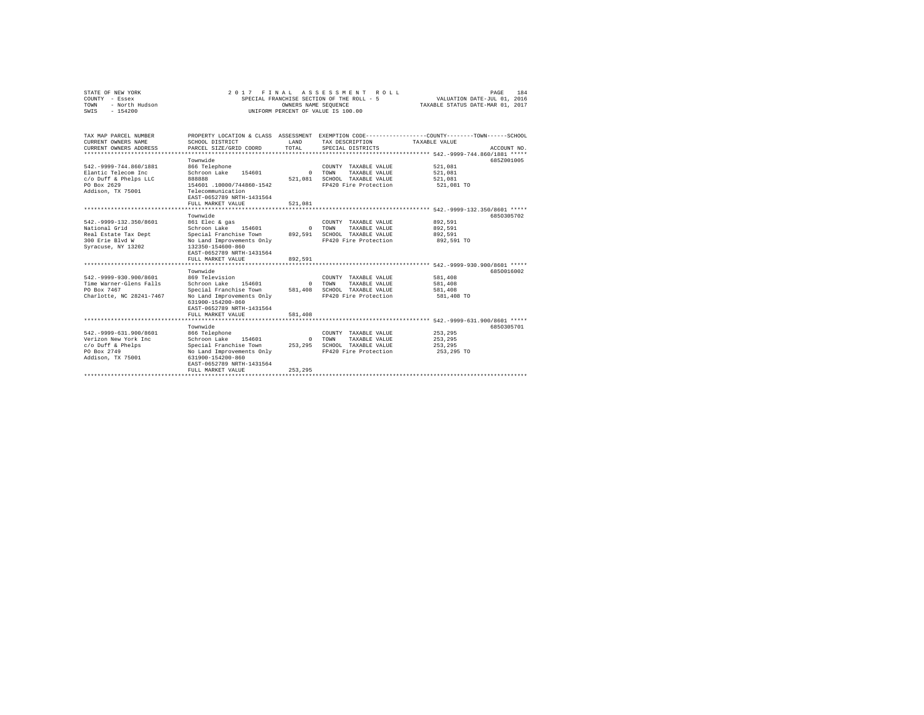| STATE OF NEW YORK<br>COUNTY - Essex<br>- North Hudson<br>TOWN<br>$-154200$<br>SWTS                              |                                                                                                                                                                                                                  | OWNERS NAME SEOUENCE           | 2017 FINAL ASSESSMENT ROLL<br>SPECIAL FRANCHISE SECTION OF THE ROLL - 5<br>UNIFORM PERCENT OF VALUE IS 100.00 | PAGE<br>184<br>VALUATION DATE-JUL 01, 2016<br>TAXABLE STATUS DATE-MAR 01, 2017                                                   |
|-----------------------------------------------------------------------------------------------------------------|------------------------------------------------------------------------------------------------------------------------------------------------------------------------------------------------------------------|--------------------------------|---------------------------------------------------------------------------------------------------------------|----------------------------------------------------------------------------------------------------------------------------------|
| TAX MAP PARCEL NUMBER<br>CURRENT OWNERS NAME<br>CURRENT OWNERS ADDRESS<br>**************************            | SCHOOL DISTRICT<br>PARCEL SIZE/GRID COORD                                                                                                                                                                        | <b>T.AND</b><br>TOTAL          | TAX DESCRIPTION<br>SPECIAL DISTRICTS                                                                          | PROPERTY LOCATION & CLASS ASSESSMENT EXEMPTION CODE----------------COUNTY-------TOWN------SCHOOL<br>TAXABLE VALUE<br>ACCOUNT NO. |
| 542. - 9999 - 744.860/1881<br>Elantic Telecom Inc.<br>c/o Duff & Phelps LLC<br>PO Box 2629<br>Addison, TX 75001 | Townwide<br>866 Telephone<br>Schroon Lake<br>154601<br><b>BRASS</b><br>154601 .10000/744860-1542<br>Telecommunication<br>EAST-0652789 NRTH-1431564<br>FULL MARKET VALUE<br>********************                  | $\Omega$<br>521,081<br>521,081 | COUNTY TAXABLE VALUE<br><b>TOWN</b><br>TAXARLE VALUE<br>SCHOOL TAXABLE VALUE<br>FP420 Fire Protection         | 685Z001005<br>521,081<br>521.081<br>521,081<br>521,081 TO<br>*** 542.-9999-132.350/8601 *****                                    |
| 542. - 9999-132.350/8601<br>National Grid<br>Real Estate Tax Dept<br>300 Erie Blvd W<br>Syracuse, NY 13202      | Townwide<br>861 Elec & gas<br>Schroon Lake<br>154601<br>Special Franchise Town<br>No Land Improvements Only<br>132350-154600-860<br>EAST-0652789 NRTH-1431564<br>FULL MARKET VALUE                               | $\Omega$<br>892.591<br>892.591 | COUNTY TAXABLE VALUE<br>TOWN<br>TAXABLE VALUE<br>SCHOOL TAXABLE VALUE<br>FP420 Fire Protection                | 6850305702<br>892,591<br>892,591<br>892.591<br>892,591 TO                                                                        |
| 542. - 9999-930.900/8601<br>Time Warner-Glens Falls<br>PO Box 7467<br>Charlotte, NC 28241-7467                  | Townwide<br>869 Television<br>Schroon Lake 154601<br>Special Franchise Town<br>No Land Improvements Only<br>631900-154200-860<br>EAST-0652789 NRTH-1431564<br>FULL MARKET VALUE<br>***************************** | $\Omega$<br>581,408<br>581,408 | COUNTY TAXABLE VALUE<br>TAXABLE VALUE<br>TOWN<br>SCHOOL TAXABLE VALUE<br>FP420 Fire Protection                | 6850016002<br>581,408<br>581,408<br>581,408<br>581,408 TO                                                                        |
| 542. - 9999-631. 900/8601<br>Verizon New York Inc<br>c/o Duff & Phelps<br>PO Box 2749<br>Addison, TX 75001      | Townwide<br>866 Telephone<br>Schroon Lake 154601<br>Special Franchise Town<br>No Land Improvements Only<br>631900-154200-860<br>EAST-0652789 NRTH-1431564<br>FULL MARKET VALUE                                   | $\Omega$<br>253.295<br>253.295 | COUNTY TAXABLE VALUE<br>TOWN<br>TAXABLE VALUE<br>SCHOOL TAXABLE VALUE<br>FP420 Fire Protection                | 6850305701<br>253,295<br>253,295<br>253,295<br>253,295 TO                                                                        |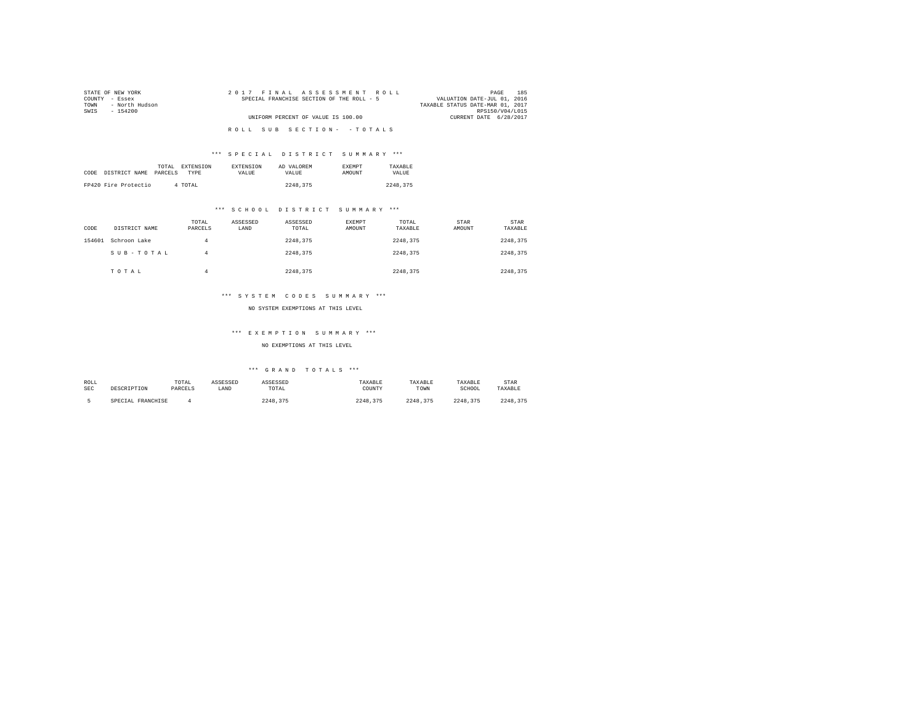| STATE OF NEW YORK      | 2017 FINAL ASSESSMENT ROLL                | 185<br>PAGE                      |
|------------------------|-------------------------------------------|----------------------------------|
| COUNTY - Essex         | SPECIAL FRANCHISE SECTION OF THE ROLL - 5 | VALUATION DATE-JUL 01, 2016      |
| - North Hudson<br>TOWN |                                           | TAXABLE STATUS DATE-MAR 01, 2017 |
| SWTS<br>- 154200       |                                           | RPS150/V04/L015                  |
|                        | UNIFORM PERCENT OF VALUE IS 100.00        | CURRENT DATE 6/28/2017           |
|                        |                                           |                                  |
|                        | ROLL SUB SECTION- - TOTALS                |                                  |

|      |                      | TOTAL<br>EXTENSION | <b>EXTENSION</b> | AD VALOREM | <b>EXEMPT</b> | TAXARLE      |
|------|----------------------|--------------------|------------------|------------|---------------|--------------|
| CODE | DISTRICT NAME        | PARCELS<br>TYPE    | <b>VALUE</b>     | VALUE.     | <b>AMOUNT</b> | <b>VALUE</b> |
|      |                      |                    |                  |            |               |              |
|      | FP420 Fire Protectio | 4 TOTAL            |                  | 2248,375   |               | 2248.375     |

#### \*\*\* S C H O O L D I S T R I C T S U M M A R Y \*\*\*

| CODE   | DISTRICT NAME | TOTAL<br>PARCELS | ASSESSED<br>LAND | ASSESSED<br>TOTAL | <b>EXEMPT</b><br>AMOUNT | TOTAL<br>TAXABLE | STAR<br>AMOUNT | STAR<br>TAXABLE |
|--------|---------------|------------------|------------------|-------------------|-------------------------|------------------|----------------|-----------------|
| 154601 | Schroon Lake  | 4                |                  | 2248.375          |                         | 2248.375         |                | 2248.375        |
|        | SUB-TOTAL     | 4                |                  | 2248.375          |                         | 2248.375         |                | 2248.375        |
|        | TOTAL         | 4                |                  | 2248.375          |                         | 2248.375         |                | 2248.375        |

#### \*\*\* S Y S T E M C O D E S S U M M A R Y \*\*\*

NO SYSTEM EXEMPTIONS AT THIS LEVEL

#### \*\*\* E X E M P T I O N S U M M A R Y \*\*\*

NO EXEMPTIONS AT THIS LEVEL

| ROLL       |                   | TOTAL   | ASSESSED | ASSESSED | TAXABLE  | TAXABLE  | TAXABLE  | STAR     |
|------------|-------------------|---------|----------|----------|----------|----------|----------|----------|
| <b>SEC</b> | DESCRIPTION       | PARCELS | LAND     | TOTAL    | COUNTY   | TOWN     | SCHOOL   | TAXABLE  |
|            | SPECIAL FRANCHISE |         |          | 2248.375 | 2248.375 | 2248.375 | 2248.375 | 2248,375 |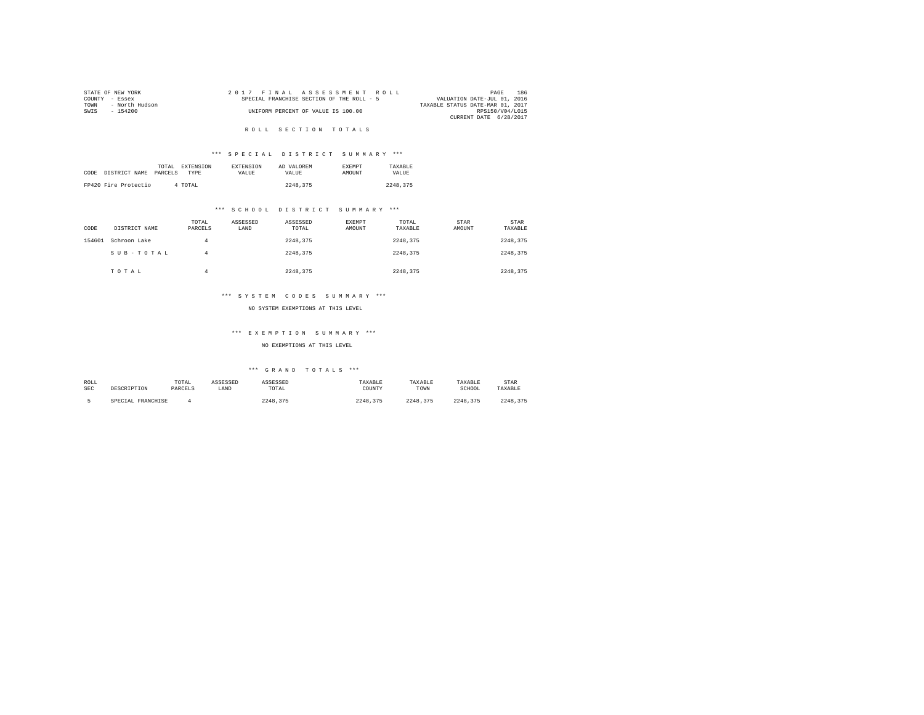| STATE OF NEW YORK |                |  | 2017 FINAL ASSESSMENT ROLL                |  |  |                                  | PAGE            | 186 |  |
|-------------------|----------------|--|-------------------------------------------|--|--|----------------------------------|-----------------|-----|--|
| COUNTY - Essex    |                |  | SPECIAL FRANCHISE SECTION OF THE ROLL - 5 |  |  | VALUATION DATE-JUL 01, 2016      |                 |     |  |
| TOWN              | - North Hudson |  |                                           |  |  | TAXABLE STATUS DATE-MAR 01, 2017 |                 |     |  |
| SWIS              | - 154200       |  | UNIFORM PERCENT OF VALUE IS 100.00        |  |  |                                  | RPS150/V04/L015 |     |  |
|                   |                |  |                                           |  |  | CURRENT DATE 6/28/2017           |                 |     |  |
|                   |                |  |                                           |  |  |                                  |                 |     |  |

#### ROLL SECTION TOTALS

# \*\*\* S P E C I A L D I S T R I C T S U M M A R Y \*\*\*

| CODE | DISTRICT NAME        | TOTAL<br>PARCELS | <b>EXTENSION</b><br><b>TYPE</b> | <b>EXTENSION</b><br>VALUE | AD VALOREM<br>VALUE | <b>EXEMPT</b><br>AMOUNT | TAXARLE<br>VALUE |  |
|------|----------------------|------------------|---------------------------------|---------------------------|---------------------|-------------------------|------------------|--|
|      | FP420 Fire Protectio |                  | 4 TOTAL                         |                           | 2248.375            |                         | 2248,375         |  |

#### \*\*\* S C H O O L D I S T R I C T S U M M A R Y \*\*\*

| CODE   | DISTRICT NAME | TOTAL<br>PARCELS | ASSESSED<br>LAND | ASSESSED<br>TOTAL | EXEMPT<br>AMOUNT | TOTAL<br>TAXABLE | STAR<br>AMOUNT | STAR<br>TAXABLE |
|--------|---------------|------------------|------------------|-------------------|------------------|------------------|----------------|-----------------|
| 154601 | Schroon Lake  | 4                |                  | 2248.375          |                  | 2248.375         |                | 2248.375        |
|        | SUB-TOTAL     | 4                |                  | 2248.375          |                  | 2248.375         |                | 2248.375        |
|        | TOTAL         |                  |                  | 2248.375          |                  | 2248.375         |                | 2248.375        |

#### \*\*\* S Y S T E M C O D E S S U M M A R Y \*\*\*

#### NO SYSTEM EXEMPTIONS AT THIS LEVEL

#### \*\*\* E X E M P T I O N S U M M A R Y \*\*\*

#### NO EXEMPTIONS AT THIS LEVEL

| ROLL |                   | TOTAL   | ASSESSED | ASSESSED      | TAXABLE  | TAXABLE  | TAXABLE  | STAR     |
|------|-------------------|---------|----------|---------------|----------|----------|----------|----------|
| SEC  | DESCRIPTION       | PARCELS | LAND     | TOTAL         | COUNTY   | TOWN     | SCHOOL   | TAXABLE  |
|      | SPECIAL FRANCHISE |         |          | 2248.<br>.375 | 2248.375 | 2248.375 | 2248.375 | 2248.375 |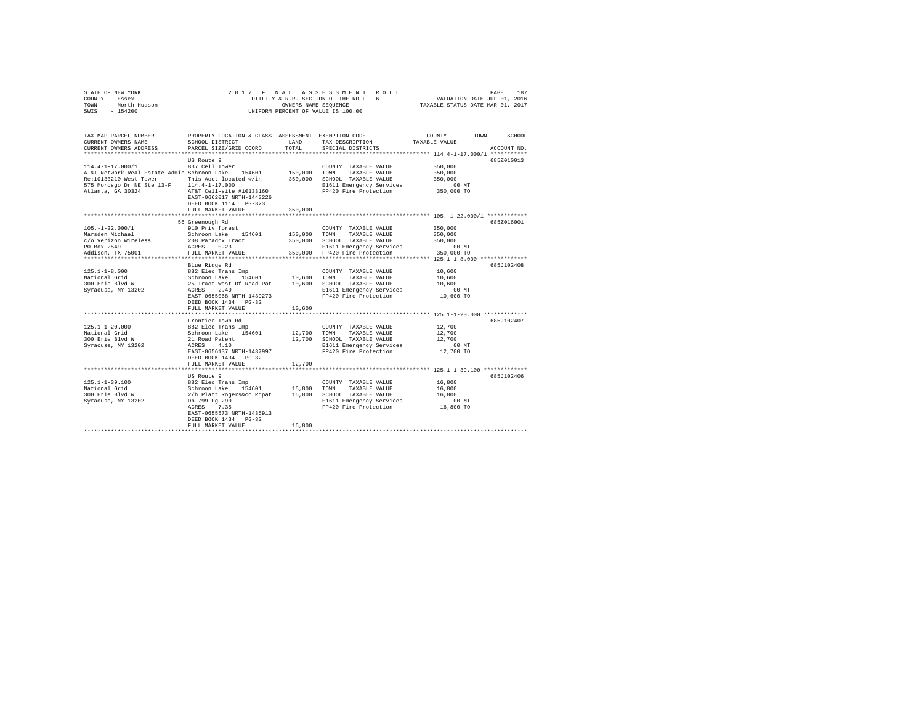|      | STATE OF NEW YORK |  | 2017 FINAL ASSESSMENT ROLL             |                                  | PAGE | 187 |
|------|-------------------|--|----------------------------------------|----------------------------------|------|-----|
|      | COUNTY - Essex    |  | UTILITY & R.R. SECTION OF THE ROLL - 6 | VALUATION DATE-JUL 01, 2016      |      |     |
| TOWN | - North Hudson    |  | OWNERS NAME SEOUENCE                   | TAXABLE STATUS DATE-MAR 01, 2017 |      |     |
| SWIS | $-154200$         |  | UNIFORM PERCENT OF VALUE IS 100.00     |                                  |      |     |

| TAX MAP PARCEL NUMBER<br>CURRENT OWNERS NAME                                                      | PROPERTY LOCATION & CLASS ASSESSMENT EXEMPTION CODE---------------COUNTY-------TOWN-----SCHOOL<br>SCHOOL DISTRICT                                                                                                                                                                                                                                                | LAND    | TAX DESCRIPTION                                                           | TAXABLE VALUE |             |
|---------------------------------------------------------------------------------------------------|------------------------------------------------------------------------------------------------------------------------------------------------------------------------------------------------------------------------------------------------------------------------------------------------------------------------------------------------------------------|---------|---------------------------------------------------------------------------|---------------|-------------|
| CURRENT OWNERS ADDRESS                                                                            | PARCEL SIZE/GRID COORD                                                                                                                                                                                                                                                                                                                                           | TOTAL   | SPECIAL DISTRICTS                                                         |               | ACCOUNT NO. |
|                                                                                                   |                                                                                                                                                                                                                                                                                                                                                                  |         |                                                                           |               |             |
|                                                                                                   | US Route 9                                                                                                                                                                                                                                                                                                                                                       |         |                                                                           |               | 685Z010013  |
| 114.4-1-17.000/1<br>AT&T Network Real Estate Admin Schroon Lake 154601 150,000 TOWN TAXABLE VALUE | 837 Cell Tower                                                                                                                                                                                                                                                                                                                                                   |         | COUNTY TAXABLE VALUE                                                      | 350,000       |             |
|                                                                                                   |                                                                                                                                                                                                                                                                                                                                                                  |         |                                                                           | 350,000       |             |
| Re:10133210 West Tower This Acct located w/in 350,000 SCHOOL TAXABLE VALUE                        |                                                                                                                                                                                                                                                                                                                                                                  |         |                                                                           | 350,000       |             |
| 575 Morosgo Dr NE Ste 13-F 114.4-1-17.000                                                         |                                                                                                                                                                                                                                                                                                                                                                  |         | E1611 Emergency Services                                                  | .00 MT        |             |
| Atlanta, GA 30324 AT&T Cell-site #10133160                                                        | EAST-0662017 NRTH-1443226<br>DEED BOOK 1114 PG-323                                                                                                                                                                                                                                                                                                               | 350,000 | FP420 Fire Protection 350,000 TO                                          |               |             |
|                                                                                                   | FULL MARKET VALUE                                                                                                                                                                                                                                                                                                                                                |         |                                                                           |               |             |
|                                                                                                   |                                                                                                                                                                                                                                                                                                                                                                  |         |                                                                           |               | 6857016001  |
|                                                                                                   | 56 Greenough Rd                                                                                                                                                                                                                                                                                                                                                  |         |                                                                           |               |             |
| $105. -1 - 22.000/1$                                                                              | 910 Priv forest<br>Schroon Lake 154601                                                                                                                                                                                                                                                                                                                           |         | COUNTY TAXABLE VALUE<br>150,000 TOWN TAXABLE VALUE                        | 350,000       |             |
| Marsden Michael                                                                                   |                                                                                                                                                                                                                                                                                                                                                                  |         |                                                                           | 350,000       |             |
| c/o Verizon Wireless 208 Paradox Tract 350,000 SCHOOL TAXABLE VALUE 350,000                       |                                                                                                                                                                                                                                                                                                                                                                  |         |                                                                           |               |             |
| PO Box 2549                                                                                       | ACRES 0.23                                                                                                                                                                                                                                                                                                                                                       |         | E1611 Emergency Services                                                  | .00 MT        |             |
| Addison, TX 75001                                                                                 | FULL MARKET VALUE                                                                                                                                                                                                                                                                                                                                                |         | 350,000 FP420 Fire Protection                                             | 350,000 TO    |             |
|                                                                                                   |                                                                                                                                                                                                                                                                                                                                                                  |         |                                                                           |               |             |
|                                                                                                   | Blue Ridge Rd                                                                                                                                                                                                                                                                                                                                                    |         |                                                                           |               | 685J102408  |
|                                                                                                   |                                                                                                                                                                                                                                                                                                                                                                  |         |                                                                           | 10,600        |             |
|                                                                                                   |                                                                                                                                                                                                                                                                                                                                                                  |         |                                                                           | 10,600        |             |
|                                                                                                   |                                                                                                                                                                                                                                                                                                                                                                  |         |                                                                           | 10,600        |             |
|                                                                                                   |                                                                                                                                                                                                                                                                                                                                                                  |         | E1611 Emergency Services .00 MT<br>FP420 Fire Protection .00 TO 10,600 TO |               |             |
|                                                                                                   | EAST-0655068 NRTH-1439273                                                                                                                                                                                                                                                                                                                                        |         |                                                                           |               |             |
|                                                                                                   | DEED BOOK 1434 PG-32                                                                                                                                                                                                                                                                                                                                             |         |                                                                           |               |             |
|                                                                                                   | FULL MARKET VALUE                                                                                                                                                                                                                                                                                                                                                | 10,600  |                                                                           |               |             |
|                                                                                                   |                                                                                                                                                                                                                                                                                                                                                                  |         |                                                                           |               |             |
|                                                                                                   | Frontier Town Rd                                                                                                                                                                                                                                                                                                                                                 |         |                                                                           |               | 685J102407  |
| $125.1 - 1 - 20.000$                                                                              | 882 Elec Trans Imp                                                                                                                                                                                                                                                                                                                                               |         | COUNTY TAXABLE VALUE 12,700                                               |               |             |
| National Grid                                                                                     | Schroon Lake 154601<br>21 Road Patent                                                                                                                                                                                                                                                                                                                            |         | 12,700 TOWN TAXABLE VALUE                                                 | 12,700        |             |
| National Gild<br>300 Erie Blvd W                                                                  |                                                                                                                                                                                                                                                                                                                                                                  |         | 12,700 SCHOOL TAXABLE VALUE 12,700                                        |               |             |
| Syracuse, NY 13202                                                                                | ACRES 4.10                                                                                                                                                                                                                                                                                                                                                       |         | E1611 Emergency Services                                                  | .00 MT        |             |
|                                                                                                   | EAST-0656137 NRTH-1437997                                                                                                                                                                                                                                                                                                                                        |         | FP420 Fire Protection 12.700 TO                                           |               |             |
|                                                                                                   | DEED BOOK 1434    PG-32                                                                                                                                                                                                                                                                                                                                          |         |                                                                           |               |             |
|                                                                                                   | FULL MARKET VALUE                                                                                                                                                                                                                                                                                                                                                | 12,700  |                                                                           |               |             |
|                                                                                                   |                                                                                                                                                                                                                                                                                                                                                                  |         |                                                                           |               |             |
|                                                                                                   | US Route 9                                                                                                                                                                                                                                                                                                                                                       |         |                                                                           |               | 685J102406  |
| $125.1 - 1 - 39.100$                                                                              |                                                                                                                                                                                                                                                                                                                                                                  |         |                                                                           |               |             |
| National Grid                                                                                     |                                                                                                                                                                                                                                                                                                                                                                  |         |                                                                           |               |             |
| 300 Erie Blvd W<br>Syracuse, NY 13202                                                             |                                                                                                                                                                                                                                                                                                                                                                  |         |                                                                           |               |             |
|                                                                                                   | $\begin{tabular}{lcccccc} 882\,\, {\rm Elec\,\, Trans\,\, Imp} & & & & \,\, {\rm COUNT\,\,} & TAXABLE\,\, VALUE & & & 16,800 \\ Schroon\,\, Lake & 154601 & & 16,800 & TOWN & TAXABLE\,\, VALUE & & 16,800 \\ 2/h & P1att & RogersAcco\,\, Rdpat & 16,800 & SCHOOL & TAXABLE\,\, VALUE & & 16,800 \\ 2h & 799\,\, Pg & 290 & & 100 & 100 & 100 \\ \end{tabular}$ |         |                                                                           | $.00$ MT      |             |
|                                                                                                   | ACRES 7.35                                                                                                                                                                                                                                                                                                                                                       |         | FP420 Fire Protection 16,800 TO                                           |               |             |
|                                                                                                   | EAST-0655573 NRTH-1435913                                                                                                                                                                                                                                                                                                                                        |         |                                                                           |               |             |
|                                                                                                   | DEED BOOK 1434 PG-32                                                                                                                                                                                                                                                                                                                                             |         |                                                                           |               |             |
|                                                                                                   | FULL MARKET VALUE                                                                                                                                                                                                                                                                                                                                                | 16,800  |                                                                           |               |             |
|                                                                                                   |                                                                                                                                                                                                                                                                                                                                                                  |         |                                                                           |               |             |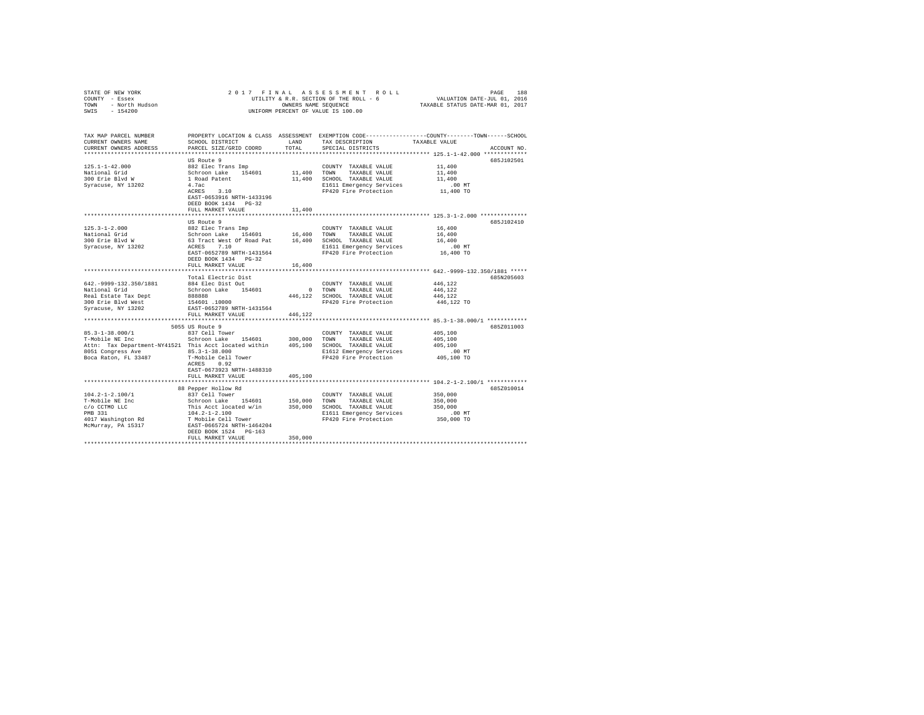|                                                                                                                                                                                                                                                                                                                                                                             |                                                                                                                                                                                              |              | 2017 FINAL ASSESSMENT ROLL                                                                   | PAGE<br>188<br>PAGE 188 – PAGE 189 – PAGE 189 – PAGE 189 – PAGE 189 – PAGE 189 – PAGE 189 – PAGE 189 – PAGE 189 – PAGE 189 – P<br>UTILITY & R.R. SECTION OF THE ROLL – 6 – PAKABLE STATUS DATE–NAR 01, 2017 – |
|-----------------------------------------------------------------------------------------------------------------------------------------------------------------------------------------------------------------------------------------------------------------------------------------------------------------------------------------------------------------------------|----------------------------------------------------------------------------------------------------------------------------------------------------------------------------------------------|--------------|----------------------------------------------------------------------------------------------|---------------------------------------------------------------------------------------------------------------------------------------------------------------------------------------------------------------|
| TAX MAP PARCEL NUMBER<br>CURRENT OWNERS NAME<br>CURRENT OWNERS ADDRESS                                                                                                                                                                                                                                                                                                      | SCHOOL DISTRICT<br>PARCEL SIZE/GRID COORD                                                                                                                                                    | TOTAL        | LAND TAX DESCRIPTION TAXABLE VALUE<br>SPECIAL DISTRICTS                                      | PROPERTY LOCATION & CLASS ASSESSMENT EXEMPTION CODE---------------COUNTY-------TOWN-----SCHOOL<br>ACCOUNT NO.                                                                                                 |
|                                                                                                                                                                                                                                                                                                                                                                             | US Route 9<br>4.7ac<br>ACRES 3.10<br>EAST-0653916 NRTH-1433196<br>DEED BOOK 1434 PG-32                                                                                                       |              | 11,400 SCHOOL TAXABLE VALUE<br>E1611 Emergency Services<br>FP420 Fire Protection             | 685J102501<br>11,400<br>11,400<br>11,400<br>.00 MT<br>11,400 TO                                                                                                                                               |
|                                                                                                                                                                                                                                                                                                                                                                             | FULL MARKET VALUE                                                                                                                                                                            | 11,400       | COUNTY TAXABLE VALUE 16,400                                                                  | 685J102410                                                                                                                                                                                                    |
|                                                                                                                                                                                                                                                                                                                                                                             | EAST-0652789 NRTH-1431564<br>DEED BOOK 1434 PG-32                                                                                                                                            |              | FP420 Fire Protection                                                                        | 16,400<br>16,400<br>.00 MT.<br>16,400 TO                                                                                                                                                                      |
|                                                                                                                                                                                                                                                                                                                                                                             | FULL MARKET VALUE                                                                                                                                                                            | 16,400       |                                                                                              |                                                                                                                                                                                                               |
| 642. - 9999-132. 350/1881<br>National Grid<br>Real Estate Tax Dept<br>300 Erie Blvd West<br>Syracuse, NY 13202                                                                                                                                                                                                                                                              | Total Electric Dist<br>884 Elec Dist Out<br>Schroon Lake 154601<br>EAST-0652789 NRTH-1431564<br>FULL MARKET VALUE                                                                            | 446,122      | COUNTY TAXABLE VALUE<br>FP420 Fire Protection                                                | 685N205603<br>446,122<br>446.122<br>446.122<br>446,122 TO                                                                                                                                                     |
|                                                                                                                                                                                                                                                                                                                                                                             | 5055 US Route 9                                                                                                                                                                              |              |                                                                                              | 685Z011003                                                                                                                                                                                                    |
| $85.3 - 1 - 38.000 / 1$<br>85.3-1-38.000/1<br>T-Mobile NE Inc<br>95.5-1-50.000/1 MADE Schroon Lake 154601 300,000 TOWN TAXABLE VALUE<br>T-Mobile NE Inc Schroon Lake 154601 300,000 TOWN TAXABLE VALUE<br>Attn: Tax Department-NY41521 This Acct located within 405,100 SCHOOL TAXABLE VALUE<br>8051 Congress Ave 85.3-1-38.000<br>Boca Raton, FL 33487 T-Mobile Cell Tower | 837 Cell Tower<br>ACRES 0.92                                                                                                                                                                 |              | COUNTY TAXABLE VALUE<br>E1612 Emergency Services .00 MT<br>FP420 Fire Protection  405,100 TO | 405,100<br>405,100<br>405,100                                                                                                                                                                                 |
|                                                                                                                                                                                                                                                                                                                                                                             | EAST-0673923 NRTH-1488310<br>FULL MARKET VALUE                                                                                                                                               | 405,100<br>. |                                                                                              |                                                                                                                                                                                                               |
| $104.2 - 1 - 2.100/1$<br>T-Mobile NE Inc                                                                                                                                                                                                                                                                                                                                    | 88 Pepper Hollow Rd<br>837 Cell Tower<br>Schroon Lake 154601 150,000 TOWN TAXABLE VALUE<br>This Acct located w/in 350,000 SCHOOL TAXABLE VALUE<br>DEED BOOK 1524 PG-163<br>FULL MARKET VALUE | 350,000      | COUNTY TAXABLE VALUE                                                                         | 685Z010014<br>350,000<br>350,000                                                                                                                                                                              |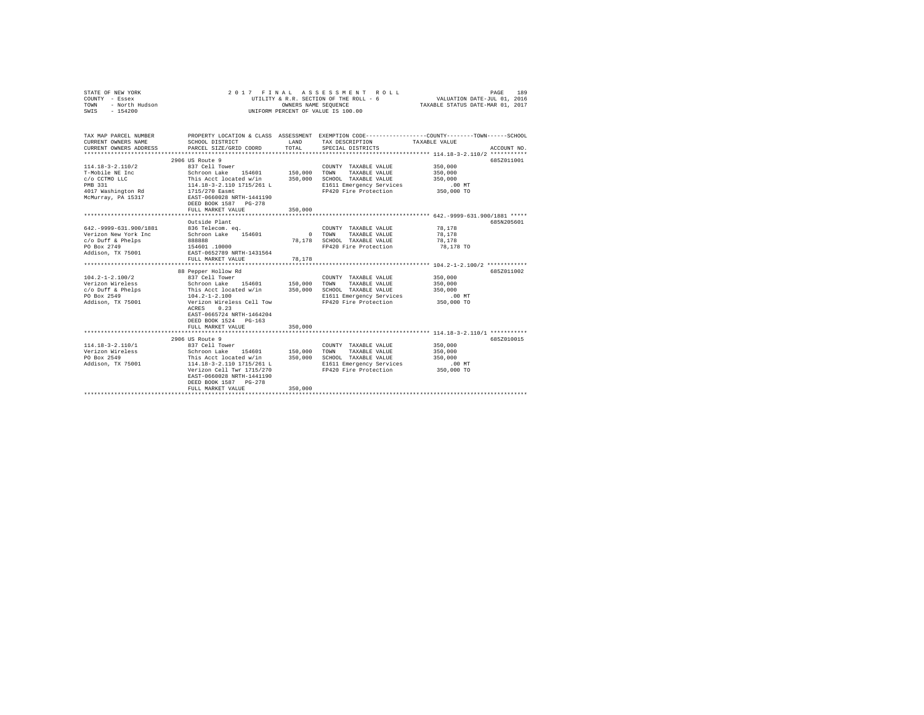| STATE OF NEW YORK<br>COUNTY - Essex<br>TOWN<br>- North Hudson<br>SWIS<br>$-154200$                                | 2017<br>FINAL<br>UTILITY & R.R. SECTION OF THE ROLL - 6<br>UNIFORM PERCENT OF VALUE IS 100.00                                                                                                                                          | 189<br>PAGE<br>VALUATION DATE-JUL 01, 2016<br>TAXABLE STATUS DATE-MAR 01, 2017 |                                                                                                                            |                                                                                                                                 |
|-------------------------------------------------------------------------------------------------------------------|----------------------------------------------------------------------------------------------------------------------------------------------------------------------------------------------------------------------------------------|--------------------------------------------------------------------------------|----------------------------------------------------------------------------------------------------------------------------|---------------------------------------------------------------------------------------------------------------------------------|
| TAX MAP PARCEL NUMBER<br>CURRENT OWNERS NAME<br>CURRENT OWNERS ADDRESS                                            | SCHOOL DISTRICT<br>PARCEL SIZE/GRID COORD                                                                                                                                                                                              | LAND<br>TOTAL                                                                  | TAX DESCRIPTION<br>SPECIAL DISTRICTS                                                                                       | PROPERTY LOCATION & CLASS ASSESSMENT EXEMPTION CODE---------------COUNTY-------TOWN------SCHOOL<br>TAXABLE VALUE<br>ACCOUNT NO. |
| $114.18 - 3 - 2.110/2$<br>T-Mobile NE Inc<br>c/o CCTMO LLC<br>PMB 331<br>4017 Washington Rd<br>McMurray, PA 15317 | 2906 US Route 9<br>837 Cell Tower<br>Schroon Lake 154601<br>This Acct located w/in<br>114.18-3-2.110 1715/261 L<br>1715/270 Easmt<br>EAST-0660028 NRTH-1441190<br>DEED BOOK 1587 PG-278<br>FULL MARKET VALUE                           | 150,000<br>350,000<br>350,000                                                  | COUNTY TAXABLE VALUE<br>TOWN<br>TAXABLE VALUE<br>SCHOOL TAXABLE VALUE<br>E1611 Emergency Services<br>FP420 Fire Protection | 685Z011001<br>350,000<br>350,000<br>350,000<br>$.00$ MT<br>350,000 TO                                                           |
|                                                                                                                   |                                                                                                                                                                                                                                        |                                                                                |                                                                                                                            |                                                                                                                                 |
| 642. - 9999 - 631. 900/1881<br>Verizon New York Inc<br>c/o Duff & Phelps<br>PO Box 2749<br>Addison, TX 75001      | Outside Plant<br>836 Telecom, ea.<br>Schroon Lake 154601<br><b>BRASSS</b><br>154601.10000<br>EAST-0652789 NRTH-1431564<br>FULL MARKET VALUE                                                                                            | $\sim$<br>78.178<br>78,178                                                     | COUNTY TAXABLE VALUE<br>TOWN<br>TAXABLE VALUE<br>SCHOOL TAXABLE VALUE<br>FP420 Fire Protection                             | 685N205601<br>78,178<br>78,178<br>78,178<br>78,178 TO                                                                           |
| $104.2 - 1 - 2.100/2$<br>Verizon Wireless<br>c/o Duff & Phelps<br>PO Box 2549<br>Addison, TX 75001                | 88 Pepper Hollow Rd<br>837 Cell Tower<br>Schroon Lake 154601<br>This Acct located w/in<br>$104.2 - 1 - 2.100$<br>Verizon Wireless Cell Tow<br>ACRES<br>0.23<br>EAST-0665724 NRTH-1464204<br>DEED BOOK 1524 PG-163<br>FULL MARKET VALUE | 150,000<br>350,000<br>350,000                                                  | COUNTY TAXABLE VALUE<br>TOWN<br>TAXABLE VALUE<br>SCHOOL TAXABLE VALUE<br>E1611 Emergency Services<br>FP420 Fire Protection | 685Z011002<br>350,000<br>350,000<br>350,000<br>.00 MT<br>350,000 TO                                                             |
|                                                                                                                   |                                                                                                                                                                                                                                        |                                                                                |                                                                                                                            | 685Z010015                                                                                                                      |
| $114.18 - 3 - 2.110/1$<br>Verizon Wireless<br>PO Box 2549<br>Addison, TX 75001                                    | 2906 US Route 9<br>837 Cell Tower<br>Schroon Lake 154601<br>This Acct located w/in<br>114.18-3-2.110 1715/261 L<br>Verizon Cell Twr 1715/270<br>EAST-0660028 NRTH-1441190<br>DEED BOOK 1587 PG-278<br>FULL MARKET VALUE                | 150,000<br>350,000<br>350,000                                                  | COUNTY TAXABLE VALUE<br>TOWN<br>TAXABLE VALUE<br>SCHOOL TAXABLE VALUE<br>E1611 Emergency Services<br>FP420 Fire Protection | 350,000<br>350,000<br>350,000<br>$.00$ MT<br>350,000 TO                                                                         |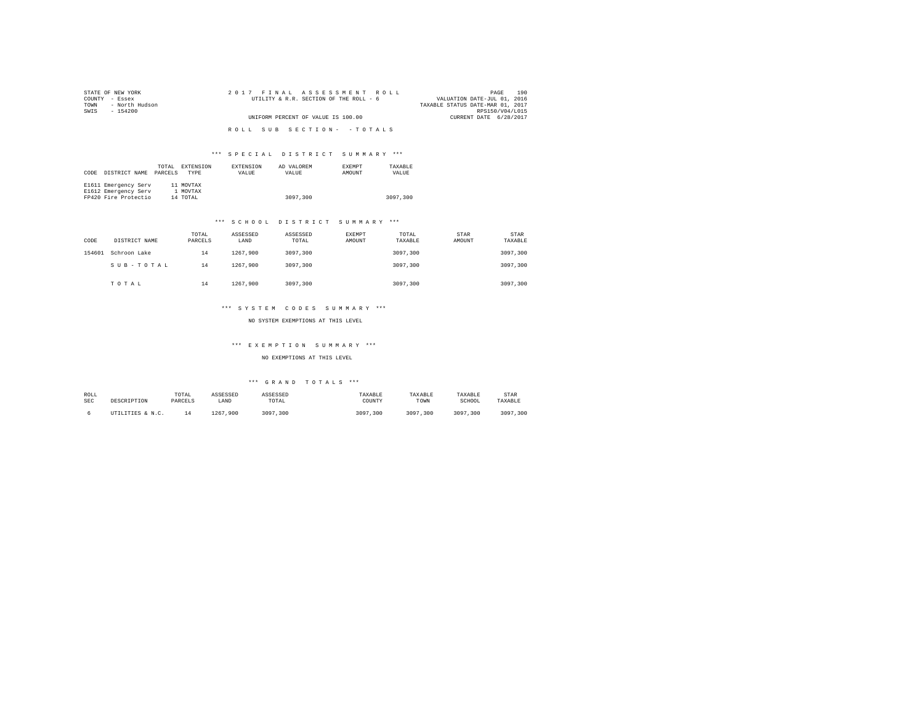| STATE OF NEW YORK      | 2017 FINAL ASSESSMENT ROLL             | 190<br>PAGE                      |
|------------------------|----------------------------------------|----------------------------------|
| COUNTY - Essex         | UTILITY & R.R. SECTION OF THE ROLL - 6 | VALUATION DATE-JUL 01, 2016      |
| - North Hudson<br>TOWN |                                        | TAXABLE STATUS DATE-MAR 01, 2017 |
| SWTS<br>- 154200       |                                        | RPS150/V04/L015                  |
|                        | UNIFORM PERCENT OF VALUE IS 100.00     | CURRENT DATE 6/28/2017           |
|                        |                                        |                                  |
|                        | ROLL SUB SECTION- - TOTALS             |                                  |
|                        |                                        |                                  |

| CODE | DISTRICT NAME        | TOTAL<br>PARCELS | EXTENSION<br><b>TYPE</b> | <b>EXTENSION</b><br>VALUE | AD VALOREM<br>VALUE | <b>EXEMPT</b><br>AMOUNT | TAXARLE<br>VALUE |
|------|----------------------|------------------|--------------------------|---------------------------|---------------------|-------------------------|------------------|
|      | E1611 Emergency Serv |                  | 11 MOVTAX                |                           |                     |                         |                  |
|      | E1612 Emergency Serv |                  | 1 MOVTAX                 |                           |                     |                         |                  |
|      | FP420 Fire Protectio |                  | 14 TOTAL                 |                           | 3097,300            |                         | 3097,300         |

#### \*\*\* S C H O O L D I S T R I C T S U M M A R Y \*\*\*

| CODE   | DISTRICT NAME | TOTAL<br>PARCELS | ASSESSED<br>LAND | ASSESSED<br>TOTAL | EXEMPT<br>AMOUNT | TOTAL<br>TAXABLE | STAR<br>AMOUNT | STAR<br>TAXABLE |
|--------|---------------|------------------|------------------|-------------------|------------------|------------------|----------------|-----------------|
| 154601 | Schroon Lake  | 14               | 1267.900         | 3097.300          |                  | 3097,300         |                | 3097,300        |
|        | SUB-TOTAL     | 14               | 1267.900         | 3097.300          |                  | 3097,300         |                | 3097.300        |
|        | TOTAL         | 14               | 1267.900         | 3097.300          |                  | 3097,300         |                | 3097.300        |

#### \*\*\* S Y S T E M C O D E S S U M M A R Y \*\*\*

NO SYSTEM EXEMPTIONS AT THIS LEVEL

#### \*\*\* E X E M P T I O N S U M M A R Y \*\*\*

#### NO EXEMPTIONS AT THIS LEVEL

| ROLL       | DESCRIPTION      | TOTAL   | ASSESSED     | ASSESSED     | TAXABLE      | TAXABLE      | TAXABLE      | STAR         |
|------------|------------------|---------|--------------|--------------|--------------|--------------|--------------|--------------|
| <b>SEC</b> |                  | PARCELS | LAND         | TOTAL        | COUNTY       | TOWN         | SCHOOL       | TAXABLE      |
|            | UTILITIES & N.C. |         | 1267<br>.900 | 3097<br>.300 | 3097<br>.300 | 3097<br>.300 | 3097<br>.300 | 3097<br>.300 |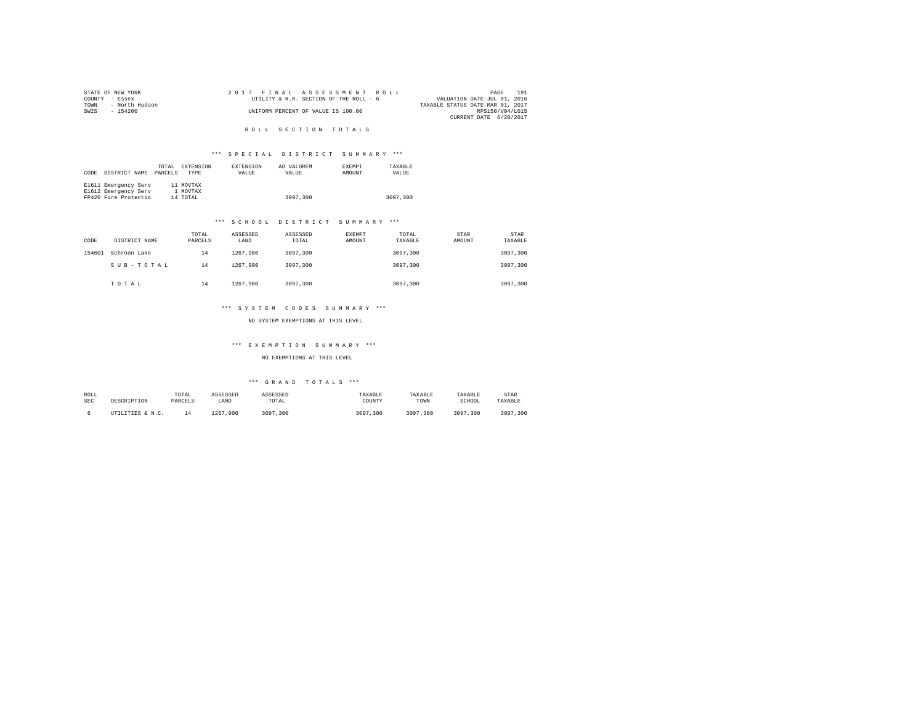| STATE OF NEW YORK      | 2017 FINAL ASSESSMENT ROLL             | 191<br>PAGE                      |
|------------------------|----------------------------------------|----------------------------------|
| COUNTY - Essex         | UTILITY & R.R. SECTION OF THE ROLL - 6 | VALUATION DATE-JUL 01, 2016      |
| - North Hudson<br>TOWN |                                        | TAXABLE STATUS DATE-MAR 01, 2017 |
| SWIS<br>- 154200       | UNIFORM PERCENT OF VALUE IS 100.00     | RPS150/V04/L015                  |
|                        |                                        | CURRENT DATE 6/28/2017           |
|                        |                                        |                                  |

R O L L S E C T I O N T O T A L S

#### \*\*\* S P E C I A L D I S T R I C T S U M M A R Y \*\*\*

|      |                      | TOTAL   | EXTENSION   | <b>EXTENSION</b> | AD VALOREM | <b>EXEMPT</b> | TAXABLE  |
|------|----------------------|---------|-------------|------------------|------------|---------------|----------|
| CODE | DISTRICT NAME        | PARCELS | <b>TYPE</b> | VALUE            | VALUE      | AMOUNT        | VALUE    |
|      |                      |         |             |                  |            |               |          |
|      | E1611 Emergency Serv |         | 11 MOVTAX   |                  |            |               |          |
|      | E1612 Emergency Serv |         | 1 MOVTAX    |                  |            |               |          |
|      | FP420 Fire Protectio |         | 14 TOTAL    |                  | 3097,300   |               | 3097,300 |

#### \*\*\* S C H O O L D I S T R I C T S U M M A R Y \*\*\*

| CODE   | DISTRICT NAME | TOTAL<br>PARCELS | ASSESSED<br>LAND | ASSESSED<br>TOTAL | EXEMPT<br>AMOUNT | TOTAL<br>TAXABLE | STAR<br>AMOUNT | <b>STAR</b><br>TAXABLE |
|--------|---------------|------------------|------------------|-------------------|------------------|------------------|----------------|------------------------|
| 154601 | Schroon Lake  | 14               | 1267.900         | 3097.300          |                  | 3097,300         |                | 3097.300               |
|        | SUB-TOTAL     | 14               | 1267.900         | 3097.300          |                  | 3097,300         |                | 3097.300               |
|        | TOTAL         | 14               | 1267.900         | 3097.300          |                  | 3097,300         |                | 3097.300               |

#### \*\*\* S Y S T E M C O D E S S U M M A R Y \*\*\*

NO SYSTEM EXEMPTIONS AT THIS LEVEL

#### \*\*\* E X E M P T I O N S U M M A R Y \*\*\*

#### NO EXEMPTIONS AT THIS LEVEL

| ROLL       | DESCRIPTION      | TOTAL   | ASSESSED     | ASSESSED     | TAXABLE      | TAXABLE      | TAXABLE      | STAR         |
|------------|------------------|---------|--------------|--------------|--------------|--------------|--------------|--------------|
| <b>SEC</b> |                  | PARCELS | LAND         | TOTAL        | COUNTY       | TOWN         | SCHOOL       | TAXABLE      |
|            | UTILITIES & N.C. |         | 1267<br>.900 | 3097<br>.300 | 3097<br>.300 | 3097<br>.300 | 3097<br>.300 | 3097<br>.300 |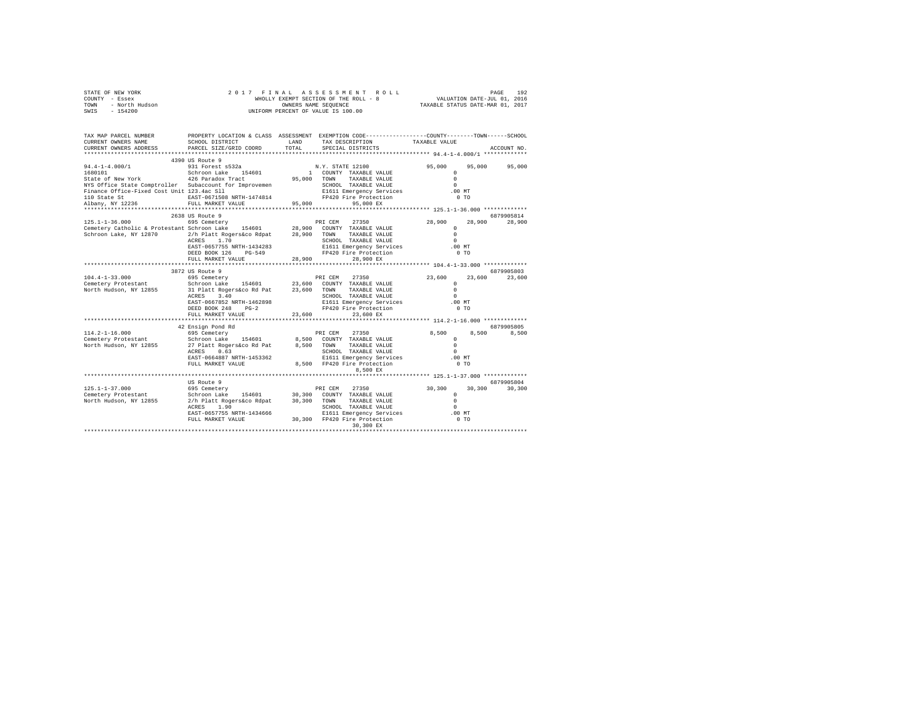|      | STATE OF NEW YORK | 2017 FINAL ASSESSMENT ROLL            | 192<br>PAGE                      |
|------|-------------------|---------------------------------------|----------------------------------|
|      | COUNTY - Essex    | WHOLLY EXEMPT SECTION OF THE ROLL - 8 | VALUATION DATE-JUL 01, 2016      |
| TOWN | - North Hudson    | OWNERS NAME SEOUENCE                  | TAXABLE STATUS DATE-MAR 01, 2017 |
| SWIS | - 154200          | UNIFORM PERCENT OF VALUE IS 100.00    |                                  |

| TAX MAP PARCEL NUMBER<br>CURRENT OWNERS NAME<br>CURRENT OWNERS ADDRESS                                                                                                                                                         | SCHOOL DISTRICT<br>PARCEL SIZE/GRID COORD                                                                                                                                                                                         | LAND<br>TOTAL | PROPERTY LOCATION & CLASS ASSESSMENT EXEMPTION CODE---------------COUNTY-------TOWN-----SCHOOL<br>TAX DESCRIPTION<br>SPECIAL DISTRICTS                                                        | TAXABLE VALUE                                                                      | ACCOUNT NO.          |
|--------------------------------------------------------------------------------------------------------------------------------------------------------------------------------------------------------------------------------|-----------------------------------------------------------------------------------------------------------------------------------------------------------------------------------------------------------------------------------|---------------|-----------------------------------------------------------------------------------------------------------------------------------------------------------------------------------------------|------------------------------------------------------------------------------------|----------------------|
|                                                                                                                                                                                                                                |                                                                                                                                                                                                                                   |               |                                                                                                                                                                                               |                                                                                    |                      |
| $94.4 - 1 - 4.000 / 1$<br>1680101<br>State of New York<br>NYS Office State Comptroller Subaccount for Improvemen<br>Finance Office-Fixed Cost Unit 123.4ac Sll<br>110 State St<br>Albany, NY 12236<br>************************ | 4390 US Route 9<br>931 Forest s532a<br>154601<br>Schroon Lake<br>426 Paradox Tract<br>EAST-0671508 NRTH-1474814<br>FULL MARKET VALUE<br>**************************                                                                | 95,000        | N.Y. STATE 12100<br>1 COUNTY TAXABLE VALUE<br>95,000 TOWN<br>TAXABLE VALUE<br>SCHOOL TAXABLE VALUE<br>E1611 Emergency Services<br>FP420 Fire Protection<br>FP420 Fire Protection<br>95,000 EX | 95,000<br>$\Omega$<br>$\Omega$<br>$\Omega$<br>$.00$ MT<br>0.70                     | 95,000 95,000        |
|                                                                                                                                                                                                                                | 2638 US Route 9                                                                                                                                                                                                                   |               |                                                                                                                                                                                               |                                                                                    | 6879905814           |
| $125.1 - 1 - 36.000$<br>Cemetery Catholic & Protestant Schroon Lake 154601 28,900 COUNTY TAXABLE VALUE<br>Schroon Lake, NY 12870                                                                                               | 695 Cemetery<br>2/h Platt Rogers&co Rdpat 28,900 TOWN TAXABLE VALUE<br>ACRES 1.70<br>EAST-0657755 NRTH-1434283<br>DEED BOOK 126<br>PG-549<br>FULL MARKET VALUE                                                                    | 28,900        | 27350<br>PRI CEM<br>SCHOOL TAXABLE VALUE<br>SCHOOL TAXABLE VALUE<br>E1611 Emergency Services<br>FP420 Fire Protection<br>28,900 EX                                                            | 28,900<br>28,900<br>$^{\circ}$<br>$\Omega$<br>$\Omega$<br>.00MT<br>0 <sub>T</sub>  | 28,900               |
|                                                                                                                                                                                                                                | 3872 US Route 9                                                                                                                                                                                                                   |               |                                                                                                                                                                                               |                                                                                    | 6879905803           |
| $104.4 - 1 - 33.000$<br>Cemetery Protestant<br>North Hudson, NY 12855 31 Platt Rogers&co Rd Pat 23,600 TOWN                                                                                                                    | 695 Cemetery<br>Schroon Lake 154601 23,600 COUNTY TAXABLE VALUE<br>3.40<br>ACRES<br>EAST-0667852 NRTH-1462898<br>DEED BOOK 248<br>$PG-2$                                                                                          |               | PRI CEM<br>27350<br>TAXABLE VALUE<br>SCHOOL TAXABLE VALUE<br>E1611 Emergency Services<br>FP420 Fire Protection                                                                                | 23,600<br>23,600<br>$\Omega$<br>$\Omega$<br>$\Omega$<br>$.00$ MT<br>0 <sub>T</sub> | 23,600               |
|                                                                                                                                                                                                                                | FULL MARKET VALUE                                                                                                                                                                                                                 | 23,600        | 23,600 EX                                                                                                                                                                                     |                                                                                    |                      |
| $114.2 - 1 - 16.000$<br>Cemetery Protestant Schroon Lake 154601 8,500 COUNTY TAXABLE VALUE<br>North Hudson, NY 12855                                                                                                           | 42 Ensign Pond Rd<br>695 Cemeterv<br>27 Platt Rogers&co Rd Pat<br>0.63<br>ACRES<br>EAST-0664887 NRTH-1453362<br>FULL MARKET VALUE                                                                                                 |               | PRI CEM<br>27350<br>8.500 TOWN<br>TAXABLE VALUE<br>SCHOOL TAXABLE VALUE<br>E1611 Emergency Services<br>8,500 FP420 Fire Protection<br>8,500 EX                                                | 8,500<br>8,500<br>$\Omega$<br>$\Omega$<br>$\Omega$<br>$.00$ MT<br>0 <sub>T</sub>   | 6879905805<br>8,500  |
|                                                                                                                                                                                                                                |                                                                                                                                                                                                                                   |               |                                                                                                                                                                                               | ***************** 125.1-1-37.000 *************                                     |                      |
| $125.1 - 1 - 37.000$<br>Cemetery Protestant<br>North Hudson, NY 12855                                                                                                                                                          | US Route 9<br>695 Cemetery<br>Schroon Lake 154601 30,300 COUNTY TAXABLE VALUE<br>2/h Platt Rogers&co Rdpat 30,300 TOWN TAXABLE VALUE<br>ACRES 1.90<br>EAST-0657755 NRTH-1434666<br>FULL MARKET VALUE 30,300 FP420 Fire Protection |               | 27350<br>PRI CEM<br>SCHOOL TAXABLE VALUE<br>E1611 Emergency Services<br>30,300 EX                                                                                                             | 30,300<br>30,300<br>$^{\circ}$<br>$\Omega$<br>$\Omega$<br>.00MT<br>0 <sub>T</sub>  | 6879905804<br>30,300 |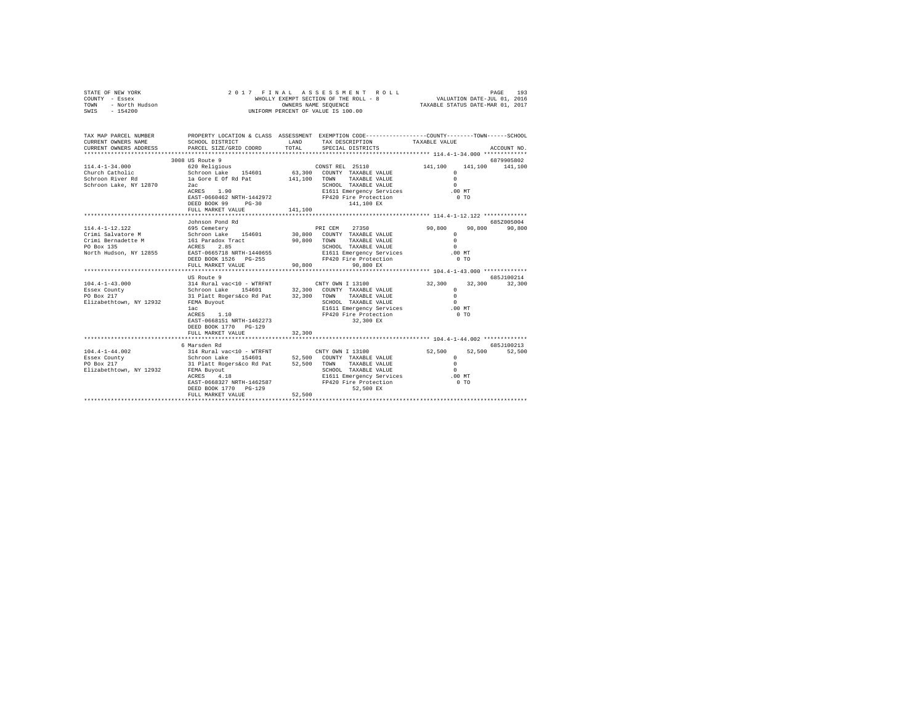| STATE OF NEW YORK<br>COUNTY - Essex<br>- Essex<br>- North Hudson<br>TOWN<br>$-154200$<br>SWIS                                                                                      |                                                                                                                                                                                                                                                                                  | OWNERS NAME SEQUENCE | 2017 FINAL ASSESSMENT ROLL<br>WHOLLY EXEMPT SECTION OF THE ROLL - 8<br>UNIFORM PERCENT OF VALUE IS 100.00                                                                                                                                                                                          | $\begin{tabular}{lllllllll} \hline \texttt{PAGE} & 193 \\ \hline \texttt{VALUATION DATE-JUL} & 01\,,\ 2016 \\ \hline \texttt{maxmin} & \texttt{matrix} \end{tabular}$ |                                              |
|------------------------------------------------------------------------------------------------------------------------------------------------------------------------------------|----------------------------------------------------------------------------------------------------------------------------------------------------------------------------------------------------------------------------------------------------------------------------------|----------------------|----------------------------------------------------------------------------------------------------------------------------------------------------------------------------------------------------------------------------------------------------------------------------------------------------|-----------------------------------------------------------------------------------------------------------------------------------------------------------------------|----------------------------------------------|
| TAX MAP PARCEL NUMBER<br>CURRENT OWNERS NAME<br>CURRENT OWNERS ADDRESS<br>***********************                                                                                  | SCHOOL DISTRICT<br>PARCEL SIZE/GRID COORD                                                                                                                                                                                                                                        | LAND<br>TOTAL        | PROPERTY LOCATION & CLASS ASSESSMENT EXEMPTION CODE---------------COUNTY-------TOWN-----SCHOOL<br>TAX DESCRIPTION<br>SPECIAL DISTRICTS                                                                                                                                                             | TAXABLE VALUE                                                                                                                                                         | ACCOUNT NO.                                  |
| $114.4 - 1 - 34.000$<br>Church Catholic<br>Schroon River Rd<br>Schroon Lake, NY 12870                                                                                              | 3008 US Route 9<br>620 Religious<br>Schroon Lake 154601 63,300<br>la Gore E Of Rd Pat<br>2ac<br>ACRES 1.90<br>EAST-0660462 NRTH-1442972<br>DEED BOOK 99 PG-30<br>FULL MARKET VALUE                                                                                               | 141,100<br>141,100   | CONST REL 25110<br>COUNTY TAXABLE VALUE<br>TOWN<br>TAXABLE VALUE<br>SCHOOL TAXABLE VALUE<br>E1611 Emergency Services<br>FP420 Fire Protection<br>141,100 EX                                                                                                                                        | 141,100<br>$\Omega$<br>$\Omega$<br>$\Omega$<br>$.00$ MT<br>0 <sub>T</sub>                                                                                             | 6879905802<br>141,100 141,100                |
|                                                                                                                                                                                    | Johnson Pond Rd                                                                                                                                                                                                                                                                  |                      |                                                                                                                                                                                                                                                                                                    |                                                                                                                                                                       |                                              |
| 114.4-1-12.122<br>Crimi Salvatore M<br>Crimi Bernadette M<br>PO Box 135<br>North Hudson, NY 12855<br>$104.4 - 1 - 43.000$<br>Essex County<br>PO Box 217<br>Elizabethtown, NY 12932 | 695 Cemetery<br>Schroon Lake 154601<br>161 Paradox Tract<br>ACRES<br>2.85<br>EAST-0665718 NRTH-1440655<br>DEED BOOK 1526 PG-255<br>FULL MARKET VALUE<br>US Route 9<br>314 Rural vac<10 - WTRFNT<br>Schroon Lake 154601<br>31 Platt Rogers&co Rd Pat 32,300<br>FEMA Buyout<br>lac | 90,800<br>90,800     | 27350<br>PRI CEM<br>30,800 COUNTY TAXABLE VALUE<br>TOWN<br>TAXABLE VALUE<br>SCHOOL TAXABLE VALUE<br>E1611 Emergency Services<br>FP420 Fire Protection<br>90.800 EX<br>CNTY OWN I 13100<br>32,300 COUNTY TAXABLE VALUE<br>TOWN<br>TAXABLE VALUE<br>SCHOOL TAXABLE VALUE<br>E1611 Emergency Services | 90,800<br>90,800<br>$\Omega$<br>$\cap$<br>$\Omega$<br>$.00$ MT<br>0.70<br>32,300<br>32,300<br>$\cap$<br>$\Omega$<br>$\Omega$<br>$.00$ MT                              | 685Z005004<br>90,800<br>685J100214<br>32,300 |
|                                                                                                                                                                                    | ACRES 1.10<br>EAST-0668151 NRTH-1462273<br>DEED BOOK 1770 PG-129<br>FULL MARKET VALUE                                                                                                                                                                                            | 32,300               | FP420 Fire Protection<br>32,300 EX                                                                                                                                                                                                                                                                 | 0 <sub>T</sub>                                                                                                                                                        |                                              |
| $104.4 - 1 - 44.002$<br>Essex County<br>PO Box 217<br>Elizabethtown, NY 12932                                                                                                      | 6 Marsden Rd<br>314 Rural vac<10 - WTRFNT<br>Schroon Lake 154601<br>31 Platt Rogers&co Rd Pat<br>FEMA Buyout<br>4.18<br>ACRES<br>EAST-0668327 NRTH-1462587<br>DEED BOOK 1770 PG-129<br>FULL MARKET VALUE                                                                         | 52,500<br>52,500     | CNTY OWN I 13100<br>52,500 COUNTY TAXABLE VALUE<br>TAXABLE VALUE<br>TOWN<br>SCHOOL TAXABLE VALUE<br>E1611 Emergency Services<br>FP420 Fire Protection<br>52,500 EX                                                                                                                                 | 52,500<br>52,500<br>$\Omega$<br>$\Omega$<br>$\Omega$<br>$.00$ MT<br>0 <sub>T</sub>                                                                                    | 685J100213<br>52,500                         |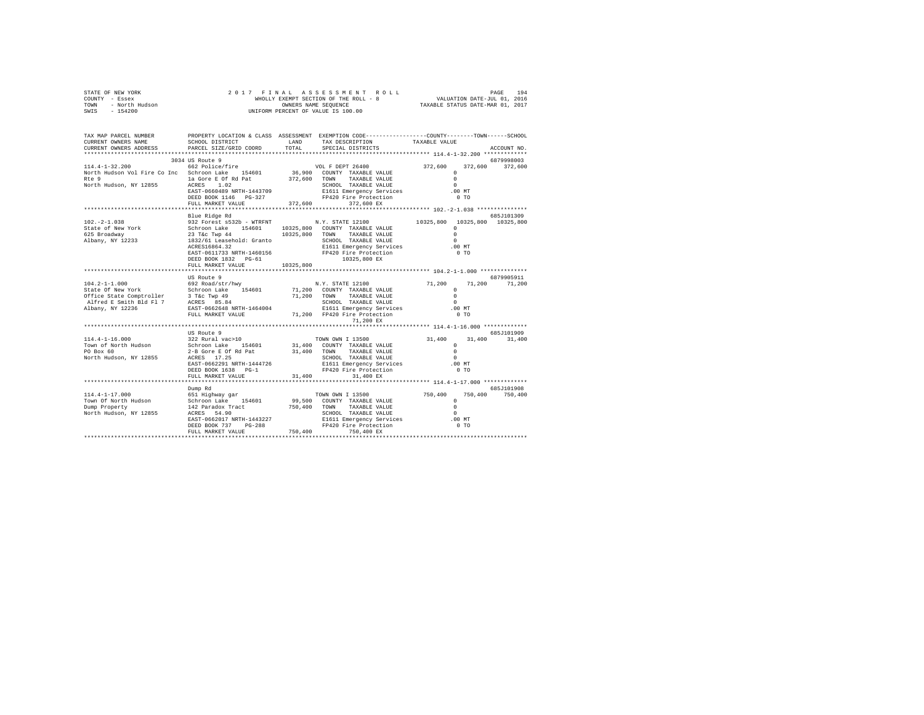| STATE OF NEW YORK      | 2017 FINAL ASSESSMENT ROLL            | 194<br>PAGE                      |
|------------------------|---------------------------------------|----------------------------------|
| COUNTY - Essex         | WHOLLY EXEMPT SECTION OF THE ROLL - 8 | VALUATION DATE-JUL 01, 2016      |
| TOWN<br>- North Hudson | OWNERS NAME SEOUENCE                  | TAXABLE STATUS DATE-MAR 01, 2017 |
| $-154200$<br>SWIS      | UNIFORM PERCENT OF VALUE IS 100.00    |                                  |

| TAX MAP PARCEL NUMBER                                                                                                                                                                                                                                                                                                                                                                 |                                          |           | PROPERTY LOCATION & CLASS ASSESSMENT EXEMPTION CODE----------------COUNTY-------TOWN------SCHOOL |                |                 |
|---------------------------------------------------------------------------------------------------------------------------------------------------------------------------------------------------------------------------------------------------------------------------------------------------------------------------------------------------------------------------------------|------------------------------------------|-----------|--------------------------------------------------------------------------------------------------|----------------|-----------------|
| CURRENT OWNERS NAME                                                                                                                                                                                                                                                                                                                                                                   | SCHOOL DISTRICT                          |           | LAND TAX DESCRIPTION TAXABLE VALUE COORD TOTAL SPECIAL DISTRICTS                                 |                |                 |
| CURRENT OWNERS ADDRESS PARCEL SIZE/GRID COORD                                                                                                                                                                                                                                                                                                                                         |                                          |           |                                                                                                  |                | ACCOUNT NO.     |
|                                                                                                                                                                                                                                                                                                                                                                                       |                                          |           |                                                                                                  |                |                 |
|                                                                                                                                                                                                                                                                                                                                                                                       | 3034 US Route 9                          |           |                                                                                                  |                | 6879998003      |
| $\begin{tabular}{cccccc} \textbf{114.4--1-32.200} & \textbf{304-8014} & \textbf{562 Police/Fire} & \textbf{VOL F DEPT 26400} & \textbf{372,600} & \textbf{372,600} & \textbf{372,600} & \textbf{372,600} \\ & \textbf{562 Police/Fire} & \textbf{154601} & \textbf{36,900} & \textbf{COMNT T RXABLE VALUE} & 0 & \textbf{372,600} & \textbf{372,600} & \textbf{372,600} \\ & \textbf$ |                                          |           |                                                                                                  |                |                 |
|                                                                                                                                                                                                                                                                                                                                                                                       |                                          |           |                                                                                                  |                |                 |
|                                                                                                                                                                                                                                                                                                                                                                                       |                                          |           |                                                                                                  |                |                 |
|                                                                                                                                                                                                                                                                                                                                                                                       |                                          |           |                                                                                                  |                |                 |
|                                                                                                                                                                                                                                                                                                                                                                                       |                                          |           |                                                                                                  |                |                 |
|                                                                                                                                                                                                                                                                                                                                                                                       |                                          |           |                                                                                                  |                |                 |
|                                                                                                                                                                                                                                                                                                                                                                                       |                                          |           |                                                                                                  |                |                 |
|                                                                                                                                                                                                                                                                                                                                                                                       | Blue Ridge Rd                            |           |                                                                                                  |                | 685J101309      |
|                                                                                                                                                                                                                                                                                                                                                                                       |                                          |           |                                                                                                  |                |                 |
|                                                                                                                                                                                                                                                                                                                                                                                       |                                          |           |                                                                                                  |                |                 |
|                                                                                                                                                                                                                                                                                                                                                                                       |                                          |           |                                                                                                  |                |                 |
|                                                                                                                                                                                                                                                                                                                                                                                       |                                          |           |                                                                                                  |                |                 |
|                                                                                                                                                                                                                                                                                                                                                                                       |                                          |           |                                                                                                  |                |                 |
|                                                                                                                                                                                                                                                                                                                                                                                       |                                          |           |                                                                                                  |                |                 |
|                                                                                                                                                                                                                                                                                                                                                                                       |                                          |           |                                                                                                  |                |                 |
|                                                                                                                                                                                                                                                                                                                                                                                       | FULL MARKET VALUE                        | 10325,800 |                                                                                                  |                |                 |
|                                                                                                                                                                                                                                                                                                                                                                                       |                                          |           |                                                                                                  |                |                 |
|                                                                                                                                                                                                                                                                                                                                                                                       | US Route 9                               |           |                                                                                                  |                | 6879905911      |
|                                                                                                                                                                                                                                                                                                                                                                                       |                                          |           |                                                                                                  |                |                 |
|                                                                                                                                                                                                                                                                                                                                                                                       |                                          |           |                                                                                                  |                |                 |
|                                                                                                                                                                                                                                                                                                                                                                                       |                                          |           |                                                                                                  |                |                 |
|                                                                                                                                                                                                                                                                                                                                                                                       |                                          |           |                                                                                                  |                |                 |
|                                                                                                                                                                                                                                                                                                                                                                                       |                                          |           |                                                                                                  |                |                 |
|                                                                                                                                                                                                                                                                                                                                                                                       |                                          |           |                                                                                                  |                |                 |
|                                                                                                                                                                                                                                                                                                                                                                                       |                                          |           | 71,200 EX                                                                                        |                |                 |
|                                                                                                                                                                                                                                                                                                                                                                                       |                                          |           |                                                                                                  |                |                 |
|                                                                                                                                                                                                                                                                                                                                                                                       | US Route 9                               |           |                                                                                                  |                | 685J101909      |
|                                                                                                                                                                                                                                                                                                                                                                                       |                                          |           |                                                                                                  |                | 31,400          |
|                                                                                                                                                                                                                                                                                                                                                                                       |                                          |           |                                                                                                  |                |                 |
|                                                                                                                                                                                                                                                                                                                                                                                       |                                          |           |                                                                                                  |                |                 |
|                                                                                                                                                                                                                                                                                                                                                                                       |                                          |           |                                                                                                  |                |                 |
|                                                                                                                                                                                                                                                                                                                                                                                       |                                          |           |                                                                                                  |                |                 |
|                                                                                                                                                                                                                                                                                                                                                                                       | DEED BOOK 1638 PG-1<br>FULL MARKET VALUE |           | FP420 Fire Protection                                                                            | 0 <sub>T</sub> |                 |
|                                                                                                                                                                                                                                                                                                                                                                                       |                                          | 31,400    | 31,400 EX                                                                                        |                |                 |
|                                                                                                                                                                                                                                                                                                                                                                                       | Dump Rd                                  |           |                                                                                                  |                | 685J101908      |
|                                                                                                                                                                                                                                                                                                                                                                                       |                                          |           |                                                                                                  |                | 750,400 750,400 |
|                                                                                                                                                                                                                                                                                                                                                                                       |                                          |           |                                                                                                  |                |                 |
|                                                                                                                                                                                                                                                                                                                                                                                       |                                          |           |                                                                                                  |                |                 |
|                                                                                                                                                                                                                                                                                                                                                                                       |                                          |           |                                                                                                  |                |                 |
|                                                                                                                                                                                                                                                                                                                                                                                       |                                          |           |                                                                                                  |                |                 |
|                                                                                                                                                                                                                                                                                                                                                                                       |                                          |           |                                                                                                  |                |                 |
|                                                                                                                                                                                                                                                                                                                                                                                       |                                          |           |                                                                                                  |                |                 |
|                                                                                                                                                                                                                                                                                                                                                                                       |                                          |           |                                                                                                  |                |                 |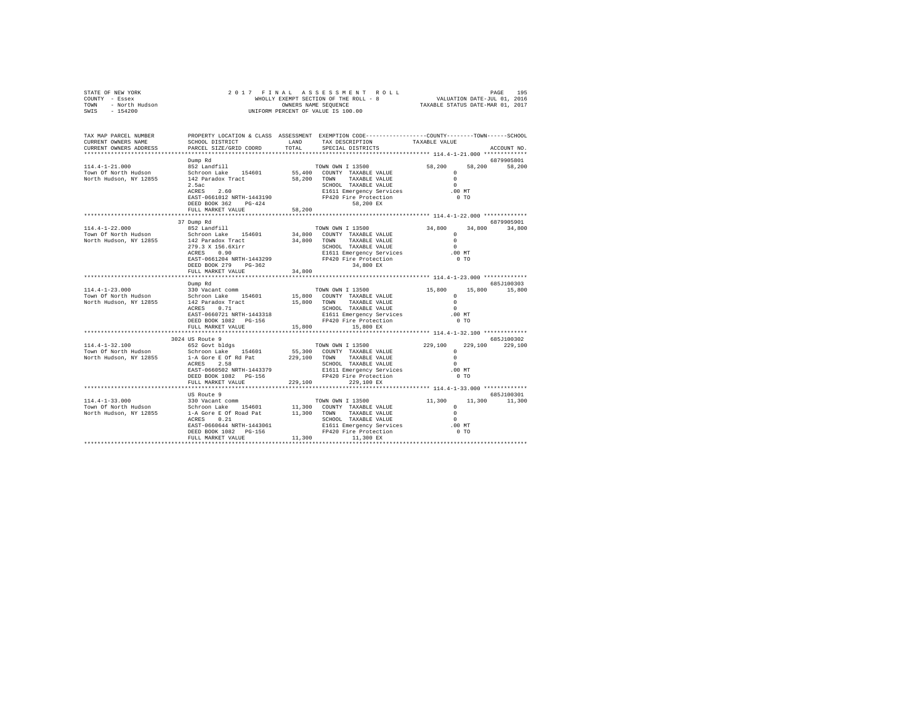| TAX MAP PARCEL NUMBER<br>CURRENT ONNERS NAME SCHOOL DISTRICT (AND TAND TAN DECOMPRISE ON THE COUNTY--------TOWN------SCHOOL DISTRICT (<br>CURRENT OWNERS ADDRESS | PARCEL SIZE/GRID COORD                                                                                                                                                                                                                                                                                                                                                                  | TOTAL  | SPECIAL DISTRICTS                                                                                                                                                                                                                                                                                                                                                                                                                                                                                                  |                                                                                                                                |               | ACCOUNT NO.                 |
|------------------------------------------------------------------------------------------------------------------------------------------------------------------|-----------------------------------------------------------------------------------------------------------------------------------------------------------------------------------------------------------------------------------------------------------------------------------------------------------------------------------------------------------------------------------------|--------|--------------------------------------------------------------------------------------------------------------------------------------------------------------------------------------------------------------------------------------------------------------------------------------------------------------------------------------------------------------------------------------------------------------------------------------------------------------------------------------------------------------------|--------------------------------------------------------------------------------------------------------------------------------|---------------|-----------------------------|
|                                                                                                                                                                  | Dump Rd<br>$2.5ac$<br>ACRES $2.60$<br>${\small \begin{tabular}{lcccc} $\alpha\cup\alpha\in\Delta\in\Delta$ & $\alpha\cup\beta\in\Delta$ \\ \texttt{EAST-0661012 NRTH-1443190} & \texttt{E1611 Emer property Service}\\ \texttt{DEEDS} & \texttt{PG-424} & \texttt{PP420 Fire Protocol} \\ \texttt{DEEDS} & \texttt{PG-424} & \texttt{S8.200 FY} \\ \end{tabular}}$<br>FULL MARKET VALUE |        | SCHOOL TAXABLE VALUE                                                                                                                                                                                                                                                                                                                                                                                                                                                                                               | $\overline{0}$<br>.00MT<br>$0$ TO                                                                                              | 58,200 58,200 | 6879905801                  |
| 114.4-1-22.000                                                                                                                                                   | 37 Dump Rd<br>852 Landfill<br>FULL MARKET VALUE                                                                                                                                                                                                                                                                                                                                         | 34,800 | TOWN OWN I 13500<br>34,800 COUNTY TAXABLE VALUE 34,800 COUNTY TAXABLE VALUE 34,800 TOWN TAXABLE VALUE                                                                                                                                                                                                                                                                                                                                                                                                              | $\sim$ 0<br>$.00$ MT                                                                                                           | $0$ TO        | 6879905901<br>34,800 34,800 |
|                                                                                                                                                                  | Dump Rd<br>EAST-0660721 NRTH-1443318<br>DEED BOOK 1082 PG-156<br>FULL MARKET VALUE                                                                                                                                                                                                                                                                                                      |        | $\begin{tabular}{cccc} \multicolumn{2}{c}{\multicolumn{2}{c}{\textbf{1}}}\\ \multicolumn{2}{c}{\multicolumn{2}{c}{\textbf{1}}}\\ \multicolumn{2}{c}{\multicolumn{2}{c}{\textbf{1}}}\\ \multicolumn{2}{c}{\multicolumn{2}{c}{\textbf{1}}}\\ \multicolumn{2}{c}{\multicolumn{2}{c}{\textbf{1}}}\\ \multicolumn{2}{c}{\multicolumn{2}{c}{\textbf{1}}}\\ \multicolumn{2}{c}{\multicolumn{2}{c}{\textbf{1}}}\\ \multicolumn{2}{c}{\multicolumn{2}{c}{\textbf{1}}}\\ \multicolumn{2}{c}{\multic$<br>$15,800$ $15,800$ EX |                                                                                                                                |               | 685J100303                  |
| 114.4-1-32.100<br>Town Of North Hudson<br>North Hudson, NY 12855                                                                                                 | 3024 US Route 9<br>652 Govt bldgs<br>FULL MARKET VALUE 229,100 229,100 EX                                                                                                                                                                                                                                                                                                               |        | TOWN OWN I 13500                                                                                                                                                                                                                                                                                                                                                                                                                                                                                                   | $\begin{array}{cccc} 229\,, 100 & & 229\,, 100 & & 229\,, 100 \\ & & 0 & & & \\ 0 & & & & \end{array}$<br>$\sim$ 0<br>$.00$ MT | $0$ TO        | 685J100302                  |
|                                                                                                                                                                  | US Route 9                                                                                                                                                                                                                                                                                                                                                                              |        |                                                                                                                                                                                                                                                                                                                                                                                                                                                                                                                    |                                                                                                                                |               | 685J100301<br>11,300 11,300 |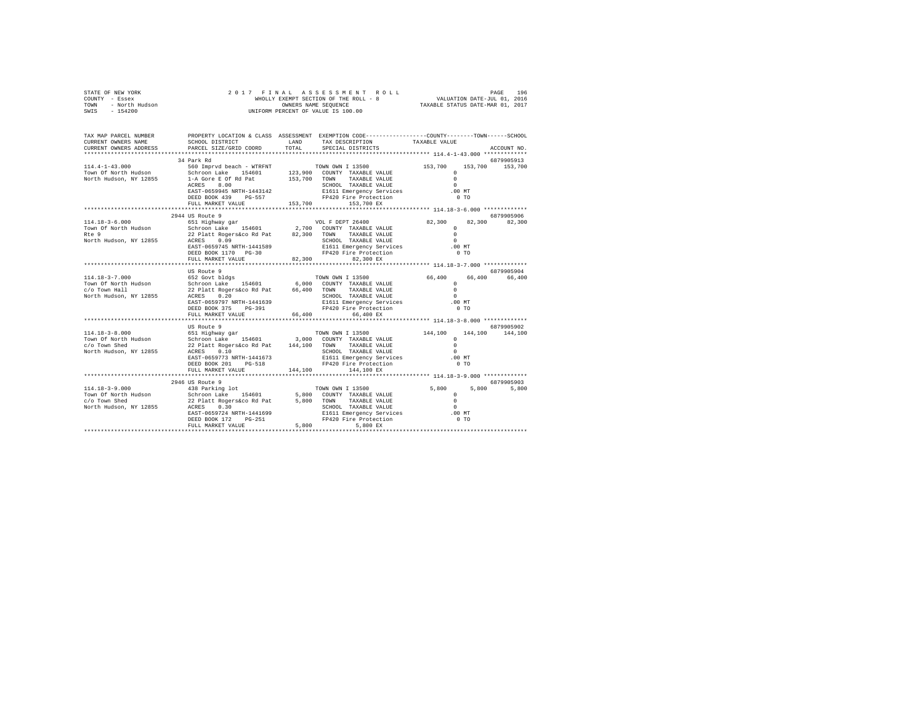|                                                                        | $\begin{array}{cccccccccccc} \texttt{STARTE OF NEW YORK} & \texttt{DRE} & \texttt{196} & \texttt{196} & \texttt{196} & \texttt{196} & \texttt{196} & \texttt{196} & \texttt{196} & \texttt{196} & \texttt{196} & \texttt{196} & \texttt{196} & \texttt{196} & \texttt{196} & \texttt{196} & \texttt{196} & \texttt{196} & \texttt{196} & \texttt{196} & \texttt{196} & \texttt{196} & \texttt{196} & \text$ |                                                                                                                                                                                                                                    |             |
|------------------------------------------------------------------------|-------------------------------------------------------------------------------------------------------------------------------------------------------------------------------------------------------------------------------------------------------------------------------------------------------------------------------------------------------------------------------------------------------------|------------------------------------------------------------------------------------------------------------------------------------------------------------------------------------------------------------------------------------|-------------|
| TAX MAP PARCEL NUMBER<br>CURRENT OWNERS NAME<br>CURRENT OWNERS ADDRESS | PROPERTY LOCATION & CLASS ASSESSMENT EXEMPTION CODE----------------COUNTY-------TOWN-----SCHOOL                                                                                                                                                                                                                                                                                                             | ${\tt SCHOOL\ DISTRICT}\qquad\qquad {\tt LAND}\qquad\qquad {\tt TAX\ DESCRIPTION}\qquad\qquad {\tt TAXABLE\ VALUE}\label{eq:2}$ PARCEL SIZE/GRID COORD $\qquad\qquad {\tt TOTAL}\qquad\qquad {\tt SPECTAL\ DISTRICTS}\qquad\qquad$ | ACCOUNT NO. |
|                                                                        | 34 Park Rd                                                                                                                                                                                                                                                                                                                                                                                                  |                                                                                                                                                                                                                                    | 6879905913  |
|                                                                        | $\begin{tabular}{cccccccc} 114.4-1-43.000 & 34 Park Rd & 15500 & 6879905913 \\ 114.4-1-43.000 & 560 Impyrd beach - WTRINT & 70WN OM I 13500 & 153,700 & 153,700 & 153,700 \\ 153.700 & 560 Romyrd beach = 154601 & 123,900 & 00NNT T RXABLE VALUE & 0 \\ 154.002 EAS = 0.01 & 153.700 & 153.700 & 153,700 & 153,700$                                                                                        |                                                                                                                                                                                                                                    |             |
|                                                                        |                                                                                                                                                                                                                                                                                                                                                                                                             |                                                                                                                                                                                                                                    |             |
|                                                                        |                                                                                                                                                                                                                                                                                                                                                                                                             |                                                                                                                                                                                                                                    |             |
|                                                                        |                                                                                                                                                                                                                                                                                                                                                                                                             |                                                                                                                                                                                                                                    |             |
|                                                                        |                                                                                                                                                                                                                                                                                                                                                                                                             |                                                                                                                                                                                                                                    |             |
|                                                                        |                                                                                                                                                                                                                                                                                                                                                                                                             |                                                                                                                                                                                                                                    |             |
|                                                                        |                                                                                                                                                                                                                                                                                                                                                                                                             |                                                                                                                                                                                                                                    |             |
|                                                                        | 2944 US Route 9<br>$\begin{tabular}{cccccccc} 114.18-3-6.000 & 2944 US Note 9 & 6879905906 & 6879905906 & 6879905906 & 6879905906 & 6879905906 & 6879905906 & 6879905906 & 6879905906 & 6879905906 & 6879905906 & 6879905906 & 6879905906 & 6879905906 & 6879905906 & 6879905906 & 6879$                                                                                                                    |                                                                                                                                                                                                                                    | 6879905906  |
|                                                                        |                                                                                                                                                                                                                                                                                                                                                                                                             |                                                                                                                                                                                                                                    |             |
|                                                                        |                                                                                                                                                                                                                                                                                                                                                                                                             |                                                                                                                                                                                                                                    |             |
|                                                                        |                                                                                                                                                                                                                                                                                                                                                                                                             |                                                                                                                                                                                                                                    |             |
|                                                                        |                                                                                                                                                                                                                                                                                                                                                                                                             |                                                                                                                                                                                                                                    |             |
|                                                                        |                                                                                                                                                                                                                                                                                                                                                                                                             |                                                                                                                                                                                                                                    |             |
|                                                                        |                                                                                                                                                                                                                                                                                                                                                                                                             |                                                                                                                                                                                                                                    |             |
|                                                                        |                                                                                                                                                                                                                                                                                                                                                                                                             |                                                                                                                                                                                                                                    |             |
|                                                                        | US Route 9                                                                                                                                                                                                                                                                                                                                                                                                  |                                                                                                                                                                                                                                    | 6879905904  |
|                                                                        |                                                                                                                                                                                                                                                                                                                                                                                                             |                                                                                                                                                                                                                                    |             |
|                                                                        |                                                                                                                                                                                                                                                                                                                                                                                                             |                                                                                                                                                                                                                                    |             |
|                                                                        |                                                                                                                                                                                                                                                                                                                                                                                                             |                                                                                                                                                                                                                                    |             |
|                                                                        |                                                                                                                                                                                                                                                                                                                                                                                                             |                                                                                                                                                                                                                                    |             |
|                                                                        |                                                                                                                                                                                                                                                                                                                                                                                                             |                                                                                                                                                                                                                                    |             |
|                                                                        |                                                                                                                                                                                                                                                                                                                                                                                                             |                                                                                                                                                                                                                                    |             |
|                                                                        |                                                                                                                                                                                                                                                                                                                                                                                                             |                                                                                                                                                                                                                                    |             |
|                                                                        |                                                                                                                                                                                                                                                                                                                                                                                                             |                                                                                                                                                                                                                                    |             |
|                                                                        |                                                                                                                                                                                                                                                                                                                                                                                                             |                                                                                                                                                                                                                                    |             |
|                                                                        | $\begin{tabular}{cccccc} \textbf{144.16--3--0.000} & \textbf{145.15--0.000} & \textbf{146.16--0.000} \\ \textbf{147.16--3--0.000} & \textbf{6879905902} & \textbf{148.100} \\ \textbf{149.100} & \textbf{6879905902} & \textbf{148.100} \\ \textbf{149.101} & \textbf{149.100} & \textbf{144.100} & \textbf{144.100} \\ \textbf{140.102}$                                                                   |                                                                                                                                                                                                                                    |             |
|                                                                        |                                                                                                                                                                                                                                                                                                                                                                                                             |                                                                                                                                                                                                                                    |             |
|                                                                        |                                                                                                                                                                                                                                                                                                                                                                                                             |                                                                                                                                                                                                                                    |             |
|                                                                        |                                                                                                                                                                                                                                                                                                                                                                                                             |                                                                                                                                                                                                                                    |             |
|                                                                        |                                                                                                                                                                                                                                                                                                                                                                                                             |                                                                                                                                                                                                                                    |             |
|                                                                        |                                                                                                                                                                                                                                                                                                                                                                                                             |                                                                                                                                                                                                                                    |             |
|                                                                        |                                                                                                                                                                                                                                                                                                                                                                                                             |                                                                                                                                                                                                                                    |             |
|                                                                        |                                                                                                                                                                                                                                                                                                                                                                                                             |                                                                                                                                                                                                                                    |             |
|                                                                        |                                                                                                                                                                                                                                                                                                                                                                                                             |                                                                                                                                                                                                                                    |             |
|                                                                        |                                                                                                                                                                                                                                                                                                                                                                                                             |                                                                                                                                                                                                                                    |             |
|                                                                        |                                                                                                                                                                                                                                                                                                                                                                                                             |                                                                                                                                                                                                                                    |             |
|                                                                        |                                                                                                                                                                                                                                                                                                                                                                                                             |                                                                                                                                                                                                                                    |             |
|                                                                        |                                                                                                                                                                                                                                                                                                                                                                                                             |                                                                                                                                                                                                                                    |             |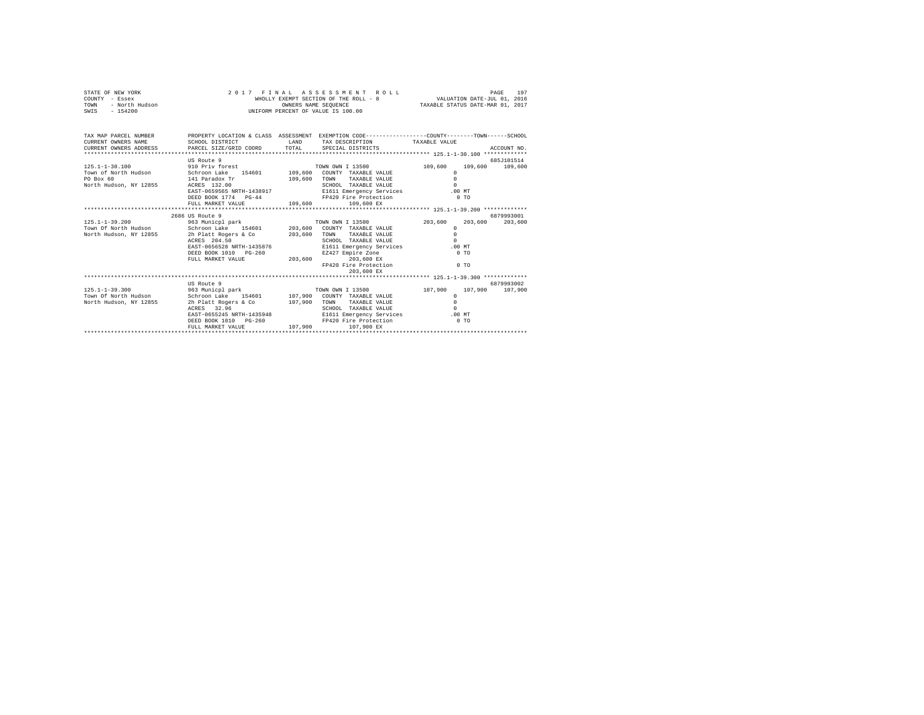| STATE OF NEW YORK<br>COUNTY - Essex<br>TOWN - North Hudson<br>SWIES - 154200<br>SWIES - 154200<br>SWIES - 154200                                                                                                                        |                                                            |             | 2017 FINAL ASSESSMENT ROLL                                                                                                                                                                                                                                                                                                      | FINAL ASSESSMENT ROLL MALL PAGE 197<br>WHOLLY EXEMPT SECTION OF THE ROLL - 8 VALUATION DATE-JUL 01, 2016<br>OWNERS NAME SEQUENCE TAXABLE STATUS DATE-MAR 01, 2017 |         |             |  |
|-----------------------------------------------------------------------------------------------------------------------------------------------------------------------------------------------------------------------------------------|------------------------------------------------------------|-------------|---------------------------------------------------------------------------------------------------------------------------------------------------------------------------------------------------------------------------------------------------------------------------------------------------------------------------------|-------------------------------------------------------------------------------------------------------------------------------------------------------------------|---------|-------------|--|
| TAX MAP PARCEL NUMBER PROPERTY LOCATION & CLASS ASSESSMENT EXEMPTION CODE--------------COUNTY-------TOWN------SCHOOL<br>CURRENT OWNERS NAME<br>CURRENT ONNERS ADDRESS PARCEL SIZE/GRID COORD TOTAL SPECIAL DISTRICTS (2011) ACCOUNT NO. | SCHOOL DISTRICT                                            | <b>LAND</b> | TAX DESCRIPTION TAXABLE VALUE                                                                                                                                                                                                                                                                                                   |                                                                                                                                                                   |         |             |  |
|                                                                                                                                                                                                                                         | US Route 9                                                 |             |                                                                                                                                                                                                                                                                                                                                 |                                                                                                                                                                   |         | 685.7101514 |  |
|                                                                                                                                                                                                                                         | FULL MARKET VALUE 109,600                                  |             | ואטער בארצוני בארצוני בארץ בארץ בארץ בין הייתה בין הייתה בין הייתה בין הייתה בין הייתה בין הייתה בין הייתה בי<br>EI611 Emergency Carrier ב-1611 Emergency Carrier ב-1611 Emergency Carrier ב-1613<br>EAST-0659565 NRTH-1438917 E1611 Emergency Services .00 MT<br>DEED BOOK 1774 PG-44 FP420 Fire Protection 0 TO<br>109,600 EX | 109,600 109,600 109,600<br>$\Omega$<br>$\Omega$<br>$\Omega$                                                                                                       |         |             |  |
|                                                                                                                                                                                                                                         | 2686 US Route 9                                            |             |                                                                                                                                                                                                                                                                                                                                 |                                                                                                                                                                   |         | 6879993001  |  |
| 125.1-1-39.200 963 Municpl park TOWN OWN I 13500 203,600                                                                                                                                                                                |                                                            |             |                                                                                                                                                                                                                                                                                                                                 |                                                                                                                                                                   | 203,600 | 203,600     |  |
| Town Of North Hudson Schroon Lake 154601 203,600 COUNTY TAXABLE VALUE                                                                                                                                                                   |                                                            |             |                                                                                                                                                                                                                                                                                                                                 | $\Omega$                                                                                                                                                          |         |             |  |
| North Hudson, NY 12855 2h Platt Rogers & Co 203,600                                                                                                                                                                                     |                                                            |             | TOWN TAXABLE VALUE                                                                                                                                                                                                                                                                                                              | $\Omega$                                                                                                                                                          |         |             |  |
|                                                                                                                                                                                                                                         | ACRES 204.50                                               |             | SCHOOL TAXABLE VALUE                                                                                                                                                                                                                                                                                                            | $\Omega$                                                                                                                                                          |         |             |  |
|                                                                                                                                                                                                                                         | EAST-0656528 NRTH-1435876                                  |             | E1611 Emergency Services .00 MT                                                                                                                                                                                                                                                                                                 |                                                                                                                                                                   |         |             |  |
|                                                                                                                                                                                                                                         | DEED BOOK 1010 PG-260 EZ427 E<br>FULL MARKET VALUE 203,600 |             | EZ427 Empire Zone                                                                                                                                                                                                                                                                                                               | $0$ TO                                                                                                                                                            |         |             |  |
|                                                                                                                                                                                                                                         |                                                            |             | EARLY Empire Zone<br>203,600 EX<br>FP420 Fire Protection 0 TO<br>203,600 EX                                                                                                                                                                                                                                                     |                                                                                                                                                                   |         |             |  |
|                                                                                                                                                                                                                                         |                                                            |             |                                                                                                                                                                                                                                                                                                                                 |                                                                                                                                                                   |         |             |  |
|                                                                                                                                                                                                                                         | US Route 9                                                 |             |                                                                                                                                                                                                                                                                                                                                 |                                                                                                                                                                   |         | 6879993002  |  |
|                                                                                                                                                                                                                                         |                                                            |             |                                                                                                                                                                                                                                                                                                                                 | 107,900 107,900 107,900<br>$\Omega$                                                                                                                               |         |             |  |
|                                                                                                                                                                                                                                         |                                                            |             |                                                                                                                                                                                                                                                                                                                                 | $\Omega$                                                                                                                                                          |         |             |  |
|                                                                                                                                                                                                                                         |                                                            |             |                                                                                                                                                                                                                                                                                                                                 | $\Omega$                                                                                                                                                          |         |             |  |
|                                                                                                                                                                                                                                         |                                                            |             | EAST-0655245 NRTH-1435948 E1611 Emergency Services .00 MT                                                                                                                                                                                                                                                                       |                                                                                                                                                                   |         |             |  |
|                                                                                                                                                                                                                                         | DEED BOOK 1010 PG-260<br>FULL MARKET VALUE                 | 107,900     | FP420 Fire Protection<br>107,900 EX                                                                                                                                                                                                                                                                                             | $0$ TO                                                                                                                                                            |         |             |  |
|                                                                                                                                                                                                                                         |                                                            |             |                                                                                                                                                                                                                                                                                                                                 |                                                                                                                                                                   |         |             |  |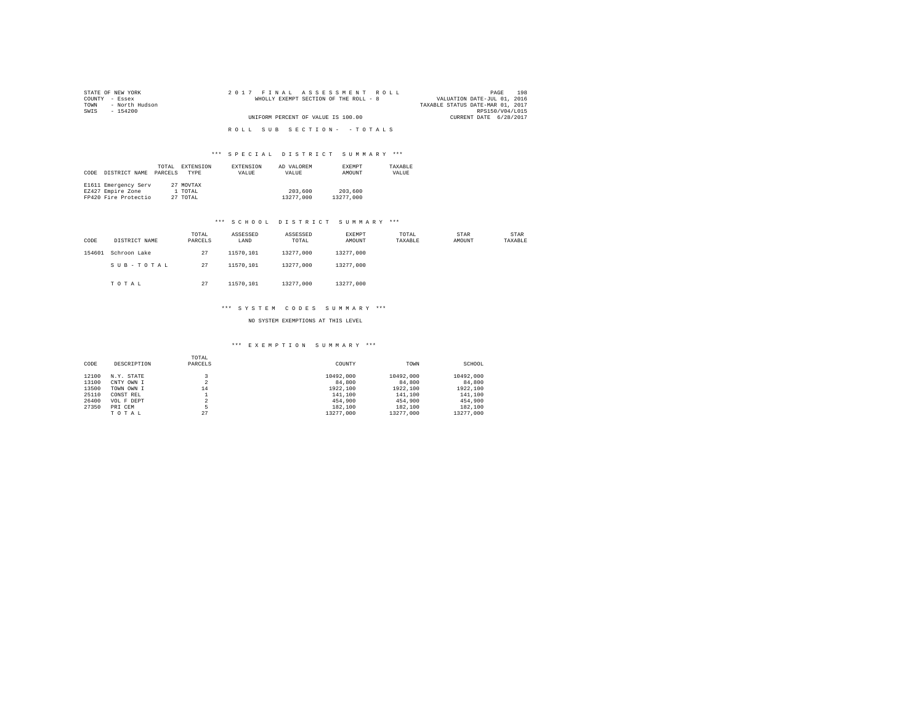| STATE OF NEW YORK      | 2017 FINAL ASSESSMENT ROLL            | 198<br>PAGE                      |
|------------------------|---------------------------------------|----------------------------------|
| COUNTY - Essex         | WHOLLY EXEMPT SECTION OF THE ROLL - 8 | VALUATION DATE-JUL 01, 2016      |
| - North Hudson<br>TOWN |                                       | TAXABLE STATUS DATE-MAR 01, 2017 |
| SWTS<br>- 154200       |                                       | RPS150/V04/L015                  |
|                        | UNIFORM PERCENT OF VALUE IS 100.00    | CURRENT DATE 6/28/2017           |
|                        |                                       |                                  |
|                        | ROLL SUB SECTION- - TOTALS            |                                  |

| CODE | DISTRICT NAME        | TOTAL<br>PARCELS | EXTENSION<br>TYPE | EXTENSION<br>VALUE | AD VALOREM<br>VALUE | <b>EXEMPT</b><br>AMOUNT | TAXARLE<br>VALUE |
|------|----------------------|------------------|-------------------|--------------------|---------------------|-------------------------|------------------|
|      | E1611 Emergency Serv |                  | 27 MOVTAX         |                    |                     |                         |                  |
|      | EZ427 Empire Zone    |                  | 1 TOTAL           |                    | 203,600             | 203,600                 |                  |
|      | FP420 Fire Protectio |                  | 27 TOTAL          |                    | 13277,000           | 13277,000               |                  |

#### \*\*\* S C H O O L D I S T R I C T S U M M A R Y \*\*\*

| CODE   | DISTRICT NAME | TOTAL<br>PARCELS | ASSESSED<br>LAND | ASSESSED<br>TOTAL | EXEMPT<br>AMOUNT | TOTAL<br>TAXABLE | STAR<br>AMOUNT | STAR<br>TAXABLE |
|--------|---------------|------------------|------------------|-------------------|------------------|------------------|----------------|-----------------|
| 154601 | Schroon Lake  | 27               | 11570.101        | 13277.000         | 13277.000        |                  |                |                 |
|        | SUB-TOTAL     | 27               | 11570.101        | 13277.000         | 13277.000        |                  |                |                 |
|        | TOTAL         | 27               | 11570.101        | 13277.000         | 13277.000        |                  |                |                 |

#### \*\*\* S Y S T E M C O D E S S U M M A R Y \*\*\*

NO SYSTEM EXEMPTIONS AT THIS LEVEL

| CODE  | DESCRIPTION | TOTAL<br>PARCELS | COUNTY    | TOWN      | SCHOOL    |
|-------|-------------|------------------|-----------|-----------|-----------|
| 12100 | N.Y. STATE  |                  | 10492.000 | 10492.000 | 10492.000 |
| 13100 | CNTY OWN I  | 2                | 84,800    | 84,800    | 84,800    |
| 13500 | TOWN OWN I  | 14               | 1922,100  | 1922,100  | 1922.100  |
| 25110 | CONST REL   |                  | 141,100   | 141,100   | 141,100   |
| 26400 | VOL F DEPT  | $\mathfrak{D}$   | 454,900   | 454,900   | 454,900   |
| 27350 | PRI CEM     |                  | 182,100   | 182,100   | 182,100   |
|       | TOTAL       | 27               | 13277.000 | 13277.000 | 13277.000 |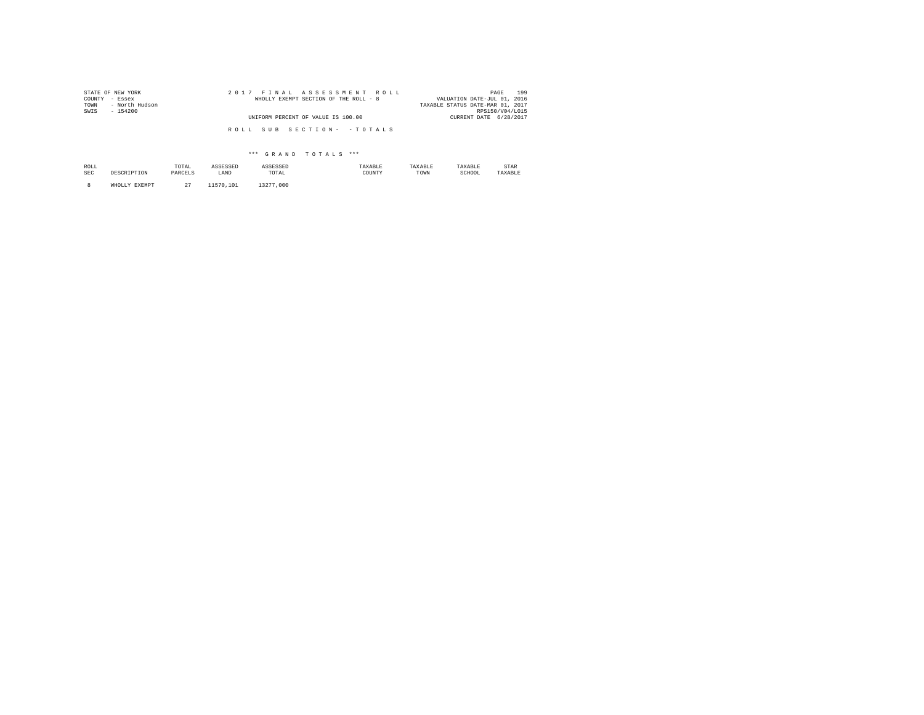| STATE OF NEW YORK<br>COUNTY - Essex<br>- North Hudson<br>TOWN | 2017 FINAL ASSESSMENT ROLL<br>WHOLLY EXEMPT SECTION OF THE ROLL - 8 | 199<br>PAGE<br>VALUATION DATE-JUL 01, 2016<br>TAXABLE STATUS DATE-MAR 01, 2017 |
|---------------------------------------------------------------|---------------------------------------------------------------------|--------------------------------------------------------------------------------|
| SWIS<br>$-154200$                                             | UNIFORM PERCENT OF VALUE IS 100.00                                  | RPS150/V04/L015<br>CURRENT DATE 6/28/2017                                      |
|                                                               | ROLL SUB SECTION- - TOTALS                                          |                                                                                |

| ROLL<br>SEC | DESCRIPTION   | TOTAL<br>the contract of the contract of the<br>PARCELS | ASSESSED<br>LAND | ASSESSED<br>TOTAL | TAXABLE<br>COUNTY | TAXABLE<br>TOWN | TAXABLE<br>SCHOOL | <b>STAR</b><br>TAXABLE |
|-------------|---------------|---------------------------------------------------------|------------------|-------------------|-------------------|-----------------|-------------------|------------------------|
|             | WHOLLY EXEMPT | $\sim$                                                  | 1570<br>101      | 13277,000         |                   |                 |                   |                        |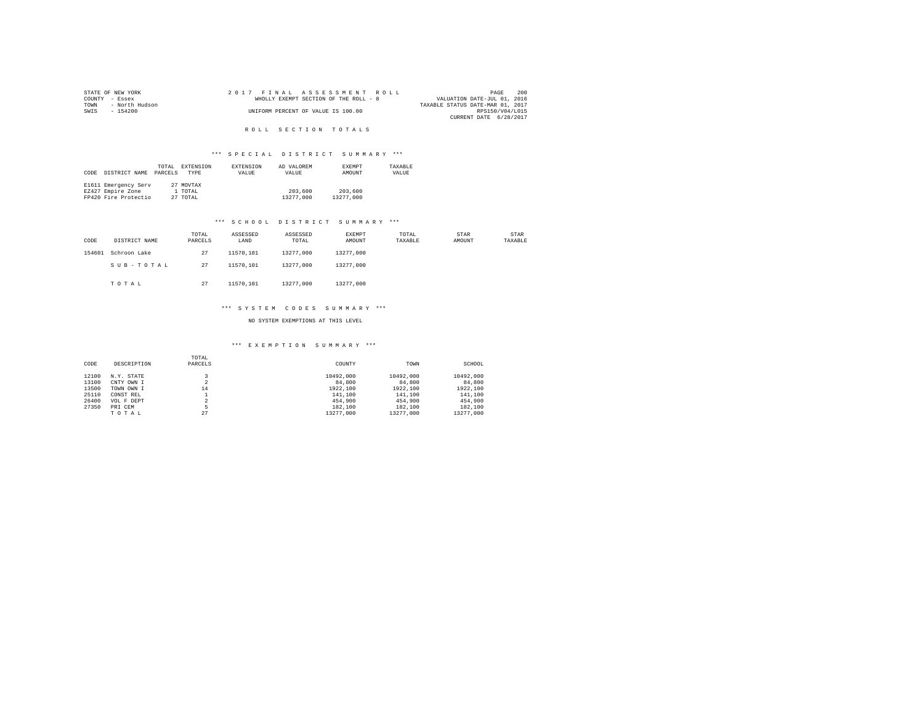|                | STATE OF NEW YORK |  |  | 2017 FINAL ASSESSMENT ROLL            |                                  | PAGE            | 200 |
|----------------|-------------------|--|--|---------------------------------------|----------------------------------|-----------------|-----|
| COUNTY - Essex |                   |  |  | WHOLLY EXEMPT SECTION OF THE ROLL - 8 | VALUATION DATE-JUL 01, 2016      |                 |     |
| TOWN           | - North Hudson    |  |  |                                       | TAXABLE STATUS DATE-MAR 01, 2017 |                 |     |
| SWIS           | - 154200          |  |  | UNIFORM PERCENT OF VALUE IS 100.00    |                                  | RPS150/V04/L015 |     |
|                |                   |  |  |                                       | CURRENT DATE 6/28/2017           |                 |     |

R O L L S E C T I O N T O T A L S

#### \*\*\* S P E C I A L D I S T R I C T S U M M A R Y \*\*\*

|      |                      | TOTAL   | <b>EXTENSION</b> | <b>EXTENSION</b> | AD VALOREM | <b>EXEMPT</b> | TAXABLE |
|------|----------------------|---------|------------------|------------------|------------|---------------|---------|
| CODE | DISTRICT NAME        | PARCELS | <b>TYPE</b>      | VALUE            | VALUE      | AMOUNT        | VALUE   |
|      |                      |         |                  |                  |            |               |         |
|      | E1611 Emergency Serv |         | 27 MOVTAX        |                  |            |               |         |
|      | EZ427 Empire Zone    |         | 1 TOTAL          |                  | 203,600    | 203,600       |         |
|      | FP420 Fire Protectio |         | 27 TOTAL         |                  | 13277,000  | 13277,000     |         |

#### \*\*\* S C H O O L D I S T R I C T S U M M A R Y \*\*\*

| CODE   | DISTRICT NAME | TOTAL<br>PARCELS | ASSESSED<br>LAND | ASSESSED<br>TOTAL | EXEMPT<br>AMOUNT | TOTAL<br>TAXABLE | STAR<br>AMOUNT | STAR<br>TAXABLE |
|--------|---------------|------------------|------------------|-------------------|------------------|------------------|----------------|-----------------|
| 154601 | Schroon Lake  | 27               | 11570.101        | 13277.000         | 13277.000        |                  |                |                 |
|        | SUB-TOTAL     | 27               | 11570.101        | 13277.000         | 13277.000        |                  |                |                 |
|        | TOTAL         | 27               | 11570.101        | 13277.000         | 13277.000        |                  |                |                 |

#### \*\*\* S Y S T E M C O D E S S U M M A R Y \*\*\*

NO SYSTEM EXEMPTIONS AT THIS LEVEL

| CODE  | DESCRIPTION | TOTAL<br>PARCELS | COUNTY    | TOWN      | SCHOOL    |
|-------|-------------|------------------|-----------|-----------|-----------|
| 12100 | N.Y. STATE  |                  | 10492.000 | 10492.000 | 10492.000 |
| 13100 | CNTY OWN I  | 2                | 84,800    | 84,800    | 84,800    |
| 13500 | TOWN OWN I  | 14               | 1922,100  | 1922,100  | 1922.100  |
| 25110 | CONST REL   |                  | 141,100   | 141,100   | 141,100   |
| 26400 | VOL F DEPT  | $\mathfrak{D}$   | 454,900   | 454,900   | 454,900   |
| 27350 | PRI CEM     |                  | 182,100   | 182,100   | 182,100   |
|       | TOTAL       | 27               | 13277.000 | 13277.000 | 13277.000 |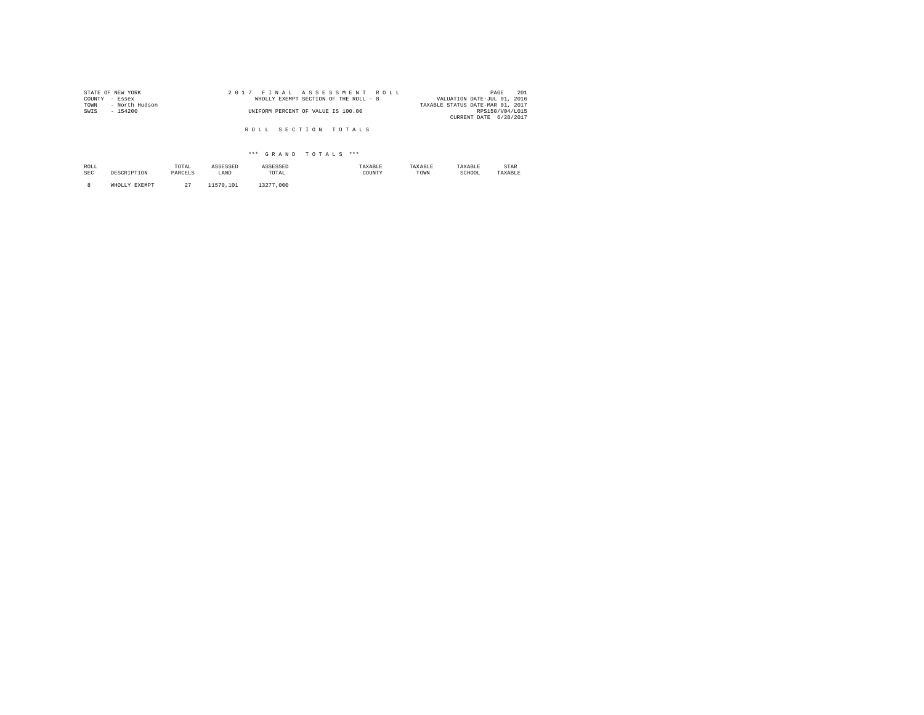| STATE OF NEW YORK      | 2017 FINAL ASSESSMENT ROLL            | 201<br>PAGE                      |
|------------------------|---------------------------------------|----------------------------------|
| COUNTY - Essex         | WHOLLY EXEMPT SECTION OF THE ROLL - 8 | VALUATION DATE-JUL 01, 2016      |
| TOWN<br>- North Hudson |                                       | TAXABLE STATUS DATE-MAR 01, 2017 |
| SWIS<br>$-154200$      | UNIFORM PERCENT OF VALUE IS 100.00    | RPS150/V04/L015                  |
|                        |                                       | CURRENT DATE 6/28/2017           |
|                        |                                       |                                  |
|                        | ROLL SECTION TOTALS                   |                                  |

| ROLL       |               | TOTAL<br>the contract of the contract of the | ASSESSED  | ASSESSED                                                 | TAXARLE | TAXABLE | TAXABLE | STAR    |
|------------|---------------|----------------------------------------------|-----------|----------------------------------------------------------|---------|---------|---------|---------|
| <b>SEC</b> | DESCRIPTION   | PARCELS                                      | LAND      | TOTAL<br>the contract of the contract of the contract of | COUNTY  | TOWN    | SCHOOL  | TAXABLE |
|            |               |                                              |           |                                                          |         |         |         |         |
|            | <b>DVPMDT</b> | $\sim$<br>z.,                                | 11570.101 | 13277<br>,000                                            |         |         |         |         |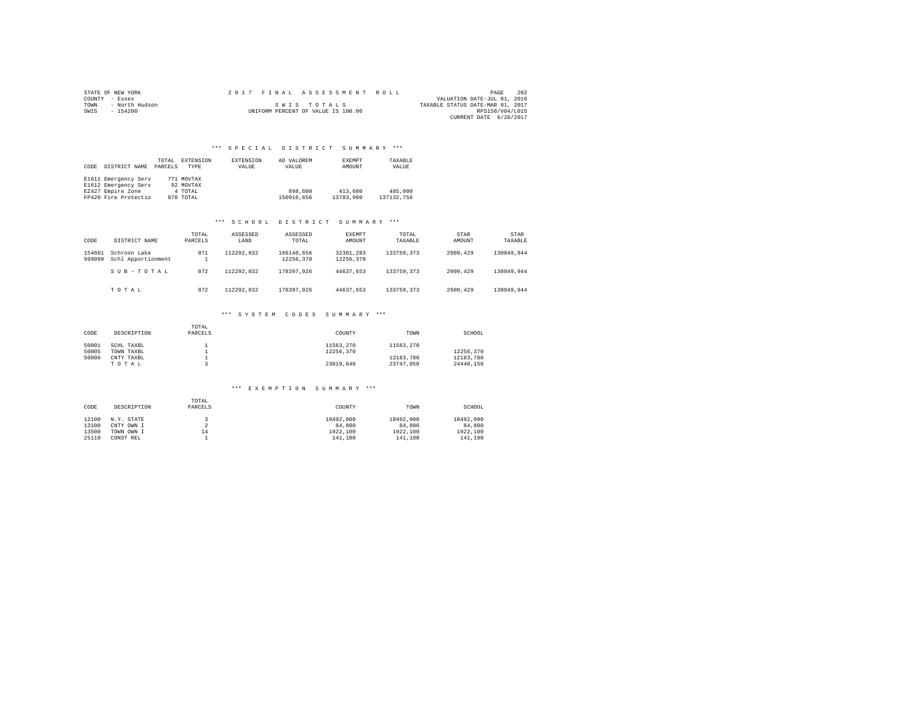|                | STATE OF NEW YORK |  |  |  |  |                                    |  | 2017 FINAL ASSESSMENT ROLL |                                  | PAGE            | 202 |
|----------------|-------------------|--|--|--|--|------------------------------------|--|----------------------------|----------------------------------|-----------------|-----|
| COUNTY - Essex |                   |  |  |  |  |                                    |  |                            | VALUATION DATE-JUL 01, 2016      |                 |     |
| TOWN           | - North Hudson    |  |  |  |  | SWIS TOTALS                        |  |                            | TAXABLE STATUS DATE-MAR 01, 2017 |                 |     |
| SWTS           | $-154200$         |  |  |  |  | UNIFORM PERCENT OF VALUE IS 100.00 |  |                            |                                  | RPS150/V04/L015 |     |
|                |                   |  |  |  |  |                                    |  |                            | CURRENT DATE 6/28/2017           |                 |     |

| CODE | DISTRICT NAME        | TOTAL<br>PARCELS | EXTENSION<br><b>TYPE</b> | <b>EXTENSION</b><br>VALUE | AD VALOREM<br>VALUE | EXEMPT<br>AMOUNT | TAXABLE<br>VALUE |  |
|------|----------------------|------------------|--------------------------|---------------------------|---------------------|------------------|------------------|--|
|      | E1611 Emergency Serv |                  | 771 MOVTAX               |                           |                     |                  |                  |  |
|      | E1612 Emergency Serv |                  | 92 MOVTAX                |                           |                     |                  |                  |  |
|      | EZ427 Empire Zone    |                  | 4 TOTAL                  |                           | 898,600             | 413,600          | 485,000          |  |
|      | FP420 Fire Protectio |                  | 870 TOTAL                |                           | 150916.656          | 13783,900        | 137132.756       |  |

#### \*\*\* S C H O O L D I S T R I C T S U M M A R Y \*\*\*

| CODE             | DISTRICT NAME                      | TOTAL<br>PARCELS | ASSESSED<br>LAND | ASSESSED<br>TOTAL       | EXEMPT<br>AMOUNT       | TOTAL<br>TAXABLE | STAR<br>AMOUNT | STAR<br>TAXABLE |
|------------------|------------------------------------|------------------|------------------|-------------------------|------------------------|------------------|----------------|-----------------|
| 154601<br>999999 | Schroon Lake<br>Schl Apportionment | 871              | 112292.032       | 166140.656<br>12256.370 | 32381.283<br>12256.370 | 133759.373       | 2909.429       | 130849.944      |
|                  | SUB-TOTAL                          | 872              | 112292.032       | 178397.026              | 44637.653              | 133759.373       | 2909,429       | 130849.944      |
|                  | TOTAL                              | 872              | 112292.032       | 178397.026              | 44637.653              | 133759.373       | 2909.429       | 130849.944      |

## \*\*\* S Y S T E M C O D E S S U M M A R Y \*\*\*

| CODE                    | DESCRIPTION                                     | TOTAL<br>PARCELS | COUNTY                              | TOWN                                | SCHOOL                              |
|-------------------------|-------------------------------------------------|------------------|-------------------------------------|-------------------------------------|-------------------------------------|
| 50001<br>50005<br>50006 | SCHL TAXBL<br>TOWN TAXBL<br>CNTY TAXBL<br>TOTAL |                  | 11563.270<br>12256.370<br>23819.640 | 11563.270<br>12183.780<br>23747.050 | 12256.370<br>12183.780<br>24440.150 |

| CODE  | DESCRIPTION | TOTAL<br>PARCELS | COUNTY    | TOWN      | SCHOOL    |
|-------|-------------|------------------|-----------|-----------|-----------|
| 12100 | N.Y. STATE  |                  | 10492.000 | 10492.000 | 10492.000 |
| 13100 | CNTY OWN I  |                  | 84,800    | 84,800    | 84,800    |
| 13500 | TOWN OWN I  | 14               | 1922,100  | 1922.100  | 1922.100  |
| 25110 | CONST REL   |                  | 141,100   | 141,100   | 141,100   |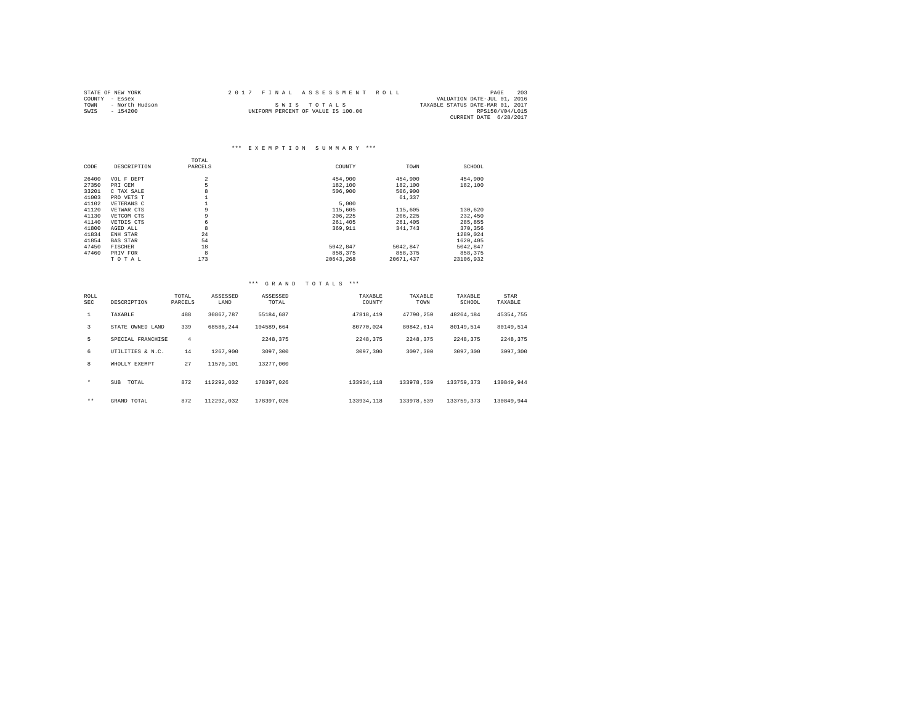|                | STATE OF NEW YORK | 2017 FINAL ASSESSMENT ROLL |                                    | PAGE                             | 203 |
|----------------|-------------------|----------------------------|------------------------------------|----------------------------------|-----|
| COUNTY - Essex |                   |                            |                                    | VALUATION DATE-JUL 01, 2016      |     |
| TOWN           | - North Hudson    |                            | SWIS TOTALS                        | TAXABLE STATUS DATE-MAR 01, 2017 |     |
| SWIS           | $-154200$         |                            | UNIFORM PERCENT OF VALUE IS 100.00 | RPS150/V04/L015                  |     |
|                |                   |                            |                                    | CURRENT DATE 6/28/2017           |     |

### \*\*\* E X E M P T I O N S U M M A R Y \*\*\*

|       |                 | TOTAL          |           |           |           |
|-------|-----------------|----------------|-----------|-----------|-----------|
| CODE  | DESCRIPTION     | PARCELS        | COUNTY    | TOWN      | SCHOOL    |
|       |                 |                |           |           |           |
| 26400 | VOL F DEPT      | $\overline{a}$ | 454,900   | 454,900   | 454,900   |
| 27350 | PRI CEM         | 5              | 182,100   | 182,100   | 182,100   |
| 33201 | C TAX SALE      | 8              | 506,900   | 506,900   |           |
| 41003 | PRO VETS T      |                |           | 61.337    |           |
| 41102 | VETERANS C      |                | 5,000     |           |           |
| 41120 | VETWAR CTS      | 9              | 115,605   | 115,605   | 130,620   |
| 41130 | VETCOM CTS      | 9              | 206.225   | 206.225   | 232,450   |
| 41140 | VETDIS CTS      | 6              | 261,405   | 261,405   | 285.855   |
| 41800 | AGED ALL        | 8              | 369.911   | 341.743   | 370,356   |
| 41834 | ENH STAR        | 24             |           |           | 1289.024  |
| 41854 | <b>BAS STAR</b> | 54             |           |           | 1620.405  |
| 47450 | <b>FISCHER</b>  | 18             | 5042.847  | 5042.847  | 5042.847  |
| 47460 | PRIV FOR        | 8              | 858.375   | 858,375   | 858,375   |
|       | TOTAL           | 173            | 20643.268 | 20671.437 | 23106.932 |

| ROLL<br>SEC  | DESCRIPTION         | TOTAL<br>PARCELS | ASSESSED<br>LAND | ASSESSED<br>TOTAL | TAXABLE<br>COUNTY | TAXABLE<br>TOWN | TAXABLE<br>SCHOOL | STAR<br>TAXABLE |
|--------------|---------------------|------------------|------------------|-------------------|-------------------|-----------------|-------------------|-----------------|
| $\mathbf{1}$ | TAXABLE             | 488              | 30867.787        | 55184.687         | 47818,419         | 47790.250       | 48264.184         | 45354.755       |
| 3            | STATE OWNED LAND    | 339              | 68586.244        | 104589.664        | 80770.024         | 80842.614       | 80149.514         | 80149.514       |
| 5            | SPECIAL FRANCHISE   | 4                |                  | 2248.375          | 2248.375          | 2248.375        | 2248.375          | 2248.375        |
| 6            | UTILITIES & N.C.    | 14               | 1267.900         | 3097,300          | 3097,300          | 3097,300        | 3097,300          | 3097.300        |
| 8            | WHOLLY EXEMPT       | 27               | 11570.101        | 13277.000         |                   |                 |                   |                 |
| $\star$      | TOTAL<br><b>SUB</b> | 872              | 112292.032       | 178397.026        | 133934,118        | 133978.539      | 133759.373        | 130849.944      |
| $***$        | GRAND TOTAL         | 872              | 112292.032       | 178397.026        | 133934,118        | 133978.539      | 133759,373        | 130849.944      |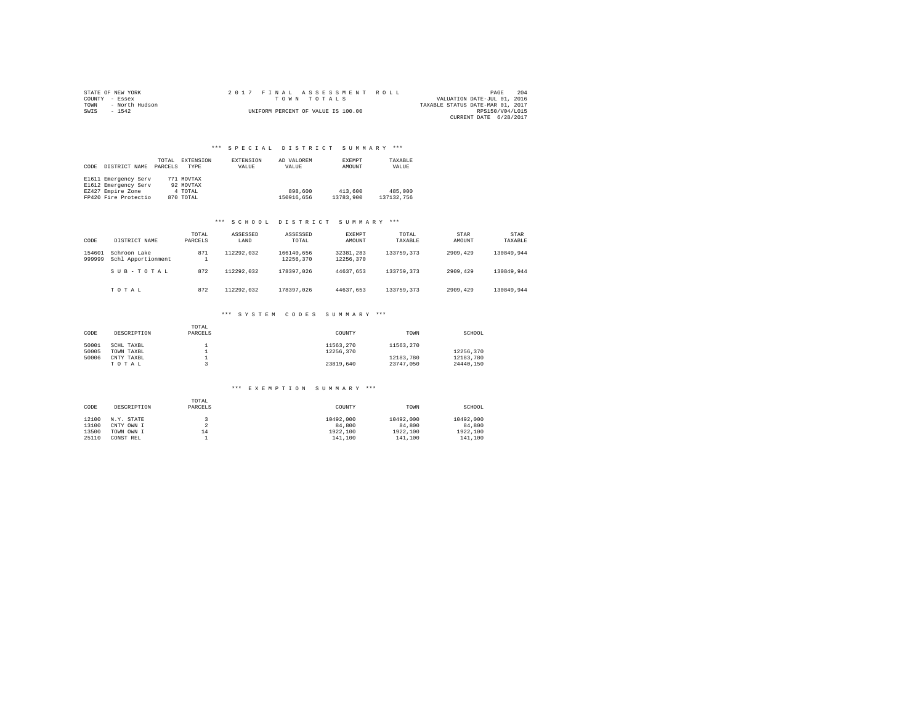|                | STATE OF NEW YORK |  | 2017 FINAL ASSESSMENT ROLL         |                                  | PAGE            | 204 |
|----------------|-------------------|--|------------------------------------|----------------------------------|-----------------|-----|
| COUNTY - Essex |                   |  | TOWN TOTALS                        | VALUATION DATE-JUL 01, 2016      |                 |     |
| TOWN           | - North Hudson    |  |                                    | TAXABLE STATUS DATE-MAR 01, 2017 |                 |     |
| SWIS           | $-1542$           |  | UNIFORM PERCENT OF VALUE IS 100.00 |                                  | RPS150/V04/L015 |     |
|                |                   |  |                                    | CURRENT DATE 6/28/2017           |                 |     |

| CODE | DISTRICT NAME        | TOTAL<br>PARCELS | EXTENSION<br><b>TYPE</b> | EXTENSION<br>VALUE | AD VALOREM<br>VALUE | <b>EXEMPT</b><br>AMOUNT | TAXABLE<br>VALUE |
|------|----------------------|------------------|--------------------------|--------------------|---------------------|-------------------------|------------------|
|      | E1611 Emergency Serv |                  | 771 MOVTAX               |                    |                     |                         |                  |
|      | E1612 Emergency Serv |                  | 92 MOVTAX                |                    |                     |                         |                  |
|      | EZ427 Empire Zone    |                  | 4 TOTAL                  |                    | 898,600             | 413,600                 | 485,000          |
|      | FP420 Fire Protectio |                  | 870 TOTAL                |                    | 150916.656          | 13783,900               | 137132.756       |

#### \*\*\* S C H O O L D I S T R I C T S U M M A R Y \*\*\*

| CODE             | DISTRICT NAME                      | TOTAL<br>PARCELS | ASSESSED<br>LAND | ASSESSED<br>TOTAL       | EXEMPT<br>AMOUNT       | TOTAL<br>TAXABLE | STAR<br>AMOUNT | STAR<br>TAXABLE |
|------------------|------------------------------------|------------------|------------------|-------------------------|------------------------|------------------|----------------|-----------------|
| 154601<br>999999 | Schroon Lake<br>Schl Apportionment | 871              | 112292.032       | 166140.656<br>12256.370 | 32381.283<br>12256.370 | 133759.373       | 2909.429       | 130849.944      |
|                  | SUB-TOTAL                          | 872              | 112292.032       | 178397.026              | 44637.653              | 133759.373       | 2909,429       | 130849.944      |
|                  | TOTAL                              | 872              | 112292.032       | 178397.026              | 44637.653              | 133759.373       | 2909.429       | 130849.944      |

## \*\*\* S Y S T E M C O D E S S U M M A R Y \*\*\*

| CODE  | DESCRIPTION | TOTAL<br>PARCELS | COUNTY    | TOWN      | SCHOOL    |
|-------|-------------|------------------|-----------|-----------|-----------|
| 50001 | SCHL TAXBL  |                  | 11563.270 | 11563.270 |           |
| 50005 | TOWN TAXBL  |                  | 12256.370 |           | 12256.370 |
| 50006 | CNTY TAXBL  |                  |           | 12183.780 | 12183.780 |
|       | TOTAL       |                  | 23819.640 | 23747.050 | 24440.150 |

| CODE  | DESCRIPTION | TOTAL<br>PARCELS | COUNTY    | TOWN      | SCHOOL    |
|-------|-------------|------------------|-----------|-----------|-----------|
| 12100 | N.Y. STATE  |                  | 10492.000 | 10492.000 | 10492.000 |
| 13100 | CNTY OWN I  |                  | 84,800    | 84,800    | 84,800    |
| 13500 | TOWN OWN I  | 14               | 1922.100  | 1922,100  | 1922.100  |
| 25110 | CONST REL   |                  | 141,100   | 141,100   | 141,100   |